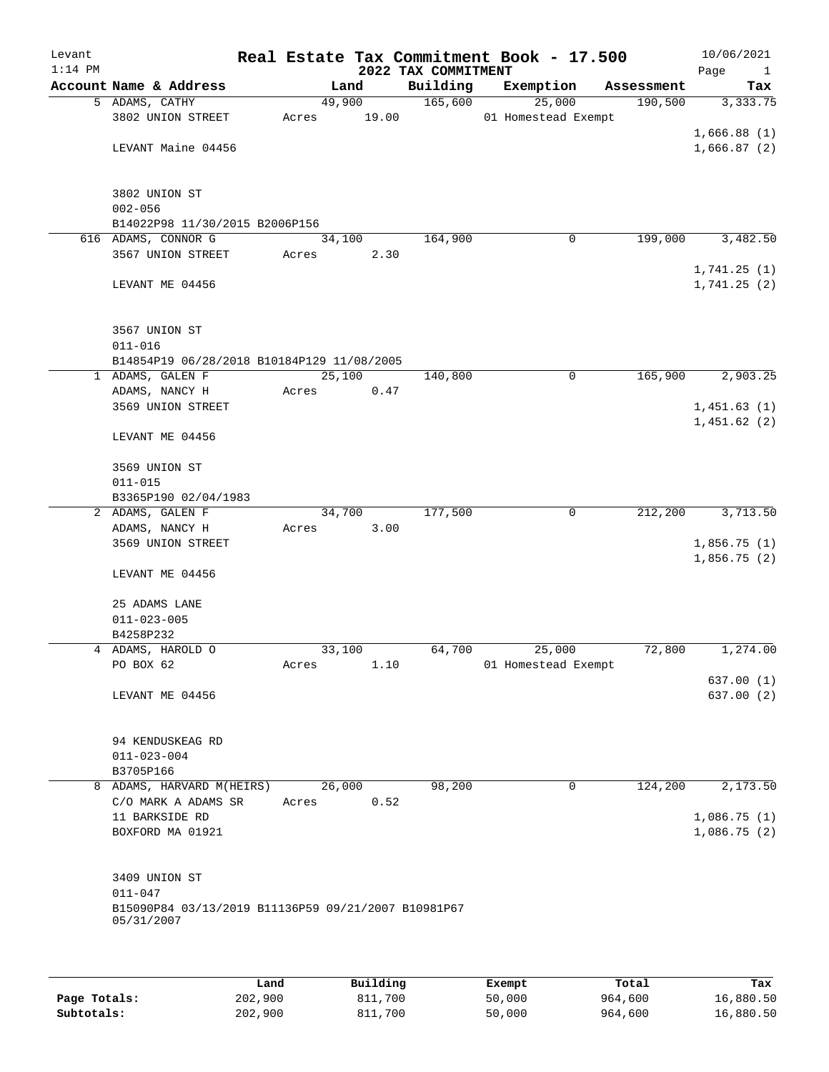| Levant<br>$1:14$ PM |                                                                   |       |        | 2022 TAX COMMITMENT | Real Estate Tax Commitment Book - 17.500 |            | 10/06/2021<br>Page<br>$\mathbf{1}$ |
|---------------------|-------------------------------------------------------------------|-------|--------|---------------------|------------------------------------------|------------|------------------------------------|
|                     | Account Name & Address                                            |       | Land   | Building            | Exemption                                | Assessment | Tax                                |
|                     | 5 ADAMS, CATHY                                                    |       | 49,900 | 165,600             | 25,000                                   | 190,500    | 3,333.75                           |
|                     | 3802 UNION STREET                                                 | Acres | 19.00  |                     | 01 Homestead Exempt                      |            |                                    |
|                     |                                                                   |       |        |                     |                                          |            | 1,666.88(1)                        |
|                     | LEVANT Maine 04456                                                |       |        |                     |                                          |            | 1,666.87(2)                        |
|                     |                                                                   |       |        |                     |                                          |            |                                    |
|                     |                                                                   |       |        |                     |                                          |            |                                    |
|                     | 3802 UNION ST<br>$002 - 056$                                      |       |        |                     |                                          |            |                                    |
|                     | B14022P98 11/30/2015 B2006P156                                    |       |        |                     |                                          |            |                                    |
|                     | 616 ADAMS, CONNOR G                                               |       | 34,100 | 164,900             | 0                                        | 199,000    | 3,482.50                           |
|                     | 3567 UNION STREET                                                 | Acres | 2.30   |                     |                                          |            |                                    |
|                     |                                                                   |       |        |                     |                                          |            | 1,741.25(1)                        |
|                     | LEVANT ME 04456                                                   |       |        |                     |                                          |            | 1,741.25(2)                        |
|                     |                                                                   |       |        |                     |                                          |            |                                    |
|                     |                                                                   |       |        |                     |                                          |            |                                    |
|                     | 3567 UNION ST                                                     |       |        |                     |                                          |            |                                    |
|                     | $011 - 016$                                                       |       |        |                     |                                          |            |                                    |
|                     | B14854P19 06/28/2018 B10184P129 11/08/2005                        |       |        |                     |                                          |            |                                    |
|                     | 1 ADAMS, GALEN F                                                  |       | 25,100 | 140,800             | 0                                        | 165,900    | 2,903.25                           |
|                     | ADAMS, NANCY H<br>3569 UNION STREET                               | Acres | 0.47   |                     |                                          |            | 1,451.63(1)                        |
|                     |                                                                   |       |        |                     |                                          |            | 1,451.62(2)                        |
|                     | LEVANT ME 04456                                                   |       |        |                     |                                          |            |                                    |
|                     |                                                                   |       |        |                     |                                          |            |                                    |
|                     | 3569 UNION ST                                                     |       |        |                     |                                          |            |                                    |
|                     | $011 - 015$                                                       |       |        |                     |                                          |            |                                    |
|                     | B3365P190 02/04/1983                                              |       |        |                     |                                          |            |                                    |
|                     | 2 ADAMS, GALEN F                                                  |       | 34,700 | 177,500             | $\mathbf 0$                              | 212,200    | 3,713.50                           |
|                     | ADAMS, NANCY H                                                    | Acres | 3.00   |                     |                                          |            |                                    |
|                     | 3569 UNION STREET                                                 |       |        |                     |                                          |            | 1,856.75(1)                        |
|                     |                                                                   |       |        |                     |                                          |            | 1,856.75(2)                        |
|                     | LEVANT ME 04456                                                   |       |        |                     |                                          |            |                                    |
|                     | 25 ADAMS LANE                                                     |       |        |                     |                                          |            |                                    |
|                     | $011 - 023 - 005$                                                 |       |        |                     |                                          |            |                                    |
|                     | B4258P232                                                         |       |        |                     |                                          |            |                                    |
|                     | 4 ADAMS, HAROLD O                                                 |       | 33,100 | 64,700              | 25,000                                   | 72,800     | 1,274.00                           |
|                     | PO BOX 62                                                         | Acres | 1.10   |                     | 01 Homestead Exempt                      |            |                                    |
|                     |                                                                   |       |        |                     |                                          |            | 637.00(1)                          |
|                     | LEVANT ME 04456                                                   |       |        |                     |                                          |            | 637.00 (2)                         |
|                     |                                                                   |       |        |                     |                                          |            |                                    |
|                     |                                                                   |       |        |                     |                                          |            |                                    |
|                     | 94 KENDUSKEAG RD<br>$011 - 023 - 004$                             |       |        |                     |                                          |            |                                    |
|                     | B3705P166                                                         |       |        |                     |                                          |            |                                    |
|                     | 8 ADAMS, HARVARD M(HEIRS)                                         |       | 26,000 | 98,200              | $\mathbf 0$                              | 124,200    | 2,173.50                           |
|                     | C/O MARK A ADAMS SR                                               | Acres | 0.52   |                     |                                          |            |                                    |
|                     | 11 BARKSIDE RD                                                    |       |        |                     |                                          |            | 1,086.75(1)                        |
|                     | BOXFORD MA 01921                                                  |       |        |                     |                                          |            | 1,086.75(2)                        |
|                     |                                                                   |       |        |                     |                                          |            |                                    |
|                     |                                                                   |       |        |                     |                                          |            |                                    |
|                     | 3409 UNION ST                                                     |       |        |                     |                                          |            |                                    |
|                     | $011 - 047$                                                       |       |        |                     |                                          |            |                                    |
|                     | B15090P84 03/13/2019 B11136P59 09/21/2007 B10981P67<br>05/31/2007 |       |        |                     |                                          |            |                                    |
|                     |                                                                   |       |        |                     |                                          |            |                                    |
|                     |                                                                   |       |        |                     |                                          |            |                                    |
|                     |                                                                   |       |        |                     |                                          |            |                                    |

|              | Land    | Building | Exempt | Total   | Tax       |
|--------------|---------|----------|--------|---------|-----------|
| Page Totals: | 202,900 | 811,700  | 50,000 | 964,600 | 16,880.50 |
| Subtotals:   | 202,900 | 811,700  | 50,000 | 964,600 | 16,880.50 |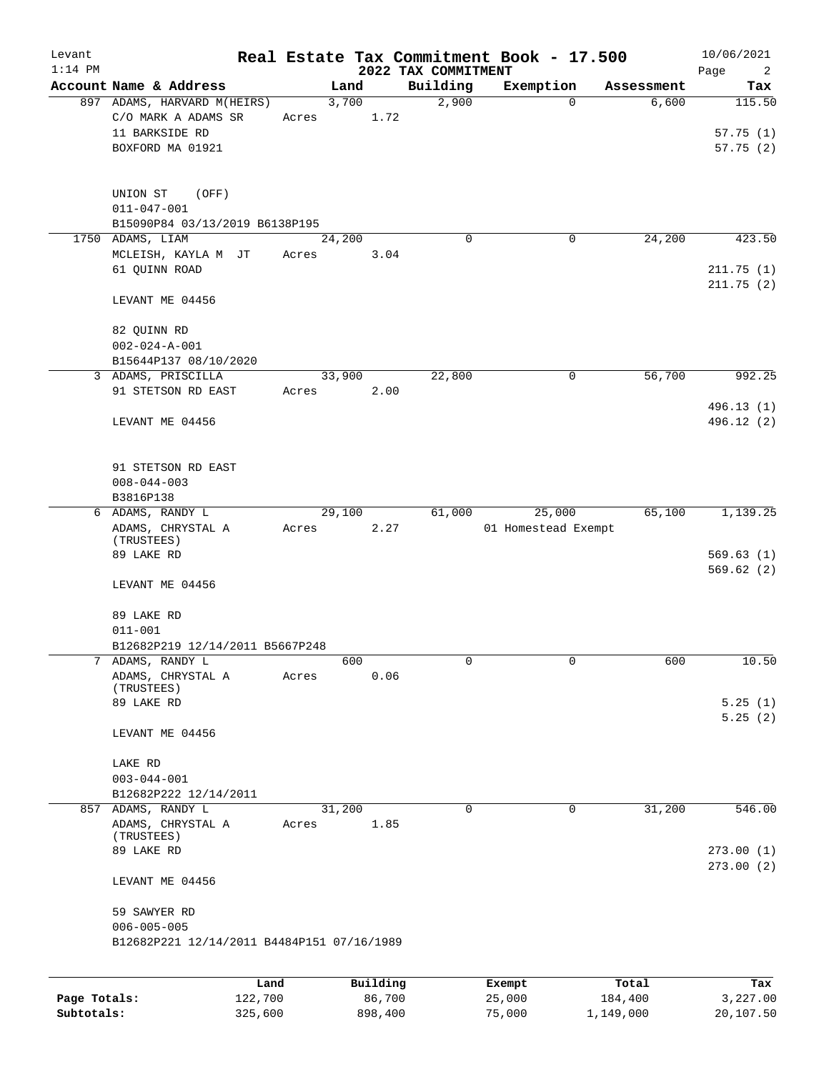| Levant       |                                            |       |                    |                     | Real Estate Tax Commitment Book - 17.500 |                  | 10/06/2021      |
|--------------|--------------------------------------------|-------|--------------------|---------------------|------------------------------------------|------------------|-----------------|
| $1:14$ PM    |                                            |       |                    | 2022 TAX COMMITMENT |                                          |                  | Page<br>2       |
|              | Account Name & Address                     |       | Land               | Building            | Exemption                                | Assessment       | Tax             |
|              | 897 ADAMS, HARVARD M(HEIRS)                |       | 3,700              | 2,900               | $\mathbf 0$                              | 6,600            | 115.50          |
|              | C/O MARK A ADAMS SR                        | Acres | 1.72               |                     |                                          |                  |                 |
|              | 11 BARKSIDE RD                             |       |                    |                     |                                          |                  | 57.75(1)        |
|              | BOXFORD MA 01921                           |       |                    |                     |                                          |                  | 57.75(2)        |
|              |                                            |       |                    |                     |                                          |                  |                 |
|              | UNION ST<br>(OFF)                          |       |                    |                     |                                          |                  |                 |
|              | $011 - 047 - 001$                          |       |                    |                     |                                          |                  |                 |
|              | B15090P84 03/13/2019 B6138P195             |       |                    |                     |                                          |                  |                 |
| 1750         | ADAMS, LIAM                                |       | 24,200             | 0                   | 0                                        | 24,200           | 423.50          |
|              | MCLEISH, KAYLA M JT                        | Acres | 3.04               |                     |                                          |                  |                 |
|              | 61 QUINN ROAD                              |       |                    |                     |                                          |                  | 211.75(1)       |
|              | LEVANT ME 04456                            |       |                    |                     |                                          |                  | 211.75(2)       |
|              |                                            |       |                    |                     |                                          |                  |                 |
|              | 82 QUINN RD                                |       |                    |                     |                                          |                  |                 |
|              | $002 - 024 - A - 001$                      |       |                    |                     |                                          |                  |                 |
|              | B15644P137 08/10/2020                      |       |                    |                     |                                          |                  |                 |
|              | 3 ADAMS, PRISCILLA                         |       | 33,900             | 22,800              | 0                                        | 56,700           | 992.25          |
|              | 91 STETSON RD EAST                         | Acres | 2.00               |                     |                                          |                  |                 |
|              |                                            |       |                    |                     |                                          |                  | 496.13 (1)      |
|              | LEVANT ME 04456                            |       |                    |                     |                                          |                  | 496.12 (2)      |
|              |                                            |       |                    |                     |                                          |                  |                 |
|              |                                            |       |                    |                     |                                          |                  |                 |
|              | 91 STETSON RD EAST                         |       |                    |                     |                                          |                  |                 |
|              | $008 - 044 - 003$                          |       |                    |                     |                                          |                  |                 |
|              | B3816P138                                  |       |                    |                     |                                          |                  |                 |
|              | 6 ADAMS, RANDY L                           |       | 29,100             | 61,000              | 25,000                                   | 65,100           | 1,139.25        |
|              | ADAMS, CHRYSTAL A                          | Acres | 2.27               |                     | 01 Homestead Exempt                      |                  |                 |
|              | (TRUSTEES)<br>89 LAKE RD                   |       |                    |                     |                                          |                  | 569.63(1)       |
|              |                                            |       |                    |                     |                                          |                  | 569.62(2)       |
|              | LEVANT ME 04456                            |       |                    |                     |                                          |                  |                 |
|              |                                            |       |                    |                     |                                          |                  |                 |
|              | 89 LAKE RD                                 |       |                    |                     |                                          |                  |                 |
|              | $011 - 001$                                |       |                    |                     |                                          |                  |                 |
|              | B12682P219 12/14/2011 B5667P248            |       |                    |                     |                                          |                  |                 |
| 7            | ADAMS, RANDY L                             |       | 600                | 0                   | 0                                        | 600              | 10.50           |
|              | ADAMS, CHRYSTAL A                          | Acres | 0.06               |                     |                                          |                  |                 |
|              | (TRUSTEES)                                 |       |                    |                     |                                          |                  |                 |
|              | 89 LAKE RD                                 |       |                    |                     |                                          |                  | 5.25(1)         |
|              |                                            |       |                    |                     |                                          |                  | 5.25(2)         |
|              | LEVANT ME 04456                            |       |                    |                     |                                          |                  |                 |
|              |                                            |       |                    |                     |                                          |                  |                 |
|              | LAKE RD                                    |       |                    |                     |                                          |                  |                 |
|              | $003 - 044 - 001$<br>B12682P222 12/14/2011 |       |                    |                     |                                          |                  |                 |
|              | 857 ADAMS, RANDY L                         |       | 31,200             | 0                   | $\mathbf 0$                              | 31,200           | 546.00          |
|              | ADAMS, CHRYSTAL A                          | Acres | 1.85               |                     |                                          |                  |                 |
|              | (TRUSTEES)                                 |       |                    |                     |                                          |                  |                 |
|              | 89 LAKE RD                                 |       |                    |                     |                                          |                  | 273.00(1)       |
|              |                                            |       |                    |                     |                                          |                  | 273.00(2)       |
|              | LEVANT ME 04456                            |       |                    |                     |                                          |                  |                 |
|              | 59 SAWYER RD                               |       |                    |                     |                                          |                  |                 |
|              | $006 - 005 - 005$                          |       |                    |                     |                                          |                  |                 |
|              | B12682P221 12/14/2011 B4484P151 07/16/1989 |       |                    |                     |                                          |                  |                 |
|              |                                            |       |                    |                     |                                          |                  |                 |
|              |                                            |       |                    |                     |                                          |                  |                 |
| Page Totals: | 122,700                                    | Land  | Building<br>86,700 |                     | Exempt<br>25,000                         | Total<br>184,400 | Tax<br>3,227.00 |
|              |                                            |       |                    |                     |                                          |                  |                 |

**Subtotals:** 325,600 898,400 75,000 1,149,000 20,107.50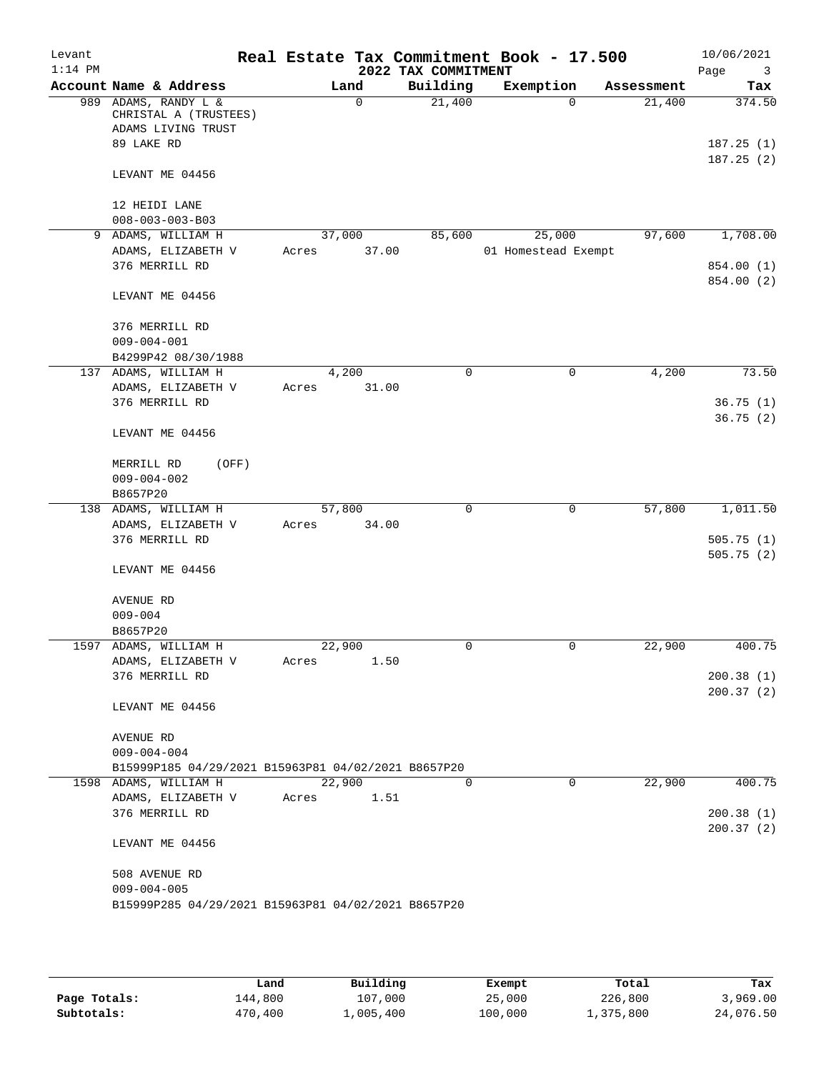| Levant<br>$1:14$ PM |                                                                               |        |             | Real Estate Tax Commitment Book - 17.500<br>2022 TAX COMMITMENT |                     |            | 10/06/2021<br>Page<br>$\overline{\mathbf{3}}$ |
|---------------------|-------------------------------------------------------------------------------|--------|-------------|-----------------------------------------------------------------|---------------------|------------|-----------------------------------------------|
|                     | Account Name & Address                                                        |        | Land        | Building                                                        | Exemption           | Assessment | Tax                                           |
| 989                 | ADAMS, RANDY L &<br>CHRISTAL A (TRUSTEES)<br>ADAMS LIVING TRUST<br>89 LAKE RD |        | $\mathbf 0$ | 21,400                                                          | $\Omega$            | 21,400     | 374.50<br>187.25(1)                           |
|                     | LEVANT ME 04456                                                               |        |             |                                                                 |                     |            | 187.25(2)                                     |
|                     | 12 HEIDI LANE<br>$008 - 003 - 003 - B03$                                      |        |             |                                                                 |                     |            |                                               |
|                     | 9 ADAMS, WILLIAM H                                                            | 37,000 |             | 85,600                                                          | 25,000              | 97,600     | 1,708.00                                      |
|                     | ADAMS, ELIZABETH V<br>376 MERRILL RD                                          | Acres  | 37.00       |                                                                 | 01 Homestead Exempt |            | 854.00 (1)<br>854.00 (2)                      |
|                     | LEVANT ME 04456                                                               |        |             |                                                                 |                     |            |                                               |
|                     | 376 MERRILL RD<br>$009 - 004 - 001$                                           |        |             |                                                                 |                     |            |                                               |
|                     | B4299P42 08/30/1988<br>137 ADAMS, WILLIAM H                                   | 4,200  |             | $\mathbf 0$                                                     | 0                   | 4,200      | 73.50                                         |
|                     | ADAMS, ELIZABETH V                                                            | Acres  | 31.00       |                                                                 |                     |            |                                               |
|                     | 376 MERRILL RD                                                                |        |             |                                                                 |                     |            | 36.75(1)<br>36.75(2)                          |
|                     | LEVANT ME 04456                                                               |        |             |                                                                 |                     |            |                                               |
|                     | MERRILL RD<br>(OFF)<br>$009 - 004 - 002$                                      |        |             |                                                                 |                     |            |                                               |
| 138                 | B8657P20                                                                      | 57,800 |             | $\mathbf 0$                                                     | 0                   | 57,800     |                                               |
|                     | ADAMS, WILLIAM H<br>ADAMS, ELIZABETH V                                        | Acres  | 34.00       |                                                                 |                     |            | 1,011.50                                      |
|                     | 376 MERRILL RD                                                                |        |             |                                                                 |                     |            | 505.75(1)<br>505.75(2)                        |
|                     | LEVANT ME 04456                                                               |        |             |                                                                 |                     |            |                                               |
|                     | AVENUE RD                                                                     |        |             |                                                                 |                     |            |                                               |
|                     | $009 - 004$                                                                   |        |             |                                                                 |                     |            |                                               |
|                     | B8657P20<br>1597 ADAMS, WILLIAM H                                             | 22,900 |             | 0                                                               | 0                   | 22,900     | 400.75                                        |
|                     | ADAMS, ELIZABETH V                                                            | Acres  | 1.50        |                                                                 |                     |            |                                               |
|                     | 376 MERRILL RD                                                                |        |             |                                                                 |                     |            | 200.38(1)                                     |
|                     | LEVANT ME 04456                                                               |        |             |                                                                 |                     |            | 200.37(2)                                     |
|                     | AVENUE RD<br>$009 - 004 - 004$                                                |        |             |                                                                 |                     |            |                                               |
|                     | B15999P185 04/29/2021 B15963P81 04/02/2021 B8657P20                           |        |             |                                                                 |                     |            |                                               |
|                     | 1598 ADAMS, WILLIAM H                                                         | 22,900 |             | $\Omega$                                                        | 0                   | 22,900     | 400.75                                        |
|                     | ADAMS, ELIZABETH V                                                            | Acres  | 1.51        |                                                                 |                     |            |                                               |
|                     | 376 MERRILL RD                                                                |        |             |                                                                 |                     |            | 200.38(1)                                     |
|                     | LEVANT ME 04456                                                               |        |             |                                                                 |                     |            | 200.37(2)                                     |
|                     | 508 AVENUE RD<br>$009 - 004 - 005$                                            |        |             |                                                                 |                     |            |                                               |
|                     | B15999P285 04/29/2021 B15963P81 04/02/2021 B8657P20                           |        |             |                                                                 |                     |            |                                               |

|              | Land    | Building  | Exempt  | Total     | Tax       |
|--------------|---------|-----------|---------|-----------|-----------|
| Page Totals: | 144,800 | 107,000   | 25,000  | 226,800   | 3,969.00  |
| Subtotals:   | 470,400 | 1,005,400 | 100,000 | ⊥,375,800 | 24,076.50 |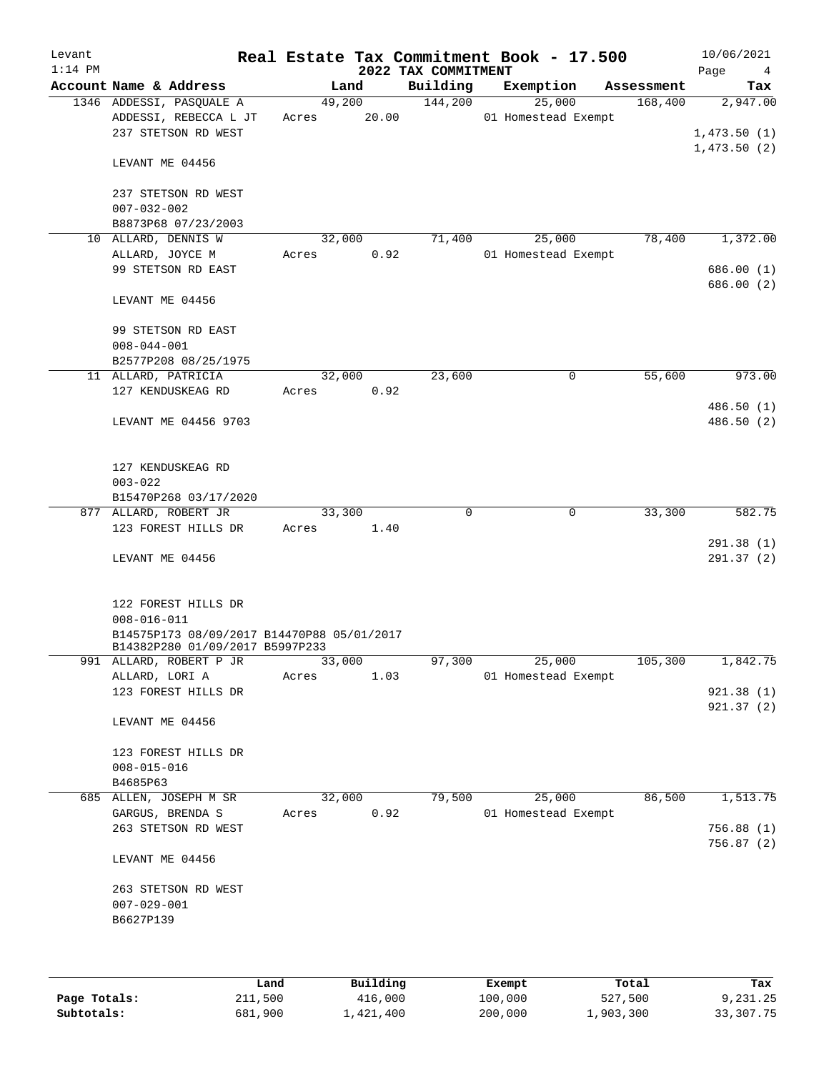| Levant<br>$1:14$ PM |                                                            |                 |        | 2022 TAX COMMITMENT | Real Estate Tax Commitment Book - 17.500 |            | 10/06/2021<br>Page<br>$\overline{4}$ |
|---------------------|------------------------------------------------------------|-----------------|--------|---------------------|------------------------------------------|------------|--------------------------------------|
|                     | Account Name & Address                                     |                 | Land   | Building            | Exemption                                | Assessment | Tax                                  |
|                     | 1346 ADDESSI, PASQUALE A                                   |                 | 49,200 | 144,200             | 25,000                                   | 168,400    | 2,947.00                             |
|                     | ADDESSI, REBECCA L JT                                      | Acres           | 20.00  |                     | 01 Homestead Exempt                      |            |                                      |
|                     | 237 STETSON RD WEST                                        |                 |        |                     |                                          |            | 1,473.50(1)                          |
|                     |                                                            |                 |        |                     |                                          |            | 1,473.50(2)                          |
|                     | LEVANT ME 04456                                            |                 |        |                     |                                          |            |                                      |
|                     |                                                            |                 |        |                     |                                          |            |                                      |
|                     | 237 STETSON RD WEST<br>$007 - 032 - 002$                   |                 |        |                     |                                          |            |                                      |
|                     | B8873P68 07/23/2003                                        |                 |        |                     |                                          |            |                                      |
|                     | 10 ALLARD, DENNIS W                                        | 32,000          |        | 71,400              | 25,000                                   | 78,400     | 1,372.00                             |
|                     | ALLARD, JOYCE M                                            | Acres           | 0.92   |                     | 01 Homestead Exempt                      |            |                                      |
|                     | 99 STETSON RD EAST                                         |                 |        |                     |                                          |            | 686.00 (1)                           |
|                     |                                                            |                 |        |                     |                                          |            | 686.00 (2)                           |
|                     | LEVANT ME 04456                                            |                 |        |                     |                                          |            |                                      |
|                     |                                                            |                 |        |                     |                                          |            |                                      |
|                     | 99 STETSON RD EAST                                         |                 |        |                     |                                          |            |                                      |
|                     | $008 - 044 - 001$                                          |                 |        |                     |                                          |            |                                      |
|                     | B2577P208 08/25/1975<br>11 ALLARD, PATRICIA                | 32,000          |        | 23,600              | 0                                        | 55,600     | 973.00                               |
|                     | 127 KENDUSKEAG RD                                          | Acres           | 0.92   |                     |                                          |            |                                      |
|                     |                                                            |                 |        |                     |                                          |            | 486.50(1)                            |
|                     | LEVANT ME 04456 9703                                       |                 |        |                     |                                          |            | 486.50 (2)                           |
|                     |                                                            |                 |        |                     |                                          |            |                                      |
|                     |                                                            |                 |        |                     |                                          |            |                                      |
|                     | 127 KENDUSKEAG RD                                          |                 |        |                     |                                          |            |                                      |
|                     | $003 - 022$                                                |                 |        |                     |                                          |            |                                      |
|                     | B15470P268 03/17/2020                                      |                 |        |                     |                                          |            |                                      |
|                     | 877 ALLARD, ROBERT JR                                      | 33,300          |        | 0                   | 0                                        | 33,300     | 582.75                               |
|                     | 123 FOREST HILLS DR                                        | Acres           | 1.40   |                     |                                          |            |                                      |
|                     | LEVANT ME 04456                                            |                 |        |                     |                                          |            | 291.38(1)<br>291.37(2)               |
|                     |                                                            |                 |        |                     |                                          |            |                                      |
|                     |                                                            |                 |        |                     |                                          |            |                                      |
|                     | 122 FOREST HILLS DR                                        |                 |        |                     |                                          |            |                                      |
|                     | $008 - 016 - 011$                                          |                 |        |                     |                                          |            |                                      |
|                     | B14575P173 08/09/2017 B14470P88 05/01/2017                 |                 |        |                     |                                          |            |                                      |
|                     | B14382P280 01/09/2017 B5997P233<br>991 ALLARD, ROBERT P JR |                 |        | 97,300              |                                          | 105,300    | 1,842.75                             |
|                     | ALLARD, LORI A                                             | 33,000<br>Acres | 1.03   |                     | 25,000<br>01 Homestead Exempt            |            |                                      |
|                     | 123 FOREST HILLS DR                                        |                 |        |                     |                                          |            | 921.38(1)                            |
|                     |                                                            |                 |        |                     |                                          |            | 921.37(2)                            |
|                     | LEVANT ME 04456                                            |                 |        |                     |                                          |            |                                      |
|                     |                                                            |                 |        |                     |                                          |            |                                      |
|                     | 123 FOREST HILLS DR                                        |                 |        |                     |                                          |            |                                      |
|                     | $008 - 015 - 016$                                          |                 |        |                     |                                          |            |                                      |
|                     | B4685P63                                                   |                 |        |                     |                                          |            |                                      |
|                     | 685 ALLEN, JOSEPH M SR                                     | 32,000          |        | 79,500              | 25,000                                   | 86,500     | 1,513.75                             |
|                     | GARGUS, BRENDA S<br>263 STETSON RD WEST                    | Acres           | 0.92   |                     | 01 Homestead Exempt                      |            | 756.88(1)                            |
|                     |                                                            |                 |        |                     |                                          |            | 756.87(2)                            |
|                     | LEVANT ME 04456                                            |                 |        |                     |                                          |            |                                      |
|                     |                                                            |                 |        |                     |                                          |            |                                      |
|                     | 263 STETSON RD WEST                                        |                 |        |                     |                                          |            |                                      |
|                     | $007 - 029 - 001$                                          |                 |        |                     |                                          |            |                                      |
|                     | B6627P139                                                  |                 |        |                     |                                          |            |                                      |
|                     |                                                            |                 |        |                     |                                          |            |                                      |
|                     |                                                            |                 |        |                     |                                          |            |                                      |
|                     |                                                            |                 |        |                     |                                          |            |                                      |

|              | Land    | Building  | Exempt  | Total     | Tax       |
|--------------|---------|-----------|---------|-----------|-----------|
| Page Totals: | 211,500 | 416,000   | 100,000 | 527,500   | 9,231.25  |
| Subtotals:   | 681,900 | 1,421,400 | 200,000 | 1,903,300 | 33,307.75 |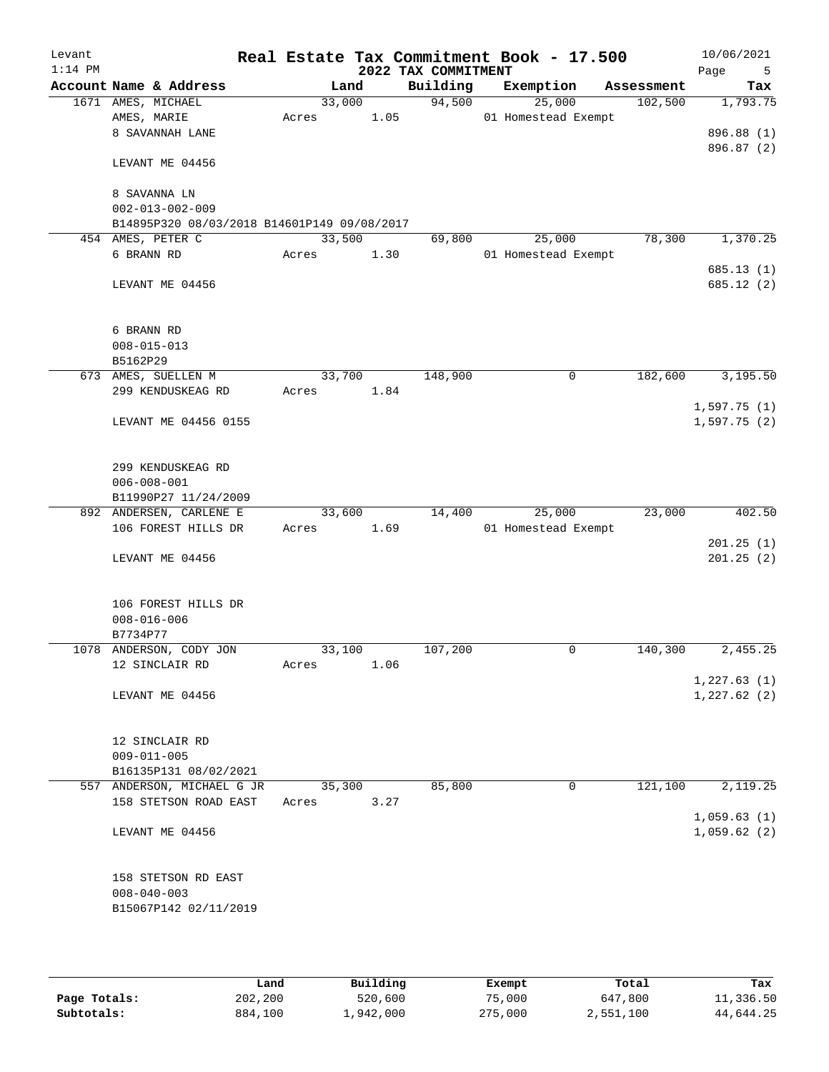| Levant<br>$1:14$ PM |                                                                   |       |        |      | Real Estate Tax Commitment Book - 17.500<br>2022 TAX COMMITMENT |                     |        |            | 10/06/2021<br>Page<br>5 |
|---------------------|-------------------------------------------------------------------|-------|--------|------|-----------------------------------------------------------------|---------------------|--------|------------|-------------------------|
|                     | Account Name & Address                                            |       | Land   |      | Building                                                        | Exemption           |        | Assessment | Tax                     |
|                     | 1671 AMES, MICHAEL                                                |       | 33,000 |      | 94,500                                                          |                     | 25,000 | 102,500    | 1,793.75                |
|                     | AMES, MARIE                                                       | Acres |        | 1.05 |                                                                 | 01 Homestead Exempt |        |            |                         |
|                     | 8 SAVANNAH LANE                                                   |       |        |      |                                                                 |                     |        |            | 896.88 (1)              |
|                     | LEVANT ME 04456                                                   |       |        |      |                                                                 |                     |        |            | 896.87 (2)              |
|                     | 8 SAVANNA LN                                                      |       |        |      |                                                                 |                     |        |            |                         |
|                     | $002 - 013 - 002 - 009$                                           |       |        |      |                                                                 |                     |        |            |                         |
|                     | B14895P320 08/03/2018 B14601P149 09/08/2017                       |       |        |      |                                                                 |                     |        |            |                         |
|                     | 454 AMES, PETER C                                                 |       | 33,500 |      | 69,800                                                          |                     | 25,000 | 78,300     | 1,370.25                |
|                     | 6 BRANN RD                                                        | Acres |        | 1.30 |                                                                 | 01 Homestead Exempt |        |            |                         |
|                     |                                                                   |       |        |      |                                                                 |                     |        |            | 685.13(1)               |
|                     | LEVANT ME 04456                                                   |       |        |      |                                                                 |                     |        |            | 685.12 (2)              |
|                     | 6 BRANN RD                                                        |       |        |      |                                                                 |                     |        |            |                         |
|                     | $008 - 015 - 013$                                                 |       |        |      |                                                                 |                     |        |            |                         |
|                     | B5162P29                                                          |       |        |      |                                                                 |                     |        |            |                         |
|                     | 673 AMES, SUELLEN M                                               |       | 33,700 |      | 148,900                                                         |                     | 0      | 182,600    | 3,195.50                |
|                     | 299 KENDUSKEAG RD                                                 | Acres |        | 1.84 |                                                                 |                     |        |            |                         |
|                     |                                                                   |       |        |      |                                                                 |                     |        |            | 1,597.75(1)             |
|                     | LEVANT ME 04456 0155                                              |       |        |      |                                                                 |                     |        |            | 1,597.75(2)             |
|                     | 299 KENDUSKEAG RD<br>$006 - 008 - 001$                            |       |        |      |                                                                 |                     |        |            |                         |
|                     | B11990P27 11/24/2009                                              |       |        |      |                                                                 |                     |        |            |                         |
|                     | 892 ANDERSEN, CARLENE E                                           |       | 33,600 |      | 14,400                                                          |                     | 25,000 | 23,000     | 402.50                  |
|                     | 106 FOREST HILLS DR                                               | Acres |        | 1.69 |                                                                 | 01 Homestead Exempt |        |            |                         |
|                     |                                                                   |       |        |      |                                                                 |                     |        |            | 201.25(1)               |
|                     | LEVANT ME 04456                                                   |       |        |      |                                                                 |                     |        |            | 201.25(2)               |
|                     | 106 FOREST HILLS DR                                               |       |        |      |                                                                 |                     |        |            |                         |
|                     | $008 - 016 - 006$                                                 |       |        |      |                                                                 |                     |        |            |                         |
|                     | B7734P77                                                          |       |        |      |                                                                 |                     |        |            |                         |
|                     | 1078 ANDERSON, CODY JON                                           |       | 33,100 |      | 107,200                                                         |                     | 0      | 140,300    | 2,455.25                |
|                     | 12 SINCLAIR RD                                                    | Acres |        | 1.06 |                                                                 |                     |        |            |                         |
|                     |                                                                   |       |        |      |                                                                 |                     |        |            | 1,227.63(1)             |
|                     | LEVANT ME 04456                                                   |       |        |      |                                                                 |                     |        |            | 1,227.62(2)             |
|                     | 12 SINCLAIR RD                                                    |       |        |      |                                                                 |                     |        |            |                         |
|                     | $009 - 011 - 005$                                                 |       |        |      |                                                                 |                     |        |            |                         |
|                     | B16135P131 08/02/2021                                             |       |        |      |                                                                 |                     |        |            |                         |
|                     | 557 ANDERSON, MICHAEL G JR                                        |       | 35,300 |      | 85,800                                                          |                     | 0      | 121,100    | 2,119.25                |
|                     | 158 STETSON ROAD EAST                                             | Acres |        | 3.27 |                                                                 |                     |        |            | 1,059.63(1)             |
|                     | LEVANT ME 04456                                                   |       |        |      |                                                                 |                     |        |            | 1,059.62(2)             |
|                     | 158 STETSON RD EAST<br>$008 - 040 - 003$<br>B15067P142 02/11/2019 |       |        |      |                                                                 |                     |        |            |                         |
|                     |                                                                   |       |        |      |                                                                 |                     |        |            |                         |

|              | Land    | Building  | Exempt  | Total     | Tax       |
|--------------|---------|-----------|---------|-----------|-----------|
| Page Totals: | 202,200 | 520,600   | 75,000  | 647,800   | 11,336.50 |
| Subtotals:   | 884,100 | 1,942,000 | 275,000 | 2,551,100 | 44,644.25 |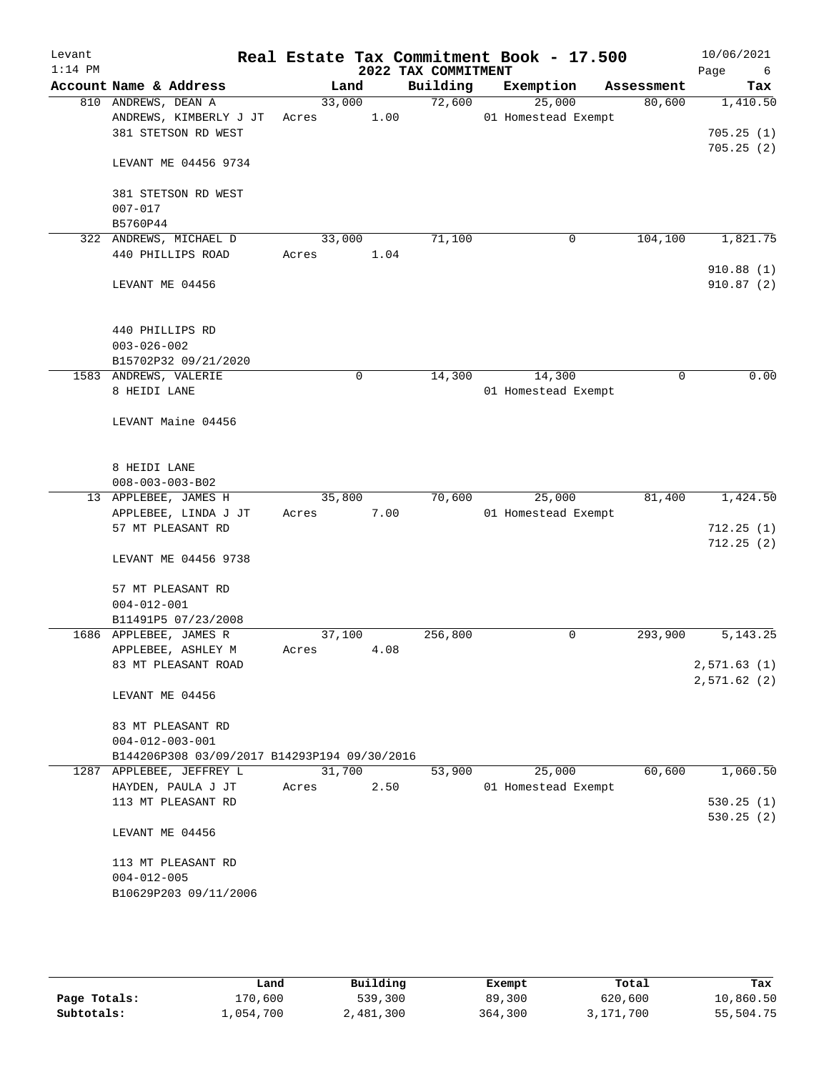| Levant<br>$1:14$ PM |                                               |                 |      | 2022 TAX COMMITMENT | Real Estate Tax Commitment Book - 17.500 |             | 10/06/2021<br>Page<br>6 |
|---------------------|-----------------------------------------------|-----------------|------|---------------------|------------------------------------------|-------------|-------------------------|
|                     | Account Name & Address                        | Land            |      | Building            | Exemption                                | Assessment  | Tax                     |
|                     | 810 ANDREWS, DEAN A<br>ANDREWS, KIMBERLY J JT | 33,000<br>Acres | 1.00 | 72,600              | 25,000<br>01 Homestead Exempt            | 80,600      | 1,410.50                |
|                     | 381 STETSON RD WEST                           |                 |      |                     |                                          |             | 705.25(1)<br>705.25(2)  |
|                     | LEVANT ME 04456 9734                          |                 |      |                     |                                          |             |                         |
|                     | 381 STETSON RD WEST<br>$007 - 017$            |                 |      |                     |                                          |             |                         |
|                     | B5760P44                                      |                 |      |                     |                                          |             |                         |
|                     | 322 ANDREWS, MICHAEL D                        | 33,000          |      | 71,100              | 0                                        | 104,100     | 1,821.75                |
|                     | 440 PHILLIPS ROAD                             | Acres           | 1.04 |                     |                                          |             | 910.88(1)               |
|                     | LEVANT ME 04456                               |                 |      |                     |                                          |             | 910.87(2)               |
|                     | 440 PHILLIPS RD<br>$003 - 026 - 002$          |                 |      |                     |                                          |             |                         |
|                     | B15702P32 09/21/2020                          |                 |      |                     |                                          |             |                         |
|                     | 1583 ANDREWS, VALERIE                         |                 | 0    | 14,300              | 14,300                                   | $\mathbf 0$ | 0.00                    |
|                     | 8 HEIDI LANE                                  |                 |      |                     | 01 Homestead Exempt                      |             |                         |
|                     | LEVANT Maine 04456                            |                 |      |                     |                                          |             |                         |
|                     | 8 HEIDI LANE                                  |                 |      |                     |                                          |             |                         |
|                     | $008 - 003 - 003 - B02$                       |                 |      |                     |                                          |             |                         |
|                     | 13 APPLEBEE, JAMES H                          | 35,800          |      | 70,600              | 25,000                                   | 81,400      | 1,424.50                |
|                     | APPLEBEE, LINDA J JT                          | Acres           | 7.00 |                     | 01 Homestead Exempt                      |             |                         |
|                     | 57 MT PLEASANT RD                             |                 |      |                     |                                          |             | 712.25(1)               |
|                     | LEVANT ME 04456 9738                          |                 |      |                     |                                          |             | 712.25(2)               |
|                     | 57 MT PLEASANT RD<br>$004 - 012 - 001$        |                 |      |                     |                                          |             |                         |
|                     | B11491P5 07/23/2008                           |                 |      |                     |                                          |             |                         |
|                     | 1686 APPLEBEE, JAMES R                        | 37,100          |      | 256,800             | 0                                        | 293,900     | 5, 143. 25              |
|                     | APPLEBEE, ASHLEY M                            | Acres           | 4.08 |                     |                                          |             |                         |
|                     | 83 MT PLEASANT ROAD                           |                 |      |                     |                                          |             | 2,571.63(1)             |
|                     |                                               |                 |      |                     |                                          |             | 2,571.62(2)             |
|                     | LEVANT ME 04456                               |                 |      |                     |                                          |             |                         |
|                     | 83 MT PLEASANT RD<br>$004 - 012 - 003 - 001$  |                 |      |                     |                                          |             |                         |
|                     | B144206P308 03/09/2017 B14293P194 09/30/2016  |                 |      |                     |                                          |             |                         |
|                     | 1287 APPLEBEE, JEFFREY L                      | 31,700          |      | 53,900              | 25,000                                   | 60,600      | 1,060.50                |
|                     | HAYDEN, PAULA J JT                            | Acres           | 2.50 |                     | 01 Homestead Exempt                      |             |                         |
|                     | 113 MT PLEASANT RD                            |                 |      |                     |                                          |             | 530.25(1)               |
|                     | LEVANT ME 04456                               |                 |      |                     |                                          |             | 530.25(2)               |
|                     | 113 MT PLEASANT RD                            |                 |      |                     |                                          |             |                         |
|                     | $004 - 012 - 005$                             |                 |      |                     |                                          |             |                         |
|                     | B10629P203 09/11/2006                         |                 |      |                     |                                          |             |                         |
|                     |                                               |                 |      |                     |                                          |             |                         |

|              | Land      | Building  | Exempt  | Total     | Tax       |
|--------------|-----------|-----------|---------|-----------|-----------|
| Page Totals: | 170,600   | 539,300   | 89,300  | 620,600   | 10,860.50 |
| Subtotals:   | 1,054,700 | 2,481,300 | 364,300 | 3,171,700 | 55,504.75 |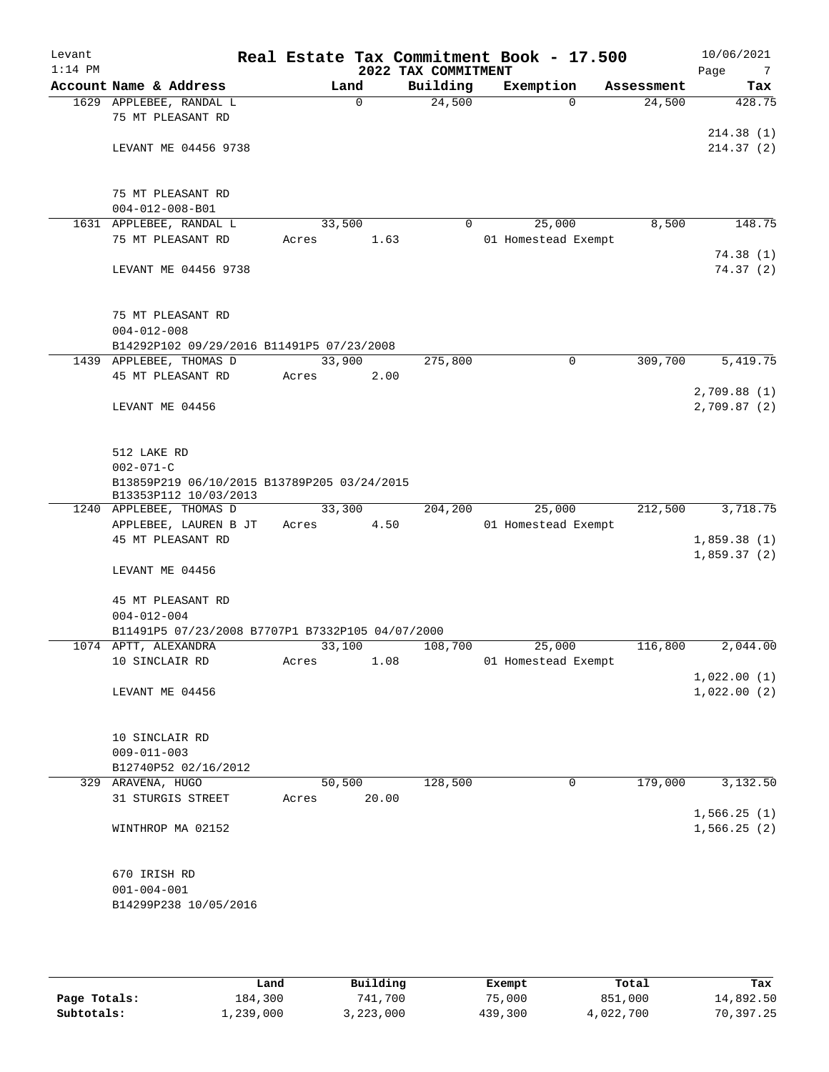| Levant<br>$1:14$ PM |                                                                                                        |        |             | 2022 TAX COMMITMENT | Real Estate Tax Commitment Book - 17.500 |             |            | 10/06/2021<br>Page<br>7    |
|---------------------|--------------------------------------------------------------------------------------------------------|--------|-------------|---------------------|------------------------------------------|-------------|------------|----------------------------|
|                     | Account Name & Address                                                                                 | Land   |             | Building            | Exemption                                |             | Assessment | Tax                        |
|                     | 1629 APPLEBEE, RANDAL L<br>75 MT PLEASANT RD                                                           |        | $\mathbf 0$ | 24,500              |                                          | $\Omega$    | 24,500     | 428.75                     |
|                     | LEVANT ME 04456 9738                                                                                   |        |             |                     |                                          |             |            | 214.38(1)<br>214.37(2)     |
|                     | 75 MT PLEASANT RD                                                                                      |        |             |                     |                                          |             |            |                            |
|                     | $004 - 012 - 008 - B01$                                                                                |        |             |                     |                                          |             |            |                            |
|                     | 1631 APPLEBEE, RANDAL L<br>75 MT PLEASANT RD                                                           | 33,500 |             | $\Omega$            | 25,000<br>01 Homestead Exempt            |             | 8,500      | 148.75                     |
|                     |                                                                                                        | Acres  | 1.63        |                     |                                          |             |            | 74.38(1)                   |
|                     | LEVANT ME 04456 9738                                                                                   |        |             |                     |                                          |             |            | 74.37(2)                   |
|                     | 75 MT PLEASANT RD<br>$004 - 012 - 008$<br>B14292P102 09/29/2016 B11491P5 07/23/2008                    |        |             |                     |                                          |             |            |                            |
|                     | 1439 APPLEBEE, THOMAS D                                                                                | 33,900 |             | 275,800             |                                          | $\mathbf 0$ | 309,700    | 5,419.75                   |
|                     | 45 MT PLEASANT RD                                                                                      | Acres  | 2.00        |                     |                                          |             |            |                            |
|                     |                                                                                                        |        |             |                     |                                          |             |            | 2,709.88(1)                |
|                     | LEVANT ME 04456                                                                                        |        |             |                     |                                          |             |            | 2,709.87(2)                |
|                     | 512 LAKE RD<br>$002 - 071 - C$<br>B13859P219 06/10/2015 B13789P205 03/24/2015<br>B13353P112 10/03/2013 |        |             |                     |                                          |             |            |                            |
|                     | 1240 APPLEBEE, THOMAS D                                                                                | 33,300 |             | 204,200             | 25,000                                   |             | 212,500    | 3,718.75                   |
|                     | APPLEBEE, LAUREN B JT                                                                                  | Acres  | 4.50        |                     | 01 Homestead Exempt                      |             |            |                            |
|                     | 45 MT PLEASANT RD                                                                                      |        |             |                     |                                          |             |            | 1,859.38(1)                |
|                     | LEVANT ME 04456                                                                                        |        |             |                     |                                          |             |            | 1,859.37(2)                |
|                     | 45 MT PLEASANT RD<br>$004 - 012 - 004$                                                                 |        |             |                     |                                          |             |            |                            |
|                     | B11491P5 07/23/2008 B7707P1 B7332P105 04/07/2000                                                       |        |             |                     |                                          |             |            |                            |
|                     | 1074 APTT, ALEXANDRA                                                                                   | 33,100 |             | 108,700             | 25,000                                   |             | 116,800    | 2,044.00                   |
|                     | 10 SINCLAIR RD                                                                                         | Acres  | 1.08        |                     | 01 Homestead Exempt                      |             |            |                            |
|                     |                                                                                                        |        |             |                     |                                          |             |            | 1,022.00(1)                |
|                     | LEVANT ME 04456                                                                                        |        |             |                     |                                          |             |            | 1,022.00(2)                |
|                     | 10 SINCLAIR RD                                                                                         |        |             |                     |                                          |             |            |                            |
|                     | $009 - 011 - 003$                                                                                      |        |             |                     |                                          |             |            |                            |
|                     | B12740P52 02/16/2012                                                                                   |        |             |                     |                                          |             |            |                            |
|                     | 329 ARAVENA, HUGO                                                                                      | 50,500 |             | 128,500             |                                          | 0           | 179,000    | 3,132.50                   |
|                     | 31 STURGIS STREET                                                                                      | Acres  | 20.00       |                     |                                          |             |            |                            |
|                     | WINTHROP MA 02152                                                                                      |        |             |                     |                                          |             |            | 1,566.25(1)<br>1,566.25(2) |
|                     |                                                                                                        |        |             |                     |                                          |             |            |                            |
|                     | 670 IRISH RD                                                                                           |        |             |                     |                                          |             |            |                            |
|                     | $001 - 004 - 001$<br>B14299P238 10/05/2016                                                             |        |             |                     |                                          |             |            |                            |
|                     |                                                                                                        |        |             |                     |                                          |             |            |                            |

|              | Land      | Building  | Exempt  | Total     | Tax       |
|--------------|-----------|-----------|---------|-----------|-----------|
| Page Totals: | 184,300   | 741,700   | 75,000  | 851,000   | 14,892.50 |
| Subtotals:   | 1,239,000 | 3,223,000 | 439,300 | 4,022,700 | 70,397.25 |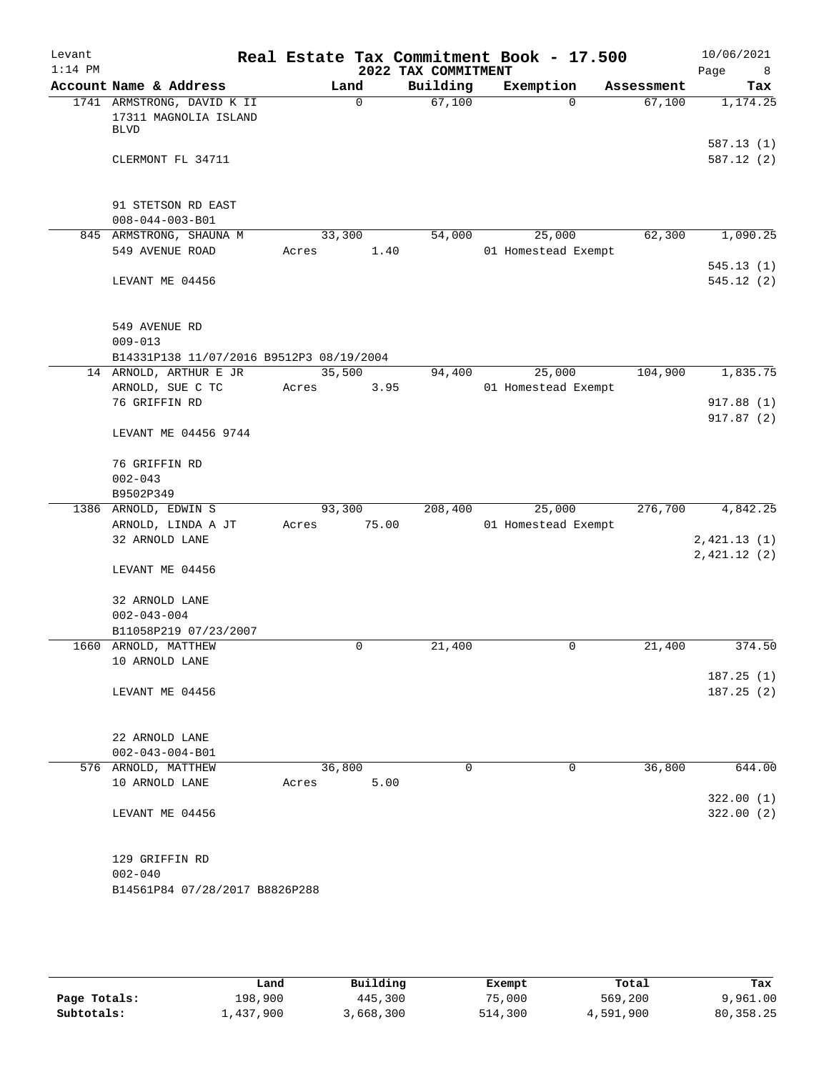| Levant<br>$1:14$ PM |                                                                    |                 |             | 2022 TAX COMMITMENT | Real Estate Tax Commitment Book - 17.500 |            | 10/06/2021<br>Page<br>8 |
|---------------------|--------------------------------------------------------------------|-----------------|-------------|---------------------|------------------------------------------|------------|-------------------------|
|                     | Account Name & Address                                             | Land            |             | Building            | Exemption                                | Assessment | Tax                     |
|                     | 1741 ARMSTRONG, DAVID K II<br>17311 MAGNOLIA ISLAND<br><b>BLVD</b> |                 | $\mathbf 0$ | 67,100              | $\Omega$                                 | 67,100     | 1,174.25                |
|                     | CLERMONT FL 34711                                                  |                 |             |                     |                                          |            | 587.13(1)<br>587.12(2)  |
|                     | 91 STETSON RD EAST<br>$008 - 044 - 003 - B01$                      |                 |             |                     |                                          |            |                         |
|                     | 845 ARMSTRONG, SHAUNA M<br>549 AVENUE ROAD                         | 33,300<br>Acres | 1.40        | 54,000              | 25,000<br>01 Homestead Exempt            | 62,300     | 1,090.25                |
|                     | LEVANT ME 04456                                                    |                 |             |                     |                                          |            | 545.13(1)<br>545.12 (2) |
|                     | 549 AVENUE RD<br>$009 - 013$                                       |                 |             |                     |                                          |            |                         |
|                     | B14331P138 11/07/2016 B9512P3 08/19/2004                           |                 |             |                     |                                          |            |                         |
|                     | 14 ARNOLD, ARTHUR E JR<br>ARNOLD, SUE C TC                         | 35,500          | 3.95        | 94,400              | 25,000<br>01 Homestead Exempt            | 104,900    | 1,835.75                |
|                     | 76 GRIFFIN RD                                                      | Acres           |             |                     |                                          |            | 917.88 (1)              |
|                     |                                                                    |                 |             |                     |                                          |            | 917.87(2)               |
|                     | LEVANT ME 04456 9744                                               |                 |             |                     |                                          |            |                         |
|                     | 76 GRIFFIN RD                                                      |                 |             |                     |                                          |            |                         |
|                     | $002 - 043$                                                        |                 |             |                     |                                          |            |                         |
|                     | B9502P349                                                          |                 |             |                     |                                          |            |                         |
|                     | 1386 ARNOLD, EDWIN S<br>ARNOLD, LINDA A JT                         | 93,300<br>Acres | 75.00       | 208,400             | 25,000<br>01 Homestead Exempt            | 276,700    | 4,842.25                |
|                     | 32 ARNOLD LANE                                                     |                 |             |                     |                                          |            | 2,421.13(1)             |
|                     |                                                                    |                 |             |                     |                                          |            | 2,421.12(2)             |
|                     | LEVANT ME 04456                                                    |                 |             |                     |                                          |            |                         |
|                     | 32 ARNOLD LANE                                                     |                 |             |                     |                                          |            |                         |
|                     | $002 - 043 - 004$                                                  |                 |             |                     |                                          |            |                         |
|                     | B11058P219 07/23/2007                                              |                 |             |                     |                                          |            |                         |
|                     | 1660 ARNOLD, MATTHEW                                               |                 | 0           | 21,400              | 0                                        | 21,400     | 374.50                  |
|                     | 10 ARNOLD LANE                                                     |                 |             |                     |                                          |            |                         |
|                     | LEVANT ME 04456                                                    |                 |             |                     |                                          |            | 187.25(1)<br>187.25(2)  |
|                     |                                                                    |                 |             |                     |                                          |            |                         |
|                     | 22 ARNOLD LANE                                                     |                 |             |                     |                                          |            |                         |
|                     | $002 - 043 - 004 - B01$                                            |                 |             |                     |                                          |            |                         |
|                     | 576 ARNOLD, MATTHEW                                                | 36,800          |             | 0                   | 0                                        | 36,800     | 644.00                  |
|                     | 10 ARNOLD LANE                                                     | Acres           | 5.00        |                     |                                          |            |                         |
|                     | LEVANT ME 04456                                                    |                 |             |                     |                                          |            | 322.00(1)<br>322.00(2)  |
|                     | 129 GRIFFIN RD<br>$002 - 040$                                      |                 |             |                     |                                          |            |                         |
|                     | B14561P84 07/28/2017 B8826P288                                     |                 |             |                     |                                          |            |                         |

|              | Land      | Building  | Exempt  | Total     | Tax        |
|--------------|-----------|-----------|---------|-----------|------------|
| Page Totals: | 198,900   | 445,300   | 75,000  | 569,200   | 9,961.00   |
| Subtotals:   | 1,437,900 | 3,668,300 | 514,300 | 4,591,900 | 80, 358.25 |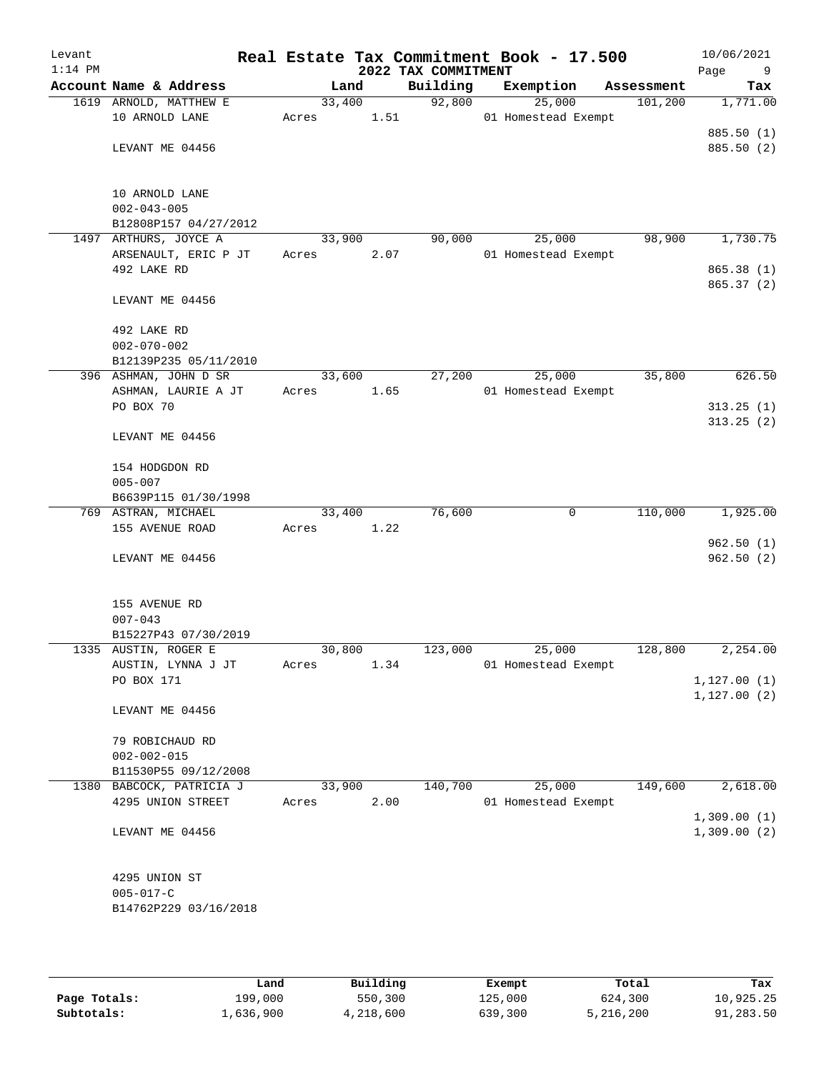| Levant<br>$1:14$ PM |                                           |                 |      | 2022 TAX COMMITMENT | Real Estate Tax Commitment Book - 17.500 |            | 10/06/2021<br>Page<br>9  |
|---------------------|-------------------------------------------|-----------------|------|---------------------|------------------------------------------|------------|--------------------------|
|                     | Account Name & Address                    |                 | Land | Building            | Exemption                                | Assessment | Tax                      |
|                     | 1619 ARNOLD, MATTHEW E                    | 33,400          |      | 92,800              | 25,000                                   | 101,200    | 1,771.00                 |
|                     | 10 ARNOLD LANE                            | Acres           | 1.51 |                     | 01 Homestead Exempt                      |            |                          |
|                     | LEVANT ME 04456                           |                 |      |                     |                                          |            | 885.50 (1)<br>885.50 (2) |
|                     |                                           |                 |      |                     |                                          |            |                          |
|                     | 10 ARNOLD LANE                            |                 |      |                     |                                          |            |                          |
|                     | $002 - 043 - 005$                         |                 |      |                     |                                          |            |                          |
|                     | B12808P157 04/27/2012                     |                 |      |                     |                                          |            |                          |
|                     | 1497 ARTHURS, JOYCE A                     | 33,900          |      | 90,000              | 25,000                                   | 98,900     | 1,730.75                 |
|                     | ARSENAULT, ERIC P JT                      | Acres           | 2.07 |                     | 01 Homestead Exempt                      |            |                          |
|                     | 492 LAKE RD                               |                 |      |                     |                                          |            | 865.38 (1)<br>865.37 (2) |
|                     | LEVANT ME 04456                           |                 |      |                     |                                          |            |                          |
|                     | 492 LAKE RD                               |                 |      |                     |                                          |            |                          |
|                     | $002 - 070 - 002$                         |                 |      |                     |                                          |            |                          |
|                     | B12139P235 05/11/2010                     |                 |      |                     |                                          |            |                          |
|                     | 396 ASHMAN, JOHN D SR                     | 33,600          |      | 27,200              | 25,000                                   | 35,800     | 626.50                   |
|                     | ASHMAN, LAURIE A JT<br>PO BOX 70          | Acres           | 1.65 |                     | 01 Homestead Exempt                      |            |                          |
|                     |                                           |                 |      |                     |                                          |            | 313.25(1)<br>313.25(2)   |
|                     | LEVANT ME 04456                           |                 |      |                     |                                          |            |                          |
|                     | 154 HODGDON RD                            |                 |      |                     |                                          |            |                          |
|                     | $005 - 007$                               |                 |      |                     |                                          |            |                          |
|                     | B6639P115 01/30/1998                      |                 |      |                     |                                          |            |                          |
|                     | 769 ASTRAN, MICHAEL<br>155 AVENUE ROAD    | 33,400<br>Acres | 1.22 | 76,600              | 0                                        | 110,000    | 1,925.00                 |
|                     |                                           |                 |      |                     |                                          |            | 962.50(1)                |
|                     | LEVANT ME 04456                           |                 |      |                     |                                          |            | 962.50(2)                |
|                     |                                           |                 |      |                     |                                          |            |                          |
|                     | 155 AVENUE RD                             |                 |      |                     |                                          |            |                          |
|                     | $007 - 043$<br>B15227P43 07/30/2019       |                 |      |                     |                                          |            |                          |
|                     | 1335 AUSTIN, ROGER E                      | 30,800          |      | 123,000             | 25,000                                   | 128,800    | 2,254.00                 |
|                     | AUSTIN, LYNNA J JT                        | Acres           | 1.34 |                     | 01 Homestead Exempt                      |            |                          |
|                     | PO BOX 171                                |                 |      |                     |                                          |            | 1, 127.00(1)             |
|                     |                                           |                 |      |                     |                                          |            | 1, 127.00(2)             |
|                     | LEVANT ME 04456                           |                 |      |                     |                                          |            |                          |
|                     | 79 ROBICHAUD RD                           |                 |      |                     |                                          |            |                          |
|                     | $002 - 002 - 015$<br>B11530P55 09/12/2008 |                 |      |                     |                                          |            |                          |
|                     | 1380 BABCOCK, PATRICIA J                  | 33,900          |      | 140,700             | 25,000                                   | 149,600    | 2,618.00                 |
|                     | 4295 UNION STREET                         | Acres           | 2.00 |                     | 01 Homestead Exempt                      |            |                          |
|                     |                                           |                 |      |                     |                                          |            | 1,309.00(1)              |
|                     | LEVANT ME 04456                           |                 |      |                     |                                          |            | 1,309.00(2)              |
|                     |                                           |                 |      |                     |                                          |            |                          |
|                     | 4295 UNION ST<br>$005 - 017 - C$          |                 |      |                     |                                          |            |                          |
|                     | B14762P229 03/16/2018                     |                 |      |                     |                                          |            |                          |
|                     |                                           |                 |      |                     |                                          |            |                          |

|              | Land      | Building  | Exempt  | Total     | Tax       |
|--------------|-----------|-----------|---------|-----------|-----------|
| Page Totals: | 199,000   | 550,300   | 125,000 | 624,300   | 10,925.25 |
| Subtotals:   | 1,636,900 | 4,218,600 | 639,300 | 5,216,200 | 91,283.50 |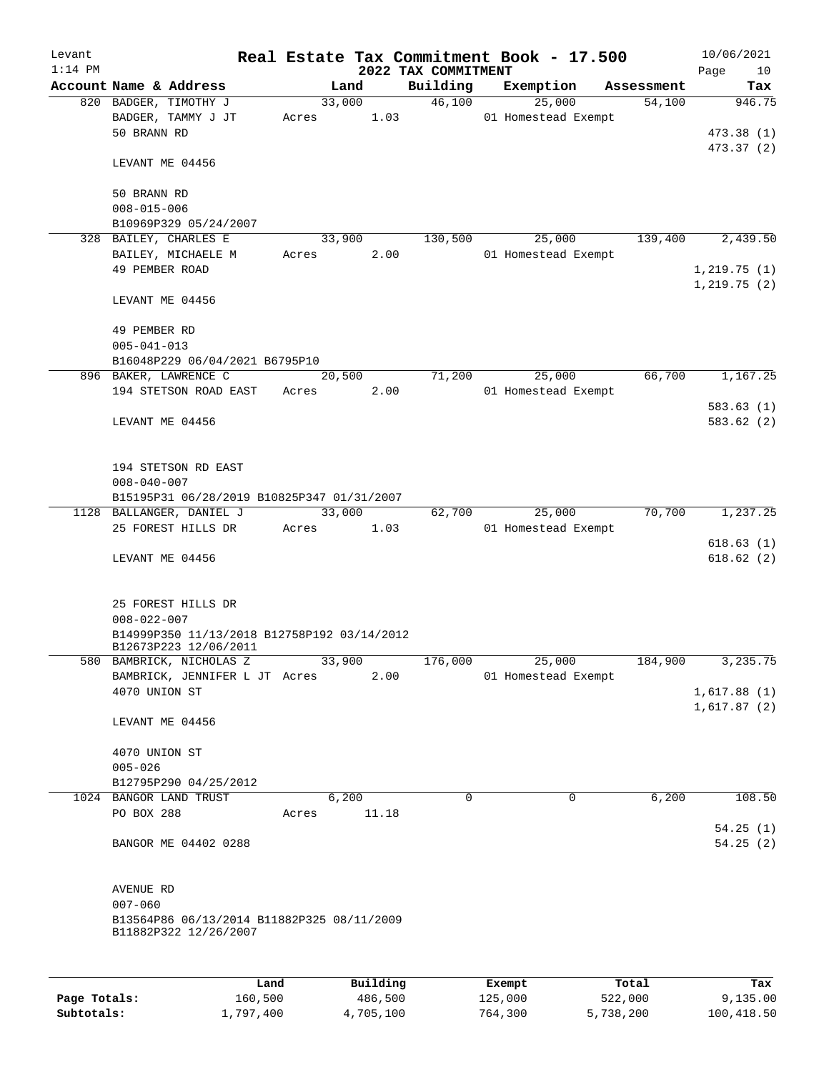| Levant       |                                             |         |        |           |                     | Real Estate Tax Commitment Book - 17.500 |            | 10/06/2021             |
|--------------|---------------------------------------------|---------|--------|-----------|---------------------|------------------------------------------|------------|------------------------|
| $1:14$ PM    |                                             |         |        |           | 2022 TAX COMMITMENT |                                          |            | Page<br>10             |
|              | Account Name & Address                      |         | Land   |           | Building            | Exemption                                | Assessment | Tax                    |
|              | 820 BADGER, TIMOTHY J<br>BADGER, TAMMY J JT |         | 33,000 | 1.03      | 46,100              | 25,000<br>01 Homestead Exempt            | 54,100     | 946.75                 |
|              | 50 BRANN RD                                 | Acres   |        |           |                     |                                          |            | 473.38(1)              |
|              |                                             |         |        |           |                     |                                          |            | 473.37 (2)             |
|              | LEVANT ME 04456                             |         |        |           |                     |                                          |            |                        |
|              |                                             |         |        |           |                     |                                          |            |                        |
|              | 50 BRANN RD                                 |         |        |           |                     |                                          |            |                        |
|              | $008 - 015 - 006$                           |         |        |           |                     |                                          |            |                        |
|              | B10969P329 05/24/2007                       |         |        |           |                     |                                          |            |                        |
|              | 328 BAILEY, CHARLES E                       |         | 33,900 |           | 130,500             | 25,000                                   | 139,400    | 2,439.50               |
|              | BAILEY, MICHAELE M                          | Acres   |        | 2.00      |                     | 01 Homestead Exempt                      |            |                        |
|              | 49 PEMBER ROAD                              |         |        |           |                     |                                          |            | 1,219.75(1)            |
|              |                                             |         |        |           |                     |                                          |            | 1,219.75(2)            |
|              | LEVANT ME 04456                             |         |        |           |                     |                                          |            |                        |
|              |                                             |         |        |           |                     |                                          |            |                        |
|              | 49 PEMBER RD                                |         |        |           |                     |                                          |            |                        |
|              | $005 - 041 - 013$                           |         |        |           |                     |                                          |            |                        |
|              | B16048P229 06/04/2021 B6795P10              |         |        |           |                     |                                          |            |                        |
|              | 896 BAKER, LAWRENCE C                       |         | 20,500 |           | 71,200              | 25,000                                   | 66,700     | 1,167.25               |
|              | 194 STETSON ROAD EAST                       | Acres   |        | 2.00      |                     | 01 Homestead Exempt                      |            |                        |
|              |                                             |         |        |           |                     |                                          |            | 583.63(1)              |
|              | LEVANT ME 04456                             |         |        |           |                     |                                          |            | 583.62 (2)             |
|              |                                             |         |        |           |                     |                                          |            |                        |
|              |                                             |         |        |           |                     |                                          |            |                        |
|              | 194 STETSON RD EAST                         |         |        |           |                     |                                          |            |                        |
|              | $008 - 040 - 007$                           |         |        |           |                     |                                          |            |                        |
|              | B15195P31 06/28/2019 B10825P347 01/31/2007  |         |        |           |                     |                                          |            |                        |
|              | 1128 BALLANGER, DANIEL J                    |         | 33,000 |           | 62,700              | 25,000                                   | 70,700     | 1,237.25               |
|              | 25 FOREST HILLS DR                          | Acres   |        | 1.03      |                     | 01 Homestead Exempt                      |            |                        |
|              | LEVANT ME 04456                             |         |        |           |                     |                                          |            | 618.63(1)<br>618.62(2) |
|              |                                             |         |        |           |                     |                                          |            |                        |
|              |                                             |         |        |           |                     |                                          |            |                        |
|              | 25 FOREST HILLS DR                          |         |        |           |                     |                                          |            |                        |
|              | $008 - 022 - 007$                           |         |        |           |                     |                                          |            |                        |
|              | B14999P350 11/13/2018 B12758P192 03/14/2012 |         |        |           |                     |                                          |            |                        |
|              | B12673P223 12/06/2011                       |         |        |           |                     |                                          |            |                        |
|              | 580 BAMBRICK, NICHOLAS Z                    |         | 33,900 |           | 176,000             | 25,000                                   | 184,900    | 3, 235.75              |
|              | BAMBRICK, JENNIFER L JT Acres               |         |        | 2.00      |                     | 01 Homestead Exempt                      |            |                        |
|              | 4070 UNION ST                               |         |        |           |                     |                                          |            | 1,617.88(1)            |
|              |                                             |         |        |           |                     |                                          |            | 1,617.87(2)            |
|              | LEVANT ME 04456                             |         |        |           |                     |                                          |            |                        |
|              |                                             |         |        |           |                     |                                          |            |                        |
|              | 4070 UNION ST                               |         |        |           |                     |                                          |            |                        |
|              | $005 - 026$                                 |         |        |           |                     |                                          |            |                        |
|              | B12795P290 04/25/2012                       |         |        |           |                     |                                          |            |                        |
| 1024         | BANGOR LAND TRUST                           |         | 6,200  |           | 0                   | $\mathbf 0$                              | 6,200      | 108.50                 |
|              | PO BOX 288                                  | Acres   |        | 11.18     |                     |                                          |            |                        |
|              |                                             |         |        |           |                     |                                          |            | 54.25(1)               |
|              | BANGOR ME 04402 0288                        |         |        |           |                     |                                          |            | 54.25(2)               |
|              |                                             |         |        |           |                     |                                          |            |                        |
|              | AVENUE RD                                   |         |        |           |                     |                                          |            |                        |
|              | $007 - 060$                                 |         |        |           |                     |                                          |            |                        |
|              | B13564P86 06/13/2014 B11882P325 08/11/2009  |         |        |           |                     |                                          |            |                        |
|              | B11882P322 12/26/2007                       |         |        |           |                     |                                          |            |                        |
|              |                                             |         |        |           |                     |                                          |            |                        |
|              |                                             |         |        |           |                     |                                          |            |                        |
|              |                                             | Land    |        | Building  |                     | Exempt                                   | Total      | Tax                    |
| Page Totals: |                                             | 160,500 |        | 486,500   |                     | 125,000                                  | 522,000    | 9,135.00               |
| Subtotals:   | 1,797,400                                   |         |        | 4,705,100 |                     | 764,300                                  | 5,738,200  | 100,418.50             |

**Subtotals:** 1,797,400 4,705,100 764,300 5,738,200 100,418.50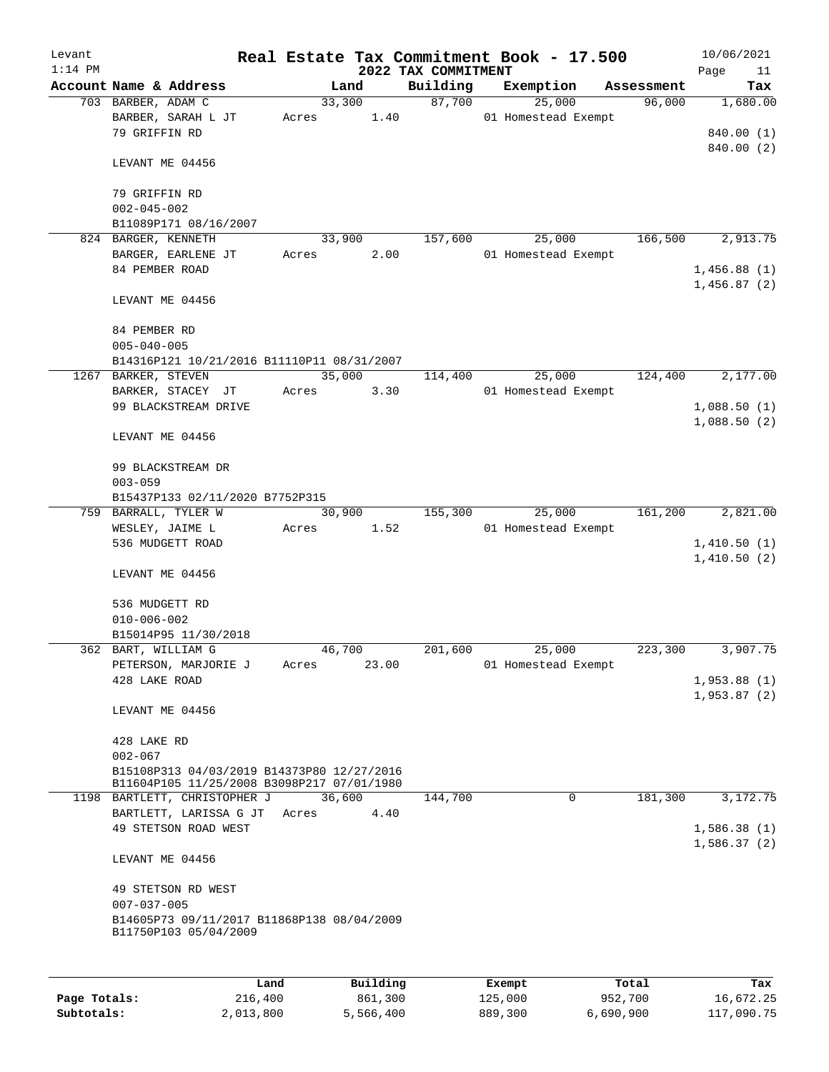| Levant       |                                            |       |        |           | Real Estate Tax Commitment Book - 17.500 |         |                     |           |            | 10/06/2021        |
|--------------|--------------------------------------------|-------|--------|-----------|------------------------------------------|---------|---------------------|-----------|------------|-------------------|
| $1:14$ PM    | Account Name & Address                     |       | Land   |           | 2022 TAX COMMITMENT<br>Building          |         | Exemption           |           | Assessment | Page<br>11<br>Tax |
|              | 703 BARBER, ADAM C                         |       | 33,300 |           | 87,700                                   |         | 25,000              |           | 96,000     | 1,680.00          |
|              | BARBER, SARAH L JT                         | Acres |        | 1.40      |                                          |         | 01 Homestead Exempt |           |            |                   |
|              | 79 GRIFFIN RD                              |       |        |           |                                          |         |                     |           |            | 840.00 (1)        |
|              |                                            |       |        |           |                                          |         |                     |           |            | 840.00 (2)        |
|              | LEVANT ME 04456                            |       |        |           |                                          |         |                     |           |            |                   |
|              |                                            |       |        |           |                                          |         |                     |           |            |                   |
|              | 79 GRIFFIN RD                              |       |        |           |                                          |         |                     |           |            |                   |
|              | $002 - 045 - 002$                          |       |        |           |                                          |         |                     |           |            |                   |
|              | B11089P171 08/16/2007                      |       |        |           |                                          |         |                     |           |            |                   |
|              | 824 BARGER, KENNETH                        |       | 33,900 |           | 157,600                                  |         | 25,000              |           | 166,500    | 2,913.75          |
|              | BARGER, EARLENE JT                         | Acres |        | 2.00      |                                          |         | 01 Homestead Exempt |           |            |                   |
|              | 84 PEMBER ROAD                             |       |        |           |                                          |         |                     |           |            | 1,456.88(1)       |
|              |                                            |       |        |           |                                          |         |                     |           |            | 1,456.87(2)       |
|              | LEVANT ME 04456                            |       |        |           |                                          |         |                     |           |            |                   |
|              |                                            |       |        |           |                                          |         |                     |           |            |                   |
|              | 84 PEMBER RD                               |       |        |           |                                          |         |                     |           |            |                   |
|              | $005 - 040 - 005$                          |       |        |           |                                          |         |                     |           |            |                   |
|              | B14316P121 10/21/2016 B11110P11 08/31/2007 |       | 35,000 |           |                                          |         | 25,000              |           | 124,400    | 2,177.00          |
|              | 1267 BARKER, STEVEN                        | Acres |        | 3.30      | 114,400                                  |         | 01 Homestead Exempt |           |            |                   |
|              | BARKER, STACEY JT<br>99 BLACKSTREAM DRIVE  |       |        |           |                                          |         |                     |           |            | 1,088.50(1)       |
|              |                                            |       |        |           |                                          |         |                     |           |            | 1,088.50(2)       |
|              | LEVANT ME 04456                            |       |        |           |                                          |         |                     |           |            |                   |
|              |                                            |       |        |           |                                          |         |                     |           |            |                   |
|              | 99 BLACKSTREAM DR                          |       |        |           |                                          |         |                     |           |            |                   |
|              | $003 - 059$                                |       |        |           |                                          |         |                     |           |            |                   |
|              | B15437P133 02/11/2020 B7752P315            |       |        |           |                                          |         |                     |           |            |                   |
|              | 759 BARRALL, TYLER W                       |       | 30,900 |           | 155,300                                  |         | 25,000              |           | 161,200    | 2,821.00          |
|              | WESLEY, JAIME L                            | Acres |        | 1.52      |                                          |         | 01 Homestead Exempt |           |            |                   |
|              | 536 MUDGETT ROAD                           |       |        |           |                                          |         |                     |           |            | 1,410.50(1)       |
|              |                                            |       |        |           |                                          |         |                     |           |            | 1,410.50(2)       |
|              | LEVANT ME 04456                            |       |        |           |                                          |         |                     |           |            |                   |
|              |                                            |       |        |           |                                          |         |                     |           |            |                   |
|              | 536 MUDGETT RD                             |       |        |           |                                          |         |                     |           |            |                   |
|              | $010 - 006 - 002$                          |       |        |           |                                          |         |                     |           |            |                   |
|              | B15014P95 11/30/2018                       |       | 46,700 |           | 201,600                                  |         | 25,000              |           |            | 3,907.75          |
|              | 362 BART, WILLIAM G                        |       |        | 23.00     |                                          |         |                     |           | 223,300    |                   |
|              | PETERSON, MARJORIE J<br>428 LAKE ROAD      | Acres |        |           |                                          |         | 01 Homestead Exempt |           |            | 1,953.88(1)       |
|              |                                            |       |        |           |                                          |         |                     |           |            | 1,953.87(2)       |
|              | LEVANT ME 04456                            |       |        |           |                                          |         |                     |           |            |                   |
|              |                                            |       |        |           |                                          |         |                     |           |            |                   |
|              | 428 LAKE RD                                |       |        |           |                                          |         |                     |           |            |                   |
|              | $002 - 067$                                |       |        |           |                                          |         |                     |           |            |                   |
|              | B15108P313 04/03/2019 B14373P80 12/27/2016 |       |        |           |                                          |         |                     |           |            |                   |
|              | B11604P105 11/25/2008 B3098P217 07/01/1980 |       |        |           |                                          |         |                     |           |            |                   |
|              | 1198 BARTLETT, CHRISTOPHER J               |       | 36,600 |           | 144,700                                  |         | 0                   |           | 181,300    | 3,172.75          |
|              | BARTLETT, LARISSA G JT                     | Acres |        | 4.40      |                                          |         |                     |           |            |                   |
|              | 49 STETSON ROAD WEST                       |       |        |           |                                          |         |                     |           |            | 1,586.38(1)       |
|              | LEVANT ME 04456                            |       |        |           |                                          |         |                     |           |            | 1,586.37(2)       |
|              |                                            |       |        |           |                                          |         |                     |           |            |                   |
|              | 49 STETSON RD WEST                         |       |        |           |                                          |         |                     |           |            |                   |
|              | $007 - 037 - 005$                          |       |        |           |                                          |         |                     |           |            |                   |
|              | B14605P73 09/11/2017 B11868P138 08/04/2009 |       |        |           |                                          |         |                     |           |            |                   |
|              | B11750P103 05/04/2009                      |       |        |           |                                          |         |                     |           |            |                   |
|              |                                            |       |        |           |                                          |         |                     |           |            |                   |
|              | Land                                       |       |        | Building  |                                          |         | Exempt              |           | Total      | Tax               |
| Page Totals: | 216,400                                    |       |        | 861,300   |                                          | 125,000 |                     | 952,700   |            | 16,672.25         |
| Subtotals:   | 2,013,800                                  |       |        | 5,566,400 |                                          | 889,300 |                     | 6,690,900 |            | 117,090.75        |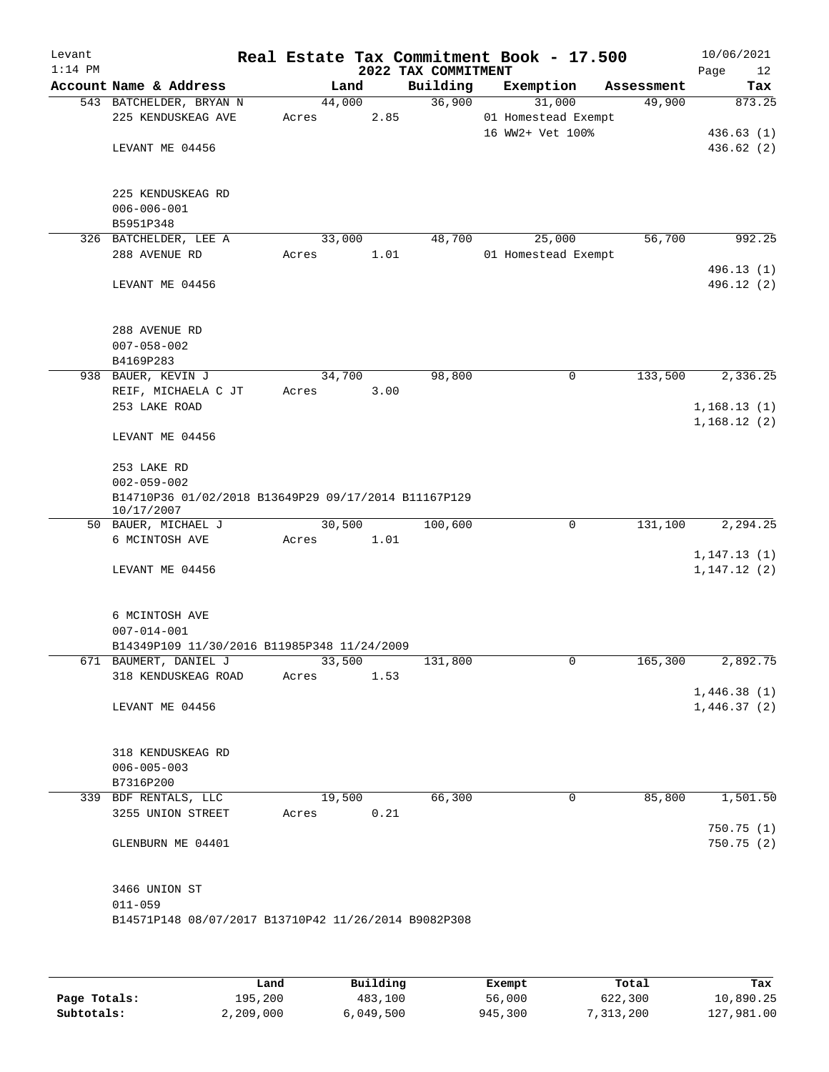| Levant<br>$1:14$ PM |                                                                    |        |      | Real Estate Tax Commitment Book - 17.500<br>2022 TAX COMMITMENT |                     |            | 10/06/2021<br>Page<br>12 |
|---------------------|--------------------------------------------------------------------|--------|------|-----------------------------------------------------------------|---------------------|------------|--------------------------|
|                     | Account Name & Address                                             |        | Land | Building                                                        | Exemption           | Assessment | Tax                      |
|                     | 543 BATCHELDER, BRYAN N                                            | 44,000 |      | 36,900                                                          | 31,000              | 49,900     | 873.25                   |
|                     | 225 KENDUSKEAG AVE                                                 | Acres  | 2.85 |                                                                 | 01 Homestead Exempt |            |                          |
|                     |                                                                    |        |      |                                                                 | 16 WW2+ Vet 100%    |            | 436.63(1)                |
|                     | LEVANT ME 04456                                                    |        |      |                                                                 |                     |            | 436.62 (2)               |
|                     |                                                                    |        |      |                                                                 |                     |            |                          |
|                     | 225 KENDUSKEAG RD                                                  |        |      |                                                                 |                     |            |                          |
|                     | $006 - 006 - 001$                                                  |        |      |                                                                 |                     |            |                          |
|                     | B5951P348                                                          |        |      |                                                                 |                     |            |                          |
|                     | 326 BATCHELDER, LEE A                                              | 33,000 |      | 48,700                                                          | 25,000              | 56,700     | 992.25                   |
|                     | 288 AVENUE RD                                                      | Acres  | 1.01 |                                                                 | 01 Homestead Exempt |            |                          |
|                     |                                                                    |        |      |                                                                 |                     |            | 496.13 (1)               |
|                     | LEVANT ME 04456                                                    |        |      |                                                                 |                     |            | 496.12 (2)               |
|                     |                                                                    |        |      |                                                                 |                     |            |                          |
|                     | 288 AVENUE RD                                                      |        |      |                                                                 |                     |            |                          |
|                     | $007 - 058 - 002$<br>B4169P283                                     |        |      |                                                                 |                     |            |                          |
|                     | 938 BAUER, KEVIN J                                                 | 34,700 |      | 98,800                                                          | 0                   | 133,500    | 2,336.25                 |
|                     | REIF, MICHAELA C JT                                                | Acres  | 3.00 |                                                                 |                     |            |                          |
|                     | 253 LAKE ROAD                                                      |        |      |                                                                 |                     |            | 1,168.13(1)              |
|                     |                                                                    |        |      |                                                                 |                     |            | 1,168.12(2)              |
|                     | LEVANT ME 04456                                                    |        |      |                                                                 |                     |            |                          |
|                     | 253 LAKE RD                                                        |        |      |                                                                 |                     |            |                          |
|                     | $002 - 059 - 002$                                                  |        |      |                                                                 |                     |            |                          |
|                     | B14710P36 01/02/2018 B13649P29 09/17/2014 B11167P129<br>10/17/2007 |        |      |                                                                 |                     |            |                          |
|                     | 50 BAUER, MICHAEL J                                                | 30,500 |      | 100,600                                                         | 0                   | 131,100    | 2,294.25                 |
|                     | 6 MCINTOSH AVE                                                     | Acres  | 1.01 |                                                                 |                     |            |                          |
|                     |                                                                    |        |      |                                                                 |                     |            | 1, 147.13(1)             |
|                     | LEVANT ME 04456                                                    |        |      |                                                                 |                     |            | 1,147.12(2)              |
|                     |                                                                    |        |      |                                                                 |                     |            |                          |
|                     | 6 MCINTOSH AVE<br>$007 - 014 - 001$                                |        |      |                                                                 |                     |            |                          |
|                     | B14349P109 11/30/2016 B11985P348 11/24/2009                        |        |      |                                                                 |                     |            |                          |
|                     | 671 BAUMERT, DANIEL J                                              | 33,500 |      | 131,800                                                         | 0                   | 165,300    | 2,892.75                 |
|                     | 318 KENDUSKEAG ROAD                                                | Acres  | 1.53 |                                                                 |                     |            |                          |
|                     |                                                                    |        |      |                                                                 |                     |            | 1,446.38(1)              |
|                     | LEVANT ME 04456                                                    |        |      |                                                                 |                     |            | 1,446.37(2)              |
|                     |                                                                    |        |      |                                                                 |                     |            |                          |
|                     | 318 KENDUSKEAG RD                                                  |        |      |                                                                 |                     |            |                          |
|                     | $006 - 005 - 003$<br>B7316P200                                     |        |      |                                                                 |                     |            |                          |
|                     | 339 BDF RENTALS, LLC                                               | 19,500 |      | 66,300                                                          | 0                   | 85,800     | 1,501.50                 |
|                     | 3255 UNION STREET                                                  | Acres  | 0.21 |                                                                 |                     |            |                          |
|                     |                                                                    |        |      |                                                                 |                     |            | 750.75(1)                |
|                     | GLENBURN ME 04401                                                  |        |      |                                                                 |                     |            | 750.75(2)                |
|                     |                                                                    |        |      |                                                                 |                     |            |                          |
|                     | 3466 UNION ST                                                      |        |      |                                                                 |                     |            |                          |
|                     | $011 - 059$                                                        |        |      |                                                                 |                     |            |                          |
|                     | B14571P148 08/07/2017 B13710P42 11/26/2014 B9082P308               |        |      |                                                                 |                     |            |                          |
|                     |                                                                    |        |      |                                                                 |                     |            |                          |
|                     |                                                                    |        |      |                                                                 |                     |            |                          |

|              | Land      | Building  | Exempt  | Total     | Tax        |
|--------------|-----------|-----------|---------|-----------|------------|
| Page Totals: | 195,200   | 483,100   | 56,000  | 622,300   | 10,890.25  |
| Subtotals:   | 2,209,000 | 6,049,500 | 945,300 | 7,313,200 | 127,981.00 |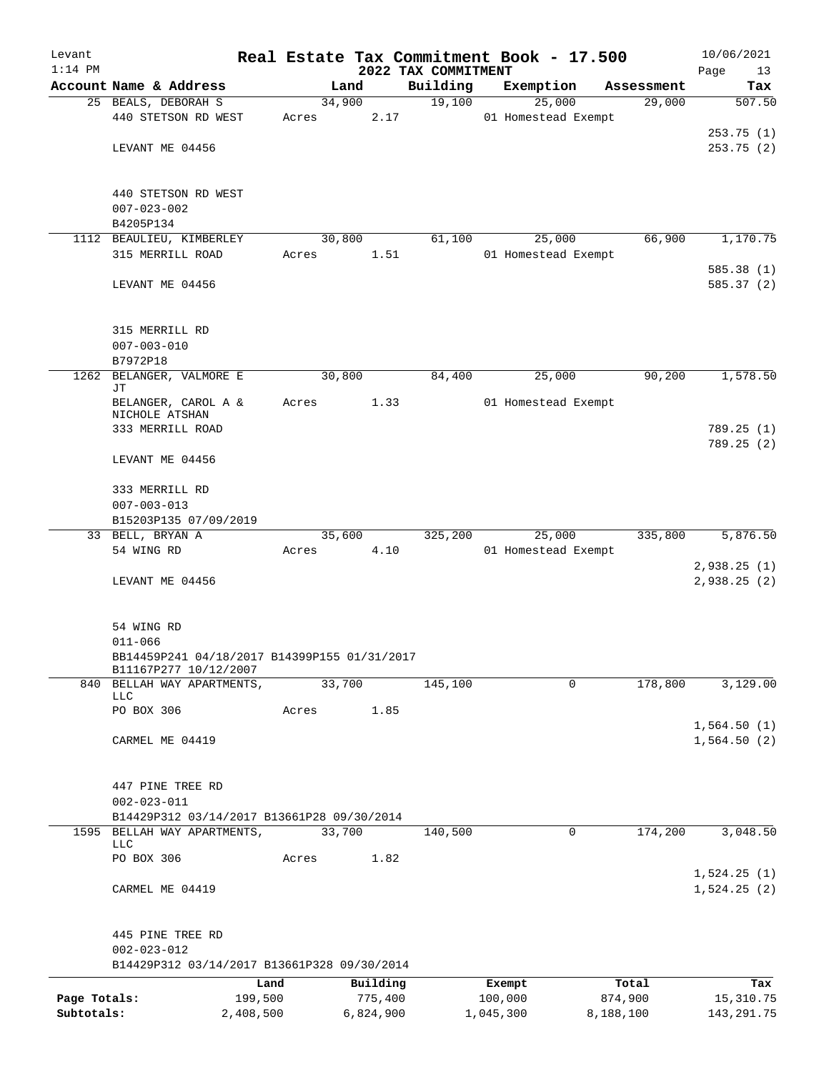| Levant<br>$1:14$ PM |                                                                       |       |           |         | 2022 TAX COMMITMENT | Real Estate Tax Commitment Book - 17.500 |            | 10/06/2021<br>Page<br>13 |
|---------------------|-----------------------------------------------------------------------|-------|-----------|---------|---------------------|------------------------------------------|------------|--------------------------|
|                     | Account Name & Address                                                |       | Land      |         | Building            | Exemption                                | Assessment | Tax                      |
|                     | 25 BEALS, DEBORAH S                                                   |       | 34,900    |         | 19,100              | 25,000                                   | 29,000     | 507.50                   |
|                     | 440 STETSON RD WEST                                                   | Acres |           | 2.17    |                     | 01 Homestead Exempt                      |            |                          |
|                     |                                                                       |       |           |         |                     |                                          |            | 253.75(1)                |
|                     | LEVANT ME 04456                                                       |       |           |         |                     |                                          |            | 253.75(2)                |
|                     |                                                                       |       |           |         |                     |                                          |            |                          |
|                     | 440 STETSON RD WEST                                                   |       |           |         |                     |                                          |            |                          |
|                     | $007 - 023 - 002$                                                     |       |           |         |                     |                                          |            |                          |
|                     | B4205P134                                                             |       |           |         |                     |                                          |            |                          |
|                     | 1112 BEAULIEU, KIMBERLEY                                              |       | 30,800    |         | 61,100              | 25,000                                   | 66,900     | 1,170.75                 |
|                     | 315 MERRILL ROAD                                                      | Acres |           | 1.51    |                     | 01 Homestead Exempt                      |            |                          |
|                     |                                                                       |       |           |         |                     |                                          |            | 585.38(1)                |
|                     | LEVANT ME 04456                                                       |       |           |         |                     |                                          |            | 585.37 (2)               |
|                     | 315 MERRILL RD                                                        |       |           |         |                     |                                          |            |                          |
|                     | $007 - 003 - 010$                                                     |       |           |         |                     |                                          |            |                          |
|                     | B7972P18                                                              |       |           |         |                     |                                          |            |                          |
| 1262                | BELANGER, VALMORE E<br>JΤ                                             |       | 30,800    |         | 84,400              | 25,000                                   | 90,200     | 1,578.50                 |
|                     | BELANGER, CAROL A &                                                   | Acres |           | 1.33    |                     | 01 Homestead Exempt                      |            |                          |
|                     | NICHOLE ATSHAN<br>333 MERRILL ROAD                                    |       |           |         |                     |                                          |            | 789.25(1)                |
|                     | LEVANT ME 04456                                                       |       |           |         |                     |                                          |            | 789.25(2)                |
|                     | 333 MERRILL RD                                                        |       |           |         |                     |                                          |            |                          |
|                     | $007 - 003 - 013$                                                     |       |           |         |                     |                                          |            |                          |
|                     | B15203P135 07/09/2019                                                 |       |           |         |                     |                                          |            |                          |
|                     | 33 BELL, BRYAN A                                                      |       | 35,600    |         | 325,200             | 25,000                                   | 335,800    | 5,876.50                 |
|                     | 54 WING RD                                                            | Acres |           | 4.10    |                     | 01 Homestead Exempt                      |            |                          |
|                     |                                                                       |       |           |         |                     |                                          |            | 2,938.25(1)              |
|                     | LEVANT ME 04456                                                       |       |           |         |                     |                                          |            | 2,938.25 (2)             |
|                     | 54 WING RD                                                            |       |           |         |                     |                                          |            |                          |
|                     | $011 - 066$                                                           |       |           |         |                     |                                          |            |                          |
|                     | BB14459P241 04/18/2017 B14399P155 01/31/2017<br>B11167P277 10/12/2007 |       |           |         |                     |                                          |            |                          |
|                     | 840 BELLAH WAY APARTMENTS,                                            |       | 33,700    |         | 145,100             | 0                                        | 178,800    | 3,129.00                 |
|                     | <b>LLC</b>                                                            |       |           |         |                     |                                          |            |                          |
|                     | PO BOX 306                                                            | Acres |           | 1.85    |                     |                                          |            |                          |
|                     |                                                                       |       |           |         |                     |                                          |            | 1,564.50(1)              |
|                     | CARMEL ME 04419                                                       |       |           |         |                     |                                          |            | 1,564.50(2)              |
|                     | 447 PINE TREE RD                                                      |       |           |         |                     |                                          |            |                          |
|                     | $002 - 023 - 011$                                                     |       |           |         |                     |                                          |            |                          |
|                     | B14429P312 03/14/2017 B13661P28 09/30/2014                            |       |           |         |                     |                                          |            |                          |
|                     | 1595 BELLAH WAY APARTMENTS,                                           |       | 33,700    |         | 140,500             | 0                                        | 174,200    | 3,048.50                 |
|                     | <b>LLC</b><br>PO BOX 306                                              | Acres |           | 1.82    |                     |                                          |            |                          |
|                     |                                                                       |       |           |         |                     |                                          |            | 1,524.25(1)              |
|                     | CARMEL ME 04419                                                       |       |           |         |                     |                                          |            | 1,524.25(2)              |
|                     | 445 PINE TREE RD                                                      |       |           |         |                     |                                          |            |                          |
|                     | $002 - 023 - 012$                                                     |       |           |         |                     |                                          |            |                          |
|                     | B14429P312 03/14/2017 B13661P328 09/30/2014                           |       |           |         |                     |                                          |            |                          |
|                     |                                                                       | Land  | Building  |         |                     | Exempt                                   | Total      | Tax                      |
| Page Totals:        | 199,500                                                               |       |           | 775,400 |                     | 100,000                                  | 874,900    | 15,310.75                |
| Subtotals:          | 2,408,500                                                             |       | 6,824,900 |         |                     | 1,045,300                                | 8,188,100  | 143, 291. 75             |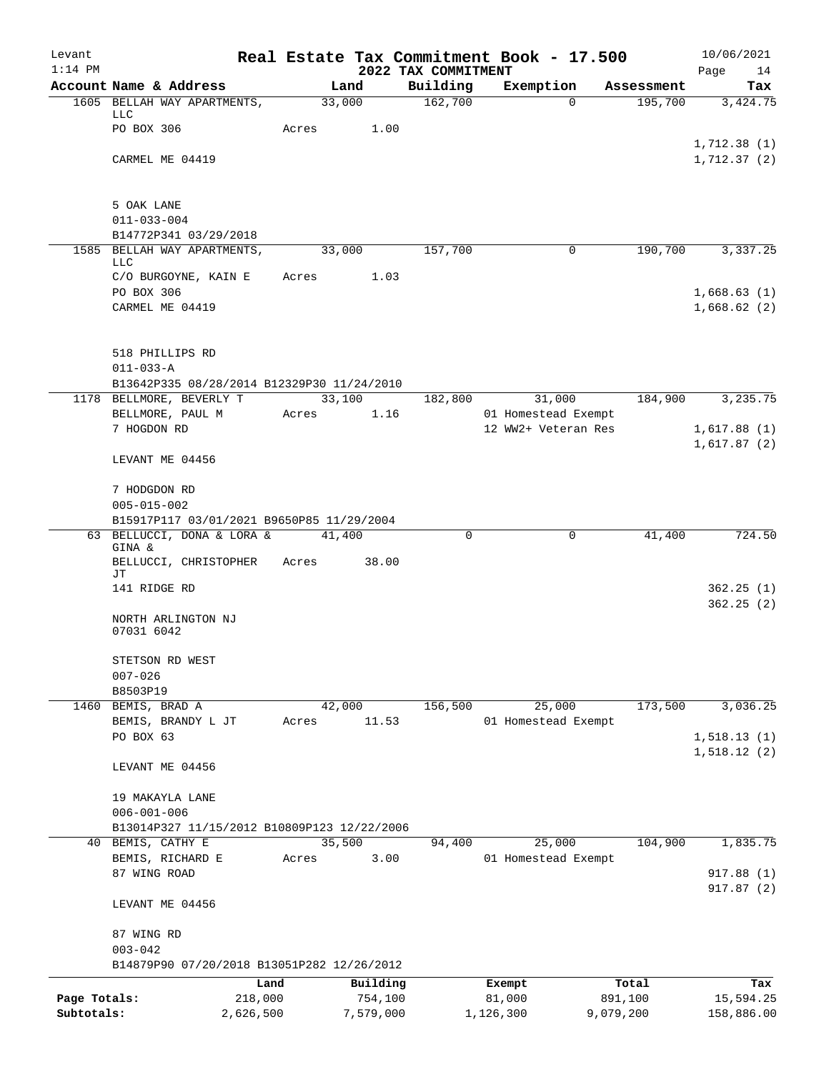| Levant<br>$1:14$ PM        |                                             |                      |                      |                                 | Real Estate Tax Commitment Book - 17.500 |                      | 10/06/2021                 |
|----------------------------|---------------------------------------------|----------------------|----------------------|---------------------------------|------------------------------------------|----------------------|----------------------------|
|                            | Account Name & Address                      |                      | Land                 | 2022 TAX COMMITMENT<br>Building | Exemption                                | Assessment           | Page<br>14<br>Tax          |
|                            | 1605 BELLAH WAY APARTMENTS,                 |                      | 33,000               | 162,700                         | $\Omega$                                 | 195,700              | 3,424.75                   |
|                            | LLC                                         |                      |                      |                                 |                                          |                      |                            |
|                            | PO BOX 306                                  | Acres                | 1.00                 |                                 |                                          |                      |                            |
|                            |                                             |                      |                      |                                 |                                          |                      | 1,712.38(1)                |
|                            | CARMEL ME 04419                             |                      |                      |                                 |                                          |                      | 1,712.37(2)                |
|                            |                                             |                      |                      |                                 |                                          |                      |                            |
|                            | 5 OAK LANE<br>$011 - 033 - 004$             |                      |                      |                                 |                                          |                      |                            |
|                            | B14772P341 03/29/2018                       |                      |                      |                                 |                                          |                      |                            |
|                            | 1585 BELLAH WAY APARTMENTS,                 |                      | 33,000               | 157,700                         | 0                                        | 190,700              | 3,337.25                   |
|                            | LLC                                         |                      |                      |                                 |                                          |                      |                            |
|                            | C/O BURGOYNE, KAIN E                        | Acres                | 1.03                 |                                 |                                          |                      |                            |
|                            | PO BOX 306<br>CARMEL ME 04419               |                      |                      |                                 |                                          |                      | 1,668.63(1)<br>1,668.62(2) |
|                            |                                             |                      |                      |                                 |                                          |                      |                            |
|                            | 518 PHILLIPS RD                             |                      |                      |                                 |                                          |                      |                            |
|                            | $011 - 033 - A$                             |                      |                      |                                 |                                          |                      |                            |
|                            | B13642P335 08/28/2014 B12329P30 11/24/2010  |                      |                      |                                 |                                          |                      |                            |
|                            | 1178 BELLMORE, BEVERLY T                    |                      | 33,100               | 182,800                         | 31,000                                   | 184,900              | 3,235.75                   |
|                            | BELLMORE, PAUL M                            | Acres                | 1.16                 |                                 | 01 Homestead Exempt                      |                      |                            |
|                            | 7 HOGDON RD                                 |                      |                      |                                 | 12 WW2+ Veteran Res                      |                      | 1,617.88(1)                |
|                            | LEVANT ME 04456                             |                      |                      |                                 |                                          |                      | 1,617.87(2)                |
|                            | 7 HODGDON RD                                |                      |                      |                                 |                                          |                      |                            |
|                            | $005 - 015 - 002$                           |                      |                      |                                 |                                          |                      |                            |
|                            | B15917P117 03/01/2021 B9650P85 11/29/2004   |                      |                      |                                 |                                          |                      |                            |
|                            | 63 BELLUCCI, DONA & LORA &                  |                      | 41,400               | $\Omega$                        | $\mathbf 0$                              | 41,400               | 724.50                     |
|                            | GINA &<br>BELLUCCI, CHRISTOPHER             | Acres                | 38.00                |                                 |                                          |                      |                            |
|                            | JТ                                          |                      |                      |                                 |                                          |                      |                            |
|                            | 141 RIDGE RD                                |                      |                      |                                 |                                          |                      | 362.25(1)                  |
|                            | NORTH ARLINGTON NJ<br>07031 6042            |                      |                      |                                 |                                          |                      | 362.25(2)                  |
|                            | STETSON RD WEST                             |                      |                      |                                 |                                          |                      |                            |
|                            | $007 - 026$                                 |                      |                      |                                 |                                          |                      |                            |
|                            | B8503P19                                    |                      |                      |                                 |                                          |                      |                            |
|                            | 1460 BEMIS, BRAD A<br>BEMIS, BRANDY L JT    | Acres                | 42,000<br>11.53      | 156,500                         | 25,000<br>01 Homestead Exempt            | 173,500              | 3,036.25                   |
|                            | PO BOX 63                                   |                      |                      |                                 |                                          |                      | 1,518.13(1)                |
|                            |                                             |                      |                      |                                 |                                          |                      | 1,518.12(2)                |
|                            | LEVANT ME 04456                             |                      |                      |                                 |                                          |                      |                            |
|                            | 19 MAKAYLA LANE                             |                      |                      |                                 |                                          |                      |                            |
|                            | $006 - 001 - 006$                           |                      |                      |                                 |                                          |                      |                            |
|                            | B13014P327 11/15/2012 B10809P123 12/22/2006 |                      |                      |                                 |                                          |                      |                            |
|                            | 40 BEMIS, CATHY E                           |                      | 35,500               | 94,400                          | 25,000                                   | 104,900              | 1,835.75                   |
|                            | BEMIS, RICHARD E                            | Acres                | 3.00                 |                                 | 01 Homestead Exempt                      |                      |                            |
|                            | 87 WING ROAD                                |                      |                      |                                 |                                          |                      | 917.88 (1)<br>917.87(2)    |
|                            | LEVANT ME 04456                             |                      |                      |                                 |                                          |                      |                            |
|                            | 87 WING RD                                  |                      |                      |                                 |                                          |                      |                            |
|                            | $003 - 042$                                 |                      |                      |                                 |                                          |                      |                            |
|                            | B14879P90 07/20/2018 B13051P282 12/26/2012  |                      |                      |                                 |                                          |                      |                            |
|                            |                                             | Land                 | Building             |                                 | Exempt                                   | Total                | Tax                        |
| Page Totals:<br>Subtotals: |                                             | 218,000<br>2,626,500 | 754,100<br>7,579,000 |                                 | 81,000<br>1,126,300                      | 891,100<br>9,079,200 | 15,594.25<br>158,886.00    |
|                            |                                             |                      |                      |                                 |                                          |                      |                            |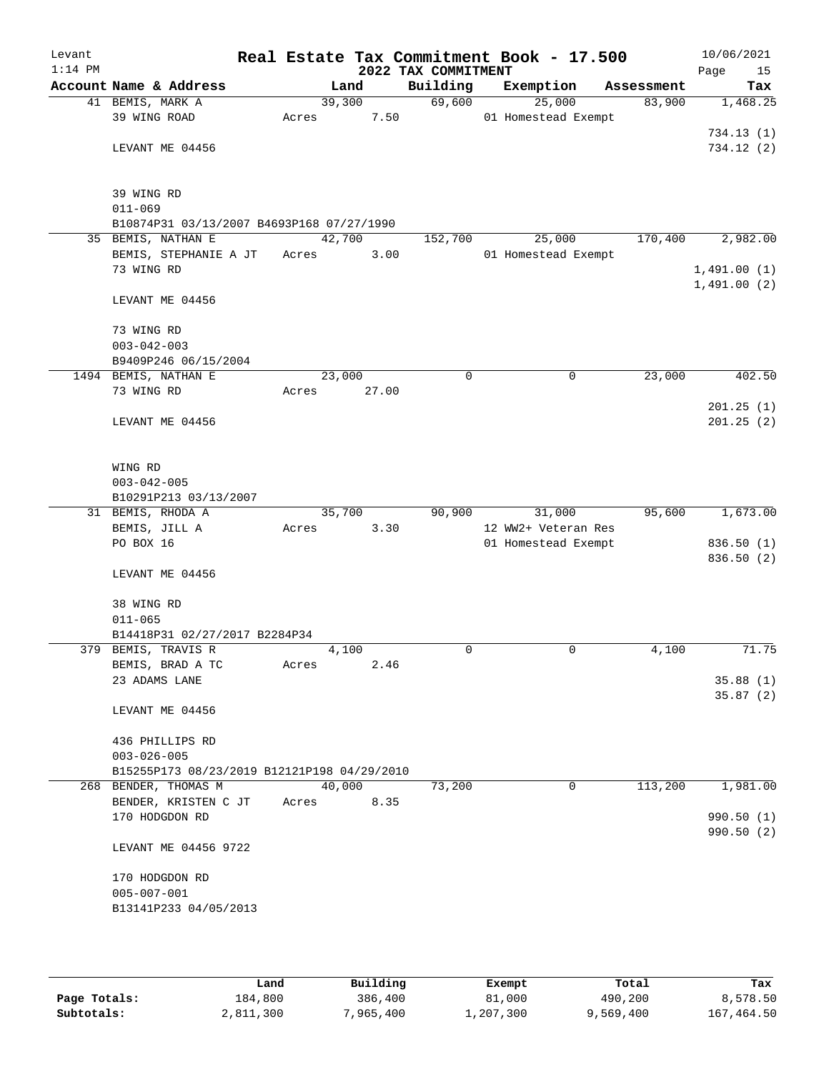| Levant    |                                             |       |        |                     | Real Estate Tax Commitment Book - 17.500 |            | 10/06/2021                 |
|-----------|---------------------------------------------|-------|--------|---------------------|------------------------------------------|------------|----------------------------|
| $1:14$ PM |                                             |       |        | 2022 TAX COMMITMENT |                                          |            | Page<br>15                 |
|           | Account Name & Address                      |       | Land   | Building            | Exemption                                | Assessment | Tax                        |
|           | 41 BEMIS, MARK A                            |       | 39,300 | 69,600              | 25,000                                   | 83,900     | 1,468.25                   |
|           | 39 WING ROAD                                | Acres | 7.50   |                     | 01 Homestead Exempt                      |            |                            |
|           |                                             |       |        |                     |                                          |            | 734.13 (1)                 |
|           | LEVANT ME 04456                             |       |        |                     |                                          |            | 734.12(2)                  |
|           | 39 WING RD                                  |       |        |                     |                                          |            |                            |
|           | $011 - 069$                                 |       |        |                     |                                          |            |                            |
|           | B10874P31 03/13/2007 B4693P168 07/27/1990   |       |        |                     |                                          |            |                            |
|           | 35 BEMIS, NATHAN E                          |       | 42,700 | 152,700             | 25,000                                   | 170,400    | 2,982.00                   |
|           | BEMIS, STEPHANIE A JT                       | Acres | 3.00   |                     | 01 Homestead Exempt                      |            |                            |
|           | 73 WING RD                                  |       |        |                     |                                          |            | 1,491.00(1)<br>1,491.00(2) |
|           | LEVANT ME 04456                             |       |        |                     |                                          |            |                            |
|           | 73 WING RD                                  |       |        |                     |                                          |            |                            |
|           | $003 - 042 - 003$                           |       |        |                     |                                          |            |                            |
|           | B9409P246 06/15/2004                        |       |        |                     |                                          |            |                            |
|           | 1494 BEMIS, NATHAN E                        |       | 23,000 | 0                   | $\mathbf 0$                              | 23,000     | 402.50                     |
|           | 73 WING RD                                  | Acres | 27.00  |                     |                                          |            |                            |
|           |                                             |       |        |                     |                                          |            | 201.25(1)                  |
|           | LEVANT ME 04456                             |       |        |                     |                                          |            | 201.25(2)                  |
|           | WING RD                                     |       |        |                     |                                          |            |                            |
|           | $003 - 042 - 005$                           |       |        |                     |                                          |            |                            |
|           | B10291P213 03/13/2007                       |       |        |                     |                                          |            |                            |
|           | 31 BEMIS, RHODA A                           |       | 35,700 | 90,900              | 31,000                                   | 95,600     | 1,673.00                   |
|           | BEMIS, JILL A                               | Acres | 3.30   |                     | 12 WW2+ Veteran Res                      |            |                            |
|           | PO BOX 16                                   |       |        |                     | 01 Homestead Exempt                      |            | 836.50 (1)                 |
|           | LEVANT ME 04456                             |       |        |                     |                                          |            | 836.50 (2)                 |
|           | 38 WING RD                                  |       |        |                     |                                          |            |                            |
|           | $011 - 065$                                 |       |        |                     |                                          |            |                            |
|           | B14418P31 02/27/2017 B2284P34               |       |        |                     |                                          |            |                            |
|           | 379 BEMIS, TRAVIS R                         |       | 4,100  | 0                   | 0                                        | 4,100      | 71.75                      |
|           | BEMIS, BRAD A TC                            | Acres | 2.46   |                     |                                          |            |                            |
|           | 23 ADAMS LANE                               |       |        |                     |                                          |            | 35.88(1)                   |
|           | LEVANT ME 04456                             |       |        |                     |                                          |            | 35.87(2)                   |
|           | 436 PHILLIPS RD                             |       |        |                     |                                          |            |                            |
|           | $003 - 026 - 005$                           |       |        |                     |                                          |            |                            |
|           | B15255P173 08/23/2019 B12121P198 04/29/2010 |       |        |                     |                                          |            |                            |
|           | 268 BENDER, THOMAS M                        |       | 40,000 | 73,200              | $\mathbf 0$                              | 113,200    | 1,981.00                   |
|           | BENDER, KRISTEN C JT                        | Acres | 8.35   |                     |                                          |            |                            |
|           | 170 HODGDON RD                              |       |        |                     |                                          |            | 990.50(1)<br>990.50(2)     |
|           | LEVANT ME 04456 9722                        |       |        |                     |                                          |            |                            |
|           | 170 HODGDON RD                              |       |        |                     |                                          |            |                            |
|           | $005 - 007 - 001$                           |       |        |                     |                                          |            |                            |
|           | B13141P233 04/05/2013                       |       |        |                     |                                          |            |                            |
|           |                                             |       |        |                     |                                          |            |                            |

|              | Land      | Building  | Exempt    | Total     | Tax        |
|--------------|-----------|-----------|-----------|-----------|------------|
| Page Totals: | 184,800   | 386,400   | 81,000    | 490,200   | 8,578.50   |
| Subtotals:   | 2,811,300 | 7,965,400 | 1,207,300 | 9,569,400 | 167,464.50 |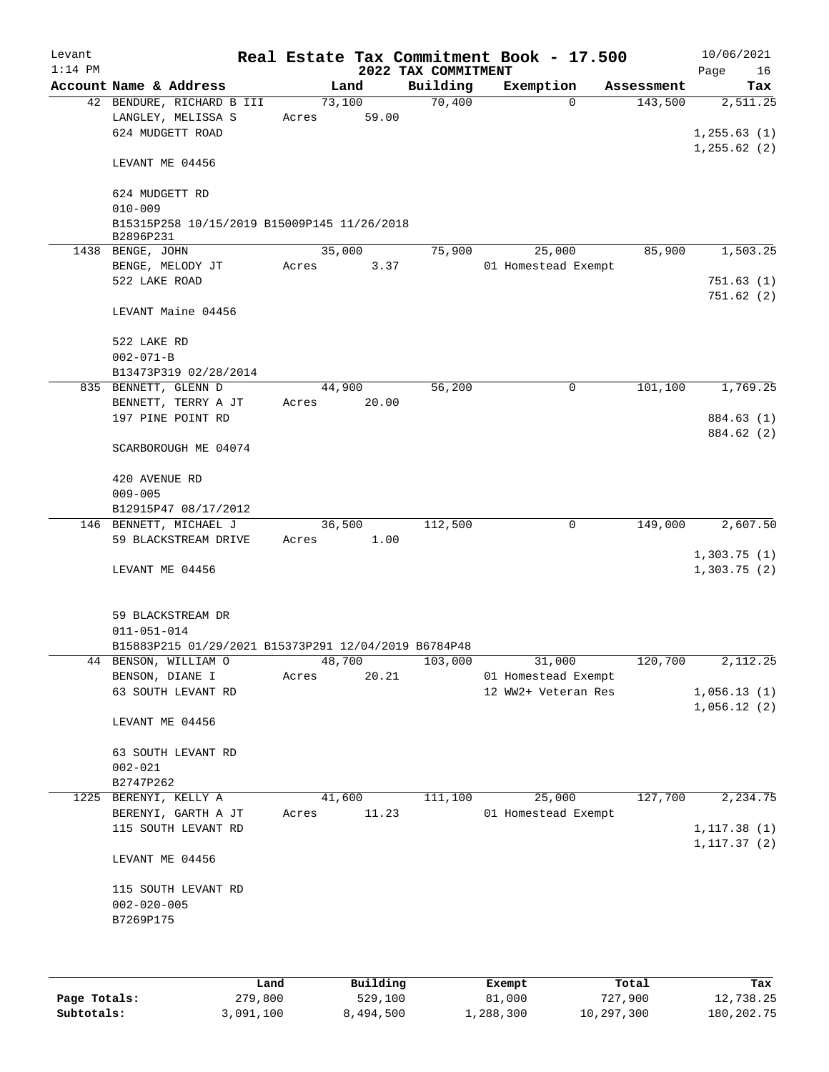| Levant<br>$1:14$ PM |                                                                     |       |        |       | 2022 TAX COMMITMENT | Real Estate Tax Commitment Book - 17.500 |            | 10/06/2021<br>Page<br>16 |
|---------------------|---------------------------------------------------------------------|-------|--------|-------|---------------------|------------------------------------------|------------|--------------------------|
|                     | Account Name & Address                                              |       | Land   |       | Building            | Exemption                                | Assessment | Tax                      |
|                     | 42 BENDURE, RICHARD B III<br>LANGLEY, MELISSA S<br>624 MUDGETT ROAD | Acres | 73,100 | 59.00 | 70,400              | $\Omega$                                 | 143,500    | 2,511.25<br>1, 255.63(1) |
|                     | LEVANT ME 04456                                                     |       |        |       |                     |                                          |            | 1, 255.62(2)             |
|                     | 624 MUDGETT RD<br>$010 - 009$                                       |       |        |       |                     |                                          |            |                          |
|                     | B15315P258 10/15/2019 B15009P145 11/26/2018<br>B2896P231            |       |        |       |                     |                                          |            |                          |
|                     | 1438 BENGE, JOHN                                                    |       | 35,000 |       | 75,900              | 25,000                                   | 85,900     | 1,503.25                 |
|                     | BENGE, MELODY JT<br>522 LAKE ROAD                                   | Acres |        | 3.37  |                     | 01 Homestead Exempt                      |            | 751.63(1)<br>751.62(2)   |
|                     | LEVANT Maine 04456                                                  |       |        |       |                     |                                          |            |                          |
|                     | 522 LAKE RD                                                         |       |        |       |                     |                                          |            |                          |
|                     | $002 - 071 - B$                                                     |       |        |       |                     |                                          |            |                          |
|                     | B13473P319 02/28/2014                                               |       |        |       |                     |                                          |            |                          |
|                     | 835 BENNETT, GLENN D                                                |       | 44,900 |       | 56,200              | 0                                        | 101,100    | 1,769.25                 |
|                     | BENNETT, TERRY A JT                                                 | Acres |        | 20.00 |                     |                                          |            |                          |
|                     | 197 PINE POINT RD                                                   |       |        |       |                     |                                          |            | 884.63 (1)               |
|                     | SCARBOROUGH ME 04074                                                |       |        |       |                     |                                          |            | 884.62 (2)               |
|                     | 420 AVENUE RD                                                       |       |        |       |                     |                                          |            |                          |
|                     | $009 - 005$                                                         |       |        |       |                     |                                          |            |                          |
|                     | B12915P47 08/17/2012                                                |       |        |       |                     |                                          |            |                          |
|                     | 146 BENNETT, MICHAEL J                                              |       | 36,500 |       | 112,500             | $\mathbf 0$                              | 149,000    | 2,607.50                 |
|                     | 59 BLACKSTREAM DRIVE                                                | Acres |        | 1.00  |                     |                                          |            |                          |
|                     |                                                                     |       |        |       |                     |                                          |            | 1,303.75(1)              |
|                     | LEVANT ME 04456                                                     |       |        |       |                     |                                          |            | 1,303.75(2)              |
|                     | 59 BLACKSTREAM DR<br>$011 - 051 - 014$                              |       |        |       |                     |                                          |            |                          |
|                     | B15883P215 01/29/2021 B15373P291 12/04/2019 B6784P48                |       |        |       |                     |                                          |            |                          |
|                     | 44 BENSON, WILLIAM O                                                |       | 48,700 |       | 103,000             | 31,000                                   | 120,700    | 2,112.25                 |
|                     | BENSON, DIANE I                                                     | Acres |        | 20.21 |                     | 01 Homestead Exempt                      |            |                          |
|                     | 63 SOUTH LEVANT RD                                                  |       |        |       |                     | 12 WW2+ Veteran Res                      |            | 1,056.13(1)              |
|                     |                                                                     |       |        |       |                     |                                          |            | 1,056.12(2)              |
|                     | LEVANT ME 04456                                                     |       |        |       |                     |                                          |            |                          |
|                     | 63 SOUTH LEVANT RD                                                  |       |        |       |                     |                                          |            |                          |
|                     | $002 - 021$                                                         |       |        |       |                     |                                          |            |                          |
|                     | B2747P262                                                           |       |        |       |                     |                                          |            |                          |
| 1225                | BERENYI, KELLY A                                                    |       | 41,600 |       | 111,100             | 25,000                                   | 127,700    | 2,234.75                 |
|                     | BERENYI, GARTH A JT                                                 | Acres |        | 11.23 |                     | 01 Homestead Exempt                      |            |                          |
|                     | 115 SOUTH LEVANT RD                                                 |       |        |       |                     |                                          |            | 1, 117.38(1)             |
|                     |                                                                     |       |        |       |                     |                                          |            | 1, 117.37(2)             |
|                     | LEVANT ME 04456                                                     |       |        |       |                     |                                          |            |                          |
|                     | 115 SOUTH LEVANT RD                                                 |       |        |       |                     |                                          |            |                          |
|                     |                                                                     |       |        |       |                     |                                          |            |                          |
|                     | $002 - 020 - 005$                                                   |       |        |       |                     |                                          |            |                          |
|                     | B7269P175                                                           |       |        |       |                     |                                          |            |                          |
|                     |                                                                     |       |        |       |                     |                                          |            |                          |
|                     |                                                                     |       |        |       |                     |                                          |            |                          |
|                     |                                                                     |       |        |       |                     |                                          |            |                          |

|              | Land      | Building  | Exempt    | Total      | Tax        |
|--------------|-----------|-----------|-----------|------------|------------|
| Page Totals: | 279,800   | 529,100   | 81,000    | 727,900    | 12,738.25  |
| Subtotals:   | 3,091,100 | 8,494,500 | ⊥,288,300 | 10,297,300 | 180,202.75 |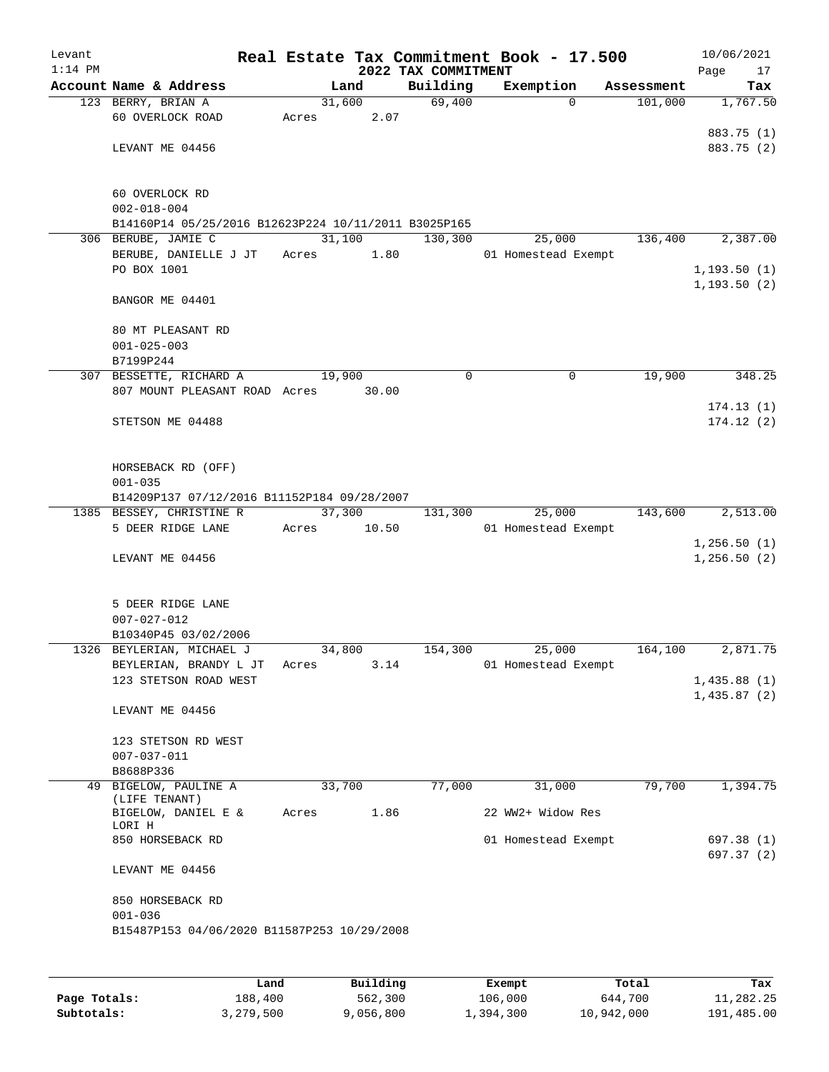| Levant<br>$1:14$ PM |                                                      |        |        | Real Estate Tax Commitment Book - 17.500<br>2022 TAX COMMITMENT |                     |             |            | 10/06/2021<br>Page<br>17 |
|---------------------|------------------------------------------------------|--------|--------|-----------------------------------------------------------------|---------------------|-------------|------------|--------------------------|
|                     | Account Name & Address                               |        | Land   | Building                                                        | Exemption           |             | Assessment | Tax                      |
|                     | 123 BERRY, BRIAN A                                   |        | 31,600 | 69,400                                                          |                     | $\Omega$    | 101,000    | 1,767.50                 |
|                     | 60 OVERLOCK ROAD                                     | Acres  | 2.07   |                                                                 |                     |             |            |                          |
|                     |                                                      |        |        |                                                                 |                     |             |            | 883.75 (1)               |
|                     | LEVANT ME 04456                                      |        |        |                                                                 |                     |             |            | 883.75 (2)               |
|                     | 60 OVERLOCK RD                                       |        |        |                                                                 |                     |             |            |                          |
|                     | $002 - 018 - 004$                                    |        |        |                                                                 |                     |             |            |                          |
|                     | B14160P14 05/25/2016 B12623P224 10/11/2011 B3025P165 |        |        |                                                                 |                     |             |            |                          |
|                     | 306 BERUBE, JAMIE C                                  | 31,100 |        | 130,300                                                         |                     | 25,000      | 136,400    | 2,387.00                 |
|                     | BERUBE, DANIELLE J JT                                | Acres  | 1.80   |                                                                 | 01 Homestead Exempt |             |            |                          |
|                     | PO BOX 1001                                          |        |        |                                                                 |                     |             |            | 1, 193.50(1)             |
|                     | BANGOR ME 04401                                      |        |        |                                                                 |                     |             |            | 1, 193.50(2)             |
|                     |                                                      |        |        |                                                                 |                     |             |            |                          |
|                     | 80 MT PLEASANT RD                                    |        |        |                                                                 |                     |             |            |                          |
|                     | $001 - 025 - 003$                                    |        |        |                                                                 |                     |             |            |                          |
|                     | B7199P244                                            |        |        |                                                                 |                     |             |            |                          |
|                     | 307 BESSETTE, RICHARD A                              | 19,900 |        | 0                                                               |                     | $\mathbf 0$ | 19,900     | 348.25                   |
|                     | 807 MOUNT PLEASANT ROAD Acres                        |        | 30.00  |                                                                 |                     |             |            |                          |
|                     |                                                      |        |        |                                                                 |                     |             |            | 174.13(1)                |
|                     | STETSON ME 04488                                     |        |        |                                                                 |                     |             |            | 174.12(2)                |
|                     |                                                      |        |        |                                                                 |                     |             |            |                          |
|                     | HORSEBACK RD (OFF)<br>$001 - 035$                    |        |        |                                                                 |                     |             |            |                          |
|                     | B14209P137 07/12/2016 B11152P184 09/28/2007          |        |        |                                                                 |                     |             |            |                          |
|                     | 1385 BESSEY, CHRISTINE R                             | 37,300 |        | 131,300                                                         |                     | 25,000      | 143,600    | 2,513.00                 |
|                     | 5 DEER RIDGE LANE                                    | Acres  | 10.50  |                                                                 | 01 Homestead Exempt |             |            |                          |
|                     |                                                      |        |        |                                                                 |                     |             |            | 1,256.50(1)              |
|                     | LEVANT ME 04456                                      |        |        |                                                                 |                     |             |            | 1,256.50(2)              |
|                     |                                                      |        |        |                                                                 |                     |             |            |                          |
|                     | 5 DEER RIDGE LANE                                    |        |        |                                                                 |                     |             |            |                          |
|                     | $007 - 027 - 012$                                    |        |        |                                                                 |                     |             |            |                          |
|                     | B10340P45 03/02/2006                                 |        |        |                                                                 |                     |             |            |                          |
|                     | 1326 BEYLERIAN, MICHAEL J                            | 34,800 |        | 154,300                                                         |                     | 25,000      | 164,100    | 2,871.75                 |
|                     | BEYLERIAN, BRANDY L JT                               | Acres  | 3.14   |                                                                 | 01 Homestead Exempt |             |            |                          |
|                     | 123 STETSON ROAD WEST                                |        |        |                                                                 |                     |             |            | 1,435.88(1)              |
|                     | LEVANT ME 04456                                      |        |        |                                                                 |                     |             |            | 1,435.87(2)              |
|                     |                                                      |        |        |                                                                 |                     |             |            |                          |
|                     | 123 STETSON RD WEST                                  |        |        |                                                                 |                     |             |            |                          |
|                     | $007 - 037 - 011$                                    |        |        |                                                                 |                     |             |            |                          |
|                     | B8688P336<br>BIGELOW, PAULINE A                      |        |        | 77,000                                                          |                     | 31,000      | 79,700     | 1,394.75                 |
| 49                  | (LIFE TENANT)                                        | 33,700 |        |                                                                 |                     |             |            |                          |
|                     | BIGELOW, DANIEL E &<br>LORI H                        | Acres  | 1.86   |                                                                 | 22 WW2+ Widow Res   |             |            |                          |
|                     | 850 HORSEBACK RD                                     |        |        |                                                                 | 01 Homestead Exempt |             |            | 697.38 (1)               |
|                     | LEVANT ME 04456                                      |        |        |                                                                 |                     |             |            | 697.37 (2)               |
|                     |                                                      |        |        |                                                                 |                     |             |            |                          |
|                     | 850 HORSEBACK RD                                     |        |        |                                                                 |                     |             |            |                          |
|                     | $001 - 036$                                          |        |        |                                                                 |                     |             |            |                          |
|                     | B15487P153 04/06/2020 B11587P253 10/29/2008          |        |        |                                                                 |                     |             |            |                          |
|                     |                                                      |        |        |                                                                 |                     |             |            |                          |

|              | Land      | Building  | Exempt    | Total      | Tax        |
|--------------|-----------|-----------|-----------|------------|------------|
| Page Totals: | 188,400   | 562,300   | 106,000   | 644,700    | 11,282.25  |
| Subtotals:   | 3,279,500 | 9,056,800 | 1,394,300 | 10,942,000 | 191,485.00 |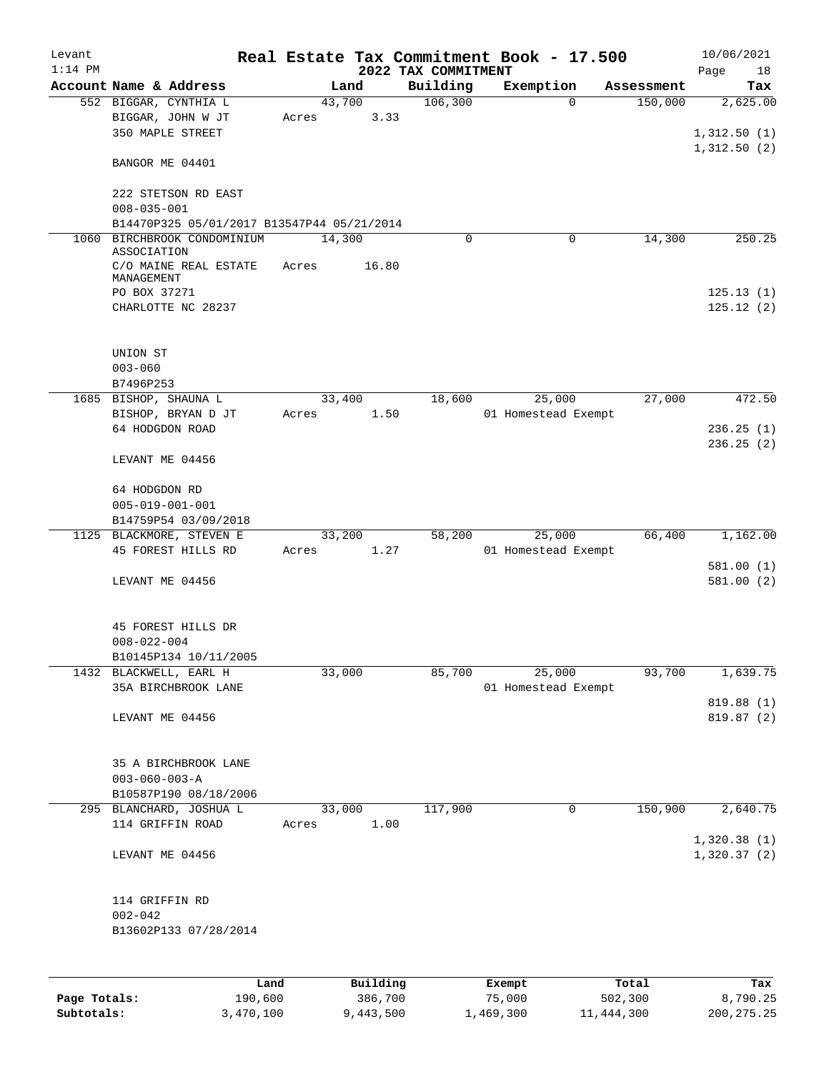| Levant<br>$1:14$ PM |                                                |       |          | 2022 TAX COMMITMENT | Real Estate Tax Commitment Book - 17.500 |            | 10/06/2021<br>Page<br>18 |
|---------------------|------------------------------------------------|-------|----------|---------------------|------------------------------------------|------------|--------------------------|
|                     | Account Name & Address                         |       | Land     | Building            | Exemption                                | Assessment | Tax                      |
|                     | 552 BIGGAR, CYNTHIA L                          |       | 43,700   | 106,300             | $\Omega$                                 | 150,000    | 2,625.00                 |
|                     | BIGGAR, JOHN W JT                              | Acres | 3.33     |                     |                                          |            |                          |
|                     | 350 MAPLE STREET                               |       |          |                     |                                          |            | 1,312.50(1)              |
|                     |                                                |       |          |                     |                                          |            | 1,312.50(2)              |
|                     | BANGOR ME 04401                                |       |          |                     |                                          |            |                          |
|                     | 222 STETSON RD EAST                            |       |          |                     |                                          |            |                          |
|                     | $008 - 035 - 001$                              |       |          |                     |                                          |            |                          |
|                     | B14470P325 05/01/2017 B13547P44 05/21/2014     |       |          |                     |                                          |            |                          |
| 1060                | BIRCHBROOK CONDOMINIUM                         |       | 14,300   | $\Omega$            | 0                                        | 14,300     | 250.25                   |
|                     | ASSOCIATION                                    |       |          |                     |                                          |            |                          |
|                     | C/O MAINE REAL ESTATE                          | Acres | 16.80    |                     |                                          |            |                          |
|                     | MANAGEMENT                                     |       |          |                     |                                          |            |                          |
|                     | PO BOX 37271                                   |       |          |                     |                                          |            | 125.13(1)                |
|                     | CHARLOTTE NC 28237                             |       |          |                     |                                          |            | 125.12(2)                |
|                     | UNION ST                                       |       |          |                     |                                          |            |                          |
|                     | $003 - 060$                                    |       |          |                     |                                          |            |                          |
|                     | B7496P253                                      |       |          |                     |                                          |            |                          |
|                     | 1685 BISHOP, SHAUNA L                          |       | 33,400   | 18,600              | 25,000                                   | 27,000     | 472.50                   |
|                     | BISHOP, BRYAN D JT                             | Acres | 1.50     |                     | 01 Homestead Exempt                      |            |                          |
|                     | 64 HODGDON ROAD                                |       |          |                     |                                          |            | 236.25(1)                |
|                     |                                                |       |          |                     |                                          |            | 236.25(2)                |
|                     | LEVANT ME 04456                                |       |          |                     |                                          |            |                          |
|                     | 64 HODGDON RD                                  |       |          |                     |                                          |            |                          |
|                     | $005 - 019 - 001 - 001$                        |       |          |                     |                                          |            |                          |
|                     | B14759P54 03/09/2018                           |       |          |                     |                                          |            |                          |
|                     | 1125 BLACKMORE, STEVEN E                       |       | 33,200   | 58,200              | 25,000                                   | 66,400     | 1,162.00                 |
|                     | 45 FOREST HILLS RD                             | Acres | 1.27     |                     | 01 Homestead Exempt                      |            |                          |
|                     |                                                |       |          |                     |                                          |            | 581.00(1)                |
|                     | LEVANT ME 04456                                |       |          |                     |                                          |            | 581.00(2)                |
|                     |                                                |       |          |                     |                                          |            |                          |
|                     | 45 FOREST HILLS DR                             |       |          |                     |                                          |            |                          |
|                     | $008 - 022 - 004$                              |       |          |                     |                                          |            |                          |
|                     | B10145P134 10/11/2005                          |       |          |                     |                                          |            |                          |
|                     | 1432 BLACKWELL, EARL H                         |       | 33,000   | 85,700              | 25,000                                   | 93,700     | 1,639.75                 |
|                     | 35A BIRCHBROOK LANE                            |       |          |                     | 01 Homestead Exempt                      |            |                          |
|                     |                                                |       |          |                     |                                          |            | 819.88 (1)               |
|                     | LEVANT ME 04456                                |       |          |                     |                                          |            | 819.87 (2)               |
|                     |                                                |       |          |                     |                                          |            |                          |
|                     | 35 A BIRCHBROOK LANE                           |       |          |                     |                                          |            |                          |
|                     | $003 - 060 - 003 - A$<br>B10587P190 08/18/2006 |       |          |                     |                                          |            |                          |
| 295                 | BLANCHARD, JOSHUA L                            |       | 33,000   | 117,900             | 0                                        | 150,900    | 2,640.75                 |
|                     | 114 GRIFFIN ROAD                               | Acres | 1.00     |                     |                                          |            |                          |
|                     |                                                |       |          |                     |                                          |            | 1,320.38(1)              |
|                     | LEVANT ME 04456                                |       |          |                     |                                          |            | 1,320.37(2)              |
|                     |                                                |       |          |                     |                                          |            |                          |
|                     | 114 GRIFFIN RD                                 |       |          |                     |                                          |            |                          |
|                     | $002 - 042$                                    |       |          |                     |                                          |            |                          |
|                     | B13602P133 07/28/2014                          |       |          |                     |                                          |            |                          |
|                     |                                                |       |          |                     |                                          |            |                          |
|                     | Land                                           |       | Building |                     | Exempt                                   | Total      | Tax                      |
| Page Totals:        | 190,600                                        |       | 386,700  |                     | 75,000                                   | 502,300    | 8,790.25                 |

**Subtotals:** 3,470,100 9,443,500 1,469,300 11,444,300 200,275.25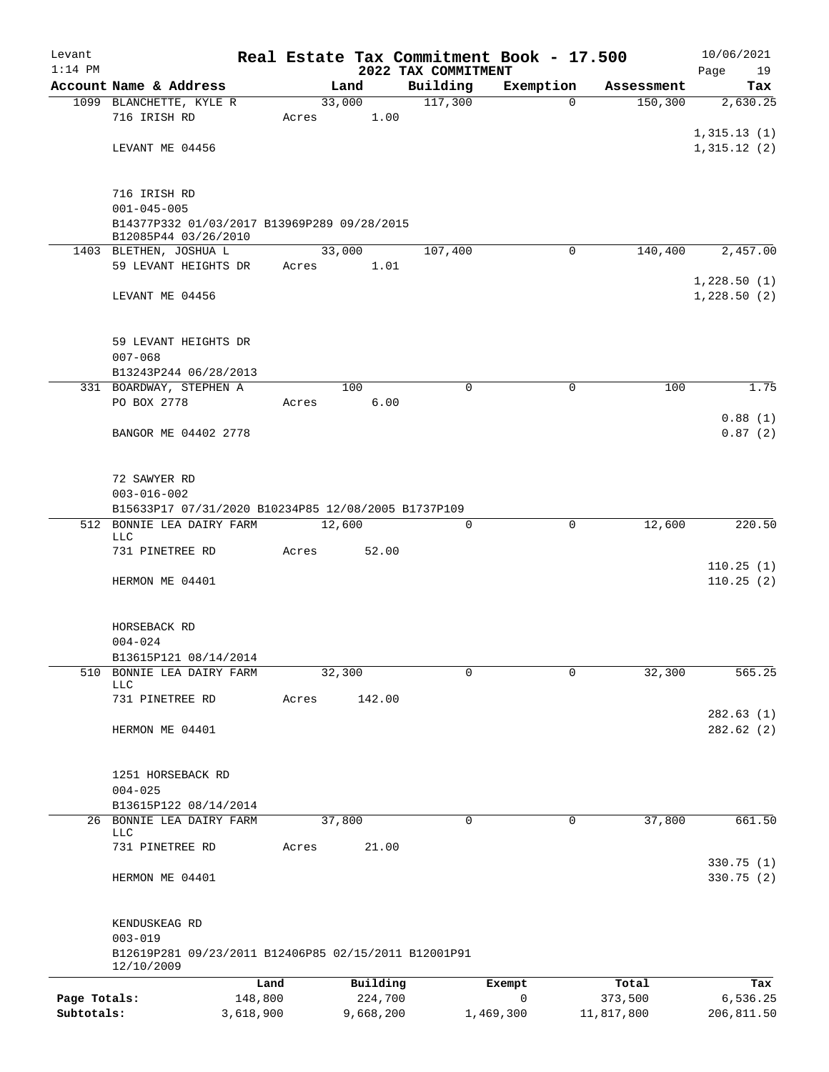| Levant<br>$1:14$ PM |                                                                     |         |           | 2022 TAX COMMITMENT | Real Estate Tax Commitment Book - 17.500 |            | 10/06/2021<br>Page<br>19 |  |  |
|---------------------|---------------------------------------------------------------------|---------|-----------|---------------------|------------------------------------------|------------|--------------------------|--|--|
|                     | Account Name & Address                                              |         | Land      | Building            | Exemption                                | Assessment | Tax                      |  |  |
|                     | 1099 BLANCHETTE, KYLE R                                             |         | 33,000    | 117,300             | $\Omega$                                 | 150, 300   | 2,630.25                 |  |  |
|                     | 716 IRISH RD                                                        | Acres   | 1.00      |                     |                                          |            |                          |  |  |
|                     |                                                                     |         |           |                     |                                          |            | 1,315.13(1)              |  |  |
|                     | LEVANT ME 04456                                                     |         |           |                     |                                          |            | 1,315.12(2)              |  |  |
|                     |                                                                     |         |           |                     |                                          |            |                          |  |  |
|                     | 716 IRISH RD                                                        |         |           |                     |                                          |            |                          |  |  |
|                     | $001 - 045 - 005$                                                   |         |           |                     |                                          |            |                          |  |  |
|                     | B14377P332 01/03/2017 B13969P289 09/28/2015<br>B12085P44 03/26/2010 |         |           |                     |                                          |            |                          |  |  |
|                     | 1403 BLETHEN, JOSHUA L                                              |         | 33,000    | 107,400             | 0                                        | 140,400    | 2,457.00                 |  |  |
|                     | 59 LEVANT HEIGHTS DR                                                | Acres   | 1.01      |                     |                                          |            |                          |  |  |
|                     |                                                                     |         |           |                     |                                          |            | 1,228.50(1)              |  |  |
|                     | LEVANT ME 04456                                                     |         |           |                     |                                          |            | 1,228.50(2)              |  |  |
|                     |                                                                     |         |           |                     |                                          |            |                          |  |  |
|                     | 59 LEVANT HEIGHTS DR                                                |         |           |                     |                                          |            |                          |  |  |
|                     | $007 - 068$<br>B13243P244 06/28/2013                                |         |           |                     |                                          |            |                          |  |  |
|                     | 331 BOARDWAY, STEPHEN A                                             |         | 100       | $\mathbf 0$         | $\mathbf 0$                              | 100        | 1.75                     |  |  |
|                     | PO BOX 2778                                                         | Acres   | 6.00      |                     |                                          |            |                          |  |  |
|                     |                                                                     |         |           |                     |                                          |            | 0.88(1)                  |  |  |
|                     | BANGOR ME 04402 2778                                                |         |           |                     |                                          |            | 0.87(2)                  |  |  |
|                     |                                                                     |         |           |                     |                                          |            |                          |  |  |
|                     |                                                                     |         |           |                     |                                          |            |                          |  |  |
|                     | 72 SAWYER RD<br>$003 - 016 - 002$                                   |         |           |                     |                                          |            |                          |  |  |
|                     | B15633P17 07/31/2020 B10234P85 12/08/2005 B1737P109                 |         |           |                     |                                          |            |                          |  |  |
| 512                 | BONNIE LEA DAIRY FARM                                               |         | 12,600    | 0                   | 0                                        | 12,600     | 220.50                   |  |  |
|                     | LLC                                                                 |         |           |                     |                                          |            |                          |  |  |
|                     | 731 PINETREE RD                                                     | Acres   | 52.00     |                     |                                          |            |                          |  |  |
|                     | HERMON ME 04401                                                     |         |           |                     |                                          |            | 110.25(1)<br>110.25(2)   |  |  |
|                     |                                                                     |         |           |                     |                                          |            |                          |  |  |
|                     |                                                                     |         |           |                     |                                          |            |                          |  |  |
|                     | HORSEBACK RD                                                        |         |           |                     |                                          |            |                          |  |  |
|                     | $004 - 024$                                                         |         |           |                     |                                          |            |                          |  |  |
|                     | B13615P121 08/14/2014                                               |         |           |                     |                                          |            |                          |  |  |
| 510                 | BONNIE LEA DAIRY FARM<br><b>LLC</b>                                 |         | 32,300    | 0                   | 0                                        | 32,300     | 565.25                   |  |  |
|                     | 731 PINETREE RD                                                     | Acres   | 142.00    |                     |                                          |            |                          |  |  |
|                     |                                                                     |         |           |                     |                                          |            | 282.63(1)                |  |  |
|                     | HERMON ME 04401                                                     |         |           |                     |                                          |            | 282.62 (2)               |  |  |
|                     |                                                                     |         |           |                     |                                          |            |                          |  |  |
|                     | 1251 HORSEBACK RD                                                   |         |           |                     |                                          |            |                          |  |  |
|                     | $004 - 025$                                                         |         |           |                     |                                          |            |                          |  |  |
|                     | B13615P122 08/14/2014                                               |         |           |                     |                                          |            |                          |  |  |
|                     | 26 BONNIE LEA DAIRY FARM<br><b>LLC</b>                              |         | 37,800    | 0                   | 0                                        | 37,800     | 661.50                   |  |  |
|                     | 731 PINETREE RD                                                     | Acres   | 21.00     |                     |                                          |            |                          |  |  |
|                     |                                                                     |         |           |                     |                                          |            | 330.75 (1)               |  |  |
|                     | HERMON ME 04401                                                     |         |           |                     |                                          |            | 330.75 (2)               |  |  |
|                     |                                                                     |         |           |                     |                                          |            |                          |  |  |
|                     | KENDUSKEAG RD                                                       |         |           |                     |                                          |            |                          |  |  |
|                     | $003 - 019$                                                         |         |           |                     |                                          |            |                          |  |  |
|                     | B12619P281 09/23/2011 B12406P85 02/15/2011 B12001P91                |         |           |                     |                                          |            |                          |  |  |
|                     | 12/10/2009                                                          | Land    | Building  |                     | Exempt                                   | Total      | Tax                      |  |  |
| Page Totals:        |                                                                     | 148,800 | 224,700   |                     | $\mathbf 0$                              | 373,500    | 6,536.25                 |  |  |
| Subtotals:          | 3,618,900                                                           |         | 9,668,200 |                     | 1,469,300                                | 11,817,800 | 206,811.50               |  |  |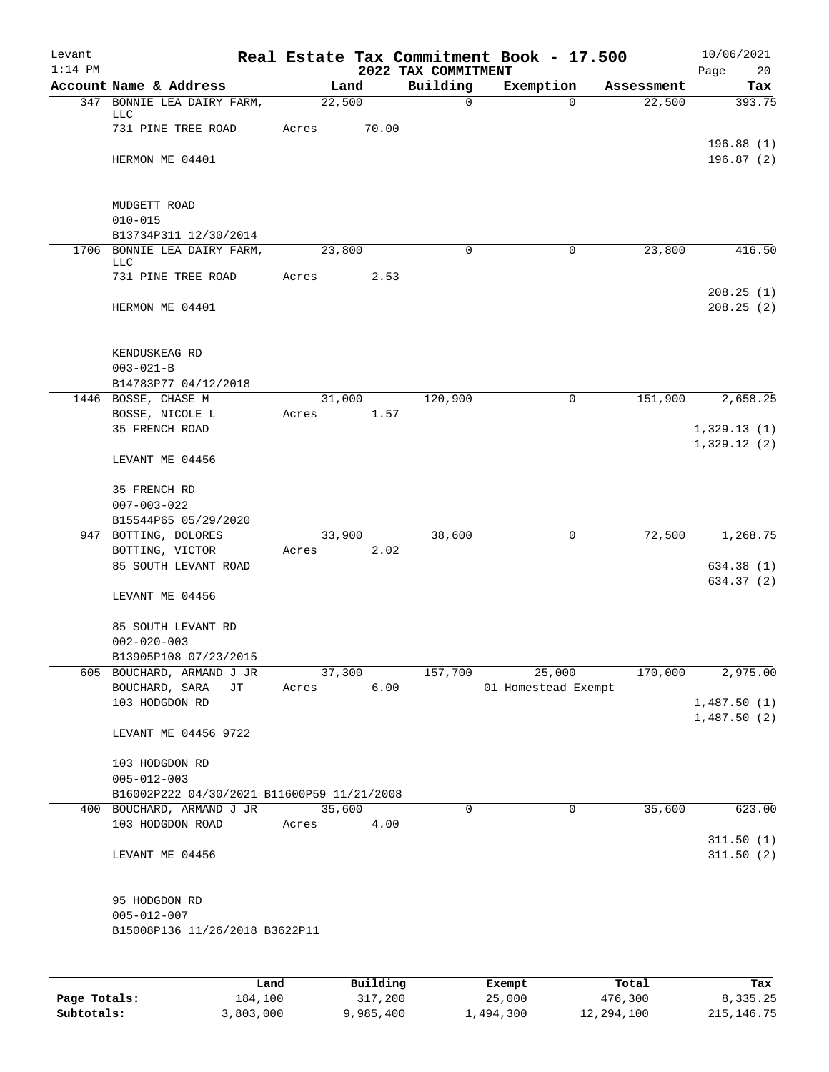| Levant                     |                                                      |                 |                      |                         | Real Estate Tax Commitment Book - 17.500 |                         | 10/06/2021                 |
|----------------------------|------------------------------------------------------|-----------------|----------------------|-------------------------|------------------------------------------|-------------------------|----------------------------|
| $1:14$ PM                  |                                                      |                 |                      | 2022 TAX COMMITMENT     |                                          |                         | Page<br>20                 |
|                            | Account Name & Address<br>347 BONNIE LEA DAIRY FARM, | 22,500          | Land                 | Building<br>$\mathbf 0$ | Exemption<br>$\Omega$                    | Assessment<br>22,500    | Tax<br>393.75              |
|                            | LLC<br>731 PINE TREE ROAD                            | Acres           | 70.00                |                         |                                          |                         |                            |
|                            | HERMON ME 04401                                      |                 |                      |                         |                                          |                         | 196.88(1)<br>196.87(2)     |
|                            |                                                      |                 |                      |                         |                                          |                         |                            |
|                            | MUDGETT ROAD                                         |                 |                      |                         |                                          |                         |                            |
|                            | $010 - 015$<br>B13734P311 12/30/2014                 |                 |                      |                         |                                          |                         |                            |
| 1706                       | BONNIE LEA DAIRY FARM,                               | 23,800          |                      | $\mathbf 0$             | 0                                        | 23,800                  | 416.50                     |
|                            | <b>LLC</b><br>731 PINE TREE ROAD                     |                 | 2.53                 |                         |                                          |                         |                            |
|                            |                                                      | Acres           |                      |                         |                                          |                         | 208.25(1)                  |
|                            | HERMON ME 04401                                      |                 |                      |                         |                                          |                         | 208.25(2)                  |
|                            | KENDUSKEAG RD                                        |                 |                      |                         |                                          |                         |                            |
|                            | $003 - 021 - B$                                      |                 |                      |                         |                                          |                         |                            |
|                            | B14783P77 04/12/2018                                 |                 |                      |                         |                                          |                         |                            |
|                            | 1446 BOSSE, CHASE M<br>BOSSE, NICOLE L               | Acres           | 31,000<br>1.57       | 120,900                 | 0                                        | 151,900                 | 2,658.25                   |
|                            | 35 FRENCH ROAD                                       |                 |                      |                         |                                          |                         | 1,329.13(1)                |
|                            | LEVANT ME 04456                                      |                 |                      |                         |                                          |                         | 1,329.12(2)                |
|                            | 35 FRENCH RD                                         |                 |                      |                         |                                          |                         |                            |
|                            | $007 - 003 - 022$                                    |                 |                      |                         |                                          |                         |                            |
|                            | B15544P65 05/29/2020                                 |                 |                      |                         |                                          |                         |                            |
|                            | 947 BOTTING, DOLORES<br>BOTTING, VICTOR              | 33,900<br>Acres | 2.02                 | 38,600                  | 0                                        | 72,500                  | 1,268.75                   |
|                            | 85 SOUTH LEVANT ROAD                                 |                 |                      |                         |                                          |                         | 634.38 (1)                 |
|                            | LEVANT ME 04456                                      |                 |                      |                         |                                          |                         | 634.37 (2)                 |
|                            | 85 SOUTH LEVANT RD                                   |                 |                      |                         |                                          |                         |                            |
|                            | $002 - 020 - 003$<br>B13905P108 07/23/2015           |                 |                      |                         |                                          |                         |                            |
| 605                        | BOUCHARD, ARMAND J JR                                | 37,300          |                      | 157,700                 | 25,000                                   | 170,000                 | 2,975.00                   |
|                            | BOUCHARD, SARA<br>JТ                                 | Acres           | 6.00                 |                         | 01 Homestead Exempt                      |                         |                            |
|                            | 103 HODGDON RD                                       |                 |                      |                         |                                          |                         | 1,487.50(1)<br>1,487.50(2) |
|                            | LEVANT ME 04456 9722                                 |                 |                      |                         |                                          |                         |                            |
|                            | 103 HODGDON RD                                       |                 |                      |                         |                                          |                         |                            |
|                            | $005 - 012 - 003$                                    |                 |                      |                         |                                          |                         |                            |
|                            | B16002P222 04/30/2021 B11600P59 11/21/2008           |                 |                      |                         |                                          |                         |                            |
|                            | 400 BOUCHARD, ARMAND J JR<br>103 HODGDON ROAD        | 35,600<br>Acres | 4.00                 | 0                       | 0                                        | 35,600                  | 623.00                     |
|                            | LEVANT ME 04456                                      |                 |                      |                         |                                          |                         | 311.50(1)<br>311.50(2)     |
|                            |                                                      |                 |                      |                         |                                          |                         |                            |
|                            | 95 HODGDON RD<br>$005 - 012 - 007$                   |                 |                      |                         |                                          |                         |                            |
|                            | B15008P136 11/26/2018 B3622P11                       |                 |                      |                         |                                          |                         |                            |
|                            |                                                      |                 |                      |                         |                                          |                         |                            |
|                            | Land                                                 |                 | Building             |                         | Exempt                                   | Total                   | Tax                        |
| Page Totals:<br>Subtotals: | 184,100<br>3,803,000                                 |                 | 317,200<br>9,985,400 |                         | 25,000<br>1,494,300                      | 476,300<br>12, 294, 100 | 8,335.25<br>215, 146.75    |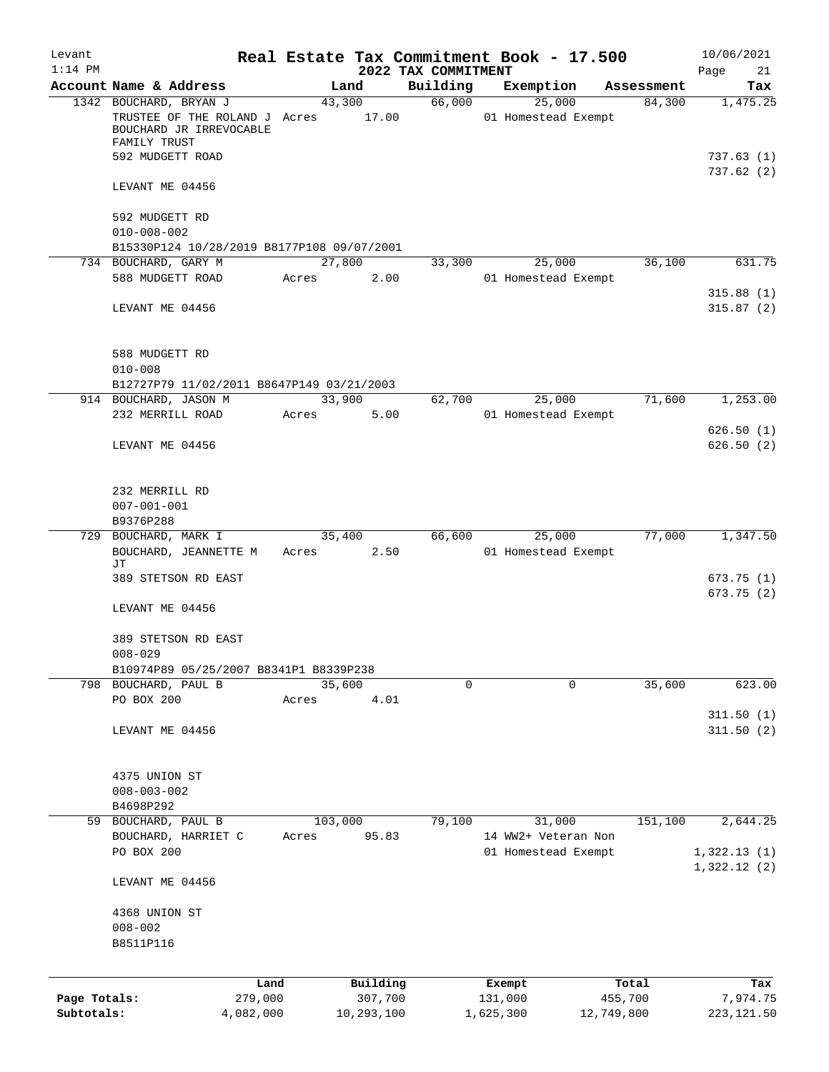| Levant<br>$1:14$ PM |                                                                                                    |           |                  | 2022 TAX COMMITMENT | Real Estate Tax Commitment Book - 17.500 |            | 10/06/2021<br>21<br>Page   |
|---------------------|----------------------------------------------------------------------------------------------------|-----------|------------------|---------------------|------------------------------------------|------------|----------------------------|
|                     | Account Name & Address                                                                             |           | Land             | Building            | Exemption                                | Assessment | Tax                        |
|                     | 1342 BOUCHARD, BRYAN J<br>TRUSTEE OF THE ROLAND J Acres<br>BOUCHARD JR IRREVOCABLE<br>FAMILY TRUST |           | 43,300<br>17.00  | 66,000              | 25,000<br>01 Homestead Exempt            | 84,300     | 1,475.25                   |
|                     | 592 MUDGETT ROAD                                                                                   |           |                  |                     |                                          |            | 737.63(1)<br>737.62(2)     |
|                     | LEVANT ME 04456                                                                                    |           |                  |                     |                                          |            |                            |
|                     | 592 MUDGETT RD<br>$010 - 008 - 002$<br>B15330P124 10/28/2019 B8177P108 09/07/2001                  |           |                  |                     |                                          |            |                            |
|                     | 734 BOUCHARD, GARY M                                                                               |           | 27,800           | 33,300              | 25,000                                   | 36,100     | 631.75                     |
|                     | 588 MUDGETT ROAD                                                                                   |           | Acres<br>2.00    |                     | 01 Homestead Exempt                      |            |                            |
|                     | LEVANT ME 04456                                                                                    |           |                  |                     |                                          |            | 315.88(1)<br>315.87(2)     |
|                     | 588 MUDGETT RD<br>$010 - 008$                                                                      |           |                  |                     |                                          |            |                            |
|                     | B12727P79 11/02/2011 B8647P149 03/21/2003                                                          |           |                  |                     |                                          |            |                            |
|                     | 914 BOUCHARD, JASON M<br>232 MERRILL ROAD                                                          | Acres     | 33,900<br>5.00   | 62,700              | 25,000<br>01 Homestead Exempt            | 71,600     | 1,253.00                   |
|                     | LEVANT ME 04456                                                                                    |           |                  |                     |                                          |            | 626.50(1)<br>626.50(2)     |
|                     | 232 MERRILL RD<br>$007 - 001 - 001$<br>B9376P288<br>729 BOUCHARD, MARK I                           |           | 35,400           |                     | 66,600<br>25,000                         | 77,000     | 1,347.50                   |
|                     | BOUCHARD, JEANNETTE M<br>JТ                                                                        |           | 2.50<br>Acres    |                     | 01 Homestead Exempt                      |            |                            |
|                     | 389 STETSON RD EAST                                                                                |           |                  |                     |                                          |            | 673.75(1)<br>673.75 (2)    |
|                     | LEVANT ME 04456                                                                                    |           |                  |                     |                                          |            |                            |
|                     | 389 STETSON RD EAST<br>$008 - 029$                                                                 |           |                  |                     |                                          |            |                            |
|                     | B10974P89 05/25/2007 B8341P1 B8339P238                                                             |           |                  |                     |                                          |            |                            |
|                     | 798 BOUCHARD, PAUL B<br>PO BOX 200                                                                 | Acres     | 35,600<br>4.01   | $\Omega$            | 0                                        | 35,600     | 623.00                     |
|                     | LEVANT ME 04456                                                                                    |           |                  |                     |                                          |            | 311.50(1)<br>311.50(2)     |
|                     | 4375 UNION ST<br>$008 - 003 - 002$<br>B4698P292                                                    |           |                  |                     |                                          |            |                            |
|                     | 59 BOUCHARD, PAUL B<br>BOUCHARD, HARRIET C                                                         | Acres     | 103,000<br>95.83 | 79,100              | 31,000<br>14 WW2+ Veteran Non            | 151,100    | 2,644.25                   |
|                     | PO BOX 200                                                                                         |           |                  |                     | 01 Homestead Exempt                      |            | 1,322.13(1)<br>1,322.12(2) |
|                     | LEVANT ME 04456                                                                                    |           |                  |                     |                                          |            |                            |
|                     | 4368 UNION ST<br>$008 - 002$<br>B8511P116                                                          |           |                  |                     |                                          |            |                            |
|                     |                                                                                                    | Land      | Building         |                     | Exempt                                   | Total      | Tax                        |
| Page Totals:        |                                                                                                    | 279,000   | 307,700          |                     | 131,000                                  | 455,700    | 7,974.75                   |
| Subtotals:          |                                                                                                    | 4,082,000 | 10,293,100       |                     | 1,625,300                                | 12,749,800 | 223, 121.50                |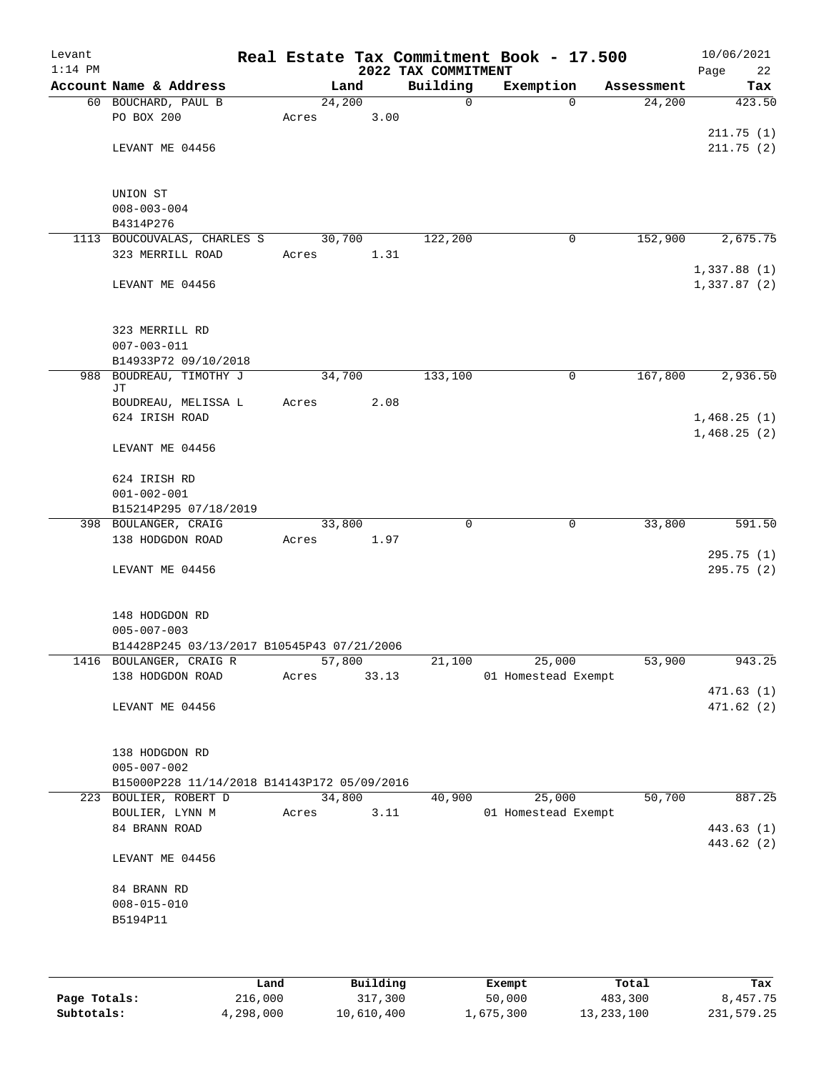| Levant<br>$1:14$ PM |                                                                      |       |        | 2022 TAX COMMITMENT |              | Real Estate Tax Commitment Book - 17.500 |            | 10/06/2021<br>22<br>Page |
|---------------------|----------------------------------------------------------------------|-------|--------|---------------------|--------------|------------------------------------------|------------|--------------------------|
|                     | Account Name & Address                                               |       | Land   |                     | Building     | Exemption                                | Assessment | Tax                      |
|                     | 60 BOUCHARD, PAUL B                                                  |       | 24,200 |                     | $\mathsf{O}$ | $\Omega$                                 | 24,200     | 423.50                   |
|                     | PO BOX 200                                                           | Acres |        | 3.00                |              |                                          |            |                          |
|                     |                                                                      |       |        |                     |              |                                          |            | 211.75(1)                |
|                     | LEVANT ME 04456                                                      |       |        |                     |              |                                          |            | 211.75(2)                |
|                     |                                                                      |       |        |                     |              |                                          |            |                          |
|                     |                                                                      |       |        |                     |              |                                          |            |                          |
|                     | UNION ST<br>$008 - 003 - 004$                                        |       |        |                     |              |                                          |            |                          |
|                     | B4314P276                                                            |       |        |                     |              |                                          |            |                          |
|                     | 1113 BOUCOUVALAS, CHARLES S                                          |       | 30,700 |                     | 122,200      | 0                                        | 152,900    | 2,675.75                 |
|                     | 323 MERRILL ROAD                                                     | Acres |        | 1.31                |              |                                          |            |                          |
|                     |                                                                      |       |        |                     |              |                                          |            | 1,337.88(1)              |
|                     | LEVANT ME 04456                                                      |       |        |                     |              |                                          |            | 1,337.87(2)              |
|                     |                                                                      |       |        |                     |              |                                          |            |                          |
|                     |                                                                      |       |        |                     |              |                                          |            |                          |
|                     | 323 MERRILL RD                                                       |       |        |                     |              |                                          |            |                          |
|                     | $007 - 003 - 011$                                                    |       |        |                     |              |                                          |            |                          |
| 988                 | B14933P72 09/10/2018<br>BOUDREAU, TIMOTHY J                          |       | 34,700 |                     | 133,100      | 0                                        | 167,800    | 2,936.50                 |
|                     | JΤ                                                                   |       |        |                     |              |                                          |            |                          |
|                     | BOUDREAU, MELISSA L                                                  | Acres |        | 2.08                |              |                                          |            |                          |
|                     | 624 IRISH ROAD                                                       |       |        |                     |              |                                          |            | 1,468.25(1)              |
|                     |                                                                      |       |        |                     |              |                                          |            | 1,468.25(2)              |
|                     | LEVANT ME 04456                                                      |       |        |                     |              |                                          |            |                          |
|                     |                                                                      |       |        |                     |              |                                          |            |                          |
|                     | 624 IRISH RD                                                         |       |        |                     |              |                                          |            |                          |
|                     | $001 - 002 - 001$<br>B15214P295 07/18/2019                           |       |        |                     |              |                                          |            |                          |
|                     | 398 BOULANGER, CRAIG                                                 |       | 33,800 |                     | $\mathbf 0$  | $\mathbf 0$                              | 33,800     | 591.50                   |
|                     | 138 HODGDON ROAD                                                     | Acres |        | 1.97                |              |                                          |            |                          |
|                     |                                                                      |       |        |                     |              |                                          |            | 295.75(1)                |
|                     | LEVANT ME 04456                                                      |       |        |                     |              |                                          |            | 295.75(2)                |
|                     |                                                                      |       |        |                     |              |                                          |            |                          |
|                     |                                                                      |       |        |                     |              |                                          |            |                          |
|                     | 148 HODGDON RD                                                       |       |        |                     |              |                                          |            |                          |
|                     | $005 - 007 - 003$<br>B14428P245 03/13/2017 B10545P43 07/21/2006      |       |        |                     |              |                                          |            |                          |
|                     | 1416 BOULANGER, CRAIG R                                              |       | 57,800 |                     | 21,100       | 25,000                                   | 53,900     | 943.25                   |
|                     | 138 HODGDON ROAD                                                     | Acres | 33.13  |                     |              | 01 Homestead Exempt                      |            |                          |
|                     |                                                                      |       |        |                     |              |                                          |            | 471.63(1)                |
|                     | LEVANT ME 04456                                                      |       |        |                     |              |                                          |            | 471.62(2)                |
|                     |                                                                      |       |        |                     |              |                                          |            |                          |
|                     |                                                                      |       |        |                     |              |                                          |            |                          |
|                     | 138 HODGDON RD                                                       |       |        |                     |              |                                          |            |                          |
|                     | $005 - 007 - 002$                                                    |       |        |                     |              |                                          |            |                          |
|                     | B15000P228 11/14/2018 B14143P172 05/09/2016<br>223 BOULIER, ROBERT D |       | 34,800 |                     | 40,900       | 25,000                                   | 50,700     | 887.25                   |
|                     | BOULIER, LYNN M                                                      | Acres |        | 3.11                |              | 01 Homestead Exempt                      |            |                          |
|                     | 84 BRANN ROAD                                                        |       |        |                     |              |                                          |            | 443.63 (1)               |
|                     |                                                                      |       |        |                     |              |                                          |            | 443.62 (2)               |
|                     | LEVANT ME 04456                                                      |       |        |                     |              |                                          |            |                          |
|                     |                                                                      |       |        |                     |              |                                          |            |                          |
|                     | 84 BRANN RD                                                          |       |        |                     |              |                                          |            |                          |
|                     | $008 - 015 - 010$                                                    |       |        |                     |              |                                          |            |                          |
|                     | B5194P11                                                             |       |        |                     |              |                                          |            |                          |
|                     |                                                                      |       |        |                     |              |                                          |            |                          |
|                     |                                                                      |       |        |                     |              |                                          |            |                          |
|                     |                                                                      |       |        |                     |              |                                          |            |                          |

|              | Land      | Building   | Exempt    | Total        | Tax        |
|--------------|-----------|------------|-----------|--------------|------------|
| Page Totals: | 216,000   | 317,300    | 50,000    | 483,300      | 8,457.75   |
| Subtotals:   | 4,298,000 | 10,610,400 | 1,675,300 | 13, 233, 100 | 231,579.25 |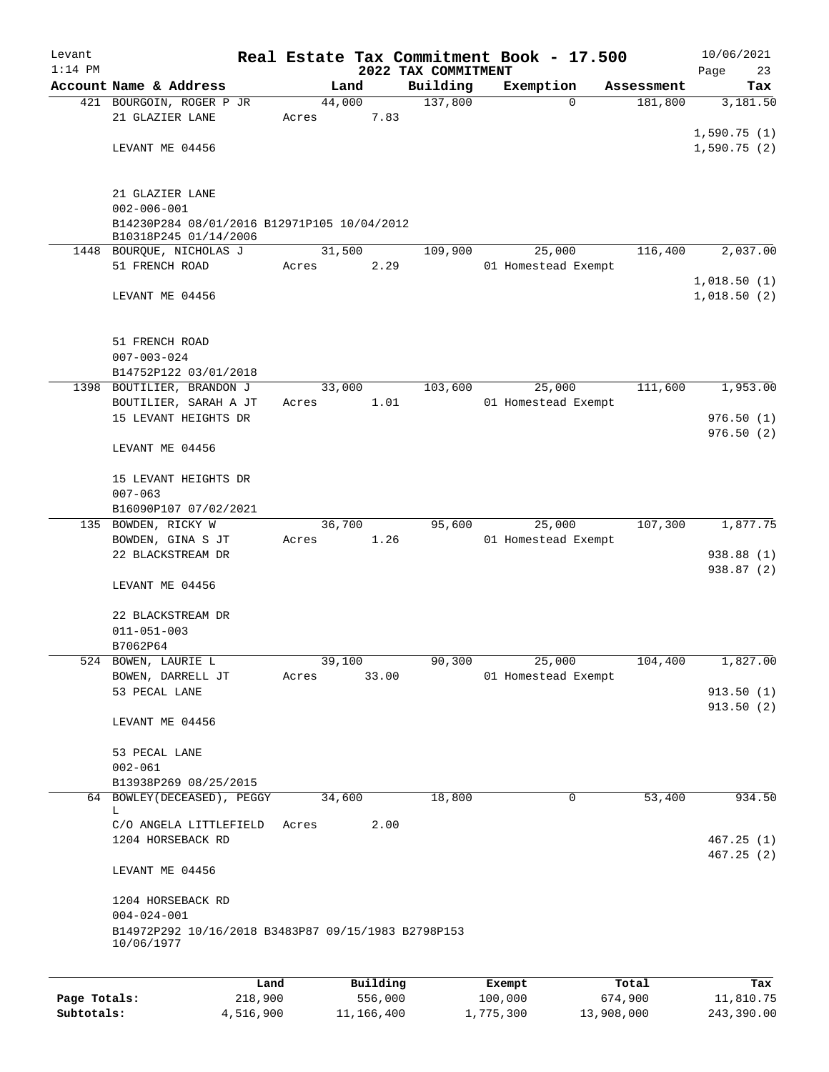| Levant<br>$1:14$ PM |                                                                      |        |          | 2022 TAX COMMITMENT | Real Estate Tax Commitment Book - 17.500 |                     | 10/06/2021<br>Page<br>23 |
|---------------------|----------------------------------------------------------------------|--------|----------|---------------------|------------------------------------------|---------------------|--------------------------|
|                     | Account Name & Address                                               |        | Land     | Building            | Exemption                                | Assessment          | Tax                      |
|                     | 421 BOURGOIN, ROGER P JR                                             | 44,000 |          | 137,800             |                                          | $\Omega$<br>181,800 | 3,181.50                 |
|                     | 21 GLAZIER LANE                                                      | Acres  | 7.83     |                     |                                          |                     |                          |
|                     |                                                                      |        |          |                     |                                          |                     | 1,590.75(1)              |
|                     | LEVANT ME 04456                                                      |        |          |                     |                                          |                     | 1,590.75(2)              |
|                     | 21 GLAZIER LANE                                                      |        |          |                     |                                          |                     |                          |
|                     | $002 - 006 - 001$                                                    |        |          |                     |                                          |                     |                          |
|                     | B14230P284 08/01/2016 B12971P105 10/04/2012<br>B10318P245 01/14/2006 |        |          |                     |                                          |                     |                          |
|                     | 1448 BOURQUE, NICHOLAS J                                             | 31,500 |          | 109,900             | 25,000                                   | 116,400             | 2,037.00                 |
|                     | 51 FRENCH ROAD                                                       | Acres  | 2.29     |                     | 01 Homestead Exempt                      |                     |                          |
|                     |                                                                      |        |          |                     |                                          |                     | 1,018.50(1)              |
|                     | LEVANT ME 04456                                                      |        |          |                     |                                          |                     | 1,018.50(2)              |
|                     | 51 FRENCH ROAD                                                       |        |          |                     |                                          |                     |                          |
|                     | $007 - 003 - 024$                                                    |        |          |                     |                                          |                     |                          |
|                     | B14752P122 03/01/2018                                                |        |          |                     |                                          |                     |                          |
| 1398                | BOUTILIER, BRANDON J                                                 | 33,000 |          | 103,600             | 25,000                                   | 111,600             | 1,953.00                 |
|                     | BOUTILIER, SARAH A JT                                                | Acres  | 1.01     |                     | 01 Homestead Exempt                      |                     |                          |
|                     | 15 LEVANT HEIGHTS DR                                                 |        |          |                     |                                          |                     | 976.50(1)<br>976.50(2)   |
|                     | LEVANT ME 04456                                                      |        |          |                     |                                          |                     |                          |
|                     | 15 LEVANT HEIGHTS DR                                                 |        |          |                     |                                          |                     |                          |
|                     | $007 - 063$<br>B16090P107 07/02/2021                                 |        |          |                     |                                          |                     |                          |
|                     | 135 BOWDEN, RICKY W                                                  | 36,700 |          | 95,600              | 25,000                                   | 107,300             | 1,877.75                 |
|                     | BOWDEN, GINA S JT                                                    | Acres  | 1.26     |                     | 01 Homestead Exempt                      |                     |                          |
|                     | 22 BLACKSTREAM DR                                                    |        |          |                     |                                          |                     | 938.88 (1)               |
|                     | LEVANT ME 04456                                                      |        |          |                     |                                          |                     | 938.87 (2)               |
|                     |                                                                      |        |          |                     |                                          |                     |                          |
|                     | 22 BLACKSTREAM DR                                                    |        |          |                     |                                          |                     |                          |
|                     | $011 - 051 - 003$                                                    |        |          |                     |                                          |                     |                          |
|                     | B7062P64                                                             |        |          |                     |                                          |                     |                          |
|                     | 524 BOWEN, LAURIE L                                                  | 39,100 |          | 90,300              | 25,000<br>01 Homestead Exempt            | 104,400             | 1,827.00                 |
|                     | BOWEN, DARRELL JT<br>53 PECAL LANE                                   | Acres  | 33.00    |                     |                                          |                     | 913.50(1)                |
|                     |                                                                      |        |          |                     |                                          |                     | 913.50(2)                |
|                     | LEVANT ME 04456                                                      |        |          |                     |                                          |                     |                          |
|                     | 53 PECAL LANE                                                        |        |          |                     |                                          |                     |                          |
|                     | $002 - 061$                                                          |        |          |                     |                                          |                     |                          |
|                     | B13938P269 08/25/2015                                                |        |          |                     |                                          |                     |                          |
|                     | 64 BOWLEY (DECEASED), PEGGY                                          | 34,600 |          | 18,800              |                                          | 53,400<br>0         | 934.50                   |
|                     | L<br>C/O ANGELA LITTLEFIELD                                          | Acres  | 2.00     |                     |                                          |                     |                          |
|                     | 1204 HORSEBACK RD                                                    |        |          |                     |                                          |                     | 467.25(1)                |
|                     |                                                                      |        |          |                     |                                          |                     | 467.25(2)                |
|                     | LEVANT ME 04456                                                      |        |          |                     |                                          |                     |                          |
|                     | 1204 HORSEBACK RD                                                    |        |          |                     |                                          |                     |                          |
|                     | $004 - 024 - 001$                                                    |        |          |                     |                                          |                     |                          |
|                     | B14972P292 10/16/2018 B3483P87 09/15/1983 B2798P153<br>10/06/1977    |        |          |                     |                                          |                     |                          |
|                     |                                                                      |        |          |                     |                                          |                     |                          |
|                     | Land                                                                 |        | Building |                     | Exempt                                   | Total               | Tax                      |
| Page Totals:        | 218,900                                                              |        | 556,000  |                     | 100,000                                  | 674,900             | 11,810.75                |

**Subtotals:** 4,516,900 11,166,400 1,775,300 13,908,000 243,390.00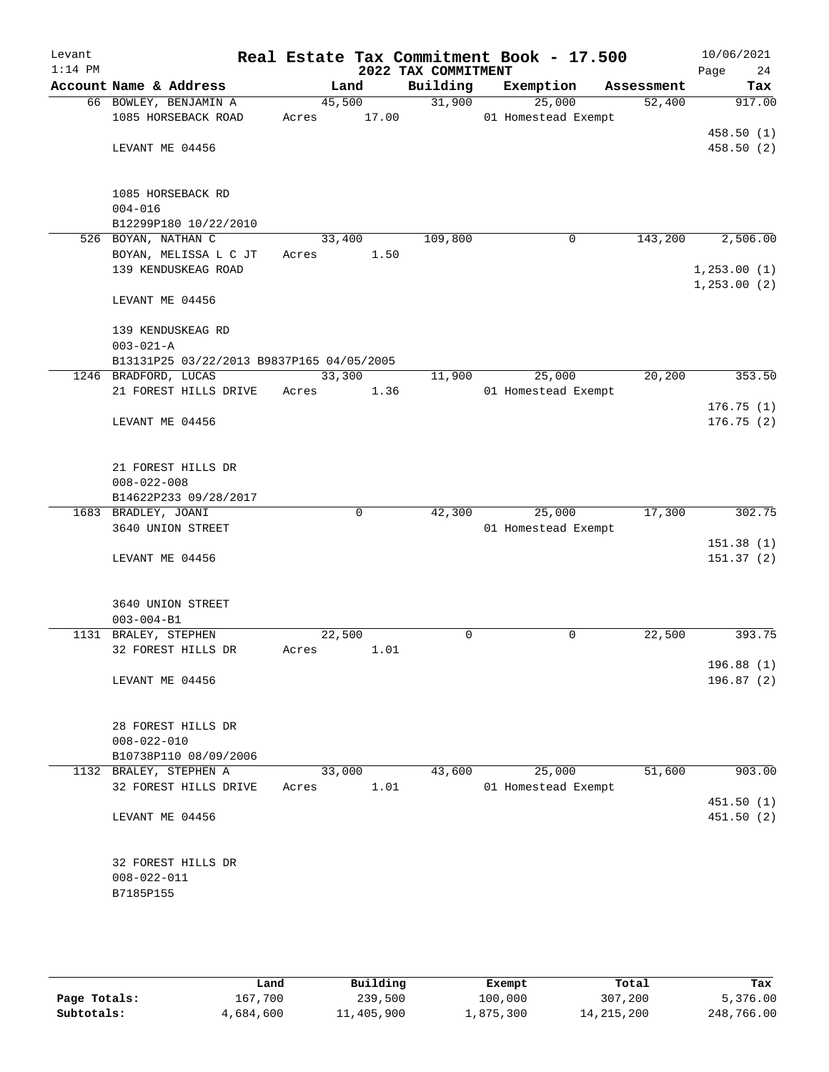| Levant<br>$1:14$ PM |                                           |       |             | 2022 TAX COMMITMENT | Real Estate Tax Commitment Book - 17.500 |            | 10/06/2021<br>Page<br>24 |
|---------------------|-------------------------------------------|-------|-------------|---------------------|------------------------------------------|------------|--------------------------|
|                     | Account Name & Address                    |       | Land        | Building            | Exemption                                | Assessment | Tax                      |
|                     | 66 BOWLEY, BENJAMIN A                     |       | 45,500      | 31,900              | 25,000                                   | 52,400     | 917.00                   |
|                     | 1085 HORSEBACK ROAD                       | Acres | 17.00       |                     | 01 Homestead Exempt                      |            |                          |
|                     |                                           |       |             |                     |                                          |            | 458.50(1)                |
|                     | LEVANT ME 04456                           |       |             |                     |                                          |            | 458.50(2)                |
|                     |                                           |       |             |                     |                                          |            |                          |
|                     |                                           |       |             |                     |                                          |            |                          |
|                     | 1085 HORSEBACK RD                         |       |             |                     |                                          |            |                          |
|                     | $004 - 016$                               |       |             |                     |                                          |            |                          |
|                     | B12299P180 10/22/2010                     |       |             |                     |                                          |            |                          |
|                     | 526 BOYAN, NATHAN C                       |       | 33,400      | 109,800             | 0                                        | 143,200    | 2,506.00                 |
|                     | BOYAN, MELISSA L C JT                     | Acres | 1.50        |                     |                                          |            |                          |
|                     | 139 KENDUSKEAG ROAD                       |       |             |                     |                                          |            | 1, 253.00(1)             |
|                     |                                           |       |             |                     |                                          |            | 1, 253.00 (2)            |
|                     | LEVANT ME 04456                           |       |             |                     |                                          |            |                          |
|                     | 139 KENDUSKEAG RD                         |       |             |                     |                                          |            |                          |
|                     | $003 - 021 - A$                           |       |             |                     |                                          |            |                          |
|                     | B13131P25 03/22/2013 B9837P165 04/05/2005 |       |             |                     |                                          |            |                          |
|                     | 1246 BRADFORD, LUCAS                      |       | 33,300      | 11,900              | 25,000                                   | 20, 200    | 353.50                   |
|                     | 21 FOREST HILLS DRIVE                     | Acres | 1.36        |                     | 01 Homestead Exempt                      |            |                          |
|                     |                                           |       |             |                     |                                          |            | 176.75(1)                |
|                     | LEVANT ME 04456                           |       |             |                     |                                          |            | 176.75(2)                |
|                     |                                           |       |             |                     |                                          |            |                          |
|                     |                                           |       |             |                     |                                          |            |                          |
|                     | 21 FOREST HILLS DR                        |       |             |                     |                                          |            |                          |
|                     | $008 - 022 - 008$                         |       |             |                     |                                          |            |                          |
|                     | B14622P233 09/28/2017                     |       |             |                     |                                          |            |                          |
|                     | 1683 BRADLEY, JOANI                       |       | $\mathbf 0$ | 42,300              | 25,000                                   | 17,300     | 302.75                   |
|                     | 3640 UNION STREET                         |       |             |                     | 01 Homestead Exempt                      |            |                          |
|                     |                                           |       |             |                     |                                          |            | 151.38(1)                |
|                     | LEVANT ME 04456                           |       |             |                     |                                          |            | 151.37(2)                |
|                     |                                           |       |             |                     |                                          |            |                          |
|                     | 3640 UNION STREET                         |       |             |                     |                                          |            |                          |
|                     | $003 - 004 - B1$                          |       |             |                     |                                          |            |                          |
|                     | 1131 BRALEY, STEPHEN                      |       | 22,500      | 0                   | 0                                        | 22,500     | 393.75                   |
|                     | 32 FOREST HILLS DR                        | Acres | 1.01        |                     |                                          |            |                          |
|                     |                                           |       |             |                     |                                          |            | 196.88 (1)               |
|                     | LEVANT ME 04456                           |       |             |                     |                                          |            | 196.87(2)                |
|                     |                                           |       |             |                     |                                          |            |                          |
|                     |                                           |       |             |                     |                                          |            |                          |
|                     | 28 FOREST HILLS DR                        |       |             |                     |                                          |            |                          |
|                     | $008 - 022 - 010$                         |       |             |                     |                                          |            |                          |
|                     | B10738P110 08/09/2006                     |       |             |                     |                                          |            |                          |
|                     | 1132 BRALEY, STEPHEN A                    |       | 33,000      | 43,600              | 25,000                                   | 51,600     | 903.00                   |
|                     | 32 FOREST HILLS DRIVE                     | Acres | 1.01        |                     | 01 Homestead Exempt                      |            |                          |
|                     |                                           |       |             |                     |                                          |            | 451.50(1)                |
|                     | LEVANT ME 04456                           |       |             |                     |                                          |            | 451.50(2)                |
|                     |                                           |       |             |                     |                                          |            |                          |
|                     | 32 FOREST HILLS DR                        |       |             |                     |                                          |            |                          |
|                     | $008 - 022 - 011$                         |       |             |                     |                                          |            |                          |
|                     | B7185P155                                 |       |             |                     |                                          |            |                          |
|                     |                                           |       |             |                     |                                          |            |                          |
|                     |                                           |       |             |                     |                                          |            |                          |
|                     |                                           |       |             |                     |                                          |            |                          |

|              | Land      | Building   | Exempt    | Total        | Tax        |
|--------------|-----------|------------|-----------|--------------|------------|
| Page Totals: | 167,700   | 239,500    | 100,000   | 307,200      | 5,376.00   |
| Subtotals:   | 4,684,600 | 11,405,900 | 1,875,300 | 14, 215, 200 | 248,766.00 |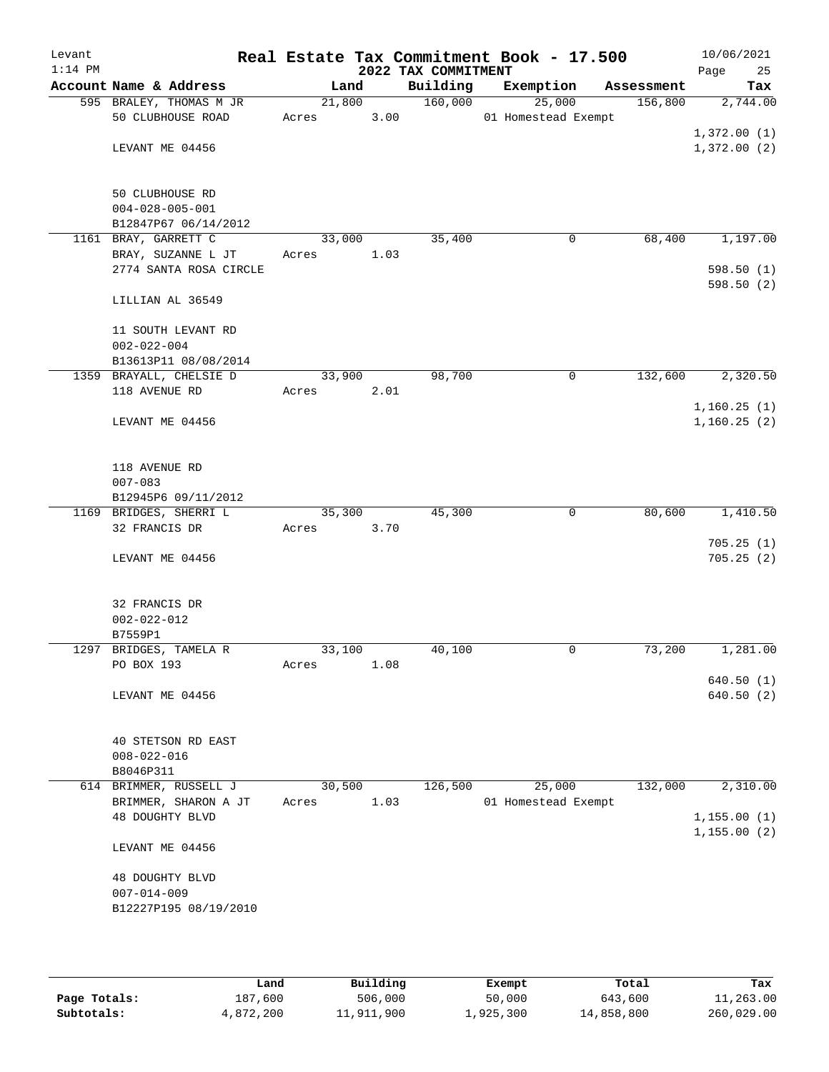| Levant<br>$1:14$ PM |                         |        |        | 2022 TAX COMMITMENT | Real Estate Tax Commitment Book - 17.500 |            | 10/06/2021<br>Page<br>25 |
|---------------------|-------------------------|--------|--------|---------------------|------------------------------------------|------------|--------------------------|
|                     | Account Name & Address  | Land   |        | Building            | Exemption                                | Assessment | Tax                      |
|                     | 595 BRALEY, THOMAS M JR |        | 21,800 | 160,000             | 25,000                                   | 156,800    | 2,744.00                 |
|                     | 50 CLUBHOUSE ROAD       | Acres  | 3.00   |                     | 01 Homestead Exempt                      |            |                          |
|                     |                         |        |        |                     |                                          |            | 1,372.00(1)              |
|                     | LEVANT ME 04456         |        |        |                     |                                          |            | 1,372.00(2)              |
|                     |                         |        |        |                     |                                          |            |                          |
|                     | 50 CLUBHOUSE RD         |        |        |                     |                                          |            |                          |
|                     | $004 - 028 - 005 - 001$ |        |        |                     |                                          |            |                          |
|                     | B12847P67 06/14/2012    |        |        |                     |                                          |            |                          |
|                     | 1161 BRAY, GARRETT C    | 33,000 |        | 35,400              | 0                                        | 68,400     | 1,197.00                 |
|                     | BRAY, SUZANNE L JT      | Acres  | 1.03   |                     |                                          |            |                          |
|                     | 2774 SANTA ROSA CIRCLE  |        |        |                     |                                          |            | 598.50(1)                |
|                     |                         |        |        |                     |                                          |            | 598.50 (2)               |
|                     | LILLIAN AL 36549        |        |        |                     |                                          |            |                          |
|                     |                         |        |        |                     |                                          |            |                          |
|                     | 11 SOUTH LEVANT RD      |        |        |                     |                                          |            |                          |
|                     | $002 - 022 - 004$       |        |        |                     |                                          |            |                          |
|                     | B13613P11 08/08/2014    |        |        |                     |                                          |            |                          |
|                     | 1359 BRAYALL, CHELSIE D | 33,900 |        | 98,700              | 0                                        | 132,600    | 2,320.50                 |
|                     | 118 AVENUE RD           | Acres  | 2.01   |                     |                                          |            |                          |
|                     |                         |        |        |                     |                                          |            | 1,160.25(1)              |
|                     | LEVANT ME 04456         |        |        |                     |                                          |            | 1, 160.25(2)             |
|                     |                         |        |        |                     |                                          |            |                          |
|                     | 118 AVENUE RD           |        |        |                     |                                          |            |                          |
|                     | $007 - 083$             |        |        |                     |                                          |            |                          |
|                     | B12945P6 09/11/2012     |        |        |                     |                                          |            |                          |
|                     | 1169 BRIDGES, SHERRI L  | 35,300 |        | 45,300              | $\mathbf 0$                              | 80,600     | 1,410.50                 |
|                     | 32 FRANCIS DR           | Acres  | 3.70   |                     |                                          |            |                          |
|                     |                         |        |        |                     |                                          |            | 705.25(1)                |
|                     | LEVANT ME 04456         |        |        |                     |                                          |            | 705.25(2)                |
|                     |                         |        |        |                     |                                          |            |                          |
|                     |                         |        |        |                     |                                          |            |                          |
|                     | 32 FRANCIS DR           |        |        |                     |                                          |            |                          |
|                     | $002 - 022 - 012$       |        |        |                     |                                          |            |                          |
|                     | B7559P1                 |        |        |                     |                                          |            |                          |
|                     | 1297 BRIDGES, TAMELA R  | 33,100 |        | 40,100              | 0                                        | 73,200     | 1,281.00                 |
|                     | PO BOX 193              | Acres  | 1.08   |                     |                                          |            | 640.50(1)                |
|                     | LEVANT ME 04456         |        |        |                     |                                          |            | 640.50(2)                |
|                     |                         |        |        |                     |                                          |            |                          |
|                     |                         |        |        |                     |                                          |            |                          |
|                     | 40 STETSON RD EAST      |        |        |                     |                                          |            |                          |
|                     | $008 - 022 - 016$       |        |        |                     |                                          |            |                          |
|                     | B8046P311               |        |        |                     |                                          |            |                          |
|                     | 614 BRIMMER, RUSSELL J  | 30,500 |        | 126,500             | 25,000                                   | 132,000    | 2,310.00                 |
|                     | BRIMMER, SHARON A JT    | Acres  | 1.03   |                     | 01 Homestead Exempt                      |            |                          |
|                     | <b>48 DOUGHTY BLVD</b>  |        |        |                     |                                          |            | 1, 155.00(1)             |
|                     |                         |        |        |                     |                                          |            | 1, 155.00(2)             |
|                     | LEVANT ME 04456         |        |        |                     |                                          |            |                          |
|                     | 48 DOUGHTY BLVD         |        |        |                     |                                          |            |                          |
|                     | $007 - 014 - 009$       |        |        |                     |                                          |            |                          |
|                     | B12227P195 08/19/2010   |        |        |                     |                                          |            |                          |
|                     |                         |        |        |                     |                                          |            |                          |
|                     |                         |        |        |                     |                                          |            |                          |
|                     |                         |        |        |                     |                                          |            |                          |

|              | Land      | Building   | Exempt    | Total      | Tax        |
|--------------|-----------|------------|-----------|------------|------------|
| Page Totals: | 187,600   | 506,000    | 50,000    | 643,600    | 11,263.00  |
| Subtotals:   | 4,872,200 | 11,911,900 | 1,925,300 | 14,858,800 | 260,029.00 |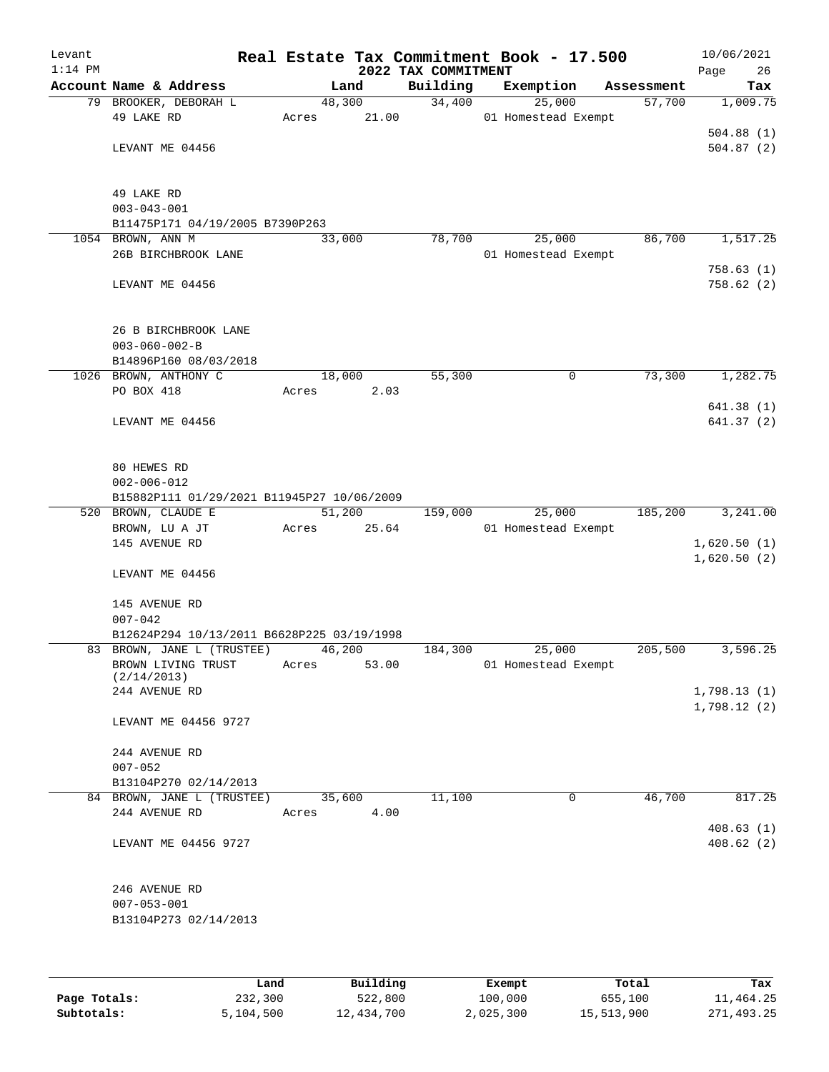| Levant<br>$1:14$ PM |                                                                 |       |        | Real Estate Tax Commitment Book - 17.500<br>2022 TAX COMMITMENT |                     |        |            | 10/06/2021<br>Page<br>26 |
|---------------------|-----------------------------------------------------------------|-------|--------|-----------------------------------------------------------------|---------------------|--------|------------|--------------------------|
|                     | Account Name & Address                                          |       | Land   | Building                                                        | Exemption           |        | Assessment | Tax                      |
|                     | 79 BROOKER, DEBORAH L                                           |       | 48,300 | 34,400                                                          |                     | 25,000 | 57,700     | 1,009.75                 |
|                     | 49 LAKE RD                                                      | Acres | 21.00  |                                                                 | 01 Homestead Exempt |        |            |                          |
|                     |                                                                 |       |        |                                                                 |                     |        |            | 504.88(1)                |
|                     | LEVANT ME 04456                                                 |       |        |                                                                 |                     |        |            | 504.87(2)                |
|                     |                                                                 |       |        |                                                                 |                     |        |            |                          |
|                     |                                                                 |       |        |                                                                 |                     |        |            |                          |
|                     | 49 LAKE RD                                                      |       |        |                                                                 |                     |        |            |                          |
|                     | $003 - 043 - 001$<br>B11475P171 04/19/2005 B7390P263            |       |        |                                                                 |                     |        |            |                          |
|                     | 1054 BROWN, ANN M                                               |       | 33,000 | 78,700                                                          |                     | 25,000 | 86,700     | 1,517.25                 |
|                     | 26B BIRCHBROOK LANE                                             |       |        |                                                                 | 01 Homestead Exempt |        |            |                          |
|                     |                                                                 |       |        |                                                                 |                     |        |            | 758.63(1)                |
|                     | LEVANT ME 04456                                                 |       |        |                                                                 |                     |        |            | 758.62 (2)               |
|                     |                                                                 |       |        |                                                                 |                     |        |            |                          |
|                     |                                                                 |       |        |                                                                 |                     |        |            |                          |
|                     | 26 B BIRCHBROOK LANE                                            |       |        |                                                                 |                     |        |            |                          |
|                     | $003 - 060 - 002 - B$                                           |       |        |                                                                 |                     |        |            |                          |
|                     | B14896P160 08/03/2018                                           |       |        |                                                                 |                     |        |            |                          |
|                     | 1026 BROWN, ANTHONY C                                           |       | 18,000 | 55,300                                                          |                     | 0      | 73,300     | 1,282.75                 |
|                     | PO BOX 418                                                      | Acres | 2.03   |                                                                 |                     |        |            |                          |
|                     |                                                                 |       |        |                                                                 |                     |        |            | 641.38(1)                |
|                     | LEVANT ME 04456                                                 |       |        |                                                                 |                     |        |            | 641.37 (2)               |
|                     |                                                                 |       |        |                                                                 |                     |        |            |                          |
|                     |                                                                 |       |        |                                                                 |                     |        |            |                          |
|                     | 80 HEWES RD                                                     |       |        |                                                                 |                     |        |            |                          |
|                     | $002 - 006 - 012$<br>B15882P111 01/29/2021 B11945P27 10/06/2009 |       |        |                                                                 |                     |        |            |                          |
|                     | 520 BROWN, CLAUDE E                                             |       | 51,200 | 159,000                                                         |                     | 25,000 | 185,200    | 3,241.00                 |
|                     | BROWN, LU A JT                                                  | Acres | 25.64  |                                                                 | 01 Homestead Exempt |        |            |                          |
|                     | 145 AVENUE RD                                                   |       |        |                                                                 |                     |        |            | 1,620.50(1)              |
|                     |                                                                 |       |        |                                                                 |                     |        |            | 1,620.50(2)              |
|                     | LEVANT ME 04456                                                 |       |        |                                                                 |                     |        |            |                          |
|                     |                                                                 |       |        |                                                                 |                     |        |            |                          |
|                     | 145 AVENUE RD                                                   |       |        |                                                                 |                     |        |            |                          |
|                     | $007 - 042$                                                     |       |        |                                                                 |                     |        |            |                          |
|                     | B12624P294 10/13/2011 B6628P225 03/19/1998                      |       |        |                                                                 |                     |        |            |                          |
|                     | 83 BROWN, JANE L (TRUSTEE)                                      |       | 46,200 | 184,300                                                         |                     | 25,000 | 205,500    | 3,596.25                 |
|                     | BROWN LIVING TRUST                                              | Acres | 53.00  |                                                                 | 01 Homestead Exempt |        |            |                          |
|                     | (2/14/2013)<br>244 AVENUE RD                                    |       |        |                                                                 |                     |        |            | 1,798.13(1)              |
|                     |                                                                 |       |        |                                                                 |                     |        |            | 1,798.12(2)              |
|                     | LEVANT ME 04456 9727                                            |       |        |                                                                 |                     |        |            |                          |
|                     |                                                                 |       |        |                                                                 |                     |        |            |                          |
|                     | 244 AVENUE RD                                                   |       |        |                                                                 |                     |        |            |                          |
|                     | $007 - 052$                                                     |       |        |                                                                 |                     |        |            |                          |
|                     | B13104P270 02/14/2013                                           |       |        |                                                                 |                     |        |            |                          |
|                     | 84 BROWN, JANE L (TRUSTEE)                                      |       | 35,600 | 11,100                                                          |                     | 0      | 46,700     | 817.25                   |
|                     | 244 AVENUE RD                                                   | Acres | 4.00   |                                                                 |                     |        |            |                          |
|                     |                                                                 |       |        |                                                                 |                     |        |            | 408.63(1)                |
|                     | LEVANT ME 04456 9727                                            |       |        |                                                                 |                     |        |            | 408.62(2)                |
|                     |                                                                 |       |        |                                                                 |                     |        |            |                          |
|                     |                                                                 |       |        |                                                                 |                     |        |            |                          |
|                     | 246 AVENUE RD<br>$007 - 053 - 001$                              |       |        |                                                                 |                     |        |            |                          |
|                     | B13104P273 02/14/2013                                           |       |        |                                                                 |                     |        |            |                          |
|                     |                                                                 |       |        |                                                                 |                     |        |            |                          |
|                     |                                                                 |       |        |                                                                 |                     |        |            |                          |
|                     |                                                                 |       |        |                                                                 |                     |        |            |                          |
|                     |                                                                 |       |        |                                                                 |                     |        |            |                          |

|              | Land      | Building   | Exempt    | Total      | Tax        |
|--------------|-----------|------------|-----------|------------|------------|
| Page Totals: | 232,300   | 522,800    | 100,000   | 655,100    | 11,464.25  |
| Subtotals:   | 5,104,500 | 12,434,700 | 2,025,300 | 15,513,900 | 271,493.25 |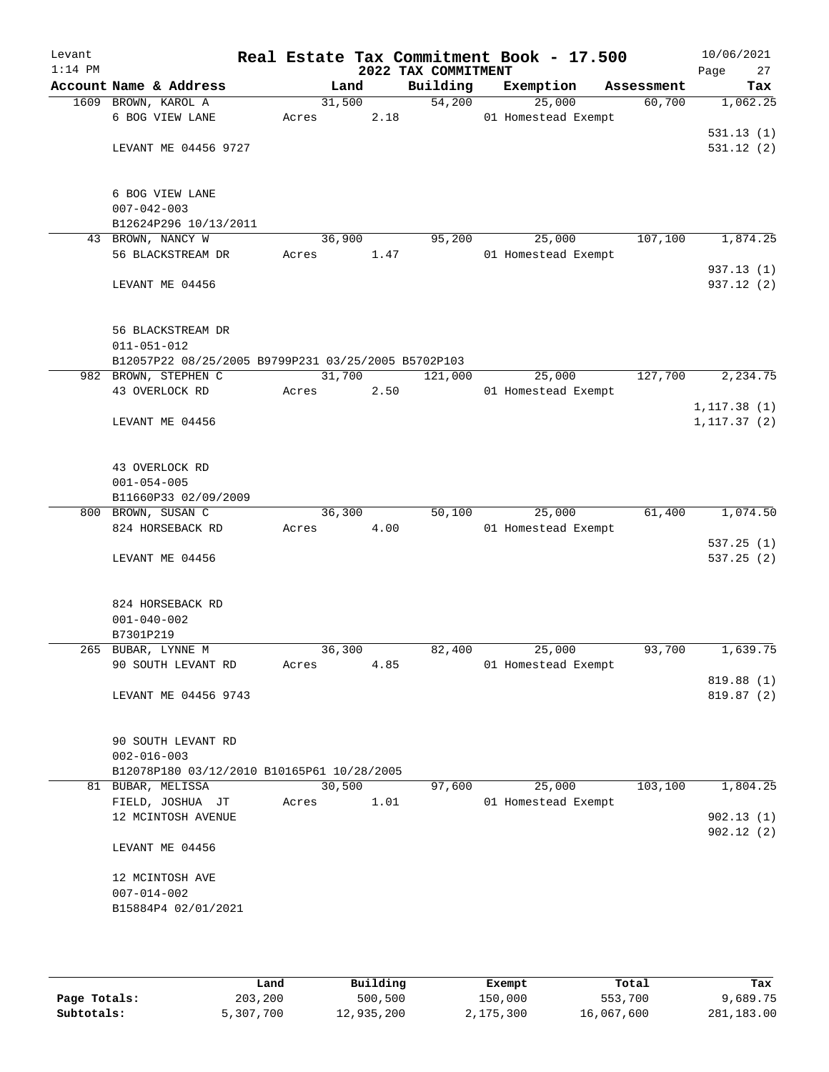| Levant<br>$1:14$ PM |                                                     |        |        | 2022 TAX COMMITMENT | Real Estate Tax Commitment Book - 17.500 |            | 10/06/2021<br>Page<br>27 |
|---------------------|-----------------------------------------------------|--------|--------|---------------------|------------------------------------------|------------|--------------------------|
|                     | Account Name & Address                              |        | Land   | Building            | Exemption                                | Assessment | Tax                      |
|                     | 1609 BROWN, KAROL A                                 |        | 31,500 | 54,200              | 25,000                                   | 60,700     | 1,062.25                 |
|                     | 6 BOG VIEW LANE                                     | Acres  | 2.18   |                     | 01 Homestead Exempt                      |            |                          |
|                     |                                                     |        |        |                     |                                          |            | 531.13(1)                |
|                     | LEVANT ME 04456 9727                                |        |        |                     |                                          |            | 531.12(2)                |
|                     | 6 BOG VIEW LANE                                     |        |        |                     |                                          |            |                          |
|                     | $007 - 042 - 003$                                   |        |        |                     |                                          |            |                          |
|                     | B12624P296 10/13/2011                               |        |        |                     |                                          |            |                          |
|                     | 43 BROWN, NANCY W                                   | 36,900 |        | 95,200              | 25,000                                   | 107,100    | 1,874.25                 |
|                     | 56 BLACKSTREAM DR                                   | Acres  | 1.47   |                     | 01 Homestead Exempt                      |            |                          |
|                     |                                                     |        |        |                     |                                          |            | 937.13 (1)               |
|                     | LEVANT ME 04456                                     |        |        |                     |                                          |            | 937.12 (2)               |
|                     | 56 BLACKSTREAM DR                                   |        |        |                     |                                          |            |                          |
|                     | $011 - 051 - 012$                                   |        |        |                     |                                          |            |                          |
|                     | B12057P22 08/25/2005 B9799P231 03/25/2005 B5702P103 |        |        |                     |                                          |            |                          |
|                     | 982 BROWN, STEPHEN C                                | 31,700 |        | 121,000             | 25,000                                   | 127,700    | 2,234.75                 |
|                     | 43 OVERLOCK RD                                      | Acres  | 2.50   |                     | 01 Homestead Exempt                      |            |                          |
|                     |                                                     |        |        |                     |                                          |            | 1, 117.38(1)             |
|                     | LEVANT ME 04456                                     |        |        |                     |                                          |            | 1, 117.37(2)             |
|                     | 43 OVERLOCK RD                                      |        |        |                     |                                          |            |                          |
|                     | $001 - 054 - 005$                                   |        |        |                     |                                          |            |                          |
|                     | B11660P33 02/09/2009                                |        |        |                     |                                          |            |                          |
|                     | 800 BROWN, SUSAN C                                  | 36,300 |        | 50,100              | 25,000                                   | 61,400     | 1,074.50                 |
|                     | 824 HORSEBACK RD                                    | Acres  | 4.00   |                     | 01 Homestead Exempt                      |            |                          |
|                     |                                                     |        |        |                     |                                          |            | 537.25(1)                |
|                     | LEVANT ME 04456                                     |        |        |                     |                                          |            | 537.25(2)                |
|                     | 824 HORSEBACK RD                                    |        |        |                     |                                          |            |                          |
|                     | $001 - 040 - 002$                                   |        |        |                     |                                          |            |                          |
|                     | B7301P219                                           |        |        |                     |                                          |            |                          |
|                     | 265 BUBAR, LYNNE M                                  | 36,300 |        | 82,400              | 25,000                                   | 93,700     | 1,639.75                 |
|                     | 90 SOUTH LEVANT RD                                  | Acres  | 4.85   |                     | 01 Homestead Exempt                      |            |                          |
|                     |                                                     |        |        |                     |                                          |            | 819.88 (1)               |
|                     | LEVANT ME 04456 9743                                |        |        |                     |                                          |            | 819.87 (2)               |
|                     | 90 SOUTH LEVANT RD                                  |        |        |                     |                                          |            |                          |
|                     | $002 - 016 - 003$                                   |        |        |                     |                                          |            |                          |
|                     | B12078P180 03/12/2010 B10165P61 10/28/2005          |        |        |                     |                                          |            |                          |
|                     | 81 BUBAR, MELISSA                                   | 30,500 |        | 97,600              | 25,000                                   | 103, 100   | 1,804.25                 |
|                     | FIELD, JOSHUA JT                                    | Acres  | 1.01   |                     | 01 Homestead Exempt                      |            |                          |
|                     | 12 MCINTOSH AVENUE                                  |        |        |                     |                                          |            | 902.13(1)<br>902.12(2)   |
|                     | LEVANT ME 04456                                     |        |        |                     |                                          |            |                          |
|                     | 12 MCINTOSH AVE                                     |        |        |                     |                                          |            |                          |
|                     | $007 - 014 - 002$                                   |        |        |                     |                                          |            |                          |
|                     | B15884P4 02/01/2021                                 |        |        |                     |                                          |            |                          |
|                     |                                                     |        |        |                     |                                          |            |                          |

|              | Land      | Building   | Exempt    | Total      | Tax        |
|--------------|-----------|------------|-----------|------------|------------|
| Page Totals: | 203,200   | 500,500    | 150,000   | 553,700    | 9,689.75   |
| Subtotals:   | 5,307,700 | 12,935,200 | 2,175,300 | 16,067,600 | 281,183.00 |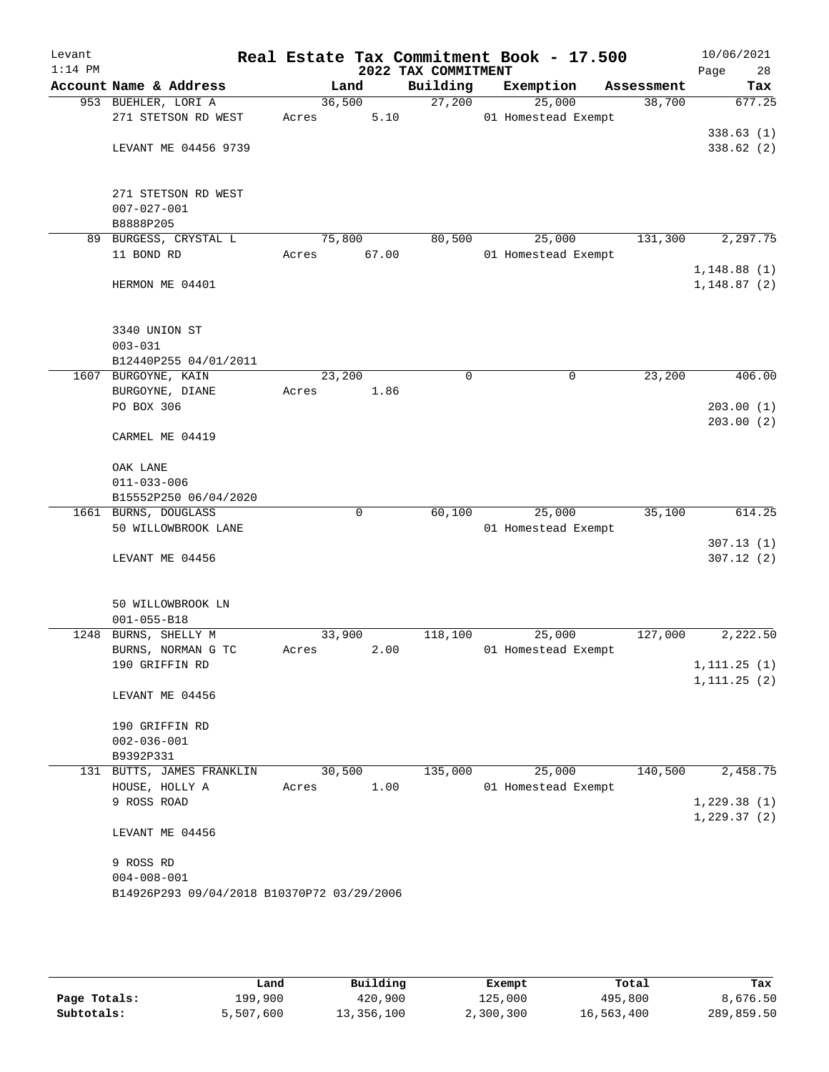| Levant<br>$1:14$ PM |                                            |        |        | Real Estate Tax Commitment Book - 17.500<br>2022 TAX COMMITMENT |                     |        |            | 10/06/2021<br>Page<br>28 |
|---------------------|--------------------------------------------|--------|--------|-----------------------------------------------------------------|---------------------|--------|------------|--------------------------|
|                     | Account Name & Address                     |        | Land   | Building                                                        | Exemption           |        | Assessment | Tax                      |
|                     | 953 BUEHLER, LORI A                        | 36,500 |        | 27,200                                                          |                     | 25,000 | 38,700     | 677.25                   |
|                     | 271 STETSON RD WEST                        | Acres  | 5.10   |                                                                 | 01 Homestead Exempt |        |            |                          |
|                     |                                            |        |        |                                                                 |                     |        |            | 338.63(1)                |
|                     | LEVANT ME 04456 9739                       |        |        |                                                                 |                     |        |            | 338.62(2)                |
|                     | 271 STETSON RD WEST                        |        |        |                                                                 |                     |        |            |                          |
|                     | $007 - 027 - 001$                          |        |        |                                                                 |                     |        |            |                          |
|                     | B8888P205                                  |        |        |                                                                 |                     |        |            |                          |
| 89                  | BURGESS, CRYSTAL L                         | 75,800 |        | 80,500                                                          |                     | 25,000 | 131,300    | 2,297.75                 |
|                     | 11 BOND RD                                 | Acres  | 67.00  |                                                                 | 01 Homestead Exempt |        |            |                          |
|                     |                                            |        |        |                                                                 |                     |        |            | 1,148.88(1)              |
|                     | HERMON ME 04401                            |        |        |                                                                 |                     |        |            | 1,148.87(2)              |
|                     | 3340 UNION ST                              |        |        |                                                                 |                     |        |            |                          |
|                     | $003 - 031$                                |        |        |                                                                 |                     |        |            |                          |
|                     | B12440P255 04/01/2011                      |        |        |                                                                 |                     |        |            |                          |
|                     | 1607 BURGOYNE, KAIN                        | 23,200 |        | 0                                                               |                     | 0      | 23,200     | 406.00                   |
|                     | BURGOYNE, DIANE                            | Acres  | 1.86   |                                                                 |                     |        |            |                          |
|                     | PO BOX 306                                 |        |        |                                                                 |                     |        |            | 203.00(1)                |
|                     |                                            |        |        |                                                                 |                     |        |            | 203.00(2)                |
|                     | CARMEL ME 04419                            |        |        |                                                                 |                     |        |            |                          |
|                     | OAK LANE                                   |        |        |                                                                 |                     |        |            |                          |
|                     | $011 - 033 - 006$                          |        |        |                                                                 |                     |        |            |                          |
|                     | B15552P250 06/04/2020                      |        |        |                                                                 |                     |        |            |                          |
|                     | 1661 BURNS, DOUGLASS                       |        | 0      | 60,100                                                          |                     | 25,000 | 35,100     | 614.25                   |
|                     | 50 WILLOWBROOK LANE                        |        |        |                                                                 | 01 Homestead Exempt |        |            |                          |
|                     |                                            |        |        |                                                                 |                     |        |            | 307.13(1)                |
|                     | LEVANT ME 04456                            |        |        |                                                                 |                     |        |            | 307.12(2)                |
|                     | 50 WILLOWBROOK LN                          |        |        |                                                                 |                     |        |            |                          |
|                     | $001 - 055 - B18$                          |        |        |                                                                 |                     |        |            |                          |
| 1248                | BURNS, SHELLY M                            | 33,900 |        | 118,100                                                         |                     | 25,000 | 127,000    | 2,222.50                 |
|                     | BURNS, NORMAN G TC                         | Acres  | 2.00   |                                                                 | 01 Homestead Exempt |        |            |                          |
|                     | 190 GRIFFIN RD                             |        |        |                                                                 |                     |        |            | 1, 111.25(1)             |
|                     |                                            |        |        |                                                                 |                     |        |            | 1, 111.25(2)             |
|                     | LEVANT ME 04456                            |        |        |                                                                 |                     |        |            |                          |
|                     | 190 GRIFFIN RD                             |        |        |                                                                 |                     |        |            |                          |
|                     | $002 - 036 - 001$                          |        |        |                                                                 |                     |        |            |                          |
|                     | B9392P331                                  |        |        |                                                                 |                     |        |            |                          |
|                     | 131 BUTTS, JAMES FRANKLIN                  |        | 30,500 | 135,000                                                         |                     | 25,000 | 140,500    | 2,458.75                 |
|                     | HOUSE, HOLLY A                             | Acres  | 1.00   |                                                                 | 01 Homestead Exempt |        |            |                          |
|                     | 9 ROSS ROAD                                |        |        |                                                                 |                     |        |            | 1,229.38(1)              |
|                     | LEVANT ME 04456                            |        |        |                                                                 |                     |        |            | 1,229.37(2)              |
|                     |                                            |        |        |                                                                 |                     |        |            |                          |
|                     | 9 ROSS RD                                  |        |        |                                                                 |                     |        |            |                          |
|                     | $004 - 008 - 001$                          |        |        |                                                                 |                     |        |            |                          |
|                     | B14926P293 09/04/2018 B10370P72 03/29/2006 |        |        |                                                                 |                     |        |            |                          |
|                     |                                            |        |        |                                                                 |                     |        |            |                          |
|                     |                                            |        |        |                                                                 |                     |        |            |                          |

|              | Land      | Building   | Exempt    | Total      | Tax        |
|--------------|-----------|------------|-----------|------------|------------|
| Page Totals: | 199,900   | 420,900    | 125,000   | 495,800    | 8,676.50   |
| Subtotals:   | 5,507,600 | 13,356,100 | 2,300,300 | 16,563,400 | 289,859.50 |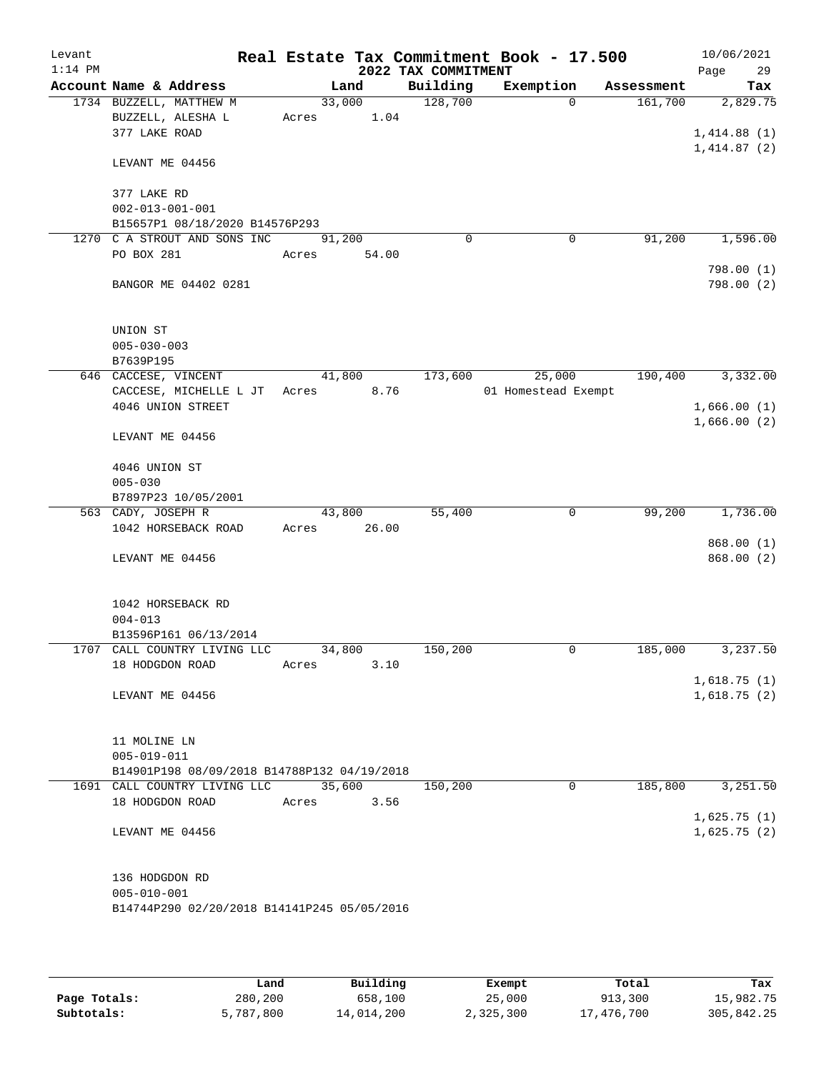| Levant<br>$1:14$ PM |                                                                |            |        | 2022 TAX COMMITMENT | Real Estate Tax Commitment Book - 17.500 |            | 10/06/2021<br>29<br>Page |
|---------------------|----------------------------------------------------------------|------------|--------|---------------------|------------------------------------------|------------|--------------------------|
|                     | Account Name & Address                                         | Land       |        | Building            | Exemption                                | Assessment | Tax                      |
|                     | 1734 BUZZELL, MATTHEW M                                        |            | 33,000 | 128,700             | $\Omega$                                 | 161,700    | 2,829.75                 |
|                     | BUZZELL, ALESHA L                                              | Acres      | 1.04   |                     |                                          |            |                          |
|                     | 377 LAKE ROAD                                                  |            |        |                     |                                          |            | 1,414.88(1)              |
|                     |                                                                |            |        |                     |                                          |            | 1,414.87(2)              |
|                     | LEVANT ME 04456                                                |            |        |                     |                                          |            |                          |
|                     |                                                                |            |        |                     |                                          |            |                          |
|                     | 377 LAKE RD                                                    |            |        |                     |                                          |            |                          |
|                     | $002 - 013 - 001 - 001$                                        |            |        |                     |                                          |            |                          |
|                     | B15657P1 08/18/2020 B14576P293<br>1270 C A STROUT AND SONS INC | 91,200     |        | $\mathbf 0$         | $\mathbf 0$                              | 91,200     | 1,596.00                 |
|                     | PO BOX 281                                                     | Acres      | 54.00  |                     |                                          |            |                          |
|                     |                                                                |            |        |                     |                                          |            | 798.00(1)                |
|                     | BANGOR ME 04402 0281                                           |            |        |                     |                                          |            | 798.00(2)                |
|                     |                                                                |            |        |                     |                                          |            |                          |
|                     |                                                                |            |        |                     |                                          |            |                          |
|                     | UNION ST                                                       |            |        |                     |                                          |            |                          |
|                     | $005 - 030 - 003$                                              |            |        |                     |                                          |            |                          |
|                     | B7639P195                                                      |            |        |                     |                                          |            |                          |
|                     | 646 CACCESE, VINCENT                                           | 41,800     |        | 173,600             | 25,000                                   | 190,400    | 3,332.00                 |
|                     | CACCESE, MICHELLE L JT                                         | Acres 8.76 |        |                     | 01 Homestead Exempt                      |            |                          |
|                     | 4046 UNION STREET                                              |            |        |                     |                                          |            | 1,666.00(1)              |
|                     |                                                                |            |        |                     |                                          |            | 1,666.00(2)              |
|                     | LEVANT ME 04456                                                |            |        |                     |                                          |            |                          |
|                     |                                                                |            |        |                     |                                          |            |                          |
|                     | 4046 UNION ST                                                  |            |        |                     |                                          |            |                          |
|                     | $005 - 030$<br>B7897P23 10/05/2001                             |            |        |                     |                                          |            |                          |
|                     | 563 CADY, JOSEPH R                                             | 43,800     |        | 55,400              | 0                                        | 99,200     | 1,736.00                 |
|                     | 1042 HORSEBACK ROAD                                            | Acres      | 26.00  |                     |                                          |            |                          |
|                     |                                                                |            |        |                     |                                          |            | 868.00(1)                |
|                     | LEVANT ME 04456                                                |            |        |                     |                                          |            | 868.00 (2)               |
|                     |                                                                |            |        |                     |                                          |            |                          |
|                     |                                                                |            |        |                     |                                          |            |                          |
|                     | 1042 HORSEBACK RD                                              |            |        |                     |                                          |            |                          |
|                     | $004 - 013$                                                    |            |        |                     |                                          |            |                          |
|                     | B13596P161 06/13/2014                                          |            |        |                     |                                          |            |                          |
|                     | 1707 CALL COUNTRY LIVING LLC                                   | 34,800     |        | 150,200             | 0                                        | 185,000    | 3,237.50                 |
|                     | 18 HODGDON ROAD                                                | Acres      | 3.10   |                     |                                          |            |                          |
|                     |                                                                |            |        |                     |                                          |            | 1,618.75(1)              |
|                     | LEVANT ME 04456                                                |            |        |                     |                                          |            | 1,618.75(2)              |
|                     |                                                                |            |        |                     |                                          |            |                          |
|                     | 11 MOLINE LN                                                   |            |        |                     |                                          |            |                          |
|                     | $005 - 019 - 011$                                              |            |        |                     |                                          |            |                          |
|                     | B14901P198 08/09/2018 B14788P132 04/19/2018                    |            |        |                     |                                          |            |                          |
|                     | 1691 CALL COUNTRY LIVING LLC                                   | 35,600     |        | 150,200             | $\mathbf 0$                              | 185,800    | 3,251.50                 |
|                     | 18 HODGDON ROAD                                                | Acres      | 3.56   |                     |                                          |            |                          |
|                     |                                                                |            |        |                     |                                          |            | 1,625.75(1)              |
|                     | LEVANT ME 04456                                                |            |        |                     |                                          |            | 1,625.75(2)              |
|                     |                                                                |            |        |                     |                                          |            |                          |
|                     |                                                                |            |        |                     |                                          |            |                          |
|                     | 136 HODGDON RD                                                 |            |        |                     |                                          |            |                          |
|                     | $005 - 010 - 001$                                              |            |        |                     |                                          |            |                          |
|                     | B14744P290 02/20/2018 B14141P245 05/05/2016                    |            |        |                     |                                          |            |                          |
|                     |                                                                |            |        |                     |                                          |            |                          |

|              | Land      | Building   | Exempt    | Total      | Tax        |
|--------------|-----------|------------|-----------|------------|------------|
| Page Totals: | 280,200   | 658,100    | 25,000    | 913,300    | 15,982.75  |
| Subtotals:   | 5,787,800 | 14,014,200 | 2,325,300 | 17,476,700 | 305,842.25 |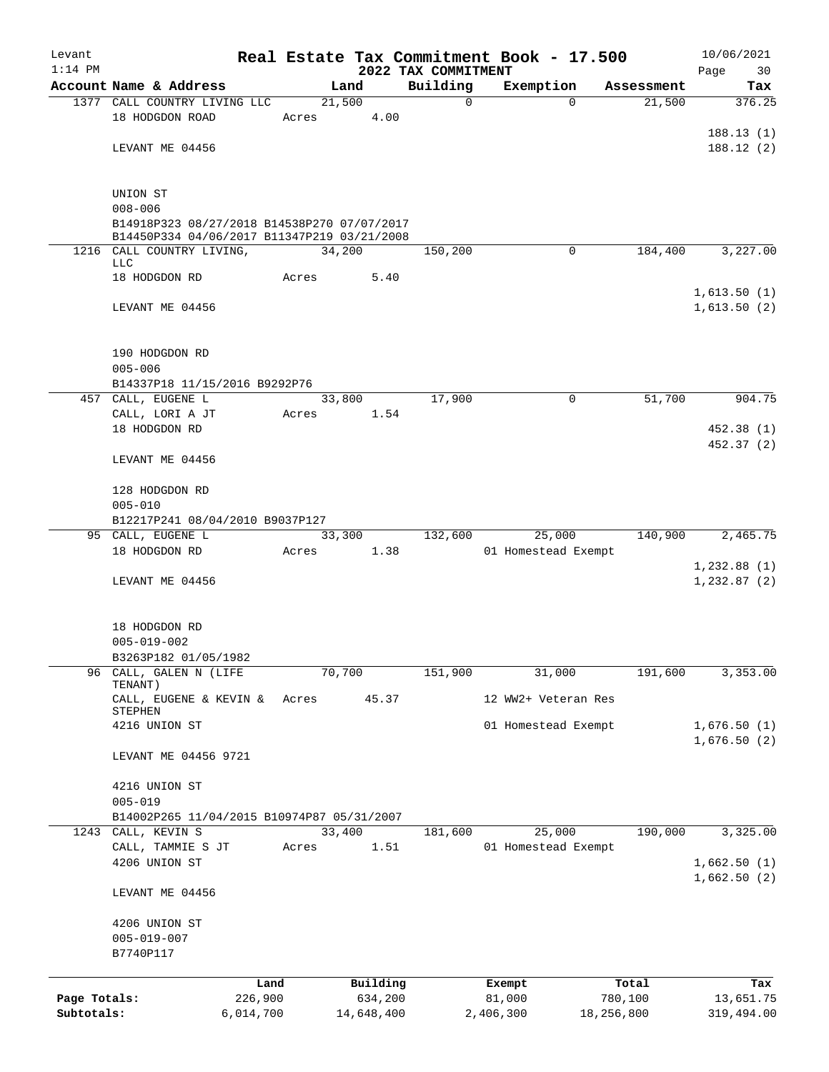| Levant       |                                                           |         |                |                     | Real Estate Tax Commitment Book - 17.500 |            | 10/06/2021    |
|--------------|-----------------------------------------------------------|---------|----------------|---------------------|------------------------------------------|------------|---------------|
| $1:14$ PM    |                                                           |         |                | 2022 TAX COMMITMENT |                                          |            | Page<br>30    |
|              | Account Name & Address<br>1377 CALL COUNTRY LIVING LLC    |         | Land           | Building            | Exemption<br>$\Omega$                    | Assessment | Tax<br>376.25 |
|              | 18 HODGDON ROAD                                           | Acres   | 21,500<br>4.00 | 0                   |                                          | 21,500     |               |
|              |                                                           |         |                |                     |                                          |            | 188.13(1)     |
|              | LEVANT ME 04456                                           |         |                |                     |                                          |            | 188.12(2)     |
|              |                                                           |         |                |                     |                                          |            |               |
|              |                                                           |         |                |                     |                                          |            |               |
|              | UNION ST<br>$008 - 006$                                   |         |                |                     |                                          |            |               |
|              | B14918P323 08/27/2018 B14538P270 07/07/2017               |         |                |                     |                                          |            |               |
|              | B14450P334 04/06/2017 B11347P219 03/21/2008               |         |                |                     |                                          |            |               |
|              | 1216 CALL COUNTRY LIVING,                                 |         | 34,200         | 150,200             | $\Omega$                                 | 184,400    | 3,227.00      |
|              | LLC<br>18 HODGDON RD                                      | Acres   | 5.40           |                     |                                          |            |               |
|              |                                                           |         |                |                     |                                          |            | 1,613.50(1)   |
|              | LEVANT ME 04456                                           |         |                |                     |                                          |            | 1,613.50(2)   |
|              |                                                           |         |                |                     |                                          |            |               |
|              |                                                           |         |                |                     |                                          |            |               |
|              | 190 HODGDON RD                                            |         |                |                     |                                          |            |               |
|              | $005 - 006$                                               |         |                |                     |                                          |            |               |
|              | B14337P18 11/15/2016 B9292P76<br>457 CALL, EUGENE L       |         | 33,800         | 17,900              | $\mathbf 0$                              | 51,700     | 904.75        |
|              | CALL, LORI A JT                                           | Acres   | 1.54           |                     |                                          |            |               |
|              | 18 HODGDON RD                                             |         |                |                     |                                          |            | 452.38 (1)    |
|              |                                                           |         |                |                     |                                          |            | 452.37 (2)    |
|              | LEVANT ME 04456                                           |         |                |                     |                                          |            |               |
|              |                                                           |         |                |                     |                                          |            |               |
|              | 128 HODGDON RD                                            |         |                |                     |                                          |            |               |
|              | $005 - 010$<br>B12217P241 08/04/2010 B9037P127            |         |                |                     |                                          |            |               |
|              | 95 CALL, EUGENE L                                         |         | 33,300         | 132,600             | 25,000                                   | 140,900    | 2,465.75      |
|              | 18 HODGDON RD                                             | Acres   | 1.38           |                     | 01 Homestead Exempt                      |            |               |
|              |                                                           |         |                |                     |                                          |            | 1,232.88(1)   |
|              | LEVANT ME 04456                                           |         |                |                     |                                          |            | 1, 232.87 (2) |
|              |                                                           |         |                |                     |                                          |            |               |
|              |                                                           |         |                |                     |                                          |            |               |
|              | 18 HODGDON RD<br>$005 - 019 - 002$                        |         |                |                     |                                          |            |               |
|              | B3263P182 01/05/1982                                      |         |                |                     |                                          |            |               |
| 96           | CALL, GALEN N (LIFE                                       |         | 70,700         | 151,900             | 31,000                                   | 191,600    | 3,353.00      |
|              | TENANT)                                                   |         |                |                     |                                          |            |               |
|              | CALL, EUGENE & KEVIN &<br>STEPHEN                         | Acres   | 45.37          |                     | 12 WW2+ Veteran Res                      |            |               |
|              | 4216 UNION ST                                             |         |                |                     | 01 Homestead Exempt                      |            | 1,676.50(1)   |
|              |                                                           |         |                |                     |                                          |            | 1,676.50(2)   |
|              | LEVANT ME 04456 9721                                      |         |                |                     |                                          |            |               |
|              |                                                           |         |                |                     |                                          |            |               |
|              | 4216 UNION ST                                             |         |                |                     |                                          |            |               |
|              | $005 - 019$<br>B14002P265 11/04/2015 B10974P87 05/31/2007 |         |                |                     |                                          |            |               |
| 1243         | CALL, KEVIN S                                             |         | 33,400         | 181,600             | 25,000                                   | 190,000    | 3,325.00      |
|              | CALL, TAMMIE S JT                                         | Acres   | 1.51           |                     | 01 Homestead Exempt                      |            |               |
|              | 4206 UNION ST                                             |         |                |                     |                                          |            | 1,662.50(1)   |
|              |                                                           |         |                |                     |                                          |            | 1,662.50(2)   |
|              | LEVANT ME 04456                                           |         |                |                     |                                          |            |               |
|              |                                                           |         |                |                     |                                          |            |               |
|              | 4206 UNION ST                                             |         |                |                     |                                          |            |               |
|              | $005 - 019 - 007$<br>B7740P117                            |         |                |                     |                                          |            |               |
|              |                                                           |         |                |                     |                                          |            |               |
|              |                                                           | Land    | Building       |                     | Exempt                                   | Total      | Tax           |
| Page Totals: |                                                           | 226,900 | 634,200        |                     | 81,000                                   | 780,100    | 13,651.75     |
| Subtotals:   | 6,014,700                                                 |         | 14,648,400     |                     | 2,406,300                                | 18,256,800 | 319,494.00    |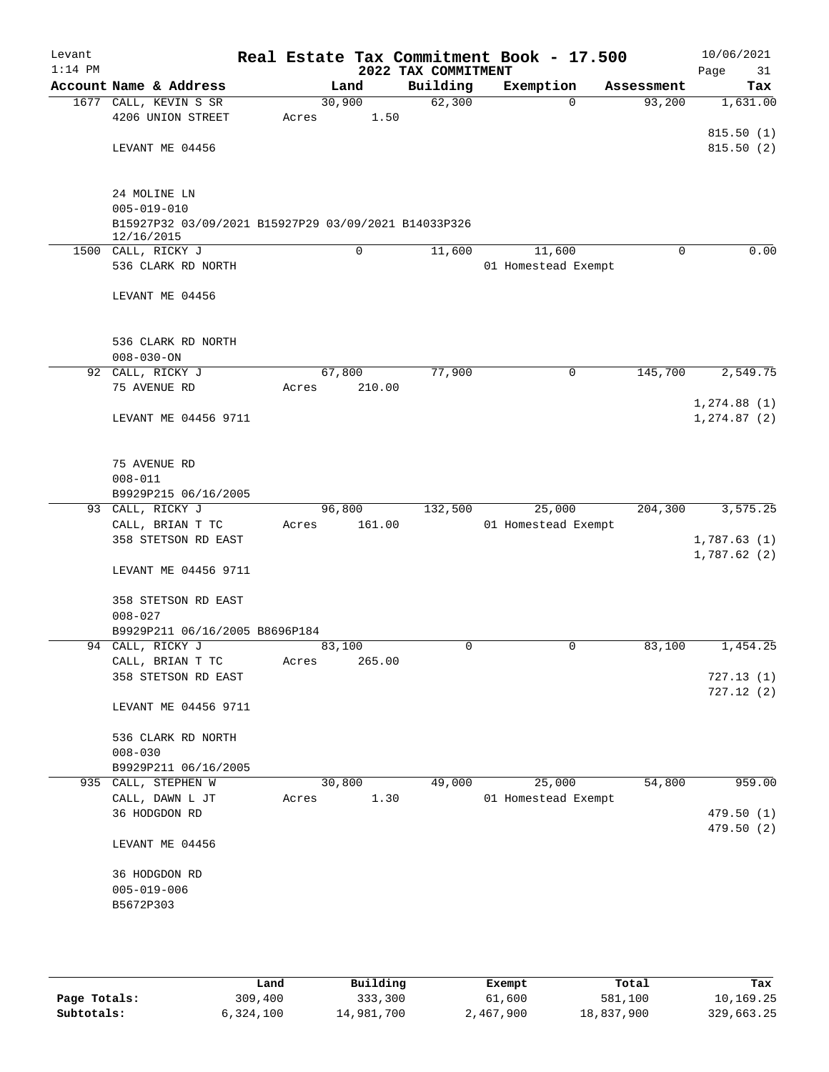| Levant<br>$1:14$ PM |                                                      |       |        | 2022 TAX COMMITMENT | Real Estate Tax Commitment Book - 17.500 |            | 10/06/2021<br>Page<br>31 |
|---------------------|------------------------------------------------------|-------|--------|---------------------|------------------------------------------|------------|--------------------------|
|                     | Account Name & Address                               |       | Land   | Building            | Exemption                                | Assessment | Tax                      |
|                     | 1677 CALL, KEVIN S SR                                |       | 30,900 | 62,300              | $\mathbf 0$                              | 93,200     | 1,631.00                 |
|                     | 4206 UNION STREET                                    | Acres | 1.50   |                     |                                          |            |                          |
|                     |                                                      |       |        |                     |                                          |            | 815.50(1)                |
|                     | LEVANT ME 04456                                      |       |        |                     |                                          |            | 815.50(2)                |
|                     |                                                      |       |        |                     |                                          |            |                          |
|                     |                                                      |       |        |                     |                                          |            |                          |
|                     | 24 MOLINE LN                                         |       |        |                     |                                          |            |                          |
|                     | $005 - 019 - 010$                                    |       |        |                     |                                          |            |                          |
|                     | B15927P32 03/09/2021 B15927P29 03/09/2021 B14033P326 |       |        |                     |                                          |            |                          |
|                     | 12/16/2015                                           |       |        |                     |                                          |            |                          |
|                     | 1500 CALL, RICKY J                                   |       | 0      | 11,600              | 11,600                                   | $\Omega$   | 0.00                     |
|                     | 536 CLARK RD NORTH                                   |       |        |                     | 01 Homestead Exempt                      |            |                          |
|                     |                                                      |       |        |                     |                                          |            |                          |
|                     | LEVANT ME 04456                                      |       |        |                     |                                          |            |                          |
|                     |                                                      |       |        |                     |                                          |            |                          |
|                     |                                                      |       |        |                     |                                          |            |                          |
|                     | 536 CLARK RD NORTH                                   |       |        |                     |                                          |            |                          |
|                     | $008 - 030 - ON$                                     |       |        |                     |                                          |            |                          |
|                     | 92 CALL, RICKY J                                     |       | 67,800 | 77,900              | 0                                        | 145,700    | 2,549.75                 |
|                     | 75 AVENUE RD                                         | Acres | 210.00 |                     |                                          |            |                          |
|                     |                                                      |       |        |                     |                                          |            | 1, 274.88(1)             |
|                     | LEVANT ME 04456 9711                                 |       |        |                     |                                          |            | 1, 274.87 (2)            |
|                     |                                                      |       |        |                     |                                          |            |                          |
|                     |                                                      |       |        |                     |                                          |            |                          |
|                     | 75 AVENUE RD                                         |       |        |                     |                                          |            |                          |
|                     | $008 - 011$                                          |       |        |                     |                                          |            |                          |
|                     | B9929P215 06/16/2005                                 |       |        |                     |                                          |            |                          |
|                     | 93 CALL, RICKY J                                     |       | 96,800 | 132,500             | 25,000                                   | 204,300    | 3,575.25                 |
|                     | CALL, BRIAN T TC                                     | Acres | 161.00 |                     | 01 Homestead Exempt                      |            |                          |
|                     | 358 STETSON RD EAST                                  |       |        |                     |                                          |            | 1,787.63(1)              |
|                     |                                                      |       |        |                     |                                          |            | 1,787.62(2)              |
|                     | LEVANT ME 04456 9711                                 |       |        |                     |                                          |            |                          |
|                     |                                                      |       |        |                     |                                          |            |                          |
|                     | 358 STETSON RD EAST                                  |       |        |                     |                                          |            |                          |
|                     | $008 - 027$                                          |       |        |                     |                                          |            |                          |
|                     | B9929P211 06/16/2005 B8696P184                       |       |        |                     |                                          |            |                          |
|                     | 94 CALL, RICKY J                                     |       | 83,100 | $\mathbf 0$         | 0                                        | 83,100     | 1,454.25                 |
|                     | CALL, BRIAN T TC                                     | Acres | 265.00 |                     |                                          |            |                          |
|                     | 358 STETSON RD EAST                                  |       |        |                     |                                          |            | 727.13 (1)               |
|                     |                                                      |       |        |                     |                                          |            | 727.12(2)                |
|                     | LEVANT ME 04456 9711                                 |       |        |                     |                                          |            |                          |
|                     |                                                      |       |        |                     |                                          |            |                          |
|                     | 536 CLARK RD NORTH                                   |       |        |                     |                                          |            |                          |
|                     | $008 - 030$                                          |       |        |                     |                                          |            |                          |
|                     | B9929P211 06/16/2005                                 |       |        |                     |                                          |            |                          |
| 935                 | CALL, STEPHEN W                                      |       | 30,800 | 49,000              | 25,000                                   | 54,800     | 959.00                   |
|                     | CALL, DAWN L JT                                      | Acres | 1.30   |                     | 01 Homestead Exempt                      |            |                          |
|                     | 36 HODGDON RD                                        |       |        |                     |                                          |            | 479.50(1)                |
|                     |                                                      |       |        |                     |                                          |            | 479.50 (2)               |
|                     | LEVANT ME 04456                                      |       |        |                     |                                          |            |                          |
|                     |                                                      |       |        |                     |                                          |            |                          |
|                     | 36 HODGDON RD                                        |       |        |                     |                                          |            |                          |
|                     | $005 - 019 - 006$                                    |       |        |                     |                                          |            |                          |
|                     | B5672P303                                            |       |        |                     |                                          |            |                          |
|                     |                                                      |       |        |                     |                                          |            |                          |
|                     |                                                      |       |        |                     |                                          |            |                          |

|              | Land      | Building   | Exempt    | Total      | Tax        |
|--------------|-----------|------------|-----------|------------|------------|
| Page Totals: | 309,400   | 333,300    | 61,600    | 581,100    | 10,169.25  |
| Subtotals:   | 6,324,100 | 14,981,700 | 2,467,900 | 18,837,900 | 329,663.25 |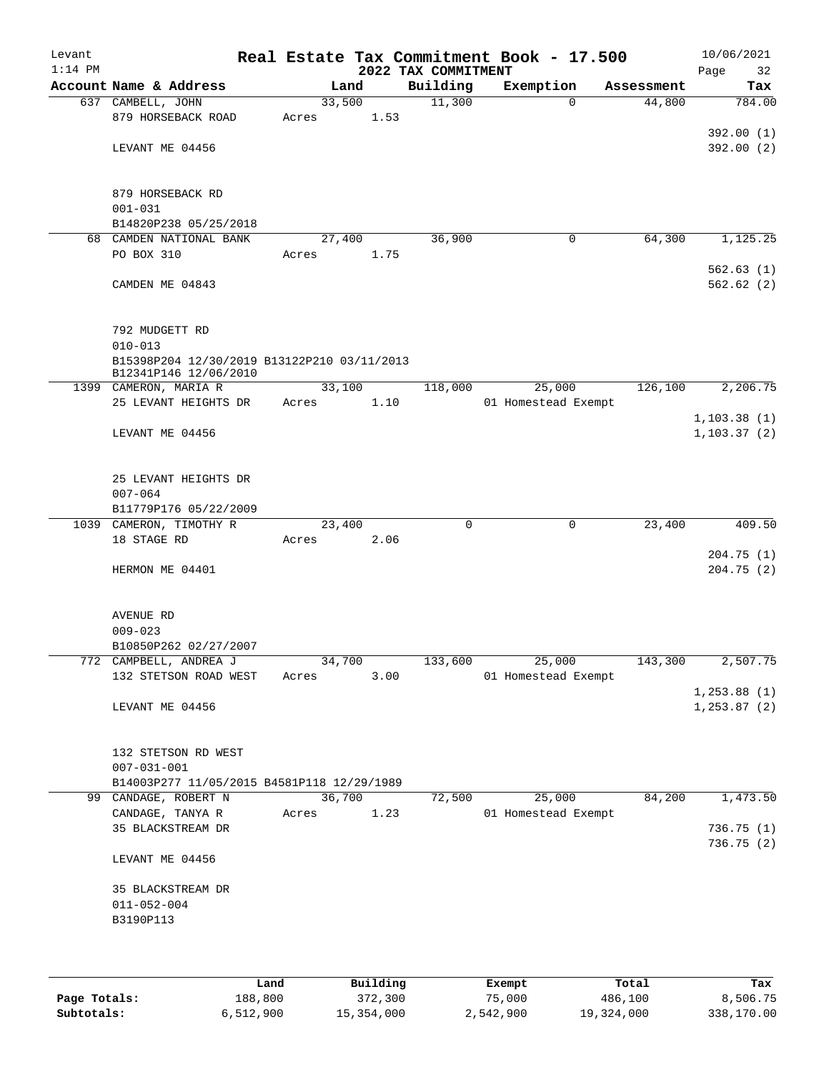| Levant<br>$1:14$ PM |                                             |        |      | 2022 TAX COMMITMENT | Real Estate Tax Commitment Book - 17.500 |            | 10/06/2021<br>Page<br>32     |
|---------------------|---------------------------------------------|--------|------|---------------------|------------------------------------------|------------|------------------------------|
|                     | Account Name & Address                      | Land   |      | Building            | Exemption                                | Assessment | Tax                          |
|                     | 637 CAMBELL, JOHN                           | 33,500 |      | 11,300              | $\Omega$                                 | 44,800     | 784.00                       |
|                     | 879 HORSEBACK ROAD                          | Acres  | 1.53 |                     |                                          |            |                              |
|                     | LEVANT ME 04456                             |        |      |                     |                                          |            | 392.00(1)<br>392.00 (2)      |
|                     |                                             |        |      |                     |                                          |            |                              |
|                     |                                             |        |      |                     |                                          |            |                              |
|                     | 879 HORSEBACK RD<br>$001 - 031$             |        |      |                     |                                          |            |                              |
|                     | B14820P238 05/25/2018                       |        |      |                     |                                          |            |                              |
|                     | 68 CAMDEN NATIONAL BANK                     | 27,400 |      | 36,900              | 0                                        | 64,300     | 1,125.25                     |
|                     | PO BOX 310                                  | Acres  | 1.75 |                     |                                          |            |                              |
|                     |                                             |        |      |                     |                                          |            | 562.63(1)                    |
|                     | CAMDEN ME 04843                             |        |      |                     |                                          |            | 562.62(2)                    |
|                     |                                             |        |      |                     |                                          |            |                              |
|                     | 792 MUDGETT RD<br>$010 - 013$               |        |      |                     |                                          |            |                              |
|                     | B15398P204 12/30/2019 B13122P210 03/11/2013 |        |      |                     |                                          |            |                              |
|                     | B12341P146 12/06/2010                       |        |      |                     |                                          |            |                              |
|                     | 1399 CAMERON, MARIA R                       | 33,100 |      | 118,000             | 25,000                                   | 126,100    | 2,206.75                     |
|                     | 25 LEVANT HEIGHTS DR                        | Acres  | 1.10 |                     | 01 Homestead Exempt                      |            |                              |
|                     | LEVANT ME 04456                             |        |      |                     |                                          |            | 1,103.38(1)<br>1, 103.37(2)  |
|                     |                                             |        |      |                     |                                          |            |                              |
|                     | 25 LEVANT HEIGHTS DR                        |        |      |                     |                                          |            |                              |
|                     | $007 - 064$                                 |        |      |                     |                                          |            |                              |
|                     | B11779P176 05/22/2009                       |        |      |                     |                                          |            |                              |
|                     | 1039 CAMERON, TIMOTHY R                     | 23,400 |      | $\mathbf 0$         | $\mathbf 0$                              | 23,400     | 409.50                       |
|                     | 18 STAGE RD                                 | Acres  | 2.06 |                     |                                          |            |                              |
|                     |                                             |        |      |                     |                                          |            | 204.75(1)                    |
|                     | HERMON ME 04401                             |        |      |                     |                                          |            | 204.75 (2)                   |
|                     | <b>AVENUE RD</b>                            |        |      |                     |                                          |            |                              |
|                     | $009 - 023$                                 |        |      |                     |                                          |            |                              |
|                     | B10850P262 02/27/2007                       |        |      |                     |                                          |            |                              |
|                     | 772 CAMPBELL, ANDREA J                      | 34,700 |      | 133,600             | 25,000                                   | 143,300    | 2,507.75                     |
|                     | 132 STETSON ROAD WEST                       | Acres  | 3.00 |                     | 01 Homestead Exempt                      |            |                              |
|                     | LEVANT ME 04456                             |        |      |                     |                                          |            | 1, 253.88(1)<br>1, 253.87(2) |
|                     |                                             |        |      |                     |                                          |            |                              |
|                     | 132 STETSON RD WEST                         |        |      |                     |                                          |            |                              |
|                     | $007 - 031 - 001$                           |        |      |                     |                                          |            |                              |
|                     | B14003P277 11/05/2015 B4581P118 12/29/1989  |        |      |                     |                                          |            |                              |
|                     | 99 CANDAGE, ROBERT N                        | 36,700 |      | 72,500              | 25,000                                   | 84,200     | 1,473.50                     |
|                     | CANDAGE, TANYA R                            | Acres  | 1.23 |                     | 01 Homestead Exempt                      |            |                              |
|                     | 35 BLACKSTREAM DR                           |        |      |                     |                                          |            | 736.75 (1)<br>736.75 (2)     |
|                     | LEVANT ME 04456                             |        |      |                     |                                          |            |                              |
|                     | 35 BLACKSTREAM DR                           |        |      |                     |                                          |            |                              |
|                     | $011 - 052 - 004$                           |        |      |                     |                                          |            |                              |
|                     | B3190P113                                   |        |      |                     |                                          |            |                              |
|                     |                                             |        |      |                     |                                          |            |                              |
|                     |                                             |        |      |                     |                                          |            |                              |

|              | Land      | Building   | Exempt    | Total      | Tax        |
|--------------|-----------|------------|-----------|------------|------------|
| Page Totals: | 188,800   | 372,300    | 75,000    | 486,100    | 8,506.75   |
| Subtotals:   | 6.512.900 | 15,354,000 | 2,542,900 | 19,324,000 | 338,170.00 |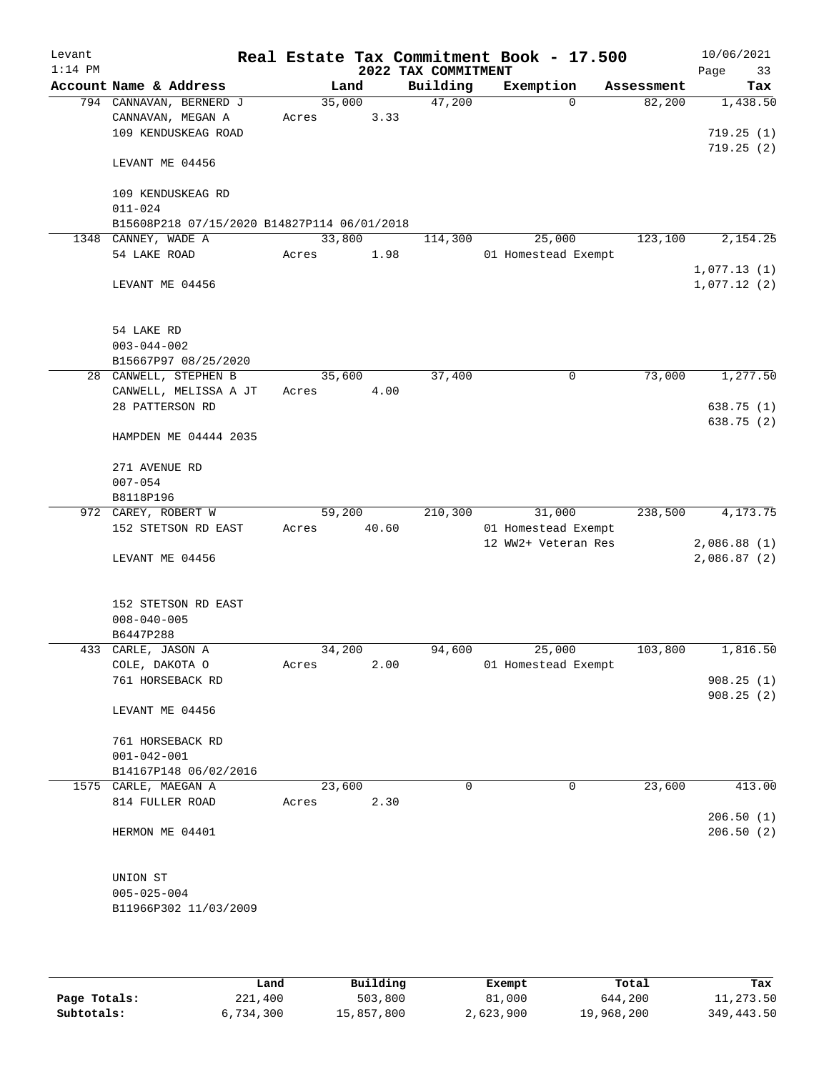| Levant    |                                             |        |       |                     | Real Estate Tax Commitment Book - 17.500 |            | 10/06/2021  |
|-----------|---------------------------------------------|--------|-------|---------------------|------------------------------------------|------------|-------------|
| $1:14$ PM |                                             |        |       | 2022 TAX COMMITMENT |                                          |            | Page<br>33  |
|           | Account Name & Address                      |        | Land  | Building            | Exemption                                | Assessment | Tax         |
|           | 794 CANNAVAN, BERNERD J                     | 35,000 |       | 47,200              | $\Omega$                                 | 82,200     | 1,438.50    |
|           | CANNAVAN, MEGAN A                           | Acres  | 3.33  |                     |                                          |            |             |
|           | 109 KENDUSKEAG ROAD                         |        |       |                     |                                          |            | 719.25(1)   |
|           |                                             |        |       |                     |                                          |            | 719.25(2)   |
|           | LEVANT ME 04456                             |        |       |                     |                                          |            |             |
|           |                                             |        |       |                     |                                          |            |             |
|           | 109 KENDUSKEAG RD                           |        |       |                     |                                          |            |             |
|           | $011 - 024$                                 |        |       |                     |                                          |            |             |
|           | B15608P218 07/15/2020 B14827P114 06/01/2018 |        |       |                     |                                          |            |             |
|           | 1348 CANNEY, WADE A                         | 33,800 |       | 114,300             | 25,000                                   | 123,100    | 2,154.25    |
|           | 54 LAKE ROAD                                | Acres  | 1.98  |                     | 01 Homestead Exempt                      |            |             |
|           |                                             |        |       |                     |                                          |            | 1,077.13(1) |
|           | LEVANT ME 04456                             |        |       |                     |                                          |            | 1,077.12(2) |
|           |                                             |        |       |                     |                                          |            |             |
|           |                                             |        |       |                     |                                          |            |             |
|           |                                             |        |       |                     |                                          |            |             |
|           | 54 LAKE RD                                  |        |       |                     |                                          |            |             |
|           | $003 - 044 - 002$                           |        |       |                     |                                          |            |             |
|           | B15667P97 08/25/2020                        |        |       |                     |                                          |            |             |
|           | 28 CANWELL, STEPHEN B                       | 35,600 |       | 37,400              | 0                                        | 73,000     | 1,277.50    |
|           | CANWELL, MELISSA A JT                       | Acres  | 4.00  |                     |                                          |            |             |
|           | 28 PATTERSON RD                             |        |       |                     |                                          |            | 638.75(1)   |
|           |                                             |        |       |                     |                                          |            | 638.75 (2)  |
|           | HAMPDEN ME 04444 2035                       |        |       |                     |                                          |            |             |
|           |                                             |        |       |                     |                                          |            |             |
|           | 271 AVENUE RD                               |        |       |                     |                                          |            |             |
|           | $007 - 054$                                 |        |       |                     |                                          |            |             |
|           | B8118P196                                   |        |       |                     |                                          |            |             |
|           | 972 CAREY, ROBERT W                         | 59,200 |       | 210,300             | 31,000                                   | 238,500    | 4,173.75    |
|           | 152 STETSON RD EAST                         | Acres  | 40.60 |                     | 01 Homestead Exempt                      |            |             |
|           |                                             |        |       |                     | 12 WW2+ Veteran Res                      |            | 2,086.88(1) |
|           | LEVANT ME 04456                             |        |       |                     |                                          |            | 2,086.87(2) |
|           |                                             |        |       |                     |                                          |            |             |
|           |                                             |        |       |                     |                                          |            |             |
|           | 152 STETSON RD EAST                         |        |       |                     |                                          |            |             |
|           | $008 - 040 - 005$                           |        |       |                     |                                          |            |             |
|           | B6447P288                                   |        |       |                     |                                          |            |             |
|           | 433 CARLE, JASON A                          | 34,200 |       | 94,600              | 25,000                                   | 103,800    | 1,816.50    |
|           | COLE, DAKOTA O                              |        |       |                     |                                          |            |             |
|           |                                             | Acres  | 2.00  |                     | 01 Homestead Exempt                      |            |             |
|           | 761 HORSEBACK RD                            |        |       |                     |                                          |            | 908.25(1)   |
|           |                                             |        |       |                     |                                          |            | 908.25(2)   |
|           | LEVANT ME 04456                             |        |       |                     |                                          |            |             |
|           |                                             |        |       |                     |                                          |            |             |
|           | 761 HORSEBACK RD                            |        |       |                     |                                          |            |             |
|           | $001 - 042 - 001$                           |        |       |                     |                                          |            |             |
|           | B14167P148 06/02/2016                       |        |       |                     |                                          |            |             |
|           | 1575 CARLE, MAEGAN A                        | 23,600 |       | 0                   | 0                                        | 23,600     | 413.00      |
|           | 814 FULLER ROAD                             | Acres  | 2.30  |                     |                                          |            |             |
|           |                                             |        |       |                     |                                          |            | 206.50(1)   |
|           | HERMON ME 04401                             |        |       |                     |                                          |            | 206.50(2)   |
|           |                                             |        |       |                     |                                          |            |             |
|           |                                             |        |       |                     |                                          |            |             |
|           | UNION ST                                    |        |       |                     |                                          |            |             |
|           | $005 - 025 - 004$                           |        |       |                     |                                          |            |             |
|           | B11966P302 11/03/2009                       |        |       |                     |                                          |            |             |
|           |                                             |        |       |                     |                                          |            |             |
|           |                                             |        |       |                     |                                          |            |             |
|           |                                             |        |       |                     |                                          |            |             |

|              | Land      | Building   | Exempt    | Total      | Tax        |
|--------------|-----------|------------|-----------|------------|------------|
| Page Totals: | 221,400   | 503,800    | 81,000    | 644,200    | 11,273.50  |
| Subtotals:   | 6,734,300 | 15,857,800 | 2,623,900 | 19,968,200 | 349,443.50 |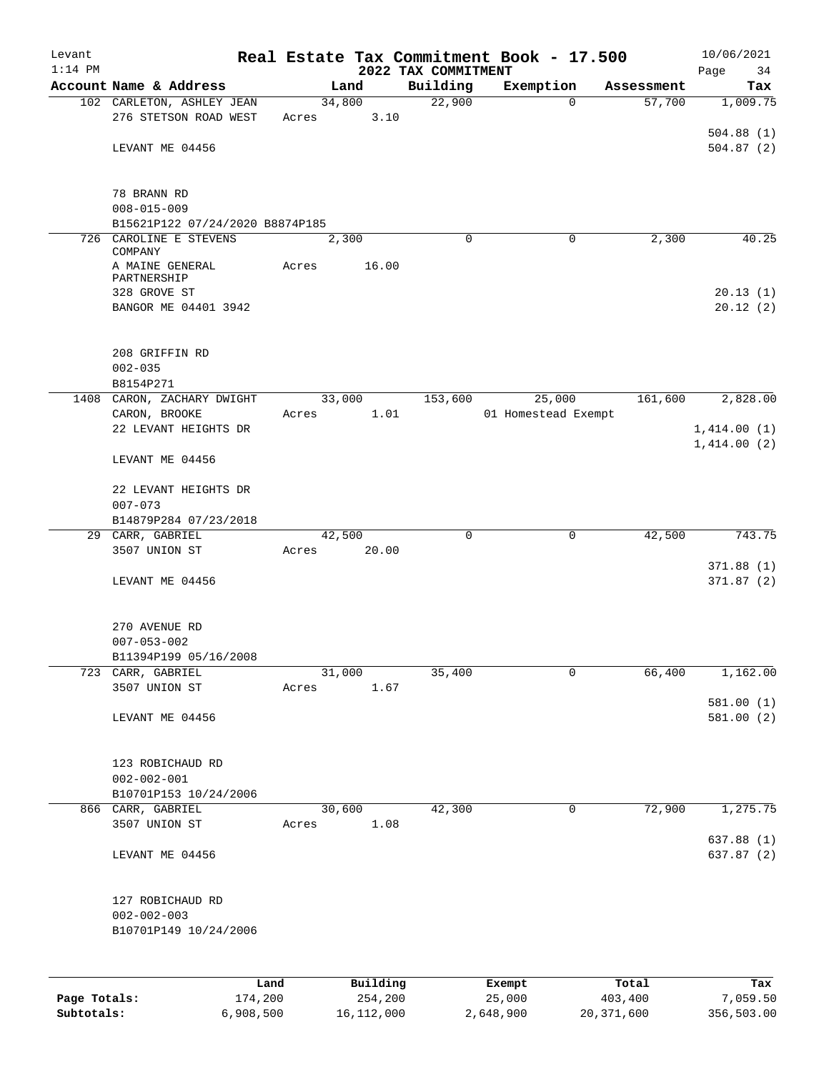| Levant       |                                       |         |       |        |          |                     | Real Estate Tax Commitment Book - 17.500 |             |            | 10/06/2021  |
|--------------|---------------------------------------|---------|-------|--------|----------|---------------------|------------------------------------------|-------------|------------|-------------|
| $1:14$ PM    |                                       |         |       |        |          | 2022 TAX COMMITMENT |                                          |             |            | Page<br>34  |
|              | Account Name & Address                |         |       | Land   |          | Building            | Exemption                                |             | Assessment | Tax         |
|              | 102 CARLETON, ASHLEY JEAN             |         |       |        | 34,800   | 22,900              |                                          | $\Omega$    | 57,700     | 1,009.75    |
|              | 276 STETSON ROAD WEST                 |         | Acres |        | 3.10     |                     |                                          |             |            |             |
|              |                                       |         |       |        |          |                     |                                          |             |            | 504.88(1)   |
|              | LEVANT ME 04456                       |         |       |        |          |                     |                                          |             |            | 504.87(2)   |
|              |                                       |         |       |        |          |                     |                                          |             |            |             |
|              | 78 BRANN RD                           |         |       |        |          |                     |                                          |             |            |             |
|              | $008 - 015 - 009$                     |         |       |        |          |                     |                                          |             |            |             |
|              | B15621P122 07/24/2020 B8874P185       |         |       |        |          |                     |                                          |             |            |             |
|              | 726 CAROLINE E STEVENS                |         |       | 2,300  |          | $\Omega$            |                                          | 0           | 2,300      | 40.25       |
|              | COMPANY                               |         |       |        |          |                     |                                          |             |            |             |
|              | A MAINE GENERAL<br>PARTNERSHIP        |         | Acres |        | 16.00    |                     |                                          |             |            |             |
|              | 328 GROVE ST                          |         |       |        |          |                     |                                          |             |            | 20.13(1)    |
|              | BANGOR ME 04401 3942                  |         |       |        |          |                     |                                          |             |            | 20.12(2)    |
|              |                                       |         |       |        |          |                     |                                          |             |            |             |
|              |                                       |         |       |        |          |                     |                                          |             |            |             |
|              | 208 GRIFFIN RD                        |         |       |        |          |                     |                                          |             |            |             |
|              | $002 - 035$                           |         |       |        |          |                     |                                          |             |            |             |
|              | B8154P271                             |         |       |        |          |                     |                                          |             |            |             |
|              | 1408 CARON, ZACHARY DWIGHT            |         |       | 33,000 |          | 153,600             | 25,000                                   |             | 161,600    | 2,828.00    |
|              | CARON, BROOKE                         |         | Acres |        | 1.01     |                     | 01 Homestead Exempt                      |             |            |             |
|              | 22 LEVANT HEIGHTS DR                  |         |       |        |          |                     |                                          |             |            | 1,414.00(1) |
|              |                                       |         |       |        |          |                     |                                          |             |            | 1,414.00(2) |
|              | LEVANT ME 04456                       |         |       |        |          |                     |                                          |             |            |             |
|              | 22 LEVANT HEIGHTS DR                  |         |       |        |          |                     |                                          |             |            |             |
|              | $007 - 073$                           |         |       |        |          |                     |                                          |             |            |             |
|              | B14879P284 07/23/2018                 |         |       |        |          |                     |                                          |             |            |             |
|              | 29 CARR, GABRIEL                      |         |       | 42,500 |          | 0                   |                                          | 0           | 42,500     | 743.75      |
|              | 3507 UNION ST                         |         | Acres |        | 20.00    |                     |                                          |             |            |             |
|              |                                       |         |       |        |          |                     |                                          |             |            | 371.88(1)   |
|              | LEVANT ME 04456                       |         |       |        |          |                     |                                          |             |            | 371.87(2)   |
|              |                                       |         |       |        |          |                     |                                          |             |            |             |
|              |                                       |         |       |        |          |                     |                                          |             |            |             |
|              | 270 AVENUE RD                         |         |       |        |          |                     |                                          |             |            |             |
|              | $007 - 053 - 002$                     |         |       |        |          |                     |                                          |             |            |             |
|              | B11394P199 05/16/2008                 |         |       |        |          |                     |                                          |             |            |             |
| 723          | CARR, GABRIEL                         |         |       | 31,000 |          | 35,400              |                                          | 0           | 66,400     | 1,162.00    |
|              | 3507 UNION ST                         |         | Acres |        | 1.67     |                     |                                          |             |            | 581.00(1)   |
|              | LEVANT ME 04456                       |         |       |        |          |                     |                                          |             |            | 581.00 (2)  |
|              |                                       |         |       |        |          |                     |                                          |             |            |             |
|              |                                       |         |       |        |          |                     |                                          |             |            |             |
|              | 123 ROBICHAUD RD                      |         |       |        |          |                     |                                          |             |            |             |
|              | $002 - 002 - 001$                     |         |       |        |          |                     |                                          |             |            |             |
|              | B10701P153 10/24/2006                 |         |       |        |          |                     |                                          |             |            |             |
|              | 866 CARR, GABRIEL                     |         |       | 30,600 |          | 42,300              |                                          | $\mathbf 0$ | 72,900     | 1,275.75    |
|              | 3507 UNION ST                         |         | Acres |        | 1.08     |                     |                                          |             |            |             |
|              |                                       |         |       |        |          |                     |                                          |             |            | 637.88 (1)  |
|              | LEVANT ME 04456                       |         |       |        |          |                     |                                          |             |            | 637.87 (2)  |
|              |                                       |         |       |        |          |                     |                                          |             |            |             |
|              |                                       |         |       |        |          |                     |                                          |             |            |             |
|              | 127 ROBICHAUD RD<br>$002 - 002 - 003$ |         |       |        |          |                     |                                          |             |            |             |
|              | B10701P149 10/24/2006                 |         |       |        |          |                     |                                          |             |            |             |
|              |                                       |         |       |        |          |                     |                                          |             |            |             |
|              |                                       |         |       |        |          |                     |                                          |             |            |             |
|              |                                       |         |       |        |          |                     |                                          |             |            |             |
|              |                                       | Land    |       |        | Building |                     | Exempt                                   |             | Total      | Tax         |
| Page Totals: |                                       | 174,200 |       |        | 254,200  |                     | 25,000                                   |             | 403,400    | 7,059.50    |

**Subtotals:** 6,908,500 16,112,000 2,648,900 20,371,600 356,503.00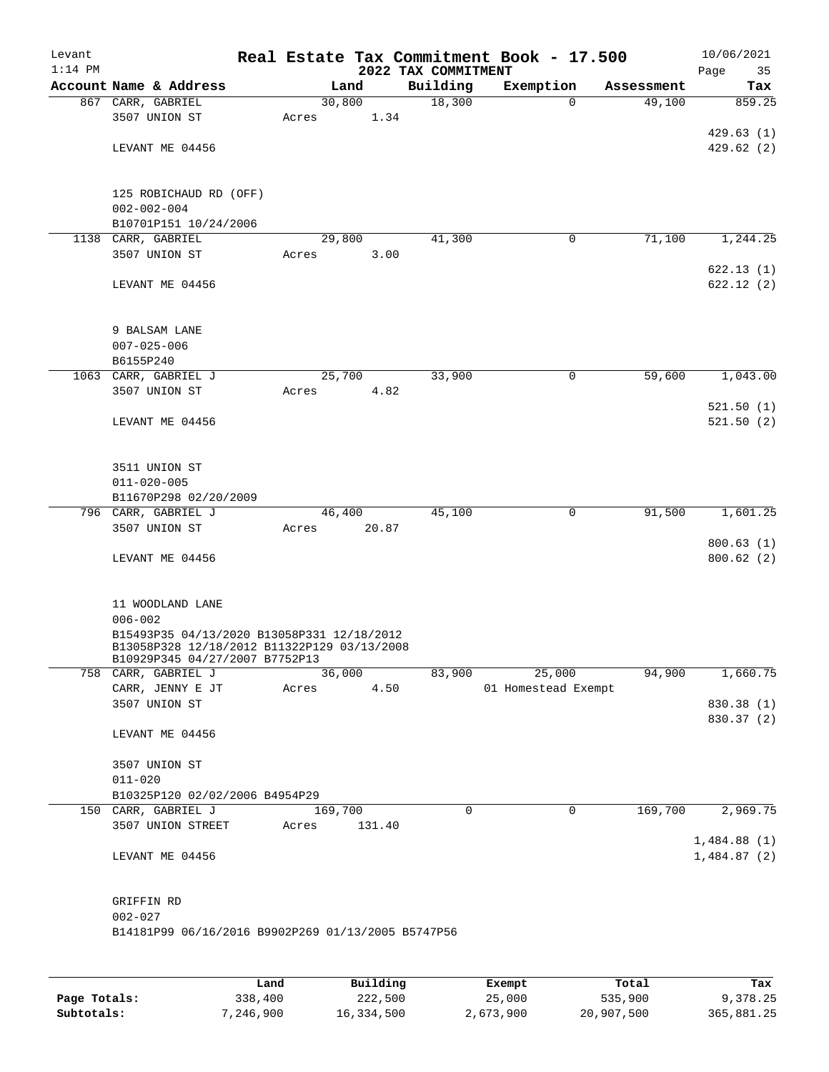| Levant<br>$1:14$ PM |                                                                                           |         |        | 2022 TAX COMMITMENT | Real Estate Tax Commitment Book - 17.500 |            | 10/06/2021<br>Page<br>35 |
|---------------------|-------------------------------------------------------------------------------------------|---------|--------|---------------------|------------------------------------------|------------|--------------------------|
|                     | Account Name & Address                                                                    |         | Land   | Building            | Exemption                                | Assessment | Tax                      |
|                     | 867 CARR, GABRIEL                                                                         | 30,800  |        | 18,300              | $\Omega$                                 | 49,100     | 859.25                   |
|                     | 3507 UNION ST                                                                             | Acres   | 1.34   |                     |                                          |            |                          |
|                     |                                                                                           |         |        |                     |                                          |            | 429.63(1)                |
|                     | LEVANT ME 04456                                                                           |         |        |                     |                                          |            | 429.62(2)                |
|                     |                                                                                           |         |        |                     |                                          |            |                          |
|                     | 125 ROBICHAUD RD (OFF)                                                                    |         |        |                     |                                          |            |                          |
|                     | $002 - 002 - 004$                                                                         |         |        |                     |                                          |            |                          |
|                     | B10701P151 10/24/2006                                                                     |         |        |                     |                                          |            |                          |
| 1138                | CARR, GABRIEL                                                                             | 29,800  |        | 41,300              | 0                                        | 71,100     | 1,244.25                 |
|                     | 3507 UNION ST                                                                             | Acres   | 3.00   |                     |                                          |            |                          |
|                     |                                                                                           |         |        |                     |                                          |            | 622.13 (1)               |
|                     | LEVANT ME 04456                                                                           |         |        |                     |                                          |            | 622.12(2)                |
|                     |                                                                                           |         |        |                     |                                          |            |                          |
|                     | 9 BALSAM LANE                                                                             |         |        |                     |                                          |            |                          |
|                     | $007 - 025 - 006$                                                                         |         |        |                     |                                          |            |                          |
|                     | B6155P240                                                                                 |         |        |                     |                                          |            |                          |
|                     | 1063 CARR, GABRIEL J                                                                      | 25,700  |        | 33,900              | 0                                        | 59,600     | 1,043.00                 |
|                     | 3507 UNION ST                                                                             | Acres   | 4.82   |                     |                                          |            |                          |
|                     |                                                                                           |         |        |                     |                                          |            | 521.50(1)                |
|                     | LEVANT ME 04456                                                                           |         |        |                     |                                          |            | 521.50(2)                |
|                     |                                                                                           |         |        |                     |                                          |            |                          |
|                     |                                                                                           |         |        |                     |                                          |            |                          |
|                     | 3511 UNION ST                                                                             |         |        |                     |                                          |            |                          |
|                     | $011 - 020 - 005$                                                                         |         |        |                     |                                          |            |                          |
|                     | B11670P298 02/20/2009<br>796 CARR, GABRIEL J                                              | 46,400  |        | 45,100              | 0                                        | 91,500     | 1,601.25                 |
|                     | 3507 UNION ST                                                                             | Acres   | 20.87  |                     |                                          |            |                          |
|                     |                                                                                           |         |        |                     |                                          |            | 800.63(1)                |
|                     | LEVANT ME 04456                                                                           |         |        |                     |                                          |            | 800.62(2)                |
|                     |                                                                                           |         |        |                     |                                          |            |                          |
|                     |                                                                                           |         |        |                     |                                          |            |                          |
|                     | 11 WOODLAND LANE                                                                          |         |        |                     |                                          |            |                          |
|                     | $006 - 002$                                                                               |         |        |                     |                                          |            |                          |
|                     | B15493P35 04/13/2020 B13058P331 12/18/2012<br>B13058P328 12/18/2012 B11322P129 03/13/2008 |         |        |                     |                                          |            |                          |
|                     | B10929P345 04/27/2007 B7752P13                                                            |         |        |                     |                                          |            |                          |
|                     | 758 CARR, GABRIEL J                                                                       |         | 36,000 | 83,900              | 25,000                                   | 94,900     | 1,660.75                 |
|                     | CARR, JENNY E JT                                                                          | Acres   | 4.50   |                     | 01 Homestead Exempt                      |            |                          |
|                     | 3507 UNION ST                                                                             |         |        |                     |                                          |            | 830.38 (1)               |
|                     |                                                                                           |         |        |                     |                                          |            | 830.37 (2)               |
|                     | LEVANT ME 04456                                                                           |         |        |                     |                                          |            |                          |
|                     | 3507 UNION ST                                                                             |         |        |                     |                                          |            |                          |
|                     | $011 - 020$                                                                               |         |        |                     |                                          |            |                          |
|                     | B10325P120 02/02/2006 B4954P29                                                            |         |        |                     |                                          |            |                          |
|                     | 150 CARR, GABRIEL J                                                                       | 169,700 |        | $\Omega$            | $\mathbf 0$                              | 169,700    | 2,969.75                 |
|                     | 3507 UNION STREET                                                                         | Acres   | 131.40 |                     |                                          |            |                          |
|                     |                                                                                           |         |        |                     |                                          |            | 1,484.88(1)              |
|                     | LEVANT ME 04456                                                                           |         |        |                     |                                          |            | 1,484.87(2)              |
|                     |                                                                                           |         |        |                     |                                          |            |                          |
|                     |                                                                                           |         |        |                     |                                          |            |                          |
|                     | GRIFFIN RD<br>$002 - 027$                                                                 |         |        |                     |                                          |            |                          |
|                     | B14181P99 06/16/2016 B9902P269 01/13/2005 B5747P56                                        |         |        |                     |                                          |            |                          |
|                     |                                                                                           |         |        |                     |                                          |            |                          |
|                     |                                                                                           |         |        |                     |                                          |            |                          |
|                     |                                                                                           |         |        |                     |                                          |            |                          |

|              | Land      | Building   | Exempt    | Total      | Tax        |
|--------------|-----------|------------|-----------|------------|------------|
| Page Totals: | 338,400   | 222,500    | 25,000    | 535,900    | 9,378.25   |
| Subtotals:   | 7,246,900 | 16,334,500 | 2,673,900 | 20,907,500 | 365,881.25 |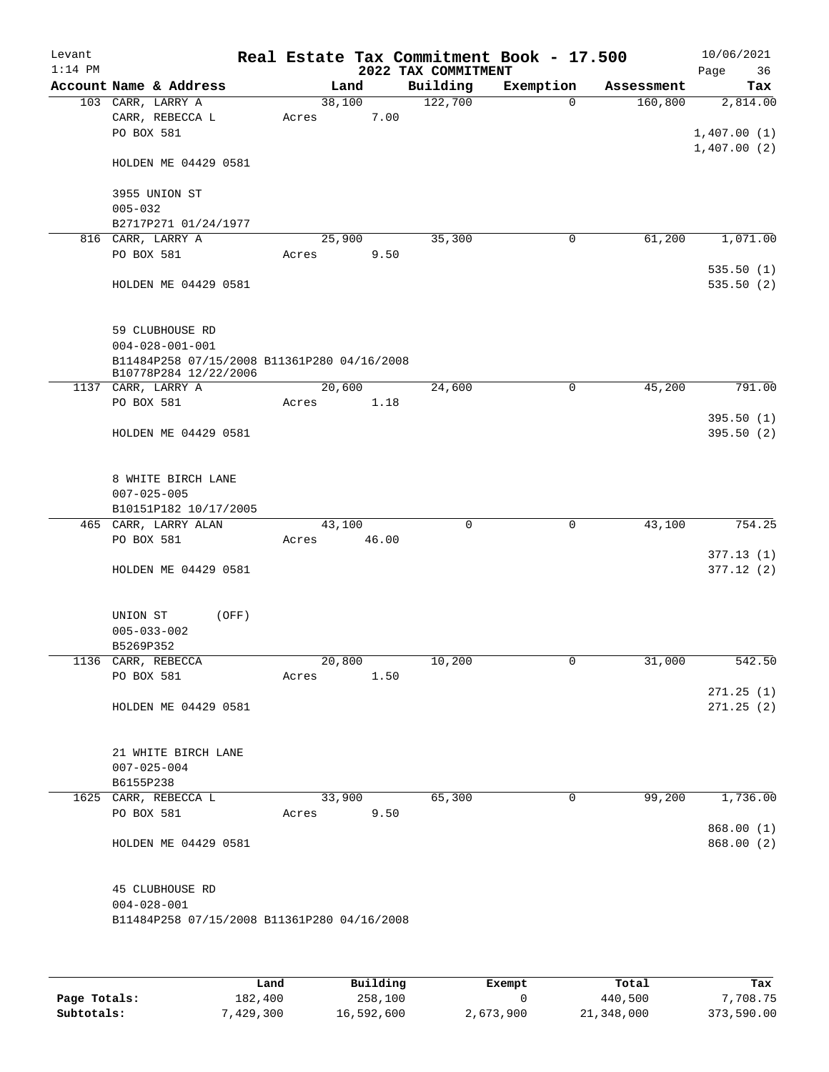| Levant<br>$1:14$ PM |                                                                                     |                 |       | 2022 TAX COMMITMENT | Real Estate Tax Commitment Book - 17.500 |            | 10/06/2021<br>36<br>Page |
|---------------------|-------------------------------------------------------------------------------------|-----------------|-------|---------------------|------------------------------------------|------------|--------------------------|
|                     | Account Name & Address                                                              | Land            |       | Building            | Exemption                                | Assessment | Tax                      |
|                     | 103 CARR, LARRY A<br>CARR, REBECCA L<br>PO BOX 581                                  | 38,100<br>Acres | 7.00  | 122,700             | $\Omega$                                 | 160,800    | 2,814.00<br>1,407.00(1)  |
|                     | HOLDEN ME 04429 0581                                                                |                 |       |                     |                                          |            | 1,407.00(2)              |
|                     | 3955 UNION ST<br>$005 - 032$                                                        |                 |       |                     |                                          |            |                          |
|                     | B2717P271 01/24/1977                                                                |                 |       |                     |                                          |            |                          |
|                     | 816 CARR, LARRY A                                                                   | 25,900          |       | 35,300              | 0                                        | 61,200     | 1,071.00                 |
|                     | PO BOX 581                                                                          | Acres           | 9.50  |                     |                                          |            |                          |
|                     | HOLDEN ME 04429 0581                                                                |                 |       |                     |                                          |            | 535.50(1)<br>535.50(2)   |
|                     | 59 CLUBHOUSE RD<br>$004 - 028 - 001 - 001$                                          |                 |       |                     |                                          |            |                          |
|                     | B11484P258 07/15/2008 B11361P280 04/16/2008                                         |                 |       |                     |                                          |            |                          |
|                     | B10778P284 12/22/2006<br>1137 CARR, LARRY A                                         | 20,600          |       | 24,600              | 0                                        | 45,200     | 791.00                   |
|                     | PO BOX 581                                                                          | Acres           | 1.18  |                     |                                          |            |                          |
|                     |                                                                                     |                 |       |                     |                                          |            | 395.50(1)                |
|                     | HOLDEN ME 04429 0581                                                                |                 |       |                     |                                          |            | 395.50(2)                |
|                     | 8 WHITE BIRCH LANE<br>$007 - 025 - 005$<br>B10151P182 10/17/2005                    |                 |       |                     |                                          |            |                          |
|                     | 465 CARR, LARRY ALAN                                                                | 43,100          |       | $\mathbf 0$         | $\mathbf 0$                              | 43,100     | 754.25                   |
|                     | PO BOX 581                                                                          | Acres           | 46.00 |                     |                                          |            |                          |
|                     |                                                                                     |                 |       |                     |                                          |            | 377.13(1)                |
|                     | HOLDEN ME 04429 0581                                                                |                 |       |                     |                                          |            | 377.12(2)                |
|                     | UNION ST<br>(OFF)<br>$005 - 033 - 002$<br>B5269P352                                 |                 |       |                     |                                          |            |                          |
|                     | 1136 CARR, REBECCA                                                                  | 20,800          |       | 10,200              | 0                                        | 31,000     | 542.50                   |
|                     | PO BOX 581                                                                          | Acres           | 1.50  |                     |                                          |            |                          |
|                     | HOLDEN ME 04429 0581                                                                |                 |       |                     |                                          |            | 271.25(1)<br>271.25(2)   |
|                     | 21 WHITE BIRCH LANE<br>$007 - 025 - 004$<br>B6155P238                               |                 |       |                     |                                          |            |                          |
|                     | 1625 CARR, REBECCA L                                                                | 33,900          |       | 65,300              | 0                                        | 99,200     | 1,736.00                 |
|                     | PO BOX 581                                                                          | Acres           | 9.50  |                     |                                          |            |                          |
|                     |                                                                                     |                 |       |                     |                                          |            | 868.00 (1)               |
|                     | HOLDEN ME 04429 0581                                                                |                 |       |                     |                                          |            | 868.00 (2)               |
|                     | 45 CLUBHOUSE RD<br>$004 - 028 - 001$<br>B11484P258 07/15/2008 B11361P280 04/16/2008 |                 |       |                     |                                          |            |                          |
|                     |                                                                                     |                 |       |                     |                                          |            |                          |

|              | Land      | Building   | Exempt    | Total      | Tax        |
|--------------|-----------|------------|-----------|------------|------------|
| Page Totals: | 182,400   | 258,100    |           | 440,500    | 7,708.75   |
| Subtotals:   | 7,429,300 | 16,592,600 | 2,673,900 | 21,348,000 | 373,590.00 |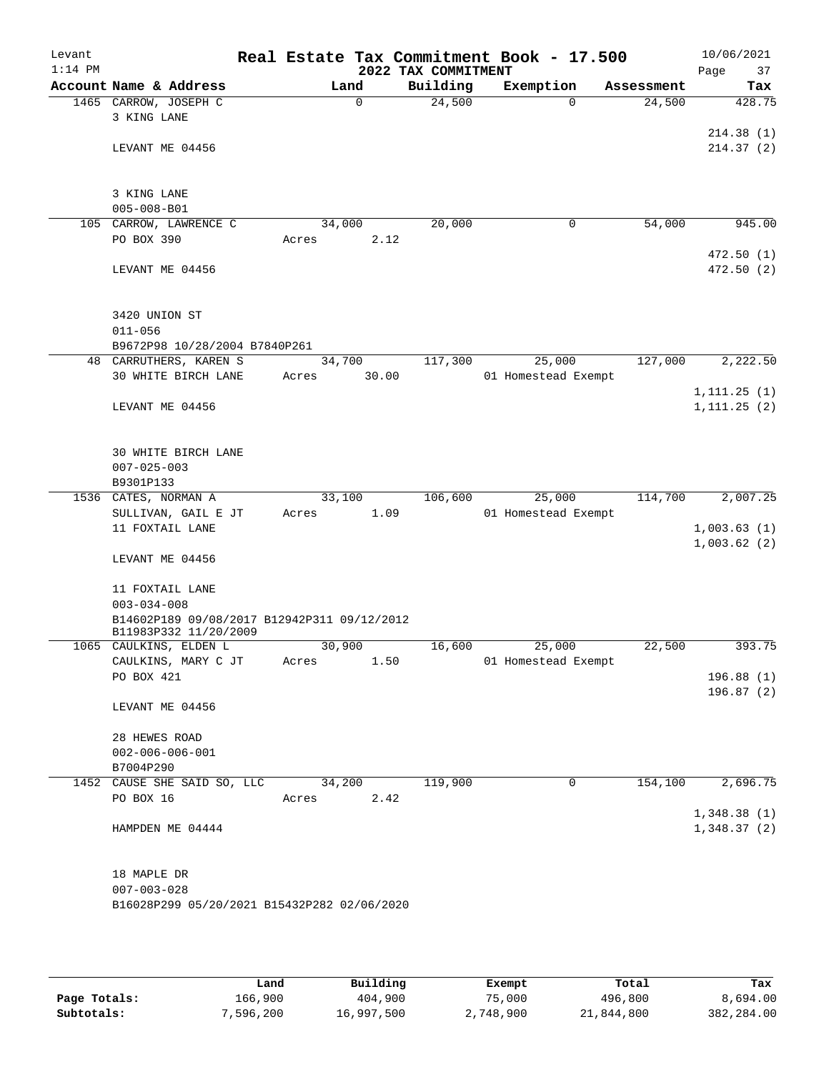| Levant<br>$1:14$ PM |                                             |        |          | 2022 TAX COMMITMENT | Real Estate Tax Commitment Book - 17.500 |            | 10/06/2021<br>Page<br>37 |
|---------------------|---------------------------------------------|--------|----------|---------------------|------------------------------------------|------------|--------------------------|
|                     | Account Name & Address                      | Land   |          | Building            | Exemption                                | Assessment | Tax                      |
|                     | 1465 CARROW, JOSEPH C                       |        | $\Omega$ | 24,500              | $\Omega$                                 | 24,500     | 428.75                   |
|                     | 3 KING LANE                                 |        |          |                     |                                          |            |                          |
|                     |                                             |        |          |                     |                                          |            | 214.38(1)                |
|                     | LEVANT ME 04456                             |        |          |                     |                                          |            | 214.37 (2)               |
|                     |                                             |        |          |                     |                                          |            |                          |
|                     |                                             |        |          |                     |                                          |            |                          |
|                     | 3 KING LANE                                 |        |          |                     |                                          |            |                          |
|                     | $005 - 008 - B01$                           |        |          |                     |                                          |            |                          |
|                     | 105 CARROW, LAWRENCE C                      | 34,000 |          | 20,000              | 0                                        | 54,000     | 945.00                   |
|                     | PO BOX 390                                  | Acres  | 2.12     |                     |                                          |            |                          |
|                     |                                             |        |          |                     |                                          |            | 472.50(1)                |
|                     | LEVANT ME 04456                             |        |          |                     |                                          |            | 472.50(2)                |
|                     |                                             |        |          |                     |                                          |            |                          |
|                     |                                             |        |          |                     |                                          |            |                          |
|                     | 3420 UNION ST                               |        |          |                     |                                          |            |                          |
|                     | $011 - 056$                                 |        |          |                     |                                          |            |                          |
|                     | B9672P98 10/28/2004 B7840P261               |        |          |                     |                                          |            |                          |
|                     | 48 CARRUTHERS, KAREN S                      | 34,700 |          | 117,300             | 25,000                                   | 127,000    | 2,222.50                 |
|                     | 30 WHITE BIRCH LANE                         | Acres  | 30.00    |                     | 01 Homestead Exempt                      |            |                          |
|                     |                                             |        |          |                     |                                          |            | 1, 111.25(1)             |
|                     | LEVANT ME 04456                             |        |          |                     |                                          |            | 1, 111.25(2)             |
|                     |                                             |        |          |                     |                                          |            |                          |
|                     |                                             |        |          |                     |                                          |            |                          |
|                     | 30 WHITE BIRCH LANE                         |        |          |                     |                                          |            |                          |
|                     | $007 - 025 - 003$                           |        |          |                     |                                          |            |                          |
|                     | B9301P133                                   |        |          |                     |                                          |            |                          |
|                     | 1536 CATES, NORMAN A                        | 33,100 |          | 106,600             | 25,000                                   | 114,700    | 2,007.25                 |
|                     | SULLIVAN, GAIL E JT                         | Acres  | 1.09     |                     | 01 Homestead Exempt                      |            |                          |
|                     | 11 FOXTAIL LANE                             |        |          |                     |                                          |            | 1,003.63(1)              |
|                     |                                             |        |          |                     |                                          |            | 1,003.62(2)              |
|                     | LEVANT ME 04456                             |        |          |                     |                                          |            |                          |
|                     |                                             |        |          |                     |                                          |            |                          |
|                     | 11 FOXTAIL LANE                             |        |          |                     |                                          |            |                          |
|                     | $003 - 034 - 008$                           |        |          |                     |                                          |            |                          |
|                     | B14602P189 09/08/2017 B12942P311 09/12/2012 |        |          |                     |                                          |            |                          |
|                     | B11983P332 11/20/2009                       |        |          |                     |                                          |            |                          |
|                     | 1065 CAULKINS, ELDEN L                      | 30,900 |          | 16,600              | 25,000                                   | 22,500     | 393.75                   |
|                     | CAULKINS, MARY C JT                         | Acres  | 1.50     |                     | 01 Homestead Exempt                      |            |                          |
|                     | PO BOX 421                                  |        |          |                     |                                          |            | 196.88(1)                |
|                     |                                             |        |          |                     |                                          |            | 196.87(2)                |
|                     | LEVANT ME 04456                             |        |          |                     |                                          |            |                          |
|                     |                                             |        |          |                     |                                          |            |                          |
|                     | 28 HEWES ROAD                               |        |          |                     |                                          |            |                          |
|                     | $002 - 006 - 006 - 001$                     |        |          |                     |                                          |            |                          |
|                     | B7004P290                                   |        |          |                     |                                          |            |                          |
|                     | 1452 CAUSE SHE SAID SO, LLC                 | 34,200 |          | 119,900             | 0                                        | 154,100    | 2,696.75                 |
|                     | PO BOX 16                                   | Acres  | 2.42     |                     |                                          |            |                          |
|                     |                                             |        |          |                     |                                          |            | 1,348.38(1)              |
|                     | HAMPDEN ME 04444                            |        |          |                     |                                          |            | 1,348.37(2)              |
|                     |                                             |        |          |                     |                                          |            |                          |
|                     |                                             |        |          |                     |                                          |            |                          |
|                     | 18 MAPLE DR                                 |        |          |                     |                                          |            |                          |
|                     | $007 - 003 - 028$                           |        |          |                     |                                          |            |                          |
|                     | B16028P299 05/20/2021 B15432P282 02/06/2020 |        |          |                     |                                          |            |                          |
|                     |                                             |        |          |                     |                                          |            |                          |

|              | Land      | Building   | Exempt    | Total      | Tax        |
|--------------|-----------|------------|-----------|------------|------------|
| Page Totals: | 166,900   | 404,900    | 75,000    | 496,800    | 8,694.00   |
| Subtotals:   | 7,596,200 | 16,997,500 | 2,748,900 | 21,844,800 | 382,284.00 |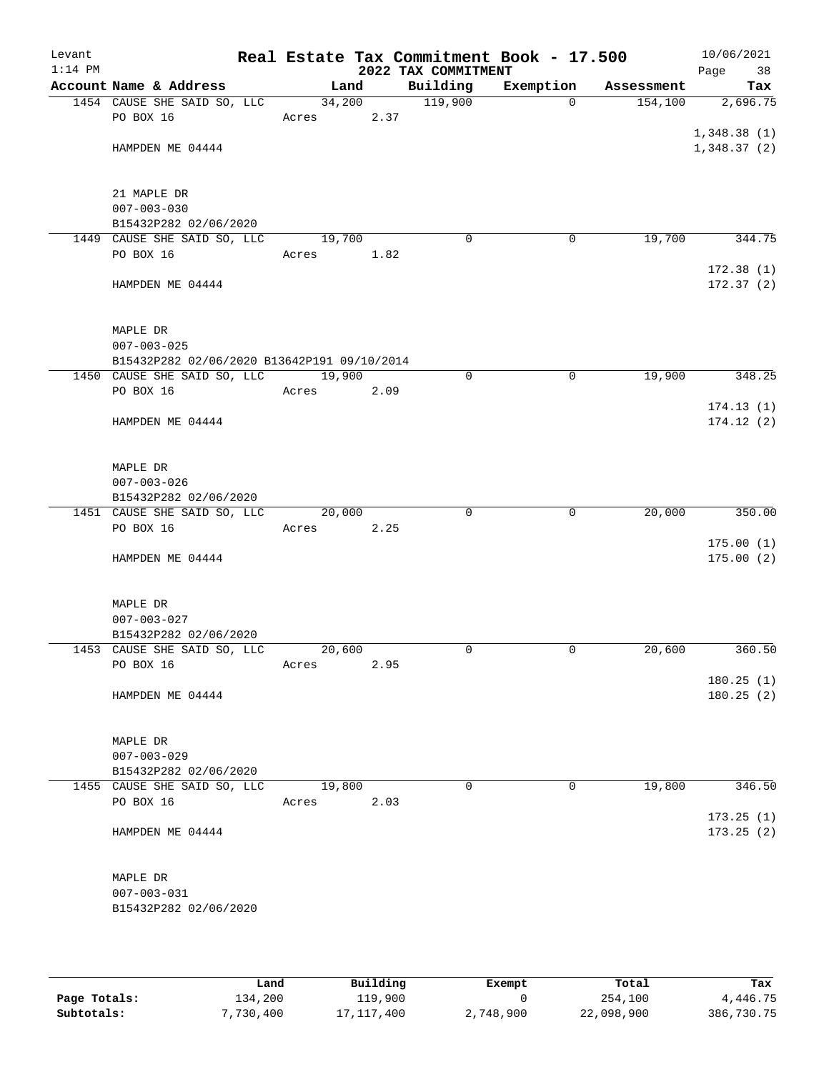| Levant<br>$1:14$ PM |                                             |            |        | 2022 TAX COMMITMENT | Real Estate Tax Commitment Book - 17.500 |            | 10/06/2021<br>Page<br>38 |
|---------------------|---------------------------------------------|------------|--------|---------------------|------------------------------------------|------------|--------------------------|
|                     | Account Name & Address                      | Land       |        | Building            | Exemption                                | Assessment | Tax                      |
|                     | 1454 CAUSE SHE SAID SO, LLC                 |            | 34,200 | 119,900             | $\Omega$                                 | 154, 100   | 2,696.75                 |
|                     | PO BOX 16                                   | Acres 2.37 |        |                     |                                          |            |                          |
|                     |                                             |            |        |                     |                                          |            | 1,348.38(1)              |
|                     | HAMPDEN ME 04444                            |            |        |                     |                                          |            | 1,348.37(2)              |
|                     |                                             |            |        |                     |                                          |            |                          |
|                     | 21 MAPLE DR                                 |            |        |                     |                                          |            |                          |
|                     | $007 - 003 - 030$                           |            |        |                     |                                          |            |                          |
|                     | B15432P282 02/06/2020                       |            |        |                     |                                          |            |                          |
|                     | 1449 CAUSE SHE SAID SO, LLC                 | 19,700     |        | $\Omega$            | $\mathbf 0$                              | 19,700     | 344.75                   |
|                     | PO BOX 16                                   | Acres      | 1.82   |                     |                                          |            |                          |
|                     |                                             |            |        |                     |                                          |            | 172.38(1)                |
|                     | HAMPDEN ME 04444                            |            |        |                     |                                          |            | 172.37(2)                |
|                     |                                             |            |        |                     |                                          |            |                          |
|                     |                                             |            |        |                     |                                          |            |                          |
|                     | MAPLE DR<br>$007 - 003 - 025$               |            |        |                     |                                          |            |                          |
|                     | B15432P282 02/06/2020 B13642P191 09/10/2014 |            |        |                     |                                          |            |                          |
|                     | 1450 CAUSE SHE SAID SO, LLC 19,900          |            |        | 0                   | $\mathbf 0$                              | 19,900     | 348.25                   |
|                     | PO BOX 16                                   | Acres      | 2.09   |                     |                                          |            |                          |
|                     |                                             |            |        |                     |                                          |            | 174.13(1)                |
|                     | HAMPDEN ME 04444                            |            |        |                     |                                          |            | 174.12(2)                |
|                     |                                             |            |        |                     |                                          |            |                          |
|                     |                                             |            |        |                     |                                          |            |                          |
|                     | MAPLE DR<br>$007 - 003 - 026$               |            |        |                     |                                          |            |                          |
|                     | B15432P282 02/06/2020                       |            |        |                     |                                          |            |                          |
|                     | 1451 CAUSE SHE SAID SO, LLC                 | 20,000     |        | $\Omega$            | $\overline{0}$                           | 20,000     | 350.00                   |
|                     | PO BOX 16                                   | Acres      | 2.25   |                     |                                          |            |                          |
|                     |                                             |            |        |                     |                                          |            | 175.00(1)                |
|                     | HAMPDEN ME 04444                            |            |        |                     |                                          |            | 175.00(2)                |
|                     |                                             |            |        |                     |                                          |            |                          |
|                     |                                             |            |        |                     |                                          |            |                          |
|                     | MAPLE DR<br>$007 - 003 - 027$               |            |        |                     |                                          |            |                          |
|                     | B15432P282 02/06/2020                       |            |        |                     |                                          |            |                          |
|                     | 1453 CAUSE SHE SAID SO, LLC                 | 20,600     |        | 0                   | 0                                        | 20,600     | 360.50                   |
|                     | PO BOX 16                                   | Acres      | 2.95   |                     |                                          |            |                          |
|                     |                                             |            |        |                     |                                          |            | 180.25(1)                |
|                     | HAMPDEN ME 04444                            |            |        |                     |                                          |            | 180.25(2)                |
|                     |                                             |            |        |                     |                                          |            |                          |
|                     |                                             |            |        |                     |                                          |            |                          |
|                     | MAPLE DR<br>$007 - 003 - 029$               |            |        |                     |                                          |            |                          |
|                     | B15432P282 02/06/2020                       |            |        |                     |                                          |            |                          |
|                     | 1455 CAUSE SHE SAID SO, LLC                 | 19,800     |        | 0                   | $\Omega$                                 | 19,800     | 346.50                   |
|                     | PO BOX 16                                   | Acres      | 2.03   |                     |                                          |            |                          |
|                     |                                             |            |        |                     |                                          |            | 173.25(1)                |
|                     | HAMPDEN ME 04444                            |            |        |                     |                                          |            | 173.25(2)                |
|                     |                                             |            |        |                     |                                          |            |                          |
|                     |                                             |            |        |                     |                                          |            |                          |
|                     | MAPLE DR<br>$007 - 003 - 031$               |            |        |                     |                                          |            |                          |
|                     | B15432P282 02/06/2020                       |            |        |                     |                                          |            |                          |
|                     |                                             |            |        |                     |                                          |            |                          |
|                     |                                             |            |        |                     |                                          |            |                          |

|              | Land      | Building   | Exempt    | Total      | Tax        |
|--------------|-----------|------------|-----------|------------|------------|
| Page Totals: | 134,200   | 119,900    |           | 254,100    | 4,446.75   |
| Subtotals:   | 7,730,400 | 17,117,400 | 2,748,900 | 22,098,900 | 386,730.75 |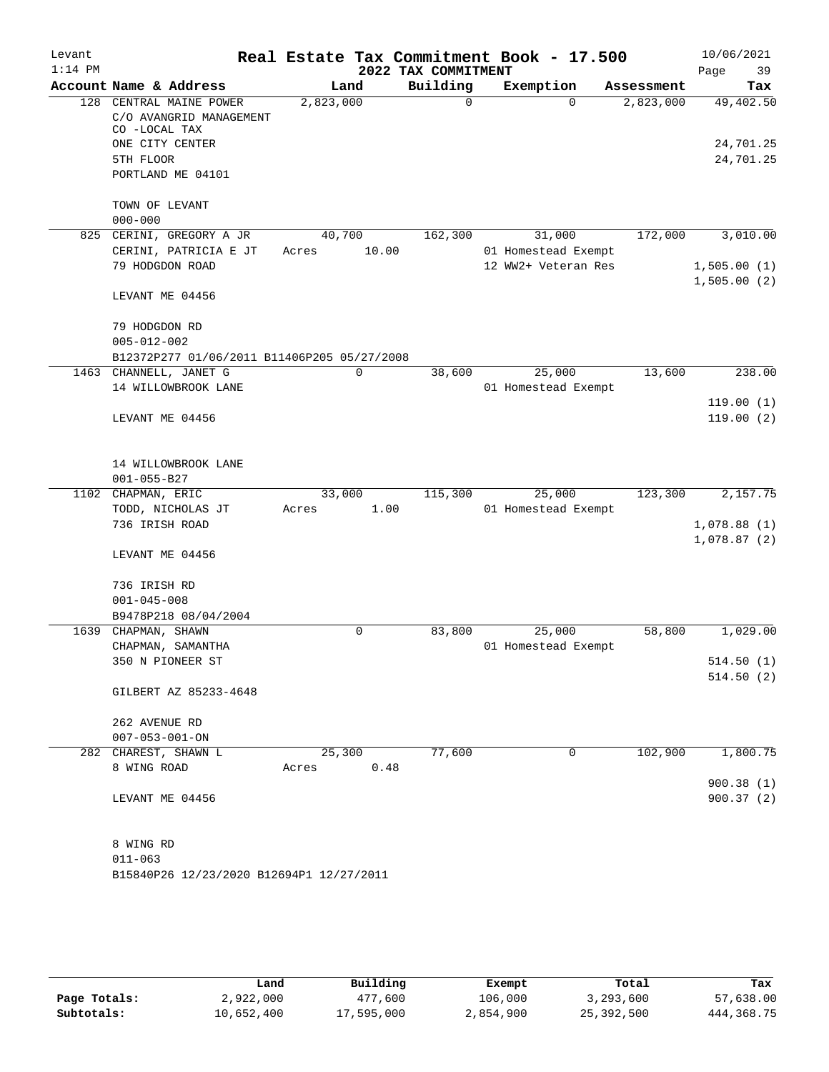| Levant    |                                                                     |           |       |                     | Real Estate Tax Commitment Book - 17.500 |            |             | 10/06/2021 |
|-----------|---------------------------------------------------------------------|-----------|-------|---------------------|------------------------------------------|------------|-------------|------------|
| $1:14$ PM |                                                                     |           |       | 2022 TAX COMMITMENT |                                          |            | Page        | 39         |
|           | Account Name & Address                                              |           | Land  | Building            | Exemption                                | Assessment |             | Tax        |
|           | 128 CENTRAL MAINE POWER<br>C/O AVANGRID MANAGEMENT<br>CO -LOCAL TAX | 2,823,000 |       | $\Omega$            | $\Omega$                                 | 2,823,000  |             | 49,402.50  |
|           | ONE CITY CENTER                                                     |           |       |                     |                                          |            |             | 24,701.25  |
|           | 5TH FLOOR                                                           |           |       |                     |                                          |            |             | 24,701.25  |
|           | PORTLAND ME 04101                                                   |           |       |                     |                                          |            |             |            |
|           | TOWN OF LEVANT                                                      |           |       |                     |                                          |            |             |            |
|           | $000 - 000$                                                         |           |       |                     |                                          |            |             |            |
|           | 825 CERINI, GREGORY A JR                                            | 40,700    |       | 162,300             | 31,000                                   | 172,000    |             | 3,010.00   |
|           | CERINI, PATRICIA E JT                                               | Acres     | 10.00 |                     | 01 Homestead Exempt                      |            |             |            |
|           | 79 HODGDON ROAD                                                     |           |       |                     | 12 WW2+ Veteran Res                      |            | 1,505.00(1) |            |
|           | LEVANT ME 04456                                                     |           |       |                     |                                          |            | 1,505.00(2) |            |
|           | 79 HODGDON RD<br>$005 - 012 - 002$                                  |           |       |                     |                                          |            |             |            |
|           | B12372P277 01/06/2011 B11406P205 05/27/2008                         |           |       |                     |                                          |            |             |            |
|           | 1463 CHANNELL, JANET G                                              |           | 0     | 38,600              | 25,000                                   | 13,600     |             | 238.00     |
|           | 14 WILLOWBROOK LANE                                                 |           |       |                     | 01 Homestead Exempt                      |            |             |            |
|           |                                                                     |           |       |                     |                                          |            |             | 119.00(1)  |
|           | LEVANT ME 04456                                                     |           |       |                     |                                          |            |             | 119.00(2)  |
|           | 14 WILLOWBROOK LANE<br>$001 - 055 - B27$                            |           |       |                     |                                          |            |             |            |
|           | 1102 CHAPMAN, ERIC                                                  | 33,000    |       | 115,300             | 25,000                                   | 123,300    |             | 2,157.75   |
|           | TODD, NICHOLAS JT                                                   | Acres     | 1.00  |                     | 01 Homestead Exempt                      |            |             |            |
|           | 736 IRISH ROAD                                                      |           |       |                     |                                          |            | 1,078.88(1) |            |
|           | LEVANT ME 04456                                                     |           |       |                     |                                          |            | 1,078.87(2) |            |
|           | 736 IRISH RD                                                        |           |       |                     |                                          |            |             |            |
|           | $001 - 045 - 008$                                                   |           |       |                     |                                          |            |             |            |
|           | B9478P218 08/04/2004                                                |           |       |                     |                                          |            |             |            |
|           | 1639 CHAPMAN, SHAWN                                                 |           | 0     | 83,800              | 25,000                                   | 58,800     |             | 1,029.00   |
|           | CHAPMAN, SAMANTHA                                                   |           |       |                     | 01 Homestead Exempt                      |            |             |            |
|           | 350 N PIONEER ST                                                    |           |       |                     |                                          |            |             | 514.50(1)  |
|           | GILBERT AZ 85233-4648                                               |           |       |                     |                                          |            |             | 514.50(2)  |
|           |                                                                     |           |       |                     |                                          |            |             |            |
|           | 262 AVENUE RD<br>$007 - 053 - 001 - ON$                             |           |       |                     |                                          |            |             |            |
|           | 282 CHAREST, SHAWN L                                                | 25,300    |       | 77,600              | 0                                        | 102,900    |             | 1,800.75   |
|           | 8 WING ROAD                                                         | Acres     | 0.48  |                     |                                          |            |             |            |
|           |                                                                     |           |       |                     |                                          |            |             | 900.38(1)  |
|           | LEVANT ME 04456                                                     |           |       |                     |                                          |            |             | 900.37(2)  |
|           | 8 WING RD                                                           |           |       |                     |                                          |            |             |            |
|           | $011 - 063$                                                         |           |       |                     |                                          |            |             |            |
|           | B15840P26 12/23/2020 B12694P1 12/27/2011                            |           |       |                     |                                          |            |             |            |

|              | Land       | Building   | Exempt    | Total      | Tax          |
|--------------|------------|------------|-----------|------------|--------------|
| Page Totals: | 2,922,000  | 477,600    | 106,000   | 3,293,600  | 57,638.00    |
| Subtotals:   | 10,652,400 | 17,595,000 | 2,854,900 | 25,392,500 | 444, 368. 75 |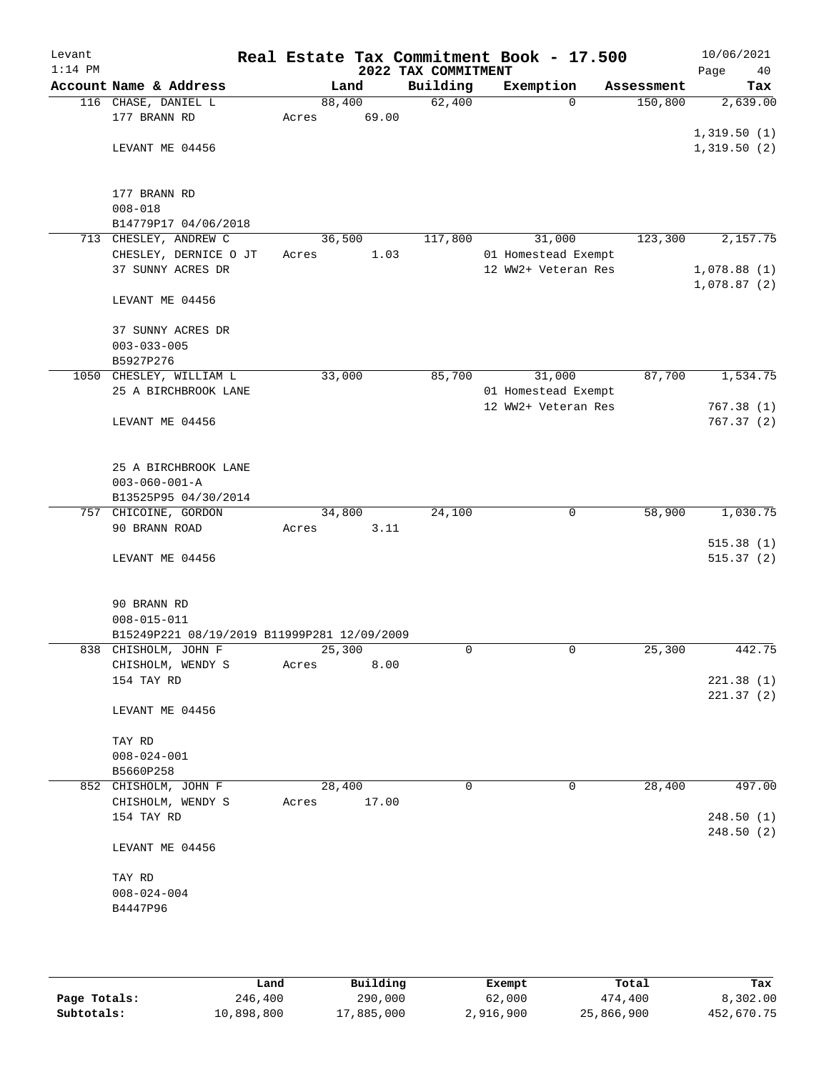| Levant<br>$1:14$ PM |                                             |        |       | 2022 TAX COMMITMENT | Real Estate Tax Commitment Book - 17.500 |            | 10/06/2021<br>Page<br>40 |
|---------------------|---------------------------------------------|--------|-------|---------------------|------------------------------------------|------------|--------------------------|
|                     | Account Name & Address                      |        | Land  | Building            | Exemption                                | Assessment | Tax                      |
|                     | 116 CHASE, DANIEL L                         | 88,400 |       | 62,400              | $\Omega$                                 | 150,800    | 2,639.00                 |
|                     | 177 BRANN RD                                | Acres  | 69.00 |                     |                                          |            |                          |
|                     |                                             |        |       |                     |                                          |            | 1,319.50(1)              |
|                     | LEVANT ME 04456                             |        |       |                     |                                          |            | 1,319.50(2)              |
|                     |                                             |        |       |                     |                                          |            |                          |
|                     |                                             |        |       |                     |                                          |            |                          |
|                     | 177 BRANN RD                                |        |       |                     |                                          |            |                          |
|                     | $008 - 018$                                 |        |       |                     |                                          |            |                          |
|                     | B14779P17 04/06/2018                        |        |       |                     |                                          |            |                          |
|                     | 713 CHESLEY, ANDREW C                       | 36,500 |       | 117,800             | 31,000                                   | 123,300    | 2,157.75                 |
|                     | CHESLEY, DERNICE O JT                       | Acres  | 1.03  |                     | 01 Homestead Exempt                      |            |                          |
|                     | 37 SUNNY ACRES DR                           |        |       |                     | 12 WW2+ Veteran Res                      |            | 1,078.88(1)              |
|                     |                                             |        |       |                     |                                          |            | 1,078.87(2)              |
|                     | LEVANT ME 04456                             |        |       |                     |                                          |            |                          |
|                     |                                             |        |       |                     |                                          |            |                          |
|                     | 37 SUNNY ACRES DR                           |        |       |                     |                                          |            |                          |
|                     | $003 - 033 - 005$                           |        |       |                     |                                          |            |                          |
|                     | B5927P276                                   |        |       |                     |                                          |            |                          |
|                     | 1050 CHESLEY, WILLIAM L                     | 33,000 |       | 85,700              | 31,000                                   | 87,700     | 1,534.75                 |
|                     | 25 A BIRCHBROOK LANE                        |        |       |                     | 01 Homestead Exempt                      |            |                          |
|                     |                                             |        |       |                     | 12 WW2+ Veteran Res                      |            | 767.38(1)                |
|                     | LEVANT ME 04456                             |        |       |                     |                                          |            | 767.37(2)                |
|                     |                                             |        |       |                     |                                          |            |                          |
|                     |                                             |        |       |                     |                                          |            |                          |
|                     | 25 A BIRCHBROOK LANE                        |        |       |                     |                                          |            |                          |
|                     | $003 - 060 - 001 - A$                       |        |       |                     |                                          |            |                          |
|                     | B13525P95 04/30/2014                        |        |       |                     |                                          |            |                          |
|                     | 757 CHICOINE, GORDON                        | 34,800 |       | 24,100              | $\mathbf 0$                              | 58,900     | 1,030.75                 |
|                     | 90 BRANN ROAD                               | Acres  | 3.11  |                     |                                          |            |                          |
|                     |                                             |        |       |                     |                                          |            | 515.38(1)                |
|                     | LEVANT ME 04456                             |        |       |                     |                                          |            | 515.37(2)                |
|                     |                                             |        |       |                     |                                          |            |                          |
|                     | 90 BRANN RD                                 |        |       |                     |                                          |            |                          |
|                     | $008 - 015 - 011$                           |        |       |                     |                                          |            |                          |
|                     | B15249P221 08/19/2019 B11999P281 12/09/2009 |        |       |                     |                                          |            |                          |
|                     | 838 CHISHOLM, JOHN F                        | 25,300 |       | 0                   | 0                                        | 25,300     | 442.75                   |
|                     | CHISHOLM, WENDY S                           | Acres  | 8.00  |                     |                                          |            |                          |
|                     | 154 TAY RD                                  |        |       |                     |                                          |            | 221.38(1)                |
|                     |                                             |        |       |                     |                                          |            | 221.37(2)                |
|                     | LEVANT ME 04456                             |        |       |                     |                                          |            |                          |
|                     |                                             |        |       |                     |                                          |            |                          |
|                     | TAY RD                                      |        |       |                     |                                          |            |                          |
|                     | $008 - 024 - 001$                           |        |       |                     |                                          |            |                          |
|                     | B5660P258                                   |        |       |                     |                                          |            |                          |
|                     | 852 CHISHOLM, JOHN F                        | 28,400 |       | 0                   | 0                                        | 28,400     | 497.00                   |
|                     | CHISHOLM, WENDY S                           | Acres  | 17.00 |                     |                                          |            |                          |
|                     | 154 TAY RD                                  |        |       |                     |                                          |            | 248.50(1)                |
|                     |                                             |        |       |                     |                                          |            | 248.50(2)                |
|                     | LEVANT ME 04456                             |        |       |                     |                                          |            |                          |
|                     |                                             |        |       |                     |                                          |            |                          |
|                     | TAY RD                                      |        |       |                     |                                          |            |                          |
|                     | $008 - 024 - 004$                           |        |       |                     |                                          |            |                          |
|                     | B4447P96                                    |        |       |                     |                                          |            |                          |
|                     |                                             |        |       |                     |                                          |            |                          |
|                     |                                             |        |       |                     |                                          |            |                          |
|                     |                                             |        |       |                     |                                          |            |                          |

|              | Land       | Building   | Exempt    | Total      | Tax        |
|--------------|------------|------------|-----------|------------|------------|
| Page Totals: | 246,400    | 290,000    | 62,000    | 474,400    | 8,302.00   |
| Subtotals:   | 10,898,800 | 17,885,000 | 2,916,900 | 25,866,900 | 452,670.75 |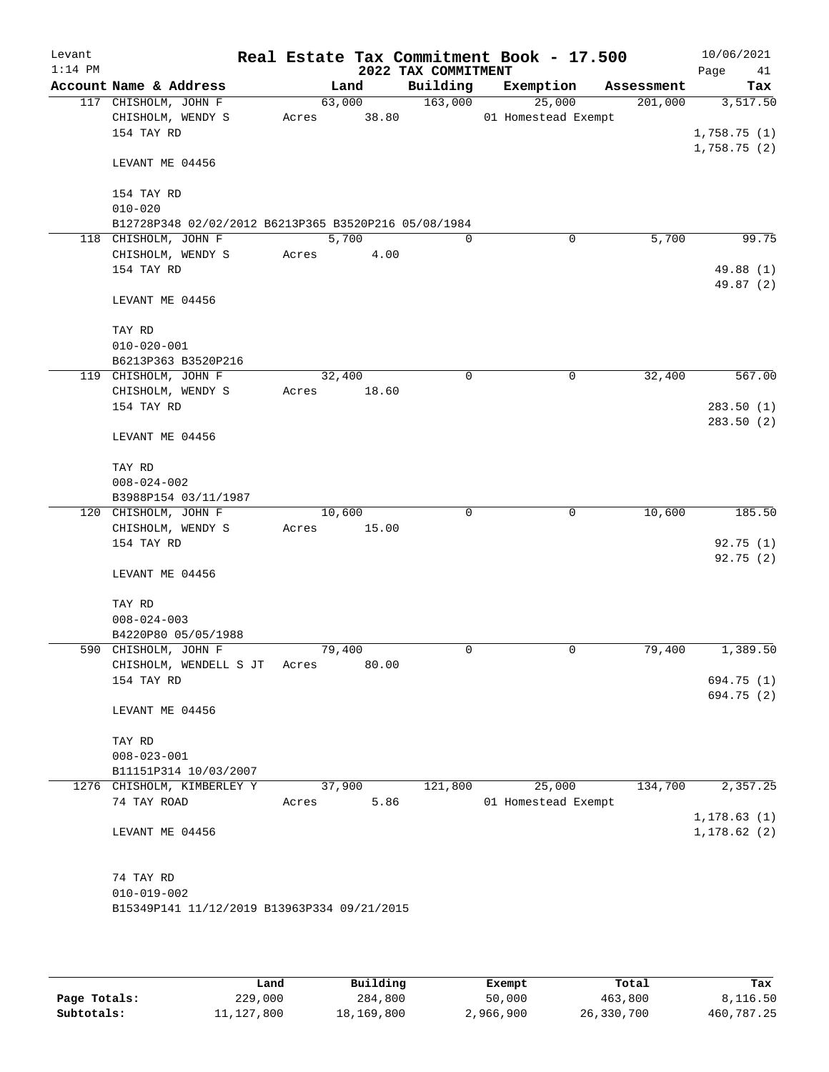| Levant    |                                                      |       |                       |                     | Real Estate Tax Commitment Book - 17.500 |            | 10/06/2021             |
|-----------|------------------------------------------------------|-------|-----------------------|---------------------|------------------------------------------|------------|------------------------|
| $1:14$ PM |                                                      |       |                       | 2022 TAX COMMITMENT |                                          |            | Page<br>41             |
|           | Account Name & Address                               |       | Land                  | Building            | Exemption                                | Assessment | Tax                    |
|           | 117 CHISHOLM, JOHN F                                 |       | 63,000<br>Acres 38.80 | 163,000             | 25,000                                   | 201,000    | 3,517.50               |
|           | CHISHOLM, WENDY S<br>154 TAY RD                      |       |                       |                     | 01 Homestead Exempt                      |            | 1,758.75(1)            |
|           |                                                      |       |                       |                     |                                          |            | 1,758.75(2)            |
|           | LEVANT ME 04456                                      |       |                       |                     |                                          |            |                        |
|           | 154 TAY RD                                           |       |                       |                     |                                          |            |                        |
|           | $010 - 020$                                          |       |                       |                     |                                          |            |                        |
|           | B12728P348 02/02/2012 B6213P365 B3520P216 05/08/1984 |       |                       |                     |                                          |            |                        |
|           | 118 CHISHOLM, JOHN F                                 |       | 5,700                 | $\Omega$            | $\Omega$                                 | 5,700      | 99.75                  |
|           | CHISHOLM, WENDY S                                    | Acres | 4.00                  |                     |                                          |            |                        |
|           | 154 TAY RD                                           |       |                       |                     |                                          |            | 49.88 (1)<br>49.87 (2) |
|           | LEVANT ME 04456                                      |       |                       |                     |                                          |            |                        |
|           | TAY RD                                               |       |                       |                     |                                          |            |                        |
|           | $010 - 020 - 001$                                    |       |                       |                     |                                          |            |                        |
|           | B6213P363 B3520P216                                  |       |                       |                     |                                          |            |                        |
|           | 119 CHISHOLM, JOHN F                                 |       | 32,400                | 0                   | 0                                        | 32,400     | 567.00                 |
|           | CHISHOLM, WENDY S                                    | Acres | 18.60                 |                     |                                          |            |                        |
|           | 154 TAY RD                                           |       |                       |                     |                                          |            | 283.50(1)<br>283.50(2) |
|           | LEVANT ME 04456                                      |       |                       |                     |                                          |            |                        |
|           | TAY RD                                               |       |                       |                     |                                          |            |                        |
|           | $008 - 024 - 002$                                    |       |                       |                     |                                          |            |                        |
|           | B3988P154 03/11/1987                                 |       |                       |                     |                                          |            |                        |
|           | 120 CHISHOLM, JOHN F                                 |       | 10,600                | $\Omega$            | 0                                        | 10,600     | 185.50                 |
|           | CHISHOLM, WENDY S<br>154 TAY RD                      | Acres | 15.00                 |                     |                                          |            | 92.75(1)               |
|           |                                                      |       |                       |                     |                                          |            | 92.75(2)               |
|           | LEVANT ME 04456                                      |       |                       |                     |                                          |            |                        |
|           | TAY RD                                               |       |                       |                     |                                          |            |                        |
|           | $008 - 024 - 003$                                    |       |                       |                     |                                          |            |                        |
|           | B4220P80 05/05/1988                                  |       |                       |                     |                                          |            |                        |
|           | 590 CHISHOLM, JOHN F<br>CHISHOLM, WENDELL S JT       | Acres | 79,400<br>80.00       | 0                   | $\mathbf 0$                              | 79,400     | 1,389.50               |
|           | 154 TAY RD                                           |       |                       |                     |                                          |            | 694.75 (1)             |
|           |                                                      |       |                       |                     |                                          |            | 694.75 (2)             |
|           | LEVANT ME 04456                                      |       |                       |                     |                                          |            |                        |
|           | TAY RD                                               |       |                       |                     |                                          |            |                        |
|           | $008 - 023 - 001$                                    |       |                       |                     |                                          |            |                        |
|           | B11151P314 10/03/2007                                |       |                       |                     |                                          |            |                        |
|           | 1276 CHISHOLM, KIMBERLEY Y                           |       | 37,900                | 121,800             | 25,000                                   | 134,700    | 2,357.25               |
|           | 74 TAY ROAD                                          | Acres | 5.86                  |                     | 01 Homestead Exempt                      |            |                        |
|           |                                                      |       |                       |                     |                                          |            | 1, 178.63(1)           |
|           | LEVANT ME 04456                                      |       |                       |                     |                                          |            | 1, 178.62(2)           |
|           | 74 TAY RD                                            |       |                       |                     |                                          |            |                        |
|           | $010 - 019 - 002$                                    |       |                       |                     |                                          |            |                        |
|           | B15349P141 11/12/2019 B13963P334 09/21/2015          |       |                       |                     |                                          |            |                        |
|           |                                                      |       |                       |                     |                                          |            |                        |

|              | Land         | Building   | Exempt    | Total      | Tax        |
|--------------|--------------|------------|-----------|------------|------------|
| Page Totals: | 229,000      | 284,800    | 50,000    | 463,800    | 8,116.50   |
| Subtotals:   | 11, 127, 800 | 18,169,800 | 2,966,900 | 26,330,700 | 460,787.25 |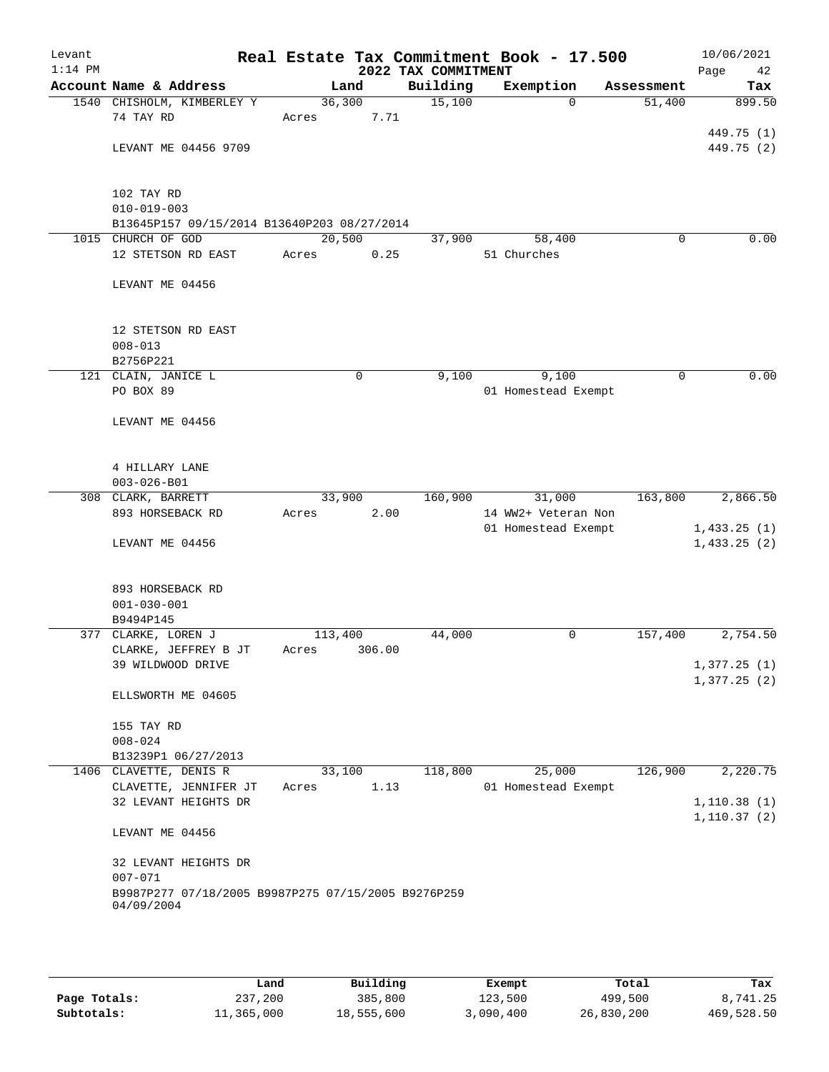| Levant<br>$1:14$ PM |                                                                   |                         | 2022 TAX COMMITMENT | Real Estate Tax Commitment Book - 17.500 | 10/06/2021<br>Page<br>42   |
|---------------------|-------------------------------------------------------------------|-------------------------|---------------------|------------------------------------------|----------------------------|
|                     | Account Name & Address                                            | Land                    | Building            | Exemption                                | Assessment<br>Tax          |
|                     | 1540 CHISHOLM, KIMBERLEY Y                                        | 36,300                  | 15,100              | $\Omega$                                 | 51,400<br>899.50           |
|                     | 74 TAY RD                                                         | 7.71<br>Acres           |                     |                                          |                            |
|                     |                                                                   |                         |                     |                                          | 449.75 (1)                 |
|                     | LEVANT ME 04456 9709                                              |                         |                     |                                          | 449.75 (2)                 |
|                     |                                                                   |                         |                     |                                          |                            |
|                     | 102 TAY RD                                                        |                         |                     |                                          |                            |
|                     | $010 - 019 - 003$                                                 |                         |                     |                                          |                            |
|                     | B13645P157 09/15/2014 B13640P203 08/27/2014                       |                         |                     |                                          |                            |
|                     | 1015 CHURCH OF GOD                                                | 20,500                  | 37,900              | 58,400                                   | 0.00<br>$\Omega$           |
|                     | 12 STETSON RD EAST                                                | Acres<br>0.25           |                     | 51 Churches                              |                            |
|                     |                                                                   |                         |                     |                                          |                            |
|                     | LEVANT ME 04456                                                   |                         |                     |                                          |                            |
|                     |                                                                   |                         |                     |                                          |                            |
|                     | 12 STETSON RD EAST                                                |                         |                     |                                          |                            |
|                     | $008 - 013$                                                       |                         |                     |                                          |                            |
|                     | B2756P221                                                         |                         |                     |                                          |                            |
|                     | 121 CLAIN, JANICE L                                               | 0                       | 9,100               | 9,100                                    | 0.00<br>$\mathbf 0$        |
|                     | PO BOX 89                                                         |                         |                     | 01 Homestead Exempt                      |                            |
|                     | LEVANT ME 04456                                                   |                         |                     |                                          |                            |
|                     |                                                                   |                         |                     |                                          |                            |
|                     |                                                                   |                         |                     |                                          |                            |
|                     | 4 HILLARY LANE                                                    |                         |                     |                                          |                            |
|                     | $003 - 026 - B01$                                                 |                         |                     |                                          |                            |
|                     | 308 CLARK, BARRETT                                                | 33,900                  | 160,900             | 31,000                                   | 163,800<br>2,866.50        |
|                     | 893 HORSEBACK RD                                                  | 2.00<br>Acres           |                     | 14 WW2+ Veteran Non                      |                            |
|                     | LEVANT ME 04456                                                   |                         |                     | 01 Homestead Exempt                      | 1,433.25(1)<br>1,433.25(2) |
|                     |                                                                   |                         |                     |                                          |                            |
|                     |                                                                   |                         |                     |                                          |                            |
|                     | 893 HORSEBACK RD                                                  |                         |                     |                                          |                            |
|                     | $001 - 030 - 001$                                                 |                         |                     |                                          |                            |
|                     | B9494P145                                                         |                         |                     |                                          |                            |
|                     | 377 CLARKE, LOREN J                                               | 113,400                 | 44,000              | 0                                        | 2,754.50<br>157,400        |
|                     | CLARKE, JEFFREY B JT<br>39 WILDWOOD DRIVE                         | 306.00<br>Acres         |                     |                                          | 1,377.25(1)                |
|                     |                                                                   |                         |                     |                                          | 1,377.25(2)                |
|                     | ELLSWORTH ME 04605                                                |                         |                     |                                          |                            |
|                     |                                                                   |                         |                     |                                          |                            |
|                     | 155 TAY RD                                                        |                         |                     |                                          |                            |
|                     | $008 - 024$                                                       |                         |                     |                                          |                            |
|                     | B13239P1 06/27/2013                                               |                         |                     |                                          |                            |
|                     | 1406 CLAVETTE, DENIS R<br>CLAVETTE, JENNIFER JT                   | 33,100<br>1.13<br>Acres | 118,800             | 25,000<br>01 Homestead Exempt            | 126,900<br>2,220.75        |
|                     | 32 LEVANT HEIGHTS DR                                              |                         |                     |                                          | 1, 110.38(1)               |
|                     |                                                                   |                         |                     |                                          | 1, 110.37(2)               |
|                     | LEVANT ME 04456                                                   |                         |                     |                                          |                            |
|                     |                                                                   |                         |                     |                                          |                            |
|                     | 32 LEVANT HEIGHTS DR                                              |                         |                     |                                          |                            |
|                     | $007 - 071$                                                       |                         |                     |                                          |                            |
|                     | B9987P277 07/18/2005 B9987P275 07/15/2005 B9276P259<br>04/09/2004 |                         |                     |                                          |                            |
|                     |                                                                   |                         |                     |                                          |                            |
|                     |                                                                   |                         |                     |                                          |                            |

|              | Land       | Building   | Exempt    | Total      | Tax        |
|--------------|------------|------------|-----------|------------|------------|
| Page Totals: | 237,200    | 385,800    | 123,500   | 499,500    | 8,741.25   |
| Subtotals:   | 11,365,000 | 18,555,600 | 3,090,400 | 26,830,200 | 469,528.50 |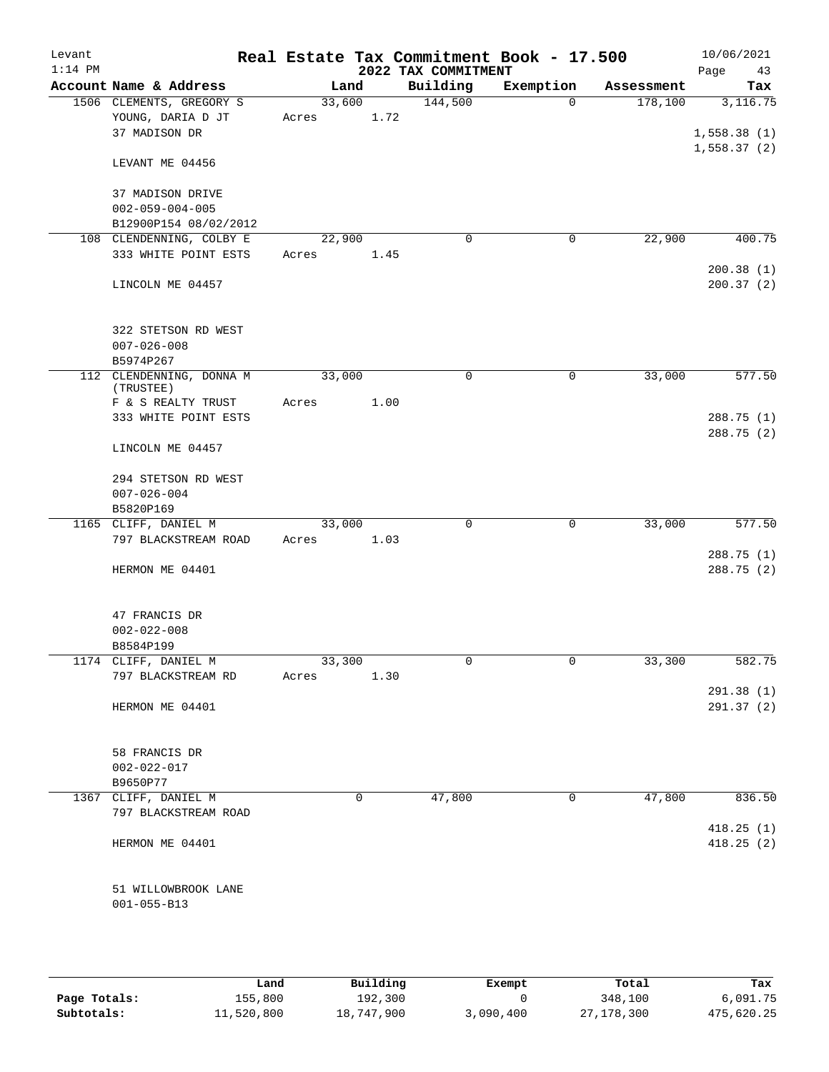| Levant    |                                                    |        |      |                     | Real Estate Tax Commitment Book - 17.500 |                       | 10/06/2021      |
|-----------|----------------------------------------------------|--------|------|---------------------|------------------------------------------|-----------------------|-----------------|
| $1:14$ PM |                                                    |        |      | 2022 TAX COMMITMENT |                                          |                       | Page<br>43      |
|           | Account Name & Address<br>1506 CLEMENTS, GREGORY S | 33,600 | Land | Building<br>144,500 | Exemption<br>$\Omega$                    | Assessment<br>178,100 | Tax<br>3,116.75 |
|           | YOUNG, DARIA D JT                                  | Acres  | 1.72 |                     |                                          |                       |                 |
|           | 37 MADISON DR                                      |        |      |                     |                                          |                       | 1,558.38(1)     |
|           |                                                    |        |      |                     |                                          |                       | 1,558.37(2)     |
|           | LEVANT ME 04456                                    |        |      |                     |                                          |                       |                 |
|           | 37 MADISON DRIVE                                   |        |      |                     |                                          |                       |                 |
|           | $002 - 059 - 004 - 005$                            |        |      |                     |                                          |                       |                 |
|           | B12900P154 08/02/2012                              |        |      |                     |                                          |                       |                 |
|           | 108 CLENDENNING, COLBY E                           | 22,900 |      | $\mathbf 0$         | 0                                        | 22,900                | 400.75          |
|           | 333 WHITE POINT ESTS                               | Acres  | 1.45 |                     |                                          |                       | 200.38(1)       |
|           | LINCOLN ME 04457                                   |        |      |                     |                                          |                       | 200.37(2)       |
|           | 322 STETSON RD WEST                                |        |      |                     |                                          |                       |                 |
|           | $007 - 026 - 008$                                  |        |      |                     |                                          |                       |                 |
|           | B5974P267                                          |        |      |                     |                                          |                       |                 |
|           | 112 CLENDENNING, DONNA M<br>(TRUSTEE)              | 33,000 |      | $\mathbf 0$         | 0                                        | 33,000                | 577.50          |
|           | F & S REALTY TRUST                                 | Acres  | 1.00 |                     |                                          |                       |                 |
|           | 333 WHITE POINT ESTS                               |        |      |                     |                                          |                       | 288.75(1)       |
|           | LINCOLN ME 04457                                   |        |      |                     |                                          |                       | 288.75 (2)      |
|           |                                                    |        |      |                     |                                          |                       |                 |
|           | 294 STETSON RD WEST                                |        |      |                     |                                          |                       |                 |
|           | $007 - 026 - 004$                                  |        |      |                     |                                          |                       |                 |
|           | B5820P169                                          |        |      |                     |                                          |                       |                 |
|           | 1165 CLIFF, DANIEL M                               | 33,000 |      | $\mathbf 0$         | $\mathbf 0$                              | 33,000                | 577.50          |
|           | 797 BLACKSTREAM ROAD                               | Acres  | 1.03 |                     |                                          |                       |                 |
|           |                                                    |        |      |                     |                                          |                       | 288.75 (1)      |
|           | HERMON ME 04401                                    |        |      |                     |                                          |                       | 288.75 (2)      |
|           | 47 FRANCIS DR                                      |        |      |                     |                                          |                       |                 |
|           | $002 - 022 - 008$                                  |        |      |                     |                                          |                       |                 |
|           | B8584P199                                          |        |      |                     |                                          |                       |                 |
|           | 1174 CLIFF, DANIEL M                               | 33,300 |      | 0                   | 0                                        | 33,300                | 582.75          |
|           | 797 BLACKSTREAM RD                                 | Acres  | 1.30 |                     |                                          |                       |                 |
|           |                                                    |        |      |                     |                                          |                       | 291.38(1)       |
|           | HERMON ME 04401                                    |        |      |                     |                                          |                       | 291.37 (2)      |
|           |                                                    |        |      |                     |                                          |                       |                 |
|           | 58 FRANCIS DR                                      |        |      |                     |                                          |                       |                 |
|           | $002 - 022 - 017$                                  |        |      |                     |                                          |                       |                 |
|           | B9650P77                                           |        |      |                     |                                          |                       |                 |
| 1367      | CLIFF, DANIEL M                                    |        | 0    | 47,800              | 0                                        | 47,800                | 836.50          |
|           | 797 BLACKSTREAM ROAD                               |        |      |                     |                                          |                       | 418.25(1)       |
|           | HERMON ME 04401                                    |        |      |                     |                                          |                       | 418.25(2)       |
|           |                                                    |        |      |                     |                                          |                       |                 |
|           | 51 WILLOWBROOK LANE                                |        |      |                     |                                          |                       |                 |
|           | $001 - 055 - B13$                                  |        |      |                     |                                          |                       |                 |
|           |                                                    |        |      |                     |                                          |                       |                 |
|           |                                                    |        |      |                     |                                          |                       |                 |

|              | Land       | Building   | Exempt    | Total      | Tax        |
|--------------|------------|------------|-----------|------------|------------|
| Page Totals: | 155,800    | 192,300    |           | 348,100    | 6,091.75   |
| Subtotals:   | 11,520,800 | 18,747,900 | 3,090,400 | 27,178,300 | 475,620.25 |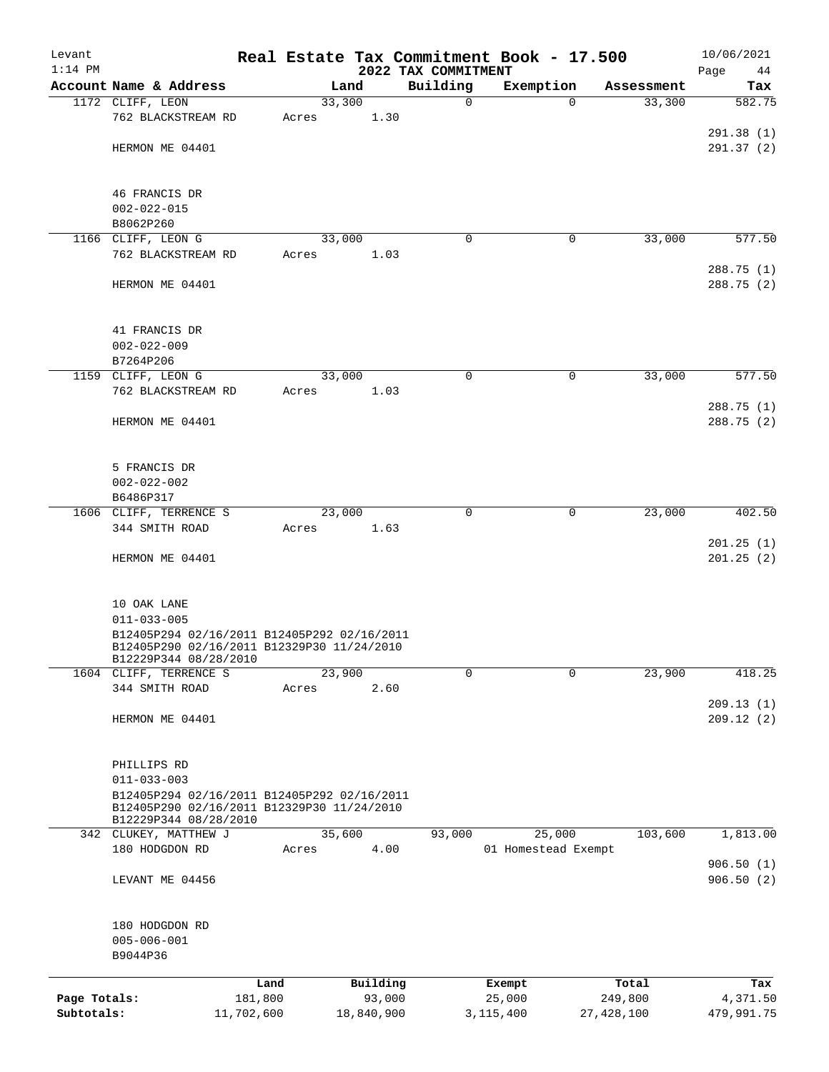| Levant<br>$1:14$ PM |                                                                                           |            |       |            | 2022 TAX COMMITMENT | Real Estate Tax Commitment Book - 17.500 |              |            | 10/06/2021<br>Page<br>44 |
|---------------------|-------------------------------------------------------------------------------------------|------------|-------|------------|---------------------|------------------------------------------|--------------|------------|--------------------------|
|                     | Account Name & Address                                                                    |            |       | Land       | Building            | Exemption                                |              | Assessment | Tax                      |
|                     | 1172 CLIFF, LEON                                                                          |            |       | 33,300     | $\mathsf{O}$        |                                          | $\Omega$     | 33,300     | 582.75                   |
|                     | 762 BLACKSTREAM RD                                                                        |            | Acres | 1.30       |                     |                                          |              |            |                          |
|                     |                                                                                           |            |       |            |                     |                                          |              |            | 291.38(1)                |
|                     | HERMON ME 04401                                                                           |            |       |            |                     |                                          |              |            | 291.37(2)                |
|                     |                                                                                           |            |       |            |                     |                                          |              |            |                          |
|                     | 46 FRANCIS DR                                                                             |            |       |            |                     |                                          |              |            |                          |
|                     | $002 - 022 - 015$                                                                         |            |       |            |                     |                                          |              |            |                          |
|                     | B8062P260                                                                                 |            |       |            |                     |                                          |              |            |                          |
|                     | 1166 CLIFF, LEON G                                                                        |            |       | 33,000     | $\mathbf 0$         |                                          | 0            | 33,000     | 577.50                   |
|                     | 762 BLACKSTREAM RD                                                                        |            | Acres | 1.03       |                     |                                          |              |            |                          |
|                     |                                                                                           |            |       |            |                     |                                          |              |            | 288.75 (1)               |
|                     | HERMON ME 04401                                                                           |            |       |            |                     |                                          |              |            | 288.75 (2)               |
|                     | 41 FRANCIS DR                                                                             |            |       |            |                     |                                          |              |            |                          |
|                     | $002 - 022 - 009$                                                                         |            |       |            |                     |                                          |              |            |                          |
|                     | B7264P206                                                                                 |            |       |            |                     |                                          |              |            |                          |
|                     | 1159 CLIFF, LEON G                                                                        |            |       | 33,000     | 0                   |                                          | 0            | 33,000     | 577.50                   |
|                     | 762 BLACKSTREAM RD                                                                        |            | Acres | 1.03       |                     |                                          |              |            |                          |
|                     |                                                                                           |            |       |            |                     |                                          |              |            | 288.75 (1)               |
|                     | HERMON ME 04401                                                                           |            |       |            |                     |                                          |              |            | 288.75 (2)               |
|                     |                                                                                           |            |       |            |                     |                                          |              |            |                          |
|                     | 5 FRANCIS DR                                                                              |            |       |            |                     |                                          |              |            |                          |
|                     | $002 - 022 - 002$                                                                         |            |       |            |                     |                                          |              |            |                          |
|                     | B6486P317                                                                                 |            |       |            |                     |                                          |              |            |                          |
|                     | 1606 CLIFF, TERRENCE S                                                                    |            |       | 23,000     | $\mathbf 0$         |                                          | $\mathbf 0$  | 23,000     | 402.50                   |
|                     | 344 SMITH ROAD                                                                            |            | Acres | 1.63       |                     |                                          |              |            |                          |
|                     |                                                                                           |            |       |            |                     |                                          |              |            | 201.25(1)                |
|                     | HERMON ME 04401                                                                           |            |       |            |                     |                                          |              |            | 201.25(2)                |
|                     | 10 OAK LANE                                                                               |            |       |            |                     |                                          |              |            |                          |
|                     | $011 - 033 - 005$                                                                         |            |       |            |                     |                                          |              |            |                          |
|                     | B12405P294 02/16/2011 B12405P292 02/16/2011<br>B12405P290 02/16/2011 B12329P30 11/24/2010 |            |       |            |                     |                                          |              |            |                          |
|                     | B12229P344 08/28/2010<br>1604 CLIFF, TERRENCE S                                           |            |       | 23,900     | 0                   |                                          | 0            | 23,900     | 418.25                   |
|                     | 344 SMITH ROAD                                                                            |            | Acres | 2.60       |                     |                                          |              |            |                          |
|                     |                                                                                           |            |       |            |                     |                                          |              |            | 209.13(1)                |
|                     | HERMON ME 04401                                                                           |            |       |            |                     |                                          |              |            | 209.12(2)                |
|                     |                                                                                           |            |       |            |                     |                                          |              |            |                          |
|                     | PHILLIPS RD                                                                               |            |       |            |                     |                                          |              |            |                          |
|                     | $011 - 033 - 003$                                                                         |            |       |            |                     |                                          |              |            |                          |
|                     | B12405P294 02/16/2011 B12405P292 02/16/2011<br>B12405P290 02/16/2011 B12329P30 11/24/2010 |            |       |            |                     |                                          |              |            |                          |
|                     | B12229P344 08/28/2010<br>342 CLUKEY, MATTHEW J                                            |            |       | 35,600     | 93,000              | 25,000                                   |              | 103,600    | 1,813.00                 |
|                     | 180 HODGDON RD                                                                            |            | Acres | 4.00       |                     | 01 Homestead Exempt                      |              |            |                          |
|                     |                                                                                           |            |       |            |                     |                                          |              |            | 906.50(1)                |
|                     | LEVANT ME 04456                                                                           |            |       |            |                     |                                          |              |            | 906.50(2)                |
|                     |                                                                                           |            |       |            |                     |                                          |              |            |                          |
|                     | 180 HODGDON RD                                                                            |            |       |            |                     |                                          |              |            |                          |
|                     | $005 - 006 - 001$                                                                         |            |       |            |                     |                                          |              |            |                          |
|                     | B9044P36                                                                                  |            |       |            |                     |                                          |              |            |                          |
|                     |                                                                                           | Land       |       | Building   |                     | Exempt                                   |              | Total      | Tax                      |
| Page Totals:        |                                                                                           | 181,800    |       | 93,000     |                     | 25,000                                   |              | 249,800    | 4,371.50                 |
| Subtotals:          |                                                                                           | 11,702,600 |       | 18,840,900 |                     | 3, 115, 400                              | 27, 428, 100 |            | 479,991.75               |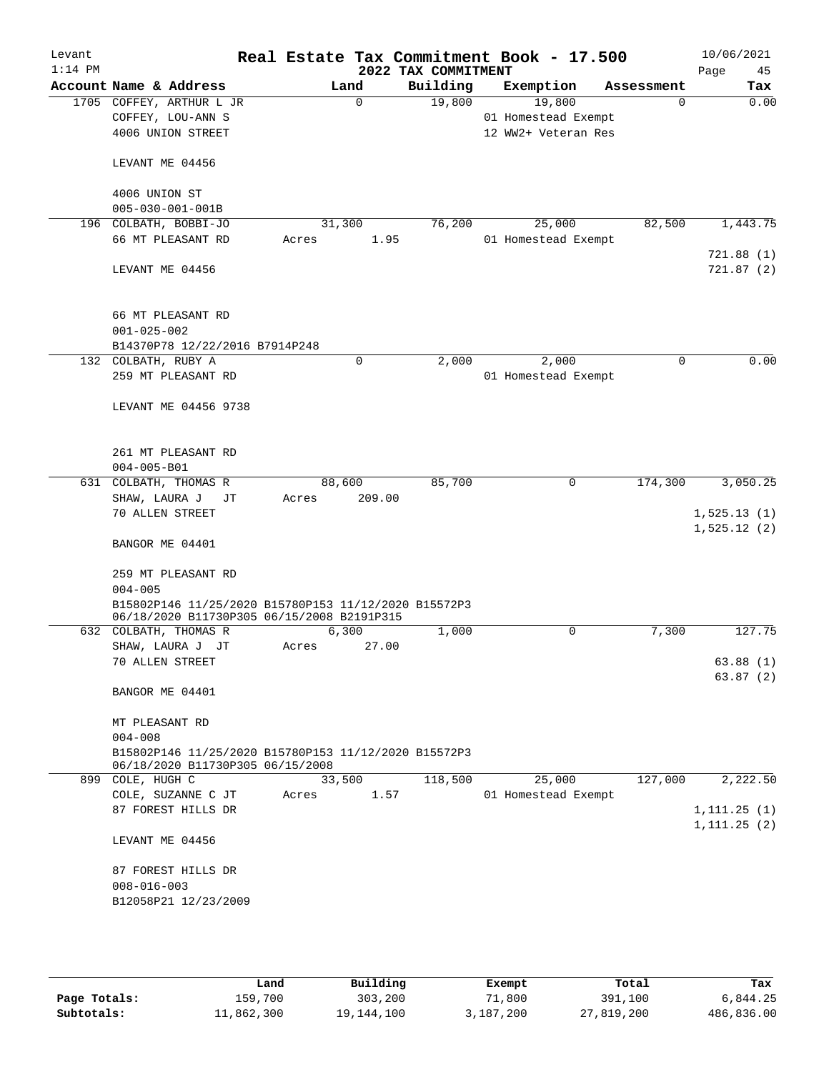| Levant<br>$1:14$ PM |                   |                                                                                                    |       |             | 2022 TAX COMMITMENT | Real Estate Tax Commitment Book - 17.500 |            | 10/06/2021<br>Page<br>45     |
|---------------------|-------------------|----------------------------------------------------------------------------------------------------|-------|-------------|---------------------|------------------------------------------|------------|------------------------------|
|                     |                   | Account Name & Address                                                                             |       | Land        | Building            | Exemption                                | Assessment | Tax                          |
|                     |                   | 1705 COFFEY, ARTHUR L JR                                                                           |       | $\Omega$    | 19,800              | 19,800                                   | $\Omega$   | 0.00                         |
|                     |                   | COFFEY, LOU-ANN S                                                                                  |       |             |                     | 01 Homestead Exempt                      |            |                              |
|                     |                   | 4006 UNION STREET                                                                                  |       |             |                     | 12 WW2+ Veteran Res                      |            |                              |
|                     |                   | LEVANT ME 04456                                                                                    |       |             |                     |                                          |            |                              |
|                     | 4006 UNION ST     |                                                                                                    |       |             |                     |                                          |            |                              |
|                     |                   | $005 - 030 - 001 - 001B$                                                                           |       |             |                     |                                          |            |                              |
|                     |                   | 196 COLBATH, BOBBI-JO                                                                              |       | 31,300      | 76,200              | 25,000                                   | 82,500     | 1,443.75                     |
|                     |                   | 66 MT PLEASANT RD                                                                                  | Acres | 1.95        |                     | 01 Homestead Exempt                      |            |                              |
|                     |                   |                                                                                                    |       |             |                     |                                          |            | 721.88(1)                    |
|                     |                   | LEVANT ME 04456                                                                                    |       |             |                     |                                          |            | 721.87(2)                    |
|                     |                   | 66 MT PLEASANT RD                                                                                  |       |             |                     |                                          |            |                              |
|                     | $001 - 025 - 002$ |                                                                                                    |       |             |                     |                                          |            |                              |
|                     |                   | B14370P78 12/22/2016 B7914P248                                                                     |       |             |                     |                                          |            |                              |
|                     |                   | 132 COLBATH, RUBY A                                                                                |       | $\mathbf 0$ | 2,000               | 2,000                                    | $\Omega$   | 0.00                         |
|                     |                   | 259 MT PLEASANT RD                                                                                 |       |             |                     | 01 Homestead Exempt                      |            |                              |
|                     |                   |                                                                                                    |       |             |                     |                                          |            |                              |
|                     |                   | LEVANT ME 04456 9738                                                                               |       |             |                     |                                          |            |                              |
|                     |                   | 261 MT PLEASANT RD                                                                                 |       |             |                     |                                          |            |                              |
|                     | $004 - 005 - B01$ |                                                                                                    |       |             |                     |                                          |            |                              |
|                     |                   | 631 COLBATH, THOMAS R                                                                              |       | 88,600      | 85,700              | 0                                        | 174,300    | 3,050.25                     |
|                     | SHAW, LAURA J     | JТ                                                                                                 | Acres | 209.00      |                     |                                          |            |                              |
|                     |                   | 70 ALLEN STREET                                                                                    |       |             |                     |                                          |            | 1,525.13(1)                  |
|                     |                   |                                                                                                    |       |             |                     |                                          |            | 1,525.12(2)                  |
|                     |                   | BANGOR ME 04401                                                                                    |       |             |                     |                                          |            |                              |
|                     |                   | 259 MT PLEASANT RD                                                                                 |       |             |                     |                                          |            |                              |
|                     | $004 - 005$       |                                                                                                    |       |             |                     |                                          |            |                              |
|                     |                   | B15802P146 11/25/2020 B15780P153 11/12/2020 B15572P3<br>06/18/2020 B11730P305 06/15/2008 B2191P315 |       |             |                     |                                          |            |                              |
|                     |                   | 632 COLBATH, THOMAS R                                                                              |       | 6,300       | 1,000               | 0                                        | 7,300      | 127.75                       |
|                     |                   | SHAW, LAURA J JT                                                                                   | Acres | 27.00       |                     |                                          |            |                              |
|                     |                   | 70 ALLEN STREET                                                                                    |       |             |                     |                                          |            | 63.88 (1)                    |
|                     |                   |                                                                                                    |       |             |                     |                                          |            | 63.87(2)                     |
|                     |                   | BANGOR ME 04401                                                                                    |       |             |                     |                                          |            |                              |
|                     | MT PLEASANT RD    |                                                                                                    |       |             |                     |                                          |            |                              |
|                     | $004 - 008$       |                                                                                                    |       |             |                     |                                          |            |                              |
|                     |                   | B15802P146 11/25/2020 B15780P153 11/12/2020 B15572P3<br>06/18/2020 B11730P305 06/15/2008           |       |             |                     |                                          |            |                              |
|                     | 899 COLE, HUGH C  |                                                                                                    |       | 33,500      | 118,500             | 25,000                                   | 127,000    | 2,222.50                     |
|                     |                   | COLE, SUZANNE C JT                                                                                 | Acres | 1.57        |                     | 01 Homestead Exempt                      |            |                              |
|                     |                   | 87 FOREST HILLS DR                                                                                 |       |             |                     |                                          |            | 1, 111.25(1)<br>1, 111.25(2) |
|                     |                   | LEVANT ME 04456                                                                                    |       |             |                     |                                          |            |                              |
|                     |                   | 87 FOREST HILLS DR                                                                                 |       |             |                     |                                          |            |                              |
|                     | $008 - 016 - 003$ |                                                                                                    |       |             |                     |                                          |            |                              |
|                     |                   | B12058P21 12/23/2009                                                                               |       |             |                     |                                          |            |                              |
|                     |                   |                                                                                                    |       |             |                     |                                          |            |                              |
|                     |                   |                                                                                                    |       |             |                     |                                          |            |                              |

|              | Land       | Building   | Exempt    | Total      | Tax        |
|--------------|------------|------------|-----------|------------|------------|
| Page Totals: | 159,700    | 303,200    | 71,800    | 391,100    | 6,844.25   |
| Subtotals:   | 11,862,300 | 19,144,100 | 3,187,200 | 27,819,200 | 486,836.00 |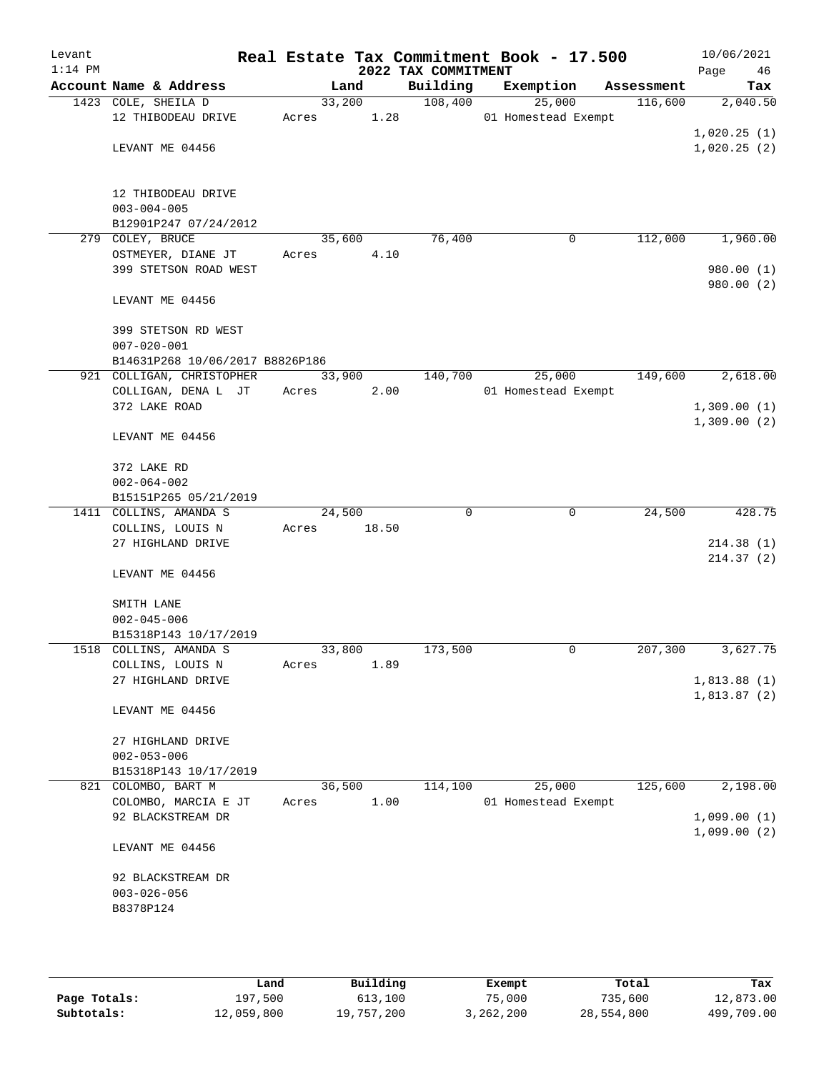| Levant<br>$1:14$ PM |                                                                  |                 |       | 2022 TAX COMMITMENT | Real Estate Tax Commitment Book - 17.500 |            | 10/06/2021<br>Page<br>46   |
|---------------------|------------------------------------------------------------------|-----------------|-------|---------------------|------------------------------------------|------------|----------------------------|
|                     | Account Name & Address                                           |                 | Land  | Building            | Exemption                                | Assessment | Tax                        |
|                     | 1423 COLE, SHEILA D<br>12 THIBODEAU DRIVE                        | 33,200<br>Acres | 1.28  | 108,400             | 25,000<br>01 Homestead Exempt            | 116,600    | 2,040.50                   |
|                     | LEVANT ME 04456                                                  |                 |       |                     |                                          |            | 1,020.25(1)<br>1,020.25(2) |
|                     | 12 THIBODEAU DRIVE<br>$003 - 004 - 005$<br>B12901P247 07/24/2012 |                 |       |                     |                                          |            |                            |
|                     | 279 COLEY, BRUCE                                                 | 35,600          |       | 76,400              | 0                                        | 112,000    | 1,960.00                   |
|                     | OSTMEYER, DIANE JT<br>399 STETSON ROAD WEST                      | Acres           | 4.10  |                     |                                          |            | 980.00 (1)<br>980.00 (2)   |
|                     | LEVANT ME 04456                                                  |                 |       |                     |                                          |            |                            |
|                     | 399 STETSON RD WEST<br>$007 - 020 - 001$                         |                 |       |                     |                                          |            |                            |
|                     | B14631P268 10/06/2017 B8826P186                                  |                 |       |                     |                                          |            |                            |
|                     | 921 COLLIGAN, CHRISTOPHER<br>COLLIGAN, DENA L JT                 | 33,900<br>Acres |       | 140,700             | 25,000<br>01 Homestead Exempt            | 149,600    | 2,618.00                   |
|                     | 372 LAKE ROAD                                                    |                 | 2.00  |                     |                                          |            | 1,309.00(1)                |
|                     |                                                                  |                 |       |                     |                                          |            | 1,309.00(2)                |
|                     | LEVANT ME 04456                                                  |                 |       |                     |                                          |            |                            |
|                     | 372 LAKE RD                                                      |                 |       |                     |                                          |            |                            |
|                     | $002 - 064 - 002$                                                |                 |       |                     |                                          |            |                            |
|                     | B15151P265 05/21/2019                                            |                 |       |                     |                                          |            |                            |
|                     | 1411 COLLINS, AMANDA S                                           | 24,500          |       | $\Omega$            | $\mathbf 0$                              | 24,500     | 428.75                     |
|                     | COLLINS, LOUIS N                                                 | Acres           | 18.50 |                     |                                          |            |                            |
|                     | 27 HIGHLAND DRIVE                                                |                 |       |                     |                                          |            | 214.38(1)                  |
|                     | LEVANT ME 04456                                                  |                 |       |                     |                                          |            | 214.37(2)                  |
|                     | SMITH LANE                                                       |                 |       |                     |                                          |            |                            |
|                     | $002 - 045 - 006$                                                |                 |       |                     |                                          |            |                            |
|                     | B15318P143 10/17/2019                                            |                 |       |                     |                                          |            |                            |
|                     | 1518 COLLINS, AMANDA S                                           | 33,800          |       | 173,500             | 0                                        | 207,300    | 3,627.75                   |
|                     | COLLINS, LOUIS N                                                 | Acres           | 1.89  |                     |                                          |            |                            |
|                     | 27 HIGHLAND DRIVE                                                |                 |       |                     |                                          |            | 1,813.88(1)                |
|                     | LEVANT ME 04456                                                  |                 |       |                     |                                          |            | 1,813.87(2)                |
|                     | 27 HIGHLAND DRIVE                                                |                 |       |                     |                                          |            |                            |
|                     | $002 - 053 - 006$                                                |                 |       |                     |                                          |            |                            |
|                     | B15318P143 10/17/2019                                            |                 |       |                     |                                          |            |                            |
| 821                 | COLOMBO, BART M                                                  | 36,500          |       | 114,100             | 25,000                                   | 125,600    | 2,198.00                   |
|                     | COLOMBO, MARCIA E JT                                             | Acres           | 1.00  |                     | 01 Homestead Exempt                      |            |                            |
|                     | 92 BLACKSTREAM DR                                                |                 |       |                     |                                          |            | 1,099.00(1)                |
|                     | LEVANT ME 04456                                                  |                 |       |                     |                                          |            | 1,099.00(2)                |
|                     | 92 BLACKSTREAM DR                                                |                 |       |                     |                                          |            |                            |
|                     | $003 - 026 - 056$                                                |                 |       |                     |                                          |            |                            |
|                     | B8378P124                                                        |                 |       |                     |                                          |            |                            |
|                     |                                                                  |                 |       |                     |                                          |            |                            |
|                     |                                                                  |                 |       |                     |                                          |            |                            |

|              | Land       | Building   | Exempt    | Total      | Tax        |
|--------------|------------|------------|-----------|------------|------------|
| Page Totals: | 197,500    | 613,100    | 75,000    | 735,600    | 12,873.00  |
| Subtotals:   | 12,059,800 | 19,757,200 | 3,262,200 | 28,554,800 | 499,709.00 |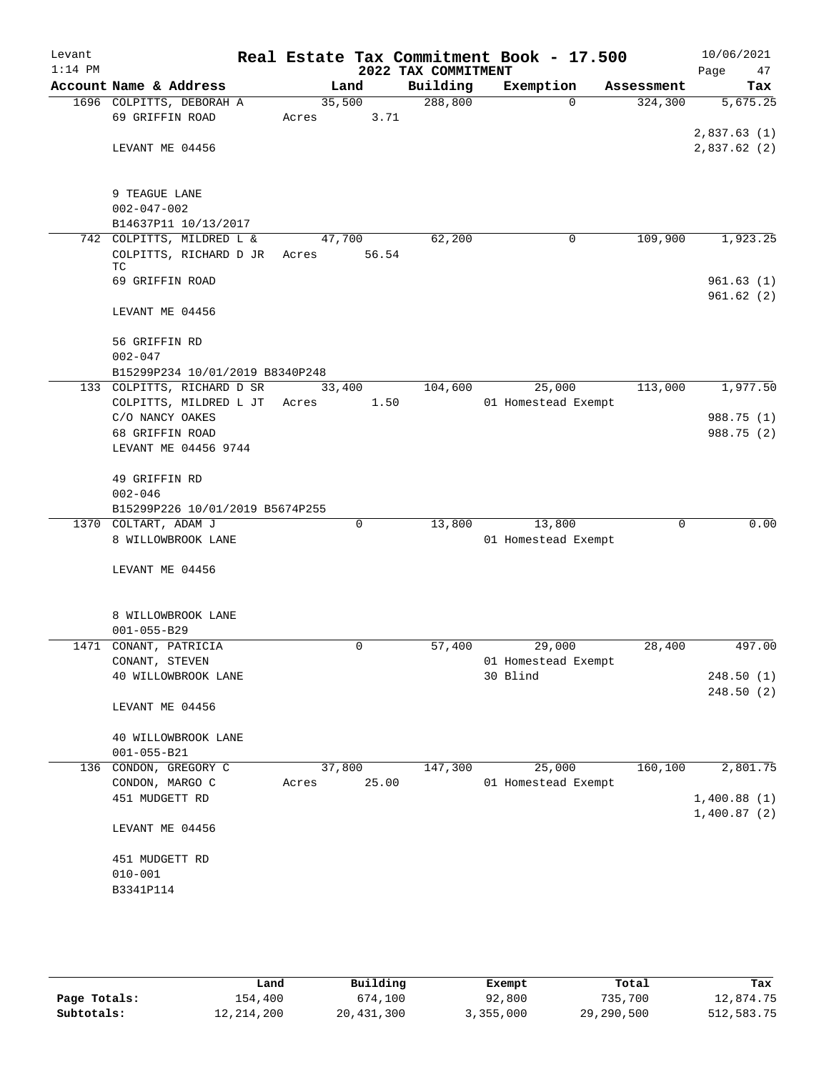| Levant<br>$1:14$ PM |                                 |       |        | 2022 TAX COMMITMENT | Real Estate Tax Commitment Book - 17.500 |            | 10/06/2021<br>Page<br>47 |
|---------------------|---------------------------------|-------|--------|---------------------|------------------------------------------|------------|--------------------------|
|                     | Account Name & Address          |       | Land   | Building            | Exemption                                | Assessment | Tax                      |
|                     | 1696 COLPITTS, DEBORAH A        |       | 35,500 | 288,800             | $\Omega$                                 | 324,300    | 5,675.25                 |
|                     | 69 GRIFFIN ROAD                 | Acres | 3.71   |                     |                                          |            |                          |
|                     |                                 |       |        |                     |                                          |            | 2,837.63(1)              |
|                     | LEVANT ME 04456                 |       |        |                     |                                          |            | 2,837.62(2)              |
|                     |                                 |       |        |                     |                                          |            |                          |
|                     |                                 |       |        |                     |                                          |            |                          |
|                     | 9 TEAGUE LANE                   |       |        |                     |                                          |            |                          |
|                     | $002 - 047 - 002$               |       |        |                     |                                          |            |                          |
|                     | B14637P11 10/13/2017            |       |        |                     |                                          |            |                          |
|                     | 742 COLPITTS, MILDRED L &       |       | 47,700 | 62,200              | 0                                        | 109,900    | 1,923.25                 |
|                     | COLPITTS, RICHARD D JR<br>ТC    | Acres | 56.54  |                     |                                          |            |                          |
|                     | 69 GRIFFIN ROAD                 |       |        |                     |                                          |            | 961.63(1)                |
|                     |                                 |       |        |                     |                                          |            | 961.62(2)                |
|                     | LEVANT ME 04456                 |       |        |                     |                                          |            |                          |
|                     |                                 |       |        |                     |                                          |            |                          |
|                     | 56 GRIFFIN RD                   |       |        |                     |                                          |            |                          |
|                     | $002 - 047$                     |       |        |                     |                                          |            |                          |
|                     | B15299P234 10/01/2019 B8340P248 |       |        |                     |                                          |            |                          |
|                     | 133 COLPITTS, RICHARD D SR      |       | 33,400 | 104,600             | 25,000                                   | 113,000    | 1,977.50                 |
|                     | COLPITTS, MILDRED L JT          | Acres | 1.50   |                     | 01 Homestead Exempt                      |            |                          |
|                     | C/O NANCY OAKES                 |       |        |                     |                                          |            | 988.75 (1)               |
|                     | 68 GRIFFIN ROAD                 |       |        |                     |                                          |            | 988.75 (2)               |
|                     | LEVANT ME 04456 9744            |       |        |                     |                                          |            |                          |
|                     | 49 GRIFFIN RD                   |       |        |                     |                                          |            |                          |
|                     | $002 - 046$                     |       |        |                     |                                          |            |                          |
|                     | B15299P226 10/01/2019 B5674P255 |       |        |                     |                                          |            |                          |
|                     | 1370 COLTART, ADAM J            |       | 0      | 13,800              | 13,800                                   | 0          | 0.00                     |
|                     | 8 WILLOWBROOK LANE              |       |        |                     | 01 Homestead Exempt                      |            |                          |
|                     |                                 |       |        |                     |                                          |            |                          |
|                     | LEVANT ME 04456                 |       |        |                     |                                          |            |                          |
|                     |                                 |       |        |                     |                                          |            |                          |
|                     |                                 |       |        |                     |                                          |            |                          |
|                     | 8 WILLOWBROOK LANE              |       |        |                     |                                          |            |                          |
|                     | $001 - 055 - B29$               |       |        |                     |                                          |            |                          |
|                     | 1471 CONANT, PATRICIA           |       | 0      | 57,400              | 29,000                                   | 28,400     | 497.00                   |
|                     | CONANT, STEVEN                  |       |        |                     | 01 Homestead Exempt                      |            |                          |
|                     | 40 WILLOWBROOK LANE             |       |        |                     | 30 Blind                                 |            | 248.50 (1)               |
|                     |                                 |       |        |                     |                                          |            | 248.50(2)                |
|                     | LEVANT ME 04456                 |       |        |                     |                                          |            |                          |
|                     | 40 WILLOWBROOK LANE             |       |        |                     |                                          |            |                          |
|                     | $001 - 055 - B21$               |       |        |                     |                                          |            |                          |
| 136                 | CONDON, GREGORY C               |       | 37,800 | 147,300             | 25,000                                   | 160, 100   | 2,801.75                 |
|                     | CONDON, MARGO C                 | Acres | 25.00  |                     | 01 Homestead Exempt                      |            |                          |
|                     | 451 MUDGETT RD                  |       |        |                     |                                          |            | 1,400.88(1)              |
|                     |                                 |       |        |                     |                                          |            | 1,400.87(2)              |
|                     | LEVANT ME 04456                 |       |        |                     |                                          |            |                          |
|                     |                                 |       |        |                     |                                          |            |                          |
|                     | 451 MUDGETT RD                  |       |        |                     |                                          |            |                          |
|                     | $010 - 001$                     |       |        |                     |                                          |            |                          |
|                     | B3341P114                       |       |        |                     |                                          |            |                          |
|                     |                                 |       |        |                     |                                          |            |                          |
|                     |                                 |       |        |                     |                                          |            |                          |

|              | Land       | Building   | Exempt    | Total      | Tax        |
|--------------|------------|------------|-----------|------------|------------|
| Page Totals: | 154,400    | 674,100    | 92,800    | 735,700    | 12,874.75  |
| Subtotals:   | 12,214,200 | 20,431,300 | 3,355,000 | 29,290,500 | 512,583.75 |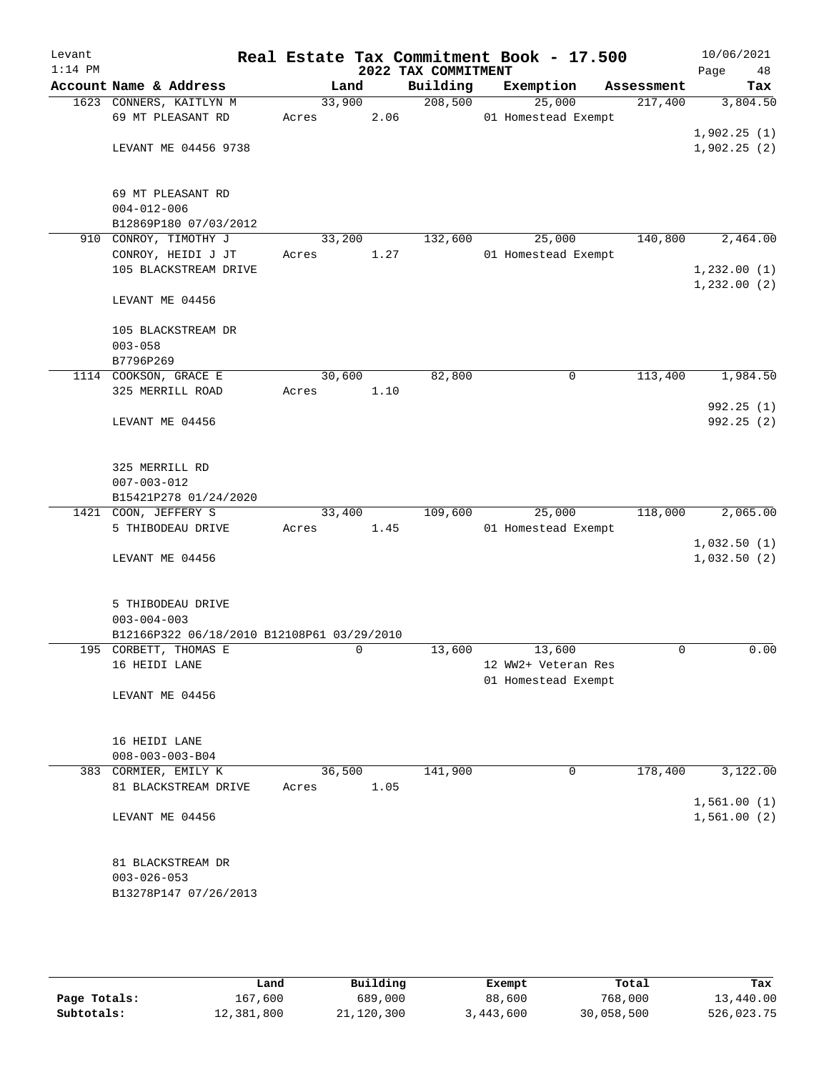| Levant<br>$1:14$ PM |                                            |        |        | 2022 TAX COMMITMENT | Real Estate Tax Commitment Book - 17.500 |            | 10/06/2021<br>Page<br>48   |
|---------------------|--------------------------------------------|--------|--------|---------------------|------------------------------------------|------------|----------------------------|
|                     | Account Name & Address                     |        | Land   | Building            | Exemption                                | Assessment | Tax                        |
|                     | 1623 CONNERS, KAITLYN M                    |        | 33,900 | 208,500             | 25,000                                   | 217,400    | 3,804.50                   |
|                     | 69 MT PLEASANT RD                          | Acres  | 2.06   |                     | 01 Homestead Exempt                      |            |                            |
|                     |                                            |        |        |                     |                                          |            | 1,902.25(1)                |
|                     | LEVANT ME 04456 9738                       |        |        |                     |                                          |            | 1,902.25(2)                |
|                     | 69 MT PLEASANT RD                          |        |        |                     |                                          |            |                            |
|                     | $004 - 012 - 006$                          |        |        |                     |                                          |            |                            |
|                     | B12869P180 07/03/2012                      |        |        |                     |                                          |            |                            |
|                     | 910 CONROY, TIMOTHY J                      |        | 33,200 | 132,600             | 25,000                                   | 140,800    | 2,464.00                   |
|                     | CONROY, HEIDI J JT                         | Acres  | 1.27   |                     | 01 Homestead Exempt                      |            |                            |
|                     | 105 BLACKSTREAM DRIVE                      |        |        |                     |                                          |            | 1,232.00(1)                |
|                     | LEVANT ME 04456                            |        |        |                     |                                          |            | 1,232.00(2)                |
|                     | 105 BLACKSTREAM DR                         |        |        |                     |                                          |            |                            |
|                     | $003 - 058$                                |        |        |                     |                                          |            |                            |
|                     | B7796P269                                  |        |        |                     |                                          |            |                            |
|                     | 1114 COOKSON, GRACE E                      |        | 30,600 | 82,800              | 0                                        | 113,400    | 1,984.50                   |
|                     | 325 MERRILL ROAD                           | Acres  | 1.10   |                     |                                          |            |                            |
|                     | LEVANT ME 04456                            |        |        |                     |                                          |            | 992.25(1)<br>992.25 (2)    |
|                     |                                            |        |        |                     |                                          |            |                            |
|                     | 325 MERRILL RD                             |        |        |                     |                                          |            |                            |
|                     | $007 - 003 - 012$                          |        |        |                     |                                          |            |                            |
|                     | B15421P278 01/24/2020                      |        |        |                     |                                          |            |                            |
|                     | 1421 COON, JEFFERY S                       |        | 33,400 | 109,600             | 25,000                                   | 118,000    | 2,065.00                   |
|                     | 5 THIBODEAU DRIVE                          | Acres  | 1.45   |                     | 01 Homestead Exempt                      |            |                            |
|                     | LEVANT ME 04456                            |        |        |                     |                                          |            | 1,032.50(1)<br>1,032.50(2) |
|                     |                                            |        |        |                     |                                          |            |                            |
|                     | 5 THIBODEAU DRIVE                          |        |        |                     |                                          |            |                            |
|                     | $003 - 004 - 003$                          |        |        |                     |                                          |            |                            |
|                     | B12166P322 06/18/2010 B12108P61 03/29/2010 |        |        |                     |                                          |            |                            |
|                     | 195 CORBETT, THOMAS E                      |        | 0      | 13,600              | 13,600                                   | 0          | 0.00                       |
|                     | 16 HEIDI LANE                              |        |        |                     | 12 WW2+ Veteran Res                      |            |                            |
|                     | LEVANT ME 04456                            |        |        |                     | 01 Homestead Exempt                      |            |                            |
|                     |                                            |        |        |                     |                                          |            |                            |
|                     | 16 HEIDI LANE                              |        |        |                     |                                          |            |                            |
|                     | $008 - 003 - 003 - B04$                    |        |        |                     |                                          |            |                            |
|                     | 383 CORMIER, EMILY K                       | 36,500 |        | 141,900             | 0                                        | 178,400    | 3,122.00                   |
|                     | 81 BLACKSTREAM DRIVE                       | Acres  | 1.05   |                     |                                          |            |                            |
|                     | LEVANT ME 04456                            |        |        |                     |                                          |            | 1,561.00(1)<br>1,561.00(2) |
|                     |                                            |        |        |                     |                                          |            |                            |
|                     | 81 BLACKSTREAM DR                          |        |        |                     |                                          |            |                            |
|                     | $003 - 026 - 053$                          |        |        |                     |                                          |            |                            |
|                     | B13278P147 07/26/2013                      |        |        |                     |                                          |            |                            |
|                     |                                            |        |        |                     |                                          |            |                            |
|                     |                                            |        |        |                     |                                          |            |                            |

|              | Land       | Building   | Exempt    | Total      | Tax        |
|--------------|------------|------------|-----------|------------|------------|
| Page Totals: | 167,600    | 689,000    | 88,600    | 768,000    | 13,440.00  |
| Subtotals:   | 12,381,800 | 21,120,300 | 3,443,600 | 30,058,500 | 526,023.75 |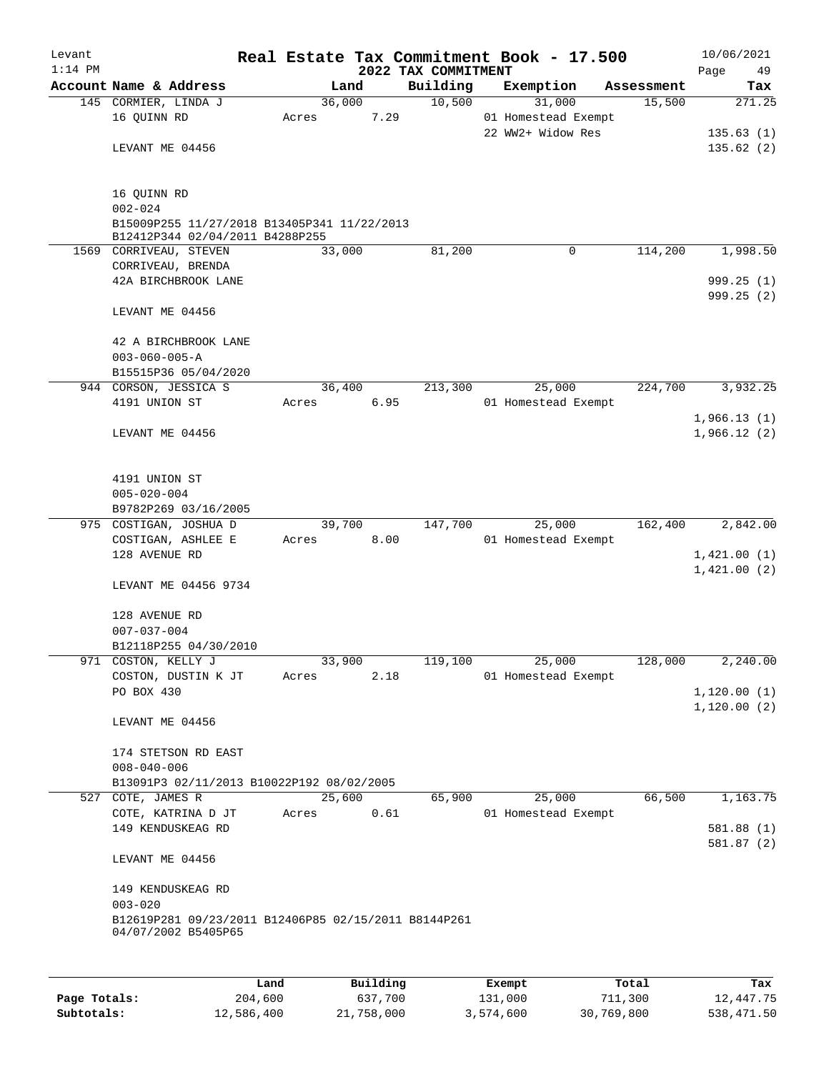| Levant<br>$1:14$ PM |                                                           |       |        |      | 2022 TAX COMMITMENT | Real Estate Tax Commitment Book - 17.500 |            | Page        | 10/06/2021<br>49 |
|---------------------|-----------------------------------------------------------|-------|--------|------|---------------------|------------------------------------------|------------|-------------|------------------|
|                     | Account Name & Address                                    |       | Land   |      | Building            | Exemption                                | Assessment |             | Tax              |
|                     | 145 CORMIER, LINDA J                                      |       | 36,000 |      | 10,500              | 31,000                                   | 15,500     |             | 271.25           |
|                     | 16 QUINN RD                                               | Acres |        | 7.29 |                     | 01 Homestead Exempt                      |            |             |                  |
|                     |                                                           |       |        |      |                     | 22 WW2+ Widow Res                        |            |             | 135.63(1)        |
|                     | LEVANT ME 04456                                           |       |        |      |                     |                                          |            |             | 135.62(2)        |
|                     |                                                           |       |        |      |                     |                                          |            |             |                  |
|                     |                                                           |       |        |      |                     |                                          |            |             |                  |
|                     | 16 QUINN RD                                               |       |        |      |                     |                                          |            |             |                  |
|                     | $002 - 024$                                               |       |        |      |                     |                                          |            |             |                  |
|                     | B15009P255 11/27/2018 B13405P341 11/22/2013               |       |        |      |                     |                                          |            |             |                  |
|                     | B12412P344 02/04/2011 B4288P255<br>1569 CORRIVEAU, STEVEN |       | 33,000 |      | 81,200              | 0                                        | 114,200    |             | 1,998.50         |
|                     | CORRIVEAU, BRENDA                                         |       |        |      |                     |                                          |            |             |                  |
|                     | 42A BIRCHBROOK LANE                                       |       |        |      |                     |                                          |            |             | 999.25(1)        |
|                     |                                                           |       |        |      |                     |                                          |            |             | 999.25 (2)       |
|                     | LEVANT ME 04456                                           |       |        |      |                     |                                          |            |             |                  |
|                     |                                                           |       |        |      |                     |                                          |            |             |                  |
|                     | 42 A BIRCHBROOK LANE                                      |       |        |      |                     |                                          |            |             |                  |
|                     | $003 - 060 - 005 - A$                                     |       |        |      |                     |                                          |            |             |                  |
|                     | B15515P36 05/04/2020                                      |       |        |      |                     |                                          |            |             |                  |
| 944                 | CORSON, JESSICA S                                         |       | 36,400 |      | 213,300             | 25,000                                   | 224,700    |             | 3,932.25         |
|                     | 4191 UNION ST                                             | Acres |        | 6.95 |                     | 01 Homestead Exempt                      |            |             |                  |
|                     |                                                           |       |        |      |                     |                                          |            | 1,966.13(1) |                  |
|                     | LEVANT ME 04456                                           |       |        |      |                     |                                          |            | 1,966.12(2) |                  |
|                     |                                                           |       |        |      |                     |                                          |            |             |                  |
|                     |                                                           |       |        |      |                     |                                          |            |             |                  |
|                     | 4191 UNION ST                                             |       |        |      |                     |                                          |            |             |                  |
|                     | $005 - 020 - 004$                                         |       |        |      |                     |                                          |            |             |                  |
|                     | B9782P269 03/16/2005                                      |       |        |      |                     |                                          |            |             |                  |
|                     | 975 COSTIGAN, JOSHUA D                                    |       | 39,700 |      | 147,700             | 25,000                                   | 162,400    |             | 2,842.00         |
|                     | COSTIGAN, ASHLEE E                                        | Acres |        | 8.00 |                     | 01 Homestead Exempt                      |            |             |                  |
|                     | 128 AVENUE RD                                             |       |        |      |                     |                                          |            | 1,421.00(1) |                  |
|                     |                                                           |       |        |      |                     |                                          |            | 1,421.00(2) |                  |
|                     | LEVANT ME 04456 9734                                      |       |        |      |                     |                                          |            |             |                  |
|                     |                                                           |       |        |      |                     |                                          |            |             |                  |
|                     | 128 AVENUE RD                                             |       |        |      |                     |                                          |            |             |                  |
|                     | $007 - 037 - 004$                                         |       |        |      |                     |                                          |            |             |                  |
|                     | B12118P255 04/30/2010                                     |       |        |      |                     |                                          |            |             |                  |
|                     | 971 COSTON, KELLY J                                       |       | 33,900 |      | 119,100             | 25,000                                   | 128,000    |             | 2,240.00         |
|                     | COSTON, DUSTIN K JT                                       | Acres |        | 2.18 |                     | 01 Homestead Exempt                      |            |             |                  |
|                     | PO BOX 430                                                |       |        |      |                     |                                          |            | 1,120.00(1) |                  |
|                     |                                                           |       |        |      |                     |                                          |            | 1,120.00(2) |                  |
|                     | LEVANT ME 04456                                           |       |        |      |                     |                                          |            |             |                  |
|                     |                                                           |       |        |      |                     |                                          |            |             |                  |
|                     | 174 STETSON RD EAST                                       |       |        |      |                     |                                          |            |             |                  |
|                     | $008 - 040 - 006$                                         |       |        |      |                     |                                          |            |             |                  |
|                     | B13091P3 02/11/2013 B10022P192 08/02/2005                 |       |        |      |                     |                                          |            |             |                  |
|                     | 527 COTE, JAMES R                                         |       | 25,600 |      | 65,900              | 25,000                                   | 66,500     |             | 1,163.75         |
|                     | COTE, KATRINA D JT                                        | Acres |        | 0.61 |                     | 01 Homestead Exempt                      |            |             |                  |
|                     | 149 KENDUSKEAG RD                                         |       |        |      |                     |                                          |            |             | 581.88(1)        |
|                     |                                                           |       |        |      |                     |                                          |            |             | 581.87(2)        |
|                     | LEVANT ME 04456                                           |       |        |      |                     |                                          |            |             |                  |
|                     |                                                           |       |        |      |                     |                                          |            |             |                  |
|                     | 149 KENDUSKEAG RD                                         |       |        |      |                     |                                          |            |             |                  |
|                     | $003 - 020$                                               |       |        |      |                     |                                          |            |             |                  |
|                     | B12619P281 09/23/2011 B12406P85 02/15/2011 B8144P261      |       |        |      |                     |                                          |            |             |                  |
|                     | 04/07/2002 B5405P65                                       |       |        |      |                     |                                          |            |             |                  |
|                     |                                                           |       |        |      |                     |                                          |            |             |                  |
|                     |                                                           |       |        |      |                     |                                          |            |             |                  |
|                     |                                                           |       |        |      |                     |                                          |            |             |                  |

|              | Land       | Building   | Exempt    | Total      | Tax        |
|--------------|------------|------------|-----------|------------|------------|
| Page Totals: | 204,600    | 637,700    | 131,000   | 711,300    | 12,447.75  |
| Subtotals:   | 12,586,400 | 21,758,000 | 3,574,600 | 30,769,800 | 538,471.50 |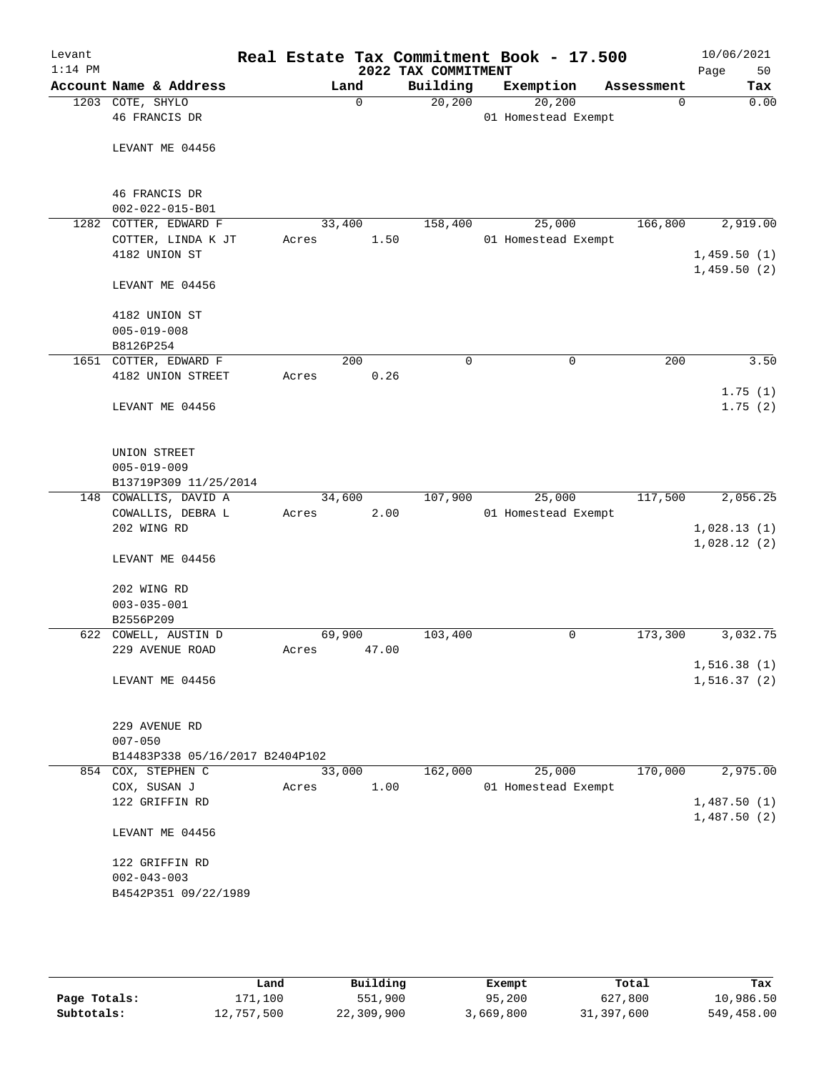| Levant<br>$1:14$ PM |                                          |        |          | 2022 TAX COMMITMENT | Real Estate Tax Commitment Book - 17.500 |            | 10/06/2021<br>50<br>Page    |
|---------------------|------------------------------------------|--------|----------|---------------------|------------------------------------------|------------|-----------------------------|
|                     | Account Name & Address                   |        | Land     | Building            | Exemption                                | Assessment | Tax                         |
|                     | 1203 COTE, SHYLO<br>46 FRANCIS DR        |        | $\Omega$ | 20, 200             | 20, 200<br>01 Homestead Exempt           | 0          | 0.00                        |
|                     | LEVANT ME 04456                          |        |          |                     |                                          |            |                             |
|                     | 46 FRANCIS DR<br>$002 - 022 - 015 - B01$ |        |          |                     |                                          |            |                             |
|                     | 1282 COTTER, EDWARD F                    | 33,400 |          | 158,400             | 25,000                                   | 166,800    | 2,919.00                    |
|                     | COTTER, LINDA K JT                       | Acres  | 1.50     |                     | 01 Homestead Exempt                      |            |                             |
|                     | 4182 UNION ST                            |        |          |                     |                                          |            | 1,459.50(1)<br>1,459.50(2)  |
|                     | LEVANT ME 04456                          |        |          |                     |                                          |            |                             |
|                     | 4182 UNION ST                            |        |          |                     |                                          |            |                             |
|                     | $005 - 019 - 008$                        |        |          |                     |                                          |            |                             |
|                     | B8126P254                                |        |          |                     |                                          |            |                             |
|                     | 1651 COTTER, EDWARD F                    |        | 200      | 0                   | 0                                        | 200        | 3.50                        |
|                     | 4182 UNION STREET                        | Acres  | 0.26     |                     |                                          |            | 1.75(1)                     |
|                     | LEVANT ME 04456                          |        |          |                     |                                          |            | 1.75(2)                     |
|                     | UNION STREET<br>$005 - 019 - 009$        |        |          |                     |                                          |            |                             |
|                     | B13719P309 11/25/2014                    | 34,600 |          | 107,900             |                                          | 117,500    |                             |
|                     | 148 COWALLIS, DAVID A                    |        |          |                     | 25,000                                   |            | 2,056.25                    |
|                     | COWALLIS, DEBRA L<br>202 WING RD         | Acres  | 2.00     |                     | 01 Homestead Exempt                      |            |                             |
|                     |                                          |        |          |                     |                                          |            | 1,028.13(1)<br>1,028.12(2)  |
|                     | LEVANT ME 04456                          |        |          |                     |                                          |            |                             |
|                     | 202 WING RD                              |        |          |                     |                                          |            |                             |
|                     | $003 - 035 - 001$                        |        |          |                     |                                          |            |                             |
|                     | B2556P209                                |        |          |                     |                                          |            |                             |
|                     | 622 COWELL, AUSTIN D                     | 69,900 |          | 103,400             | 0                                        | 173,300    | 3,032.75                    |
|                     | 229 AVENUE ROAD                          | Acres  | 47.00    |                     |                                          |            |                             |
|                     | LEVANT ME 04456                          |        |          |                     |                                          |            | 1,516.38(1)<br>1, 516.37(2) |
|                     | 229 AVENUE RD<br>$007 - 050$             |        |          |                     |                                          |            |                             |
|                     | B14483P338 05/16/2017 B2404P102          |        |          |                     |                                          |            |                             |
|                     | 854 COX, STEPHEN C                       | 33,000 |          | 162,000             | 25,000                                   | 170,000    | 2,975.00                    |
|                     | COX, SUSAN J                             | Acres  | 1.00     |                     | 01 Homestead Exempt                      |            |                             |
|                     | 122 GRIFFIN RD                           |        |          |                     |                                          |            | 1,487.50(1)<br>1,487.50(2)  |
|                     | LEVANT ME 04456                          |        |          |                     |                                          |            |                             |
|                     | 122 GRIFFIN RD                           |        |          |                     |                                          |            |                             |
|                     | $002 - 043 - 003$                        |        |          |                     |                                          |            |                             |
|                     | B4542P351 09/22/1989                     |        |          |                     |                                          |            |                             |
|                     |                                          |        |          |                     |                                          |            |                             |

|              | Land       | Building   | Exempt    | Total      | Tax        |
|--------------|------------|------------|-----------|------------|------------|
| Page Totals: | 171,100    | 551,900    | 95,200    | 627,800    | 10,986.50  |
| Subtotals:   | 12,757,500 | 22,309,900 | 3,669,800 | 31,397,600 | 549,458.00 |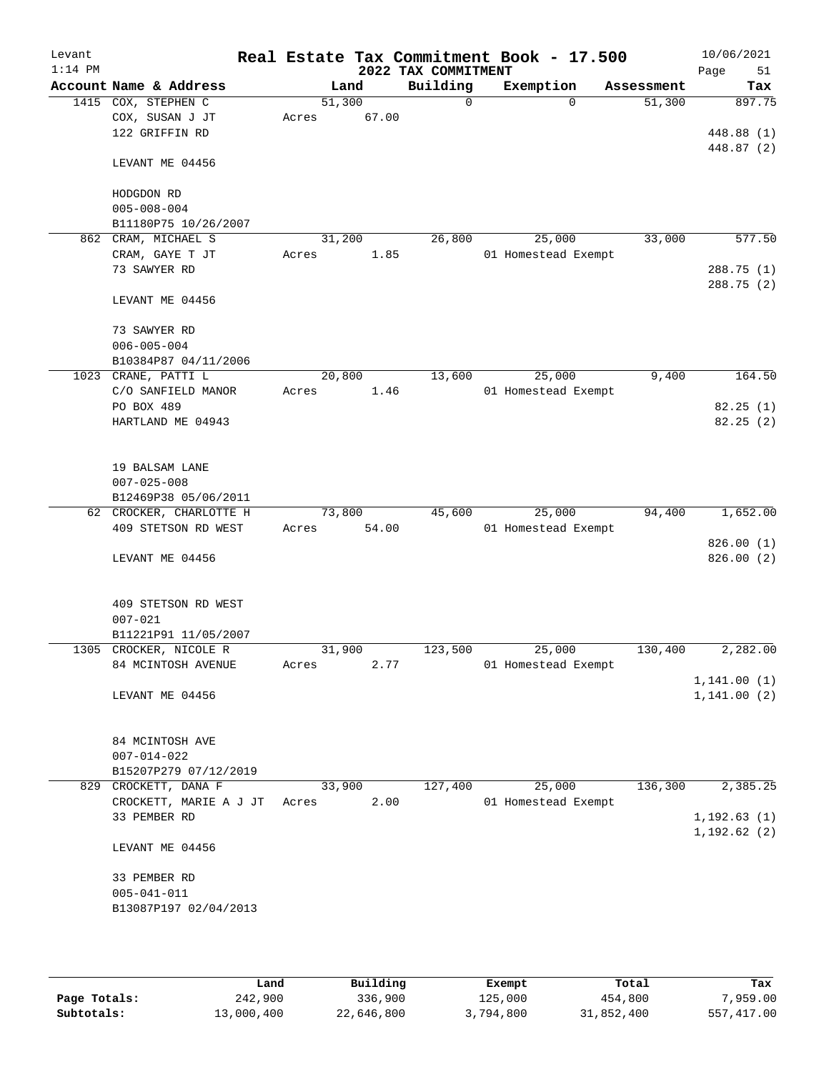| Levant<br>$1:14$ PM |                                              |       |                | 2022 TAX COMMITMENT | Real Estate Tax Commitment Book - 17.500 |            | 10/06/2021<br>Page<br>51 |
|---------------------|----------------------------------------------|-------|----------------|---------------------|------------------------------------------|------------|--------------------------|
|                     | Account Name & Address                       |       | Land           | Building            | Exemption                                | Assessment | Tax                      |
|                     | 1415 COX, STEPHEN C                          |       | 51,300         | $\Omega$            | $\Omega$                                 | 51,300     | 897.75                   |
|                     | COX, SUSAN J JT                              | Acres | 67.00          |                     |                                          |            |                          |
|                     | 122 GRIFFIN RD                               |       |                |                     |                                          |            | 448.88 (1)               |
|                     |                                              |       |                |                     |                                          |            | 448.87 (2)               |
|                     | LEVANT ME 04456                              |       |                |                     |                                          |            |                          |
|                     |                                              |       |                |                     |                                          |            |                          |
|                     | HODGDON RD                                   |       |                |                     |                                          |            |                          |
|                     | $005 - 008 - 004$                            |       |                |                     |                                          |            |                          |
|                     | B11180P75 10/26/2007                         |       |                |                     |                                          |            |                          |
| 862                 | CRAM, MICHAEL S                              |       | 31,200         | 26,800              | 25,000                                   | 33,000     | 577.50                   |
|                     | CRAM, GAYE T JT                              | Acres | 1.85           |                     | 01 Homestead Exempt                      |            |                          |
|                     | 73 SAWYER RD                                 |       |                |                     |                                          |            | 288.75 (1)               |
|                     |                                              |       |                |                     |                                          |            | 288.75 (2)               |
|                     | LEVANT ME 04456                              |       |                |                     |                                          |            |                          |
|                     | 73 SAWYER RD                                 |       |                |                     |                                          |            |                          |
|                     | $006 - 005 - 004$                            |       |                |                     |                                          |            |                          |
|                     | B10384P87 04/11/2006                         |       |                |                     |                                          |            |                          |
|                     | 1023 CRANE, PATTI L                          |       | 20,800         | 13,600              | 25,000                                   | 9,400      | 164.50                   |
|                     | C/O SANFIELD MANOR                           | Acres | 1.46           |                     | 01 Homestead Exempt                      |            |                          |
|                     | PO BOX 489                                   |       |                |                     |                                          |            | 82.25(1)                 |
|                     | HARTLAND ME 04943                            |       |                |                     |                                          |            | 82.25(2)                 |
|                     |                                              |       |                |                     |                                          |            |                          |
|                     |                                              |       |                |                     |                                          |            |                          |
|                     | 19 BALSAM LANE                               |       |                |                     |                                          |            |                          |
|                     | $007 - 025 - 008$                            |       |                |                     |                                          |            |                          |
|                     | B12469P38 05/06/2011                         |       |                |                     |                                          |            |                          |
|                     | 62 CROCKER, CHARLOTTE H                      |       | 73,800         | 45,600              | 25,000                                   | 94,400     | 1,652.00                 |
|                     | 409 STETSON RD WEST                          | Acres | 54.00          |                     | 01 Homestead Exempt                      |            |                          |
|                     |                                              |       |                |                     |                                          |            | 826.00(1)                |
|                     | LEVANT ME 04456                              |       |                |                     |                                          |            | 826.00(2)                |
|                     |                                              |       |                |                     |                                          |            |                          |
|                     |                                              |       |                |                     |                                          |            |                          |
|                     | 409 STETSON RD WEST                          |       |                |                     |                                          |            |                          |
|                     | $007 - 021$                                  |       |                |                     |                                          |            |                          |
|                     | B11221P91 11/05/2007                         |       |                |                     |                                          |            |                          |
|                     | 1305 CROCKER, NICOLE R<br>84 MCINTOSH AVENUE |       | 31,900<br>2.77 | 123,500             | 25,000<br>01 Homestead Exempt            | 130,400    | 2,282.00                 |
|                     |                                              | Acres |                |                     |                                          |            | 1, 141.00(1)             |
|                     | LEVANT ME 04456                              |       |                |                     |                                          |            | 1, 141.00(2)             |
|                     |                                              |       |                |                     |                                          |            |                          |
|                     |                                              |       |                |                     |                                          |            |                          |
|                     | 84 MCINTOSH AVE                              |       |                |                     |                                          |            |                          |
|                     | $007 - 014 - 022$                            |       |                |                     |                                          |            |                          |
|                     | B15207P279 07/12/2019                        |       |                |                     |                                          |            |                          |
|                     | 829 CROCKETT, DANA F                         |       | 33,900         | 127,400             | 25,000                                   | 136,300    | 2,385.25                 |
|                     | CROCKETT, MARIE A J JT                       | Acres | 2.00           |                     | 01 Homestead Exempt                      |            |                          |
|                     | 33 PEMBER RD                                 |       |                |                     |                                          |            | 1, 192.63(1)             |
|                     |                                              |       |                |                     |                                          |            | 1, 192.62(2)             |
|                     | LEVANT ME 04456                              |       |                |                     |                                          |            |                          |
|                     |                                              |       |                |                     |                                          |            |                          |
|                     | 33 PEMBER RD                                 |       |                |                     |                                          |            |                          |
|                     | $005 - 041 - 011$                            |       |                |                     |                                          |            |                          |
|                     | B13087P197 02/04/2013                        |       |                |                     |                                          |            |                          |
|                     |                                              |       |                |                     |                                          |            |                          |
|                     |                                              |       |                |                     |                                          |            |                          |

|              | Land       | Building   | Exempt    | Total      | Tax        |
|--------------|------------|------------|-----------|------------|------------|
| Page Totals: | 242,900    | 336,900    | 125,000   | 454,800    | 7,959.00   |
| Subtotals:   | 13,000,400 | 22,646,800 | 3,794,800 | 31,852,400 | 557,417.00 |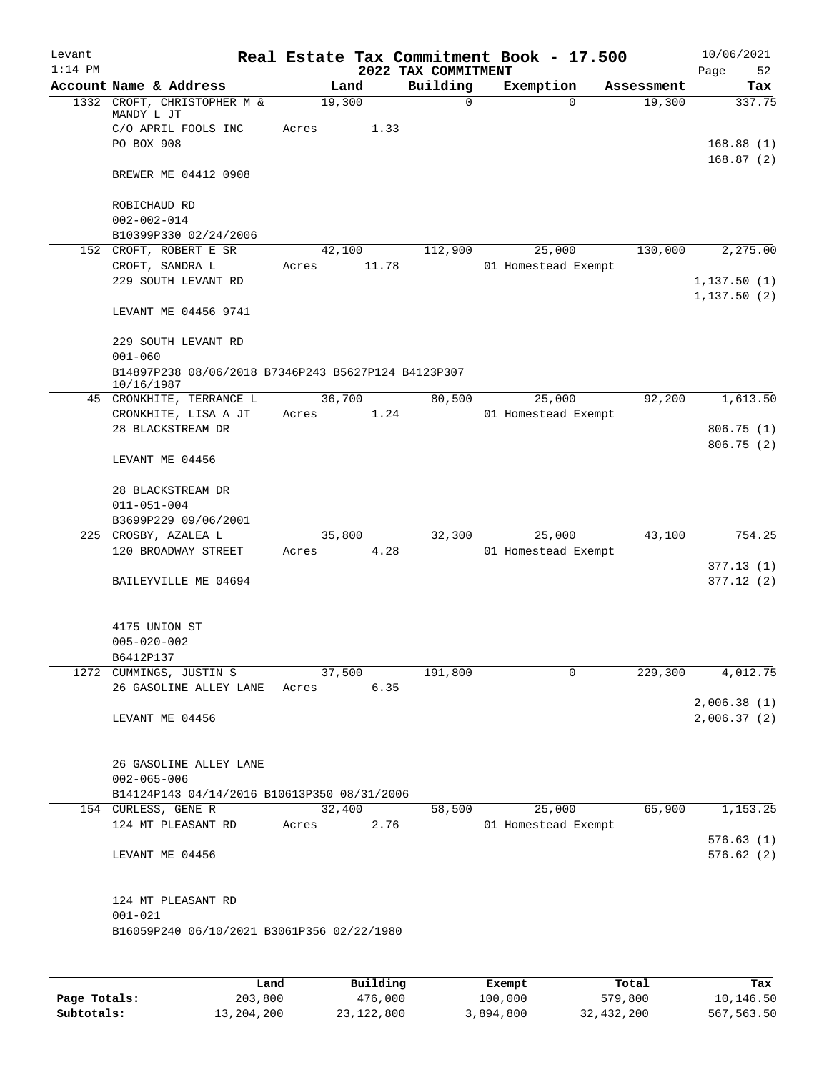| Levant<br>$1:14$ PM |                                                                                 |                 |        | 2022 TAX COMMITMENT | Real Estate Tax Commitment Book - 17.500 |            | 10/06/2021<br>Page<br>52     |
|---------------------|---------------------------------------------------------------------------------|-----------------|--------|---------------------|------------------------------------------|------------|------------------------------|
|                     | Account Name & Address                                                          |                 | Land   | Building            | Exemption                                | Assessment | Tax                          |
|                     | 1332 CROFT, CHRISTOPHER M &<br>MANDY L JT<br>C/O APRIL FOOLS INC                | 19,300<br>Acres | 1.33   | $\Omega$            | $\Omega$                                 | 19,300     | 337.75                       |
|                     | PO BOX 908                                                                      |                 |        |                     |                                          |            | 168.88(1)<br>168.87(2)       |
|                     | BREWER ME 04412 0908                                                            |                 |        |                     |                                          |            |                              |
|                     | ROBICHAUD RD<br>$002 - 002 - 014$                                               |                 |        |                     |                                          |            |                              |
|                     | B10399P330 02/24/2006                                                           |                 |        |                     |                                          |            |                              |
|                     | 152 CROFT, ROBERT E SR                                                          |                 | 42,100 | 112,900             | 25,000                                   | 130,000    | 2,275.00                     |
|                     | CROFT, SANDRA L                                                                 | Acres           | 11.78  |                     | 01 Homestead Exempt                      |            |                              |
|                     | 229 SOUTH LEVANT RD                                                             |                 |        |                     |                                          |            | 1, 137.50(1)<br>1, 137.50(2) |
|                     | LEVANT ME 04456 9741                                                            |                 |        |                     |                                          |            |                              |
|                     | 229 SOUTH LEVANT RD<br>$001 - 060$                                              |                 |        |                     |                                          |            |                              |
|                     | B14897P238 08/06/2018 B7346P243 B5627P124 B4123P307<br>10/16/1987               |                 |        |                     |                                          |            |                              |
|                     | 45 CRONKHITE, TERRANCE L<br>CRONKHITE, LISA A JT                                | 36,700<br>Acres | 1.24   | 80,500              | 25,000<br>01 Homestead Exempt            | 92,200     | 1,613.50                     |
|                     | 28 BLACKSTREAM DR                                                               |                 |        |                     |                                          |            | 806.75 (1)<br>806.75 (2)     |
|                     | LEVANT ME 04456                                                                 |                 |        |                     |                                          |            |                              |
|                     | 28 BLACKSTREAM DR                                                               |                 |        |                     |                                          |            |                              |
|                     | $011 - 051 - 004$                                                               |                 |        |                     |                                          |            |                              |
|                     | B3699P229 09/06/2001                                                            |                 |        |                     |                                          |            |                              |
|                     | 225 CROSBY, AZALEA L                                                            |                 | 35,800 | 32,300              | 25,000                                   | 43,100     | 754.25                       |
|                     | 120 BROADWAY STREET                                                             | Acres           | 4.28   |                     | 01 Homestead Exempt                      |            | 377.13(1)                    |
|                     | BAILEYVILLE ME 04694                                                            |                 |        |                     |                                          |            | 377.12(2)                    |
|                     | 4175 UNION ST                                                                   |                 |        |                     |                                          |            |                              |
|                     | $005 - 020 - 002$                                                               |                 |        |                     |                                          |            |                              |
|                     | B6412P137<br>1272 CUMMINGS, JUSTIN S                                            | 37,500          |        | 191,800             | 0                                        | 229,300    | 4,012.75                     |
|                     | 26 GASOLINE ALLEY LANE                                                          | Acres           | 6.35   |                     |                                          |            | 2,006.38(1)                  |
|                     | LEVANT ME 04456                                                                 |                 |        |                     |                                          |            | 2,006.37(2)                  |
|                     | 26 GASOLINE ALLEY LANE                                                          |                 |        |                     |                                          |            |                              |
|                     | $002 - 065 - 006$                                                               |                 |        |                     |                                          |            |                              |
|                     | B14124P143 04/14/2016 B10613P350 08/31/2006                                     |                 |        |                     |                                          |            |                              |
|                     | 154 CURLESS, GENE R                                                             | 32,400          |        | 58,500              | 25,000                                   | 65,900     | 1,153.25                     |
|                     | 124 MT PLEASANT RD                                                              | Acres           | 2.76   |                     | 01 Homestead Exempt                      |            | 576.63(1)                    |
|                     | LEVANT ME 04456                                                                 |                 |        |                     |                                          |            | 576.62(2)                    |
|                     | 124 MT PLEASANT RD<br>$001 - 021$<br>B16059P240 06/10/2021 B3061P356 02/22/1980 |                 |        |                     |                                          |            |                              |
|                     |                                                                                 |                 |        |                     |                                          |            |                              |
|                     |                                                                                 |                 |        |                     |                                          |            |                              |

|              | Land       | Building   | Exempt    | Total      | Tax        |
|--------------|------------|------------|-----------|------------|------------|
| Page Totals: | 203,800    | 476,000    | 100,000   | 579,800    | 10,146.50  |
| Subtotals:   | 13,204,200 | 23,122,800 | 3,894,800 | 32,432,200 | 567,563.50 |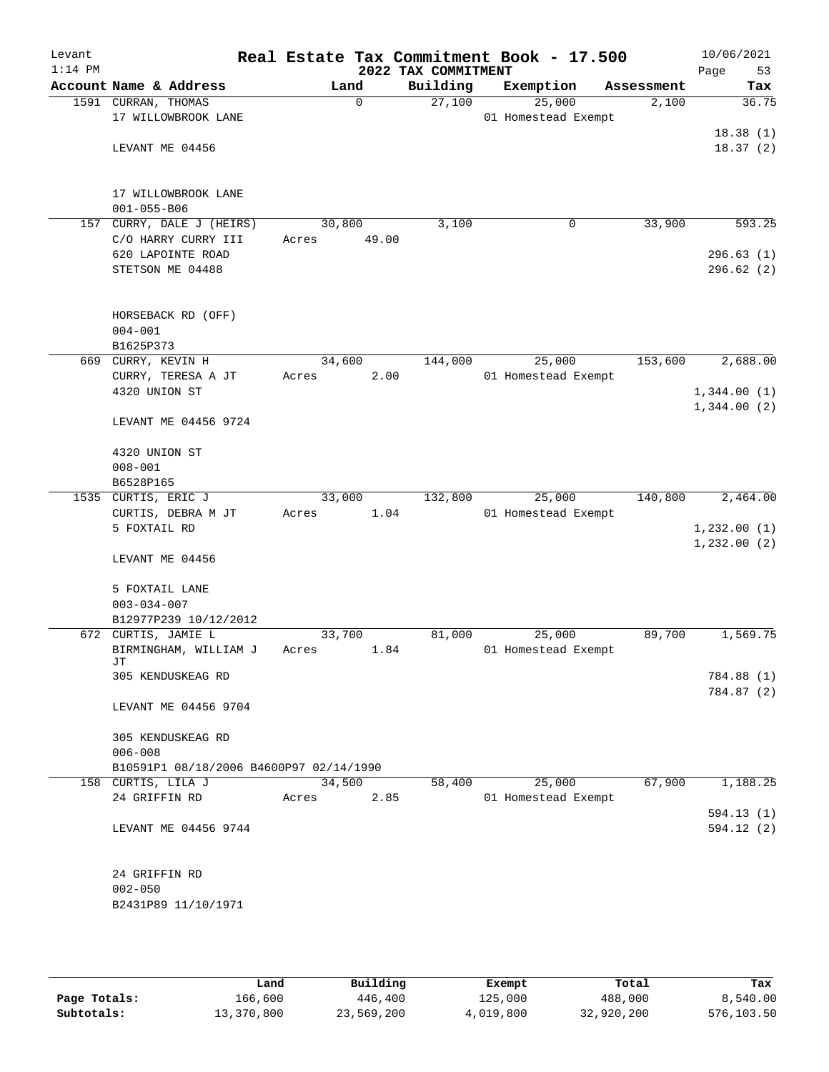| Levant<br>$1:14$ PM |                                                    |                 |          | 2022 TAX COMMITMENT | Real Estate Tax Commitment Book - 17.500 |            | 10/06/2021<br>53<br>Page |
|---------------------|----------------------------------------------------|-----------------|----------|---------------------|------------------------------------------|------------|--------------------------|
|                     | Account Name & Address                             |                 | Land     | Building            | Exemption                                | Assessment | Tax                      |
|                     | 1591 CURRAN, THOMAS<br>17 WILLOWBROOK LANE         |                 | $\Omega$ | 27,100              | 25,000<br>01 Homestead Exempt            | 2,100      | 36.75                    |
|                     | LEVANT ME 04456                                    |                 |          |                     |                                          |            | 18.38(1)<br>18.37(2)     |
|                     | 17 WILLOWBROOK LANE<br>$001 - 055 - B06$           |                 |          |                     |                                          |            |                          |
|                     | 157 CURRY, DALE J (HEIRS)                          | 30,800          |          | 3,100               | 0                                        | 33,900     | 593.25                   |
|                     | C/O HARRY CURRY III                                | Acres           | 49.00    |                     |                                          |            |                          |
|                     | 620 LAPOINTE ROAD                                  |                 |          |                     |                                          |            | 296.63(1)                |
|                     | STETSON ME 04488                                   |                 |          |                     |                                          |            | 296.62(2)                |
|                     | HORSEBACK RD (OFF)<br>$004 - 001$                  |                 |          |                     |                                          |            |                          |
|                     | B1625P373                                          |                 |          |                     |                                          |            |                          |
|                     | 669 CURRY, KEVIN H                                 | 34,600          |          | 144,000             | 25,000                                   | 153,600    | 2,688.00                 |
|                     | CURRY, TERESA A JT                                 | Acres           | 2.00     |                     | 01 Homestead Exempt                      |            |                          |
|                     | 4320 UNION ST                                      |                 |          |                     |                                          |            | 1,344.00(1)              |
|                     | LEVANT ME 04456 9724                               |                 |          |                     |                                          |            | 1,344.00(2)              |
|                     | 4320 UNION ST<br>$008 - 001$                       |                 |          |                     |                                          |            |                          |
|                     | B6528P165                                          |                 |          |                     |                                          |            |                          |
|                     | 1535 CURTIS, ERIC J                                | 33,000          |          | 132,800             | 25,000                                   | 140,800    | 2,464.00                 |
|                     | CURTIS, DEBRA M JT                                 | Acres           | 1.04     |                     | 01 Homestead Exempt                      |            |                          |
|                     | 5 FOXTAIL RD                                       |                 |          |                     |                                          |            | 1,232.00(1)              |
|                     | LEVANT ME 04456                                    |                 |          |                     |                                          |            | 1,232.00(2)              |
|                     | 5 FOXTAIL LANE                                     |                 |          |                     |                                          |            |                          |
|                     | $003 - 034 - 007$                                  |                 |          |                     |                                          |            |                          |
|                     | B12977P239 10/12/2012                              |                 |          |                     |                                          |            |                          |
|                     | 672 CURTIS, JAMIE L<br>BIRMINGHAM, WILLIAM J<br>JТ | 33,700<br>Acres | 1.84     | 81,000              | 25,000<br>01 Homestead Exempt            | 89,700     | 1,569.75                 |
|                     | 305 KENDUSKEAG RD                                  |                 |          |                     |                                          |            | 784.88 (1)<br>784.87 (2) |
|                     | LEVANT ME 04456 9704                               |                 |          |                     |                                          |            |                          |
|                     | 305 KENDUSKEAG RD<br>$006 - 008$                   |                 |          |                     |                                          |            |                          |
|                     | B10591P1 08/18/2006 B4600P97 02/14/1990            |                 |          |                     |                                          |            |                          |
|                     | 158 CURTIS, LILA J                                 | 34,500          |          | 58,400              | 25,000                                   | 67,900     | 1,188.25                 |
|                     | 24 GRIFFIN RD                                      | Acres           | 2.85     |                     | 01 Homestead Exempt                      |            |                          |
|                     | LEVANT ME 04456 9744                               |                 |          |                     |                                          |            | 594.13(1)<br>594.12(2)   |
|                     | 24 GRIFFIN RD                                      |                 |          |                     |                                          |            |                          |
|                     | $002 - 050$                                        |                 |          |                     |                                          |            |                          |
|                     | B2431P89 11/10/1971                                |                 |          |                     |                                          |            |                          |
|                     |                                                    |                 |          |                     |                                          |            |                          |

|              | Land       | Building   | Exempt    | Total      | Tax        |
|--------------|------------|------------|-----------|------------|------------|
| Page Totals: | 166,600    | 446,400    | 125,000   | 488,000    | 8,540.00   |
| Subtotals:   | 13,370,800 | 23,569,200 | 4,019,800 | 32,920,200 | 576,103.50 |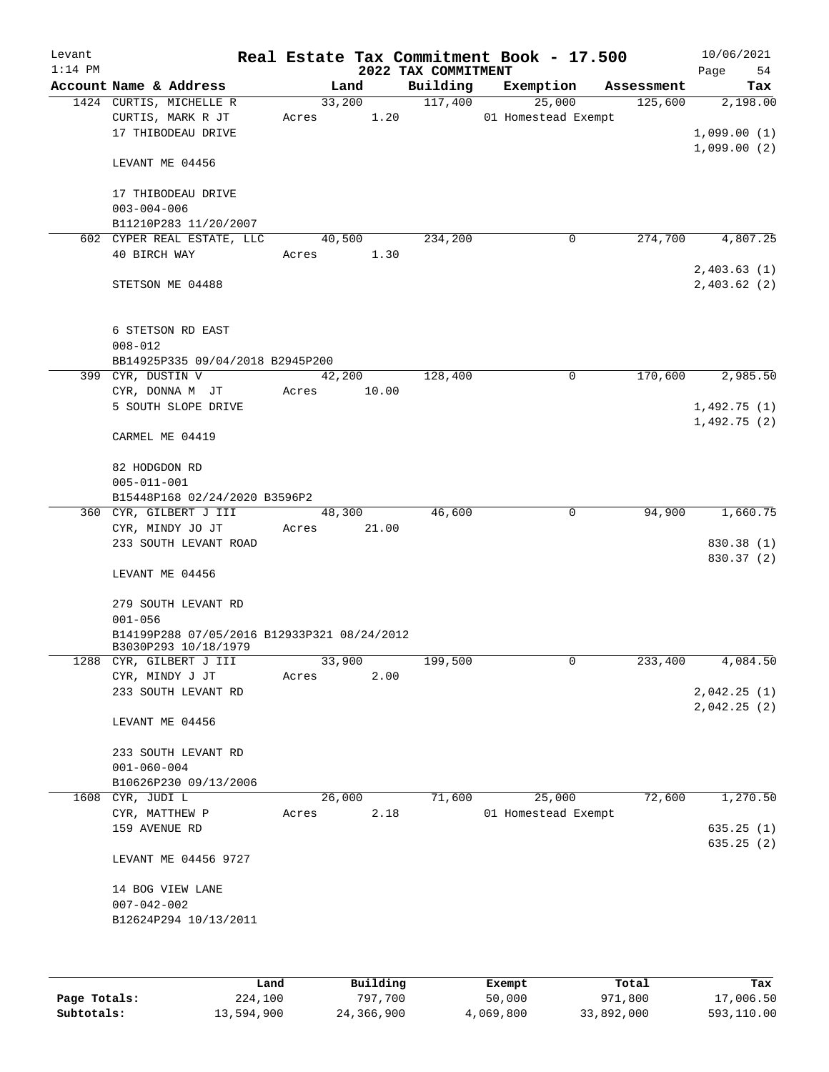| Levant<br>$1:14$ PM |                                                                    |                         | 2022 TAX COMMITMENT | Real Estate Tax Commitment Book - 17.500 |            | 10/06/2021<br>Page<br>54               |
|---------------------|--------------------------------------------------------------------|-------------------------|---------------------|------------------------------------------|------------|----------------------------------------|
|                     | Account Name & Address                                             | Land                    | Building            | Exemption                                | Assessment | Tax                                    |
|                     | 1424 CURTIS, MICHELLE R<br>CURTIS, MARK R JT<br>17 THIBODEAU DRIVE | 33,200<br>1.20<br>Acres | 117,400             | 25,000<br>01 Homestead Exempt            | 125,600    | 2,198.00<br>1,099.00(1)<br>1,099.00(2) |
|                     | LEVANT ME 04456                                                    |                         |                     |                                          |            |                                        |
|                     | 17 THIBODEAU DRIVE<br>$003 - 004 - 006$<br>B11210P283 11/20/2007   |                         |                     |                                          |            |                                        |
|                     | 602 CYPER REAL ESTATE, LLC                                         | 40,500                  | 234,200             | 0                                        | 274,700    | 4,807.25                               |
|                     | 40 BIRCH WAY                                                       | 1.30<br>Acres           |                     |                                          |            | 2,403.63(1)                            |
|                     | STETSON ME 04488                                                   |                         |                     |                                          |            | 2,403.62(2)                            |
|                     | 6 STETSON RD EAST<br>$008 - 012$                                   |                         |                     |                                          |            |                                        |
|                     | BB14925P335 09/04/2018 B2945P200                                   |                         |                     |                                          |            |                                        |
|                     | 399 CYR, DUSTIN V                                                  | 42,200                  | 128,400             | 0                                        | 170,600    | 2,985.50                               |
|                     | CYR, DONNA M JT<br>5 SOUTH SLOPE DRIVE                             | 10.00<br>Acres          |                     |                                          |            | 1,492.75(1)                            |
|                     | CARMEL ME 04419                                                    |                         |                     |                                          |            | 1,492.75(2)                            |
|                     | 82 HODGDON RD                                                      |                         |                     |                                          |            |                                        |
|                     | $005 - 011 - 001$                                                  |                         |                     |                                          |            |                                        |
|                     | B15448P168 02/24/2020 B3596P2                                      |                         |                     |                                          |            |                                        |
|                     | 360 CYR, GILBERT J III                                             | 48,300                  | 46,600              | $\mathbf 0$                              | 94,900     | 1,660.75                               |
|                     | CYR, MINDY JO JT<br>233 SOUTH LEVANT ROAD                          | Acres<br>21.00          |                     |                                          |            | 830.38 (1)                             |
|                     | LEVANT ME 04456                                                    |                         |                     |                                          |            | 830.37 (2)                             |
|                     | 279 SOUTH LEVANT RD<br>$001 - 056$                                 |                         |                     |                                          |            |                                        |
|                     | B14199P288 07/05/2016 B12933P321 08/24/2012                        |                         |                     |                                          |            |                                        |
|                     | B3030P293 10/18/1979                                               |                         |                     |                                          |            |                                        |
|                     | 1288 CYR, GILBERT J III                                            | 33,900                  | 199,500             | $\mathbf 0$                              | 233,400    | 4,084.50                               |
|                     | CYR, MINDY J JT                                                    | 2.00<br>Acres           |                     |                                          |            | 2,042.25(1)                            |
|                     | 233 SOUTH LEVANT RD                                                |                         |                     |                                          |            | 2,042.25 (2)                           |
|                     | LEVANT ME 04456                                                    |                         |                     |                                          |            |                                        |
|                     | 233 SOUTH LEVANT RD                                                |                         |                     |                                          |            |                                        |
|                     | $001 - 060 - 004$                                                  |                         |                     |                                          |            |                                        |
|                     | B10626P230 09/13/2006                                              |                         |                     | 25,000                                   | 72,600     | 1,270.50                               |
| 1608                | CYR, JUDI L<br>CYR, MATTHEW P                                      | 26,000<br>2.18<br>Acres | 71,600              | 01 Homestead Exempt                      |            |                                        |
|                     | 159 AVENUE RD                                                      |                         |                     |                                          |            | 635.25(1)                              |
|                     | LEVANT ME 04456 9727                                               |                         |                     |                                          |            | 635.25(2)                              |
|                     | 14 BOG VIEW LANE                                                   |                         |                     |                                          |            |                                        |
|                     | $007 - 042 - 002$                                                  |                         |                     |                                          |            |                                        |
|                     | B12624P294 10/13/2011                                              |                         |                     |                                          |            |                                        |
|                     |                                                                    |                         |                     |                                          |            |                                        |
|                     |                                                                    |                         |                     |                                          |            |                                        |

|              | Land       | Building   | Exempt    | Total      | Tax        |
|--------------|------------|------------|-----------|------------|------------|
| Page Totals: | 224,100    | 797.700    | 50,000    | 971,800    | 17,006.50  |
| Subtotals:   | 13,594,900 | 24,366,900 | 4,069,800 | 33,892,000 | 593,110.00 |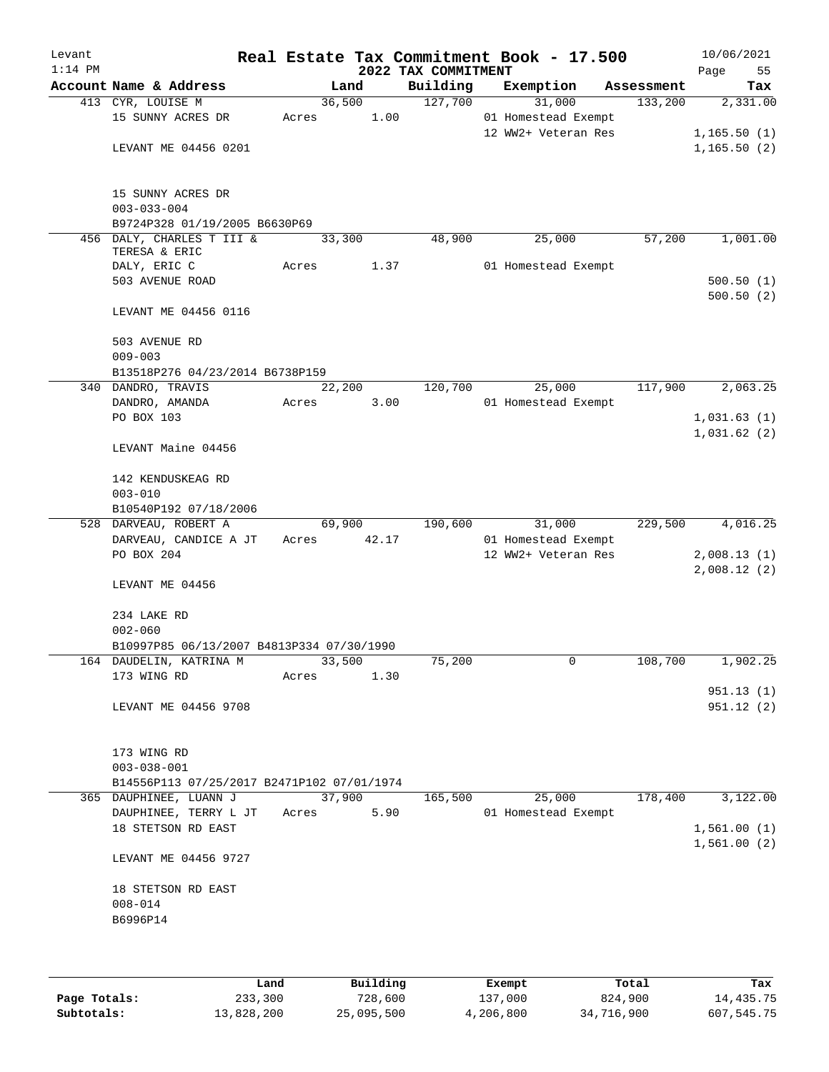| Levant<br>$1:14$ PM |                                                                      |                 |        | 2022 TAX COMMITMENT | Real Estate Tax Commitment Book - 17.500   |            | 10/06/2021<br>Page<br>55 |
|---------------------|----------------------------------------------------------------------|-----------------|--------|---------------------|--------------------------------------------|------------|--------------------------|
|                     | Account Name & Address                                               |                 | Land   | Building            | Exemption                                  | Assessment | Tax                      |
|                     | 413 CYR, LOUISE M                                                    | 36,500          |        | 127,700             | 31,000                                     | 133,200    | 2,331.00                 |
|                     | 15 SUNNY ACRES DR                                                    | Acres           | 1.00   |                     | 01 Homestead Exempt                        |            |                          |
|                     |                                                                      |                 |        |                     | 12 WW2+ Veteran Res                        |            | 1,165.50(1)              |
|                     | LEVANT ME 04456 0201                                                 |                 |        |                     |                                            |            | 1, 165.50(2)             |
|                     | 15 SUNNY ACRES DR                                                    |                 |        |                     |                                            |            |                          |
|                     | $003 - 033 - 004$                                                    |                 |        |                     |                                            |            |                          |
|                     | B9724P328 01/19/2005 B6630P69                                        |                 |        |                     |                                            |            |                          |
|                     | 456 DALY, CHARLES T III &<br>TERESA & ERIC                           | 33,300          |        | 48,900              | 25,000                                     | 57,200     | 1,001.00                 |
|                     | DALY, ERIC C                                                         | Acres           | 1.37   |                     | 01 Homestead Exempt                        |            |                          |
|                     | 503 AVENUE ROAD                                                      |                 |        |                     |                                            |            | 500.50(1)                |
|                     | LEVANT ME 04456 0116                                                 |                 |        |                     |                                            |            | 500.50(2)                |
|                     | 503 AVENUE RD                                                        |                 |        |                     |                                            |            |                          |
|                     | $009 - 003$                                                          |                 |        |                     |                                            |            |                          |
|                     | B13518P276 04/23/2014 B6738P159                                      |                 |        |                     |                                            |            |                          |
| 340                 | DANDRO, TRAVIS<br>DANDRO, AMANDA                                     | 22,200<br>Acres | 3.00   | 120,700             | 25,000<br>01 Homestead Exempt              | 117,900    | 2,063.25                 |
|                     | PO BOX 103                                                           |                 |        |                     |                                            |            | 1,031.63(1)              |
|                     |                                                                      |                 |        |                     |                                            |            | 1,031.62(2)              |
|                     | LEVANT Maine 04456                                                   |                 |        |                     |                                            |            |                          |
|                     | 142 KENDUSKEAG RD                                                    |                 |        |                     |                                            |            |                          |
|                     | $003 - 010$                                                          |                 |        |                     |                                            |            |                          |
|                     | B10540P192 07/18/2006                                                |                 |        |                     |                                            |            |                          |
|                     | 528 DARVEAU, ROBERT A                                                | 69,900          |        | 190,600             | 31,000                                     | 229,500    | 4,016.25                 |
|                     | DARVEAU, CANDICE A JT<br>PO BOX 204                                  | Acres           | 42.17  |                     | 01 Homestead Exempt<br>12 WW2+ Veteran Res |            | 2,008.13(1)              |
|                     |                                                                      |                 |        |                     |                                            |            | 2,008.12(2)              |
|                     | LEVANT ME 04456                                                      |                 |        |                     |                                            |            |                          |
|                     | 234 LAKE RD                                                          |                 |        |                     |                                            |            |                          |
|                     | $002 - 060$                                                          |                 |        |                     |                                            |            |                          |
|                     | B10997P85 06/13/2007 B4813P334 07/30/1990                            |                 |        |                     |                                            |            |                          |
|                     | 164 DAUDELIN, KATRINA M<br>173 WING RD                               | 33,500<br>Acres | 1.30   | 75,200              | $\overline{0}$                             | 108,700    | 1,902.25                 |
|                     |                                                                      |                 |        |                     |                                            |            | 951.13(1)                |
|                     | LEVANT ME 04456 9708                                                 |                 |        |                     |                                            |            | 951.12(2)                |
|                     |                                                                      |                 |        |                     |                                            |            |                          |
|                     | 173 WING RD                                                          |                 |        |                     |                                            |            |                          |
|                     | $003 - 038 - 001$                                                    |                 |        |                     |                                            |            |                          |
|                     | B14556P113 07/25/2017 B2471P102 07/01/1974<br>365 DAUPHINEE, LUANN J |                 | 37,900 | 165,500             | 25,000                                     | 178,400    | 3,122.00                 |
|                     | DAUPHINEE, TERRY L JT                                                | Acres           | 5.90   |                     | 01 Homestead Exempt                        |            |                          |
|                     | 18 STETSON RD EAST                                                   |                 |        |                     |                                            |            | 1,561.00(1)              |
|                     | LEVANT ME 04456 9727                                                 |                 |        |                     |                                            |            | 1,561.00(2)              |
|                     | 18 STETSON RD EAST                                                   |                 |        |                     |                                            |            |                          |
|                     | $008 - 014$                                                          |                 |        |                     |                                            |            |                          |
|                     | B6996P14                                                             |                 |        |                     |                                            |            |                          |
|                     |                                                                      |                 |        |                     |                                            |            |                          |
|                     |                                                                      |                 |        |                     |                                            |            |                          |

|              | Land       | Building   | Exempt    | Total      | Tax        |
|--------------|------------|------------|-----------|------------|------------|
| Page Totals: | 233,300    | 728,600    | 137,000   | 824,900    | 14,435.75  |
| Subtotals:   | 13,828,200 | 25,095,500 | 4,206,800 | 34,716,900 | 607,545.75 |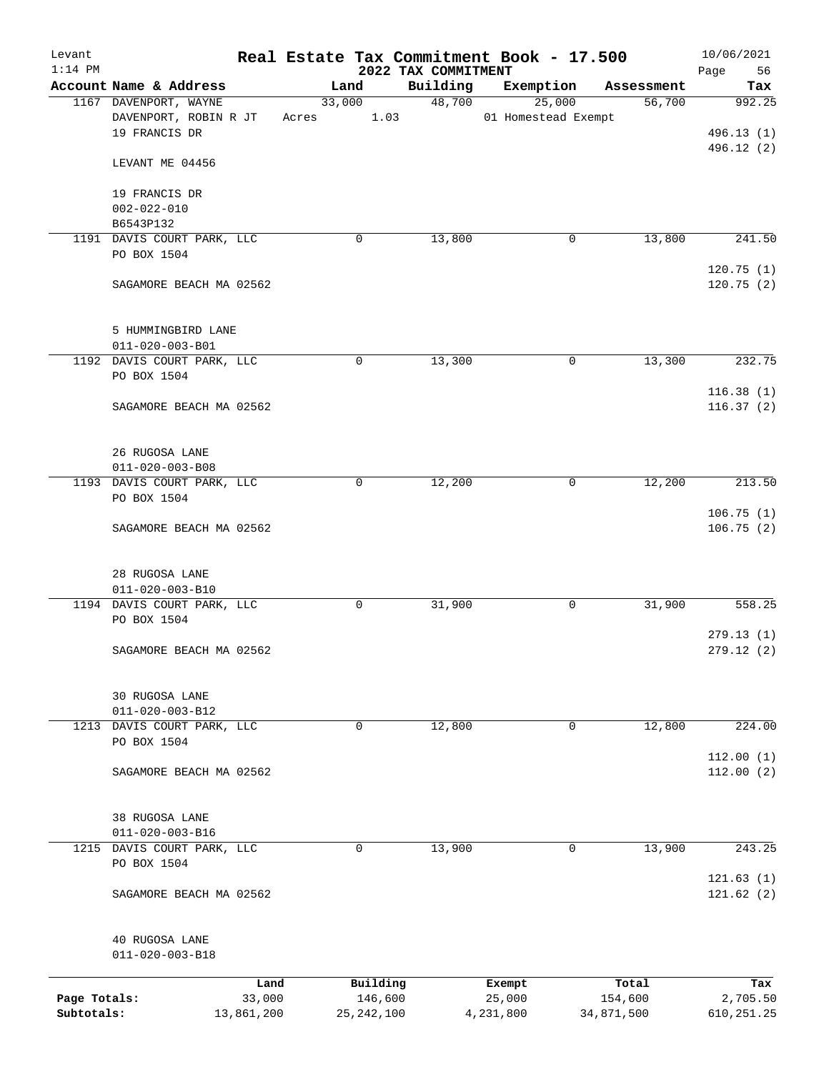| Levant       |                                           |            |        |              |                                 | Real Estate Tax Commitment Book - 17.500 |            | 10/06/2021        |
|--------------|-------------------------------------------|------------|--------|--------------|---------------------------------|------------------------------------------|------------|-------------------|
| $1:14$ PM    | Account Name & Address                    |            |        | Land         | 2022 TAX COMMITMENT<br>Building | Exemption                                | Assessment | Page<br>56<br>Tax |
|              | 1167 DAVENPORT, WAYNE                     |            | 33,000 |              | 48,700                          | 25,000                                   | 56,700     | 992.25            |
|              | DAVENPORT, ROBIN R JT                     |            | Acres  | 1.03         |                                 | 01 Homestead Exempt                      |            |                   |
|              | 19 FRANCIS DR                             |            |        |              |                                 |                                          |            | 496.13 (1)        |
|              |                                           |            |        |              |                                 |                                          |            | 496.12 (2)        |
|              | LEVANT ME 04456                           |            |        |              |                                 |                                          |            |                   |
|              |                                           |            |        |              |                                 |                                          |            |                   |
|              | 19 FRANCIS DR<br>$002 - 022 - 010$        |            |        |              |                                 |                                          |            |                   |
|              | B6543P132                                 |            |        |              |                                 |                                          |            |                   |
|              | 1191 DAVIS COURT PARK, LLC                |            |        | 0            | 13,800                          | 0                                        | 13,800     | 241.50            |
|              | PO BOX 1504                               |            |        |              |                                 |                                          |            |                   |
|              |                                           |            |        |              |                                 |                                          |            | 120.75(1)         |
|              | SAGAMORE BEACH MA 02562                   |            |        |              |                                 |                                          |            | 120.75(2)         |
|              |                                           |            |        |              |                                 |                                          |            |                   |
|              |                                           |            |        |              |                                 |                                          |            |                   |
|              | 5 HUMMINGBIRD LANE                        |            |        |              |                                 |                                          |            |                   |
|              | 011-020-003-B01                           |            |        |              |                                 |                                          |            |                   |
|              | 1192 DAVIS COURT PARK, LLC<br>PO BOX 1504 |            |        | 0            | 13,300                          | 0                                        | 13,300     | 232.75            |
|              |                                           |            |        |              |                                 |                                          |            | 116.38(1)         |
|              | SAGAMORE BEACH MA 02562                   |            |        |              |                                 |                                          |            | 116.37(2)         |
|              |                                           |            |        |              |                                 |                                          |            |                   |
|              |                                           |            |        |              |                                 |                                          |            |                   |
|              | 26 RUGOSA LANE                            |            |        |              |                                 |                                          |            |                   |
|              | $011 - 020 - 003 - B08$                   |            |        |              |                                 |                                          |            |                   |
|              | 1193 DAVIS COURT PARK, LLC                |            |        | $\mathbf 0$  | 12,200                          | 0                                        | 12,200     | 213.50            |
|              | PO BOX 1504                               |            |        |              |                                 |                                          |            |                   |
|              |                                           |            |        |              |                                 |                                          |            | 106.75(1)         |
|              | SAGAMORE BEACH MA 02562                   |            |        |              |                                 |                                          |            | 106.75(2)         |
|              |                                           |            |        |              |                                 |                                          |            |                   |
|              | 28 RUGOSA LANE                            |            |        |              |                                 |                                          |            |                   |
|              | 011-020-003-B10                           |            |        |              |                                 |                                          |            |                   |
|              | 1194 DAVIS COURT PARK, LLC                |            |        | 0            | 31,900                          | 0                                        | 31,900     | 558.25            |
|              | PO BOX 1504                               |            |        |              |                                 |                                          |            |                   |
|              |                                           |            |        |              |                                 |                                          |            | 279.13(1)         |
|              | SAGAMORE BEACH MA 02562                   |            |        |              |                                 |                                          |            | 279.12(2)         |
|              |                                           |            |        |              |                                 |                                          |            |                   |
|              | 30 RUGOSA LANE                            |            |        |              |                                 |                                          |            |                   |
|              | $011 - 020 - 003 - B12$                   |            |        |              |                                 |                                          |            |                   |
| 1213         | DAVIS COURT PARK, LLC                     |            |        | 0            | 12,800                          | 0                                        | 12,800     | 224.00            |
|              | PO BOX 1504                               |            |        |              |                                 |                                          |            |                   |
|              |                                           |            |        |              |                                 |                                          |            | 112.00(1)         |
|              | SAGAMORE BEACH MA 02562                   |            |        |              |                                 |                                          |            | 112.00(2)         |
|              |                                           |            |        |              |                                 |                                          |            |                   |
|              | 38 RUGOSA LANE                            |            |        |              |                                 |                                          |            |                   |
|              | $011 - 020 - 003 - B16$                   |            |        |              |                                 |                                          |            |                   |
| 1215         | DAVIS COURT PARK, LLC                     |            |        | 0            | 13,900                          | 0                                        | 13,900     | 243.25            |
|              | PO BOX 1504                               |            |        |              |                                 |                                          |            |                   |
|              |                                           |            |        |              |                                 |                                          |            | 121.63(1)         |
|              | SAGAMORE BEACH MA 02562                   |            |        |              |                                 |                                          |            | 121.62(2)         |
|              |                                           |            |        |              |                                 |                                          |            |                   |
|              |                                           |            |        |              |                                 |                                          |            |                   |
|              | 40 RUGOSA LANE<br>$011 - 020 - 003 - B18$ |            |        |              |                                 |                                          |            |                   |
|              |                                           |            |        |              |                                 |                                          |            |                   |
|              |                                           | Land       |        | Building     |                                 | Exempt                                   | Total      | Tax               |
| Page Totals: |                                           | 33,000     |        | 146,600      |                                 | 25,000                                   | 154,600    | 2,705.50          |
| Subtotals:   |                                           | 13,861,200 |        | 25, 242, 100 |                                 | 4,231,800                                | 34,871,500 | 610, 251.25       |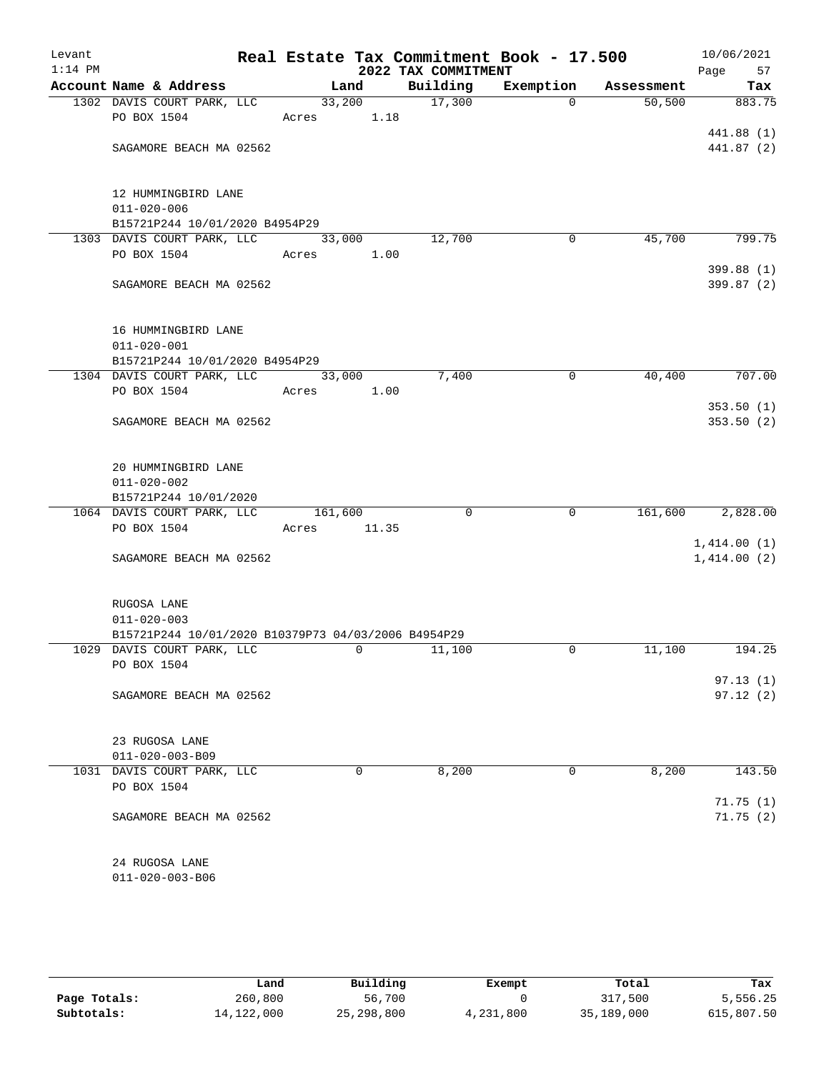| Levant<br>$1:14$ PM |                                                     | Real Estate Tax Commitment Book - 17.500 | 2022 TAX COMMITMENT |             |            | 10/06/2021<br>Page<br>57 |
|---------------------|-----------------------------------------------------|------------------------------------------|---------------------|-------------|------------|--------------------------|
|                     | Account Name & Address                              | Land                                     | Building            | Exemption   | Assessment | Tax                      |
|                     | 1302 DAVIS COURT PARK, LLC                          | 33,200                                   | 17,300              | $\Omega$    | 50, 500    | 883.75                   |
|                     | PO BOX 1504                                         | Acres 1.18                               |                     |             |            |                          |
|                     |                                                     |                                          |                     |             |            | 441.88 (1)               |
|                     | SAGAMORE BEACH MA 02562                             |                                          |                     |             |            | 441.87 (2)               |
|                     |                                                     |                                          |                     |             |            |                          |
|                     | 12 HUMMINGBIRD LANE                                 |                                          |                     |             |            |                          |
|                     | $011 - 020 - 006$                                   |                                          |                     |             |            |                          |
|                     | B15721P244 10/01/2020 B4954P29                      |                                          |                     |             |            | 799.75                   |
|                     | 1303 DAVIS COURT PARK, LLC<br>PO BOX 1504           | 33,000                                   | 12,700              | 0           | 45,700     |                          |
|                     |                                                     | Acres 1.00                               |                     |             |            | 399.88 (1)               |
|                     | SAGAMORE BEACH MA 02562                             |                                          |                     |             |            | 399.87 (2)               |
|                     |                                                     |                                          |                     |             |            |                          |
|                     | 16 HUMMINGBIRD LANE                                 |                                          |                     |             |            |                          |
|                     | $011 - 020 - 001$                                   |                                          |                     |             |            |                          |
|                     | B15721P244 10/01/2020 B4954P29                      |                                          |                     |             |            |                          |
|                     | 1304 DAVIS COURT PARK, LLC 33,000                   |                                          | 7,400               | 0           | 40,400     | 707.00                   |
|                     | PO BOX 1504                                         | 1.00<br>Acres                            |                     |             |            |                          |
|                     |                                                     |                                          |                     |             |            | 353.50(1)                |
|                     | SAGAMORE BEACH MA 02562                             |                                          |                     |             |            | 353.50(2)                |
|                     |                                                     |                                          |                     |             |            |                          |
|                     |                                                     |                                          |                     |             |            |                          |
|                     | 20 HUMMINGBIRD LANE                                 |                                          |                     |             |            |                          |
|                     | $011 - 020 - 002$                                   |                                          |                     |             |            |                          |
|                     | B15721P244 10/01/2020                               |                                          |                     |             |            |                          |
|                     | 1064 DAVIS COURT PARK, LLC<br>PO BOX 1504           | 161,600<br>Acres<br>11.35                | $\Omega$            | $\mathbf 0$ | 161,600    | 2,828.00                 |
|                     |                                                     |                                          |                     |             |            | 1,414.00(1)              |
|                     | SAGAMORE BEACH MA 02562                             |                                          |                     |             |            | 1,414.00(2)              |
|                     |                                                     |                                          |                     |             |            |                          |
|                     | RUGOSA LANE                                         |                                          |                     |             |            |                          |
|                     | $011 - 020 - 003$                                   |                                          |                     |             |            |                          |
|                     | B15721P244 10/01/2020 B10379P73 04/03/2006 B4954P29 |                                          |                     |             |            |                          |
|                     | 1029 DAVIS COURT PARK, LLC                          | $\mathbf 0$                              | 11,100              | 0           | 11,100     | 194.25                   |
|                     | PO BOX 1504                                         |                                          |                     |             |            |                          |
|                     |                                                     |                                          |                     |             |            | 97.13(1)                 |
|                     | SAGAMORE BEACH MA 02562                             |                                          |                     |             |            | 97.12(2)                 |
|                     |                                                     |                                          |                     |             |            |                          |
|                     | 23 RUGOSA LANE                                      |                                          |                     |             |            |                          |
|                     | $011 - 020 - 003 - B09$                             |                                          |                     |             |            |                          |
|                     | 1031 DAVIS COURT PARK, LLC                          | 0                                        | 8,200               | 0           | 8,200      | 143.50                   |
|                     | PO BOX 1504                                         |                                          |                     |             |            |                          |
|                     |                                                     |                                          |                     |             |            | 71.75(1)                 |
|                     | SAGAMORE BEACH MA 02562                             |                                          |                     |             |            | 71.75(2)                 |
|                     |                                                     |                                          |                     |             |            |                          |
|                     |                                                     |                                          |                     |             |            |                          |
|                     | 24 RUGOSA LANE                                      |                                          |                     |             |            |                          |
|                     | $011 - 020 - 003 - B06$                             |                                          |                     |             |            |                          |

|              | Land         | Building     | Exempt    | Total      | Tax        |
|--------------|--------------|--------------|-----------|------------|------------|
| Page Totals: | 260,800      | 56,700       |           | 317,500    | 5,556.25   |
| Subtotals:   | 14, 122, 000 | 25, 298, 800 | 4,231,800 | 35,189,000 | 615,807.50 |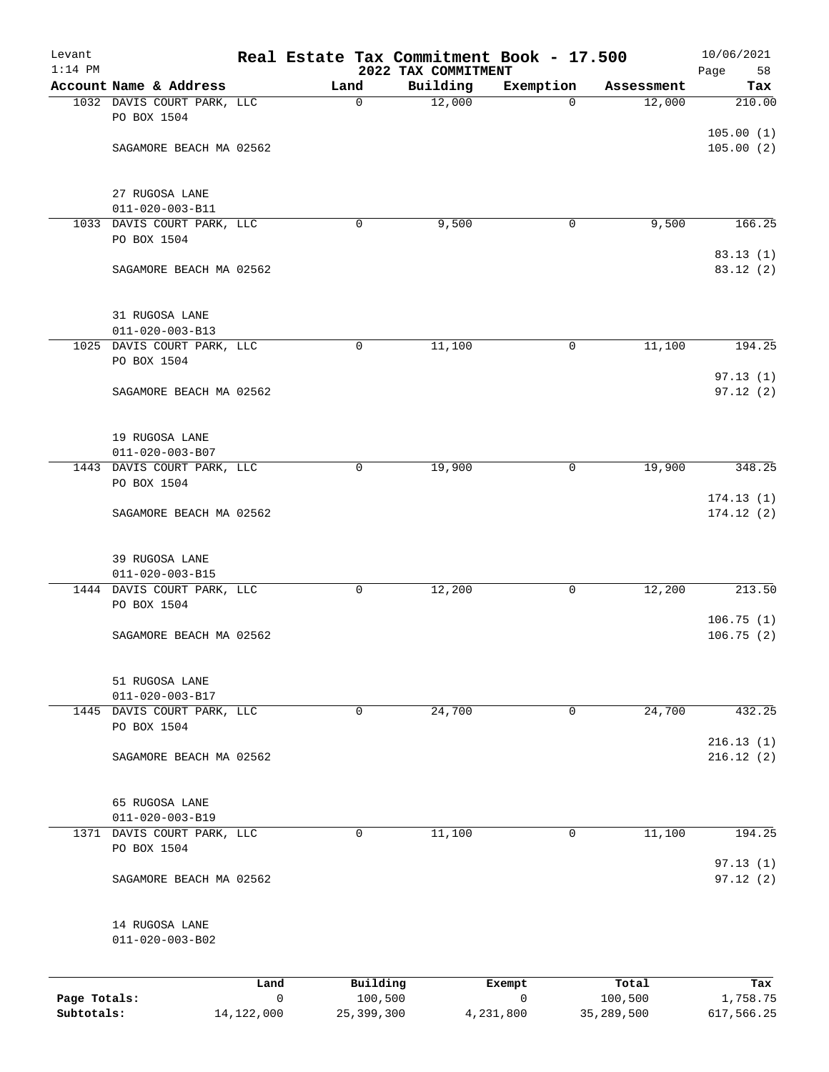| Levant<br>$1:14$ PM |                                           |      |             |                     | Real Estate Tax Commitment Book - 17.500 |             |                  | 10/06/2021             |
|---------------------|-------------------------------------------|------|-------------|---------------------|------------------------------------------|-------------|------------------|------------------------|
|                     | Account Name & Address                    |      | Land        |                     | 2022 TAX COMMITMENT<br>Building          | Exemption   | Assessment       | Page<br>58<br>Tax      |
|                     | 1032 DAVIS COURT PARK, LLC<br>PO BOX 1504 |      | $\mathbf 0$ |                     | 12,000                                   | $\Omega$    | 12,000           | 210.00                 |
|                     | SAGAMORE BEACH MA 02562                   |      |             |                     |                                          |             |                  | 105.00(1)<br>105.00(2) |
|                     | 27 RUGOSA LANE<br>$011 - 020 - 003 - B11$ |      |             |                     |                                          |             |                  |                        |
|                     | 1033 DAVIS COURT PARK, LLC<br>PO BOX 1504 |      | $\mathbf 0$ |                     | 9,500                                    | 0           | 9,500            | 166.25                 |
|                     | SAGAMORE BEACH MA 02562                   |      |             |                     |                                          |             |                  | 83.13(1)<br>83.12 (2)  |
|                     | 31 RUGOSA LANE<br>$011 - 020 - 003 - B13$ |      |             |                     |                                          |             |                  |                        |
|                     | 1025 DAVIS COURT PARK, LLC<br>PO BOX 1504 |      | $\mathbf 0$ |                     | 11,100                                   | 0           | 11,100           | 194.25                 |
|                     | SAGAMORE BEACH MA 02562                   |      |             |                     |                                          |             |                  | 97.13(1)<br>97.12(2)   |
|                     | 19 RUGOSA LANE<br>$011 - 020 - 003 - B07$ |      |             |                     |                                          |             |                  |                        |
|                     | 1443 DAVIS COURT PARK, LLC<br>PO BOX 1504 |      | 0           |                     | 19,900                                   | 0           | 19,900           | 348.25                 |
|                     | SAGAMORE BEACH MA 02562                   |      |             |                     |                                          |             |                  | 174.13(1)<br>174.12(2) |
|                     | 39 RUGOSA LANE<br>$011 - 020 - 003 - B15$ |      |             |                     |                                          |             |                  |                        |
|                     | 1444 DAVIS COURT PARK, LLC<br>PO BOX 1504 |      | $\mathbf 0$ |                     | 12,200                                   | 0           | 12,200           | 213.50                 |
|                     | SAGAMORE BEACH MA 02562                   |      |             |                     |                                          |             |                  | 106.75(1)<br>106.75(2) |
|                     | 51 RUGOSA LANE<br>$011 - 020 - 003 - B17$ |      |             |                     |                                          |             |                  |                        |
| 1445                | DAVIS COURT PARK, LLC<br>PO BOX 1504      |      | 0           |                     | 24,700                                   | $\mathbf 0$ | 24,700           | 432.25                 |
|                     | SAGAMORE BEACH MA 02562                   |      |             |                     |                                          |             |                  | 216.13(1)<br>216.12(2) |
|                     | 65 RUGOSA LANE<br>$011 - 020 - 003 - B19$ |      |             |                     |                                          |             |                  |                        |
|                     | 1371 DAVIS COURT PARK, LLC<br>PO BOX 1504 |      | 0           |                     | 11,100                                   | $\mathbf 0$ | 11,100           | 194.25                 |
|                     | SAGAMORE BEACH MA 02562                   |      |             |                     |                                          |             |                  | 97.13(1)<br>97.12(2)   |
|                     | 14 RUGOSA LANE<br>$011 - 020 - 003 - B02$ |      |             |                     |                                          |             |                  |                        |
| Page Totals:        |                                           | Land | 0           | Building<br>100,500 |                                          | Exempt<br>0 | Total<br>100,500 | Tax<br>1,758.75        |
|                     |                                           |      |             |                     |                                          |             |                  |                        |

**Subtotals:** 14,122,000 25,399,300 4,231,800 35,289,500 617,566.25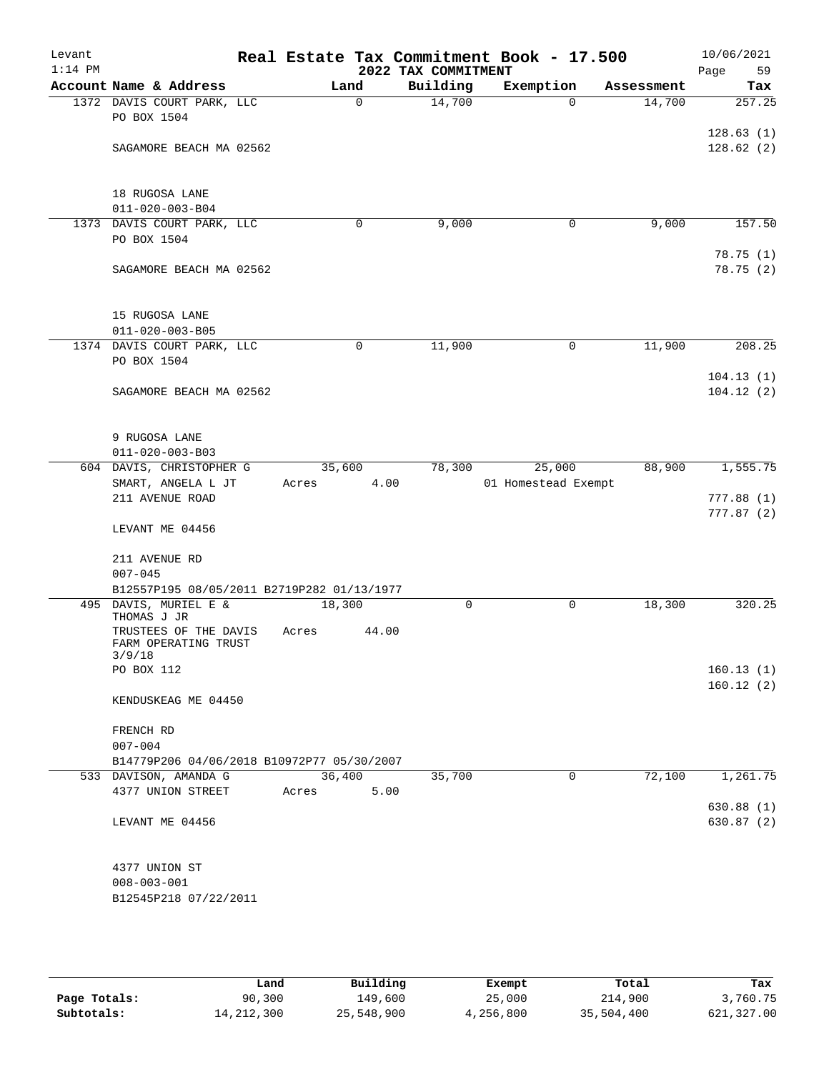| Levant<br>$1:14$ PM |                                                              |                 |             | 2022 TAX COMMITMENT | Real Estate Tax Commitment Book - 17.500 |             |            | 10/06/2021<br>Page<br>59 |
|---------------------|--------------------------------------------------------------|-----------------|-------------|---------------------|------------------------------------------|-------------|------------|--------------------------|
|                     | Account Name & Address                                       | Land            |             | Building            | Exemption                                |             | Assessment | Tax                      |
|                     | 1372 DAVIS COURT PARK, LLC                                   |                 | $\mathbf 0$ | 14,700              |                                          | $\Omega$    | 14,700     | 257.25                   |
|                     | PO BOX 1504                                                  |                 |             |                     |                                          |             |            | 128.63(1)                |
|                     | SAGAMORE BEACH MA 02562                                      |                 |             |                     |                                          |             |            | 128.62(2)                |
|                     | 18 RUGOSA LANE                                               |                 |             |                     |                                          |             |            |                          |
|                     | $011 - 020 - 003 - B04$                                      |                 |             |                     |                                          |             |            |                          |
|                     | 1373 DAVIS COURT PARK, LLC                                   |                 | 0           | 9,000               |                                          | 0           | 9,000      | 157.50                   |
|                     | PO BOX 1504                                                  |                 |             |                     |                                          |             |            |                          |
|                     | SAGAMORE BEACH MA 02562                                      |                 |             |                     |                                          |             |            | 78.75(1)<br>78.75 (2)    |
|                     | 15 RUGOSA LANE                                               |                 |             |                     |                                          |             |            |                          |
|                     | $011 - 020 - 003 - B05$<br>1374 DAVIS COURT PARK, LLC        |                 |             |                     |                                          |             |            | 208.25                   |
|                     | PO BOX 1504                                                  |                 | $\mathbf 0$ | 11,900              |                                          | $\mathbf 0$ | 11,900     | 104.13(1)                |
|                     | SAGAMORE BEACH MA 02562                                      |                 |             |                     |                                          |             |            | 104.12(2)                |
|                     | 9 RUGOSA LANE<br>$011 - 020 - 003 - B03$                     |                 |             |                     |                                          |             |            |                          |
|                     | 604 DAVIS, CHRISTOPHER G                                     | 35,600          |             | 78,300              | 25,000                                   |             | 88,900     | 1,555.75                 |
|                     | SMART, ANGELA L JT                                           | Acres           | 4.00        |                     | 01 Homestead Exempt                      |             |            |                          |
|                     | 211 AVENUE ROAD                                              |                 |             |                     |                                          |             |            | 777.88(1)<br>777.87(2)   |
|                     | LEVANT ME 04456                                              |                 |             |                     |                                          |             |            |                          |
|                     | 211 AVENUE RD                                                |                 |             |                     |                                          |             |            |                          |
|                     | $007 - 045$<br>B12557P195 08/05/2011 B2719P282 01/13/1977    |                 |             |                     |                                          |             |            |                          |
|                     | 495 DAVIS, MURIEL E &                                        | 18,300          |             | 0                   |                                          | 0           | 18,300     | 320.25                   |
|                     | THOMAS J JR<br>TRUSTEES OF THE DAVIS<br>FARM OPERATING TRUST | Acres           | 44.00       |                     |                                          |             |            |                          |
|                     | 3/9/18<br>PO BOX 112                                         |                 |             |                     |                                          |             |            | 160.13(1)                |
|                     |                                                              |                 |             |                     |                                          |             |            | 160.12(2)                |
|                     | KENDUSKEAG ME 04450                                          |                 |             |                     |                                          |             |            |                          |
|                     | FRENCH RD                                                    |                 |             |                     |                                          |             |            |                          |
|                     | $007 - 004$                                                  |                 |             |                     |                                          |             |            |                          |
|                     | B14779P206 04/06/2018 B10972P77 05/30/2007                   |                 |             |                     |                                          |             |            |                          |
|                     | 533 DAVISON, AMANDA G<br>4377 UNION STREET                   | 36,400<br>Acres | 5.00        | 35,700              |                                          | $\mathbf 0$ | 72,100     | 1,261.75                 |
|                     | LEVANT ME 04456                                              |                 |             |                     |                                          |             |            | 630.88 (1)<br>630.87(2)  |
|                     |                                                              |                 |             |                     |                                          |             |            |                          |
|                     | 4377 UNION ST                                                |                 |             |                     |                                          |             |            |                          |
|                     | $008 - 003 - 001$                                            |                 |             |                     |                                          |             |            |                          |
|                     | B12545P218 07/22/2011                                        |                 |             |                     |                                          |             |            |                          |

|              | Land         | Building   | Exempt    | Total      | Tax        |
|--------------|--------------|------------|-----------|------------|------------|
| Page Totals: | 90,300       | 149.600    | 25,000    | 214,900    | 3,760.75   |
| Subtotals:   | 14, 212, 300 | 25,548,900 | 4,256,800 | 35,504,400 | 621,327.00 |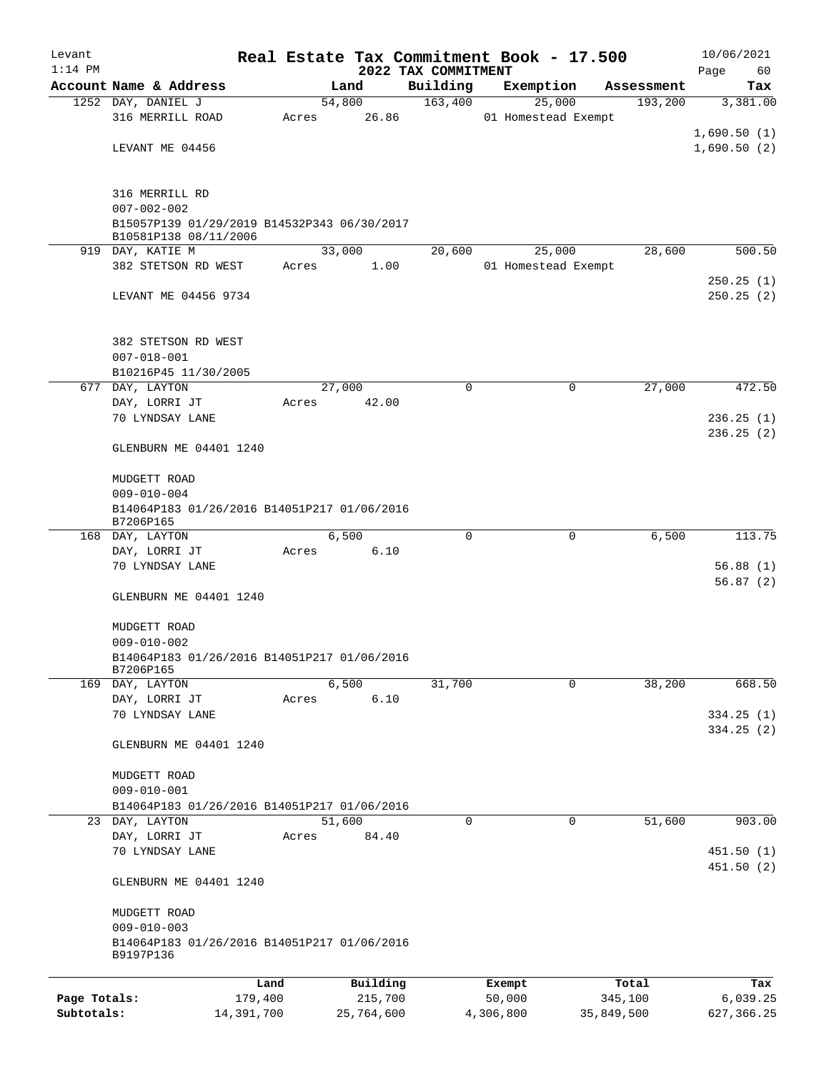| Levant       |                                                                  |            |                | Real Estate Tax Commitment Book - 17.500 |           |                               |                       | 10/06/2021      |
|--------------|------------------------------------------------------------------|------------|----------------|------------------------------------------|-----------|-------------------------------|-----------------------|-----------------|
| $1:14$ PM    |                                                                  |            |                | 2022 TAX COMMITMENT                      |           |                               |                       | Page<br>60      |
|              | Account Name & Address<br>1252 DAY, DANIEL J                     |            | Land<br>54,800 | Building<br>163,400                      |           | Exemption                     | Assessment<br>193,200 | Tax<br>3,381.00 |
|              | 316 MERRILL ROAD                                                 | Acres      | 26.86          |                                          |           | 25,000<br>01 Homestead Exempt |                       |                 |
|              |                                                                  |            |                |                                          |           |                               |                       | 1,690.50(1)     |
|              | LEVANT ME 04456                                                  |            |                |                                          |           |                               |                       | 1,690.50(2)     |
|              |                                                                  |            |                |                                          |           |                               |                       |                 |
|              |                                                                  |            |                |                                          |           |                               |                       |                 |
|              | 316 MERRILL RD                                                   |            |                |                                          |           |                               |                       |                 |
|              | $007 - 002 - 002$<br>B15057P139 01/29/2019 B14532P343 06/30/2017 |            |                |                                          |           |                               |                       |                 |
|              | B10581P138 08/11/2006                                            |            |                |                                          |           |                               |                       |                 |
|              | 919 DAY, KATIE M                                                 |            | 33,000         | 20,600                                   |           | 25,000                        | 28,600                | 500.50          |
|              | 382 STETSON RD WEST                                              | Acres      | 1.00           |                                          |           | 01 Homestead Exempt           |                       |                 |
|              |                                                                  |            |                |                                          |           |                               |                       | 250.25(1)       |
|              | LEVANT ME 04456 9734                                             |            |                |                                          |           |                               |                       | 250.25(2)       |
|              |                                                                  |            |                |                                          |           |                               |                       |                 |
|              | 382 STETSON RD WEST                                              |            |                |                                          |           |                               |                       |                 |
|              | $007 - 018 - 001$                                                |            |                |                                          |           |                               |                       |                 |
|              | B10216P45 11/30/2005                                             |            |                |                                          |           |                               |                       |                 |
| 677          | DAY, LAYTON                                                      |            | 27,000         | $\mathbf 0$                              |           | 0                             | 27,000                | 472.50          |
|              | DAY, LORRI JT                                                    | Acres      | 42.00          |                                          |           |                               |                       |                 |
|              | 70 LYNDSAY LANE                                                  |            |                |                                          |           |                               |                       | 236.25(1)       |
|              |                                                                  |            |                |                                          |           |                               |                       | 236.25(2)       |
|              | GLENBURN ME 04401 1240                                           |            |                |                                          |           |                               |                       |                 |
|              |                                                                  |            |                |                                          |           |                               |                       |                 |
|              | MUDGETT ROAD<br>$009 - 010 - 004$                                |            |                |                                          |           |                               |                       |                 |
|              | B14064P183 01/26/2016 B14051P217 01/06/2016                      |            |                |                                          |           |                               |                       |                 |
|              | B7206P165                                                        |            |                |                                          |           |                               |                       |                 |
|              | 168 DAY, LAYTON                                                  |            | 6,500          | 0                                        |           | 0                             | 6,500                 | 113.75          |
|              | DAY, LORRI JT                                                    | Acres      | 6.10           |                                          |           |                               |                       |                 |
|              | 70 LYNDSAY LANE                                                  |            |                |                                          |           |                               |                       | 56.88(1)        |
|              |                                                                  |            |                |                                          |           |                               |                       | 56.87(2)        |
|              | GLENBURN ME 04401 1240                                           |            |                |                                          |           |                               |                       |                 |
|              | MUDGETT ROAD                                                     |            |                |                                          |           |                               |                       |                 |
|              | $009 - 010 - 002$                                                |            |                |                                          |           |                               |                       |                 |
|              | B14064P183 01/26/2016 B14051P217 01/06/2016                      |            |                |                                          |           |                               |                       |                 |
|              | B7206P165                                                        |            |                |                                          |           |                               |                       |                 |
|              | 169 DAY, LAYTON                                                  |            | 6,500          | 31,700                                   |           | 0                             | 38,200                | 668.50          |
|              | DAY, LORRI JT                                                    | Acres      | 6.10           |                                          |           |                               |                       |                 |
|              | 70 LYNDSAY LANE                                                  |            |                |                                          |           |                               |                       | 334.25(1)       |
|              | GLENBURN ME 04401 1240                                           |            |                |                                          |           |                               |                       | 334.25(2)       |
|              |                                                                  |            |                |                                          |           |                               |                       |                 |
|              | MUDGETT ROAD                                                     |            |                |                                          |           |                               |                       |                 |
|              | $009 - 010 - 001$                                                |            |                |                                          |           |                               |                       |                 |
|              | B14064P183 01/26/2016 B14051P217 01/06/2016                      |            |                |                                          |           |                               |                       |                 |
|              | 23 DAY, LAYTON                                                   |            | 51,600         | 0                                        |           | 0                             | 51,600                | 903.00          |
|              | DAY, LORRI JT                                                    | Acres      | 84.40          |                                          |           |                               |                       |                 |
|              | 70 LYNDSAY LANE                                                  |            |                |                                          |           |                               |                       | 451.50(1)       |
|              |                                                                  |            |                |                                          |           |                               |                       | 451.50(2)       |
|              | GLENBURN ME 04401 1240                                           |            |                |                                          |           |                               |                       |                 |
|              | MUDGETT ROAD                                                     |            |                |                                          |           |                               |                       |                 |
|              | $009 - 010 - 003$                                                |            |                |                                          |           |                               |                       |                 |
|              | B14064P183 01/26/2016 B14051P217 01/06/2016                      |            |                |                                          |           |                               |                       |                 |
|              | B9197P136                                                        |            |                |                                          |           |                               |                       |                 |
|              |                                                                  | Land       | Building       |                                          | Exempt    |                               | Total                 | Tax             |
| Page Totals: |                                                                  | 179,400    | 215,700        |                                          | 50,000    |                               | 345,100               | 6,039.25        |
| Subtotals:   |                                                                  | 14,391,700 | 25,764,600     |                                          | 4,306,800 |                               | 35,849,500            | 627, 366.25     |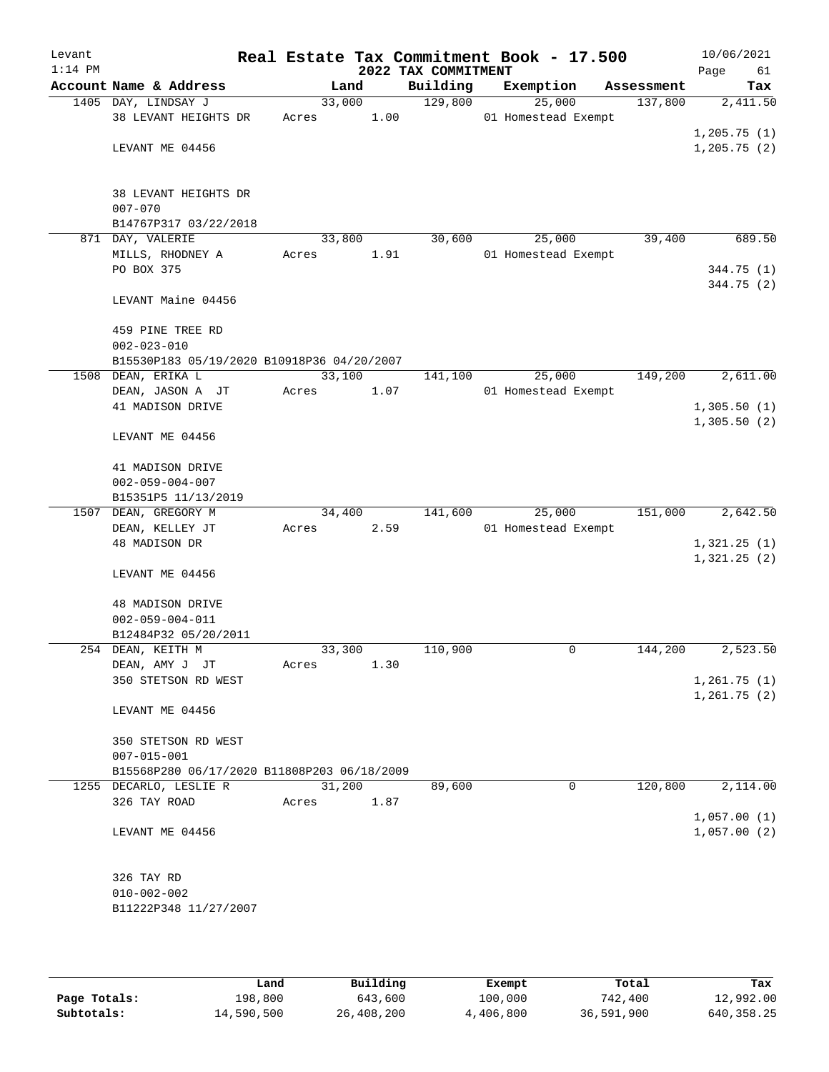| Levant<br>$1:14$ PM |                                             |                 |      | 2022 TAX COMMITMENT | Real Estate Tax Commitment Book - 17.500 |            | 10/06/2021<br>Page<br>61   |
|---------------------|---------------------------------------------|-----------------|------|---------------------|------------------------------------------|------------|----------------------------|
|                     | Account Name & Address                      | Land            |      | Building            | Exemption                                | Assessment | Tax                        |
|                     | 1405 DAY, LINDSAY J<br>38 LEVANT HEIGHTS DR | 33,000<br>Acres | 1.00 | 129,800             | 25,000<br>01 Homestead Exempt            | 137,800    | 2,411.50                   |
|                     | LEVANT ME 04456                             |                 |      |                     |                                          |            | 1,205.75(1)<br>1,205.75(2) |
|                     | 38 LEVANT HEIGHTS DR<br>$007 - 070$         |                 |      |                     |                                          |            |                            |
|                     | B14767P317 03/22/2018                       |                 |      |                     |                                          |            |                            |
|                     | 871 DAY, VALERIE                            | 33,800          |      | 30,600              | 25,000                                   | 39,400     | 689.50                     |
|                     | MILLS, RHODNEY A<br>PO BOX 375              | Acres           | 1.91 |                     | 01 Homestead Exempt                      |            | 344.75 (1)<br>344.75 (2)   |
|                     | LEVANT Maine 04456                          |                 |      |                     |                                          |            |                            |
|                     | 459 PINE TREE RD<br>$002 - 023 - 010$       |                 |      |                     |                                          |            |                            |
|                     | B15530P183 05/19/2020 B10918P36 04/20/2007  |                 |      |                     |                                          |            |                            |
|                     | 1508 DEAN, ERIKA L                          | 33,100          |      | 141,100             | 25,000                                   | 149,200    | 2,611.00                   |
|                     | DEAN, JASON A JT                            | Acres           | 1.07 |                     | 01 Homestead Exempt                      |            |                            |
|                     | 41 MADISON DRIVE                            |                 |      |                     |                                          |            | 1,305.50(1)<br>1,305.50(2) |
|                     | LEVANT ME 04456                             |                 |      |                     |                                          |            |                            |
|                     | 41 MADISON DRIVE                            |                 |      |                     |                                          |            |                            |
|                     | $002 - 059 - 004 - 007$                     |                 |      |                     |                                          |            |                            |
|                     | B15351P5 11/13/2019                         |                 |      |                     |                                          |            |                            |
|                     | 1507 DEAN, GREGORY M                        | 34,400          |      | 141,600             | 25,000                                   | 151,000    | 2,642.50                   |
|                     | DEAN, KELLEY JT                             | Acres           | 2.59 |                     | 01 Homestead Exempt                      |            |                            |
|                     | 48 MADISON DR                               |                 |      |                     |                                          |            | 1,321.25(1)<br>1,321.25(2) |
|                     | LEVANT ME 04456                             |                 |      |                     |                                          |            |                            |
|                     | 48 MADISON DRIVE                            |                 |      |                     |                                          |            |                            |
|                     | $002 - 059 - 004 - 011$                     |                 |      |                     |                                          |            |                            |
|                     | B12484P32 05/20/2011<br>254 DEAN, KEITH M   | 33,300          |      | 110,900             | 0                                        | 144,200    | 2,523.50                   |
|                     | DEAN, AMY J JT                              | Acres           | 1.30 |                     |                                          |            |                            |
|                     | 350 STETSON RD WEST                         |                 |      |                     |                                          |            | 1,261.75(1)                |
|                     |                                             |                 |      |                     |                                          |            | 1,261.75(2)                |
|                     | LEVANT ME 04456                             |                 |      |                     |                                          |            |                            |
|                     | 350 STETSON RD WEST                         |                 |      |                     |                                          |            |                            |
|                     | $007 - 015 - 001$                           |                 |      |                     |                                          |            |                            |
|                     | B15568P280 06/17/2020 B11808P203 06/18/2009 |                 |      |                     |                                          | 120,800    |                            |
|                     | 1255 DECARLO, LESLIE R                      | 31,200          |      | 89,600              | 0                                        |            | 2,114.00                   |
|                     | 326 TAY ROAD                                | Acres           | 1.87 |                     |                                          |            | 1,057.00(1)                |
|                     | LEVANT ME 04456                             |                 |      |                     |                                          |            | 1,057.00(2)                |
|                     | 326 TAY RD                                  |                 |      |                     |                                          |            |                            |
|                     | $010 - 002 - 002$                           |                 |      |                     |                                          |            |                            |
|                     | B11222P348 11/27/2007                       |                 |      |                     |                                          |            |                            |

|              | Land       | Building   | Exempt    | Total      | Tax          |
|--------------|------------|------------|-----------|------------|--------------|
| Page Totals: | 198,800    | 643,600    | 100,000   | 742,400    | 12,992.00    |
| Subtotals:   | 14,590,500 | 26,408,200 | 4,406,800 | 36,591,900 | 640, 358, 25 |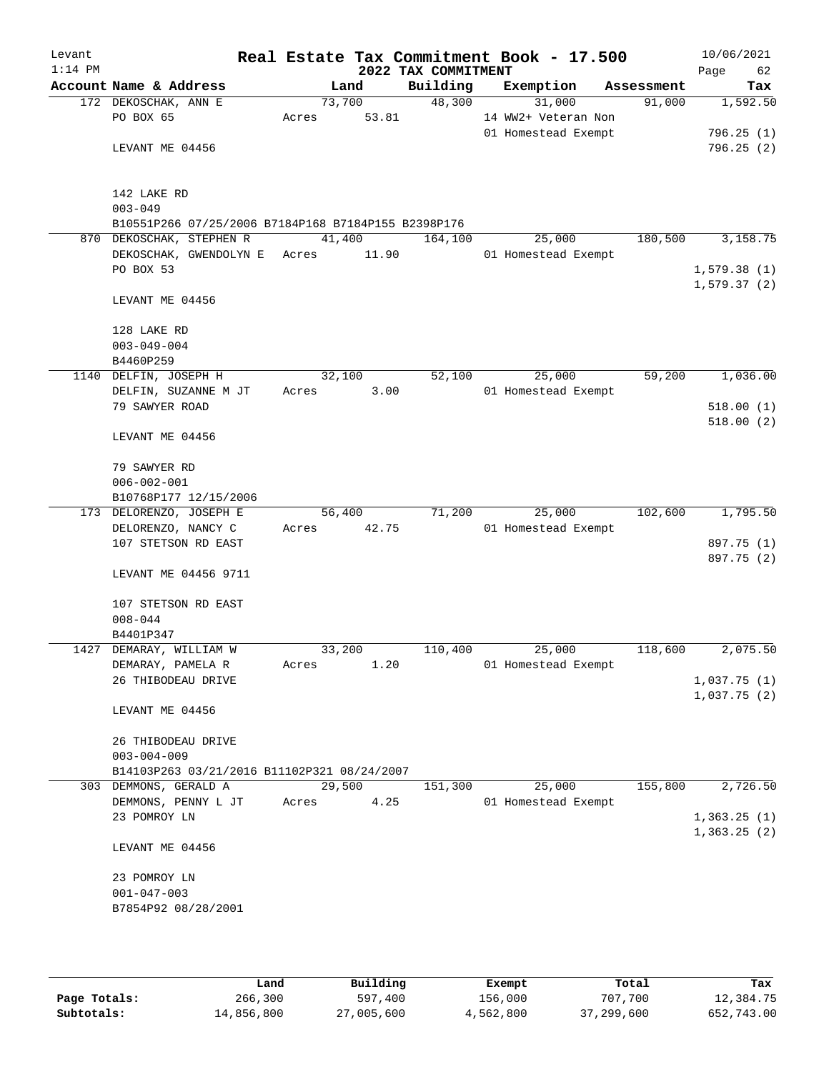| Levant<br>$1:14$ PM |                                                     |       |        | 2022 TAX COMMITMENT | Real Estate Tax Commitment Book - 17.500 |            | 10/06/2021<br>Page<br>62 |
|---------------------|-----------------------------------------------------|-------|--------|---------------------|------------------------------------------|------------|--------------------------|
|                     | Account Name & Address                              |       | Land   | Building            | Exemption                                | Assessment | Tax                      |
|                     | 172 DEKOSCHAK, ANN E                                |       | 73,700 | 48,300              | 31,000                                   | 91,000     | 1,592.50                 |
|                     | PO BOX 65                                           | Acres | 53.81  |                     | 14 WW2+ Veteran Non                      |            |                          |
|                     |                                                     |       |        |                     | 01 Homestead Exempt                      |            | 796.25(1)                |
|                     | LEVANT ME 04456                                     |       |        |                     |                                          |            | 796.25(2)                |
|                     |                                                     |       |        |                     |                                          |            |                          |
|                     |                                                     |       |        |                     |                                          |            |                          |
|                     | 142 LAKE RD                                         |       |        |                     |                                          |            |                          |
|                     | $003 - 049$                                         |       |        |                     |                                          |            |                          |
|                     | B10551P266 07/25/2006 B7184P168 B7184P155 B2398P176 |       |        |                     |                                          |            |                          |
|                     | 870 DEKOSCHAK, STEPHEN R                            |       | 41,400 | 164,100             | 25,000                                   | 180,500    | 3,158.75                 |
|                     | DEKOSCHAK, GWENDOLYN E                              | Acres | 11.90  |                     | 01 Homestead Exempt                      |            |                          |
|                     | PO BOX 53                                           |       |        |                     |                                          |            | 1,579.38(1)              |
|                     |                                                     |       |        |                     |                                          |            | 1,579.37(2)              |
|                     | LEVANT ME 04456                                     |       |        |                     |                                          |            |                          |
|                     | 128 LAKE RD                                         |       |        |                     |                                          |            |                          |
|                     | $003 - 049 - 004$                                   |       |        |                     |                                          |            |                          |
|                     | B4460P259                                           |       |        |                     |                                          |            |                          |
|                     | 1140 DELFIN, JOSEPH H                               |       | 32,100 | 52,100              | 25,000                                   | 59,200     | 1,036.00                 |
|                     | DELFIN, SUZANNE M JT                                | Acres | 3.00   |                     | 01 Homestead Exempt                      |            |                          |
|                     | 79 SAWYER ROAD                                      |       |        |                     |                                          |            | 518.00(1)                |
|                     |                                                     |       |        |                     |                                          |            | 518.00(2)                |
|                     | LEVANT ME 04456                                     |       |        |                     |                                          |            |                          |
|                     |                                                     |       |        |                     |                                          |            |                          |
|                     | 79 SAWYER RD                                        |       |        |                     |                                          |            |                          |
|                     | $006 - 002 - 001$                                   |       |        |                     |                                          |            |                          |
|                     | B10768P177 12/15/2006                               |       |        |                     |                                          |            |                          |
|                     | 173 DELORENZO, JOSEPH E                             |       | 56,400 | 71,200              | 25,000                                   | 102,600    | 1,795.50                 |
|                     | DELORENZO, NANCY C                                  | Acres | 42.75  |                     | 01 Homestead Exempt                      |            |                          |
|                     | 107 STETSON RD EAST                                 |       |        |                     |                                          |            | 897.75 (1)               |
|                     |                                                     |       |        |                     |                                          |            | 897.75 (2)               |
|                     | LEVANT ME 04456 9711                                |       |        |                     |                                          |            |                          |
|                     |                                                     |       |        |                     |                                          |            |                          |
|                     | 107 STETSON RD EAST                                 |       |        |                     |                                          |            |                          |
|                     | $008 - 044$                                         |       |        |                     |                                          |            |                          |
|                     | B4401P347                                           |       |        |                     |                                          |            |                          |
|                     | 1427 DEMARAY, WILLIAM W                             |       | 33,200 | 110,400             | 25,000                                   | 118,600    | 2,075.50                 |
|                     | DEMARAY, PAMELA R                                   | Acres | 1.20   |                     | 01 Homestead Exempt                      |            |                          |
|                     | 26 THIBODEAU DRIVE                                  |       |        |                     |                                          |            | 1,037.75(1)              |
|                     |                                                     |       |        |                     |                                          |            | 1,037.75(2)              |
|                     | LEVANT ME 04456                                     |       |        |                     |                                          |            |                          |
|                     |                                                     |       |        |                     |                                          |            |                          |
|                     | 26 THIBODEAU DRIVE                                  |       |        |                     |                                          |            |                          |
|                     | $003 - 004 - 009$                                   |       |        |                     |                                          |            |                          |
|                     | B14103P263 03/21/2016 B11102P321 08/24/2007         |       |        |                     |                                          |            |                          |
|                     | 303 DEMMONS, GERALD A                               |       | 29,500 | 151,300             | 25,000                                   | 155,800    | 2,726.50                 |
|                     | DEMMONS, PENNY L JT                                 | Acres | 4.25   |                     | 01 Homestead Exempt                      |            |                          |
|                     | 23 POMROY LN                                        |       |        |                     |                                          |            | 1,363.25(1)              |
|                     |                                                     |       |        |                     |                                          |            | 1,363.25(2)              |
|                     | LEVANT ME 04456                                     |       |        |                     |                                          |            |                          |
|                     | 23 POMROY LN                                        |       |        |                     |                                          |            |                          |
|                     | $001 - 047 - 003$                                   |       |        |                     |                                          |            |                          |
|                     | B7854P92 08/28/2001                                 |       |        |                     |                                          |            |                          |
|                     |                                                     |       |        |                     |                                          |            |                          |
|                     |                                                     |       |        |                     |                                          |            |                          |

|              | Land       | Building   | Exempt    | Total      | Tax        |
|--------------|------------|------------|-----------|------------|------------|
| Page Totals: | 266,300    | 597,400    | 156,000   | 707,700    | 12,384.75  |
| Subtotals:   | 14,856,800 | 27,005,600 | 4,562,800 | 37,299,600 | 652,743.00 |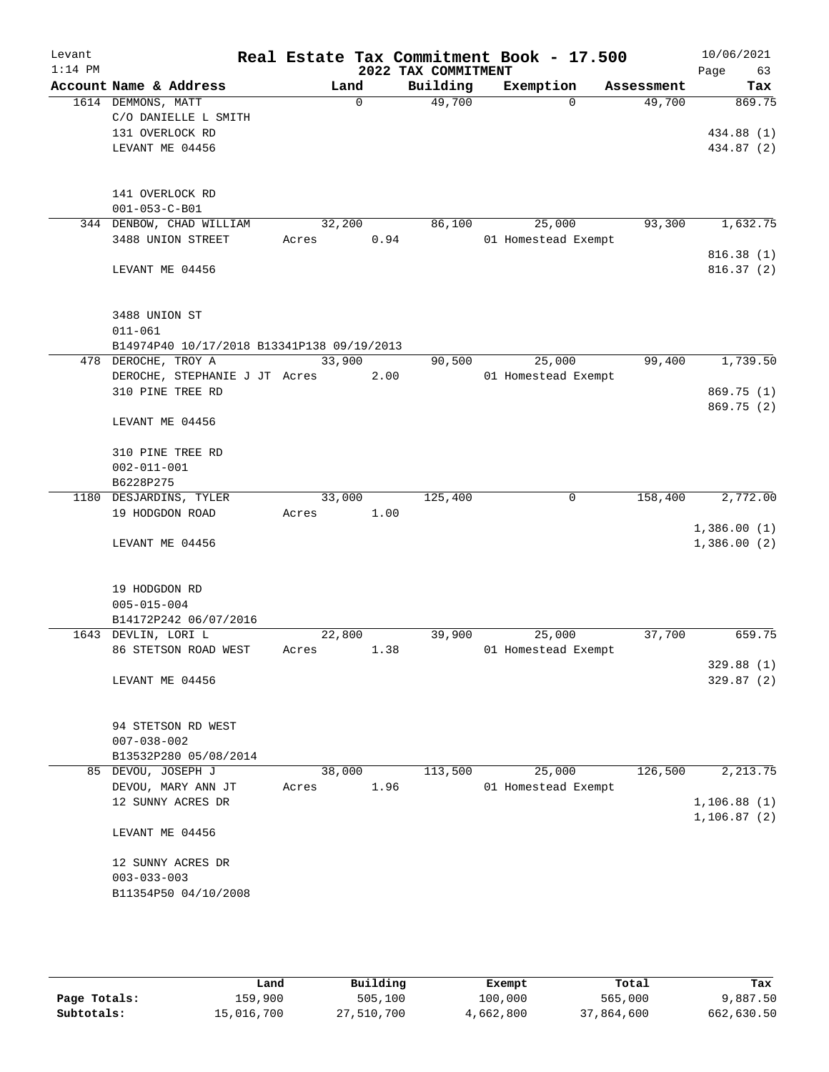| Levant    |                                                   |            |                  | Real Estate Tax Commitment Book - 17.500 |                     |          |            | 10/06/2021                 |
|-----------|---------------------------------------------------|------------|------------------|------------------------------------------|---------------------|----------|------------|----------------------------|
| $1:14$ PM |                                                   |            |                  | 2022 TAX COMMITMENT                      |                     |          |            | Page<br>63                 |
|           | Account Name & Address                            |            | Land<br>$\Omega$ | Building<br>49,700                       | Exemption           | $\Omega$ | Assessment | Tax<br>869.75              |
|           | 1614 DEMMONS, MATT<br>C/O DANIELLE L SMITH        |            |                  |                                          |                     |          | 49,700     |                            |
|           | 131 OVERLOCK RD                                   |            |                  |                                          |                     |          |            | 434.88 (1)                 |
|           | LEVANT ME 04456                                   |            |                  |                                          |                     |          |            | 434.87 (2)                 |
|           |                                                   |            |                  |                                          |                     |          |            |                            |
|           |                                                   |            |                  |                                          |                     |          |            |                            |
|           | 141 OVERLOCK RD                                   |            |                  |                                          |                     |          |            |                            |
|           | $001 - 053 - C - B01$                             |            |                  |                                          |                     |          |            |                            |
|           | 344 DENBOW, CHAD WILLIAM                          | 32,200     |                  | 86,100                                   | 25,000              |          | 93,300     | 1,632.75                   |
|           | 3488 UNION STREET                                 | Acres      | 0.94             |                                          | 01 Homestead Exempt |          |            | 816.38(1)                  |
|           | LEVANT ME 04456                                   |            |                  |                                          |                     |          |            | 816.37(2)                  |
|           |                                                   |            |                  |                                          |                     |          |            |                            |
|           |                                                   |            |                  |                                          |                     |          |            |                            |
|           | 3488 UNION ST                                     |            |                  |                                          |                     |          |            |                            |
|           | $011 - 061$                                       |            |                  |                                          |                     |          |            |                            |
|           | B14974P40 10/17/2018 B13341P138 09/19/2013        |            |                  |                                          |                     |          |            |                            |
|           | 478 DEROCHE, TROY A                               | 33,900     |                  | 90,500                                   | 25,000              |          | 99,400     | 1,739.50                   |
|           | DEROCHE, STEPHANIE J JT Acres<br>310 PINE TREE RD |            | 2.00             |                                          | 01 Homestead Exempt |          |            | 869.75 (1)                 |
|           |                                                   |            |                  |                                          |                     |          |            | 869.75 (2)                 |
|           | LEVANT ME 04456                                   |            |                  |                                          |                     |          |            |                            |
|           |                                                   |            |                  |                                          |                     |          |            |                            |
|           | 310 PINE TREE RD                                  |            |                  |                                          |                     |          |            |                            |
|           | $002 - 011 - 001$                                 |            |                  |                                          |                     |          |            |                            |
|           | B6228P275                                         |            |                  |                                          |                     |          |            |                            |
|           | 1180 DESJARDINS, TYLER                            | 33,000     |                  | 125,400                                  |                     | 0        | 158,400    | 2,772.00                   |
|           | 19 HODGDON ROAD                                   | Acres      | 1.00             |                                          |                     |          |            |                            |
|           | LEVANT ME 04456                                   |            |                  |                                          |                     |          |            | 1,386.00(1)<br>1,386.00(2) |
|           |                                                   |            |                  |                                          |                     |          |            |                            |
|           |                                                   |            |                  |                                          |                     |          |            |                            |
|           | 19 HODGDON RD                                     |            |                  |                                          |                     |          |            |                            |
|           | $005 - 015 - 004$                                 |            |                  |                                          |                     |          |            |                            |
|           | B14172P242 06/07/2016                             |            |                  |                                          |                     |          |            |                            |
|           | 1643 DEVLIN, LORI L                               | 22,800     |                  | 39,900                                   | 25,000              |          | 37,700     | 659.75                     |
|           | 86 STETSON ROAD WEST                              | Acres 1.38 |                  |                                          | 01 Homestead Exempt |          |            |                            |
|           |                                                   |            |                  |                                          |                     |          |            | 329.88(1)                  |
|           | LEVANT ME 04456                                   |            |                  |                                          |                     |          |            | 329.87 (2)                 |
|           |                                                   |            |                  |                                          |                     |          |            |                            |
|           | 94 STETSON RD WEST                                |            |                  |                                          |                     |          |            |                            |
|           | $007 - 038 - 002$                                 |            |                  |                                          |                     |          |            |                            |
|           | B13532P280 05/08/2014                             |            |                  |                                          |                     |          |            |                            |
|           | 85 DEVOU, JOSEPH J                                | 38,000     |                  | 113,500                                  | 25,000              |          | 126,500    | 2,213.75                   |
|           | DEVOU, MARY ANN JT                                | Acres      | 1.96             |                                          | 01 Homestead Exempt |          |            |                            |
|           | 12 SUNNY ACRES DR                                 |            |                  |                                          |                     |          |            | 1,106.88(1)                |
|           |                                                   |            |                  |                                          |                     |          |            | 1,106.87(2)                |
|           | LEVANT ME 04456                                   |            |                  |                                          |                     |          |            |                            |
|           | 12 SUNNY ACRES DR                                 |            |                  |                                          |                     |          |            |                            |
|           | $003 - 033 - 003$                                 |            |                  |                                          |                     |          |            |                            |
|           | B11354P50 04/10/2008                              |            |                  |                                          |                     |          |            |                            |
|           |                                                   |            |                  |                                          |                     |          |            |                            |
|           |                                                   |            |                  |                                          |                     |          |            |                            |

|              | Land       | Building   | Exempt    | Total      | Tax        |
|--------------|------------|------------|-----------|------------|------------|
| Page Totals: | 159,900    | 505,100    | 100,000   | 565,000    | 9,887.50   |
| Subtotals:   | 15,016,700 | 27,510,700 | 4,662,800 | 37,864,600 | 662,630.50 |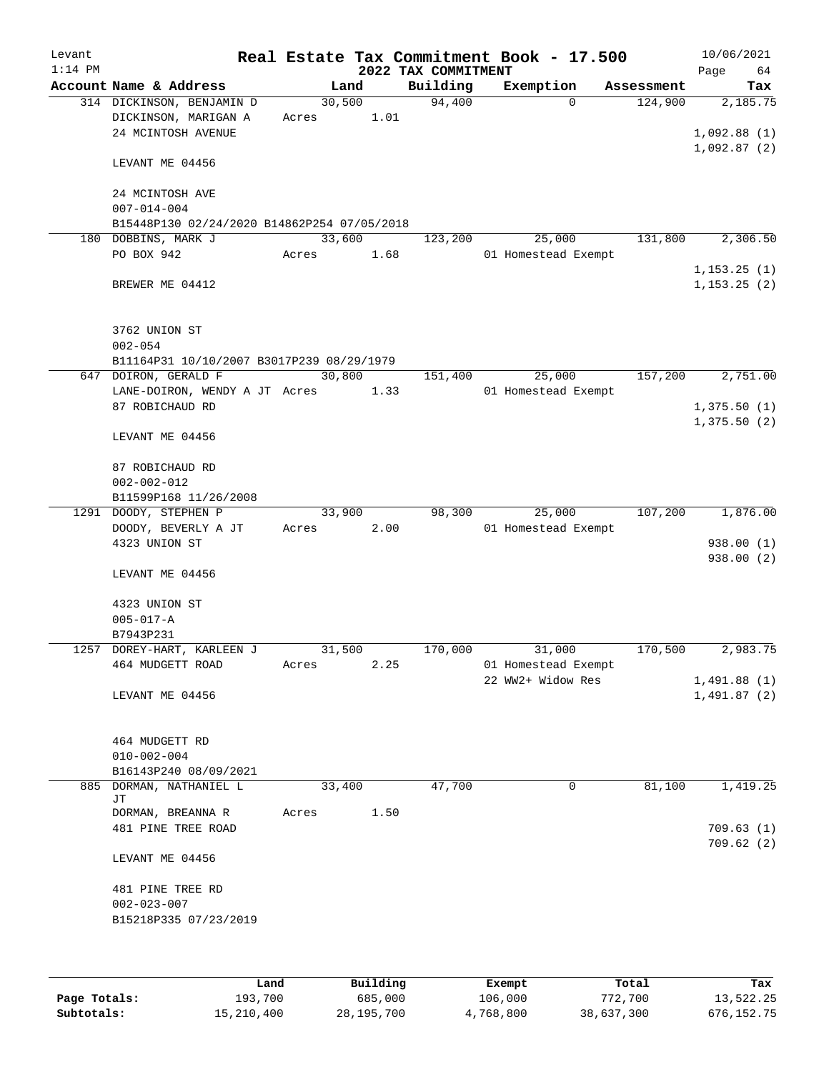| Levant<br>$1:14$ PM |                                                                         |                 |                | 2022 TAX COMMITMENT | Real Estate Tax Commitment Book - 17.500 |            | 10/06/2021<br>64<br>Page |
|---------------------|-------------------------------------------------------------------------|-----------------|----------------|---------------------|------------------------------------------|------------|--------------------------|
|                     | Account Name & Address                                                  |                 | Land           | Building            | Exemption                                | Assessment | Tax                      |
|                     | 314 DICKINSON, BENJAMIN D<br>DICKINSON, MARIGAN A<br>24 MCINTOSH AVENUE | 30,500<br>Acres | 1.01           | 94,400              | $\Omega$                                 | 124,900    | 2,185.75<br>1,092.88(1)  |
|                     | LEVANT ME 04456                                                         |                 |                |                     |                                          |            | 1,092.87(2)              |
|                     | 24 MCINTOSH AVE<br>$007 - 014 - 004$                                    |                 |                |                     |                                          |            |                          |
|                     | B15448P130 02/24/2020 B14862P254 07/05/2018                             |                 |                |                     |                                          |            |                          |
|                     | 180 DOBBINS, MARK J                                                     | 33,600          |                | 123,200             | 25,000                                   | 131,800    | 2,306.50                 |
|                     | PO BOX 942                                                              | Acres           | 1.68           |                     | 01 Homestead Exempt                      |            | 1, 153.25(1)             |
|                     | BREWER ME 04412                                                         |                 |                |                     |                                          |            | 1, 153.25(2)             |
|                     | 3762 UNION ST<br>$002 - 054$                                            |                 |                |                     |                                          |            |                          |
|                     | B11164P31 10/10/2007 B3017P239 08/29/1979<br>647 DOIRON, GERALD F       |                 | 30,800         | 151,400             | 25,000                                   | 157,200    | 2,751.00                 |
|                     | LANE-DOIRON, WENDY A JT Acres                                           |                 | 1.33           |                     | 01 Homestead Exempt                      |            |                          |
|                     | 87 ROBICHAUD RD                                                         |                 |                |                     |                                          |            | 1,375.50(1)              |
|                     | LEVANT ME 04456                                                         |                 |                |                     |                                          |            | 1,375.50(2)              |
|                     | 87 ROBICHAUD RD<br>$002 - 002 - 012$                                    |                 |                |                     |                                          |            |                          |
|                     | B11599P168 11/26/2008                                                   |                 |                |                     |                                          |            |                          |
|                     | 1291 DOODY, STEPHEN P<br>DOODY, BEVERLY A JT                            | Acres           | 33,900<br>2.00 | 98,300              | 25,000<br>01 Homestead Exempt            | 107,200    | 1,876.00                 |
|                     | 4323 UNION ST                                                           |                 |                |                     |                                          |            | 938.00 (1)<br>938.00 (2) |
|                     | LEVANT ME 04456                                                         |                 |                |                     |                                          |            |                          |
|                     | 4323 UNION ST                                                           |                 |                |                     |                                          |            |                          |
|                     | $005 - 017 - A$                                                         |                 |                |                     |                                          |            |                          |
|                     | B7943P231                                                               |                 |                |                     |                                          |            |                          |
|                     | 1257 DOREY-HART, KARLEEN J                                              | 31,500          |                | 170,000             | 31,000                                   | 170,500    | 2,983.75                 |
|                     | 464 MUDGETT ROAD                                                        | Acres           | 2.25           |                     | 01 Homestead Exempt<br>22 WW2+ Widow Res |            | 1,491.88(1)              |
|                     | LEVANT ME 04456                                                         |                 |                |                     |                                          |            | 1,491.87(2)              |
|                     | 464 MUDGETT RD<br>$010 - 002 - 004$                                     |                 |                |                     |                                          |            |                          |
|                     | B16143P240 08/09/2021                                                   |                 |                |                     |                                          |            |                          |
|                     | 885 DORMAN, NATHANIEL L                                                 | 33,400          |                | 47,700              | $\mathbf 0$                              | 81,100     | 1,419.25                 |
|                     | JΤ<br>DORMAN, BREANNA R<br>481 PINE TREE ROAD                           | Acres           | 1.50           |                     |                                          |            | 709.63(1)                |
|                     | LEVANT ME 04456                                                         |                 |                |                     |                                          |            | 709.62(2)                |
|                     | 481 PINE TREE RD<br>$002 - 023 - 007$<br>B15218P335 07/23/2019          |                 |                |                     |                                          |            |                          |
|                     |                                                                         |                 |                |                     |                                          |            |                          |

|              | Land       | Building     | Exempt    | Total      | Tax        |
|--------------|------------|--------------|-----------|------------|------------|
| Page Totals: | 193,700    | 685,000      | 106,000   | 772,700    | 13,522.25  |
| Subtotals:   | 15,210,400 | 28, 195, 700 | 4,768,800 | 38,637,300 | 676,152.75 |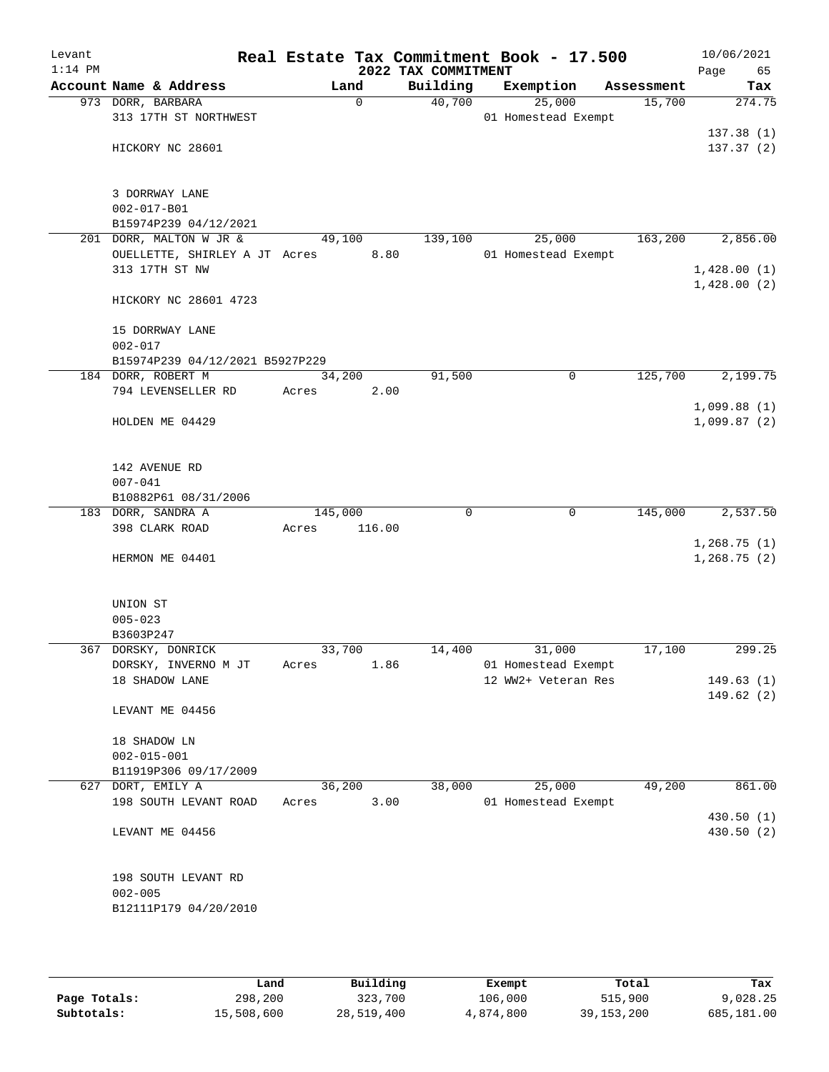| Levant    |             |                                                 |       |             |        | Real Estate Tax Commitment Book - 17.500 |                     |   |            |      | 10/06/2021              |
|-----------|-------------|-------------------------------------------------|-------|-------------|--------|------------------------------------------|---------------------|---|------------|------|-------------------------|
| $1:14$ PM |             | Account Name & Address                          |       | Land        |        | 2022 TAX COMMITMENT<br>Building          | Exemption           |   | Assessment | Page | 65<br>Tax               |
|           |             | 973 DORR, BARBARA                               |       | $\mathbf 0$ |        | 40,700                                   | 25,000              |   | 15,700     |      | 274.75                  |
|           |             | 313 17TH ST NORTHWEST                           |       |             |        |                                          | 01 Homestead Exempt |   |            |      |                         |
|           |             |                                                 |       |             |        |                                          |                     |   |            |      | 137.38(1)               |
|           |             | HICKORY NC 28601                                |       |             |        |                                          |                     |   |            |      | 137.37(2)               |
|           |             |                                                 |       |             |        |                                          |                     |   |            |      |                         |
|           |             |                                                 |       |             |        |                                          |                     |   |            |      |                         |
|           |             | 3 DORRWAY LANE                                  |       |             |        |                                          |                     |   |            |      |                         |
|           |             | $002 - 017 - B01$                               |       |             |        |                                          |                     |   |            |      |                         |
|           |             | B15974P239 04/12/2021                           |       |             |        |                                          |                     |   |            |      |                         |
|           |             | 201 DORR, MALTON W JR &                         |       | 49,100      |        | 139,100                                  | 25,000              |   | 163,200    |      | 2,856.00                |
|           |             | OUELLETTE, SHIRLEY A JT Acres<br>313 17TH ST NW |       |             | 8.80   |                                          | 01 Homestead Exempt |   |            |      | 1,428.00(1)             |
|           |             |                                                 |       |             |        |                                          |                     |   |            |      | 1,428.00(2)             |
|           |             | HICKORY NC 28601 4723                           |       |             |        |                                          |                     |   |            |      |                         |
|           |             |                                                 |       |             |        |                                          |                     |   |            |      |                         |
|           |             | 15 DORRWAY LANE                                 |       |             |        |                                          |                     |   |            |      |                         |
|           | $002 - 017$ |                                                 |       |             |        |                                          |                     |   |            |      |                         |
|           |             | B15974P239 04/12/2021 B5927P229                 |       |             |        |                                          |                     |   |            |      |                         |
|           |             | 184 DORR, ROBERT M                              |       | 34,200      |        | 91,500                                   |                     | 0 | 125,700    |      | 2,199.75                |
|           |             | 794 LEVENSELLER RD                              | Acres |             | 2.00   |                                          |                     |   |            |      |                         |
|           |             |                                                 |       |             |        |                                          |                     |   |            |      | 1,099.88(1)             |
|           |             | HOLDEN ME 04429                                 |       |             |        |                                          |                     |   |            |      | 1,099.87(2)             |
|           |             |                                                 |       |             |        |                                          |                     |   |            |      |                         |
|           |             |                                                 |       |             |        |                                          |                     |   |            |      |                         |
|           |             | 142 AVENUE RD                                   |       |             |        |                                          |                     |   |            |      |                         |
|           | $007 - 041$ | B10882P61 08/31/2006                            |       |             |        |                                          |                     |   |            |      |                         |
|           |             | 183 DORR, SANDRA A                              |       | 145,000     |        | $\mathbf 0$                              |                     | 0 | 145,000    |      | 2,537.50                |
|           |             | 398 CLARK ROAD                                  | Acres |             | 116.00 |                                          |                     |   |            |      |                         |
|           |             |                                                 |       |             |        |                                          |                     |   |            |      | 1,268.75(1)             |
|           |             | HERMON ME 04401                                 |       |             |        |                                          |                     |   |            |      | 1,268.75(2)             |
|           |             |                                                 |       |             |        |                                          |                     |   |            |      |                         |
|           |             |                                                 |       |             |        |                                          |                     |   |            |      |                         |
|           | UNION ST    |                                                 |       |             |        |                                          |                     |   |            |      |                         |
|           | $005 - 023$ |                                                 |       |             |        |                                          |                     |   |            |      |                         |
|           | B3603P247   |                                                 |       |             |        |                                          |                     |   |            |      |                         |
|           |             | 367 DORSKY, DONRICK                             |       | 33,700      |        | 14,400                                   | 31,000              |   | 17,100     |      | 299.25                  |
|           |             | DORSKY, INVERNO M JT                            | Acres |             | 1.86   |                                          | 01 Homestead Exempt |   |            |      |                         |
|           |             | 18 SHADOW LANE                                  |       |             |        |                                          | 12 WW2+ Veteran Res |   |            |      | 149.63(1)<br>149.62 (2) |
|           |             | LEVANT ME 04456                                 |       |             |        |                                          |                     |   |            |      |                         |
|           |             |                                                 |       |             |        |                                          |                     |   |            |      |                         |
|           |             | 18 SHADOW LN                                    |       |             |        |                                          |                     |   |            |      |                         |
|           |             | $002 - 015 - 001$                               |       |             |        |                                          |                     |   |            |      |                         |
|           |             | B11919P306 09/17/2009                           |       |             |        |                                          |                     |   |            |      |                         |
|           |             | 627 DORT, EMILY A                               |       | 36,200      |        | 38,000                                   | 25,000              |   | 49,200     |      | 861.00                  |
|           |             | 198 SOUTH LEVANT ROAD                           | Acres |             | 3.00   |                                          | 01 Homestead Exempt |   |            |      |                         |
|           |             |                                                 |       |             |        |                                          |                     |   |            |      | 430.50 (1)              |
|           |             | LEVANT ME 04456                                 |       |             |        |                                          |                     |   |            |      | 430.50 (2)              |
|           |             |                                                 |       |             |        |                                          |                     |   |            |      |                         |
|           |             |                                                 |       |             |        |                                          |                     |   |            |      |                         |
|           |             | 198 SOUTH LEVANT RD                             |       |             |        |                                          |                     |   |            |      |                         |
|           | $002 - 005$ |                                                 |       |             |        |                                          |                     |   |            |      |                         |
|           |             | B12111P179 04/20/2010                           |       |             |        |                                          |                     |   |            |      |                         |
|           |             |                                                 |       |             |        |                                          |                     |   |            |      |                         |

|              | Land       | Building   | Exempt    | Total        | Tax        |
|--------------|------------|------------|-----------|--------------|------------|
| Page Totals: | 298,200    | 323,700    | 106,000   | 515,900      | 9,028.25   |
| Subtotals:   | 15,508,600 | 28,519,400 | 4,874,800 | 39, 153, 200 | 685,181.00 |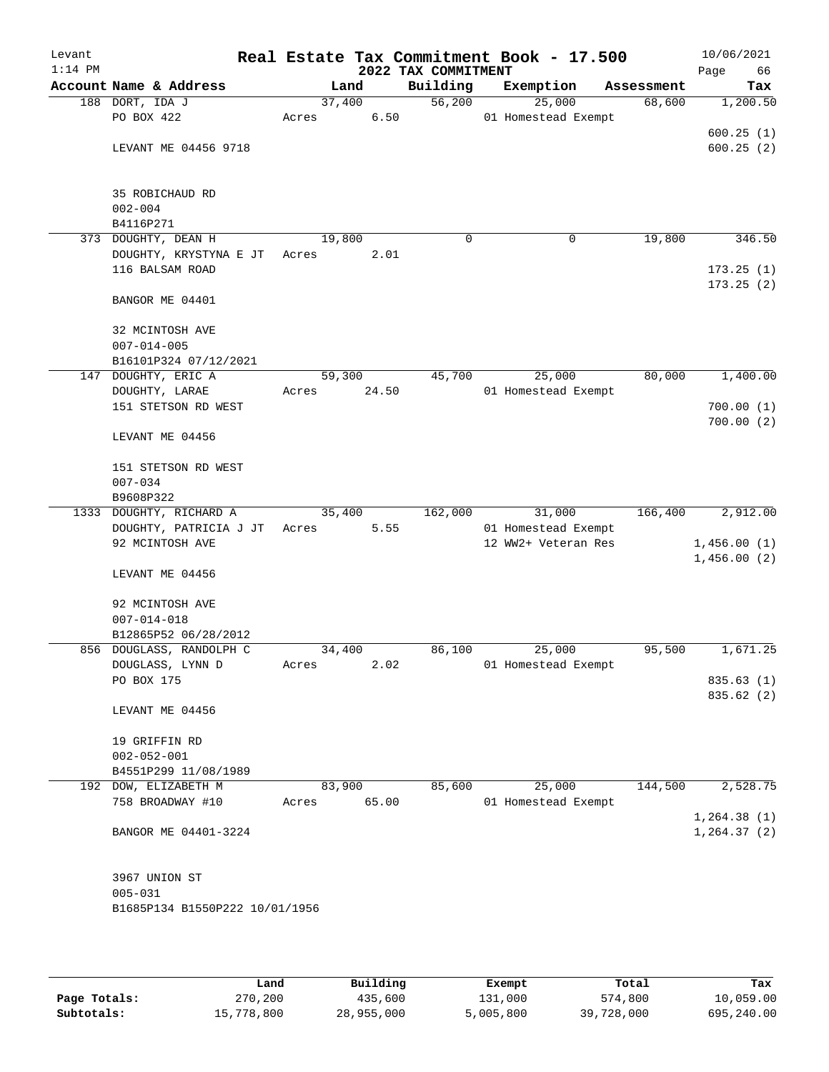| Levant<br>$1:14$ PM |                                |        |       | 2022 TAX COMMITMENT | Real Estate Tax Commitment Book - 17.500 |            | 10/06/2021<br>66<br>Page |
|---------------------|--------------------------------|--------|-------|---------------------|------------------------------------------|------------|--------------------------|
|                     | Account Name & Address         |        | Land  | Building            | Exemption                                | Assessment | Tax                      |
|                     | 188 DORT, IDA J                | 37,400 |       | 56,200              | 25,000                                   | 68,600     | 1,200.50                 |
|                     | PO BOX 422                     | Acres  | 6.50  |                     | 01 Homestead Exempt                      |            |                          |
|                     |                                |        |       |                     |                                          |            | 600.25(1)                |
|                     | LEVANT ME 04456 9718           |        |       |                     |                                          |            | 600.25(2)                |
|                     |                                |        |       |                     |                                          |            |                          |
|                     | 35 ROBICHAUD RD                |        |       |                     |                                          |            |                          |
|                     | $002 - 004$                    |        |       |                     |                                          |            |                          |
|                     | B4116P271                      |        |       |                     |                                          |            |                          |
|                     | 373 DOUGHTY, DEAN H            | 19,800 |       | $\Omega$            | 0                                        | 19,800     | 346.50                   |
|                     | DOUGHTY, KRYSTYNA E JT Acres   |        | 2.01  |                     |                                          |            |                          |
|                     | 116 BALSAM ROAD                |        |       |                     |                                          |            | 173.25(1)                |
|                     |                                |        |       |                     |                                          |            | 173.25(2)                |
|                     | BANGOR ME 04401                |        |       |                     |                                          |            |                          |
|                     | 32 MCINTOSH AVE                |        |       |                     |                                          |            |                          |
|                     | $007 - 014 - 005$              |        |       |                     |                                          |            |                          |
|                     | B16101P324 07/12/2021          |        |       |                     |                                          |            |                          |
|                     | 147 DOUGHTY, ERIC A            | 59,300 |       | 45,700              | 25,000                                   | 80,000     | 1,400.00                 |
|                     | DOUGHTY, LARAE                 | Acres  | 24.50 |                     | 01 Homestead Exempt                      |            |                          |
|                     | 151 STETSON RD WEST            |        |       |                     |                                          |            | 700.00(1)                |
|                     |                                |        |       |                     |                                          |            | 700.00(2)                |
|                     | LEVANT ME 04456                |        |       |                     |                                          |            |                          |
|                     | 151 STETSON RD WEST            |        |       |                     |                                          |            |                          |
|                     | $007 - 034$                    |        |       |                     |                                          |            |                          |
|                     | B9608P322                      |        |       |                     |                                          |            |                          |
|                     | 1333 DOUGHTY, RICHARD A        | 35,400 |       | 162,000             | 31,000                                   | 166,400    | 2,912.00                 |
|                     | DOUGHTY, PATRICIA J JT         | Acres  | 5.55  |                     | 01 Homestead Exempt                      |            |                          |
|                     | 92 MCINTOSH AVE                |        |       |                     | 12 WW2+ Veteran Res                      |            | 1,456.00(1)              |
|                     |                                |        |       |                     |                                          |            | 1,456.00(2)              |
|                     | LEVANT ME 04456                |        |       |                     |                                          |            |                          |
|                     | 92 MCINTOSH AVE                |        |       |                     |                                          |            |                          |
|                     | $007 - 014 - 018$              |        |       |                     |                                          |            |                          |
|                     | B12865P52 06/28/2012           |        |       |                     |                                          |            |                          |
|                     | 856 DOUGLASS, RANDOLPH C       | 34,400 |       | 86,100              | 25,000                                   | 95,500     | 1,671.25                 |
|                     | DOUGLASS, LYNN D               | Acres  | 2.02  |                     | 01 Homestead Exempt                      |            |                          |
|                     | PO BOX 175                     |        |       |                     |                                          |            | 835.63(1)                |
|                     | LEVANT ME 04456                |        |       |                     |                                          |            | 835.62 (2)               |
|                     |                                |        |       |                     |                                          |            |                          |
|                     | 19 GRIFFIN RD                  |        |       |                     |                                          |            |                          |
|                     | $002 - 052 - 001$              |        |       |                     |                                          |            |                          |
|                     | B4551P299 11/08/1989           |        |       |                     |                                          |            |                          |
|                     | 192 DOW, ELIZABETH M           | 83,900 |       | 85,600              | 25,000                                   | 144,500    | 2,528.75                 |
|                     | 758 BROADWAY #10               | Acres  | 65.00 |                     | 01 Homestead Exempt                      |            |                          |
|                     |                                |        |       |                     |                                          |            | 1, 264.38(1)             |
|                     | BANGOR ME 04401-3224           |        |       |                     |                                          |            | 1, 264.37(2)             |
|                     |                                |        |       |                     |                                          |            |                          |
|                     | 3967 UNION ST                  |        |       |                     |                                          |            |                          |
|                     | $005 - 031$                    |        |       |                     |                                          |            |                          |
|                     | B1685P134 B1550P222 10/01/1956 |        |       |                     |                                          |            |                          |
|                     |                                |        |       |                     |                                          |            |                          |

|              | Land       | Building   | Exempt    | Total      | Tax        |
|--------------|------------|------------|-----------|------------|------------|
| Page Totals: | 270,200    | 435,600    | 131,000   | 574,800    | 10,059.00  |
| Subtotals:   | 15,778,800 | 28,955,000 | 5,005,800 | 39,728,000 | 695,240.00 |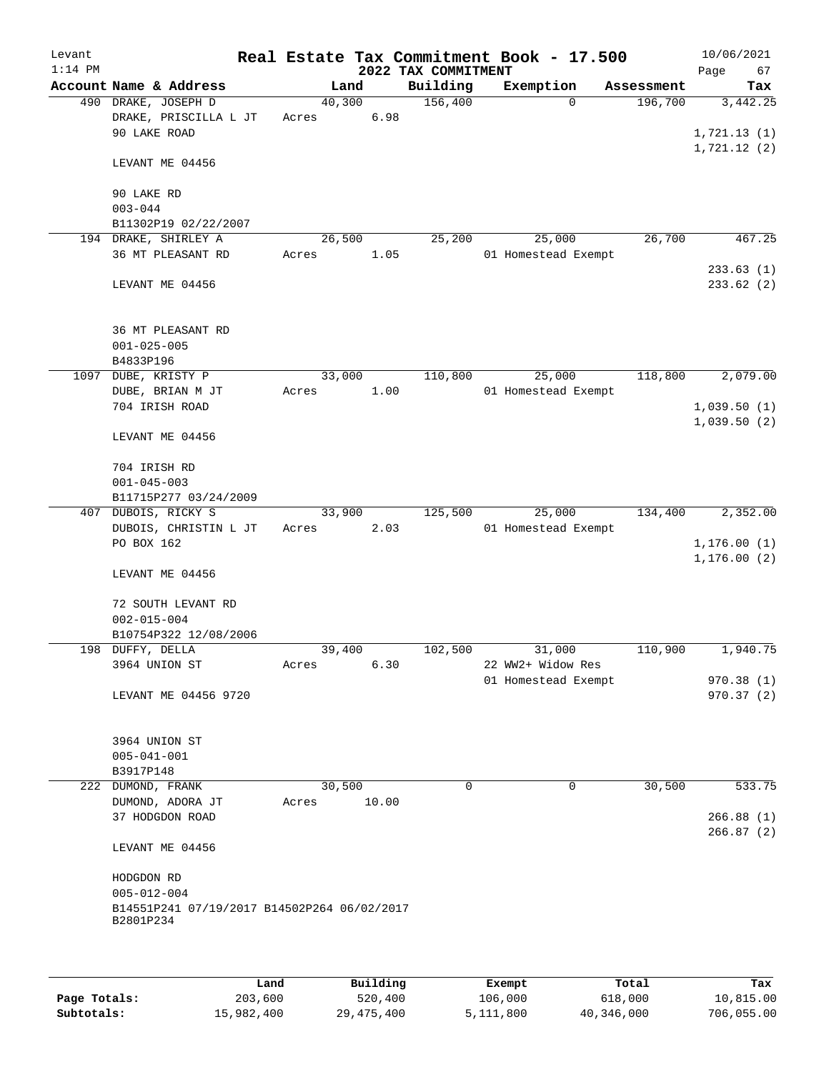| Account Name & Address<br>Building<br>Exemption<br>Land<br>Assessment<br>156,400<br>490 DRAKE, JOSEPH D<br>40,300<br>196,700<br>$\Omega$<br>6.98<br>DRAKE, PRISCILLA L JT<br>Acres<br>90 LAKE ROAD<br>1,721.12(2)<br>LEVANT ME 04456<br>90 LAKE RD<br>$003 - 044$<br>B11302P19 02/22/2007<br>194 DRAKE, SHIRLEY A<br>25,000<br>26,700<br>26,500<br>25,200<br>36 MT PLEASANT RD<br>01 Homestead Exempt<br>Acres<br>1.05<br>LEVANT ME 04456<br>36 MT PLEASANT RD<br>$001 - 025 - 005$<br>B4833P196<br>DUBE, KRISTY P<br>33,000<br>110,800<br>25,000<br>118,800<br>1097<br>1.00<br>01 Homestead Exempt<br>DUBE, BRIAN M JT<br>Acres<br>704 IRISH ROAD<br>LEVANT ME 04456<br>704 IRISH RD<br>$001 - 045 - 003$<br>B11715P277 03/24/2009<br>407 DUBOIS, RICKY S<br>33,900<br>125,500<br>25,000<br>134,400<br>DUBOIS, CHRISTIN L JT<br>2.03<br>01 Homestead Exempt<br>Acres<br>PO BOX 162<br>1, 176.00(2)<br>LEVANT ME 04456<br>72 SOUTH LEVANT RD<br>$002 - 015 - 004$<br>B10754P322 12/08/2006<br>39,400<br>102,500<br>31,000<br>110,900<br>1,940.75<br>198 DUFFY, DELLA<br>6.30<br>22 WW2+ Widow Res<br>3964 UNION ST<br>Acres<br>01 Homestead Exempt<br>970.38(1)<br>LEVANT ME 04456 9720<br>3964 UNION ST<br>$005 - 041 - 001$<br>B3917P148<br>222 DUMOND, FRANK<br>30,500<br>0<br>$\mathbf 0$<br>30,500<br>533.75<br>DUMOND, ADORA JT<br>10.00<br>Acres<br>37 HODGDON ROAD<br>LEVANT ME 04456<br>HODGDON RD<br>$005 - 012 - 004$<br>B14551P241 07/19/2017 B14502P264 06/02/2017<br>B2801P234 | Levant<br>$1:14$ PM |  |  | 2022 TAX COMMITMENT | Real Estate Tax Commitment Book - 17.500 | 10/06/2021<br>Page<br>67 |
|----------------------------------------------------------------------------------------------------------------------------------------------------------------------------------------------------------------------------------------------------------------------------------------------------------------------------------------------------------------------------------------------------------------------------------------------------------------------------------------------------------------------------------------------------------------------------------------------------------------------------------------------------------------------------------------------------------------------------------------------------------------------------------------------------------------------------------------------------------------------------------------------------------------------------------------------------------------------------------------------------------------------------------------------------------------------------------------------------------------------------------------------------------------------------------------------------------------------------------------------------------------------------------------------------------------------------------------------------------------------------------------------------------------------------------------------------------------------------------------------|---------------------|--|--|---------------------|------------------------------------------|--------------------------|
|                                                                                                                                                                                                                                                                                                                                                                                                                                                                                                                                                                                                                                                                                                                                                                                                                                                                                                                                                                                                                                                                                                                                                                                                                                                                                                                                                                                                                                                                                              |                     |  |  |                     |                                          | Tax                      |
|                                                                                                                                                                                                                                                                                                                                                                                                                                                                                                                                                                                                                                                                                                                                                                                                                                                                                                                                                                                                                                                                                                                                                                                                                                                                                                                                                                                                                                                                                              |                     |  |  |                     |                                          | 3,442.25<br>1,721.13(1)  |
|                                                                                                                                                                                                                                                                                                                                                                                                                                                                                                                                                                                                                                                                                                                                                                                                                                                                                                                                                                                                                                                                                                                                                                                                                                                                                                                                                                                                                                                                                              |                     |  |  |                     |                                          |                          |
|                                                                                                                                                                                                                                                                                                                                                                                                                                                                                                                                                                                                                                                                                                                                                                                                                                                                                                                                                                                                                                                                                                                                                                                                                                                                                                                                                                                                                                                                                              |                     |  |  |                     |                                          |                          |
|                                                                                                                                                                                                                                                                                                                                                                                                                                                                                                                                                                                                                                                                                                                                                                                                                                                                                                                                                                                                                                                                                                                                                                                                                                                                                                                                                                                                                                                                                              |                     |  |  |                     |                                          |                          |
|                                                                                                                                                                                                                                                                                                                                                                                                                                                                                                                                                                                                                                                                                                                                                                                                                                                                                                                                                                                                                                                                                                                                                                                                                                                                                                                                                                                                                                                                                              |                     |  |  |                     |                                          | 467.25                   |
|                                                                                                                                                                                                                                                                                                                                                                                                                                                                                                                                                                                                                                                                                                                                                                                                                                                                                                                                                                                                                                                                                                                                                                                                                                                                                                                                                                                                                                                                                              |                     |  |  |                     |                                          | 233.63(1)                |
|                                                                                                                                                                                                                                                                                                                                                                                                                                                                                                                                                                                                                                                                                                                                                                                                                                                                                                                                                                                                                                                                                                                                                                                                                                                                                                                                                                                                                                                                                              |                     |  |  |                     |                                          | 233.62 (2)               |
|                                                                                                                                                                                                                                                                                                                                                                                                                                                                                                                                                                                                                                                                                                                                                                                                                                                                                                                                                                                                                                                                                                                                                                                                                                                                                                                                                                                                                                                                                              |                     |  |  |                     |                                          |                          |
|                                                                                                                                                                                                                                                                                                                                                                                                                                                                                                                                                                                                                                                                                                                                                                                                                                                                                                                                                                                                                                                                                                                                                                                                                                                                                                                                                                                                                                                                                              |                     |  |  |                     |                                          | 2,079.00                 |
|                                                                                                                                                                                                                                                                                                                                                                                                                                                                                                                                                                                                                                                                                                                                                                                                                                                                                                                                                                                                                                                                                                                                                                                                                                                                                                                                                                                                                                                                                              |                     |  |  |                     |                                          |                          |
|                                                                                                                                                                                                                                                                                                                                                                                                                                                                                                                                                                                                                                                                                                                                                                                                                                                                                                                                                                                                                                                                                                                                                                                                                                                                                                                                                                                                                                                                                              |                     |  |  |                     |                                          | 1,039.50(1)              |
|                                                                                                                                                                                                                                                                                                                                                                                                                                                                                                                                                                                                                                                                                                                                                                                                                                                                                                                                                                                                                                                                                                                                                                                                                                                                                                                                                                                                                                                                                              |                     |  |  |                     |                                          | 1,039.50(2)              |
|                                                                                                                                                                                                                                                                                                                                                                                                                                                                                                                                                                                                                                                                                                                                                                                                                                                                                                                                                                                                                                                                                                                                                                                                                                                                                                                                                                                                                                                                                              |                     |  |  |                     |                                          |                          |
|                                                                                                                                                                                                                                                                                                                                                                                                                                                                                                                                                                                                                                                                                                                                                                                                                                                                                                                                                                                                                                                                                                                                                                                                                                                                                                                                                                                                                                                                                              |                     |  |  |                     |                                          |                          |
|                                                                                                                                                                                                                                                                                                                                                                                                                                                                                                                                                                                                                                                                                                                                                                                                                                                                                                                                                                                                                                                                                                                                                                                                                                                                                                                                                                                                                                                                                              |                     |  |  |                     |                                          | 2,352.00                 |
|                                                                                                                                                                                                                                                                                                                                                                                                                                                                                                                                                                                                                                                                                                                                                                                                                                                                                                                                                                                                                                                                                                                                                                                                                                                                                                                                                                                                                                                                                              |                     |  |  |                     |                                          | 1, 176.00(1)             |
|                                                                                                                                                                                                                                                                                                                                                                                                                                                                                                                                                                                                                                                                                                                                                                                                                                                                                                                                                                                                                                                                                                                                                                                                                                                                                                                                                                                                                                                                                              |                     |  |  |                     |                                          |                          |
|                                                                                                                                                                                                                                                                                                                                                                                                                                                                                                                                                                                                                                                                                                                                                                                                                                                                                                                                                                                                                                                                                                                                                                                                                                                                                                                                                                                                                                                                                              |                     |  |  |                     |                                          |                          |
|                                                                                                                                                                                                                                                                                                                                                                                                                                                                                                                                                                                                                                                                                                                                                                                                                                                                                                                                                                                                                                                                                                                                                                                                                                                                                                                                                                                                                                                                                              |                     |  |  |                     |                                          |                          |
|                                                                                                                                                                                                                                                                                                                                                                                                                                                                                                                                                                                                                                                                                                                                                                                                                                                                                                                                                                                                                                                                                                                                                                                                                                                                                                                                                                                                                                                                                              |                     |  |  |                     |                                          |                          |
|                                                                                                                                                                                                                                                                                                                                                                                                                                                                                                                                                                                                                                                                                                                                                                                                                                                                                                                                                                                                                                                                                                                                                                                                                                                                                                                                                                                                                                                                                              |                     |  |  |                     |                                          |                          |
|                                                                                                                                                                                                                                                                                                                                                                                                                                                                                                                                                                                                                                                                                                                                                                                                                                                                                                                                                                                                                                                                                                                                                                                                                                                                                                                                                                                                                                                                                              |                     |  |  |                     |                                          | 970.37(2)                |
|                                                                                                                                                                                                                                                                                                                                                                                                                                                                                                                                                                                                                                                                                                                                                                                                                                                                                                                                                                                                                                                                                                                                                                                                                                                                                                                                                                                                                                                                                              |                     |  |  |                     |                                          |                          |
|                                                                                                                                                                                                                                                                                                                                                                                                                                                                                                                                                                                                                                                                                                                                                                                                                                                                                                                                                                                                                                                                                                                                                                                                                                                                                                                                                                                                                                                                                              |                     |  |  |                     |                                          |                          |
|                                                                                                                                                                                                                                                                                                                                                                                                                                                                                                                                                                                                                                                                                                                                                                                                                                                                                                                                                                                                                                                                                                                                                                                                                                                                                                                                                                                                                                                                                              |                     |  |  |                     |                                          |                          |
|                                                                                                                                                                                                                                                                                                                                                                                                                                                                                                                                                                                                                                                                                                                                                                                                                                                                                                                                                                                                                                                                                                                                                                                                                                                                                                                                                                                                                                                                                              |                     |  |  |                     |                                          |                          |
|                                                                                                                                                                                                                                                                                                                                                                                                                                                                                                                                                                                                                                                                                                                                                                                                                                                                                                                                                                                                                                                                                                                                                                                                                                                                                                                                                                                                                                                                                              |                     |  |  |                     |                                          | 266.88(1)<br>266.87(2)   |
|                                                                                                                                                                                                                                                                                                                                                                                                                                                                                                                                                                                                                                                                                                                                                                                                                                                                                                                                                                                                                                                                                                                                                                                                                                                                                                                                                                                                                                                                                              |                     |  |  |                     |                                          |                          |
|                                                                                                                                                                                                                                                                                                                                                                                                                                                                                                                                                                                                                                                                                                                                                                                                                                                                                                                                                                                                                                                                                                                                                                                                                                                                                                                                                                                                                                                                                              |                     |  |  |                     |                                          |                          |
|                                                                                                                                                                                                                                                                                                                                                                                                                                                                                                                                                                                                                                                                                                                                                                                                                                                                                                                                                                                                                                                                                                                                                                                                                                                                                                                                                                                                                                                                                              |                     |  |  |                     |                                          |                          |

|              | Land       | Building   | Exempt    | Total      | Tax        |
|--------------|------------|------------|-----------|------------|------------|
| Page Totals: | 203,600    | 520,400    | 106,000   | 618,000    | 10,815.00  |
| Subtotals:   | 15,982,400 | 29,475,400 | 5,111,800 | 40,346,000 | 706,055.00 |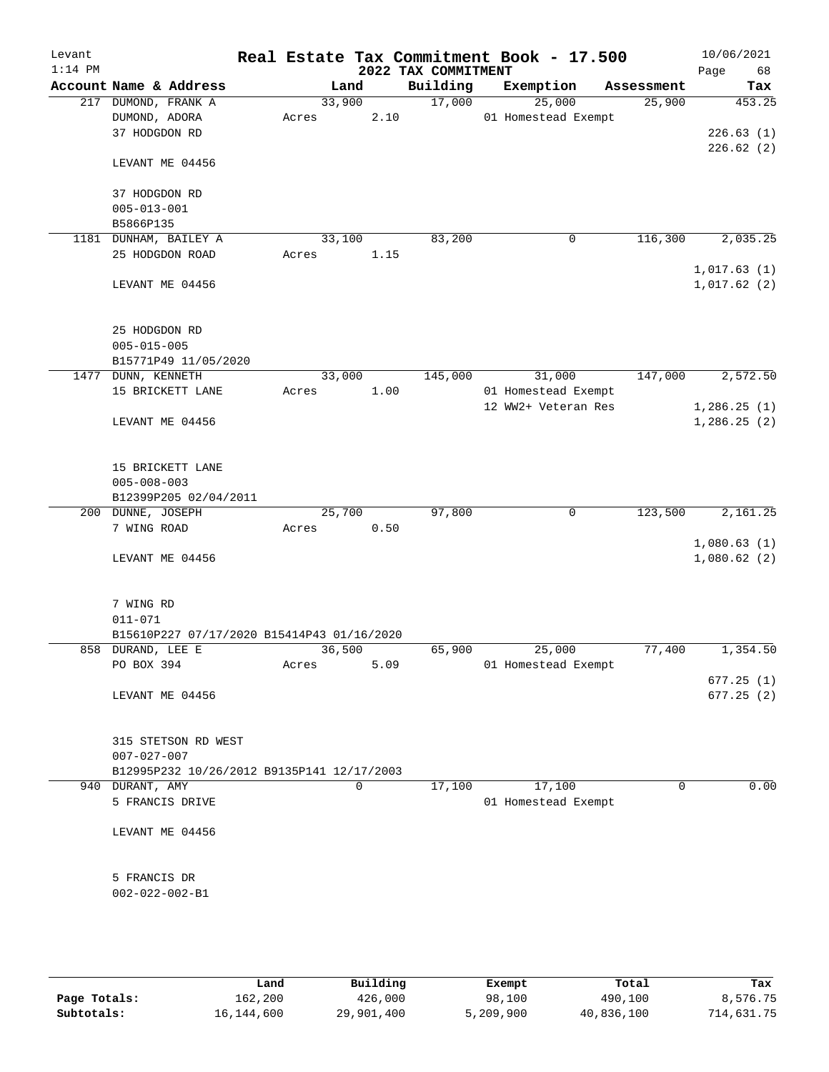| Levant<br>$1:14$ PM |                                                                |        |             | 2022 TAX COMMITMENT | Real Estate Tax Commitment Book - 17.500 |             | 10/06/2021<br>Page<br>68   |
|---------------------|----------------------------------------------------------------|--------|-------------|---------------------|------------------------------------------|-------------|----------------------------|
|                     | Account Name & Address                                         |        | Land        | Building            | Exemption                                | Assessment  | Tax                        |
|                     | 217 DUMOND, FRANK A                                            | 33,900 |             | 17,000              | 25,000                                   | 25,900      | 453.25                     |
|                     | DUMOND, ADORA                                                  | Acres  | 2.10        |                     | 01 Homestead Exempt                      |             |                            |
|                     | 37 HODGDON RD                                                  |        |             |                     |                                          |             | 226.63(1)                  |
|                     | LEVANT ME 04456                                                |        |             |                     |                                          |             | 226.62(2)                  |
|                     | 37 HODGDON RD                                                  |        |             |                     |                                          |             |                            |
|                     | $005 - 013 - 001$                                              |        |             |                     |                                          |             |                            |
|                     | B5866P135                                                      |        |             |                     |                                          |             |                            |
|                     | 1181 DUNHAM, BAILEY A                                          | 33,100 |             | 83,200              | 0                                        | 116,300     | 2,035.25                   |
|                     | 25 HODGDON ROAD                                                | Acres  | 1.15        |                     |                                          |             |                            |
|                     | LEVANT ME 04456                                                |        |             |                     |                                          |             | 1,017.63(1)<br>1,017.62(2) |
|                     | 25 HODGDON RD                                                  |        |             |                     |                                          |             |                            |
|                     | $005 - 015 - 005$                                              |        |             |                     |                                          |             |                            |
|                     | B15771P49 11/05/2020                                           |        |             |                     |                                          |             |                            |
|                     | 1477 DUNN, KENNETH                                             | 33,000 |             | 145,000             | 31,000                                   | 147,000     | 2,572.50                   |
|                     | 15 BRICKETT LANE                                               | Acres  | 1.00        |                     | 01 Homestead Exempt                      |             |                            |
|                     |                                                                |        |             |                     | 12 WW2+ Veteran Res                      |             | 1,286.25(1)                |
|                     | LEVANT ME 04456                                                |        |             |                     |                                          |             | 1,286.25(2)                |
|                     | 15 BRICKETT LANE<br>$005 - 008 - 003$<br>B12399P205 02/04/2011 |        |             |                     |                                          |             |                            |
|                     | 200 DUNNE, JOSEPH                                              | 25,700 |             | 97,800              | 0                                        | 123,500     | 2,161.25                   |
|                     | 7 WING ROAD                                                    | Acres  | 0.50        |                     |                                          |             |                            |
|                     |                                                                |        |             |                     |                                          |             | 1,080.63(1)                |
|                     | LEVANT ME 04456                                                |        |             |                     |                                          |             | 1,080.62(2)                |
|                     | 7 WING RD<br>$011 - 071$                                       |        |             |                     |                                          |             |                            |
|                     | B15610P227 07/17/2020 B15414P43 01/16/2020                     |        |             |                     |                                          |             |                            |
|                     | 858 DURAND, LEE E                                              | 36,500 |             | 65,900              | 25,000                                   | 77,400      | 1,354.50                   |
|                     | PO BOX 394                                                     | Acres  | 5.09        |                     | 01 Homestead Exempt                      |             |                            |
|                     |                                                                |        |             |                     |                                          |             | 677.25(1)                  |
|                     | LEVANT ME 04456                                                |        |             |                     |                                          |             | 677.25(2)                  |
|                     | 315 STETSON RD WEST<br>$007 - 027 - 007$                       |        |             |                     |                                          |             |                            |
|                     | B12995P232 10/26/2012 B9135P141 12/17/2003                     |        |             |                     |                                          |             |                            |
|                     | 940 DURANT, AMY                                                |        | $\mathbf 0$ | 17,100              | 17,100                                   | $\mathbf 0$ | 0.00                       |
|                     | 5 FRANCIS DRIVE                                                |        |             |                     | 01 Homestead Exempt                      |             |                            |
|                     | LEVANT ME 04456                                                |        |             |                     |                                          |             |                            |
|                     | 5 FRANCIS DR                                                   |        |             |                     |                                          |             |                            |
|                     | $002 - 022 - 002 - B1$                                         |        |             |                     |                                          |             |                            |
|                     |                                                                |        |             |                     |                                          |             |                            |
|                     |                                                                |        |             |                     |                                          |             |                            |

|              | Land       | Building   | Exempt    | Total      | Tax        |
|--------------|------------|------------|-----------|------------|------------|
| Page Totals: | 162,200    | 426,000    | 98,100    | 490,100    | 8,576.75   |
| Subtotals:   | 16,144,600 | 29,901,400 | 5,209,900 | 40,836,100 | 714,631.75 |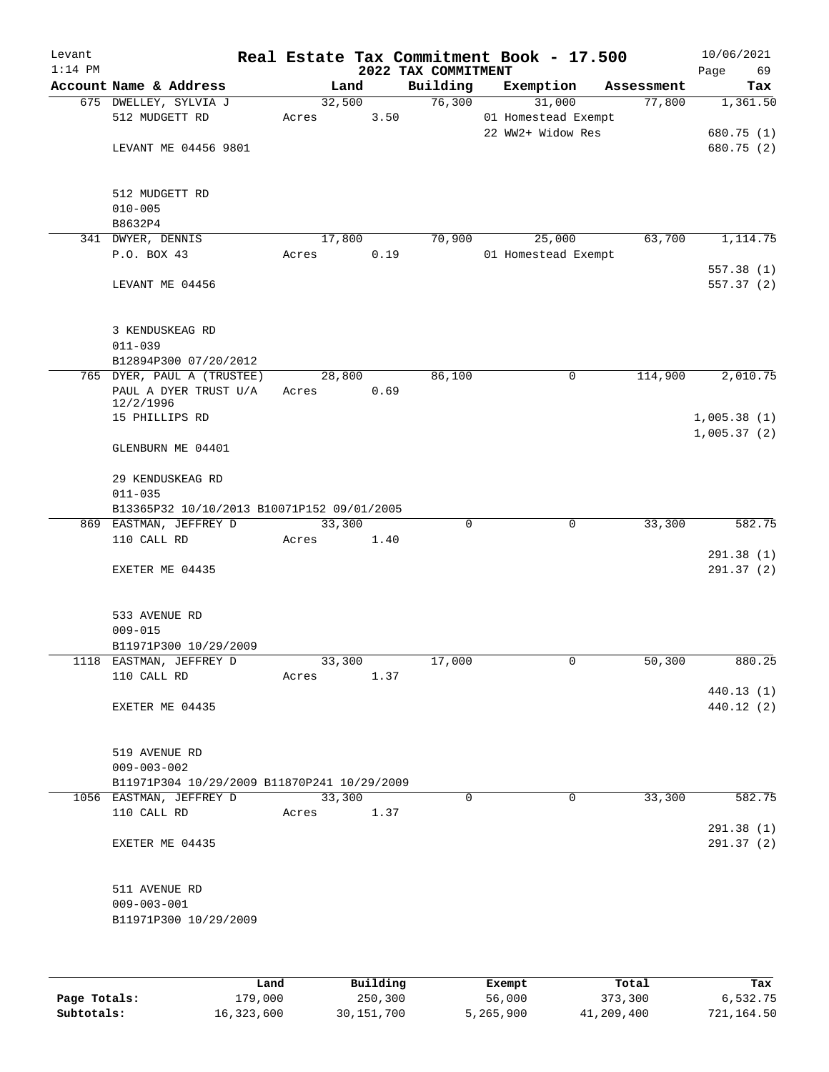| Levant<br>$1:14$ PM |                                                                                    |                 |          | 2022 TAX COMMITMENT | Real Estate Tax Commitment Book - 17.500           |            | 10/06/2021<br>Page<br>69             |
|---------------------|------------------------------------------------------------------------------------|-----------------|----------|---------------------|----------------------------------------------------|------------|--------------------------------------|
|                     | Account Name & Address                                                             | Land            |          | Building            | Exemption                                          | Assessment | Tax                                  |
|                     | 675 DWELLEY, SYLVIA J<br>512 MUDGETT RD<br>LEVANT ME 04456 9801                    | 32,500<br>Acres | 3.50     | 76,300              | 31,000<br>01 Homestead Exempt<br>22 WW2+ Widow Res | 77,800     | 1,361.50<br>680.75 (1)<br>680.75 (2) |
|                     | 512 MUDGETT RD<br>$010 - 005$<br>B8632P4                                           |                 |          |                     |                                                    |            |                                      |
|                     | 341 DWYER, DENNIS                                                                  | 17,800          |          | 70,900              | 25,000                                             | 63,700     | 1,114.75                             |
|                     | P.O. BOX 43                                                                        | Acres           | 0.19     |                     | 01 Homestead Exempt                                |            |                                      |
|                     | LEVANT ME 04456                                                                    |                 |          |                     |                                                    |            | 557.38(1)<br>557.37 (2)              |
|                     | 3 KENDUSKEAG RD<br>$011 - 039$                                                     |                 |          |                     |                                                    |            |                                      |
|                     | B12894P300 07/20/2012                                                              |                 |          |                     |                                                    |            |                                      |
|                     | 765 DYER, PAUL A (TRUSTEE)<br>PAUL A DYER TRUST U/A<br>12/2/1996<br>15 PHILLIPS RD | 28,800<br>Acres | 0.69     | 86,100              | 0                                                  | 114,900    | 2,010.75<br>1,005.38(1)              |
|                     | GLENBURN ME 04401                                                                  |                 |          |                     |                                                    |            | 1,005.37(2)                          |
|                     | 29 KENDUSKEAG RD<br>$011 - 035$                                                    |                 |          |                     |                                                    |            |                                      |
|                     | B13365P32 10/10/2013 B10071P152 09/01/2005<br>869 EASTMAN, JEFFREY D               | 33,300          |          | 0                   | $\mathbf 0$                                        | 33,300     | 582.75                               |
|                     | 110 CALL RD                                                                        | Acres           | 1.40     |                     |                                                    |            |                                      |
|                     | EXETER ME 04435                                                                    |                 |          |                     |                                                    |            | 291.38(1)<br>291.37(2)               |
|                     | 533 AVENUE RD<br>$009 - 015$<br>B11971P300 10/29/2009                              |                 |          |                     |                                                    |            |                                      |
|                     | 1118 EASTMAN, JEFFREY D                                                            | 33,300          |          | 17,000              | 0                                                  | 50,300     | 880.25                               |
|                     | 110 CALL RD                                                                        | Acres           | 1.37     |                     |                                                    |            | 440.13 (1)                           |
|                     | EXETER ME 04435                                                                    |                 |          |                     |                                                    |            | 440.12 (2)                           |
|                     | 519 AVENUE RD<br>$009 - 003 - 002$                                                 |                 |          |                     |                                                    |            |                                      |
|                     | B11971P304 10/29/2009 B11870P241 10/29/2009                                        |                 |          |                     |                                                    |            |                                      |
|                     | 1056 EASTMAN, JEFFREY D                                                            | 33,300          |          | $\Omega$            | $\Omega$                                           | 33,300     | 582.75                               |
|                     | 110 CALL RD                                                                        | Acres           | 1.37     |                     |                                                    |            | 291.38 (1)                           |
|                     | EXETER ME 04435                                                                    |                 |          |                     |                                                    |            | 291.37 (2)                           |
|                     | 511 AVENUE RD<br>$009 - 003 - 001$<br>B11971P300 10/29/2009                        |                 |          |                     |                                                    |            |                                      |
|                     | Land                                                                               |                 | Building |                     | Exempt                                             | Total      | Tax                                  |

|              | Land       | Building   | Exempt    | Total      | Tax        |
|--------------|------------|------------|-----------|------------|------------|
| Page Totals: | 179,000    | 250,300    | 56,000    | 373,300    | 6,532.75   |
| Subtotals:   | 16,323,600 | 30,151,700 | 5,265,900 | 41,209,400 | 721,164.50 |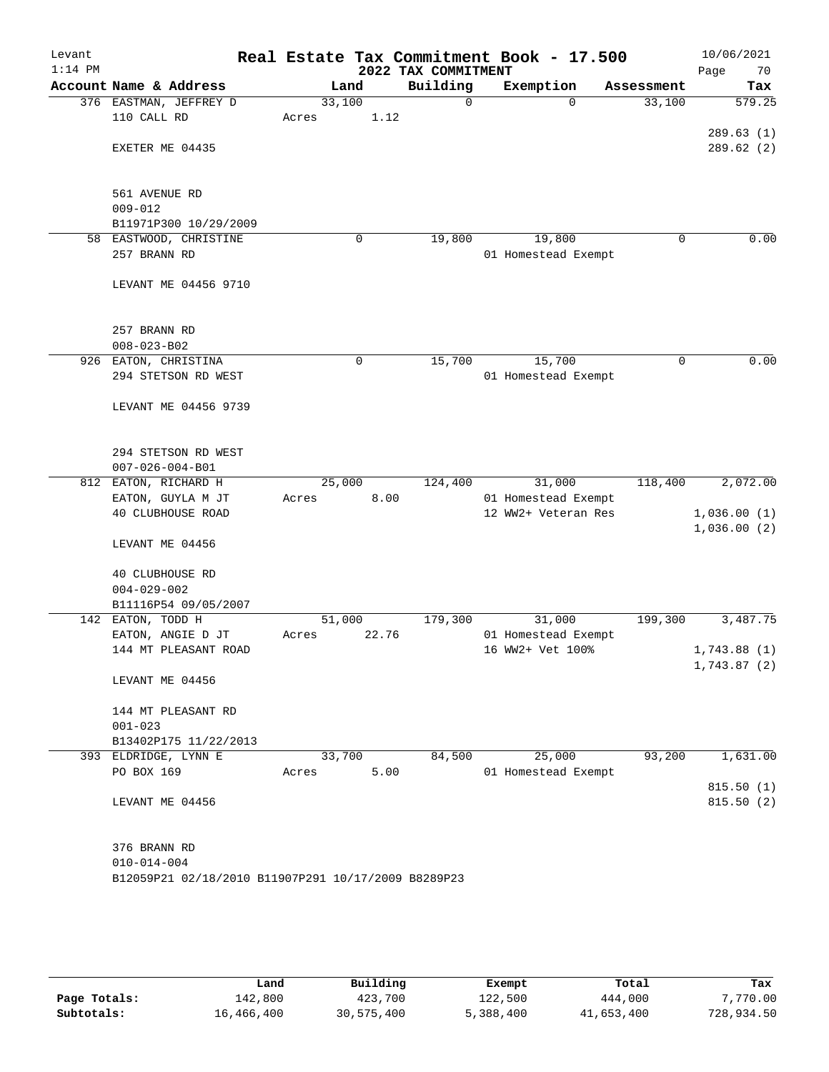| Levant<br>$1:14$ PM |                                                     |        |      |       | 2022 TAX COMMITMENT | Real Estate Tax Commitment Book - 17.500 |            | Page | 10/06/2021<br>70       |
|---------------------|-----------------------------------------------------|--------|------|-------|---------------------|------------------------------------------|------------|------|------------------------|
|                     | Account Name & Address                              |        | Land |       | Building            | Exemption                                | Assessment |      | Tax                    |
|                     | 376 EASTMAN, JEFFREY D                              | 33,100 |      |       | $\mathbf 0$         | $\Omega$                                 | 33,100     |      | 579.25                 |
|                     | 110 CALL RD                                         | Acres  |      | 1.12  |                     |                                          |            |      |                        |
|                     |                                                     |        |      |       |                     |                                          |            |      | 289.63(1)              |
|                     | EXETER ME 04435                                     |        |      |       |                     |                                          |            |      | 289.62(2)              |
|                     |                                                     |        |      |       |                     |                                          |            |      |                        |
|                     |                                                     |        |      |       |                     |                                          |            |      |                        |
|                     | 561 AVENUE RD                                       |        |      |       |                     |                                          |            |      |                        |
|                     | $009 - 012$                                         |        |      |       |                     |                                          |            |      |                        |
| 58                  | B11971P300 10/29/2009<br>EASTWOOD, CHRISTINE        |        | 0    |       | 19,800              | 19,800                                   | 0          |      | 0.00                   |
|                     | 257 BRANN RD                                        |        |      |       |                     | 01 Homestead Exempt                      |            |      |                        |
|                     |                                                     |        |      |       |                     |                                          |            |      |                        |
|                     | LEVANT ME 04456 9710                                |        |      |       |                     |                                          |            |      |                        |
|                     |                                                     |        |      |       |                     |                                          |            |      |                        |
|                     |                                                     |        |      |       |                     |                                          |            |      |                        |
|                     | 257 BRANN RD                                        |        |      |       |                     |                                          |            |      |                        |
|                     | $008 - 023 - B02$                                   |        |      |       |                     |                                          |            |      |                        |
| 926                 | EATON, CHRISTINA                                    |        | 0    |       | 15,700              | 15,700                                   | 0          |      | 0.00                   |
|                     | 294 STETSON RD WEST                                 |        |      |       |                     | 01 Homestead Exempt                      |            |      |                        |
|                     |                                                     |        |      |       |                     |                                          |            |      |                        |
|                     | LEVANT ME 04456 9739                                |        |      |       |                     |                                          |            |      |                        |
|                     |                                                     |        |      |       |                     |                                          |            |      |                        |
|                     | 294 STETSON RD WEST                                 |        |      |       |                     |                                          |            |      |                        |
|                     | $007 - 026 - 004 - B01$                             |        |      |       |                     |                                          |            |      |                        |
| 812                 | EATON, RICHARD H                                    | 25,000 |      |       | 124,400             | 31,000                                   | 118,400    |      | 2,072.00               |
|                     | EATON, GUYLA M JT                                   | Acres  |      | 8.00  |                     | 01 Homestead Exempt                      |            |      |                        |
|                     | 40 CLUBHOUSE ROAD                                   |        |      |       |                     | 12 WW2+ Veteran Res                      |            |      | 1,036.00(1)            |
|                     |                                                     |        |      |       |                     |                                          |            |      | 1,036.00(2)            |
|                     | LEVANT ME 04456                                     |        |      |       |                     |                                          |            |      |                        |
|                     |                                                     |        |      |       |                     |                                          |            |      |                        |
|                     | 40 CLUBHOUSE RD                                     |        |      |       |                     |                                          |            |      |                        |
|                     | $004 - 029 - 002$                                   |        |      |       |                     |                                          |            |      |                        |
| 142                 | B11116P54 09/05/2007<br>EATON, TODD H               | 51,000 |      |       | 179,300             | 31,000                                   | 199,300    |      | 3,487.75               |
|                     | EATON, ANGIE D JT                                   | Acres  |      | 22.76 |                     | 01 Homestead Exempt                      |            |      |                        |
|                     | 144 MT PLEASANT ROAD                                |        |      |       |                     | 16 WW2+ Vet 100%                         |            |      | 1,743.88(1)            |
|                     |                                                     |        |      |       |                     |                                          |            |      | 1,743.87 (2)           |
|                     | LEVANT ME 04456                                     |        |      |       |                     |                                          |            |      |                        |
|                     |                                                     |        |      |       |                     |                                          |            |      |                        |
|                     | 144 MT PLEASANT RD                                  |        |      |       |                     |                                          |            |      |                        |
|                     | $001 - 023$                                         |        |      |       |                     |                                          |            |      |                        |
|                     | B13402P175 11/22/2013                               |        |      |       |                     |                                          |            |      |                        |
|                     | 393 ELDRIDGE, LYNN E                                | 33,700 |      |       | 84,500              | 25,000                                   | 93,200     |      | 1,631.00               |
|                     | PO BOX 169                                          | Acres  |      | 5.00  |                     | 01 Homestead Exempt                      |            |      |                        |
|                     | LEVANT ME 04456                                     |        |      |       |                     |                                          |            |      | 815.50(1)<br>815.50(2) |
|                     |                                                     |        |      |       |                     |                                          |            |      |                        |
|                     |                                                     |        |      |       |                     |                                          |            |      |                        |
|                     | 376 BRANN RD                                        |        |      |       |                     |                                          |            |      |                        |
|                     | $010 - 014 - 004$                                   |        |      |       |                     |                                          |            |      |                        |
|                     | B12059P21 02/18/2010 B11907P291 10/17/2009 B8289P23 |        |      |       |                     |                                          |            |      |                        |
|                     |                                                     |        |      |       |                     |                                          |            |      |                        |

|              | Land       | Building   | Exempt    | Total      | Tax        |
|--------------|------------|------------|-----------|------------|------------|
| Page Totals: | 142,800    | 423,700    | 122,500   | 444,000    | 7,770.00   |
| Subtotals:   | 16,466,400 | 30,575,400 | 5,388,400 | 41,653,400 | 728,934.50 |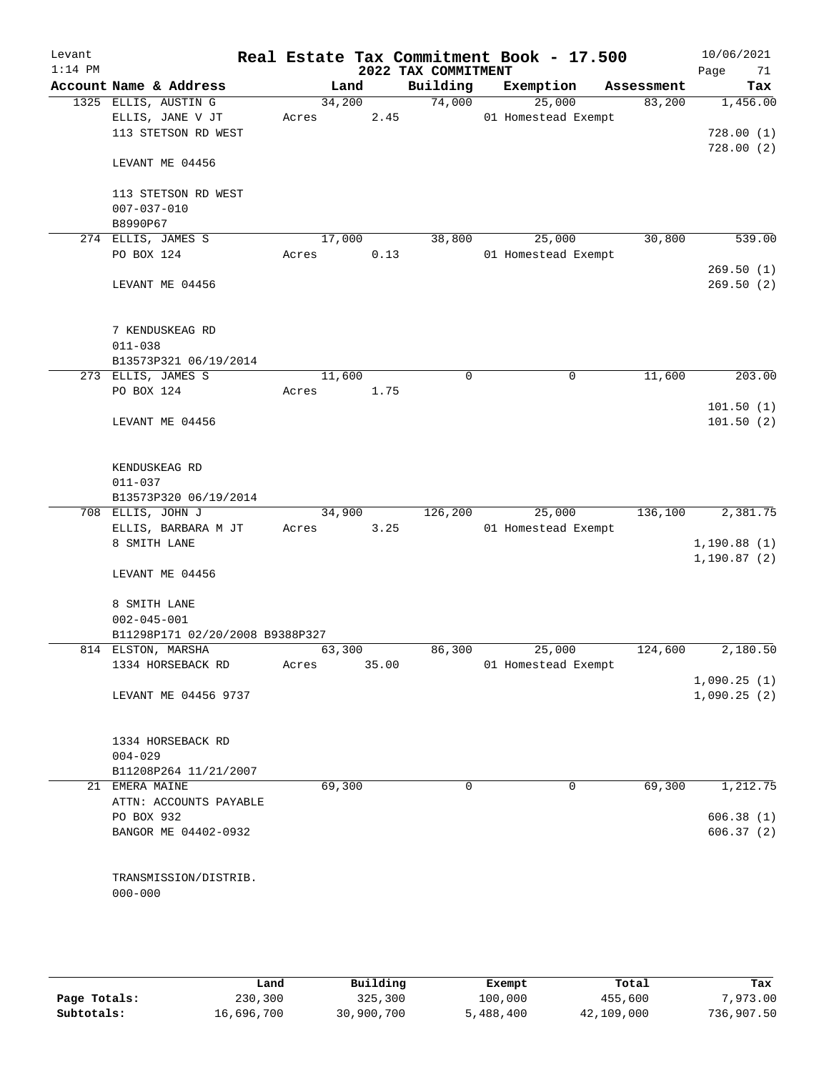| Levant<br>$1:14$ PM |                                                      |                 |       | 2022 TAX COMMITMENT | Real Estate Tax Commitment Book - 17.500 |            |         | 10/06/2021<br>71<br>Page |
|---------------------|------------------------------------------------------|-----------------|-------|---------------------|------------------------------------------|------------|---------|--------------------------|
|                     | Account Name & Address                               |                 | Land  | Building            | Exemption                                | Assessment |         | Tax                      |
|                     | 1325 ELLIS, AUSTIN G                                 | 34,200          |       | 74,000              | 25,000                                   |            | 83,200  | 1,456.00                 |
|                     | ELLIS, JANE V JT                                     | Acres           | 2.45  |                     | 01 Homestead Exempt                      |            |         |                          |
|                     | 113 STETSON RD WEST                                  |                 |       |                     |                                          |            |         | 728.00(1)                |
|                     | LEVANT ME 04456                                      |                 |       |                     |                                          |            |         | 728.00(2)                |
|                     | 113 STETSON RD WEST<br>$007 - 037 - 010$             |                 |       |                     |                                          |            |         |                          |
|                     | B8990P67                                             |                 |       |                     |                                          |            |         |                          |
|                     | 274 ELLIS, JAMES S<br>PO BOX 124                     | 17,000          |       | 38,800              | 25,000                                   |            | 30,800  | 539.00                   |
|                     |                                                      | Acres           | 0.13  |                     | 01 Homestead Exempt                      |            |         | 269.50(1)                |
|                     | LEVANT ME 04456                                      |                 |       |                     |                                          |            |         | 269.50(2)                |
|                     | 7 KENDUSKEAG RD                                      |                 |       |                     |                                          |            |         |                          |
|                     | $011 - 038$                                          |                 |       |                     |                                          |            |         |                          |
|                     | B13573P321 06/19/2014<br>273 ELLIS, JAMES S          |                 |       | $\mathbf 0$         | $\mathbf 0$                              |            | 11,600  | 203.00                   |
|                     | PO BOX 124                                           | 11,600<br>Acres | 1.75  |                     |                                          |            |         |                          |
|                     |                                                      |                 |       |                     |                                          |            |         | 101.50(1)                |
|                     | LEVANT ME 04456                                      |                 |       |                     |                                          |            |         | 101.50(2)                |
|                     | KENDUSKEAG RD                                        |                 |       |                     |                                          |            |         |                          |
|                     | $011 - 037$<br>B13573P320 06/19/2014                 |                 |       |                     |                                          |            |         |                          |
|                     | 708 ELLIS, JOHN J                                    | 34,900          |       | 126,200             | 25,000                                   |            | 136,100 | 2,381.75                 |
|                     | ELLIS, BARBARA M JT                                  | Acres           | 3.25  |                     | 01 Homestead Exempt                      |            |         |                          |
|                     | 8 SMITH LANE                                         |                 |       |                     |                                          |            |         | 1,190.88(1)              |
|                     | LEVANT ME 04456                                      |                 |       |                     |                                          |            |         | 1, 190.87(2)             |
|                     | 8 SMITH LANE                                         |                 |       |                     |                                          |            |         |                          |
|                     | $002 - 045 - 001$<br>B11298P171 02/20/2008 B9388P327 |                 |       |                     |                                          |            |         |                          |
|                     | 814 ELSTON, MARSHA                                   | 63,300          |       | 86,300              | 25,000                                   |            | 124,600 | 2,180.50                 |
|                     | 1334 HORSEBACK RD                                    | Acres           | 35.00 |                     | 01 Homestead Exempt                      |            |         |                          |
|                     |                                                      |                 |       |                     |                                          |            |         | 1,090.25(1)              |
|                     | LEVANT ME 04456 9737                                 |                 |       |                     |                                          |            |         | 1,090.25(2)              |
|                     | 1334 HORSEBACK RD                                    |                 |       |                     |                                          |            |         |                          |
|                     | $004 - 029$                                          |                 |       |                     |                                          |            |         |                          |
|                     | B11208P264 11/21/2007<br>21 EMERA MAINE              | 69,300          |       | 0                   | 0                                        |            | 69,300  | 1,212.75                 |
|                     | ATTN: ACCOUNTS PAYABLE                               |                 |       |                     |                                          |            |         |                          |
|                     | PO BOX 932                                           |                 |       |                     |                                          |            |         | 606.38(1)                |
|                     | BANGOR ME 04402-0932                                 |                 |       |                     |                                          |            |         | 606.37(2)                |
|                     | TRANSMISSION/DISTRIB.                                |                 |       |                     |                                          |            |         |                          |
|                     | $000 - 000$                                          |                 |       |                     |                                          |            |         |                          |
|                     |                                                      |                 |       |                     |                                          |            |         |                          |

|              | Land       | Building   | Exempt    | Total      | Tax        |
|--------------|------------|------------|-----------|------------|------------|
| Page Totals: | 230,300    | 325,300    | 100,000   | 455,600    | 7,973,00   |
| Subtotals:   | 16,696,700 | 30,900,700 | 5,488,400 | 42,109,000 | 736,907.50 |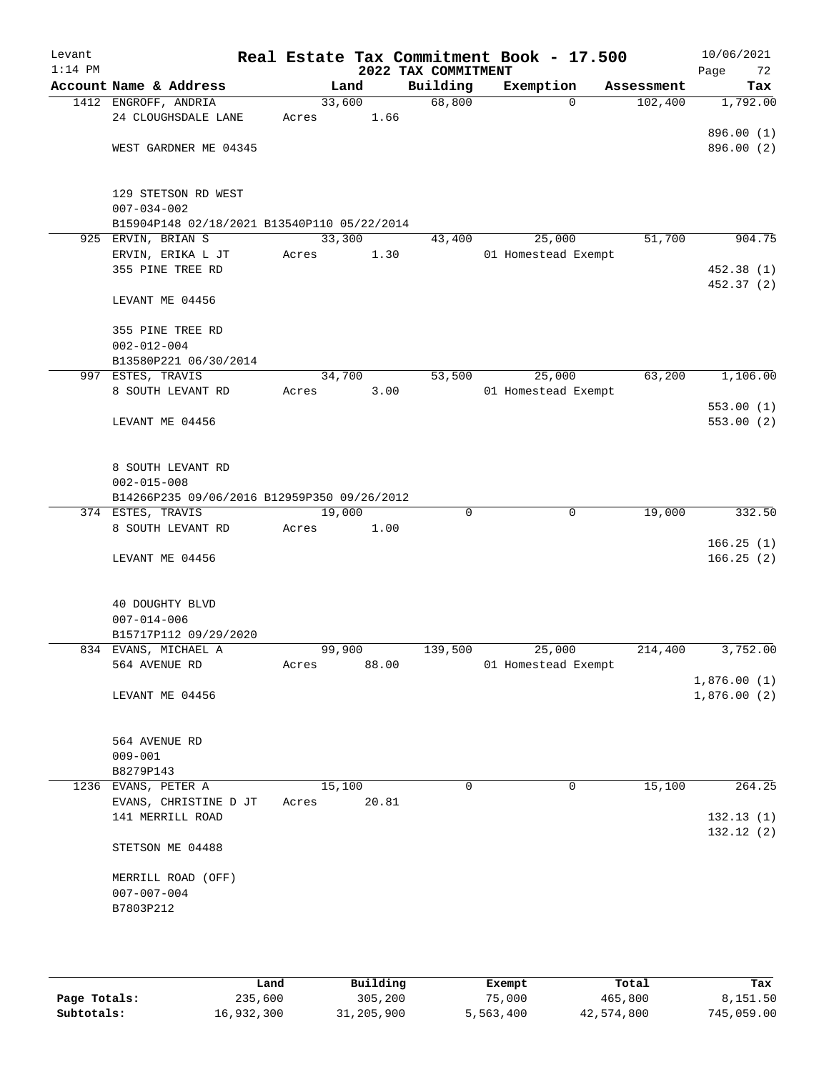| Levant<br>$1:14$ PM |                                                      |                 |                | 2022 TAX COMMITMENT | Real Estate Tax Commitment Book - 17.500 |            | 10/06/2021<br>Page<br>72 |
|---------------------|------------------------------------------------------|-----------------|----------------|---------------------|------------------------------------------|------------|--------------------------|
|                     | Account Name & Address                               |                 | Land           | Building            | Exemption                                | Assessment | Tax                      |
|                     | 1412 ENGROFF, ANDRIA<br>24 CLOUGHSDALE LANE          | Acres           | 33,600<br>1.66 | 68,800              | $\Omega$                                 | 102,400    | 1,792.00                 |
|                     | WEST GARDNER ME 04345                                |                 |                |                     |                                          |            | 896.00 (1)<br>896.00 (2) |
|                     | 129 STETSON RD WEST<br>$007 - 034 - 002$             |                 |                |                     |                                          |            |                          |
|                     | B15904P148 02/18/2021 B13540P110 05/22/2014          |                 |                |                     | 25,000                                   |            | 904.75                   |
|                     | 925 ERVIN, BRIAN S<br>ERVIN, ERIKA L JT              | 33,300<br>Acres | 1.30           | 43,400              | 01 Homestead Exempt                      | 51,700     |                          |
|                     | 355 PINE TREE RD                                     |                 |                |                     |                                          |            | 452.38 (1)<br>452.37 (2) |
|                     | LEVANT ME 04456                                      |                 |                |                     |                                          |            |                          |
|                     | 355 PINE TREE RD<br>$002 - 012 - 004$                |                 |                |                     |                                          |            |                          |
|                     | B13580P221 06/30/2014                                |                 |                |                     |                                          |            |                          |
|                     | 997 ESTES, TRAVIS                                    |                 | 34,700         | 53,500              | 25,000                                   | 63,200     | 1,106.00                 |
|                     | 8 SOUTH LEVANT RD                                    | Acres           | 3.00           |                     | 01 Homestead Exempt                      |            |                          |
|                     | LEVANT ME 04456                                      |                 |                |                     |                                          |            | 553.00(1)<br>553.00(2)   |
|                     | 8 SOUTH LEVANT RD<br>$002 - 015 - 008$               |                 |                |                     |                                          |            |                          |
|                     | B14266P235 09/06/2016 B12959P350 09/26/2012          |                 |                |                     |                                          |            |                          |
|                     | 374 ESTES, TRAVIS                                    | 19,000          |                | 0                   | $\mathbf 0$                              | 19,000     | 332.50                   |
|                     | 8 SOUTH LEVANT RD                                    | Acres           | 1.00           |                     |                                          |            |                          |
|                     | LEVANT ME 04456                                      |                 |                |                     |                                          |            | 166.25(1)<br>166.25(2)   |
|                     | 40 DOUGHTY BLVD<br>$007 - 014 - 006$                 |                 |                |                     |                                          |            |                          |
|                     | B15717P112 09/29/2020                                |                 |                |                     |                                          |            |                          |
|                     | 834 EVANS, MICHAEL A                                 | 99,900          |                | 139,500             | 25,000                                   | 214,400    | 3,752.00                 |
|                     | 564 AVENUE RD                                        | Acres           | 88.00          |                     | 01 Homestead Exempt                      |            | 1,876.00(1)              |
|                     | LEVANT ME 04456                                      |                 |                |                     |                                          |            | 1,876.00(2)              |
|                     | 564 AVENUE RD<br>$009 - 001$                         |                 |                |                     |                                          |            |                          |
|                     | B8279P143                                            |                 |                |                     |                                          |            |                          |
|                     | 1236 EVANS, PETER A                                  | 15,100          |                | $\mathbf 0$         | 0                                        | 15,100     | 264.25                   |
|                     | EVANS, CHRISTINE D JT<br>141 MERRILL ROAD            | Acres           | 20.81          |                     |                                          |            | 132.13(1)                |
|                     | STETSON ME 04488                                     |                 |                |                     |                                          |            | 132.12(2)                |
|                     | MERRILL ROAD (OFF)<br>$007 - 007 - 004$<br>B7803P212 |                 |                |                     |                                          |            |                          |
|                     |                                                      |                 |                |                     |                                          |            |                          |

|              | Land       | Building   | Exempt    | Total      | Tax        |
|--------------|------------|------------|-----------|------------|------------|
| Page Totals: | 235,600    | 305,200    | 75,000    | 465,800    | 8,151.50   |
| Subtotals:   | 16,932,300 | 31,205,900 | 5,563,400 | 42,574,800 | 745,059.00 |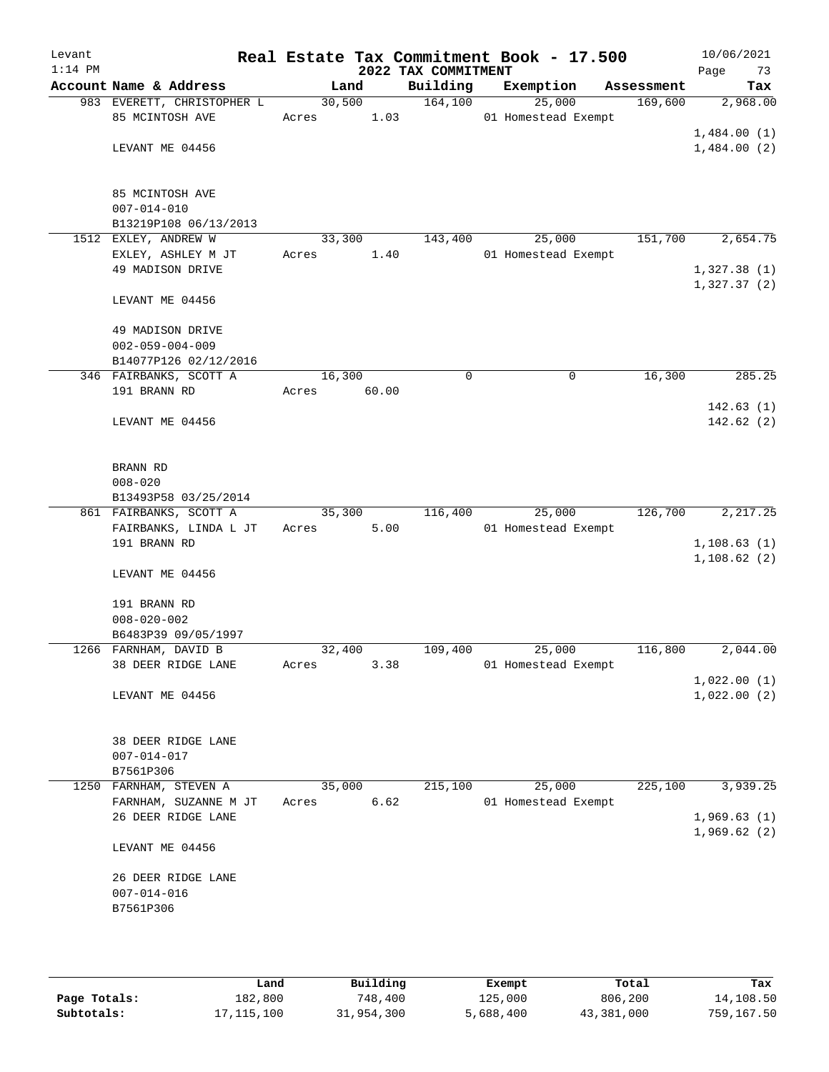| Levant<br>$1:14$ PM |                                                                      |        |                | 2022 TAX COMMITMENT | Real Estate Tax Commitment Book - 17.500 |            | 10/06/2021<br>Page<br>73   |
|---------------------|----------------------------------------------------------------------|--------|----------------|---------------------|------------------------------------------|------------|----------------------------|
|                     | Account Name & Address                                               |        | Land           | Building            | Exemption                                | Assessment | Tax                        |
|                     | 983 EVERETT, CHRISTOPHER L<br>85 MCINTOSH AVE                        | Acres  | 30,500<br>1.03 | 164, 100            | 25,000<br>01 Homestead Exempt            | 169,600    | 2,968.00                   |
|                     | LEVANT ME 04456                                                      |        |                |                     |                                          |            | 1,484.00(1)<br>1,484.00(2) |
|                     | 85 MCINTOSH AVE<br>$007 - 014 - 010$<br>B13219P108 06/13/2013        |        |                |                     |                                          |            |                            |
|                     | 1512 EXLEY, ANDREW W                                                 | 33,300 |                | 143,400             | 25,000                                   | 151,700    | 2,654.75                   |
|                     | EXLEY, ASHLEY M JT<br>49 MADISON DRIVE                               | Acres  | 1.40           |                     | 01 Homestead Exempt                      |            | 1,327.38(1)<br>1,327.37(2) |
|                     | LEVANT ME 04456                                                      |        |                |                     |                                          |            |                            |
|                     | 49 MADISON DRIVE<br>$002 - 059 - 004 - 009$<br>B14077P126 02/12/2016 |        |                |                     |                                          |            |                            |
|                     | 346 FAIRBANKS, SCOTT A                                               | 16,300 |                | $\mathbf 0$         | 0                                        | 16,300     | 285.25                     |
|                     | 191 BRANN RD                                                         | Acres  | 60.00          |                     |                                          |            |                            |
|                     | LEVANT ME 04456                                                      |        |                |                     |                                          |            | 142.63(1)<br>142.62(2)     |
|                     | BRANN RD<br>$008 - 020$<br>B13493P58 03/25/2014                      |        |                |                     |                                          |            |                            |
|                     | 861 FAIRBANKS, SCOTT A                                               | 35,300 |                | 116,400             | 25,000                                   | 126,700    | 2, 217.25                  |
|                     | FAIRBANKS, LINDA L JT                                                | Acres  | 5.00           |                     | 01 Homestead Exempt                      |            |                            |
|                     | 191 BRANN RD                                                         |        |                |                     |                                          |            | 1, 108.63(1)               |
|                     | LEVANT ME 04456                                                      |        |                |                     |                                          |            | 1,108.62(2)                |
|                     | 191 BRANN RD<br>$008 - 020 - 002$<br>B6483P39 09/05/1997             |        |                |                     |                                          |            |                            |
|                     | 1266 FARNHAM, DAVID B                                                | 32,400 |                | 109,400             | 25,000                                   | 116,800    | 2,044.00                   |
|                     | 38 DEER RIDGE LANE                                                   | Acres  | 3.38           |                     | 01 Homestead Exempt                      |            |                            |
|                     | LEVANT ME 04456                                                      |        |                |                     |                                          |            | 1,022.00(1)<br>1,022.00(2) |
|                     | 38 DEER RIDGE LANE<br>$007 - 014 - 017$<br>B7561P306                 |        |                |                     |                                          |            |                            |
|                     | 1250 FARNHAM, STEVEN A                                               | 35,000 |                | 215,100             | 25,000                                   | 225,100    | 3,939.25                   |
|                     | FARNHAM, SUZANNE M JT                                                | Acres  | 6.62           |                     | 01 Homestead Exempt                      |            |                            |
|                     | 26 DEER RIDGE LANE                                                   |        |                |                     |                                          |            | 1,969.63(1)<br>1,969.62(2) |
|                     | LEVANT ME 04456                                                      |        |                |                     |                                          |            |                            |
|                     | 26 DEER RIDGE LANE<br>$007 - 014 - 016$<br>B7561P306                 |        |                |                     |                                          |            |                            |
|                     |                                                                      |        |                |                     |                                          |            |                            |

|              | Land         | Building   | Exempt    | Total      | Tax        |
|--------------|--------------|------------|-----------|------------|------------|
| Page Totals: | 182,800      | 748.400    | 125,000   | 806,200    | 14,108.50  |
| Subtotals:   | 17, 115, 100 | 31,954,300 | 5,688,400 | 43,381,000 | 759,167.50 |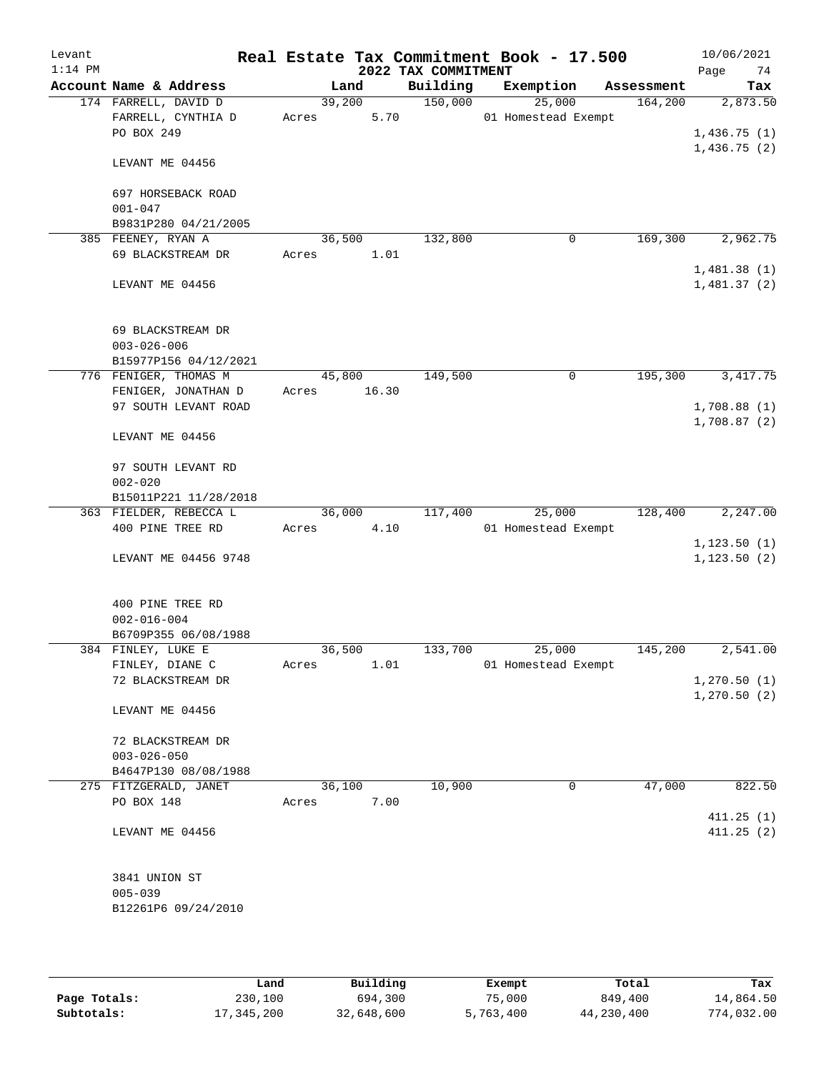| Levant<br>$1:14$ PM |                                     |        |       | 2022 TAX COMMITMENT | Real Estate Tax Commitment Book - 17.500 |            | 10/06/2021<br>74<br>Page |
|---------------------|-------------------------------------|--------|-------|---------------------|------------------------------------------|------------|--------------------------|
|                     | Account Name & Address              |        | Land  | Building            | Exemption                                | Assessment | Tax                      |
|                     | 174 FARRELL, DAVID D                | 39,200 |       | 150,000             | 25,000                                   | 164, 200   | 2,873.50                 |
|                     | FARRELL, CYNTHIA D                  | Acres  | 5.70  |                     | 01 Homestead Exempt                      |            |                          |
|                     | PO BOX 249                          |        |       |                     |                                          |            | 1,436.75(1)              |
|                     | LEVANT ME 04456                     |        |       |                     |                                          |            | 1,436.75(2)              |
|                     |                                     |        |       |                     |                                          |            |                          |
|                     | 697 HORSEBACK ROAD                  |        |       |                     |                                          |            |                          |
|                     | $001 - 047$<br>B9831P280 04/21/2005 |        |       |                     |                                          |            |                          |
|                     | 385 FEENEY, RYAN A                  | 36,500 |       | 132,800             | 0                                        | 169,300    | 2,962.75                 |
|                     | 69 BLACKSTREAM DR                   | Acres  | 1.01  |                     |                                          |            |                          |
|                     |                                     |        |       |                     |                                          |            | 1,481.38(1)              |
|                     | LEVANT ME 04456                     |        |       |                     |                                          |            | 1,481.37(2)              |
|                     | 69 BLACKSTREAM DR                   |        |       |                     |                                          |            |                          |
|                     | $003 - 026 - 006$                   |        |       |                     |                                          |            |                          |
|                     | B15977P156 04/12/2021               |        |       |                     |                                          |            |                          |
|                     | 776 FENIGER, THOMAS M               | 45,800 |       | 149,500             | 0                                        | 195,300    | 3, 417.75                |
|                     | FENIGER, JONATHAN D                 | Acres  | 16.30 |                     |                                          |            |                          |
|                     | 97 SOUTH LEVANT ROAD                |        |       |                     |                                          |            | 1,708.88(1)              |
|                     |                                     |        |       |                     |                                          |            | 1,708.87(2)              |
|                     | LEVANT ME 04456                     |        |       |                     |                                          |            |                          |
|                     | 97 SOUTH LEVANT RD                  |        |       |                     |                                          |            |                          |
|                     | $002 - 020$                         |        |       |                     |                                          |            |                          |
|                     | B15011P221 11/28/2018               |        |       |                     |                                          |            |                          |
|                     | 363 FIELDER, REBECCA L              | 36,000 |       | 117,400             | 25,000                                   | 128,400    | 2,247.00                 |
|                     | 400 PINE TREE RD                    | Acres  | 4.10  |                     | 01 Homestead Exempt                      |            |                          |
|                     |                                     |        |       |                     |                                          |            | 1, 123.50(1)             |
|                     | LEVANT ME 04456 9748                |        |       |                     |                                          |            | 1, 123.50(2)             |
|                     | 400 PINE TREE RD                    |        |       |                     |                                          |            |                          |
|                     | $002 - 016 - 004$                   |        |       |                     |                                          |            |                          |
|                     | B6709P355 06/08/1988                |        |       |                     |                                          |            |                          |
|                     | 384 FINLEY, LUKE E                  | 36,500 |       | 133,700             | 25,000                                   | 145,200    | 2,541.00                 |
|                     | FINLEY, DIANE C                     | Acres  | 1.01  |                     | 01 Homestead Exempt                      |            |                          |
|                     | 72 BLACKSTREAM DR                   |        |       |                     |                                          |            | 1, 270.50(1)             |
|                     |                                     |        |       |                     |                                          |            | 1, 270.50(2)             |
|                     | LEVANT ME 04456                     |        |       |                     |                                          |            |                          |
|                     | 72 BLACKSTREAM DR                   |        |       |                     |                                          |            |                          |
|                     | $003 - 026 - 050$                   |        |       |                     |                                          |            |                          |
|                     | B4647P130 08/08/1988                |        |       |                     |                                          |            |                          |
|                     | 275 FITZGERALD, JANET               | 36,100 |       | 10,900              | 0                                        | 47,000     | 822.50                   |
|                     | PO BOX 148                          | Acres  | 7.00  |                     |                                          |            |                          |
|                     |                                     |        |       |                     |                                          |            | 411.25(1)                |
|                     | LEVANT ME 04456                     |        |       |                     |                                          |            | 411.25(2)                |
|                     | 3841 UNION ST                       |        |       |                     |                                          |            |                          |
|                     | $005 - 039$                         |        |       |                     |                                          |            |                          |
|                     | B12261P6 09/24/2010                 |        |       |                     |                                          |            |                          |
|                     |                                     |        |       |                     |                                          |            |                          |

|              | Land       | Building   | Exempt    | Total      | Tax        |
|--------------|------------|------------|-----------|------------|------------|
| Page Totals: | 230,100    | 694,300    | 75,000    | 849,400    | 14,864.50  |
| Subtotals:   | 17,345,200 | 32,648,600 | 5,763,400 | 44,230,400 | 774,032.00 |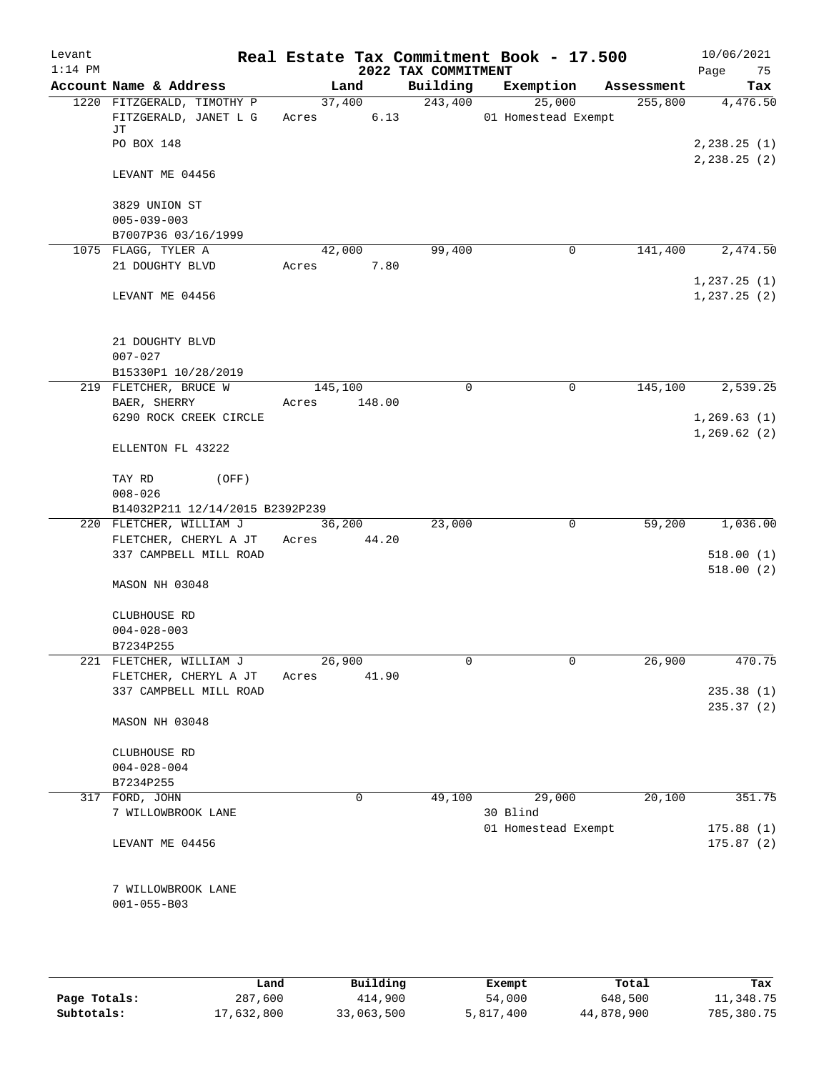| Levant<br>$1:14$ PM |                                                           |         |                | 2022 TAX COMMITMENT | Real Estate Tax Commitment Book - 17.500 |            | 10/06/2021<br>Page<br>75      |
|---------------------|-----------------------------------------------------------|---------|----------------|---------------------|------------------------------------------|------------|-------------------------------|
|                     | Account Name & Address                                    |         | Land           | Building            | Exemption                                | Assessment | Tax                           |
|                     | 1220 FITZGERALD, TIMOTHY P<br>FITZGERALD, JANET L G<br>JТ | Acres   | 37,400<br>6.13 | 243,400             | 25,000<br>01 Homestead Exempt            | 255,800    | 4,476.50                      |
|                     | PO BOX 148                                                |         |                |                     |                                          |            | 2, 238.25(1)<br>2, 238.25 (2) |
|                     | LEVANT ME 04456                                           |         |                |                     |                                          |            |                               |
|                     | 3829 UNION ST<br>$005 - 039 - 003$<br>B7007P36 03/16/1999 |         |                |                     |                                          |            |                               |
|                     | 1075 FLAGG, TYLER A                                       |         | 42,000         | 99,400              | 0                                        | 141,400    | 2,474.50                      |
|                     | 21 DOUGHTY BLVD                                           | Acres   | 7.80           |                     |                                          |            |                               |
|                     | LEVANT ME 04456                                           |         |                |                     |                                          |            | 1,237.25(1)<br>1, 237.25(2)   |
|                     | 21 DOUGHTY BLVD<br>$007 - 027$                            |         |                |                     |                                          |            |                               |
|                     | B15330P1 10/28/2019                                       |         |                |                     |                                          |            |                               |
|                     | 219 FLETCHER, BRUCE W                                     | 145,100 |                | $\mathbf 0$         | $\mathsf{O}$                             | 145,100    | 2,539.25                      |
|                     | BAER, SHERRY                                              | Acres   | 148.00         |                     |                                          |            |                               |
|                     | 6290 ROCK CREEK CIRCLE                                    |         |                |                     |                                          |            | 1, 269.63(1)                  |
|                     | ELLENTON FL 43222                                         |         |                |                     |                                          |            | 1, 269.62(2)                  |
|                     | TAY RD<br>(OFF)                                           |         |                |                     |                                          |            |                               |
|                     | $008 - 026$                                               |         |                |                     |                                          |            |                               |
|                     | B14032P211 12/14/2015 B2392P239                           |         |                |                     |                                          |            |                               |
|                     | 220 FLETCHER, WILLIAM J                                   |         | 36,200         | 23,000              | $\mathbf 0$                              | 59,200     | 1,036.00                      |
|                     | FLETCHER, CHERYL A JT                                     | Acres   | 44.20          |                     |                                          |            |                               |
|                     | 337 CAMPBELL MILL ROAD                                    |         |                |                     |                                          |            | 518.00(1)<br>518.00(2)        |
|                     | MASON NH 03048                                            |         |                |                     |                                          |            |                               |
|                     | CLUBHOUSE RD                                              |         |                |                     |                                          |            |                               |
|                     | $004 - 028 - 003$                                         |         |                |                     |                                          |            |                               |
|                     | B7234P255                                                 |         |                |                     |                                          |            |                               |
|                     | 221 FLETCHER, WILLIAM J                                   | 26,900  |                | 0                   | 0                                        | 26,900     | 470.75                        |
|                     | FLETCHER, CHERYL A JT                                     | Acres   | 41.90          |                     |                                          |            |                               |
|                     | 337 CAMPBELL MILL ROAD                                    |         |                |                     |                                          |            | 235.38(1)<br>235.37 (2)       |
|                     | MASON NH 03048                                            |         |                |                     |                                          |            |                               |
|                     | CLUBHOUSE RD                                              |         |                |                     |                                          |            |                               |
|                     | $004 - 028 - 004$                                         |         |                |                     |                                          |            |                               |
|                     | B7234P255                                                 |         |                |                     |                                          |            |                               |
|                     | 317 FORD, JOHN                                            |         | 0              | 49,100              | 29,000                                   | 20,100     | 351.75                        |
|                     | 7 WILLOWBROOK LANE                                        |         |                |                     | 30 Blind                                 |            |                               |
|                     |                                                           |         |                |                     | 01 Homestead Exempt                      |            | 175.88(1)                     |
|                     | LEVANT ME 04456                                           |         |                |                     |                                          |            | 175.87(2)                     |
|                     | 7 WILLOWBROOK LANE<br>$001 - 055 - B03$                   |         |                |                     |                                          |            |                               |
|                     |                                                           |         |                |                     |                                          |            |                               |

|              | Land       | Building   | Exempt    | Total      | Tax        |
|--------------|------------|------------|-----------|------------|------------|
| Page Totals: | 287,600    | 414,900    | 54,000    | 648,500    | 11,348.75  |
| Subtotals:   | 17,632,800 | 33,063,500 | 5,817,400 | 44,878,900 | 785,380.75 |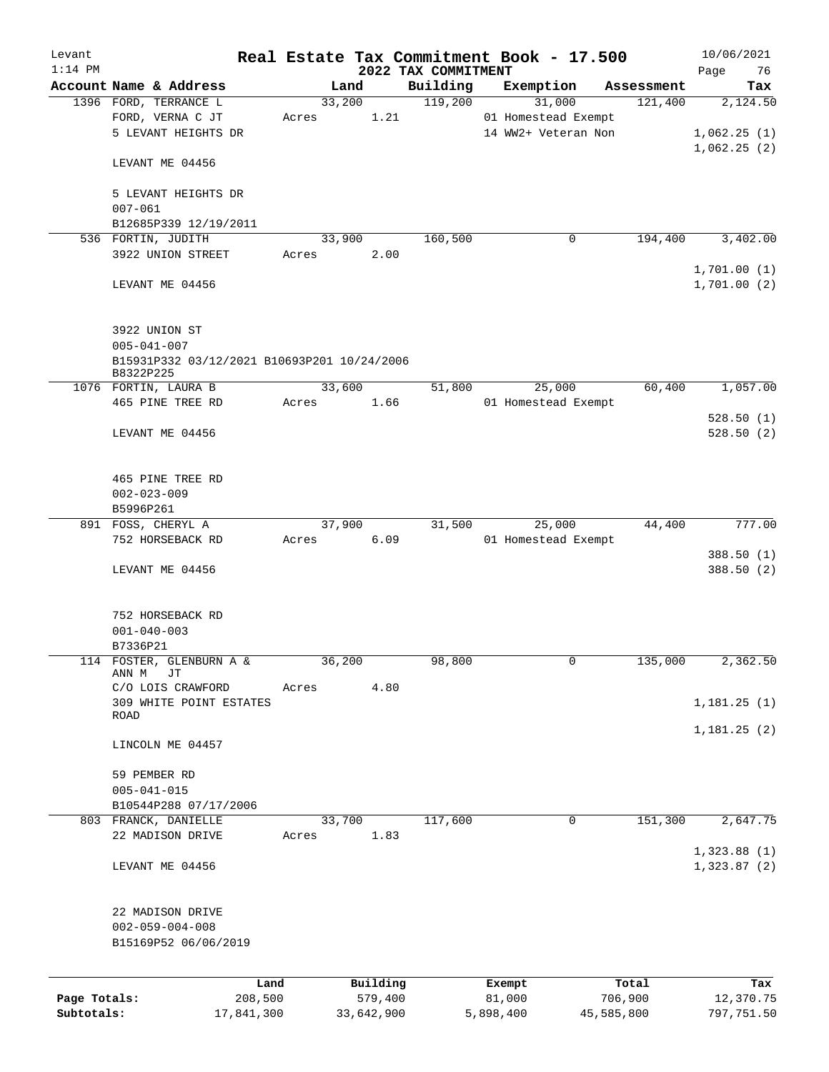| Levant       |                                             |            |       |            |         | Real Estate Tax Commitment Book - 17.500 |           |                     |            | 10/06/2021  |
|--------------|---------------------------------------------|------------|-------|------------|---------|------------------------------------------|-----------|---------------------|------------|-------------|
| $1:14$ PM    |                                             |            |       |            |         | 2022 TAX COMMITMENT                      |           |                     |            | Page<br>76  |
|              | Account Name & Address                      |            |       | Land       |         | Building                                 | Exemption |                     | Assessment | Tax         |
|              | 1396 FORD, TERRANCE L                       |            |       | 33,200     |         | 119,200                                  |           | 31,000              | 121,400    | 2,124.50    |
|              | FORD, VERNA C JT                            |            | Acres |            | 1.21    |                                          |           | 01 Homestead Exempt |            |             |
|              | 5 LEVANT HEIGHTS DR                         |            |       |            |         |                                          |           | 14 WW2+ Veteran Non |            | 1,062.25(1) |
|              |                                             |            |       |            |         |                                          |           |                     |            | 1,062.25(2) |
|              | LEVANT ME 04456                             |            |       |            |         |                                          |           |                     |            |             |
|              |                                             |            |       |            |         |                                          |           |                     |            |             |
|              | 5 LEVANT HEIGHTS DR                         |            |       |            |         |                                          |           |                     |            |             |
|              | $007 - 061$                                 |            |       |            |         |                                          |           |                     |            |             |
|              | B12685P339 12/19/2011                       |            |       |            |         |                                          |           |                     |            |             |
|              | 536 FORTIN, JUDITH                          |            |       | 33,900     |         | 160,500                                  |           | 0                   | 194,400    | 3,402.00    |
|              | 3922 UNION STREET                           |            | Acres |            | 2.00    |                                          |           |                     |            |             |
|              |                                             |            |       |            |         |                                          |           |                     |            | 1,701.00(1) |
|              | LEVANT ME 04456                             |            |       |            |         |                                          |           |                     |            | 1,701.00(2) |
|              |                                             |            |       |            |         |                                          |           |                     |            |             |
|              |                                             |            |       |            |         |                                          |           |                     |            |             |
|              | 3922 UNION ST                               |            |       |            |         |                                          |           |                     |            |             |
|              | $005 - 041 - 007$                           |            |       |            |         |                                          |           |                     |            |             |
|              | B15931P332 03/12/2021 B10693P201 10/24/2006 |            |       |            |         |                                          |           |                     |            |             |
|              | B8322P225                                   |            |       |            |         |                                          |           |                     |            |             |
|              | 1076 FORTIN, LAURA B                        |            |       | 33,600     |         | 51,800                                   |           | 25,000              | 60,400     | 1,057.00    |
|              | 465 PINE TREE RD                            |            | Acres |            | 1.66    |                                          |           | 01 Homestead Exempt |            |             |
|              |                                             |            |       |            |         |                                          |           |                     |            | 528.50(1)   |
|              | LEVANT ME 04456                             |            |       |            |         |                                          |           |                     |            | 528.50(2)   |
|              |                                             |            |       |            |         |                                          |           |                     |            |             |
|              |                                             |            |       |            |         |                                          |           |                     |            |             |
|              | 465 PINE TREE RD                            |            |       |            |         |                                          |           |                     |            |             |
|              | $002 - 023 - 009$                           |            |       |            |         |                                          |           |                     |            |             |
|              | B5996P261                                   |            |       |            |         |                                          |           |                     |            |             |
|              | 891 FOSS, CHERYL A                          |            |       | 37,900     |         | 31,500                                   |           | 25,000              | 44,400     | 777.00      |
|              | 752 HORSEBACK RD                            |            | Acres |            | 6.09    |                                          |           | 01 Homestead Exempt |            |             |
|              |                                             |            |       |            |         |                                          |           |                     |            | 388.50 (1)  |
|              | LEVANT ME 04456                             |            |       |            |         |                                          |           |                     |            | 388.50 (2)  |
|              |                                             |            |       |            |         |                                          |           |                     |            |             |
|              |                                             |            |       |            |         |                                          |           |                     |            |             |
|              | 752 HORSEBACK RD                            |            |       |            |         |                                          |           |                     |            |             |
|              | $001 - 040 - 003$                           |            |       |            |         |                                          |           |                     |            |             |
|              | B7336P21                                    |            |       |            |         |                                          |           |                     |            |             |
| 114          | FOSTER, GLENBURN A &                        |            |       | 36,200     |         | 98,800                                   |           | 0                   | 135,000    | 2,362.50    |
|              | ANN M<br>JТ                                 |            |       |            |         |                                          |           |                     |            |             |
|              | C/O LOIS CRAWFORD                           |            | Acres |            | 4.80    |                                          |           |                     |            |             |
|              | 309 WHITE POINT ESTATES                     |            |       |            |         |                                          |           |                     |            | 1,181.25(1) |
|              | ROAD                                        |            |       |            |         |                                          |           |                     |            |             |
|              |                                             |            |       |            |         |                                          |           |                     |            | 1,181.25(2) |
|              | LINCOLN ME 04457                            |            |       |            |         |                                          |           |                     |            |             |
|              |                                             |            |       |            |         |                                          |           |                     |            |             |
|              | 59 PEMBER RD                                |            |       |            |         |                                          |           |                     |            |             |
|              | $005 - 041 - 015$                           |            |       |            |         |                                          |           |                     |            |             |
|              | B10544P288 07/17/2006                       |            |       |            |         |                                          |           |                     |            |             |
|              | 803 FRANCK, DANIELLE                        |            |       | 33,700     |         | 117,600                                  |           | 0                   | 151,300    | 2,647.75    |
|              | 22 MADISON DRIVE                            |            | Acres |            | 1.83    |                                          |           |                     |            |             |
|              |                                             |            |       |            |         |                                          |           |                     |            | 1,323.88(1) |
|              | LEVANT ME 04456                             |            |       |            |         |                                          |           |                     |            | 1,323.87(2) |
|              |                                             |            |       |            |         |                                          |           |                     |            |             |
|              |                                             |            |       |            |         |                                          |           |                     |            |             |
|              | 22 MADISON DRIVE                            |            |       |            |         |                                          |           |                     |            |             |
|              | $002 - 059 - 004 - 008$                     |            |       |            |         |                                          |           |                     |            |             |
|              | B15169P52 06/06/2019                        |            |       |            |         |                                          |           |                     |            |             |
|              |                                             |            |       |            |         |                                          |           |                     |            |             |
|              |                                             |            |       |            |         |                                          |           |                     |            |             |
|              |                                             | Land       |       | Building   |         |                                          | Exempt    |                     | Total      | Tax         |
| Page Totals: |                                             | 208,500    |       |            | 579,400 |                                          | 81,000    |                     | 706,900    | 12,370.75   |
| Subtotals:   |                                             | 17,841,300 |       | 33,642,900 |         |                                          | 5,898,400 | 45,585,800          |            | 797,751.50  |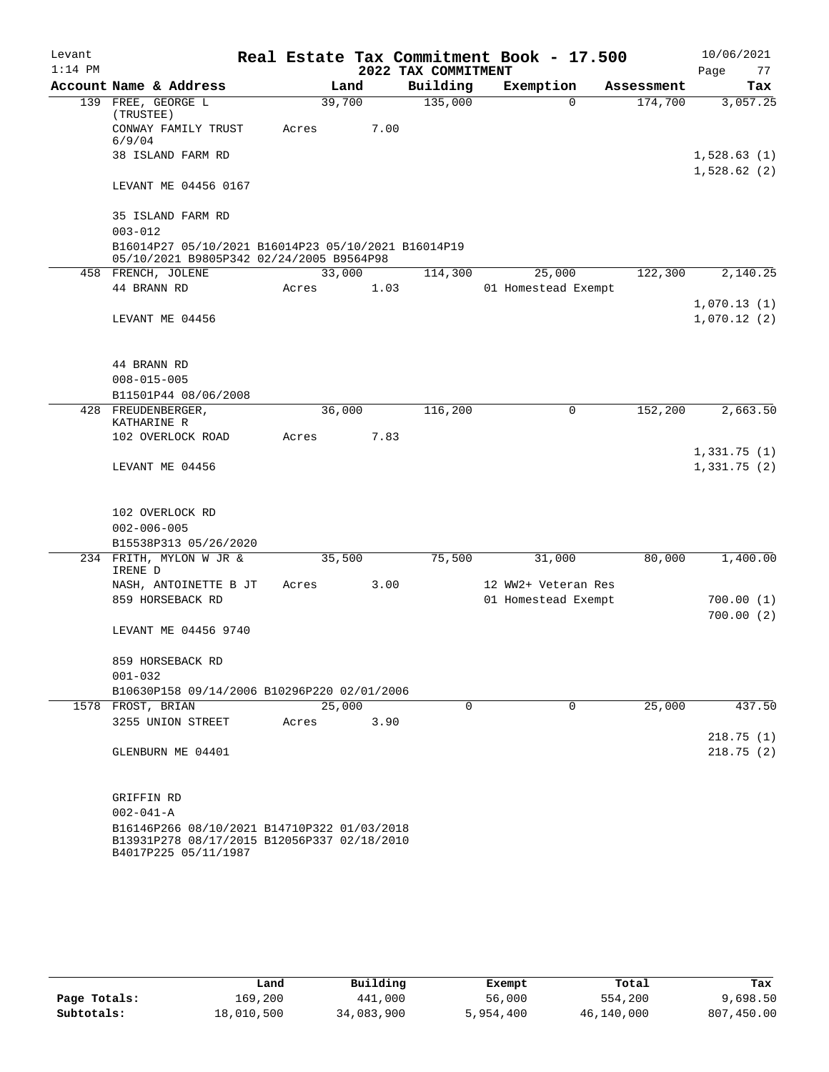| Levant    |                                                                                                                    |        |      |                     | Real Estate Tax Commitment Book - 17.500 |            | 10/06/2021                 |
|-----------|--------------------------------------------------------------------------------------------------------------------|--------|------|---------------------|------------------------------------------|------------|----------------------------|
| $1:14$ PM |                                                                                                                    |        |      | 2022 TAX COMMITMENT |                                          |            | 77<br>Page                 |
|           | Account Name & Address                                                                                             |        | Land | Building            | Exemption                                | Assessment | Tax                        |
|           | 139 FREE, GEORGE L<br>(TRUSTEE)                                                                                    | 39,700 |      | 135,000             | $\Omega$                                 | 174,700    | 3,057.25                   |
|           | CONWAY FAMILY TRUST<br>6/9/04                                                                                      | Acres  | 7.00 |                     |                                          |            |                            |
|           | 38 ISLAND FARM RD                                                                                                  |        |      |                     |                                          |            | 1,528.63(1)<br>1,528.62(2) |
|           | LEVANT ME 04456 0167                                                                                               |        |      |                     |                                          |            |                            |
|           | 35 ISLAND FARM RD<br>$003 - 012$                                                                                   |        |      |                     |                                          |            |                            |
|           | B16014P27 05/10/2021 B16014P23 05/10/2021 B16014P19<br>05/10/2021 B9805P342 02/24/2005 B9564P98                    |        |      |                     |                                          |            |                            |
|           | 458 FRENCH, JOLENE                                                                                                 | 33,000 |      | 114,300             | 25,000                                   | 122,300    | 2,140.25                   |
|           | 44 BRANN RD                                                                                                        | Acres  | 1.03 |                     | 01 Homestead Exempt                      |            |                            |
|           | LEVANT ME 04456                                                                                                    |        |      |                     |                                          |            | 1,070.13(1)<br>1,070.12(2) |
|           | 44 BRANN RD                                                                                                        |        |      |                     |                                          |            |                            |
|           | $008 - 015 - 005$                                                                                                  |        |      |                     |                                          |            |                            |
|           | B11501P44 08/06/2008                                                                                               |        |      |                     |                                          |            |                            |
|           | 428 FREUDENBERGER,                                                                                                 | 36,000 |      | 116,200             | 0                                        | 152,200    | 2,663.50                   |
|           | KATHARINE R                                                                                                        |        |      |                     |                                          |            |                            |
|           | 102 OVERLOCK ROAD                                                                                                  | Acres  | 7.83 |                     |                                          |            |                            |
|           | LEVANT ME 04456                                                                                                    |        |      |                     |                                          |            | 1,331.75(1)<br>1,331.75(2) |
|           | 102 OVERLOCK RD                                                                                                    |        |      |                     |                                          |            |                            |
|           | $002 - 006 - 005$                                                                                                  |        |      |                     |                                          |            |                            |
|           | B15538P313 05/26/2020                                                                                              |        |      |                     |                                          |            |                            |
|           | 234 FRITH, MYLON W JR &<br>IRENE D                                                                                 | 35,500 |      | 75,500              | 31,000                                   | 80,000     | 1,400.00                   |
|           | NASH, ANTOINETTE B JT                                                                                              | Acres  | 3.00 |                     | 12 WW2+ Veteran Res                      |            |                            |
|           | 859 HORSEBACK RD                                                                                                   |        |      |                     | 01 Homestead Exempt                      |            | 700.00 (1)                 |
|           | LEVANT ME 04456 9740                                                                                               |        |      |                     |                                          |            | 700.00(2)                  |
|           | 859 HORSEBACK RD<br>$001 - 032$                                                                                    |        |      |                     |                                          |            |                            |
|           | B10630P158 09/14/2006 B10296P220 02/01/2006                                                                        |        |      |                     |                                          |            |                            |
|           | 1578 FROST, BRIAN                                                                                                  | 25,000 |      | 0                   | 0                                        | 25,000     | 437.50                     |
|           | 3255 UNION STREET                                                                                                  | Acres  | 3.90 |                     |                                          |            |                            |
|           | GLENBURN ME 04401                                                                                                  |        |      |                     |                                          |            | 218.75(1)<br>218.75(2)     |
|           | GRIFFIN RD                                                                                                         |        |      |                     |                                          |            |                            |
|           | $002 - 041 - A$                                                                                                    |        |      |                     |                                          |            |                            |
|           | B16146P266 08/10/2021 B14710P322 01/03/2018<br>B13931P278 08/17/2015 B12056P337 02/18/2010<br>B4017P225 05/11/1987 |        |      |                     |                                          |            |                            |

|              | Land       | Building   | Exempt    | Total      | Tax        |
|--------------|------------|------------|-----------|------------|------------|
| Page Totals: | 169,200    | 441,000    | 56,000    | 554,200    | 9,698.50   |
| Subtotals:   | 18,010,500 | 34,083,900 | 5,954,400 | 46,140,000 | 807,450.00 |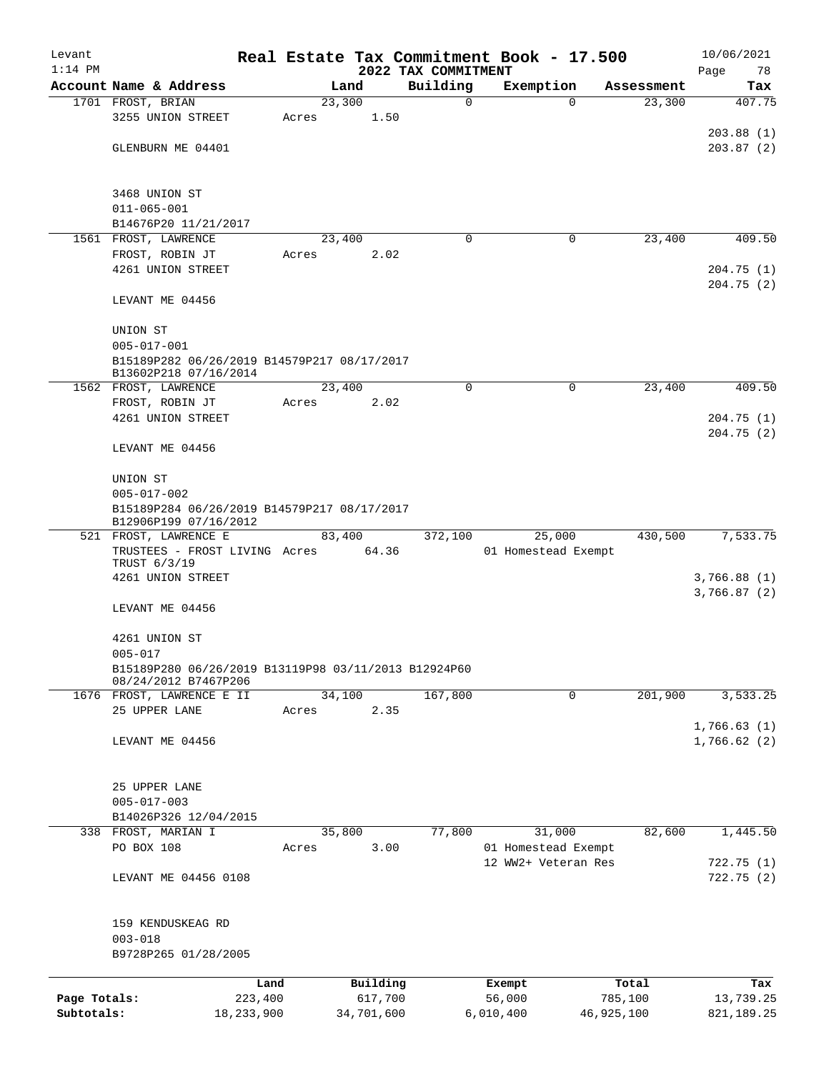| Levant       |                                                                              |            |       |                |                     | Real Estate Tax Commitment Book - 17.500 |                      | 10/06/2021    |
|--------------|------------------------------------------------------------------------------|------------|-------|----------------|---------------------|------------------------------------------|----------------------|---------------|
| $1:14$ PM    |                                                                              |            |       |                | 2022 TAX COMMITMENT |                                          |                      | Page<br>78    |
|              | Account Name & Address<br>1701 FROST, BRIAN                                  |            |       | Land<br>23,300 | Building<br>0       | Exemption<br>$\Omega$                    | Assessment<br>23,300 | Tax<br>407.75 |
|              | 3255 UNION STREET                                                            |            | Acres | 1.50           |                     |                                          |                      |               |
|              |                                                                              |            |       |                |                     |                                          |                      | 203.88(1)     |
|              | GLENBURN ME 04401                                                            |            |       |                |                     |                                          |                      | 203.87(2)     |
|              |                                                                              |            |       |                |                     |                                          |                      |               |
|              |                                                                              |            |       |                |                     |                                          |                      |               |
|              | 3468 UNION ST                                                                |            |       |                |                     |                                          |                      |               |
|              | $011 - 065 - 001$                                                            |            |       |                |                     |                                          |                      |               |
|              | B14676P20 11/21/2017                                                         |            |       |                | 0                   | 0                                        | 23,400               |               |
|              | 1561 FROST, LAWRENCE<br>FROST, ROBIN JT                                      |            | Acres | 23,400<br>2.02 |                     |                                          |                      | 409.50        |
|              | 4261 UNION STREET                                                            |            |       |                |                     |                                          |                      | 204.75(1)     |
|              |                                                                              |            |       |                |                     |                                          |                      | 204.75(2)     |
|              | LEVANT ME 04456                                                              |            |       |                |                     |                                          |                      |               |
|              |                                                                              |            |       |                |                     |                                          |                      |               |
|              | UNION ST                                                                     |            |       |                |                     |                                          |                      |               |
|              | $005 - 017 - 001$                                                            |            |       |                |                     |                                          |                      |               |
|              | B15189P282 06/26/2019 B14579P217 08/17/2017<br>B13602P218 07/16/2014         |            |       |                |                     |                                          |                      |               |
|              | 1562 FROST, LAWRENCE                                                         |            |       | 23,400         | $\mathbf 0$         | $\mathbf 0$                              | 23,400               | 409.50        |
|              | FROST, ROBIN JT                                                              |            | Acres | 2.02           |                     |                                          |                      |               |
|              | 4261 UNION STREET                                                            |            |       |                |                     |                                          |                      | 204.75(1)     |
|              |                                                                              |            |       |                |                     |                                          |                      | 204.75(2)     |
|              | LEVANT ME 04456                                                              |            |       |                |                     |                                          |                      |               |
|              |                                                                              |            |       |                |                     |                                          |                      |               |
|              | UNION ST<br>$005 - 017 - 002$                                                |            |       |                |                     |                                          |                      |               |
|              | B15189P284 06/26/2019 B14579P217 08/17/2017                                  |            |       |                |                     |                                          |                      |               |
|              | B12906P199 07/16/2012                                                        |            |       |                |                     |                                          |                      |               |
|              | 521 FROST, LAWRENCE E                                                        |            |       | 83,400         | 372,100             | 25,000                                   | 430,500              | 7,533.75      |
|              | TRUSTEES - FROST LIVING Acres 64.36                                          |            |       |                |                     | 01 Homestead Exempt                      |                      |               |
|              | TRUST 6/3/19<br>4261 UNION STREET                                            |            |       |                |                     |                                          |                      | 3,766.88(1)   |
|              |                                                                              |            |       |                |                     |                                          |                      | 3,766.87(2)   |
|              | LEVANT ME 04456                                                              |            |       |                |                     |                                          |                      |               |
|              |                                                                              |            |       |                |                     |                                          |                      |               |
|              | 4261 UNION ST                                                                |            |       |                |                     |                                          |                      |               |
|              | $005 - 017$                                                                  |            |       |                |                     |                                          |                      |               |
|              | B15189P280 06/26/2019 B13119P98 03/11/2013 B12924P60<br>08/24/2012 B7467P206 |            |       |                |                     |                                          |                      |               |
|              | 1676 FROST, LAWRENCE E II                                                    |            |       | 34,100         | 167,800             | 0                                        | 201,900              | 3,533.25      |
|              | 25 UPPER LANE                                                                |            | Acres | 2.35           |                     |                                          |                      |               |
|              |                                                                              |            |       |                |                     |                                          |                      | 1,766.63(1)   |
|              | LEVANT ME 04456                                                              |            |       |                |                     |                                          |                      | 1,766.62(2)   |
|              |                                                                              |            |       |                |                     |                                          |                      |               |
|              | 25 UPPER LANE                                                                |            |       |                |                     |                                          |                      |               |
|              | $005 - 017 - 003$                                                            |            |       |                |                     |                                          |                      |               |
|              | B14026P326 12/04/2015                                                        |            |       |                |                     |                                          |                      |               |
| 338          | FROST, MARIAN I                                                              |            |       | 35,800         | 77,800              | 31,000                                   | 82,600               | 1,445.50      |
|              | PO BOX 108                                                                   |            | Acres | 3.00           |                     | 01 Homestead Exempt                      |                      |               |
|              |                                                                              |            |       |                |                     | 12 WW2+ Veteran Res                      |                      | 722.75 (1)    |
|              | LEVANT ME 04456 0108                                                         |            |       |                |                     |                                          |                      | 722.75(2)     |
|              |                                                                              |            |       |                |                     |                                          |                      |               |
|              | 159 KENDUSKEAG RD                                                            |            |       |                |                     |                                          |                      |               |
|              | $003 - 018$                                                                  |            |       |                |                     |                                          |                      |               |
|              | B9728P265 01/28/2005                                                         |            |       |                |                     |                                          |                      |               |
|              |                                                                              | Land       |       | Building       |                     |                                          |                      | Tax           |
| Page Totals: |                                                                              | 223,400    |       | 617,700        |                     | Exempt<br>56,000                         | Total<br>785,100     | 13,739.25     |
| Subtotals:   |                                                                              | 18,233,900 |       | 34,701,600     |                     | 6,010,400                                | 46,925,100           | 821, 189. 25  |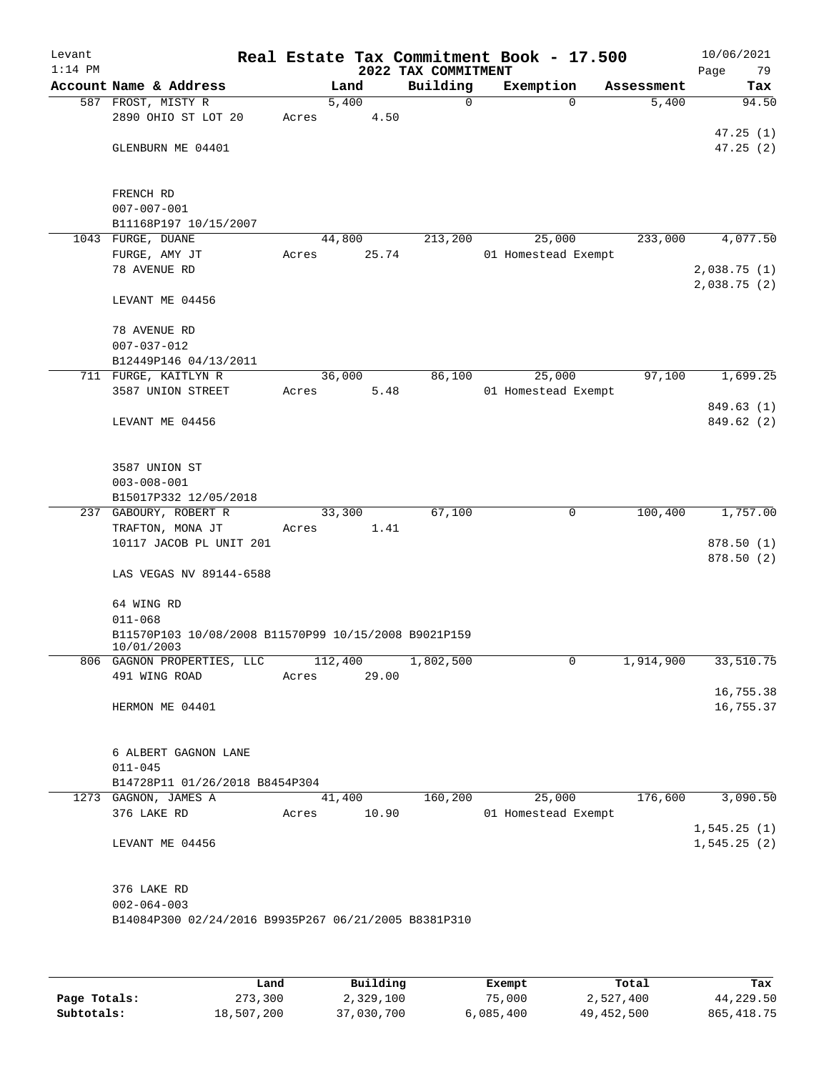| Levant<br>$1:14$ PM |                                                      |       |         |       | Real Estate Tax Commitment Book - 17.500<br>2022 TAX COMMITMENT |                     |            | 10/06/2021<br>79<br>Page |
|---------------------|------------------------------------------------------|-------|---------|-------|-----------------------------------------------------------------|---------------------|------------|--------------------------|
|                     | Account Name & Address                               |       | Land    |       | Building                                                        | Exemption           | Assessment | Tax                      |
|                     | 587 FROST, MISTY R                                   |       | 5,400   |       | 0                                                               | $\Omega$            | 5,400      | 94.50                    |
|                     | 2890 OHIO ST LOT 20                                  | Acres |         | 4.50  |                                                                 |                     |            |                          |
|                     |                                                      |       |         |       |                                                                 |                     |            | 47.25(1)                 |
|                     | GLENBURN ME 04401                                    |       |         |       |                                                                 |                     |            | 47.25(2)                 |
|                     |                                                      |       |         |       |                                                                 |                     |            |                          |
|                     |                                                      |       |         |       |                                                                 |                     |            |                          |
|                     | FRENCH RD                                            |       |         |       |                                                                 |                     |            |                          |
|                     | $007 - 007 - 001$                                    |       |         |       |                                                                 |                     |            |                          |
|                     | B11168P197 10/15/2007<br>1043 FURGE, DUANE           |       | 44,800  |       | 213,200                                                         | 25,000              | 233,000    | 4,077.50                 |
|                     | FURGE, AMY JT                                        | Acres |         | 25.74 |                                                                 | 01 Homestead Exempt |            |                          |
|                     | 78 AVENUE RD                                         |       |         |       |                                                                 |                     |            | 2,038.75(1)              |
|                     |                                                      |       |         |       |                                                                 |                     |            | 2,038.75(2)              |
|                     | LEVANT ME 04456                                      |       |         |       |                                                                 |                     |            |                          |
|                     |                                                      |       |         |       |                                                                 |                     |            |                          |
|                     | 78 AVENUE RD                                         |       |         |       |                                                                 |                     |            |                          |
|                     | $007 - 037 - 012$                                    |       |         |       |                                                                 |                     |            |                          |
|                     | B12449P146 04/13/2011                                |       |         |       |                                                                 |                     |            |                          |
|                     | 711 FURGE, KAITLYN R                                 |       | 36,000  |       | 86,100                                                          | 25,000              | 97,100     | 1,699.25                 |
|                     | 3587 UNION STREET                                    | Acres |         | 5.48  |                                                                 | 01 Homestead Exempt |            |                          |
|                     |                                                      |       |         |       |                                                                 |                     |            | 849.63 (1)               |
|                     | LEVANT ME 04456                                      |       |         |       |                                                                 |                     |            | 849.62 (2)               |
|                     |                                                      |       |         |       |                                                                 |                     |            |                          |
|                     |                                                      |       |         |       |                                                                 |                     |            |                          |
|                     | 3587 UNION ST                                        |       |         |       |                                                                 |                     |            |                          |
|                     | $003 - 008 - 001$                                    |       |         |       |                                                                 |                     |            |                          |
|                     | B15017P332 12/05/2018<br>237 GABOURY, ROBERT R       |       | 33,300  |       | 67,100                                                          | 0                   | 100,400    | 1,757.00                 |
|                     | TRAFTON, MONA JT                                     | Acres |         | 1.41  |                                                                 |                     |            |                          |
|                     | 10117 JACOB PL UNIT 201                              |       |         |       |                                                                 |                     |            | 878.50(1)                |
|                     |                                                      |       |         |       |                                                                 |                     |            | 878.50 (2)               |
|                     | LAS VEGAS NV 89144-6588                              |       |         |       |                                                                 |                     |            |                          |
|                     |                                                      |       |         |       |                                                                 |                     |            |                          |
|                     | 64 WING RD                                           |       |         |       |                                                                 |                     |            |                          |
|                     | $011 - 068$                                          |       |         |       |                                                                 |                     |            |                          |
|                     | B11570P103 10/08/2008 B11570P99 10/15/2008 B9021P159 |       |         |       |                                                                 |                     |            |                          |
|                     | 10/01/2003                                           |       |         |       |                                                                 |                     |            |                          |
|                     | 806 GAGNON PROPERTIES, LLC                           |       | 112,400 |       | 1,802,500                                                       | 0                   | 1,914,900  | 33,510.75                |
|                     | 491 WING ROAD                                        | Acres |         | 29.00 |                                                                 |                     |            | 16,755.38                |
|                     | HERMON ME 04401                                      |       |         |       |                                                                 |                     |            | 16,755.37                |
|                     |                                                      |       |         |       |                                                                 |                     |            |                          |
|                     |                                                      |       |         |       |                                                                 |                     |            |                          |
|                     | 6 ALBERT GAGNON LANE                                 |       |         |       |                                                                 |                     |            |                          |
|                     | $011 - 045$                                          |       |         |       |                                                                 |                     |            |                          |
|                     | B14728P11 01/26/2018 B8454P304                       |       |         |       |                                                                 |                     |            |                          |
|                     | 1273 GAGNON, JAMES A                                 |       | 41,400  |       | 160,200                                                         | 25,000              | 176,600    | 3,090.50                 |
|                     | 376 LAKE RD                                          | Acres |         | 10.90 |                                                                 | 01 Homestead Exempt |            |                          |
|                     |                                                      |       |         |       |                                                                 |                     |            | 1, 545.25(1)             |
|                     | LEVANT ME 04456                                      |       |         |       |                                                                 |                     |            | 1, 545.25(2)             |
|                     |                                                      |       |         |       |                                                                 |                     |            |                          |
|                     |                                                      |       |         |       |                                                                 |                     |            |                          |
|                     | 376 LAKE RD                                          |       |         |       |                                                                 |                     |            |                          |
|                     | $002 - 064 - 003$                                    |       |         |       |                                                                 |                     |            |                          |
|                     | B14084P300 02/24/2016 B9935P267 06/21/2005 B8381P310 |       |         |       |                                                                 |                     |            |                          |
|                     |                                                      |       |         |       |                                                                 |                     |            |                          |
|                     |                                                      |       |         |       |                                                                 |                     |            |                          |

|              | Land       | Building   | Exempt    | Total      | Tax         |
|--------------|------------|------------|-----------|------------|-------------|
| Page Totals: | 273,300    | 2,329,100  | 75,000    | 2,527,400  | 44,229.50   |
| Subtotals:   | 18,507,200 | 37,030,700 | 6,085,400 | 49,452,500 | 865, 418.75 |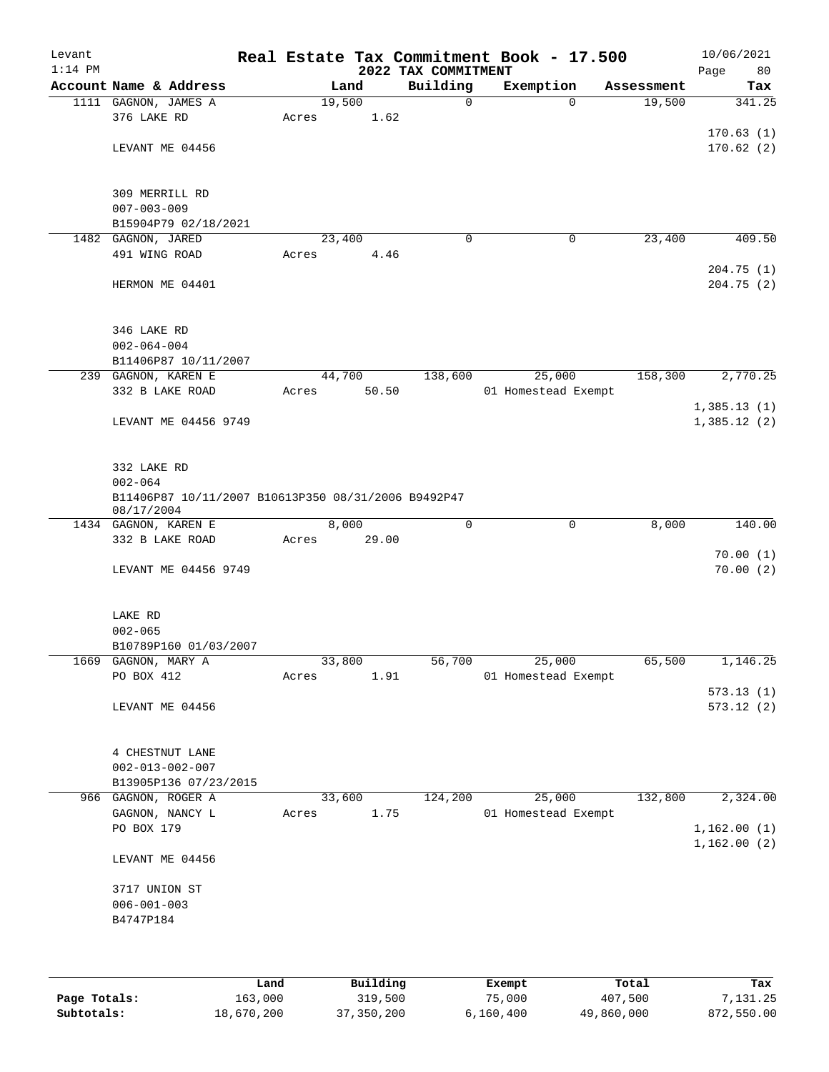| Levant<br>$1:14$ PM |                                                                    |       |        | 2022 TAX COMMITMENT | Real Estate Tax Commitment Book - 17.500 |            | 10/06/2021<br>Page<br>80 |
|---------------------|--------------------------------------------------------------------|-------|--------|---------------------|------------------------------------------|------------|--------------------------|
|                     | Account Name & Address                                             |       | Land   | Building            | Exemption                                | Assessment | Tax                      |
|                     | 1111 GAGNON, JAMES A                                               |       | 19,500 | $\mathbf 0$         | $\Omega$                                 | 19,500     | 341.25                   |
|                     | 376 LAKE RD                                                        | Acres | 1.62   |                     |                                          |            |                          |
|                     |                                                                    |       |        |                     |                                          |            | 170.63(1)                |
|                     | LEVANT ME 04456                                                    |       |        |                     |                                          |            | 170.62(2)                |
|                     |                                                                    |       |        |                     |                                          |            |                          |
|                     | 309 MERRILL RD                                                     |       |        |                     |                                          |            |                          |
|                     | $007 - 003 - 009$                                                  |       |        |                     |                                          |            |                          |
|                     | B15904P79 02/18/2021                                               |       |        |                     |                                          |            |                          |
|                     | 1482 GAGNON, JARED                                                 |       | 23,400 | $\mathbf 0$         | 0                                        | 23,400     | 409.50                   |
|                     | 491 WING ROAD                                                      | Acres | 4.46   |                     |                                          |            |                          |
|                     |                                                                    |       |        |                     |                                          |            | 204.75(1)                |
|                     | HERMON ME 04401                                                    |       |        |                     |                                          |            | 204.75 (2)               |
|                     |                                                                    |       |        |                     |                                          |            |                          |
|                     |                                                                    |       |        |                     |                                          |            |                          |
|                     | 346 LAKE RD<br>$002 - 064 - 004$                                   |       |        |                     |                                          |            |                          |
|                     | B11406P87 10/11/2007                                               |       |        |                     |                                          |            |                          |
|                     | 239 GAGNON, KAREN E                                                |       | 44,700 | 138,600             | 25,000                                   | 158,300    | 2,770.25                 |
|                     | 332 B LAKE ROAD                                                    | Acres | 50.50  |                     | 01 Homestead Exempt                      |            |                          |
|                     |                                                                    |       |        |                     |                                          |            | 1,385.13(1)              |
|                     | LEVANT ME 04456 9749                                               |       |        |                     |                                          |            | 1,385.12(2)              |
|                     |                                                                    |       |        |                     |                                          |            |                          |
|                     |                                                                    |       |        |                     |                                          |            |                          |
|                     | 332 LAKE RD                                                        |       |        |                     |                                          |            |                          |
|                     | $002 - 064$<br>B11406P87 10/11/2007 B10613P350 08/31/2006 B9492P47 |       |        |                     |                                          |            |                          |
|                     | 08/17/2004                                                         |       |        |                     |                                          |            |                          |
|                     | 1434 GAGNON, KAREN E                                               |       | 8,000  | $\mathbf 0$         | $\mathbf 0$                              | 8,000      | 140.00                   |
|                     | 332 B LAKE ROAD                                                    | Acres | 29.00  |                     |                                          |            |                          |
|                     |                                                                    |       |        |                     |                                          |            | 70.00(1)                 |
|                     | LEVANT ME 04456 9749                                               |       |        |                     |                                          |            | 70.00(2)                 |
|                     |                                                                    |       |        |                     |                                          |            |                          |
|                     | LAKE RD                                                            |       |        |                     |                                          |            |                          |
|                     | $002 - 065$                                                        |       |        |                     |                                          |            |                          |
|                     | B10789P160 01/03/2007                                              |       |        |                     |                                          |            |                          |
|                     | 1669 GAGNON, MARY A                                                |       | 33,800 | 56,700              | 25,000                                   | 65,500     | 1,146.25                 |
|                     | PO BOX 412                                                         | Acres | 1.91   |                     | 01 Homestead Exempt                      |            |                          |
|                     |                                                                    |       |        |                     |                                          |            | 573.13(1)                |
|                     | LEVANT ME 04456                                                    |       |        |                     |                                          |            | 573.12(2)                |
|                     |                                                                    |       |        |                     |                                          |            |                          |
|                     |                                                                    |       |        |                     |                                          |            |                          |
|                     | 4 CHESTNUT LANE<br>$002 - 013 - 002 - 007$                         |       |        |                     |                                          |            |                          |
|                     | B13905P136 07/23/2015                                              |       |        |                     |                                          |            |                          |
|                     | 966 GAGNON, ROGER A                                                |       | 33,600 | 124,200             | 25,000                                   | 132,800    | 2,324.00                 |
|                     | GAGNON, NANCY L                                                    | Acres | 1.75   |                     | 01 Homestead Exempt                      |            |                          |
|                     | PO BOX 179                                                         |       |        |                     |                                          |            | 1,162.00(1)              |
|                     |                                                                    |       |        |                     |                                          |            | 1,162.00(2)              |
|                     | LEVANT ME 04456                                                    |       |        |                     |                                          |            |                          |
|                     |                                                                    |       |        |                     |                                          |            |                          |
|                     | 3717 UNION ST                                                      |       |        |                     |                                          |            |                          |
|                     | $006 - 001 - 003$                                                  |       |        |                     |                                          |            |                          |
|                     | B4747P184                                                          |       |        |                     |                                          |            |                          |
|                     |                                                                    |       |        |                     |                                          |            |                          |
|                     |                                                                    |       |        |                     |                                          |            |                          |
|                     |                                                                    |       |        |                     |                                          |            |                          |

|              | Land       | Building     | Exempt    | Total      | Tax        |
|--------------|------------|--------------|-----------|------------|------------|
| Page Totals: | 163,000    | 319,500      | 75,000    | 407,500    | 7,131.25   |
| Subtotals:   | 18,670,200 | 37, 350, 200 | 6,160,400 | 49,860,000 | 872,550.00 |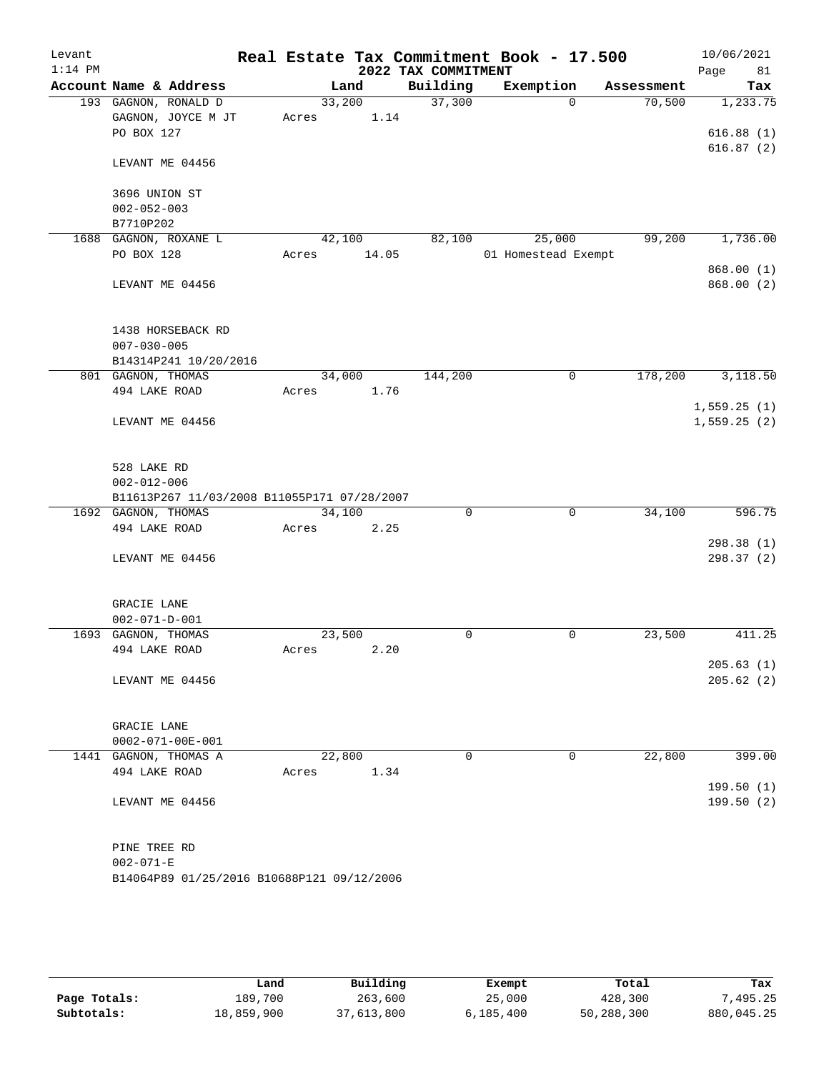| Levant    |                                             |                 |       |                     | Real Estate Tax Commitment Book - 17.500 |             | 10/06/2021             |        |
|-----------|---------------------------------------------|-----------------|-------|---------------------|------------------------------------------|-------------|------------------------|--------|
| $1:14$ PM |                                             |                 |       | 2022 TAX COMMITMENT |                                          |             | Page                   | 81     |
|           | Account Name & Address                      | Land            |       | Building            | Exemption                                | Assessment  |                        | Tax    |
|           | 193 GAGNON, RONALD D                        | 33,200          |       | 37,300              |                                          | $\Omega$    | 70,500<br>1,233.75     |        |
|           | GAGNON, JOYCE M JT                          | Acres           | 1.14  |                     |                                          |             |                        |        |
|           | PO BOX 127                                  |                 |       |                     |                                          |             | 616.88(1)              |        |
|           | LEVANT ME 04456                             |                 |       |                     |                                          |             | 616.87(2)              |        |
|           |                                             |                 |       |                     |                                          |             |                        |        |
|           | 3696 UNION ST                               |                 |       |                     |                                          |             |                        |        |
|           | $002 - 052 - 003$                           |                 |       |                     |                                          |             |                        |        |
|           | B7710P202                                   |                 |       |                     |                                          |             |                        |        |
|           | 1688 GAGNON, ROXANE L<br>PO BOX 128         | 42,100<br>Acres | 14.05 | 82,100              | 25,000<br>01 Homestead Exempt            |             | 99,200<br>1,736.00     |        |
|           |                                             |                 |       |                     |                                          |             | 868.00 (1)             |        |
|           | LEVANT ME 04456                             |                 |       |                     |                                          |             | 868.00 (2)             |        |
|           |                                             |                 |       |                     |                                          |             |                        |        |
|           | 1438 HORSEBACK RD<br>$007 - 030 - 005$      |                 |       |                     |                                          |             |                        |        |
|           | B14314P241 10/20/2016                       |                 |       |                     |                                          |             |                        |        |
|           | 801 GAGNON, THOMAS                          | 34,000          |       | 144,200             |                                          | $\mathbf 0$ | 178,200<br>3,118.50    |        |
|           | 494 LAKE ROAD                               | Acres           | 1.76  |                     |                                          |             |                        |        |
|           |                                             |                 |       |                     |                                          |             | 1,559.25(1)            |        |
|           | LEVANT ME 04456                             |                 |       |                     |                                          |             | 1,559.25(2)            |        |
|           |                                             |                 |       |                     |                                          |             |                        |        |
|           |                                             |                 |       |                     |                                          |             |                        |        |
|           | 528 LAKE RD                                 |                 |       |                     |                                          |             |                        |        |
|           | $002 - 012 - 006$                           |                 |       |                     |                                          |             |                        |        |
|           | B11613P267 11/03/2008 B11055P171 07/28/2007 |                 |       |                     |                                          |             |                        |        |
|           | 1692 GAGNON, THOMAS<br>494 LAKE ROAD        | 34,100<br>Acres | 2.25  | $\mathbf 0$         |                                          | $\mathbf 0$ | 34,100                 | 596.75 |
|           |                                             |                 |       |                     |                                          |             | 298.38(1)              |        |
|           | LEVANT ME 04456                             |                 |       |                     |                                          |             | 298.37 (2)             |        |
|           |                                             |                 |       |                     |                                          |             |                        |        |
|           |                                             |                 |       |                     |                                          |             |                        |        |
|           | GRACIE LANE                                 |                 |       |                     |                                          |             |                        |        |
|           | $002 - 071 - D - 001$                       |                 |       |                     |                                          |             |                        |        |
|           | 1693 GAGNON, THOMAS                         | 23,500          |       | 0                   |                                          | $\mathbf 0$ | 23,500                 | 411.25 |
|           | 494 LAKE ROAD                               | Acres           | 2.20  |                     |                                          |             |                        |        |
|           | LEVANT ME 04456                             |                 |       |                     |                                          |             | 205.63(1)<br>205.62(2) |        |
|           |                                             |                 |       |                     |                                          |             |                        |        |
|           |                                             |                 |       |                     |                                          |             |                        |        |
|           | GRACIE LANE                                 |                 |       |                     |                                          |             |                        |        |
|           | $0002 - 071 - 00E - 001$                    |                 |       |                     |                                          |             |                        |        |
|           | 1441 GAGNON, THOMAS A                       | 22,800          |       | $\mathbf 0$         |                                          | 0           | 22,800                 | 399.00 |
|           | 494 LAKE ROAD                               | Acres           | 1.34  |                     |                                          |             | 199.50(1)              |        |
|           | LEVANT ME 04456                             |                 |       |                     |                                          |             | 199.50(2)              |        |
|           |                                             |                 |       |                     |                                          |             |                        |        |
|           | PINE TREE RD                                |                 |       |                     |                                          |             |                        |        |
|           | $002 - 071 - E$                             |                 |       |                     |                                          |             |                        |        |
|           | B14064P89 01/25/2016 B10688P121 09/12/2006  |                 |       |                     |                                          |             |                        |        |
|           |                                             |                 |       |                     |                                          |             |                        |        |

|              | Land       | Building   | Exempt    | Total      | Tax        |
|--------------|------------|------------|-----------|------------|------------|
| Page Totals: | 189,700    | 263,600    | 25,000    | 428,300    | 7,495.25   |
| Subtotals:   | 18,859,900 | 37,613,800 | 6,185,400 | 50,288,300 | 880,045.25 |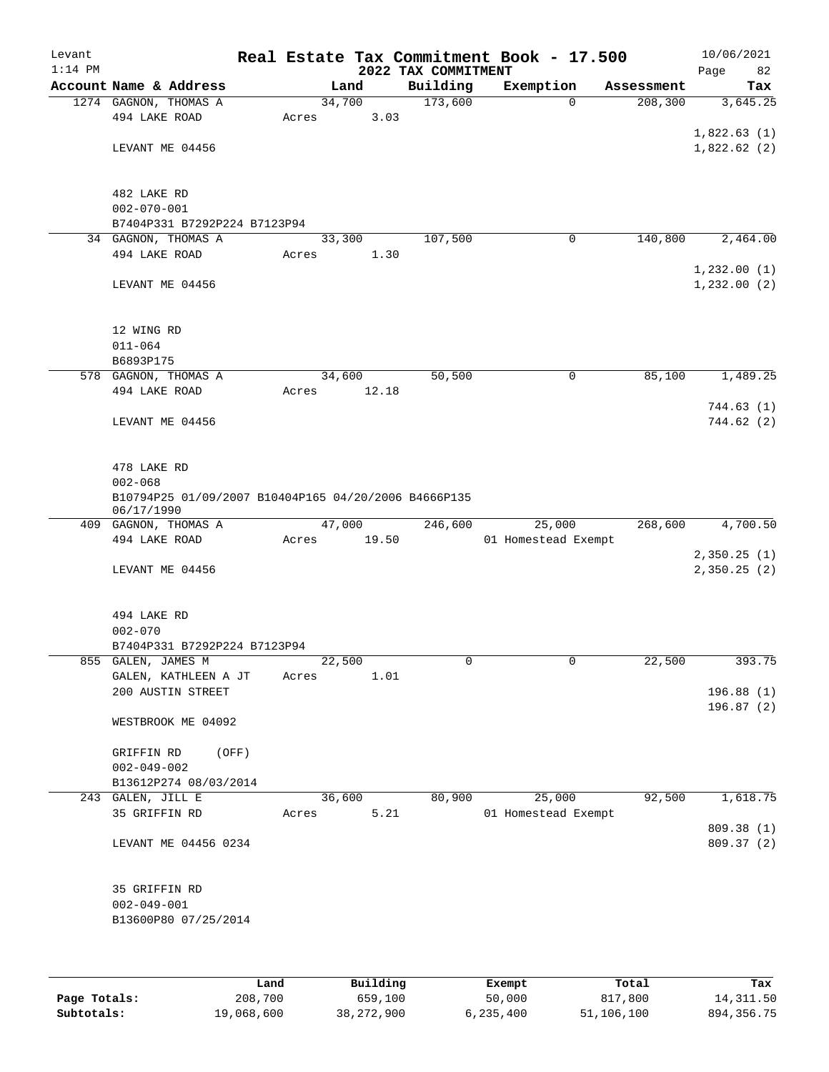| Levant<br>$1:14$ PM |                                                                    |       |        | 2022 TAX COMMITMENT | Real Estate Tax Commitment Book - 17.500 |            | 10/06/2021<br>Page<br>82 |
|---------------------|--------------------------------------------------------------------|-------|--------|---------------------|------------------------------------------|------------|--------------------------|
|                     | Account Name & Address                                             |       | Land   | Building            | Exemption                                | Assessment | Tax                      |
|                     | 1274 GAGNON, THOMAS A                                              |       | 34,700 | 173,600             | $\mathbf 0$                              | 208, 300   | 3,645.25                 |
|                     | 494 LAKE ROAD                                                      | Acres | 3.03   |                     |                                          |            |                          |
|                     |                                                                    |       |        |                     |                                          |            | 1,822.63(1)              |
|                     | LEVANT ME 04456                                                    |       |        |                     |                                          |            | 1,822.62(2)              |
|                     |                                                                    |       |        |                     |                                          |            |                          |
|                     | 482 LAKE RD                                                        |       |        |                     |                                          |            |                          |
|                     | $002 - 070 - 001$                                                  |       |        |                     |                                          |            |                          |
|                     | B7404P331 B7292P224 B7123P94                                       |       |        |                     |                                          |            |                          |
|                     | 34 GAGNON, THOMAS A<br>494 LAKE ROAD                               |       | 33,300 | 107,500             | $\mathbf 0$                              | 140,800    | 2,464.00                 |
|                     |                                                                    | Acres | 1.30   |                     |                                          |            | 1,232.00(1)              |
|                     | LEVANT ME 04456                                                    |       |        |                     |                                          |            | 1,232.00(2)              |
|                     |                                                                    |       |        |                     |                                          |            |                          |
|                     | 12 WING RD<br>$011 - 064$                                          |       |        |                     |                                          |            |                          |
|                     | B6893P175                                                          |       |        |                     |                                          |            |                          |
|                     | 578 GAGNON, THOMAS A                                               |       | 34,600 | 50,500              | 0                                        | 85,100     | 1,489.25                 |
|                     | 494 LAKE ROAD                                                      | Acres | 12.18  |                     |                                          |            |                          |
|                     |                                                                    |       |        |                     |                                          |            | 744.63(1)                |
|                     | LEVANT ME 04456                                                    |       |        |                     |                                          |            | 744.62(2)                |
|                     | 478 LAKE RD                                                        |       |        |                     |                                          |            |                          |
|                     | $002 - 068$                                                        |       |        |                     |                                          |            |                          |
|                     | B10794P25 01/09/2007 B10404P165 04/20/2006 B4666P135<br>06/17/1990 |       |        |                     |                                          |            |                          |
|                     | 409 GAGNON, THOMAS A                                               |       | 47,000 | 246,600             | 25,000                                   | 268,600    | 4,700.50                 |
|                     | 494 LAKE ROAD                                                      | Acres | 19.50  |                     | 01 Homestead Exempt                      |            |                          |
|                     |                                                                    |       |        |                     |                                          |            | 2,350.25(1)              |
|                     | LEVANT ME 04456                                                    |       |        |                     |                                          |            | 2,350.25(2)              |
|                     | 494 LAKE RD                                                        |       |        |                     |                                          |            |                          |
|                     | $002 - 070$                                                        |       |        |                     |                                          |            |                          |
|                     | B7404P331 B7292P224 B7123P94                                       |       |        |                     |                                          |            |                          |
| 855                 | GALEN, JAMES M                                                     |       | 22,500 | 0                   | 0                                        | 22,500     | 393.75                   |
|                     | GALEN, KATHLEEN A JT<br>200 AUSTIN STREET                          | Acres | 1.01   |                     |                                          |            | 196.88(1)                |
|                     |                                                                    |       |        |                     |                                          |            | 196.87(2)                |
|                     | WESTBROOK ME 04092                                                 |       |        |                     |                                          |            |                          |
|                     | GRIFFIN RD<br>(OFF)                                                |       |        |                     |                                          |            |                          |
|                     | $002 - 049 - 002$                                                  |       |        |                     |                                          |            |                          |
|                     | B13612P274 08/03/2014                                              |       |        |                     |                                          |            |                          |
|                     | 243 GALEN, JILL E                                                  |       | 36,600 | 80,900              | 25,000                                   | 92,500     | 1,618.75                 |
|                     | 35 GRIFFIN RD                                                      | Acres | 5.21   |                     | 01 Homestead Exempt                      |            |                          |
|                     |                                                                    |       |        |                     |                                          |            | 809.38 (1)               |
|                     | LEVANT ME 04456 0234                                               |       |        |                     |                                          |            | 809.37 (2)               |
|                     | 35 GRIFFIN RD                                                      |       |        |                     |                                          |            |                          |
|                     | $002 - 049 - 001$                                                  |       |        |                     |                                          |            |                          |
|                     | B13600P80 07/25/2014                                               |       |        |                     |                                          |            |                          |
|                     |                                                                    |       |        |                     |                                          |            |                          |
|                     |                                                                    |       |        |                     |                                          |            |                          |
|                     |                                                                    |       |        |                     |                                          |            |                          |

|              | Land       | Building   | Exempt    | Total      | Tax          |
|--------------|------------|------------|-----------|------------|--------------|
| Page Totals: | 208,700    | 659,100    | 50,000    | 817,800    | 14,311.50    |
| Subtotals:   | 19,068,600 | 38,272,900 | 6,235,400 | 51,106,100 | 894, 356. 75 |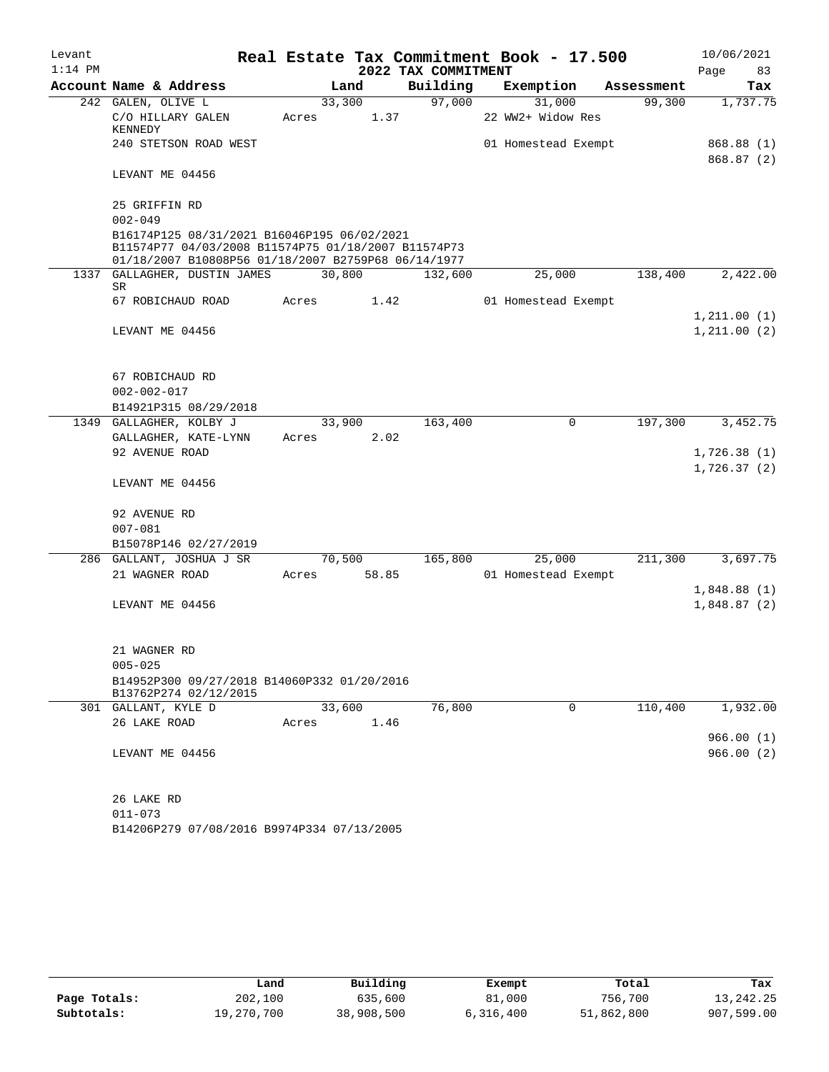| Levant    |                                                     |        |       |                     | Real Estate Tax Commitment Book - 17.500 |            | 10/06/2021   |     |
|-----------|-----------------------------------------------------|--------|-------|---------------------|------------------------------------------|------------|--------------|-----|
| $1:14$ PM |                                                     |        |       | 2022 TAX COMMITMENT |                                          |            | Page         | 83  |
|           | Account Name & Address                              |        | Land  | Building            | Exemption                                | Assessment |              | Tax |
|           | 242 GALEN, OLIVE L                                  | 33,300 |       | 97,000              | 31,000                                   | 99,300     | 1,737.75     |     |
|           | C/O HILLARY GALEN                                   | Acres  | 1.37  |                     | 22 WW2+ Widow Res                        |            |              |     |
|           | KENNEDY<br>240 STETSON ROAD WEST                    |        |       |                     | 01 Homestead Exempt                      |            | 868.88 (1)   |     |
|           |                                                     |        |       |                     |                                          |            | 868.87(2)    |     |
|           | LEVANT ME 04456                                     |        |       |                     |                                          |            |              |     |
|           | 25 GRIFFIN RD                                       |        |       |                     |                                          |            |              |     |
|           | $002 - 049$                                         |        |       |                     |                                          |            |              |     |
|           | B16174P125 08/31/2021 B16046P195 06/02/2021         |        |       |                     |                                          |            |              |     |
|           | B11574P77 04/03/2008 B11574P75 01/18/2007 B11574P73 |        |       |                     |                                          |            |              |     |
|           | 01/18/2007 B10808P56 01/18/2007 B2759P68 06/14/1977 |        |       |                     |                                          |            |              |     |
|           | 1337 GALLAGHER, DUSTIN JAMES<br>SR                  | 30,800 |       | 132,600             | 25,000                                   | 138,400    | 2,422.00     |     |
|           | 67 ROBICHAUD ROAD                                   | Acres  | 1.42  |                     | 01 Homestead Exempt                      |            |              |     |
|           |                                                     |        |       |                     |                                          |            | 1,211.00(1)  |     |
|           | LEVANT ME 04456                                     |        |       |                     |                                          |            | 1, 211.00(2) |     |
|           |                                                     |        |       |                     |                                          |            |              |     |
|           |                                                     |        |       |                     |                                          |            |              |     |
|           | 67 ROBICHAUD RD                                     |        |       |                     |                                          |            |              |     |
|           | $002 - 002 - 017$                                   |        |       |                     |                                          |            |              |     |
|           | B14921P315 08/29/2018                               |        |       |                     |                                          |            |              |     |
|           | 1349 GALLAGHER, KOLBY J                             | 33,900 |       | 163,400             | 0                                        | 197,300    | 3,452.75     |     |
|           | GALLAGHER, KATE-LYNN                                | Acres  | 2.02  |                     |                                          |            |              |     |
|           | 92 AVENUE ROAD                                      |        |       |                     |                                          |            | 1,726.38(1)  |     |
|           |                                                     |        |       |                     |                                          |            | 1,726.37(2)  |     |
|           | LEVANT ME 04456                                     |        |       |                     |                                          |            |              |     |
|           | 92 AVENUE RD                                        |        |       |                     |                                          |            |              |     |
|           | $007 - 081$                                         |        |       |                     |                                          |            |              |     |
|           | B15078P146 02/27/2019                               |        |       |                     |                                          |            |              |     |
|           | 286 GALLANT, JOSHUA J SR                            | 70,500 |       | 165,800             | 25,000                                   | 211,300    | 3,697.75     |     |
|           | 21 WAGNER ROAD                                      | Acres  | 58.85 |                     | 01 Homestead Exempt                      |            |              |     |
|           |                                                     |        |       |                     |                                          |            | 1,848.88(1)  |     |
|           | LEVANT ME 04456                                     |        |       |                     |                                          |            | 1,848.87(2)  |     |
|           |                                                     |        |       |                     |                                          |            |              |     |
|           |                                                     |        |       |                     |                                          |            |              |     |
|           | 21 WAGNER RD                                        |        |       |                     |                                          |            |              |     |
|           | $005 - 025$                                         |        |       |                     |                                          |            |              |     |
|           | B14952P300 09/27/2018 B14060P332 01/20/2016         |        |       |                     |                                          |            |              |     |
|           | B13762P274 02/12/2015<br>301 GALLANT, KYLE D        | 33,600 |       | 76,800              | 0                                        | 110,400    | 1,932.00     |     |
|           | 26 LAKE ROAD                                        | Acres  | 1.46  |                     |                                          |            |              |     |
|           |                                                     |        |       |                     |                                          |            | 966.00(1)    |     |
|           | LEVANT ME 04456                                     |        |       |                     |                                          |            | 966.00(2)    |     |
|           |                                                     |        |       |                     |                                          |            |              |     |
|           |                                                     |        |       |                     |                                          |            |              |     |
|           | 26 LAKE RD                                          |        |       |                     |                                          |            |              |     |
|           | $011 - 073$                                         |        |       |                     |                                          |            |              |     |
|           | B14206P279 07/08/2016 B9974P334 07/13/2005          |        |       |                     |                                          |            |              |     |

|              | Land       | Building   | Exempt    | Total      | Tax        |
|--------------|------------|------------|-----------|------------|------------|
| Page Totals: | 202,100    | 635,600    | 81,000    | 756,700    | 13,242.25  |
| Subtotals:   | 19,270,700 | 38,908,500 | 6,316,400 | 51,862,800 | 907,599.00 |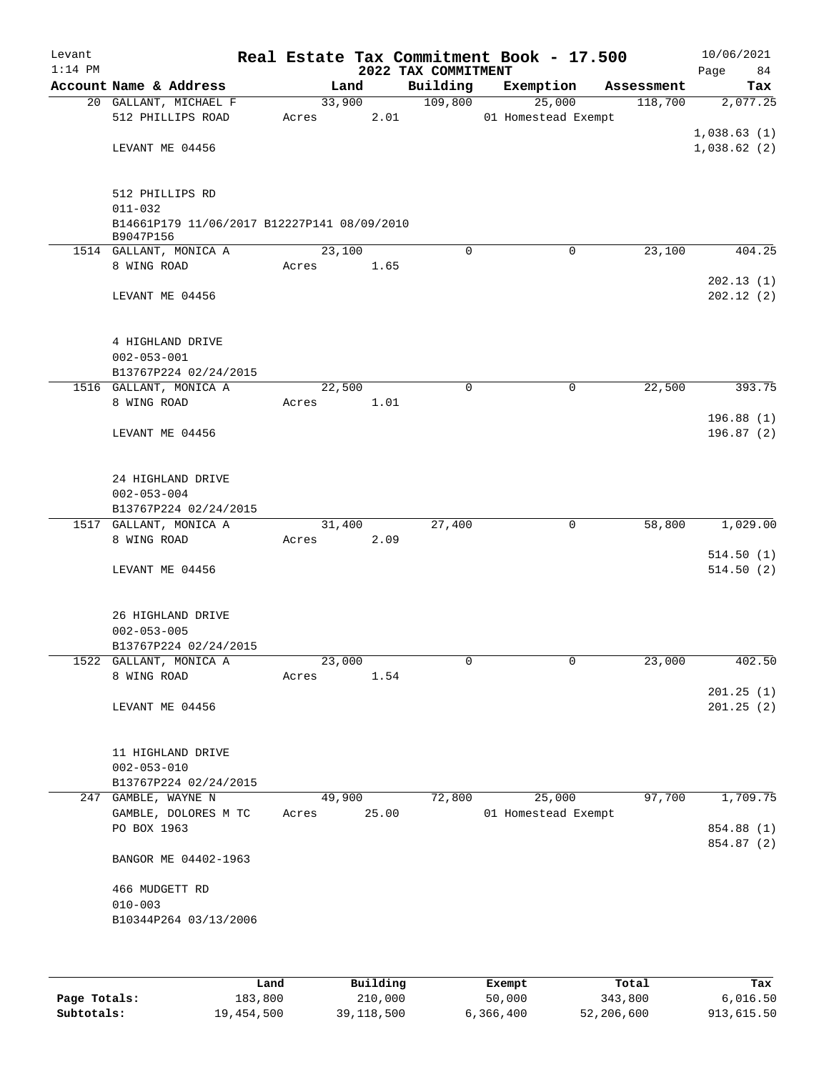| Levant<br>$1:14$ PM |                                                            |       |                | 2022 TAX COMMITMENT | Real Estate Tax Commitment Book - 17.500 |            | 10/06/2021<br>Page<br>84 |
|---------------------|------------------------------------------------------------|-------|----------------|---------------------|------------------------------------------|------------|--------------------------|
|                     | Account Name & Address                                     |       | Land           | Building            | Exemption                                | Assessment | Tax                      |
|                     | 20 GALLANT, MICHAEL F                                      |       | 33,900         | 109,800             | 25,000                                   | 118,700    | 2,077.25                 |
|                     | 512 PHILLIPS ROAD                                          | Acres | 2.01           |                     | 01 Homestead Exempt                      |            |                          |
|                     |                                                            |       |                |                     |                                          |            | 1,038.63(1)              |
|                     | LEVANT ME 04456                                            |       |                |                     |                                          |            | 1,038.62(2)              |
|                     | 512 PHILLIPS RD                                            |       |                |                     |                                          |            |                          |
|                     | $011 - 032$<br>B14661P179 11/06/2017 B12227P141 08/09/2010 |       |                |                     |                                          |            |                          |
|                     | B9047P156<br>1514 GALLANT, MONICA A                        |       | 23,100         | $\mathbf 0$         | $\mathbf 0$                              | 23,100     | 404.25                   |
|                     | 8 WING ROAD                                                | Acres | 1.65           |                     |                                          |            |                          |
|                     |                                                            |       |                |                     |                                          |            | 202.13(1)                |
|                     | LEVANT ME 04456                                            |       |                |                     |                                          |            | 202.12(2)                |
|                     | 4 HIGHLAND DRIVE                                           |       |                |                     |                                          |            |                          |
|                     | $002 - 053 - 001$                                          |       |                |                     |                                          |            |                          |
|                     | B13767P224 02/24/2015                                      |       |                |                     |                                          |            |                          |
|                     | 1516 GALLANT, MONICA A                                     |       | 22,500         | $\mathbf 0$         | $\mathsf{O}$                             | 22,500     | 393.75                   |
|                     | 8 WING ROAD                                                | Acres | 1.01           |                     |                                          |            |                          |
|                     | LEVANT ME 04456                                            |       |                |                     |                                          |            | 196.88(1)<br>196.87(2)   |
|                     |                                                            |       |                |                     |                                          |            |                          |
|                     | 24 HIGHLAND DRIVE                                          |       |                |                     |                                          |            |                          |
|                     | $002 - 053 - 004$                                          |       |                |                     |                                          |            |                          |
|                     | B13767P224 02/24/2015                                      |       |                |                     |                                          |            |                          |
|                     | 1517 GALLANT, MONICA A<br>8 WING ROAD                      | Acres | 31,400<br>2.09 | 27,400              | $\mathsf{O}$                             | 58,800     | 1,029.00                 |
|                     |                                                            |       |                |                     |                                          |            | 514.50(1)                |
|                     | LEVANT ME 04456                                            |       |                |                     |                                          |            | 514.50(2)                |
|                     |                                                            |       |                |                     |                                          |            |                          |
|                     | 26 HIGHLAND DRIVE                                          |       |                |                     |                                          |            |                          |
|                     | $002 - 053 - 005$                                          |       |                |                     |                                          |            |                          |
|                     | B13767P224 02/24/2015                                      |       |                |                     |                                          |            |                          |
|                     | 1522 GALLANT, MONICA A                                     |       | 23,000         | 0                   | 0                                        | 23,000     | 402.50                   |
|                     | 8 WING ROAD                                                | Acres | 1.54           |                     |                                          |            |                          |
|                     | LEVANT ME 04456                                            |       |                |                     |                                          |            | 201.25(1)<br>201.25(2)   |
|                     |                                                            |       |                |                     |                                          |            |                          |
|                     | 11 HIGHLAND DRIVE                                          |       |                |                     |                                          |            |                          |
|                     | $002 - 053 - 010$                                          |       |                |                     |                                          |            |                          |
|                     | B13767P224 02/24/2015                                      |       |                |                     |                                          |            |                          |
|                     | 247 GAMBLE, WAYNE N                                        |       | 49,900         | 72,800              | 25,000                                   | 97,700     | 1,709.75                 |
|                     | GAMBLE, DOLORES M TC                                       | Acres | 25.00          |                     | 01 Homestead Exempt                      |            |                          |
|                     | PO BOX 1963                                                |       |                |                     |                                          |            | 854.88 (1)               |
|                     | BANGOR ME 04402-1963                                       |       |                |                     |                                          |            | 854.87 (2)               |
|                     |                                                            |       |                |                     |                                          |            |                          |
|                     | 466 MUDGETT RD<br>$010 - 003$                              |       |                |                     |                                          |            |                          |
|                     | B10344P264 03/13/2006                                      |       |                |                     |                                          |            |                          |
|                     |                                                            |       |                |                     |                                          |            |                          |
|                     |                                                            |       |                |                     |                                          |            |                          |

|              | Land       | Building   | Exempt    | Total      | Tax        |
|--------------|------------|------------|-----------|------------|------------|
| Page Totals: | 183,800    | 210,000    | 50,000    | 343,800    | 6,016.50   |
| Subtotals:   | 19,454,500 | 39,118,500 | 6,366,400 | 52,206,600 | 913,615.50 |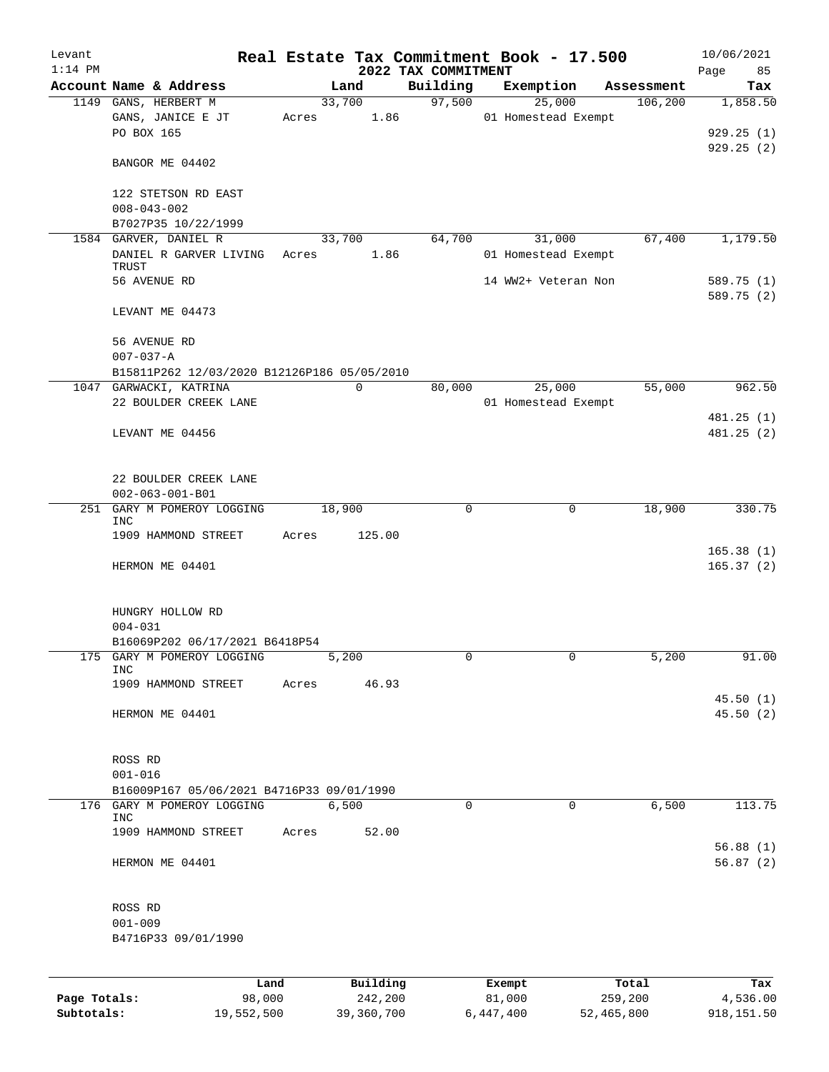| Levant    |                                                       |       |                |                     | Real Estate Tax Commitment Book - 17.500 |                       | 10/06/2021      |
|-----------|-------------------------------------------------------|-------|----------------|---------------------|------------------------------------------|-----------------------|-----------------|
| $1:14$ PM |                                                       |       |                | 2022 TAX COMMITMENT |                                          |                       | 85<br>Page      |
|           | Account Name & Address<br>1149 GANS, HERBERT M        |       | Land<br>33,700 | Building<br>97,500  | Exemption<br>25,000                      | Assessment<br>106,200 | Tax<br>1,858.50 |
|           | GANS, JANICE E JT                                     | Acres | 1.86           |                     | 01 Homestead Exempt                      |                       |                 |
|           | PO BOX 165                                            |       |                |                     |                                          |                       | 929.25(1)       |
|           |                                                       |       |                |                     |                                          |                       | 929.25(2)       |
|           | BANGOR ME 04402                                       |       |                |                     |                                          |                       |                 |
|           | 122 STETSON RD EAST                                   |       |                |                     |                                          |                       |                 |
|           | $008 - 043 - 002$                                     |       |                |                     |                                          |                       |                 |
|           | B7027P35 10/22/1999                                   |       |                |                     |                                          |                       |                 |
|           | 1584 GARVER, DANIEL R<br>DANIEL R GARVER LIVING       |       | 33,700         | 64,700              | 31,000                                   | 67,400                | 1,179.50        |
|           | TRUST                                                 | Acres | 1.86           |                     | 01 Homestead Exempt                      |                       |                 |
|           | 56 AVENUE RD                                          |       |                |                     | 14 WW2+ Veteran Non                      |                       | 589.75 (1)      |
|           |                                                       |       |                |                     |                                          |                       | 589.75 (2)      |
|           | LEVANT ME 04473                                       |       |                |                     |                                          |                       |                 |
|           | 56 AVENUE RD                                          |       |                |                     |                                          |                       |                 |
|           | $007 - 037 - A$                                       |       |                |                     |                                          |                       |                 |
|           | B15811P262 12/03/2020 B12126P186 05/05/2010           |       |                |                     |                                          |                       |                 |
|           | 1047 GARWACKI, KATRINA<br>22 BOULDER CREEK LANE       |       | $\mathbf 0$    | 80,000              | 25,000                                   | 55,000                | 962.50          |
|           |                                                       |       |                |                     | 01 Homestead Exempt                      |                       | 481.25 (1)      |
|           | LEVANT ME 04456                                       |       |                |                     |                                          |                       | 481.25 (2)      |
|           |                                                       |       |                |                     |                                          |                       |                 |
|           | 22 BOULDER CREEK LANE                                 |       |                |                     |                                          |                       |                 |
|           | $002 - 063 - 001 - B01$<br>251 GARY M POMEROY LOGGING |       | 18,900         | $\Omega$            | 0                                        | 18,900                | 330.75          |
|           | INC                                                   |       |                |                     |                                          |                       |                 |
|           | 1909 HAMMOND STREET                                   | Acres | 125.00         |                     |                                          |                       |                 |
|           |                                                       |       |                |                     |                                          |                       | 165.38(1)       |
|           | HERMON ME 04401                                       |       |                |                     |                                          |                       | 165.37(2)       |
|           | HUNGRY HOLLOW RD                                      |       |                |                     |                                          |                       |                 |
|           | $004 - 031$                                           |       |                |                     |                                          |                       |                 |
|           | B16069P202 06/17/2021 B6418P54                        |       |                |                     |                                          |                       |                 |
|           | 175 GARY M POMEROY LOGGING                            |       | 5,200          |                     |                                          | 5,200                 | 91.00           |
|           | INC                                                   |       | 46.93          |                     |                                          |                       |                 |
|           | 1909 HAMMOND STREET                                   | Acres |                |                     |                                          |                       | 45.50(1)        |
|           | HERMON ME 04401                                       |       |                |                     |                                          |                       | 45.50 (2)       |
|           |                                                       |       |                |                     |                                          |                       |                 |
|           | ROSS RD                                               |       |                |                     |                                          |                       |                 |
|           | $001 - 016$                                           |       |                |                     |                                          |                       |                 |
|           | B16009P167 05/06/2021 B4716P33 09/01/1990             |       |                |                     |                                          |                       |                 |
|           | 176 GARY M POMEROY LOGGING<br>INC                     |       | 6,500          | $\mathbf 0$         | 0                                        | 6,500                 | 113.75          |
|           | 1909 HAMMOND STREET                                   | Acres | 52.00          |                     |                                          |                       |                 |
|           |                                                       |       |                |                     |                                          |                       | 56.88(1)        |
|           | HERMON ME 04401                                       |       |                |                     |                                          |                       | 56.87(2)        |
|           | ROSS RD                                               |       |                |                     |                                          |                       |                 |
|           | $001 - 009$                                           |       |                |                     |                                          |                       |                 |
|           | B4716P33 09/01/1990                                   |       |                |                     |                                          |                       |                 |
|           |                                                       |       |                |                     |                                          |                       |                 |
|           | Land                                                  |       | Building       |                     | Exempt                                   | Total                 | Tax             |

**Page Totals:** 98,000 242,200 81,000 259,200 4,536.00 **Subtotals:** 19,552,500 39,360,700 6,447,400 52,465,800 918,151.50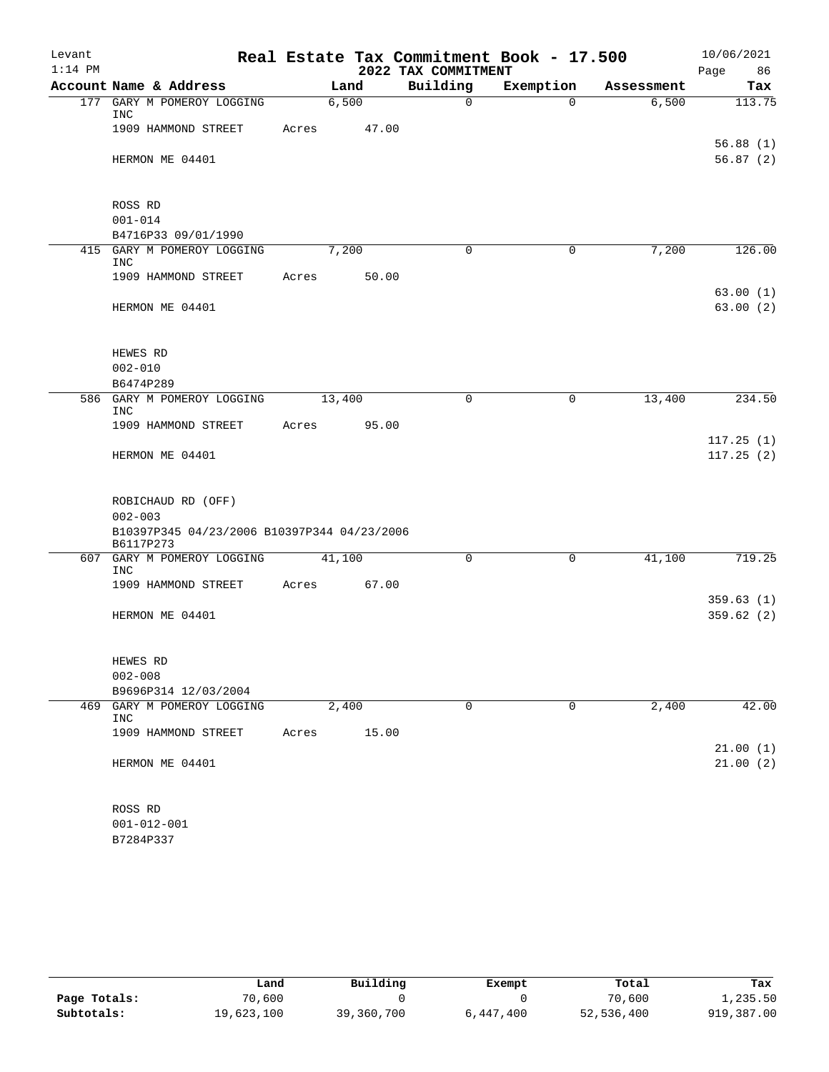| Levant    |                                                          |        |       |                     | Real Estate Tax Commitment Book - 17.500 |            | 10/06/2021             |
|-----------|----------------------------------------------------------|--------|-------|---------------------|------------------------------------------|------------|------------------------|
| $1:14$ PM |                                                          |        |       | 2022 TAX COMMITMENT |                                          |            | Page<br>86             |
|           | Account Name & Address                                   | Land   |       | Building            | Exemption                                | Assessment | Tax                    |
| 177       | GARY M POMEROY LOGGING<br>INC                            | 6,500  |       | $\mathbf 0$         | $\Omega$                                 | 6,500      | 113.75                 |
|           | 1909 HAMMOND STREET                                      | Acres  | 47.00 |                     |                                          |            | 56.88(1)               |
|           | HERMON ME 04401                                          |        |       |                     |                                          |            | 56.87(2)               |
|           | ROSS RD                                                  |        |       |                     |                                          |            |                        |
|           | $001 - 014$                                              |        |       |                     |                                          |            |                        |
|           | B4716P33 09/01/1990<br>415 GARY M POMEROY LOGGING        | 7,200  |       | $\Omega$            | $\mathbf 0$                              | 7,200      | 126.00                 |
|           | <b>INC</b>                                               |        |       |                     |                                          |            |                        |
|           | 1909 HAMMOND STREET                                      | Acres  | 50.00 |                     |                                          |            | 63.00(1)               |
|           | HERMON ME 04401                                          |        |       |                     |                                          |            | 63.00(2)               |
|           | HEWES RD                                                 |        |       |                     |                                          |            |                        |
|           | $002 - 010$                                              |        |       |                     |                                          |            |                        |
|           | B6474P289                                                |        |       |                     |                                          |            |                        |
|           | 586 GARY M POMEROY LOGGING<br><b>INC</b>                 | 13,400 |       | $\mathbf 0$         | $\mathbf 0$                              | 13,400     | 234.50                 |
|           | 1909 HAMMOND STREET                                      | Acres  | 95.00 |                     |                                          |            |                        |
|           | HERMON ME 04401                                          |        |       |                     |                                          |            | 117.25(1)<br>117.25(2) |
|           | ROBICHAUD RD (OFF)<br>$002 - 003$                        |        |       |                     |                                          |            |                        |
|           | B10397P345 04/23/2006 B10397P344 04/23/2006<br>B6117P273 |        |       |                     |                                          |            |                        |
|           | 607 GARY M POMEROY LOGGING<br><b>INC</b>                 | 41,100 |       | $\Omega$            | 0                                        | 41,100     | 719.25                 |
|           | 1909 HAMMOND STREET                                      | Acres  | 67.00 |                     |                                          |            |                        |
|           | HERMON ME 04401                                          |        |       |                     |                                          |            | 359.63(1)<br>359.62(2) |
|           | HEWES RD                                                 |        |       |                     |                                          |            |                        |
|           | $002 - 008$                                              |        |       |                     |                                          |            |                        |
|           | B9696P314 12/03/2004                                     |        |       |                     |                                          |            |                        |
| 469       | GARY M POMEROY LOGGING<br>INC                            | 2,400  |       | 0                   | 0                                        | 2,400      | 42.00                  |
|           | 1909 HAMMOND STREET                                      | Acres  | 15.00 |                     |                                          |            |                        |
|           | HERMON ME 04401                                          |        |       |                     |                                          |            | 21.00(1)<br>21.00(2)   |
|           | ROSS RD                                                  |        |       |                     |                                          |            |                        |
|           | $001 - 012 - 001$                                        |        |       |                     |                                          |            |                        |
|           |                                                          |        |       |                     |                                          |            |                        |

| 284P3 |
|-------|
|-------|

|              | Land       | Building   | Exempt    | Total      | Tax        |
|--------------|------------|------------|-----------|------------|------------|
| Page Totals: | 70,600     |            |           | 70,600     | 1,235.50   |
| Subtotals:   | 19,623,100 | 39,360,700 | 6,447,400 | 52,536,400 | 919,387.00 |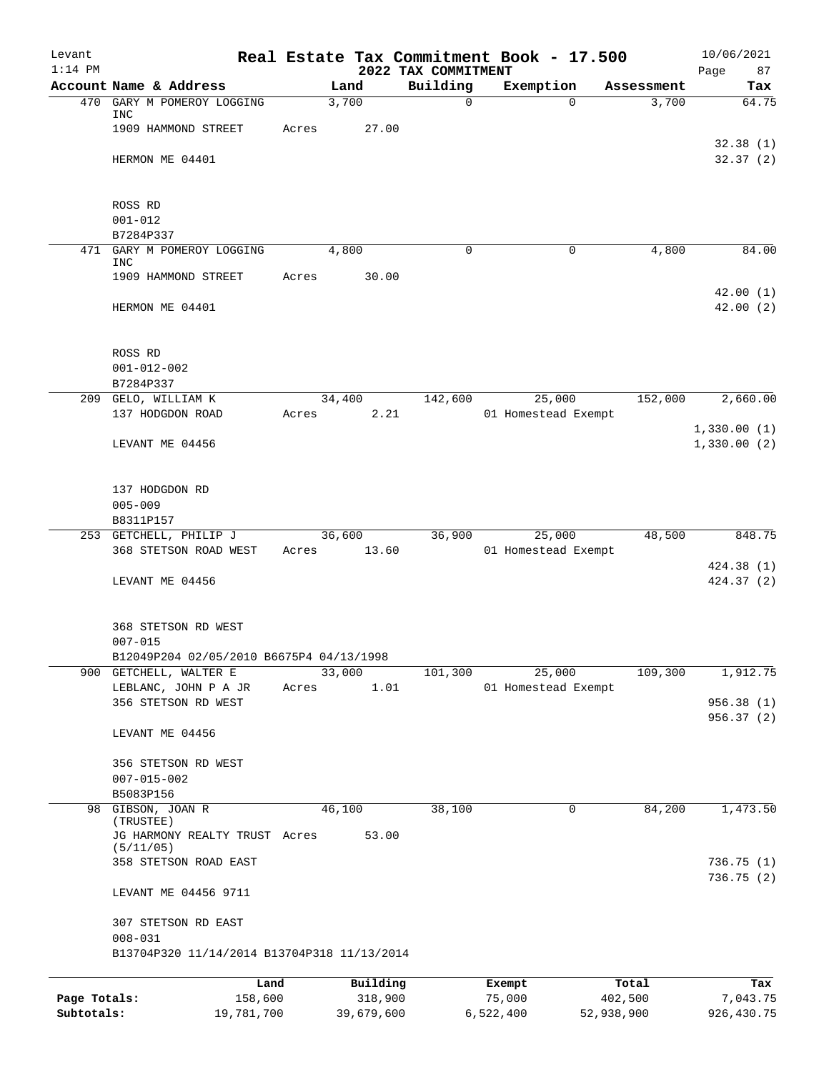| Levant<br>$1:14$ PM |                                                 |       |                | 2022 TAX COMMITMENT | Real Estate Tax Commitment Book - 17.500 |            | 10/06/2021<br>Page<br>87 |
|---------------------|-------------------------------------------------|-------|----------------|---------------------|------------------------------------------|------------|--------------------------|
|                     | Account Name & Address                          |       | Land           | Building            | Exemption                                | Assessment | Tax                      |
| 470                 | GARY M POMEROY LOGGING<br>INC                   |       | 3,700          | $\overline{0}$      | $\Omega$                                 | 3,700      | 64.75                    |
|                     | 1909 HAMMOND STREET                             | Acres | 27.00          |                     |                                          |            |                          |
|                     | HERMON ME 04401                                 |       |                |                     |                                          |            | 32.38(1)<br>32.37(2)     |
|                     | ROSS RD                                         |       |                |                     |                                          |            |                          |
|                     | $001 - 012$<br>B7284P337                        |       |                |                     |                                          |            |                          |
|                     | 471 GARY M POMEROY LOGGING<br>INC               |       | 4,800          | 0                   | 0                                        | 4,800      | 84.00                    |
|                     | 1909 HAMMOND STREET                             | Acres | 30.00          |                     |                                          |            | 42.00(1)                 |
|                     | HERMON ME 04401                                 |       |                |                     |                                          |            | 42.00(2)                 |
|                     | ROSS RD                                         |       |                |                     |                                          |            |                          |
|                     | $001 - 012 - 002$                               |       |                |                     |                                          |            |                          |
|                     | B7284P337                                       |       |                |                     |                                          |            |                          |
|                     | 209 GELO, WILLIAM K<br>137 HODGDON ROAD         |       | 34,400         | 142,600             | 25,000                                   | 152,000    | 2,660.00                 |
|                     |                                                 | Acres | 2.21           |                     | 01 Homestead Exempt                      |            | 1,330.00(1)              |
|                     | LEVANT ME 04456                                 |       |                |                     |                                          |            | 1,330.00(2)              |
|                     | 137 HODGDON RD                                  |       |                |                     |                                          |            |                          |
|                     | $005 - 009$                                     |       |                |                     |                                          |            |                          |
|                     | B8311P157                                       |       | 36,600         | 36,900              |                                          | 48,500     | 848.75                   |
|                     | 253 GETCHELL, PHILIP J<br>368 STETSON ROAD WEST |       | Acres 13.60    |                     | 25,000<br>01 Homestead Exempt            |            |                          |
|                     |                                                 |       |                |                     |                                          |            | 424.38 (1)               |
|                     | LEVANT ME 04456                                 |       |                |                     |                                          |            | 424.37 (2)               |
|                     | 368 STETSON RD WEST                             |       |                |                     |                                          |            |                          |
|                     | $007 - 015$                                     |       |                |                     |                                          |            |                          |
|                     | B12049P204 02/05/2010 B6675P4 04/13/1998        |       |                |                     |                                          |            |                          |
|                     | 900 GETCHELL, WALTER E<br>LEBLANC, JOHN P A JR  |       | 33,000<br>1.01 | 101,300             | 25,000<br>01 Homestead Exempt            | 109,300    | 1,912.75                 |
|                     | 356 STETSON RD WEST                             | Acres |                |                     |                                          |            | 956.38(1)                |
|                     | LEVANT ME 04456                                 |       |                |                     |                                          |            | 956.37(2)                |
|                     | 356 STETSON RD WEST                             |       |                |                     |                                          |            |                          |
|                     | $007 - 015 - 002$                               |       |                |                     |                                          |            |                          |
| 98                  | B5083P156<br>GIBSON, JOAN R                     |       | 46,100         | 38,100              | 0                                        | 84,200     | 1,473.50                 |
|                     | (TRUSTEE)<br>JG HARMONY REALTY TRUST Acres      |       | 53.00          |                     |                                          |            |                          |
|                     | (5/11/05)                                       |       |                |                     |                                          |            |                          |
|                     | 358 STETSON ROAD EAST                           |       |                |                     |                                          |            | 736.75 (1)<br>736.75(2)  |
|                     | LEVANT ME 04456 9711                            |       |                |                     |                                          |            |                          |
|                     | 307 STETSON RD EAST<br>$008 - 031$              |       |                |                     |                                          |            |                          |
|                     | B13704P320 11/14/2014 B13704P318 11/13/2014     |       |                |                     |                                          |            |                          |
|                     | Land                                            |       | Building       |                     | Exempt                                   | Total      | Tax                      |
| Page Totals:        | 158,600                                         |       | 318,900        |                     | 75,000                                   | 402,500    | 7,043.75                 |

**Subtotals:** 19,781,700 39,679,600 6,522,400 52,938,900 926,430.75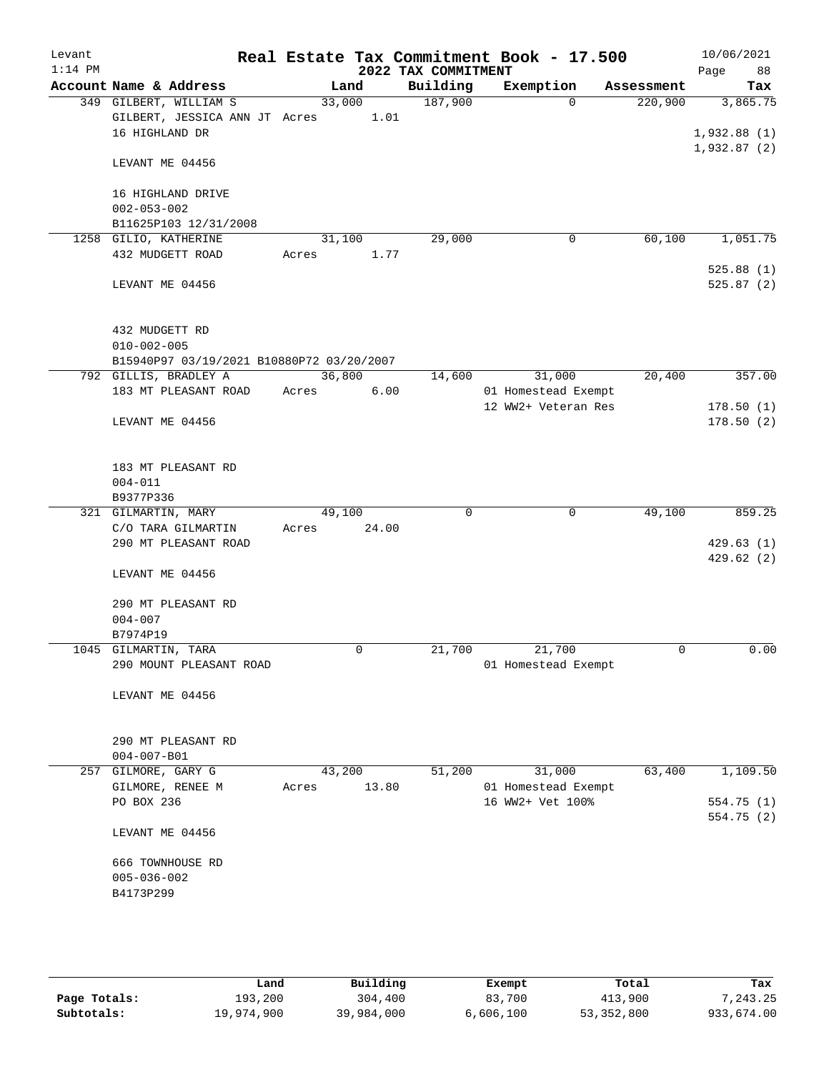| Levant<br>$1:14$ PM |                                            |        |             | 2022 TAX COMMITMENT | Real Estate Tax Commitment Book - 17.500 |            | 10/06/2021<br>88<br>Page |
|---------------------|--------------------------------------------|--------|-------------|---------------------|------------------------------------------|------------|--------------------------|
|                     | Account Name & Address                     |        | Land        | Building            | Exemption                                | Assessment | Tax                      |
|                     | 349 GILBERT, WILLIAM S                     | 33,000 |             | 187,900             | $\Omega$                                 | 220,900    | 3,865.75                 |
|                     | GILBERT, JESSICA ANN JT Acres 1.01         |        |             |                     |                                          |            |                          |
|                     | 16 HIGHLAND DR                             |        |             |                     |                                          |            | 1,932.88(1)              |
|                     | LEVANT ME 04456                            |        |             |                     |                                          |            | 1,932.87(2)              |
|                     | 16 HIGHLAND DRIVE                          |        |             |                     |                                          |            |                          |
|                     | $002 - 053 - 002$                          |        |             |                     |                                          |            |                          |
|                     | B11625P103 12/31/2008                      |        |             |                     |                                          |            |                          |
|                     | 1258 GILIO, KATHERINE                      | 31,100 |             | 29,000              | $\mathbf 0$                              | 60,100     | 1,051.75                 |
|                     | 432 MUDGETT ROAD                           | Acres  | 1.77        |                     |                                          |            |                          |
|                     |                                            |        |             |                     |                                          |            | 525.88(1)                |
|                     | LEVANT ME 04456                            |        |             |                     |                                          |            | 525.87(2)                |
|                     | 432 MUDGETT RD                             |        |             |                     |                                          |            |                          |
|                     | $010 - 002 - 005$                          |        |             |                     |                                          |            |                          |
|                     | B15940P97 03/19/2021 B10880P72 03/20/2007  |        |             |                     |                                          |            |                          |
|                     | 792 GILLIS, BRADLEY A                      | 36,800 |             | 14,600              | 31,000                                   | 20,400     | 357.00                   |
|                     | 183 MT PLEASANT ROAD                       | Acres  | 6.00        |                     | 01 Homestead Exempt                      |            |                          |
|                     | LEVANT ME 04456                            |        |             |                     | 12 WW2+ Veteran Res                      |            | 178.50(1)<br>178.50(2)   |
|                     |                                            |        |             |                     |                                          |            |                          |
|                     | 183 MT PLEASANT RD                         |        |             |                     |                                          |            |                          |
|                     | $004 - 011$                                |        |             |                     |                                          |            |                          |
|                     | B9377P336                                  |        |             |                     |                                          |            |                          |
|                     | 321 GILMARTIN, MARY                        | 49,100 |             | $\mathbf 0$         | 0                                        | 49,100     | 859.25                   |
|                     | C/O TARA GILMARTIN<br>290 MT PLEASANT ROAD | Acres  | 24.00       |                     |                                          |            | 429.63(1)                |
|                     |                                            |        |             |                     |                                          |            | 429.62 (2)               |
|                     | LEVANT ME 04456                            |        |             |                     |                                          |            |                          |
|                     | 290 MT PLEASANT RD                         |        |             |                     |                                          |            |                          |
|                     | $004 - 007$                                |        |             |                     |                                          |            |                          |
|                     | B7974P19                                   |        |             |                     |                                          |            |                          |
|                     | 1045 GILMARTIN, TARA                       |        | $\mathbf 0$ | 21,700              | 21,700                                   | 0          | 0.00                     |
|                     | 290 MOUNT PLEASANT ROAD                    |        |             |                     | 01 Homestead Exempt                      |            |                          |
|                     | LEVANT ME 04456                            |        |             |                     |                                          |            |                          |
|                     |                                            |        |             |                     |                                          |            |                          |
|                     | 290 MT PLEASANT RD<br>$004 - 007 - B01$    |        |             |                     |                                          |            |                          |
|                     | 257 GILMORE, GARY G                        | 43,200 |             | 51,200              | 31,000                                   | 63,400     | 1,109.50                 |
|                     | GILMORE, RENEE M                           | Acres  | 13.80       |                     | 01 Homestead Exempt                      |            |                          |
|                     | PO BOX 236                                 |        |             |                     | 16 WW2+ Vet 100%                         |            | 554.75 (1)               |
|                     | LEVANT ME 04456                            |        |             |                     |                                          |            | 554.75 (2)               |
|                     | 666 TOWNHOUSE RD                           |        |             |                     |                                          |            |                          |
|                     | $005 - 036 - 002$                          |        |             |                     |                                          |            |                          |
|                     | B4173P299                                  |        |             |                     |                                          |            |                          |
|                     |                                            |        |             |                     |                                          |            |                          |
|                     |                                            |        |             |                     |                                          |            |                          |
|                     |                                            |        |             |                     |                                          |            |                          |

|              | Land       | Building   | Exempt    | Total      | Tax        |
|--------------|------------|------------|-----------|------------|------------|
| Page Totals: | 193,200    | 304,400    | 83,700    | 413,900    | 7.243.25   |
| Subtotals:   | 19,974,900 | 39,984,000 | 6,606,100 | 53,352,800 | 933,674.00 |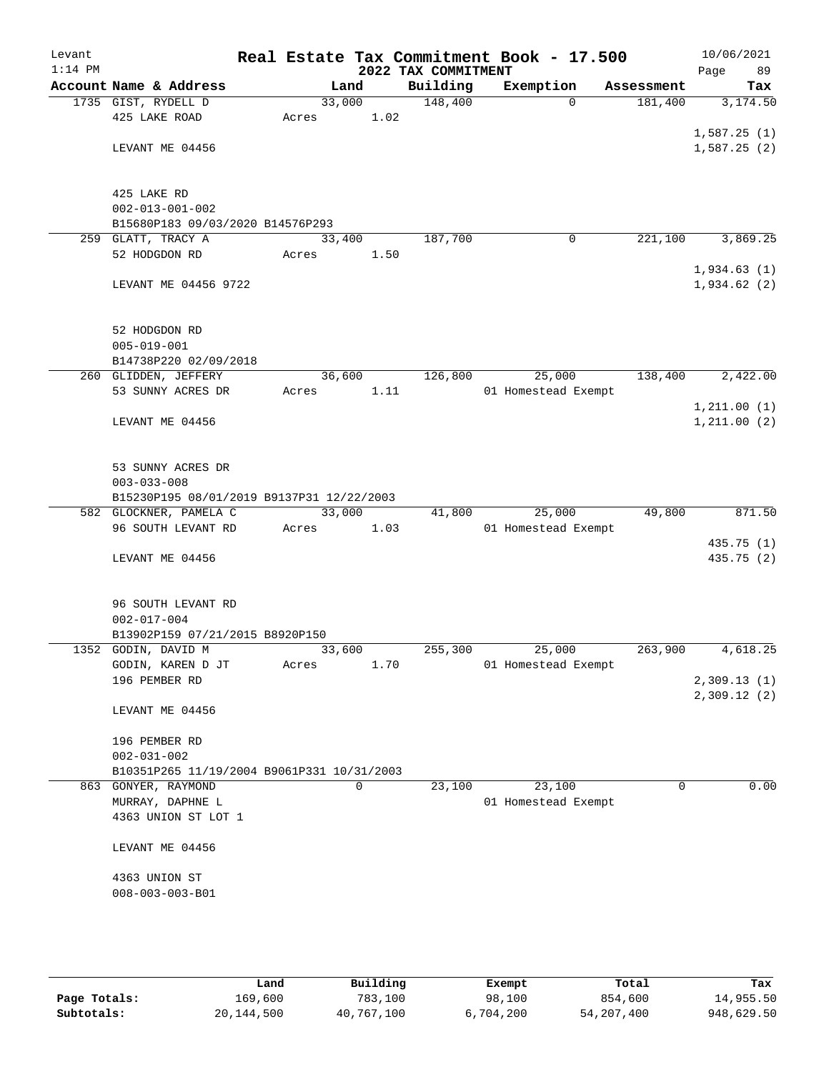| Levant<br>$1:14$ PM |                                            |        |      | 2022 TAX COMMITMENT | Real Estate Tax Commitment Book - 17.500 |            | 10/06/2021<br>89<br>Page |
|---------------------|--------------------------------------------|--------|------|---------------------|------------------------------------------|------------|--------------------------|
|                     | Account Name & Address                     |        | Land | Building            | Exemption                                | Assessment | Tax                      |
|                     | 1735 GIST, RYDELL D                        | 33,000 |      | 148,400             | $\Omega$                                 | 181,400    | 3,174.50                 |
|                     | 425 LAKE ROAD                              | Acres  | 1.02 |                     |                                          |            |                          |
|                     |                                            |        |      |                     |                                          |            | 1,587.25(1)              |
|                     | LEVANT ME 04456                            |        |      |                     |                                          |            | 1,587.25(2)              |
|                     |                                            |        |      |                     |                                          |            |                          |
|                     | 425 LAKE RD                                |        |      |                     |                                          |            |                          |
|                     | $002 - 013 - 001 - 002$                    |        |      |                     |                                          |            |                          |
|                     | B15680P183 09/03/2020 B14576P293           |        |      |                     |                                          |            |                          |
|                     | 259 GLATT, TRACY A                         | 33,400 |      | 187,700             | 0                                        | 221,100    | 3,869.25                 |
|                     | 52 HODGDON RD                              | Acres  | 1.50 |                     |                                          |            |                          |
|                     |                                            |        |      |                     |                                          |            | 1,934.63(1)              |
|                     | LEVANT ME 04456 9722                       |        |      |                     |                                          |            | 1,934.62(2)              |
|                     |                                            |        |      |                     |                                          |            |                          |
|                     | 52 HODGDON RD                              |        |      |                     |                                          |            |                          |
|                     | $005 - 019 - 001$                          |        |      |                     |                                          |            |                          |
|                     | B14738P220 02/09/2018                      |        |      |                     |                                          |            |                          |
|                     | 260 GLIDDEN, JEFFERY                       | 36,600 |      | 126,800             | 25,000                                   | 138,400    | 2,422.00                 |
|                     | 53 SUNNY ACRES DR                          | Acres  | 1.11 |                     | 01 Homestead Exempt                      |            |                          |
|                     |                                            |        |      |                     |                                          |            | 1, 211.00(1)             |
|                     | LEVANT ME 04456                            |        |      |                     |                                          |            | 1, 211.00(2)             |
|                     |                                            |        |      |                     |                                          |            |                          |
|                     | 53 SUNNY ACRES DR                          |        |      |                     |                                          |            |                          |
|                     | $003 - 033 - 008$                          |        |      |                     |                                          |            |                          |
|                     | B15230P195 08/01/2019 B9137P31 12/22/2003  |        |      |                     |                                          |            |                          |
|                     | 582 GLOCKNER, PAMELA C                     | 33,000 |      | 41,800              | 25,000                                   | 49,800     | 871.50                   |
|                     | 96 SOUTH LEVANT RD                         | Acres  | 1.03 |                     | 01 Homestead Exempt                      |            |                          |
|                     |                                            |        |      |                     |                                          |            | 435.75 (1)               |
|                     | LEVANT ME 04456                            |        |      |                     |                                          |            | 435.75 (2)               |
|                     |                                            |        |      |                     |                                          |            |                          |
|                     | 96 SOUTH LEVANT RD                         |        |      |                     |                                          |            |                          |
|                     | $002 - 017 - 004$                          |        |      |                     |                                          |            |                          |
|                     | B13902P159 07/21/2015 B8920P150            |        |      |                     |                                          |            |                          |
|                     | 1352 GODIN, DAVID M                        | 33,600 |      | 255,300             | 25,000                                   | 263,900    | 4,618.25                 |
|                     | GODIN, KAREN D JT                          | Acres  | 1.70 |                     | 01 Homestead Exempt                      |            |                          |
|                     | 196 PEMBER RD                              |        |      |                     |                                          |            | 2,309.13 (1)             |
|                     | LEVANT ME 04456                            |        |      |                     |                                          |            | 2,309.12(2)              |
|                     |                                            |        |      |                     |                                          |            |                          |
|                     | 196 PEMBER RD                              |        |      |                     |                                          |            |                          |
|                     | $002 - 031 - 002$                          |        |      |                     |                                          |            |                          |
|                     | B10351P265 11/19/2004 B9061P331 10/31/2003 |        |      |                     |                                          |            |                          |
|                     | 863 GONYER, RAYMOND                        |        | 0    | 23,100              | 23,100                                   | 0          | 0.00                     |
|                     | MURRAY, DAPHNE L                           |        |      |                     | 01 Homestead Exempt                      |            |                          |
|                     | 4363 UNION ST LOT 1                        |        |      |                     |                                          |            |                          |
|                     |                                            |        |      |                     |                                          |            |                          |
|                     | LEVANT ME 04456                            |        |      |                     |                                          |            |                          |
|                     | 4363 UNION ST                              |        |      |                     |                                          |            |                          |
|                     | $008 - 003 - 003 - B01$                    |        |      |                     |                                          |            |                          |
|                     |                                            |        |      |                     |                                          |            |                          |
|                     |                                            |        |      |                     |                                          |            |                          |
|                     |                                            |        |      |                     |                                          |            |                          |

|              | Land       | Building   | Exempt    | Total      | Tax        |
|--------------|------------|------------|-----------|------------|------------|
| Page Totals: | 169,600    | 783,100    | 98,100    | 854,600    | 14,955.50  |
| Subtotals:   | 20,144,500 | 40,767,100 | 6,704,200 | 54,207,400 | 948,629.50 |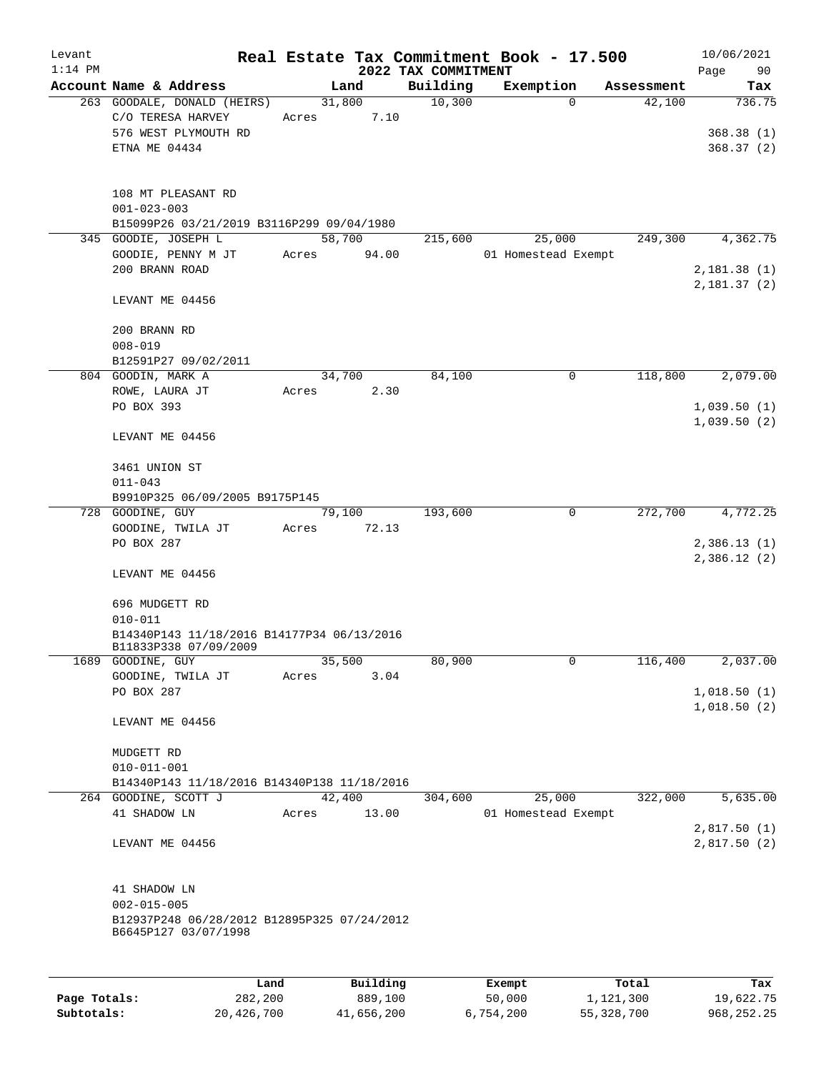| Levant<br>$1:14$ PM |                                                                                          |                 |          | 2022 TAX COMMITMENT | Real Estate Tax Commitment Book - 17.500 |                           | 10/06/2021<br>Page<br>90   |
|---------------------|------------------------------------------------------------------------------------------|-----------------|----------|---------------------|------------------------------------------|---------------------------|----------------------------|
|                     | Account Name & Address                                                                   |                 | Land     | Building            | Exemption                                | Assessment                | Tax                        |
|                     | 263 GOODALE, DONALD (HEIRS)                                                              | 31,800          |          | 10,300              |                                          | 42,100<br>$\Omega$        | 736.75                     |
|                     | C/O TERESA HARVEY<br>576 WEST PLYMOUTH RD                                                | Acres           | 7.10     |                     |                                          |                           | 368.38(1)                  |
|                     | ETNA ME 04434                                                                            |                 |          |                     |                                          |                           | 368.37(2)                  |
|                     | 108 MT PLEASANT RD                                                                       |                 |          |                     |                                          |                           |                            |
|                     | $001 - 023 - 003$                                                                        |                 |          |                     |                                          |                           |                            |
|                     | B15099P26 03/21/2019 B3116P299 09/04/1980                                                |                 |          |                     |                                          |                           |                            |
|                     | 345 GOODIE, JOSEPH L<br>GOODIE, PENNY M JT                                               | 58,700<br>Acres | 94.00    | 215,600             | 25,000<br>01 Homestead Exempt            | 249,300                   | 4,362.75                   |
|                     | 200 BRANN ROAD                                                                           |                 |          |                     |                                          |                           | 2,181.38(1)                |
|                     |                                                                                          |                 |          |                     |                                          |                           | 2,181.37(2)                |
|                     | LEVANT ME 04456                                                                          |                 |          |                     |                                          |                           |                            |
|                     | 200 BRANN RD<br>$008 - 019$                                                              |                 |          |                     |                                          |                           |                            |
|                     | B12591P27 09/02/2011                                                                     |                 |          |                     |                                          |                           |                            |
|                     | 804 GOODIN, MARK A                                                                       | 34,700          |          | 84,100              |                                          | 0<br>118,800              | 2,079.00                   |
|                     | ROWE, LAURA JT                                                                           | Acres           | 2.30     |                     |                                          |                           |                            |
|                     | PO BOX 393                                                                               |                 |          |                     |                                          |                           | 1,039.50(1)                |
|                     |                                                                                          |                 |          |                     |                                          |                           | 1,039.50(2)                |
|                     | LEVANT ME 04456                                                                          |                 |          |                     |                                          |                           |                            |
|                     | 3461 UNION ST                                                                            |                 |          |                     |                                          |                           |                            |
|                     | $011 - 043$                                                                              |                 |          |                     |                                          |                           |                            |
|                     | B9910P325 06/09/2005 B9175P145                                                           |                 |          |                     |                                          |                           |                            |
|                     | 728 GOODINE, GUY                                                                         | 79,100          |          | 193,600             |                                          | $\overline{0}$<br>272,700 | 4,772.25                   |
|                     | GOODINE, TWILA JT                                                                        | Acres           | 72.13    |                     |                                          |                           |                            |
|                     | PO BOX 287                                                                               |                 |          |                     |                                          |                           | 2,386.13(1)<br>2,386.12(2) |
|                     | LEVANT ME 04456                                                                          |                 |          |                     |                                          |                           |                            |
|                     | 696 MUDGETT RD                                                                           |                 |          |                     |                                          |                           |                            |
|                     | $010 - 011$                                                                              |                 |          |                     |                                          |                           |                            |
|                     | B14340P143 11/18/2016 B14177P34 06/13/2016<br>B11833P338 07/09/2009                      |                 |          |                     |                                          |                           |                            |
| 1689                | GOODINE, GUY                                                                             | 35,500          |          | 80,900              |                                          | 0<br>116,400              | 2,037.00                   |
|                     | GOODINE, TWILA JT                                                                        | Acres           | 3.04     |                     |                                          |                           |                            |
|                     | PO BOX 287                                                                               |                 |          |                     |                                          |                           | 1,018.50(1)<br>1,018.50(2) |
|                     | LEVANT ME 04456                                                                          |                 |          |                     |                                          |                           |                            |
|                     | MUDGETT RD                                                                               |                 |          |                     |                                          |                           |                            |
|                     | $010 - 011 - 001$                                                                        |                 |          |                     |                                          |                           |                            |
|                     | B14340P143 11/18/2016 B14340P138 11/18/2016                                              |                 |          |                     |                                          |                           |                            |
|                     | 264 GOODINE, SCOTT J                                                                     | 42,400          |          | 304,600             | 25,000                                   | 322,000                   | 5,635.00                   |
|                     | 41 SHADOW LN                                                                             | Acres           | 13.00    |                     | 01 Homestead Exempt                      |                           |                            |
|                     | LEVANT ME 04456                                                                          |                 |          |                     |                                          |                           | 2,817.50(1)<br>2,817.50(2) |
|                     |                                                                                          |                 |          |                     |                                          |                           |                            |
|                     | 41 SHADOW LN                                                                             |                 |          |                     |                                          |                           |                            |
|                     | $002 - 015 - 005$<br>B12937P248 06/28/2012 B12895P325 07/24/2012<br>B6645P127 03/07/1998 |                 |          |                     |                                          |                           |                            |
|                     |                                                                                          |                 |          |                     |                                          |                           |                            |
|                     | Land                                                                                     |                 | Building |                     | Exempt                                   | Total                     | Tax                        |
| Page Totals:        | 282,200                                                                                  |                 | 889,100  |                     | 50,000                                   | 1,121,300                 | 19,622.75                  |

**Subtotals:** 20,426,700 41,656,200 6,754,200 55,328,700 968,252.25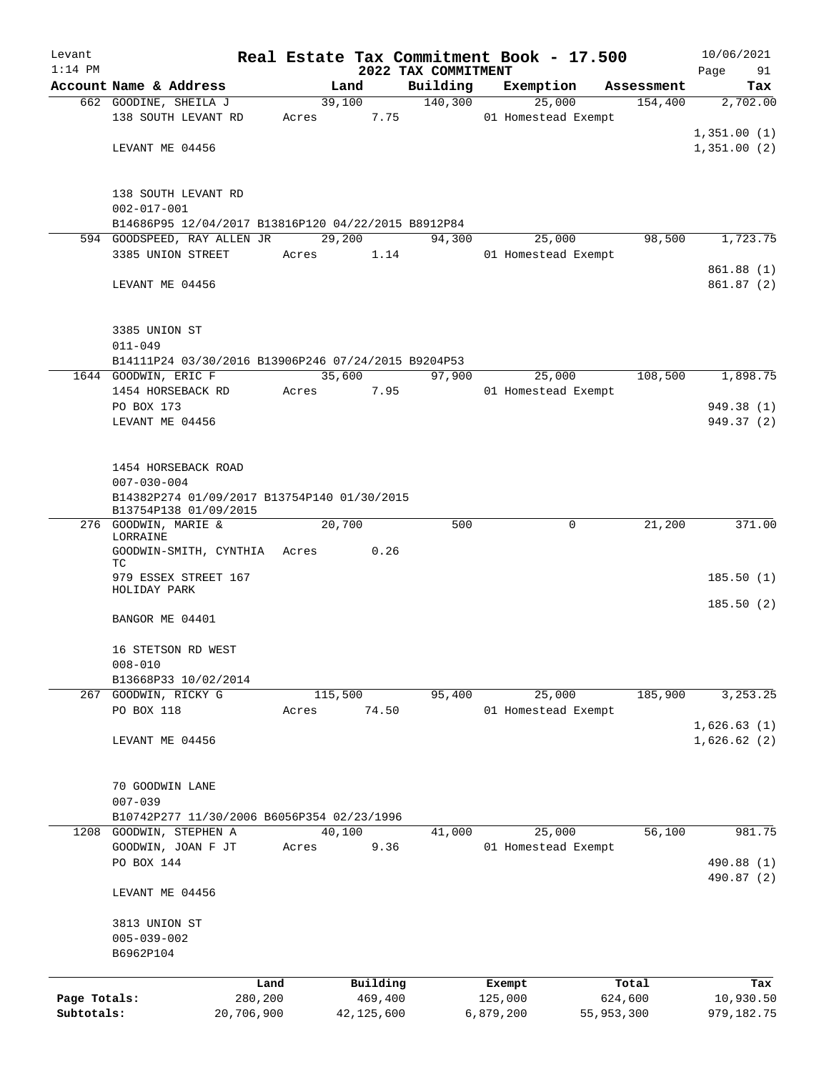| Levant       |                                                     |            |       |                |         |                     |           | Real Estate Tax Commitment Book - 17.500 |                       | 10/06/2021      |  |  |
|--------------|-----------------------------------------------------|------------|-------|----------------|---------|---------------------|-----------|------------------------------------------|-----------------------|-----------------|--|--|
| $1:14$ PM    |                                                     |            |       |                |         | 2022 TAX COMMITMENT |           |                                          |                       | Page<br>91      |  |  |
|              | Account Name & Address                              |            |       | Land<br>39,100 |         | Building<br>140,300 |           | Exemption<br>25,000                      | Assessment<br>154,400 | Tax<br>2,702.00 |  |  |
|              | 662 GOODINE, SHEILA J<br>138 SOUTH LEVANT RD        |            | Acres |                | 7.75    |                     |           | 01 Homestead Exempt                      |                       |                 |  |  |
|              |                                                     |            |       |                |         |                     |           |                                          |                       | 1,351.00(1)     |  |  |
|              | LEVANT ME 04456                                     |            |       |                |         |                     |           |                                          |                       | 1,351.00(2)     |  |  |
|              |                                                     |            |       |                |         |                     |           |                                          |                       |                 |  |  |
|              | 138 SOUTH LEVANT RD                                 |            |       |                |         |                     |           |                                          |                       |                 |  |  |
|              | $002 - 017 - 001$                                   |            |       |                |         |                     |           |                                          |                       |                 |  |  |
|              | B14686P95 12/04/2017 B13816P120 04/22/2015 B8912P84 |            |       |                |         |                     |           |                                          |                       |                 |  |  |
|              | 594 GOODSPEED, RAY ALLEN JR                         |            |       | 29,200         |         | 94,300              |           | 25,000                                   | 98,500                | 1,723.75        |  |  |
|              | 3385 UNION STREET                                   |            | Acres |                | 1.14    |                     |           | 01 Homestead Exempt                      |                       |                 |  |  |
|              |                                                     |            |       |                |         |                     |           |                                          |                       | 861.88 (1)      |  |  |
|              | LEVANT ME 04456                                     |            |       |                |         |                     |           |                                          |                       | 861.87(2)       |  |  |
|              |                                                     |            |       |                |         |                     |           |                                          |                       |                 |  |  |
|              | 3385 UNION ST<br>$011 - 049$                        |            |       |                |         |                     |           |                                          |                       |                 |  |  |
|              | B14111P24 03/30/2016 B13906P246 07/24/2015 B9204P53 |            |       |                |         |                     |           |                                          |                       |                 |  |  |
|              | 1644 GOODWIN, ERIC F                                |            |       | 35,600         |         | 97,900              |           | 25,000                                   | 108,500               | 1,898.75        |  |  |
|              | 1454 HORSEBACK RD                                   |            | Acres | 7.95           |         |                     |           | 01 Homestead Exempt                      |                       |                 |  |  |
|              | PO BOX 173                                          |            |       |                |         |                     |           |                                          |                       | 949.38 (1)      |  |  |
|              | LEVANT ME 04456                                     |            |       |                |         |                     |           |                                          |                       | 949.37 (2)      |  |  |
|              |                                                     |            |       |                |         |                     |           |                                          |                       |                 |  |  |
|              | 1454 HORSEBACK ROAD                                 |            |       |                |         |                     |           |                                          |                       |                 |  |  |
|              | $007 - 030 - 004$                                   |            |       |                |         |                     |           |                                          |                       |                 |  |  |
|              | B14382P274 01/09/2017 B13754P140 01/30/2015         |            |       |                |         |                     |           |                                          |                       |                 |  |  |
|              | B13754P138 01/09/2015                               |            |       |                |         |                     |           |                                          |                       |                 |  |  |
|              | 276 GOODWIN, MARIE &<br>LORRAINE                    |            |       | 20,700         |         | 500                 |           | 0                                        | 21,200                | 371.00          |  |  |
|              | GOODWIN-SMITH, CYNTHIA Acres                        |            |       |                | 0.26    |                     |           |                                          |                       |                 |  |  |
|              | TC.                                                 |            |       |                |         |                     |           |                                          |                       |                 |  |  |
|              | 979 ESSEX STREET 167<br>HOLIDAY PARK                |            |       |                |         |                     |           |                                          |                       | 185.50(1)       |  |  |
|              |                                                     |            |       |                |         |                     |           |                                          |                       | 185.50(2)       |  |  |
|              | BANGOR ME 04401                                     |            |       |                |         |                     |           |                                          |                       |                 |  |  |
|              | 16 STETSON RD WEST                                  |            |       |                |         |                     |           |                                          |                       |                 |  |  |
|              | $008 - 010$                                         |            |       |                |         |                     |           |                                          |                       |                 |  |  |
|              | B13668P33 10/02/2014                                |            |       |                |         |                     |           |                                          |                       |                 |  |  |
|              | 267 GOODWIN, RICKY G                                |            |       | 115,500        |         | 95,400              |           | 25,000                                   | 185,900               | 3, 253.25       |  |  |
|              | PO BOX 118                                          |            | Acres |                | 74.50   |                     |           | 01 Homestead Exempt                      |                       |                 |  |  |
|              |                                                     |            |       |                |         |                     |           |                                          |                       | 1,626.63(1)     |  |  |
|              | LEVANT ME 04456                                     |            |       |                |         |                     |           |                                          |                       | 1,626.62(2)     |  |  |
|              |                                                     |            |       |                |         |                     |           |                                          |                       |                 |  |  |
|              | 70 GOODWIN LANE                                     |            |       |                |         |                     |           |                                          |                       |                 |  |  |
|              | $007 - 039$                                         |            |       |                |         |                     |           |                                          |                       |                 |  |  |
|              | B10742P277 11/30/2006 B6056P354 02/23/1996          |            |       |                |         |                     |           |                                          |                       |                 |  |  |
| 1208         | GOODWIN, STEPHEN A                                  |            |       | 40,100         |         | 41,000              |           | 25,000                                   | 56,100                | 981.75          |  |  |
|              | GOODWIN, JOAN F JT<br>PO BOX 144                    |            | Acres |                | 9.36    |                     |           | 01 Homestead Exempt                      |                       | 490.88 (1)      |  |  |
|              |                                                     |            |       |                |         |                     |           |                                          |                       | 490.87 (2)      |  |  |
|              | LEVANT ME 04456                                     |            |       |                |         |                     |           |                                          |                       |                 |  |  |
|              | 3813 UNION ST                                       |            |       |                |         |                     |           |                                          |                       |                 |  |  |
|              | $005 - 039 - 002$                                   |            |       |                |         |                     |           |                                          |                       |                 |  |  |
|              | B6962P104                                           |            |       |                |         |                     |           |                                          |                       |                 |  |  |
|              |                                                     | Land       |       | Building       |         |                     | Exempt    |                                          | Total                 | Tax             |  |  |
| Page Totals: |                                                     | 280,200    |       |                | 469,400 |                     | 125,000   |                                          | 624,600               | 10,930.50       |  |  |
| Subtotals:   |                                                     | 20,706,900 |       | 42, 125, 600   |         |                     | 6,879,200 |                                          | 55,953,300            | 979,182.75      |  |  |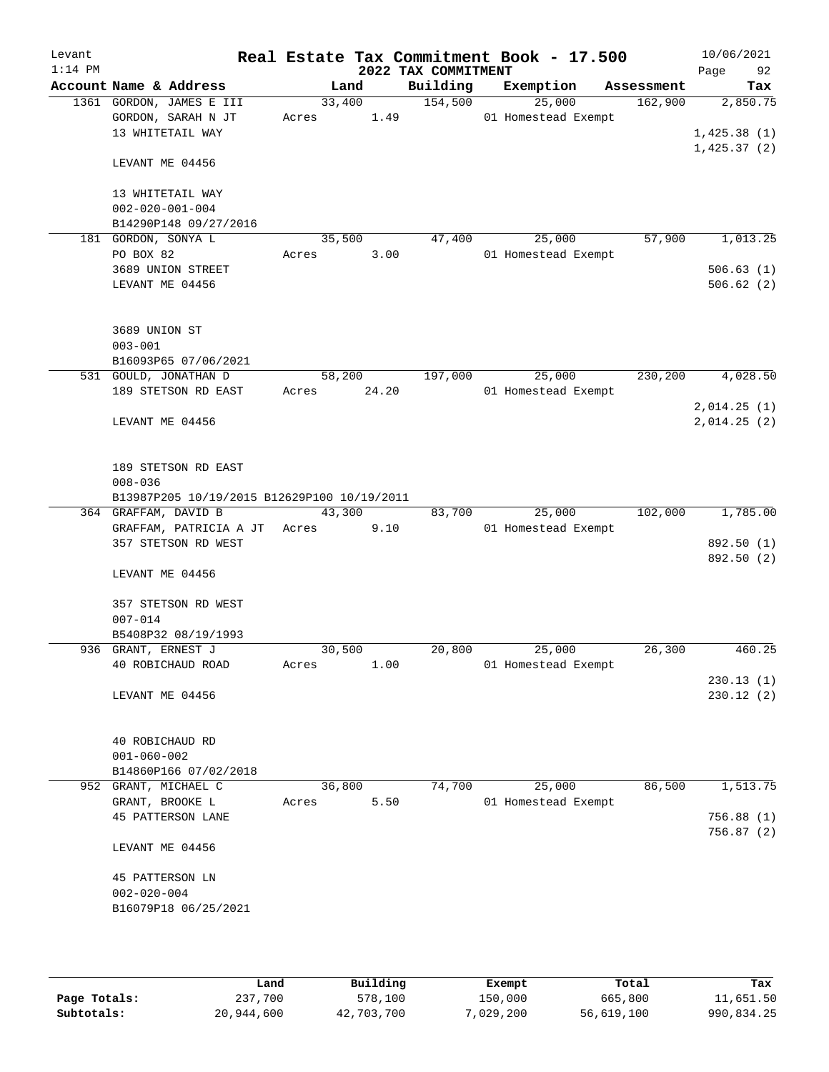| Levant<br>$1:14$ PM |                                                                                   |                 |                 | 2022 TAX COMMITMENT | Real Estate Tax Commitment Book - 17.500 |            | 10/06/2021<br>Page<br>92   |
|---------------------|-----------------------------------------------------------------------------------|-----------------|-----------------|---------------------|------------------------------------------|------------|----------------------------|
|                     | Account Name & Address                                                            |                 | Land            | Building            | Exemption                                | Assessment | Tax                        |
|                     | 1361 GORDON, JAMES E III<br>GORDON, SARAH N JT<br>13 WHITETAIL WAY                | Acres           | 33,400<br>1.49  | 154,500             | 25,000<br>01 Homestead Exempt            | 162,900    | 2,850.75<br>1,425.38(1)    |
|                     | LEVANT ME 04456                                                                   |                 |                 |                     |                                          |            | 1,425.37(2)                |
|                     | 13 WHITETAIL WAY<br>$002 - 020 - 001 - 004$<br>B14290P148 09/27/2016              |                 |                 |                     |                                          |            |                            |
|                     | 181 GORDON, SONYA L<br>PO BOX 82                                                  | 35,500<br>Acres | 3.00            | 47,400              | 25,000<br>01 Homestead Exempt            | 57,900     | 1,013.25                   |
|                     | 3689 UNION STREET                                                                 |                 |                 |                     |                                          |            | 506.63(1)                  |
|                     | LEVANT ME 04456                                                                   |                 |                 |                     |                                          |            | 506.62(2)                  |
|                     | 3689 UNION ST<br>$003 - 001$                                                      |                 |                 |                     |                                          |            |                            |
|                     | B16093P65 07/06/2021                                                              |                 |                 |                     |                                          |            |                            |
|                     | 531 GOULD, JONATHAN D<br>189 STETSON RD EAST                                      | Acres           | 58,200<br>24.20 | 197,000             | 25,000<br>01 Homestead Exempt            | 230,200    | 4,028.50                   |
|                     | LEVANT ME 04456                                                                   |                 |                 |                     |                                          |            | 2,014.25(1)<br>2,014.25(2) |
|                     | 189 STETSON RD EAST<br>$008 - 036$<br>B13987P205 10/19/2015 B12629P100 10/19/2011 |                 |                 |                     |                                          |            |                            |
|                     | 364 GRAFFAM, DAVID B                                                              | 43,300          |                 | 83,700              | 25,000                                   | 102,000    | 1,785.00                   |
|                     | GRAFFAM, PATRICIA A JT                                                            | Acres           | 9.10            |                     | 01 Homestead Exempt                      |            |                            |
|                     | 357 STETSON RD WEST                                                               |                 |                 |                     |                                          |            | 892.50 (1)                 |
|                     | LEVANT ME 04456                                                                   |                 |                 |                     |                                          |            | 892.50 (2)                 |
|                     | 357 STETSON RD WEST<br>$007 - 014$                                                |                 |                 |                     |                                          |            |                            |
|                     | B5408P32 08/19/1993                                                               |                 |                 |                     |                                          |            |                            |
|                     | 936 GRANT, ERNEST J<br>40 ROBICHAUD ROAD                                          | 30,500<br>Acres | 1.00            | 20,800              | 25,000<br>01 Homestead Exempt            | 26,300     | 460.25                     |
|                     | LEVANT ME 04456                                                                   |                 |                 |                     |                                          |            | 230.13(1)<br>230.12(2)     |
|                     | 40 ROBICHAUD RD<br>$001 - 060 - 002$<br>B14860P166 07/02/2018                     |                 |                 |                     |                                          |            |                            |
|                     | 952 GRANT, MICHAEL C                                                              | 36,800          |                 | 74,700              | 25,000                                   | 86,500     | 1,513.75                   |
|                     | GRANT, BROOKE L                                                                   | Acres           | 5.50            |                     | 01 Homestead Exempt                      |            |                            |
|                     | <b>45 PATTERSON LANE</b>                                                          |                 |                 |                     |                                          |            | 756.88(1)<br>756.87 (2)    |
|                     | LEVANT ME 04456                                                                   |                 |                 |                     |                                          |            |                            |
|                     | 45 PATTERSON LN<br>$002 - 020 - 004$<br>B16079P18 06/25/2021                      |                 |                 |                     |                                          |            |                            |
|                     |                                                                                   |                 |                 |                     |                                          |            |                            |

|              | Land       | Building   | Exempt    | Total      | Tax        |
|--------------|------------|------------|-----------|------------|------------|
| Page Totals: | 237,700    | 578,100    | 150,000   | 665,800    | 11,651.50  |
| Subtotals:   | 20,944,600 | 42,703,700 | 7,029,200 | 56,619,100 | 990,834.25 |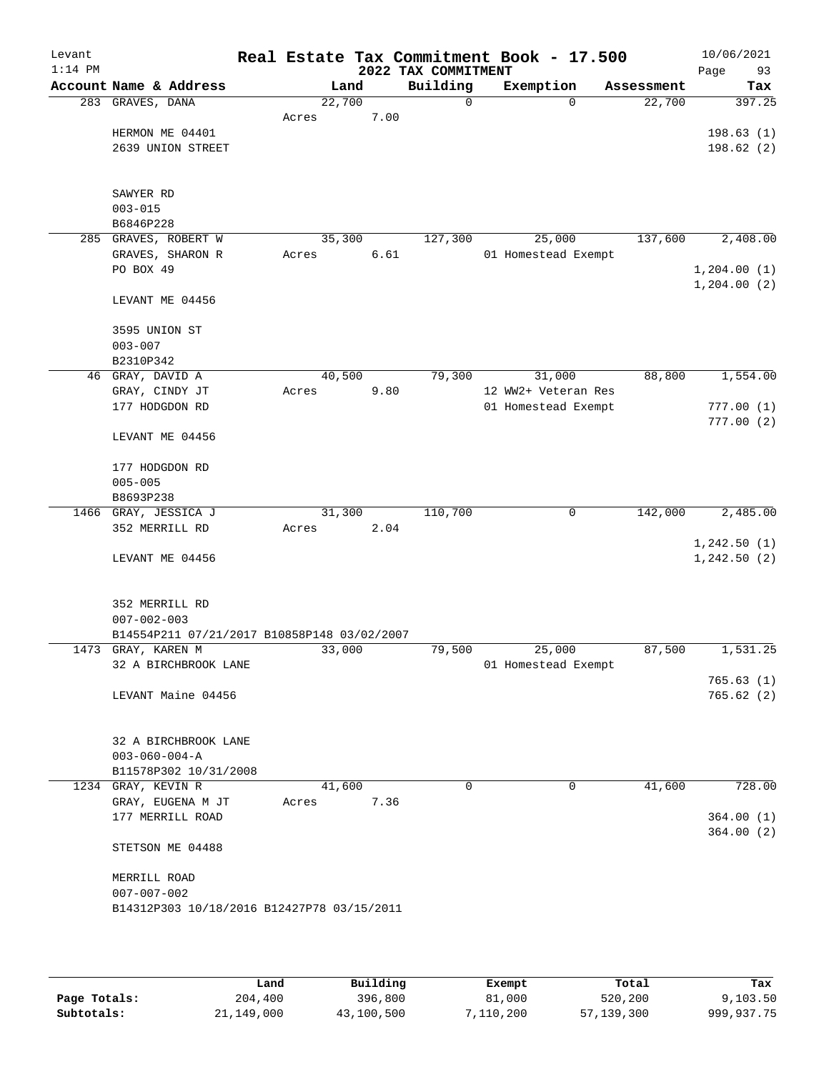| Levant<br>$1:14$ PM |                                                                   |       |        |      | 2022 TAX COMMITMENT | Real Estate Tax Commitment Book - 17.500 |            | 10/06/2021<br>Page<br>93 |
|---------------------|-------------------------------------------------------------------|-------|--------|------|---------------------|------------------------------------------|------------|--------------------------|
|                     | Account Name & Address                                            |       | Land   |      | Building            | Exemption                                | Assessment | Tax                      |
| 283                 | GRAVES, DANA                                                      |       | 22,700 |      | 0                   | $\Omega$                                 | 22,700     | 397.25                   |
|                     |                                                                   | Acres |        | 7.00 |                     |                                          |            |                          |
|                     | HERMON ME 04401                                                   |       |        |      |                     |                                          |            | 198.63(1)                |
|                     | 2639 UNION STREET                                                 |       |        |      |                     |                                          |            | 198.62(2)                |
|                     |                                                                   |       |        |      |                     |                                          |            |                          |
|                     |                                                                   |       |        |      |                     |                                          |            |                          |
|                     | SAWYER RD                                                         |       |        |      |                     |                                          |            |                          |
|                     | $003 - 015$<br>B6846P228                                          |       |        |      |                     |                                          |            |                          |
| 285                 | GRAVES, ROBERT W                                                  |       | 35,300 |      | 127,300             | 25,000                                   | 137,600    | 2,408.00                 |
|                     | GRAVES, SHARON R                                                  | Acres |        | 6.61 |                     | 01 Homestead Exempt                      |            |                          |
|                     | PO BOX 49                                                         |       |        |      |                     |                                          |            | 1,204.00(1)              |
|                     |                                                                   |       |        |      |                     |                                          |            | 1,204.00(2)              |
|                     | LEVANT ME 04456                                                   |       |        |      |                     |                                          |            |                          |
|                     |                                                                   |       |        |      |                     |                                          |            |                          |
|                     | 3595 UNION ST                                                     |       |        |      |                     |                                          |            |                          |
|                     | $003 - 007$                                                       |       |        |      |                     |                                          |            |                          |
|                     | B2310P342                                                         |       |        |      |                     |                                          |            |                          |
|                     | 46 GRAY, DAVID A                                                  |       | 40,500 |      | 79,300              | 31,000                                   | 88,800     | 1,554.00                 |
|                     | GRAY, CINDY JT                                                    | Acres |        | 9.80 |                     | 12 WW2+ Veteran Res                      |            |                          |
|                     | 177 HODGDON RD                                                    |       |        |      |                     | 01 Homestead Exempt                      |            | 777.00(1)                |
|                     |                                                                   |       |        |      |                     |                                          |            | 777.00(2)                |
|                     | LEVANT ME 04456                                                   |       |        |      |                     |                                          |            |                          |
|                     | 177 HODGDON RD                                                    |       |        |      |                     |                                          |            |                          |
|                     | $005 - 005$                                                       |       |        |      |                     |                                          |            |                          |
|                     | B8693P238                                                         |       |        |      |                     |                                          |            |                          |
|                     | 1466 GRAY, JESSICA J                                              |       | 31,300 |      | 110,700             | 0                                        | 142,000    | 2,485.00                 |
|                     | 352 MERRILL RD                                                    | Acres |        | 2.04 |                     |                                          |            |                          |
|                     |                                                                   |       |        |      |                     |                                          |            | 1, 242.50(1)             |
|                     | LEVANT ME 04456                                                   |       |        |      |                     |                                          |            | 1, 242.50 (2)            |
|                     |                                                                   |       |        |      |                     |                                          |            |                          |
|                     |                                                                   |       |        |      |                     |                                          |            |                          |
|                     | 352 MERRILL RD                                                    |       |        |      |                     |                                          |            |                          |
|                     | $007 - 002 - 003$                                                 |       |        |      |                     |                                          |            |                          |
|                     | B14554P211 07/21/2017 B10858P148 03/02/2007<br>1473 GRAY, KAREN M |       |        |      |                     |                                          |            | 1,531.25                 |
|                     | 32 A BIRCHBROOK LANE                                              |       | 33,000 |      | 79,500              | 25,000<br>01 Homestead Exempt            | 87,500     |                          |
|                     |                                                                   |       |        |      |                     |                                          |            | 765.63(1)                |
|                     | LEVANT Maine 04456                                                |       |        |      |                     |                                          |            | 765.62(2)                |
|                     |                                                                   |       |        |      |                     |                                          |            |                          |
|                     |                                                                   |       |        |      |                     |                                          |            |                          |
|                     | 32 A BIRCHBROOK LANE                                              |       |        |      |                     |                                          |            |                          |
|                     | $003 - 060 - 004 - A$                                             |       |        |      |                     |                                          |            |                          |
|                     | B11578P302 10/31/2008                                             |       |        |      |                     |                                          |            |                          |
|                     | 1234 GRAY, KEVIN R                                                |       | 41,600 |      | 0                   | 0                                        | 41,600     | 728.00                   |
|                     | GRAY, EUGENA M JT                                                 | Acres |        | 7.36 |                     |                                          |            |                          |
|                     | 177 MERRILL ROAD                                                  |       |        |      |                     |                                          |            | 364.00(1)                |
|                     |                                                                   |       |        |      |                     |                                          |            | 364.00(2)                |
|                     | STETSON ME 04488                                                  |       |        |      |                     |                                          |            |                          |
|                     |                                                                   |       |        |      |                     |                                          |            |                          |
|                     | MERRILL ROAD                                                      |       |        |      |                     |                                          |            |                          |
|                     | $007 - 007 - 002$<br>B14312P303 10/18/2016 B12427P78 03/15/2011   |       |        |      |                     |                                          |            |                          |
|                     |                                                                   |       |        |      |                     |                                          |            |                          |
|                     |                                                                   |       |        |      |                     |                                          |            |                          |
|                     |                                                                   |       |        |      |                     |                                          |            |                          |

|              | Land       | Building   | Exempt    | Total      | Tax          |
|--------------|------------|------------|-----------|------------|--------------|
| Page Totals: | 204,400    | 396,800    | 81,000    | 520,200    | 9,103.50     |
| Subtotals:   | 21,149,000 | 43,100,500 | 7,110,200 | 57,139,300 | 999, 937, 75 |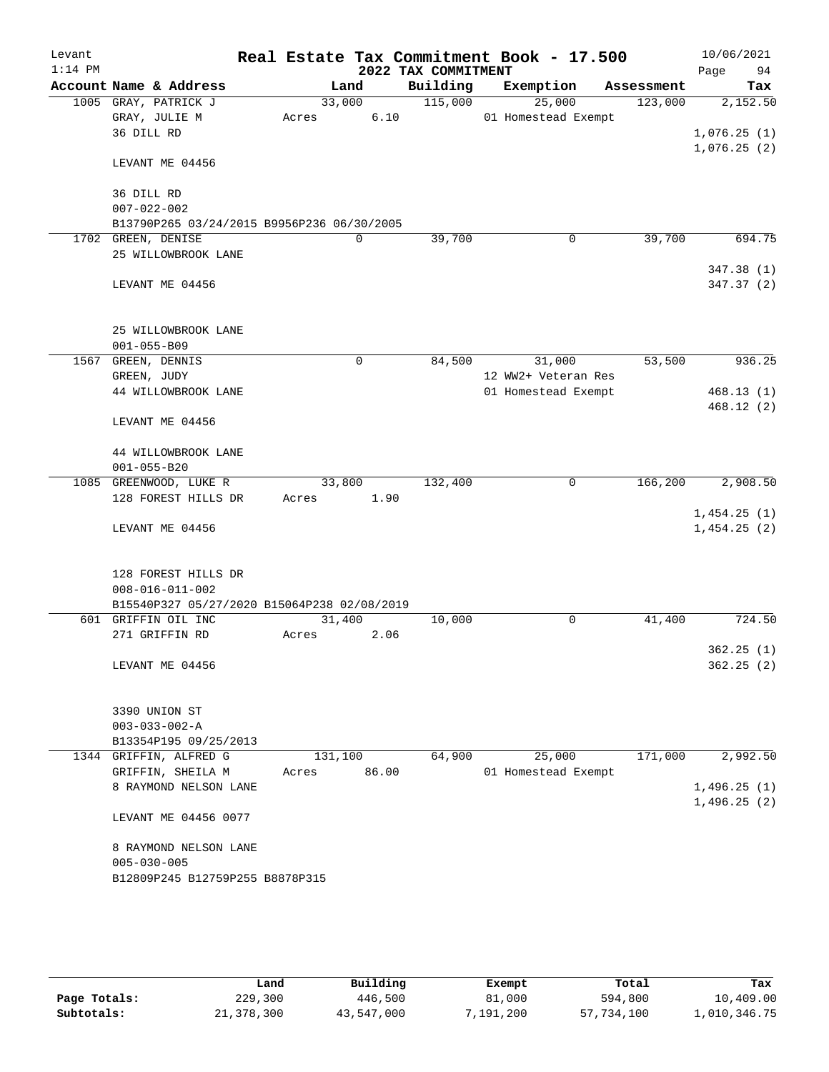| Levant<br>$1:14$ PM |                                             |         |             | Real Estate Tax Commitment Book - 17.500<br>2022 TAX COMMITMENT |                     |             |            | 10/06/2021<br>94<br>Page |
|---------------------|---------------------------------------------|---------|-------------|-----------------------------------------------------------------|---------------------|-------------|------------|--------------------------|
|                     | Account Name & Address                      |         | Land        | Building                                                        | Exemption           |             | Assessment | Tax                      |
|                     | 1005 GRAY, PATRICK J                        | 33,000  |             | 115,000                                                         | 25,000              |             | 123,000    | 2,152.50                 |
|                     | GRAY, JULIE M                               | Acres   | 6.10        |                                                                 | 01 Homestead Exempt |             |            |                          |
|                     | 36 DILL RD                                  |         |             |                                                                 |                     |             |            | 1,076.25(1)              |
|                     |                                             |         |             |                                                                 |                     |             |            | 1,076.25(2)              |
|                     | LEVANT ME 04456                             |         |             |                                                                 |                     |             |            |                          |
|                     | 36 DILL RD                                  |         |             |                                                                 |                     |             |            |                          |
|                     | $007 - 022 - 002$                           |         |             |                                                                 |                     |             |            |                          |
|                     | B13790P265 03/24/2015 B9956P236 06/30/2005  |         |             |                                                                 |                     |             |            |                          |
|                     | 1702 GREEN, DENISE                          |         | $\mathbf 0$ | 39,700                                                          |                     | $\mathbf 0$ | 39,700     | 694.75                   |
|                     | 25 WILLOWBROOK LANE                         |         |             |                                                                 |                     |             |            |                          |
|                     |                                             |         |             |                                                                 |                     |             |            | 347.38 (1)               |
|                     | LEVANT ME 04456                             |         |             |                                                                 |                     |             |            | 347.37 (2)               |
|                     |                                             |         |             |                                                                 |                     |             |            |                          |
|                     | 25 WILLOWBROOK LANE                         |         |             |                                                                 |                     |             |            |                          |
|                     | $001 - 055 - B09$                           |         |             |                                                                 |                     |             |            |                          |
|                     | 1567 GREEN, DENNIS                          |         | $\mathbf 0$ | 84,500                                                          | 31,000              |             | 53,500     | 936.25                   |
|                     | GREEN, JUDY                                 |         |             |                                                                 | 12 WW2+ Veteran Res |             |            |                          |
|                     | 44 WILLOWBROOK LANE                         |         |             |                                                                 | 01 Homestead Exempt |             |            | 468.13(1)                |
|                     |                                             |         |             |                                                                 |                     |             |            | 468.12(2)                |
|                     | LEVANT ME 04456                             |         |             |                                                                 |                     |             |            |                          |
|                     | 44 WILLOWBROOK LANE                         |         |             |                                                                 |                     |             |            |                          |
|                     | $001 - 055 - B20$                           |         |             |                                                                 |                     |             |            |                          |
|                     | 1085 GREENWOOD, LUKE R                      | 33,800  |             | 132,400                                                         |                     | 0           | 166, 200   | 2,908.50                 |
|                     | 128 FOREST HILLS DR                         | Acres   | 1.90        |                                                                 |                     |             |            |                          |
|                     |                                             |         |             |                                                                 |                     |             |            | 1,454.25(1)              |
|                     | LEVANT ME 04456                             |         |             |                                                                 |                     |             |            | 1,454.25(2)              |
|                     |                                             |         |             |                                                                 |                     |             |            |                          |
|                     | 128 FOREST HILLS DR                         |         |             |                                                                 |                     |             |            |                          |
|                     | $008 - 016 - 011 - 002$                     |         |             |                                                                 |                     |             |            |                          |
|                     | B15540P327 05/27/2020 B15064P238 02/08/2019 |         |             |                                                                 |                     |             |            |                          |
|                     | 601 GRIFFIN OIL INC                         | 31,400  |             | 10,000                                                          |                     | 0           | 41,400     | 724.50                   |
|                     | 271 GRIFFIN RD                              | Acres   | 2.06        |                                                                 |                     |             |            |                          |
|                     |                                             |         |             |                                                                 |                     |             |            | 362.25(1)                |
|                     | LEVANT ME 04456                             |         |             |                                                                 |                     |             |            | 362.25(2)                |
|                     |                                             |         |             |                                                                 |                     |             |            |                          |
|                     | 3390 UNION ST                               |         |             |                                                                 |                     |             |            |                          |
|                     | $003 - 033 - 002 - A$                       |         |             |                                                                 |                     |             |            |                          |
|                     | B13354P195 09/25/2013                       |         |             |                                                                 |                     |             |            |                          |
|                     | 1344 GRIFFIN, ALFRED G                      | 131,100 |             | 64,900                                                          | 25,000              |             | 171,000    | 2,992.50                 |
|                     | GRIFFIN, SHEILA M                           | Acres   | 86.00       |                                                                 | 01 Homestead Exempt |             |            |                          |
|                     | 8 RAYMOND NELSON LANE                       |         |             |                                                                 |                     |             |            | 1,496.25(1)              |
|                     |                                             |         |             |                                                                 |                     |             |            | 1,496.25(2)              |
|                     | LEVANT ME 04456 0077                        |         |             |                                                                 |                     |             |            |                          |
|                     | 8 RAYMOND NELSON LANE                       |         |             |                                                                 |                     |             |            |                          |
|                     | $005 - 030 - 005$                           |         |             |                                                                 |                     |             |            |                          |
|                     | B12809P245 B12759P255 B8878P315             |         |             |                                                                 |                     |             |            |                          |
|                     |                                             |         |             |                                                                 |                     |             |            |                          |
|                     |                                             |         |             |                                                                 |                     |             |            |                          |

|              | Land       | Building   | Exempt   | Total      | Tax          |
|--------------|------------|------------|----------|------------|--------------|
| Page Totals: | 229,300    | 446,500    | 81,000   | 594,800    | 10,409.00    |
| Subtotals:   | 21,378,300 | 43,547,000 | ,191,200 | 57,734,100 | 1,010,346.75 |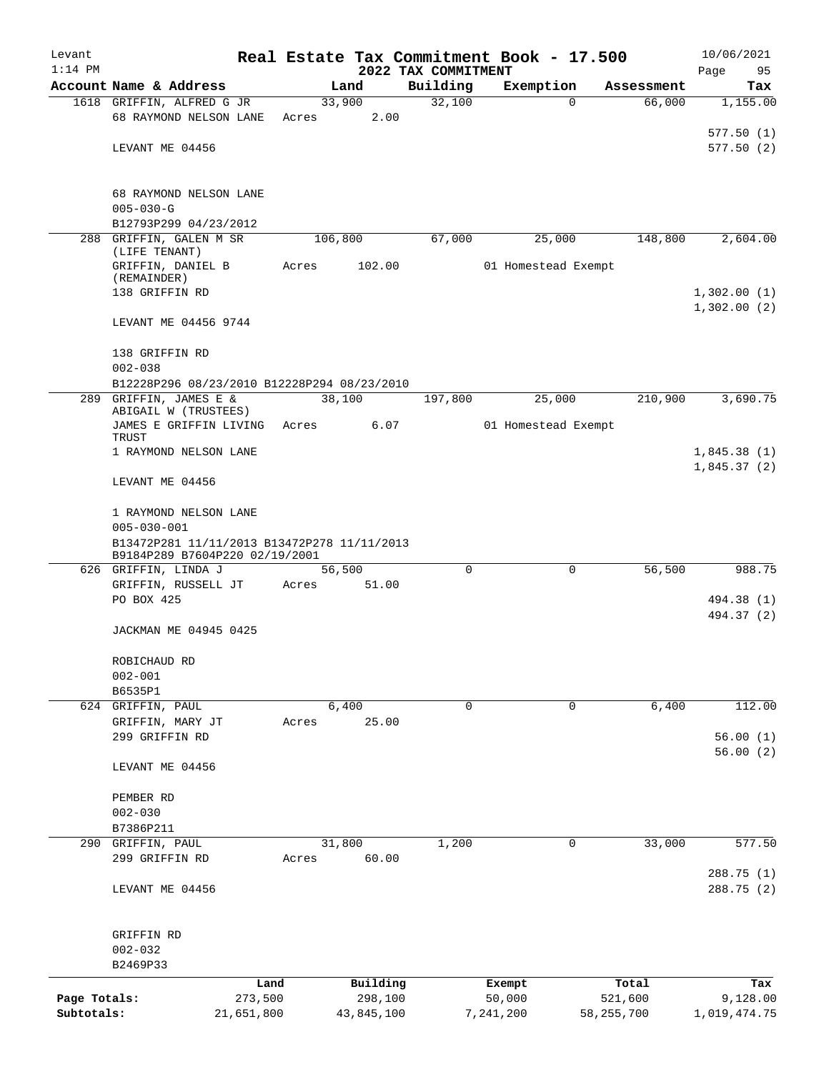| Levant       |                                                |         |                |                                 | Real Estate Tax Commitment Book - 17.500 |                       | 10/06/2021        |
|--------------|------------------------------------------------|---------|----------------|---------------------------------|------------------------------------------|-----------------------|-------------------|
| $1:14$ PM    | Account Name & Address                         |         | Land           | 2022 TAX COMMITMENT<br>Building | Exemption                                | Assessment            | 95<br>Page<br>Tax |
|              | 1618 GRIFFIN, ALFRED G JR                      |         | 33,900         | 32,100                          |                                          | 66,000<br>$\Omega$    | 1,155.00          |
|              | 68 RAYMOND NELSON LANE                         | Acres   | 2.00           |                                 |                                          |                       |                   |
|              |                                                |         |                |                                 |                                          |                       | 577.50(1)         |
|              | LEVANT ME 04456                                |         |                |                                 |                                          |                       | 577.50(2)         |
|              |                                                |         |                |                                 |                                          |                       |                   |
|              | 68 RAYMOND NELSON LANE                         |         |                |                                 |                                          |                       |                   |
|              | $005 - 030 - G$                                |         |                |                                 |                                          |                       |                   |
|              | B12793P299 04/23/2012                          |         |                |                                 |                                          |                       |                   |
|              | 288 GRIFFIN, GALEN M SR                        | 106,800 |                | 67,000                          | 25,000                                   | 148,800               | 2,604.00          |
|              | (LIFE TENANT)                                  |         |                |                                 |                                          |                       |                   |
|              | GRIFFIN, DANIEL B<br>(REMAINDER)               | Acres   | 102.00         |                                 | 01 Homestead Exempt                      |                       |                   |
|              | 138 GRIFFIN RD                                 |         |                |                                 |                                          |                       | 1,302.00(1)       |
|              |                                                |         |                |                                 |                                          |                       | 1,302.00(2)       |
|              | LEVANT ME 04456 9744                           |         |                |                                 |                                          |                       |                   |
|              | 138 GRIFFIN RD                                 |         |                |                                 |                                          |                       |                   |
|              | $002 - 038$                                    |         |                |                                 |                                          |                       |                   |
|              | B12228P296 08/23/2010 B12228P294 08/23/2010    |         |                |                                 |                                          |                       |                   |
|              | 289 GRIFFIN, JAMES E &                         |         | 38,100         | 197,800                         | 25,000                                   | 210,900               | 3,690.75          |
|              | ABIGAIL W (TRUSTEES)<br>JAMES E GRIFFIN LIVING | Acres   | 6.07           |                                 | 01 Homestead Exempt                      |                       |                   |
|              | TRUST                                          |         |                |                                 |                                          |                       |                   |
|              | 1 RAYMOND NELSON LANE                          |         |                |                                 |                                          |                       | 1,845.38(1)       |
|              |                                                |         |                |                                 |                                          |                       | 1,845.37(2)       |
|              | LEVANT ME 04456                                |         |                |                                 |                                          |                       |                   |
|              | 1 RAYMOND NELSON LANE                          |         |                |                                 |                                          |                       |                   |
|              | $005 - 030 - 001$                              |         |                |                                 |                                          |                       |                   |
|              | B13472P281 11/11/2013 B13472P278 11/11/2013    |         |                |                                 |                                          |                       |                   |
|              | B9184P289 B7604P220 02/19/2001                 |         |                |                                 |                                          |                       |                   |
|              | 626 GRIFFIN, LINDA J                           |         | 56,500         | $\mathbf 0$                     |                                          | $\mathbf 0$<br>56,500 | 988.75            |
|              | GRIFFIN, RUSSELL JT<br>PO BOX 425              | Acres   | 51.00          |                                 |                                          |                       | 494.38 (1)        |
|              |                                                |         |                |                                 |                                          |                       | 494.37 (2)        |
|              | JACKMAN ME 04945 0425                          |         |                |                                 |                                          |                       |                   |
|              |                                                |         |                |                                 |                                          |                       |                   |
|              | ROBICHAUD RD                                   |         |                |                                 |                                          |                       |                   |
|              | $002 - 001$                                    |         |                |                                 |                                          |                       |                   |
|              | B6535P1                                        |         |                |                                 |                                          |                       |                   |
|              | 624 GRIFFIN, PAUL<br>GRIFFIN, MARY JT          | Acres   | 6,400<br>25.00 | 0                               |                                          | 6,400<br>$\Omega$     | 112.00            |
|              | 299 GRIFFIN RD                                 |         |                |                                 |                                          |                       | 56.00(1)          |
|              |                                                |         |                |                                 |                                          |                       | 56.00(2)          |
|              | LEVANT ME 04456                                |         |                |                                 |                                          |                       |                   |
|              |                                                |         |                |                                 |                                          |                       |                   |
|              | PEMBER RD                                      |         |                |                                 |                                          |                       |                   |
|              | $002 - 030$<br>B7386P211                       |         |                |                                 |                                          |                       |                   |
| 290          | GRIFFIN, PAUL                                  |         | 31,800         | 1,200                           |                                          | $\mathbf 0$<br>33,000 | 577.50            |
|              | 299 GRIFFIN RD                                 | Acres   | 60.00          |                                 |                                          |                       |                   |
|              |                                                |         |                |                                 |                                          |                       | 288.75 (1)        |
|              | LEVANT ME 04456                                |         |                |                                 |                                          |                       | 288.75 (2)        |
|              |                                                |         |                |                                 |                                          |                       |                   |
|              |                                                |         |                |                                 |                                          |                       |                   |
|              | GRIFFIN RD                                     |         |                |                                 |                                          |                       |                   |
|              | $002 - 032$<br>B2469P33                        |         |                |                                 |                                          |                       |                   |
|              |                                                | Land    | Building       |                                 | Exempt                                   | Total                 | Tax               |
| Page Totals: | 273,500                                        |         | 298,100        |                                 | 50,000                                   | 521,600               | 9,128.00          |
| Subtotals:   | 21,651,800                                     |         | 43,845,100     |                                 | 7,241,200                                | 58, 255, 700          | 1,019,474.75      |
|              |                                                |         |                |                                 |                                          |                       |                   |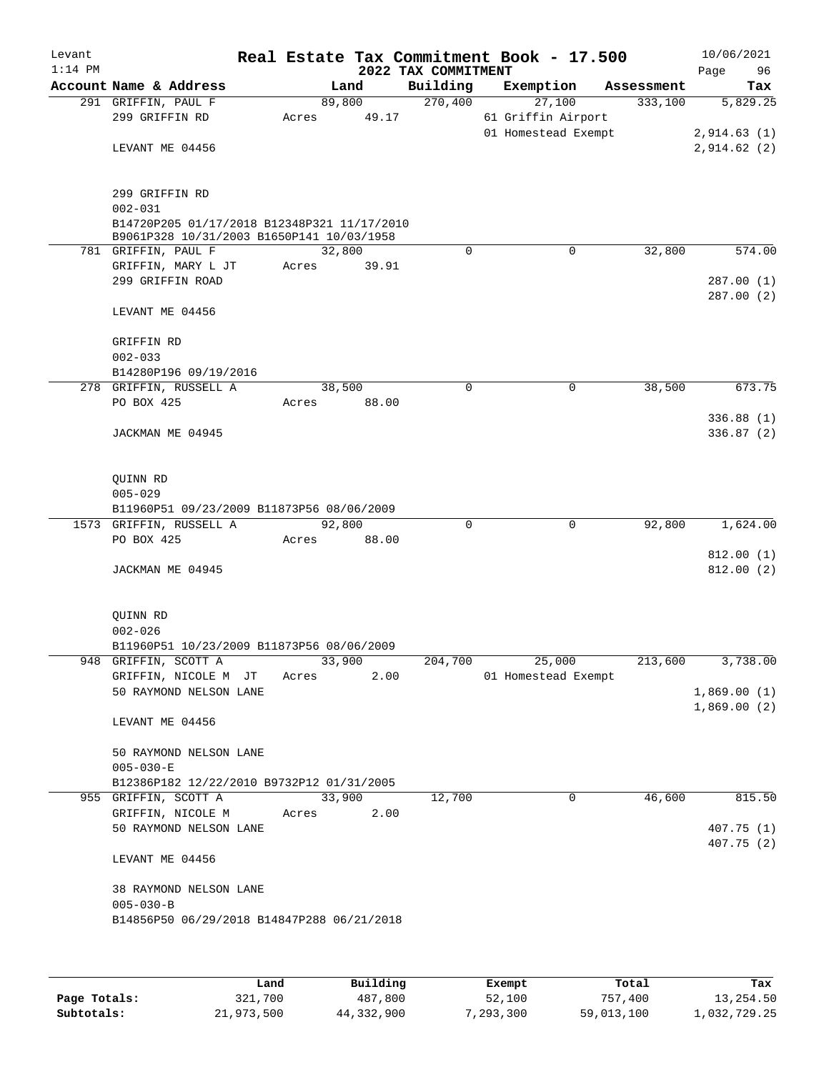| Levant<br>$1:14$ PM |                                                                                          |       |        |       | 2022 TAX COMMITMENT | Real Estate Tax Commitment Book - 17.500 |            | 10/06/2021  |                         |
|---------------------|------------------------------------------------------------------------------------------|-------|--------|-------|---------------------|------------------------------------------|------------|-------------|-------------------------|
|                     | Account Name & Address                                                                   |       | Land   |       | Building            | Exemption                                | Assessment | Page        | 96<br>Tax               |
|                     | 291 GRIFFIN, PAUL F                                                                      |       | 89,800 |       | 270,400             | 27,100                                   | 333,100    |             | 5,829.25                |
|                     | 299 GRIFFIN RD                                                                           | Acres |        | 49.17 |                     | 61 Griffin Airport                       |            |             |                         |
|                     |                                                                                          |       |        |       |                     | 01 Homestead Exempt                      |            | 2,914.63(1) |                         |
|                     | LEVANT ME 04456                                                                          |       |        |       |                     |                                          |            | 2,914.62(2) |                         |
|                     | 299 GRIFFIN RD                                                                           |       |        |       |                     |                                          |            |             |                         |
|                     | $002 - 031$                                                                              |       |        |       |                     |                                          |            |             |                         |
|                     | B14720P205 01/17/2018 B12348P321 11/17/2010<br>B9061P328 10/31/2003 B1650P141 10/03/1958 |       |        |       |                     |                                          |            |             |                         |
|                     | 781 GRIFFIN, PAUL F                                                                      |       | 32,800 |       | $\Omega$            | $\Omega$                                 | 32,800     |             | 574.00                  |
|                     | GRIFFIN, MARY L JT                                                                       | Acres |        | 39.91 |                     |                                          |            |             |                         |
|                     | 299 GRIFFIN ROAD                                                                         |       |        |       |                     |                                          |            |             | 287.00(1)<br>287.00(2)  |
|                     | LEVANT ME 04456                                                                          |       |        |       |                     |                                          |            |             |                         |
|                     | GRIFFIN RD                                                                               |       |        |       |                     |                                          |            |             |                         |
|                     | $002 - 033$                                                                              |       |        |       |                     |                                          |            |             |                         |
|                     | B14280P196 09/19/2016                                                                    |       |        |       |                     |                                          |            |             |                         |
|                     | 278 GRIFFIN, RUSSELL A                                                                   |       | 38,500 |       | 0                   | 0                                        | 38,500     |             | 673.75                  |
|                     | PO BOX 425                                                                               | Acres |        | 88.00 |                     |                                          |            |             |                         |
|                     | JACKMAN ME 04945                                                                         |       |        |       |                     |                                          |            |             | 336.88(1)<br>336.87(2)  |
|                     |                                                                                          |       |        |       |                     |                                          |            |             |                         |
|                     | QUINN RD                                                                                 |       |        |       |                     |                                          |            |             |                         |
|                     | $005 - 029$<br>B11960P51 09/23/2009 B11873P56 08/06/2009                                 |       |        |       |                     |                                          |            |             |                         |
|                     | 1573 GRIFFIN, RUSSELL A                                                                  |       | 92,800 |       | $\mathbf 0$         | $\mathbf 0$                              | 92,800     |             | 1,624.00                |
|                     | PO BOX 425                                                                               | Acres |        | 88.00 |                     |                                          |            |             |                         |
|                     |                                                                                          |       |        |       |                     |                                          |            |             | 812.00(1)               |
|                     | JACKMAN ME 04945                                                                         |       |        |       |                     |                                          |            |             | 812.00(2)               |
|                     | QUINN RD                                                                                 |       |        |       |                     |                                          |            |             |                         |
|                     | $002 - 026$                                                                              |       |        |       |                     |                                          |            |             |                         |
|                     | B11960P51 10/23/2009 B11873P56 08/06/2009                                                |       |        |       |                     |                                          |            |             |                         |
|                     | 948 GRIFFIN, SCOTT A                                                                     |       | 33,900 |       | 204,700             | 25,000                                   | 213,600    |             | 3,738.00                |
|                     | GRIFFIN, NICOLE M JT                                                                     | Acres |        | 2.00  |                     | 01 Homestead Exempt                      |            | 1,869.00(1) |                         |
|                     | 50 RAYMOND NELSON LANE                                                                   |       |        |       |                     |                                          |            | 1,869.00(2) |                         |
|                     | LEVANT ME 04456                                                                          |       |        |       |                     |                                          |            |             |                         |
|                     | 50 RAYMOND NELSON LANE                                                                   |       |        |       |                     |                                          |            |             |                         |
|                     | $005 - 030 - E$                                                                          |       |        |       |                     |                                          |            |             |                         |
|                     | B12386P182 12/22/2010 B9732P12 01/31/2005                                                |       |        |       |                     |                                          |            |             |                         |
|                     | 955 GRIFFIN, SCOTT A                                                                     |       | 33,900 |       | 12,700              | 0                                        | 46,600     |             | 815.50                  |
|                     | GRIFFIN, NICOLE M                                                                        | Acres |        | 2.00  |                     |                                          |            |             |                         |
|                     | 50 RAYMOND NELSON LANE                                                                   |       |        |       |                     |                                          |            |             | 407.75(1)<br>407.75 (2) |
|                     | LEVANT ME 04456                                                                          |       |        |       |                     |                                          |            |             |                         |
|                     | 38 RAYMOND NELSON LANE                                                                   |       |        |       |                     |                                          |            |             |                         |
|                     | $005 - 030 - B$<br>B14856P50 06/29/2018 B14847P288 06/21/2018                            |       |        |       |                     |                                          |            |             |                         |
|                     |                                                                                          |       |        |       |                     |                                          |            |             |                         |
|                     |                                                                                          |       |        |       |                     |                                          |            |             |                         |
|                     |                                                                                          |       |        |       |                     |                                          |            |             |                         |

|              | Land       | Building   | Exempt    | Total      | Tax          |
|--------------|------------|------------|-----------|------------|--------------|
| Page Totals: | 321,700    | 487,800    | 52,100    | 757,400    | 13,254.50    |
| Subtotals:   | 21,973,500 | 44,332,900 | 7,293,300 | 59,013,100 | 1,032,729.25 |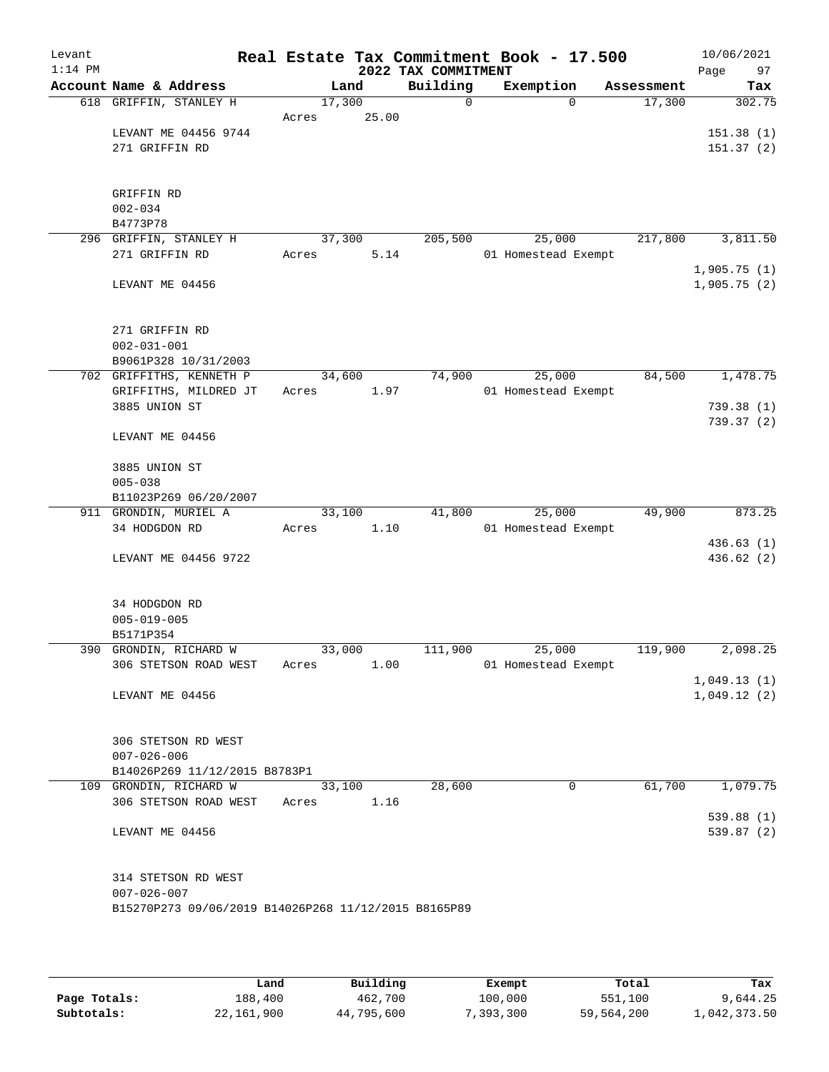| Levant<br>$1:14$ PM |                                                      |        |       | 2022 TAX COMMITMENT | Real Estate Tax Commitment Book - 17.500 |            | 10/06/2021<br>Page<br>97 |
|---------------------|------------------------------------------------------|--------|-------|---------------------|------------------------------------------|------------|--------------------------|
|                     | Account Name & Address                               |        | Land  | Building            | Exemption                                | Assessment | Tax                      |
|                     | 618 GRIFFIN, STANLEY H                               | 17,300 |       | $\Omega$            | $\Omega$                                 | 17,300     | 302.75                   |
|                     |                                                      | Acres  | 25.00 |                     |                                          |            |                          |
|                     | LEVANT ME 04456 9744                                 |        |       |                     |                                          |            | 151.38(1)                |
|                     | 271 GRIFFIN RD                                       |        |       |                     |                                          |            | 151.37(2)                |
|                     |                                                      |        |       |                     |                                          |            |                          |
|                     | GRIFFIN RD                                           |        |       |                     |                                          |            |                          |
|                     | $002 - 034$                                          |        |       |                     |                                          |            |                          |
|                     | B4773P78                                             |        |       |                     |                                          |            |                          |
|                     | 296 GRIFFIN, STANLEY H                               | 37,300 |       | 205,500             | 25,000                                   | 217,800    | 3,811.50                 |
|                     | 271 GRIFFIN RD                                       | Acres  | 5.14  |                     | 01 Homestead Exempt                      |            |                          |
|                     |                                                      |        |       |                     |                                          |            | 1,905.75(1)              |
|                     | LEVANT ME 04456                                      |        |       |                     |                                          |            | 1,905.75(2)              |
|                     |                                                      |        |       |                     |                                          |            |                          |
|                     |                                                      |        |       |                     |                                          |            |                          |
|                     | 271 GRIFFIN RD                                       |        |       |                     |                                          |            |                          |
|                     | $002 - 031 - 001$                                    |        |       |                     |                                          |            |                          |
|                     | B9061P328 10/31/2003                                 |        |       |                     |                                          |            |                          |
|                     | 702 GRIFFITHS, KENNETH P                             | 34,600 |       | 74,900              | 25,000                                   | 84,500     | 1,478.75                 |
|                     | GRIFFITHS, MILDRED JT<br>3885 UNION ST               | Acres  | 1.97  |                     | 01 Homestead Exempt                      |            | 739.38(1)                |
|                     |                                                      |        |       |                     |                                          |            | 739.37(2)                |
|                     | LEVANT ME 04456                                      |        |       |                     |                                          |            |                          |
|                     |                                                      |        |       |                     |                                          |            |                          |
|                     | 3885 UNION ST                                        |        |       |                     |                                          |            |                          |
|                     | $005 - 038$                                          |        |       |                     |                                          |            |                          |
|                     | B11023P269 06/20/2007                                |        |       |                     |                                          |            |                          |
|                     | 911 GRONDIN, MURIEL A                                | 33,100 |       | 41,800              | 25,000                                   | 49,900     | 873.25                   |
|                     | 34 HODGDON RD                                        | Acres  | 1.10  |                     | 01 Homestead Exempt                      |            |                          |
|                     |                                                      |        |       |                     |                                          |            | 436.63(1)                |
|                     | LEVANT ME 04456 9722                                 |        |       |                     |                                          |            | 436.62(2)                |
|                     |                                                      |        |       |                     |                                          |            |                          |
|                     |                                                      |        |       |                     |                                          |            |                          |
|                     | 34 HODGDON RD                                        |        |       |                     |                                          |            |                          |
|                     | $005 - 019 - 005$                                    |        |       |                     |                                          |            |                          |
| 390                 | B5171P354<br>GRONDIN, RICHARD W                      | 33,000 |       | 111,900             | 25,000                                   | 119,900    | 2,098.25                 |
|                     | 306 STETSON ROAD WEST                                | Acres  | 1.00  |                     | 01 Homestead Exempt                      |            |                          |
|                     |                                                      |        |       |                     |                                          |            | 1,049.13(1)              |
|                     | LEVANT ME 04456                                      |        |       |                     |                                          |            | 1,049.12(2)              |
|                     |                                                      |        |       |                     |                                          |            |                          |
|                     |                                                      |        |       |                     |                                          |            |                          |
|                     | 306 STETSON RD WEST                                  |        |       |                     |                                          |            |                          |
|                     | $007 - 026 - 006$                                    |        |       |                     |                                          |            |                          |
|                     | B14026P269 11/12/2015 B8783P1                        |        |       |                     |                                          |            |                          |
|                     | 109 GRONDIN, RICHARD W                               | 33,100 |       | 28,600              | 0                                        | 61,700     | 1,079.75                 |
|                     | 306 STETSON ROAD WEST                                | Acres  | 1.16  |                     |                                          |            |                          |
|                     |                                                      |        |       |                     |                                          |            | 539.88(1)                |
|                     | LEVANT ME 04456                                      |        |       |                     |                                          |            | 539.87(2)                |
|                     |                                                      |        |       |                     |                                          |            |                          |
|                     | 314 STETSON RD WEST                                  |        |       |                     |                                          |            |                          |
|                     | $007 - 026 - 007$                                    |        |       |                     |                                          |            |                          |
|                     | B15270P273 09/06/2019 B14026P268 11/12/2015 B8165P89 |        |       |                     |                                          |            |                          |
|                     |                                                      |        |       |                     |                                          |            |                          |
|                     |                                                      |        |       |                     |                                          |            |                          |

|              | Land       | Building   | Exempt    | Total      | Tax          |
|--------------|------------|------------|-----------|------------|--------------|
| Page Totals: | 188,400    | 462,700    | 100,000   | 551,100    | 9,644.25     |
| Subtotals:   | 22,161,900 | 44,795,600 | 7.393.300 | 59,564,200 | 1,042,373.50 |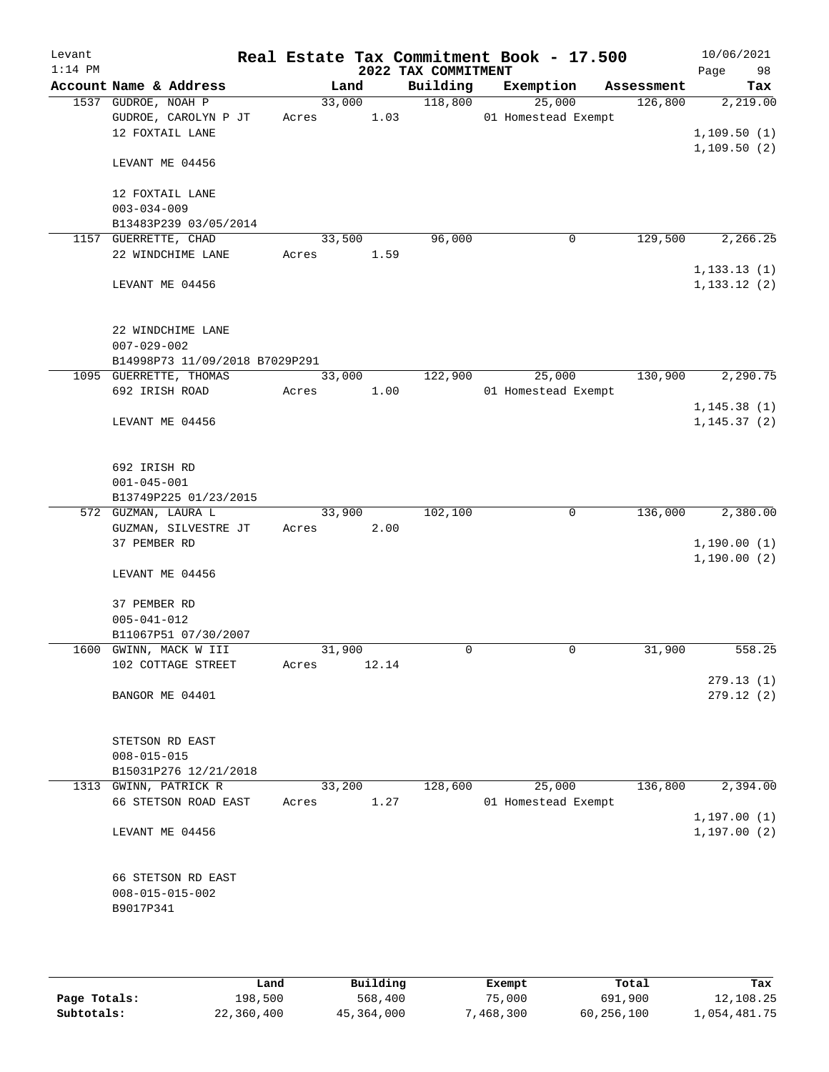| Levant<br>$1:14$ PM |                                |        |       | 2022 TAX COMMITMENT | Real Estate Tax Commitment Book - 17.500 |            | 10/06/2021<br>98<br>Page |
|---------------------|--------------------------------|--------|-------|---------------------|------------------------------------------|------------|--------------------------|
|                     | Account Name & Address         |        | Land  | Building            | Exemption                                | Assessment | Tax                      |
|                     | 1537 GUDROE, NOAH P            | 33,000 |       | 118,800             | 25,000                                   | 126,800    | 2,219.00                 |
|                     | GUDROE, CAROLYN P JT           | Acres  | 1.03  |                     | 01 Homestead Exempt                      |            |                          |
|                     | 12 FOXTAIL LANE                |        |       |                     |                                          |            | 1,109.50(1)              |
|                     | LEVANT ME 04456                |        |       |                     |                                          |            | 1,109.50(2)              |
|                     | 12 FOXTAIL LANE                |        |       |                     |                                          |            |                          |
|                     | $003 - 034 - 009$              |        |       |                     |                                          |            |                          |
|                     | B13483P239 03/05/2014          |        |       |                     |                                          |            |                          |
|                     | 1157 GUERRETTE, CHAD           | 33,500 |       | 96,000              | $\mathbf 0$                              | 129,500    | 2,266.25                 |
|                     | 22 WINDCHIME LANE              | Acres  | 1.59  |                     |                                          |            |                          |
|                     |                                |        |       |                     |                                          |            | 1, 133.13(1)             |
|                     | LEVANT ME 04456                |        |       |                     |                                          |            | 1, 133.12(2)             |
|                     | 22 WINDCHIME LANE              |        |       |                     |                                          |            |                          |
|                     | $007 - 029 - 002$              |        |       |                     |                                          |            |                          |
|                     | B14998P73 11/09/2018 B7029P291 |        |       |                     |                                          |            |                          |
|                     | 1095 GUERRETTE, THOMAS         | 33,000 |       | 122,900             | 25,000                                   | 130,900    | 2,290.75                 |
|                     | 692 IRISH ROAD                 | Acres  | 1.00  |                     | 01 Homestead Exempt                      |            |                          |
|                     |                                |        |       |                     |                                          |            | 1, 145.38(1)             |
|                     | LEVANT ME 04456                |        |       |                     |                                          |            | 1, 145.37(2)             |
|                     | 692 IRISH RD                   |        |       |                     |                                          |            |                          |
|                     | $001 - 045 - 001$              |        |       |                     |                                          |            |                          |
|                     | B13749P225 01/23/2015          |        |       |                     |                                          |            |                          |
|                     | 572 GUZMAN, LAURA L            | 33,900 |       | 102,100             | $\mathbf 0$                              | 136,000    | 2,380.00                 |
|                     | GUZMAN, SILVESTRE JT           | Acres  | 2.00  |                     |                                          |            |                          |
|                     | 37 PEMBER RD                   |        |       |                     |                                          |            | 1,190.00(1)              |
|                     | LEVANT ME 04456                |        |       |                     |                                          |            | 1,190.00(2)              |
|                     | 37 PEMBER RD                   |        |       |                     |                                          |            |                          |
|                     | $005 - 041 - 012$              |        |       |                     |                                          |            |                          |
|                     | B11067P51 07/30/2007           |        |       |                     |                                          |            |                          |
|                     | 1600 GWINN, MACK W III         | 31,900 |       | 0                   | $\mathbf 0$                              | 31,900     | 558.25                   |
|                     | 102 COTTAGE STREET             | Acres  | 12.14 |                     |                                          |            |                          |
|                     | BANGOR ME 04401                |        |       |                     |                                          |            | 279.13(1)<br>279.12(2)   |
|                     |                                |        |       |                     |                                          |            |                          |
|                     | STETSON RD EAST                |        |       |                     |                                          |            |                          |
|                     | $008 - 015 - 015$              |        |       |                     |                                          |            |                          |
|                     | B15031P276 12/21/2018          |        |       |                     |                                          |            |                          |
|                     | 1313 GWINN, PATRICK R          | 33,200 |       | 128,600             | 25,000                                   | 136,800    | 2,394.00                 |
|                     | 66 STETSON ROAD EAST           | Acres  | 1.27  |                     | 01 Homestead Exempt                      |            |                          |
|                     |                                |        |       |                     |                                          |            | 1, 197.00(1)             |
|                     | LEVANT ME 04456                |        |       |                     |                                          |            | 1, 197.00(2)             |
|                     | 66 STETSON RD EAST             |        |       |                     |                                          |            |                          |
|                     | $008 - 015 - 015 - 002$        |        |       |                     |                                          |            |                          |
|                     | B9017P341                      |        |       |                     |                                          |            |                          |
|                     |                                |        |       |                     |                                          |            |                          |
|                     |                                |        |       |                     |                                          |            |                          |

|              | Land       | Building   | Exempt   | Total      | Tax          |
|--------------|------------|------------|----------|------------|--------------|
| Page Totals: | 198,500    | 568,400    | 75,000   | 691,900    | 12,108.25    |
| Subtotals:   | 22,360,400 | 45,364,000 | .468.300 | 60,256,100 | 1,054,481.75 |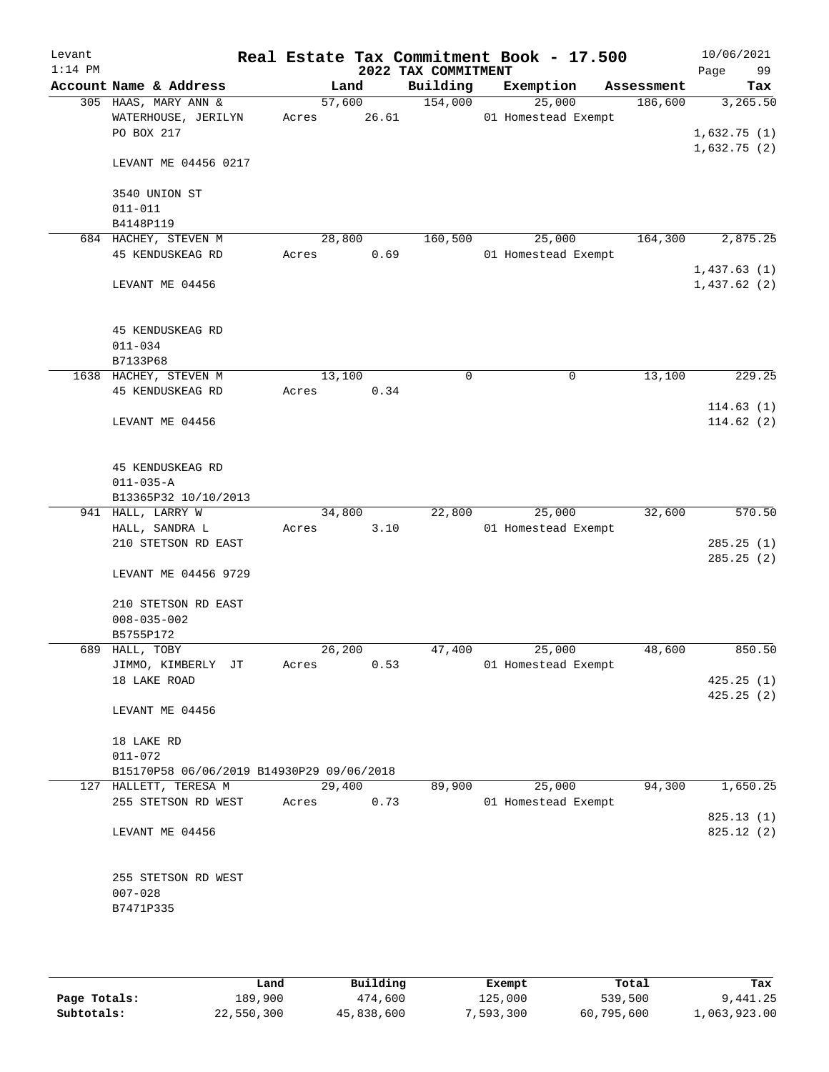| Levant<br>$1:14$ PM |                                                                    |       |                | 2022 TAX COMMITMENT | Real Estate Tax Commitment Book - 17.500 |            | 10/06/2021<br>Page<br>99 |
|---------------------|--------------------------------------------------------------------|-------|----------------|---------------------|------------------------------------------|------------|--------------------------|
|                     | Account Name & Address                                             |       | Land           | Building            | Exemption                                | Assessment | Tax                      |
|                     | 305 HAAS, MARY ANN &                                               |       | 57,600         | 154,000             | 25,000                                   | 186,600    | 3,265.50                 |
|                     | WATERHOUSE, JERILYN                                                | Acres | 26.61          |                     | 01 Homestead Exempt                      |            |                          |
|                     | PO BOX 217                                                         |       |                |                     |                                          |            | 1,632.75(1)              |
|                     | LEVANT ME 04456 0217                                               |       |                |                     |                                          |            | 1,632.75(2)              |
|                     | 3540 UNION ST                                                      |       |                |                     |                                          |            |                          |
|                     | $011 - 011$                                                        |       |                |                     |                                          |            |                          |
|                     | B4148P119<br>684 HACHEY, STEVEN M                                  |       | 28,800         | 160,500             | 25,000                                   | 164,300    | 2,875.25                 |
|                     | 45 KENDUSKEAG RD                                                   | Acres | 0.69           |                     | 01 Homestead Exempt                      |            |                          |
|                     |                                                                    |       |                |                     |                                          |            | 1,437.63(1)              |
|                     | LEVANT ME 04456                                                    |       |                |                     |                                          |            | 1,437.62(2)              |
|                     | 45 KENDUSKEAG RD                                                   |       |                |                     |                                          |            |                          |
|                     | $011 - 034$                                                        |       |                |                     |                                          |            |                          |
|                     | B7133P68                                                           |       |                |                     |                                          |            |                          |
|                     | 1638 HACHEY, STEVEN M                                              |       | 13,100         | 0                   | 0                                        | 13,100     | 229.25                   |
|                     | 45 KENDUSKEAG RD                                                   | Acres | 0.34           |                     |                                          |            |                          |
|                     |                                                                    |       |                |                     |                                          |            | 114.63(1)                |
|                     | LEVANT ME 04456                                                    |       |                |                     |                                          |            | 114.62(2)                |
|                     | 45 KENDUSKEAG RD                                                   |       |                |                     |                                          |            |                          |
|                     | $011 - 035 - A$                                                    |       |                |                     |                                          |            |                          |
|                     | B13365P32 10/10/2013                                               |       |                |                     |                                          |            |                          |
|                     | 941 HALL, LARRY W<br>HALL, SANDRA L                                | Acres | 34,800<br>3.10 | 22,800              | 25,000<br>01 Homestead Exempt            | 32,600     | 570.50                   |
|                     | 210 STETSON RD EAST                                                |       |                |                     |                                          |            | 285.25(1)                |
|                     |                                                                    |       |                |                     |                                          |            | 285.25(2)                |
|                     | LEVANT ME 04456 9729                                               |       |                |                     |                                          |            |                          |
|                     | 210 STETSON RD EAST                                                |       |                |                     |                                          |            |                          |
|                     | $008 - 035 - 002$                                                  |       |                |                     |                                          |            |                          |
|                     | B5755P172                                                          |       |                |                     |                                          |            |                          |
|                     | 689 HALL, TOBY                                                     |       | 26,200         | 47,400              | 25,000                                   | 48,600     | 850.50                   |
|                     | JIMMO, KIMBERLY JT                                                 | Acres | 0.53           |                     | 01 Homestead Exempt                      |            |                          |
|                     | 18 LAKE ROAD                                                       |       |                |                     |                                          |            | 425.25(1)<br>425.25(2)   |
|                     | LEVANT ME 04456                                                    |       |                |                     |                                          |            |                          |
|                     | 18 LAKE RD                                                         |       |                |                     |                                          |            |                          |
|                     | $011 - 072$                                                        |       |                |                     |                                          |            |                          |
|                     | B15170P58 06/06/2019 B14930P29 09/06/2018<br>127 HALLETT, TERESA M |       | 29,400         | 89,900              | 25,000                                   | 94,300     | 1,650.25                 |
|                     | 255 STETSON RD WEST                                                | Acres | 0.73           |                     | 01 Homestead Exempt                      |            |                          |
|                     |                                                                    |       |                |                     |                                          |            | 825.13(1)                |
|                     | LEVANT ME 04456                                                    |       |                |                     |                                          |            | 825.12(2)                |
|                     | 255 STETSON RD WEST                                                |       |                |                     |                                          |            |                          |
|                     | $007 - 028$                                                        |       |                |                     |                                          |            |                          |
|                     | B7471P335                                                          |       |                |                     |                                          |            |                          |
|                     |                                                                    |       |                |                     |                                          |            |                          |

|              | Land       | Building   | Exempt    | Total      | Tax          |
|--------------|------------|------------|-----------|------------|--------------|
| Page Totals: | 189,900    | 474,600    | 125,000   | 539,500    | 9,441.25     |
| Subtotals:   | 22,550,300 | 45,838,600 | 7,593,300 | 60,795,600 | 1,063,923.00 |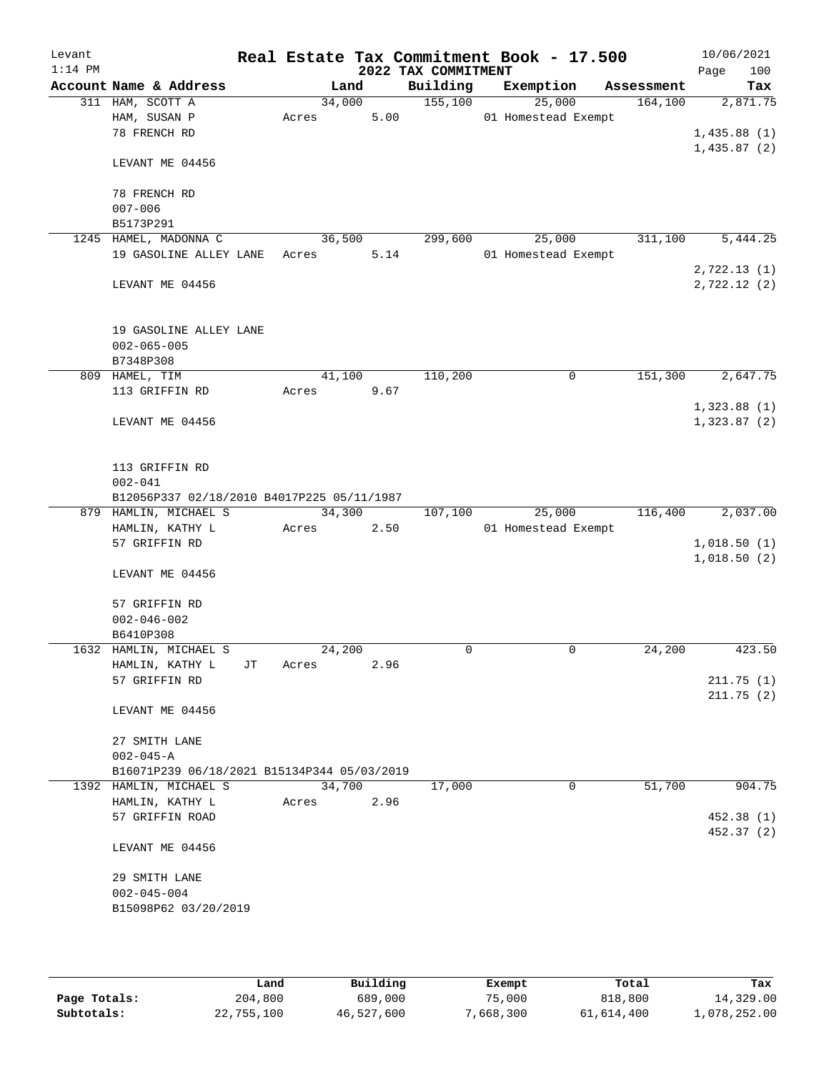| Levant    |                                             |    |       |        |      |                     | Real Estate Tax Commitment Book - 17.500 |            | 10/06/2021                 |
|-----------|---------------------------------------------|----|-------|--------|------|---------------------|------------------------------------------|------------|----------------------------|
| $1:14$ PM |                                             |    |       |        |      | 2022 TAX COMMITMENT |                                          |            | 100<br>Page                |
|           | Account Name & Address<br>311 HAM, SCOTT A  |    |       | Land   |      | Building            | Exemption                                | Assessment | Tax                        |
|           | HAM, SUSAN P                                |    | Acres | 34,000 | 5.00 | 155,100             | 25,000<br>01 Homestead Exempt            | 164, 100   | 2,871.75                   |
|           | 78 FRENCH RD                                |    |       |        |      |                     |                                          |            | 1,435.88(1)                |
|           |                                             |    |       |        |      |                     |                                          |            | 1,435.87(2)                |
|           | LEVANT ME 04456                             |    |       |        |      |                     |                                          |            |                            |
|           | 78 FRENCH RD                                |    |       |        |      |                     |                                          |            |                            |
|           | $007 - 006$                                 |    |       |        |      |                     |                                          |            |                            |
|           | B5173P291                                   |    |       |        |      |                     |                                          |            |                            |
|           | 1245 HAMEL, MADONNA C                       |    |       | 36,500 |      | 299,600             | 25,000                                   | 311,100    | 5,444.25                   |
|           | 19 GASOLINE ALLEY LANE                      |    | Acres |        | 5.14 |                     | 01 Homestead Exempt                      |            |                            |
|           |                                             |    |       |        |      |                     |                                          |            | 2,722.13(1)<br>2,722.12(2) |
|           | LEVANT ME 04456                             |    |       |        |      |                     |                                          |            |                            |
|           | 19 GASOLINE ALLEY LANE                      |    |       |        |      |                     |                                          |            |                            |
|           | $002 - 065 - 005$                           |    |       |        |      |                     |                                          |            |                            |
|           | B7348P308                                   |    |       |        |      |                     |                                          |            |                            |
|           | 809 HAMEL, TIM                              |    |       | 41,100 |      | 110,200             | 0                                        | 151,300    | 2,647.75                   |
|           | 113 GRIFFIN RD                              |    | Acres |        | 9.67 |                     |                                          |            |                            |
|           |                                             |    |       |        |      |                     |                                          |            | 1,323.88(1)                |
|           | LEVANT ME 04456                             |    |       |        |      |                     |                                          |            | 1,323.87(2)                |
|           | 113 GRIFFIN RD                              |    |       |        |      |                     |                                          |            |                            |
|           | $002 - 041$                                 |    |       |        |      |                     |                                          |            |                            |
|           | B12056P337 02/18/2010 B4017P225 05/11/1987  |    |       |        |      |                     |                                          |            |                            |
|           | 879 HAMLIN, MICHAEL S                       |    |       | 34,300 |      | 107,100             | 25,000                                   | 116,400    | 2,037.00                   |
|           | HAMLIN, KATHY L                             |    | Acres |        | 2.50 |                     | 01 Homestead Exempt                      |            |                            |
|           | 57 GRIFFIN RD                               |    |       |        |      |                     |                                          |            | 1,018.50(1)                |
|           | LEVANT ME 04456                             |    |       |        |      |                     |                                          |            | 1,018.50(2)                |
|           | 57 GRIFFIN RD                               |    |       |        |      |                     |                                          |            |                            |
|           | $002 - 046 - 002$                           |    |       |        |      |                     |                                          |            |                            |
|           | B6410P308                                   |    |       |        |      |                     |                                          |            |                            |
|           | 1632 HAMLIN, MICHAEL S                      |    |       | 24,200 |      | 0                   | $\mathbf 0$                              | 24,200     | 423.50                     |
|           | HAMLIN, KATHY L                             | JT | Acres |        | 2.96 |                     |                                          |            |                            |
|           | 57 GRIFFIN RD                               |    |       |        |      |                     |                                          |            | 211.75(1)                  |
|           | LEVANT ME 04456                             |    |       |        |      |                     |                                          |            | 211.75(2)                  |
|           | 27 SMITH LANE                               |    |       |        |      |                     |                                          |            |                            |
|           | $002 - 045 - A$                             |    |       |        |      |                     |                                          |            |                            |
|           | B16071P239 06/18/2021 B15134P344 05/03/2019 |    |       |        |      |                     |                                          |            |                            |
|           | 1392 HAMLIN, MICHAEL S                      |    |       | 34,700 |      | 17,000              | $\mathbf 0$                              | 51,700     | 904.75                     |
|           | HAMLIN, KATHY L                             |    | Acres |        | 2.96 |                     |                                          |            |                            |
|           | 57 GRIFFIN ROAD                             |    |       |        |      |                     |                                          |            | 452.38 (1)<br>452.37 (2)   |
|           | LEVANT ME 04456                             |    |       |        |      |                     |                                          |            |                            |
|           | 29 SMITH LANE                               |    |       |        |      |                     |                                          |            |                            |
|           | $002 - 045 - 004$                           |    |       |        |      |                     |                                          |            |                            |
|           | B15098P62 03/20/2019                        |    |       |        |      |                     |                                          |            |                            |
|           |                                             |    |       |        |      |                     |                                          |            |                            |

|              | Land       | Building   | Exempt    | Total      | Tax          |
|--------------|------------|------------|-----------|------------|--------------|
| Page Totals: | 204,800    | 689,000    | 75,000    | 818,800    | 14,329.00    |
| Subtotals:   | 22,755,100 | 46,527,600 | 7,668,300 | 61,614,400 | 1,078,252.00 |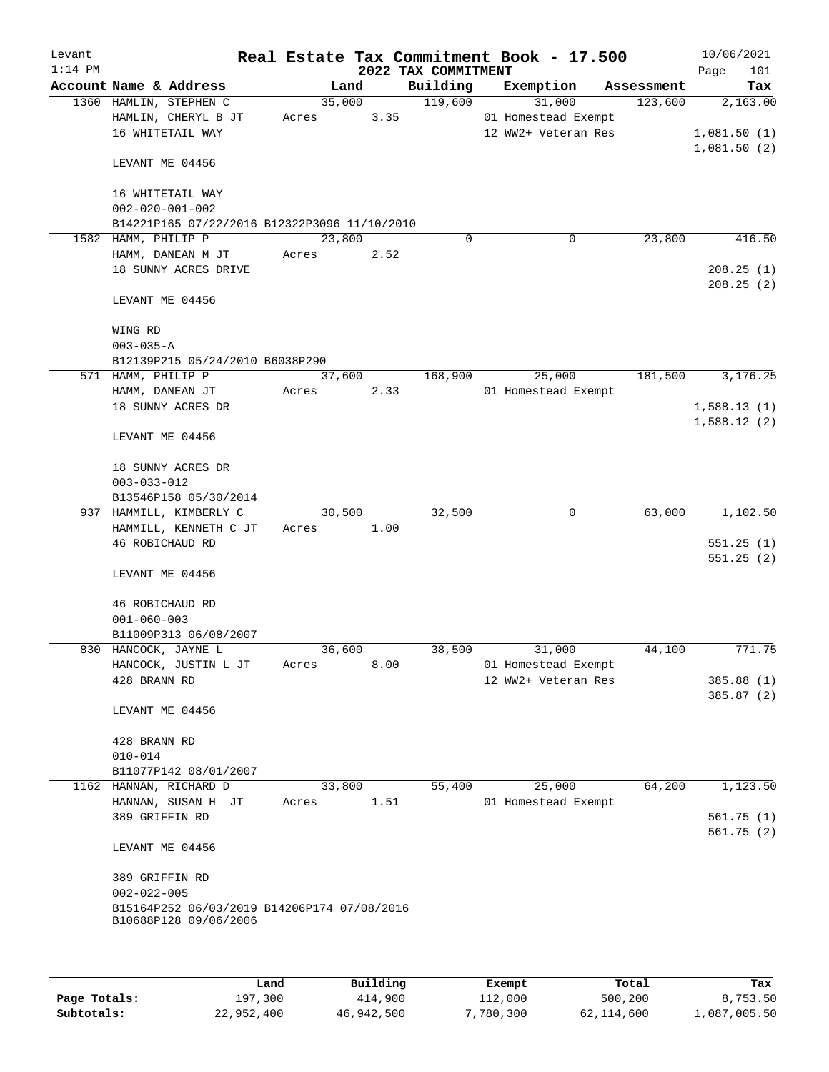| Levant    |                                                                      |                 |      |                     | Real Estate Tax Commitment Book - 17.500   |            | 10/06/2021               |
|-----------|----------------------------------------------------------------------|-----------------|------|---------------------|--------------------------------------------|------------|--------------------------|
| $1:14$ PM |                                                                      |                 |      | 2022 TAX COMMITMENT |                                            |            | 101<br>Page              |
|           | Account Name & Address                                               | Land            |      | Building            | Exemption                                  | Assessment | Tax                      |
|           | 1360 HAMLIN, STEPHEN C                                               | 35,000          |      | 119,600             | 31,000                                     | 123,600    | 2,163.00                 |
|           | HAMLIN, CHERYL B JT<br>16 WHITETAIL WAY                              | Acres           | 3.35 |                     | 01 Homestead Exempt<br>12 WW2+ Veteran Res |            | 1,081.50(1)              |
|           |                                                                      |                 |      |                     |                                            |            | 1,081.50(2)              |
|           | LEVANT ME 04456                                                      |                 |      |                     |                                            |            |                          |
|           | 16 WHITETAIL WAY                                                     |                 |      |                     |                                            |            |                          |
|           | $002 - 020 - 001 - 002$                                              |                 |      |                     |                                            |            |                          |
|           | B14221P165 07/22/2016 B12322P3096 11/10/2010                         |                 |      |                     |                                            |            |                          |
|           | 1582 HAMM, PHILIP P<br>HAMM, DANEAN M JT                             | 23,800<br>Acres | 2.52 | $\Omega$            | $\mathbf 0$                                | 23,800     | 416.50                   |
|           | 18 SUNNY ACRES DRIVE                                                 |                 |      |                     |                                            |            | 208.25(1)                |
|           |                                                                      |                 |      |                     |                                            |            | 208.25(2)                |
|           | LEVANT ME 04456                                                      |                 |      |                     |                                            |            |                          |
|           | WING RD                                                              |                 |      |                     |                                            |            |                          |
|           | $003 - 035 - A$                                                      |                 |      |                     |                                            |            |                          |
|           | B12139P215 05/24/2010 B6038P290                                      |                 |      |                     |                                            |            |                          |
|           | 571 HAMM, PHILIP P                                                   | 37,600          |      | 168,900             | 25,000                                     | 181,500    | 3,176.25                 |
|           | HAMM, DANEAN JT                                                      | Acres 2.33      |      |                     | 01 Homestead Exempt                        |            |                          |
|           | 18 SUNNY ACRES DR                                                    |                 |      |                     |                                            |            | 1,588.13(1)              |
|           | LEVANT ME 04456                                                      |                 |      |                     |                                            |            | 1,588.12(2)              |
|           | 18 SUNNY ACRES DR                                                    |                 |      |                     |                                            |            |                          |
|           | $003 - 033 - 012$                                                    |                 |      |                     |                                            |            |                          |
|           | B13546P158 05/30/2014                                                |                 |      |                     |                                            |            |                          |
|           | 937 HAMMILL, KIMBERLY C                                              | 30,500          |      | 32,500              | 0                                          | 63,000     | 1,102.50                 |
|           | HAMMILL, KENNETH C JT                                                | Acres           | 1.00 |                     |                                            |            |                          |
|           | 46 ROBICHAUD RD                                                      |                 |      |                     |                                            |            | 551.25(1)<br>551.25(2)   |
|           | LEVANT ME 04456                                                      |                 |      |                     |                                            |            |                          |
|           | 46 ROBICHAUD RD                                                      |                 |      |                     |                                            |            |                          |
|           | $001 - 060 - 003$                                                    |                 |      |                     |                                            |            |                          |
|           | B11009P313 06/08/2007                                                |                 |      |                     |                                            |            |                          |
|           | 830 HANCOCK, JAYNE L                                                 | 36,600          |      | 38,500              | 31,000                                     | 44,100     | 771.75                   |
|           | HANCOCK, JUSTIN L JT<br>428 BRANN RD                                 | Acres           | 8.00 |                     | 01 Homestead Exempt<br>12 WW2+ Veteran Res |            |                          |
|           |                                                                      |                 |      |                     |                                            |            | 385.88 (1)<br>385.87 (2) |
|           | LEVANT ME 04456                                                      |                 |      |                     |                                            |            |                          |
|           | 428 BRANN RD                                                         |                 |      |                     |                                            |            |                          |
|           | $010 - 014$                                                          |                 |      |                     |                                            |            |                          |
|           | B11077P142 08/01/2007                                                |                 |      |                     |                                            |            |                          |
|           | 1162 HANNAN, RICHARD D                                               | 33,800          |      | 55,400              | 25,000                                     | 64,200     | 1,123.50                 |
|           | HANNAN, SUSAN H JT                                                   | Acres           | 1.51 |                     | 01 Homestead Exempt                        |            |                          |
|           | 389 GRIFFIN RD                                                       |                 |      |                     |                                            |            | 561.75(1)<br>561.75(2)   |
|           | LEVANT ME 04456                                                      |                 |      |                     |                                            |            |                          |
|           | 389 GRIFFIN RD                                                       |                 |      |                     |                                            |            |                          |
|           | $002 - 022 - 005$                                                    |                 |      |                     |                                            |            |                          |
|           | B15164P252 06/03/2019 B14206P174 07/08/2016<br>B10688P128 09/06/2006 |                 |      |                     |                                            |            |                          |
|           |                                                                      |                 |      |                     |                                            |            |                          |
|           |                                                                      |                 |      |                     |                                            |            |                          |
|           |                                                                      |                 |      |                     |                                            |            |                          |

|              | Land       | Building   | Exempt    | Total      | Tax          |
|--------------|------------|------------|-----------|------------|--------------|
| Page Totals: | 197,300    | 414,900    | 112,000   | 500,200    | 8,753.50     |
| Subtotals:   | 22,952,400 | 46,942,500 | 7,780,300 | 62,114,600 | 1,087,005.50 |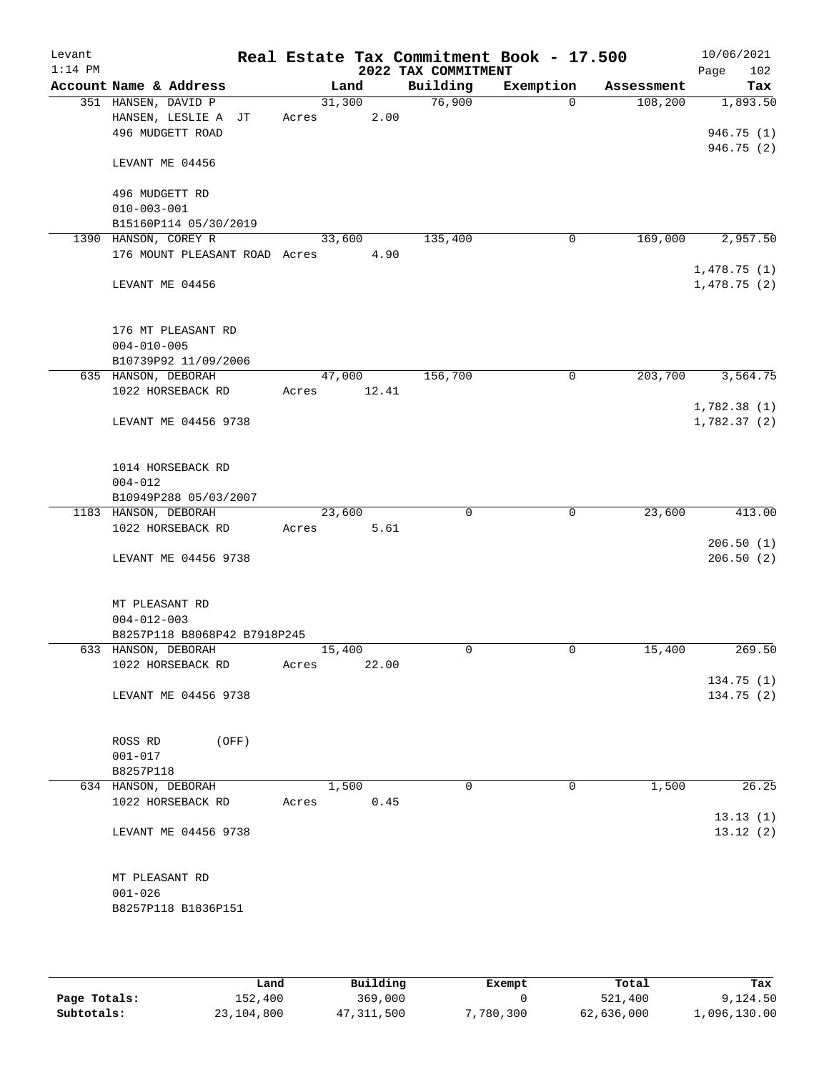| Levant<br>$1:14$ PM |                                                       |                |       | 2022 TAX COMMITMENT | Real Estate Tax Commitment Book - 17.500 |            | 10/06/2021<br>102<br>Page |
|---------------------|-------------------------------------------------------|----------------|-------|---------------------|------------------------------------------|------------|---------------------------|
|                     | Account Name & Address                                |                | Land  | Building            | Exemption                                | Assessment | Tax                       |
|                     | 351 HANSEN, DAVID P                                   | 31,300         |       | 76,900              | $\Omega$                                 | 108,200    | 1,893.50                  |
|                     | HANSEN, LESLIE A JT                                   | Acres          | 2.00  |                     |                                          |            |                           |
|                     | 496 MUDGETT ROAD                                      |                |       |                     |                                          |            | 946.75(1)                 |
|                     | LEVANT ME 04456                                       |                |       |                     |                                          |            | 946.75 (2)                |
|                     | 496 MUDGETT RD                                        |                |       |                     |                                          |            |                           |
|                     | $010 - 003 - 001$                                     |                |       |                     |                                          |            |                           |
|                     | B15160P114 05/30/2019                                 | 33,600         |       | 135,400             | $\mathbf 0$                              | 169,000    |                           |
|                     | 1390 HANSON, COREY R<br>176 MOUNT PLEASANT ROAD Acres |                | 4.90  |                     |                                          |            | 2,957.50                  |
|                     |                                                       |                |       |                     |                                          |            | 1,478.75(1)               |
|                     | LEVANT ME 04456                                       |                |       |                     |                                          |            | 1,478.75(2)               |
|                     | 176 MT PLEASANT RD                                    |                |       |                     |                                          |            |                           |
|                     | $004 - 010 - 005$                                     |                |       |                     |                                          |            |                           |
|                     | B10739P92 11/09/2006                                  |                |       |                     |                                          |            |                           |
|                     | 635 HANSON, DEBORAH                                   | 47,000         |       | 156,700             | $\mathbf 0$                              | 203,700    | 3,564.75                  |
|                     | 1022 HORSEBACK RD                                     | Acres          | 12.41 |                     |                                          |            | 1,782.38(1)               |
|                     | LEVANT ME 04456 9738                                  |                |       |                     |                                          |            | 1,782.37(2)               |
|                     | 1014 HORSEBACK RD                                     |                |       |                     |                                          |            |                           |
|                     | $004 - 012$                                           |                |       |                     |                                          |            |                           |
|                     | B10949P288 05/03/2007                                 |                |       |                     |                                          |            |                           |
|                     | 1183 HANSON, DEBORAH                                  | 23,600         |       | $\mathbf 0$         | 0                                        | 23,600     | 413.00                    |
|                     | 1022 HORSEBACK RD                                     | Acres          | 5.61  |                     |                                          |            |                           |
|                     |                                                       |                |       |                     |                                          |            | 206.50(1)                 |
|                     | LEVANT ME 04456 9738                                  |                |       |                     |                                          |            | 206.50(2)                 |
|                     | MT PLEASANT RD<br>$004 - 012 - 003$                   |                |       |                     |                                          |            |                           |
|                     | B8257P118 B8068P42 B7918P245                          |                |       |                     |                                          |            |                           |
|                     | 633 HANSON, DEBORAH                                   | 15,400         |       | 0                   | $\mathbf 0$                              | 15,400     | 269.50                    |
|                     | 1022 HORSEBACK RD                                     | Acres          | 22.00 |                     |                                          |            |                           |
|                     | LEVANT ME 04456 9738                                  |                |       |                     |                                          |            | 134.75(1)<br>134.75 (2)   |
|                     |                                                       |                |       |                     |                                          |            |                           |
|                     | ROSS RD<br>(OFF)                                      |                |       |                     |                                          |            |                           |
|                     | $001 - 017$                                           |                |       |                     |                                          |            |                           |
|                     | B8257P118                                             |                |       |                     |                                          |            |                           |
|                     | 634 HANSON, DEBORAH<br>1022 HORSEBACK RD              | 1,500<br>Acres | 0.45  | 0                   | $\mathbf 0$                              | 1,500      | 26.25                     |
|                     |                                                       |                |       |                     |                                          |            | 13.13(1)                  |
|                     | LEVANT ME 04456 9738                                  |                |       |                     |                                          |            | 13.12(2)                  |
|                     | MT PLEASANT RD                                        |                |       |                     |                                          |            |                           |
|                     | $001 - 026$                                           |                |       |                     |                                          |            |                           |
|                     | B8257P118 B1836P151                                   |                |       |                     |                                          |            |                           |
|                     |                                                       |                |       |                     |                                          |            |                           |

|              | Land       | Building   | Exempt    | Total      | Tax          |
|--------------|------------|------------|-----------|------------|--------------|
| Page Totals: | 152,400    | 369,000    |           | 521,400    | 9,124.50     |
| Subtotals:   | 23,104,800 | 47,311,500 | 7,780,300 | 62,636,000 | l,096,130.00 |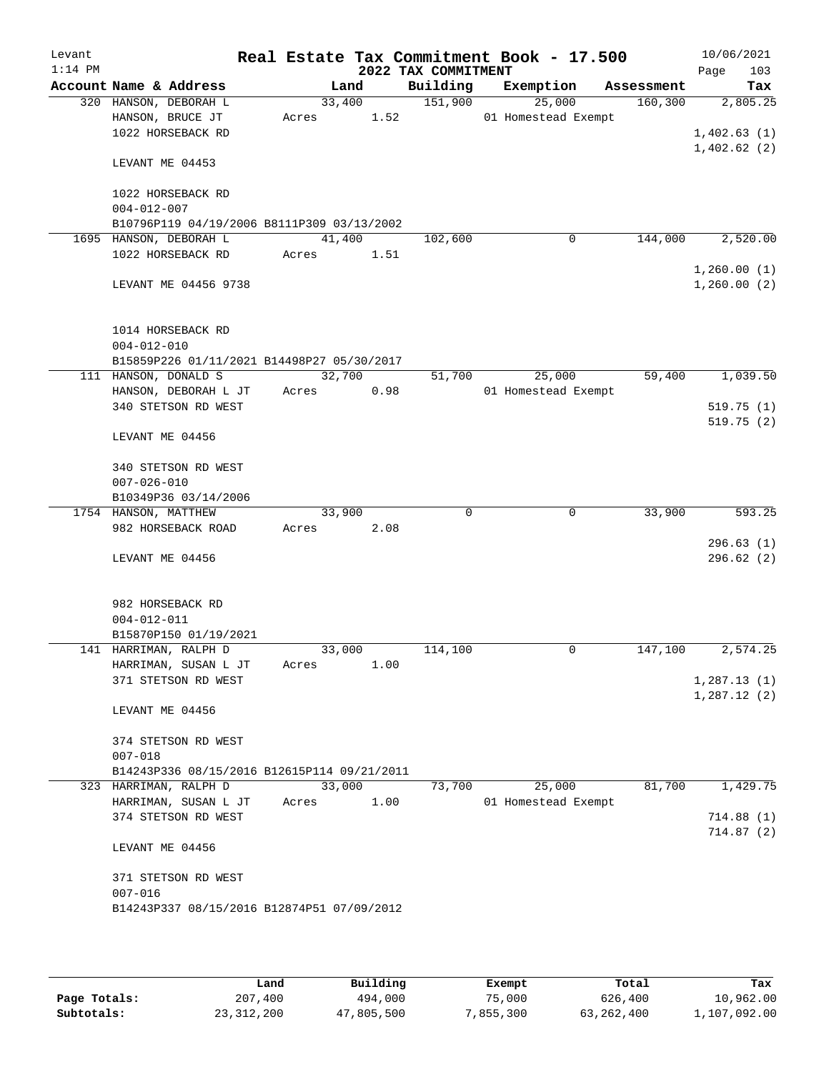| Levant    |                                             |        |        |                                 | Real Estate Tax Commitment Book - 17.500 |            | 10/06/2021         |
|-----------|---------------------------------------------|--------|--------|---------------------------------|------------------------------------------|------------|--------------------|
| $1:14$ PM | Account Name & Address                      |        | Land   | 2022 TAX COMMITMENT<br>Building | Exemption                                | Assessment | 103<br>Page<br>Tax |
|           | 320 HANSON, DEBORAH L                       |        | 33,400 | 151,900                         | 25,000                                   | 160, 300   | 2,805.25           |
|           | HANSON, BRUCE JT                            | Acres  | 1.52   |                                 | 01 Homestead Exempt                      |            |                    |
|           | 1022 HORSEBACK RD                           |        |        |                                 |                                          |            | 1,402.63(1)        |
|           |                                             |        |        |                                 |                                          |            | 1,402.62(2)        |
|           | LEVANT ME 04453                             |        |        |                                 |                                          |            |                    |
|           | 1022 HORSEBACK RD                           |        |        |                                 |                                          |            |                    |
|           | $004 - 012 - 007$                           |        |        |                                 |                                          |            |                    |
|           | B10796P119 04/19/2006 B8111P309 03/13/2002  |        |        |                                 |                                          |            |                    |
|           | 1695 HANSON, DEBORAH L                      | 41,400 |        | 102,600                         | 0                                        | 144,000    | 2,520.00           |
|           | 1022 HORSEBACK RD                           | Acres  | 1.51   |                                 |                                          |            |                    |
|           |                                             |        |        |                                 |                                          |            | 1,260.00(1)        |
|           | LEVANT ME 04456 9738                        |        |        |                                 |                                          |            | 1,260.00(2)        |
|           | 1014 HORSEBACK RD                           |        |        |                                 |                                          |            |                    |
|           | $004 - 012 - 010$                           |        |        |                                 |                                          |            |                    |
|           | B15859P226 01/11/2021 B14498P27 05/30/2017  |        |        |                                 |                                          |            |                    |
|           | 111 HANSON, DONALD S                        |        | 32,700 | 51,700                          | 25,000                                   | 59,400     | 1,039.50           |
|           | HANSON, DEBORAH L JT                        | Acres  | 0.98   |                                 | 01 Homestead Exempt                      |            |                    |
|           | 340 STETSON RD WEST                         |        |        |                                 |                                          |            | 519.75(1)          |
|           | LEVANT ME 04456                             |        |        |                                 |                                          |            | 519.75(2)          |
|           |                                             |        |        |                                 |                                          |            |                    |
|           | 340 STETSON RD WEST                         |        |        |                                 |                                          |            |                    |
|           | $007 - 026 - 010$                           |        |        |                                 |                                          |            |                    |
|           | B10349P36 03/14/2006                        |        |        |                                 |                                          |            |                    |
|           | 1754 HANSON, MATTHEW                        | 33,900 |        | $\Omega$                        | $\mathbf 0$                              | 33,900     | 593.25             |
|           | 982 HORSEBACK ROAD                          | Acres  | 2.08   |                                 |                                          |            |                    |
|           |                                             |        |        |                                 |                                          |            | 296.63(1)          |
|           | LEVANT ME 04456                             |        |        |                                 |                                          |            | 296.62(2)          |
|           | 982 HORSEBACK RD                            |        |        |                                 |                                          |            |                    |
|           | $004 - 012 - 011$                           |        |        |                                 |                                          |            |                    |
|           | B15870P150 01/19/2021                       |        |        |                                 |                                          |            |                    |
|           | 141 HARRIMAN, RALPH D                       | 33,000 |        | 114,100                         | 0                                        | 147,100    | 2,574.25           |
|           | HARRIMAN, SUSAN L JT                        | Acres  | 1.00   |                                 |                                          |            |                    |
|           | 371 STETSON RD WEST                         |        |        |                                 |                                          |            | 1, 287.13(1)       |
|           |                                             |        |        |                                 |                                          |            | 1,287.12(2)        |
|           | LEVANT ME 04456                             |        |        |                                 |                                          |            |                    |
|           | 374 STETSON RD WEST                         |        |        |                                 |                                          |            |                    |
|           | $007 - 018$                                 |        |        |                                 |                                          |            |                    |
|           | B14243P336 08/15/2016 B12615P114 09/21/2011 |        |        |                                 |                                          |            |                    |
|           | 323 HARRIMAN, RALPH D                       | 33,000 |        | 73,700                          | 25,000                                   | 81,700     | 1,429.75           |
|           | HARRIMAN, SUSAN L JT                        | Acres  | 1.00   |                                 | 01 Homestead Exempt                      |            |                    |
|           | 374 STETSON RD WEST                         |        |        |                                 |                                          |            | 714.88(1)          |
|           |                                             |        |        |                                 |                                          |            | 714.87(2)          |
|           | LEVANT ME 04456                             |        |        |                                 |                                          |            |                    |
|           | 371 STETSON RD WEST                         |        |        |                                 |                                          |            |                    |
|           | $007 - 016$                                 |        |        |                                 |                                          |            |                    |
|           | B14243P337 08/15/2016 B12874P51 07/09/2012  |        |        |                                 |                                          |            |                    |
|           |                                             |        |        |                                 |                                          |            |                    |

|              | Land         | Building   | Exempt    | Total      | Tax          |
|--------------|--------------|------------|-----------|------------|--------------|
| Page Totals: | 207,400      | 494,000    | 75,000    | 626,400    | 10,962.00    |
| Subtotals:   | 23, 312, 200 | 47,805,500 | 7,855,300 | 63,262,400 | 1,107,092.00 |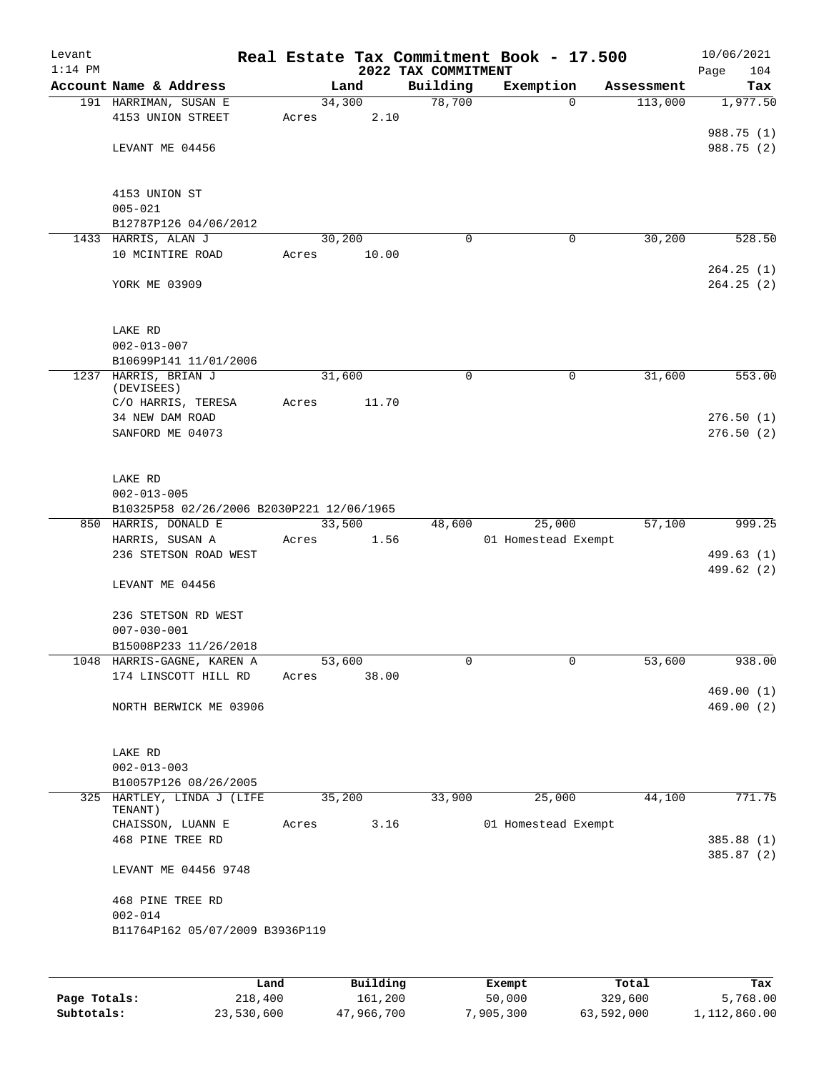| Levant<br>$1:14$ PM |                                              |       |        |       | 2022 TAX COMMITMENT | Real Estate Tax Commitment Book - 17.500 |            | 10/06/2021<br>104<br>Page |
|---------------------|----------------------------------------------|-------|--------|-------|---------------------|------------------------------------------|------------|---------------------------|
|                     | Account Name & Address                       |       | Land   |       | Building            | Exemption                                | Assessment | Tax                       |
|                     | 191 HARRIMAN, SUSAN E                        |       | 34,300 |       | 78,700              | $\mathbf 0$                              | 113,000    | 1,977.50                  |
|                     | 4153 UNION STREET                            | Acres |        | 2.10  |                     |                                          |            |                           |
|                     |                                              |       |        |       |                     |                                          |            | 988.75 (1)                |
|                     | LEVANT ME 04456                              |       |        |       |                     |                                          |            | 988.75 (2)                |
|                     |                                              |       |        |       |                     |                                          |            |                           |
|                     |                                              |       |        |       |                     |                                          |            |                           |
|                     | 4153 UNION ST                                |       |        |       |                     |                                          |            |                           |
|                     | $005 - 021$                                  |       |        |       |                     |                                          |            |                           |
|                     | B12787P126 04/06/2012<br>1433 HARRIS, ALAN J |       | 30,200 |       | 0                   | 0                                        | 30,200     | 528.50                    |
|                     | 10 MCINTIRE ROAD                             | Acres |        | 10.00 |                     |                                          |            |                           |
|                     |                                              |       |        |       |                     |                                          |            | 264.25(1)                 |
|                     | YORK ME 03909                                |       |        |       |                     |                                          |            | 264.25(2)                 |
|                     |                                              |       |        |       |                     |                                          |            |                           |
|                     |                                              |       |        |       |                     |                                          |            |                           |
|                     | LAKE RD                                      |       |        |       |                     |                                          |            |                           |
|                     | $002 - 013 - 007$                            |       |        |       |                     |                                          |            |                           |
|                     | B10699P141 11/01/2006                        |       |        |       |                     |                                          |            |                           |
|                     | 1237 HARRIS, BRIAN J                         |       | 31,600 |       | 0                   | 0                                        | 31,600     | 553.00                    |
|                     | (DEVISEES)<br>C/O HARRIS, TERESA             | Acres |        | 11.70 |                     |                                          |            |                           |
|                     | 34 NEW DAM ROAD                              |       |        |       |                     |                                          |            | 276.50(1)                 |
|                     | SANFORD ME 04073                             |       |        |       |                     |                                          |            | 276.50(2)                 |
|                     |                                              |       |        |       |                     |                                          |            |                           |
|                     |                                              |       |        |       |                     |                                          |            |                           |
|                     | LAKE RD                                      |       |        |       |                     |                                          |            |                           |
|                     | $002 - 013 - 005$                            |       |        |       |                     |                                          |            |                           |
|                     | B10325P58 02/26/2006 B2030P221 12/06/1965    |       |        |       |                     |                                          |            |                           |
|                     | 850 HARRIS, DONALD E                         |       | 33,500 |       | 48,600              | 25,000                                   | 57,100     | 999.25                    |
|                     | HARRIS, SUSAN A                              | Acres |        | 1.56  |                     | 01 Homestead Exempt                      |            |                           |
|                     | 236 STETSON ROAD WEST                        |       |        |       |                     |                                          |            | 499.63 (1)<br>499.62 (2)  |
|                     | LEVANT ME 04456                              |       |        |       |                     |                                          |            |                           |
|                     |                                              |       |        |       |                     |                                          |            |                           |
|                     | 236 STETSON RD WEST                          |       |        |       |                     |                                          |            |                           |
|                     | $007 - 030 - 001$                            |       |        |       |                     |                                          |            |                           |
|                     | B15008P233 11/26/2018                        |       |        |       |                     |                                          |            |                           |
|                     | 1048 HARRIS-GAGNE, KAREN A                   |       | 53,600 |       | 0                   | 0                                        | 53,600     | 938.00                    |
|                     | 174 LINSCOTT HILL RD                         | Acres |        | 38.00 |                     |                                          |            |                           |
|                     |                                              |       |        |       |                     |                                          |            | 469.00(1)                 |
|                     | NORTH BERWICK ME 03906                       |       |        |       |                     |                                          |            | 469.00(2)                 |
|                     |                                              |       |        |       |                     |                                          |            |                           |
|                     | LAKE RD                                      |       |        |       |                     |                                          |            |                           |
|                     | $002 - 013 - 003$                            |       |        |       |                     |                                          |            |                           |
|                     | B10057P126 08/26/2005                        |       |        |       |                     |                                          |            |                           |
|                     | 325 HARTLEY, LINDA J (LIFE                   |       | 35,200 |       | 33,900              | 25,000                                   | 44,100     | 771.75                    |
|                     | TENANT)                                      |       |        |       |                     |                                          |            |                           |
|                     | CHAISSON, LUANN E                            | Acres |        | 3.16  |                     | 01 Homestead Exempt                      |            |                           |
|                     | 468 PINE TREE RD                             |       |        |       |                     |                                          |            | 385.88 (1)                |
|                     | LEVANT ME 04456 9748                         |       |        |       |                     |                                          |            | 385.87 (2)                |
|                     |                                              |       |        |       |                     |                                          |            |                           |
|                     | 468 PINE TREE RD                             |       |        |       |                     |                                          |            |                           |
|                     | $002 - 014$                                  |       |        |       |                     |                                          |            |                           |
|                     | B11764P162 05/07/2009 B3936P119              |       |        |       |                     |                                          |            |                           |
|                     |                                              |       |        |       |                     |                                          |            |                           |
|                     |                                              |       |        |       |                     |                                          |            |                           |

|              | Land       | Building   | Exempt    | Total      | Tax          |
|--------------|------------|------------|-----------|------------|--------------|
| Page Totals: | 218,400    | 161,200    | 50,000    | 329,600    | 5,768.00     |
| Subtotals:   | 23,530,600 | 47,966,700 | 7,905,300 | 63,592,000 | 1,112,860.00 |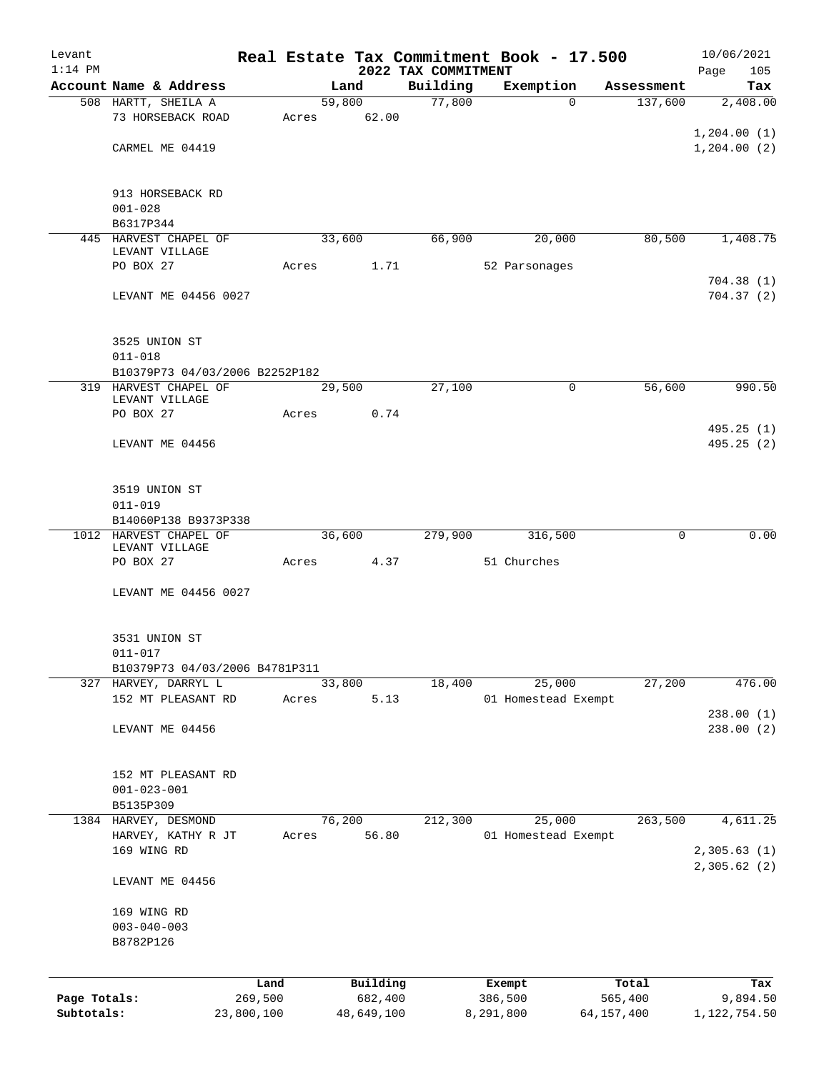| Levant                     |                                                        |                       |       |                       |                     | Real Estate Tax Commitment Book - 17.500 |                       | 10/06/2021                 |
|----------------------------|--------------------------------------------------------|-----------------------|-------|-----------------------|---------------------|------------------------------------------|-----------------------|----------------------------|
| $1:14$ PM                  | Account Name & Address                                 |                       |       |                       | 2022 TAX COMMITMENT |                                          |                       | Page<br>105                |
|                            | 508 HARTT, SHEILA A                                    |                       |       | Land<br>59,800        | Building<br>77,800  | Exemption<br>$\Omega$                    | Assessment<br>137,600 | Tax<br>2,408.00            |
|                            | 73 HORSEBACK ROAD                                      |                       | Acres | 62.00                 |                     |                                          |                       |                            |
|                            |                                                        |                       |       |                       |                     |                                          |                       | 1,204.00(1)                |
|                            | CARMEL ME 04419                                        |                       |       |                       |                     |                                          |                       | 1, 204.00(2)               |
|                            |                                                        |                       |       |                       |                     |                                          |                       |                            |
|                            | 913 HORSEBACK RD                                       |                       |       |                       |                     |                                          |                       |                            |
|                            | $001 - 028$                                            |                       |       |                       |                     |                                          |                       |                            |
|                            | B6317P344                                              |                       |       |                       |                     |                                          |                       |                            |
|                            | 445 HARVEST CHAPEL OF                                  |                       |       | 33,600                | 66,900              | 20,000                                   | 80,500                | 1,408.75                   |
|                            | LEVANT VILLAGE<br>PO BOX 27                            |                       |       | 1.71                  |                     | 52 Parsonages                            |                       |                            |
|                            |                                                        |                       | Acres |                       |                     |                                          |                       | 704.38(1)                  |
|                            | LEVANT ME 04456 0027                                   |                       |       |                       |                     |                                          |                       | 704.37(2)                  |
|                            |                                                        |                       |       |                       |                     |                                          |                       |                            |
|                            |                                                        |                       |       |                       |                     |                                          |                       |                            |
|                            | 3525 UNION ST                                          |                       |       |                       |                     |                                          |                       |                            |
|                            | $011 - 018$<br>B10379P73 04/03/2006 B2252P182          |                       |       |                       |                     |                                          |                       |                            |
|                            | 319 HARVEST CHAPEL OF                                  |                       |       | 29,500                | 27,100              | 0                                        | 56,600                | 990.50                     |
|                            | LEVANT VILLAGE                                         |                       |       |                       |                     |                                          |                       |                            |
|                            | PO BOX 27                                              |                       | Acres | 0.74                  |                     |                                          |                       |                            |
|                            |                                                        |                       |       |                       |                     |                                          |                       | 495.25 (1)<br>495.25(2)    |
|                            | LEVANT ME 04456                                        |                       |       |                       |                     |                                          |                       |                            |
|                            |                                                        |                       |       |                       |                     |                                          |                       |                            |
|                            | 3519 UNION ST                                          |                       |       |                       |                     |                                          |                       |                            |
|                            | $011 - 019$                                            |                       |       |                       |                     |                                          |                       |                            |
|                            | B14060P138 B9373P338                                   |                       |       |                       |                     |                                          |                       |                            |
|                            | 1012 HARVEST CHAPEL OF<br>LEVANT VILLAGE               |                       |       | 36,600                | 279,900             | 316,500                                  | 0                     | 0.00                       |
|                            | PO BOX 27                                              |                       | Acres | 4.37                  |                     | 51 Churches                              |                       |                            |
|                            |                                                        |                       |       |                       |                     |                                          |                       |                            |
|                            | LEVANT ME 04456 0027                                   |                       |       |                       |                     |                                          |                       |                            |
|                            |                                                        |                       |       |                       |                     |                                          |                       |                            |
|                            | 3531 UNION ST                                          |                       |       |                       |                     |                                          |                       |                            |
|                            | $011 - 017$                                            |                       |       |                       |                     |                                          |                       |                            |
|                            | B10379P73 04/03/2006 B4781P311<br>327 HARVEY, DARRYL L |                       |       | 33,800                | 18,400              | 25,000                                   | 27,200                | 476.00                     |
|                            | 152 MT PLEASANT RD                                     |                       | Acres | 5.13                  |                     | 01 Homestead Exempt                      |                       |                            |
|                            |                                                        |                       |       |                       |                     |                                          |                       | 238.00(1)                  |
|                            | LEVANT ME 04456                                        |                       |       |                       |                     |                                          |                       | 238.00 (2)                 |
|                            |                                                        |                       |       |                       |                     |                                          |                       |                            |
|                            | 152 MT PLEASANT RD                                     |                       |       |                       |                     |                                          |                       |                            |
|                            | $001 - 023 - 001$                                      |                       |       |                       |                     |                                          |                       |                            |
|                            | B5135P309                                              |                       |       |                       |                     |                                          |                       |                            |
|                            | 1384 HARVEY, DESMOND                                   |                       |       | 76,200                | 212,300             | 25,000                                   | 263,500               | 4,611.25                   |
|                            | HARVEY, KATHY R JT                                     |                       | Acres | 56.80                 |                     | 01 Homestead Exempt                      |                       |                            |
|                            | 169 WING RD                                            |                       |       |                       |                     |                                          |                       | 2,305.63(1)                |
|                            | LEVANT ME 04456                                        |                       |       |                       |                     |                                          |                       | 2,305.62 (2)               |
|                            |                                                        |                       |       |                       |                     |                                          |                       |                            |
|                            | 169 WING RD                                            |                       |       |                       |                     |                                          |                       |                            |
|                            | $003 - 040 - 003$                                      |                       |       |                       |                     |                                          |                       |                            |
|                            | B8782P126                                              |                       |       |                       |                     |                                          |                       |                            |
|                            |                                                        |                       |       |                       |                     |                                          |                       |                            |
|                            |                                                        | Land                  |       | Building              |                     | Exempt                                   | Total                 | Tax                        |
| Page Totals:<br>Subtotals: |                                                        | 269,500<br>23,800,100 |       | 682,400<br>48,649,100 |                     | 386,500<br>8,291,800                     | 565,400<br>64,157,400 | 9,894.50<br>1, 122, 754.50 |
|                            |                                                        |                       |       |                       |                     |                                          |                       |                            |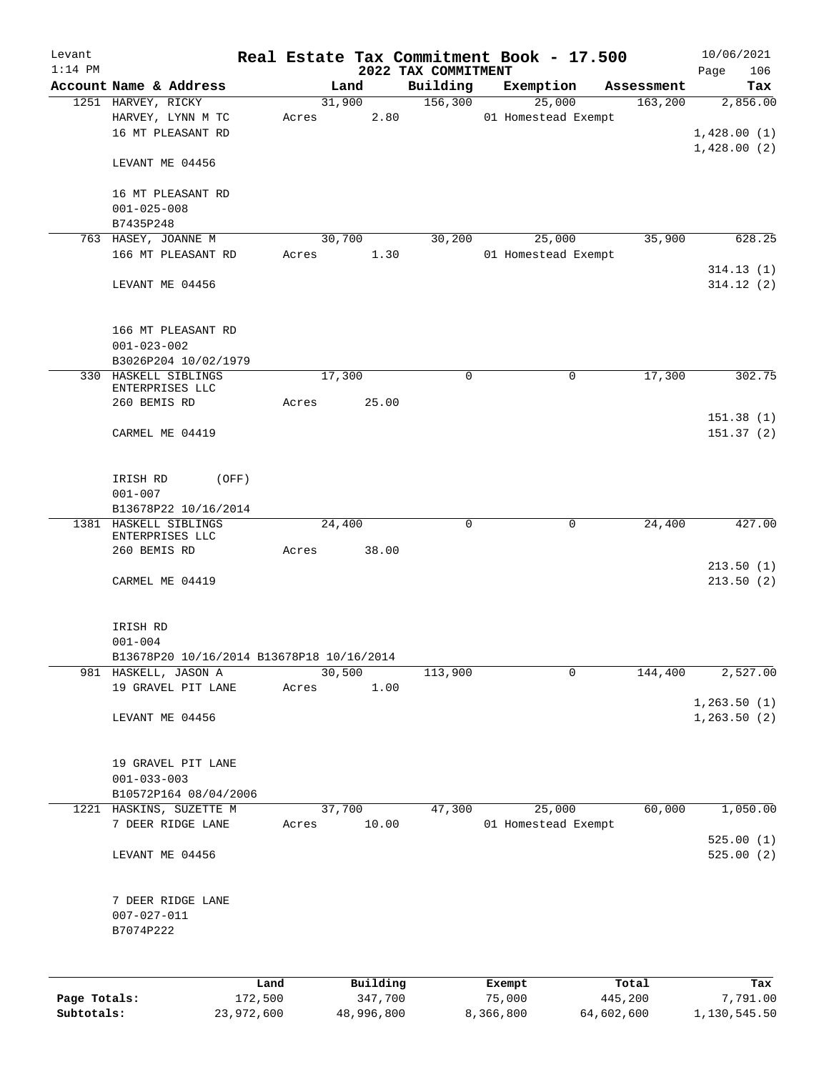| Levant<br>$1:14$ PM |                                                                  |       |                     |                                 | Real Estate Tax Commitment Book - 17.500 |                        | 10/06/2021                    |
|---------------------|------------------------------------------------------------------|-------|---------------------|---------------------------------|------------------------------------------|------------------------|-------------------------------|
|                     | Account Name & Address                                           |       | Land                | 2022 TAX COMMITMENT<br>Building | Exemption                                | Assessment             | 106<br>Page<br>Tax            |
|                     | 1251 HARVEY, RICKY                                               |       | 31,900              | 156,300                         | 25,000                                   | 163,200                | 2,856.00                      |
|                     | HARVEY, LYNN M TC<br>16 MT PLEASANT RD                           | Acres | 2.80                |                                 | 01 Homestead Exempt                      |                        | 1,428.00(1)                   |
|                     | LEVANT ME 04456                                                  |       |                     |                                 |                                          |                        | 1,428.00(2)                   |
|                     | 16 MT PLEASANT RD<br>$001 - 025 - 008$                           |       |                     |                                 |                                          |                        |                               |
|                     | B7435P248                                                        |       |                     |                                 |                                          |                        |                               |
|                     | 763 HASEY, JOANNE M<br>166 MT PLEASANT RD                        | Acres | 30,700<br>1.30      | 30,200                          | 25,000<br>01 Homestead Exempt            | 35,900                 | 628.25                        |
|                     | LEVANT ME 04456                                                  |       |                     |                                 |                                          |                        | 314.13(1)<br>314.12(2)        |
|                     | 166 MT PLEASANT RD<br>$001 - 023 - 002$                          |       |                     |                                 |                                          |                        |                               |
|                     | B3026P204 10/02/1979                                             |       |                     |                                 |                                          |                        |                               |
|                     | 330 HASKELL SIBLINGS<br>ENTERPRISES LLC                          |       | 17,300              | 0                               |                                          | 17,300<br>0            | 302.75                        |
|                     | 260 BEMIS RD                                                     | Acres | 25.00               |                                 |                                          |                        | 151.38(1)                     |
|                     | CARMEL ME 04419                                                  |       |                     |                                 |                                          |                        | 151.37(2)                     |
|                     | IRISH RD<br>(OFF)                                                |       |                     |                                 |                                          |                        |                               |
|                     | $001 - 007$<br>B13678P22 10/16/2014                              |       |                     |                                 |                                          |                        |                               |
|                     | 1381 HASKELL SIBLINGS<br>ENTERPRISES LLC                         |       | 24,400              | $\mathbf 0$                     |                                          | $\mathbf 0$<br>24,400  | 427.00                        |
|                     | 260 BEMIS RD                                                     | Acres | 38.00               |                                 |                                          |                        | 213.50(1)                     |
|                     | CARMEL ME 04419                                                  |       |                     |                                 |                                          |                        | 213.50(2)                     |
|                     | IRISH RD                                                         |       |                     |                                 |                                          |                        |                               |
|                     | $001 - 004$                                                      |       |                     |                                 |                                          |                        |                               |
|                     | B13678P20 10/16/2014 B13678P18 10/16/2014                        |       |                     |                                 |                                          |                        |                               |
|                     | 981 HASKELL, JASON A                                             |       | 30,500              | 113,900                         |                                          | $\mathbf 0$<br>144,400 | 2,527.00                      |
|                     | 19 GRAVEL PIT LANE<br>LEVANT ME 04456                            | Acres | 1.00                |                                 |                                          |                        | 1, 263.50(1)<br>1, 263.50 (2) |
|                     |                                                                  |       |                     |                                 |                                          |                        |                               |
|                     | 19 GRAVEL PIT LANE<br>$001 - 033 - 003$<br>B10572P164 08/04/2006 |       |                     |                                 |                                          |                        |                               |
|                     | 1221 HASKINS, SUZETTE M                                          |       | 37,700              | 47,300                          | 25,000                                   | 60,000                 | 1,050.00                      |
|                     | 7 DEER RIDGE LANE                                                | Acres | 10.00               |                                 | 01 Homestead Exempt                      |                        | 525.00(1)                     |
|                     | LEVANT ME 04456                                                  |       |                     |                                 |                                          |                        | 525.00(2)                     |
|                     | 7 DEER RIDGE LANE<br>$007 - 027 - 011$<br>B7074P222              |       |                     |                                 |                                          |                        |                               |
|                     |                                                                  |       |                     |                                 |                                          |                        |                               |
| Page Totals:        | Land<br>172,500                                                  |       | Building<br>347,700 |                                 | Exempt<br>75,000                         | Total<br>445,200       | Tax<br>7,791.00               |

**Subtotals:** 23,972,600 48,996,800 8,366,800 64,602,600 1,130,545.50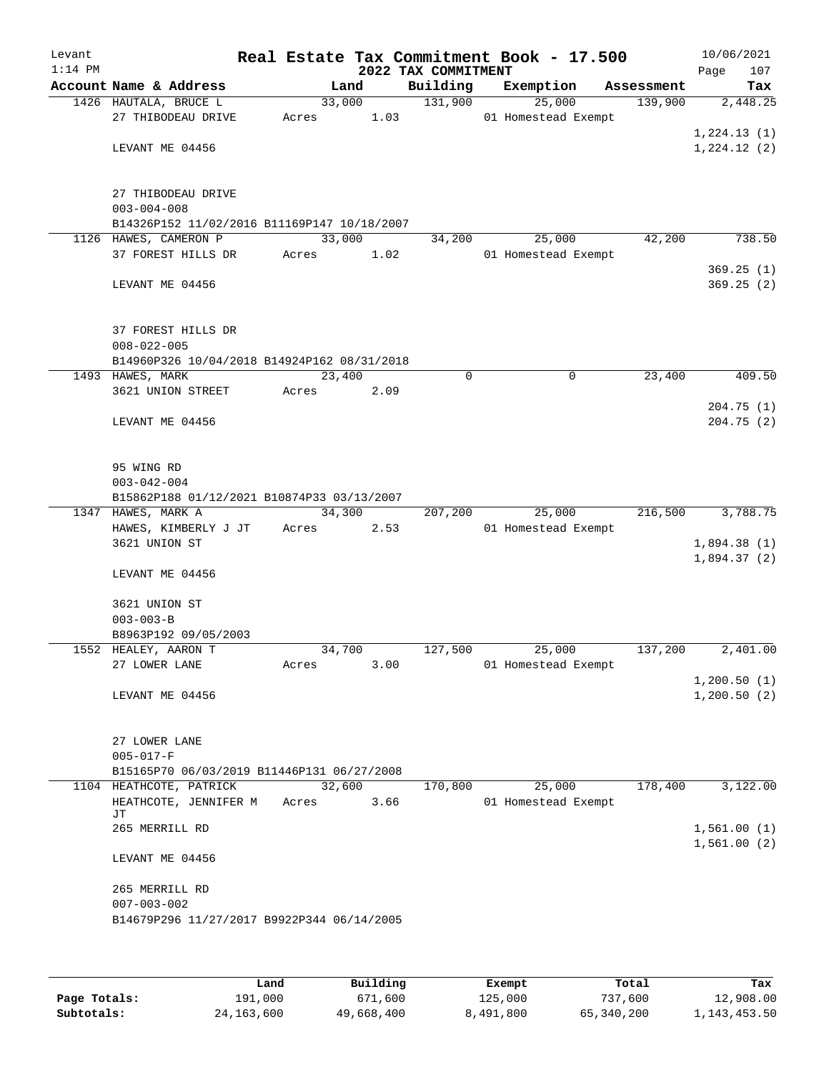| Levant<br>$1:14$ PM |                                                                  |        |        | 2022 TAX COMMITMENT | Real Estate Tax Commitment Book - 17.500 |            | 10/06/2021<br>107<br>Page |
|---------------------|------------------------------------------------------------------|--------|--------|---------------------|------------------------------------------|------------|---------------------------|
|                     | Account Name & Address                                           |        | Land   | Building            | Exemption                                | Assessment | Tax                       |
|                     | 1426 HAUTALA, BRUCE L                                            |        | 33,000 | 131,900             | 25,000                                   | 139,900    | 2,448.25                  |
|                     | 27 THIBODEAU DRIVE                                               | Acres  | 1.03   |                     | 01 Homestead Exempt                      |            |                           |
|                     |                                                                  |        |        |                     |                                          |            | 1,224.13(1)               |
|                     | LEVANT ME 04456                                                  |        |        |                     |                                          |            | 1,224.12(2)               |
|                     |                                                                  |        |        |                     |                                          |            |                           |
|                     |                                                                  |        |        |                     |                                          |            |                           |
|                     | 27 THIBODEAU DRIVE                                               |        |        |                     |                                          |            |                           |
|                     | $003 - 004 - 008$                                                |        |        |                     |                                          |            |                           |
|                     | B14326P152 11/02/2016 B11169P147 10/18/2007                      |        |        |                     |                                          |            |                           |
|                     | 1126 HAWES, CAMERON P                                            | 33,000 |        | 34,200              | 25,000                                   | 42,200     | 738.50                    |
|                     | 37 FOREST HILLS DR                                               | Acres  | 1.02   |                     | 01 Homestead Exempt                      |            | 369.25(1)                 |
|                     | LEVANT ME 04456                                                  |        |        |                     |                                          |            | 369.25(2)                 |
|                     |                                                                  |        |        |                     |                                          |            |                           |
|                     |                                                                  |        |        |                     |                                          |            |                           |
|                     | 37 FOREST HILLS DR                                               |        |        |                     |                                          |            |                           |
|                     | $008 - 022 - 005$                                                |        |        |                     |                                          |            |                           |
|                     | B14960P326 10/04/2018 B14924P162 08/31/2018                      |        |        |                     |                                          |            |                           |
|                     | 1493 HAWES, MARK                                                 | 23,400 |        | 0                   | $\mathbf 0$                              | 23,400     | 409.50                    |
|                     | 3621 UNION STREET                                                | Acres  | 2.09   |                     |                                          |            |                           |
|                     |                                                                  |        |        |                     |                                          |            | 204.75(1)                 |
|                     | LEVANT ME 04456                                                  |        |        |                     |                                          |            | 204.75(2)                 |
|                     |                                                                  |        |        |                     |                                          |            |                           |
|                     |                                                                  |        |        |                     |                                          |            |                           |
|                     | 95 WING RD                                                       |        |        |                     |                                          |            |                           |
|                     | $003 - 042 - 004$                                                |        |        |                     |                                          |            |                           |
|                     | B15862P188 01/12/2021 B10874P33 03/13/2007<br>1347 HAWES, MARK A | 34,300 |        | 207,200             | 25,000                                   | 216,500    | 3,788.75                  |
|                     | HAWES, KIMBERLY J JT                                             | Acres  | 2.53   |                     | 01 Homestead Exempt                      |            |                           |
|                     | 3621 UNION ST                                                    |        |        |                     |                                          |            | 1,894.38(1)               |
|                     |                                                                  |        |        |                     |                                          |            | 1,894.37(2)               |
|                     | LEVANT ME 04456                                                  |        |        |                     |                                          |            |                           |
|                     |                                                                  |        |        |                     |                                          |            |                           |
|                     | 3621 UNION ST                                                    |        |        |                     |                                          |            |                           |
|                     | $003 - 003 - B$                                                  |        |        |                     |                                          |            |                           |
|                     | B8963P192 09/05/2003                                             |        |        |                     |                                          |            |                           |
|                     | 1552 HEALEY, AARON T                                             | 34,700 |        | 127,500             | 25,000                                   | 137,200    | 2,401.00                  |
|                     | 27 LOWER LANE                                                    | Acres  | 3.00   |                     | 01 Homestead Exempt                      |            |                           |
|                     |                                                                  |        |        |                     |                                          |            | 1, 200.50(1)              |
|                     | LEVANT ME 04456                                                  |        |        |                     |                                          |            | 1, 200.50(2)              |
|                     |                                                                  |        |        |                     |                                          |            |                           |
|                     | 27 LOWER LANE                                                    |        |        |                     |                                          |            |                           |
|                     | $005 - 017 - F$                                                  |        |        |                     |                                          |            |                           |
|                     | B15165P70 06/03/2019 B11446P131 06/27/2008                       |        |        |                     |                                          |            |                           |
|                     | 1104 HEATHCOTE, PATRICK                                          |        | 32,600 | 170,800             | 25,000                                   | 178,400    | 3,122.00                  |
|                     | HEATHCOTE, JENNIFER M                                            | Acres  | 3.66   |                     | 01 Homestead Exempt                      |            |                           |
|                     | JТ                                                               |        |        |                     |                                          |            |                           |
|                     | 265 MERRILL RD                                                   |        |        |                     |                                          |            | 1,561.00(1)               |
|                     |                                                                  |        |        |                     |                                          |            | 1,561.00(2)               |
|                     | LEVANT ME 04456                                                  |        |        |                     |                                          |            |                           |
|                     |                                                                  |        |        |                     |                                          |            |                           |
|                     | 265 MERRILL RD                                                   |        |        |                     |                                          |            |                           |
|                     | $007 - 003 - 002$<br>B14679P296 11/27/2017 B9922P344 06/14/2005  |        |        |                     |                                          |            |                           |
|                     |                                                                  |        |        |                     |                                          |            |                           |
|                     |                                                                  |        |        |                     |                                          |            |                           |

|              | Land         | Building   | Exempt    | Total      | Tax          |
|--------------|--------------|------------|-----------|------------|--------------|
| Page Totals: | 191,000      | 671,600    | 125,000   | 737,600    | 12,908.00    |
| Subtotals:   | 24, 163, 600 | 49,668,400 | 8,491,800 | 65,340,200 | 1,143,453.50 |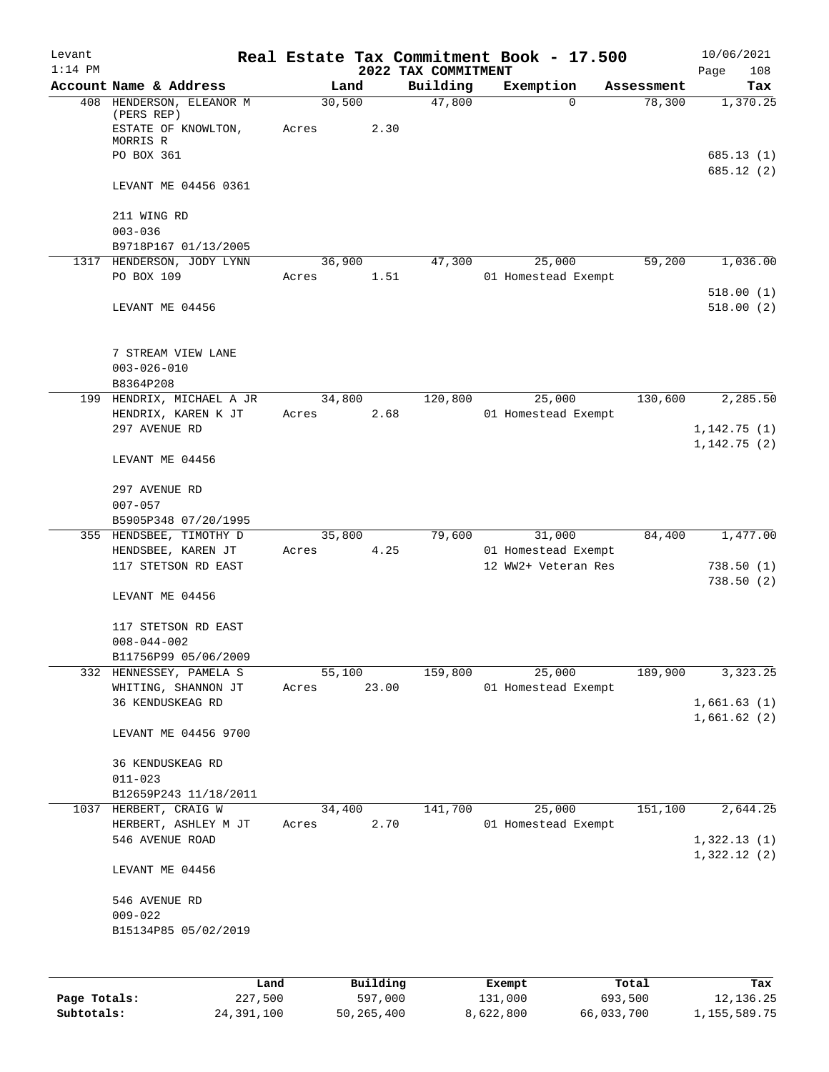| Levant    |                                                               |       |                |                     | Real Estate Tax Commitment Book - 17.500 |            | 10/06/2021                 |
|-----------|---------------------------------------------------------------|-------|----------------|---------------------|------------------------------------------|------------|----------------------------|
| $1:14$ PM |                                                               |       |                | 2022 TAX COMMITMENT |                                          |            | 108<br>Page                |
|           | Account Name & Address                                        |       | Land           | Building<br>47,800  | Exemption<br>$\Omega$                    | Assessment | Tax                        |
|           | 408 HENDERSON, ELEANOR M<br>(PERS REP)<br>ESTATE OF KNOWLTON, | Acres | 30,500<br>2.30 |                     |                                          | 78,300     | 1,370.25                   |
|           | MORRIS R                                                      |       |                |                     |                                          |            |                            |
|           | PO BOX 361                                                    |       |                |                     |                                          |            | 685.13 (1)<br>685.12 (2)   |
|           | LEVANT ME 04456 0361                                          |       |                |                     |                                          |            |                            |
|           | 211 WING RD                                                   |       |                |                     |                                          |            |                            |
|           | $003 - 036$                                                   |       |                |                     |                                          |            |                            |
|           | B9718P167 01/13/2005                                          |       |                |                     |                                          |            |                            |
|           | 1317 HENDERSON, JODY LYNN                                     |       | 36,900         | 47,300              | 25,000                                   | 59,200     | 1,036.00                   |
|           | PO BOX 109                                                    | Acres | 1.51           |                     | 01 Homestead Exempt                      |            |                            |
|           |                                                               |       |                |                     |                                          |            | 518.00(1)                  |
|           | LEVANT ME 04456                                               |       |                |                     |                                          |            | 518.00(2)                  |
|           | 7 STREAM VIEW LANE                                            |       |                |                     |                                          |            |                            |
|           | $003 - 026 - 010$                                             |       |                |                     |                                          |            |                            |
|           | B8364P208                                                     |       |                |                     |                                          |            |                            |
|           | 199 HENDRIX, MICHAEL A JR                                     |       | 34,800         | 120,800             | 25,000                                   | 130,600    | 2,285.50                   |
|           | HENDRIX, KAREN K JT                                           | Acres | 2.68           |                     | 01 Homestead Exempt                      |            |                            |
|           | 297 AVENUE RD                                                 |       |                |                     |                                          |            | 1,142.75(1)<br>1,142.75(2) |
|           | LEVANT ME 04456                                               |       |                |                     |                                          |            |                            |
|           | 297 AVENUE RD                                                 |       |                |                     |                                          |            |                            |
|           | $007 - 057$                                                   |       |                |                     |                                          |            |                            |
|           | B5905P348 07/20/1995                                          |       |                |                     |                                          |            |                            |
|           | 355 HENDSBEE, TIMOTHY D                                       |       | 35,800         | 79,600              | 31,000                                   | 84,400     | 1,477.00                   |
|           | HENDSBEE, KAREN JT                                            | Acres | 4.25           |                     | 01 Homestead Exempt                      |            |                            |
|           | 117 STETSON RD EAST                                           |       |                |                     | 12 WW2+ Veteran Res                      |            | 738.50(1)                  |
|           | LEVANT ME 04456                                               |       |                |                     |                                          |            | 738.50(2)                  |
|           | 117 STETSON RD EAST                                           |       |                |                     |                                          |            |                            |
|           | $008 - 044 - 002$                                             |       |                |                     |                                          |            |                            |
|           | B11756P99 05/06/2009                                          |       |                |                     |                                          |            |                            |
|           | 332 HENNESSEY, PAMELA S                                       |       | 55,100         | 159,800             | 25,000                                   | 189,900    | 3,323.25                   |
|           | WHITING, SHANNON JT                                           | Acres | 23.00          |                     | 01 Homestead Exempt                      |            |                            |
|           | 36 KENDUSKEAG RD                                              |       |                |                     |                                          |            | 1,661.63(1)                |
|           | LEVANT ME 04456 9700                                          |       |                |                     |                                          |            | 1,661.62(2)                |
|           |                                                               |       |                |                     |                                          |            |                            |
|           | 36 KENDUSKEAG RD                                              |       |                |                     |                                          |            |                            |
|           | $011 - 023$                                                   |       |                |                     |                                          |            |                            |
|           | B12659P243 11/18/2011<br>1037 HERBERT, CRAIG W                |       | 34,400         | 141,700             | 25,000                                   | 151,100    | 2,644.25                   |
|           | HERBERT, ASHLEY M JT                                          | Acres | 2.70           |                     | 01 Homestead Exempt                      |            |                            |
|           | 546 AVENUE ROAD                                               |       |                |                     |                                          |            | 1,322.13(1)                |
|           |                                                               |       |                |                     |                                          |            | 1,322.12(2)                |
|           | LEVANT ME 04456                                               |       |                |                     |                                          |            |                            |
|           | 546 AVENUE RD                                                 |       |                |                     |                                          |            |                            |
|           | $009 - 022$                                                   |       |                |                     |                                          |            |                            |
|           | B15134P85 05/02/2019                                          |       |                |                     |                                          |            |                            |
|           |                                                               |       |                |                     |                                          |            |                            |
|           |                                                               | Land  | Building       |                     | Exempt                                   | Total      | Tax                        |

**Page Totals:** 227,500 597,000 131,000 693,500 12,136.25 **Subtotals:** 24,391,100 50,265,400 8,622,800 66,033,700 1,155,589.75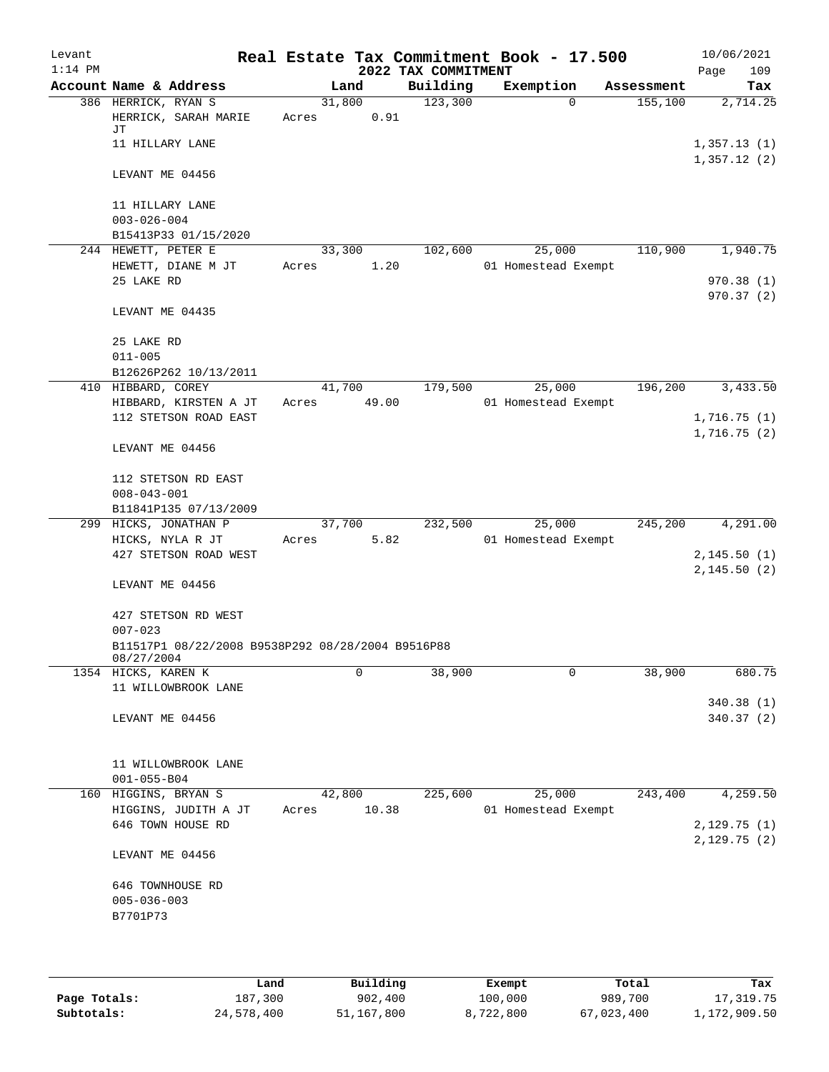| Levant<br>$1:14$ PM |                                                                 |                 |       | 2022 TAX COMMITMENT | Real Estate Tax Commitment Book - 17.500 |            | 10/06/2021<br>109<br>Page           |
|---------------------|-----------------------------------------------------------------|-----------------|-------|---------------------|------------------------------------------|------------|-------------------------------------|
|                     | Account Name & Address                                          |                 | Land  | Building            | Exemption                                | Assessment | Tax                                 |
|                     | 386 HERRICK, RYAN S<br>HERRICK, SARAH MARIE<br>JΤ               | 31,800<br>Acres | 0.91  | 123,300             | $\Omega$                                 | 155,100    | 2,714.25                            |
|                     | 11 HILLARY LANE                                                 |                 |       |                     |                                          |            | 1,357.13(1)<br>1,357.12(2)          |
|                     | LEVANT ME 04456                                                 |                 |       |                     |                                          |            |                                     |
|                     | 11 HILLARY LANE<br>$003 - 026 - 004$                            |                 |       |                     |                                          |            |                                     |
|                     | B15413P33 01/15/2020                                            |                 |       |                     |                                          |            |                                     |
|                     | 244 HEWETT, PETER E<br>HEWETT, DIANE M JT<br>25 LAKE RD         | 33,300<br>Acres | 1.20  | 102,600             | 25,000<br>01 Homestead Exempt            | 110,900    | 1,940.75<br>970.38 (1)<br>970.37(2) |
|                     | LEVANT ME 04435                                                 |                 |       |                     |                                          |            |                                     |
|                     | 25 LAKE RD<br>$011 - 005$                                       |                 |       |                     |                                          |            |                                     |
|                     | B12626P262 10/13/2011                                           |                 |       |                     |                                          |            |                                     |
|                     | 410 HIBBARD, COREY<br>HIBBARD, KIRSTEN A JT                     | 41,700<br>Acres | 49.00 | 179,500             | 25,000<br>01 Homestead Exempt            | 196,200    | 3,433.50                            |
|                     | 112 STETSON ROAD EAST                                           |                 |       |                     |                                          |            | 1,716.75(1)                         |
|                     | LEVANT ME 04456                                                 |                 |       |                     |                                          |            | 1,716.75(2)                         |
|                     | 112 STETSON RD EAST<br>$008 - 043 - 001$                        |                 |       |                     |                                          |            |                                     |
|                     | B11841P135 07/13/2009                                           |                 |       |                     |                                          |            |                                     |
| 299                 | HICKS, JONATHAN P                                               | 37,700          |       | 232,500             | 25,000                                   | 245,200    | 4,291.00                            |
|                     | HICKS, NYLA R JT                                                | Acres           | 5.82  |                     | 01 Homestead Exempt                      |            |                                     |
|                     | 427 STETSON ROAD WEST                                           |                 |       |                     |                                          |            | 2,145.50(1)                         |
|                     | LEVANT ME 04456                                                 |                 |       |                     |                                          |            | 2,145.50(2)                         |
|                     | 427 STETSON RD WEST<br>$007 - 023$                              |                 |       |                     |                                          |            |                                     |
|                     | B11517P1 08/22/2008 B9538P292 08/28/2004 B9516P88<br>08/27/2004 |                 |       |                     |                                          |            |                                     |
|                     | 1354 HICKS, KAREN K                                             |                 | 0     | 38,900              | 0                                        | 38,900     | 680.75                              |
|                     | 11 WILLOWBROOK LANE                                             |                 |       |                     |                                          |            |                                     |
|                     | LEVANT ME 04456                                                 |                 |       |                     |                                          |            | 340.38 (1)<br>340.37 (2)            |
|                     | 11 WILLOWBROOK LANE<br>$001 - 055 - B04$                        |                 |       |                     |                                          |            |                                     |
|                     | 160 HIGGINS, BRYAN S                                            | 42,800          |       | 225,600             | 25,000                                   | 243,400    | 4,259.50                            |
|                     | HIGGINS, JUDITH A JT                                            | Acres           | 10.38 |                     | 01 Homestead Exempt                      |            |                                     |
|                     | 646 TOWN HOUSE RD                                               |                 |       |                     |                                          |            | 2,129.75(1)<br>2,129.75(2)          |
|                     | LEVANT ME 04456                                                 |                 |       |                     |                                          |            |                                     |
|                     | 646 TOWNHOUSE RD                                                |                 |       |                     |                                          |            |                                     |
|                     | $005 - 036 - 003$<br>B7701P73                                   |                 |       |                     |                                          |            |                                     |
|                     |                                                                 |                 |       |                     |                                          |            |                                     |

|              | Land       | Building   | Exempt    | Total      | Tax          |
|--------------|------------|------------|-----------|------------|--------------|
| Page Totals: | 187,300    | 902,400    | 100,000   | 989,700    | 17,319.75    |
| Subtotals:   | 24,578,400 | 51,167,800 | 8,722,800 | 67,023,400 | 1,172,909.50 |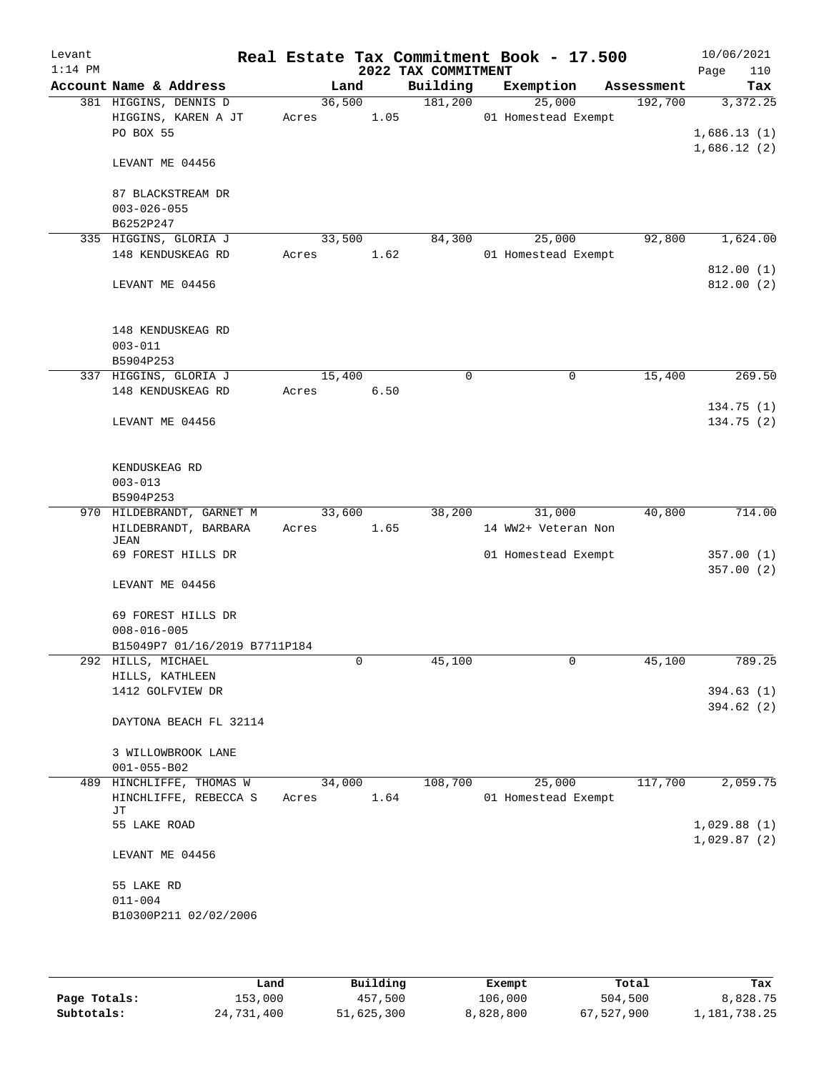| Levant<br>$1:14$ PM |                                     |       |        | 2022 TAX COMMITMENT | Real Estate Tax Commitment Book - 17.500 |            | 10/06/2021<br>110<br>Page  |
|---------------------|-------------------------------------|-------|--------|---------------------|------------------------------------------|------------|----------------------------|
|                     | Account Name & Address              |       | Land   | Building            | Exemption                                | Assessment | Tax                        |
|                     | 381 HIGGINS, DENNIS D               |       | 36,500 | 181,200             | 25,000                                   | 192,700    | 3,372.25                   |
|                     | HIGGINS, KAREN A JT                 | Acres | 1.05   |                     | 01 Homestead Exempt                      |            |                            |
|                     | PO BOX 55                           |       |        |                     |                                          |            | 1,686.13(1)                |
|                     |                                     |       |        |                     |                                          |            | 1,686.12(2)                |
|                     | LEVANT ME 04456                     |       |        |                     |                                          |            |                            |
|                     |                                     |       |        |                     |                                          |            |                            |
|                     | 87 BLACKSTREAM DR                   |       |        |                     |                                          |            |                            |
|                     | $003 - 026 - 055$                   |       |        |                     |                                          |            |                            |
|                     | B6252P247                           |       |        |                     |                                          |            |                            |
|                     | 335 HIGGINS, GLORIA J               |       | 33,500 | 84,300              | 25,000                                   | 92,800     | 1,624.00                   |
|                     | 148 KENDUSKEAG RD                   | Acres | 1.62   |                     | 01 Homestead Exempt                      |            |                            |
|                     |                                     |       |        |                     |                                          |            | 812.00(1)                  |
|                     | LEVANT ME 04456                     |       |        |                     |                                          |            | 812.00 (2)                 |
|                     |                                     |       |        |                     |                                          |            |                            |
|                     |                                     |       |        |                     |                                          |            |                            |
|                     | 148 KENDUSKEAG RD                   |       |        |                     |                                          |            |                            |
|                     | $003 - 011$                         |       |        |                     |                                          |            |                            |
|                     | B5904P253                           |       |        |                     |                                          |            |                            |
|                     | 337 HIGGINS, GLORIA J               |       | 15,400 | 0                   | 0                                        | 15,400     | 269.50                     |
|                     | 148 KENDUSKEAG RD                   | Acres | 6.50   |                     |                                          |            |                            |
|                     |                                     |       |        |                     |                                          |            | 134.75(1)                  |
|                     | LEVANT ME 04456                     |       |        |                     |                                          |            | 134.75(2)                  |
|                     |                                     |       |        |                     |                                          |            |                            |
|                     |                                     |       |        |                     |                                          |            |                            |
|                     |                                     |       |        |                     |                                          |            |                            |
|                     | KENDUSKEAG RD                       |       |        |                     |                                          |            |                            |
|                     | $003 - 013$                         |       |        |                     |                                          |            |                            |
|                     | B5904P253                           |       |        |                     |                                          |            |                            |
|                     | 970 HILDEBRANDT, GARNET M           |       | 33,600 | 38,200              | 31,000                                   | 40,800     | 714.00                     |
|                     | HILDEBRANDT, BARBARA<br><b>JEAN</b> | Acres | 1.65   |                     | 14 WW2+ Veteran Non                      |            |                            |
|                     | 69 FOREST HILLS DR                  |       |        |                     | 01 Homestead Exempt                      |            | 357.00(1)                  |
|                     |                                     |       |        |                     |                                          |            | 357.00(2)                  |
|                     | LEVANT ME 04456                     |       |        |                     |                                          |            |                            |
|                     |                                     |       |        |                     |                                          |            |                            |
|                     | 69 FOREST HILLS DR                  |       |        |                     |                                          |            |                            |
|                     | $008 - 016 - 005$                   |       |        |                     |                                          |            |                            |
|                     |                                     |       |        |                     |                                          |            |                            |
|                     | B15049P7 01/16/2019 B7711P184       |       |        | 45,100              |                                          |            |                            |
|                     | 292 HILLS, MICHAEL                  |       | 0      |                     | 0                                        | 45,100     | 789.25                     |
|                     | HILLS, KATHLEEN                     |       |        |                     |                                          |            |                            |
|                     | 1412 GOLFVIEW DR                    |       |        |                     |                                          |            | 394.63(1)                  |
|                     |                                     |       |        |                     |                                          |            | 394.62 (2)                 |
|                     | DAYTONA BEACH FL 32114              |       |        |                     |                                          |            |                            |
|                     |                                     |       |        |                     |                                          |            |                            |
|                     | 3 WILLOWBROOK LANE                  |       |        |                     |                                          |            |                            |
|                     | $001 - 055 - B02$                   |       |        |                     |                                          |            |                            |
| 489                 | HINCHLIFFE, THOMAS W                |       | 34,000 | 108,700             | 25,000                                   | 117,700    | 2,059.75                   |
|                     | HINCHLIFFE, REBECCA S               | Acres | 1.64   |                     | 01 Homestead Exempt                      |            |                            |
|                     | JТ                                  |       |        |                     |                                          |            |                            |
|                     | 55 LAKE ROAD                        |       |        |                     |                                          |            | 1,029.88(1)<br>1,029.87(2) |
|                     |                                     |       |        |                     |                                          |            |                            |
|                     | LEVANT ME 04456                     |       |        |                     |                                          |            |                            |
|                     |                                     |       |        |                     |                                          |            |                            |
|                     | 55 LAKE RD                          |       |        |                     |                                          |            |                            |
|                     | $011 - 004$                         |       |        |                     |                                          |            |                            |
|                     | B10300P211 02/02/2006               |       |        |                     |                                          |            |                            |
|                     |                                     |       |        |                     |                                          |            |                            |
|                     |                                     |       |        |                     |                                          |            |                            |

|              | Land       | Building   | Exempt    | Total      | Tax          |
|--------------|------------|------------|-----------|------------|--------------|
| Page Totals: | 153,000    | 457,500    | 106,000   | 504,500    | 8,828.75     |
| Subtotals:   | 24,731,400 | 51,625,300 | 8,828,800 | 67,527,900 | 1,181,738.25 |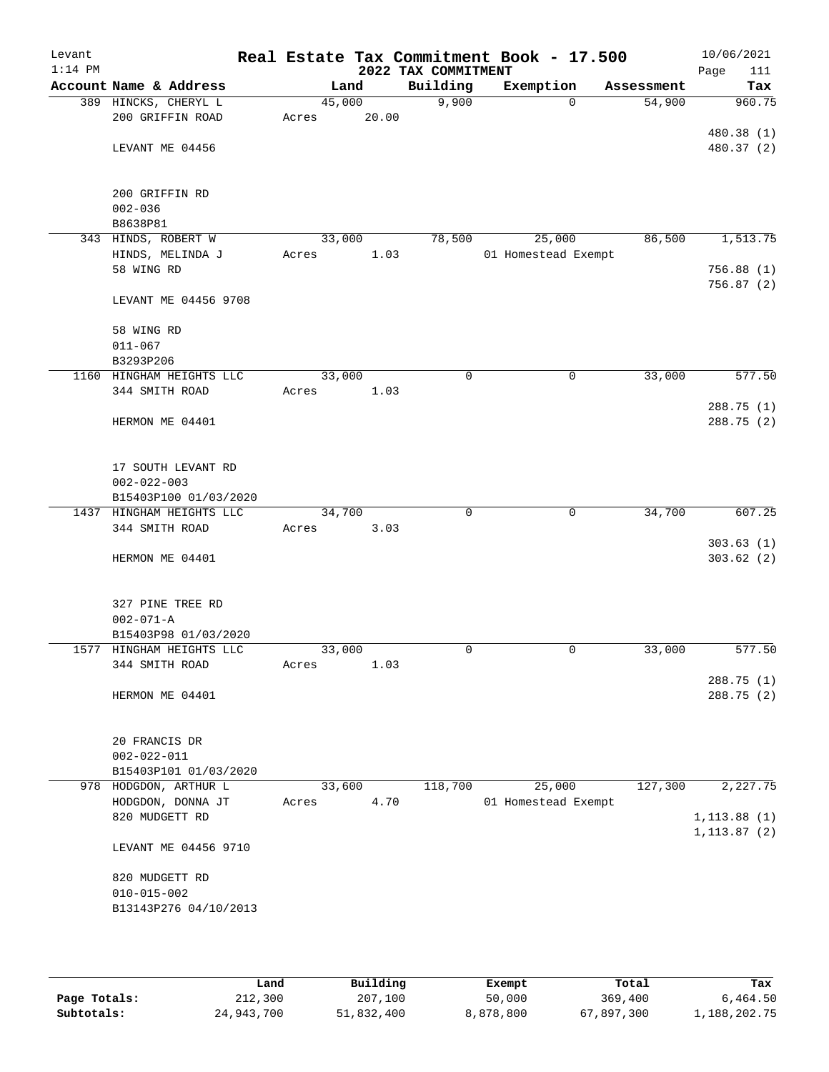| Levant<br>$1:14$ PM |                                                   |        |       | 2022 TAX COMMITMENT | Real Estate Tax Commitment Book - 17.500 |            | 10/06/2021<br>Page<br>111 |
|---------------------|---------------------------------------------------|--------|-------|---------------------|------------------------------------------|------------|---------------------------|
|                     | Account Name & Address                            | Land   |       | Building            | Exemption                                | Assessment | Tax                       |
|                     | 389 HINCKS, CHERYL L                              | 45,000 |       | 9,900               | $\Omega$                                 | 54,900     | 960.75                    |
|                     | 200 GRIFFIN ROAD                                  | Acres  | 20.00 |                     |                                          |            |                           |
|                     |                                                   |        |       |                     |                                          |            | 480.38 (1)                |
|                     | LEVANT ME 04456                                   |        |       |                     |                                          |            | 480.37 (2)                |
|                     |                                                   |        |       |                     |                                          |            |                           |
|                     | 200 GRIFFIN RD                                    |        |       |                     |                                          |            |                           |
|                     | $002 - 036$                                       |        |       |                     |                                          |            |                           |
|                     | B8638P81                                          |        |       |                     |                                          |            |                           |
|                     | 343 HINDS, ROBERT W                               | 33,000 |       | 78,500              | 25,000                                   | 86,500     | 1,513.75                  |
|                     | HINDS, MELINDA J                                  | Acres  | 1.03  |                     | 01 Homestead Exempt                      |            |                           |
|                     | 58 WING RD                                        |        |       |                     |                                          |            | 756.88(1)                 |
|                     |                                                   |        |       |                     |                                          |            | 756.87(2)                 |
|                     | LEVANT ME 04456 9708                              |        |       |                     |                                          |            |                           |
|                     |                                                   |        |       |                     |                                          |            |                           |
|                     | 58 WING RD                                        |        |       |                     |                                          |            |                           |
|                     | $011 - 067$                                       |        |       |                     |                                          |            |                           |
|                     | B3293P206                                         |        |       |                     |                                          |            |                           |
|                     | 1160 HINGHAM HEIGHTS LLC                          | 33,000 |       | 0                   | 0                                        | 33,000     | 577.50                    |
|                     | 344 SMITH ROAD                                    | Acres  | 1.03  |                     |                                          |            |                           |
|                     |                                                   |        |       |                     |                                          |            | 288.75 (1)                |
|                     | HERMON ME 04401                                   |        |       |                     |                                          |            | 288.75(2)                 |
|                     |                                                   |        |       |                     |                                          |            |                           |
|                     |                                                   |        |       |                     |                                          |            |                           |
|                     | 17 SOUTH LEVANT RD                                |        |       |                     |                                          |            |                           |
|                     | $002 - 022 - 003$                                 |        |       |                     |                                          |            |                           |
|                     | B15403P100 01/03/2020<br>1437 HINGHAM HEIGHTS LLC | 34,700 |       | 0                   | $\mathbf 0$                              | 34,700     | 607.25                    |
|                     | 344 SMITH ROAD                                    | Acres  | 3.03  |                     |                                          |            |                           |
|                     |                                                   |        |       |                     |                                          |            | 303.63(1)                 |
|                     | HERMON ME 04401                                   |        |       |                     |                                          |            | 303.62(2)                 |
|                     |                                                   |        |       |                     |                                          |            |                           |
|                     |                                                   |        |       |                     |                                          |            |                           |
|                     | 327 PINE TREE RD                                  |        |       |                     |                                          |            |                           |
|                     | $002 - 071 - A$                                   |        |       |                     |                                          |            |                           |
|                     | B15403P98 01/03/2020                              |        |       |                     |                                          |            |                           |
|                     | 1577 HINGHAM HEIGHTS LLC                          | 33,000 |       | 0                   | $\mathbf 0$                              | 33,000     | 577.50                    |
|                     | 344 SMITH ROAD                                    | Acres  | 1.03  |                     |                                          |            |                           |
|                     |                                                   |        |       |                     |                                          |            | 288.75 (1)                |
|                     | HERMON ME 04401                                   |        |       |                     |                                          |            | 288.75 (2)                |
|                     |                                                   |        |       |                     |                                          |            |                           |
|                     |                                                   |        |       |                     |                                          |            |                           |
|                     | 20 FRANCIS DR                                     |        |       |                     |                                          |            |                           |
|                     | $002 - 022 - 011$                                 |        |       |                     |                                          |            |                           |
|                     | B15403P101 01/03/2020                             |        |       |                     |                                          |            |                           |
|                     | 978 HODGDON, ARTHUR L                             | 33,600 |       | 118,700             | 25,000                                   | 127,300    | 2,227.75                  |
|                     | HODGDON, DONNA JT<br>820 MUDGETT RD               | Acres  | 4.70  |                     | 01 Homestead Exempt                      |            |                           |
|                     |                                                   |        |       |                     |                                          |            | 1, 113.88(1)              |
|                     | LEVANT ME 04456 9710                              |        |       |                     |                                          |            | 1, 113.87(2)              |
|                     |                                                   |        |       |                     |                                          |            |                           |
|                     | 820 MUDGETT RD                                    |        |       |                     |                                          |            |                           |
|                     | $010 - 015 - 002$                                 |        |       |                     |                                          |            |                           |
|                     | B13143P276 04/10/2013                             |        |       |                     |                                          |            |                           |
|                     |                                                   |        |       |                     |                                          |            |                           |
|                     |                                                   |        |       |                     |                                          |            |                           |
|                     |                                                   |        |       |                     |                                          |            |                           |

|              | Land       | Building   | Exempt    | Total      | Tax          |
|--------------|------------|------------|-----------|------------|--------------|
| Page Totals: | 212,300    | 207,100    | 50,000    | 369,400    | 6,464.50     |
| Subtotals:   | 24,943,700 | 51,832,400 | 8,878,800 | 67,897,300 | 1,188,202.75 |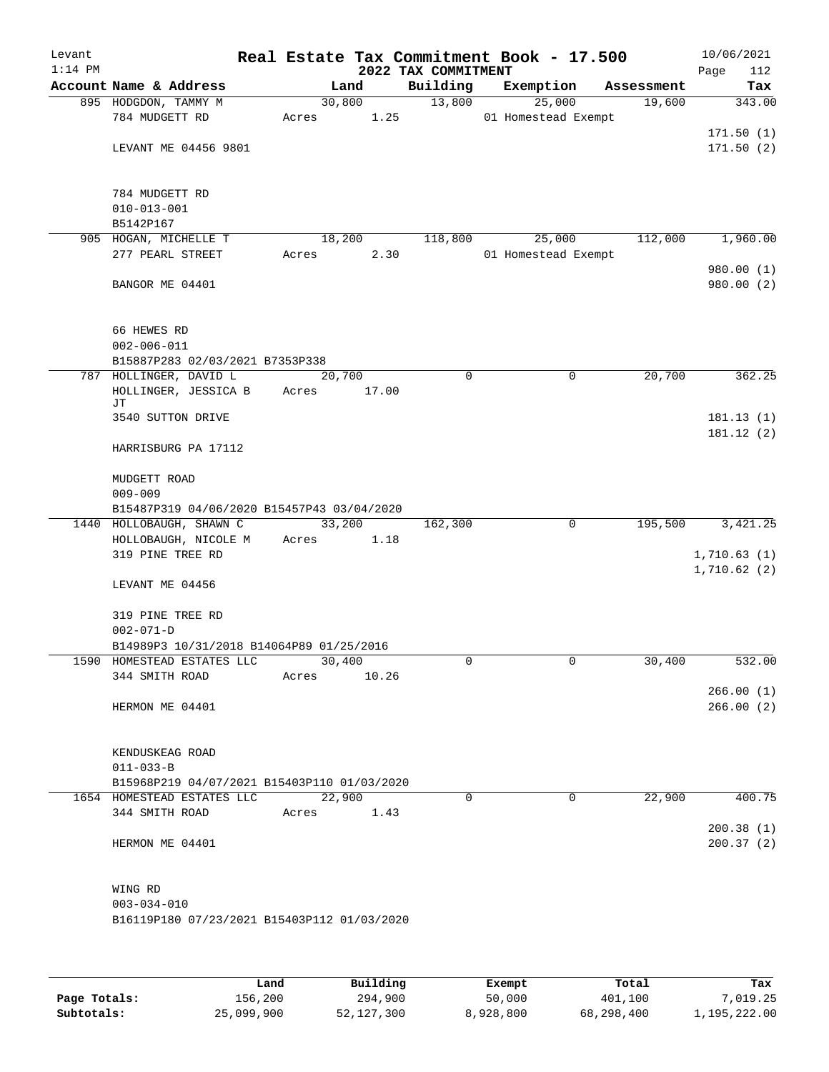| Levant<br>$1:14$ PM |                                                                        |                | 2022 TAX COMMITMENT | Real Estate Tax Commitment Book - 17.500 |            | 10/06/2021<br>Page<br>112 |
|---------------------|------------------------------------------------------------------------|----------------|---------------------|------------------------------------------|------------|---------------------------|
|                     | Account Name & Address                                                 | Land           | Building            | Exemption                                | Assessment | Tax                       |
|                     | 895 HODGDON, TAMMY M                                                   | 30,800         | 13,800              | 25,000                                   | 19,600     | 343.00                    |
|                     | 784 MUDGETT RD                                                         | 1.25<br>Acres  |                     | 01 Homestead Exempt                      |            |                           |
|                     |                                                                        |                |                     |                                          |            | 171.50(1)                 |
|                     | LEVANT ME 04456 9801                                                   |                |                     |                                          |            | 171.50(2)                 |
|                     | 784 MUDGETT RD                                                         |                |                     |                                          |            |                           |
|                     | $010 - 013 - 001$                                                      |                |                     |                                          |            |                           |
|                     | B5142P167                                                              |                |                     |                                          |            |                           |
|                     | 905 HOGAN, MICHELLE T                                                  | 18,200         | 118,800             | 25,000                                   | 112,000    | 1,960.00                  |
|                     | 277 PEARL STREET                                                       | 2.30<br>Acres  |                     | 01 Homestead Exempt                      |            |                           |
|                     | BANGOR ME 04401                                                        |                |                     |                                          |            | 980.00 (1)<br>980.00 (2)  |
|                     |                                                                        |                |                     |                                          |            |                           |
|                     | 66 HEWES RD<br>$002 - 006 - 011$                                       |                |                     |                                          |            |                           |
|                     | B15887P283 02/03/2021 B7353P338                                        |                |                     |                                          |            |                           |
|                     | 787 HOLLINGER, DAVID L                                                 | 20,700         | 0                   | 0                                        | 20,700     | 362.25                    |
|                     | HOLLINGER, JESSICA B<br>JΤ                                             | 17.00<br>Acres |                     |                                          |            |                           |
|                     | 3540 SUTTON DRIVE                                                      |                |                     |                                          |            | 181.13(1)                 |
|                     | HARRISBURG PA 17112                                                    |                |                     |                                          |            | 181.12(2)                 |
|                     | MUDGETT ROAD                                                           |                |                     |                                          |            |                           |
|                     | $009 - 009$<br>B15487P319 04/06/2020 B15457P43 03/04/2020              |                |                     |                                          |            |                           |
|                     | 1440 HOLLOBAUGH, SHAWN C                                               | 33,200         | 162,300             | $\mathbf 0$                              | 195,500    | 3, 421.25                 |
|                     | HOLLOBAUGH, NICOLE M                                                   | 1.18<br>Acres  |                     |                                          |            |                           |
|                     | 319 PINE TREE RD                                                       |                |                     |                                          |            | 1,710.63(1)               |
|                     |                                                                        |                |                     |                                          |            | 1,710.62(2)               |
|                     | LEVANT ME 04456                                                        |                |                     |                                          |            |                           |
|                     | 319 PINE TREE RD                                                       |                |                     |                                          |            |                           |
|                     | $002 - 071 - D$                                                        |                |                     |                                          |            |                           |
|                     | B14989P3 10/31/2018 B14064P89 01/25/2016<br>1590 HOMESTEAD ESTATES LLC | 30,400         | 0                   | 0                                        |            | 532.00                    |
|                     | 344 SMITH ROAD                                                         | 10.26<br>Acres |                     |                                          | 30,400     |                           |
|                     |                                                                        |                |                     |                                          |            | 266.00(1)                 |
|                     | HERMON ME 04401                                                        |                |                     |                                          |            | 266.00(2)                 |
|                     | KENDUSKEAG ROAD                                                        |                |                     |                                          |            |                           |
|                     | $011 - 033 - B$                                                        |                |                     |                                          |            |                           |
|                     | B15968P219 04/07/2021 B15403P110 01/03/2020                            |                |                     |                                          |            |                           |
|                     | 1654 HOMESTEAD ESTATES LLC                                             | 22,900         | $\Omega$            | $\Omega$                                 | 22,900     | 400.75                    |
|                     | 344 SMITH ROAD                                                         | Acres<br>1.43  |                     |                                          |            |                           |
|                     |                                                                        |                |                     |                                          |            | 200.38(1)                 |
|                     | HERMON ME 04401                                                        |                |                     |                                          |            | 200.37(2)                 |
|                     | WING RD                                                                |                |                     |                                          |            |                           |
|                     | $003 - 034 - 010$                                                      |                |                     |                                          |            |                           |
|                     | B16119P180 07/23/2021 B15403P112 01/03/2020                            |                |                     |                                          |            |                           |
|                     |                                                                        |                |                     |                                          |            |                           |
|                     |                                                                        |                |                     |                                          |            |                           |

|              | Land       | Building     | Exempt    | Total      | Tax          |
|--------------|------------|--------------|-----------|------------|--------------|
| Page Totals: | 156,200    | 294,900      | 50,000    | 401,100    | 7,019.25     |
| Subtotals:   | 25,099,900 | 52, 127, 300 | 8,928,800 | 68,298,400 | 1,195,222.00 |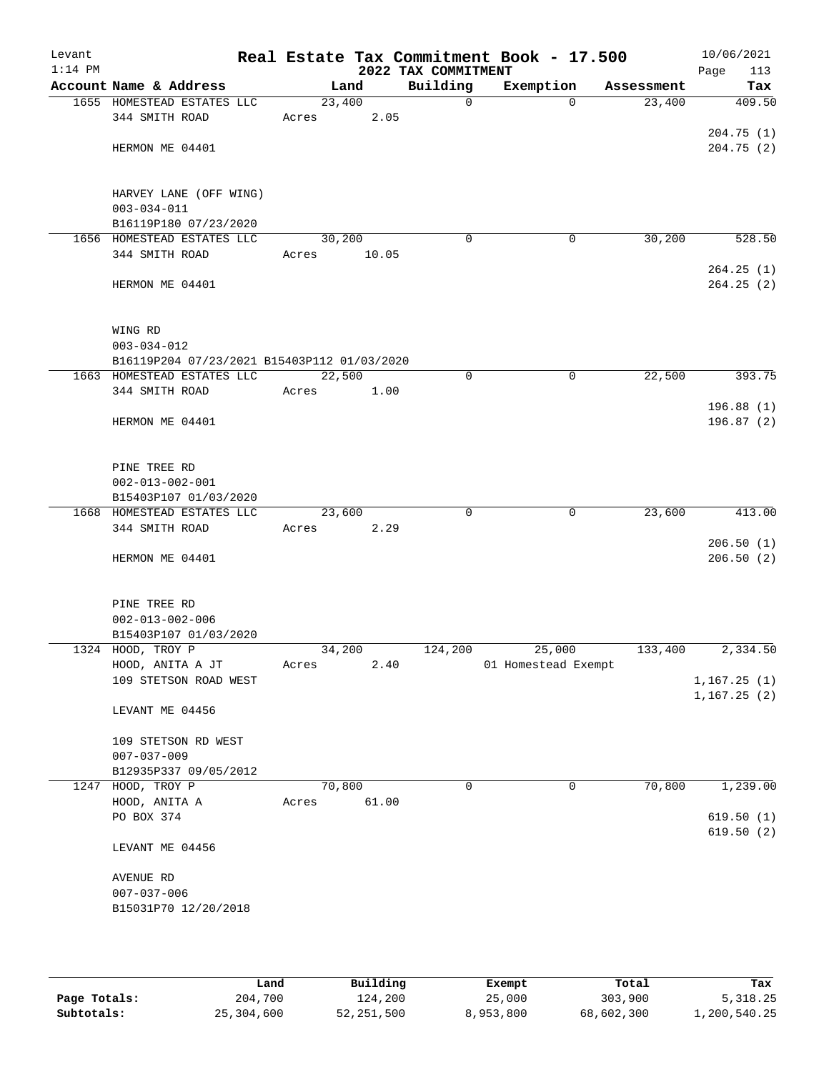| Levant<br>$1:14$ PM |                                             |       |        | 2022 TAX COMMITMENT | Real Estate Tax Commitment Book - 17.500 |            | 10/06/2021<br>Page<br>113 |
|---------------------|---------------------------------------------|-------|--------|---------------------|------------------------------------------|------------|---------------------------|
|                     | Account Name & Address                      |       | Land   | Building            | Exemption                                | Assessment | Tax                       |
|                     | 1655 HOMESTEAD ESTATES LLC                  |       | 23,400 | $\mathsf{O}$        | $\Omega$                                 | 23,400     | 409.50                    |
|                     | 344 SMITH ROAD                              | Acres | 2.05   |                     |                                          |            |                           |
|                     | HERMON ME 04401                             |       |        |                     |                                          |            | 204.75 (1)<br>204.75(2)   |
|                     |                                             |       |        |                     |                                          |            |                           |
|                     |                                             |       |        |                     |                                          |            |                           |
|                     | HARVEY LANE (OFF WING)                      |       |        |                     |                                          |            |                           |
|                     | $003 - 034 - 011$<br>B16119P180 07/23/2020  |       |        |                     |                                          |            |                           |
|                     | 1656 HOMESTEAD ESTATES LLC                  |       | 30,200 | $\mathbf 0$         | $\mathbf 0$                              | 30,200     | 528.50                    |
|                     | 344 SMITH ROAD                              | Acres | 10.05  |                     |                                          |            |                           |
|                     |                                             |       |        |                     |                                          |            | 264.25(1)                 |
|                     | HERMON ME 04401                             |       |        |                     |                                          |            | 264.25(2)                 |
|                     |                                             |       |        |                     |                                          |            |                           |
|                     | WING RD                                     |       |        |                     |                                          |            |                           |
|                     | $003 - 034 - 012$                           |       |        |                     |                                          |            |                           |
|                     | B16119P204 07/23/2021 B15403P112 01/03/2020 |       |        |                     |                                          |            |                           |
|                     | 1663 HOMESTEAD ESTATES LLC                  |       | 22,500 | 0                   | 0                                        | 22,500     | 393.75                    |
|                     | 344 SMITH ROAD                              | Acres | 1.00   |                     |                                          |            |                           |
|                     |                                             |       |        |                     |                                          |            | 196.88(1)                 |
|                     | HERMON ME 04401                             |       |        |                     |                                          |            | 196.87 (2)                |
|                     |                                             |       |        |                     |                                          |            |                           |
|                     | PINE TREE RD                                |       |        |                     |                                          |            |                           |
|                     | $002 - 013 - 002 - 001$                     |       |        |                     |                                          |            |                           |
|                     | B15403P107 01/03/2020                       |       |        |                     |                                          |            |                           |
|                     | 1668 HOMESTEAD ESTATES LLC                  |       | 23,600 | $\Omega$            | 0                                        | 23,600     | 413.00                    |
|                     | 344 SMITH ROAD                              | Acres | 2.29   |                     |                                          |            |                           |
|                     |                                             |       |        |                     |                                          |            | 206.50(1)                 |
|                     | HERMON ME 04401                             |       |        |                     |                                          |            | 206.50(2)                 |
|                     |                                             |       |        |                     |                                          |            |                           |
|                     | PINE TREE RD                                |       |        |                     |                                          |            |                           |
|                     | $002 - 013 - 002 - 006$                     |       |        |                     |                                          |            |                           |
|                     | B15403P107 01/03/2020                       |       |        |                     |                                          |            |                           |
|                     | 1324 HOOD, TROY P                           |       | 34,200 | 124,200             | 25,000                                   | 133,400    | 2,334.50                  |
|                     | HOOD, ANITA A JT<br>109 STETSON ROAD WEST   | Acres | 2.40   |                     | 01 Homestead Exempt                      |            | 1, 167.25(1)              |
|                     |                                             |       |        |                     |                                          |            | 1,167.25(2)               |
|                     | LEVANT ME 04456                             |       |        |                     |                                          |            |                           |
|                     |                                             |       |        |                     |                                          |            |                           |
|                     | 109 STETSON RD WEST<br>$007 - 037 - 009$    |       |        |                     |                                          |            |                           |
|                     | B12935P337 09/05/2012                       |       |        |                     |                                          |            |                           |
|                     | 1247 HOOD, TROY P                           |       | 70,800 | 0                   | 0                                        | 70,800     | 1,239.00                  |
|                     | HOOD, ANITA A                               | Acres | 61.00  |                     |                                          |            |                           |
|                     | PO BOX 374                                  |       |        |                     |                                          |            | 619.50(1)                 |
|                     |                                             |       |        |                     |                                          |            | 619.50(2)                 |
|                     | LEVANT ME 04456                             |       |        |                     |                                          |            |                           |
|                     | AVENUE RD                                   |       |        |                     |                                          |            |                           |
|                     | $007 - 037 - 006$                           |       |        |                     |                                          |            |                           |
|                     | B15031P70 12/20/2018                        |       |        |                     |                                          |            |                           |
|                     |                                             |       |        |                     |                                          |            |                           |
|                     |                                             |       |        |                     |                                          |            |                           |
|                     |                                             |       |        |                     |                                          |            |                           |

|              | Land       | Building   | Exempt    | Total      | Tax          |
|--------------|------------|------------|-----------|------------|--------------|
| Page Totals: | 204,700    | 124,200    | 25,000    | 303,900    | 5,318.25     |
| Subtotals:   | 25,304,600 | 52,251,500 | 8,953,800 | 68,602,300 | 1,200,540.25 |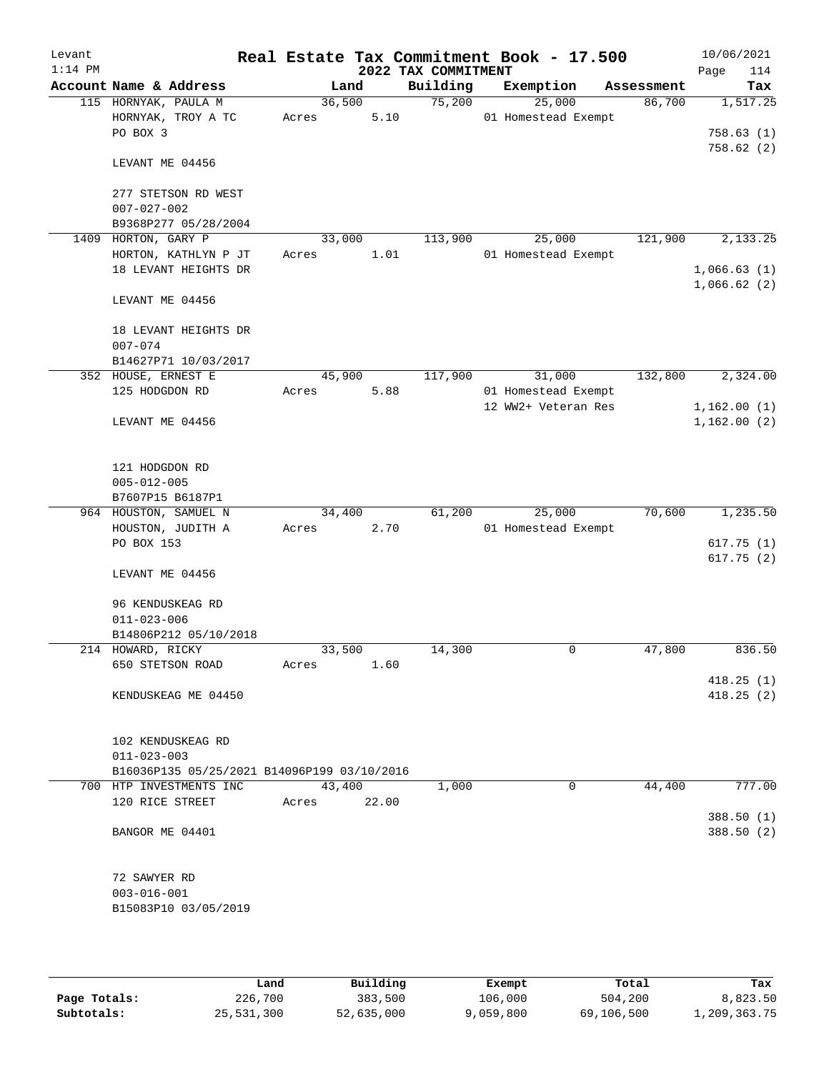| Levant<br>$1:14$ PM |                                             |                 |       | 2022 TAX COMMITMENT | Real Estate Tax Commitment Book - 17.500 |            | 10/06/2021<br>Page<br>114  |
|---------------------|---------------------------------------------|-----------------|-------|---------------------|------------------------------------------|------------|----------------------------|
|                     | Account Name & Address                      |                 | Land  | Building            | Exemption                                | Assessment | Tax                        |
|                     | 115 HORNYAK, PAULA M                        | 36,500          |       | 75,200              | 25,000                                   | 86,700     | 1,517.25                   |
|                     | HORNYAK, TROY A TC                          | Acres           | 5.10  |                     | 01 Homestead Exempt                      |            |                            |
|                     | PO BOX 3                                    |                 |       |                     |                                          |            | 758.63(1)<br>758.62(2)     |
|                     | LEVANT ME 04456                             |                 |       |                     |                                          |            |                            |
|                     | 277 STETSON RD WEST                         |                 |       |                     |                                          |            |                            |
|                     | $007 - 027 - 002$                           |                 |       |                     |                                          |            |                            |
|                     | B9368P277 05/28/2004                        |                 |       |                     |                                          |            |                            |
| 1409                | HORTON, GARY P                              | 33,000          |       | 113,900             | 25,000                                   | 121,900    | 2,133.25                   |
|                     | HORTON, KATHLYN P JT                        | Acres           | 1.01  |                     | 01 Homestead Exempt                      |            |                            |
|                     | 18 LEVANT HEIGHTS DR                        |                 |       |                     |                                          |            | 1,066.63(1)<br>1,066.62(2) |
|                     | LEVANT ME 04456                             |                 |       |                     |                                          |            |                            |
|                     | 18 LEVANT HEIGHTS DR                        |                 |       |                     |                                          |            |                            |
|                     | $007 - 074$                                 |                 |       |                     |                                          |            |                            |
|                     | B14627P71 10/03/2017                        |                 |       | 117,900             |                                          | 132,800    |                            |
|                     | 352 HOUSE, ERNEST E<br>125 HODGDON RD       | 45,900<br>Acres | 5.88  |                     | 31,000<br>01 Homestead Exempt            |            | 2,324.00                   |
|                     |                                             |                 |       |                     | 12 WW2+ Veteran Res                      |            | 1,162.00(1)                |
|                     | LEVANT ME 04456                             |                 |       |                     |                                          |            | 1,162.00(2)                |
|                     |                                             |                 |       |                     |                                          |            |                            |
|                     | 121 HODGDON RD                              |                 |       |                     |                                          |            |                            |
|                     | $005 - 012 - 005$                           |                 |       |                     |                                          |            |                            |
|                     | B7607P15 B6187P1<br>964 HOUSTON, SAMUEL N   | 34,400          |       | 61,200              | 25,000                                   | 70,600     | 1,235.50                   |
|                     | HOUSTON, JUDITH A                           | Acres           | 2.70  |                     | 01 Homestead Exempt                      |            |                            |
|                     | PO BOX 153                                  |                 |       |                     |                                          |            | 617.75(1)                  |
|                     |                                             |                 |       |                     |                                          |            | 617.75(2)                  |
|                     | LEVANT ME 04456                             |                 |       |                     |                                          |            |                            |
|                     | 96 KENDUSKEAG RD                            |                 |       |                     |                                          |            |                            |
|                     | $011 - 023 - 006$                           |                 |       |                     |                                          |            |                            |
|                     | B14806P212 05/10/2018                       |                 |       |                     |                                          |            |                            |
|                     | 214 HOWARD, RICKY                           | 33,500          |       | 14,300              | 0                                        | 47,800     | 836.50                     |
|                     | 650 STETSON ROAD                            | Acres           | 1.60  |                     |                                          |            |                            |
|                     |                                             |                 |       |                     |                                          |            | 418.25(1)                  |
|                     | KENDUSKEAG ME 04450                         |                 |       |                     |                                          |            | 418.25(2)                  |
|                     | 102 KENDUSKEAG RD                           |                 |       |                     |                                          |            |                            |
|                     | $011 - 023 - 003$                           |                 |       |                     |                                          |            |                            |
|                     | B16036P135 05/25/2021 B14096P199 03/10/2016 |                 |       |                     |                                          |            |                            |
|                     | 700 HTP INVESTMENTS INC                     | 43,400          |       | 1,000               | 0                                        | 44,400     | 777.00                     |
|                     | 120 RICE STREET                             | Acres           | 22.00 |                     |                                          |            | 388.50(1)                  |
|                     | BANGOR ME 04401                             |                 |       |                     |                                          |            | 388.50 (2)                 |
|                     |                                             |                 |       |                     |                                          |            |                            |
|                     | 72 SAWYER RD                                |                 |       |                     |                                          |            |                            |
|                     | $003 - 016 - 001$                           |                 |       |                     |                                          |            |                            |
|                     | B15083P10 03/05/2019                        |                 |       |                     |                                          |            |                            |
|                     |                                             |                 |       |                     |                                          |            |                            |

|              | Land       | Building   | Exempt    | Total      | Tax          |
|--------------|------------|------------|-----------|------------|--------------|
| Page Totals: | 226,700    | 383,500    | 106,000   | 504,200    | 8,823.50     |
| Subtotals:   | 25,531,300 | 52,635,000 | 9,059,800 | 69,106,500 | 1,209,363.75 |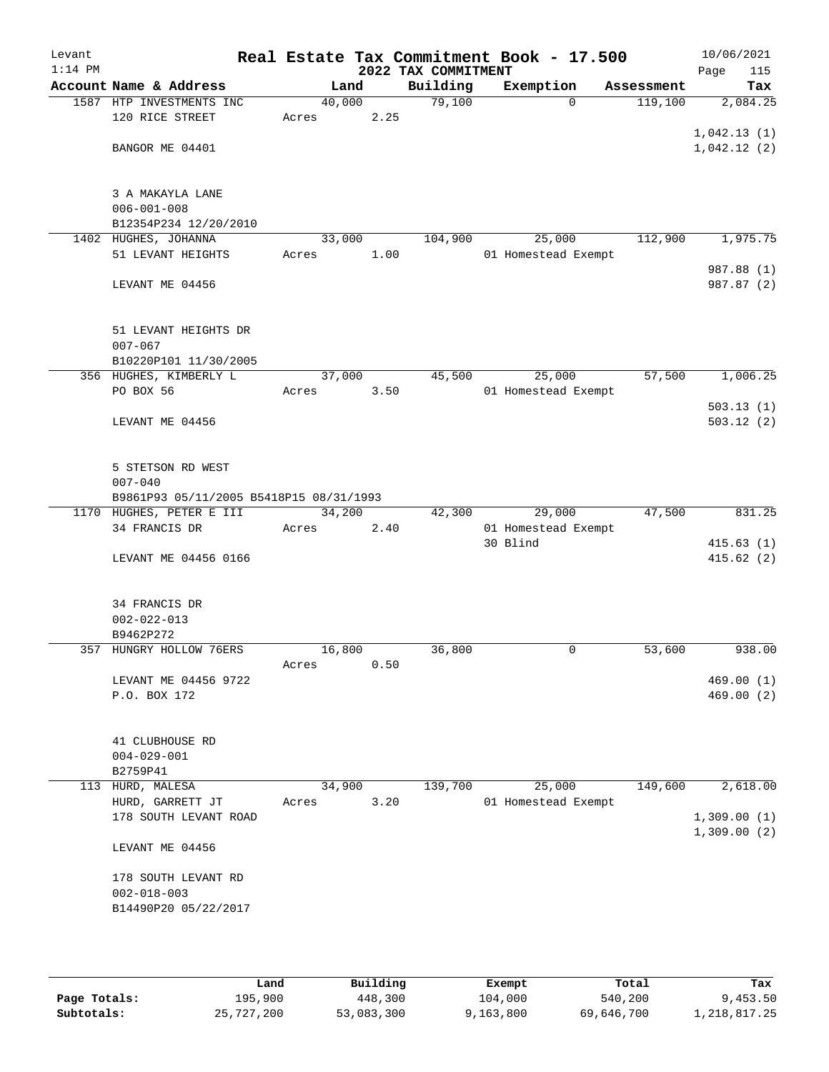| Levant<br>$1:14$ PM |                                         |        |      | 2022 TAX COMMITMENT | Real Estate Tax Commitment Book - 17.500 |            | 10/06/2021<br>Page<br>115 |
|---------------------|-----------------------------------------|--------|------|---------------------|------------------------------------------|------------|---------------------------|
|                     | Account Name & Address                  | Land   |      | Building            | Exemption                                | Assessment | Tax                       |
|                     | 1587 HTP INVESTMENTS INC                | 40,000 |      | 79,100              | $\Omega$                                 | 119,100    | 2,084.25                  |
|                     | 120 RICE STREET                         | Acres  | 2.25 |                     |                                          |            |                           |
|                     |                                         |        |      |                     |                                          |            | 1,042.13(1)               |
|                     | BANGOR ME 04401                         |        |      |                     |                                          |            | 1,042.12(2)               |
|                     |                                         |        |      |                     |                                          |            |                           |
|                     |                                         |        |      |                     |                                          |            |                           |
|                     | 3 A MAKAYLA LANE                        |        |      |                     |                                          |            |                           |
|                     | $006 - 001 - 008$                       |        |      |                     |                                          |            |                           |
|                     | B12354P234 12/20/2010                   |        |      |                     |                                          |            |                           |
|                     | 1402 HUGHES, JOHANNA                    | 33,000 |      | 104,900             | 25,000                                   | 112,900    | 1,975.75                  |
|                     | 51 LEVANT HEIGHTS                       | Acres  | 1.00 |                     | 01 Homestead Exempt                      |            |                           |
|                     |                                         |        |      |                     |                                          |            | 987.88 (1)                |
|                     | LEVANT ME 04456                         |        |      |                     |                                          |            | 987.87 (2)                |
|                     |                                         |        |      |                     |                                          |            |                           |
|                     | 51 LEVANT HEIGHTS DR                    |        |      |                     |                                          |            |                           |
|                     | $007 - 067$                             |        |      |                     |                                          |            |                           |
|                     | B10220P101 11/30/2005                   |        |      |                     |                                          |            |                           |
|                     | 356 HUGHES, KIMBERLY L                  | 37,000 |      | 45,500              | 25,000                                   | 57,500     | 1,006.25                  |
|                     | PO BOX 56                               | Acres  | 3.50 |                     | 01 Homestead Exempt                      |            |                           |
|                     |                                         |        |      |                     |                                          |            | 503.13(1)                 |
|                     | LEVANT ME 04456                         |        |      |                     |                                          |            | 503.12(2)                 |
|                     |                                         |        |      |                     |                                          |            |                           |
|                     |                                         |        |      |                     |                                          |            |                           |
|                     | 5 STETSON RD WEST                       |        |      |                     |                                          |            |                           |
|                     | $007 - 040$                             |        |      |                     |                                          |            |                           |
|                     | B9861P93 05/11/2005 B5418P15 08/31/1993 |        |      |                     |                                          |            |                           |
|                     | 1170 HUGHES, PETER E III                | 34,200 |      | 42,300              | 29,000                                   | 47,500     | 831.25                    |
|                     | 34 FRANCIS DR                           | Acres  | 2.40 |                     | 01 Homestead Exempt                      |            |                           |
|                     |                                         |        |      |                     | 30 Blind                                 |            | 415.63(1)                 |
|                     | LEVANT ME 04456 0166                    |        |      |                     |                                          |            | 415.62(2)                 |
|                     |                                         |        |      |                     |                                          |            |                           |
|                     |                                         |        |      |                     |                                          |            |                           |
|                     | 34 FRANCIS DR                           |        |      |                     |                                          |            |                           |
|                     | $002 - 022 - 013$                       |        |      |                     |                                          |            |                           |
|                     | B9462P272                               |        |      |                     |                                          |            |                           |
|                     | 357 HUNGRY HOLLOW 76ERS                 | 16,800 |      | 36,800              | 0                                        | 53,600     | 938.00                    |
|                     |                                         | Acres  | 0.50 |                     |                                          |            |                           |
|                     | LEVANT ME 04456 9722                    |        |      |                     |                                          |            | 469.00(1)                 |
|                     | P.O. BOX 172                            |        |      |                     |                                          |            | 469.00 (2)                |
|                     |                                         |        |      |                     |                                          |            |                           |
|                     |                                         |        |      |                     |                                          |            |                           |
|                     | 41 CLUBHOUSE RD<br>$004 - 029 - 001$    |        |      |                     |                                          |            |                           |
|                     | B2759P41                                |        |      |                     |                                          |            |                           |
|                     | 113 HURD, MALESA                        | 34,900 |      | 139,700             | 25,000                                   | 149,600    | 2,618.00                  |
|                     | HURD, GARRETT JT                        | Acres  | 3.20 |                     | 01 Homestead Exempt                      |            |                           |
|                     | 178 SOUTH LEVANT ROAD                   |        |      |                     |                                          |            | 1,309.00(1)               |
|                     |                                         |        |      |                     |                                          |            | 1,309.00(2)               |
|                     | LEVANT ME 04456                         |        |      |                     |                                          |            |                           |
|                     |                                         |        |      |                     |                                          |            |                           |
|                     | 178 SOUTH LEVANT RD                     |        |      |                     |                                          |            |                           |
|                     | $002 - 018 - 003$                       |        |      |                     |                                          |            |                           |
|                     | B14490P20 05/22/2017                    |        |      |                     |                                          |            |                           |
|                     |                                         |        |      |                     |                                          |            |                           |
|                     |                                         |        |      |                     |                                          |            |                           |
|                     |                                         |        |      |                     |                                          |            |                           |

|              | Land       | Building   | Exempt    | Total      | Tax          |
|--------------|------------|------------|-----------|------------|--------------|
| Page Totals: | 195,900    | 448,300    | 104,000   | 540,200    | 9,453.50     |
| Subtotals:   | 25,727,200 | 53,083,300 | 9,163,800 | 69,646,700 | 1,218,817.25 |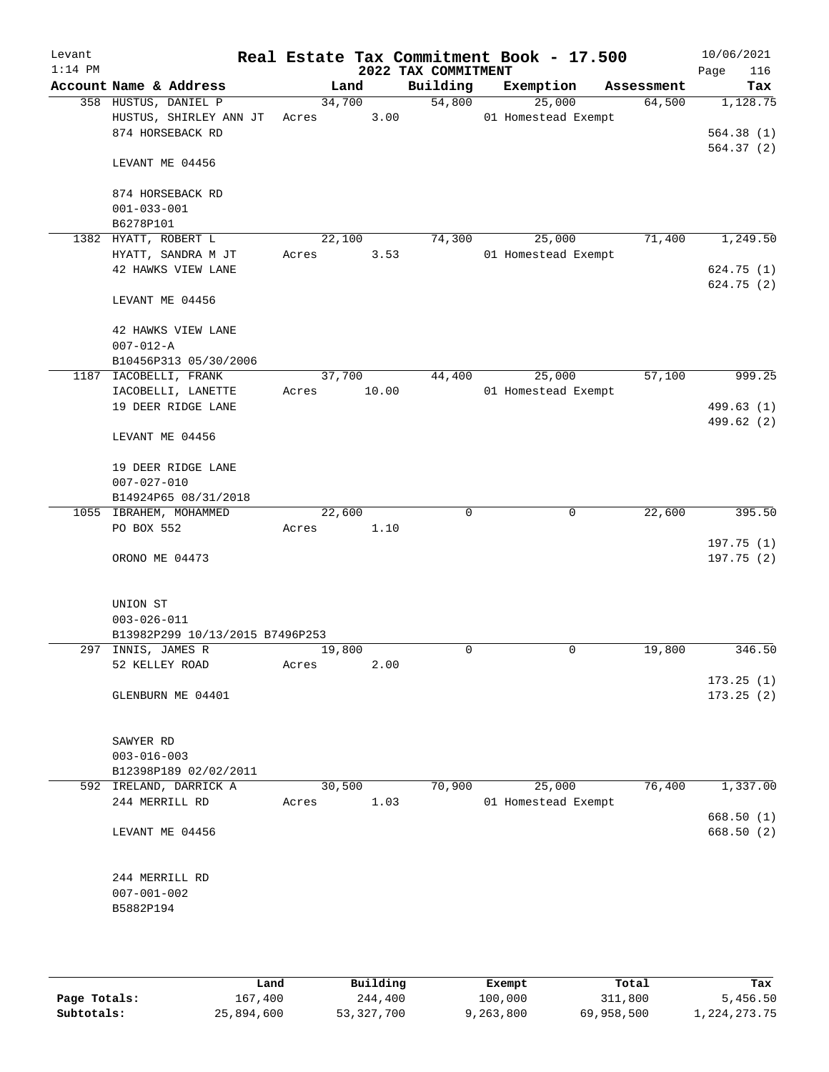| Levant<br>$1:14$ PM |                                                                    |                 |       | 2022 TAX COMMITMENT | Real Estate Tax Commitment Book - 17.500 |            | 10/06/2021<br>116<br>Page |
|---------------------|--------------------------------------------------------------------|-----------------|-------|---------------------|------------------------------------------|------------|---------------------------|
|                     | Account Name & Address                                             |                 | Land  | Building            | Exemption                                | Assessment | Tax                       |
|                     | 358 HUSTUS, DANIEL P<br>HUSTUS, SHIRLEY ANN JT<br>874 HORSEBACK RD | 34,700<br>Acres | 3.00  | 54,800              | 25,000<br>01 Homestead Exempt            | 64,500     | 1,128.75<br>564.38(1)     |
|                     | LEVANT ME 04456                                                    |                 |       |                     |                                          |            | 564.37(2)                 |
|                     | 874 HORSEBACK RD                                                   |                 |       |                     |                                          |            |                           |
|                     | $001 - 033 - 001$<br>B6278P101                                     |                 |       |                     |                                          |            |                           |
|                     | 1382 HYATT, ROBERT L                                               | 22,100          |       | 74,300              | 25,000                                   | 71,400     | 1,249.50                  |
|                     | HYATT, SANDRA M JT                                                 | Acres           | 3.53  |                     | 01 Homestead Exempt                      |            |                           |
|                     | 42 HAWKS VIEW LANE                                                 |                 |       |                     |                                          |            | 624.75 (1)<br>624.75 (2)  |
|                     | LEVANT ME 04456                                                    |                 |       |                     |                                          |            |                           |
|                     | 42 HAWKS VIEW LANE<br>$007 - 012 - A$                              |                 |       |                     |                                          |            |                           |
|                     | B10456P313 05/30/2006                                              |                 |       |                     |                                          |            |                           |
|                     | 1187 IACOBELLI, FRANK                                              | 37,700          |       | 44,400              | 25,000                                   | 57,100     | 999.25                    |
|                     | IACOBELLI, LANETTE                                                 | Acres           | 10.00 |                     | 01 Homestead Exempt                      |            |                           |
|                     | 19 DEER RIDGE LANE                                                 |                 |       |                     |                                          |            | 499.63 (1)                |
|                     | LEVANT ME 04456                                                    |                 |       |                     |                                          |            | 499.62 (2)                |
|                     | 19 DEER RIDGE LANE                                                 |                 |       |                     |                                          |            |                           |
|                     | $007 - 027 - 010$<br>B14924P65 08/31/2018                          |                 |       |                     |                                          |            |                           |
|                     | 1055 IBRAHEM, MOHAMMED                                             | 22,600          |       | $\mathbf 0$         | $\mathbf 0$                              | 22,600     | 395.50                    |
|                     | PO BOX 552                                                         | Acres           | 1.10  |                     |                                          |            |                           |
|                     |                                                                    |                 |       |                     |                                          |            | 197.75(1)                 |
|                     | ORONO ME 04473                                                     |                 |       |                     |                                          |            | 197.75 (2)                |
|                     | UNION ST                                                           |                 |       |                     |                                          |            |                           |
|                     | $003 - 026 - 011$                                                  |                 |       |                     |                                          |            |                           |
|                     | B13982P299 10/13/2015 B7496P253<br>297 INNIS, JAMES R              |                 |       | 0                   | $\mathbf 0$                              | 19,800     | 346.50                    |
|                     | 52 KELLEY ROAD                                                     | 19,800<br>Acres | 2.00  |                     |                                          |            |                           |
|                     |                                                                    |                 |       |                     |                                          |            | 173.25(1)                 |
|                     | GLENBURN ME 04401                                                  |                 |       |                     |                                          |            | 173.25(2)                 |
|                     | SAWYER RD                                                          |                 |       |                     |                                          |            |                           |
|                     | $003 - 016 - 003$                                                  |                 |       |                     |                                          |            |                           |
|                     | B12398P189 02/02/2011                                              |                 |       |                     |                                          |            |                           |
|                     | 592 IRELAND, DARRICK A                                             | 30,500          |       | 70,900              | 25,000                                   | 76,400     | 1,337.00                  |
|                     | 244 MERRILL RD                                                     | Acres           | 1.03  |                     | 01 Homestead Exempt                      |            |                           |
|                     | LEVANT ME 04456                                                    |                 |       |                     |                                          |            | 668.50 (1)<br>668.50 (2)  |
|                     | 244 MERRILL RD                                                     |                 |       |                     |                                          |            |                           |
|                     | $007 - 001 - 002$<br>B5882P194                                     |                 |       |                     |                                          |            |                           |
|                     |                                                                    |                 |       |                     |                                          |            |                           |

|              | Land       | Building   | Exempt    | Total      | Tax          |
|--------------|------------|------------|-----------|------------|--------------|
| Page Totals: | 167,400    | 244,400    | 100,000   | 311,800    | 5,456.50     |
| Subtotals:   | 25,894,600 | 53,327,700 | 9,263,800 | 69,958,500 | 1,224,273.75 |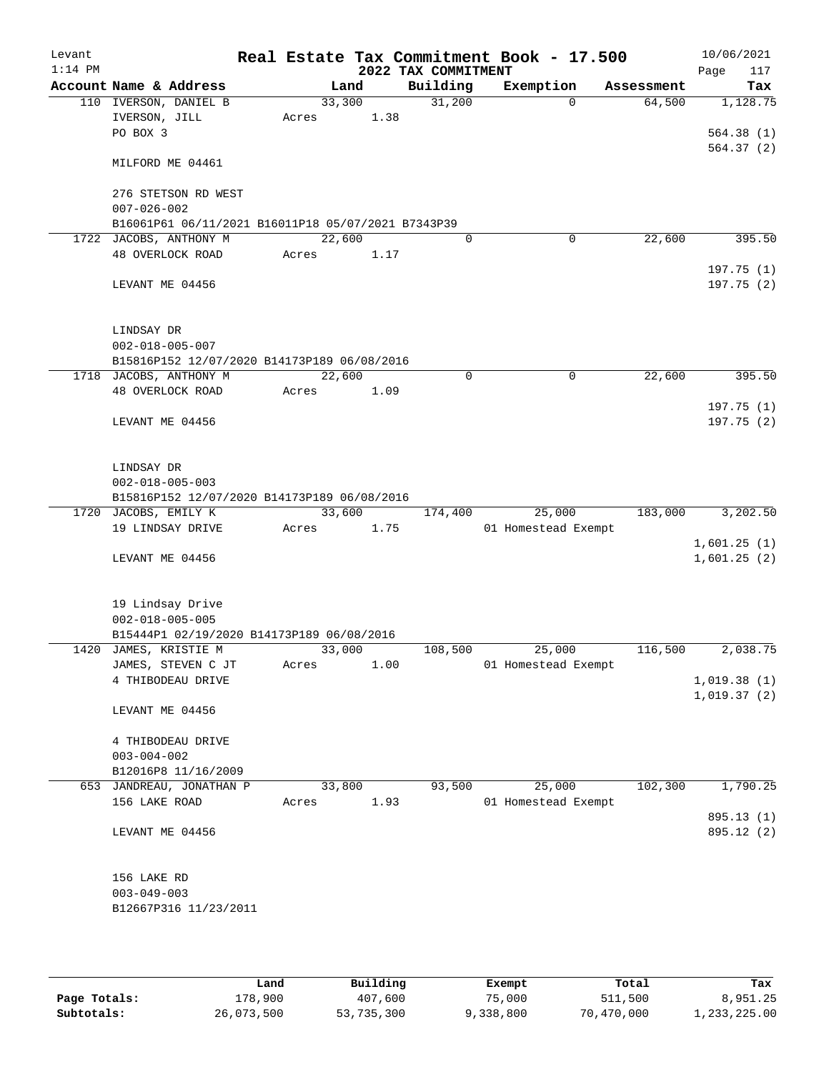| Levant<br>$1:14$ PM |                                       |                                                    |       |        |      |                                 | Real Estate Tax Commitment Book - 17.500 |            | 10/06/2021         |
|---------------------|---------------------------------------|----------------------------------------------------|-------|--------|------|---------------------------------|------------------------------------------|------------|--------------------|
|                     |                                       | Account Name & Address                             |       | Land   |      | 2022 TAX COMMITMENT<br>Building | Exemption                                | Assessment | 117<br>Page<br>Tax |
|                     |                                       | 110 IVERSON, DANIEL B                              |       | 33,300 |      | 31,200                          | $\Omega$                                 | 64,500     | 1,128.75           |
|                     | IVERSON, JILL                         |                                                    | Acres |        | 1.38 |                                 |                                          |            |                    |
|                     | PO BOX 3                              |                                                    |       |        |      |                                 |                                          |            | 564.38(1)          |
|                     |                                       |                                                    |       |        |      |                                 |                                          |            | 564.37(2)          |
|                     |                                       | MILFORD ME 04461                                   |       |        |      |                                 |                                          |            |                    |
|                     |                                       | 276 STETSON RD WEST                                |       |        |      |                                 |                                          |            |                    |
|                     | $007 - 026 - 002$                     |                                                    |       |        |      |                                 |                                          |            |                    |
|                     |                                       | B16061P61 06/11/2021 B16011P18 05/07/2021 B7343P39 |       |        |      |                                 |                                          |            |                    |
| 1722                |                                       | JACOBS, ANTHONY M                                  |       | 22,600 |      | 0                               | 0                                        | 22,600     | 395.50             |
|                     |                                       | 48 OVERLOCK ROAD                                   | Acres |        | 1.17 |                                 |                                          |            |                    |
|                     |                                       |                                                    |       |        |      |                                 |                                          |            | 197.75(1)          |
|                     | LEVANT ME 04456                       |                                                    |       |        |      |                                 |                                          |            | 197.75(2)          |
|                     |                                       |                                                    |       |        |      |                                 |                                          |            |                    |
|                     |                                       |                                                    |       |        |      |                                 |                                          |            |                    |
|                     | LINDSAY DR<br>$002 - 018 - 005 - 007$ |                                                    |       |        |      |                                 |                                          |            |                    |
|                     |                                       | B15816P152 12/07/2020 B14173P189 06/08/2016        |       |        |      |                                 |                                          |            |                    |
|                     |                                       | 1718 JACOBS, ANTHONY M                             |       | 22,600 |      | 0                               | $\mathbf 0$                              | 22,600     | 395.50             |
|                     |                                       | 48 OVERLOCK ROAD                                   | Acres |        | 1.09 |                                 |                                          |            |                    |
|                     |                                       |                                                    |       |        |      |                                 |                                          |            | 197.75(1)          |
|                     | LEVANT ME 04456                       |                                                    |       |        |      |                                 |                                          |            | 197.75(2)          |
|                     |                                       |                                                    |       |        |      |                                 |                                          |            |                    |
|                     | LINDSAY DR                            |                                                    |       |        |      |                                 |                                          |            |                    |
|                     | $002 - 018 - 005 - 003$               |                                                    |       |        |      |                                 |                                          |            |                    |
|                     |                                       | B15816P152 12/07/2020 B14173P189 06/08/2016        |       |        |      |                                 |                                          |            |                    |
|                     | 1720 JACOBS, EMILY K                  |                                                    |       | 33,600 |      | 174,400                         | 25,000                                   | 183,000    | 3,202.50           |
|                     |                                       | 19 LINDSAY DRIVE                                   | Acres |        | 1.75 |                                 | 01 Homestead Exempt                      |            |                    |
|                     |                                       |                                                    |       |        |      |                                 |                                          |            | 1,601.25(1)        |
|                     | LEVANT ME 04456                       |                                                    |       |        |      |                                 |                                          |            | 1,601.25(2)        |
|                     |                                       |                                                    |       |        |      |                                 |                                          |            |                    |
|                     |                                       | 19 Lindsay Drive                                   |       |        |      |                                 |                                          |            |                    |
|                     | $002 - 018 - 005 - 005$               |                                                    |       |        |      |                                 |                                          |            |                    |
|                     |                                       | B15444P1 02/19/2020 B14173P189 06/08/2016          |       |        |      |                                 |                                          |            |                    |
|                     |                                       | 1420 JAMES, KRISTIE M                              |       | 33,000 |      | 108,500                         | 25,000                                   | 116,500    | 2,038.75           |
|                     |                                       | JAMES, STEVEN C JT                                 | Acres |        | 1.00 |                                 | 01 Homestead Exempt                      |            |                    |
|                     |                                       | 4 THIBODEAU DRIVE                                  |       |        |      |                                 |                                          |            | 1,019.38(1)        |
|                     | LEVANT ME 04456                       |                                                    |       |        |      |                                 |                                          |            | 1,019.37(2)        |
|                     |                                       |                                                    |       |        |      |                                 |                                          |            |                    |
|                     |                                       | 4 THIBODEAU DRIVE                                  |       |        |      |                                 |                                          |            |                    |
|                     | $003 - 004 - 002$                     |                                                    |       |        |      |                                 |                                          |            |                    |
|                     |                                       | B12016P8 11/16/2009                                |       |        |      |                                 |                                          |            |                    |
|                     |                                       | 653 JANDREAU, JONATHAN P                           |       | 33,800 |      | 93,500                          | 25,000                                   | 102,300    | 1,790.25           |
|                     | 156 LAKE ROAD                         |                                                    | Acres |        | 1.93 |                                 | 01 Homestead Exempt                      |            |                    |
|                     |                                       |                                                    |       |        |      |                                 |                                          |            | 895.13 (1)         |
|                     |                                       | LEVANT ME 04456                                    |       |        |      |                                 |                                          |            | 895.12 (2)         |
|                     |                                       |                                                    |       |        |      |                                 |                                          |            |                    |
|                     | 156 LAKE RD                           |                                                    |       |        |      |                                 |                                          |            |                    |
|                     | $003 - 049 - 003$                     |                                                    |       |        |      |                                 |                                          |            |                    |
|                     |                                       | B12667P316 11/23/2011                              |       |        |      |                                 |                                          |            |                    |
|                     |                                       |                                                    |       |        |      |                                 |                                          |            |                    |
|                     |                                       |                                                    |       |        |      |                                 |                                          |            |                    |

|              | Land       | Building   | Exempt    | Total      | Tax          |
|--------------|------------|------------|-----------|------------|--------------|
| Page Totals: | 178,900    | 407,600    | 75,000    | 511,500    | 8,951.25     |
| Subtotals:   | 26,073,500 | 53,735,300 | 9,338,800 | 70,470,000 | 1,233,225.00 |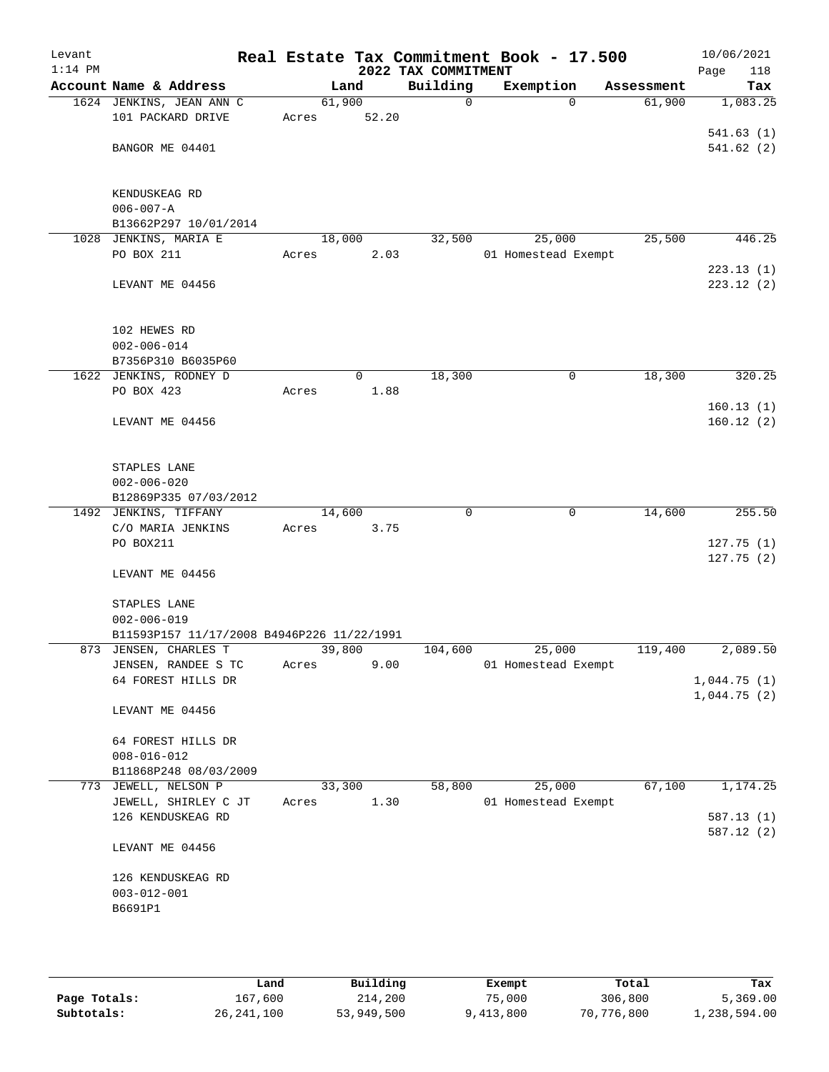| Levant    |                                                                 |                 |       |                         | Real Estate Tax Commitment Book - 17.500 |            | 10/06/2021             |
|-----------|-----------------------------------------------------------------|-----------------|-------|-------------------------|------------------------------------------|------------|------------------------|
| $1:14$ PM |                                                                 |                 |       | 2022 TAX COMMITMENT     |                                          |            | 118<br>Page            |
|           | Account Name & Address                                          |                 | Land  | Building<br>$\mathbf 0$ | Exemption<br>$\Omega$                    | Assessment | Tax                    |
|           | 1624 JENKINS, JEAN ANN C<br>101 PACKARD DRIVE                   | 61,900<br>Acres | 52.20 |                         |                                          | 61,900     | 1,083.25               |
|           |                                                                 |                 |       |                         |                                          |            | 541.63(1)              |
|           | BANGOR ME 04401                                                 |                 |       |                         |                                          |            | 541.62(2)              |
|           |                                                                 |                 |       |                         |                                          |            |                        |
|           |                                                                 |                 |       |                         |                                          |            |                        |
|           | KENDUSKEAG RD                                                   |                 |       |                         |                                          |            |                        |
|           | $006 - 007 - A$                                                 |                 |       |                         |                                          |            |                        |
| 1028      | B13662P297 10/01/2014                                           |                 |       |                         |                                          |            |                        |
|           | JENKINS, MARIA E<br>PO BOX 211                                  | 18,000<br>Acres | 2.03  | 32,500                  | 25,000<br>01 Homestead Exempt            | 25,500     | 446.25                 |
|           |                                                                 |                 |       |                         |                                          |            | 223.13(1)              |
|           | LEVANT ME 04456                                                 |                 |       |                         |                                          |            | 223.12(2)              |
|           |                                                                 |                 |       |                         |                                          |            |                        |
|           |                                                                 |                 |       |                         |                                          |            |                        |
|           | 102 HEWES RD                                                    |                 |       |                         |                                          |            |                        |
|           | $002 - 006 - 014$                                               |                 |       |                         |                                          |            |                        |
|           | B7356P310 B6035P60                                              |                 |       |                         |                                          |            |                        |
|           | 1622 JENKINS, RODNEY D                                          |                 | 0     | 18,300                  | 0                                        | 18,300     | 320.25                 |
|           | PO BOX 423                                                      | Acres           | 1.88  |                         |                                          |            |                        |
|           |                                                                 |                 |       |                         |                                          |            | 160.13(1)<br>160.12(2) |
|           | LEVANT ME 04456                                                 |                 |       |                         |                                          |            |                        |
|           |                                                                 |                 |       |                         |                                          |            |                        |
|           | STAPLES LANE                                                    |                 |       |                         |                                          |            |                        |
|           | $002 - 006 - 020$                                               |                 |       |                         |                                          |            |                        |
|           | B12869P335 07/03/2012                                           |                 |       |                         |                                          |            |                        |
|           | 1492 JENKINS, TIFFANY                                           | 14,600          |       | $\mathbf 0$             | $\mathbf 0$                              | 14,600     | 255.50                 |
|           | C/O MARIA JENKINS                                               | Acres           | 3.75  |                         |                                          |            |                        |
|           | PO BOX211                                                       |                 |       |                         |                                          |            | 127.75(1)              |
|           |                                                                 |                 |       |                         |                                          |            | 127.75(2)              |
|           | LEVANT ME 04456                                                 |                 |       |                         |                                          |            |                        |
|           |                                                                 |                 |       |                         |                                          |            |                        |
|           | STAPLES LANE                                                    |                 |       |                         |                                          |            |                        |
|           | $002 - 006 - 019$<br>B11593P157 11/17/2008 B4946P226 11/22/1991 |                 |       |                         |                                          |            |                        |
|           | 873 JENSEN, CHARLES T                                           | 39,800          |       | 104,600                 | 25,000                                   | 119,400    | 2,089.50               |
|           | JENSEN, RANDEE S TC                                             | Acres           | 9.00  |                         | 01 Homestead Exempt                      |            |                        |
|           | 64 FOREST HILLS DR                                              |                 |       |                         |                                          |            | 1,044.75(1)            |
|           |                                                                 |                 |       |                         |                                          |            | 1,044.75(2)            |
|           | LEVANT ME 04456                                                 |                 |       |                         |                                          |            |                        |
|           |                                                                 |                 |       |                         |                                          |            |                        |
|           | 64 FOREST HILLS DR                                              |                 |       |                         |                                          |            |                        |
|           | $008 - 016 - 012$                                               |                 |       |                         |                                          |            |                        |
|           | B11868P248 08/03/2009                                           |                 |       |                         |                                          |            |                        |
|           | 773 JEWELL, NELSON P                                            | 33,300          |       | 58,800                  | 25,000                                   | 67,100     | 1,174.25               |
|           | JEWELL, SHIRLEY C JT                                            | Acres           | 1.30  |                         | 01 Homestead Exempt                      |            |                        |
|           | 126 KENDUSKEAG RD                                               |                 |       |                         |                                          |            | 587.13 (1)             |
|           |                                                                 |                 |       |                         |                                          |            | 587.12 (2)             |
|           | LEVANT ME 04456                                                 |                 |       |                         |                                          |            |                        |
|           | 126 KENDUSKEAG RD                                               |                 |       |                         |                                          |            |                        |
|           | $003 - 012 - 001$                                               |                 |       |                         |                                          |            |                        |
|           | B6691P1                                                         |                 |       |                         |                                          |            |                        |
|           |                                                                 |                 |       |                         |                                          |            |                        |
|           |                                                                 |                 |       |                         |                                          |            |                        |
|           |                                                                 |                 |       |                         |                                          |            |                        |

|              | Land         | Building   | Exempt    | Total      | Tax          |
|--------------|--------------|------------|-----------|------------|--------------|
| Page Totals: | 167,600      | 214,200    | 75,000    | 306,800    | 5,369.00     |
| Subtotals:   | 26, 241, 100 | 53,949,500 | 9,413,800 | 70,776,800 | 1,238,594.00 |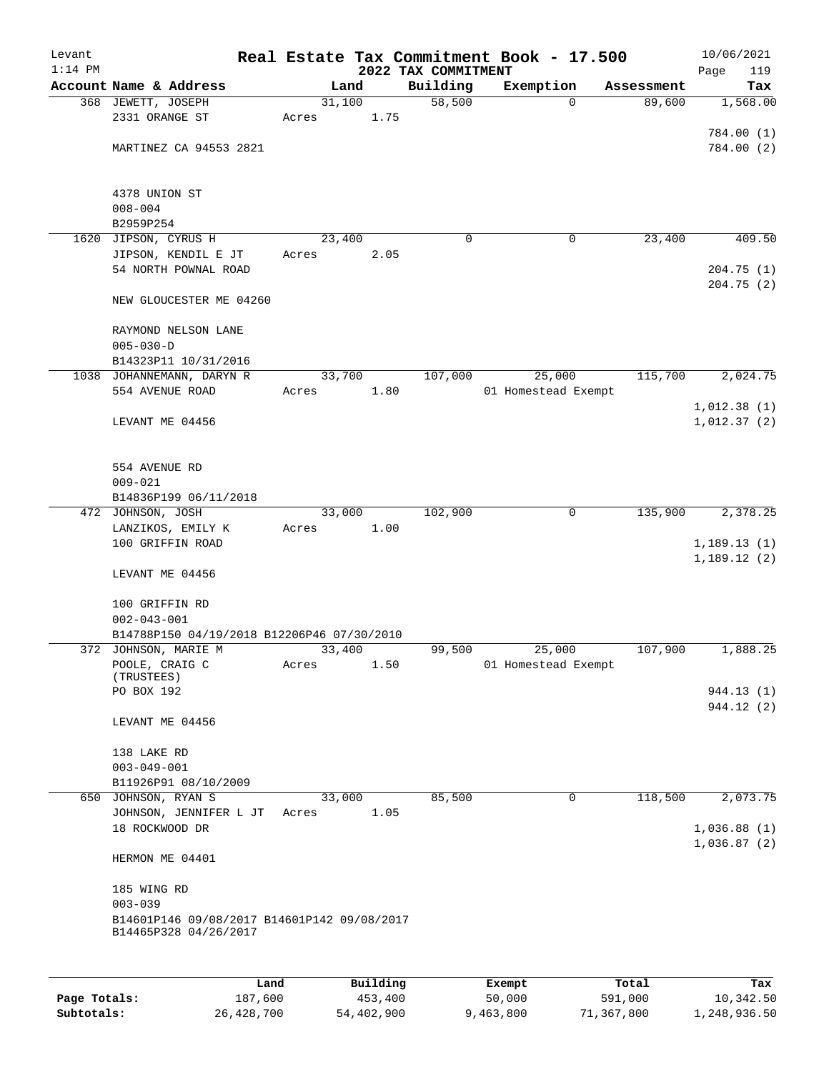| Levant<br>$1:14$ PM |                                             |       |                | 2022 TAX COMMITMENT | Real Estate Tax Commitment Book - 17.500 |            | 10/06/2021<br>Page<br>119 |
|---------------------|---------------------------------------------|-------|----------------|---------------------|------------------------------------------|------------|---------------------------|
|                     | Account Name & Address                      |       | Land           | Building            | Exemption                                | Assessment | Tax                       |
|                     | 368 JEWETT, JOSEPH                          |       | 31,100         | 58,500              | $\Omega$                                 | 89,600     | 1,568.00                  |
|                     | 2331 ORANGE ST                              | Acres | 1.75           |                     |                                          |            |                           |
|                     |                                             |       |                |                     |                                          |            | 784.00 (1)                |
|                     | MARTINEZ CA 94553 2821                      |       |                |                     |                                          |            | 784.00(2)                 |
|                     |                                             |       |                |                     |                                          |            |                           |
|                     |                                             |       |                |                     |                                          |            |                           |
|                     | 4378 UNION ST<br>$008 - 004$                |       |                |                     |                                          |            |                           |
|                     | B2959P254                                   |       |                |                     |                                          |            |                           |
| 1620                | JIPSON, CYRUS H                             |       | 23,400         | 0                   | 0                                        | 23,400     | 409.50                    |
|                     | JIPSON, KENDIL E JT                         | Acres | 2.05           |                     |                                          |            |                           |
|                     | 54 NORTH POWNAL ROAD                        |       |                |                     |                                          |            | 204.75(1)                 |
|                     |                                             |       |                |                     |                                          |            | 204.75(2)                 |
|                     | NEW GLOUCESTER ME 04260                     |       |                |                     |                                          |            |                           |
|                     |                                             |       |                |                     |                                          |            |                           |
|                     | RAYMOND NELSON LANE                         |       |                |                     |                                          |            |                           |
|                     | $005 - 030 - D$<br>B14323P11 10/31/2016     |       |                |                     |                                          |            |                           |
|                     | 1038 JOHANNEMANN, DARYN R                   |       | 33,700         | 107,000             | 25,000                                   | 115,700    | 2,024.75                  |
|                     | 554 AVENUE ROAD                             | Acres | 1.80           |                     | 01 Homestead Exempt                      |            |                           |
|                     |                                             |       |                |                     |                                          |            | 1,012.38(1)               |
|                     | LEVANT ME 04456                             |       |                |                     |                                          |            | 1,012.37(2)               |
|                     |                                             |       |                |                     |                                          |            |                           |
|                     |                                             |       |                |                     |                                          |            |                           |
|                     | 554 AVENUE RD                               |       |                |                     |                                          |            |                           |
|                     | $009 - 021$                                 |       |                |                     |                                          |            |                           |
|                     | B14836P199 06/11/2018                       |       | 33,000         | 102,900             | 0                                        | 135,900    | 2,378.25                  |
|                     | 472 JOHNSON, JOSH<br>LANZIKOS, EMILY K      | Acres | 1.00           |                     |                                          |            |                           |
|                     | 100 GRIFFIN ROAD                            |       |                |                     |                                          |            | 1,189.13(1)               |
|                     |                                             |       |                |                     |                                          |            | 1,189.12(2)               |
|                     | LEVANT ME 04456                             |       |                |                     |                                          |            |                           |
|                     |                                             |       |                |                     |                                          |            |                           |
|                     | 100 GRIFFIN RD                              |       |                |                     |                                          |            |                           |
|                     | $002 - 043 - 001$                           |       |                |                     |                                          |            |                           |
|                     | B14788P150 04/19/2018 B12206P46 07/30/2010  |       |                | 99,500              |                                          |            | 1,888.25                  |
|                     | 372 JOHNSON, MARIE M<br>POOLE, CRAIG C      | Acres | 33,400<br>1.50 |                     | 25,000<br>01 Homestead Exempt            | 107,900    |                           |
|                     | (TRUSTEES)                                  |       |                |                     |                                          |            |                           |
|                     | PO BOX 192                                  |       |                |                     |                                          |            | 944.13 (1)                |
|                     |                                             |       |                |                     |                                          |            | 944.12(2)                 |
|                     | LEVANT ME 04456                             |       |                |                     |                                          |            |                           |
|                     | 138 LAKE RD                                 |       |                |                     |                                          |            |                           |
|                     | $003 - 049 - 001$                           |       |                |                     |                                          |            |                           |
|                     | B11926P91 08/10/2009                        |       |                |                     |                                          |            |                           |
|                     | 650 JOHNSON, RYAN S                         |       | 33,000         | 85,500              | 0                                        | 118,500    | 2,073.75                  |
|                     | JOHNSON, JENNIFER L JT                      | Acres | 1.05           |                     |                                          |            |                           |
|                     | 18 ROCKWOOD DR                              |       |                |                     |                                          |            | 1,036.88(1)               |
|                     |                                             |       |                |                     |                                          |            | 1,036.87(2)               |
|                     | HERMON ME 04401                             |       |                |                     |                                          |            |                           |
|                     | 185 WING RD                                 |       |                |                     |                                          |            |                           |
|                     | $003 - 039$                                 |       |                |                     |                                          |            |                           |
|                     | B14601P146 09/08/2017 B14601P142 09/08/2017 |       |                |                     |                                          |            |                           |
|                     | B14465P328 04/26/2017                       |       |                |                     |                                          |            |                           |
|                     |                                             |       |                |                     |                                          |            |                           |
|                     |                                             |       |                |                     |                                          |            |                           |
|                     | Land                                        |       | Building       |                     | Exempt                                   | Total      | Tax                       |
| Page Totals:        | 187,600                                     |       | 453,400        |                     | 50,000                                   | 591,000    | 10,342.50                 |

**Subtotals:** 26,428,700 54,402,900 9,463,800 71,367,800 1,248,936.50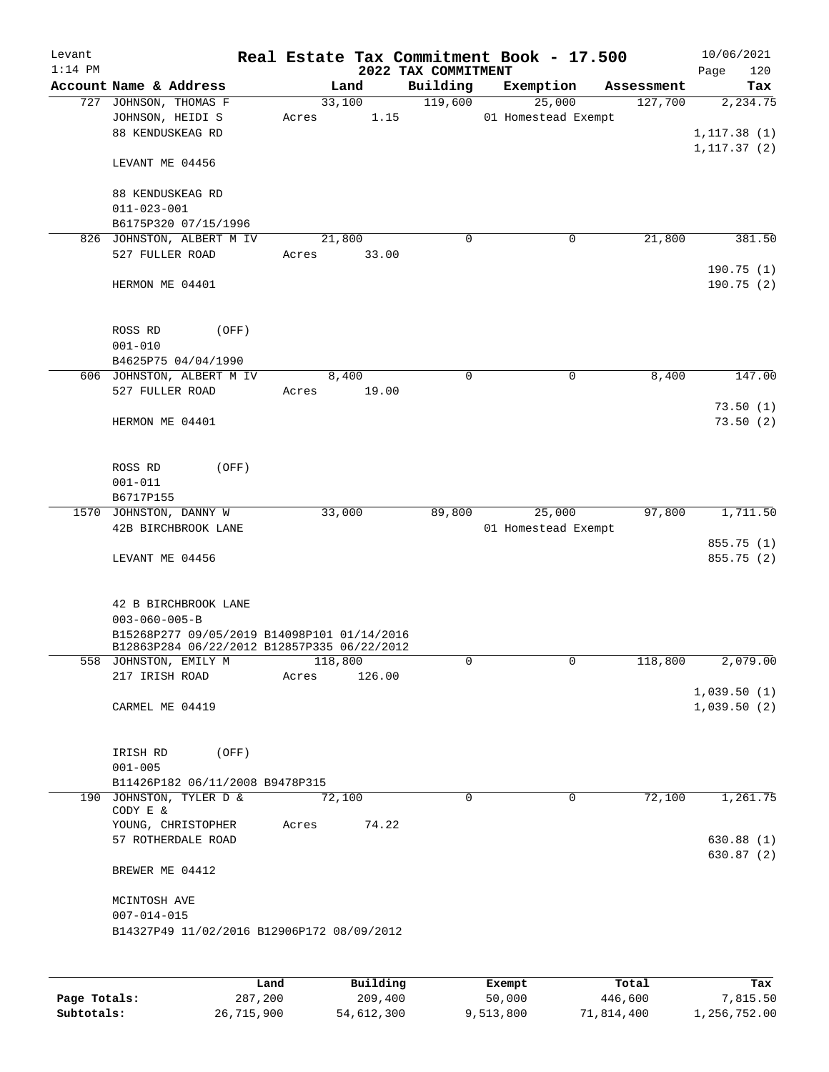|                                                               |                                                                                                                                                                                                                                                      |                                                                    |                                                                  |                                                                                                                                                                                                                                                            |                     | 10/06/2021<br>120<br>Page                                                                                                                                                                     |
|---------------------------------------------------------------|------------------------------------------------------------------------------------------------------------------------------------------------------------------------------------------------------------------------------------------------------|--------------------------------------------------------------------|------------------------------------------------------------------|------------------------------------------------------------------------------------------------------------------------------------------------------------------------------------------------------------------------------------------------------------|---------------------|-----------------------------------------------------------------------------------------------------------------------------------------------------------------------------------------------|
| Account Name & Address                                        |                                                                                                                                                                                                                                                      |                                                                    |                                                                  |                                                                                                                                                                                                                                                            | Assessment          | Tax                                                                                                                                                                                           |
| 727 JOHNSON, THOMAS F<br>JOHNSON, HEIDI S<br>88 KENDUSKEAG RD | Acres                                                                                                                                                                                                                                                |                                                                    | 119,600                                                          |                                                                                                                                                                                                                                                            | 127,700             | 2,234.75<br>1, 117.38(1)                                                                                                                                                                      |
| LEVANT ME 04456                                               |                                                                                                                                                                                                                                                      |                                                                    |                                                                  |                                                                                                                                                                                                                                                            |                     | 1, 117.37(2)                                                                                                                                                                                  |
| 88 KENDUSKEAG RD<br>$011 - 023 - 001$                         |                                                                                                                                                                                                                                                      |                                                                    |                                                                  |                                                                                                                                                                                                                                                            |                     |                                                                                                                                                                                               |
| B6175P320 07/15/1996                                          |                                                                                                                                                                                                                                                      |                                                                    |                                                                  |                                                                                                                                                                                                                                                            |                     |                                                                                                                                                                                               |
| 826                                                           |                                                                                                                                                                                                                                                      |                                                                    |                                                                  |                                                                                                                                                                                                                                                            |                     | 381.50                                                                                                                                                                                        |
|                                                               |                                                                                                                                                                                                                                                      |                                                                    |                                                                  |                                                                                                                                                                                                                                                            |                     | 190.75(1)                                                                                                                                                                                     |
|                                                               |                                                                                                                                                                                                                                                      |                                                                    |                                                                  |                                                                                                                                                                                                                                                            |                     | 190.75(2)                                                                                                                                                                                     |
| ROSS RD<br>(OFF)<br>$001 - 010$                               |                                                                                                                                                                                                                                                      |                                                                    |                                                                  |                                                                                                                                                                                                                                                            |                     |                                                                                                                                                                                               |
| B4625P75 04/04/1990                                           |                                                                                                                                                                                                                                                      |                                                                    |                                                                  |                                                                                                                                                                                                                                                            |                     |                                                                                                                                                                                               |
|                                                               |                                                                                                                                                                                                                                                      |                                                                    |                                                                  |                                                                                                                                                                                                                                                            |                     | 147.00                                                                                                                                                                                        |
|                                                               |                                                                                                                                                                                                                                                      |                                                                    |                                                                  |                                                                                                                                                                                                                                                            |                     | 73.50(1)                                                                                                                                                                                      |
| HERMON ME 04401                                               |                                                                                                                                                                                                                                                      |                                                                    |                                                                  |                                                                                                                                                                                                                                                            |                     | 73.50(2)                                                                                                                                                                                      |
| ROSS RD<br>(OFF)<br>$001 - 011$                               |                                                                                                                                                                                                                                                      |                                                                    |                                                                  |                                                                                                                                                                                                                                                            |                     |                                                                                                                                                                                               |
|                                                               |                                                                                                                                                                                                                                                      |                                                                    |                                                                  |                                                                                                                                                                                                                                                            |                     |                                                                                                                                                                                               |
| 42B BIRCHBROOK LANE                                           |                                                                                                                                                                                                                                                      |                                                                    |                                                                  |                                                                                                                                                                                                                                                            |                     | 1,711.50<br>855.75 (1)                                                                                                                                                                        |
| LEVANT ME 04456                                               |                                                                                                                                                                                                                                                      |                                                                    |                                                                  |                                                                                                                                                                                                                                                            |                     | 855.75 (2)                                                                                                                                                                                    |
| 42 B BIRCHBROOK LANE<br>$003 - 060 - 005 - B$                 |                                                                                                                                                                                                                                                      |                                                                    |                                                                  |                                                                                                                                                                                                                                                            |                     |                                                                                                                                                                                               |
|                                                               |                                                                                                                                                                                                                                                      |                                                                    |                                                                  |                                                                                                                                                                                                                                                            |                     |                                                                                                                                                                                               |
|                                                               |                                                                                                                                                                                                                                                      |                                                                    |                                                                  |                                                                                                                                                                                                                                                            |                     | 2,079.00                                                                                                                                                                                      |
|                                                               |                                                                                                                                                                                                                                                      |                                                                    |                                                                  |                                                                                                                                                                                                                                                            |                     | 1,039.50(1)                                                                                                                                                                                   |
|                                                               |                                                                                                                                                                                                                                                      |                                                                    |                                                                  |                                                                                                                                                                                                                                                            |                     | 1,039.50(2)                                                                                                                                                                                   |
| IRISH RD<br>(OFF)                                             |                                                                                                                                                                                                                                                      |                                                                    |                                                                  |                                                                                                                                                                                                                                                            |                     |                                                                                                                                                                                               |
|                                                               |                                                                                                                                                                                                                                                      |                                                                    |                                                                  |                                                                                                                                                                                                                                                            |                     |                                                                                                                                                                                               |
| 190 JOHNSTON, TYLER D &<br>CODY E &                           |                                                                                                                                                                                                                                                      |                                                                    | $\Omega$                                                         |                                                                                                                                                                                                                                                            | 72,100              | 1,261.75                                                                                                                                                                                      |
| YOUNG, CHRISTOPHER<br>57 ROTHERDALE ROAD                      | Acres                                                                                                                                                                                                                                                |                                                                    |                                                                  |                                                                                                                                                                                                                                                            |                     | 630.88(1)                                                                                                                                                                                     |
| BREWER ME 04412                                               |                                                                                                                                                                                                                                                      |                                                                    |                                                                  |                                                                                                                                                                                                                                                            |                     | 630.87(2)                                                                                                                                                                                     |
| MCINTOSH AVE                                                  |                                                                                                                                                                                                                                                      |                                                                    |                                                                  |                                                                                                                                                                                                                                                            |                     |                                                                                                                                                                                               |
|                                                               |                                                                                                                                                                                                                                                      |                                                                    |                                                                  |                                                                                                                                                                                                                                                            |                     |                                                                                                                                                                                               |
|                                                               |                                                                                                                                                                                                                                                      |                                                                    |                                                                  | Exempt                                                                                                                                                                                                                                                     | Total               | Tax                                                                                                                                                                                           |
|                                                               | JOHNSTON, ALBERT M IV<br>527 FULLER ROAD<br>HERMON ME 04401<br>606 JOHNSTON, ALBERT M IV<br>527 FULLER ROAD<br>B6717P155<br>1570 JOHNSTON, DANNY W<br>558 JOHNSTON, EMILY M<br>217 IRISH ROAD<br>CARMEL ME 04419<br>$001 - 005$<br>$007 - 014 - 015$ | Acres<br>Acres<br>Acres<br>B11426P182 06/11/2008 B9478P315<br>Land | Land<br>33,100<br>21,800<br>8,400<br>33,000<br>118,800<br>72,100 | Building<br>1.15<br>$\mathbf 0$<br>33.00<br>$\mathbf 0$<br>19.00<br>89,800<br>B15268P277 09/05/2019 B14098P101 01/14/2016<br>B12863P284 06/22/2012 B12857P335 06/22/2012<br>0<br>126.00<br>74.22<br>B14327P49 11/02/2016 B12906P172 08/09/2012<br>Building | 2022 TAX COMMITMENT | Real Estate Tax Commitment Book - 17.500<br>Exemption<br>25,000<br>01 Homestead Exempt<br>21,800<br>0<br>8,400<br>$\mathbf 0$<br>25,000<br>97,800<br>01 Homestead Exempt<br>0<br>118,800<br>0 |

|              | Land       | Building   | Exempt    | Total      | Tax          |
|--------------|------------|------------|-----------|------------|--------------|
| Page Totals: | 287,200    | 209,400    | 50,000    | 446,600    | 7,815.50     |
| Subtotals:   | 26,715,900 | 54,612,300 | 9,513,800 | 71,814,400 | 1,256,752.00 |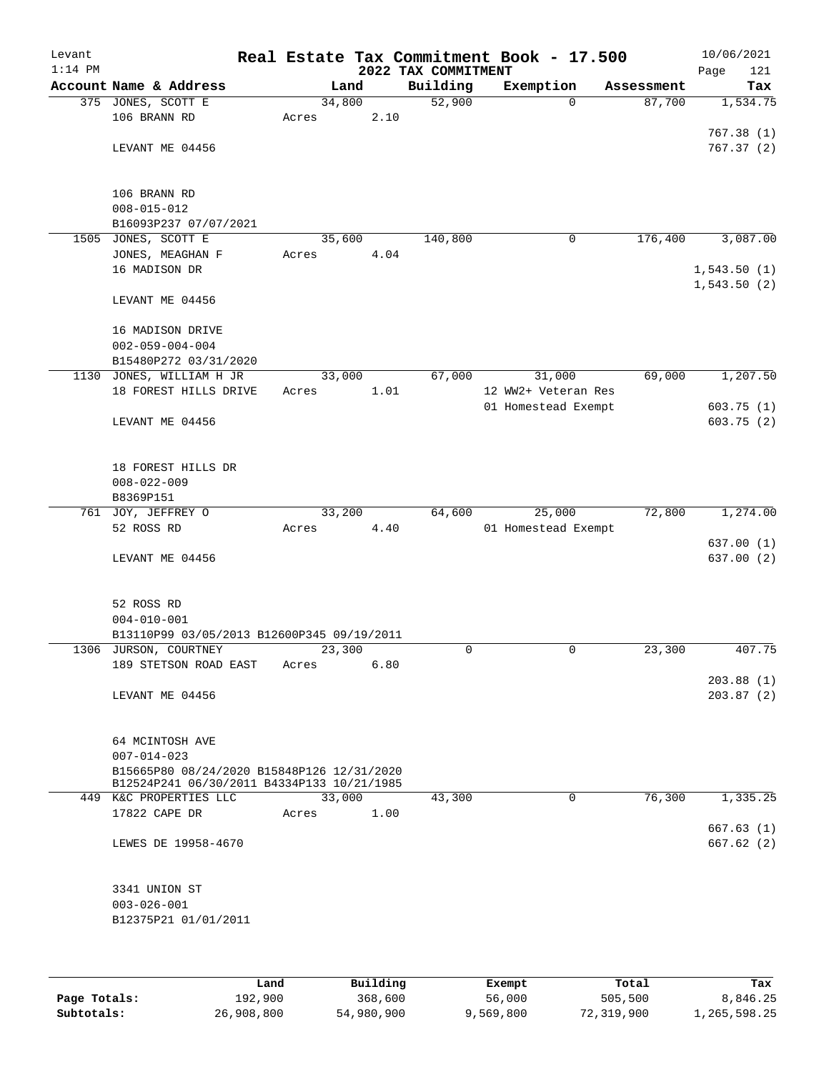| Levant<br>$1:14$ PM |                                                   |        |      | 2022 TAX COMMITMENT | Real Estate Tax Commitment Book - 17.500 |            | 10/06/2021<br>Page<br>121 |
|---------------------|---------------------------------------------------|--------|------|---------------------|------------------------------------------|------------|---------------------------|
|                     | Account Name & Address                            |        | Land | Building            | Exemption                                | Assessment | Tax                       |
|                     | 375 JONES, SCOTT E                                | 34,800 |      | 52,900              | $\Omega$                                 | 87,700     | 1,534.75                  |
|                     | 106 BRANN RD                                      | Acres  | 2.10 |                     |                                          |            |                           |
|                     |                                                   |        |      |                     |                                          |            | 767.38(1)                 |
|                     | LEVANT ME 04456                                   |        |      |                     |                                          |            | 767.37(2)                 |
|                     |                                                   |        |      |                     |                                          |            |                           |
|                     | 106 BRANN RD                                      |        |      |                     |                                          |            |                           |
|                     | $008 - 015 - 012$                                 |        |      |                     |                                          |            |                           |
|                     | B16093P237 07/07/2021                             |        |      |                     |                                          |            |                           |
| 1505                | JONES, SCOTT E                                    | 35,600 |      | 140,800             | 0                                        | 176,400    | 3,087.00                  |
|                     | JONES, MEAGHAN F                                  | Acres  | 4.04 |                     |                                          |            |                           |
|                     | 16 MADISON DR                                     |        |      |                     |                                          |            | 1,543.50(1)               |
|                     |                                                   |        |      |                     |                                          |            | 1,543.50(2)               |
|                     | LEVANT ME 04456                                   |        |      |                     |                                          |            |                           |
|                     |                                                   |        |      |                     |                                          |            |                           |
|                     | 16 MADISON DRIVE                                  |        |      |                     |                                          |            |                           |
|                     | $002 - 059 - 004 - 004$                           |        |      |                     |                                          |            |                           |
|                     | B15480P272 03/31/2020<br>1130 JONES, WILLIAM H JR | 33,000 |      | 67,000              | 31,000                                   | 69,000     | 1,207.50                  |
|                     | 18 FOREST HILLS DRIVE                             | Acres  | 1.01 |                     | 12 WW2+ Veteran Res                      |            |                           |
|                     |                                                   |        |      |                     | 01 Homestead Exempt                      |            | 603.75(1)                 |
|                     | LEVANT ME 04456                                   |        |      |                     |                                          |            | 603.75(2)                 |
|                     |                                                   |        |      |                     |                                          |            |                           |
|                     |                                                   |        |      |                     |                                          |            |                           |
|                     | 18 FOREST HILLS DR                                |        |      |                     |                                          |            |                           |
|                     | $008 - 022 - 009$                                 |        |      |                     |                                          |            |                           |
|                     | B8369P151                                         |        |      |                     |                                          |            |                           |
|                     | 761 JOY, JEFFREY O                                | 33,200 |      | 64,600              | 25,000                                   | 72,800     | 1,274.00                  |
|                     | 52 ROSS RD                                        | Acres  | 4.40 |                     | 01 Homestead Exempt                      |            |                           |
|                     |                                                   |        |      |                     |                                          |            | 637.00(1)                 |
|                     | LEVANT ME 04456                                   |        |      |                     |                                          |            | 637.00(2)                 |
|                     |                                                   |        |      |                     |                                          |            |                           |
|                     | 52 ROSS RD                                        |        |      |                     |                                          |            |                           |
|                     | $004 - 010 - 001$                                 |        |      |                     |                                          |            |                           |
|                     | B13110P99 03/05/2013 B12600P345 09/19/2011        |        |      |                     |                                          |            |                           |
|                     | 1306 JURSON, COURTNEY                             | 23,300 |      | 0                   | $\mathsf{O}$                             | 23,300     | 407.75                    |
|                     | 189 STETSON ROAD EAST                             | Acres  | 6.80 |                     |                                          |            |                           |
|                     |                                                   |        |      |                     |                                          |            | 203.88(1)                 |
|                     | LEVANT ME 04456                                   |        |      |                     |                                          |            | 203.87(2)                 |
|                     |                                                   |        |      |                     |                                          |            |                           |
|                     | 64 MCINTOSH AVE                                   |        |      |                     |                                          |            |                           |
|                     | $007 - 014 - 023$                                 |        |      |                     |                                          |            |                           |
|                     | B15665P80 08/24/2020 B15848P126 12/31/2020        |        |      |                     |                                          |            |                           |
|                     | B12524P241 06/30/2011 B4334P133 10/21/1985        |        |      |                     |                                          |            |                           |
|                     | 449 K&C PROPERTIES LLC                            | 33,000 |      | 43,300              | 0                                        | 76,300     | 1,335.25                  |
|                     | 17822 CAPE DR                                     | Acres  | 1.00 |                     |                                          |            |                           |
|                     |                                                   |        |      |                     |                                          |            | 667.63(1)                 |
|                     | LEWES DE 19958-4670                               |        |      |                     |                                          |            | 667.62 (2)                |
|                     |                                                   |        |      |                     |                                          |            |                           |
|                     | 3341 UNION ST                                     |        |      |                     |                                          |            |                           |
|                     | $003 - 026 - 001$                                 |        |      |                     |                                          |            |                           |
|                     | B12375P21 01/01/2011                              |        |      |                     |                                          |            |                           |
|                     |                                                   |        |      |                     |                                          |            |                           |
|                     |                                                   |        |      |                     |                                          |            |                           |
|                     |                                                   |        |      |                     |                                          |            |                           |

|              | Land       | Building   | Exempt    | Total      | Tax          |
|--------------|------------|------------|-----------|------------|--------------|
| Page Totals: | 192,900    | 368,600    | 56,000    | 505,500    | 8,846.25     |
| Subtotals:   | 26,908,800 | 54,980,900 | 9,569,800 | 72,319,900 | 1,265,598.25 |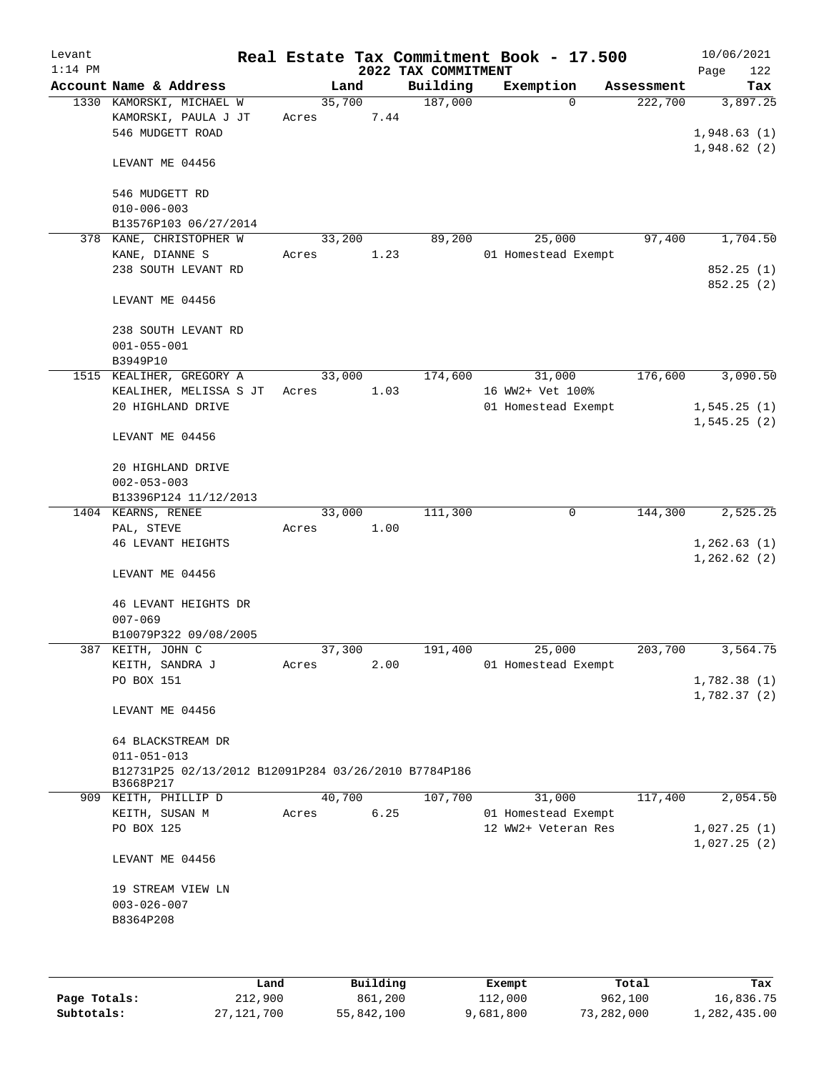| Levant<br>$1:14$ PM |                                                                                        |                 |      | 2022 TAX COMMITMENT | Real Estate Tax Commitment Book - 17.500 |            | 10/06/2021<br>Page<br>122              |
|---------------------|----------------------------------------------------------------------------------------|-----------------|------|---------------------|------------------------------------------|------------|----------------------------------------|
|                     | Account Name & Address                                                                 |                 | Land | Building            | Exemption                                | Assessment | Tax                                    |
|                     | 1330 KAMORSKI, MICHAEL W<br>KAMORSKI, PAULA J JT<br>546 MUDGETT ROAD                   | 35,700<br>Acres | 7.44 | 187,000             | $\Omega$                                 | 222,700    | 3,897.25<br>1,948.63(1)<br>1,948.62(2) |
|                     | LEVANT ME 04456                                                                        |                 |      |                     |                                          |            |                                        |
|                     | 546 MUDGETT RD<br>$010 - 006 - 003$<br>B13576P103 06/27/2014                           |                 |      |                     |                                          |            |                                        |
|                     | 378 KANE, CHRISTOPHER W                                                                | 33,200          |      | 89,200              | 25,000                                   | 97,400     | 1,704.50                               |
|                     | KANE, DIANNE S                                                                         | Acres           | 1.23 |                     | 01 Homestead Exempt                      |            |                                        |
|                     | 238 SOUTH LEVANT RD                                                                    |                 |      |                     |                                          |            | 852.25(1)<br>852.25 (2)                |
|                     | LEVANT ME 04456                                                                        |                 |      |                     |                                          |            |                                        |
|                     | 238 SOUTH LEVANT RD<br>$001 - 055 - 001$                                               |                 |      |                     |                                          |            |                                        |
|                     | B3949P10<br>1515 KEALIHER, GREGORY A                                                   | 33,000          |      | 174,600             | 31,000                                   | 176,600    | 3,090.50                               |
|                     | KEALIHER, MELISSA S JT                                                                 | Acres           | 1.03 |                     | 16 WW2+ Vet 100%                         |            |                                        |
|                     | 20 HIGHLAND DRIVE                                                                      |                 |      |                     | 01 Homestead Exempt                      |            | 1,545.25(1)                            |
|                     | LEVANT ME 04456                                                                        |                 |      |                     |                                          |            | 1, 545.25(2)                           |
|                     | 20 HIGHLAND DRIVE<br>$002 - 053 - 003$                                                 |                 |      |                     |                                          |            |                                        |
|                     | B13396P124 11/12/2013                                                                  |                 |      |                     |                                          |            |                                        |
|                     | 1404 KEARNS, RENEE                                                                     | 33,000          |      | 111,300             | 0                                        | 144,300    | 2,525.25                               |
|                     | PAL, STEVE                                                                             | Acres           | 1.00 |                     |                                          |            |                                        |
|                     | <b>46 LEVANT HEIGHTS</b>                                                               |                 |      |                     |                                          |            | 1,262.63(1)<br>1,262.62(2)             |
|                     | LEVANT ME 04456                                                                        |                 |      |                     |                                          |            |                                        |
|                     | 46 LEVANT HEIGHTS DR<br>$007 - 069$                                                    |                 |      |                     |                                          |            |                                        |
|                     | B10079P322 09/08/2005                                                                  |                 |      |                     |                                          |            |                                        |
|                     | 387 KEITH, JOHN C                                                                      | 37,300          |      | 191,400             | 25,000                                   | 203,700    | 3,564.75                               |
|                     | KEITH, SANDRA J                                                                        | Acres           | 2.00 |                     | 01 Homestead Exempt                      |            |                                        |
|                     | PO BOX 151                                                                             |                 |      |                     |                                          |            | 1,782.38(1)<br>1,782.37(2)             |
|                     | LEVANT ME 04456                                                                        |                 |      |                     |                                          |            |                                        |
|                     | 64 BLACKSTREAM DR                                                                      |                 |      |                     |                                          |            |                                        |
|                     | $011 - 051 - 013$<br>B12731P25 02/13/2012 B12091P284 03/26/2010 B7784P186<br>B3668P217 |                 |      |                     |                                          |            |                                        |
|                     | 909 KEITH, PHILLIP D                                                                   | 40,700          |      | 107,700             | 31,000                                   | 117,400    | 2,054.50                               |
|                     | KEITH, SUSAN M                                                                         | Acres           | 6.25 |                     | 01 Homestead Exempt                      |            |                                        |
|                     | PO BOX 125                                                                             |                 |      |                     | 12 WW2+ Veteran Res                      |            | 1,027.25(1)<br>1,027.25(2)             |
|                     | LEVANT ME 04456                                                                        |                 |      |                     |                                          |            |                                        |
|                     | 19 STREAM VIEW LN<br>$003 - 026 - 007$<br>B8364P208                                    |                 |      |                     |                                          |            |                                        |
|                     |                                                                                        |                 |      |                     |                                          |            |                                        |
|                     |                                                                                        |                 |      |                     |                                          |            |                                        |

|              | Land         | Building   | Exempt    | Total      | Tax          |
|--------------|--------------|------------|-----------|------------|--------------|
| Page Totals: | 212,900      | 861,200    | 112,000   | 962,100    | 16,836.75    |
| Subtotals:   | 27, 121, 700 | 55,842,100 | 9,681,800 | 73,282,000 | 1,282,435.00 |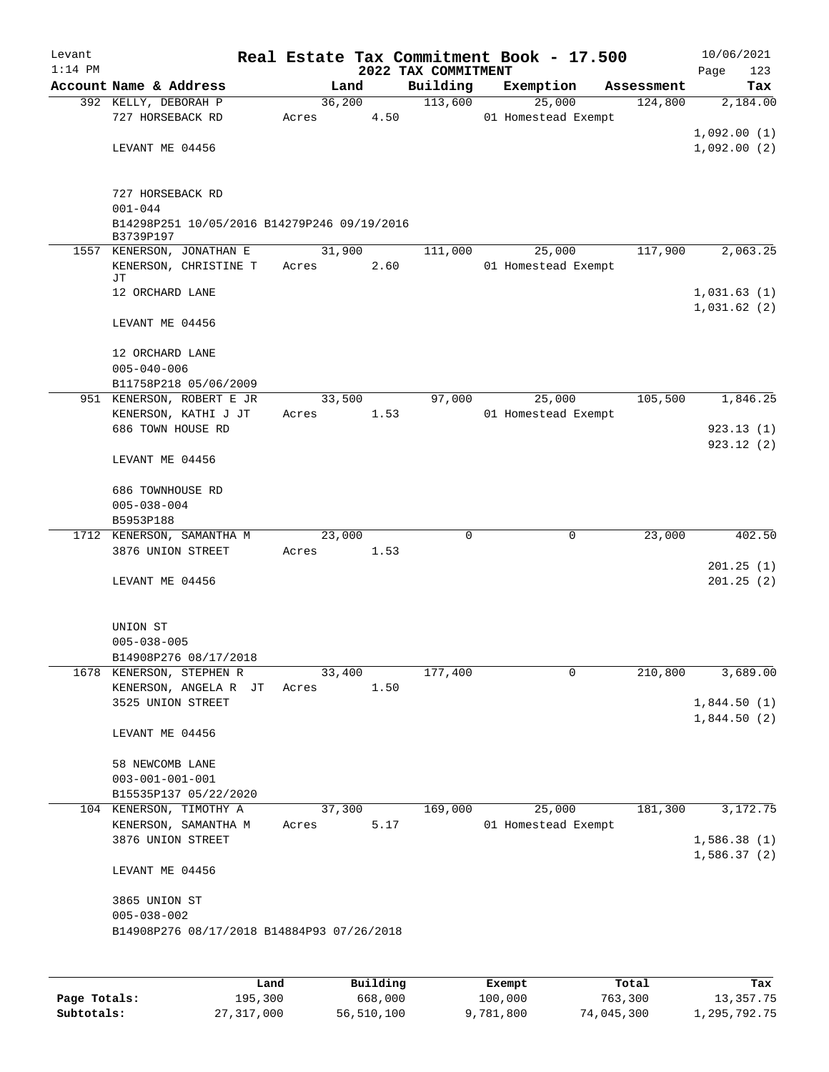| Levant    |                                                                 |       |        |          |                     | Real Estate Tax Commitment Book - 17.500 |        |            | 10/06/2021  |
|-----------|-----------------------------------------------------------------|-------|--------|----------|---------------------|------------------------------------------|--------|------------|-------------|
| $1:14$ PM |                                                                 |       |        |          | 2022 TAX COMMITMENT |                                          |        |            | 123<br>Page |
|           | Account Name & Address                                          |       | Land   |          | Building            | Exemption                                |        | Assessment | Tax         |
|           | 392 KELLY, DEBORAH P                                            |       | 36,200 |          | 113,600             |                                          | 25,000 | 124,800    | 2,184.00    |
|           | 727 HORSEBACK RD                                                | Acres |        | 4.50     |                     | 01 Homestead Exempt                      |        |            |             |
|           |                                                                 |       |        |          |                     |                                          |        |            | 1,092.00(1) |
|           | LEVANT ME 04456                                                 |       |        |          |                     |                                          |        |            | 1,092.00(2) |
|           |                                                                 |       |        |          |                     |                                          |        |            |             |
|           | 727 HORSEBACK RD                                                |       |        |          |                     |                                          |        |            |             |
|           | $001 - 044$                                                     |       |        |          |                     |                                          |        |            |             |
|           | B14298P251 10/05/2016 B14279P246 09/19/2016                     |       |        |          |                     |                                          |        |            |             |
|           | B3739P197                                                       |       |        |          |                     |                                          |        |            |             |
|           | 1557 KENERSON, JONATHAN E                                       |       | 31,900 |          | 111,000             |                                          | 25,000 | 117,900    | 2,063.25    |
|           | KENERSON, CHRISTINE T<br>JТ                                     | Acres |        | 2.60     |                     | 01 Homestead Exempt                      |        |            |             |
|           | 12 ORCHARD LANE                                                 |       |        |          |                     |                                          |        |            | 1,031.63(1) |
|           |                                                                 |       |        |          |                     |                                          |        |            | 1,031.62(2) |
|           | LEVANT ME 04456                                                 |       |        |          |                     |                                          |        |            |             |
|           |                                                                 |       |        |          |                     |                                          |        |            |             |
|           | 12 ORCHARD LANE                                                 |       |        |          |                     |                                          |        |            |             |
|           | $005 - 040 - 006$                                               |       |        |          |                     |                                          |        |            |             |
|           | B11758P218 05/06/2009                                           |       |        |          |                     |                                          |        |            |             |
|           | 951 KENERSON, ROBERT E JR                                       |       | 33,500 |          | 97,000              |                                          | 25,000 | 105,500    | 1,846.25    |
|           | KENERSON, KATHI J JT                                            | Acres |        | 1.53     |                     | 01 Homestead Exempt                      |        |            |             |
|           | 686 TOWN HOUSE RD                                               |       |        |          |                     |                                          |        |            | 923.13(1)   |
|           | LEVANT ME 04456                                                 |       |        |          |                     |                                          |        |            | 923.12(2)   |
|           |                                                                 |       |        |          |                     |                                          |        |            |             |
|           | 686 TOWNHOUSE RD                                                |       |        |          |                     |                                          |        |            |             |
|           | $005 - 038 - 004$                                               |       |        |          |                     |                                          |        |            |             |
|           | B5953P188                                                       |       |        |          |                     |                                          |        |            |             |
|           | 1712 KENERSON, SAMANTHA M                                       |       | 23,000 |          | 0                   |                                          | 0      | 23,000     | 402.50      |
|           | 3876 UNION STREET                                               | Acres |        | 1.53     |                     |                                          |        |            |             |
|           |                                                                 |       |        |          |                     |                                          |        |            | 201.25(1)   |
|           | LEVANT ME 04456                                                 |       |        |          |                     |                                          |        |            | 201.25(2)   |
|           |                                                                 |       |        |          |                     |                                          |        |            |             |
|           |                                                                 |       |        |          |                     |                                          |        |            |             |
|           | UNION ST                                                        |       |        |          |                     |                                          |        |            |             |
|           | $005 - 038 - 005$                                               |       |        |          |                     |                                          |        |            |             |
|           | B14908P276 08/17/2018                                           |       |        |          |                     |                                          |        |            |             |
|           | 1678 KENERSON, STEPHEN R                                        |       | 33,400 |          | 177,400             |                                          | 0      | 210,800    | 3,689.00    |
|           | KENERSON, ANGELA R JT<br>3525 UNION STREET                      | Acres |        | 1.50     |                     |                                          |        |            | 1,844.50(1) |
|           |                                                                 |       |        |          |                     |                                          |        |            | 1,844.50(2) |
|           | LEVANT ME 04456                                                 |       |        |          |                     |                                          |        |            |             |
|           |                                                                 |       |        |          |                     |                                          |        |            |             |
|           | 58 NEWCOMB LANE                                                 |       |        |          |                     |                                          |        |            |             |
|           | $003 - 001 - 001 - 001$                                         |       |        |          |                     |                                          |        |            |             |
|           | B15535P137 05/22/2020                                           |       |        |          |                     |                                          |        |            |             |
|           | 104 KENERSON, TIMOTHY A                                         |       | 37,300 |          | 169,000             |                                          | 25,000 | 181,300    | 3,172.75    |
|           | KENERSON, SAMANTHA M                                            | Acres |        | 5.17     |                     | 01 Homestead Exempt                      |        |            |             |
|           | 3876 UNION STREET                                               |       |        |          |                     |                                          |        |            | 1,586.38(1) |
|           |                                                                 |       |        |          |                     |                                          |        |            | 1,586.37(2) |
|           | LEVANT ME 04456                                                 |       |        |          |                     |                                          |        |            |             |
|           |                                                                 |       |        |          |                     |                                          |        |            |             |
|           | 3865 UNION ST                                                   |       |        |          |                     |                                          |        |            |             |
|           | $005 - 038 - 002$<br>B14908P276 08/17/2018 B14884P93 07/26/2018 |       |        |          |                     |                                          |        |            |             |
|           |                                                                 |       |        |          |                     |                                          |        |            |             |
|           |                                                                 |       |        |          |                     |                                          |        |            |             |
|           | Land                                                            |       |        | Building |                     | Exempt                                   |        | Total      | Tax         |
|           |                                                                 |       |        |          |                     |                                          |        |            |             |

|              | Land       | Building   | Exempt    | Total      | Tax          |
|--------------|------------|------------|-----------|------------|--------------|
| Page Totals: | 195,300    | 668,000    | 100,000   | 763,300    | 13,357.75    |
| Subtotals:   | 27,317,000 | 56,510,100 | 9,781,800 | 74,045,300 | 1,295,792.75 |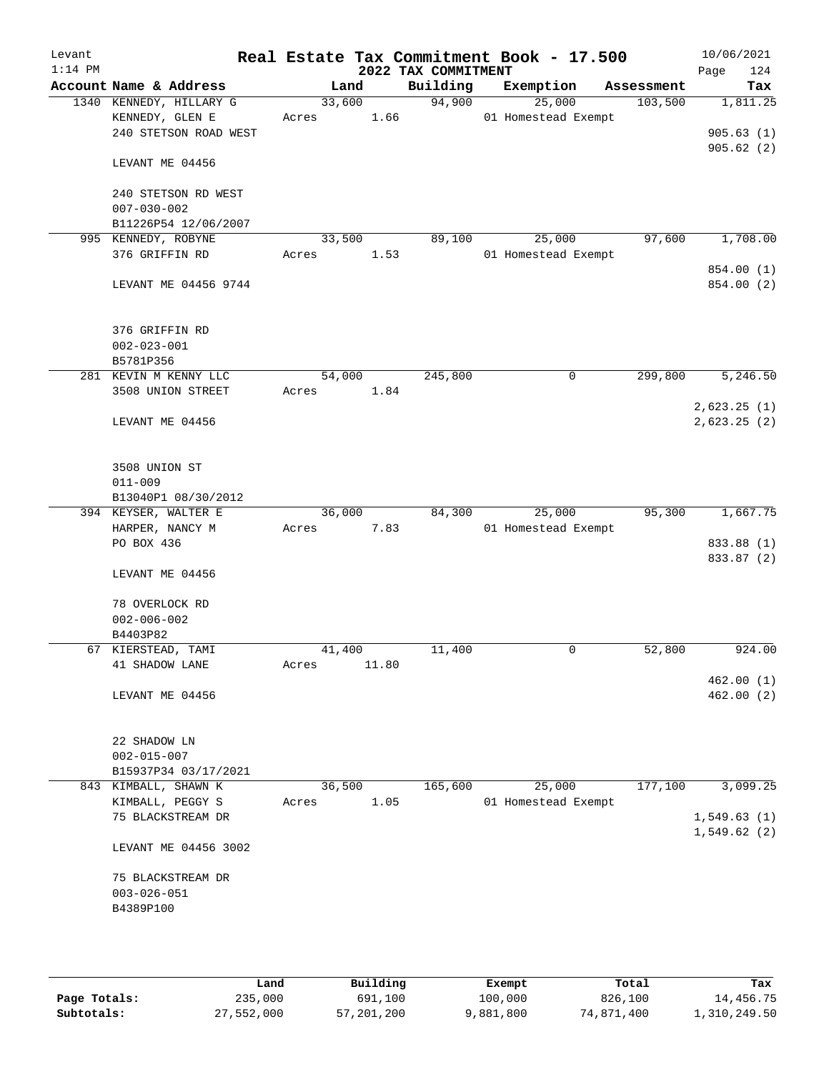| Levant<br>$1:14$ PM |                                                                     |                 |       | 2022 TAX COMMITMENT | Real Estate Tax Commitment Book - 17.500 |            | 10/06/2021<br>124<br>Page |
|---------------------|---------------------------------------------------------------------|-----------------|-------|---------------------|------------------------------------------|------------|---------------------------|
|                     | Account Name & Address                                              |                 | Land  | Building            | Exemption                                | Assessment | Tax                       |
|                     | 1340 KENNEDY, HILLARY G<br>KENNEDY, GLEN E<br>240 STETSON ROAD WEST | 33,600<br>Acres | 1.66  | 94,900              | 25,000<br>01 Homestead Exempt            | 103,500    | 1,811.25<br>905.63(1)     |
|                     | LEVANT ME 04456                                                     |                 |       |                     |                                          |            | 905.62(2)                 |
|                     | 240 STETSON RD WEST<br>$007 - 030 - 002$<br>B11226P54 12/06/2007    |                 |       |                     |                                          |            |                           |
|                     | 995 KENNEDY, ROBYNE<br>376 GRIFFIN RD                               | 33,500<br>Acres | 1.53  | 89,100              | 25,000<br>01 Homestead Exempt            | 97,600     | 1,708.00                  |
|                     | LEVANT ME 04456 9744                                                |                 |       |                     |                                          |            | 854.00 (1)<br>854.00 (2)  |
|                     | 376 GRIFFIN RD<br>$002 - 023 - 001$<br>B5781P356                    |                 |       |                     |                                          |            |                           |
|                     | 281 KEVIN M KENNY LLC                                               | 54,000          |       | 245,800             | 0                                        | 299,800    | 5,246.50                  |
|                     | 3508 UNION STREET                                                   | Acres           | 1.84  |                     |                                          |            | 2,623.25(1)               |
|                     | LEVANT ME 04456                                                     |                 |       |                     |                                          |            | 2,623.25(2)               |
|                     | 3508 UNION ST<br>$011 - 009$                                        |                 |       |                     |                                          |            |                           |
|                     | B13040P1 08/30/2012<br>394 KEYSER, WALTER E                         | 36,000          |       | 84,300              | 25,000                                   | 95,300     | 1,667.75                  |
|                     | HARPER, NANCY M                                                     | Acres           | 7.83  |                     | 01 Homestead Exempt                      |            |                           |
|                     | PO BOX 436                                                          |                 |       |                     |                                          |            | 833.88 (1)                |
|                     | LEVANT ME 04456                                                     |                 |       |                     |                                          |            | 833.87 (2)                |
|                     | 78 OVERLOCK RD<br>$002 - 006 - 002$<br>B4403P82                     |                 |       |                     |                                          |            |                           |
|                     | 67 KIERSTEAD, TAMI                                                  | 41,400          |       | 11,400              | 0                                        | 52,800     | 924.00                    |
|                     | 41 SHADOW LANE                                                      | Acres           | 11.80 |                     |                                          |            |                           |
|                     | LEVANT ME 04456                                                     |                 |       |                     |                                          |            | 462.00(1)<br>462.00(2)    |
|                     | 22 SHADOW LN<br>$002 - 015 - 007$                                   |                 |       |                     |                                          |            |                           |
|                     | B15937P34 03/17/2021                                                |                 |       |                     |                                          |            |                           |
|                     | 843 KIMBALL, SHAWN K                                                | 36,500          |       | 165,600             | 25,000                                   | 177,100    | 3,099.25                  |
|                     | KIMBALL, PEGGY S<br>75 BLACKSTREAM DR                               | Acres           | 1.05  |                     | 01 Homestead Exempt                      |            | 1,549.63(1)               |
|                     | LEVANT ME 04456 3002                                                |                 |       |                     |                                          |            | 1,549.62(2)               |
|                     | 75 BLACKSTREAM DR<br>$003 - 026 - 051$<br>B4389P100                 |                 |       |                     |                                          |            |                           |
|                     |                                                                     |                 |       |                     |                                          |            |                           |

|              | Land       | Building   | Exempt    | Total      | Tax          |
|--------------|------------|------------|-----------|------------|--------------|
| Page Totals: | 235,000    | 691,100    | 100,000   | 826,100    | 14,456.75    |
| Subtotals:   | 27,552,000 | 57,201,200 | 9,881,800 | 74,871,400 | 1,310,249.50 |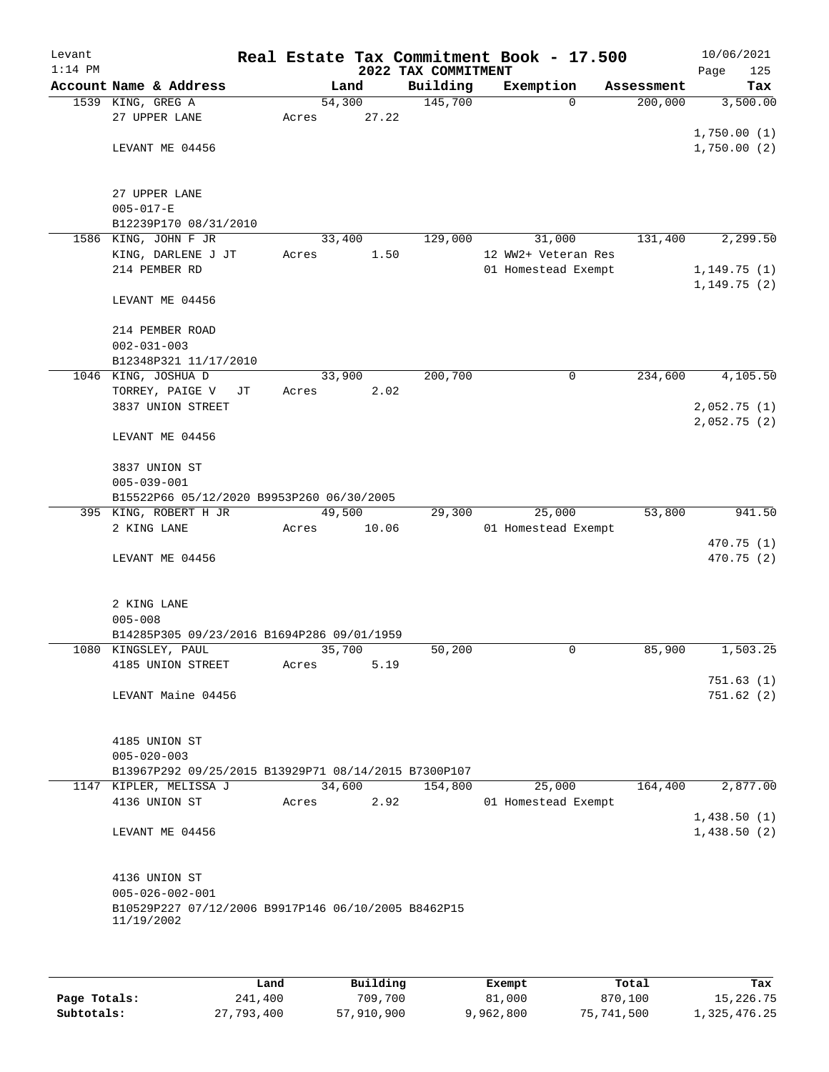| Levant<br>$1:14$ PM |                                                                   |    |       |        | 2022 TAX COMMITMENT | Real Estate Tax Commitment Book - 17.500 |            | 10/06/2021<br>Page<br>125 |
|---------------------|-------------------------------------------------------------------|----|-------|--------|---------------------|------------------------------------------|------------|---------------------------|
|                     | Account Name & Address                                            |    |       | Land   | Building            | Exemption                                | Assessment | Tax                       |
|                     | 1539 KING, GREG A                                                 |    |       | 54,300 | 145,700             | $\Omega$                                 | 200,000    | 3,500.00                  |
|                     | 27 UPPER LANE                                                     |    | Acres | 27.22  |                     |                                          |            |                           |
|                     |                                                                   |    |       |        |                     |                                          |            | 1,750.00(1)               |
|                     | LEVANT ME 04456                                                   |    |       |        |                     |                                          |            | 1,750.00(2)               |
|                     |                                                                   |    |       |        |                     |                                          |            |                           |
|                     | 27 UPPER LANE                                                     |    |       |        |                     |                                          |            |                           |
|                     | $005 - 017 - E$                                                   |    |       |        |                     |                                          |            |                           |
|                     | B12239P170 08/31/2010                                             |    |       |        |                     |                                          |            |                           |
|                     | 1586 KING, JOHN F JR                                              |    |       | 33,400 | 129,000             | 31,000                                   | 131,400    | 2,299.50                  |
|                     | KING, DARLENE J JT                                                |    | Acres | 1.50   |                     | 12 WW2+ Veteran Res                      |            |                           |
|                     | 214 PEMBER RD                                                     |    |       |        |                     | 01 Homestead Exempt                      |            | 1,149.75(1)               |
|                     |                                                                   |    |       |        |                     |                                          |            | 1, 149.75(2)              |
|                     | LEVANT ME 04456                                                   |    |       |        |                     |                                          |            |                           |
|                     |                                                                   |    |       |        |                     |                                          |            |                           |
|                     | 214 PEMBER ROAD                                                   |    |       |        |                     |                                          |            |                           |
|                     | $002 - 031 - 003$                                                 |    |       |        |                     |                                          |            |                           |
|                     | B12348P321 11/17/2010                                             |    |       |        |                     |                                          |            |                           |
|                     | 1046 KING, JOSHUA D                                               |    |       | 33,900 | 200,700             | $\mathbf 0$                              | 234,600    | 4,105.50                  |
|                     | TORREY, PAIGE V                                                   | JТ | Acres | 2.02   |                     |                                          |            |                           |
|                     | 3837 UNION STREET                                                 |    |       |        |                     |                                          |            | 2,052.75(1)               |
|                     | LEVANT ME 04456                                                   |    |       |        |                     |                                          |            | 2,052.75(2)               |
|                     |                                                                   |    |       |        |                     |                                          |            |                           |
|                     | 3837 UNION ST                                                     |    |       |        |                     |                                          |            |                           |
|                     | $005 - 039 - 001$                                                 |    |       |        |                     |                                          |            |                           |
|                     | B15522P66 05/12/2020 B9953P260 06/30/2005                         |    |       |        |                     |                                          |            |                           |
|                     | 395 KING, ROBERT H JR                                             |    |       | 49,500 | 29,300              | 25,000                                   | 53,800     | 941.50                    |
|                     | 2 KING LANE                                                       |    | Acres | 10.06  |                     | 01 Homestead Exempt                      |            |                           |
|                     |                                                                   |    |       |        |                     |                                          |            | 470.75 (1)                |
|                     | LEVANT ME 04456                                                   |    |       |        |                     |                                          |            | 470.75 (2)                |
|                     |                                                                   |    |       |        |                     |                                          |            |                           |
|                     |                                                                   |    |       |        |                     |                                          |            |                           |
|                     | 2 KING LANE                                                       |    |       |        |                     |                                          |            |                           |
|                     | $005 - 008$                                                       |    |       |        |                     |                                          |            |                           |
|                     | B14285P305 09/23/2016 B1694P286 09/01/1959<br>1080 KINGSLEY, PAUL |    |       | 35,700 | 50,200              | 0                                        | 85,900     | 1,503.25                  |
|                     | 4185 UNION STREET                                                 |    | Acres | 5.19   |                     |                                          |            |                           |
|                     |                                                                   |    |       |        |                     |                                          |            | 751.63(1)                 |
|                     | LEVANT Maine 04456                                                |    |       |        |                     |                                          |            | 751.62(2)                 |
|                     |                                                                   |    |       |        |                     |                                          |            |                           |
|                     |                                                                   |    |       |        |                     |                                          |            |                           |
|                     | 4185 UNION ST                                                     |    |       |        |                     |                                          |            |                           |
|                     | $005 - 020 - 003$                                                 |    |       |        |                     |                                          |            |                           |
|                     | B13967P292 09/25/2015 B13929P71 08/14/2015 B7300P107              |    |       |        |                     |                                          |            |                           |
|                     | 1147 KIPLER, MELISSA J                                            |    |       | 34,600 | 154,800             | 25,000                                   | 164,400    | 2,877.00                  |
|                     | 4136 UNION ST                                                     |    | Acres | 2.92   |                     | 01 Homestead Exempt                      |            |                           |
|                     |                                                                   |    |       |        |                     |                                          |            | 1,438.50(1)               |
|                     | LEVANT ME 04456                                                   |    |       |        |                     |                                          |            | 1,438.50(2)               |
|                     |                                                                   |    |       |        |                     |                                          |            |                           |
|                     |                                                                   |    |       |        |                     |                                          |            |                           |
|                     | 4136 UNION ST<br>$005 - 026 - 002 - 001$                          |    |       |        |                     |                                          |            |                           |
|                     | B10529P227 07/12/2006 B9917P146 06/10/2005 B8462P15               |    |       |        |                     |                                          |            |                           |
|                     | 11/19/2002                                                        |    |       |        |                     |                                          |            |                           |
|                     |                                                                   |    |       |        |                     |                                          |            |                           |
|                     |                                                                   |    |       |        |                     |                                          |            |                           |
|                     |                                                                   |    |       |        |                     |                                          |            |                           |

|              | Land       | Building   | Exempt    | Total      | Tax          |
|--------------|------------|------------|-----------|------------|--------------|
| Page Totals: | 241,400    | 709,700    | 81,000    | 870,100    | 15,226.75    |
| Subtotals:   | 27,793,400 | 57,910,900 | 9,962,800 | 75,741,500 | 1,325,476.25 |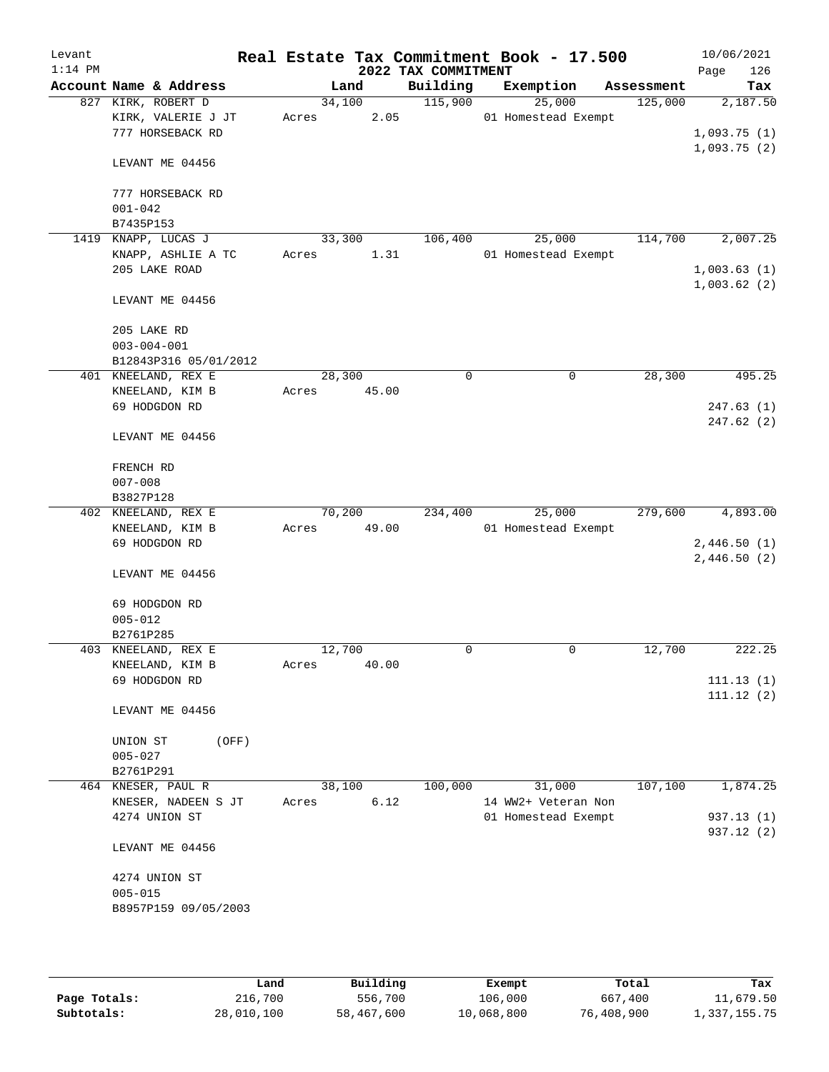| Levant<br>$1:14$ PM |                                                              |       |        |       | 2022 TAX COMMITMENT | Real Estate Tax Commitment Book - 17.500 |            | 10/06/2021<br>126<br>Page  |
|---------------------|--------------------------------------------------------------|-------|--------|-------|---------------------|------------------------------------------|------------|----------------------------|
|                     | Account Name & Address                                       |       | Land   |       | Building            | Exemption                                | Assessment | Tax                        |
|                     | 827 KIRK, ROBERT D<br>KIRK, VALERIE J JT<br>777 HORSEBACK RD | Acres | 34,100 | 2.05  | 115,900             | 25,000<br>01 Homestead Exempt            | 125,000    | 2,187.50<br>1,093.75(1)    |
|                     | LEVANT ME 04456                                              |       |        |       |                     |                                          |            | 1,093.75(2)                |
|                     | 777 HORSEBACK RD<br>$001 - 042$                              |       |        |       |                     |                                          |            |                            |
|                     | B7435P153                                                    |       |        |       |                     |                                          |            |                            |
| 1419                | KNAPP, LUCAS J                                               |       | 33,300 |       | 106,400             | 25,000                                   | 114,700    | 2,007.25                   |
|                     | KNAPP, ASHLIE A TC                                           | Acres |        | 1.31  |                     | 01 Homestead Exempt                      |            |                            |
|                     | 205 LAKE ROAD                                                |       |        |       |                     |                                          |            | 1,003.63(1)<br>1,003.62(2) |
|                     | LEVANT ME 04456                                              |       |        |       |                     |                                          |            |                            |
|                     | 205 LAKE RD                                                  |       |        |       |                     |                                          |            |                            |
|                     | $003 - 004 - 001$                                            |       |        |       |                     |                                          |            |                            |
|                     | B12843P316 05/01/2012                                        |       |        |       |                     |                                          |            |                            |
|                     | 401 KNEELAND, REX E                                          |       | 28,300 |       | $\mathbf 0$         | 0                                        | 28,300     | 495.25                     |
|                     | KNEELAND, KIM B                                              | Acres |        | 45.00 |                     |                                          |            |                            |
|                     | 69 HODGDON RD                                                |       |        |       |                     |                                          |            | 247.63(1)                  |
|                     | LEVANT ME 04456                                              |       |        |       |                     |                                          |            | 247.62(2)                  |
|                     | FRENCH RD                                                    |       |        |       |                     |                                          |            |                            |
|                     | $007 - 008$                                                  |       |        |       |                     |                                          |            |                            |
|                     | B3827P128                                                    |       |        |       |                     |                                          |            |                            |
|                     | 402 KNEELAND, REX E                                          |       | 70,200 |       | 234,400             | 25,000                                   | 279,600    | 4,893.00                   |
|                     | KNEELAND, KIM B                                              | Acres |        | 49.00 |                     | 01 Homestead Exempt                      |            |                            |
|                     | 69 HODGDON RD                                                |       |        |       |                     |                                          |            | 2,446.50(1)                |
|                     |                                                              |       |        |       |                     |                                          |            | 2,446.50(2)                |
|                     | LEVANT ME 04456                                              |       |        |       |                     |                                          |            |                            |
|                     | 69 HODGDON RD                                                |       |        |       |                     |                                          |            |                            |
|                     | $005 - 012$                                                  |       |        |       |                     |                                          |            |                            |
|                     | B2761P285                                                    |       |        |       |                     |                                          |            |                            |
|                     | 403 KNEELAND, REX E                                          |       | 12,700 |       | 0                   | 0                                        | 12,700     | 222.25                     |
|                     | KNEELAND, KIM B                                              | Acres |        | 40.00 |                     |                                          |            |                            |
|                     | 69 HODGDON RD                                                |       |        |       |                     |                                          |            | 111.13(1)                  |
|                     |                                                              |       |        |       |                     |                                          |            | 111.12(2)                  |
|                     | LEVANT ME 04456                                              |       |        |       |                     |                                          |            |                            |
|                     | UNION ST<br>(OFF)                                            |       |        |       |                     |                                          |            |                            |
|                     | $005 - 027$                                                  |       |        |       |                     |                                          |            |                            |
|                     | B2761P291                                                    |       |        |       |                     |                                          |            |                            |
|                     | 464 KNESER, PAUL R                                           |       | 38,100 |       | 100,000             | 31,000                                   | 107,100    | 1,874.25                   |
|                     | KNESER, NADEEN S JT                                          | Acres |        | 6.12  |                     | 14 WW2+ Veteran Non                      |            |                            |
|                     | 4274 UNION ST                                                |       |        |       |                     | 01 Homestead Exempt                      |            | 937.13 (1)                 |
|                     |                                                              |       |        |       |                     |                                          |            | 937.12 (2)                 |
|                     | LEVANT ME 04456                                              |       |        |       |                     |                                          |            |                            |
|                     | 4274 UNION ST                                                |       |        |       |                     |                                          |            |                            |
|                     | $005 - 015$                                                  |       |        |       |                     |                                          |            |                            |
|                     | B8957P159 09/05/2003                                         |       |        |       |                     |                                          |            |                            |
|                     |                                                              |       |        |       |                     |                                          |            |                            |
|                     |                                                              |       |        |       |                     |                                          |            |                            |
|                     |                                                              |       |        |       |                     |                                          |            |                            |

|              | Land       | Building   | Exempt     | Total      | Tax          |
|--------------|------------|------------|------------|------------|--------------|
| Page Totals: | 216,700    | 556,700    | 106,000    | 667,400    | 11,679.50    |
| Subtotals:   | 28,010,100 | 58,467,600 | 10,068,800 | 76,408,900 | 1,337,155.75 |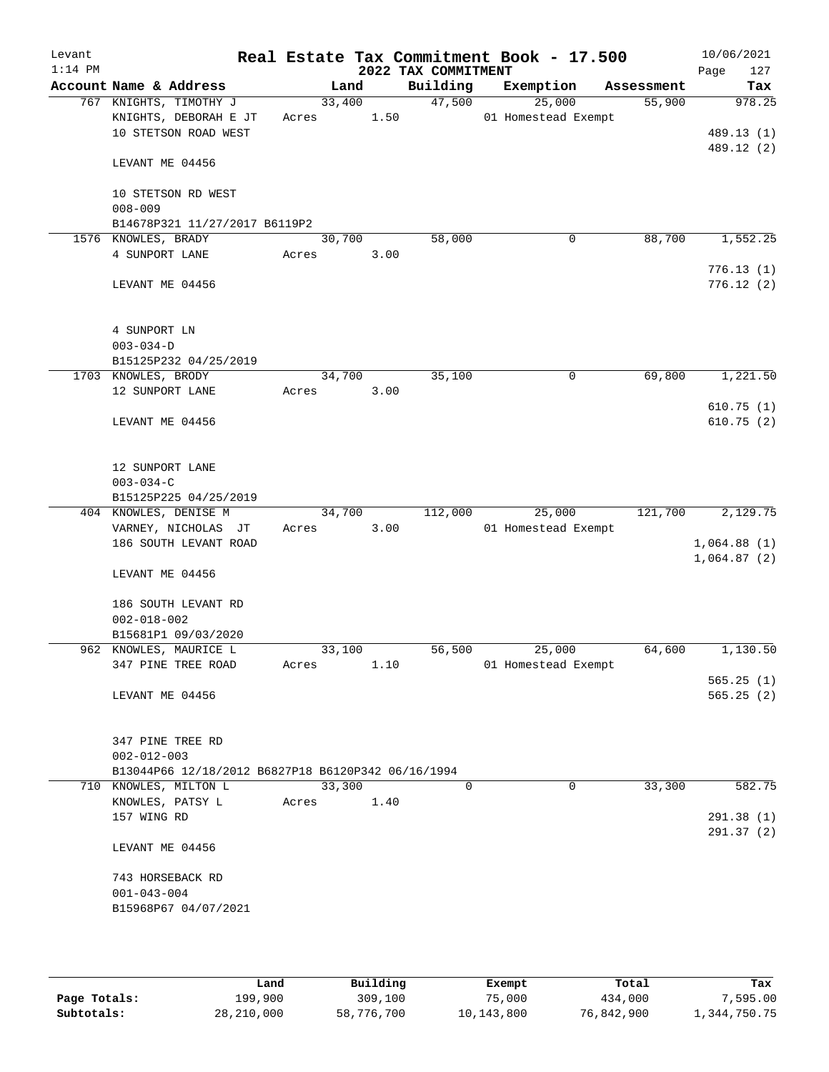| Levant<br>$1:14$ PM |                     |                                                                             |       |        |      | 2022 TAX COMMITMENT | Real Estate Tax Commitment Book - 17.500 |            | 10/06/2021<br>127<br>Page |
|---------------------|---------------------|-----------------------------------------------------------------------------|-------|--------|------|---------------------|------------------------------------------|------------|---------------------------|
|                     |                     | Account Name & Address                                                      |       | Land   |      | Building            | Exemption                                | Assessment | Tax                       |
|                     |                     | 767 KNIGHTS, TIMOTHY J                                                      |       | 33,400 |      | 47,500              | 25,000                                   | 55,900     | 978.25                    |
|                     |                     | KNIGHTS, DEBORAH E JT                                                       | Acres |        | 1.50 |                     | 01 Homestead Exempt                      |            |                           |
|                     |                     | 10 STETSON ROAD WEST                                                        |       |        |      |                     |                                          |            | 489.13 (1)                |
|                     | LEVANT ME 04456     |                                                                             |       |        |      |                     |                                          |            | 489.12 (2)                |
|                     |                     | 10 STETSON RD WEST                                                          |       |        |      |                     |                                          |            |                           |
|                     | $008 - 009$         |                                                                             |       |        |      |                     |                                          |            |                           |
|                     |                     | B14678P321 11/27/2017 B6119P2                                               |       |        |      |                     |                                          |            |                           |
|                     | 1576 KNOWLES, BRADY |                                                                             |       | 30,700 |      | 58,000              | 0                                        | 88,700     | 1,552.25                  |
|                     | 4 SUNPORT LANE      |                                                                             | Acres |        | 3.00 |                     |                                          |            |                           |
|                     |                     |                                                                             |       |        |      |                     |                                          |            | 776.13(1)                 |
|                     | LEVANT ME 04456     |                                                                             |       |        |      |                     |                                          |            | 776.12(2)                 |
|                     | 4 SUNPORT LN        |                                                                             |       |        |      |                     |                                          |            |                           |
|                     | $003 - 034 - D$     |                                                                             |       |        |      |                     |                                          |            |                           |
|                     |                     | B15125P232 04/25/2019                                                       |       |        |      |                     |                                          |            |                           |
|                     | 1703 KNOWLES, BRODY |                                                                             |       | 34,700 |      | 35,100              | 0                                        | 69,800     | 1,221.50                  |
|                     |                     | 12 SUNPORT LANE                                                             | Acres |        | 3.00 |                     |                                          |            |                           |
|                     |                     |                                                                             |       |        |      |                     |                                          |            | 610.75(1)<br>610.75(2)    |
|                     |                     | LEVANT ME 04456                                                             |       |        |      |                     |                                          |            |                           |
|                     |                     | 12 SUNPORT LANE                                                             |       |        |      |                     |                                          |            |                           |
|                     | $003 - 034 - C$     |                                                                             |       |        |      |                     |                                          |            |                           |
|                     |                     | B15125P225 04/25/2019                                                       |       |        |      |                     |                                          |            |                           |
|                     |                     | 404 KNOWLES, DENISE M<br>VARNEY, NICHOLAS JT                                | Acres | 34,700 | 3.00 | 112,000             | 25,000<br>01 Homestead Exempt            | 121,700    | 2,129.75                  |
|                     |                     | 186 SOUTH LEVANT ROAD                                                       |       |        |      |                     |                                          |            | 1,064.88(1)               |
|                     |                     |                                                                             |       |        |      |                     |                                          |            | 1,064.87(2)               |
|                     |                     | LEVANT ME 04456                                                             |       |        |      |                     |                                          |            |                           |
|                     |                     | 186 SOUTH LEVANT RD                                                         |       |        |      |                     |                                          |            |                           |
|                     | $002 - 018 - 002$   |                                                                             |       |        |      |                     |                                          |            |                           |
|                     |                     | B15681P1 09/03/2020                                                         |       |        |      |                     |                                          |            |                           |
|                     |                     | 962 KNOWLES, MAURICE L                                                      |       | 33,100 |      | 56,500              | 25,000                                   | 64,600     | 1,130.50                  |
|                     |                     | 347 PINE TREE ROAD                                                          | Acres |        | 1.10 |                     | 01 Homestead Exempt                      |            |                           |
|                     |                     |                                                                             |       |        |      |                     |                                          |            | 565.25(1)                 |
|                     |                     | LEVANT ME 04456                                                             |       |        |      |                     |                                          |            | 565.25(2)                 |
|                     |                     | 347 PINE TREE RD                                                            |       |        |      |                     |                                          |            |                           |
|                     | $002 - 012 - 003$   |                                                                             |       |        |      |                     |                                          |            |                           |
|                     |                     | B13044P66 12/18/2012 B6827P18 B6120P342 06/16/1994<br>710 KNOWLES, MILTON L |       | 33,300 |      | $\Omega$            | $\Omega$                                 | 33,300     | 582.75                    |
|                     |                     | KNOWLES, PATSY L                                                            | Acres |        | 1.40 |                     |                                          |            |                           |
|                     | 157 WING RD         |                                                                             |       |        |      |                     |                                          |            | 291.38 (1)                |
|                     |                     |                                                                             |       |        |      |                     |                                          |            | 291.37 (2)                |
|                     |                     | LEVANT ME 04456                                                             |       |        |      |                     |                                          |            |                           |
|                     |                     | 743 HORSEBACK RD                                                            |       |        |      |                     |                                          |            |                           |
|                     | $001 - 043 - 004$   |                                                                             |       |        |      |                     |                                          |            |                           |
|                     |                     | B15968P67 04/07/2021                                                        |       |        |      |                     |                                          |            |                           |
|                     |                     |                                                                             |       |        |      |                     |                                          |            |                           |
|                     |                     |                                                                             |       |        |      |                     |                                          |            |                           |

|              | Land       | Building   | Exempt     | Total      | Tax          |
|--------------|------------|------------|------------|------------|--------------|
| Page Totals: | 199,900    | 309,100    | 75,000     | 434,000    | 7,595.00     |
| Subtotals:   | 28,210,000 | 58,776,700 | 10,143,800 | 76,842,900 | 1,344,750.75 |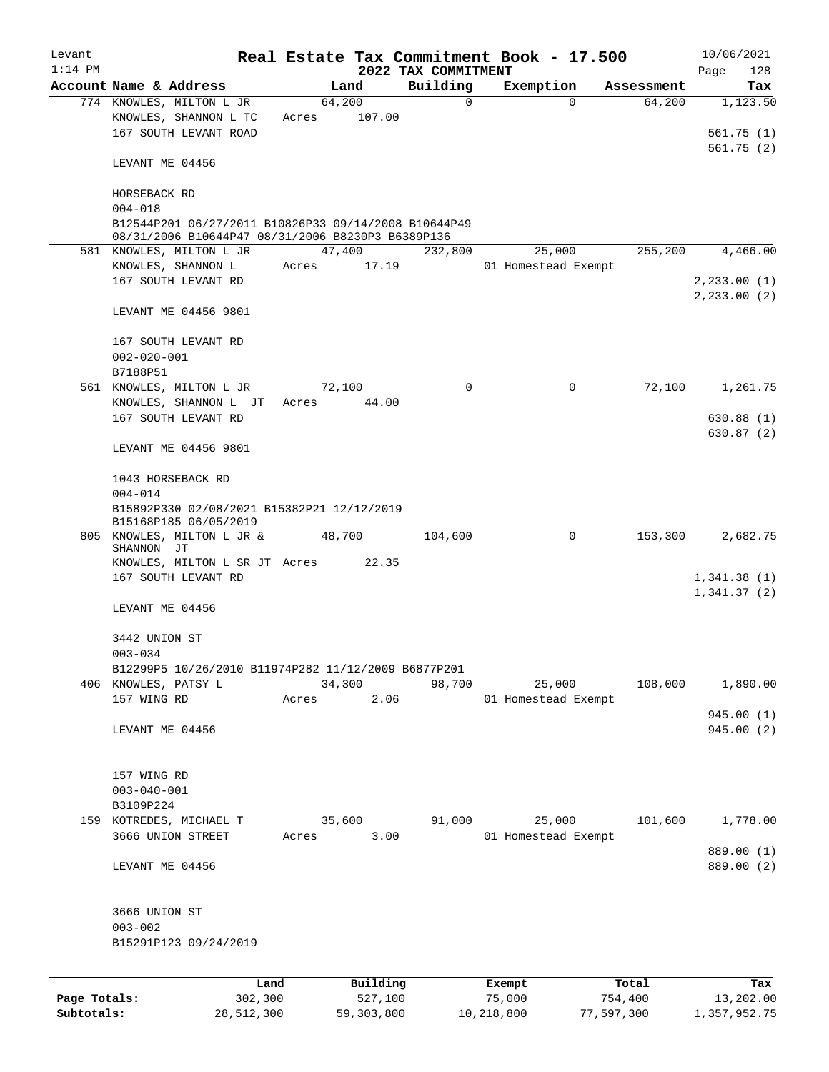| Levant<br>$1:14$ PM |                                                                                                           |         |                 |          | 2022 TAX COMMITMENT | Real Estate Tax Commitment Book - 17.500 |             |            | 10/06/2021<br>Page<br>128     |
|---------------------|-----------------------------------------------------------------------------------------------------------|---------|-----------------|----------|---------------------|------------------------------------------|-------------|------------|-------------------------------|
|                     | Account Name & Address                                                                                    |         |                 | Land     | Building            | Exemption                                |             | Assessment | Tax                           |
|                     | 774 KNOWLES, MILTON L JR<br>KNOWLES, SHANNON L TC                                                         |         | 64,200<br>Acres | 107.00   | 0                   |                                          | $\Omega$    | 64,200     | 1,123.50                      |
|                     | 167 SOUTH LEVANT ROAD                                                                                     |         |                 |          |                     |                                          |             |            | 561.75(1)<br>561.75(2)        |
|                     | LEVANT ME 04456                                                                                           |         |                 |          |                     |                                          |             |            |                               |
|                     | HORSEBACK RD<br>$004 - 018$                                                                               |         |                 |          |                     |                                          |             |            |                               |
|                     | B12544P201 06/27/2011 B10826P33 09/14/2008 B10644P49<br>08/31/2006 B10644P47 08/31/2006 B8230P3 B6389P136 |         |                 |          |                     |                                          |             |            |                               |
|                     | 581 KNOWLES, MILTON L JR                                                                                  |         | 47,400          |          | 232,800             |                                          | 25,000      | 255,200    | 4,466.00                      |
|                     | KNOWLES, SHANNON L                                                                                        |         | Acres           | 17.19    |                     | 01 Homestead Exempt                      |             |            |                               |
|                     | 167 SOUTH LEVANT RD                                                                                       |         |                 |          |                     |                                          |             |            | 2, 233.00(1)<br>2, 233.00 (2) |
|                     | LEVANT ME 04456 9801                                                                                      |         |                 |          |                     |                                          |             |            |                               |
|                     | 167 SOUTH LEVANT RD                                                                                       |         |                 |          |                     |                                          |             |            |                               |
|                     | $002 - 020 - 001$<br>B7188P51                                                                             |         |                 |          |                     |                                          |             |            |                               |
|                     | 561 KNOWLES, MILTON L JR                                                                                  |         | 72,100          |          | 0                   |                                          | $\mathbf 0$ | 72,100     | 1,261.75                      |
|                     | KNOWLES, SHANNON L JT<br>167 SOUTH LEVANT RD                                                              |         | Acres           | 44.00    |                     |                                          |             |            | 630.88(1)                     |
|                     |                                                                                                           |         |                 |          |                     |                                          |             |            | 630.87 (2)                    |
|                     | LEVANT ME 04456 9801                                                                                      |         |                 |          |                     |                                          |             |            |                               |
|                     | 1043 HORSEBACK RD<br>$004 - 014$                                                                          |         |                 |          |                     |                                          |             |            |                               |
|                     | B15892P330 02/08/2021 B15382P21 12/12/2019                                                                |         |                 |          |                     |                                          |             |            |                               |
|                     | B15168P185 06/05/2019<br>805 KNOWLES, MILTON L JR &                                                       |         | 48,700          |          | 104,600             |                                          | 0           | 153,300    | 2,682.75                      |
|                     | SHANNON JT                                                                                                |         |                 | 22.35    |                     |                                          |             |            |                               |
|                     | KNOWLES, MILTON L SR JT Acres<br>167 SOUTH LEVANT RD                                                      |         |                 |          |                     |                                          |             |            | 1,341.38(1)                   |
|                     |                                                                                                           |         |                 |          |                     |                                          |             |            | 1,341.37(2)                   |
|                     | LEVANT ME 04456                                                                                           |         |                 |          |                     |                                          |             |            |                               |
|                     | 3442 UNION ST                                                                                             |         |                 |          |                     |                                          |             |            |                               |
|                     | $003 - 034$<br>B12299P5 10/26/2010 B11974P282 11/12/2009 B6877P201                                        |         |                 |          |                     |                                          |             |            |                               |
|                     | 406 KNOWLES, PATSY L                                                                                      |         | 34,300          |          | 98,700              |                                          | 25,000      | 108,000    | 1,890.00                      |
|                     | 157 WING RD                                                                                               |         | Acres           | 2.06     |                     | 01 Homestead Exempt                      |             |            |                               |
|                     | LEVANT ME 04456                                                                                           |         |                 |          |                     |                                          |             |            | 945.00(1)<br>945.00 (2)       |
|                     |                                                                                                           |         |                 |          |                     |                                          |             |            |                               |
|                     | 157 WING RD                                                                                               |         |                 |          |                     |                                          |             |            |                               |
|                     | $003 - 040 - 001$                                                                                         |         |                 |          |                     |                                          |             |            |                               |
|                     | B3109P224                                                                                                 |         |                 |          |                     |                                          |             |            |                               |
|                     | 159 KOTREDES, MICHAEL T<br>3666 UNION STREET                                                              |         | 35,600<br>Acres | 3.00     | 91,000              | 01 Homestead Exempt                      | 25,000      | 101,600    | 1,778.00                      |
|                     |                                                                                                           |         |                 |          |                     |                                          |             |            | 889.00 (1)                    |
|                     | LEVANT ME 04456                                                                                           |         |                 |          |                     |                                          |             |            | 889.00 (2)                    |
|                     | 3666 UNION ST                                                                                             |         |                 |          |                     |                                          |             |            |                               |
|                     | $003 - 002$                                                                                               |         |                 |          |                     |                                          |             |            |                               |
|                     | B15291P123 09/24/2019                                                                                     |         |                 |          |                     |                                          |             |            |                               |
|                     |                                                                                                           | Land    |                 | Building |                     | Exempt                                   |             | Total      | Tax                           |
| Page Totals:        |                                                                                                           | 302,300 |                 | 527,100  |                     | 75,000                                   |             | 754,400    | 13,202.00                     |

**Subtotals:** 28,512,300 59,303,800 10,218,800 77,597,300 1,357,952.75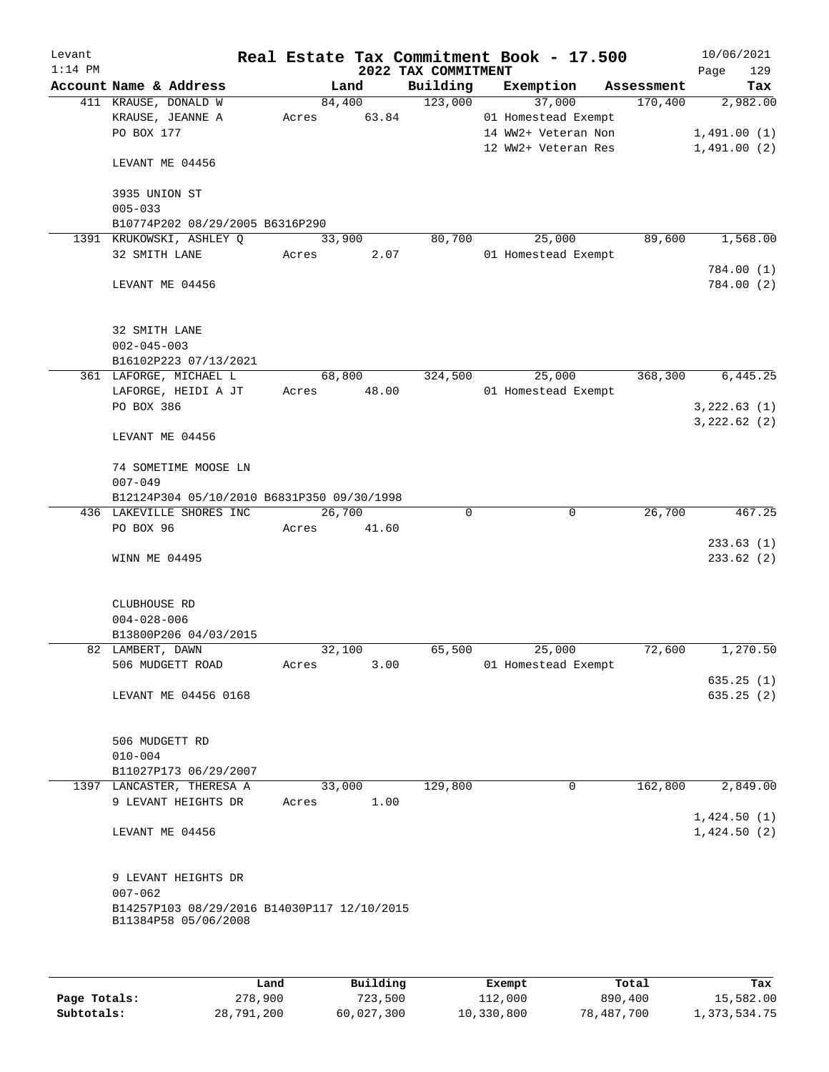| Levant    |                                                                     |             |        |                     | Real Estate Tax Commitment Book - 17.500   |            | 10/06/2021             |          |
|-----------|---------------------------------------------------------------------|-------------|--------|---------------------|--------------------------------------------|------------|------------------------|----------|
| $1:14$ PM |                                                                     |             |        | 2022 TAX COMMITMENT |                                            |            | Page                   | 129      |
|           | Account Name & Address                                              |             | Land   | Building            | Exemption                                  | Assessment |                        | Tax      |
|           | 411 KRAUSE, DONALD W                                                |             | 84,400 | 123,000             | 37,000                                     | 170,400    |                        | 2,982.00 |
|           | KRAUSE, JEANNE A<br>PO BOX 177                                      | Acres       | 63.84  |                     | 01 Homestead Exempt<br>14 WW2+ Veteran Non |            | 1,491.00(1)            |          |
|           |                                                                     |             |        |                     | 12 WW2+ Veteran Res                        |            | 1,491.00(2)            |          |
|           | LEVANT ME 04456                                                     |             |        |                     |                                            |            |                        |          |
|           | 3935 UNION ST                                                       |             |        |                     |                                            |            |                        |          |
|           | $005 - 033$                                                         |             |        |                     |                                            |            |                        |          |
|           | B10774P202 08/29/2005 B6316P290                                     |             |        |                     |                                            |            |                        |          |
|           | 1391 KRUKOWSKI, ASHLEY Q                                            | 33,900      |        | 80,700              | 25,000                                     | 89,600     |                        | 1,568.00 |
|           | 32 SMITH LANE                                                       | Acres       | 2.07   |                     | 01 Homestead Exempt                        |            |                        |          |
|           | LEVANT ME 04456                                                     |             |        |                     |                                            |            | 784.00(1)<br>784.00(2) |          |
|           | 32 SMITH LANE<br>$002 - 045 - 003$                                  |             |        |                     |                                            |            |                        |          |
|           | B16102P223 07/13/2021                                               |             |        |                     |                                            |            |                        |          |
|           | 361 LAFORGE, MICHAEL L                                              | 68,800      |        | 324,500             | 25,000                                     | 368,300    |                        | 6,445.25 |
|           | LAFORGE, HEIDI A JT                                                 | Acres 48.00 |        |                     | 01 Homestead Exempt                        |            |                        |          |
|           | PO BOX 386                                                          |             |        |                     |                                            |            | 3,222.63(1)            |          |
|           | LEVANT ME 04456                                                     |             |        |                     |                                            |            | 3,222.62(2)            |          |
|           | 74 SOMETIME MOOSE LN                                                |             |        |                     |                                            |            |                        |          |
|           | $007 - 049$                                                         |             |        |                     |                                            |            |                        |          |
|           | B12124P304 05/10/2010 B6831P350 09/30/1998                          |             |        |                     |                                            |            |                        |          |
|           | 436 LAKEVILLE SHORES INC                                            | 26,700      |        | $\Omega$            | 0                                          | 26,700     |                        | 467.25   |
|           | PO BOX 96                                                           | Acres       | 41.60  |                     |                                            |            |                        |          |
|           | WINN ME 04495                                                       |             |        |                     |                                            |            | 233.63(1)<br>233.62(2) |          |
|           | CLUBHOUSE RD                                                        |             |        |                     |                                            |            |                        |          |
|           | $004 - 028 - 006$                                                   |             |        |                     |                                            |            |                        |          |
|           | B13800P206 04/03/2015                                               |             |        |                     |                                            |            |                        |          |
|           | 82 LAMBERT, DAWN                                                    | 32,100      |        | 65,500              | 25,000                                     | 72,600     |                        | 1,270.50 |
|           | 506 MUDGETT ROAD                                                    | Acres       | 3.00   |                     | 01 Homestead Exempt                        |            |                        |          |
|           |                                                                     |             |        |                     |                                            |            | 635.25(1)              |          |
|           | LEVANT ME 04456 0168                                                |             |        |                     |                                            |            | 635.25(2)              |          |
|           | 506 MUDGETT RD                                                      |             |        |                     |                                            |            |                        |          |
|           | $010 - 004$                                                         |             |        |                     |                                            |            |                        |          |
|           | B11027P173 06/29/2007<br>1397 LANCASTER, THERESA A                  | 33,000      |        | 129,800             | $\overline{0}$                             | 162,800    |                        | 2,849.00 |
|           | 9 LEVANT HEIGHTS DR                                                 | Acres       | 1.00   |                     |                                            |            | 1,424.50(1)            |          |
|           | LEVANT ME 04456                                                     |             |        |                     |                                            |            | 1,424.50(2)            |          |
|           | 9 LEVANT HEIGHTS DR<br>$007 - 062$                                  |             |        |                     |                                            |            |                        |          |
|           | B14257P103 08/29/2016 B14030P117 12/10/2015<br>B11384P58 05/06/2008 |             |        |                     |                                            |            |                        |          |
|           |                                                                     |             |        |                     |                                            |            |                        |          |

|              | Land       | Building   | Exempt     | Total      | Tax          |
|--------------|------------|------------|------------|------------|--------------|
| Page Totals: | 278,900    | 723,500    | 112,000    | 890,400    | 15,582.00    |
| Subtotals:   | 28,791,200 | 60,027,300 | 10,330,800 | 78,487,700 | 1,373,534.75 |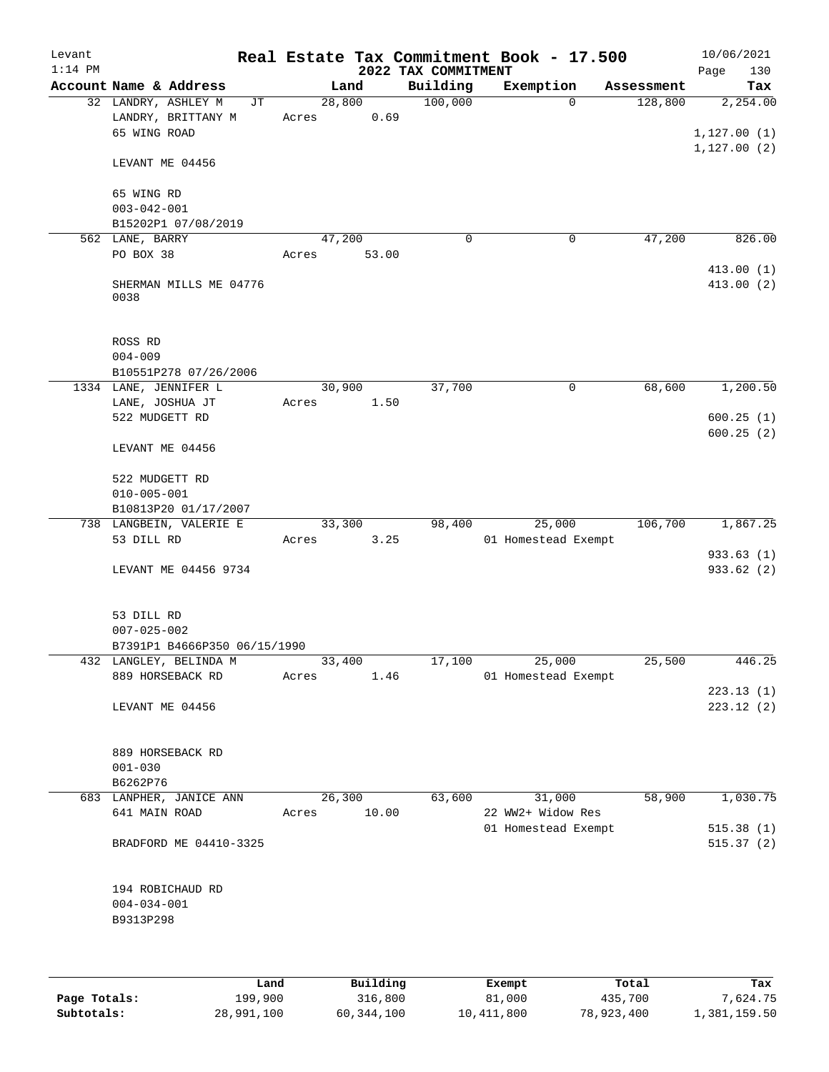| Levant    |                                                           |    |                 |       |                     | Real Estate Tax Commitment Book - 17.500 |            | 10/06/2021               |
|-----------|-----------------------------------------------------------|----|-----------------|-------|---------------------|------------------------------------------|------------|--------------------------|
| $1:14$ PM |                                                           |    |                 |       | 2022 TAX COMMITMENT |                                          |            | 130<br>Page              |
|           | Account Name & Address                                    |    |                 | Land  | Building            | Exemption                                | Assessment | Tax                      |
|           | 32 LANDRY, ASHLEY M<br>LANDRY, BRITTANY M<br>65 WING ROAD | JТ | 28,800<br>Acres | 0.69  | 100,000             | $\Omega$                                 | 128,800    | 2,254.00<br>1, 127.00(1) |
|           | LEVANT ME 04456                                           |    |                 |       |                     |                                          |            | 1, 127.00(2)             |
|           | 65 WING RD<br>$003 - 042 - 001$                           |    |                 |       |                     |                                          |            |                          |
|           | B15202P1 07/08/2019                                       |    |                 |       |                     |                                          |            |                          |
|           | 562 LANE, BARRY                                           |    | 47,200          |       | $\mathbf 0$         | $\mathbf 0$                              | 47,200     | 826.00                   |
|           | PO BOX 38                                                 |    | Acres           | 53.00 |                     |                                          |            | 413.00(1)                |
|           | SHERMAN MILLS ME 04776<br>0038                            |    |                 |       |                     |                                          |            | 413.00(2)                |
|           | ROSS RD                                                   |    |                 |       |                     |                                          |            |                          |
|           | $004 - 009$                                               |    |                 |       |                     |                                          |            |                          |
|           | B10551P278 07/26/2006                                     |    |                 |       |                     |                                          |            |                          |
|           | 1334 LANE, JENNIFER L                                     |    | 30,900          |       | 37,700              | 0                                        | 68,600     | 1,200.50                 |
|           | LANE, JOSHUA JT<br>522 MUDGETT RD                         |    | Acres           | 1.50  |                     |                                          |            | 600.25(1)                |
|           |                                                           |    |                 |       |                     |                                          |            | 600.25(2)                |
|           | LEVANT ME 04456                                           |    |                 |       |                     |                                          |            |                          |
|           | 522 MUDGETT RD                                            |    |                 |       |                     |                                          |            |                          |
|           | $010 - 005 - 001$<br>B10813P20 01/17/2007                 |    |                 |       |                     |                                          |            |                          |
|           | 738 LANGBEIN, VALERIE E                                   |    | 33,300          |       | 98,400              | 25,000                                   | 106,700    | 1,867.25                 |
|           | 53 DILL RD                                                |    | Acres           | 3.25  |                     | 01 Homestead Exempt                      |            |                          |
|           |                                                           |    |                 |       |                     |                                          |            | 933.63(1)                |
|           | LEVANT ME 04456 9734                                      |    |                 |       |                     |                                          |            | 933.62 (2)               |
|           | 53 DILL RD<br>$007 - 025 - 002$                           |    |                 |       |                     |                                          |            |                          |
|           | B7391P1 B4666P350 06/15/1990                              |    |                 |       |                     |                                          |            |                          |
|           | 432 LANGLEY, BELINDA M                                    |    | 33,400          |       | 17,100              | 25,000                                   | 25,500     | 446.25                   |
|           | 889 HORSEBACK RD                                          |    | Acres           | 1.46  |                     | 01 Homestead Exempt                      |            | 223.13(1)                |
|           | LEVANT ME 04456                                           |    |                 |       |                     |                                          |            | 223.12(2)                |
|           |                                                           |    |                 |       |                     |                                          |            |                          |
|           | 889 HORSEBACK RD                                          |    |                 |       |                     |                                          |            |                          |
|           | $001 - 030$                                               |    |                 |       |                     |                                          |            |                          |
|           | B6262P76                                                  |    |                 |       |                     |                                          |            |                          |
|           | 683 LANPHER, JANICE ANN                                   |    | 26,300          |       | 63,600              | 31,000                                   | 58,900     | 1,030.75                 |
|           | 641 MAIN ROAD                                             |    | Acres           | 10.00 |                     | 22 WW2+ Widow Res                        |            |                          |
|           |                                                           |    |                 |       |                     | 01 Homestead Exempt                      |            | 515.38(1)                |
|           | BRADFORD ME 04410-3325                                    |    |                 |       |                     |                                          |            | 515.37(2)                |
|           | 194 ROBICHAUD RD                                          |    |                 |       |                     |                                          |            |                          |
|           | $004 - 034 - 001$                                         |    |                 |       |                     |                                          |            |                          |
|           | B9313P298                                                 |    |                 |       |                     |                                          |            |                          |
|           |                                                           |    |                 |       |                     |                                          |            |                          |
|           |                                                           |    |                 |       |                     |                                          |            |                          |
|           |                                                           |    |                 |       |                     |                                          |            |                          |

|              | Land       | Building   | Exempt     | Total      | Tax          |
|--------------|------------|------------|------------|------------|--------------|
| Page Totals: | 199,900    | 316,800    | 81,000     | 435,700    | 7.624.75     |
| Subtotals:   | 28,991,100 | 60,344,100 | 10,411,800 | 78,923,400 | 1,381,159.50 |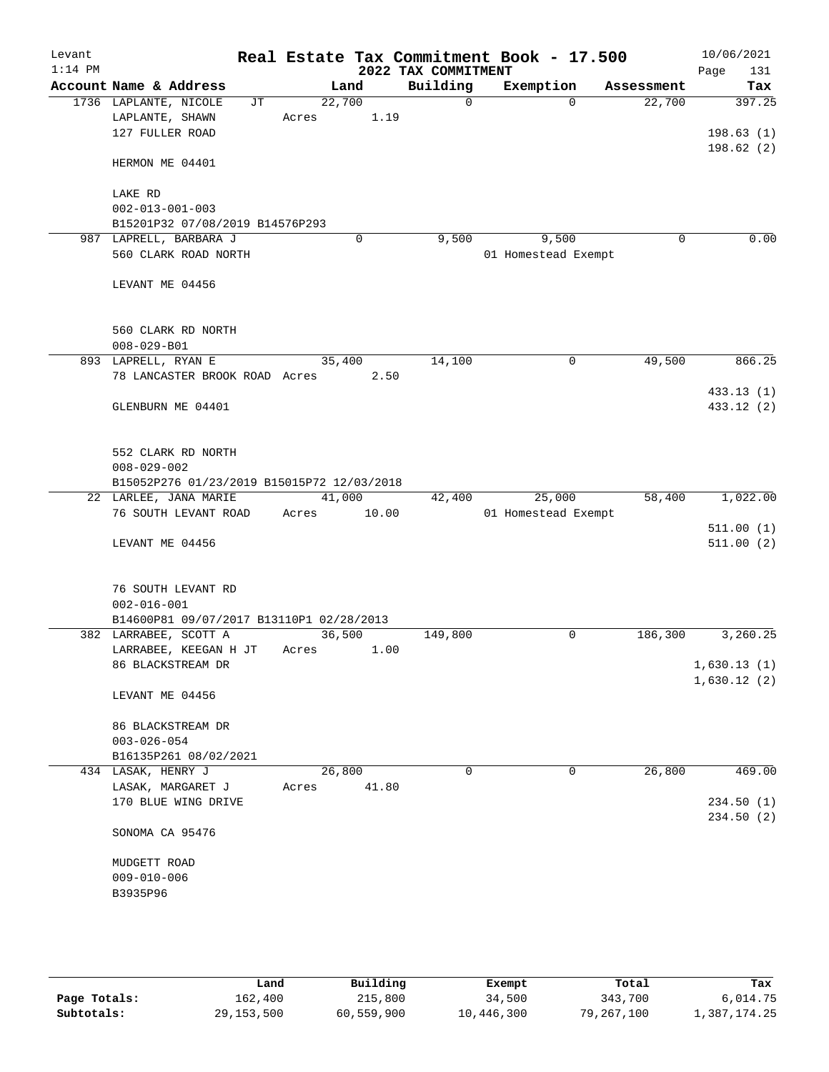| Levant<br>$1:14$ PM |                                            |        |       | 2022 TAX COMMITMENT | Real Estate Tax Commitment Book - 17.500 |            | 10/06/2021<br>Page<br>131 |
|---------------------|--------------------------------------------|--------|-------|---------------------|------------------------------------------|------------|---------------------------|
|                     | Account Name & Address                     |        | Land  | Building            | Exemption                                | Assessment | Tax                       |
|                     | 1736 LAPLANTE, NICOLE<br>JТ                | 22,700 |       | $\mathbf 0$         | $\Omega$                                 | 22,700     | 397.25                    |
|                     | LAPLANTE, SHAWN                            | Acres  | 1.19  |                     |                                          |            |                           |
|                     | 127 FULLER ROAD                            |        |       |                     |                                          |            | 198.63(1)                 |
|                     |                                            |        |       |                     |                                          |            | 198.62(2)                 |
|                     | HERMON ME 04401                            |        |       |                     |                                          |            |                           |
|                     |                                            |        |       |                     |                                          |            |                           |
|                     | LAKE RD                                    |        |       |                     |                                          |            |                           |
|                     | $002 - 013 - 001 - 003$                    |        |       |                     |                                          |            |                           |
|                     | B15201P32 07/08/2019 B14576P293            |        |       |                     |                                          |            |                           |
|                     | 987 LAPRELL, BARBARA J                     |        | 0     | 9,500               | 9,500                                    | 0          | 0.00                      |
|                     | 560 CLARK ROAD NORTH                       |        |       |                     | 01 Homestead Exempt                      |            |                           |
|                     |                                            |        |       |                     |                                          |            |                           |
|                     | LEVANT ME 04456                            |        |       |                     |                                          |            |                           |
|                     |                                            |        |       |                     |                                          |            |                           |
|                     | 560 CLARK RD NORTH                         |        |       |                     |                                          |            |                           |
|                     | $008 - 029 - B01$                          |        |       |                     |                                          |            |                           |
|                     | 893 LAPRELL, RYAN E                        | 35,400 |       | 14,100              | 0                                        | 49,500     | 866.25                    |
|                     | 78 LANCASTER BROOK ROAD Acres              |        | 2.50  |                     |                                          |            |                           |
|                     |                                            |        |       |                     |                                          |            | 433.13 (1)                |
|                     | GLENBURN ME 04401                          |        |       |                     |                                          |            | 433.12 (2)                |
|                     |                                            |        |       |                     |                                          |            |                           |
|                     |                                            |        |       |                     |                                          |            |                           |
|                     | 552 CLARK RD NORTH                         |        |       |                     |                                          |            |                           |
|                     | $008 - 029 - 002$                          |        |       |                     |                                          |            |                           |
|                     | B15052P276 01/23/2019 B15015P72 12/03/2018 |        |       |                     |                                          |            |                           |
|                     | 22 LARLEE, JANA MARIE                      | 41,000 |       | 42,400              | 25,000                                   | 58,400     | 1,022.00                  |
|                     | 76 SOUTH LEVANT ROAD                       | Acres  | 10.00 |                     | 01 Homestead Exempt                      |            |                           |
|                     |                                            |        |       |                     |                                          |            | 511.00(1)                 |
|                     | LEVANT ME 04456                            |        |       |                     |                                          |            | 511.00(2)                 |
|                     |                                            |        |       |                     |                                          |            |                           |
|                     |                                            |        |       |                     |                                          |            |                           |
|                     | 76 SOUTH LEVANT RD                         |        |       |                     |                                          |            |                           |
|                     | $002 - 016 - 001$                          |        |       |                     |                                          |            |                           |
|                     | B14600P81 09/07/2017 B13110P1 02/28/2013   |        |       |                     |                                          |            |                           |
|                     | 382 LARRABEE, SCOTT A                      | 36,500 |       | 149,800             | 0                                        | 186,300    | 3,260.25                  |
|                     | LARRABEE, KEEGAN H JT                      | Acres  | 1.00  |                     |                                          |            |                           |
|                     | 86 BLACKSTREAM DR                          |        |       |                     |                                          |            | 1,630.13(1)               |
|                     |                                            |        |       |                     |                                          |            | 1,630.12(2)               |
|                     | LEVANT ME 04456                            |        |       |                     |                                          |            |                           |
|                     |                                            |        |       |                     |                                          |            |                           |
|                     | 86 BLACKSTREAM DR                          |        |       |                     |                                          |            |                           |
|                     | $003 - 026 - 054$                          |        |       |                     |                                          |            |                           |
|                     | B16135P261 08/02/2021                      |        |       |                     |                                          |            |                           |
|                     | 434 LASAK, HENRY J                         | 26,800 |       | $\mathbf 0$         | 0                                        | 26,800     | 469.00                    |
|                     | LASAK, MARGARET J                          | Acres  | 41.80 |                     |                                          |            |                           |
|                     | 170 BLUE WING DRIVE                        |        |       |                     |                                          |            | 234.50(1)                 |
|                     |                                            |        |       |                     |                                          |            | 234.50 (2)                |
|                     | SONOMA CA 95476                            |        |       |                     |                                          |            |                           |
|                     |                                            |        |       |                     |                                          |            |                           |
|                     | MUDGETT ROAD                               |        |       |                     |                                          |            |                           |
|                     | $009 - 010 - 006$                          |        |       |                     |                                          |            |                           |
|                     | B3935P96                                   |        |       |                     |                                          |            |                           |
|                     |                                            |        |       |                     |                                          |            |                           |
|                     |                                            |        |       |                     |                                          |            |                           |

|              | Land         | Building   | Exempt     | Total      | Tax          |
|--------------|--------------|------------|------------|------------|--------------|
| Page Totals: | 162,400      | 215,800    | 34,500     | 343,700    | 6,014.75     |
| Subtotals:   | 29, 153, 500 | 60,559,900 | 10,446,300 | 79,267,100 | 1,387,174.25 |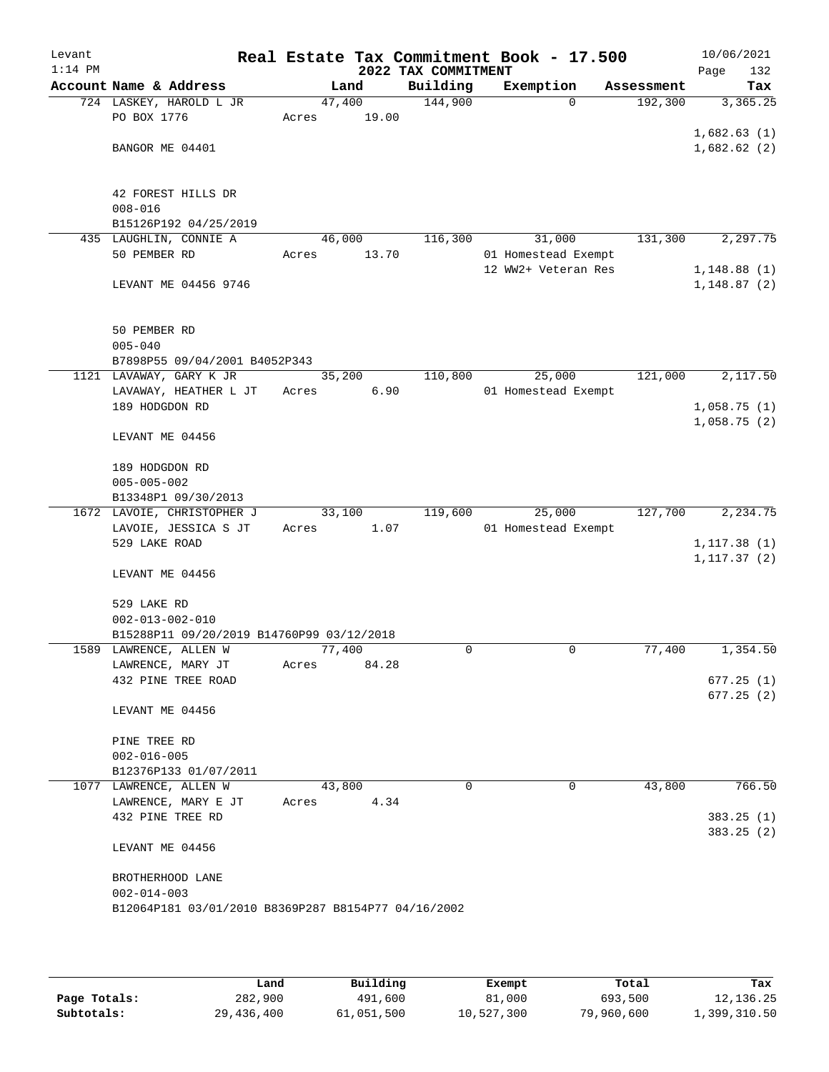| Levant<br>$1:14$ PM |                                                                      |        |       | 2022 TAX COMMITMENT | Real Estate Tax Commitment Book - 17.500 |            | 10/06/2021<br>Page<br>132 |
|---------------------|----------------------------------------------------------------------|--------|-------|---------------------|------------------------------------------|------------|---------------------------|
|                     | Account Name & Address                                               |        | Land  | Building            | Exemption                                | Assessment | Tax                       |
|                     | 724 LASKEY, HAROLD L JR                                              | 47,400 |       | 144,900             | $\Omega$                                 | 192,300    | 3,365.25                  |
|                     | PO BOX 1776                                                          | Acres  | 19.00 |                     |                                          |            |                           |
|                     |                                                                      |        |       |                     |                                          |            | 1,682.63(1)               |
|                     | BANGOR ME 04401                                                      |        |       |                     |                                          |            | 1,682.62(2)               |
|                     |                                                                      |        |       |                     |                                          |            |                           |
|                     |                                                                      |        |       |                     |                                          |            |                           |
|                     | 42 FOREST HILLS DR                                                   |        |       |                     |                                          |            |                           |
|                     | $008 - 016$                                                          |        |       |                     |                                          |            |                           |
|                     | B15126P192 04/25/2019                                                |        |       |                     |                                          |            |                           |
|                     | 435 LAUGHLIN, CONNIE A                                               | 46,000 |       | 116,300             | 31,000                                   | 131,300    | 2,297.75                  |
|                     | 50 PEMBER RD                                                         | Acres  | 13.70 |                     | 01 Homestead Exempt                      |            |                           |
|                     |                                                                      |        |       |                     | 12 WW2+ Veteran Res                      |            | 1,148.88(1)               |
|                     | LEVANT ME 04456 9746                                                 |        |       |                     |                                          |            | 1,148.87(2)               |
|                     |                                                                      |        |       |                     |                                          |            |                           |
|                     | 50 PEMBER RD                                                         |        |       |                     |                                          |            |                           |
|                     | $005 - 040$                                                          |        |       |                     |                                          |            |                           |
|                     | B7898P55 09/04/2001 B4052P343                                        |        |       |                     |                                          |            |                           |
|                     | 1121 LAVAWAY, GARY K JR                                              | 35,200 |       | 110,800             | 25,000                                   | 121,000    | 2,117.50                  |
|                     | LAVAWAY, HEATHER L JT                                                | Acres  | 6.90  |                     | 01 Homestead Exempt                      |            |                           |
|                     | 189 HODGDON RD                                                       |        |       |                     |                                          |            | 1,058.75(1)               |
|                     |                                                                      |        |       |                     |                                          |            | 1,058.75(2)               |
|                     | LEVANT ME 04456                                                      |        |       |                     |                                          |            |                           |
|                     |                                                                      |        |       |                     |                                          |            |                           |
|                     | 189 HODGDON RD                                                       |        |       |                     |                                          |            |                           |
|                     | $005 - 005 - 002$                                                    |        |       |                     |                                          |            |                           |
|                     | B13348P1 09/30/2013                                                  |        |       |                     |                                          |            |                           |
|                     | 1672 LAVOIE, CHRISTOPHER J                                           | 33,100 |       | 119,600             | 25,000                                   | 127,700    | 2,234.75                  |
|                     | LAVOIE, JESSICA S JT                                                 | Acres  | 1.07  |                     | 01 Homestead Exempt                      |            |                           |
|                     | 529 LAKE ROAD                                                        |        |       |                     |                                          |            | 1, 117.38(1)              |
|                     |                                                                      |        |       |                     |                                          |            | 1, 117.37(2)              |
|                     | LEVANT ME 04456                                                      |        |       |                     |                                          |            |                           |
|                     |                                                                      |        |       |                     |                                          |            |                           |
|                     | 529 LAKE RD                                                          |        |       |                     |                                          |            |                           |
|                     | $002 - 013 - 002 - 010$<br>B15288P11 09/20/2019 B14760P99 03/12/2018 |        |       |                     |                                          |            |                           |
|                     | 1589 LAWRENCE, ALLEN W                                               | 77,400 |       | 0                   | 0                                        | 77,400     | 1,354.50                  |
|                     | LAWRENCE, MARY JT                                                    | Acres  | 84.28 |                     |                                          |            |                           |
|                     | 432 PINE TREE ROAD                                                   |        |       |                     |                                          |            | 677.25(1)                 |
|                     |                                                                      |        |       |                     |                                          |            | 677.25(2)                 |
|                     | LEVANT ME 04456                                                      |        |       |                     |                                          |            |                           |
|                     |                                                                      |        |       |                     |                                          |            |                           |
|                     | PINE TREE RD                                                         |        |       |                     |                                          |            |                           |
|                     | $002 - 016 - 005$                                                    |        |       |                     |                                          |            |                           |
|                     | B12376P133 01/07/2011                                                |        |       |                     |                                          |            |                           |
|                     | 1077 LAWRENCE, ALLEN W                                               | 43,800 |       | $\Omega$            | 0                                        | 43,800     | 766.50                    |
|                     | LAWRENCE, MARY E JT                                                  | Acres  | 4.34  |                     |                                          |            |                           |
|                     | 432 PINE TREE RD                                                     |        |       |                     |                                          |            | 383.25(1)                 |
|                     |                                                                      |        |       |                     |                                          |            | 383.25(2)                 |
|                     | LEVANT ME 04456                                                      |        |       |                     |                                          |            |                           |
|                     |                                                                      |        |       |                     |                                          |            |                           |
|                     | BROTHERHOOD LANE                                                     |        |       |                     |                                          |            |                           |
|                     | $002 - 014 - 003$                                                    |        |       |                     |                                          |            |                           |
|                     | B12064P181 03/01/2010 B8369P287 B8154P77 04/16/2002                  |        |       |                     |                                          |            |                           |
|                     |                                                                      |        |       |                     |                                          |            |                           |
|                     |                                                                      |        |       |                     |                                          |            |                           |

|              | Land       | Building   | Exempt     | Total      | Tax          |
|--------------|------------|------------|------------|------------|--------------|
| Page Totals: | 282,900    | 491,600    | 81,000     | 693,500    | 12,136.25    |
| Subtotals:   | 29,436,400 | 61,051,500 | 10,527,300 | 79,960,600 | 1,399,310.50 |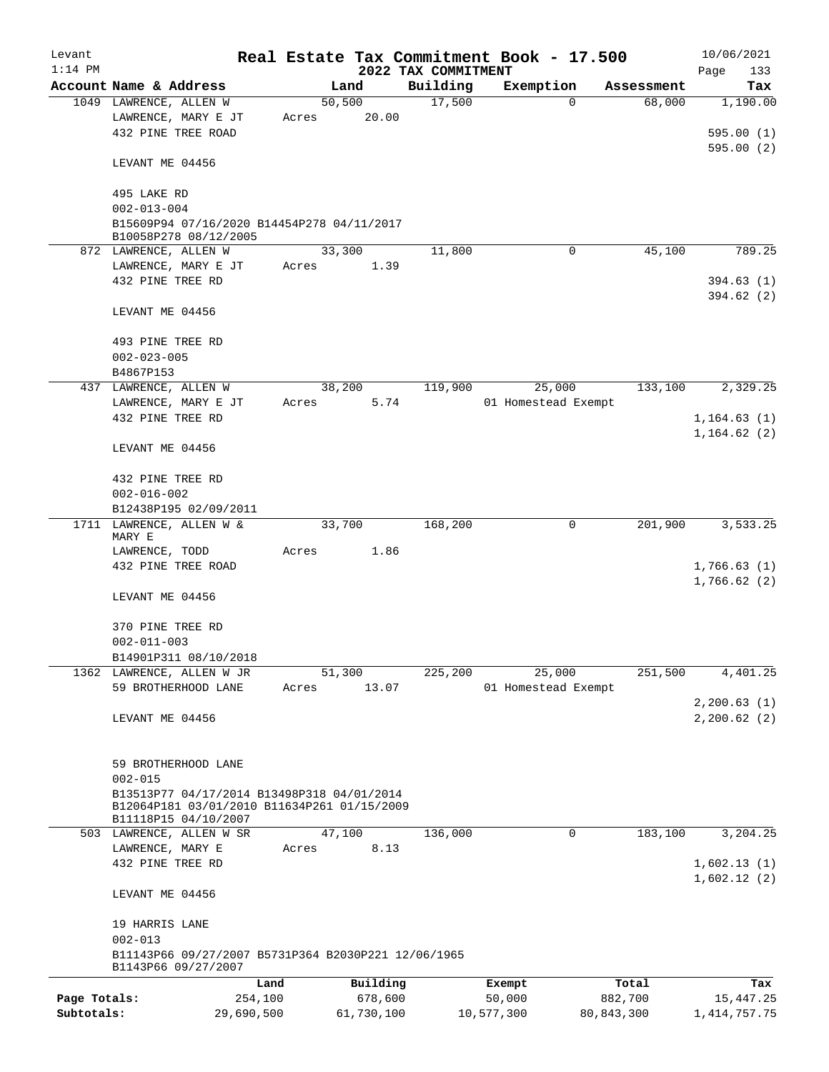| Levant       |                                                                     |       |            |                     | Real Estate Tax Commitment Book - 17.500 |              | 10/06/2021      |
|--------------|---------------------------------------------------------------------|-------|------------|---------------------|------------------------------------------|--------------|-----------------|
| $1:14$ PM    |                                                                     |       |            | 2022 TAX COMMITMENT |                                          |              | Page<br>133     |
|              | Account Name & Address                                              |       | Land       | Building            | Exemption                                | Assessment   | Tax             |
|              | 1049 LAWRENCE, ALLEN W                                              |       | 50, 500    | 17,500              | $\Omega$                                 | 68,000       | 1,190.00        |
|              | LAWRENCE, MARY E JT                                                 | Acres | 20.00      |                     |                                          |              |                 |
|              | 432 PINE TREE ROAD                                                  |       |            |                     |                                          |              | 595.00(1)       |
|              |                                                                     |       |            |                     |                                          |              | 595.00(2)       |
|              | LEVANT ME 04456                                                     |       |            |                     |                                          |              |                 |
|              |                                                                     |       |            |                     |                                          |              |                 |
|              | 495 LAKE RD                                                         |       |            |                     |                                          |              |                 |
|              | $002 - 013 - 004$                                                   |       |            |                     |                                          |              |                 |
|              | B15609P94 07/16/2020 B14454P278 04/11/2017                          |       |            |                     |                                          |              |                 |
|              | B10058P278 08/12/2005                                               |       |            |                     |                                          |              |                 |
|              | 872 LAWRENCE, ALLEN W                                               |       | 33,300     | 11,800              | 0                                        | 45,100       | 789.25          |
|              | LAWRENCE, MARY E JT                                                 | Acres | 1.39       |                     |                                          |              |                 |
|              | 432 PINE TREE RD                                                    |       |            |                     |                                          |              | 394.63(1)       |
|              |                                                                     |       |            |                     |                                          |              | 394.62 (2)      |
|              | LEVANT ME 04456                                                     |       |            |                     |                                          |              |                 |
|              |                                                                     |       |            |                     |                                          |              |                 |
|              | 493 PINE TREE RD                                                    |       |            |                     |                                          |              |                 |
|              | $002 - 023 - 005$                                                   |       |            |                     |                                          |              |                 |
|              | B4867P153                                                           |       |            |                     |                                          |              |                 |
|              | 437 LAWRENCE, ALLEN W                                               |       | 38,200     | 119,900             | 25,000                                   | 133,100      | 2,329.25        |
|              | LAWRENCE, MARY E JT                                                 | Acres | 5.74       |                     | 01 Homestead Exempt                      |              |                 |
|              | 432 PINE TREE RD                                                    |       |            |                     |                                          |              | 1,164.63(1)     |
|              |                                                                     |       |            |                     |                                          |              | 1,164.62(2)     |
|              | LEVANT ME 04456                                                     |       |            |                     |                                          |              |                 |
|              |                                                                     |       |            |                     |                                          |              |                 |
|              | 432 PINE TREE RD                                                    |       |            |                     |                                          |              |                 |
|              | $002 - 016 - 002$                                                   |       |            |                     |                                          |              |                 |
|              | B12438P195 02/09/2011                                               |       |            |                     |                                          |              |                 |
|              | 1711 LAWRENCE, ALLEN W &                                            |       | 33,700     | 168,200             | 0                                        | 201,900      | 3,533.25        |
|              | MARY E                                                              |       |            |                     |                                          |              |                 |
|              | LAWRENCE, TODD                                                      | Acres | 1.86       |                     |                                          |              |                 |
|              | 432 PINE TREE ROAD                                                  |       |            |                     |                                          |              | 1,766.63(1)     |
|              |                                                                     |       |            |                     |                                          |              | 1,766.62(2)     |
|              | LEVANT ME 04456                                                     |       |            |                     |                                          |              |                 |
|              |                                                                     |       |            |                     |                                          |              |                 |
|              | 370 PINE TREE RD                                                    |       |            |                     |                                          |              |                 |
|              | $002 - 011 - 003$                                                   |       |            |                     |                                          |              |                 |
|              | B14901P311 08/10/2018                                               |       |            |                     |                                          |              |                 |
|              | 1362 LAWRENCE, ALLEN W JR                                           |       | 51,300     | 225,200             | 25,000                                   | 251,500      | 4,401.25        |
|              | 59 BROTHERHOOD LANE                                                 | Acres | 13.07      |                     | 01 Homestead Exempt                      |              |                 |
|              |                                                                     |       |            |                     |                                          |              | 2, 200.63(1)    |
|              | LEVANT ME 04456                                                     |       |            |                     |                                          |              | 2, 200.62(2)    |
|              |                                                                     |       |            |                     |                                          |              |                 |
|              |                                                                     |       |            |                     |                                          |              |                 |
|              | 59 BROTHERHOOD LANE                                                 |       |            |                     |                                          |              |                 |
|              | $002 - 015$                                                         |       |            |                     |                                          |              |                 |
|              | B13513P77 04/17/2014 B13498P318 04/01/2014                          |       |            |                     |                                          |              |                 |
|              | B12064P181 03/01/2010 B11634P261 01/15/2009<br>B11118P15 04/10/2007 |       |            |                     |                                          |              |                 |
|              | 503 LAWRENCE, ALLEN W SR                                            |       | 47,100     | 136,000             | 0                                        | 183,100      | 3,204.25        |
|              | LAWRENCE, MARY E                                                    | Acres | 8.13       |                     |                                          |              |                 |
|              | 432 PINE TREE RD                                                    |       |            |                     |                                          |              | 1,602.13(1)     |
|              |                                                                     |       |            |                     |                                          |              | 1,602.12(2)     |
|              | LEVANT ME 04456                                                     |       |            |                     |                                          |              |                 |
|              |                                                                     |       |            |                     |                                          |              |                 |
|              | 19 HARRIS LANE                                                      |       |            |                     |                                          |              |                 |
|              | $002 - 013$                                                         |       |            |                     |                                          |              |                 |
|              | B11143P66 09/27/2007 B5731P364 B2030P221 12/06/1965                 |       |            |                     |                                          |              |                 |
|              | B1143P66 09/27/2007                                                 |       |            |                     |                                          |              |                 |
|              | Land                                                                |       | Building   |                     | Exempt                                   | Total        | Tax             |
| Page Totals: | 254,100                                                             |       | 678,600    |                     | 50,000                                   | 882,700      | 15,447.25       |
| Subtotals:   | 29,690,500                                                          |       | 61,730,100 |                     | 10,577,300                               | 80, 843, 300 | 1, 414, 757. 75 |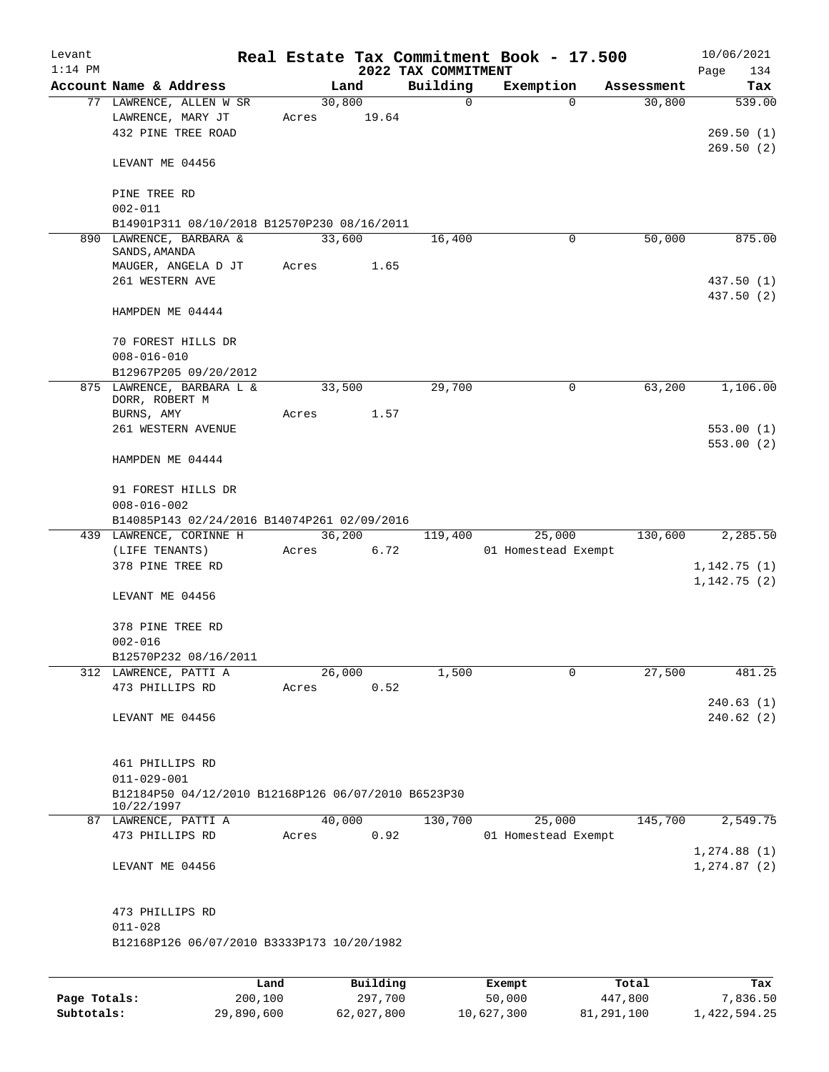| Levant<br>$1:14$ PM |                                                     |       |        |          | 2022 TAX COMMITMENT | Real Estate Tax Commitment Book - 17.500 |            | 10/06/2021<br>134<br>Page |
|---------------------|-----------------------------------------------------|-------|--------|----------|---------------------|------------------------------------------|------------|---------------------------|
|                     | Account Name & Address                              |       | Land   |          | Building            | Exemption                                | Assessment | Tax                       |
|                     | 77 LAWRENCE, ALLEN W SR                             |       | 30,800 |          | $\mathbf 0$         | $\Omega$                                 | 30,800     | 539.00                    |
|                     | LAWRENCE, MARY JT                                   | Acres |        | 19.64    |                     |                                          |            |                           |
|                     | 432 PINE TREE ROAD                                  |       |        |          |                     |                                          |            | 269.50(1)                 |
|                     |                                                     |       |        |          |                     |                                          |            | 269.50(2)                 |
|                     | LEVANT ME 04456                                     |       |        |          |                     |                                          |            |                           |
|                     |                                                     |       |        |          |                     |                                          |            |                           |
|                     | PINE TREE RD                                        |       |        |          |                     |                                          |            |                           |
|                     | $002 - 011$                                         |       |        |          |                     |                                          |            |                           |
|                     | B14901P311 08/10/2018 B12570P230 08/16/2011         |       |        |          |                     |                                          |            |                           |
|                     | 890 LAWRENCE, BARBARA &<br>SANDS, AMANDA            |       | 33,600 |          | 16,400              | 0                                        | 50,000     | 875.00                    |
|                     | MAUGER, ANGELA D JT                                 | Acres |        | 1.65     |                     |                                          |            |                           |
|                     | 261 WESTERN AVE                                     |       |        |          |                     |                                          |            | 437.50 (1)                |
|                     |                                                     |       |        |          |                     |                                          |            | 437.50 (2)                |
|                     | HAMPDEN ME 04444                                    |       |        |          |                     |                                          |            |                           |
|                     |                                                     |       |        |          |                     |                                          |            |                           |
|                     | 70 FOREST HILLS DR                                  |       |        |          |                     |                                          |            |                           |
|                     | $008 - 016 - 010$                                   |       |        |          |                     |                                          |            |                           |
|                     | B12967P205 09/20/2012                               |       |        |          |                     |                                          |            |                           |
|                     | 875 LAWRENCE, BARBARA L &                           |       | 33,500 |          | 29,700              | 0                                        | 63,200     | 1,106.00                  |
|                     | DORR, ROBERT M                                      |       |        |          |                     |                                          |            |                           |
|                     | BURNS, AMY                                          | Acres |        | 1.57     |                     |                                          |            |                           |
|                     | 261 WESTERN AVENUE                                  |       |        |          |                     |                                          |            | 553.00(1)                 |
|                     |                                                     |       |        |          |                     |                                          |            | 553.00 (2)                |
|                     | HAMPDEN ME 04444                                    |       |        |          |                     |                                          |            |                           |
|                     | 91 FOREST HILLS DR                                  |       |        |          |                     |                                          |            |                           |
|                     | $008 - 016 - 002$                                   |       |        |          |                     |                                          |            |                           |
|                     | B14085P143 02/24/2016 B14074P261 02/09/2016         |       |        |          |                     |                                          |            |                           |
|                     | 439 LAWRENCE, CORINNE H                             |       | 36,200 |          | 119,400             | 25,000                                   | 130,600    | 2,285.50                  |
|                     | (LIFE TENANTS)                                      | Acres |        | 6.72     |                     | 01 Homestead Exempt                      |            |                           |
|                     | 378 PINE TREE RD                                    |       |        |          |                     |                                          |            | 1,142.75(1)               |
|                     |                                                     |       |        |          |                     |                                          |            | 1,142.75(2)               |
|                     | LEVANT ME 04456                                     |       |        |          |                     |                                          |            |                           |
|                     |                                                     |       |        |          |                     |                                          |            |                           |
|                     | 378 PINE TREE RD                                    |       |        |          |                     |                                          |            |                           |
|                     | $002 - 016$                                         |       |        |          |                     |                                          |            |                           |
|                     | B12570P232 08/16/2011                               |       |        |          |                     |                                          |            |                           |
|                     | 312 LAWRENCE, PATTI A                               |       | 26,000 |          | 1,500               | 0                                        | 27,500     | 481.25                    |
|                     | 473 PHILLIPS RD                                     | Acres |        | 0.52     |                     |                                          |            |                           |
|                     |                                                     |       |        |          |                     |                                          |            | 240.63 (1)                |
|                     | LEVANT ME 04456                                     |       |        |          |                     |                                          |            | 240.62(2)                 |
|                     |                                                     |       |        |          |                     |                                          |            |                           |
|                     |                                                     |       |        |          |                     |                                          |            |                           |
|                     | 461 PHILLIPS RD                                     |       |        |          |                     |                                          |            |                           |
|                     | $011 - 029 - 001$                                   |       |        |          |                     |                                          |            |                           |
|                     | B12184P50 04/12/2010 B12168P126 06/07/2010 B6523P30 |       |        |          |                     |                                          |            |                           |
|                     | 10/22/1997                                          |       |        |          |                     |                                          |            |                           |
|                     | 87 LAWRENCE, PATTI A                                |       | 40,000 |          | 130,700             | 25,000                                   | 145,700    | 2,549.75                  |
|                     | 473 PHILLIPS RD                                     | Acres |        | 0.92     |                     | 01 Homestead Exempt                      |            |                           |
|                     |                                                     |       |        |          |                     |                                          |            | 1, 274.88(1)              |
|                     | LEVANT ME 04456                                     |       |        |          |                     |                                          |            | 1, 274.87 (2)             |
|                     |                                                     |       |        |          |                     |                                          |            |                           |
|                     | 473 PHILLIPS RD                                     |       |        |          |                     |                                          |            |                           |
|                     | $011 - 028$                                         |       |        |          |                     |                                          |            |                           |
|                     | B12168P126 06/07/2010 B3333P173 10/20/1982          |       |        |          |                     |                                          |            |                           |
|                     |                                                     |       |        |          |                     |                                          |            |                           |
|                     |                                                     | Land  |        | Building |                     | Exempt                                   | Total      | Tax                       |

|              | nana       | <b>DULLULLY</b> | <b>BACILDL</b> | TOLAT      | ⊥a∧          |
|--------------|------------|-----------------|----------------|------------|--------------|
| Page Totals: | 200,100    | 297,700         | 50,000         | 447,800    | 7,836.50     |
| Subtotals:   | 29,890,600 | 62,027,800      | 10,627,300     | 81,291,100 | 1,422,594.25 |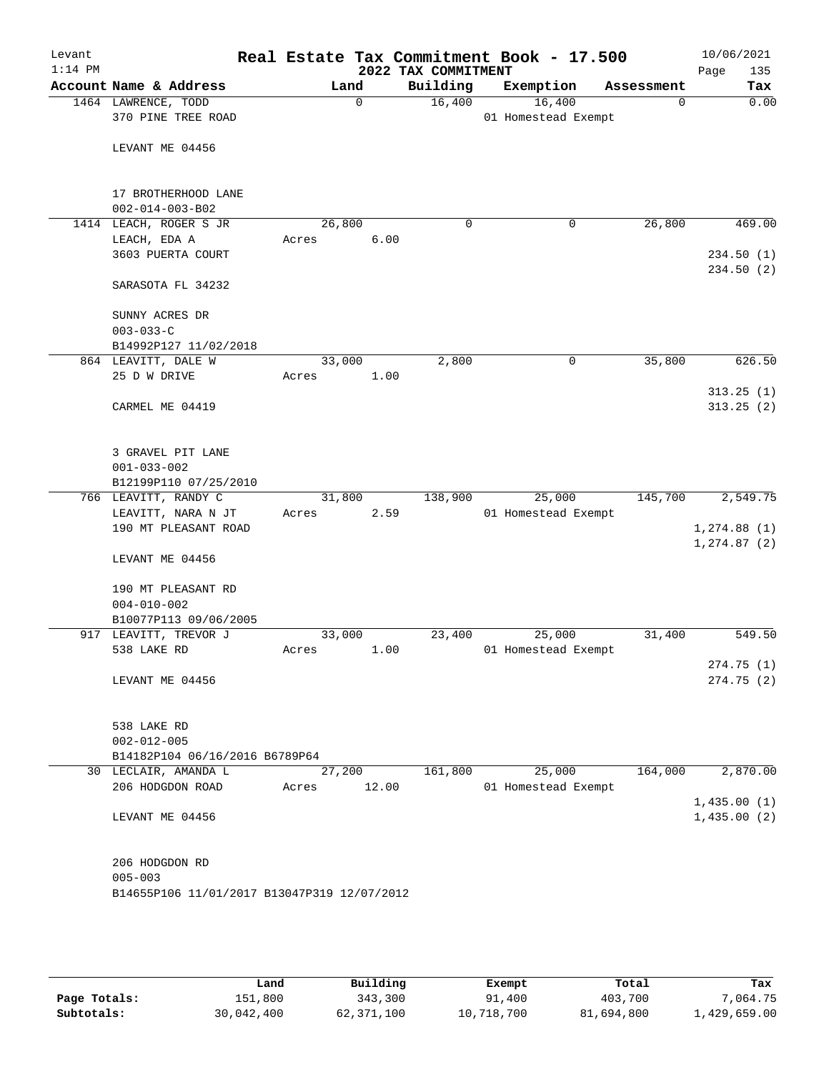| Levant<br>$1:14$ PM |                                                   |                 |             | 2022 TAX COMMITMENT | Real Estate Tax Commitment Book - 17.500 |             | 10/06/2021<br>Page<br>135 |
|---------------------|---------------------------------------------------|-----------------|-------------|---------------------|------------------------------------------|-------------|---------------------------|
|                     | Account Name & Address                            |                 | Land        | Building            | Exemption                                | Assessment  | Tax                       |
|                     | 1464 LAWRENCE, TODD<br>370 PINE TREE ROAD         |                 | $\mathbf 0$ | 16,400              | 16,400<br>01 Homestead Exempt            | $\mathbf 0$ | 0.00                      |
|                     | LEVANT ME 04456                                   |                 |             |                     |                                          |             |                           |
|                     | 17 BROTHERHOOD LANE                               |                 |             |                     |                                          |             |                           |
|                     | $002 - 014 - 003 - B02$<br>1414 LEACH, ROGER S JR | 26,800          |             | $\mathbf 0$         | $\mathbf 0$                              | 26,800      | 469.00                    |
|                     | LEACH, EDA A                                      | Acres           | 6.00        |                     |                                          |             |                           |
|                     | 3603 PUERTA COURT                                 |                 |             |                     |                                          |             | 234.50(1)<br>234.50(2)    |
|                     | SARASOTA FL 34232                                 |                 |             |                     |                                          |             |                           |
|                     | SUNNY ACRES DR                                    |                 |             |                     |                                          |             |                           |
|                     | $003 - 033 - C$                                   |                 |             |                     |                                          |             |                           |
|                     | B14992P127 11/02/2018                             |                 |             |                     |                                          |             |                           |
|                     | 864 LEAVITT, DALE W                               | 33,000          |             | 2,800               | $\mathsf{O}$                             | 35,800      | 626.50                    |
|                     | 25 D W DRIVE                                      | Acres           | 1.00        |                     |                                          |             |                           |
|                     | CARMEL ME 04419                                   |                 |             |                     |                                          |             | 313.25(1)<br>313.25(2)    |
|                     | 3 GRAVEL PIT LANE<br>$001 - 033 - 002$            |                 |             |                     |                                          |             |                           |
|                     | B12199P110 07/25/2010                             |                 |             |                     |                                          |             |                           |
|                     | 766 LEAVITT, RANDY C                              | 31,800          |             | 138,900             | 25,000                                   | 145,700     | 2,549.75                  |
|                     | LEAVITT, NARA N JT<br>190 MT PLEASANT ROAD        | Acres           | 2.59        |                     | 01 Homestead Exempt                      |             | 1,274.88(1)               |
|                     | LEVANT ME 04456                                   |                 |             |                     |                                          |             | 1, 274.87(2)              |
|                     | 190 MT PLEASANT RD<br>$004 - 010 - 002$           |                 |             |                     |                                          |             |                           |
|                     | B10077P113 09/06/2005                             |                 |             |                     |                                          |             |                           |
|                     | 917 LEAVITT, TREVOR J<br>538 LAKE RD              | 33,000<br>Acres | 1.00        | 23,400              | 25,000<br>01 Homestead Exempt            | 31,400      | 549.50                    |
|                     |                                                   |                 |             |                     |                                          |             | 274.75(1)                 |
|                     | LEVANT ME 04456                                   |                 |             |                     |                                          |             | 274.75(2)                 |
|                     | 538 LAKE RD<br>$002 - 012 - 005$                  |                 |             |                     |                                          |             |                           |
|                     | B14182P104 06/16/2016 B6789P64                    |                 |             |                     |                                          |             |                           |
|                     | 30 LECLAIR, AMANDA L                              |                 | 27,200      | 161,800             | 25,000                                   | 164,000     | 2,870.00                  |
|                     | 206 HODGDON ROAD                                  | Acres           | 12.00       |                     | 01 Homestead Exempt                      |             | 1,435.00(1)               |
|                     | LEVANT ME 04456                                   |                 |             |                     |                                          |             | 1,435.00(2)               |
|                     | 206 HODGDON RD<br>$005 - 003$                     |                 |             |                     |                                          |             |                           |
|                     | B14655P106 11/01/2017 B13047P319 12/07/2012       |                 |             |                     |                                          |             |                           |

|              | Land       | Building   | Exempt     | Total      | Tax          |
|--------------|------------|------------|------------|------------|--------------|
| Page Totals: | 151,800    | 343,300    | 91,400     | 403,700    | 7.064.75     |
| Subtotals:   | 30,042,400 | 62,371,100 | 10,718,700 | 81,694,800 | l,429,659.00 |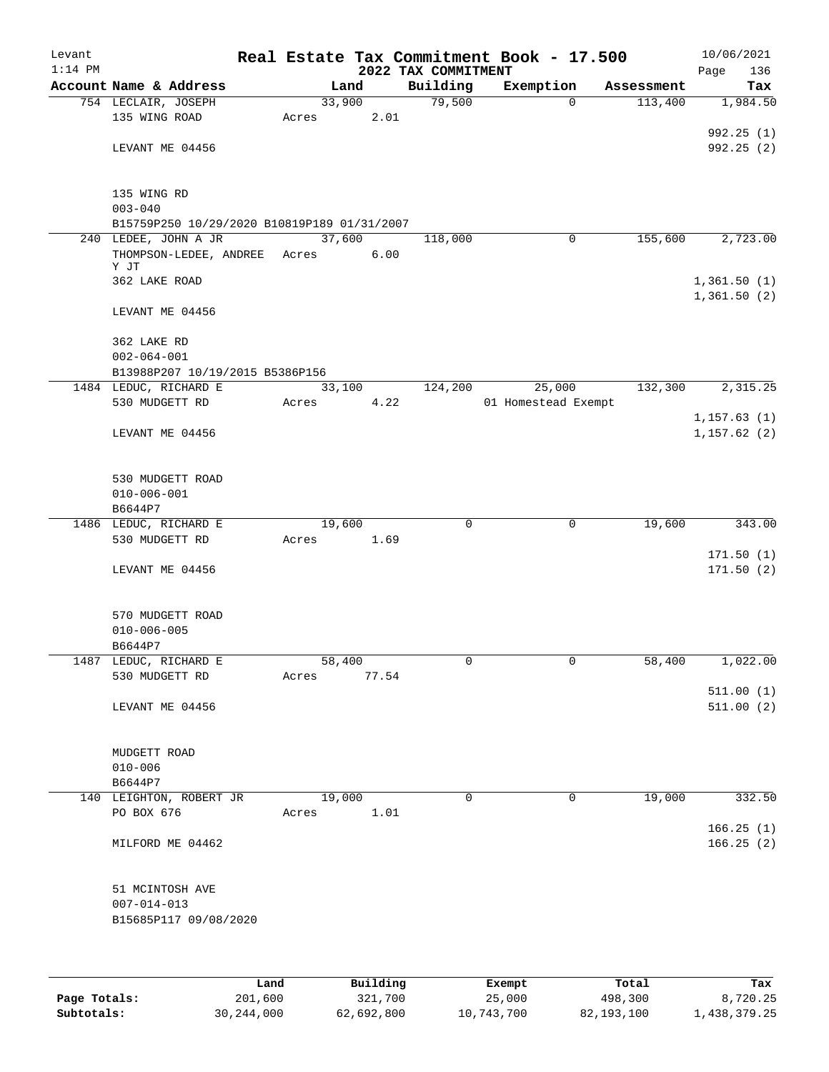| Levant    |                                               |        |          |                     | Real Estate Tax Commitment Book - 17.500 |                       | 10/06/2021                  |
|-----------|-----------------------------------------------|--------|----------|---------------------|------------------------------------------|-----------------------|-----------------------------|
| $1:14$ PM |                                               |        |          | 2022 TAX COMMITMENT |                                          |                       | Page<br>136                 |
|           | Account Name & Address<br>754 LECLAIR, JOSEPH | 33,900 | Land     | Building<br>79,500  | Exemption<br>$\Omega$                    | Assessment<br>113,400 | Tax<br>1,984.50             |
|           | 135 WING ROAD                                 | Acres  | 2.01     |                     |                                          |                       |                             |
|           |                                               |        |          |                     |                                          |                       | 992.25 (1)                  |
|           | LEVANT ME 04456                               |        |          |                     |                                          |                       | 992.25(2)                   |
|           | 135 WING RD                                   |        |          |                     |                                          |                       |                             |
|           | $003 - 040$                                   |        |          |                     |                                          |                       |                             |
|           | B15759P250 10/29/2020 B10819P189 01/31/2007   |        |          |                     |                                          |                       |                             |
|           | 240 LEDEE, JOHN A JR                          | 37,600 |          | 118,000             | 0                                        | 155,600               | 2,723.00                    |
|           | THOMPSON-LEDEE, ANDREE Acres<br>Y JT          |        | 6.00     |                     |                                          |                       |                             |
|           | 362 LAKE ROAD                                 |        |          |                     |                                          |                       | 1,361.50(1)                 |
|           |                                               |        |          |                     |                                          |                       | 1,361.50(2)                 |
|           | LEVANT ME 04456                               |        |          |                     |                                          |                       |                             |
|           | 362 LAKE RD                                   |        |          |                     |                                          |                       |                             |
|           | $002 - 064 - 001$                             |        |          |                     |                                          |                       |                             |
|           | B13988P207 10/19/2015 B5386P156               |        |          |                     |                                          |                       |                             |
|           | 1484 LEDUC, RICHARD E                         | 33,100 |          | 124,200             | 25,000                                   | 132,300               | 2,315.25                    |
|           | 530 MUDGETT RD                                | Acres  | 4.22     |                     | 01 Homestead Exempt                      |                       |                             |
|           | LEVANT ME 04456                               |        |          |                     |                                          |                       | 1, 157.63(1)<br>1,157.62(2) |
|           | 530 MUDGETT ROAD                              |        |          |                     |                                          |                       |                             |
|           | $010 - 006 - 001$                             |        |          |                     |                                          |                       |                             |
|           | B6644P7                                       |        |          |                     |                                          |                       |                             |
|           | 1486 LEDUC, RICHARD E                         | 19,600 |          | 0                   | 0                                        | 19,600                | 343.00                      |
|           | 530 MUDGETT RD                                | Acres  | 1.69     |                     |                                          |                       | 171.50(1)                   |
|           | LEVANT ME 04456                               |        |          |                     |                                          |                       | 171.50(2)                   |
|           | 570 MUDGETT ROAD                              |        |          |                     |                                          |                       |                             |
|           | $010 - 006 - 005$                             |        |          |                     |                                          |                       |                             |
|           | B6644P7                                       |        |          |                     |                                          |                       |                             |
|           | 1487 LEDUC, RICHARD E                         | 58,400 |          | 0                   | 0                                        | 58,400                | 1,022.00                    |
|           | 530 MUDGETT RD                                | Acres  | 77.54    |                     |                                          |                       |                             |
|           | LEVANT ME 04456                               |        |          |                     |                                          |                       | 511.00(1)<br>511.00(2)      |
|           | MUDGETT ROAD                                  |        |          |                     |                                          |                       |                             |
|           | $010 - 006$                                   |        |          |                     |                                          |                       |                             |
|           | B6644P7                                       |        |          |                     |                                          |                       |                             |
|           | 140 LEIGHTON, ROBERT JR                       | 19,000 |          | $\Omega$            | 0                                        | 19,000                | 332.50                      |
|           | PO BOX 676                                    | Acres  | 1.01     |                     |                                          |                       |                             |
|           | MILFORD ME 04462                              |        |          |                     |                                          |                       | 166.25(1)<br>166.25(2)      |
|           | 51 MCINTOSH AVE                               |        |          |                     |                                          |                       |                             |
|           | $007 - 014 - 013$                             |        |          |                     |                                          |                       |                             |
|           | B15685P117 09/08/2020                         |        |          |                     |                                          |                       |                             |
|           |                                               |        |          |                     |                                          |                       |                             |
|           |                                               | Land   | Building |                     | Exempt                                   | Total                 | Tax                         |

|              | Land       | Building   | Exempt     | Total      | Tax          |
|--------------|------------|------------|------------|------------|--------------|
| Page Totals: | 201,600    | 321,700    | 25,000     | 498,300    | 8,720.25     |
| Subtotals:   | 30,244,000 | 62,692,800 | 10,743,700 | 82,193,100 | 1,438,379.25 |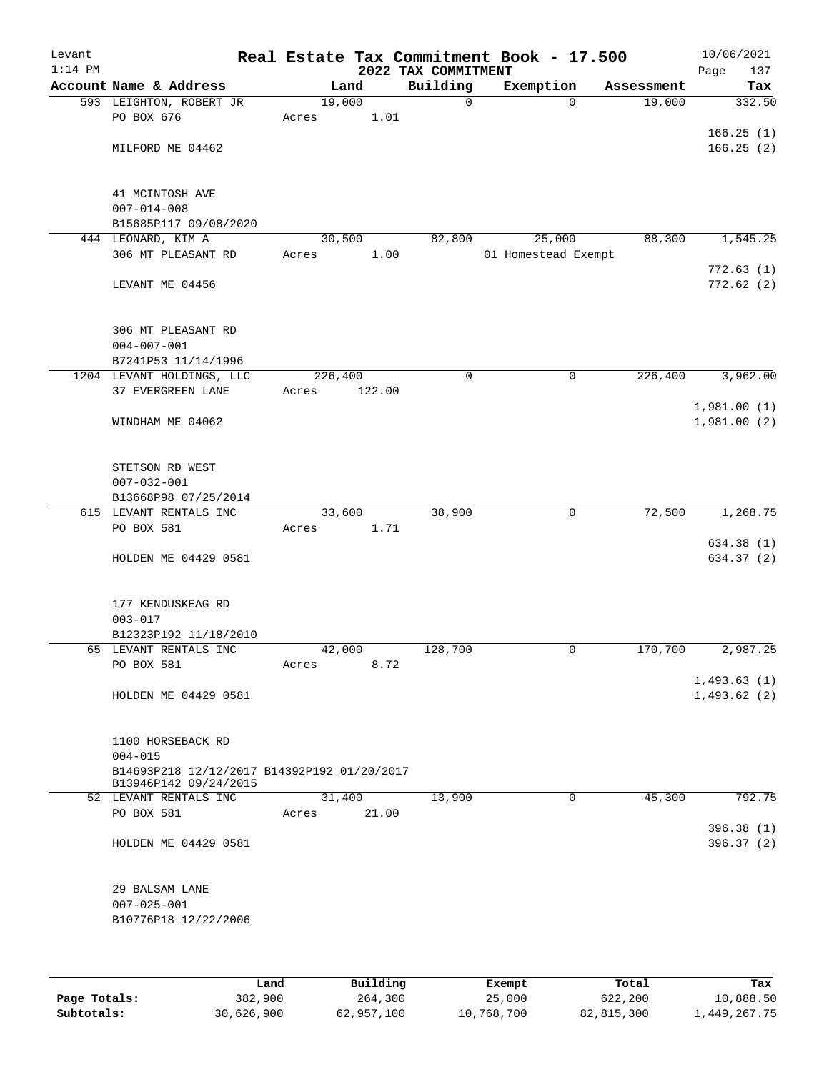| Levant<br>$1:14$ PM |                                             |         |        | 2022 TAX COMMITMENT | Real Estate Tax Commitment Book - 17.500 |                          | 10/06/2021<br>Page<br>137  |
|---------------------|---------------------------------------------|---------|--------|---------------------|------------------------------------------|--------------------------|----------------------------|
|                     | Account Name & Address                      |         | Land   | Building            | Exemption                                | Assessment               | Tax                        |
|                     | 593 LEIGHTON, ROBERT JR                     | 19,000  |        | 0                   |                                          | 19,000<br>$\mathbf 0$    | 332.50                     |
|                     | PO BOX 676                                  | Acres   | 1.01   |                     |                                          |                          |                            |
|                     |                                             |         |        |                     |                                          |                          | 166.25(1)                  |
|                     | MILFORD ME 04462                            |         |        |                     |                                          |                          | 166.25(2)                  |
|                     |                                             |         |        |                     |                                          |                          |                            |
|                     |                                             |         |        |                     |                                          |                          |                            |
|                     | 41 MCINTOSH AVE                             |         |        |                     |                                          |                          |                            |
|                     | $007 - 014 - 008$                           |         |        |                     |                                          |                          |                            |
|                     | B15685P117 09/08/2020                       |         |        |                     |                                          |                          |                            |
|                     | 444 LEONARD, KIM A<br>306 MT PLEASANT RD    | 30,500  | 1.00   | 82,800              | 25,000                                   | 88,300                   | 1,545.25                   |
|                     |                                             | Acres   |        |                     | 01 Homestead Exempt                      |                          | 772.63(1)                  |
|                     | LEVANT ME 04456                             |         |        |                     |                                          |                          | 772.62(2)                  |
|                     |                                             |         |        |                     |                                          |                          |                            |
|                     |                                             |         |        |                     |                                          |                          |                            |
|                     | 306 MT PLEASANT RD                          |         |        |                     |                                          |                          |                            |
|                     | $004 - 007 - 001$                           |         |        |                     |                                          |                          |                            |
|                     | B7241P53 11/14/1996                         |         |        |                     |                                          |                          |                            |
|                     | 1204 LEVANT HOLDINGS, LLC                   | 226,400 |        | $\mathbf 0$         |                                          | $\mathbf 0$<br>226,400   | 3,962.00                   |
|                     | 37 EVERGREEN LANE                           | Acres   | 122.00 |                     |                                          |                          |                            |
|                     |                                             |         |        |                     |                                          |                          | 1,981.00(1)                |
|                     | WINDHAM ME 04062                            |         |        |                     |                                          |                          | 1,981.00(2)                |
|                     |                                             |         |        |                     |                                          |                          |                            |
|                     |                                             |         |        |                     |                                          |                          |                            |
|                     | STETSON RD WEST                             |         |        |                     |                                          |                          |                            |
|                     | $007 - 032 - 001$<br>B13668P98 07/25/2014   |         |        |                     |                                          |                          |                            |
|                     | 615 LEVANT RENTALS INC                      | 33,600  |        | 38,900              |                                          | 0<br>72,500              | 1,268.75                   |
|                     | PO BOX 581                                  | Acres   | 1.71   |                     |                                          |                          |                            |
|                     |                                             |         |        |                     |                                          |                          | 634.38 (1)                 |
|                     | HOLDEN ME 04429 0581                        |         |        |                     |                                          |                          | 634.37 (2)                 |
|                     |                                             |         |        |                     |                                          |                          |                            |
|                     |                                             |         |        |                     |                                          |                          |                            |
|                     | 177 KENDUSKEAG RD                           |         |        |                     |                                          |                          |                            |
|                     | $003 - 017$                                 |         |        |                     |                                          |                          |                            |
|                     | B12323P192 11/18/2010                       |         |        |                     |                                          |                          |                            |
|                     | 65 LEVANT RENTALS INC                       | 42,000  |        | 128,700             |                                          | 170,700<br>0             | 2,987.25                   |
|                     | PO BOX 581                                  | Acres   | 8.72   |                     |                                          |                          |                            |
|                     | HOLDEN ME 04429 0581                        |         |        |                     |                                          |                          | 1,493.63(1)<br>1,493.62(2) |
|                     |                                             |         |        |                     |                                          |                          |                            |
|                     |                                             |         |        |                     |                                          |                          |                            |
|                     | 1100 HORSEBACK RD                           |         |        |                     |                                          |                          |                            |
|                     | $004 - 015$                                 |         |        |                     |                                          |                          |                            |
|                     | B14693P218 12/12/2017 B14392P192 01/20/2017 |         |        |                     |                                          |                          |                            |
|                     | B13946P142 09/24/2015                       |         |        |                     |                                          |                          |                            |
|                     | 52 LEVANT RENTALS INC                       | 31,400  |        | 13,900              |                                          | $\overline{0}$<br>45,300 | 792.75                     |
|                     | PO BOX 581                                  | Acres   | 21.00  |                     |                                          |                          |                            |
|                     | HOLDEN ME 04429 0581                        |         |        |                     |                                          |                          | 396.38(1)<br>396.37 (2)    |
|                     |                                             |         |        |                     |                                          |                          |                            |
|                     |                                             |         |        |                     |                                          |                          |                            |
|                     | 29 BALSAM LANE                              |         |        |                     |                                          |                          |                            |
|                     | $007 - 025 - 001$                           |         |        |                     |                                          |                          |                            |
|                     | B10776P18 12/22/2006                        |         |        |                     |                                          |                          |                            |
|                     |                                             |         |        |                     |                                          |                          |                            |
|                     |                                             |         |        |                     |                                          |                          |                            |
|                     |                                             |         |        |                     |                                          |                          |                            |

|              | Land       | Building   | Exempt     | Total      | Tax          |
|--------------|------------|------------|------------|------------|--------------|
| Page Totals: | 382,900    | 264,300    | 25,000     | 622,200    | 10,888.50    |
| Subtotals:   | 30,626,900 | 62,957,100 | 10,768,700 | 82,815,300 | 1,449,267.75 |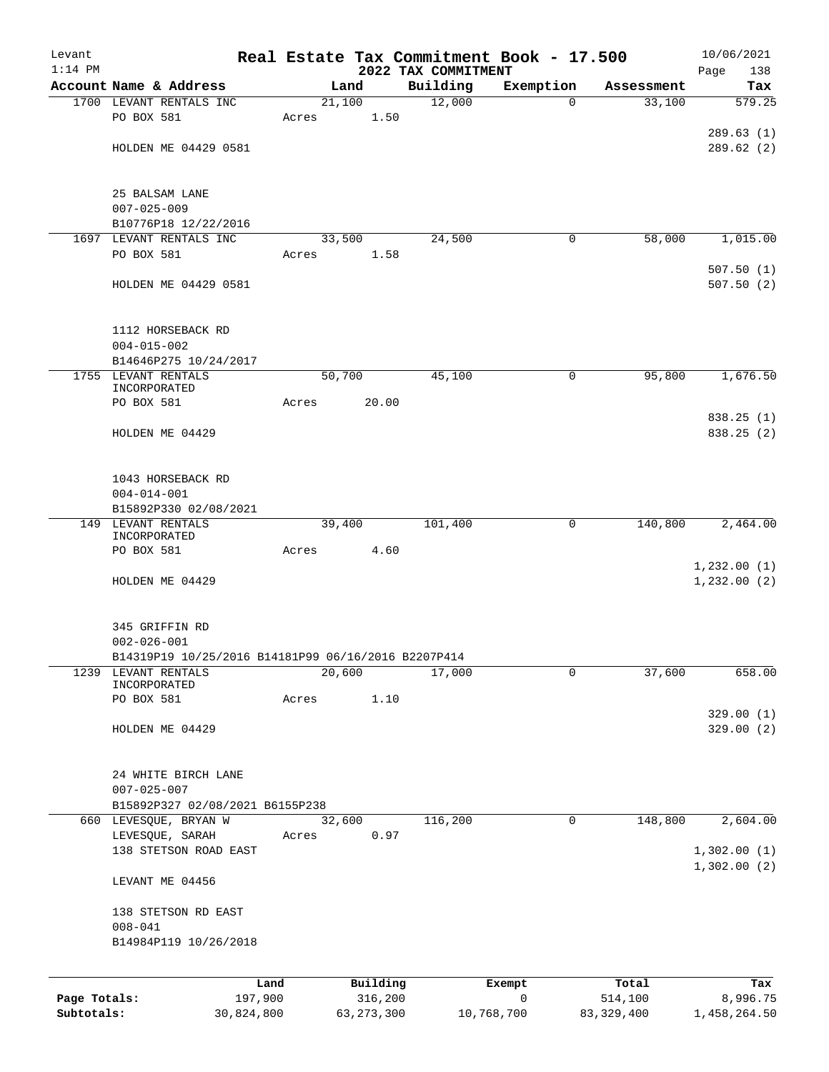| Levant       |                                                     |       |                |                     | Real Estate Tax Commitment Book - 17.500 |                      | 10/06/2021                 |
|--------------|-----------------------------------------------------|-------|----------------|---------------------|------------------------------------------|----------------------|----------------------------|
| $1:14$ PM    | Account Name & Address                              |       |                | 2022 TAX COMMITMENT |                                          |                      | Page<br>138<br>Tax         |
|              | 1700 LEVANT RENTALS INC                             |       | Land<br>21,100 | Building<br>12,000  | Exemption<br>0                           | Assessment<br>33,100 | 579.25                     |
|              | PO BOX 581                                          | Acres | 1.50           |                     |                                          |                      |                            |
|              |                                                     |       |                |                     |                                          |                      | 289.63(1)                  |
|              | HOLDEN ME 04429 0581                                |       |                |                     |                                          |                      | 289.62(2)                  |
|              |                                                     |       |                |                     |                                          |                      |                            |
|              |                                                     |       |                |                     |                                          |                      |                            |
|              | 25 BALSAM LANE<br>$007 - 025 - 009$                 |       |                |                     |                                          |                      |                            |
|              | B10776P18 12/22/2016                                |       |                |                     |                                          |                      |                            |
|              | 1697 LEVANT RENTALS INC                             |       | 33,500         | 24,500              | 0                                        | 58,000               | 1,015.00                   |
|              | PO BOX 581                                          | Acres | 1.58           |                     |                                          |                      |                            |
|              |                                                     |       |                |                     |                                          |                      | 507.50(1)                  |
|              | HOLDEN ME 04429 0581                                |       |                |                     |                                          |                      | 507.50(2)                  |
|              |                                                     |       |                |                     |                                          |                      |                            |
|              | 1112 HORSEBACK RD                                   |       |                |                     |                                          |                      |                            |
|              | $004 - 015 - 002$                                   |       |                |                     |                                          |                      |                            |
|              | B14646P275 10/24/2017<br>1755 LEVANT RENTALS        |       | 50,700         | 45,100              | 0                                        | 95,800               | 1,676.50                   |
|              | INCORPORATED                                        |       |                |                     |                                          |                      |                            |
|              | PO BOX 581                                          | Acres | 20.00          |                     |                                          |                      |                            |
|              |                                                     |       |                |                     |                                          |                      | 838.25(1)                  |
|              | HOLDEN ME 04429                                     |       |                |                     |                                          |                      | 838.25 (2)                 |
|              |                                                     |       |                |                     |                                          |                      |                            |
|              |                                                     |       |                |                     |                                          |                      |                            |
|              | 1043 HORSEBACK RD                                   |       |                |                     |                                          |                      |                            |
|              | $004 - 014 - 001$                                   |       |                |                     |                                          |                      |                            |
|              | B15892P330 02/08/2021<br>LEVANT RENTALS             |       |                | 101,400             | 0                                        | 140,800              | 2,464.00                   |
| 149          | INCORPORATED                                        |       | 39,400         |                     |                                          |                      |                            |
|              | PO BOX 581                                          | Acres | 4.60           |                     |                                          |                      |                            |
|              |                                                     |       |                |                     |                                          |                      | 1,232.00(1)                |
|              | HOLDEN ME 04429                                     |       |                |                     |                                          |                      | 1,232.00(2)                |
|              |                                                     |       |                |                     |                                          |                      |                            |
|              |                                                     |       |                |                     |                                          |                      |                            |
|              | 345 GRIFFIN RD<br>$002 - 026 - 001$                 |       |                |                     |                                          |                      |                            |
|              | B14319P19 10/25/2016 B14181P99 06/16/2016 B2207P414 |       |                |                     |                                          |                      |                            |
| 1239         | LEVANT RENTALS                                      |       | 20,600         | 17,000              | 0                                        | 37,600               | 658.00                     |
|              | INCORPORATED                                        |       |                |                     |                                          |                      |                            |
|              | PO BOX 581                                          | Acres | 1.10           |                     |                                          |                      |                            |
|              |                                                     |       |                |                     |                                          |                      | 329.00(1)                  |
|              | HOLDEN ME 04429                                     |       |                |                     |                                          |                      | 329.00(2)                  |
|              |                                                     |       |                |                     |                                          |                      |                            |
|              | 24 WHITE BIRCH LANE                                 |       |                |                     |                                          |                      |                            |
|              | $007 - 025 - 007$                                   |       |                |                     |                                          |                      |                            |
|              | B15892P327 02/08/2021 B6155P238                     |       |                |                     |                                          |                      |                            |
|              | 660 LEVESQUE, BRYAN W                               |       | 32,600         | 116,200             | 0                                        | 148,800              | 2,604.00                   |
|              | LEVESQUE, SARAH<br>138 STETSON ROAD EAST            | Acres | 0.97           |                     |                                          |                      |                            |
|              |                                                     |       |                |                     |                                          |                      | 1,302.00(1)<br>1,302.00(2) |
|              | LEVANT ME 04456                                     |       |                |                     |                                          |                      |                            |
|              |                                                     |       |                |                     |                                          |                      |                            |
|              | 138 STETSON RD EAST                                 |       |                |                     |                                          |                      |                            |
|              | $008 - 041$<br>B14984P119 10/26/2018                |       |                |                     |                                          |                      |                            |
|              |                                                     |       |                |                     |                                          |                      |                            |
|              | Land                                                |       | Building       |                     | Exempt                                   | Total                | Tax                        |
| Page Totals: | 197,900                                             |       | 316,200        |                     | $\mathbf 0$                              | 514,100              | 8,996.75                   |
| Subtotals:   | 30,824,800                                          |       | 63, 273, 300   |                     | 10,768,700                               | 83, 329, 400         | 1,458,264.50               |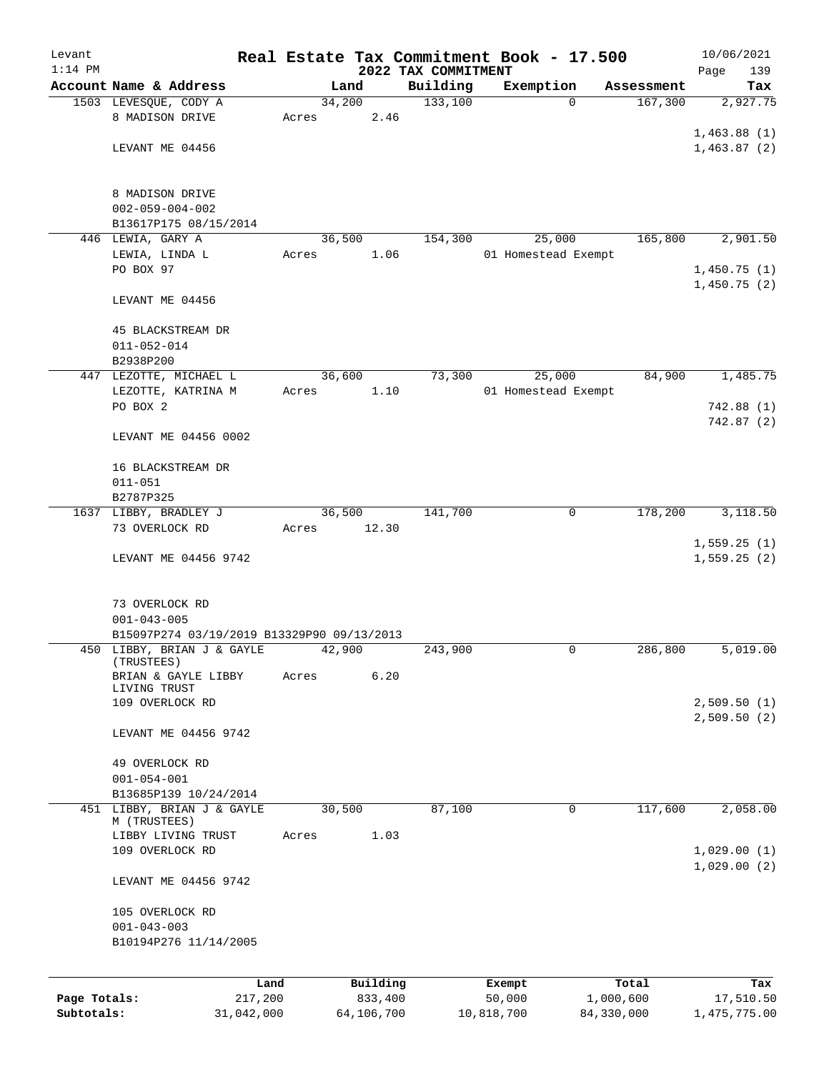| Levant       |                                            |       |                |                     | Real Estate Tax Commitment Book - 17.500 |                       | 10/06/2021                 |
|--------------|--------------------------------------------|-------|----------------|---------------------|------------------------------------------|-----------------------|----------------------------|
| $1:14$ PM    | Account Name & Address                     |       |                | 2022 TAX COMMITMENT |                                          |                       | 139<br>Page                |
|              | 1503 LEVESQUE, CODY A                      |       | Land<br>34,200 | Building<br>133,100 | Exemption<br>$\Omega$                    | Assessment<br>167,300 | Tax<br>2,927.75            |
|              | 8 MADISON DRIVE                            | Acres | 2.46           |                     |                                          |                       |                            |
|              |                                            |       |                |                     |                                          |                       | 1,463.88(1)                |
|              | LEVANT ME 04456                            |       |                |                     |                                          |                       | 1,463.87(2)                |
|              |                                            |       |                |                     |                                          |                       |                            |
|              |                                            |       |                |                     |                                          |                       |                            |
|              | 8 MADISON DRIVE<br>$002 - 059 - 004 - 002$ |       |                |                     |                                          |                       |                            |
|              | B13617P175 08/15/2014                      |       |                |                     |                                          |                       |                            |
|              | 446 LEWIA, GARY A                          |       | 36,500         | 154,300             | 25,000                                   | 165,800               | 2,901.50                   |
|              | LEWIA, LINDA L                             | Acres | 1.06           |                     | 01 Homestead Exempt                      |                       |                            |
|              | PO BOX 97                                  |       |                |                     |                                          |                       | 1,450.75(1)                |
|              |                                            |       |                |                     |                                          |                       | 1,450.75(2)                |
|              | LEVANT ME 04456                            |       |                |                     |                                          |                       |                            |
|              | 45 BLACKSTREAM DR                          |       |                |                     |                                          |                       |                            |
|              | $011 - 052 - 014$                          |       |                |                     |                                          |                       |                            |
|              | B2938P200                                  |       |                |                     |                                          |                       |                            |
|              | 447 LEZOTTE, MICHAEL L                     |       | 36,600         | 73,300              | 25,000                                   | 84,900                | 1,485.75                   |
|              | LEZOTTE, KATRINA M                         | Acres | 1.10           |                     | 01 Homestead Exempt                      |                       |                            |
|              | PO BOX 2                                   |       |                |                     |                                          |                       | 742.88 (1)                 |
|              |                                            |       |                |                     |                                          |                       | 742.87(2)                  |
|              | LEVANT ME 04456 0002                       |       |                |                     |                                          |                       |                            |
|              | 16 BLACKSTREAM DR                          |       |                |                     |                                          |                       |                            |
|              | $011 - 051$                                |       |                |                     |                                          |                       |                            |
|              | B2787P325                                  |       |                |                     |                                          |                       |                            |
|              | 1637 LIBBY, BRADLEY J                      |       | 36,500         | 141,700             | $\mathbf 0$                              | 178,200               | 3,118.50                   |
|              | 73 OVERLOCK RD                             | Acres | 12.30          |                     |                                          |                       |                            |
|              |                                            |       |                |                     |                                          |                       | 1,559.25(1)<br>1,559.25(2) |
|              | LEVANT ME 04456 9742                       |       |                |                     |                                          |                       |                            |
|              |                                            |       |                |                     |                                          |                       |                            |
|              | 73 OVERLOCK RD                             |       |                |                     |                                          |                       |                            |
|              | $001 - 043 - 005$                          |       |                |                     |                                          |                       |                            |
|              | B15097P274 03/19/2019 B13329P90 09/13/2013 |       |                |                     |                                          |                       |                            |
|              | 450 LIBBY, BRIAN J & GAYLE<br>(TRUSTEES)   |       | 42,900         | 243,900             | 0                                        | 286,800               | 5,019.00                   |
|              | BRIAN & GAYLE LIBBY                        | Acres | 6.20           |                     |                                          |                       |                            |
|              | LIVING TRUST                               |       |                |                     |                                          |                       |                            |
|              | 109 OVERLOCK RD                            |       |                |                     |                                          |                       | 2,509.50(1)<br>2,509.50(2) |
|              | LEVANT ME 04456 9742                       |       |                |                     |                                          |                       |                            |
|              |                                            |       |                |                     |                                          |                       |                            |
|              | 49 OVERLOCK RD                             |       |                |                     |                                          |                       |                            |
|              | $001 - 054 - 001$                          |       |                |                     |                                          |                       |                            |
|              | B13685P139 10/24/2014                      |       |                |                     |                                          |                       |                            |
| 451          | LIBBY, BRIAN J & GAYLE<br>M (TRUSTEES)     |       | 30,500         | 87,100              | $\mathbf 0$                              | 117,600               | 2,058.00                   |
|              | LIBBY LIVING TRUST                         | Acres | 1.03           |                     |                                          |                       |                            |
|              | 109 OVERLOCK RD                            |       |                |                     |                                          |                       | 1,029.00(1)                |
|              |                                            |       |                |                     |                                          |                       | 1,029.00(2)                |
|              | LEVANT ME 04456 9742                       |       |                |                     |                                          |                       |                            |
|              | 105 OVERLOCK RD                            |       |                |                     |                                          |                       |                            |
|              | $001 - 043 - 003$                          |       |                |                     |                                          |                       |                            |
|              | B10194P276 11/14/2005                      |       |                |                     |                                          |                       |                            |
|              |                                            |       |                |                     |                                          |                       |                            |
|              |                                            | Land  | Building       |                     | Exempt                                   | Total                 | Tax                        |
| Page Totals: | 217,200                                    |       | 833,400        |                     | 50,000                                   | 1,000,600             | 17,510.50                  |
| Subtotals:   | 31,042,000                                 |       | 64,106,700     |                     | 10,818,700                               | 84,330,000            | 1,475,775.00               |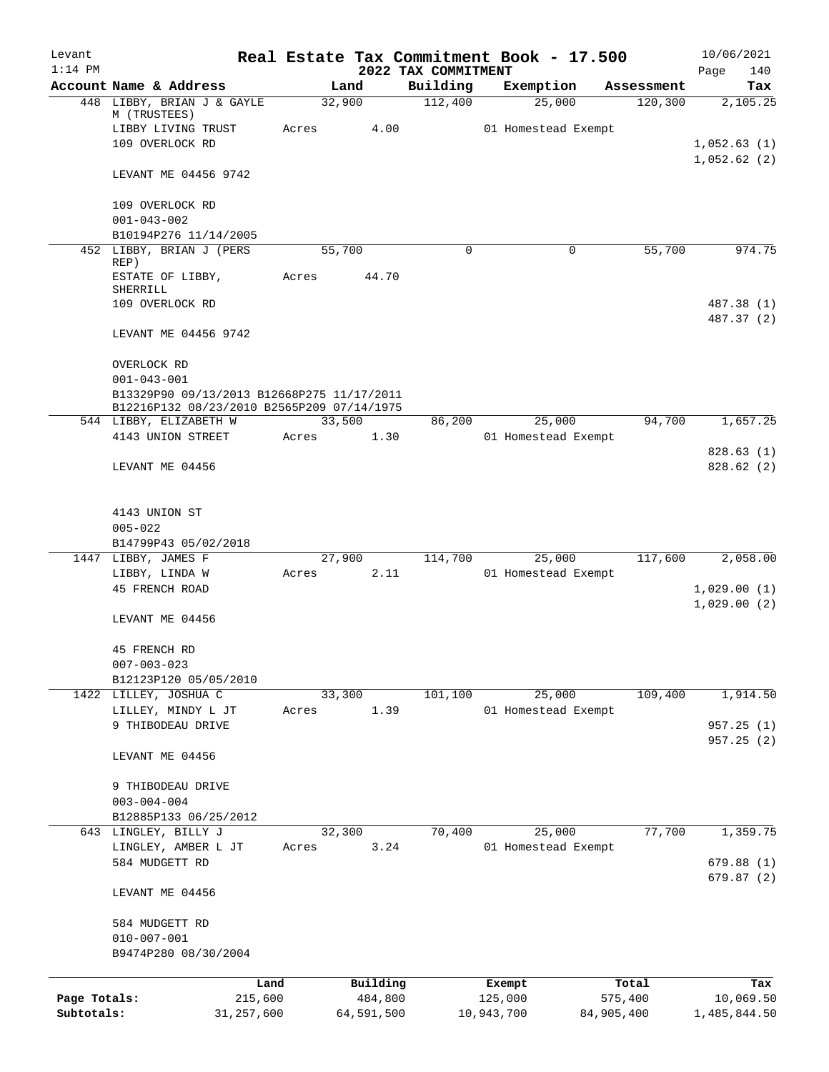| Levant<br>$1:14$ PM |                                                                                          |       |                |                                 | Real Estate Tax Commitment Book - 17.500 |            | 10/06/2021                 |
|---------------------|------------------------------------------------------------------------------------------|-------|----------------|---------------------------------|------------------------------------------|------------|----------------------------|
|                     | Account Name & Address                                                                   |       | Land           | 2022 TAX COMMITMENT<br>Building | Exemption                                | Assessment | Page<br>140<br>Tax         |
|                     | 448 LIBBY, BRIAN J & GAYLE                                                               |       | 32,900         | 112,400                         | 25,000                                   | 120, 300   | 2,105.25                   |
|                     | M (TRUSTEES)                                                                             |       |                |                                 |                                          |            |                            |
|                     | LIBBY LIVING TRUST                                                                       | Acres | 4.00           |                                 | 01 Homestead Exempt                      |            |                            |
|                     | 109 OVERLOCK RD                                                                          |       |                |                                 |                                          |            | 1,052.63(1)<br>1,052.62(2) |
|                     | LEVANT ME 04456 9742                                                                     |       |                |                                 |                                          |            |                            |
|                     | 109 OVERLOCK RD                                                                          |       |                |                                 |                                          |            |                            |
|                     | $001 - 043 - 002$                                                                        |       |                |                                 |                                          |            |                            |
|                     | B10194P276 11/14/2005                                                                    |       |                |                                 |                                          |            |                            |
|                     | 452 LIBBY, BRIAN J (PERS<br>REP)                                                         |       | 55,700         | $\Omega$                        | 0                                        | 55,700     | 974.75                     |
|                     | ESTATE OF LIBBY,                                                                         | Acres | 44.70          |                                 |                                          |            |                            |
|                     | SHERRILL<br>109 OVERLOCK RD                                                              |       |                |                                 |                                          |            |                            |
|                     |                                                                                          |       |                |                                 |                                          |            | 487.38 (1)<br>487.37 (2)   |
|                     | LEVANT ME 04456 9742                                                                     |       |                |                                 |                                          |            |                            |
|                     | OVERLOCK RD                                                                              |       |                |                                 |                                          |            |                            |
|                     | $001 - 043 - 001$                                                                        |       |                |                                 |                                          |            |                            |
|                     | B13329P90 09/13/2013 B12668P275 11/17/2011<br>B12216P132 08/23/2010 B2565P209 07/14/1975 |       |                |                                 |                                          |            |                            |
|                     | 544 LIBBY, ELIZABETH W                                                                   |       | 33,500         | 86,200                          | 25,000                                   | 94,700     | 1,657.25                   |
|                     | 4143 UNION STREET                                                                        | Acres | 1.30           |                                 | 01 Homestead Exempt                      |            |                            |
|                     |                                                                                          |       |                |                                 |                                          |            | 828.63(1)                  |
|                     | LEVANT ME 04456                                                                          |       |                |                                 |                                          |            | 828.62(2)                  |
|                     | 4143 UNION ST                                                                            |       |                |                                 |                                          |            |                            |
|                     | $005 - 022$                                                                              |       |                |                                 |                                          |            |                            |
|                     | B14799P43 05/02/2018                                                                     |       |                |                                 |                                          |            |                            |
|                     | 1447 LIBBY, JAMES F<br>LIBBY, LINDA W                                                    | Acres | 27,900<br>2.11 | 114,700                         | 25,000<br>01 Homestead Exempt            | 117,600    | 2,058.00                   |
|                     | <b>45 FRENCH ROAD</b>                                                                    |       |                |                                 |                                          |            | 1,029.00(1)                |
|                     |                                                                                          |       |                |                                 |                                          |            | 1,029.00(2)                |
|                     | LEVANT ME 04456                                                                          |       |                |                                 |                                          |            |                            |
|                     | 45 FRENCH RD                                                                             |       |                |                                 |                                          |            |                            |
|                     | $007 - 003 - 023$                                                                        |       |                |                                 |                                          |            |                            |
|                     | B12123P120 05/05/2010                                                                    |       |                |                                 |                                          |            |                            |
|                     | 1422 LILLEY, JOSHUA C<br>LILLEY, MINDY L JT                                              | Acres | 33,300<br>1.39 | 101, 100                        | 25,000<br>01 Homestead Exempt            | 109,400    | 1,914.50                   |
|                     | 9 THIBODEAU DRIVE                                                                        |       |                |                                 |                                          |            | 957.25(1)                  |
|                     |                                                                                          |       |                |                                 |                                          |            | 957.25(2)                  |
|                     | LEVANT ME 04456                                                                          |       |                |                                 |                                          |            |                            |
|                     | 9 THIBODEAU DRIVE                                                                        |       |                |                                 |                                          |            |                            |
|                     | $003 - 004 - 004$                                                                        |       |                |                                 |                                          |            |                            |
|                     | B12885P133 06/25/2012                                                                    |       |                |                                 |                                          |            |                            |
|                     | 643 LINGLEY, BILLY J<br>LINGLEY, AMBER L JT                                              |       | 32,300<br>3.24 | 70,400                          | 25,000<br>01 Homestead Exempt            | 77,700     | 1,359.75                   |
|                     | 584 MUDGETT RD                                                                           | Acres |                |                                 |                                          |            | 679.88(1)                  |
|                     |                                                                                          |       |                |                                 |                                          |            | 679.87(2)                  |
|                     | LEVANT ME 04456                                                                          |       |                |                                 |                                          |            |                            |
|                     | 584 MUDGETT RD                                                                           |       |                |                                 |                                          |            |                            |
|                     | $010 - 007 - 001$                                                                        |       |                |                                 |                                          |            |                            |
|                     | B9474P280 08/30/2004                                                                     |       |                |                                 |                                          |            |                            |
|                     | Land                                                                                     |       | Building       |                                 | Exempt                                   | Total      | Tax                        |
| Page Totals:        | 215,600                                                                                  |       | 484,800        |                                 | 125,000                                  | 575,400    | 10,069.50                  |
| Subtotals:          | 31, 257, 600                                                                             |       | 64,591,500     |                                 | 10,943,700                               | 84,905,400 | 1,485,844.50               |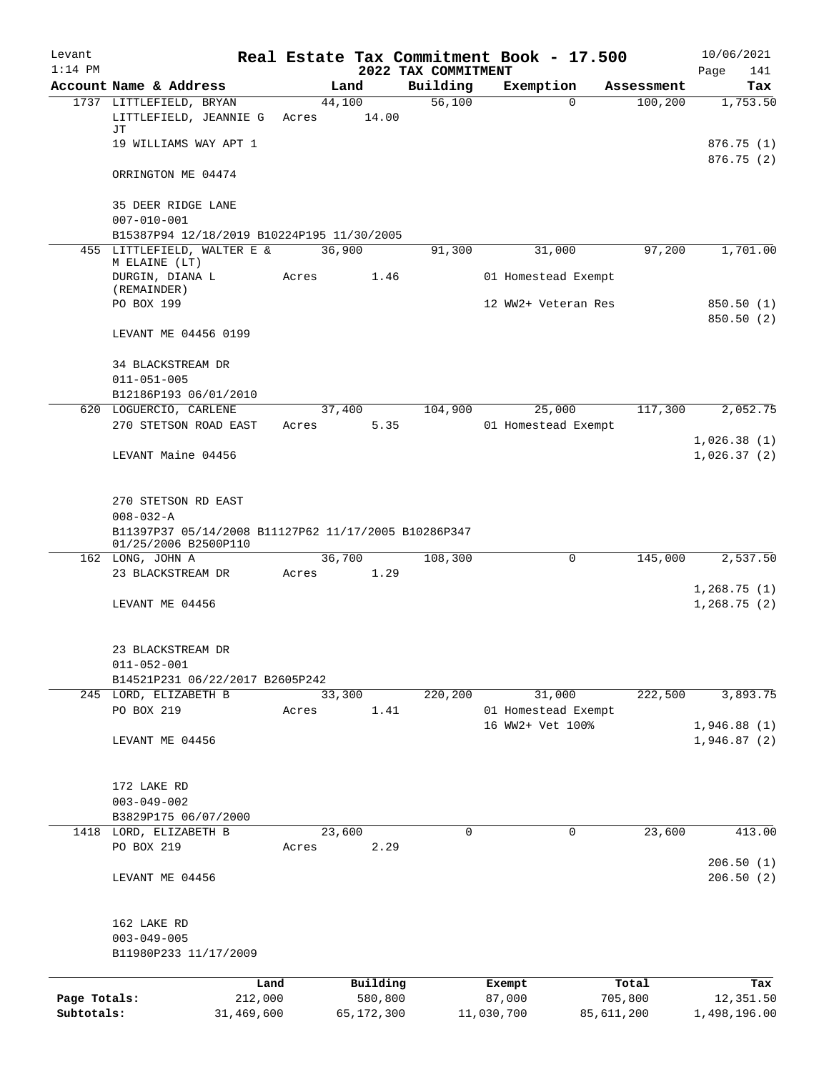| Levant       |                                                                                                                        |         |                 |                     | Real Estate Tax Commitment Book - 17.500 |            | 10/06/2021                 |
|--------------|------------------------------------------------------------------------------------------------------------------------|---------|-----------------|---------------------|------------------------------------------|------------|----------------------------|
| $1:14$ PM    |                                                                                                                        |         |                 | 2022 TAX COMMITMENT |                                          |            | 141<br>Page                |
|              | Account Name & Address                                                                                                 |         | Land            | Building            | Exemption                                | Assessment | Tax                        |
|              | 1737 LITTLEFIELD, BRYAN<br>LITTLEFIELD, JEANNIE G<br>JТ                                                                | Acres   | 44,100<br>14.00 | 56,100              | $\Omega$                                 | 100, 200   | 1,753.50                   |
|              | 19 WILLIAMS WAY APT 1                                                                                                  |         |                 |                     |                                          |            | 876.75(1)<br>876.75(2)     |
|              | ORRINGTON ME 04474                                                                                                     |         |                 |                     |                                          |            |                            |
|              | 35 DEER RIDGE LANE<br>$007 - 010 - 001$                                                                                |         |                 |                     |                                          |            |                            |
|              | B15387P94 12/18/2019 B10224P195 11/30/2005                                                                             |         |                 |                     |                                          |            |                            |
|              | 455 LITTLEFIELD, WALTER E &<br>M ELAINE (LT)                                                                           |         | 36,900          | 91,300              | 31,000                                   | 97,200     | 1,701.00                   |
|              | DURGIN, DIANA L<br>(REMAINDER)                                                                                         | Acres   | 1.46            |                     | 01 Homestead Exempt                      |            |                            |
|              | PO BOX 199                                                                                                             |         |                 |                     | 12 WW2+ Veteran Res                      |            | 850.50 (1)<br>850.50 (2)   |
|              | LEVANT ME 04456 0199                                                                                                   |         |                 |                     |                                          |            |                            |
|              | 34 BLACKSTREAM DR<br>$011 - 051 - 005$                                                                                 |         |                 |                     |                                          |            |                            |
|              | B12186P193 06/01/2010                                                                                                  |         |                 |                     |                                          |            |                            |
|              | 620 LOGUERCIO, CARLENE                                                                                                 |         | 37,400          | 104,900             | 25,000                                   | 117,300    | 2,052.75                   |
|              | 270 STETSON ROAD EAST                                                                                                  | Acres   | 5.35            |                     | 01 Homestead Exempt                      |            |                            |
|              | LEVANT Maine 04456                                                                                                     |         |                 |                     |                                          |            | 1,026.38(1)<br>1,026.37(2) |
|              | 270 STETSON RD EAST<br>$008 - 032 - A$<br>B11397P37 05/14/2008 B11127P62 11/17/2005 B10286P347<br>01/25/2006 B2500P110 |         |                 |                     |                                          |            |                            |
|              | 162 LONG, JOHN A                                                                                                       |         | 36,700          | 108,300             | 0                                        | 145,000    | 2,537.50                   |
|              | 23 BLACKSTREAM DR                                                                                                      | Acres   | 1.29            |                     |                                          |            |                            |
|              | LEVANT ME 04456                                                                                                        |         |                 |                     |                                          |            | 1,268.75(1)<br>1,268.75(2) |
|              | 23 BLACKSTREAM DR<br>$011 - 052 - 001$                                                                                 |         |                 |                     |                                          |            |                            |
|              | B14521P231 06/22/2017 B2605P242                                                                                        |         |                 |                     |                                          |            |                            |
|              | 245 LORD, ELIZABETH B<br>PO BOX 219                                                                                    | Acres   | 33,300<br>1.41  | 220, 200            | 31,000<br>01 Homestead Exempt            | 222,500    | 3,893.75                   |
|              |                                                                                                                        |         |                 |                     | 16 WW2+ Vet 100%                         |            | 1,946.88(1)                |
|              | LEVANT ME 04456                                                                                                        |         |                 |                     |                                          |            | 1,946.87(2)                |
|              | 172 LAKE RD<br>$003 - 049 - 002$                                                                                       |         |                 |                     |                                          |            |                            |
|              | B3829P175 06/07/2000                                                                                                   |         |                 |                     |                                          |            |                            |
| 1418         | LORD, ELIZABETH B                                                                                                      |         | 23,600          | 0                   | 0                                        | 23,600     | 413.00                     |
|              | PO BOX 219                                                                                                             | Acres   | 2.29            |                     |                                          |            | 206.50(1)                  |
|              | LEVANT ME 04456                                                                                                        |         |                 |                     |                                          |            | 206.50(2)                  |
|              | 162 LAKE RD<br>$003 - 049 - 005$<br>B11980P233 11/17/2009                                                              |         |                 |                     |                                          |            |                            |
|              |                                                                                                                        | Land    | Building        |                     | Exempt                                   | Total      | Tax                        |
| Page Totals: |                                                                                                                        | 212,000 | 580,800         |                     | 87,000                                   | 705,800    | 12,351.50                  |
| Subtotals:   | 31,469,600                                                                                                             |         | 65,172,300      |                     | 11,030,700                               | 85,611,200 | 1,498,196.00               |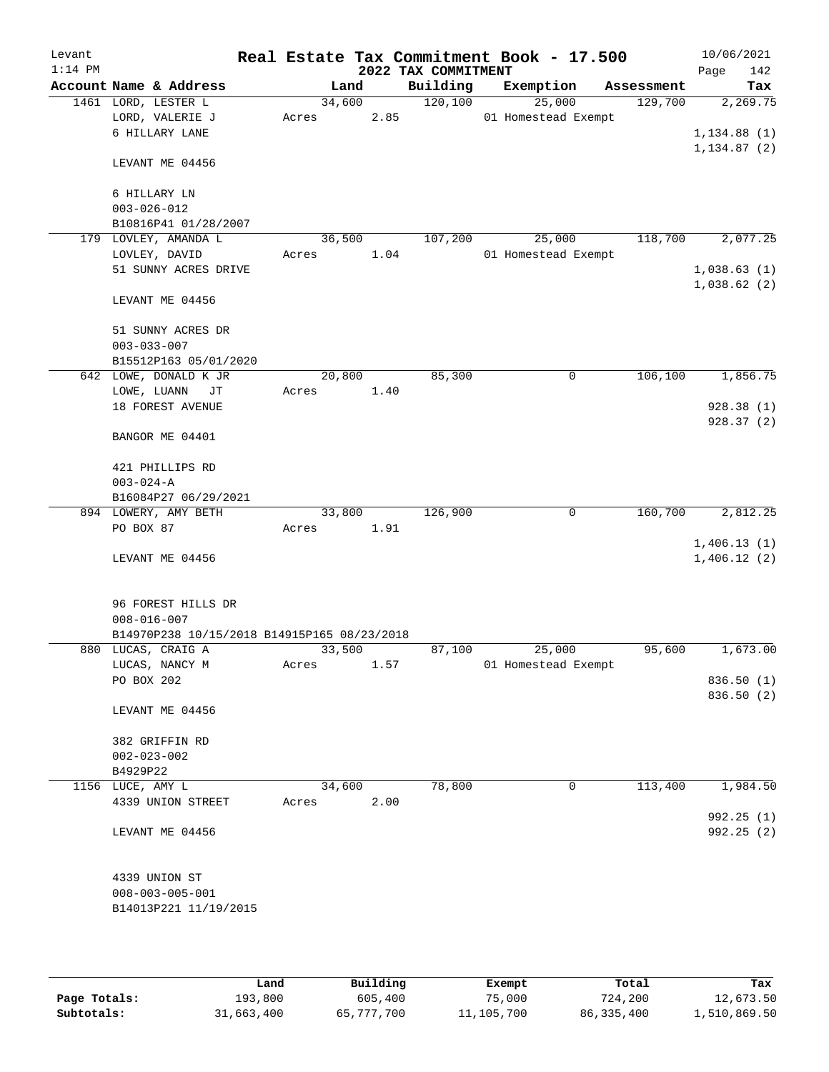| Levant    |                                             |        |      |                     | Real Estate Tax Commitment Book - 17.500 |                       | 10/06/2021      |
|-----------|---------------------------------------------|--------|------|---------------------|------------------------------------------|-----------------------|-----------------|
| $1:14$ PM | Account Name & Address                      |        |      | 2022 TAX COMMITMENT |                                          |                       | 142<br>Page     |
|           | 1461 LORD, LESTER L                         | 34,600 | Land | Building<br>120,100 | Exemption<br>25,000                      | Assessment<br>129,700 | Tax<br>2,269.75 |
|           | LORD, VALERIE J                             | Acres  | 2.85 |                     | 01 Homestead Exempt                      |                       |                 |
|           | 6 HILLARY LANE                              |        |      |                     |                                          |                       | 1, 134.88(1)    |
|           |                                             |        |      |                     |                                          |                       | 1, 134.87(2)    |
|           | LEVANT ME 04456                             |        |      |                     |                                          |                       |                 |
|           | 6 HILLARY LN                                |        |      |                     |                                          |                       |                 |
|           | $003 - 026 - 012$                           |        |      |                     |                                          |                       |                 |
|           | B10816P41 01/28/2007                        |        |      |                     |                                          |                       |                 |
|           | 179 LOVLEY, AMANDA L                        | 36,500 |      | 107,200             | 25,000                                   | 118,700               | 2,077.25        |
|           | LOVLEY, DAVID                               | Acres  | 1.04 |                     | 01 Homestead Exempt                      |                       |                 |
|           | 51 SUNNY ACRES DRIVE                        |        |      |                     |                                          |                       | 1,038.63(1)     |
|           | LEVANT ME 04456                             |        |      |                     |                                          |                       | 1,038.62(2)     |
|           | 51 SUNNY ACRES DR                           |        |      |                     |                                          |                       |                 |
|           | $003 - 033 - 007$                           |        |      |                     |                                          |                       |                 |
|           | B15512P163 05/01/2020                       |        |      |                     |                                          |                       |                 |
|           | 642 LOWE, DONALD K JR                       | 20,800 |      | 85,300              | 0                                        | 106,100               | 1,856.75        |
|           | LOWE, LUANN<br>JТ                           | Acres  | 1.40 |                     |                                          |                       |                 |
|           | 18 FOREST AVENUE                            |        |      |                     |                                          |                       | 928.38 (1)      |
|           | BANGOR ME 04401                             |        |      |                     |                                          |                       | 928.37(2)       |
|           | 421 PHILLIPS RD                             |        |      |                     |                                          |                       |                 |
|           | $003 - 024 - A$                             |        |      |                     |                                          |                       |                 |
|           | B16084P27 06/29/2021                        |        |      |                     |                                          |                       |                 |
|           | 894 LOWERY, AMY BETH                        | 33,800 |      | 126,900             | $\mathbf 0$                              | 160,700               | 2,812.25        |
|           | PO BOX 87                                   | Acres  | 1.91 |                     |                                          |                       |                 |
|           |                                             |        |      |                     |                                          |                       | 1,406.13(1)     |
|           | LEVANT ME 04456                             |        |      |                     |                                          |                       | 1,406.12(2)     |
|           | 96 FOREST HILLS DR                          |        |      |                     |                                          |                       |                 |
|           | $008 - 016 - 007$                           |        |      |                     |                                          |                       |                 |
|           | B14970P238 10/15/2018 B14915P165 08/23/2018 |        |      |                     |                                          |                       |                 |
|           | 880 LUCAS, CRAIG A                          | 33,500 |      | 87,100              | 25,000                                   | 95,600                | 1,673.00        |
|           | LUCAS, NANCY M                              | Acres  | 1.57 |                     | 01 Homestead Exempt                      |                       |                 |
|           | PO BOX 202                                  |        |      |                     |                                          |                       | 836.50 (1)      |
|           | LEVANT ME 04456                             |        |      |                     |                                          |                       | 836.50 (2)      |
|           | 382 GRIFFIN RD                              |        |      |                     |                                          |                       |                 |
|           | $002 - 023 - 002$                           |        |      |                     |                                          |                       |                 |
|           | B4929P22                                    |        |      |                     |                                          |                       |                 |
|           | 1156 LUCE, AMY L                            | 34,600 |      | 78,800              | $\mathbf 0$                              | 113,400               | 1,984.50        |
|           | 4339 UNION STREET                           | Acres  | 2.00 |                     |                                          |                       |                 |
|           |                                             |        |      |                     |                                          |                       | 992.25 (1)      |
|           | LEVANT ME 04456                             |        |      |                     |                                          |                       | 992.25 (2)      |
|           | 4339 UNION ST                               |        |      |                     |                                          |                       |                 |
|           | $008 - 003 - 005 - 001$                     |        |      |                     |                                          |                       |                 |
|           | B14013P221 11/19/2015                       |        |      |                     |                                          |                       |                 |
|           |                                             |        |      |                     |                                          |                       |                 |
|           |                                             |        |      |                     |                                          |                       |                 |

|              | Land       | Building   | Exempt     | Total      | Tax          |
|--------------|------------|------------|------------|------------|--------------|
| Page Totals: | 193,800    | 605,400    | 75,000     | 724,200    | 12,673.50    |
| Subtotals:   | 31,663,400 | 65,777,700 | 11,105,700 | 86,335,400 | 1,510,869.50 |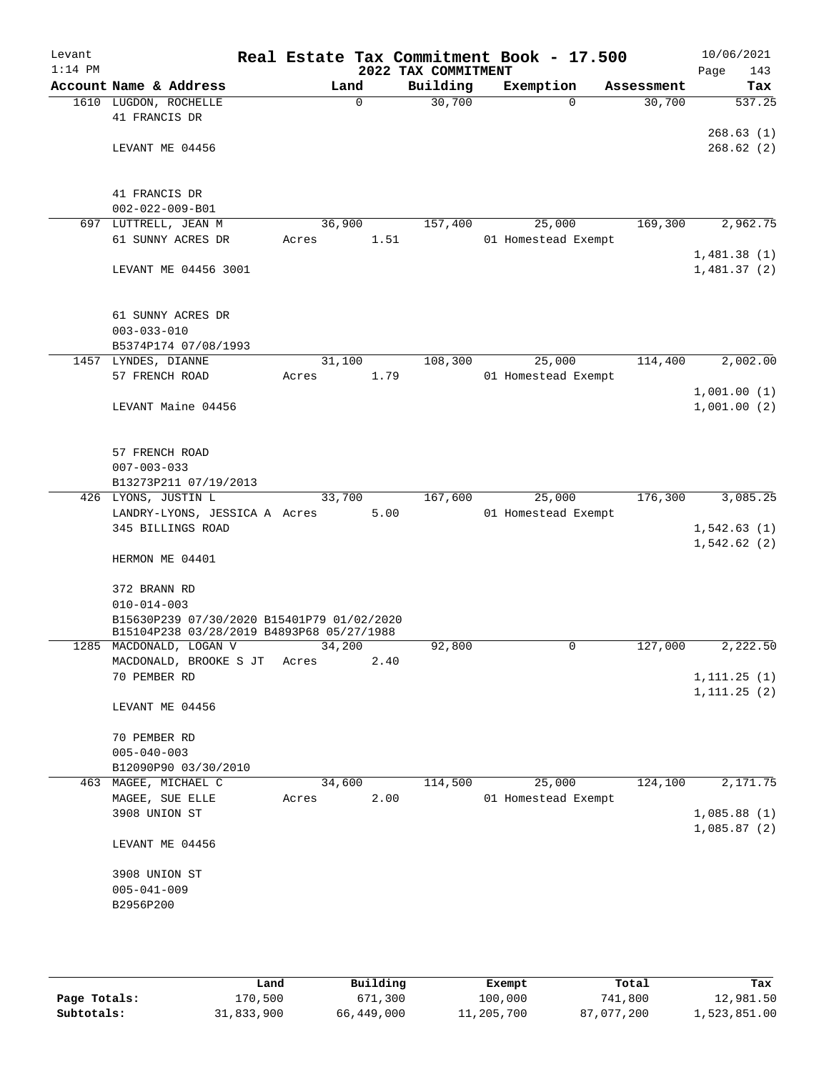| Levant<br>$1:14$ PM |                                                   |       |          |      | 2022 TAX COMMITMENT | Real Estate Tax Commitment Book - 17.500 |            | 10/06/2021<br>143<br>Page  |
|---------------------|---------------------------------------------------|-------|----------|------|---------------------|------------------------------------------|------------|----------------------------|
|                     | Account Name & Address                            |       | Land     |      | Building            | Exemption                                | Assessment | Tax                        |
|                     | 1610 LUGDON, ROCHELLE                             |       | $\Omega$ |      | 30,700              | $\Omega$                                 | 30,700     | 537.25                     |
|                     | 41 FRANCIS DR                                     |       |          |      |                     |                                          |            |                            |
|                     |                                                   |       |          |      |                     |                                          |            | 268.63(1)                  |
|                     | LEVANT ME 04456                                   |       |          |      |                     |                                          |            | 268.62(2)                  |
|                     |                                                   |       |          |      |                     |                                          |            |                            |
|                     | 41 FRANCIS DR                                     |       |          |      |                     |                                          |            |                            |
|                     | $002 - 022 - 009 - B01$                           |       |          |      |                     |                                          |            |                            |
|                     | 697 LUTTRELL, JEAN M                              |       | 36,900   |      | 157,400             | 25,000                                   | 169,300    | 2,962.75                   |
|                     | 61 SUNNY ACRES DR                                 | Acres |          | 1.51 |                     | 01 Homestead Exempt                      |            |                            |
|                     | LEVANT ME 04456 3001                              |       |          |      |                     |                                          |            | 1,481.38(1)<br>1,481.37(2) |
|                     |                                                   |       |          |      |                     |                                          |            |                            |
|                     |                                                   |       |          |      |                     |                                          |            |                            |
|                     | 61 SUNNY ACRES DR                                 |       |          |      |                     |                                          |            |                            |
|                     | $003 - 033 - 010$                                 |       |          |      |                     |                                          |            |                            |
|                     | B5374P174 07/08/1993                              |       | 31,100   |      |                     |                                          |            |                            |
|                     | 1457 LYNDES, DIANNE<br>57 FRENCH ROAD             | Acres |          | 1.79 | 108,300             | 25,000<br>01 Homestead Exempt            | 114,400    | 2,002.00                   |
|                     |                                                   |       |          |      |                     |                                          |            | 1,001.00(1)                |
|                     | LEVANT Maine 04456                                |       |          |      |                     |                                          |            | 1,001.00(2)                |
|                     |                                                   |       |          |      |                     |                                          |            |                            |
|                     |                                                   |       |          |      |                     |                                          |            |                            |
|                     | 57 FRENCH ROAD                                    |       |          |      |                     |                                          |            |                            |
|                     | $007 - 003 - 033$<br>B13273P211 07/19/2013        |       |          |      |                     |                                          |            |                            |
|                     | 426 LYONS, JUSTIN L                               |       | 33,700   |      | 167,600             | 25,000                                   | 176,300    | 3,085.25                   |
|                     | LANDRY-LYONS, JESSICA A Acres                     |       |          | 5.00 |                     | 01 Homestead Exempt                      |            |                            |
|                     | 345 BILLINGS ROAD                                 |       |          |      |                     |                                          |            | 1,542.63(1)                |
|                     |                                                   |       |          |      |                     |                                          |            | 1,542.62(2)                |
|                     | HERMON ME 04401                                   |       |          |      |                     |                                          |            |                            |
|                     | 372 BRANN RD                                      |       |          |      |                     |                                          |            |                            |
|                     | $010 - 014 - 003$                                 |       |          |      |                     |                                          |            |                            |
|                     | B15630P239 07/30/2020 B15401P79 01/02/2020        |       |          |      |                     |                                          |            |                            |
|                     | B15104P238 03/28/2019 B4893P68 05/27/1988         |       |          |      |                     |                                          |            |                            |
|                     | 1285 MACDONALD, LOGAN V<br>MACDONALD, BROOKE S JT | Acres | 34,200   | 2.40 | 92,800              | 0                                        | 127,000    | 2,222.50                   |
|                     | 70 PEMBER RD                                      |       |          |      |                     |                                          |            | 1, 111.25(1)               |
|                     |                                                   |       |          |      |                     |                                          |            | 1, 111.25(2)               |
|                     | LEVANT ME 04456                                   |       |          |      |                     |                                          |            |                            |
|                     |                                                   |       |          |      |                     |                                          |            |                            |
|                     | 70 PEMBER RD                                      |       |          |      |                     |                                          |            |                            |
|                     | $005 - 040 - 003$<br>B12090P90 03/30/2010         |       |          |      |                     |                                          |            |                            |
| 463                 | MAGEE, MICHAEL C                                  |       | 34,600   |      | 114,500             | 25,000                                   | 124,100    | 2,171.75                   |
|                     | MAGEE, SUE ELLE                                   | Acres |          | 2.00 |                     | 01 Homestead Exempt                      |            |                            |
|                     | 3908 UNION ST                                     |       |          |      |                     |                                          |            | 1,085.88(1)                |
|                     |                                                   |       |          |      |                     |                                          |            | 1,085.87(2)                |
|                     | LEVANT ME 04456                                   |       |          |      |                     |                                          |            |                            |
|                     | 3908 UNION ST                                     |       |          |      |                     |                                          |            |                            |
|                     | $005 - 041 - 009$                                 |       |          |      |                     |                                          |            |                            |
|                     | B2956P200                                         |       |          |      |                     |                                          |            |                            |
|                     |                                                   |       |          |      |                     |                                          |            |                            |
|                     |                                                   |       |          |      |                     |                                          |            |                            |
|                     |                                                   |       |          |      |                     |                                          |            |                            |

|              | Land       | Building   | Exempt     | Total      | Tax          |
|--------------|------------|------------|------------|------------|--------------|
| Page Totals: | 170,500    | 671,300    | 100,000    | 741,800    | 12,981.50    |
| Subtotals:   | 31,833,900 | 66,449,000 | 11,205,700 | 87,077,200 | 1,523,851.00 |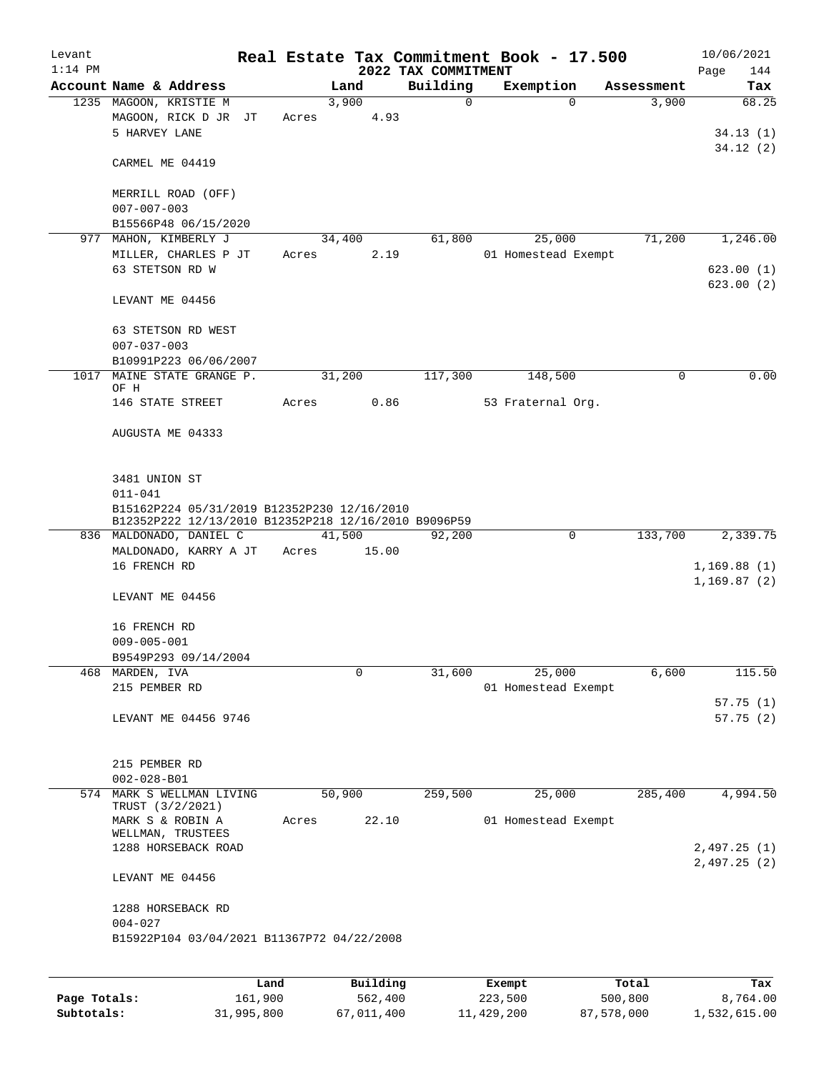| Levant<br>$1:14$ PM |                                                                                                     |             |               | 2022 TAX COMMITMENT | Real Estate Tax Commitment Book - 17.500 |            | 10/06/2021<br>144<br>Page |
|---------------------|-----------------------------------------------------------------------------------------------------|-------------|---------------|---------------------|------------------------------------------|------------|---------------------------|
|                     | Account Name & Address                                                                              |             | Land          | Building            | Exemption                                | Assessment | Tax                       |
|                     | 1235 MAGOON, KRISTIE M<br>MAGOON, RICK D JR JT<br>5 HARVEY LANE                                     | Acres       | 3,900<br>4.93 | $\Omega$            | $\Omega$                                 | 3,900      | 68.25<br>34.13(1)         |
|                     | CARMEL ME 04419                                                                                     |             |               |                     |                                          |            | 34.12(2)                  |
|                     | MERRILL ROAD (OFF)<br>$007 - 007 - 003$                                                             |             |               |                     |                                          |            |                           |
|                     | B15566P48 06/15/2020                                                                                |             |               |                     |                                          |            |                           |
|                     | 977 MAHON, KIMBERLY J                                                                               |             | 34,400        | 61,800              | 25,000                                   | 71,200     | 1,246.00                  |
|                     | MILLER, CHARLES P JT                                                                                | Acres       | 2.19          |                     | 01 Homestead Exempt                      |            |                           |
|                     | 63 STETSON RD W                                                                                     |             |               |                     |                                          |            | 623.00(1)<br>623.00(2)    |
|                     | LEVANT ME 04456                                                                                     |             |               |                     |                                          |            |                           |
|                     | 63 STETSON RD WEST<br>$007 - 037 - 003$                                                             |             |               |                     |                                          |            |                           |
|                     | B10991P223 06/06/2007                                                                               |             |               |                     |                                          |            |                           |
| 1017                | MAINE STATE GRANGE P.<br>OF H                                                                       |             | 31,200        | 117,300             | 148,500                                  | 0          | 0.00                      |
|                     | 146 STATE STREET                                                                                    | Acres       | 0.86          |                     | 53 Fraternal Org.                        |            |                           |
|                     | AUGUSTA ME 04333                                                                                    |             |               |                     |                                          |            |                           |
|                     | 3481 UNION ST<br>$011 - 041$                                                                        |             |               |                     |                                          |            |                           |
|                     | B15162P224 05/31/2019 B12352P230 12/16/2010<br>B12352P222 12/13/2010 B12352P218 12/16/2010 B9096P59 |             |               |                     |                                          |            |                           |
|                     | 836 MALDONADO, DANIEL C                                                                             | 41,500      |               | 92,200              | $\mathsf{O}$                             | 133,700    | 2,339.75                  |
|                     | MALDONADO, KARRY A JT<br>16 FRENCH RD                                                               | Acres 15.00 |               |                     |                                          |            | 1,169.88(1)               |
|                     | LEVANT ME 04456                                                                                     |             |               |                     |                                          |            | 1,169.87(2)               |
|                     | 16 FRENCH RD<br>$009 - 005 - 001$                                                                   |             |               |                     |                                          |            |                           |
|                     | B9549P293 09/14/2004                                                                                |             |               |                     |                                          |            |                           |
|                     | 468 MARDEN, IVA                                                                                     |             | 0             | 31,600              | 25,000                                   | 6,600      | 115.50                    |
|                     | 215 PEMBER RD                                                                                       |             |               |                     | 01 Homestead Exempt                      |            |                           |
|                     |                                                                                                     |             |               |                     |                                          |            | 57.75(1)                  |
|                     | LEVANT ME 04456 9746                                                                                |             |               |                     |                                          |            | 57.75(2)                  |
|                     | 215 PEMBER RD                                                                                       |             |               |                     |                                          |            |                           |
|                     | $002 - 028 - B01$                                                                                   |             |               |                     |                                          |            |                           |
|                     | 574 MARK S WELLMAN LIVING<br>TRUST (3/2/2021)                                                       |             | 50,900        | 259,500             | 25,000                                   | 285,400    | 4,994.50                  |
|                     | MARK S & ROBIN A                                                                                    | Acres       | 22.10         |                     | 01 Homestead Exempt                      |            |                           |
|                     | WELLMAN, TRUSTEES<br>1288 HORSEBACK ROAD                                                            |             |               |                     |                                          |            | 2,497.25(1)               |
|                     | LEVANT ME 04456                                                                                     |             |               |                     |                                          |            | 2,497.25(2)               |
|                     | 1288 HORSEBACK RD<br>$004 - 027$                                                                    |             |               |                     |                                          |            |                           |
|                     | B15922P104 03/04/2021 B11367P72 04/22/2008                                                          |             |               |                     |                                          |            |                           |
|                     |                                                                                                     |             |               |                     |                                          |            |                           |
|                     |                                                                                                     | Land        | Building      |                     | Exempt                                   | Total      | Tax                       |
| Page Totals:        | 161,900                                                                                             |             | 562,400       |                     | 223,500                                  | 500,800    | 8,764.00                  |

**Subtotals:** 31,995,800 67,011,400 11,429,200 87,578,000 1,532,615.00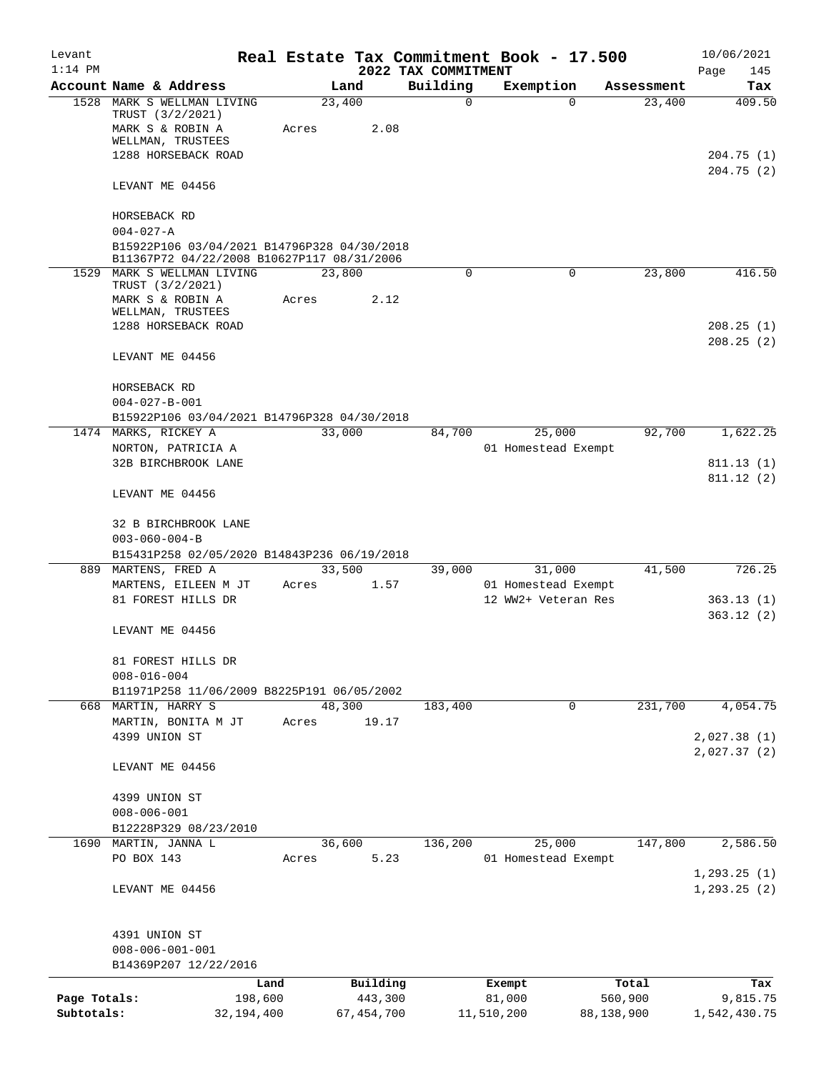| Levant       |                                                                                           |            |                 |              |                                 | Real Estate Tax Commitment Book - 17.500 |                        | 10/06/2021                   |
|--------------|-------------------------------------------------------------------------------------------|------------|-----------------|--------------|---------------------------------|------------------------------------------|------------------------|------------------------------|
| $1:14$ PM    | Account Name & Address                                                                    |            |                 | Land         | 2022 TAX COMMITMENT<br>Building |                                          |                        | Page<br>145<br>Tax           |
|              | 1528 MARK S WELLMAN LIVING                                                                |            | 23,400          |              | 0                               | Exemption                                | Assessment<br>$\Omega$ | 409.50<br>23,400             |
|              | TRUST (3/2/2021)<br>MARK S & ROBIN A<br>WELLMAN, TRUSTEES<br>1288 HORSEBACK ROAD          |            | Acres           | 2.08         |                                 |                                          |                        | 204.75 (1)                   |
|              | LEVANT ME 04456                                                                           |            |                 |              |                                 |                                          |                        | 204.75(2)                    |
|              |                                                                                           |            |                 |              |                                 |                                          |                        |                              |
|              | HORSEBACK RD<br>$004 - 027 - A$                                                           |            |                 |              |                                 |                                          |                        |                              |
|              | B15922P106 03/04/2021 B14796P328 04/30/2018<br>B11367P72 04/22/2008 B10627P117 08/31/2006 |            |                 |              |                                 |                                          |                        |                              |
|              | 1529 MARK S WELLMAN LIVING<br>TRUST (3/2/2021)<br>MARK S & ROBIN A<br>WELLMAN, TRUSTEES   |            | 23,800<br>Acres | 2.12         | $\Omega$                        |                                          | 0                      | 23,800<br>416.50             |
|              | 1288 HORSEBACK ROAD                                                                       |            |                 |              |                                 |                                          |                        | 208.25(1)<br>208.25(2)       |
|              | LEVANT ME 04456                                                                           |            |                 |              |                                 |                                          |                        |                              |
|              | HORSEBACK RD<br>$004 - 027 - B - 001$                                                     |            |                 |              |                                 |                                          |                        |                              |
|              | B15922P106 03/04/2021 B14796P328 04/30/2018                                               |            |                 |              |                                 |                                          |                        |                              |
|              | 1474 MARKS, RICKEY A                                                                      |            | 33,000          |              | 84,700                          | 25,000                                   |                        | 92,700<br>1,622.25           |
|              | NORTON, PATRICIA A<br>32B BIRCHBROOK LANE                                                 |            |                 |              |                                 | 01 Homestead Exempt                      |                        | 811.13(1)                    |
|              | LEVANT ME 04456                                                                           |            |                 |              |                                 |                                          |                        | 811.12(2)                    |
|              | 32 B BIRCHBROOK LANE                                                                      |            |                 |              |                                 |                                          |                        |                              |
|              | $003 - 060 - 004 - B$                                                                     |            |                 |              |                                 |                                          |                        |                              |
|              | B15431P258 02/05/2020 B14843P236 06/19/2018<br>889 MARTENS, FRED A                        |            | 33,500          |              | 39,000                          | 31,000                                   |                        | 41,500<br>726.25             |
|              | MARTENS, EILEEN M JT                                                                      |            | Acres           | 1.57         |                                 | 01 Homestead Exempt                      |                        |                              |
|              | 81 FOREST HILLS DR                                                                        |            |                 |              |                                 | 12 WW2+ Veteran Res                      |                        | 363.13(1)<br>363.12(2)       |
|              | LEVANT ME 04456                                                                           |            |                 |              |                                 |                                          |                        |                              |
|              | 81 FOREST HILLS DR                                                                        |            |                 |              |                                 |                                          |                        |                              |
|              | $008 - 016 - 004$<br>B11971P258 11/06/2009 B8225P191 06/05/2002                           |            |                 |              |                                 |                                          |                        |                              |
|              | 668 MARTIN, HARRY S                                                                       |            | 48,300          |              | 183,400                         |                                          | 231,700<br>0           | 4,054.75                     |
|              | MARTIN, BONITA M JT                                                                       |            | Acres           | 19.17        |                                 |                                          |                        |                              |
|              | 4399 UNION ST                                                                             |            |                 |              |                                 |                                          |                        | 2,027.38(1)<br>2,027.37(2)   |
|              | LEVANT ME 04456                                                                           |            |                 |              |                                 |                                          |                        |                              |
|              | 4399 UNION ST                                                                             |            |                 |              |                                 |                                          |                        |                              |
|              | $008 - 006 - 001$<br>B12228P329 08/23/2010                                                |            |                 |              |                                 |                                          |                        |                              |
| 1690         | MARTIN, JANNA L                                                                           |            | 36,600          |              | 136,200                         | 25,000                                   | 147,800                | 2,586.50                     |
|              | PO BOX 143                                                                                |            | Acres           | 5.23         |                                 | 01 Homestead Exempt                      |                        |                              |
|              | LEVANT ME 04456                                                                           |            |                 |              |                                 |                                          |                        | 1, 293.25(1)<br>1, 293.25(2) |
|              | 4391 UNION ST<br>$008 - 006 - 001 - 001$                                                  |            |                 |              |                                 |                                          |                        |                              |
|              | B14369P207 12/22/2016                                                                     |            |                 |              |                                 |                                          |                        |                              |
|              |                                                                                           | Land       |                 | Building     |                                 | Exempt                                   | Total                  | Tax                          |
| Page Totals: |                                                                                           | 198,600    |                 | 443,300      |                                 | 81,000                                   | 560,900                | 9,815.75                     |
| Subtotals:   |                                                                                           | 32,194,400 |                 | 67, 454, 700 |                                 | 11,510,200                               | 88,138,900             | 1,542,430.75                 |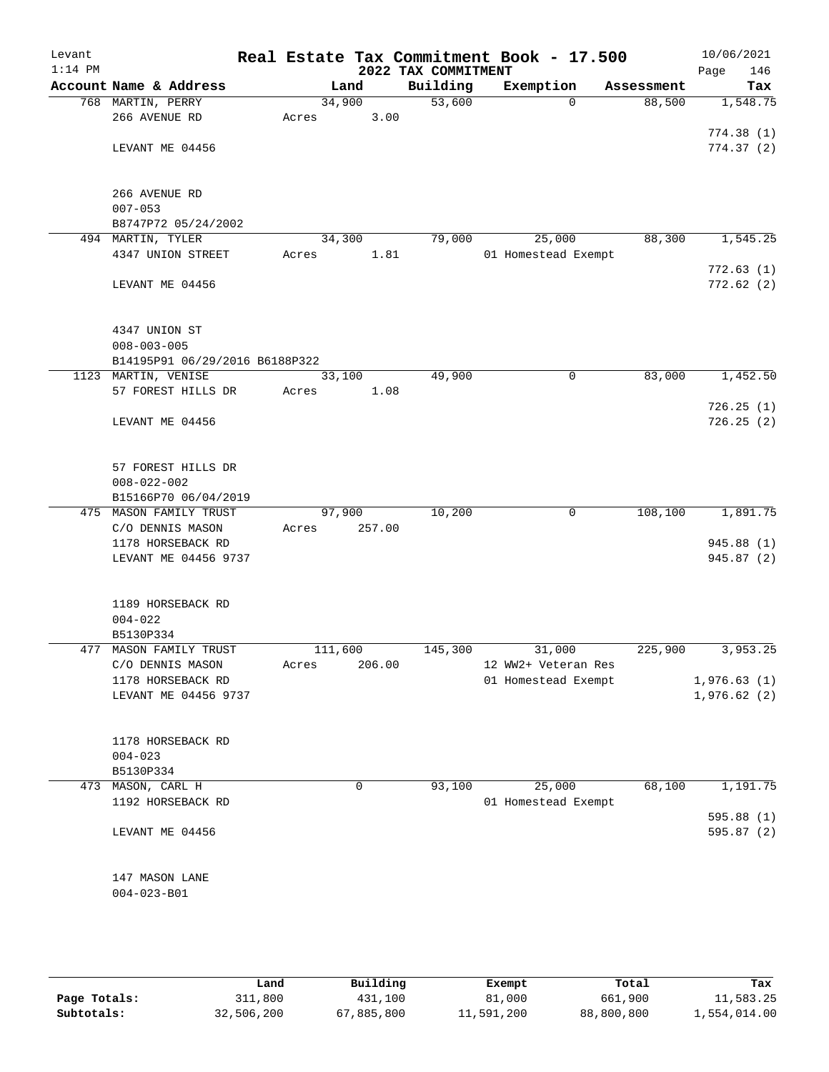| Levant    |                                    |         |        |                                 | Real Estate Tax Commitment Book - 17.500 |              | 10/06/2021         |
|-----------|------------------------------------|---------|--------|---------------------------------|------------------------------------------|--------------|--------------------|
| $1:14$ PM | Account Name & Address             |         | Land   | 2022 TAX COMMITMENT<br>Building | Exemption                                | Assessment   | 146<br>Page<br>Tax |
|           | 768 MARTIN, PERRY                  | 34,900  |        | 53,600                          |                                          | $\Omega$     | 88,500<br>1,548.75 |
|           | 266 AVENUE RD                      | Acres   | 3.00   |                                 |                                          |              |                    |
|           |                                    |         |        |                                 |                                          |              | 774.38(1)          |
|           | LEVANT ME 04456                    |         |        |                                 |                                          |              | 774.37(2)          |
|           |                                    |         |        |                                 |                                          |              |                    |
|           |                                    |         |        |                                 |                                          |              |                    |
|           | 266 AVENUE RD<br>$007 - 053$       |         |        |                                 |                                          |              |                    |
|           | B8747P72 05/24/2002                |         |        |                                 |                                          |              |                    |
|           | 494 MARTIN, TYLER                  | 34,300  |        | 79,000                          | 25,000                                   |              | 88,300<br>1,545.25 |
|           | 4347 UNION STREET                  | Acres   | 1.81   |                                 | 01 Homestead Exempt                      |              |                    |
|           |                                    |         |        |                                 |                                          |              | 772.63(1)          |
|           | LEVANT ME 04456                    |         |        |                                 |                                          |              | 772.62(2)          |
|           |                                    |         |        |                                 |                                          |              |                    |
|           |                                    |         |        |                                 |                                          |              |                    |
|           | 4347 UNION ST<br>$008 - 003 - 005$ |         |        |                                 |                                          |              |                    |
|           | B14195P91 06/29/2016 B6188P322     |         |        |                                 |                                          |              |                    |
|           | 1123 MARTIN, VENISE                | 33,100  |        | 49,900                          |                                          | 0            | 83,000<br>1,452.50 |
|           | 57 FOREST HILLS DR                 | Acres   | 1.08   |                                 |                                          |              |                    |
|           |                                    |         |        |                                 |                                          |              | 726.25(1)          |
|           | LEVANT ME 04456                    |         |        |                                 |                                          |              | 726.25(2)          |
|           |                                    |         |        |                                 |                                          |              |                    |
|           | 57 FOREST HILLS DR                 |         |        |                                 |                                          |              |                    |
|           | $008 - 022 - 002$                  |         |        |                                 |                                          |              |                    |
|           | B15166P70 06/04/2019               |         |        |                                 |                                          |              |                    |
|           | 475 MASON FAMILY TRUST             | 97,900  |        | 10,200                          |                                          | 108,100<br>0 | 1,891.75           |
|           | C/O DENNIS MASON                   | Acres   | 257.00 |                                 |                                          |              |                    |
|           | 1178 HORSEBACK RD                  |         |        |                                 |                                          |              | 945.88 (1)         |
|           | LEVANT ME 04456 9737               |         |        |                                 |                                          |              | 945.87 (2)         |
|           |                                    |         |        |                                 |                                          |              |                    |
|           |                                    |         |        |                                 |                                          |              |                    |
|           | 1189 HORSEBACK RD<br>$004 - 022$   |         |        |                                 |                                          |              |                    |
|           | B5130P334                          |         |        |                                 |                                          |              |                    |
| 477       | MASON FAMILY TRUST                 | 111,600 |        | 145,300                         | 31,000                                   | 225,900      | 3,953.25           |
|           | C/O DENNIS MASON                   | Acres   | 206.00 |                                 | 12 WW2+ Veteran Res                      |              |                    |
|           | 1178 HORSEBACK RD                  |         |        |                                 | 01 Homestead Exempt                      |              | 1,976.63(1)        |
|           | LEVANT ME 04456 9737               |         |        |                                 |                                          |              | 1,976.62(2)        |
|           |                                    |         |        |                                 |                                          |              |                    |
|           |                                    |         |        |                                 |                                          |              |                    |
|           | 1178 HORSEBACK RD<br>$004 - 023$   |         |        |                                 |                                          |              |                    |
|           | B5130P334                          |         |        |                                 |                                          |              |                    |
|           | 473 MASON, CARL H                  |         | 0      | 93,100                          | 25,000                                   |              | 68,100<br>1,191.75 |
|           | 1192 HORSEBACK RD                  |         |        |                                 | 01 Homestead Exempt                      |              |                    |
|           |                                    |         |        |                                 |                                          |              | 595.88 (1)         |
|           | LEVANT ME 04456                    |         |        |                                 |                                          |              | 595.87 (2)         |
|           |                                    |         |        |                                 |                                          |              |                    |
|           |                                    |         |        |                                 |                                          |              |                    |
|           | 147 MASON LANE                     |         |        |                                 |                                          |              |                    |
|           | $004 - 023 - B01$                  |         |        |                                 |                                          |              |                    |
|           |                                    |         |        |                                 |                                          |              |                    |
|           |                                    |         |        |                                 |                                          |              |                    |

|              | Land       | Building   | Exempt     | Total      | Tax          |
|--------------|------------|------------|------------|------------|--------------|
| Page Totals: | 311,800    | 431,100    | 81,000     | 661,900    | 11,583.25    |
| Subtotals:   | 32,506,200 | 67,885,800 | 11,591,200 | 88,800,800 | 1,554,014.00 |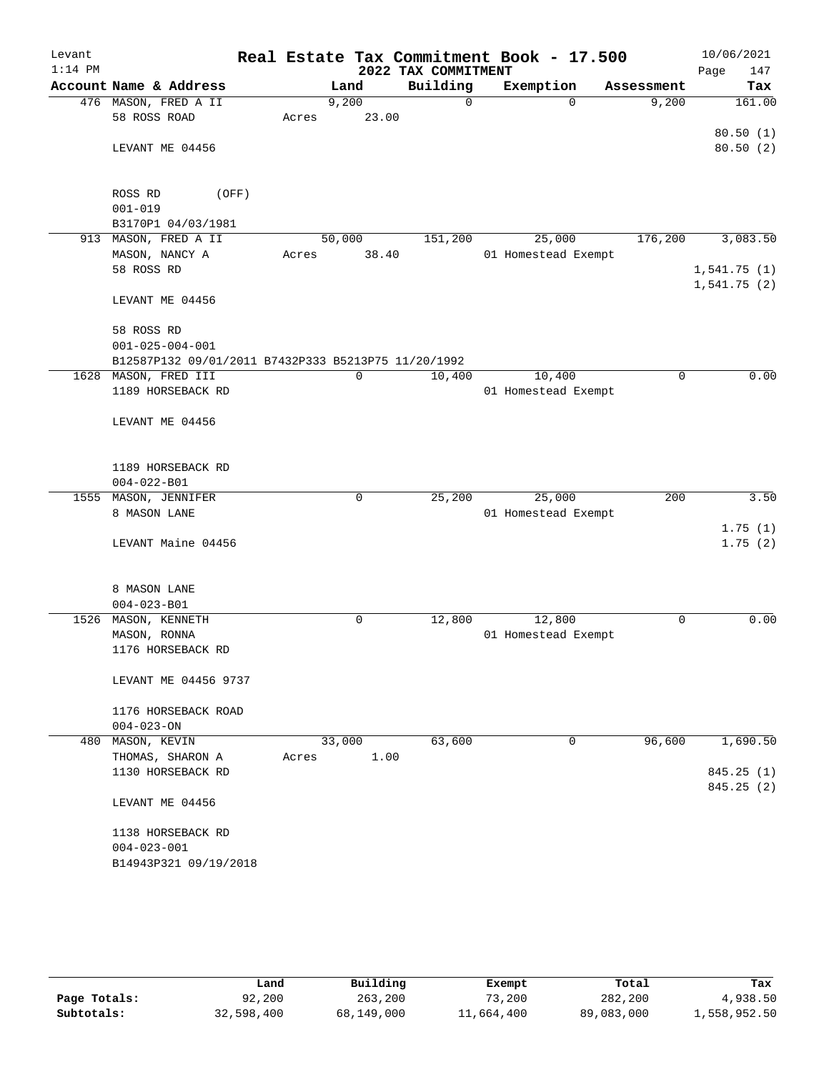| Levant    |                                                     |       |        |       |                     | Real Estate Tax Commitment Book - 17.500 |             |      | 10/06/2021           |
|-----------|-----------------------------------------------------|-------|--------|-------|---------------------|------------------------------------------|-------------|------|----------------------|
| $1:14$ PM |                                                     |       |        |       | 2022 TAX COMMITMENT |                                          |             | Page | 147                  |
|           | Account Name & Address                              |       | Land   |       | Building            | Exemption                                | Assessment  |      | Tax                  |
|           | 476 MASON, FRED A II                                |       | 9,200  |       | $\Omega$            | $\Omega$                                 | 9,200       |      | 161.00               |
|           | 58 ROSS ROAD                                        | Acres |        | 23.00 |                     |                                          |             |      |                      |
|           |                                                     |       |        |       |                     |                                          |             |      | 80.50(1)<br>80.50(2) |
|           | LEVANT ME 04456                                     |       |        |       |                     |                                          |             |      |                      |
|           |                                                     |       |        |       |                     |                                          |             |      |                      |
|           | ROSS RD<br>(OFF)                                    |       |        |       |                     |                                          |             |      |                      |
|           | $001 - 019$                                         |       |        |       |                     |                                          |             |      |                      |
|           | B3170P1 04/03/1981                                  |       |        |       |                     |                                          |             |      |                      |
|           | 913 MASON, FRED A II                                |       | 50,000 |       | 151,200             | 25,000                                   | 176,200     |      | 3,083.50             |
|           | MASON, NANCY A                                      | Acres |        | 38.40 |                     | 01 Homestead Exempt                      |             |      |                      |
|           | 58 ROSS RD                                          |       |        |       |                     |                                          |             |      | 1,541.75(1)          |
|           |                                                     |       |        |       |                     |                                          |             |      | 1,541.75(2)          |
|           | LEVANT ME 04456                                     |       |        |       |                     |                                          |             |      |                      |
|           | 58 ROSS RD                                          |       |        |       |                     |                                          |             |      |                      |
|           | $001 - 025 - 004 - 001$                             |       |        |       |                     |                                          |             |      |                      |
|           | B12587P132 09/01/2011 B7432P333 B5213P75 11/20/1992 |       |        |       |                     |                                          |             |      |                      |
|           | 1628 MASON, FRED III                                |       | 0      |       | 10,400              | 10,400                                   | $\mathbf 0$ |      | 0.00                 |
|           | 1189 HORSEBACK RD                                   |       |        |       |                     | 01 Homestead Exempt                      |             |      |                      |
|           |                                                     |       |        |       |                     |                                          |             |      |                      |
|           | LEVANT ME 04456                                     |       |        |       |                     |                                          |             |      |                      |
|           |                                                     |       |        |       |                     |                                          |             |      |                      |
|           |                                                     |       |        |       |                     |                                          |             |      |                      |
|           | 1189 HORSEBACK RD                                   |       |        |       |                     |                                          |             |      |                      |
|           | $004 - 022 - B01$                                   |       |        |       |                     |                                          |             |      |                      |
| 1555      | MASON, JENNIFER<br>8 MASON LANE                     |       | 0      |       | 25,200              | 25,000<br>01 Homestead Exempt            | 200         |      | 3.50                 |
|           |                                                     |       |        |       |                     |                                          |             |      | 1.75(1)              |
|           | LEVANT Maine 04456                                  |       |        |       |                     |                                          |             |      | 1.75(2)              |
|           |                                                     |       |        |       |                     |                                          |             |      |                      |
|           |                                                     |       |        |       |                     |                                          |             |      |                      |
|           | 8 MASON LANE                                        |       |        |       |                     |                                          |             |      |                      |
|           | $004 - 023 - B01$                                   |       |        |       |                     |                                          |             |      |                      |
|           | 1526 MASON, KENNETH                                 |       | 0      |       | 12,800              | 12,800                                   | 0           |      | 0.00                 |
|           | MASON, RONNA                                        |       |        |       |                     | 01 Homestead Exempt                      |             |      |                      |
|           | 1176 HORSEBACK RD                                   |       |        |       |                     |                                          |             |      |                      |
|           |                                                     |       |        |       |                     |                                          |             |      |                      |
|           | LEVANT ME 04456 9737                                |       |        |       |                     |                                          |             |      |                      |
|           | 1176 HORSEBACK ROAD                                 |       |        |       |                     |                                          |             |      |                      |
|           | $004 - 023 - ON$                                    |       |        |       |                     |                                          |             |      |                      |
| 480       | MASON, KEVIN                                        |       | 33,000 |       | 63,600              | 0                                        | 96,600      |      | 1,690.50             |
|           | THOMAS, SHARON A                                    | Acres |        | 1.00  |                     |                                          |             |      |                      |
|           | 1130 HORSEBACK RD                                   |       |        |       |                     |                                          |             |      | 845.25(1)            |
|           |                                                     |       |        |       |                     |                                          |             |      | 845.25(2)            |
|           | LEVANT ME 04456                                     |       |        |       |                     |                                          |             |      |                      |
|           |                                                     |       |        |       |                     |                                          |             |      |                      |
|           | 1138 HORSEBACK RD                                   |       |        |       |                     |                                          |             |      |                      |
|           | $004 - 023 - 001$                                   |       |        |       |                     |                                          |             |      |                      |
|           | B14943P321 09/19/2018                               |       |        |       |                     |                                          |             |      |                      |
|           |                                                     |       |        |       |                     |                                          |             |      |                      |

|              | Land       | Building   | Exempt     | Total      | Tax          |
|--------------|------------|------------|------------|------------|--------------|
| Page Totals: | 92,200     | 263,200    | 73,200     | 282,200    | 4,938.50     |
| Subtotals:   | 32,598,400 | 68,149,000 | 11,664,400 | 89,083,000 | 1,558,952.50 |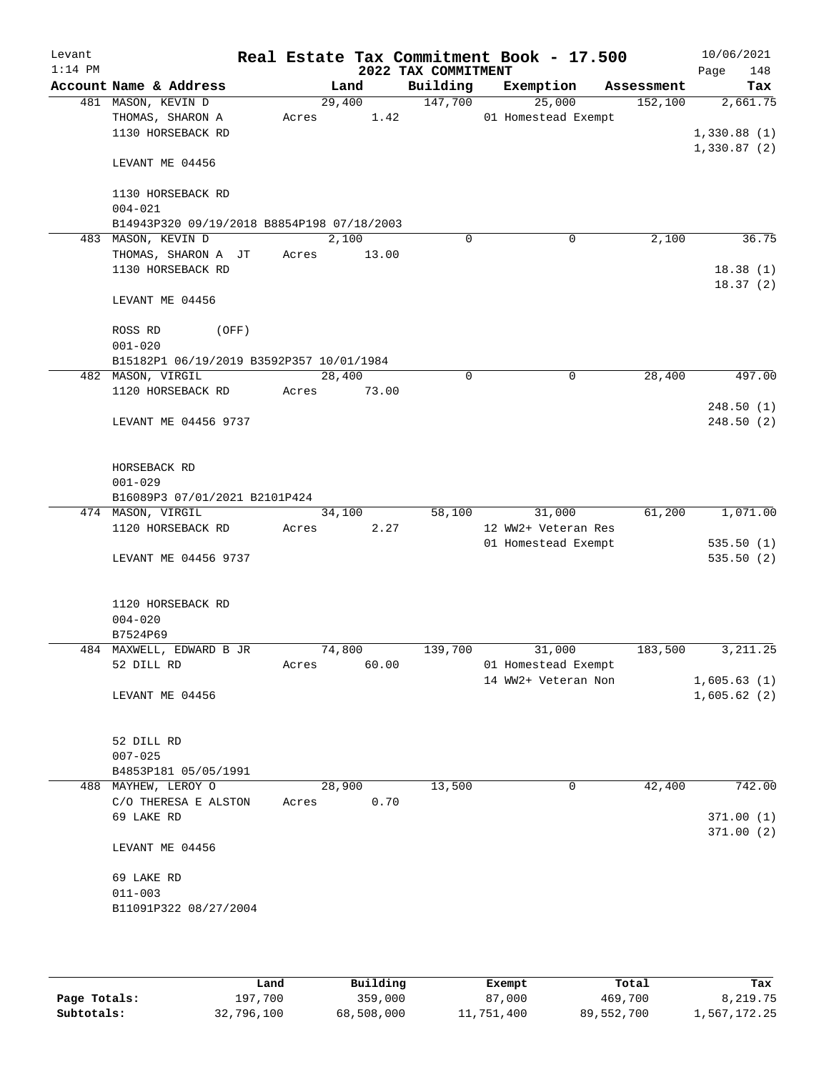| Levant<br>$1:14$ PM |                                            |       |        | 2022 TAX COMMITMENT | Real Estate Tax Commitment Book - 17.500 |            | 10/06/2021<br>Page<br>148 |
|---------------------|--------------------------------------------|-------|--------|---------------------|------------------------------------------|------------|---------------------------|
|                     | Account Name & Address                     |       | Land   | Building            | Exemption                                | Assessment | Tax                       |
|                     | 481 MASON, KEVIN D                         |       | 29,400 | 147,700             | 25,000                                   | 152,100    | 2,661.75                  |
|                     | THOMAS, SHARON A                           | Acres | 1.42   |                     | 01 Homestead Exempt                      |            |                           |
|                     | 1130 HORSEBACK RD                          |       |        |                     |                                          |            | 1,330.88(1)               |
|                     | LEVANT ME 04456                            |       |        |                     |                                          |            | 1,330.87(2)               |
|                     |                                            |       |        |                     |                                          |            |                           |
|                     | 1130 HORSEBACK RD                          |       |        |                     |                                          |            |                           |
|                     | $004 - 021$                                |       |        |                     |                                          |            |                           |
|                     | B14943P320 09/19/2018 B8854P198 07/18/2003 |       |        |                     |                                          |            |                           |
|                     | 483 MASON, KEVIN D                         |       | 2,100  | $\Omega$            | 0                                        | 2,100      | 36.75                     |
|                     | THOMAS, SHARON A JT                        | Acres | 13.00  |                     |                                          |            |                           |
|                     | 1130 HORSEBACK RD                          |       |        |                     |                                          |            | 18.38(1)<br>18.37(2)      |
|                     | LEVANT ME 04456                            |       |        |                     |                                          |            |                           |
|                     | ROSS RD<br>(OFF)                           |       |        |                     |                                          |            |                           |
|                     | $001 - 020$                                |       |        |                     |                                          |            |                           |
|                     | B15182P1 06/19/2019 B3592P357 10/01/1984   |       |        |                     |                                          |            |                           |
|                     | 482 MASON, VIRGIL                          |       | 28,400 | 0                   | 0                                        | 28,400     | 497.00                    |
|                     | 1120 HORSEBACK RD                          | Acres | 73.00  |                     |                                          |            |                           |
|                     |                                            |       |        |                     |                                          |            | 248.50(1)                 |
|                     | LEVANT ME 04456 9737                       |       |        |                     |                                          |            | 248.50(2)                 |
|                     |                                            |       |        |                     |                                          |            |                           |
|                     | HORSEBACK RD                               |       |        |                     |                                          |            |                           |
|                     | $001 - 029$                                |       |        |                     |                                          |            |                           |
|                     | B16089P3 07/01/2021 B2101P424              |       |        |                     |                                          |            |                           |
|                     | 474 MASON, VIRGIL                          |       | 34,100 | 58,100              | 31,000                                   | 61,200     | 1,071.00                  |
|                     | 1120 HORSEBACK RD                          | Acres | 2.27   |                     | 12 WW2+ Veteran Res                      |            |                           |
|                     |                                            |       |        |                     | 01 Homestead Exempt                      |            | 535.50(1)                 |
|                     | LEVANT ME 04456 9737                       |       |        |                     |                                          |            | 535.50(2)                 |
|                     |                                            |       |        |                     |                                          |            |                           |
|                     | 1120 HORSEBACK RD                          |       |        |                     |                                          |            |                           |
|                     | $004 - 020$<br>B7524P69                    |       |        |                     |                                          |            |                           |
|                     | 484 MAXWELL, EDWARD B JR                   |       | 74,800 | 139,700             | 31,000                                   | 183,500    | 3, 211.25                 |
|                     | 52 DILL RD                                 | Acres | 60.00  |                     | 01 Homestead Exempt                      |            |                           |
|                     |                                            |       |        |                     | 14 WW2+ Veteran Non                      |            | 1,605.63(1)               |
|                     | LEVANT ME 04456                            |       |        |                     |                                          |            | 1,605.62(2)               |
|                     |                                            |       |        |                     |                                          |            |                           |
|                     | 52 DILL RD                                 |       |        |                     |                                          |            |                           |
|                     | $007 - 025$                                |       |        |                     |                                          |            |                           |
|                     | B4853P181 05/05/1991                       |       |        |                     |                                          |            |                           |
|                     | 488 MAYHEW, LEROY O                        |       | 28,900 | 13,500              | 0                                        | 42,400     | 742.00                    |
|                     | C/O THERESA E ALSTON                       | Acres | 0.70   |                     |                                          |            |                           |
|                     | 69 LAKE RD                                 |       |        |                     |                                          |            | 371.00(1)                 |
|                     |                                            |       |        |                     |                                          |            | 371.00(2)                 |
|                     | LEVANT ME 04456                            |       |        |                     |                                          |            |                           |
|                     | 69 LAKE RD                                 |       |        |                     |                                          |            |                           |
|                     | $011 - 003$                                |       |        |                     |                                          |            |                           |
|                     | B11091P322 08/27/2004                      |       |        |                     |                                          |            |                           |
|                     |                                            |       |        |                     |                                          |            |                           |
|                     |                                            |       |        |                     |                                          |            |                           |

|              | Land       | Building   | Exempt     | Total      | Tax          |
|--------------|------------|------------|------------|------------|--------------|
| Page Totals: | 197,700    | 359,000    | 87,000     | 469,700    | 8,219.75     |
| Subtotals:   | 32,796,100 | 68,508,000 | 11,751,400 | 89,552,700 | 1,567,172.25 |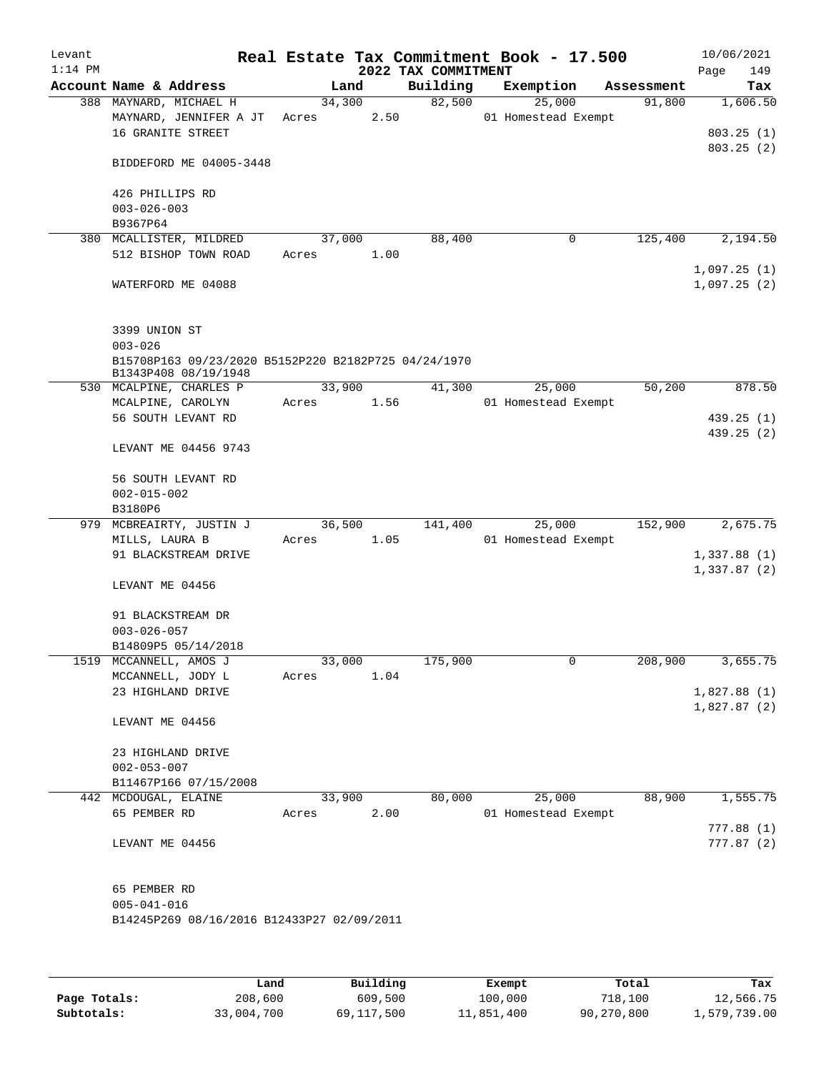| Account Name & Address                                                               |                 |      |          |                               |            | 149<br>Page                |
|--------------------------------------------------------------------------------------|-----------------|------|----------|-------------------------------|------------|----------------------------|
|                                                                                      |                 | Land | Building | Exemption                     | Assessment | Tax                        |
| 388 MAYNARD, MICHAEL H<br>MAYNARD, JENNIFER A JT<br>16 GRANITE STREET                | 34,300<br>Acres | 2.50 | 82,500   | 25,000<br>01 Homestead Exempt | 91,800     | 1,606.50<br>803.25(1)      |
| BIDDEFORD ME 04005-3448                                                              |                 |      |          |                               |            | 803.25(2)                  |
| 426 PHILLIPS RD<br>$003 - 026 - 003$<br>B9367P64                                     |                 |      |          |                               |            |                            |
| 380 MCALLISTER, MILDRED<br>512 BISHOP TOWN ROAD                                      | 37,000<br>Acres | 1.00 | 88,400   | 0                             | 125,400    | 2,194.50                   |
| WATERFORD ME 04088                                                                   |                 |      |          |                               |            | 1,097.25(1)<br>1,097.25(2) |
| 3399 UNION ST<br>$003 - 026$<br>B15708P163 09/23/2020 B5152P220 B2182P725 04/24/1970 |                 |      |          |                               |            |                            |
| B1343P408 08/19/1948<br>530 MCALPINE, CHARLES P                                      | 33,900          |      | 41,300   | 25,000                        | 50,200     | 878.50                     |
| MCALPINE, CAROLYN                                                                    | Acres           | 1.56 |          | 01 Homestead Exempt           |            |                            |
| 56 SOUTH LEVANT RD                                                                   |                 |      |          |                               |            | 439.25(1)                  |
| LEVANT ME 04456 9743                                                                 |                 |      |          |                               |            | 439.25 (2)                 |
| 56 SOUTH LEVANT RD<br>$002 - 015 - 002$<br>B3180P6                                   |                 |      |          |                               |            |                            |
| 979 MCBREAIRTY, JUSTIN J                                                             | 36,500          |      | 141,400  | 25,000                        | 152,900    | 2,675.75                   |
| MILLS, LAURA B                                                                       | Acres           | 1.05 |          | 01 Homestead Exempt           |            |                            |
| 91 BLACKSTREAM DRIVE                                                                 |                 |      |          |                               |            | 1,337.88(1)<br>1,337.87(2) |
| LEVANT ME 04456                                                                      |                 |      |          |                               |            |                            |
| 91 BLACKSTREAM DR                                                                    |                 |      |          |                               |            |                            |
| $003 - 026 - 057$                                                                    |                 |      |          |                               |            |                            |
| B14809P5 05/14/2018<br>1519 MCCANNELL, AMOS J                                        | 33,000          |      | 175,900  | 0                             | 208,900    | 3,655.75                   |
| MCCANNELL, JODY L                                                                    | Acres           | 1.04 |          |                               |            |                            |
| 23 HIGHLAND DRIVE                                                                    |                 |      |          |                               |            | 1,827.88(1)                |
| LEVANT ME 04456                                                                      |                 |      |          |                               |            | 1,827.87(2)                |
| 23 HIGHLAND DRIVE<br>$002 - 053 - 007$                                               |                 |      |          |                               |            |                            |
| B11467P166 07/15/2008                                                                |                 |      |          |                               |            |                            |
| 442 MCDOUGAL, ELAINE                                                                 | 33,900          |      | 80,000   | 25,000                        | 88,900     | 1,555.75                   |
| 65 PEMBER RD                                                                         | Acres           | 2.00 |          | 01 Homestead Exempt           |            | 777.88 (1)                 |
| LEVANT ME 04456                                                                      |                 |      |          |                               |            | 777.87(2)                  |
| 65 PEMBER RD<br>$005 - 041 - 016$<br>B14245P269 08/16/2016 B12433P27 02/09/2011      |                 |      |          |                               |            |                            |

|              | Land       | Building   | Exempt     | Total      | Tax          |
|--------------|------------|------------|------------|------------|--------------|
| Page Totals: | 208,600    | 609,500    | 100,000    | 718,100    | 12,566.75    |
| Subtotals:   | 33,004,700 | 69,117,500 | 11,851,400 | 90,270,800 | 1,579,739.00 |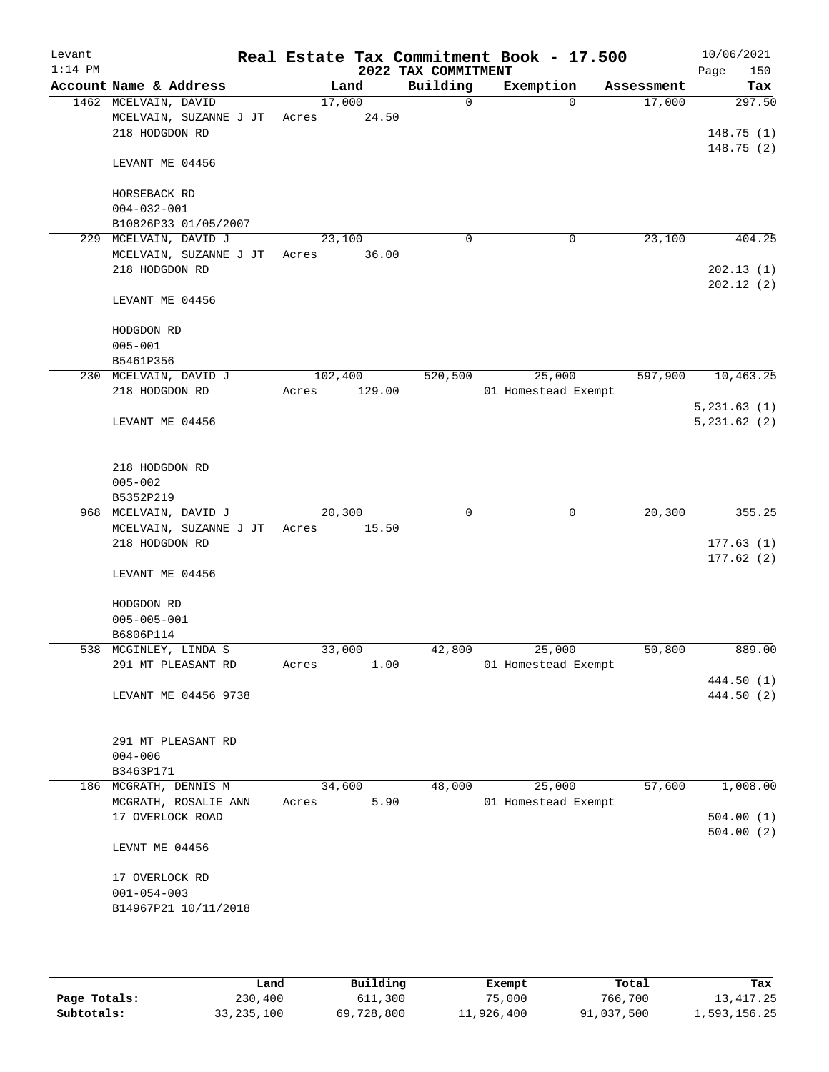| Levant<br>$1:14$ PM |                              |         |        | 2022 TAX COMMITMENT | Real Estate Tax Commitment Book - 17.500 |            | 10/06/2021<br>150<br>Page |
|---------------------|------------------------------|---------|--------|---------------------|------------------------------------------|------------|---------------------------|
|                     | Account Name & Address       |         | Land   | Building            | Exemption                                | Assessment | Tax                       |
|                     | 1462 MCELVAIN, DAVID         | 17,000  |        | $\Omega$            | $\Omega$                                 | 17,000     | 297.50                    |
|                     | MCELVAIN, SUZANNE J JT       | Acres   | 24.50  |                     |                                          |            |                           |
|                     | 218 HODGDON RD               |         |        |                     |                                          |            | 148.75(1)                 |
|                     | LEVANT ME 04456              |         |        |                     |                                          |            | 148.75(2)                 |
|                     | HORSEBACK RD                 |         |        |                     |                                          |            |                           |
|                     | $004 - 032 - 001$            |         |        |                     |                                          |            |                           |
|                     | B10826P33 01/05/2007         |         |        |                     |                                          |            |                           |
| 229                 | MCELVAIN, DAVID J            | 23,100  |        | $\mathbf 0$         | $\mathbf 0$                              | 23,100     | 404.25                    |
|                     | MCELVAIN, SUZANNE J JT       | Acres   | 36.00  |                     |                                          |            |                           |
|                     | 218 HODGDON RD               |         |        |                     |                                          |            | 202.13(1)                 |
|                     |                              |         |        |                     |                                          |            | 202.12(2)                 |
|                     | LEVANT ME 04456              |         |        |                     |                                          |            |                           |
|                     | HODGDON RD                   |         |        |                     |                                          |            |                           |
|                     | $005 - 001$                  |         |        |                     |                                          |            |                           |
|                     | B5461P356                    |         |        |                     |                                          |            |                           |
|                     | 230 MCELVAIN, DAVID J        | 102,400 |        | 520,500             | 25,000                                   | 597,900    | 10,463.25                 |
|                     | 218 HODGDON RD               | Acres   | 129.00 |                     | 01 Homestead Exempt                      |            |                           |
|                     |                              |         |        |                     |                                          |            | 5,231.63(1)               |
|                     | LEVANT ME 04456              |         |        |                     |                                          |            | 5,231.62(2)               |
|                     |                              |         |        |                     |                                          |            |                           |
|                     | 218 HODGDON RD               |         |        |                     |                                          |            |                           |
|                     | $005 - 002$                  |         |        |                     |                                          |            |                           |
|                     | B5352P219                    |         |        |                     |                                          |            |                           |
|                     | 968 MCELVAIN, DAVID J        | 20,300  |        | 0                   | 0                                        | 20, 300    | 355.25                    |
|                     | MCELVAIN, SUZANNE J JT Acres |         | 15.50  |                     |                                          |            |                           |
|                     | 218 HODGDON RD               |         |        |                     |                                          |            | 177.63(1)                 |
|                     | LEVANT ME 04456              |         |        |                     |                                          |            | 177.62(2)                 |
|                     | HODGDON RD                   |         |        |                     |                                          |            |                           |
|                     | $005 - 005 - 001$            |         |        |                     |                                          |            |                           |
|                     | B6806P114                    |         |        |                     |                                          |            |                           |
|                     | 538 MCGINLEY, LINDA S        | 33,000  |        | 42,800              | 25,000                                   | 50,800     | 889.00                    |
|                     | 291 MT PLEASANT RD           | Acres   | 1.00   |                     | 01 Homestead Exempt                      |            |                           |
|                     |                              |         |        |                     |                                          |            | 444.50 (1)                |
|                     | LEVANT ME 04456 9738         |         |        |                     |                                          |            | 444.50 (2)                |
|                     | 291 MT PLEASANT RD           |         |        |                     |                                          |            |                           |
|                     | $004 - 006$                  |         |        |                     |                                          |            |                           |
|                     | B3463P171                    |         |        |                     |                                          |            |                           |
|                     | 186 MCGRATH, DENNIS M        | 34,600  |        | 48,000              | 25,000                                   | 57,600     | 1,008.00                  |
|                     | MCGRATH, ROSALIE ANN         | Acres   | 5.90   |                     | 01 Homestead Exempt                      |            |                           |
|                     | 17 OVERLOCK ROAD             |         |        |                     |                                          |            | 504.00(1)                 |
|                     | LEVNT ME 04456               |         |        |                     |                                          |            | 504.00(2)                 |
|                     |                              |         |        |                     |                                          |            |                           |
|                     | 17 OVERLOCK RD               |         |        |                     |                                          |            |                           |
|                     | $001 - 054 - 003$            |         |        |                     |                                          |            |                           |
|                     | B14967P21 10/11/2018         |         |        |                     |                                          |            |                           |
|                     |                              |         |        |                     |                                          |            |                           |
|                     |                              |         |        |                     |                                          |            |                           |

|              | Land         | Building   | Exempt     | Total      | Tax          |
|--------------|--------------|------------|------------|------------|--------------|
| Page Totals: | 230,400      | 611,300    | 75,000     | 766,700    | 13, 417. 25  |
| Subtotals:   | 33, 235, 100 | 69,728,800 | 11,926,400 | 91,037,500 | 1,593,156.25 |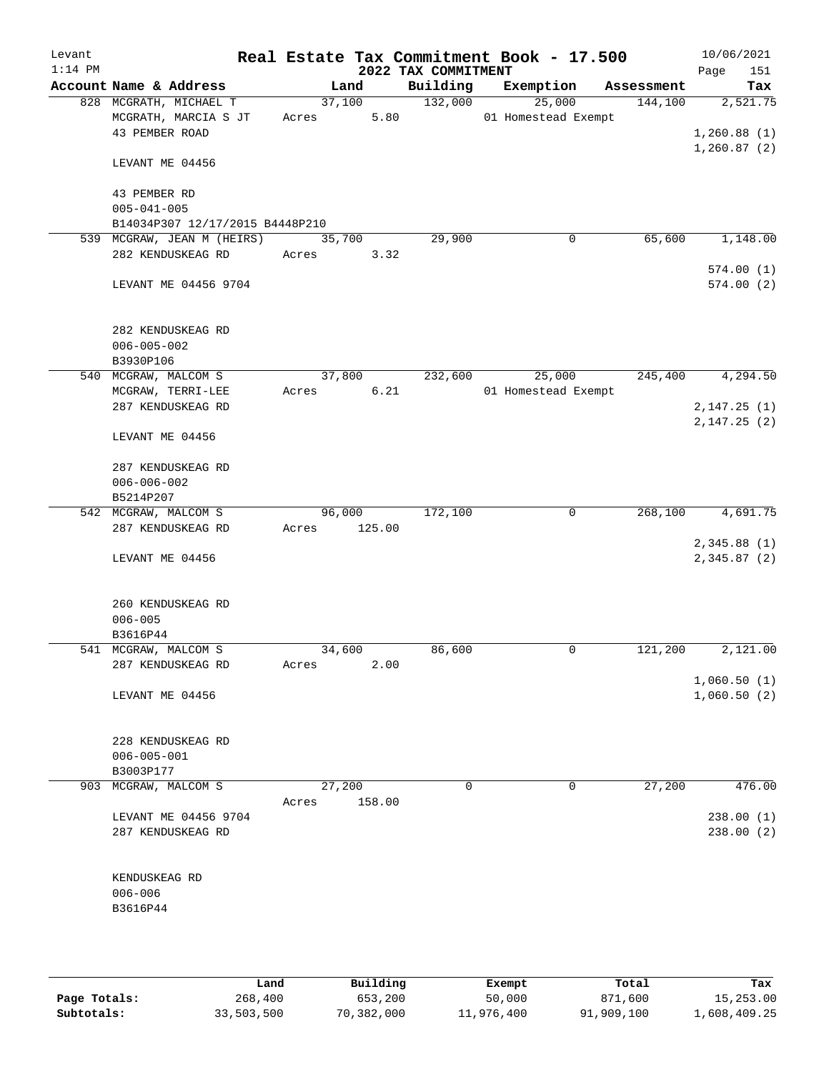| Levant<br>$1:14$ PM |                                 |        |        |                                 | Real Estate Tax Commitment Book - 17.500 |                       | 10/06/2021         |
|---------------------|---------------------------------|--------|--------|---------------------------------|------------------------------------------|-----------------------|--------------------|
|                     | Account Name & Address          |        | Land   | 2022 TAX COMMITMENT<br>Building | Exemption                                | Assessment            | 151<br>Page<br>Tax |
|                     | 828 MCGRATH, MICHAEL T          |        | 37,100 | 132,000                         | 25,000                                   | 144,100               | 2,521.75           |
|                     | MCGRATH, MARCIA S JT            | Acres  | 5.80   |                                 | 01 Homestead Exempt                      |                       |                    |
|                     | 43 PEMBER ROAD                  |        |        |                                 |                                          |                       | 1,260.88(1)        |
|                     |                                 |        |        |                                 |                                          |                       | 1,260.87(2)        |
|                     | LEVANT ME 04456                 |        |        |                                 |                                          |                       |                    |
|                     |                                 |        |        |                                 |                                          |                       |                    |
|                     | 43 PEMBER RD                    |        |        |                                 |                                          |                       |                    |
|                     | $005 - 041 - 005$               |        |        |                                 |                                          |                       |                    |
|                     | B14034P307 12/17/2015 B4448P210 |        |        |                                 |                                          |                       |                    |
|                     | 539 MCGRAW, JEAN M (HEIRS)      | 35,700 |        | 29,900                          |                                          | 65,600<br>0           | 1,148.00           |
|                     | 282 KENDUSKEAG RD               | Acres  | 3.32   |                                 |                                          |                       |                    |
|                     |                                 |        |        |                                 |                                          |                       | 574.00(1)          |
|                     | LEVANT ME 04456 9704            |        |        |                                 |                                          |                       | 574.00(2)          |
|                     |                                 |        |        |                                 |                                          |                       |                    |
|                     |                                 |        |        |                                 |                                          |                       |                    |
|                     | 282 KENDUSKEAG RD               |        |        |                                 |                                          |                       |                    |
|                     | $006 - 005 - 002$               |        |        |                                 |                                          |                       |                    |
|                     | B3930P106                       |        |        |                                 |                                          |                       |                    |
|                     | 540 MCGRAW, MALCOM S            | 37,800 |        | 232,600                         | 25,000                                   | 245,400               | 4, 294.50          |
|                     |                                 |        |        |                                 |                                          |                       |                    |
|                     | MCGRAW, TERRI-LEE               | Acres  | 6.21   |                                 | 01 Homestead Exempt                      |                       |                    |
|                     | 287 KENDUSKEAG RD               |        |        |                                 |                                          |                       | 2, 147.25(1)       |
|                     |                                 |        |        |                                 |                                          |                       | 2,147.25(2)        |
|                     | LEVANT ME 04456                 |        |        |                                 |                                          |                       |                    |
|                     |                                 |        |        |                                 |                                          |                       |                    |
|                     | 287 KENDUSKEAG RD               |        |        |                                 |                                          |                       |                    |
|                     | $006 - 006 - 002$               |        |        |                                 |                                          |                       |                    |
|                     | B5214P207                       |        |        |                                 |                                          |                       |                    |
|                     | 542 MCGRAW, MALCOM S            | 96,000 |        | 172,100                         |                                          | 0<br>268,100          | 4,691.75           |
|                     | 287 KENDUSKEAG RD               | Acres  | 125.00 |                                 |                                          |                       |                    |
|                     |                                 |        |        |                                 |                                          |                       | 2,345.88(1)        |
|                     | LEVANT ME 04456                 |        |        |                                 |                                          |                       | 2,345.87 (2)       |
|                     |                                 |        |        |                                 |                                          |                       |                    |
|                     |                                 |        |        |                                 |                                          |                       |                    |
|                     | 260 KENDUSKEAG RD               |        |        |                                 |                                          |                       |                    |
|                     | $006 - 005$                     |        |        |                                 |                                          |                       |                    |
|                     | B3616P44                        |        |        |                                 |                                          |                       |                    |
|                     | 541 MCGRAW, MALCOM S            | 34,600 |        | 86,600                          |                                          | 0<br>121,200          | 2,121.00           |
|                     | 287 KENDUSKEAG RD               | Acres  | 2.00   |                                 |                                          |                       |                    |
|                     |                                 |        |        |                                 |                                          |                       | 1,060.50(1)        |
|                     | LEVANT ME 04456                 |        |        |                                 |                                          |                       | 1,060.50(2)        |
|                     |                                 |        |        |                                 |                                          |                       |                    |
|                     |                                 |        |        |                                 |                                          |                       |                    |
|                     | 228 KENDUSKEAG RD               |        |        |                                 |                                          |                       |                    |
|                     | $006 - 005 - 001$               |        |        |                                 |                                          |                       |                    |
|                     | B3003P177                       |        |        |                                 |                                          |                       |                    |
|                     | 903 MCGRAW, MALCOM S            | 27,200 |        | 0                               |                                          | $\mathbf 0$<br>27,200 | 476.00             |
|                     |                                 | Acres  | 158.00 |                                 |                                          |                       |                    |
|                     | LEVANT ME 04456 9704            |        |        |                                 |                                          |                       | 238.00(1)          |
|                     | 287 KENDUSKEAG RD               |        |        |                                 |                                          |                       | 238.00 (2)         |
|                     |                                 |        |        |                                 |                                          |                       |                    |
|                     |                                 |        |        |                                 |                                          |                       |                    |
|                     |                                 |        |        |                                 |                                          |                       |                    |
|                     | KENDUSKEAG RD                   |        |        |                                 |                                          |                       |                    |
|                     | $006 - 006$                     |        |        |                                 |                                          |                       |                    |
|                     | B3616P44                        |        |        |                                 |                                          |                       |                    |
|                     |                                 |        |        |                                 |                                          |                       |                    |
|                     |                                 |        |        |                                 |                                          |                       |                    |
|                     |                                 |        |        |                                 |                                          |                       |                    |

|              | Land       | Building   | Exempt     | Total      | Tax          |
|--------------|------------|------------|------------|------------|--------------|
| Page Totals: | 268,400    | 653,200    | 50,000     | 871,600    | 15,253.00    |
| Subtotals:   | 33,503,500 | 70,382,000 | 11,976,400 | 91,909,100 | 1,608,409.25 |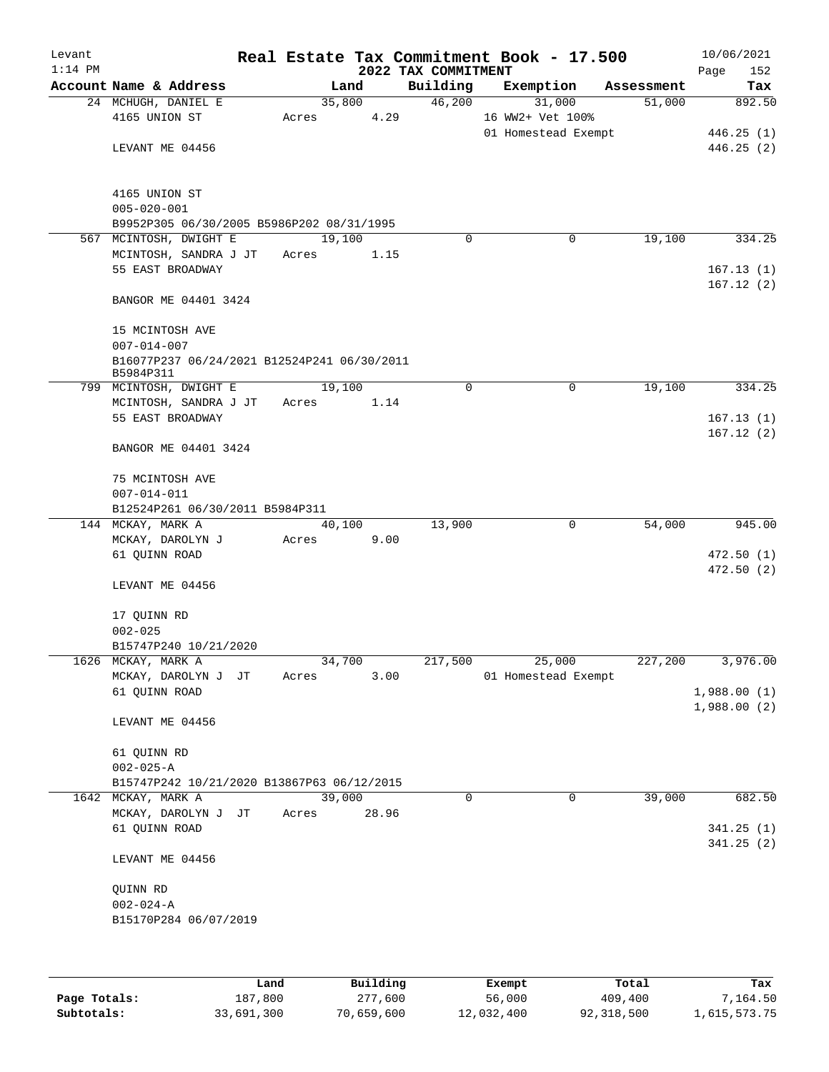| Levant<br>$1:14$ PM |                                                                                     |       |                | 2022 TAX COMMITMENT | Real Estate Tax Commitment Book - 17.500 |            | 10/06/2021<br>Page<br>152 |
|---------------------|-------------------------------------------------------------------------------------|-------|----------------|---------------------|------------------------------------------|------------|---------------------------|
|                     | Account Name & Address                                                              |       | Land           | Building            | Exemption                                | Assessment | Tax                       |
|                     | 24 MCHUGH, DANIEL E<br>4165 UNION ST                                                | Acres | 35,800<br>4.29 | 46,200              | 31,000<br>16 WW2+ Vet 100%               | 51,000     | 892.50                    |
|                     | LEVANT ME 04456                                                                     |       |                |                     | 01 Homestead Exempt                      |            | 446.25(1)<br>446.25(2)    |
|                     | 4165 UNION ST<br>$005 - 020 - 001$                                                  |       |                |                     |                                          |            |                           |
|                     | B9952P305 06/30/2005 B5986P202 08/31/1995<br>567 MCINTOSH, DWIGHT E                 |       | 19,100         | $\Omega$            | 0                                        | 19,100     | 334.25                    |
|                     | MCINTOSH, SANDRA J JT<br>55 EAST BROADWAY                                           | Acres | 1.15           |                     |                                          |            | 167.13(1)                 |
|                     | BANGOR ME 04401 3424                                                                |       |                |                     |                                          |            | 167.12(2)                 |
|                     | 15 MCINTOSH AVE<br>$007 - 014 - 007$<br>B16077P237 06/24/2021 B12524P241 06/30/2011 |       |                |                     |                                          |            |                           |
|                     | B5984P311                                                                           |       |                |                     |                                          |            |                           |
|                     | 799 MCINTOSH, DWIGHT E                                                              |       | 19,100         | 0                   | 0                                        | 19,100     | 334.25                    |
|                     | MCINTOSH, SANDRA J JT                                                               | Acres | 1.14           |                     |                                          |            |                           |
|                     | 55 EAST BROADWAY                                                                    |       |                |                     |                                          |            | 167.13(1)<br>167.12(2)    |
|                     | BANGOR ME 04401 3424                                                                |       |                |                     |                                          |            |                           |
|                     | 75 MCINTOSH AVE<br>$007 - 014 - 011$                                                |       |                |                     |                                          |            |                           |
|                     | B12524P261 06/30/2011 B5984P311                                                     |       |                |                     |                                          |            |                           |
|                     | 144 MCKAY, MARK A                                                                   |       | 40,100<br>9.00 | 13,900              | 0                                        | 54,000     | 945.00                    |
|                     | MCKAY, DAROLYN J<br>61 QUINN ROAD                                                   | Acres |                |                     |                                          |            | 472.50 (1)                |
|                     |                                                                                     |       |                |                     |                                          |            | 472.50 (2)                |
|                     | LEVANT ME 04456                                                                     |       |                |                     |                                          |            |                           |
|                     | 17 QUINN RD                                                                         |       |                |                     |                                          |            |                           |
|                     | $002 - 025$                                                                         |       |                |                     |                                          |            |                           |
|                     | B15747P240 10/21/2020<br>1626 MCKAY, MARK A                                         |       | 34,700         | 217,500             | 25,000                                   | 227,200    | 3,976.00                  |
|                     | MCKAY, DAROLYN J JT                                                                 | Acres | 3.00           |                     | 01 Homestead Exempt                      |            |                           |
|                     | 61 QUINN ROAD                                                                       |       |                |                     |                                          |            | 1,988.00(1)               |
|                     | LEVANT ME 04456                                                                     |       |                |                     |                                          |            | 1,988.00(2)               |
|                     | 61 QUINN RD                                                                         |       |                |                     |                                          |            |                           |
|                     | $002 - 025 - A$                                                                     |       |                |                     |                                          |            |                           |
|                     | B15747P242 10/21/2020 B13867P63 06/12/2015                                          |       |                |                     |                                          |            |                           |
|                     | 1642 MCKAY, MARK A                                                                  |       | 39,000         | 0                   | 0                                        | 39,000     | 682.50                    |
|                     | MCKAY, DAROLYN J JT                                                                 | Acres | 28.96          |                     |                                          |            |                           |
|                     | 61 QUINN ROAD                                                                       |       |                |                     |                                          |            | 341.25(1)<br>341.25(2)    |
|                     | LEVANT ME 04456                                                                     |       |                |                     |                                          |            |                           |
|                     | QUINN RD                                                                            |       |                |                     |                                          |            |                           |
|                     | $002 - 024 - A$                                                                     |       |                |                     |                                          |            |                           |
|                     | B15170P284 06/07/2019                                                               |       |                |                     |                                          |            |                           |
|                     |                                                                                     |       |                |                     |                                          |            |                           |
|                     |                                                                                     |       |                |                     |                                          |            |                           |
|                     |                                                                                     |       |                |                     |                                          |            |                           |

|              | Land       | Building   | Exempt     | Total      | Tax          |
|--------------|------------|------------|------------|------------|--------------|
| Page Totals: | 187,800    | 277,600    | 56,000     | 409,400    | 7,164.50     |
| Subtotals:   | 33,691,300 | 70,659,600 | 12,032,400 | 92,318,500 | 1,615,573.75 |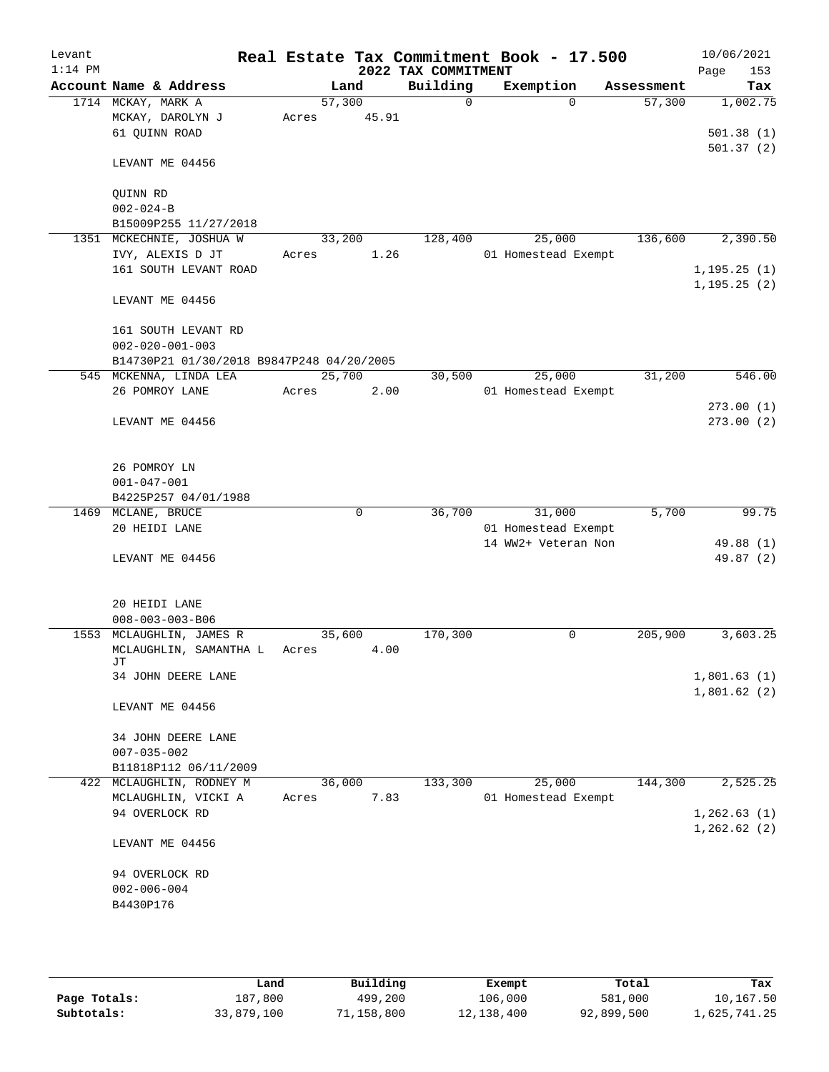| Levant    |                                           |       |        |             |                     | Real Estate Tax Commitment Book - 17.500 |            | 10/06/2021      |
|-----------|-------------------------------------------|-------|--------|-------------|---------------------|------------------------------------------|------------|-----------------|
| $1:14$ PM |                                           |       |        |             | 2022 TAX COMMITMENT |                                          |            | 153<br>Page     |
|           | Account Name & Address                    |       | Land   |             | Building            | Exemption                                | Assessment | Tax             |
|           | 1714 MCKAY, MARK A<br>MCKAY, DAROLYN J    | Acres | 57,300 | 45.91       | 0                   | $\Omega$                                 | 57,300     | 1,002.75        |
|           | 61 QUINN ROAD                             |       |        |             |                     |                                          |            | 501.38(1)       |
|           |                                           |       |        |             |                     |                                          |            | 501.37(2)       |
|           | LEVANT ME 04456                           |       |        |             |                     |                                          |            |                 |
|           | QUINN RD                                  |       |        |             |                     |                                          |            |                 |
|           | $002 - 024 - B$                           |       |        |             |                     |                                          |            |                 |
|           | B15009P255 11/27/2018                     |       |        |             |                     |                                          |            |                 |
|           | 1351 MCKECHNIE, JOSHUA W                  |       | 33,200 |             | 128,400             | 25,000                                   | 136,600    | 2,390.50        |
|           | IVY, ALEXIS D JT                          | Acres |        | 1.26        |                     | 01 Homestead Exempt                      |            |                 |
|           | 161 SOUTH LEVANT ROAD                     |       |        |             |                     |                                          |            | 1, 195.25(1)    |
|           | LEVANT ME 04456                           |       |        |             |                     |                                          |            | 1, 195.25(2)    |
|           | 161 SOUTH LEVANT RD                       |       |        |             |                     |                                          |            |                 |
|           | $002 - 020 - 001 - 003$                   |       |        |             |                     |                                          |            |                 |
|           | B14730P21 01/30/2018 B9847P248 04/20/2005 |       |        |             |                     |                                          |            |                 |
|           | 545 MCKENNA, LINDA LEA                    |       | 25,700 |             | 30,500              | 25,000                                   | 31,200     | 546.00          |
|           | 26 POMROY LANE                            | Acres |        | 2.00        |                     | 01 Homestead Exempt                      |            |                 |
|           |                                           |       |        |             |                     |                                          |            | 273.00(1)       |
|           | LEVANT ME 04456                           |       |        |             |                     |                                          |            | 273.00(2)       |
|           |                                           |       |        |             |                     |                                          |            |                 |
|           | 26 POMROY LN                              |       |        |             |                     |                                          |            |                 |
|           | $001 - 047 - 001$                         |       |        |             |                     |                                          |            |                 |
|           | B4225P257 04/01/1988                      |       |        |             |                     |                                          |            |                 |
|           | 1469 MCLANE, BRUCE                        |       |        | $\mathbf 0$ | 36,700              | 31,000                                   | 5,700      | 99.75           |
|           | 20 HEIDI LANE                             |       |        |             |                     | 01 Homestead Exempt                      |            |                 |
|           |                                           |       |        |             |                     | 14 WW2+ Veteran Non                      |            | 49.88 (1)       |
|           | LEVANT ME 04456                           |       |        |             |                     |                                          |            | 49.87 (2)       |
|           | 20 HEIDI LANE                             |       |        |             |                     |                                          |            |                 |
|           | $008 - 003 - 003 - B06$                   |       |        |             |                     |                                          |            |                 |
|           | 1553 MCLAUGHLIN, JAMES R                  |       | 35,600 |             | 170,300             | 0                                        | 205,900    | 3,603.25        |
|           | MCLAUGHLIN, SAMANTHA L                    | Acres |        | 4.00        |                     |                                          |            |                 |
|           | JТ                                        |       |        |             |                     |                                          |            |                 |
|           | 34 JOHN DEERE LANE                        |       |        |             |                     |                                          |            | 1,801.63(1)     |
|           |                                           |       |        |             |                     |                                          |            | 1,801.62(2)     |
|           | LEVANT ME 04456                           |       |        |             |                     |                                          |            |                 |
|           | 34 JOHN DEERE LANE                        |       |        |             |                     |                                          |            |                 |
|           | $007 - 035 - 002$                         |       |        |             |                     |                                          |            |                 |
|           | B11818P112 06/11/2009                     |       |        |             |                     |                                          |            |                 |
| 422       | MCLAUGHLIN, RODNEY M                      |       | 36,000 |             | 133,300             | 25,000                                   | 144,300    | 2,525.25        |
|           | MCLAUGHLIN, VICKI A                       | Acres |        | 7.83        |                     | 01 Homestead Exempt                      |            |                 |
|           | 94 OVERLOCK RD                            |       |        |             |                     |                                          |            | 1, 262.63(1)    |
|           |                                           |       |        |             |                     |                                          |            | $1, 262.62$ (2) |
|           | LEVANT ME 04456                           |       |        |             |                     |                                          |            |                 |
|           | 94 OVERLOCK RD                            |       |        |             |                     |                                          |            |                 |
|           | $002 - 006 - 004$                         |       |        |             |                     |                                          |            |                 |
|           | B4430P176                                 |       |        |             |                     |                                          |            |                 |
|           |                                           |       |        |             |                     |                                          |            |                 |
|           |                                           |       |        |             |                     |                                          |            |                 |

|              | Land       | Building   | Exempt     | Total      | Tax          |
|--------------|------------|------------|------------|------------|--------------|
| Page Totals: | 187,800    | 499,200    | 106,000    | 581,000    | 10,167.50    |
| Subtotals:   | 33,879,100 | 71,158,800 | 12,138,400 | 92,899,500 | l,625,741.25 |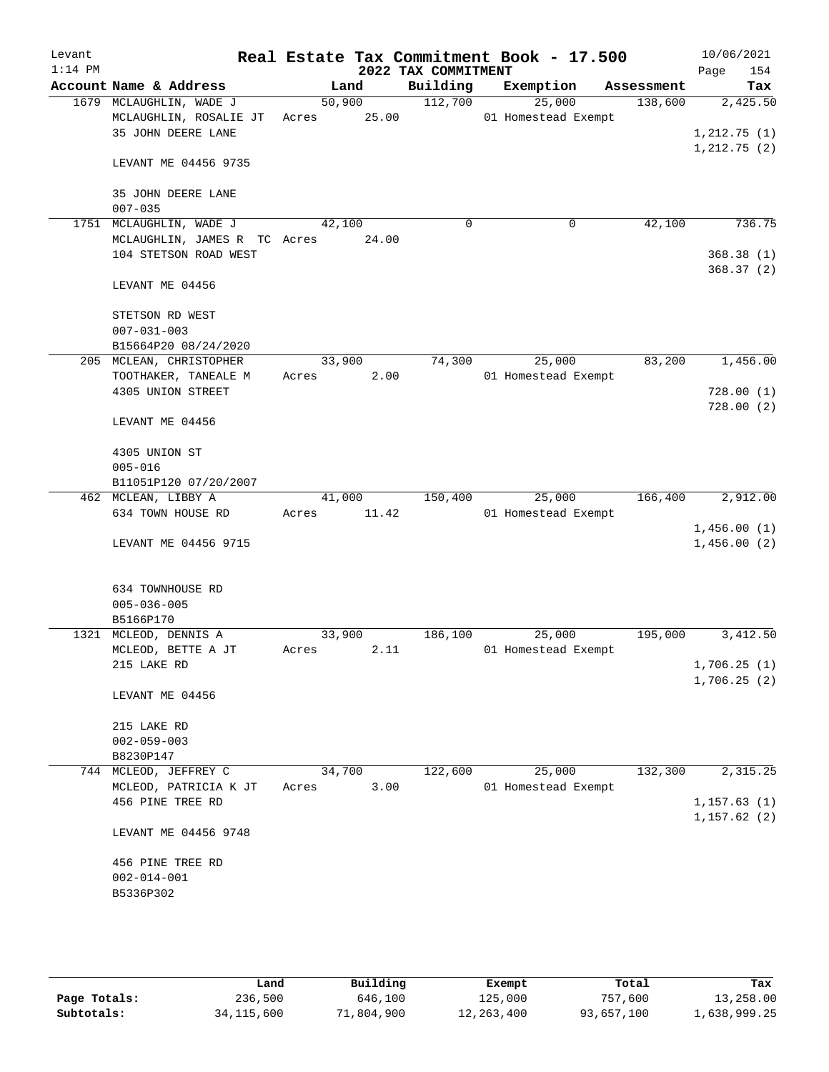| Levant<br>$1:14$ PM |                                                                                     |             |        | 2022 TAX COMMITMENT | Real Estate Tax Commitment Book - 17.500 |            | 10/06/2021<br>154<br>Page |
|---------------------|-------------------------------------------------------------------------------------|-------------|--------|---------------------|------------------------------------------|------------|---------------------------|
|                     | Account Name & Address                                                              |             | Land   | Building            | Exemption                                | Assessment | Tax                       |
|                     | 1679 MCLAUGHLIN, WADE J<br>MCLAUGHLIN, ROSALIE JT Acres 25.00<br>35 JOHN DEERE LANE |             | 50,900 | 112,700             | 25,000<br>01 Homestead Exempt            | 138,600    | 2,425.50<br>1,212.75(1)   |
|                     | LEVANT ME 04456 9735                                                                |             |        |                     |                                          |            | 1, 212.75(2)              |
|                     | 35 JOHN DEERE LANE<br>$007 - 035$                                                   |             |        |                     |                                          |            |                           |
|                     | 1751 MCLAUGHLIN, WADE J                                                             | 42,100      |        | $\mathbf 0$         | $\mathbf 0$                              | 42,100     | 736.75                    |
|                     | MCLAUGHLIN, JAMES R TC Acres 24.00                                                  |             |        |                     |                                          |            |                           |
|                     | 104 STETSON ROAD WEST                                                               |             |        |                     |                                          |            | 368.38(1)<br>368.37(2)    |
|                     | LEVANT ME 04456                                                                     |             |        |                     |                                          |            |                           |
|                     | STETSON RD WEST                                                                     |             |        |                     |                                          |            |                           |
|                     | $007 - 031 - 003$                                                                   |             |        |                     |                                          |            |                           |
|                     | B15664P20 08/24/2020                                                                |             |        |                     |                                          |            |                           |
|                     | 205 MCLEAN, CHRISTOPHER                                                             | 33,900      |        | 74,300              | 25,000                                   | 83,200     | 1,456.00                  |
|                     | TOOTHAKER, TANEALE M                                                                | Acres       | 2.00   |                     | 01 Homestead Exempt                      |            |                           |
|                     | 4305 UNION STREET                                                                   |             |        |                     |                                          |            | 728.00(1)                 |
|                     | LEVANT ME 04456                                                                     |             |        |                     |                                          |            | 728.00(2)                 |
|                     | 4305 UNION ST                                                                       |             |        |                     |                                          |            |                           |
|                     | $005 - 016$                                                                         |             |        |                     |                                          |            |                           |
|                     | B11051P120 07/20/2007                                                               |             |        |                     |                                          |            |                           |
|                     | 462 MCLEAN, LIBBY A                                                                 | 41,000      |        | 150,400             | 25,000                                   | 166,400    | 2,912.00                  |
|                     | 634 TOWN HOUSE RD                                                                   | Acres 11.42 |        |                     | 01 Homestead Exempt                      |            |                           |
|                     |                                                                                     |             |        |                     |                                          |            | 1,456.00(1)               |
|                     | LEVANT ME 04456 9715                                                                |             |        |                     |                                          |            | 1,456.00(2)               |
|                     | 634 TOWNHOUSE RD<br>$005 - 036 - 005$<br>B5166P170                                  |             |        |                     |                                          |            |                           |
|                     | 1321 MCLEOD, DENNIS A                                                               | 33,900      |        | 186,100             | 25,000                                   | 195,000    | 3,412.50                  |
|                     | MCLEOD, BETTE A JT                                                                  | Acres       | 2.11   |                     | 01 Homestead Exempt                      |            |                           |
|                     | 215 LAKE RD                                                                         |             |        |                     |                                          |            | 1,706.25(1)               |
|                     |                                                                                     |             |        |                     |                                          |            | 1,706.25(2)               |
|                     | LEVANT ME 04456                                                                     |             |        |                     |                                          |            |                           |
|                     | 215 LAKE RD                                                                         |             |        |                     |                                          |            |                           |
|                     | $002 - 059 - 003$                                                                   |             |        |                     |                                          |            |                           |
|                     | B8230P147                                                                           |             |        |                     |                                          |            |                           |
|                     | 744 MCLEOD, JEFFREY C                                                               | 34,700      |        | 122,600             | 25,000                                   | 132,300    | 2,315.25                  |
|                     | MCLEOD, PATRICIA K JT                                                               | Acres       | 3.00   |                     | 01 Homestead Exempt                      |            |                           |
|                     | 456 PINE TREE RD                                                                    |             |        |                     |                                          |            | 1, 157.63(1)              |
|                     | LEVANT ME 04456 9748                                                                |             |        |                     |                                          |            | 1,157.62(2)               |
|                     | 456 PINE TREE RD<br>$002 - 014 - 001$<br>B5336P302                                  |             |        |                     |                                          |            |                           |
|                     |                                                                                     |             |        |                     |                                          |            |                           |

|              | Land         | Building   | Exempt       | Total      | Tax          |
|--------------|--------------|------------|--------------|------------|--------------|
| Page Totals: | 236,500      | 646,100    | 125,000      | 757.600    | 13,258.00    |
| Subtotals:   | 34, 115, 600 | 71,804,900 | 12, 263, 400 | 93,657,100 | 1,638,999.25 |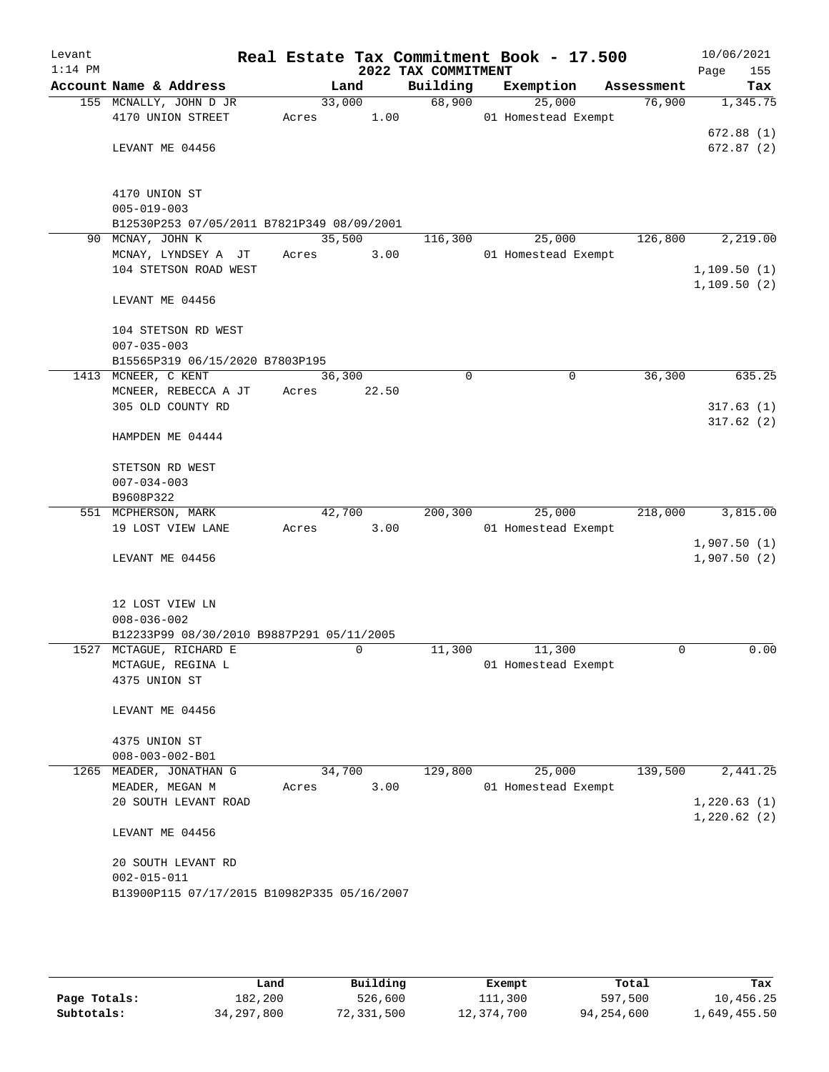| Levant    |                                             |                |                     | Real Estate Tax Commitment Book - 17.500 |            | 10/06/2021                 |
|-----------|---------------------------------------------|----------------|---------------------|------------------------------------------|------------|----------------------------|
| $1:14$ PM |                                             |                | 2022 TAX COMMITMENT |                                          |            | 155<br>Page                |
|           | Account Name & Address                      | Land           | Building            | Exemption                                | Assessment | Tax                        |
|           | 155 MCNALLY, JOHN D JR                      | 33,000         | 68,900              | 25,000                                   | 76,900     | 1,345.75                   |
|           | 4170 UNION STREET                           | 1.00<br>Acres  |                     | 01 Homestead Exempt                      |            | 672.88(1)                  |
|           | LEVANT ME 04456                             |                |                     |                                          |            | 672.87(2)                  |
|           |                                             |                |                     |                                          |            |                            |
|           | 4170 UNION ST                               |                |                     |                                          |            |                            |
|           | $005 - 019 - 003$                           |                |                     |                                          |            |                            |
|           | B12530P253 07/05/2011 B7821P349 08/09/2001  |                |                     |                                          |            |                            |
|           | 90 MCNAY, JOHN K                            | 35,500         | 116,300             | 25,000                                   | 126,800    | 2,219.00                   |
|           | MCNAY, LYNDSEY A JT                         | Acres<br>3.00  |                     | 01 Homestead Exempt                      |            |                            |
|           | 104 STETSON ROAD WEST                       |                |                     |                                          |            | 1,109.50(1)<br>1,109.50(2) |
|           | LEVANT ME 04456                             |                |                     |                                          |            |                            |
|           | 104 STETSON RD WEST                         |                |                     |                                          |            |                            |
|           | $007 - 035 - 003$                           |                |                     |                                          |            |                            |
|           | B15565P319 06/15/2020 B7803P195             |                |                     |                                          |            |                            |
|           | 1413 MCNEER, C KENT                         | 36,300         | $\mathbf 0$         | $\mathbf 0$                              | 36,300     | 635.25                     |
|           | MCNEER, REBECCA A JT                        | 22.50<br>Acres |                     |                                          |            |                            |
|           | 305 OLD COUNTY RD                           |                |                     |                                          |            | 317.63(1)                  |
|           | HAMPDEN ME 04444                            |                |                     |                                          |            | 317.62(2)                  |
|           | STETSON RD WEST                             |                |                     |                                          |            |                            |
|           | $007 - 034 - 003$                           |                |                     |                                          |            |                            |
|           | B9608P322                                   |                |                     |                                          |            |                            |
|           | 551 MCPHERSON, MARK                         | 42,700         | 200,300             | 25,000                                   | 218,000    | 3,815.00                   |
|           | 19 LOST VIEW LANE                           | 3.00<br>Acres  |                     | 01 Homestead Exempt                      |            |                            |
|           |                                             |                |                     |                                          |            | 1,907.50(1)                |
|           | LEVANT ME 04456                             |                |                     |                                          |            | 1,907.50(2)                |
|           | 12 LOST VIEW LN                             |                |                     |                                          |            |                            |
|           | $008 - 036 - 002$                           |                |                     |                                          |            |                            |
|           | B12233P99 08/30/2010 B9887P291 05/11/2005   |                |                     |                                          |            |                            |
|           | 1527 MCTAGUE, RICHARD E                     | 0              | 11,300              | 11,300                                   | 0          | 0.00                       |
|           | MCTAGUE, REGINA L                           |                |                     | 01 Homestead Exempt                      |            |                            |
|           | 4375 UNION ST                               |                |                     |                                          |            |                            |
|           | LEVANT ME 04456                             |                |                     |                                          |            |                            |
|           | 4375 UNION ST                               |                |                     |                                          |            |                            |
|           | $008 - 003 - 002 - B01$                     |                |                     |                                          |            |                            |
|           | 1265 MEADER, JONATHAN G                     | 34,700         | 129,800             | 25,000                                   | 139,500    | 2,441.25                   |
|           | MEADER, MEGAN M                             | 3.00<br>Acres  |                     | 01 Homestead Exempt                      |            |                            |
|           | 20 SOUTH LEVANT ROAD                        |                |                     |                                          |            | 1,220.63(1)                |
|           | LEVANT ME 04456                             |                |                     |                                          |            | 1,220.62(2)                |
|           |                                             |                |                     |                                          |            |                            |
|           | 20 SOUTH LEVANT RD                          |                |                     |                                          |            |                            |
|           | $002 - 015 - 011$                           |                |                     |                                          |            |                            |
|           | B13900P115 07/17/2015 B10982P335 05/16/2007 |                |                     |                                          |            |                            |
|           |                                             |                |                     |                                          |            |                            |
|           |                                             |                |                     |                                          |            |                            |

|              | Land       | Building   | Exempt     | Total      | Tax          |
|--------------|------------|------------|------------|------------|--------------|
| Page Totals: | 182,200    | 526,600    | 111,300    | 597,500    | 10,456.25    |
| Subtotals:   | 34,297,800 | 72,331,500 | 12,374,700 | 94,254,600 | 1,649,455.50 |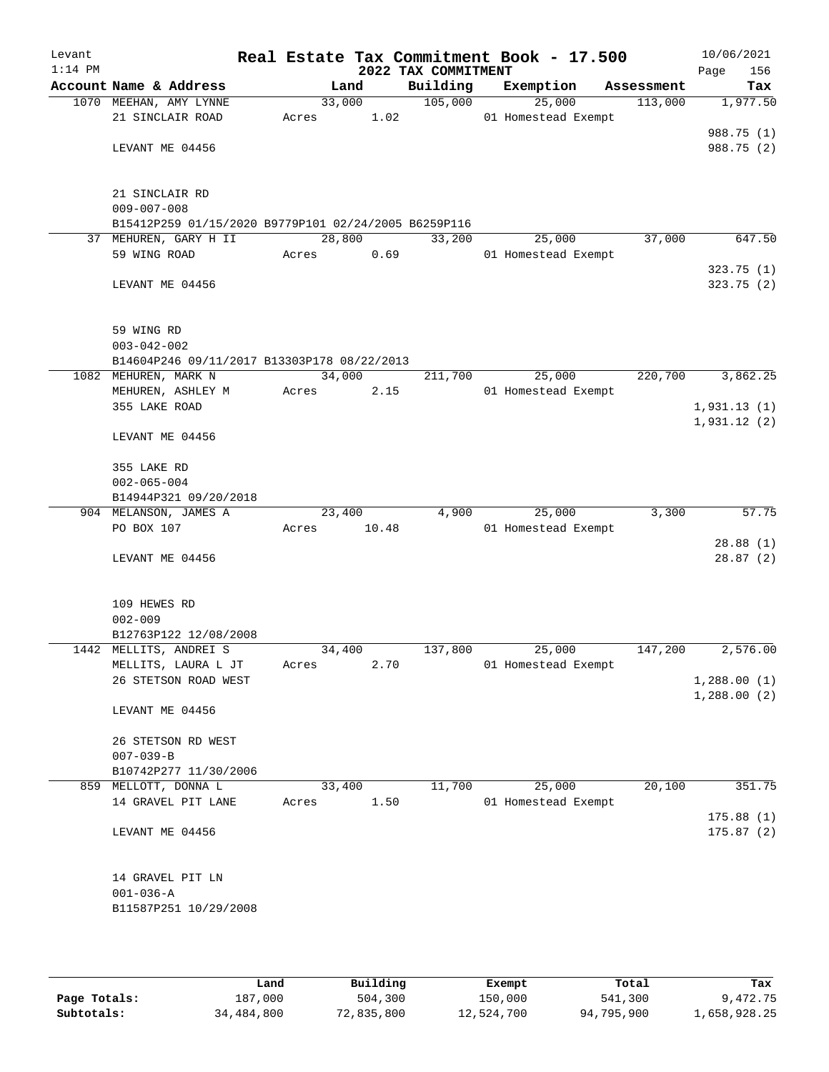| Levant    |                                                      |        |                |                     | Real Estate Tax Commitment Book - 17.500 |            | 10/06/2021  |
|-----------|------------------------------------------------------|--------|----------------|---------------------|------------------------------------------|------------|-------------|
| $1:14$ PM |                                                      |        |                | 2022 TAX COMMITMENT |                                          |            | 156<br>Page |
|           | Account Name & Address                               |        | Land           | Building            | Exemption                                | Assessment | Tax         |
|           | 1070 MEEHAN, AMY LYNNE<br>21 SINCLAIR ROAD           | Acres  | 33,000<br>1.02 | 105,000             | 25,000<br>01 Homestead Exempt            | 113,000    | 1,977.50    |
|           |                                                      |        |                |                     |                                          |            | 988.75 (1)  |
|           | LEVANT ME 04456                                      |        |                |                     |                                          |            | 988.75 (2)  |
|           |                                                      |        |                |                     |                                          |            |             |
|           |                                                      |        |                |                     |                                          |            |             |
|           | 21 SINCLAIR RD<br>$009 - 007 - 008$                  |        |                |                     |                                          |            |             |
|           | B15412P259 01/15/2020 B9779P101 02/24/2005 B6259P116 |        |                |                     |                                          |            |             |
|           | 37 MEHUREN, GARY H II                                |        | 28,800         | 33,200              | 25,000                                   | 37,000     | 647.50      |
|           | 59 WING ROAD                                         | Acres  | 0.69           |                     | 01 Homestead Exempt                      |            |             |
|           |                                                      |        |                |                     |                                          |            | 323.75(1)   |
|           | LEVANT ME 04456                                      |        |                |                     |                                          |            | 323.75(2)   |
|           |                                                      |        |                |                     |                                          |            |             |
|           | 59 WING RD                                           |        |                |                     |                                          |            |             |
|           | $003 - 042 - 002$                                    |        |                |                     |                                          |            |             |
|           | B14604P246 09/11/2017 B13303P178 08/22/2013          |        |                |                     |                                          |            |             |
|           | 1082 MEHUREN, MARK N                                 |        | 34,000         | 211,700             | 25,000                                   | 220,700    | 3,862.25    |
|           | MEHUREN, ASHLEY M                                    | Acres  | 2.15           |                     | 01 Homestead Exempt                      |            |             |
|           | 355 LAKE ROAD                                        |        |                |                     |                                          |            | 1,931.13(1) |
|           |                                                      |        |                |                     |                                          |            | 1,931.12(2) |
|           | LEVANT ME 04456                                      |        |                |                     |                                          |            |             |
|           | 355 LAKE RD                                          |        |                |                     |                                          |            |             |
|           | $002 - 065 - 004$                                    |        |                |                     |                                          |            |             |
|           | B14944P321 09/20/2018                                |        |                |                     |                                          |            |             |
|           | 904 MELANSON, JAMES A                                |        | 23,400         | 4,900               | 25,000                                   | 3,300      | 57.75       |
|           | PO BOX 107                                           | Acres  | 10.48          |                     | 01 Homestead Exempt                      |            |             |
|           |                                                      |        |                |                     |                                          |            | 28.88(1)    |
|           | LEVANT ME 04456                                      |        |                |                     |                                          |            | 28.87(2)    |
|           |                                                      |        |                |                     |                                          |            |             |
|           | 109 HEWES RD                                         |        |                |                     |                                          |            |             |
|           | $002 - 009$<br>B12763P122 12/08/2008                 |        |                |                     |                                          |            |             |
|           | 1442 MELLITS, ANDREI S                               | 34,400 |                | 137,800             | 25,000                                   | 147,200    | 2,576.00    |
|           | MELLITS, LAURA L JT                                  | Acres  | 2.70           |                     | 01 Homestead Exempt                      |            |             |
|           | 26 STETSON ROAD WEST                                 |        |                |                     |                                          |            | 1,288.00(1) |
|           |                                                      |        |                |                     |                                          |            | 1,288.00(2) |
|           | LEVANT ME 04456                                      |        |                |                     |                                          |            |             |
|           | 26 STETSON RD WEST                                   |        |                |                     |                                          |            |             |
|           | $007 - 039 - B$                                      |        |                |                     |                                          |            |             |
|           | B10742P277 11/30/2006                                |        |                |                     |                                          |            |             |
|           | 859 MELLOTT, DONNA L                                 | 33,400 |                | 11,700              | 25,000                                   | 20,100     | 351.75      |
|           | 14 GRAVEL PIT LANE                                   | Acres  | 1.50           |                     | 01 Homestead Exempt                      |            |             |
|           |                                                      |        |                |                     |                                          |            | 175.88(1)   |
|           | LEVANT ME 04456                                      |        |                |                     |                                          |            | 175.87(2)   |
|           |                                                      |        |                |                     |                                          |            |             |
|           | 14 GRAVEL PIT LN                                     |        |                |                     |                                          |            |             |
|           | $001 - 036 - A$                                      |        |                |                     |                                          |            |             |
|           | B11587P251 10/29/2008                                |        |                |                     |                                          |            |             |
|           |                                                      |        |                |                     |                                          |            |             |

|              | Land       | Building   | Exempt     | Total      | Tax          |
|--------------|------------|------------|------------|------------|--------------|
| Page Totals: | 187,000    | 504,300    | 150,000    | 541,300    | 9,472.75     |
| Subtotals:   | 34,484,800 | 72,835,800 | 12,524,700 | 94,795,900 | 1,658,928.25 |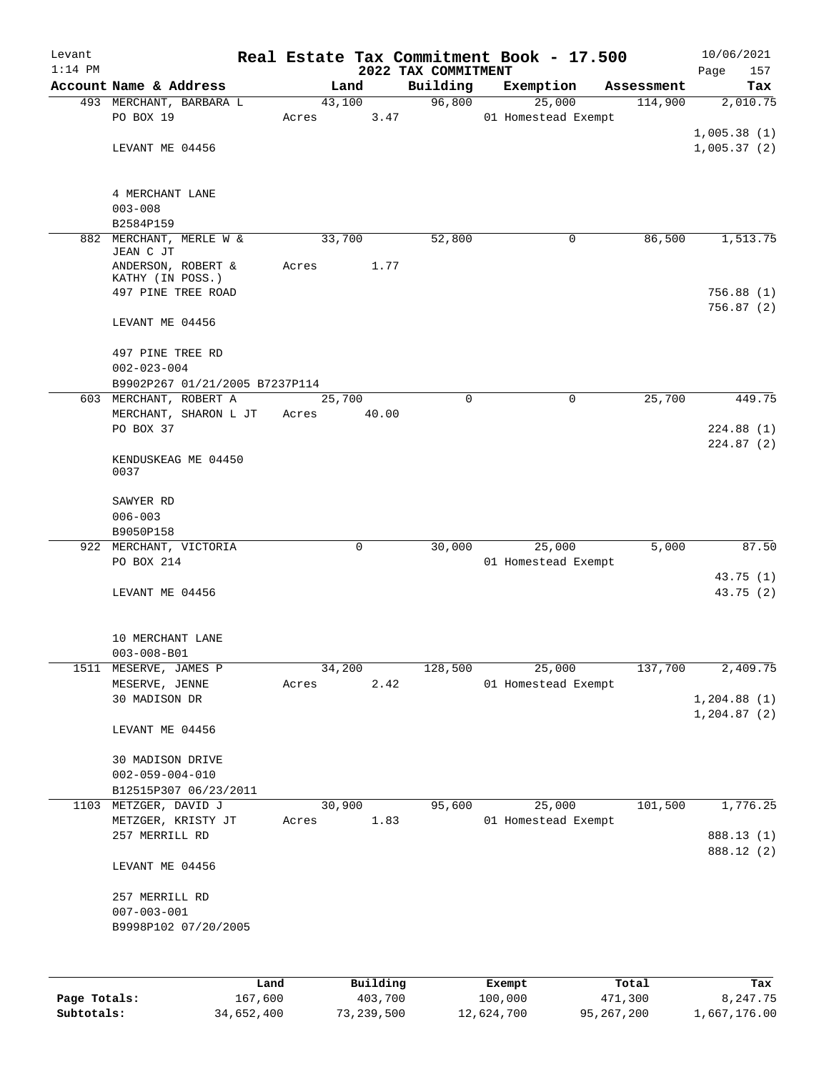| Levant    |                                                          |       |             |                                 | Real Estate Tax Commitment Book - 17.500 |            | 10/06/2021         |
|-----------|----------------------------------------------------------|-------|-------------|---------------------------------|------------------------------------------|------------|--------------------|
| $1:14$ PM | Account Name & Address                                   |       | Land        | 2022 TAX COMMITMENT<br>Building | Exemption                                | Assessment | Page<br>157<br>Tax |
|           | 493 MERCHANT, BARBARA L                                  |       | 43,100      | 96,800                          | 25,000                                   | 114,900    | 2,010.75           |
|           | PO BOX 19                                                | Acres | 3.47        |                                 | 01 Homestead Exempt                      |            |                    |
|           |                                                          |       |             |                                 |                                          |            | 1,005.38(1)        |
|           | LEVANT ME 04456                                          |       |             |                                 |                                          |            | 1,005.37(2)        |
|           |                                                          |       |             |                                 |                                          |            |                    |
|           | 4 MERCHANT LANE                                          |       |             |                                 |                                          |            |                    |
|           | $003 - 008$                                              |       |             |                                 |                                          |            |                    |
|           | B2584P159                                                |       |             |                                 |                                          |            |                    |
|           | 882 MERCHANT, MERLE W &<br>JEAN C JT                     |       | 33,700      | 52,800                          | 0                                        | 86,500     | 1,513.75           |
|           | ANDERSON, ROBERT &                                       | Acres | 1.77        |                                 |                                          |            |                    |
|           | KATHY (IN POSS.)                                         |       |             |                                 |                                          |            |                    |
|           | 497 PINE TREE ROAD                                       |       |             |                                 |                                          |            | 756.88(1)          |
|           |                                                          |       |             |                                 |                                          |            | 756.87(2)          |
|           | LEVANT ME 04456                                          |       |             |                                 |                                          |            |                    |
|           | 497 PINE TREE RD                                         |       |             |                                 |                                          |            |                    |
|           | $002 - 023 - 004$                                        |       |             |                                 |                                          |            |                    |
|           | B9902P267 01/21/2005 B7237P114<br>603 MERCHANT, ROBERT A |       | 25,700      | $\Omega$                        | $\mathbf 0$                              | 25,700     | 449.75             |
|           | MERCHANT, SHARON L JT                                    | Acres | 40.00       |                                 |                                          |            |                    |
|           | PO BOX 37                                                |       |             |                                 |                                          |            | 224.88(1)          |
|           |                                                          |       |             |                                 |                                          |            | 224.87(2)          |
|           | KENDUSKEAG ME 04450                                      |       |             |                                 |                                          |            |                    |
|           | 0037                                                     |       |             |                                 |                                          |            |                    |
|           | SAWYER RD                                                |       |             |                                 |                                          |            |                    |
|           | $006 - 003$                                              |       |             |                                 |                                          |            |                    |
|           | B9050P158                                                |       |             |                                 |                                          |            |                    |
|           | 922 MERCHANT, VICTORIA                                   |       | $\mathbf 0$ | 30,000                          | 25,000                                   | 5,000      | 87.50              |
|           | PO BOX 214                                               |       |             |                                 | 01 Homestead Exempt                      |            |                    |
|           |                                                          |       |             |                                 |                                          |            | 43.75 (1)          |
|           | LEVANT ME 04456                                          |       |             |                                 |                                          |            | 43.75(2)           |
|           |                                                          |       |             |                                 |                                          |            |                    |
|           | 10 MERCHANT LANE                                         |       |             |                                 |                                          |            |                    |
|           | $003 - 008 - B01$                                        |       |             |                                 |                                          |            |                    |
|           | 1511 MESERVE, JAMES P<br>MESERVE, JENNE                  | Acres | 34,200      | 128,500                         | 25,000<br>01 Homestead Exempt            | 137,700    | 2,409.75           |
|           | 30 MADISON DR                                            |       | 2.42        |                                 |                                          |            | 1,204.88(1)        |
|           |                                                          |       |             |                                 |                                          |            | 1, 204.87(2)       |
|           | LEVANT ME 04456                                          |       |             |                                 |                                          |            |                    |
|           |                                                          |       |             |                                 |                                          |            |                    |
|           | 30 MADISON DRIVE                                         |       |             |                                 |                                          |            |                    |
|           | $002 - 059 - 004 - 010$<br>B12515P307 06/23/2011         |       |             |                                 |                                          |            |                    |
|           | 1103 METZGER, DAVID J                                    |       | 30,900      | 95,600                          | 25,000                                   | 101,500    | 1,776.25           |
|           | METZGER, KRISTY JT                                       | Acres | 1.83        |                                 | 01 Homestead Exempt                      |            |                    |
|           | 257 MERRILL RD                                           |       |             |                                 |                                          |            | 888.13 (1)         |
|           |                                                          |       |             |                                 |                                          |            | 888.12 (2)         |
|           | LEVANT ME 04456                                          |       |             |                                 |                                          |            |                    |
|           | 257 MERRILL RD                                           |       |             |                                 |                                          |            |                    |
|           | $007 - 003 - 001$                                        |       |             |                                 |                                          |            |                    |
|           | B9998P102 07/20/2005                                     |       |             |                                 |                                          |            |                    |
|           |                                                          |       |             |                                 |                                          |            |                    |
|           |                                                          |       |             |                                 |                                          |            |                    |
|           |                                                          | Land  | Building    |                                 | Exempt                                   | Total      | Tax                |

|              | ------     | ---------  | --------   | -----      | ----         |
|--------------|------------|------------|------------|------------|--------------|
| Page Totals: | 167,600    | 403,700    | 100,000    | 471,300    | 8,247.75     |
| Subtotals:   | 34,652,400 | 73,239,500 | 12,624,700 | 95,267,200 | 1,667,176.00 |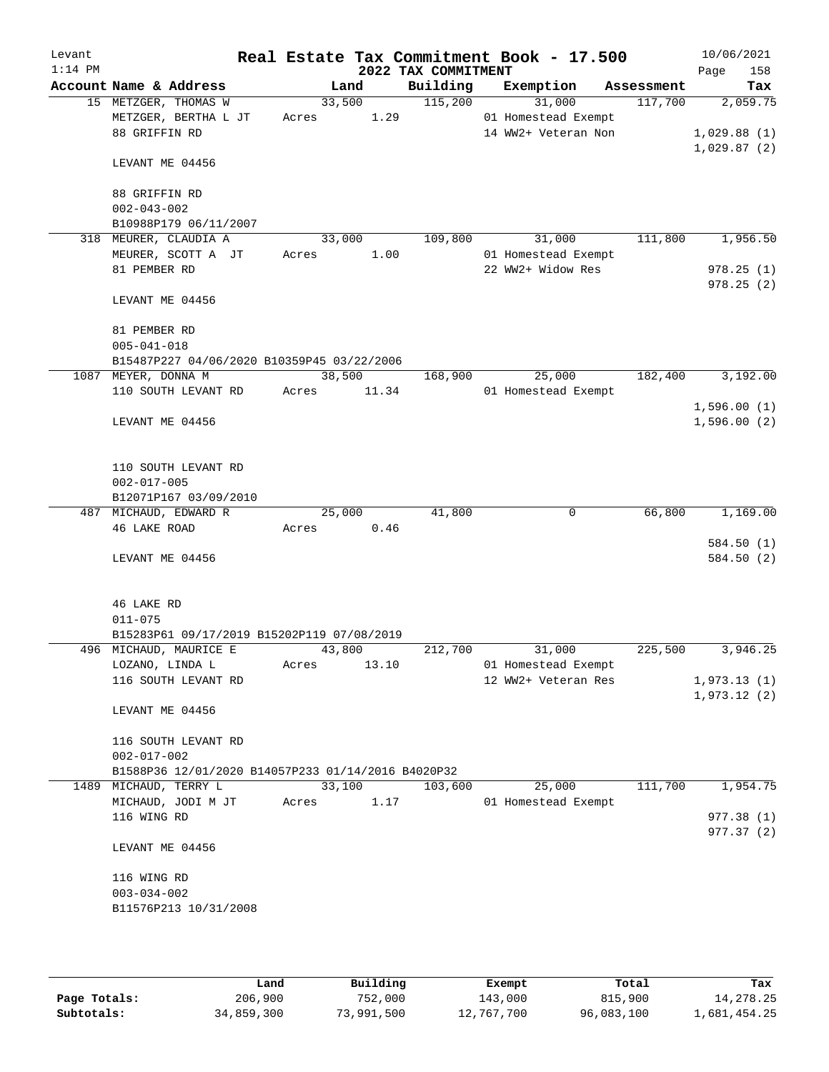| Levant<br>$1:14$ PM |                                                    |        |       | 2022 TAX COMMITMENT | Real Estate Tax Commitment Book - 17.500 |            | 10/06/2021<br>Page<br>158 |
|---------------------|----------------------------------------------------|--------|-------|---------------------|------------------------------------------|------------|---------------------------|
|                     | Account Name & Address                             |        | Land  | Building            | Exemption                                | Assessment | Tax                       |
|                     | 15 METZGER, THOMAS W                               | 33,500 |       | 115,200             | 31,000                                   | 117,700    | 2,059.75                  |
|                     | METZGER, BERTHA L JT                               | Acres  | 1.29  |                     | 01 Homestead Exempt                      |            |                           |
|                     | 88 GRIFFIN RD                                      |        |       |                     | 14 WW2+ Veteran Non                      |            | 1,029.88(1)               |
|                     | LEVANT ME 04456                                    |        |       |                     |                                          |            | 1,029.87(2)               |
|                     | 88 GRIFFIN RD                                      |        |       |                     |                                          |            |                           |
|                     | $002 - 043 - 002$                                  |        |       |                     |                                          |            |                           |
|                     | B10988P179 06/11/2007                              |        |       |                     |                                          |            |                           |
|                     | 318 MEURER, CLAUDIA A                              | 33,000 |       | 109,800             | 31,000                                   | 111,800    | 1,956.50                  |
|                     | MEURER, SCOTT A JT                                 | Acres  | 1.00  |                     | 01 Homestead Exempt                      |            |                           |
|                     | 81 PEMBER RD                                       |        |       |                     | 22 WW2+ Widow Res                        |            | 978.25(1)                 |
|                     |                                                    |        |       |                     |                                          |            | 978.25(2)                 |
|                     | LEVANT ME 04456                                    |        |       |                     |                                          |            |                           |
|                     | 81 PEMBER RD                                       |        |       |                     |                                          |            |                           |
|                     | $005 - 041 - 018$                                  |        |       |                     |                                          |            |                           |
|                     | B15487P227 04/06/2020 B10359P45 03/22/2006         |        |       |                     |                                          |            |                           |
|                     | 1087 MEYER, DONNA M                                | 38,500 |       | 168,900             | 25,000                                   | 182,400    | 3,192.00                  |
|                     | 110 SOUTH LEVANT RD                                | Acres  | 11.34 |                     | 01 Homestead Exempt                      |            |                           |
|                     |                                                    |        |       |                     |                                          |            | 1,596.00(1)               |
|                     | LEVANT ME 04456                                    |        |       |                     |                                          |            | 1,596.00(2)               |
|                     | 110 SOUTH LEVANT RD                                |        |       |                     |                                          |            |                           |
|                     | $002 - 017 - 005$                                  |        |       |                     |                                          |            |                           |
|                     | B12071P167 03/09/2010                              |        |       |                     |                                          |            |                           |
|                     | 487 MICHAUD, EDWARD R                              | 25,000 |       | 41,800              | 0                                        | 66,800     | 1,169.00                  |
|                     | 46 LAKE ROAD                                       | Acres  | 0.46  |                     |                                          |            |                           |
|                     |                                                    |        |       |                     |                                          |            | 584.50 (1)                |
|                     | LEVANT ME 04456                                    |        |       |                     |                                          |            | 584.50 (2)                |
|                     |                                                    |        |       |                     |                                          |            |                           |
|                     | 46 LAKE RD                                         |        |       |                     |                                          |            |                           |
|                     | $011 - 075$                                        |        |       |                     |                                          |            |                           |
|                     | B15283P61 09/17/2019 B15202P119 07/08/2019         |        |       |                     |                                          |            |                           |
|                     | 496 MICHAUD, MAURICE E                             | 43,800 |       | 212,700             | 31,000                                   | 225,500    | 3,946.25                  |
|                     | LOZANO, LINDA L                                    | Acres  | 13.10 |                     | 01 Homestead Exempt                      |            |                           |
|                     | 116 SOUTH LEVANT RD                                |        |       |                     | 12 WW2+ Veteran Res                      |            | 1,973.13(1)               |
|                     | LEVANT ME 04456                                    |        |       |                     |                                          |            | 1,973.12(2)               |
|                     |                                                    |        |       |                     |                                          |            |                           |
|                     | 116 SOUTH LEVANT RD                                |        |       |                     |                                          |            |                           |
|                     | $002 - 017 - 002$                                  |        |       |                     |                                          |            |                           |
|                     | B1588P36 12/01/2020 B14057P233 01/14/2016 B4020P32 |        |       |                     |                                          |            |                           |
|                     | 1489 MICHAUD, TERRY L                              | 33,100 |       | 103,600             | 25,000                                   | 111,700    | 1,954.75                  |
|                     | MICHAUD, JODI M JT                                 | Acres  | 1.17  |                     | 01 Homestead Exempt                      |            |                           |
|                     | 116 WING RD                                        |        |       |                     |                                          |            | 977.38 (1)                |
|                     |                                                    |        |       |                     |                                          |            | 977.37 (2)                |
|                     | LEVANT ME 04456                                    |        |       |                     |                                          |            |                           |
|                     | 116 WING RD                                        |        |       |                     |                                          |            |                           |
|                     | $003 - 034 - 002$                                  |        |       |                     |                                          |            |                           |
|                     | B11576P213 10/31/2008                              |        |       |                     |                                          |            |                           |
|                     |                                                    |        |       |                     |                                          |            |                           |
|                     |                                                    |        |       |                     |                                          |            |                           |

|              | Land       | Building   | Exempt     | Total      | Tax          |
|--------------|------------|------------|------------|------------|--------------|
| Page Totals: | 206,900    | 752,000    | 143,000    | 815,900    | 14,278.25    |
| Subtotals:   | 34,859,300 | 73,991,500 | 12,767,700 | 96,083,100 | 1,681,454.25 |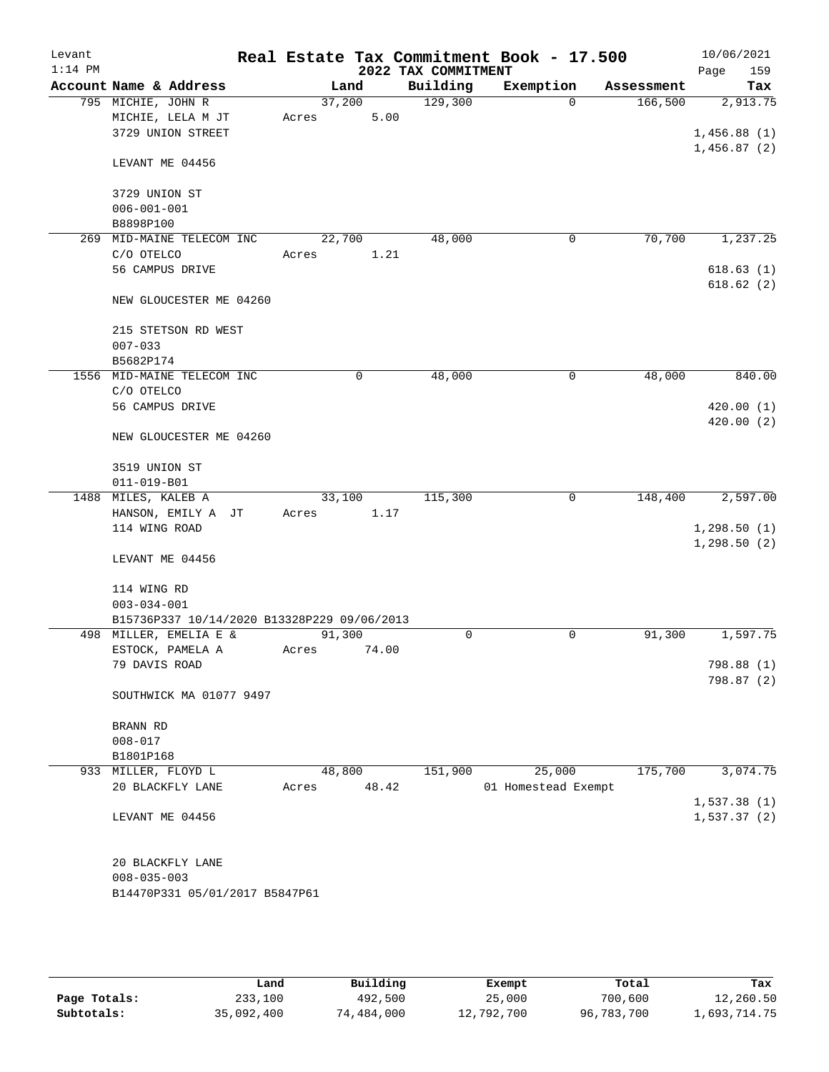| Levant<br>$1:14$ PM |                                             |        |       | 2022 TAX COMMITMENT | Real Estate Tax Commitment Book - 17.500 |            | 10/06/2021<br>159<br>Page |
|---------------------|---------------------------------------------|--------|-------|---------------------|------------------------------------------|------------|---------------------------|
|                     | Account Name & Address                      | Land   |       | Building            | Exemption                                | Assessment | Tax                       |
|                     | 795 MICHIE, JOHN R                          | 37,200 |       | 129,300             | $\Omega$                                 | 166,500    | 2,913.75                  |
|                     | MICHIE, LELA M JT                           | Acres  | 5.00  |                     |                                          |            |                           |
|                     | 3729 UNION STREET                           |        |       |                     |                                          |            | 1,456.88(1)               |
|                     |                                             |        |       |                     |                                          |            | 1,456.87(2)               |
|                     | LEVANT ME 04456                             |        |       |                     |                                          |            |                           |
|                     | 3729 UNION ST                               |        |       |                     |                                          |            |                           |
|                     | $006 - 001 - 001$                           |        |       |                     |                                          |            |                           |
|                     | B8898P100                                   |        |       |                     |                                          |            |                           |
| 269                 | MID-MAINE TELECOM INC                       | 22,700 |       | 48,000              | 0                                        | 70,700     | 1,237.25                  |
|                     | C/O OTELCO                                  | Acres  | 1.21  |                     |                                          |            |                           |
|                     | 56 CAMPUS DRIVE                             |        |       |                     |                                          |            | 618.63(1)                 |
|                     |                                             |        |       |                     |                                          |            | 618.62(2)                 |
|                     | NEW GLOUCESTER ME 04260                     |        |       |                     |                                          |            |                           |
|                     | 215 STETSON RD WEST                         |        |       |                     |                                          |            |                           |
|                     | $007 - 033$                                 |        |       |                     |                                          |            |                           |
|                     | B5682P174                                   |        |       |                     |                                          |            |                           |
|                     | 1556 MID-MAINE TELECOM INC                  |        | 0     | 48,000              | 0                                        | 48,000     | 840.00                    |
|                     | C/O OTELCO                                  |        |       |                     |                                          |            |                           |
|                     | 56 CAMPUS DRIVE                             |        |       |                     |                                          |            | 420.00(1)                 |
|                     | NEW GLOUCESTER ME 04260                     |        |       |                     |                                          |            | 420.00(2)                 |
|                     |                                             |        |       |                     |                                          |            |                           |
|                     | 3519 UNION ST                               |        |       |                     |                                          |            |                           |
|                     | $011 - 019 - B01$                           |        |       |                     |                                          |            |                           |
|                     | 1488 MILES, KALEB A                         | 33,100 |       | 115,300             | 0                                        | 148,400    | 2,597.00                  |
|                     | HANSON, EMILY A JT                          | Acres  | 1.17  |                     |                                          |            |                           |
|                     | 114 WING ROAD                               |        |       |                     |                                          |            | 1, 298.50(1)              |
|                     | LEVANT ME 04456                             |        |       |                     |                                          |            | 1,298.50(2)               |
|                     | 114 WING RD                                 |        |       |                     |                                          |            |                           |
|                     | $003 - 034 - 001$                           |        |       |                     |                                          |            |                           |
|                     | B15736P337 10/14/2020 B13328P229 09/06/2013 |        |       |                     |                                          |            |                           |
|                     | 498 MILLER, EMELIA E &                      | 91,300 |       | 0                   | 0                                        | 91,300     | 1,597.75                  |
|                     | ESTOCK, PAMELA A                            | Acres  | 74.00 |                     |                                          |            |                           |
|                     | 79 DAVIS ROAD                               |        |       |                     |                                          |            | 798.88 (1)                |
|                     |                                             |        |       |                     |                                          |            | 798.87 (2)                |
|                     | SOUTHWICK MA 01077 9497                     |        |       |                     |                                          |            |                           |
|                     | BRANN RD                                    |        |       |                     |                                          |            |                           |
|                     | $008 - 017$                                 |        |       |                     |                                          |            |                           |
|                     | B1801P168                                   |        |       |                     |                                          |            |                           |
|                     | 933 MILLER, FLOYD L                         | 48,800 |       | 151,900             | 25,000                                   | 175,700    | 3,074.75                  |
|                     | 20 BLACKFLY LANE                            | Acres  | 48.42 |                     | 01 Homestead Exempt                      |            |                           |
|                     |                                             |        |       |                     |                                          |            | 1,537.38(1)               |
|                     | LEVANT ME 04456                             |        |       |                     |                                          |            | 1,537.37(2)               |
|                     | 20 BLACKFLY LANE                            |        |       |                     |                                          |            |                           |
|                     | $008 - 035 - 003$                           |        |       |                     |                                          |            |                           |
|                     | B14470P331 05/01/2017 B5847P61              |        |       |                     |                                          |            |                           |
|                     |                                             |        |       |                     |                                          |            |                           |
|                     |                                             |        |       |                     |                                          |            |                           |
|                     |                                             |        |       |                     |                                          |            |                           |

|              | Land       | Building   | Exempt     | Total      | Tax          |
|--------------|------------|------------|------------|------------|--------------|
| Page Totals: | 233,100    | 492,500    | 25,000     | 700,600    | 12,260.50    |
| Subtotals:   | 35,092,400 | 74,484,000 | 12,792,700 | 96,783,700 | l,693,714.75 |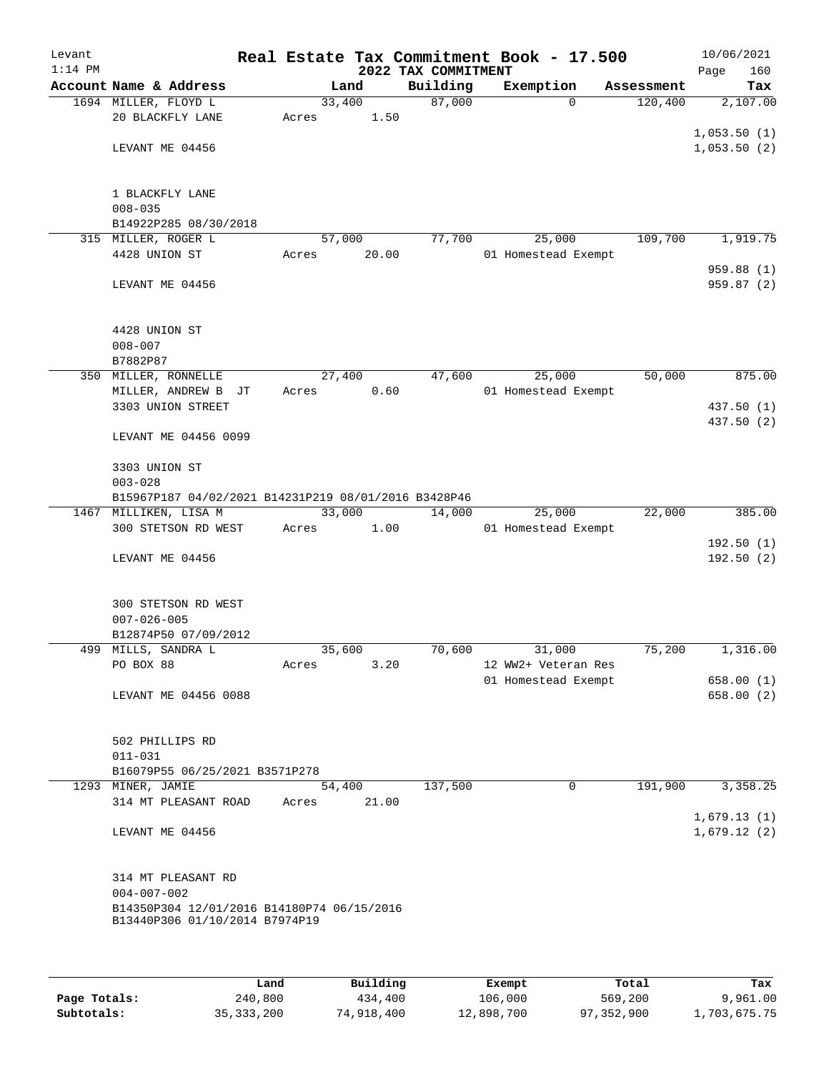| Levant    |                                                      |       |                 |                     | Real Estate Tax Commitment Book - 17.500 |                       | 10/06/2021              |
|-----------|------------------------------------------------------|-------|-----------------|---------------------|------------------------------------------|-----------------------|-------------------------|
| $1:14$ PM |                                                      |       |                 | 2022 TAX COMMITMENT |                                          |                       | Page<br>160             |
|           | Account Name & Address<br>1694 MILLER, FLOYD L       |       | Land<br>33,400  | Building<br>87,000  | Exemption<br>$\Omega$                    | Assessment<br>120,400 | Tax<br>2,107.00         |
|           | 20 BLACKFLY LANE                                     | Acres | 1.50            |                     |                                          |                       |                         |
|           |                                                      |       |                 |                     |                                          |                       | 1,053.50(1)             |
|           | LEVANT ME 04456                                      |       |                 |                     |                                          |                       | 1,053.50(2)             |
|           |                                                      |       |                 |                     |                                          |                       |                         |
|           |                                                      |       |                 |                     |                                          |                       |                         |
|           | 1 BLACKFLY LANE                                      |       |                 |                     |                                          |                       |                         |
|           | $008 - 035$<br>B14922P285 08/30/2018                 |       |                 |                     |                                          |                       |                         |
|           | 315 MILLER, ROGER L                                  |       | 57,000          | 77,700              | 25,000                                   | 109,700               | 1,919.75                |
|           | 4428 UNION ST                                        | Acres | 20.00           |                     | 01 Homestead Exempt                      |                       |                         |
|           |                                                      |       |                 |                     |                                          |                       | 959.88 (1)              |
|           | LEVANT ME 04456                                      |       |                 |                     |                                          |                       | 959.87 (2)              |
|           |                                                      |       |                 |                     |                                          |                       |                         |
|           |                                                      |       |                 |                     |                                          |                       |                         |
|           | 4428 UNION ST<br>$008 - 007$                         |       |                 |                     |                                          |                       |                         |
|           | B7882P87                                             |       |                 |                     |                                          |                       |                         |
|           | 350 MILLER, RONNELLE                                 |       | 27,400          | 47,600              | 25,000                                   | 50,000                | 875.00                  |
|           | MILLER, ANDREW B JT                                  | Acres | 0.60            |                     | 01 Homestead Exempt                      |                       |                         |
|           | 3303 UNION STREET                                    |       |                 |                     |                                          |                       | 437.50 (1)              |
|           |                                                      |       |                 |                     |                                          |                       | 437.50 (2)              |
|           | LEVANT ME 04456 0099                                 |       |                 |                     |                                          |                       |                         |
|           | 3303 UNION ST                                        |       |                 |                     |                                          |                       |                         |
|           | $003 - 028$                                          |       |                 |                     |                                          |                       |                         |
|           | B15967P187 04/02/2021 B14231P219 08/01/2016 B3428P46 |       |                 |                     |                                          |                       |                         |
|           | 1467 MILLIKEN, LISA M                                |       | 33,000          | 14,000              | 25,000                                   | 22,000                | 385.00                  |
|           | 300 STETSON RD WEST                                  | Acres | 1.00            |                     | 01 Homestead Exempt                      |                       |                         |
|           |                                                      |       |                 |                     |                                          |                       | 192.50(1)               |
|           | LEVANT ME 04456                                      |       |                 |                     |                                          |                       | 192.50(2)               |
|           |                                                      |       |                 |                     |                                          |                       |                         |
|           | 300 STETSON RD WEST                                  |       |                 |                     |                                          |                       |                         |
|           | $007 - 026 - 005$                                    |       |                 |                     |                                          |                       |                         |
|           | B12874P50 07/09/2012                                 |       |                 |                     |                                          |                       |                         |
|           | 499 MILLS, SANDRA L                                  |       | 35,600          | 70,600              | 31,000                                   | 75,200                | 1,316.00                |
|           | PO BOX 88                                            | Acres | 3.20            |                     | 12 WW2+ Veteran Res                      |                       |                         |
|           | LEVANT ME 04456 0088                                 |       |                 |                     | 01 Homestead Exempt                      |                       | 658.00 (1)<br>658.00(2) |
|           |                                                      |       |                 |                     |                                          |                       |                         |
|           |                                                      |       |                 |                     |                                          |                       |                         |
|           | 502 PHILLIPS RD                                      |       |                 |                     |                                          |                       |                         |
|           | $011 - 031$                                          |       |                 |                     |                                          |                       |                         |
|           | B16079P55 06/25/2021 B3571P278                       |       |                 |                     | 0                                        |                       | 3,358.25                |
|           | 1293 MINER, JAMIE<br>314 MT PLEASANT ROAD            | Acres | 54,400<br>21.00 | 137,500             |                                          | 191,900               |                         |
|           |                                                      |       |                 |                     |                                          |                       | 1,679.13(1)             |
|           | LEVANT ME 04456                                      |       |                 |                     |                                          |                       | 1,679.12(2)             |
|           |                                                      |       |                 |                     |                                          |                       |                         |
|           |                                                      |       |                 |                     |                                          |                       |                         |
|           | 314 MT PLEASANT RD<br>$004 - 007 - 002$              |       |                 |                     |                                          |                       |                         |
|           | B14350P304 12/01/2016 B14180P74 06/15/2016           |       |                 |                     |                                          |                       |                         |
|           | B13440P306 01/10/2014 B7974P19                       |       |                 |                     |                                          |                       |                         |
|           |                                                      |       |                 |                     |                                          |                       |                         |
|           |                                                      |       |                 |                     |                                          |                       |                         |
|           |                                                      | Land  | Building        |                     | Exempt                                   | Total                 | Tax                     |

Tax 10tals:<br>**Page Totals:** 240,800 200,800 434,400 106,000 569,200 9,961.00<br>**240,800 12,898,700 569,200 1,703,675.75** 35,333,200 74,918,400 12,898,700 97,352,900 1,703,675.75

**Subtotals:** 35,333,200 74,918,400 12,898,700 97,352,900 1,703,675.75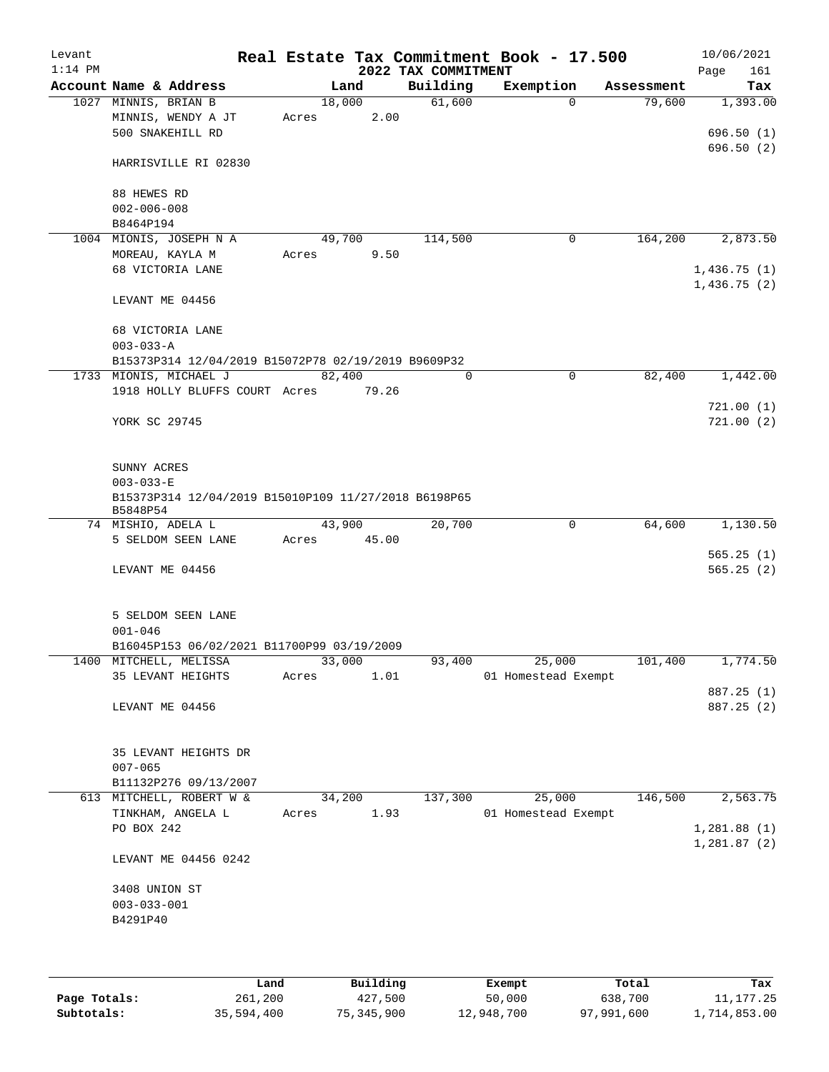| Levant<br>$1:14$ PM |                                                                                        |                         | 2022 TAX COMMITMENT | Real Estate Tax Commitment Book - 17.500 |            | 10/06/2021<br>161<br>Page  |
|---------------------|----------------------------------------------------------------------------------------|-------------------------|---------------------|------------------------------------------|------------|----------------------------|
|                     | Account Name & Address                                                                 | Land                    | Building            | Exemption                                | Assessment | Tax                        |
|                     | 1027 MINNIS, BRIAN B<br>MINNIS, WENDY A JT<br>500 SNAKEHILL RD                         | 18,000<br>2.00<br>Acres | 61,600              | $\Omega$                                 | 79,600     | 1,393.00<br>696.50(1)      |
|                     | HARRISVILLE RI 02830                                                                   |                         |                     |                                          |            | 696.50 (2)                 |
|                     | 88 HEWES RD<br>$002 - 006 - 008$                                                       |                         |                     |                                          |            |                            |
|                     | B8464P194                                                                              |                         |                     |                                          |            |                            |
|                     | 1004 MIONIS, JOSEPH N A<br>MOREAU, KAYLA M                                             | 49,700<br>9.50<br>Acres | 114,500             | 0                                        | 164,200    | 2,873.50                   |
|                     | 68 VICTORIA LANE                                                                       |                         |                     |                                          |            | 1,436.75(1)<br>1,436.75(2) |
|                     | LEVANT ME 04456                                                                        |                         |                     |                                          |            |                            |
|                     | 68 VICTORIA LANE<br>$003 - 033 - A$                                                    |                         |                     |                                          |            |                            |
|                     | B15373P314 12/04/2019 B15072P78 02/19/2019 B9609P32                                    |                         |                     |                                          |            |                            |
|                     | 1733 MIONIS, MICHAEL J                                                                 | 82,400                  | $\Omega$            | 0                                        | 82,400     | 1,442.00                   |
|                     | 1918 HOLLY BLUFFS COURT Acres                                                          | 79.26                   |                     |                                          |            | 721.00(1)                  |
|                     | YORK SC 29745                                                                          |                         |                     |                                          |            | 721.00(2)                  |
|                     | SUNNY ACRES<br>$003 - 033 - E$<br>B15373P314 12/04/2019 B15010P109 11/27/2018 B6198P65 |                         |                     |                                          |            |                            |
|                     | B5848P54<br>74 MISHIO, ADELA L                                                         | 43,900                  | 20,700              | $\mathbf 0$                              | 64,600     | 1,130.50                   |
|                     | 5 SELDOM SEEN LANE                                                                     | 45.00<br>Acres          |                     |                                          |            |                            |
|                     |                                                                                        |                         |                     |                                          |            | 565.25(1)                  |
|                     | LEVANT ME 04456                                                                        |                         |                     |                                          |            | 565.25(2)                  |
|                     | 5 SELDOM SEEN LANE<br>$001 - 046$                                                      |                         |                     |                                          |            |                            |
|                     | B16045P153 06/02/2021 B11700P99 03/19/2009<br>1400 MITCHELL, MELISSA                   |                         | 93,400              | 25,000                                   |            | 1,774.50                   |
|                     | 35 LEVANT HEIGHTS                                                                      | 33,000<br>1.01<br>Acres |                     | 01 Homestead Exempt                      | 101,400    |                            |
|                     |                                                                                        |                         |                     |                                          |            | 887.25 (1)                 |
|                     | LEVANT ME 04456                                                                        |                         |                     |                                          |            | 887.25 (2)                 |
|                     | 35 LEVANT HEIGHTS DR<br>$007 - 065$                                                    |                         |                     |                                          |            |                            |
|                     | B11132P276 09/13/2007                                                                  |                         |                     |                                          |            |                            |
|                     | 613 MITCHELL, ROBERT W &                                                               | 34,200                  | 137,300             | 25,000                                   | 146,500    | 2,563.75                   |
|                     | TINKHAM, ANGELA L                                                                      | 1.93<br>Acres           |                     | 01 Homestead Exempt                      |            |                            |
|                     | PO BOX 242                                                                             |                         |                     |                                          |            | 1,281.88(1)<br>1,281.87(2) |
|                     | LEVANT ME 04456 0242                                                                   |                         |                     |                                          |            |                            |
|                     | 3408 UNION ST                                                                          |                         |                     |                                          |            |                            |
|                     | $003 - 033 - 001$                                                                      |                         |                     |                                          |            |                            |
|                     | B4291P40                                                                               |                         |                     |                                          |            |                            |
|                     |                                                                                        |                         |                     |                                          |            |                            |
|                     |                                                                                        |                         |                     |                                          |            |                            |

|              | Land       | Building   | Exempt     | Total      | Tax          |
|--------------|------------|------------|------------|------------|--------------|
| Page Totals: | 261,200    | 427,500    | 50,000     | 638,700    | 11, 177. 25  |
| Subtotals:   | 35,594,400 | 75,345,900 | 12,948,700 | 97,991,600 | 1,714,853.00 |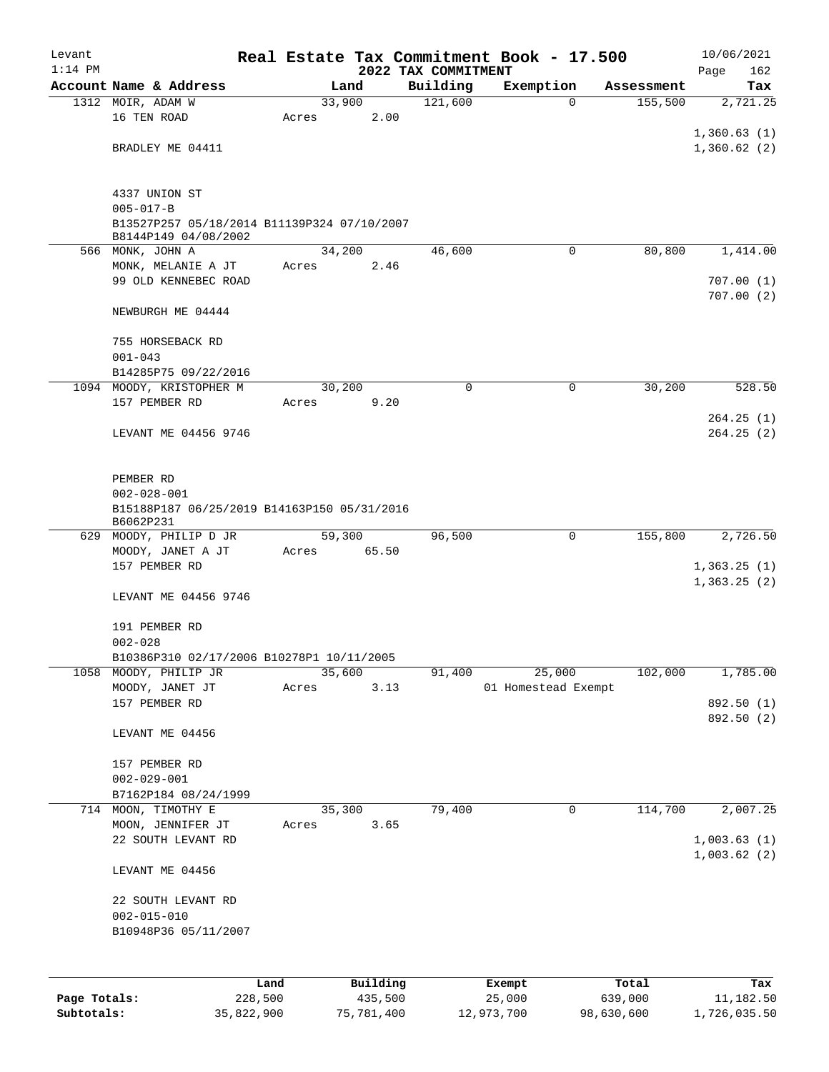| Levant       |                                                                |         |        |          |                     | Real Estate Tax Commitment Book - 17.500 |                       | 10/06/2021             |
|--------------|----------------------------------------------------------------|---------|--------|----------|---------------------|------------------------------------------|-----------------------|------------------------|
| $1:14$ PM    | Account Name & Address                                         |         |        |          | 2022 TAX COMMITMENT |                                          |                       | Page<br>162            |
|              | 1312 MOIR, ADAM W                                              |         | 33,900 | Land     | Building<br>121,600 | Exemption<br>$\Omega$                    | Assessment<br>155,500 | Tax<br>2,721.25        |
|              | 16 TEN ROAD                                                    |         | Acres  | 2.00     |                     |                                          |                       |                        |
|              |                                                                |         |        |          |                     |                                          |                       | 1,360.63(1)            |
|              | BRADLEY ME 04411                                               |         |        |          |                     |                                          |                       | 1,360.62(2)            |
|              |                                                                |         |        |          |                     |                                          |                       |                        |
|              |                                                                |         |        |          |                     |                                          |                       |                        |
|              | 4337 UNION ST                                                  |         |        |          |                     |                                          |                       |                        |
|              | $005 - 017 - B$<br>B13527P257 05/18/2014 B11139P324 07/10/2007 |         |        |          |                     |                                          |                       |                        |
|              | B8144P149 04/08/2002                                           |         |        |          |                     |                                          |                       |                        |
|              | 566 MONK, JOHN A                                               |         | 34,200 |          | 46,600              | $\mathbf 0$                              | 80,800                | 1,414.00               |
|              | MONK, MELANIE A JT                                             |         | Acres  | 2.46     |                     |                                          |                       |                        |
|              | 99 OLD KENNEBEC ROAD                                           |         |        |          |                     |                                          |                       | 707.00(1)<br>707.00(2) |
|              | NEWBURGH ME 04444                                              |         |        |          |                     |                                          |                       |                        |
|              |                                                                |         |        |          |                     |                                          |                       |                        |
|              | 755 HORSEBACK RD                                               |         |        |          |                     |                                          |                       |                        |
|              | $001 - 043$                                                    |         |        |          |                     |                                          |                       |                        |
|              | B14285P75 09/22/2016                                           |         |        |          |                     |                                          |                       |                        |
|              | 1094 MOODY, KRISTOPHER M                                       |         | 30,200 |          | 0                   | 0                                        | 30,200                | 528.50                 |
|              | 157 PEMBER RD                                                  |         | Acres  | 9.20     |                     |                                          |                       |                        |
|              | LEVANT ME 04456 9746                                           |         |        |          |                     |                                          |                       | 264.25(1)<br>264.25(2) |
|              |                                                                |         |        |          |                     |                                          |                       |                        |
|              |                                                                |         |        |          |                     |                                          |                       |                        |
|              | PEMBER RD                                                      |         |        |          |                     |                                          |                       |                        |
|              | $002 - 028 - 001$                                              |         |        |          |                     |                                          |                       |                        |
|              | B15188P187 06/25/2019 B14163P150 05/31/2016<br>B6062P231       |         |        |          |                     |                                          |                       |                        |
|              | 629 MOODY, PHILIP D JR                                         |         | 59,300 |          | 96,500              | 0                                        | 155,800               | 2,726.50               |
|              | MOODY, JANET A JT                                              |         | Acres  | 65.50    |                     |                                          |                       |                        |
|              | 157 PEMBER RD                                                  |         |        |          |                     |                                          |                       | 1,363.25(1)            |
|              |                                                                |         |        |          |                     |                                          |                       | 1,363.25(2)            |
|              | LEVANT ME 04456 9746                                           |         |        |          |                     |                                          |                       |                        |
|              | 191 PEMBER RD                                                  |         |        |          |                     |                                          |                       |                        |
|              | $002 - 028$                                                    |         |        |          |                     |                                          |                       |                        |
|              | B10386P310 02/17/2006 B10278P1 10/11/2005                      |         |        |          |                     |                                          |                       |                        |
| 1058         | MOODY, PHILIP JR                                               |         | 35,600 |          | 91,400              | 25,000                                   | 102,000               | 1,785.00               |
|              | MOODY, JANET JT                                                |         | Acres  | 3.13     |                     | 01 Homestead Exempt                      |                       |                        |
|              | 157 PEMBER RD                                                  |         |        |          |                     |                                          |                       | 892.50 (1)             |
|              | LEVANT ME 04456                                                |         |        |          |                     |                                          |                       | 892.50 (2)             |
|              |                                                                |         |        |          |                     |                                          |                       |                        |
|              | 157 PEMBER RD                                                  |         |        |          |                     |                                          |                       |                        |
|              | $002 - 029 - 001$                                              |         |        |          |                     |                                          |                       |                        |
|              | B7162P184 08/24/1999                                           |         |        |          |                     |                                          |                       |                        |
|              | 714 MOON, TIMOTHY E                                            |         | 35,300 |          | 79,400              | 0                                        | 114,700               | 2,007.25               |
|              | MOON, JENNIFER JT<br>22 SOUTH LEVANT RD                        |         | Acres  | 3.65     |                     |                                          |                       | 1,003.63(1)            |
|              |                                                                |         |        |          |                     |                                          |                       | 1,003.62(2)            |
|              | LEVANT ME 04456                                                |         |        |          |                     |                                          |                       |                        |
|              |                                                                |         |        |          |                     |                                          |                       |                        |
|              | 22 SOUTH LEVANT RD                                             |         |        |          |                     |                                          |                       |                        |
|              | $002 - 015 - 010$                                              |         |        |          |                     |                                          |                       |                        |
|              | B10948P36 05/11/2007                                           |         |        |          |                     |                                          |                       |                        |
|              |                                                                |         |        |          |                     |                                          |                       |                        |
|              |                                                                | Land    |        | Building |                     |                                          | Total                 | Tax                    |
| Page Totals: |                                                                | 228,500 |        | 435,500  |                     | Exempt<br>25,000                         | 639,000               | 11,182.50              |
|              |                                                                |         |        |          |                     |                                          |                       |                        |

**Subtotals:** 35,822,900 75,781,400 12,973,700 98,630,600 1,726,035.50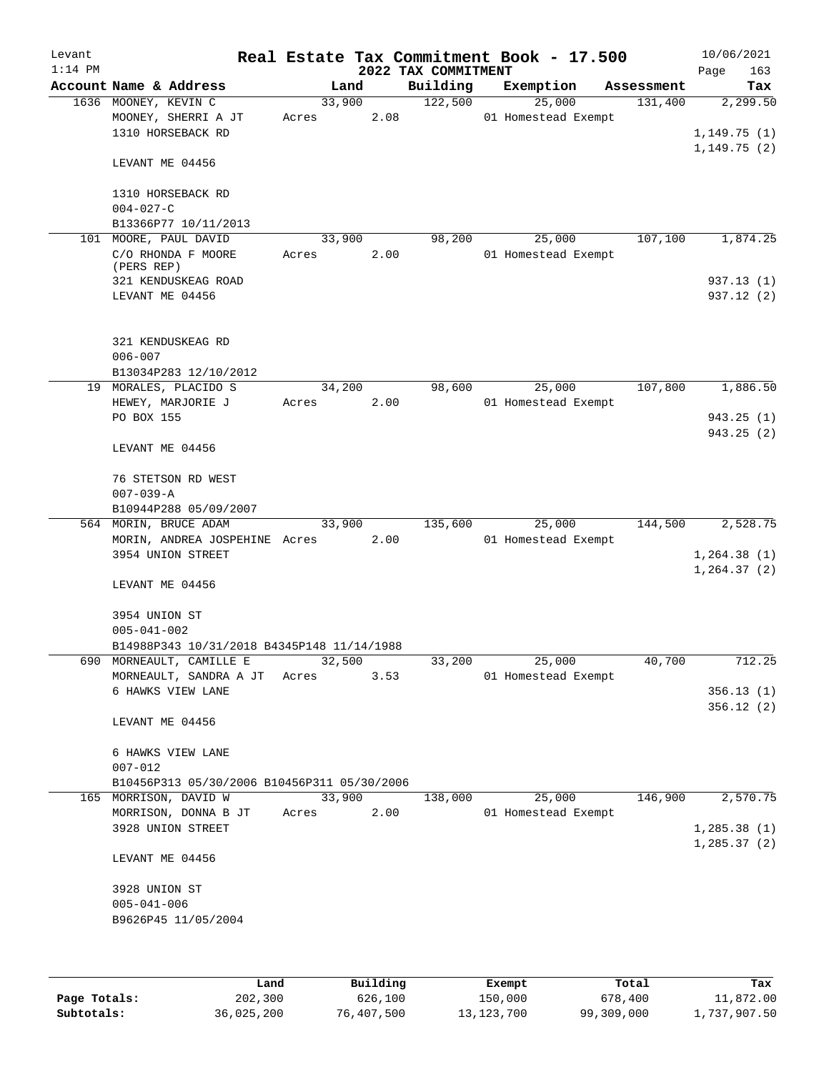| Levant<br>$1:14$ PM |                                                                  |                 |      | 2022 TAX COMMITMENT | Real Estate Tax Commitment Book - 17.500 |            | 10/06/2021<br>Page<br>163 |
|---------------------|------------------------------------------------------------------|-----------------|------|---------------------|------------------------------------------|------------|---------------------------|
|                     | Account Name & Address                                           |                 | Land | Building            | Exemption                                | Assessment | Tax                       |
|                     | 1636 MOONEY, KEVIN C<br>MOONEY, SHERRI A JT<br>1310 HORSEBACK RD | 33,900<br>Acres | 2.08 | 122,500             | 25,000<br>01 Homestead Exempt            | 131,400    | 2,299.50<br>1,149.75(1)   |
|                     | LEVANT ME 04456                                                  |                 |      |                     |                                          |            | 1,149.75(2)               |
|                     | 1310 HORSEBACK RD<br>$004 - 027 - C$                             |                 |      |                     |                                          |            |                           |
|                     | B13366P77 10/11/2013                                             |                 |      |                     |                                          |            |                           |
|                     | 101 MOORE, PAUL DAVID                                            | 33,900          |      | 98,200              | 25,000                                   | 107,100    | 1,874.25                  |
|                     | C/O RHONDA F MOORE<br>(PERS REP)                                 | Acres           | 2.00 |                     | 01 Homestead Exempt                      |            |                           |
|                     | 321 KENDUSKEAG ROAD                                              |                 |      |                     |                                          |            | 937.13 (1)                |
|                     | LEVANT ME 04456                                                  |                 |      |                     |                                          |            | 937.12 (2)                |
|                     | 321 KENDUSKEAG RD<br>$006 - 007$                                 |                 |      |                     |                                          |            |                           |
|                     | B13034P283 12/10/2012                                            |                 |      |                     |                                          |            |                           |
|                     | 19 MORALES, PLACIDO S                                            | 34,200          |      | 98,600              | 25,000                                   | 107,800    | 1,886.50                  |
|                     | HEWEY, MARJORIE J                                                | Acres           | 2.00 |                     | 01 Homestead Exempt                      |            |                           |
|                     | PO BOX 155                                                       |                 |      |                     |                                          |            | 943.25 (1)                |
|                     | LEVANT ME 04456                                                  |                 |      |                     |                                          |            | 943.25 (2)                |
|                     | 76 STETSON RD WEST<br>$007 - 039 - A$                            |                 |      |                     |                                          |            |                           |
|                     | B10944P288 05/09/2007                                            |                 |      |                     |                                          |            |                           |
|                     | 564 MORIN, BRUCE ADAM                                            | 33,900          |      | 135,600             | 25,000                                   | 144,500    | 2,528.75                  |
|                     | MORIN, ANDREA JOSPEHINE Acres                                    |                 | 2.00 |                     | 01 Homestead Exempt                      |            |                           |
|                     | 3954 UNION STREET                                                |                 |      |                     |                                          |            | 1, 264.38(1)              |
|                     | LEVANT ME 04456                                                  |                 |      |                     |                                          |            | 1,264.37(2)               |
|                     | 3954 UNION ST<br>$005 - 041 - 002$                               |                 |      |                     |                                          |            |                           |
|                     | B14988P343 10/31/2018 B4345P148 11/14/1988                       |                 |      |                     |                                          |            |                           |
|                     | 690 MORNEAULT, CAMILLE E                                         | 32,500          |      | 33,200              | 25,000                                   | 40,700     | 712.25                    |
|                     | MORNEAULT, SANDRA A JT                                           | Acres           | 3.53 |                     | 01 Homestead Exempt                      |            |                           |
|                     | 6 HAWKS VIEW LANE                                                |                 |      |                     |                                          |            | 356.13(1)                 |
|                     | LEVANT ME 04456                                                  |                 |      |                     |                                          |            | 356.12(2)                 |
|                     | 6 HAWKS VIEW LANE                                                |                 |      |                     |                                          |            |                           |
|                     | $007 - 012$                                                      |                 |      |                     |                                          |            |                           |
|                     | B10456P313 05/30/2006 B10456P311 05/30/2006                      |                 |      |                     |                                          |            |                           |
|                     | 165 MORRISON, DAVID W                                            | 33,900          |      | 138,000             | 25,000                                   | 146,900    | 2,570.75                  |
|                     | MORRISON, DONNA B JT                                             | Acres           | 2.00 |                     | 01 Homestead Exempt                      |            |                           |
|                     | 3928 UNION STREET                                                |                 |      |                     |                                          |            | 1,285.38(1)               |
|                     | LEVANT ME 04456                                                  |                 |      |                     |                                          |            | 1, 285.37(2)              |
|                     | 3928 UNION ST<br>$005 - 041 - 006$                               |                 |      |                     |                                          |            |                           |
|                     | B9626P45 11/05/2004                                              |                 |      |                     |                                          |            |                           |

|              | Land       | Building   | Exempt       | Total      | Tax          |
|--------------|------------|------------|--------------|------------|--------------|
| Page Totals: | 202,300    | 626,100    | 150,000      | 678,400    | 11,872.00    |
| Subtotals:   | 36,025,200 | 76,407,500 | 13, 123, 700 | 99,309,000 | 1,737,907.50 |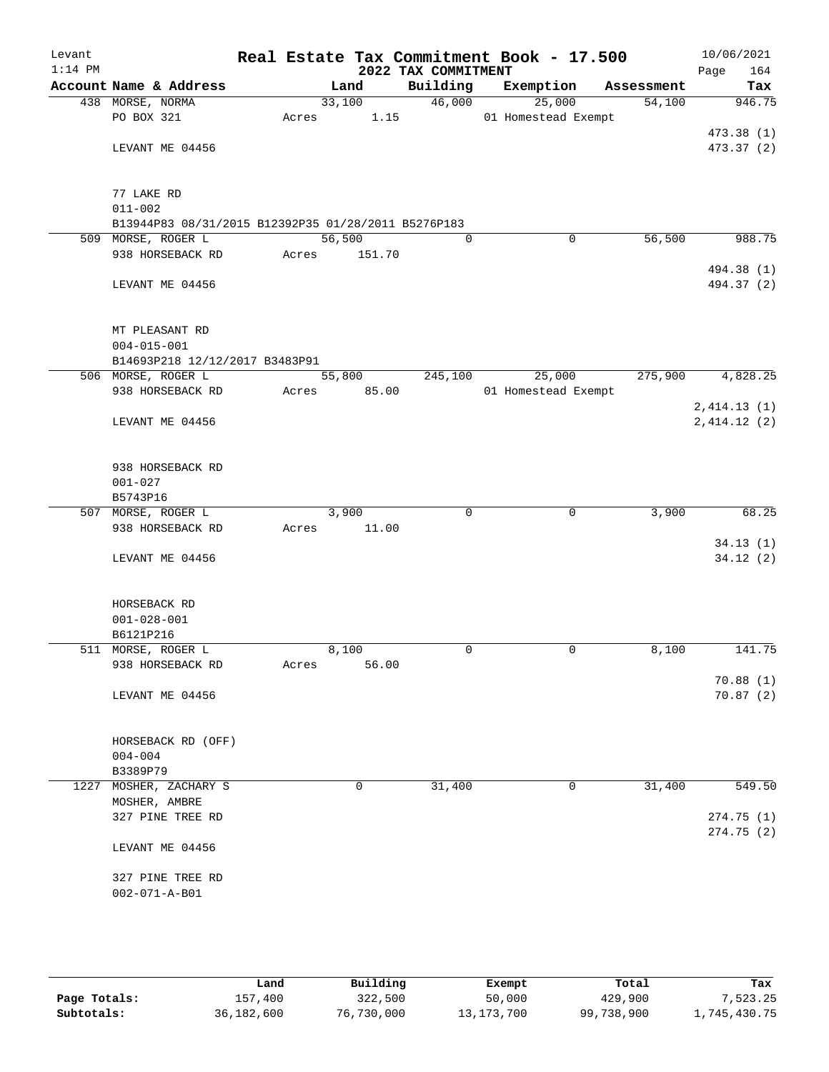| Levant<br>$1:14$ PM |                                                     |       |        |        | 2022 TAX COMMITMENT | Real Estate Tax Commitment Book - 17.500 |            | 10/06/2021<br>Page<br>164 |
|---------------------|-----------------------------------------------------|-------|--------|--------|---------------------|------------------------------------------|------------|---------------------------|
|                     | Account Name & Address                              |       | Land   |        | Building            | Exemption                                | Assessment | Tax                       |
|                     | 438 MORSE, NORMA                                    |       | 33,100 |        | 46,000              | 25,000                                   | 54,100     | 946.75                    |
|                     | PO BOX 321                                          | Acres |        | 1.15   |                     | 01 Homestead Exempt                      |            |                           |
|                     |                                                     |       |        |        |                     |                                          |            | 473.38(1)                 |
|                     | LEVANT ME 04456                                     |       |        |        |                     |                                          |            | 473.37 (2)                |
|                     |                                                     |       |        |        |                     |                                          |            |                           |
|                     |                                                     |       |        |        |                     |                                          |            |                           |
|                     | 77 LAKE RD                                          |       |        |        |                     |                                          |            |                           |
|                     | $011 - 002$                                         |       |        |        |                     |                                          |            |                           |
|                     | B13944P83 08/31/2015 B12392P35 01/28/2011 B5276P183 |       |        |        |                     |                                          |            |                           |
|                     | 509 MORSE, ROGER L                                  |       | 56,500 |        | $\Omega$            | 0                                        | 56,500     | 988.75                    |
|                     | 938 HORSEBACK RD                                    | Acres |        | 151.70 |                     |                                          |            |                           |
|                     |                                                     |       |        |        |                     |                                          |            | 494.38 (1)                |
|                     | LEVANT ME 04456                                     |       |        |        |                     |                                          |            | 494.37 (2)                |
|                     |                                                     |       |        |        |                     |                                          |            |                           |
|                     |                                                     |       |        |        |                     |                                          |            |                           |
|                     | MT PLEASANT RD                                      |       |        |        |                     |                                          |            |                           |
|                     | $004 - 015 - 001$                                   |       |        |        |                     |                                          |            |                           |
|                     | B14693P218 12/12/2017 B3483P91                      |       |        |        |                     |                                          |            |                           |
|                     | 506 MORSE, ROGER L                                  |       | 55,800 |        | 245,100             | 25,000                                   | 275,900    | 4,828.25                  |
|                     | 938 HORSEBACK RD                                    | Acres |        | 85.00  |                     | 01 Homestead Exempt                      |            |                           |
|                     |                                                     |       |        |        |                     |                                          |            | 2,414.13(1)               |
|                     | LEVANT ME 04456                                     |       |        |        |                     |                                          |            | 2,414.12(2)               |
|                     |                                                     |       |        |        |                     |                                          |            |                           |
|                     |                                                     |       |        |        |                     |                                          |            |                           |
|                     | 938 HORSEBACK RD                                    |       |        |        |                     |                                          |            |                           |
|                     | $001 - 027$                                         |       |        |        |                     |                                          |            |                           |
|                     | B5743P16                                            |       |        |        |                     |                                          |            |                           |
|                     | 507 MORSE, ROGER L                                  |       | 3,900  |        | $\mathbf 0$         | $\mathbf 0$                              | 3,900      | 68.25                     |
|                     | 938 HORSEBACK RD                                    | Acres |        | 11.00  |                     |                                          |            |                           |
|                     |                                                     |       |        |        |                     |                                          |            | 34.13(1)                  |
|                     | LEVANT ME 04456                                     |       |        |        |                     |                                          |            | 34.12(2)                  |
|                     |                                                     |       |        |        |                     |                                          |            |                           |
|                     |                                                     |       |        |        |                     |                                          |            |                           |
|                     | HORSEBACK RD                                        |       |        |        |                     |                                          |            |                           |
|                     | $001 - 028 - 001$                                   |       |        |        |                     |                                          |            |                           |
|                     | B6121P216                                           |       |        |        |                     |                                          |            |                           |
|                     | 511 MORSE, ROGER L                                  |       | 8,100  |        | $\mathbf 0$         | $\mathbf 0$                              | 8,100      | 141.75                    |
|                     | 938 HORSEBACK RD                                    | Acres |        | 56.00  |                     |                                          |            |                           |
|                     |                                                     |       |        |        |                     |                                          |            | 70.88(1)                  |
|                     | LEVANT ME 04456                                     |       |        |        |                     |                                          |            | 70.87(2)                  |
|                     |                                                     |       |        |        |                     |                                          |            |                           |
|                     |                                                     |       |        |        |                     |                                          |            |                           |
|                     | HORSEBACK RD (OFF)                                  |       |        |        |                     |                                          |            |                           |
|                     | $004 - 004$                                         |       |        |        |                     |                                          |            |                           |
|                     | B3389P79                                            |       |        |        |                     |                                          |            |                           |
|                     | 1227 MOSHER, ZACHARY S                              |       |        | 0      | 31,400              | $\mathbf 0$                              | 31,400     | 549.50                    |
|                     | MOSHER, AMBRE                                       |       |        |        |                     |                                          |            |                           |
|                     | 327 PINE TREE RD                                    |       |        |        |                     |                                          |            | 274.75(1)                 |
|                     |                                                     |       |        |        |                     |                                          |            | 274.75 (2)                |
|                     | LEVANT ME 04456                                     |       |        |        |                     |                                          |            |                           |
|                     |                                                     |       |        |        |                     |                                          |            |                           |
|                     | 327 PINE TREE RD                                    |       |        |        |                     |                                          |            |                           |
|                     | $002 - 071 - A - B01$                               |       |        |        |                     |                                          |            |                           |
|                     |                                                     |       |        |        |                     |                                          |            |                           |
|                     |                                                     |       |        |        |                     |                                          |            |                           |

|              | Land       | Building   | Exempt       | Total      | Tax          |
|--------------|------------|------------|--------------|------------|--------------|
| Page Totals: | 157,400    | 322,500    | 50,000       | 429,900    | 7.523.25     |
| Subtotals:   | 36,182,600 | 76,730,000 | 13, 173, 700 | 99,738,900 | 1,745,430.75 |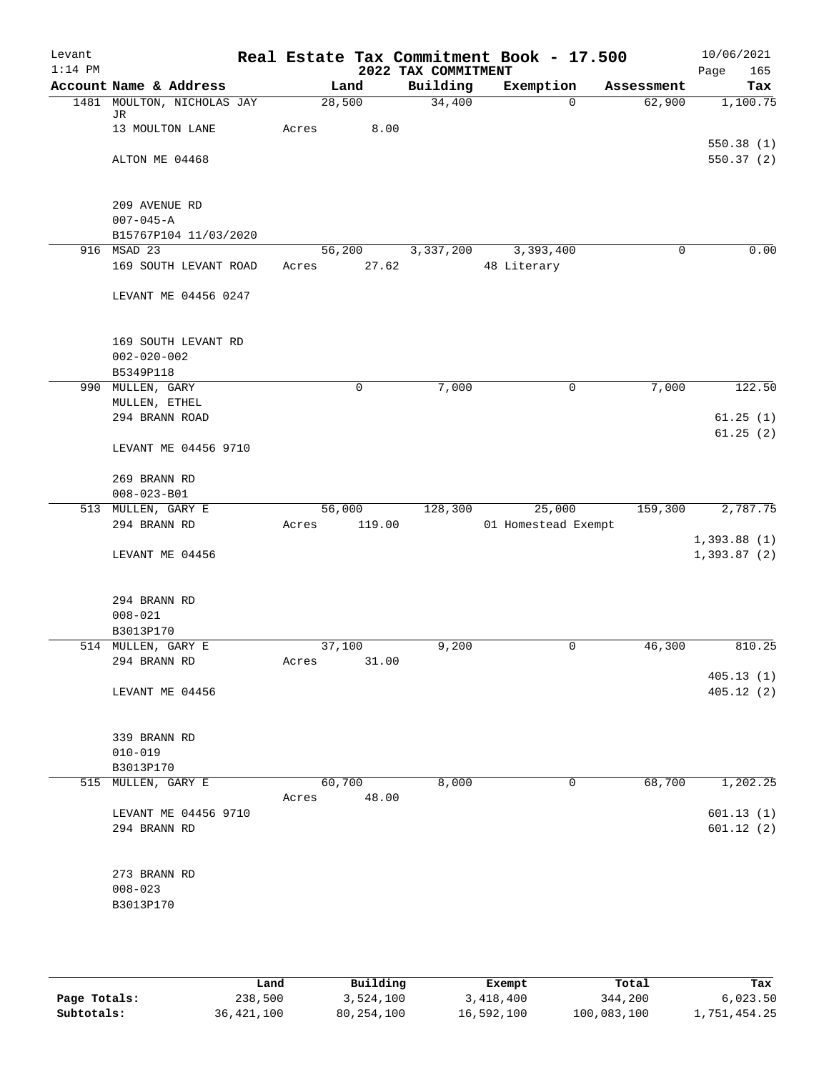| Levant<br>$1:14$ PM |                                      |        |        | 2022 TAX COMMITMENT | Real Estate Tax Commitment Book - 17.500 |            | 10/06/2021<br>Page<br>165 |
|---------------------|--------------------------------------|--------|--------|---------------------|------------------------------------------|------------|---------------------------|
|                     | Account Name & Address               | Land   |        | Building            | Exemption                                | Assessment | Tax                       |
|                     | 1481 MOULTON, NICHOLAS JAY           | 28,500 |        | 34,400              | $\mathbf 0$                              | 62,900     | 1,100.75                  |
|                     | JR                                   |        |        |                     |                                          |            |                           |
|                     | 13 MOULTON LANE                      | Acres  | 8.00   |                     |                                          |            |                           |
|                     | ALTON ME 04468                       |        |        |                     |                                          |            | 550.38(1)<br>550.37(2)    |
|                     |                                      |        |        |                     |                                          |            |                           |
|                     |                                      |        |        |                     |                                          |            |                           |
|                     | 209 AVENUE RD                        |        |        |                     |                                          |            |                           |
|                     | $007 - 045 - A$                      |        |        |                     |                                          |            |                           |
|                     | B15767P104 11/03/2020                |        |        |                     |                                          |            |                           |
|                     | 916 MSAD 23<br>169 SOUTH LEVANT ROAD | 56,200 | 27.62  | 3,337,200           | 3,393,400                                | 0          | 0.00                      |
|                     |                                      | Acres  |        |                     | 48 Literary                              |            |                           |
|                     | LEVANT ME 04456 0247                 |        |        |                     |                                          |            |                           |
|                     |                                      |        |        |                     |                                          |            |                           |
|                     |                                      |        |        |                     |                                          |            |                           |
|                     | 169 SOUTH LEVANT RD                  |        |        |                     |                                          |            |                           |
|                     | $002 - 020 - 002$<br>B5349P118       |        |        |                     |                                          |            |                           |
|                     | 990 MULLEN, GARY                     |        | 0      | 7,000               | 0                                        | 7,000      | 122.50                    |
|                     | MULLEN, ETHEL                        |        |        |                     |                                          |            |                           |
|                     | 294 BRANN ROAD                       |        |        |                     |                                          |            | 61.25(1)                  |
|                     |                                      |        |        |                     |                                          |            | 61.25(2)                  |
|                     | LEVANT ME 04456 9710                 |        |        |                     |                                          |            |                           |
|                     | 269 BRANN RD                         |        |        |                     |                                          |            |                           |
|                     | $008 - 023 - B01$                    |        |        |                     |                                          |            |                           |
|                     | 513 MULLEN, GARY E                   | 56,000 |        | 128,300             | 25,000                                   | 159,300    | 2,787.75                  |
|                     | 294 BRANN RD                         | Acres  | 119.00 |                     | 01 Homestead Exempt                      |            |                           |
|                     |                                      |        |        |                     |                                          |            | 1,393.88(1)               |
|                     | LEVANT ME 04456                      |        |        |                     |                                          |            | 1,393.87(2)               |
|                     |                                      |        |        |                     |                                          |            |                           |
|                     | 294 BRANN RD                         |        |        |                     |                                          |            |                           |
|                     | $008 - 021$                          |        |        |                     |                                          |            |                           |
|                     | B3013P170                            |        |        |                     |                                          |            |                           |
|                     | 514 MULLEN, GARY E                   | 37,100 |        | 9,200               | 0                                        | 46,300     | 810.25                    |
|                     | 294 BRANN RD                         | Acres  | 31.00  |                     |                                          |            |                           |
|                     |                                      |        |        |                     |                                          |            | 405.13(1)                 |
|                     | LEVANT ME 04456                      |        |        |                     |                                          |            | 405.12(2)                 |
|                     |                                      |        |        |                     |                                          |            |                           |
|                     | 339 BRANN RD                         |        |        |                     |                                          |            |                           |
|                     | $010 - 019$                          |        |        |                     |                                          |            |                           |
|                     | B3013P170                            |        |        |                     |                                          |            |                           |
|                     | 515 MULLEN, GARY E                   | 60,700 |        | 8,000               | 0                                        | 68,700     | 1,202.25                  |
|                     |                                      | Acres  | 48.00  |                     |                                          |            |                           |
|                     | LEVANT ME 04456 9710                 |        |        |                     |                                          |            | 601.13(1)                 |
|                     | 294 BRANN RD                         |        |        |                     |                                          |            | 601.12(2)                 |
|                     |                                      |        |        |                     |                                          |            |                           |
|                     | 273 BRANN RD                         |        |        |                     |                                          |            |                           |
|                     | $008 - 023$                          |        |        |                     |                                          |            |                           |
|                     | B3013P170                            |        |        |                     |                                          |            |                           |
|                     |                                      |        |        |                     |                                          |            |                           |

|              | Land         | Building   | Exempt     | Total       | Tax          |
|--------------|--------------|------------|------------|-------------|--------------|
| Page Totals: | 238,500      | 3,524,100  | 3,418,400  | 344,200     | 6.023.50     |
| Subtotals:   | 36, 421, 100 | 80,254,100 | 16,592,100 | 100,083,100 | 1,751,454.25 |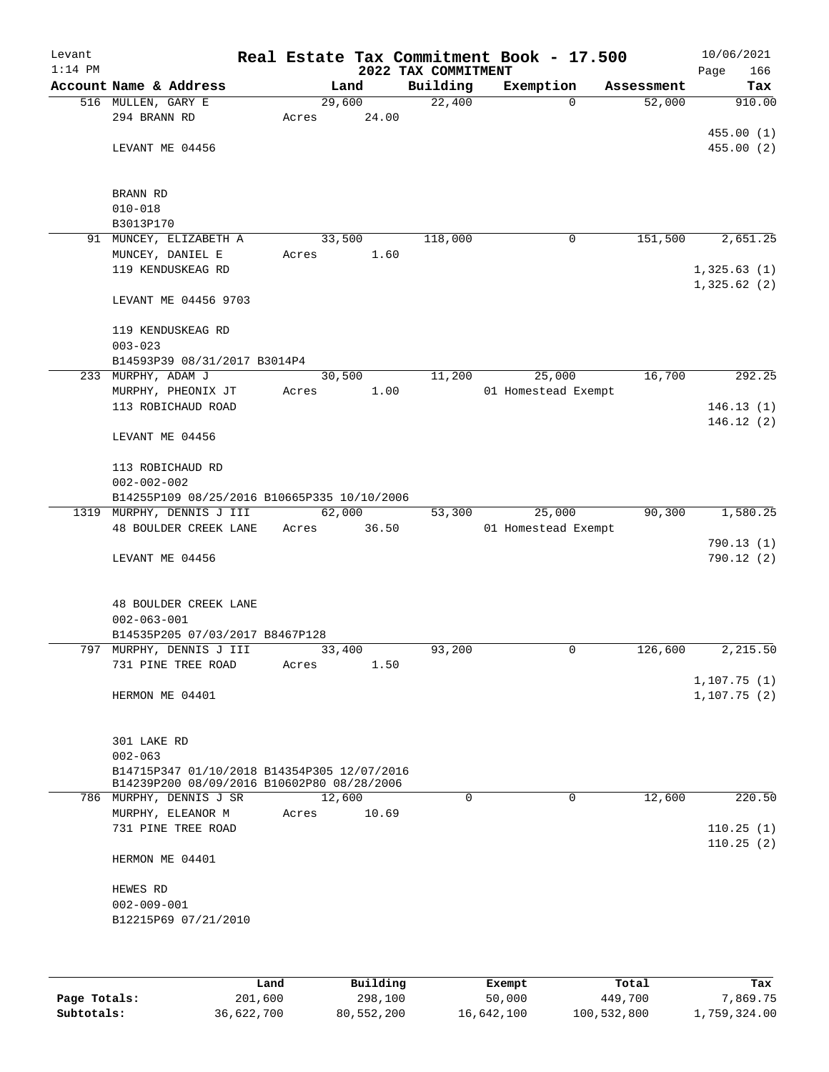| Account Name & Address<br>Building<br>Exemption<br>Land<br>Assessment<br>22,400<br>516 MULLEN, GARY E<br>29,600<br>$\Omega$<br>52,000<br>294 BRANN RD<br>24.00<br>Acres<br>LEVANT ME 04456<br>BRANN RD<br>$010 - 018$<br>B3013P170<br>91 MUNCEY, ELIZABETH A<br>33,500<br>151,500<br>118,000<br>0<br>MUNCEY, DANIEL E<br>1.60<br>Acres<br>119 KENDUSKEAG RD<br>LEVANT ME 04456 9703<br>119 KENDUSKEAG RD<br>$003 - 023$<br>B14593P39 08/31/2017 B3014P4<br>25,000<br>11,200<br>16,700<br>233 MURPHY, ADAM J<br>30,500<br>MURPHY, PHEONIX JT<br>1.00<br>01 Homestead Exempt<br>Acres<br>113 ROBICHAUD ROAD<br>LEVANT ME 04456<br>113 ROBICHAUD RD<br>$002 - 002 - 002$<br>B14255P109 08/25/2016 B10665P335 10/10/2006<br>90, 300<br>1319 MURPHY, DENNIS J III<br>62,000<br>25,000<br>53,300<br>48 BOULDER CREEK LANE<br>Acres<br>36.50<br>01 Homestead Exempt<br>LEVANT ME 04456<br><b>48 BOULDER CREEK LANE</b><br>$002 - 063 - 001$<br>B14535P205 07/03/2017 B8467P128<br>797 MURPHY, DENNIS J III<br>$\mathbf 0$<br>33,400<br>93,200<br>126,600<br>1.50<br>731 PINE TREE ROAD<br>Acres<br>HERMON ME 04401<br>301 LAKE RD<br>$002 - 063$<br>B14715P347 01/10/2018 B14354P305 12/07/2016<br>B14239P200 08/09/2016 B10602P80 08/28/2006<br>0<br>0<br>12,600<br>786 MURPHY, DENNIS J SR<br>12,600<br>MURPHY, ELEANOR M<br>10.69<br>Acres<br>731 PINE TREE ROAD<br>HERMON ME 04401<br>HEWES RD<br>$002 - 009 - 001$<br>B12215P69 07/21/2010 | Levant<br>$1:14$ PM |  | 2022 TAX COMMITMENT | Real Estate Tax Commitment Book - 17.500 | 10/06/2021<br>166<br>Page |
|------------------------------------------------------------------------------------------------------------------------------------------------------------------------------------------------------------------------------------------------------------------------------------------------------------------------------------------------------------------------------------------------------------------------------------------------------------------------------------------------------------------------------------------------------------------------------------------------------------------------------------------------------------------------------------------------------------------------------------------------------------------------------------------------------------------------------------------------------------------------------------------------------------------------------------------------------------------------------------------------------------------------------------------------------------------------------------------------------------------------------------------------------------------------------------------------------------------------------------------------------------------------------------------------------------------------------------------------------------------------------------------------------------------------------------------|---------------------|--|---------------------|------------------------------------------|---------------------------|
|                                                                                                                                                                                                                                                                                                                                                                                                                                                                                                                                                                                                                                                                                                                                                                                                                                                                                                                                                                                                                                                                                                                                                                                                                                                                                                                                                                                                                                          |                     |  |                     |                                          | Tax                       |
| 455.00(1)                                                                                                                                                                                                                                                                                                                                                                                                                                                                                                                                                                                                                                                                                                                                                                                                                                                                                                                                                                                                                                                                                                                                                                                                                                                                                                                                                                                                                                |                     |  |                     |                                          | 910.00                    |
| 455.00(2)                                                                                                                                                                                                                                                                                                                                                                                                                                                                                                                                                                                                                                                                                                                                                                                                                                                                                                                                                                                                                                                                                                                                                                                                                                                                                                                                                                                                                                |                     |  |                     |                                          |                           |
|                                                                                                                                                                                                                                                                                                                                                                                                                                                                                                                                                                                                                                                                                                                                                                                                                                                                                                                                                                                                                                                                                                                                                                                                                                                                                                                                                                                                                                          |                     |  |                     |                                          |                           |
|                                                                                                                                                                                                                                                                                                                                                                                                                                                                                                                                                                                                                                                                                                                                                                                                                                                                                                                                                                                                                                                                                                                                                                                                                                                                                                                                                                                                                                          |                     |  |                     |                                          |                           |
|                                                                                                                                                                                                                                                                                                                                                                                                                                                                                                                                                                                                                                                                                                                                                                                                                                                                                                                                                                                                                                                                                                                                                                                                                                                                                                                                                                                                                                          |                     |  |                     |                                          |                           |
|                                                                                                                                                                                                                                                                                                                                                                                                                                                                                                                                                                                                                                                                                                                                                                                                                                                                                                                                                                                                                                                                                                                                                                                                                                                                                                                                                                                                                                          |                     |  |                     |                                          |                           |
| 2,651.25<br>1,325.63(1)<br>1,325.62(2)<br>292.25<br>146.13(1)<br>146.12(2)<br>1,580.25<br>790.13(1)<br>790.12(2)<br>2,215.50<br>1,107.75(1)<br>1, 107.75(2)<br>220.50<br>110.25(1)<br>110.25(2)                                                                                                                                                                                                                                                                                                                                                                                                                                                                                                                                                                                                                                                                                                                                                                                                                                                                                                                                                                                                                                                                                                                                                                                                                                          |                     |  |                     |                                          |                           |
|                                                                                                                                                                                                                                                                                                                                                                                                                                                                                                                                                                                                                                                                                                                                                                                                                                                                                                                                                                                                                                                                                                                                                                                                                                                                                                                                                                                                                                          |                     |  |                     |                                          |                           |
|                                                                                                                                                                                                                                                                                                                                                                                                                                                                                                                                                                                                                                                                                                                                                                                                                                                                                                                                                                                                                                                                                                                                                                                                                                                                                                                                                                                                                                          |                     |  |                     |                                          |                           |
|                                                                                                                                                                                                                                                                                                                                                                                                                                                                                                                                                                                                                                                                                                                                                                                                                                                                                                                                                                                                                                                                                                                                                                                                                                                                                                                                                                                                                                          |                     |  |                     |                                          |                           |
|                                                                                                                                                                                                                                                                                                                                                                                                                                                                                                                                                                                                                                                                                                                                                                                                                                                                                                                                                                                                                                                                                                                                                                                                                                                                                                                                                                                                                                          |                     |  |                     |                                          |                           |
|                                                                                                                                                                                                                                                                                                                                                                                                                                                                                                                                                                                                                                                                                                                                                                                                                                                                                                                                                                                                                                                                                                                                                                                                                                                                                                                                                                                                                                          |                     |  |                     |                                          |                           |
|                                                                                                                                                                                                                                                                                                                                                                                                                                                                                                                                                                                                                                                                                                                                                                                                                                                                                                                                                                                                                                                                                                                                                                                                                                                                                                                                                                                                                                          |                     |  |                     |                                          |                           |
|                                                                                                                                                                                                                                                                                                                                                                                                                                                                                                                                                                                                                                                                                                                                                                                                                                                                                                                                                                                                                                                                                                                                                                                                                                                                                                                                                                                                                                          |                     |  |                     |                                          |                           |
|                                                                                                                                                                                                                                                                                                                                                                                                                                                                                                                                                                                                                                                                                                                                                                                                                                                                                                                                                                                                                                                                                                                                                                                                                                                                                                                                                                                                                                          |                     |  |                     |                                          |                           |
|                                                                                                                                                                                                                                                                                                                                                                                                                                                                                                                                                                                                                                                                                                                                                                                                                                                                                                                                                                                                                                                                                                                                                                                                                                                                                                                                                                                                                                          |                     |  |                     |                                          |                           |
|                                                                                                                                                                                                                                                                                                                                                                                                                                                                                                                                                                                                                                                                                                                                                                                                                                                                                                                                                                                                                                                                                                                                                                                                                                                                                                                                                                                                                                          |                     |  |                     |                                          |                           |
|                                                                                                                                                                                                                                                                                                                                                                                                                                                                                                                                                                                                                                                                                                                                                                                                                                                                                                                                                                                                                                                                                                                                                                                                                                                                                                                                                                                                                                          |                     |  |                     |                                          |                           |
|                                                                                                                                                                                                                                                                                                                                                                                                                                                                                                                                                                                                                                                                                                                                                                                                                                                                                                                                                                                                                                                                                                                                                                                                                                                                                                                                                                                                                                          |                     |  |                     |                                          |                           |
|                                                                                                                                                                                                                                                                                                                                                                                                                                                                                                                                                                                                                                                                                                                                                                                                                                                                                                                                                                                                                                                                                                                                                                                                                                                                                                                                                                                                                                          |                     |  |                     |                                          |                           |
|                                                                                                                                                                                                                                                                                                                                                                                                                                                                                                                                                                                                                                                                                                                                                                                                                                                                                                                                                                                                                                                                                                                                                                                                                                                                                                                                                                                                                                          |                     |  |                     |                                          |                           |
|                                                                                                                                                                                                                                                                                                                                                                                                                                                                                                                                                                                                                                                                                                                                                                                                                                                                                                                                                                                                                                                                                                                                                                                                                                                                                                                                                                                                                                          |                     |  |                     |                                          |                           |
|                                                                                                                                                                                                                                                                                                                                                                                                                                                                                                                                                                                                                                                                                                                                                                                                                                                                                                                                                                                                                                                                                                                                                                                                                                                                                                                                                                                                                                          |                     |  |                     |                                          |                           |
|                                                                                                                                                                                                                                                                                                                                                                                                                                                                                                                                                                                                                                                                                                                                                                                                                                                                                                                                                                                                                                                                                                                                                                                                                                                                                                                                                                                                                                          |                     |  |                     |                                          |                           |
|                                                                                                                                                                                                                                                                                                                                                                                                                                                                                                                                                                                                                                                                                                                                                                                                                                                                                                                                                                                                                                                                                                                                                                                                                                                                                                                                                                                                                                          |                     |  |                     |                                          |                           |
|                                                                                                                                                                                                                                                                                                                                                                                                                                                                                                                                                                                                                                                                                                                                                                                                                                                                                                                                                                                                                                                                                                                                                                                                                                                                                                                                                                                                                                          |                     |  |                     |                                          |                           |
|                                                                                                                                                                                                                                                                                                                                                                                                                                                                                                                                                                                                                                                                                                                                                                                                                                                                                                                                                                                                                                                                                                                                                                                                                                                                                                                                                                                                                                          |                     |  |                     |                                          |                           |
|                                                                                                                                                                                                                                                                                                                                                                                                                                                                                                                                                                                                                                                                                                                                                                                                                                                                                                                                                                                                                                                                                                                                                                                                                                                                                                                                                                                                                                          |                     |  |                     |                                          |                           |
|                                                                                                                                                                                                                                                                                                                                                                                                                                                                                                                                                                                                                                                                                                                                                                                                                                                                                                                                                                                                                                                                                                                                                                                                                                                                                                                                                                                                                                          |                     |  |                     |                                          |                           |
|                                                                                                                                                                                                                                                                                                                                                                                                                                                                                                                                                                                                                                                                                                                                                                                                                                                                                                                                                                                                                                                                                                                                                                                                                                                                                                                                                                                                                                          |                     |  |                     |                                          |                           |
|                                                                                                                                                                                                                                                                                                                                                                                                                                                                                                                                                                                                                                                                                                                                                                                                                                                                                                                                                                                                                                                                                                                                                                                                                                                                                                                                                                                                                                          |                     |  |                     |                                          |                           |
|                                                                                                                                                                                                                                                                                                                                                                                                                                                                                                                                                                                                                                                                                                                                                                                                                                                                                                                                                                                                                                                                                                                                                                                                                                                                                                                                                                                                                                          |                     |  |                     |                                          |                           |
|                                                                                                                                                                                                                                                                                                                                                                                                                                                                                                                                                                                                                                                                                                                                                                                                                                                                                                                                                                                                                                                                                                                                                                                                                                                                                                                                                                                                                                          |                     |  |                     |                                          |                           |
|                                                                                                                                                                                                                                                                                                                                                                                                                                                                                                                                                                                                                                                                                                                                                                                                                                                                                                                                                                                                                                                                                                                                                                                                                                                                                                                                                                                                                                          |                     |  |                     |                                          |                           |
|                                                                                                                                                                                                                                                                                                                                                                                                                                                                                                                                                                                                                                                                                                                                                                                                                                                                                                                                                                                                                                                                                                                                                                                                                                                                                                                                                                                                                                          |                     |  |                     |                                          |                           |
|                                                                                                                                                                                                                                                                                                                                                                                                                                                                                                                                                                                                                                                                                                                                                                                                                                                                                                                                                                                                                                                                                                                                                                                                                                                                                                                                                                                                                                          |                     |  |                     |                                          |                           |
|                                                                                                                                                                                                                                                                                                                                                                                                                                                                                                                                                                                                                                                                                                                                                                                                                                                                                                                                                                                                                                                                                                                                                                                                                                                                                                                                                                                                                                          |                     |  |                     |                                          |                           |
|                                                                                                                                                                                                                                                                                                                                                                                                                                                                                                                                                                                                                                                                                                                                                                                                                                                                                                                                                                                                                                                                                                                                                                                                                                                                                                                                                                                                                                          |                     |  |                     |                                          |                           |
|                                                                                                                                                                                                                                                                                                                                                                                                                                                                                                                                                                                                                                                                                                                                                                                                                                                                                                                                                                                                                                                                                                                                                                                                                                                                                                                                                                                                                                          |                     |  |                     |                                          |                           |
|                                                                                                                                                                                                                                                                                                                                                                                                                                                                                                                                                                                                                                                                                                                                                                                                                                                                                                                                                                                                                                                                                                                                                                                                                                                                                                                                                                                                                                          |                     |  |                     |                                          |                           |
|                                                                                                                                                                                                                                                                                                                                                                                                                                                                                                                                                                                                                                                                                                                                                                                                                                                                                                                                                                                                                                                                                                                                                                                                                                                                                                                                                                                                                                          |                     |  |                     |                                          |                           |
|                                                                                                                                                                                                                                                                                                                                                                                                                                                                                                                                                                                                                                                                                                                                                                                                                                                                                                                                                                                                                                                                                                                                                                                                                                                                                                                                                                                                                                          |                     |  |                     |                                          |                           |
|                                                                                                                                                                                                                                                                                                                                                                                                                                                                                                                                                                                                                                                                                                                                                                                                                                                                                                                                                                                                                                                                                                                                                                                                                                                                                                                                                                                                                                          |                     |  |                     |                                          |                           |
|                                                                                                                                                                                                                                                                                                                                                                                                                                                                                                                                                                                                                                                                                                                                                                                                                                                                                                                                                                                                                                                                                                                                                                                                                                                                                                                                                                                                                                          |                     |  |                     |                                          |                           |
|                                                                                                                                                                                                                                                                                                                                                                                                                                                                                                                                                                                                                                                                                                                                                                                                                                                                                                                                                                                                                                                                                                                                                                                                                                                                                                                                                                                                                                          |                     |  |                     |                                          |                           |
|                                                                                                                                                                                                                                                                                                                                                                                                                                                                                                                                                                                                                                                                                                                                                                                                                                                                                                                                                                                                                                                                                                                                                                                                                                                                                                                                                                                                                                          |                     |  |                     |                                          |                           |

|              | Land       | Building   | Exempt     | Total       | Tax          |
|--------------|------------|------------|------------|-------------|--------------|
| Page Totals: | 201,600    | 298,100    | 50,000     | 449,700     | 7,869.75     |
| Subtotals:   | 36,622,700 | 80,552,200 | 16,642,100 | 100,532,800 | 1,759,324.00 |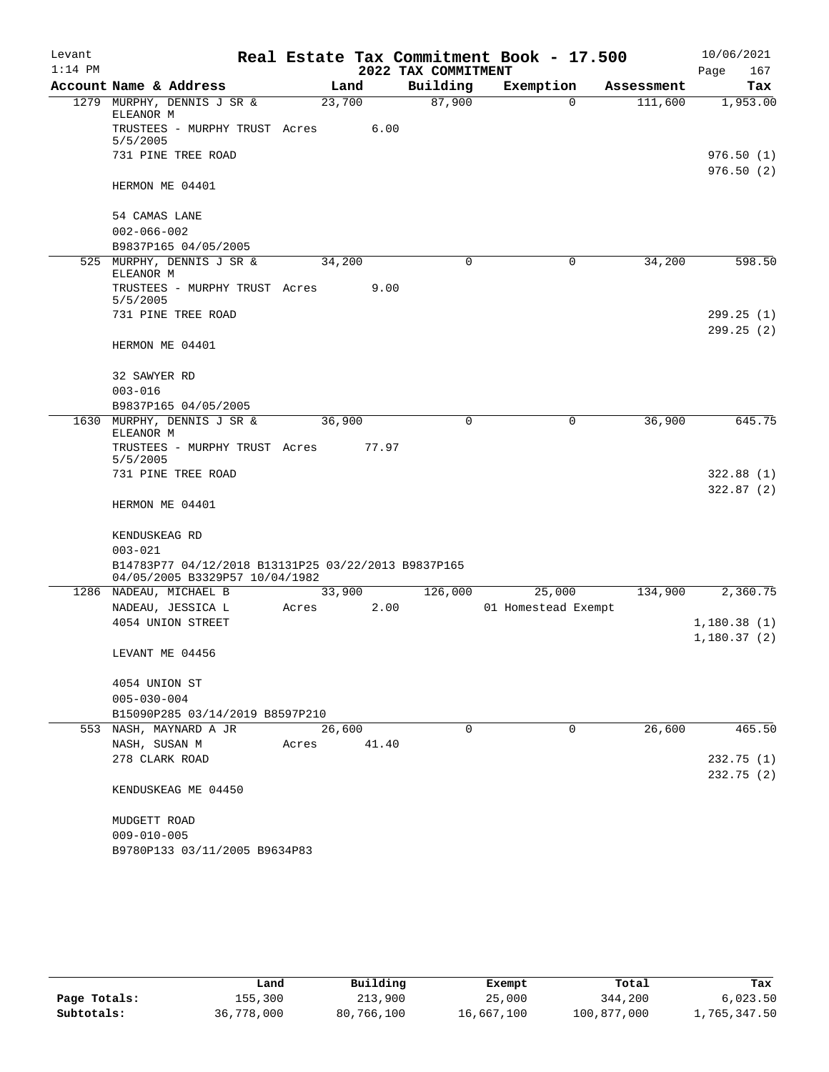| Levant    |                                                                                       |       |        |                     | Real Estate Tax Commitment Book - 17.500 |            | 10/06/2021                 |
|-----------|---------------------------------------------------------------------------------------|-------|--------|---------------------|------------------------------------------|------------|----------------------------|
| $1:14$ PM |                                                                                       |       |        | 2022 TAX COMMITMENT |                                          |            | Page<br>167                |
|           | Account Name & Address                                                                |       | Land   | Building            | Exemption                                | Assessment | Tax                        |
|           | 1279 MURPHY, DENNIS J SR &<br>ELEANOR M                                               |       | 23,700 | 87,900              | 0                                        | 111,600    | 1,953.00                   |
|           | TRUSTEES - MURPHY TRUST Acres<br>5/5/2005                                             |       | 6.00   |                     |                                          |            |                            |
|           | 731 PINE TREE ROAD                                                                    |       |        |                     |                                          |            | 976.50(1)                  |
|           | HERMON ME 04401                                                                       |       |        |                     |                                          |            | 976.50(2)                  |
|           | 54 CAMAS LANE<br>$002 - 066 - 002$                                                    |       |        |                     |                                          |            |                            |
|           | B9837P165 04/05/2005                                                                  |       |        |                     |                                          |            |                            |
|           | 525 MURPHY, DENNIS J SR &<br>ELEANOR M                                                |       | 34,200 | 0                   | 0                                        | 34,200     | 598.50                     |
|           | TRUSTEES - MURPHY TRUST Acres<br>5/5/2005                                             |       | 9.00   |                     |                                          |            |                            |
|           | 731 PINE TREE ROAD                                                                    |       |        |                     |                                          |            | 299.25 (1)                 |
|           | HERMON ME 04401                                                                       |       |        |                     |                                          |            | 299.25(2)                  |
|           | 32 SAWYER RD                                                                          |       |        |                     |                                          |            |                            |
|           | $003 - 016$                                                                           |       |        |                     |                                          |            |                            |
|           | B9837P165 04/05/2005<br>1630 MURPHY, DENNIS J SR &                                    |       | 36,900 | 0                   | 0                                        | 36,900     | 645.75                     |
|           | ELEANOR M                                                                             |       |        |                     |                                          |            |                            |
|           | TRUSTEES - MURPHY TRUST Acres<br>5/5/2005                                             |       | 77.97  |                     |                                          |            |                            |
|           | 731 PINE TREE ROAD                                                                    |       |        |                     |                                          |            | 322.88(1)<br>322.87(2)     |
|           | HERMON ME 04401                                                                       |       |        |                     |                                          |            |                            |
|           | KENDUSKEAG RD                                                                         |       |        |                     |                                          |            |                            |
|           | $003 - 021$                                                                           |       |        |                     |                                          |            |                            |
|           | B14783P77 04/12/2018 B13131P25 03/22/2013 B9837P165<br>04/05/2005 B3329P57 10/04/1982 |       |        |                     |                                          |            |                            |
|           | 1286 NADEAU, MICHAEL B                                                                |       | 33,900 | 126,000             | 25,000                                   | 134,900    | 2,360.75                   |
|           | NADEAU, JESSICA L<br>4054 UNION STREET                                                | Acres | 2.00   |                     | 01 Homestead Exempt                      |            |                            |
|           |                                                                                       |       |        |                     |                                          |            | 1,180.38(1)<br>1,180.37(2) |
|           | LEVANT ME 04456                                                                       |       |        |                     |                                          |            |                            |
|           | 4054 UNION ST                                                                         |       |        |                     |                                          |            |                            |
|           | $005 - 030 - 004$                                                                     |       |        |                     |                                          |            |                            |
|           | B15090P285 03/14/2019 B8597P210                                                       |       |        |                     |                                          |            |                            |
|           | 553 NASH, MAYNARD A JR                                                                |       | 26,600 | $\Omega$            | $\mathbf 0$                              | 26,600     | 465.50                     |
|           | NASH, SUSAN M                                                                         | Acres | 41.40  |                     |                                          |            |                            |
|           | 278 CLARK ROAD                                                                        |       |        |                     |                                          |            | 232.75(1)                  |
|           | KENDUSKEAG ME 04450                                                                   |       |        |                     |                                          |            | 232.75 (2)                 |
|           | MUDGETT ROAD                                                                          |       |        |                     |                                          |            |                            |
|           | $009 - 010 - 005$                                                                     |       |        |                     |                                          |            |                            |
|           | B9780P133 03/11/2005 B9634P83                                                         |       |        |                     |                                          |            |                            |

|              | Land       | Building   | Exempt     | Total       | Tax          |
|--------------|------------|------------|------------|-------------|--------------|
| Page Totals: | 155,300    | 213,900    | 25,000     | 344,200     | 6,023.50     |
| Subtotals:   | 36,778,000 | 80,766,100 | 16,667,100 | 100,877,000 | 1,765,347.50 |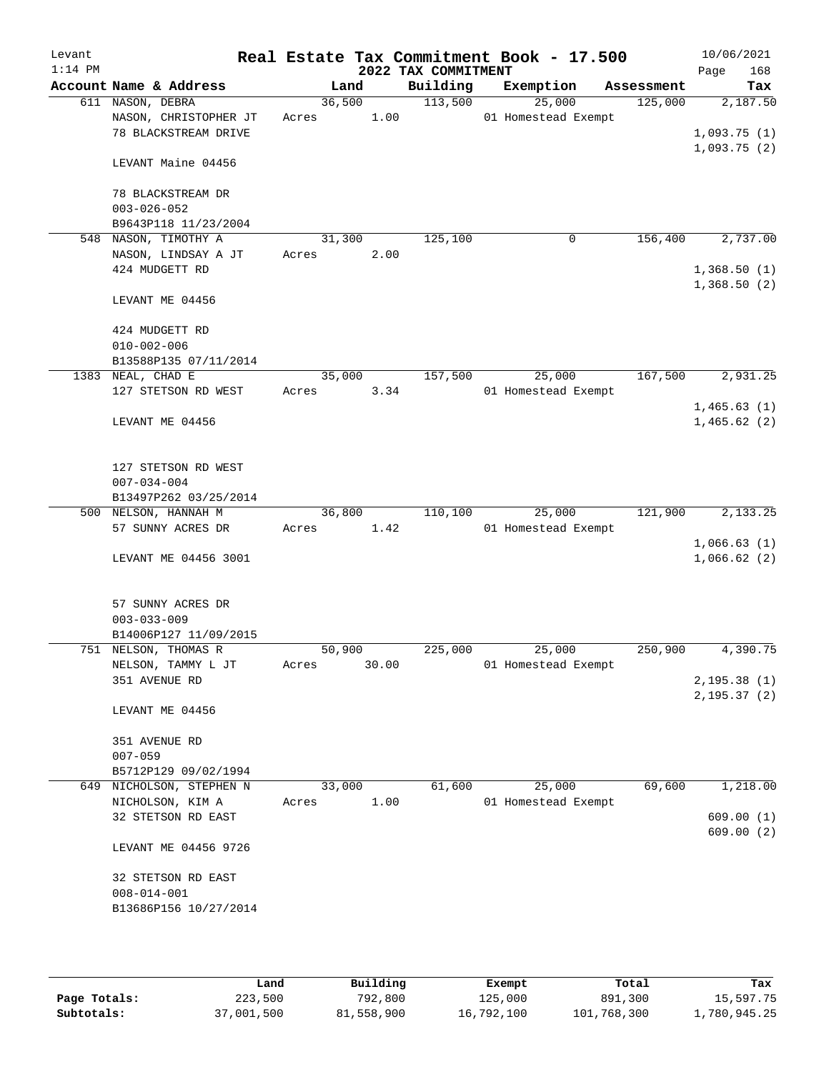| Levant<br>$1:14$ PM |                                            |        |       | 2022 TAX COMMITMENT | Real Estate Tax Commitment Book - 17.500 |            | 10/06/2021<br>168<br>Page    |
|---------------------|--------------------------------------------|--------|-------|---------------------|------------------------------------------|------------|------------------------------|
|                     | Account Name & Address                     |        | Land  | Building            | Exemption                                | Assessment | Tax                          |
|                     | 611 NASON, DEBRA                           | 36,500 |       | 113,500             | 25,000                                   | 125,000    | 2,187.50                     |
|                     | NASON, CHRISTOPHER JT                      | Acres  | 1.00  |                     | 01 Homestead Exempt                      |            |                              |
|                     | 78 BLACKSTREAM DRIVE                       |        |       |                     |                                          |            | 1,093.75(1)                  |
|                     |                                            |        |       |                     |                                          |            | 1,093.75(2)                  |
|                     | LEVANT Maine 04456                         |        |       |                     |                                          |            |                              |
|                     |                                            |        |       |                     |                                          |            |                              |
|                     | 78 BLACKSTREAM DR                          |        |       |                     |                                          |            |                              |
|                     | $003 - 026 - 052$                          |        |       |                     |                                          |            |                              |
|                     | B9643P118 11/23/2004                       |        |       |                     |                                          |            |                              |
|                     | 548 NASON, TIMOTHY A                       | 31,300 |       | 125,100             | $\mathbf 0$                              | 156,400    | 2,737.00                     |
|                     | NASON, LINDSAY A JT                        | Acres  | 2.00  |                     |                                          |            |                              |
|                     | 424 MUDGETT RD                             |        |       |                     |                                          |            | 1,368.50(1)                  |
|                     |                                            |        |       |                     |                                          |            | 1,368.50(2)                  |
|                     | LEVANT ME 04456                            |        |       |                     |                                          |            |                              |
|                     |                                            |        |       |                     |                                          |            |                              |
|                     | 424 MUDGETT RD                             |        |       |                     |                                          |            |                              |
|                     | $010 - 002 - 006$                          |        |       |                     |                                          |            |                              |
|                     | B13588P135 07/11/2014<br>1383 NEAL, CHAD E | 35,000 |       | 157,500             | 25,000                                   | 167,500    | 2,931.25                     |
|                     | 127 STETSON RD WEST                        | Acres  | 3.34  |                     | 01 Homestead Exempt                      |            |                              |
|                     |                                            |        |       |                     |                                          |            | 1,465.63(1)                  |
|                     | LEVANT ME 04456                            |        |       |                     |                                          |            | 1,465.62(2)                  |
|                     |                                            |        |       |                     |                                          |            |                              |
|                     |                                            |        |       |                     |                                          |            |                              |
|                     | 127 STETSON RD WEST                        |        |       |                     |                                          |            |                              |
|                     | $007 - 034 - 004$                          |        |       |                     |                                          |            |                              |
|                     | B13497P262 03/25/2014                      |        |       |                     |                                          |            |                              |
|                     | 500 NELSON, HANNAH M                       | 36,800 |       | 110,100             | 25,000                                   | 121,900    | 2,133.25                     |
|                     | 57 SUNNY ACRES DR                          | Acres  | 1.42  |                     | 01 Homestead Exempt                      |            |                              |
|                     |                                            |        |       |                     |                                          |            | 1,066.63(1)                  |
|                     | LEVANT ME 04456 3001                       |        |       |                     |                                          |            | 1,066.62(2)                  |
|                     |                                            |        |       |                     |                                          |            |                              |
|                     |                                            |        |       |                     |                                          |            |                              |
|                     | 57 SUNNY ACRES DR                          |        |       |                     |                                          |            |                              |
|                     | $003 - 033 - 009$                          |        |       |                     |                                          |            |                              |
|                     | B14006P127 11/09/2015                      |        |       |                     |                                          |            |                              |
|                     | 751 NELSON, THOMAS R                       | 50,900 |       | 225,000             | 25,000                                   | 250,900    | 4,390.75                     |
|                     | NELSON, TAMMY L JT                         | Acres  | 30.00 |                     | 01 Homestead Exempt                      |            |                              |
|                     | 351 AVENUE RD                              |        |       |                     |                                          |            | 2,195.38(1)<br>2, 195.37 (2) |
|                     | LEVANT ME 04456                            |        |       |                     |                                          |            |                              |
|                     |                                            |        |       |                     |                                          |            |                              |
|                     | 351 AVENUE RD                              |        |       |                     |                                          |            |                              |
|                     | $007 - 059$                                |        |       |                     |                                          |            |                              |
|                     | B5712P129 09/02/1994                       |        |       |                     |                                          |            |                              |
|                     | 649 NICHOLSON, STEPHEN N                   | 33,000 |       | 61,600              | 25,000                                   | 69,600     | 1,218.00                     |
|                     | NICHOLSON, KIM A                           | Acres  | 1.00  |                     | 01 Homestead Exempt                      |            |                              |
|                     | 32 STETSON RD EAST                         |        |       |                     |                                          |            | 609.00(1)                    |
|                     |                                            |        |       |                     |                                          |            | 609.00(2)                    |
|                     | LEVANT ME 04456 9726                       |        |       |                     |                                          |            |                              |
|                     |                                            |        |       |                     |                                          |            |                              |
|                     | 32 STETSON RD EAST                         |        |       |                     |                                          |            |                              |
|                     | $008 - 014 - 001$                          |        |       |                     |                                          |            |                              |
|                     | B13686P156 10/27/2014                      |        |       |                     |                                          |            |                              |
|                     |                                            |        |       |                     |                                          |            |                              |
|                     |                                            |        |       |                     |                                          |            |                              |

|              | Land       | Building   | Exempt     | Total       | Tax          |
|--------------|------------|------------|------------|-------------|--------------|
| Page Totals: | 223,500    | 792,800    | 125,000    | 891,300     | 15,597.75    |
| Subtotals:   | 37,001,500 | 81,558,900 | 16,792,100 | 101,768,300 | 1,780,945.25 |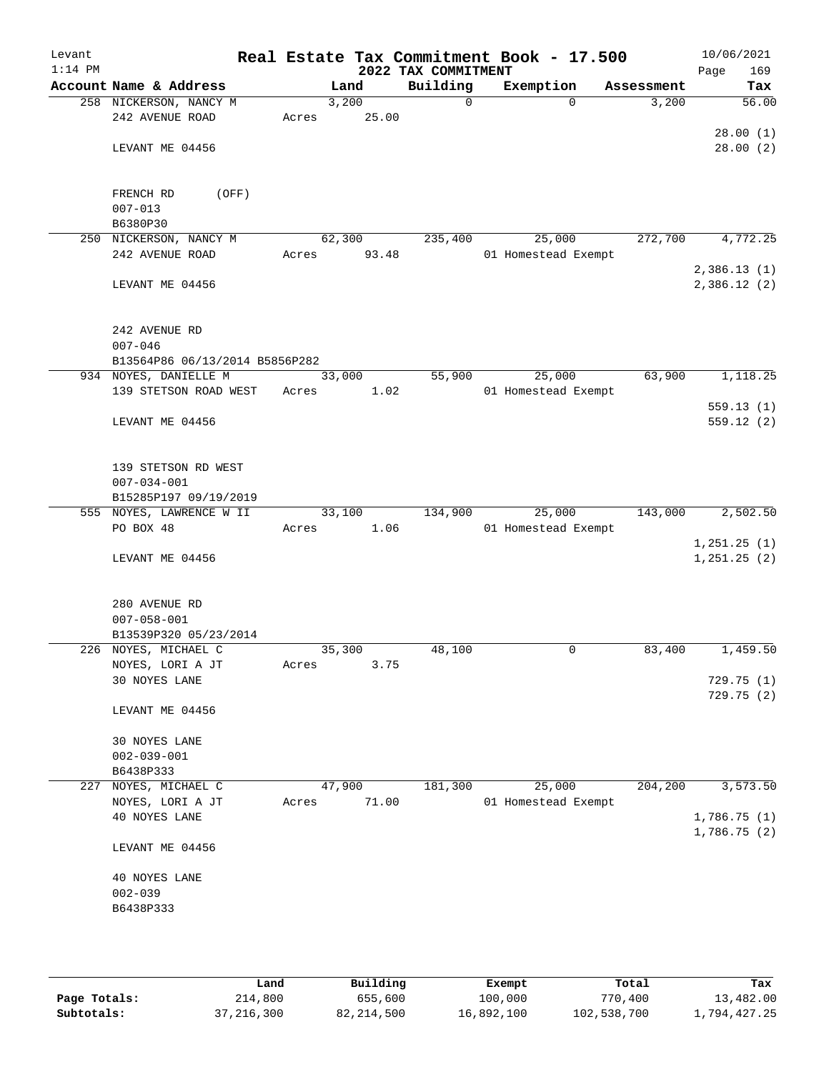| Levant<br>$1:14$ PM |                                                                |       |                 | 2022 TAX COMMITMENT | Real Estate Tax Commitment Book - 17.500 |            | 10/06/2021<br>Page<br>169     |
|---------------------|----------------------------------------------------------------|-------|-----------------|---------------------|------------------------------------------|------------|-------------------------------|
|                     | Account Name & Address                                         |       | Land            | Building            | Exemption                                | Assessment | Tax                           |
|                     | 258 NICKERSON, NANCY M                                         |       | 3,200           | $\mathbf 0$         | $\Omega$                                 | 3,200      | 56.00                         |
|                     | 242 AVENUE ROAD                                                | Acres | 25.00           |                     |                                          |            | 28.00(1)                      |
|                     | LEVANT ME 04456                                                |       |                 |                     |                                          |            | 28.00(2)                      |
|                     | FRENCH RD<br>(OFF)<br>$007 - 013$                              |       |                 |                     |                                          |            |                               |
|                     | B6380P30                                                       |       |                 |                     |                                          |            |                               |
|                     | 250 NICKERSON, NANCY M<br>242 AVENUE ROAD                      | Acres | 62,300<br>93.48 | 235,400             | 25,000<br>01 Homestead Exempt            | 272,700    | 4,772.25                      |
|                     | LEVANT ME 04456                                                |       |                 |                     |                                          |            | 2,386.13(1)<br>2,386.12(2)    |
|                     | 242 AVENUE RD<br>$007 - 046$<br>B13564P86 06/13/2014 B5856P282 |       |                 |                     |                                          |            |                               |
|                     | 934 NOYES, DANIELLE M                                          |       | 33,000          | 55,900              | 25,000                                   | 63,900     | 1,118.25                      |
|                     | 139 STETSON ROAD WEST                                          | Acres | 1.02            |                     | 01 Homestead Exempt                      |            |                               |
|                     | LEVANT ME 04456                                                |       |                 |                     |                                          |            | 559.13(1)<br>559.12(2)        |
|                     | 139 STETSON RD WEST<br>$007 - 034 - 001$                       |       |                 |                     |                                          |            |                               |
|                     | B15285P197 09/19/2019                                          |       |                 |                     |                                          |            |                               |
|                     | 555 NOYES, LAWRENCE W II                                       |       | 33,100          | 134,900             | 25,000                                   | 143,000    | 2,502.50                      |
|                     | PO BOX 48                                                      | Acres | 1.06            |                     | 01 Homestead Exempt                      |            |                               |
|                     | LEVANT ME 04456                                                |       |                 |                     |                                          |            | 1, 251.25(1)<br>1, 251.25 (2) |
|                     | 280 AVENUE RD<br>$007 - 058 - 001$<br>B13539P320 05/23/2014    |       |                 |                     |                                          |            |                               |
|                     | 226 NOYES, MICHAEL C                                           |       | 35,300          | 48,100              | 0                                        | 83,400     | 1,459.50                      |
|                     | NOYES, LORI A JT                                               | Acres | 3.75            |                     |                                          |            |                               |
|                     | 30 NOYES LANE                                                  |       |                 |                     |                                          |            | 729.75(1)                     |
|                     | LEVANT ME 04456                                                |       |                 |                     |                                          |            | 729.75 (2)                    |
|                     | 30 NOYES LANE<br>$002 - 039 - 001$                             |       |                 |                     |                                          |            |                               |
|                     | B6438P333                                                      |       |                 |                     |                                          |            |                               |
|                     | 227 NOYES, MICHAEL C                                           |       | 47,900          | 181,300             | 25,000                                   | 204,200    | 3,573.50                      |
|                     | NOYES, LORI A JT                                               | Acres | 71.00           |                     | 01 Homestead Exempt                      |            |                               |
|                     | 40 NOYES LANE                                                  |       |                 |                     |                                          |            | 1,786.75(1)<br>1,786.75(2)    |
|                     | LEVANT ME 04456                                                |       |                 |                     |                                          |            |                               |
|                     | 40 NOYES LANE                                                  |       |                 |                     |                                          |            |                               |
|                     | $002 - 039$                                                    |       |                 |                     |                                          |            |                               |
|                     | B6438P333                                                      |       |                 |                     |                                          |            |                               |
|                     |                                                                |       |                 |                     |                                          |            |                               |

|              | Land         | Building   | Exempt     | Total       | Tax          |
|--------------|--------------|------------|------------|-------------|--------------|
| Page Totals: | 214,800      | 655,600    | 100,000    | 770,400     | 13,482.00    |
| Subtotals:   | 37, 216, 300 | 82,214,500 | 16,892,100 | 102,538,700 | 1,794,427.25 |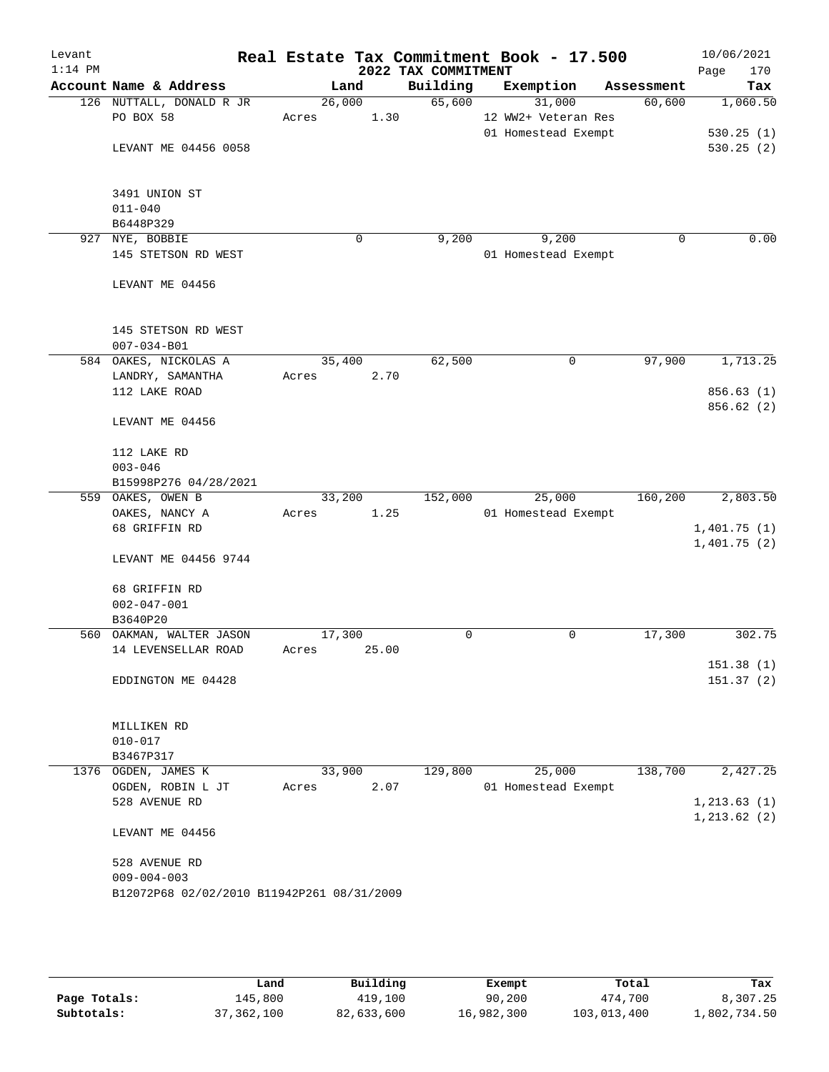| Levant<br>$1:14$ PM |                                                 |                 |       | 2022 TAX COMMITMENT | Real Estate Tax Commitment Book - 17.500 |            | 10/06/2021<br>170<br>Page |
|---------------------|-------------------------------------------------|-----------------|-------|---------------------|------------------------------------------|------------|---------------------------|
|                     | Account Name & Address                          | Land            |       | Building            | Exemption                                | Assessment | Tax                       |
|                     | 126 NUTTALL, DONALD R JR                        | 26,000          |       | 65,600              | 31,000                                   | 60,600     | 1,060.50                  |
|                     | PO BOX 58                                       | Acres           | 1.30  |                     | 12 WW2+ Veteran Res                      |            |                           |
|                     |                                                 |                 |       |                     | 01 Homestead Exempt                      |            | 530.25(1)                 |
|                     | LEVANT ME 04456 0058                            |                 |       |                     |                                          |            | 530.25(2)                 |
|                     |                                                 |                 |       |                     |                                          |            |                           |
|                     |                                                 |                 |       |                     |                                          |            |                           |
|                     | 3491 UNION ST                                   |                 |       |                     |                                          |            |                           |
|                     | $011 - 040$                                     |                 |       |                     |                                          |            |                           |
|                     | B6448P329                                       |                 |       |                     |                                          |            |                           |
| 927                 | NYE, BOBBIE                                     |                 | 0     | 9,200               | 9,200                                    |            | 0.00<br>0                 |
|                     | 145 STETSON RD WEST                             |                 |       |                     | 01 Homestead Exempt                      |            |                           |
|                     |                                                 |                 |       |                     |                                          |            |                           |
|                     | LEVANT ME 04456                                 |                 |       |                     |                                          |            |                           |
|                     |                                                 |                 |       |                     |                                          |            |                           |
|                     | 145 STETSON RD WEST                             |                 |       |                     |                                          |            |                           |
|                     | $007 - 034 - B01$                               |                 |       |                     |                                          |            |                           |
|                     | 584 OAKES, NICKOLAS A                           | 35,400          |       | 62,500              | 0                                        | 97,900     | 1,713.25                  |
|                     | LANDRY, SAMANTHA                                | Acres           | 2.70  |                     |                                          |            |                           |
|                     | 112 LAKE ROAD                                   |                 |       |                     |                                          |            | 856.63(1)                 |
|                     |                                                 |                 |       |                     |                                          |            | 856.62 (2)                |
|                     | LEVANT ME 04456                                 |                 |       |                     |                                          |            |                           |
|                     |                                                 |                 |       |                     |                                          |            |                           |
|                     | 112 LAKE RD                                     |                 |       |                     |                                          |            |                           |
|                     | $003 - 046$                                     |                 |       |                     |                                          |            |                           |
|                     | B15998P276 04/28/2021                           |                 |       |                     |                                          |            |                           |
|                     | 559 OAKES, OWEN B                               | 33,200          |       | 152,000             | 25,000                                   | 160,200    | 2,803.50                  |
|                     | OAKES, NANCY A                                  | Acres           | 1.25  |                     | 01 Homestead Exempt                      |            |                           |
|                     | 68 GRIFFIN RD                                   |                 |       |                     |                                          |            | 1,401.75(1)               |
|                     |                                                 |                 |       |                     |                                          |            | 1,401.75(2)               |
|                     | LEVANT ME 04456 9744                            |                 |       |                     |                                          |            |                           |
|                     |                                                 |                 |       |                     |                                          |            |                           |
|                     | 68 GRIFFIN RD                                   |                 |       |                     |                                          |            |                           |
|                     | $002 - 047 - 001$                               |                 |       |                     |                                          |            |                           |
|                     | B3640P20                                        |                 |       | 0                   | 0                                        | 17,300     | 302.75                    |
|                     | 560 OAKMAN, WALTER JASON<br>14 LEVENSELLAR ROAD | 17,300<br>Acres | 25.00 |                     |                                          |            |                           |
|                     |                                                 |                 |       |                     |                                          |            | 151.38 (1)                |
|                     | EDDINGTON ME 04428                              |                 |       |                     |                                          |            | 151.37(2)                 |
|                     |                                                 |                 |       |                     |                                          |            |                           |
|                     |                                                 |                 |       |                     |                                          |            |                           |
|                     | MILLIKEN RD                                     |                 |       |                     |                                          |            |                           |
|                     | $010 - 017$                                     |                 |       |                     |                                          |            |                           |
|                     | B3467P317                                       |                 |       |                     |                                          |            |                           |
|                     | 1376 OGDEN, JAMES K                             | 33,900          |       | 129,800             | 25,000                                   | 138,700    | 2,427.25                  |
|                     | OGDEN, ROBIN L JT                               | Acres           | 2.07  |                     | 01 Homestead Exempt                      |            |                           |
|                     | 528 AVENUE RD                                   |                 |       |                     |                                          |            | 1, 213.63(1)              |
|                     |                                                 |                 |       |                     |                                          |            | 1, 213.62(2)              |
|                     | LEVANT ME 04456                                 |                 |       |                     |                                          |            |                           |
|                     |                                                 |                 |       |                     |                                          |            |                           |
|                     | 528 AVENUE RD                                   |                 |       |                     |                                          |            |                           |
|                     | $009 - 004 - 003$                               |                 |       |                     |                                          |            |                           |
|                     | B12072P68 02/02/2010 B11942P261 08/31/2009      |                 |       |                     |                                          |            |                           |
|                     |                                                 |                 |       |                     |                                          |            |                           |
|                     |                                                 |                 |       |                     |                                          |            |                           |

|              | Land         | Building   | Exempt     | Total       | Tax          |
|--------------|--------------|------------|------------|-------------|--------------|
| Page Totals: | 145,800      | 419,100    | 90,200     | 474,700     | 8,307.25     |
| Subtotals:   | 37, 362, 100 | 82,633,600 | 16,982,300 | 103,013,400 | 1,802,734.50 |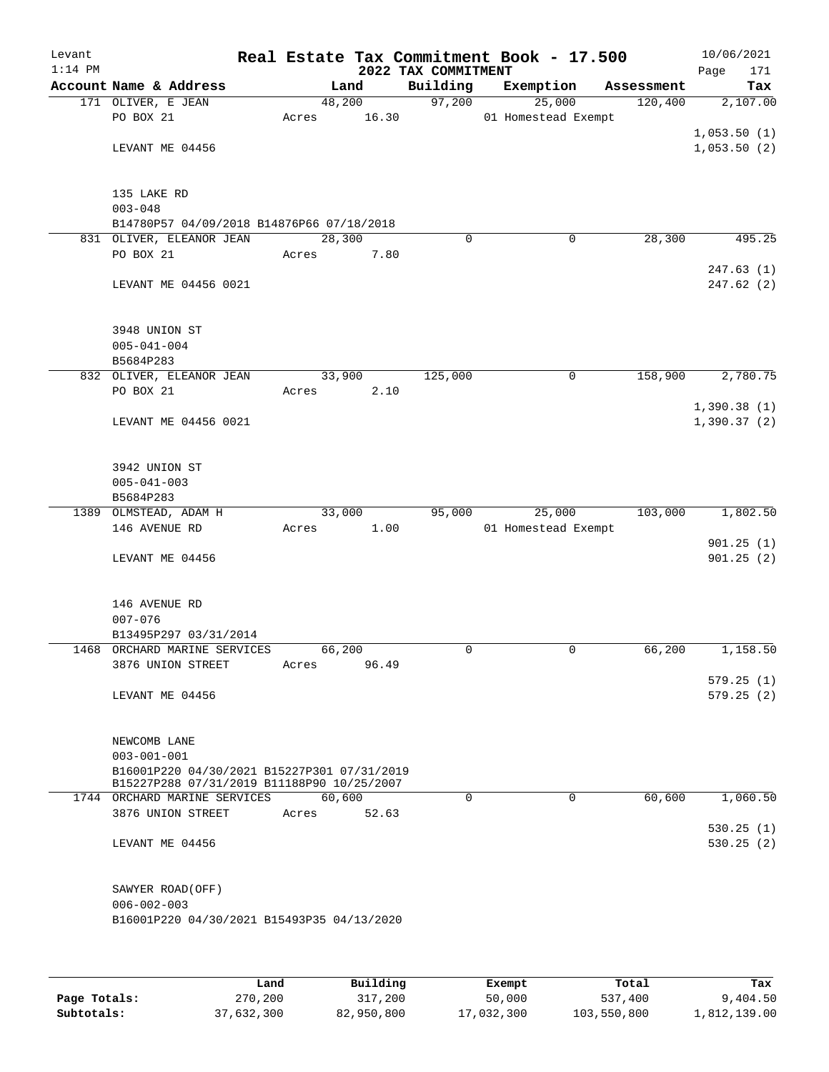| Levant    |                                                                            |       |                |                                 | Real Estate Tax Commitment Book - 17.500 |            | 10/06/2021             |
|-----------|----------------------------------------------------------------------------|-------|----------------|---------------------------------|------------------------------------------|------------|------------------------|
| $1:14$ PM | Account Name & Address                                                     |       | Land           | 2022 TAX COMMITMENT<br>Building | Exemption                                | Assessment | 171<br>Page<br>Tax     |
|           | 171 OLIVER, E JEAN                                                         |       | 48,200         | 97,200                          | 25,000                                   | 120,400    | 2,107.00               |
|           | PO BOX 21                                                                  | Acres | 16.30          |                                 | 01 Homestead Exempt                      |            |                        |
|           |                                                                            |       |                |                                 |                                          |            | 1,053.50(1)            |
|           | LEVANT ME 04456                                                            |       |                |                                 |                                          |            | 1,053.50(2)            |
|           |                                                                            |       |                |                                 |                                          |            |                        |
|           |                                                                            |       |                |                                 |                                          |            |                        |
|           | 135 LAKE RD                                                                |       |                |                                 |                                          |            |                        |
|           | $003 - 048$                                                                |       |                |                                 |                                          |            |                        |
|           | B14780P57 04/09/2018 B14876P66 07/18/2018<br>831 OLIVER, ELEANOR JEAN      |       | 28,300         | $\Omega$                        | 0                                        | 28,300     | 495.25                 |
|           | PO BOX 21                                                                  | Acres | 7.80           |                                 |                                          |            |                        |
|           |                                                                            |       |                |                                 |                                          |            | 247.63(1)              |
|           | LEVANT ME 04456 0021                                                       |       |                |                                 |                                          |            | 247.62 (2)             |
|           |                                                                            |       |                |                                 |                                          |            |                        |
|           |                                                                            |       |                |                                 |                                          |            |                        |
|           | 3948 UNION ST                                                              |       |                |                                 |                                          |            |                        |
|           | $005 - 041 - 004$                                                          |       |                |                                 |                                          |            |                        |
|           | B5684P283                                                                  |       |                |                                 |                                          |            |                        |
|           | 832 OLIVER, ELEANOR JEAN<br>PO BOX 21                                      | Acres | 33,900<br>2.10 | 125,000                         | 0                                        | 158,900    | 2,780.75               |
|           |                                                                            |       |                |                                 |                                          |            | 1,390.38(1)            |
|           | LEVANT ME 04456 0021                                                       |       |                |                                 |                                          |            | 1,390.37(2)            |
|           |                                                                            |       |                |                                 |                                          |            |                        |
|           |                                                                            |       |                |                                 |                                          |            |                        |
|           | 3942 UNION ST                                                              |       |                |                                 |                                          |            |                        |
|           | $005 - 041 - 003$                                                          |       |                |                                 |                                          |            |                        |
|           | B5684P283                                                                  |       |                |                                 |                                          |            |                        |
|           | 1389 OLMSTEAD, ADAM H                                                      |       | 33,000         | 95,000                          | 25,000                                   | 103,000    | 1,802.50               |
|           | 146 AVENUE RD                                                              | Acres | 1.00           |                                 | 01 Homestead Exempt                      |            |                        |
|           | LEVANT ME 04456                                                            |       |                |                                 |                                          |            | 901.25(1)<br>901.25(2) |
|           |                                                                            |       |                |                                 |                                          |            |                        |
|           |                                                                            |       |                |                                 |                                          |            |                        |
|           | 146 AVENUE RD                                                              |       |                |                                 |                                          |            |                        |
|           | $007 - 076$                                                                |       |                |                                 |                                          |            |                        |
|           | B13495P297 03/31/2014                                                      |       |                |                                 |                                          |            |                        |
|           | 1468 ORCHARD MARINE SERVICES                                               |       | 66,200         | $\mathbf 0$                     | 0                                        | 66,200     | 1,158.50               |
|           | 3876 UNION STREET                                                          | Acres | 96.49          |                                 |                                          |            |                        |
|           | LEVANT ME 04456                                                            |       |                |                                 |                                          |            | 579.25(1)<br>579.25(2) |
|           |                                                                            |       |                |                                 |                                          |            |                        |
|           |                                                                            |       |                |                                 |                                          |            |                        |
|           | NEWCOMB LANE                                                               |       |                |                                 |                                          |            |                        |
|           | $003 - 001 - 001$                                                          |       |                |                                 |                                          |            |                        |
|           | B16001P220 04/30/2021 B15227P301 07/31/2019                                |       |                |                                 |                                          |            |                        |
|           | B15227P288 07/31/2019 B11188P90 10/25/2007<br>1744 ORCHARD MARINE SERVICES |       | 60,600         | $\Omega$                        | $\Omega$                                 | 60,600     | 1,060.50               |
|           | 3876 UNION STREET                                                          | Acres | 52.63          |                                 |                                          |            |                        |
|           |                                                                            |       |                |                                 |                                          |            | 530.25(1)              |
|           | LEVANT ME 04456                                                            |       |                |                                 |                                          |            | 530.25(2)              |
|           |                                                                            |       |                |                                 |                                          |            |                        |
|           |                                                                            |       |                |                                 |                                          |            |                        |
|           | SAWYER ROAD (OFF)                                                          |       |                |                                 |                                          |            |                        |
|           | $006 - 002 - 003$                                                          |       |                |                                 |                                          |            |                        |
|           | B16001P220 04/30/2021 B15493P35 04/13/2020                                 |       |                |                                 |                                          |            |                        |
|           |                                                                            |       |                |                                 |                                          |            |                        |
|           |                                                                            |       |                |                                 |                                          |            |                        |
|           |                                                                            |       |                |                                 |                                          |            |                        |

|              | Land       | Building   | Exempt     | Total       | Tax          |
|--------------|------------|------------|------------|-------------|--------------|
| Page Totals: | 270,200    | 317,200    | 50,000     | 537,400     | 9,404.50     |
| Subtotals:   | 37,632,300 | 82,950,800 | 17,032,300 | 103,550,800 | 1,812,139.00 |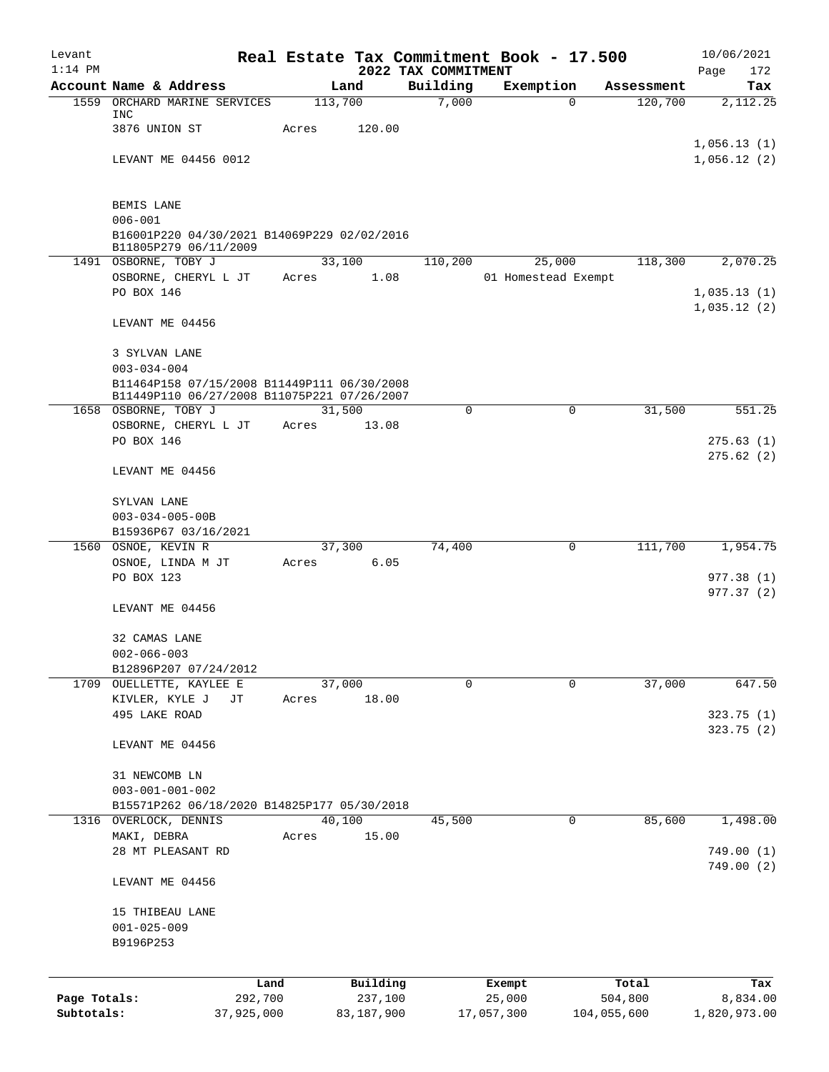| Levant                     |                                                                                            |                 |                       |                                 | Real Estate Tax Commitment Book - 17.500 |                        | 10/06/2021                 |
|----------------------------|--------------------------------------------------------------------------------------------|-----------------|-----------------------|---------------------------------|------------------------------------------|------------------------|----------------------------|
| $1:14$ PM                  | Account Name & Address                                                                     |                 | Land                  | 2022 TAX COMMITMENT<br>Building | Exemption                                | Assessment             | Page<br>172<br>Tax         |
|                            | 1559 ORCHARD MARINE SERVICES                                                               | 113,700         |                       | 7,000                           |                                          | 120,700<br>$\mathbf 0$ | 2,112.25                   |
|                            | INC                                                                                        |                 |                       |                                 |                                          |                        |                            |
|                            | 3876 UNION ST                                                                              | Acres           | 120.00                |                                 |                                          |                        | 1,056.13(1)                |
|                            | LEVANT ME 04456 0012                                                                       |                 |                       |                                 |                                          |                        | 1,056.12(2)                |
|                            |                                                                                            |                 |                       |                                 |                                          |                        |                            |
|                            | BEMIS LANE                                                                                 |                 |                       |                                 |                                          |                        |                            |
|                            | $006 - 001$                                                                                |                 |                       |                                 |                                          |                        |                            |
|                            | B16001P220 04/30/2021 B14069P229 02/02/2016<br>B11805P279 06/11/2009                       |                 |                       |                                 |                                          |                        |                            |
|                            | 1491 OSBORNE, TOBY J                                                                       |                 | 33,100                | 110,200                         | 25,000                                   | 118,300                | 2,070.25                   |
|                            | OSBORNE, CHERYL L JT                                                                       | Acres           | 1.08                  |                                 | 01 Homestead Exempt                      |                        |                            |
|                            | PO BOX 146                                                                                 |                 |                       |                                 |                                          |                        | 1,035.13(1)<br>1,035.12(2) |
|                            | LEVANT ME 04456                                                                            |                 |                       |                                 |                                          |                        |                            |
|                            | 3 SYLVAN LANE                                                                              |                 |                       |                                 |                                          |                        |                            |
|                            | $003 - 034 - 004$                                                                          |                 |                       |                                 |                                          |                        |                            |
|                            | B11464P158 07/15/2008 B11449P111 06/30/2008<br>B11449P110 06/27/2008 B11075P221 07/26/2007 |                 |                       |                                 |                                          |                        |                            |
|                            | 1658 OSBORNE, TOBY J                                                                       | 31,500          |                       | 0                               |                                          | 31,500<br>0            | 551.25                     |
|                            | OSBORNE, CHERYL L JT                                                                       | Acres           | 13.08                 |                                 |                                          |                        |                            |
|                            | PO BOX 146                                                                                 |                 |                       |                                 |                                          |                        | 275.63(1)                  |
|                            | LEVANT ME 04456                                                                            |                 |                       |                                 |                                          |                        | 275.62(2)                  |
|                            | SYLVAN LANE                                                                                |                 |                       |                                 |                                          |                        |                            |
|                            | $003 - 034 - 005 - 00B$                                                                    |                 |                       |                                 |                                          |                        |                            |
|                            | B15936P67 03/16/2021                                                                       |                 |                       |                                 |                                          |                        |                            |
| 1560                       | OSNOE, KEVIN R                                                                             |                 | 37,300                | 74,400                          |                                          | 111,700<br>0           | 1,954.75                   |
|                            | OSNOE, LINDA M JT<br>PO BOX 123                                                            | Acres           | 6.05                  |                                 |                                          |                        |                            |
|                            |                                                                                            |                 |                       |                                 |                                          |                        | 977.38 (1)<br>977.37 (2)   |
|                            | LEVANT ME 04456                                                                            |                 |                       |                                 |                                          |                        |                            |
|                            | 32 CAMAS LANE                                                                              |                 |                       |                                 |                                          |                        |                            |
|                            | $002 - 066 - 003$                                                                          |                 |                       |                                 |                                          |                        |                            |
|                            | B12896P207 07/24/2012                                                                      |                 |                       |                                 |                                          |                        |                            |
|                            | 1709 OUELLETTE, KAYLEE E<br>KIVLER, KYLE J<br>JТ                                           | 37,000<br>Acres | 18.00                 | 0                               |                                          | 37,000<br>0            | 647.50                     |
|                            | 495 LAKE ROAD                                                                              |                 |                       |                                 |                                          |                        | 323.75(1)                  |
|                            |                                                                                            |                 |                       |                                 |                                          |                        | 323.75(2)                  |
|                            | LEVANT ME 04456                                                                            |                 |                       |                                 |                                          |                        |                            |
|                            | 31 NEWCOMB LN                                                                              |                 |                       |                                 |                                          |                        |                            |
|                            | $003 - 001 - 001 - 002$                                                                    |                 |                       |                                 |                                          |                        |                            |
|                            | B15571P262 06/18/2020 B14825P177 05/30/2018                                                |                 |                       |                                 |                                          |                        |                            |
|                            | 1316 OVERLOCK, DENNIS                                                                      | 40,100          |                       | 45,500                          |                                          | 85,600<br>0            | 1,498.00                   |
|                            | MAKI, DEBRA<br>28 MT PLEASANT RD                                                           | Acres           | 15.00                 |                                 |                                          |                        | 749.00(1)                  |
|                            |                                                                                            |                 |                       |                                 |                                          |                        | 749.00(2)                  |
|                            | LEVANT ME 04456                                                                            |                 |                       |                                 |                                          |                        |                            |
|                            | 15 THIBEAU LANE                                                                            |                 |                       |                                 |                                          |                        |                            |
|                            | $001 - 025 - 009$                                                                          |                 |                       |                                 |                                          |                        |                            |
|                            | B9196P253                                                                                  |                 |                       |                                 |                                          |                        |                            |
|                            |                                                                                            |                 |                       |                                 |                                          |                        |                            |
|                            | Land                                                                                       |                 | Building              |                                 | Exempt                                   | Total                  | Tax                        |
| Page Totals:<br>Subtotals: | 292,700<br>37,925,000                                                                      |                 | 237,100<br>83,187,900 |                                 | 25,000<br>17,057,300                     | 504,800<br>104,055,600 | 8,834.00<br>1,820,973.00   |
|                            |                                                                                            |                 |                       |                                 |                                          |                        |                            |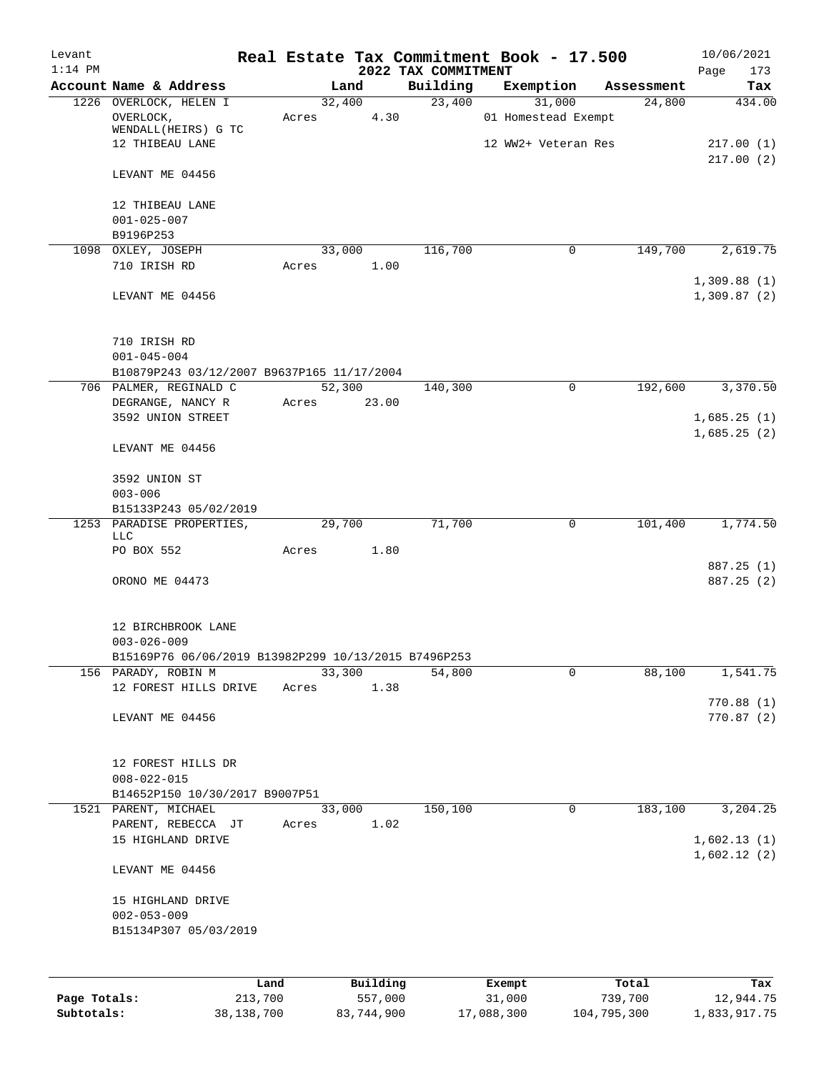| Levant<br>$1:14$ PM |                                                      |                 |          |                                 | Real Estate Tax Commitment Book - 17.500 |            | 10/06/2021             |
|---------------------|------------------------------------------------------|-----------------|----------|---------------------------------|------------------------------------------|------------|------------------------|
|                     | Account Name & Address                               | Land            |          | 2022 TAX COMMITMENT<br>Building | Exemption                                | Assessment | 173<br>Page<br>Tax     |
|                     | 1226 OVERLOCK, HELEN I                               | 32,400          |          | 23,400                          | 31,000                                   | 24,800     | 434.00                 |
|                     | OVERLOCK,                                            | Acres           | 4.30     |                                 | 01 Homestead Exempt                      |            |                        |
|                     | WENDALL(HEIRS) G TC<br>12 THIBEAU LANE               |                 |          |                                 |                                          |            |                        |
|                     |                                                      |                 |          |                                 | 12 WW2+ Veteran Res                      |            | 217.00(1)<br>217.00(2) |
|                     | LEVANT ME 04456                                      |                 |          |                                 |                                          |            |                        |
|                     |                                                      |                 |          |                                 |                                          |            |                        |
|                     | 12 THIBEAU LANE<br>$001 - 025 - 007$                 |                 |          |                                 |                                          |            |                        |
|                     | B9196P253                                            |                 |          |                                 |                                          |            |                        |
|                     | 1098 OXLEY, JOSEPH                                   | 33,000          |          | 116,700                         | 0                                        | 149,700    | 2,619.75               |
|                     | 710 IRISH RD                                         | Acres           | 1.00     |                                 |                                          |            |                        |
|                     |                                                      |                 |          |                                 |                                          |            | 1,309.88(1)            |
|                     | LEVANT ME 04456                                      |                 |          |                                 |                                          |            | 1,309.87(2)            |
|                     |                                                      |                 |          |                                 |                                          |            |                        |
|                     | 710 IRISH RD                                         |                 |          |                                 |                                          |            |                        |
|                     | $001 - 045 - 004$                                    |                 |          |                                 |                                          |            |                        |
|                     | B10879P243 03/12/2007 B9637P165 11/17/2004           |                 |          |                                 |                                          |            |                        |
|                     | 706 PALMER, REGINALD C                               | 52,300          |          | 140,300                         | $\mathbf 0$                              | 192,600    | 3,370.50               |
|                     | DEGRANGE, NANCY R<br>3592 UNION STREET               | Acres           | 23.00    |                                 |                                          |            | 1,685.25(1)            |
|                     |                                                      |                 |          |                                 |                                          |            | 1,685.25(2)            |
|                     | LEVANT ME 04456                                      |                 |          |                                 |                                          |            |                        |
|                     |                                                      |                 |          |                                 |                                          |            |                        |
|                     | 3592 UNION ST                                        |                 |          |                                 |                                          |            |                        |
|                     | $003 - 006$                                          |                 |          |                                 |                                          |            |                        |
|                     | B15133P243 05/02/2019<br>1253 PARADISE PROPERTIES,   | 29,700          |          | 71,700                          | 0                                        | 101,400    | 1,774.50               |
|                     | LLC                                                  |                 |          |                                 |                                          |            |                        |
|                     | PO BOX 552                                           | Acres           | 1.80     |                                 |                                          |            |                        |
|                     |                                                      |                 |          |                                 |                                          |            | 887.25 (1)             |
|                     | ORONO ME 04473                                       |                 |          |                                 |                                          |            | 887.25 (2)             |
|                     |                                                      |                 |          |                                 |                                          |            |                        |
|                     | 12 BIRCHBROOK LANE                                   |                 |          |                                 |                                          |            |                        |
|                     | $003 - 026 - 009$                                    |                 |          |                                 |                                          |            |                        |
|                     | B15169P76 06/06/2019 B13982P299 10/13/2015 B7496P253 |                 |          |                                 |                                          |            |                        |
|                     | 156 PARADY, ROBIN M<br>12 FOREST HILLS DRIVE         | 33,300<br>Acres | 1.38     | 54,800                          | 0                                        | 88,100     | 1,541.75               |
|                     |                                                      |                 |          |                                 |                                          |            | 770.88 (1)             |
|                     | LEVANT ME 04456                                      |                 |          |                                 |                                          |            | 770.87(2)              |
|                     |                                                      |                 |          |                                 |                                          |            |                        |
|                     |                                                      |                 |          |                                 |                                          |            |                        |
|                     | 12 FOREST HILLS DR<br>$008 - 022 - 015$              |                 |          |                                 |                                          |            |                        |
|                     | B14652P150 10/30/2017 B9007P51                       |                 |          |                                 |                                          |            |                        |
|                     | 1521 PARENT, MICHAEL                                 | 33,000          |          | 150,100                         | 0                                        | 183,100    | 3, 204.25              |
|                     | PARENT, REBECCA JT                                   | Acres           | 1.02     |                                 |                                          |            |                        |
|                     | 15 HIGHLAND DRIVE                                    |                 |          |                                 |                                          |            | 1,602.13(1)            |
|                     |                                                      |                 |          |                                 |                                          |            | 1,602.12(2)            |
|                     | LEVANT ME 04456                                      |                 |          |                                 |                                          |            |                        |
|                     | 15 HIGHLAND DRIVE                                    |                 |          |                                 |                                          |            |                        |
|                     | $002 - 053 - 009$                                    |                 |          |                                 |                                          |            |                        |
|                     | B15134P307 05/03/2019                                |                 |          |                                 |                                          |            |                        |
|                     |                                                      |                 |          |                                 |                                          |            |                        |
|                     |                                                      |                 |          |                                 |                                          |            |                        |
|                     | Land                                                 |                 | Building |                                 | Exempt                                   | Total      | Tax                    |
| Page Totals:        | 213,700                                              |                 | 557,000  |                                 | 31,000                                   | 739,700    | 12,944.75              |

**Subtotals:** 38,138,700 83,744,900 17,088,300 104,795,300 1,833,917.75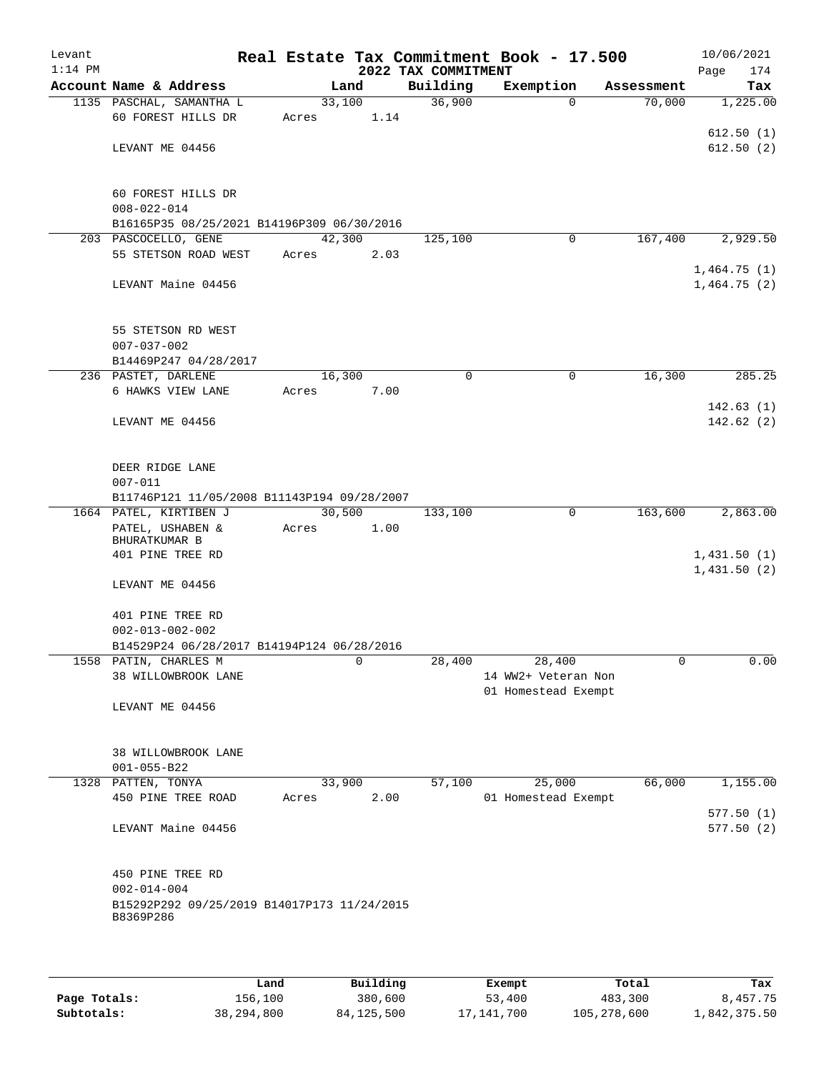| Levant<br>$1:14$ PM |                                                                     |        |      | 2022 TAX COMMITMENT | Real Estate Tax Commitment Book - 17.500 |            | 10/06/2021<br>174          |
|---------------------|---------------------------------------------------------------------|--------|------|---------------------|------------------------------------------|------------|----------------------------|
|                     | Account Name & Address                                              |        | Land | Building            | Exemption                                | Assessment | Page<br>Tax                |
|                     | 1135 PASCHAL, SAMANTHA L                                            | 33,100 |      | 36,900              | $\Omega$                                 | 70,000     | 1,225.00                   |
|                     | 60 FOREST HILLS DR                                                  | Acres  | 1.14 |                     |                                          |            |                            |
|                     |                                                                     |        |      |                     |                                          |            | 612.50(1)                  |
|                     | LEVANT ME 04456                                                     |        |      |                     |                                          |            | 612.50(2)                  |
|                     | 60 FOREST HILLS DR                                                  |        |      |                     |                                          |            |                            |
|                     | $008 - 022 - 014$                                                   |        |      |                     |                                          |            |                            |
|                     | B16165P35 08/25/2021 B14196P309 06/30/2016                          |        |      |                     |                                          |            |                            |
|                     | 203 PASCOCELLO, GENE                                                | 42,300 |      | 125,100             | 0                                        | 167,400    | 2,929.50                   |
|                     | 55 STETSON ROAD WEST                                                | Acres  | 2.03 |                     |                                          |            |                            |
|                     | LEVANT Maine 04456                                                  |        |      |                     |                                          |            | 1,464.75(1)<br>1,464.75(2) |
|                     | 55 STETSON RD WEST                                                  |        |      |                     |                                          |            |                            |
|                     | $007 - 037 - 002$                                                   |        |      |                     |                                          |            |                            |
|                     | B14469P247 04/28/2017                                               |        |      |                     |                                          |            |                            |
|                     | 236 PASTET, DARLENE                                                 | 16,300 |      | 0                   | 0                                        | 16,300     | 285.25                     |
|                     | 6 HAWKS VIEW LANE                                                   | Acres  | 7.00 |                     |                                          |            | 142.63(1)                  |
|                     | LEVANT ME 04456                                                     |        |      |                     |                                          |            | 142.62(2)                  |
|                     | DEER RIDGE LANE                                                     |        |      |                     |                                          |            |                            |
|                     | $007 - 011$                                                         |        |      |                     |                                          |            |                            |
|                     | B11746P121 11/05/2008 B11143P194 09/28/2007                         |        |      |                     |                                          |            |                            |
|                     | 1664 PATEL, KIRTIBEN J                                              | 30,500 |      | 133,100             | 0                                        | 163,600    | 2,863.00                   |
|                     | PATEL, USHABEN &<br>BHURATKUMAR B                                   | Acres  | 1.00 |                     |                                          |            |                            |
|                     | 401 PINE TREE RD                                                    |        |      |                     |                                          |            | 1,431.50(1)                |
|                     | LEVANT ME 04456                                                     |        |      |                     |                                          |            | 1,431.50(2)                |
|                     |                                                                     |        |      |                     |                                          |            |                            |
|                     | 401 PINE TREE RD                                                    |        |      |                     |                                          |            |                            |
|                     | $002 - 013 - 002 - 002$                                             |        |      |                     |                                          |            |                            |
|                     | B14529P24 06/28/2017 B14194P124 06/28/2016<br>1558 PATIN, CHARLES M |        | 0    | 28,400              | 28,400                                   | 0          | 0.00                       |
|                     | 38 WILLOWBROOK LANE                                                 |        |      |                     | 14 WW2+ Veteran Non                      |            |                            |
|                     |                                                                     |        |      |                     | 01 Homestead Exempt                      |            |                            |
|                     | LEVANT ME 04456                                                     |        |      |                     |                                          |            |                            |
|                     | 38 WILLOWBROOK LANE                                                 |        |      |                     |                                          |            |                            |
|                     | $001 - 055 - B22$                                                   |        |      |                     |                                          |            |                            |
| 1328                | PATTEN, TONYA                                                       | 33,900 |      | 57,100              | 25,000                                   | 66,000     | 1,155.00                   |
|                     | 450 PINE TREE ROAD                                                  | Acres  | 2.00 |                     | 01 Homestead Exempt                      |            |                            |
|                     | LEVANT Maine 04456                                                  |        |      |                     |                                          |            | 577.50(1)<br>577.50 (2)    |
|                     | 450 PINE TREE RD                                                    |        |      |                     |                                          |            |                            |
|                     | $002 - 014 - 004$                                                   |        |      |                     |                                          |            |                            |
|                     | B15292P292 09/25/2019 B14017P173 11/24/2015<br>B8369P286            |        |      |                     |                                          |            |                            |
|                     |                                                                     |        |      |                     |                                          |            |                            |
|                     |                                                                     |        |      |                     |                                          |            |                            |

|              | Land       | Building     | Exempt       | Total       | Tax          |
|--------------|------------|--------------|--------------|-------------|--------------|
| Page Totals: | 156,100    | 380,600      | 53,400       | 483,300     | 8,457.75     |
| Subtotals:   | 38,294,800 | 84, 125, 500 | 17, 141, 700 | 105,278,600 | 1,842,375.50 |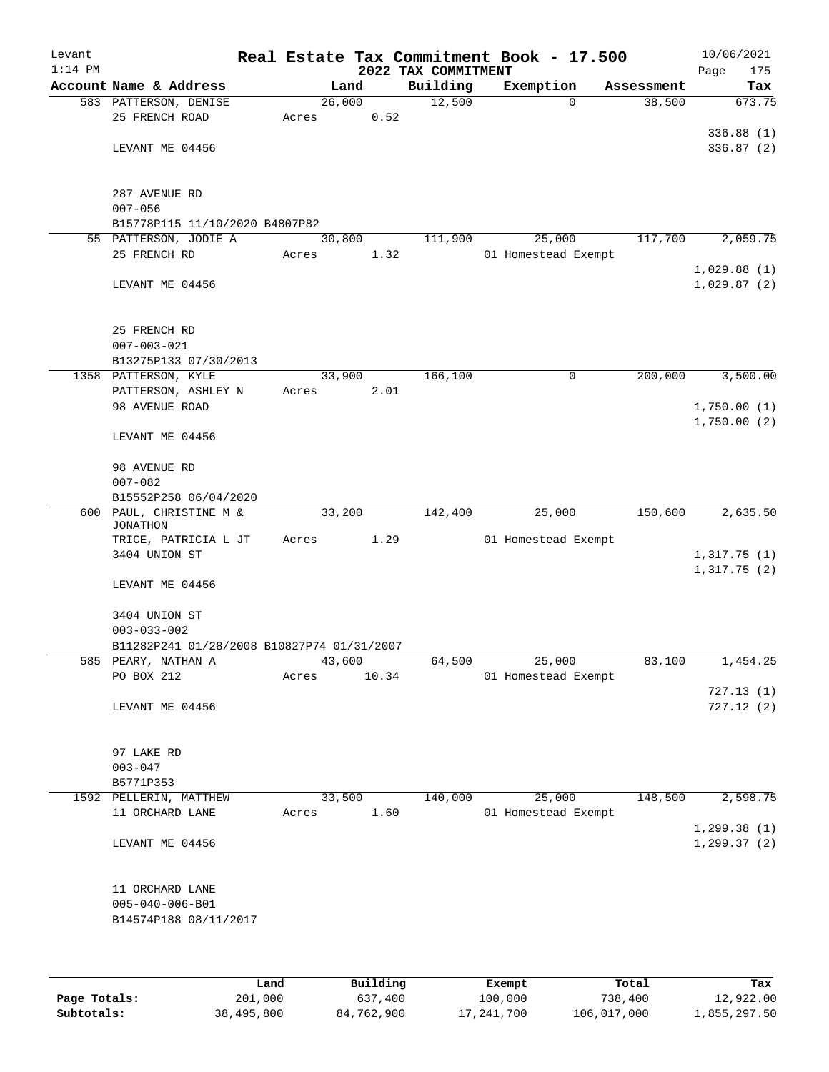| Levant    |                                                 |       |                |                     | Real Estate Tax Commitment Book - 17.500 |                      | 10/06/2021                 |
|-----------|-------------------------------------------------|-------|----------------|---------------------|------------------------------------------|----------------------|----------------------------|
| $1:14$ PM |                                                 |       |                | 2022 TAX COMMITMENT |                                          |                      | 175<br>Page                |
|           | Account Name & Address<br>583 PATTERSON, DENISE |       | Land<br>26,000 | Building<br>12,500  | Exemption<br>$\Omega$                    | Assessment<br>38,500 | Tax<br>673.75              |
|           | 25 FRENCH ROAD                                  | Acres | 0.52           |                     |                                          |                      |                            |
|           |                                                 |       |                |                     |                                          |                      | 336.88(1)                  |
|           | LEVANT ME 04456                                 |       |                |                     |                                          |                      | 336.87(2)                  |
|           |                                                 |       |                |                     |                                          |                      |                            |
|           |                                                 |       |                |                     |                                          |                      |                            |
|           | 287 AVENUE RD                                   |       |                |                     |                                          |                      |                            |
|           | $007 - 056$                                     |       |                |                     |                                          |                      |                            |
|           | B15778P115 11/10/2020 B4807P82                  |       |                |                     |                                          |                      |                            |
|           | 55 PATTERSON, JODIE A                           |       | 30,800         | 111,900             | 25,000                                   | 117,700              | 2,059.75                   |
|           | 25 FRENCH RD                                    | Acres | 1.32           |                     | 01 Homestead Exempt                      |                      |                            |
|           | LEVANT ME 04456                                 |       |                |                     |                                          |                      | 1,029.88(1)<br>1,029.87(2) |
|           |                                                 |       |                |                     |                                          |                      |                            |
|           |                                                 |       |                |                     |                                          |                      |                            |
|           | 25 FRENCH RD                                    |       |                |                     |                                          |                      |                            |
|           | $007 - 003 - 021$                               |       |                |                     |                                          |                      |                            |
|           | B13275P133 07/30/2013                           |       |                |                     |                                          |                      |                            |
|           | 1358 PATTERSON, KYLE                            |       | 33,900         | 166,100             | 0                                        | 200,000              | 3,500.00                   |
|           | PATTERSON, ASHLEY N                             | Acres | 2.01           |                     |                                          |                      |                            |
|           | 98 AVENUE ROAD                                  |       |                |                     |                                          |                      | 1,750.00(1)                |
|           |                                                 |       |                |                     |                                          |                      | 1,750.00(2)                |
|           | LEVANT ME 04456                                 |       |                |                     |                                          |                      |                            |
|           | 98 AVENUE RD                                    |       |                |                     |                                          |                      |                            |
|           | $007 - 082$                                     |       |                |                     |                                          |                      |                            |
|           | B15552P258 06/04/2020                           |       |                |                     |                                          |                      |                            |
|           | 600 PAUL, CHRISTINE M &                         |       | 33,200         | 142,400             | 25,000                                   | 150,600              | 2,635.50                   |
|           | <b>JONATHON</b>                                 |       |                |                     |                                          |                      |                            |
|           | TRICE, PATRICIA L JT                            | Acres | 1.29           |                     | 01 Homestead Exempt                      |                      |                            |
|           | 3404 UNION ST                                   |       |                |                     |                                          |                      | 1,317.75(1)                |
|           | LEVANT ME 04456                                 |       |                |                     |                                          |                      | 1,317.75(2)                |
|           |                                                 |       |                |                     |                                          |                      |                            |
|           | 3404 UNION ST                                   |       |                |                     |                                          |                      |                            |
|           | $003 - 033 - 002$                               |       |                |                     |                                          |                      |                            |
|           | B11282P241 01/28/2008 B10827P74 01/31/2007      |       |                |                     |                                          |                      |                            |
|           | 585 PEARY, NATHAN A                             |       | 43,600         | 64,500              | 25,000                                   | 83,100               | 1,454.25                   |
|           | PO BOX 212                                      | Acres | 10.34          |                     | 01 Homestead Exempt                      |                      |                            |
|           |                                                 |       |                |                     |                                          |                      | 727.13(1)                  |
|           | LEVANT ME 04456                                 |       |                |                     |                                          |                      | 727.12(2)                  |
|           |                                                 |       |                |                     |                                          |                      |                            |
|           | 97 LAKE RD                                      |       |                |                     |                                          |                      |                            |
|           | $003 - 047$                                     |       |                |                     |                                          |                      |                            |
|           | B5771P353                                       |       |                |                     |                                          |                      |                            |
|           | 1592 PELLERIN, MATTHEW                          |       | 33,500         | 140,000             | 25,000                                   | 148,500              | 2,598.75                   |
|           | 11 ORCHARD LANE                                 | Acres | 1.60           |                     | 01 Homestead Exempt                      |                      |                            |
|           |                                                 |       |                |                     |                                          |                      | 1, 299.38(1)               |
|           | LEVANT ME 04456                                 |       |                |                     |                                          |                      | 1, 299.37(2)               |
|           |                                                 |       |                |                     |                                          |                      |                            |
|           |                                                 |       |                |                     |                                          |                      |                            |
|           | 11 ORCHARD LANE                                 |       |                |                     |                                          |                      |                            |
|           | $005 - 040 - 006 - B01$                         |       |                |                     |                                          |                      |                            |
|           | B14574P188 08/11/2017                           |       |                |                     |                                          |                      |                            |
|           |                                                 |       |                |                     |                                          |                      |                            |
|           |                                                 |       |                |                     |                                          |                      |                            |
|           |                                                 |       |                |                     |                                          |                      |                            |

|              | Land       | Building   | Exempt     | Total       | Tax          |
|--------------|------------|------------|------------|-------------|--------------|
| Page Totals: | 201,000    | 637,400    | 100,000    | 738,400     | 12,922.00    |
| Subtotals:   | 38,495,800 | 84,762,900 | 17,241,700 | 106,017,000 | 1,855,297.50 |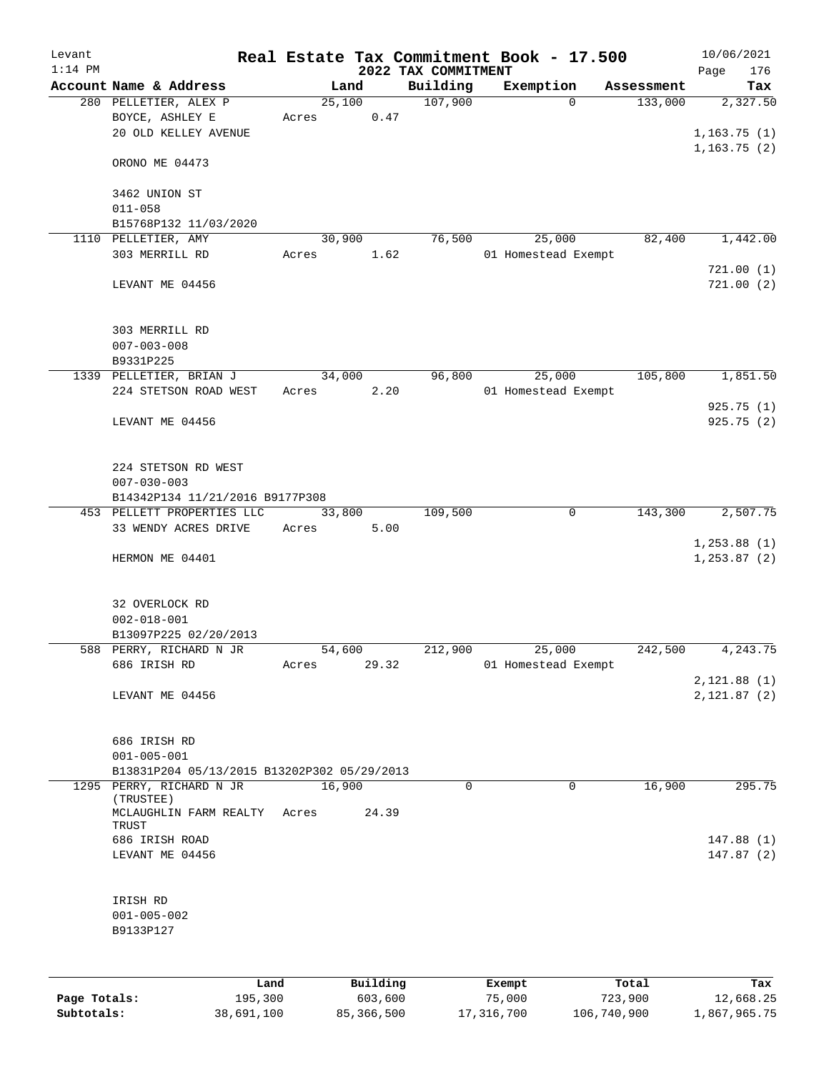| Levant       |                                                                                  |                 |                     |                     | Real Estate Tax Commitment Book - 17.500 |                       | 10/06/2021                    |
|--------------|----------------------------------------------------------------------------------|-----------------|---------------------|---------------------|------------------------------------------|-----------------------|-------------------------------|
| $1:14$ PM    |                                                                                  |                 |                     | 2022 TAX COMMITMENT |                                          |                       | 176<br>Page                   |
|              | Account Name & Address<br>280 PELLETIER, ALEX P                                  | 25,100          | Land                | Building<br>107,900 | Exemption<br>$\Omega$                    | Assessment<br>133,000 | Tax<br>2,327.50               |
|              | BOYCE, ASHLEY E<br>20 OLD KELLEY AVENUE                                          | Acres           | 0.47                |                     |                                          |                       | 1,163.75(1)                   |
|              | ORONO ME 04473                                                                   |                 |                     |                     |                                          |                       | 1, 163.75(2)                  |
|              | 3462 UNION ST<br>$011 - 058$                                                     |                 |                     |                     |                                          |                       |                               |
|              | B15768P132 11/03/2020                                                            |                 |                     |                     |                                          |                       |                               |
|              | 1110 PELLETIER, AMY                                                              | 30,900          |                     | 76,500              | 25,000                                   | 82,400                | 1,442.00                      |
|              | 303 MERRILL RD                                                                   | Acres           | 1.62                |                     | 01 Homestead Exempt                      |                       |                               |
|              | LEVANT ME 04456                                                                  |                 |                     |                     |                                          |                       | 721.00(1)<br>721.00(2)        |
|              | 303 MERRILL RD<br>$007 - 003 - 008$                                              |                 |                     |                     |                                          |                       |                               |
|              | B9331P225                                                                        |                 |                     |                     |                                          | 105,800               | 1,851.50                      |
|              | 1339 PELLETIER, BRIAN J<br>224 STETSON ROAD WEST                                 | 34,000<br>Acres | 2.20                | 96,800              | 25,000<br>01 Homestead Exempt            |                       |                               |
|              |                                                                                  |                 |                     |                     |                                          |                       | 925.75 (1)                    |
|              | LEVANT ME 04456                                                                  |                 |                     |                     |                                          |                       | 925.75(2)                     |
|              | 224 STETSON RD WEST<br>$007 - 030 - 003$                                         |                 |                     |                     |                                          |                       |                               |
|              | B14342P134 11/21/2016 B9177P308<br>453 PELLETT PROPERTIES LLC                    | 33,800          |                     | 109,500             | 0                                        | 143,300               | 2,507.75                      |
|              | 33 WENDY ACRES DRIVE                                                             | Acres           | 5.00                |                     |                                          |                       |                               |
|              | HERMON ME 04401                                                                  |                 |                     |                     |                                          |                       | 1, 253.88(1)<br>1, 253.87 (2) |
|              | 32 OVERLOCK RD<br>$002 - 018 - 001$<br>B13097P225 02/20/2013                     |                 |                     |                     |                                          |                       |                               |
|              | 588 PERRY, RICHARD N JR                                                          | 54,600          |                     | 212,900             | 25,000                                   | 242,500               | 4,243.75                      |
|              | 686 IRISH RD                                                                     | Acres           | 29.32               |                     | 01 Homestead Exempt                      |                       |                               |
|              | LEVANT ME 04456                                                                  |                 |                     |                     |                                          |                       | 2, 121.88(1)<br>2, 121.87 (2) |
|              | 686 IRISH RD<br>$001 - 005 - 001$<br>B13831P204 05/13/2015 B13202P302 05/29/2013 |                 |                     |                     |                                          |                       |                               |
|              | 1295 PERRY, RICHARD N JR                                                         | 16,900          |                     | 0                   | 0                                        | 16,900                | 295.75                        |
|              | (TRUSTEE)<br>MCLAUGHLIN FARM REALTY<br>TRUST                                     | Acres           | 24.39               |                     |                                          |                       |                               |
|              | 686 IRISH ROAD                                                                   |                 |                     |                     |                                          |                       | 147.88(1)                     |
|              | LEVANT ME 04456                                                                  |                 |                     |                     |                                          |                       | 147.87(2)                     |
|              | IRISH RD<br>$001 - 005 - 002$<br>B9133P127                                       |                 |                     |                     |                                          |                       |                               |
|              |                                                                                  |                 |                     |                     |                                          |                       |                               |
| Page Totals: | Land<br>195,300                                                                  |                 | Building<br>603,600 |                     | Exempt<br>75,000                         | Total<br>723,900      | Tax<br>12,668.25              |

**Subtotals:** 38,691,100 85,366,500 17,316,700 106,740,900 1,867,965.75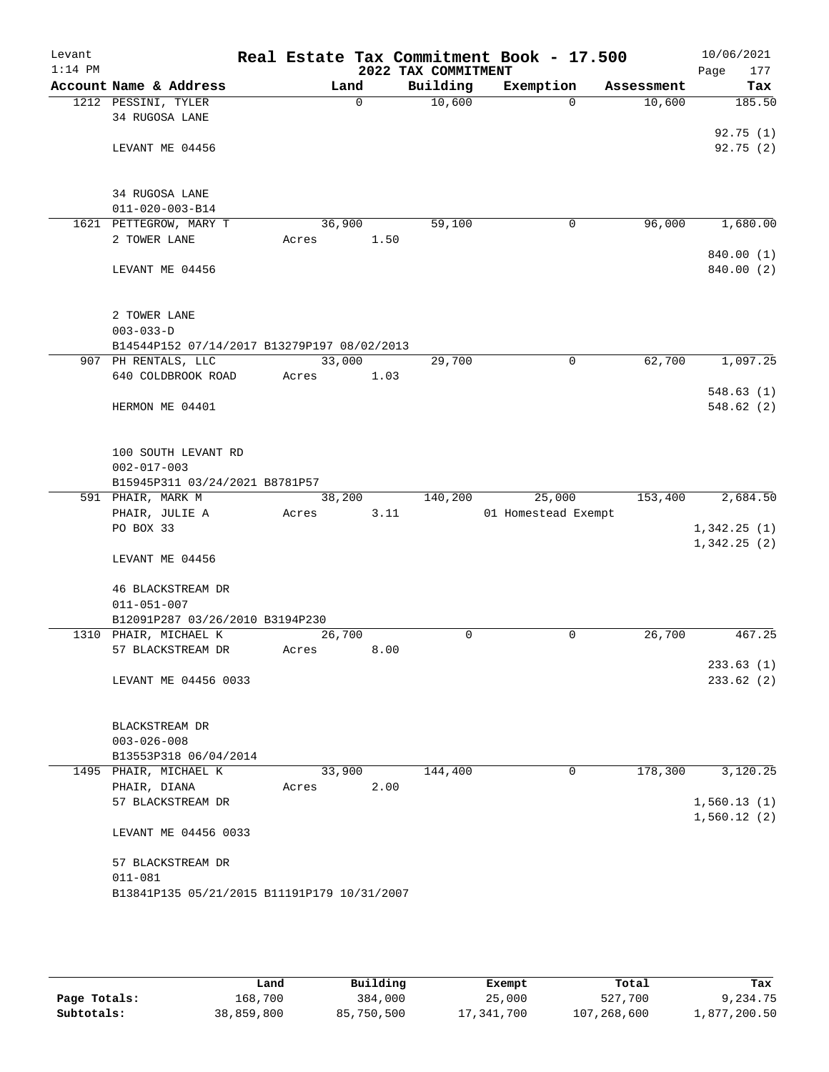| Levant    |                                             |        |          |                     | Real Estate Tax Commitment Book - 17.500 |            | 10/06/2021             |
|-----------|---------------------------------------------|--------|----------|---------------------|------------------------------------------|------------|------------------------|
| $1:14$ PM |                                             |        |          | 2022 TAX COMMITMENT |                                          |            | 177<br>Page            |
|           | Account Name & Address                      |        | Land     | Building            | Exemption                                | Assessment | Tax                    |
|           | 1212 PESSINI, TYLER                         |        | $\Omega$ | 10,600              | $\Omega$                                 | 10,600     | 185.50                 |
|           | 34 RUGOSA LANE                              |        |          |                     |                                          |            |                        |
|           |                                             |        |          |                     |                                          |            | 92.75(1)<br>92.75(2)   |
|           | LEVANT ME 04456                             |        |          |                     |                                          |            |                        |
|           |                                             |        |          |                     |                                          |            |                        |
|           | 34 RUGOSA LANE                              |        |          |                     |                                          |            |                        |
|           | $011 - 020 - 003 - B14$                     |        |          |                     |                                          |            |                        |
|           | 1621 PETTEGROW, MARY T                      | 36,900 |          | 59,100              | 0                                        | 96,000     | 1,680.00               |
|           | 2 TOWER LANE                                | Acres  | 1.50     |                     |                                          |            |                        |
|           |                                             |        |          |                     |                                          |            | 840.00 (1)             |
|           | LEVANT ME 04456                             |        |          |                     |                                          |            | 840.00 (2)             |
|           |                                             |        |          |                     |                                          |            |                        |
|           | 2 TOWER LANE                                |        |          |                     |                                          |            |                        |
|           | $003 - 033 - D$                             |        |          |                     |                                          |            |                        |
|           | B14544P152 07/14/2017 B13279P197 08/02/2013 |        |          |                     |                                          |            |                        |
|           | 907 PH RENTALS, LLC                         | 33,000 |          | 29,700              | $\mathbf 0$                              | 62,700     | 1,097.25               |
|           | 640 COLDBROOK ROAD                          | Acres  | 1.03     |                     |                                          |            |                        |
|           |                                             |        |          |                     |                                          |            | 548.63(1)<br>548.62(2) |
|           | HERMON ME 04401                             |        |          |                     |                                          |            |                        |
|           |                                             |        |          |                     |                                          |            |                        |
|           | 100 SOUTH LEVANT RD                         |        |          |                     |                                          |            |                        |
|           | $002 - 017 - 003$                           |        |          |                     |                                          |            |                        |
|           | B15945P311 03/24/2021 B8781P57              |        |          |                     |                                          |            |                        |
|           | 591 PHAIR, MARK M                           | 38,200 |          | 140,200             | 25,000                                   | 153,400    | 2,684.50               |
|           | PHAIR, JULIE A                              | Acres  | 3.11     |                     | 01 Homestead Exempt                      |            |                        |
|           | PO BOX 33                                   |        |          |                     |                                          |            | 1,342.25(1)            |
|           | LEVANT ME 04456                             |        |          |                     |                                          |            | 1,342.25(2)            |
|           |                                             |        |          |                     |                                          |            |                        |
|           | 46 BLACKSTREAM DR                           |        |          |                     |                                          |            |                        |
|           | $011 - 051 - 007$                           |        |          |                     |                                          |            |                        |
|           | B12091P287 03/26/2010 B3194P230             |        |          |                     |                                          |            |                        |
|           | 1310 PHAIR, MICHAEL K                       | 26,700 |          | 0                   | 0                                        | 26,700     | 467.25                 |
|           | 57 BLACKSTREAM DR                           | Acres  | 8.00     |                     |                                          |            |                        |
|           | LEVANT ME 04456 0033                        |        |          |                     |                                          |            | 233.63(1)<br>233.62(2) |
|           |                                             |        |          |                     |                                          |            |                        |
|           |                                             |        |          |                     |                                          |            |                        |
|           | BLACKSTREAM DR                              |        |          |                     |                                          |            |                        |
|           | $003 - 026 - 008$                           |        |          |                     |                                          |            |                        |
|           | B13553P318 06/04/2014                       |        |          |                     |                                          |            |                        |
|           | 1495 PHAIR, MICHAEL K                       | 33,900 |          | 144,400             | 0                                        | 178,300    | 3,120.25               |
|           | PHAIR, DIANA<br>57 BLACKSTREAM DR           | Acres  | 2.00     |                     |                                          |            | 1,560.13(1)            |
|           |                                             |        |          |                     |                                          |            | 1,560.12(2)            |
|           | LEVANT ME 04456 0033                        |        |          |                     |                                          |            |                        |
|           |                                             |        |          |                     |                                          |            |                        |
|           | 57 BLACKSTREAM DR                           |        |          |                     |                                          |            |                        |
|           | $011 - 081$                                 |        |          |                     |                                          |            |                        |
|           | B13841P135 05/21/2015 B11191P179 10/31/2007 |        |          |                     |                                          |            |                        |
|           |                                             |        |          |                     |                                          |            |                        |

|              | Land       | Building   | Exempt     | Total       | Tax          |
|--------------|------------|------------|------------|-------------|--------------|
| Page Totals: | 168,700    | 384,000    | 25,000     | 527,700     | 9,234.75     |
| Subtotals:   | 38,859,800 | 85,750,500 | 17,341,700 | 107,268,600 | l,877,200.50 |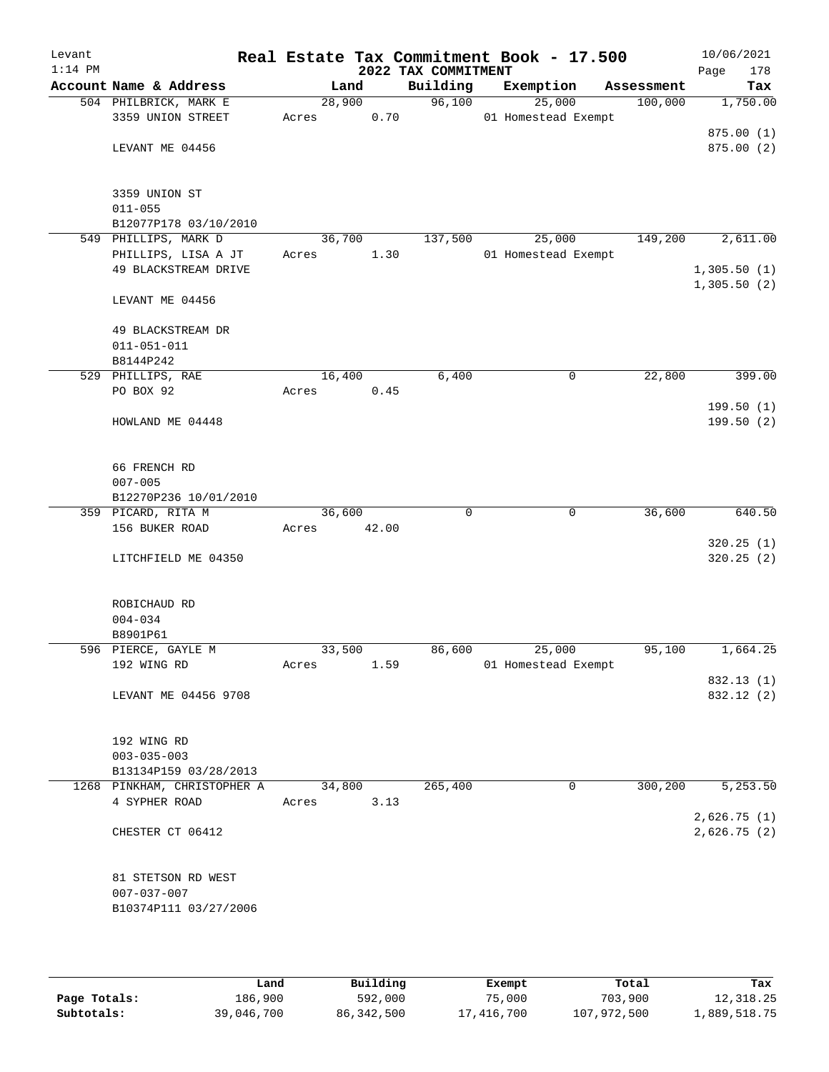| Levant<br>$1:14$ PM |                             |        |        | Real Estate Tax Commitment Book - 17.500<br>2022 TAX COMMITMENT |                     |            | 10/06/2021<br>178<br>Page   |
|---------------------|-----------------------------|--------|--------|-----------------------------------------------------------------|---------------------|------------|-----------------------------|
|                     | Account Name & Address      |        | Land   | Building                                                        | Exemption           | Assessment | Tax                         |
|                     | 504 PHILBRICK, MARK E       |        | 28,900 | 96,100                                                          | 25,000              | 100,000    | 1,750.00                    |
|                     | 3359 UNION STREET           | Acres  | 0.70   |                                                                 | 01 Homestead Exempt |            |                             |
|                     |                             |        |        |                                                                 |                     |            | 875.00(1)                   |
|                     | LEVANT ME 04456             |        |        |                                                                 |                     |            | 875.00(2)                   |
|                     | 3359 UNION ST               |        |        |                                                                 |                     |            |                             |
|                     | $011 - 055$                 |        |        |                                                                 |                     |            |                             |
|                     | B12077P178 03/10/2010       |        |        |                                                                 |                     |            |                             |
|                     | 549 PHILLIPS, MARK D        |        | 36,700 | 137,500                                                         | 25,000              | 149,200    | 2,611.00                    |
|                     | PHILLIPS, LISA A JT         | Acres  | 1.30   |                                                                 | 01 Homestead Exempt |            |                             |
|                     | 49 BLACKSTREAM DRIVE        |        |        |                                                                 |                     |            | 1,305.50(1)<br>1,305.50(2)  |
|                     | LEVANT ME 04456             |        |        |                                                                 |                     |            |                             |
|                     | 49 BLACKSTREAM DR           |        |        |                                                                 |                     |            |                             |
|                     | $011 - 051 - 011$           |        |        |                                                                 |                     |            |                             |
|                     | B8144P242                   |        |        |                                                                 |                     |            |                             |
|                     | 529 PHILLIPS, RAE           | 16,400 |        | 6,400                                                           | 0                   | 22,800     | 399.00                      |
|                     | PO BOX 92                   | Acres  | 0.45   |                                                                 |                     |            |                             |
|                     |                             |        |        |                                                                 |                     |            | 199.50(1)                   |
|                     | HOWLAND ME 04448            |        |        |                                                                 |                     |            | 199.50(2)                   |
|                     | 66 FRENCH RD                |        |        |                                                                 |                     |            |                             |
|                     | $007 - 005$                 |        |        |                                                                 |                     |            |                             |
|                     | B12270P236 10/01/2010       |        |        |                                                                 |                     |            |                             |
|                     | 359 PICARD, RITA M          | 36,600 |        | $\mathbf 0$                                                     | $\mathbf 0$         | 36,600     | 640.50                      |
|                     | 156 BUKER ROAD              | Acres  | 42.00  |                                                                 |                     |            |                             |
|                     | LITCHFIELD ME 04350         |        |        |                                                                 |                     |            | 320.25(1)<br>320.25(2)      |
|                     |                             |        |        |                                                                 |                     |            |                             |
|                     | ROBICHAUD RD                |        |        |                                                                 |                     |            |                             |
|                     | $004 - 034$                 |        |        |                                                                 |                     |            |                             |
|                     | B8901P61                    |        |        |                                                                 |                     |            |                             |
|                     | 596 PIERCE, GAYLE M         |        | 33,500 | 86,600                                                          | 25,000              | 95,100     | 1,664.25                    |
|                     | 192 WING RD                 | Acres  | 1.59   |                                                                 | 01 Homestead Exempt |            |                             |
|                     | LEVANT ME 04456 9708        |        |        |                                                                 |                     |            | 832.13 (1)<br>832.12 (2)    |
|                     |                             |        |        |                                                                 |                     |            |                             |
|                     | 192 WING RD                 |        |        |                                                                 |                     |            |                             |
|                     | $003 - 035 - 003$           |        |        |                                                                 |                     |            |                             |
|                     | B13134P159 03/28/2013       |        |        |                                                                 |                     |            |                             |
|                     | 1268 PINKHAM, CHRISTOPHER A |        | 34,800 | 265,400                                                         | 0                   | 300, 200   | 5,253.50                    |
|                     | 4 SYPHER ROAD               | Acres  | 3.13   |                                                                 |                     |            |                             |
|                     | CHESTER CT 06412            |        |        |                                                                 |                     |            | 2,626.75 (1)<br>2,626.75(2) |
|                     |                             |        |        |                                                                 |                     |            |                             |
|                     | 81 STETSON RD WEST          |        |        |                                                                 |                     |            |                             |
|                     | $007 - 037 - 007$           |        |        |                                                                 |                     |            |                             |
|                     | B10374P111 03/27/2006       |        |        |                                                                 |                     |            |                             |
|                     |                             |        |        |                                                                 |                     |            |                             |

|              | Land       | Building     | Exempt     | Total       | Tax          |
|--------------|------------|--------------|------------|-------------|--------------|
| Page Totals: | 186,900    | 592,000      | 75,000     | 703,900     | 12,318.25    |
| Subtotals:   | 39,046,700 | 86, 342, 500 | 17,416,700 | 107,972,500 | 1,889,518.75 |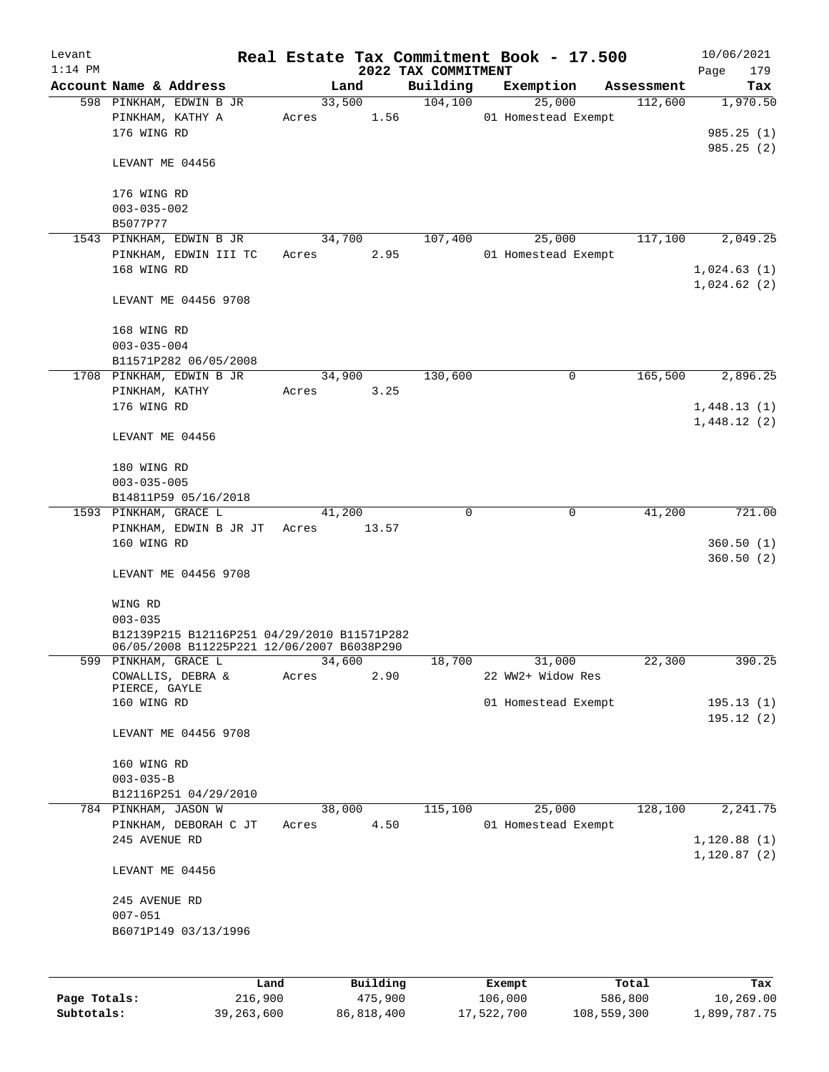| Levant    |                                             |       |          |                     | Real Estate Tax Commitment Book - 17.500 |            | 10/06/2021                 |
|-----------|---------------------------------------------|-------|----------|---------------------|------------------------------------------|------------|----------------------------|
| $1:14$ PM |                                             |       |          | 2022 TAX COMMITMENT |                                          |            | Page<br>179                |
|           | Account Name & Address                      |       | Land     | Building            | Exemption                                | Assessment | Tax                        |
|           | 598 PINKHAM, EDWIN B JR                     |       | 33,500   | 104, 100            | 25,000                                   | 112,600    | 1,970.50                   |
|           | PINKHAM, KATHY A<br>176 WING RD             | Acres | 1.56     |                     | 01 Homestead Exempt                      |            |                            |
|           |                                             |       |          |                     |                                          |            | 985.25(1)<br>985.25(2)     |
|           | LEVANT ME 04456                             |       |          |                     |                                          |            |                            |
|           | 176 WING RD                                 |       |          |                     |                                          |            |                            |
|           | $003 - 035 - 002$                           |       |          |                     |                                          |            |                            |
|           | B5077P77                                    |       |          |                     |                                          |            |                            |
|           | 1543 PINKHAM, EDWIN B JR                    |       | 34,700   | 107,400             | 25,000                                   | 117,100    | 2,049.25                   |
|           | PINKHAM, EDWIN III TC                       | Acres | 2.95     |                     | 01 Homestead Exempt                      |            |                            |
|           | 168 WING RD                                 |       |          |                     |                                          |            | 1,024.63(1)                |
|           | LEVANT ME 04456 9708                        |       |          |                     |                                          |            | 1,024.62(2)                |
|           |                                             |       |          |                     |                                          |            |                            |
|           | 168 WING RD                                 |       |          |                     |                                          |            |                            |
|           | $003 - 035 - 004$                           |       |          |                     |                                          |            |                            |
|           | B11571P282 06/05/2008                       |       |          |                     |                                          |            |                            |
|           | 1708 PINKHAM, EDWIN B JR                    |       | 34,900   | 130,600             | 0                                        | 165,500    | 2,896.25                   |
|           | PINKHAM, KATHY                              | Acres | 3.25     |                     |                                          |            |                            |
|           | 176 WING RD                                 |       |          |                     |                                          |            | 1,448.13(1)<br>1,448.12(2) |
|           | LEVANT ME 04456                             |       |          |                     |                                          |            |                            |
|           | 180 WING RD                                 |       |          |                     |                                          |            |                            |
|           | $003 - 035 - 005$                           |       |          |                     |                                          |            |                            |
|           | B14811P59 05/16/2018                        |       |          |                     |                                          |            |                            |
|           | 1593 PINKHAM, GRACE L                       |       | 41,200   | 0                   | $\mathbf 0$                              | 41,200     | 721.00                     |
|           | PINKHAM, EDWIN B JR JT                      | Acres | 13.57    |                     |                                          |            |                            |
|           | 160 WING RD                                 |       |          |                     |                                          |            | 360.50(1)                  |
|           | LEVANT ME 04456 9708                        |       |          |                     |                                          |            | 360.50(2)                  |
|           | WING RD                                     |       |          |                     |                                          |            |                            |
|           | $003 - 035$                                 |       |          |                     |                                          |            |                            |
|           | B12139P215 B12116P251 04/29/2010 B11571P282 |       |          |                     |                                          |            |                            |
|           | 06/05/2008 B11225P221 12/06/2007 B6038P290  |       |          |                     |                                          |            |                            |
|           | 599 PINKHAM, GRACE L                        |       | 34,600   | 18,700              | 31,000                                   | 22,300     | 390.25                     |
|           | COWALLIS, DEBRA &                           | Acres | 2.90     |                     | 22 WW2+ Widow Res                        |            |                            |
|           | PIERCE, GAYLE                               |       |          |                     |                                          |            |                            |
|           | 160 WING RD                                 |       |          |                     | 01 Homestead Exempt                      |            | 195.13(1)                  |
|           | LEVANT ME 04456 9708                        |       |          |                     |                                          |            | 195.12(2)                  |
|           |                                             |       |          |                     |                                          |            |                            |
|           | 160 WING RD                                 |       |          |                     |                                          |            |                            |
|           | $003 - 035 - B$                             |       |          |                     |                                          |            |                            |
|           | B12116P251 04/29/2010                       |       |          |                     |                                          |            |                            |
|           | 784 PINKHAM, JASON W                        |       | 38,000   | 115,100             | 25,000                                   | 128,100    | 2,241.75                   |
|           | PINKHAM, DEBORAH C JT                       | Acres | 4.50     |                     | 01 Homestead Exempt                      |            |                            |
|           | 245 AVENUE RD                               |       |          |                     |                                          |            | 1,120.88(1)                |
|           |                                             |       |          |                     |                                          |            | 1,120.87(2)                |
|           | LEVANT ME 04456                             |       |          |                     |                                          |            |                            |
|           | 245 AVENUE RD                               |       |          |                     |                                          |            |                            |
|           | $007 - 051$                                 |       |          |                     |                                          |            |                            |
|           | B6071P149 03/13/1996                        |       |          |                     |                                          |            |                            |
|           |                                             |       |          |                     |                                          |            |                            |
|           |                                             |       |          |                     |                                          |            |                            |
|           |                                             | Land  | Building |                     | Exempt                                   | Total      | Tax                        |

**Page Totals:** 216,900 475,900 106,000 586,800 10,269.00 **Subtotals:** 39,263,600 86,818,400 17,522,700 108,559,300 1,899,787.75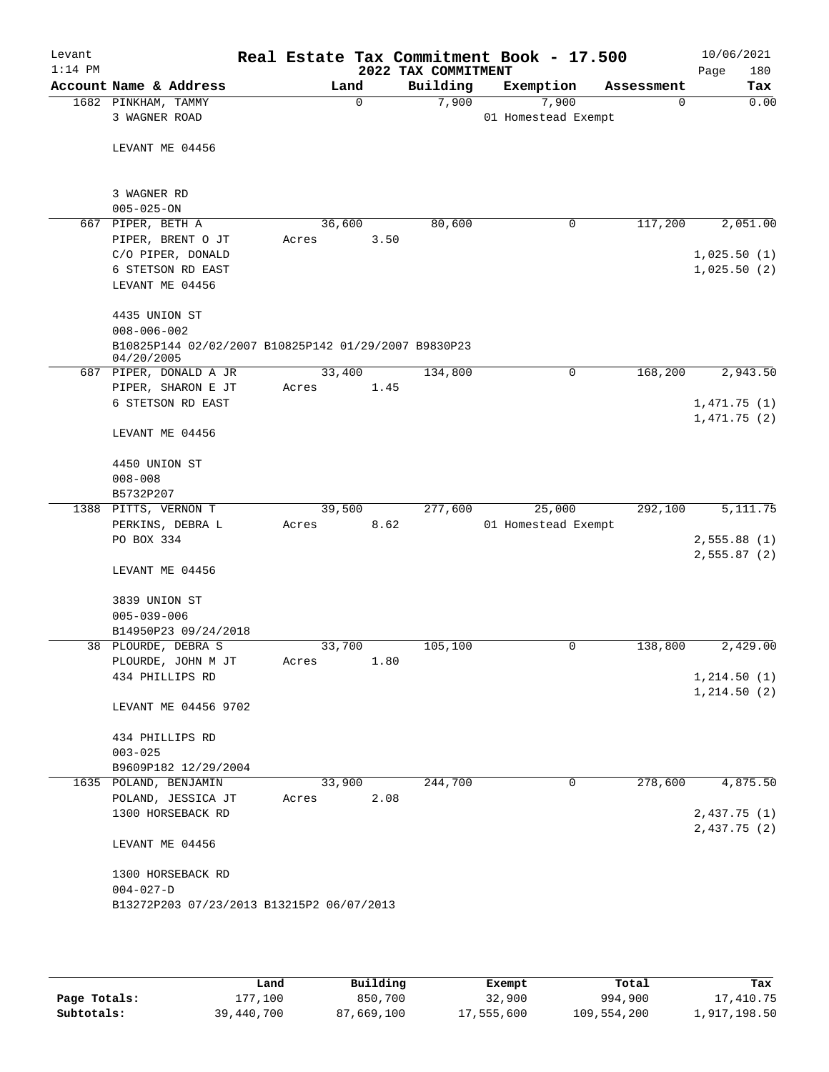| Levant<br>$1:14$ PM |                                                                    |        |             | 2022 TAX COMMITMENT | Real Estate Tax Commitment Book - 17.500 |            | 10/06/2021<br>Page<br>180 |
|---------------------|--------------------------------------------------------------------|--------|-------------|---------------------|------------------------------------------|------------|---------------------------|
|                     | Account Name & Address                                             |        | Land        | Building            | Exemption                                | Assessment | Tax                       |
|                     | 1682 PINKHAM, TAMMY                                                |        | $\mathbf 0$ | 7,900               | 7,900                                    | 0          | 0.00                      |
|                     | 3 WAGNER ROAD                                                      |        |             |                     | 01 Homestead Exempt                      |            |                           |
|                     |                                                                    |        |             |                     |                                          |            |                           |
|                     | LEVANT ME 04456                                                    |        |             |                     |                                          |            |                           |
|                     |                                                                    |        |             |                     |                                          |            |                           |
|                     | 3 WAGNER RD                                                        |        |             |                     |                                          |            |                           |
|                     | $005 - 025 - ON$                                                   |        |             |                     |                                          |            |                           |
| 667                 | PIPER, BETH A                                                      | 36,600 |             | 80,600              | 0                                        | 117,200    | 2,051.00                  |
|                     | PIPER, BRENT O JT                                                  | Acres  | 3.50        |                     |                                          |            |                           |
|                     | C/O PIPER, DONALD                                                  |        |             |                     |                                          |            | 1,025.50(1)               |
|                     | 6 STETSON RD EAST                                                  |        |             |                     |                                          |            | 1,025.50(2)               |
|                     | LEVANT ME 04456                                                    |        |             |                     |                                          |            |                           |
|                     | 4435 UNION ST<br>$008 - 006 - 002$                                 |        |             |                     |                                          |            |                           |
|                     | B10825P144 02/02/2007 B10825P142 01/29/2007 B9830P23<br>04/20/2005 |        |             |                     |                                          |            |                           |
|                     | 687 PIPER, DONALD A JR                                             | 33,400 |             | 134,800             | 0                                        | 168,200    | 2,943.50                  |
|                     | PIPER, SHARON E JT                                                 | Acres  | 1.45        |                     |                                          |            |                           |
|                     | 6 STETSON RD EAST                                                  |        |             |                     |                                          |            | 1,471.75(1)               |
|                     |                                                                    |        |             |                     |                                          |            | 1,471.75(2)               |
|                     | LEVANT ME 04456                                                    |        |             |                     |                                          |            |                           |
|                     | 4450 UNION ST                                                      |        |             |                     |                                          |            |                           |
|                     | $008 - 008$                                                        |        |             |                     |                                          |            |                           |
|                     | B5732P207                                                          |        |             |                     |                                          |            |                           |
| 1388                | PITTS, VERNON T                                                    | 39,500 |             | 277,600             | 25,000                                   | 292,100    | 5, 111.75                 |
|                     | PERKINS, DEBRA L                                                   | Acres  | 8.62        |                     | 01 Homestead Exempt                      |            |                           |
|                     | PO BOX 334                                                         |        |             |                     |                                          |            | 2,555.88(1)               |
|                     |                                                                    |        |             |                     |                                          |            | 2,555.87(2)               |
|                     | LEVANT ME 04456                                                    |        |             |                     |                                          |            |                           |
|                     | 3839 UNION ST                                                      |        |             |                     |                                          |            |                           |
|                     | $005 - 039 - 006$                                                  |        |             |                     |                                          |            |                           |
|                     | B14950P23 09/24/2018                                               |        |             |                     |                                          |            |                           |
|                     | 38 PLOURDE, DEBRA S                                                | 33,700 |             | 105,100             | 0                                        | 138,800    | 2,429.00                  |
|                     | PLOURDE, JOHN M JT                                                 | Acres  | 1.80        |                     |                                          |            |                           |
|                     | 434 PHILLIPS RD                                                    |        |             |                     |                                          |            | 1,214.50(1)               |
|                     |                                                                    |        |             |                     |                                          |            | 1, 214.50(2)              |
|                     | LEVANT ME 04456 9702                                               |        |             |                     |                                          |            |                           |
|                     | 434 PHILLIPS RD                                                    |        |             |                     |                                          |            |                           |
|                     | $003 - 025$                                                        |        |             |                     |                                          |            |                           |
|                     | B9609P182 12/29/2004                                               |        |             |                     |                                          |            |                           |
|                     | 1635 POLAND, BENJAMIN                                              | 33,900 |             | 244,700             | 0                                        | 278,600    | 4,875.50                  |
|                     | POLAND, JESSICA JT                                                 | Acres  | 2.08        |                     |                                          |            |                           |
|                     | 1300 HORSEBACK RD                                                  |        |             |                     |                                          |            | 2,437.75(1)               |
|                     |                                                                    |        |             |                     |                                          |            | 2,437.75 (2)              |
|                     | LEVANT ME 04456                                                    |        |             |                     |                                          |            |                           |
|                     | 1300 HORSEBACK RD                                                  |        |             |                     |                                          |            |                           |
|                     | $004 - 027 - D$                                                    |        |             |                     |                                          |            |                           |
|                     | B13272P203 07/23/2013 B13215P2 06/07/2013                          |        |             |                     |                                          |            |                           |
|                     |                                                                    |        |             |                     |                                          |            |                           |

|              | Land       | Building   | Exempt     | Total       | Tax          |
|--------------|------------|------------|------------|-------------|--------------|
| Page Totals: | 177.100    | 850,700    | 32,900     | 994,900     | 17,410.75    |
| Subtotals:   | 39,440,700 | 87,669,100 | 17,555,600 | 109,554,200 | 1,917,198.50 |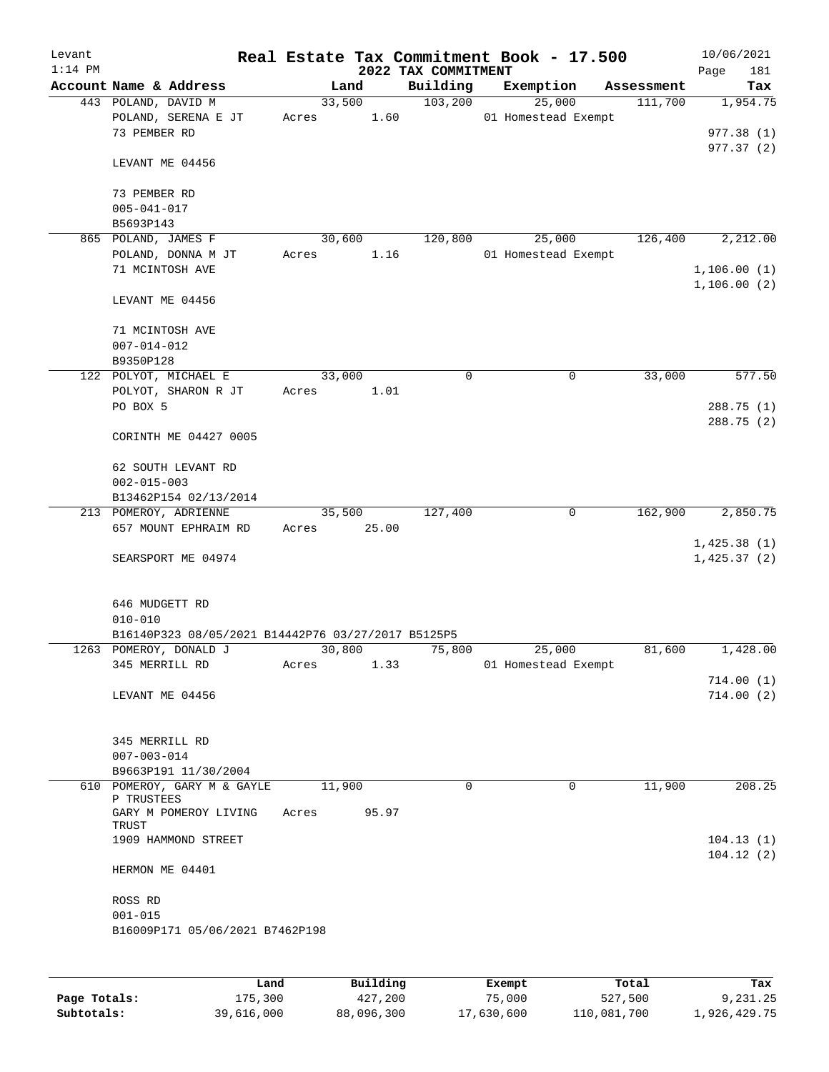| Levant<br>$1:14$ PM |                                                                    |                 |                | 2022 TAX COMMITMENT | Real Estate Tax Commitment Book - 17.500 |             |            | 10/06/2021<br>181<br>Page  |
|---------------------|--------------------------------------------------------------------|-----------------|----------------|---------------------|------------------------------------------|-------------|------------|----------------------------|
|                     | Account Name & Address                                             |                 | Land           | Building            | Exemption                                |             | Assessment | Tax                        |
|                     | 443 POLAND, DAVID M<br>POLAND, SERENA E JT<br>73 PEMBER RD         | Acres           | 33,500<br>1.60 | 103, 200            | 25,000<br>01 Homestead Exempt            |             | 111,700    | 1,954.75<br>977.38(1)      |
|                     | LEVANT ME 04456                                                    |                 |                |                     |                                          |             |            | 977.37(2)                  |
|                     | 73 PEMBER RD<br>$005 - 041 - 017$<br>B5693P143                     |                 |                |                     |                                          |             |            |                            |
|                     | 865 POLAND, JAMES F<br>POLAND, DONNA M JT                          |                 | 30,600<br>1.16 | 120,800             | 25,000<br>01 Homestead Exempt            |             | 126,400    | 2,212.00                   |
|                     | 71 MCINTOSH AVE                                                    | Acres           |                |                     |                                          |             |            | 1,106.00(1)                |
|                     | LEVANT ME 04456                                                    |                 |                |                     |                                          |             |            | 1,106.00(2)                |
|                     | 71 MCINTOSH AVE<br>$007 - 014 - 012$<br>B9350P128                  |                 |                |                     |                                          |             |            |                            |
|                     | 122 POLYOT, MICHAEL E                                              |                 | 33,000         | $\mathbf 0$         |                                          | $\mathbf 0$ | 33,000     | 577.50                     |
|                     | POLYOT, SHARON R JT                                                | Acres           | 1.01           |                     |                                          |             |            |                            |
|                     | PO BOX 5                                                           |                 |                |                     |                                          |             |            | 288.75 (1)                 |
|                     | CORINTH ME 04427 0005                                              |                 |                |                     |                                          |             |            | 288.75(2)                  |
|                     | 62 SOUTH LEVANT RD<br>$002 - 015 - 003$                            |                 |                |                     |                                          |             |            |                            |
|                     | B13462P154 02/13/2014                                              |                 |                |                     |                                          |             |            |                            |
|                     | 213 POMEROY, ADRIENNE                                              |                 | 35,500         | 127,400             |                                          | 0           | 162,900    | 2,850.75                   |
|                     | 657 MOUNT EPHRAIM RD                                               | Acres           | 25.00          |                     |                                          |             |            |                            |
|                     | SEARSPORT ME 04974                                                 |                 |                |                     |                                          |             |            | 1,425.38(1)<br>1,425.37(2) |
|                     | 646 MUDGETT RD<br>$010 - 010$                                      |                 |                |                     |                                          |             |            |                            |
|                     | B16140P323 08/05/2021 B14442P76 03/27/2017 B5125P5                 |                 |                |                     |                                          |             |            |                            |
|                     | 1263 POMEROY, DONALD J                                             |                 | 30,800         | 75,800              | 25,000                                   |             | 81,600     | 1,428.00                   |
|                     | 345 MERRILL RD                                                     | Acres           | 1.33           |                     | 01 Homestead Exempt                      |             |            |                            |
|                     | LEVANT ME 04456                                                    |                 |                |                     |                                          |             |            | 714.00(1)<br>714.00(2)     |
|                     | 345 MERRILL RD<br>$007 - 003 - 014$                                |                 |                |                     |                                          |             |            |                            |
|                     | B9663P191 11/30/2004                                               |                 |                |                     |                                          |             |            |                            |
|                     | 610 POMEROY, GARY M & GAYLE<br>P TRUSTEES<br>GARY M POMEROY LIVING | 11,900<br>Acres | 95.97          | $\Omega$            |                                          | $\mathbf 0$ | 11,900     | 208.25                     |
|                     | TRUST                                                              |                 |                |                     |                                          |             |            |                            |
|                     | 1909 HAMMOND STREET                                                |                 |                |                     |                                          |             |            | 104.13(1)<br>104.12(2)     |
|                     | HERMON ME 04401                                                    |                 |                |                     |                                          |             |            |                            |
|                     | ROSS RD                                                            |                 |                |                     |                                          |             |            |                            |
|                     | $001 - 015$<br>B16009P171 05/06/2021 B7462P198                     |                 |                |                     |                                          |             |            |                            |
|                     |                                                                    |                 |                |                     |                                          |             |            |                            |
|                     |                                                                    |                 |                |                     |                                          |             |            |                            |

|              | Land       | Building   | Exempt     | Total       | Tax          |
|--------------|------------|------------|------------|-------------|--------------|
| Page Totals: | 175,300    | 427,200    | 75,000     | 527,500     | 9,231.25     |
| Subtotals:   | 39,616,000 | 88,096,300 | 17,630,600 | 110,081,700 | 1,926,429.75 |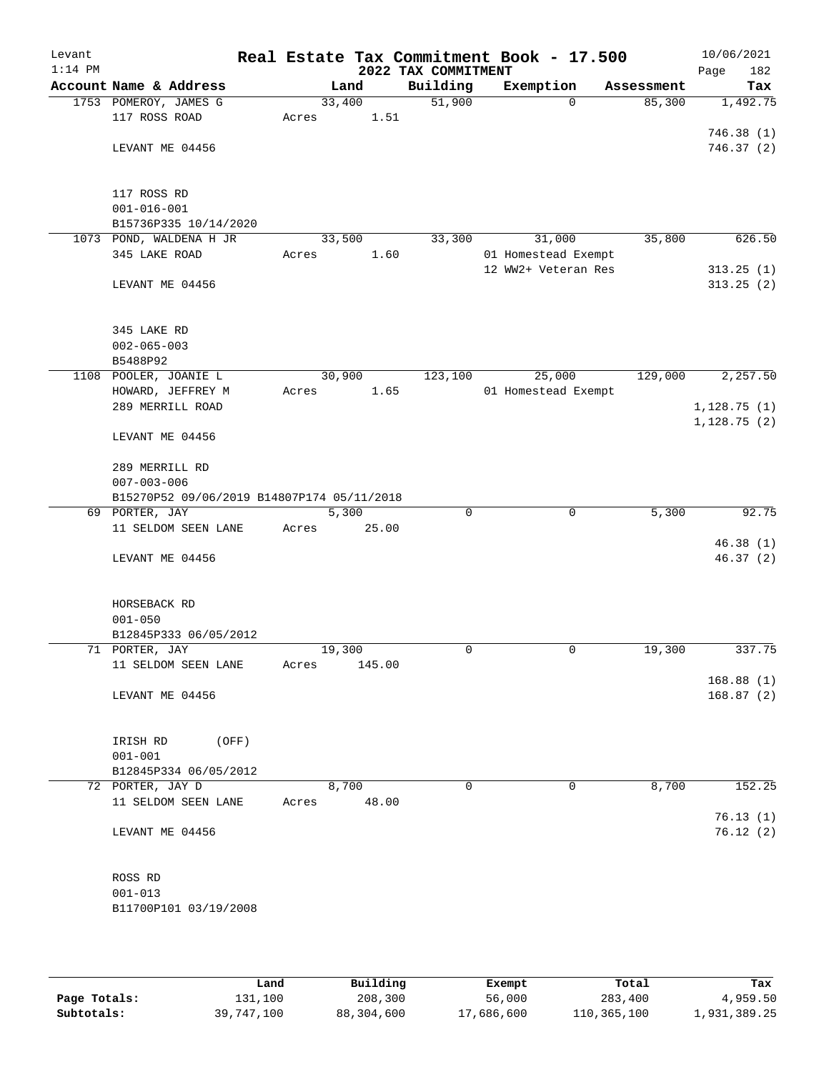| Levant    |                                            |       |                |                     | Real Estate Tax Commitment Book - 17.500 |            | 10/06/2021  |
|-----------|--------------------------------------------|-------|----------------|---------------------|------------------------------------------|------------|-------------|
| $1:14$ PM |                                            |       |                | 2022 TAX COMMITMENT |                                          |            | Page<br>182 |
|           | Account Name & Address                     |       | Land           | Building            | Exemption                                | Assessment | Tax         |
|           | 1753 POMEROY, JAMES G                      |       | 33,400         | 51,900              | $\Omega$                                 | 85,300     | 1,492.75    |
|           | 117 ROSS ROAD                              | Acres | 1.51           |                     |                                          |            |             |
|           |                                            |       |                |                     |                                          |            | 746.38(1)   |
|           | LEVANT ME 04456                            |       |                |                     |                                          |            | 746.37(2)   |
|           |                                            |       |                |                     |                                          |            |             |
|           |                                            |       |                |                     |                                          |            |             |
|           | 117 ROSS RD                                |       |                |                     |                                          |            |             |
|           | $001 - 016 - 001$                          |       |                |                     |                                          |            |             |
|           | B15736P335 10/14/2020                      |       |                | 33,300              |                                          |            | 626.50      |
|           | 1073 POND, WALDENA H JR<br>345 LAKE ROAD   | Acres | 33,500<br>1.60 |                     | 31,000<br>01 Homestead Exempt            | 35,800     |             |
|           |                                            |       |                |                     | 12 WW2+ Veteran Res                      |            | 313.25(1)   |
|           | LEVANT ME 04456                            |       |                |                     |                                          |            | 313.25(2)   |
|           |                                            |       |                |                     |                                          |            |             |
|           |                                            |       |                |                     |                                          |            |             |
|           | 345 LAKE RD                                |       |                |                     |                                          |            |             |
|           | $002 - 065 - 003$                          |       |                |                     |                                          |            |             |
|           | B5488P92                                   |       |                |                     |                                          |            |             |
|           | 1108 POOLER, JOANIE L                      |       | 30,900         | 123,100             | 25,000                                   | 129,000    | 2,257.50    |
|           | HOWARD, JEFFREY M                          | Acres | 1.65           |                     | 01 Homestead Exempt                      |            |             |
|           | 289 MERRILL ROAD                           |       |                |                     |                                          |            | 1,128.75(1) |
|           |                                            |       |                |                     |                                          |            | 1,128.75(2) |
|           | LEVANT ME 04456                            |       |                |                     |                                          |            |             |
|           |                                            |       |                |                     |                                          |            |             |
|           | 289 MERRILL RD                             |       |                |                     |                                          |            |             |
|           | $007 - 003 - 006$                          |       |                |                     |                                          |            |             |
|           | B15270P52 09/06/2019 B14807P174 05/11/2018 |       |                |                     |                                          |            |             |
|           | 69 PORTER, JAY                             |       | 5,300          | $\mathbf 0$         | $\mathbf 0$                              | 5,300      | 92.75       |
|           | 11 SELDOM SEEN LANE                        | Acres | 25.00          |                     |                                          |            |             |
|           |                                            |       |                |                     |                                          |            | 46.38(1)    |
|           | LEVANT ME 04456                            |       |                |                     |                                          |            | 46.37(2)    |
|           |                                            |       |                |                     |                                          |            |             |
|           | HORSEBACK RD                               |       |                |                     |                                          |            |             |
|           | $001 - 050$                                |       |                |                     |                                          |            |             |
|           | B12845P333 06/05/2012                      |       |                |                     |                                          |            |             |
|           | 71 PORTER, JAY                             |       | 19,300         | 0                   | 0                                        | 19,300     | 337.75      |
|           | 11 SELDOM SEEN LANE                        | Acres | 145.00         |                     |                                          |            |             |
|           |                                            |       |                |                     |                                          |            | 168.88(1)   |
|           | LEVANT ME 04456                            |       |                |                     |                                          |            | 168.87(2)   |
|           |                                            |       |                |                     |                                          |            |             |
|           |                                            |       |                |                     |                                          |            |             |
|           | IRISH RD<br>(OFF)                          |       |                |                     |                                          |            |             |
|           | $001 - 001$                                |       |                |                     |                                          |            |             |
|           | B12845P334 06/05/2012                      |       |                |                     |                                          |            |             |
|           | 72 PORTER, JAY D                           |       | 8,700          | 0                   | 0                                        | 8,700      | 152.25      |
|           | 11 SELDOM SEEN LANE                        | Acres | 48.00          |                     |                                          |            |             |
|           |                                            |       |                |                     |                                          |            | 76.13(1)    |
|           | LEVANT ME 04456                            |       |                |                     |                                          |            | 76.12(2)    |
|           |                                            |       |                |                     |                                          |            |             |
|           |                                            |       |                |                     |                                          |            |             |
|           | ROSS RD                                    |       |                |                     |                                          |            |             |
|           | $001 - 013$                                |       |                |                     |                                          |            |             |
|           | B11700P101 03/19/2008                      |       |                |                     |                                          |            |             |
|           |                                            |       |                |                     |                                          |            |             |

|              | Land       | Building   | Exempt     | Total       | Tax          |
|--------------|------------|------------|------------|-------------|--------------|
| Page Totals: | 131,100    | 208,300    | 56,000     | 283,400     | 4,959.50     |
| Subtotals:   | 39,747,100 | 88,304,600 | 17,686,600 | 110,365,100 | 1,931,389.25 |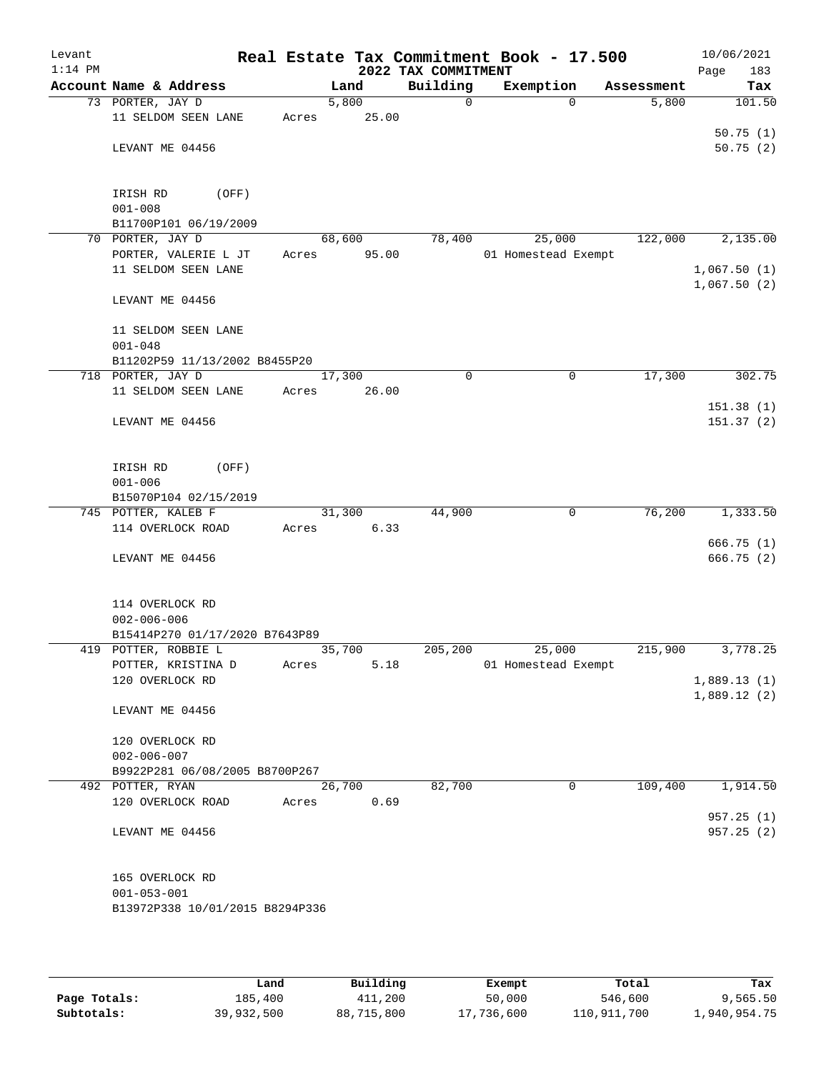| Levant<br>$1:14$ PM |                                                      |       |        |       | Real Estate Tax Commitment Book - 17.500 |                               |            | 10/06/2021             |
|---------------------|------------------------------------------------------|-------|--------|-------|------------------------------------------|-------------------------------|------------|------------------------|
|                     | Account Name & Address                               |       | Land   |       | 2022 TAX COMMITMENT<br>Building          | Exemption                     | Assessment | 183<br>Page<br>Tax     |
|                     | 73 PORTER, JAY D                                     |       | 5,800  |       | $\mathbf 0$                              | $\Omega$                      | 5,800      | 101.50                 |
|                     | 11 SELDOM SEEN LANE                                  | Acres |        | 25.00 |                                          |                               |            |                        |
|                     |                                                      |       |        |       |                                          |                               |            | 50.75(1)               |
|                     | LEVANT ME 04456                                      |       |        |       |                                          |                               |            | 50.75(2)               |
|                     |                                                      |       |        |       |                                          |                               |            |                        |
|                     | IRISH RD<br>(OFF)                                    |       |        |       |                                          |                               |            |                        |
|                     | $001 - 008$                                          |       |        |       |                                          |                               |            |                        |
|                     | B11700P101 06/19/2009                                |       |        |       |                                          |                               |            |                        |
|                     | 70 PORTER, JAY D                                     |       | 68,600 |       | 78,400                                   | 25,000                        | 122,000    | 2,135.00               |
|                     | PORTER, VALERIE L JT                                 | Acres |        | 95.00 |                                          | 01 Homestead Exempt           |            |                        |
|                     | 11 SELDOM SEEN LANE                                  |       |        |       |                                          |                               |            | 1,067.50(1)            |
|                     |                                                      |       |        |       |                                          |                               |            | 1,067.50(2)            |
|                     | LEVANT ME 04456                                      |       |        |       |                                          |                               |            |                        |
|                     | 11 SELDOM SEEN LANE                                  |       |        |       |                                          |                               |            |                        |
|                     | $001 - 048$                                          |       |        |       |                                          |                               |            |                        |
|                     | B11202P59 11/13/2002 B8455P20                        |       |        |       |                                          |                               |            |                        |
|                     | 718 PORTER, JAY D                                    |       | 17,300 |       | $\mathbf 0$                              | $\mathbf 0$                   | 17,300     | 302.75                 |
|                     | 11 SELDOM SEEN LANE                                  | Acres |        | 26.00 |                                          |                               |            |                        |
|                     | LEVANT ME 04456                                      |       |        |       |                                          |                               |            | 151.38(1)<br>151.37(2) |
|                     |                                                      |       |        |       |                                          |                               |            |                        |
|                     |                                                      |       |        |       |                                          |                               |            |                        |
|                     | IRISH RD<br>(OFF)                                    |       |        |       |                                          |                               |            |                        |
|                     | $001 - 006$                                          |       |        |       |                                          |                               |            |                        |
|                     | B15070P104 02/15/2019                                |       |        |       |                                          |                               |            |                        |
|                     | 745 POTTER, KALEB F                                  |       | 31,300 |       | 44,900                                   | 0                             | 76,200     | 1,333.50               |
|                     | 114 OVERLOCK ROAD                                    | Acres |        | 6.33  |                                          |                               |            |                        |
|                     | LEVANT ME 04456                                      |       |        |       |                                          |                               |            | 666.75(1)<br>666.75(2) |
|                     |                                                      |       |        |       |                                          |                               |            |                        |
|                     |                                                      |       |        |       |                                          |                               |            |                        |
|                     | 114 OVERLOCK RD                                      |       |        |       |                                          |                               |            |                        |
|                     | $002 - 006 - 006$                                    |       |        |       |                                          |                               |            |                        |
|                     | B15414P270 01/17/2020 B7643P89                       |       |        |       |                                          |                               |            |                        |
|                     | 419 POTTER, ROBBIE L<br>POTTER, KRISTINA D           |       | 35,700 | 5.18  | 205,200                                  | 25,000<br>01 Homestead Exempt | 215,900    | 3,778.25               |
|                     | 120 OVERLOCK RD                                      | Acres |        |       |                                          |                               |            | 1,889.13(1)            |
|                     |                                                      |       |        |       |                                          |                               |            | 1,889.12(2)            |
|                     | LEVANT ME 04456                                      |       |        |       |                                          |                               |            |                        |
|                     |                                                      |       |        |       |                                          |                               |            |                        |
|                     | 120 OVERLOCK RD                                      |       |        |       |                                          |                               |            |                        |
|                     | $002 - 006 - 007$                                    |       |        |       |                                          |                               |            |                        |
|                     | B9922P281 06/08/2005 B8700P267<br>492 POTTER, RYAN   |       | 26,700 |       | 82,700                                   | $\mathbf 0$                   | 109,400    | 1,914.50               |
|                     | 120 OVERLOCK ROAD                                    | Acres |        | 0.69  |                                          |                               |            |                        |
|                     |                                                      |       |        |       |                                          |                               |            | 957.25 (1)             |
|                     | LEVANT ME 04456                                      |       |        |       |                                          |                               |            | 957.25 (2)             |
|                     |                                                      |       |        |       |                                          |                               |            |                        |
|                     |                                                      |       |        |       |                                          |                               |            |                        |
|                     | 165 OVERLOCK RD                                      |       |        |       |                                          |                               |            |                        |
|                     | $001 - 053 - 001$<br>B13972P338 10/01/2015 B8294P336 |       |        |       |                                          |                               |            |                        |
|                     |                                                      |       |        |       |                                          |                               |            |                        |
|                     |                                                      |       |        |       |                                          |                               |            |                        |

|              | Land       | Building   | Exempt     | Total       | Tax          |
|--------------|------------|------------|------------|-------------|--------------|
| Page Totals: | 185,400    | 411,200    | 50,000     | 546,600     | 9,565.50     |
| Subtotals:   | 39,932,500 | 88,715,800 | 17,736,600 | 110,911,700 | 1,940,954.75 |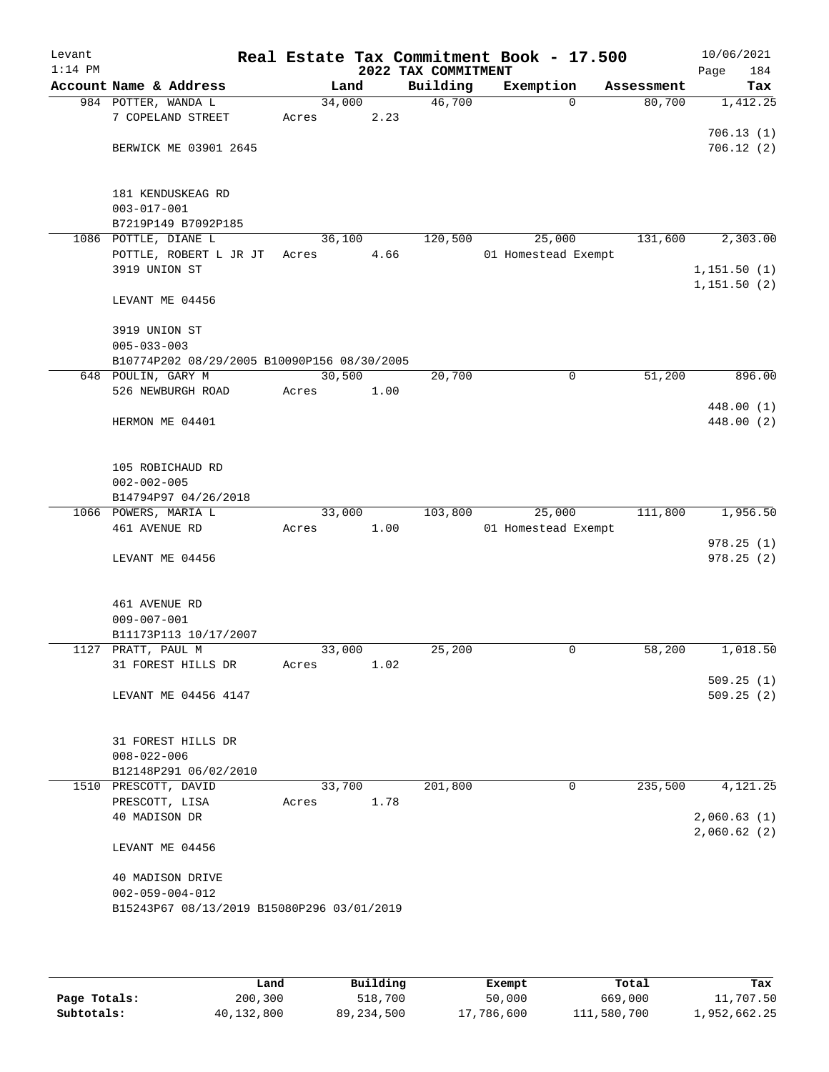| Levant<br>$1:14$ PM |                                             |        |      | 2022 TAX COMMITMENT | Real Estate Tax Commitment Book - 17.500 |            | 10/06/2021<br>184<br>Page  |
|---------------------|---------------------------------------------|--------|------|---------------------|------------------------------------------|------------|----------------------------|
|                     | Account Name & Address                      | Land   |      | Building            | Exemption                                | Assessment | Tax                        |
|                     | 984 POTTER, WANDA L                         | 34,000 |      | 46,700              | $\Omega$                                 | 80,700     | 1,412.25                   |
|                     | 7 COPELAND STREET                           | Acres  | 2.23 |                     |                                          |            |                            |
|                     |                                             |        |      |                     |                                          |            | 706.13(1)                  |
|                     | BERWICK ME 03901 2645                       |        |      |                     |                                          |            | 706.12(2)                  |
|                     |                                             |        |      |                     |                                          |            |                            |
|                     |                                             |        |      |                     |                                          |            |                            |
|                     | 181 KENDUSKEAG RD<br>$003 - 017 - 001$      |        |      |                     |                                          |            |                            |
|                     | B7219P149 B7092P185                         |        |      |                     |                                          |            |                            |
|                     | 1086 POTTLE, DIANE L                        | 36,100 |      | 120,500             | 25,000                                   | 131,600    | 2,303.00                   |
|                     | POTTLE, ROBERT L JR JT                      | Acres  | 4.66 |                     | 01 Homestead Exempt                      |            |                            |
|                     | 3919 UNION ST                               |        |      |                     |                                          |            | 1,151.50(1)                |
|                     |                                             |        |      |                     |                                          |            | 1,151.50(2)                |
|                     | LEVANT ME 04456                             |        |      |                     |                                          |            |                            |
|                     |                                             |        |      |                     |                                          |            |                            |
|                     | 3919 UNION ST                               |        |      |                     |                                          |            |                            |
|                     | $005 - 033 - 003$                           |        |      |                     |                                          |            |                            |
|                     | B10774P202 08/29/2005 B10090P156 08/30/2005 |        |      |                     |                                          |            |                            |
|                     | 648 POULIN, GARY M                          | 30,500 |      | 20,700              | 0                                        | 51,200     | 896.00                     |
|                     | 526 NEWBURGH ROAD                           | Acres  | 1.00 |                     |                                          |            |                            |
|                     |                                             |        |      |                     |                                          |            | 448.00 (1)                 |
|                     | HERMON ME 04401                             |        |      |                     |                                          |            | 448.00 (2)                 |
|                     |                                             |        |      |                     |                                          |            |                            |
|                     | 105 ROBICHAUD RD                            |        |      |                     |                                          |            |                            |
|                     | $002 - 002 - 005$                           |        |      |                     |                                          |            |                            |
|                     | B14794P97 04/26/2018                        |        |      |                     |                                          |            |                            |
|                     | 1066 POWERS, MARIA L                        | 33,000 |      | 103,800             | 25,000                                   | 111,800    | 1,956.50                   |
|                     | 461 AVENUE RD                               | Acres  | 1.00 |                     | 01 Homestead Exempt                      |            |                            |
|                     |                                             |        |      |                     |                                          |            | 978.25(1)                  |
|                     | LEVANT ME 04456                             |        |      |                     |                                          |            | 978.25(2)                  |
|                     |                                             |        |      |                     |                                          |            |                            |
|                     |                                             |        |      |                     |                                          |            |                            |
|                     | 461 AVENUE RD                               |        |      |                     |                                          |            |                            |
|                     | $009 - 007 - 001$                           |        |      |                     |                                          |            |                            |
|                     | B11173P113 10/17/2007<br>1127 PRATT, PAUL M | 33,000 |      | 25,200              | 0                                        | 58,200     | 1,018.50                   |
|                     | 31 FOREST HILLS DR                          | Acres  | 1.02 |                     |                                          |            |                            |
|                     |                                             |        |      |                     |                                          |            | 509.25(1)                  |
|                     | LEVANT ME 04456 4147                        |        |      |                     |                                          |            | 509.25(2)                  |
|                     |                                             |        |      |                     |                                          |            |                            |
|                     |                                             |        |      |                     |                                          |            |                            |
|                     | 31 FOREST HILLS DR                          |        |      |                     |                                          |            |                            |
|                     | $008 - 022 - 006$                           |        |      |                     |                                          |            |                            |
|                     | B12148P291 06/02/2010                       |        |      |                     |                                          |            |                            |
|                     | 1510 PRESCOTT, DAVID                        | 33,700 |      | 201,800             | 0                                        | 235,500    | 4,121.25                   |
|                     | PRESCOTT, LISA                              | Acres  | 1.78 |                     |                                          |            |                            |
|                     | 40 MADISON DR                               |        |      |                     |                                          |            | 2,060.63(1)<br>2,060.62(2) |
|                     | LEVANT ME 04456                             |        |      |                     |                                          |            |                            |
|                     |                                             |        |      |                     |                                          |            |                            |
|                     | 40 MADISON DRIVE                            |        |      |                     |                                          |            |                            |
|                     | $002 - 059 - 004 - 012$                     |        |      |                     |                                          |            |                            |
|                     | B15243P67 08/13/2019 B15080P296 03/01/2019  |        |      |                     |                                          |            |                            |
|                     |                                             |        |      |                     |                                          |            |                            |
|                     |                                             |        |      |                     |                                          |            |                            |

|              | Land       | Building   | Exempt     | Total       | Tax          |
|--------------|------------|------------|------------|-------------|--------------|
| Page Totals: | 200,300    | 518,700    | 50,000     | 669,000     | 11,707.50    |
| Subtotals:   | 40,132,800 | 89,234,500 | 17,786,600 | 111,580,700 | 1,952,662.25 |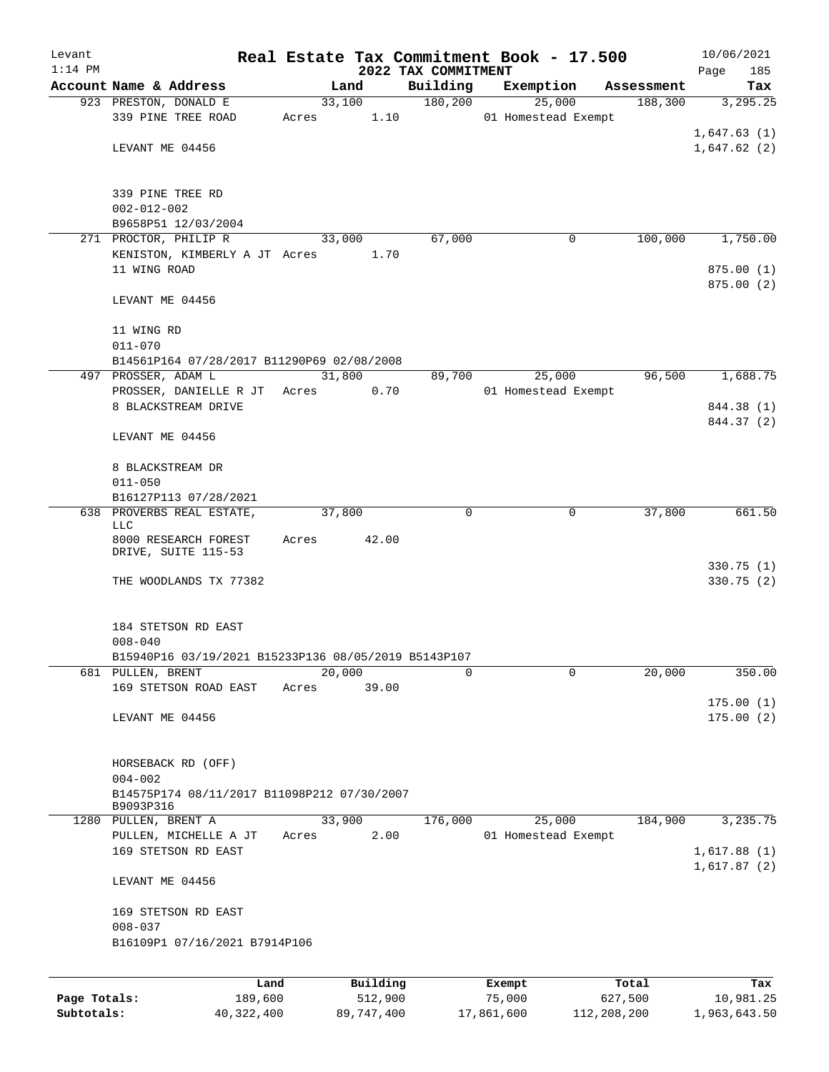| Levant       |                                                      |       |                     |                      | Real Estate Tax Commitment Book - 17.500 |                       | 10/06/2021                 |
|--------------|------------------------------------------------------|-------|---------------------|----------------------|------------------------------------------|-----------------------|----------------------------|
| $1:14$ PM    |                                                      |       |                     | 2022 TAX COMMITMENT  |                                          |                       | 185<br>Page                |
|              | Account Name & Address<br>923 PRESTON, DONALD E      |       | Land<br>33,100      | Building<br>180, 200 | Exemption<br>25,000                      | Assessment<br>188,300 | Tax<br>3, 295.25           |
|              | 339 PINE TREE ROAD                                   | Acres | 1.10                |                      | 01 Homestead Exempt                      |                       |                            |
|              |                                                      |       |                     |                      |                                          |                       | 1,647.63(1)                |
|              | LEVANT ME 04456                                      |       |                     |                      |                                          |                       | 1,647.62(2)                |
|              |                                                      |       |                     |                      |                                          |                       |                            |
|              |                                                      |       |                     |                      |                                          |                       |                            |
|              | 339 PINE TREE RD                                     |       |                     |                      |                                          |                       |                            |
|              | $002 - 012 - 002$<br>B9658P51 12/03/2004             |       |                     |                      |                                          |                       |                            |
|              | 271 PROCTOR, PHILIP R                                |       | 33,000              | 67,000               | $\mathbf 0$                              | 100,000               | 1,750.00                   |
|              | KENISTON, KIMBERLY A JT Acres                        |       | 1.70                |                      |                                          |                       |                            |
|              | 11 WING ROAD                                         |       |                     |                      |                                          |                       | 875.00(1)                  |
|              |                                                      |       |                     |                      |                                          |                       | 875.00(2)                  |
|              | LEVANT ME 04456                                      |       |                     |                      |                                          |                       |                            |
|              |                                                      |       |                     |                      |                                          |                       |                            |
|              | 11 WING RD                                           |       |                     |                      |                                          |                       |                            |
|              | $011 - 070$                                          |       |                     |                      |                                          |                       |                            |
|              | B14561P164 07/28/2017 B11290P69 02/08/2008           |       |                     |                      |                                          |                       | 1,688.75                   |
|              | 497 PROSSER, ADAM L<br>PROSSER, DANIELLE R JT        | Acres | 31,800<br>0.70      | 89,700               | 25,000<br>01 Homestead Exempt            | 96,500                |                            |
|              | 8 BLACKSTREAM DRIVE                                  |       |                     |                      |                                          |                       | 844.38 (1)                 |
|              |                                                      |       |                     |                      |                                          |                       | 844.37 (2)                 |
|              | LEVANT ME 04456                                      |       |                     |                      |                                          |                       |                            |
|              |                                                      |       |                     |                      |                                          |                       |                            |
|              | 8 BLACKSTREAM DR                                     |       |                     |                      |                                          |                       |                            |
|              | $011 - 050$                                          |       |                     |                      |                                          |                       |                            |
|              | B16127P113 07/28/2021                                |       |                     |                      |                                          |                       |                            |
|              | 638 PROVERBS REAL ESTATE,<br>LLC                     |       | 37,800              | $\mathbf 0$          | $\mathbf 0$                              | 37,800                | 661.50                     |
|              | 8000 RESEARCH FOREST                                 | Acres | 42.00               |                      |                                          |                       |                            |
|              | DRIVE, SUITE 115-53                                  |       |                     |                      |                                          |                       |                            |
|              |                                                      |       |                     |                      |                                          |                       | 330.75(1)                  |
|              | THE WOODLANDS TX 77382                               |       |                     |                      |                                          |                       | 330.75 (2)                 |
|              |                                                      |       |                     |                      |                                          |                       |                            |
|              | 184 STETSON RD EAST                                  |       |                     |                      |                                          |                       |                            |
|              | $008 - 040$                                          |       |                     |                      |                                          |                       |                            |
|              | B15940P16 03/19/2021 B15233P136 08/05/2019 B5143P107 |       |                     |                      |                                          |                       |                            |
| 681          | PULLEN, BRENT                                        |       | 20,000              | 0                    | $\mathbf 0$                              | 20,000                | 350.00                     |
|              | 169 STETSON ROAD EAST                                | Acres | 39.00               |                      |                                          |                       |                            |
|              |                                                      |       |                     |                      |                                          |                       | 175.00(1)                  |
|              | LEVANT ME 04456                                      |       |                     |                      |                                          |                       | 175.00(2)                  |
|              |                                                      |       |                     |                      |                                          |                       |                            |
|              | HORSEBACK RD (OFF)                                   |       |                     |                      |                                          |                       |                            |
|              | $004 - 002$                                          |       |                     |                      |                                          |                       |                            |
|              | B14575P174 08/11/2017 B11098P212 07/30/2007          |       |                     |                      |                                          |                       |                            |
|              | B9093P316                                            |       |                     |                      |                                          |                       |                            |
|              | 1280 PULLEN, BRENT A                                 |       | 33,900              | 176,000              | 25,000                                   | 184,900               | 3,235.75                   |
|              | PULLEN, MICHELLE A JT                                | Acres | 2.00                |                      | 01 Homestead Exempt                      |                       |                            |
|              | 169 STETSON RD EAST                                  |       |                     |                      |                                          |                       | 1,617.88(1)<br>1,617.87(2) |
|              | LEVANT ME 04456                                      |       |                     |                      |                                          |                       |                            |
|              | 169 STETSON RD EAST                                  |       |                     |                      |                                          |                       |                            |
|              | $008 - 037$                                          |       |                     |                      |                                          |                       |                            |
|              | B16109P1 07/16/2021 B7914P106                        |       |                     |                      |                                          |                       |                            |
|              |                                                      |       |                     |                      |                                          |                       |                            |
|              |                                                      |       |                     |                      |                                          |                       |                            |
| Page Totals: | Land<br>189,600                                      |       | Building<br>512,900 |                      | Exempt<br>75,000                         | Total<br>627,500      | Tax<br>10,981.25           |
|              |                                                      |       |                     |                      |                                          |                       |                            |

**Subtotals:** 40,322,400 89,747,400 17,861,600 112,208,200 1,963,643.50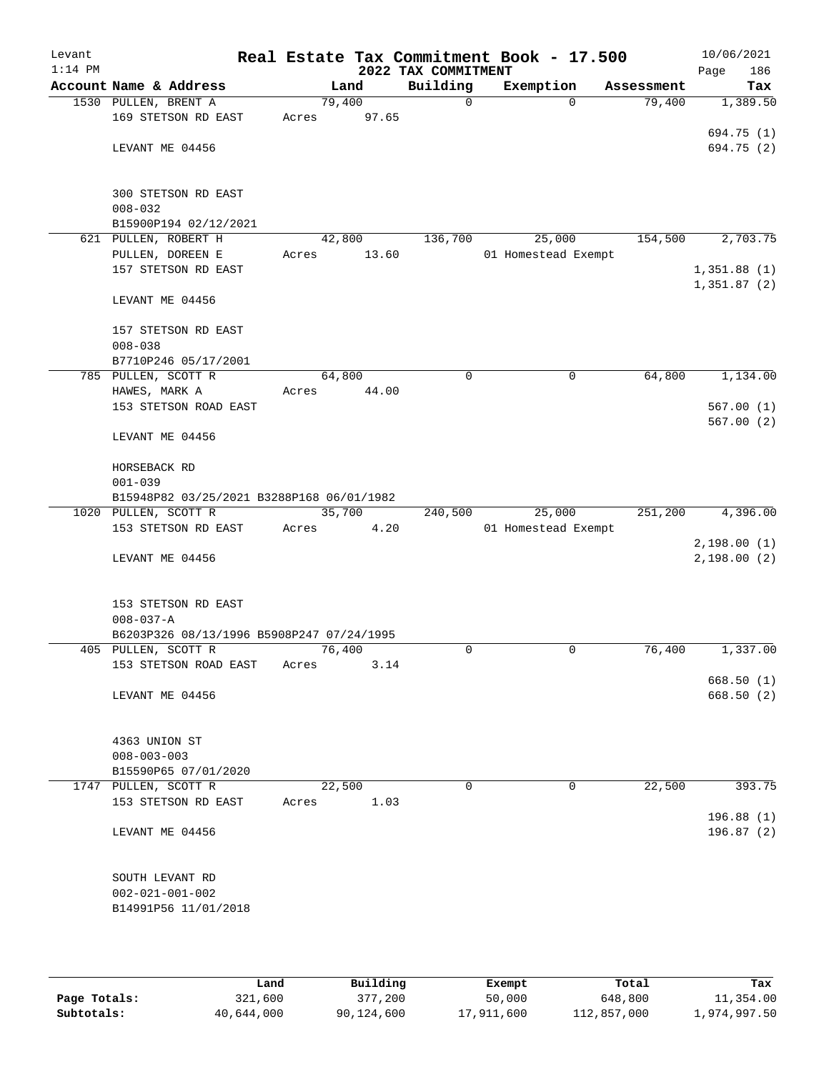| Levant<br>$1:14$ PM |                                           |       |        | 2022 TAX COMMITMENT | Real Estate Tax Commitment Book - 17.500 |            | 10/06/2021<br>186<br>Page |
|---------------------|-------------------------------------------|-------|--------|---------------------|------------------------------------------|------------|---------------------------|
|                     | Account Name & Address                    |       | Land   | Building            | Exemption                                | Assessment | Tax                       |
|                     | 1530 PULLEN, BRENT A                      |       | 79,400 | 0                   | $\Omega$                                 | 79,400     | 1,389.50                  |
|                     | 169 STETSON RD EAST                       | Acres | 97.65  |                     |                                          |            |                           |
|                     |                                           |       |        |                     |                                          |            | 694.75 (1)                |
|                     | LEVANT ME 04456                           |       |        |                     |                                          |            | 694.75 (2)                |
|                     |                                           |       |        |                     |                                          |            |                           |
|                     |                                           |       |        |                     |                                          |            |                           |
|                     | 300 STETSON RD EAST                       |       |        |                     |                                          |            |                           |
|                     | $008 - 032$                               |       |        |                     |                                          |            |                           |
|                     | B15900P194 02/12/2021                     |       |        |                     |                                          |            |                           |
|                     | 621 PULLEN, ROBERT H                      |       | 42,800 | 136,700             | 25,000                                   | 154,500    | 2,703.75                  |
|                     | PULLEN, DOREEN E                          | Acres | 13.60  |                     | 01 Homestead Exempt                      |            |                           |
|                     | 157 STETSON RD EAST                       |       |        |                     |                                          |            | 1,351.88(1)               |
|                     | LEVANT ME 04456                           |       |        |                     |                                          |            | 1,351.87(2)               |
|                     |                                           |       |        |                     |                                          |            |                           |
|                     | 157 STETSON RD EAST                       |       |        |                     |                                          |            |                           |
|                     | $008 - 038$                               |       |        |                     |                                          |            |                           |
|                     | B7710P246 05/17/2001                      |       |        |                     |                                          |            |                           |
|                     | 785 PULLEN, SCOTT R                       |       | 64,800 | $\mathbf 0$         | $\mathbf 0$                              | 64,800     | 1,134.00                  |
|                     | HAWES, MARK A                             | Acres | 44.00  |                     |                                          |            |                           |
|                     | 153 STETSON ROAD EAST                     |       |        |                     |                                          |            | 567.00(1)                 |
|                     |                                           |       |        |                     |                                          |            | 567.00(2)                 |
|                     | LEVANT ME 04456                           |       |        |                     |                                          |            |                           |
|                     |                                           |       |        |                     |                                          |            |                           |
|                     | HORSEBACK RD                              |       |        |                     |                                          |            |                           |
|                     | $001 - 039$                               |       |        |                     |                                          |            |                           |
|                     | B15948P82 03/25/2021 B3288P168 06/01/1982 |       |        |                     |                                          |            |                           |
|                     | 1020 PULLEN, SCOTT R                      |       | 35,700 | 240,500             | 25,000                                   | 251,200    | 4,396.00                  |
|                     | 153 STETSON RD EAST                       | Acres | 4.20   |                     | 01 Homestead Exempt                      |            |                           |
|                     |                                           |       |        |                     |                                          |            | 2,198.00(1)               |
|                     | LEVANT ME 04456                           |       |        |                     |                                          |            | 2,198.00(2)               |
|                     |                                           |       |        |                     |                                          |            |                           |
|                     | 153 STETSON RD EAST                       |       |        |                     |                                          |            |                           |
|                     | $008 - 037 - A$                           |       |        |                     |                                          |            |                           |
|                     | B6203P326 08/13/1996 B5908P247 07/24/1995 |       |        |                     |                                          |            |                           |
|                     | 405 PULLEN, SCOTT R                       |       | 76,400 | $\Omega$            | $\mathbf 0$                              | 76,400     | 1,337.00                  |
|                     | 153 STETSON ROAD EAST                     | Acres | 3.14   |                     |                                          |            |                           |
|                     |                                           |       |        |                     |                                          |            | 668.50(1)                 |
|                     | LEVANT ME 04456                           |       |        |                     |                                          |            | 668.50(2)                 |
|                     |                                           |       |        |                     |                                          |            |                           |
|                     |                                           |       |        |                     |                                          |            |                           |
|                     | 4363 UNION ST                             |       |        |                     |                                          |            |                           |
|                     | $008 - 003 - 003$                         |       |        |                     |                                          |            |                           |
|                     | B15590P65 07/01/2020                      |       |        |                     |                                          |            |                           |
|                     | 1747 PULLEN, SCOTT R                      |       | 22,500 | $\Omega$            | 0                                        | 22,500     | 393.75                    |
|                     | 153 STETSON RD EAST                       | Acres | 1.03   |                     |                                          |            |                           |
|                     |                                           |       |        |                     |                                          |            | 196.88(1)                 |
|                     | LEVANT ME 04456                           |       |        |                     |                                          |            | 196.87(2)                 |
|                     |                                           |       |        |                     |                                          |            |                           |
|                     | SOUTH LEVANT RD                           |       |        |                     |                                          |            |                           |
|                     | $002 - 021 - 001 - 002$                   |       |        |                     |                                          |            |                           |
|                     | B14991P56 11/01/2018                      |       |        |                     |                                          |            |                           |
|                     |                                           |       |        |                     |                                          |            |                           |
|                     |                                           |       |        |                     |                                          |            |                           |

|              | Land       | Building   | Exempt     | Total       | Tax          |  |
|--------------|------------|------------|------------|-------------|--------------|--|
| Page Totals: | 321,600    | 377,200    | 50,000     | 648,800     | 11,354.00    |  |
| Subtotals:   | 40,644,000 | 90,124,600 | 17,911,600 | 112,857,000 | 1,974,997.50 |  |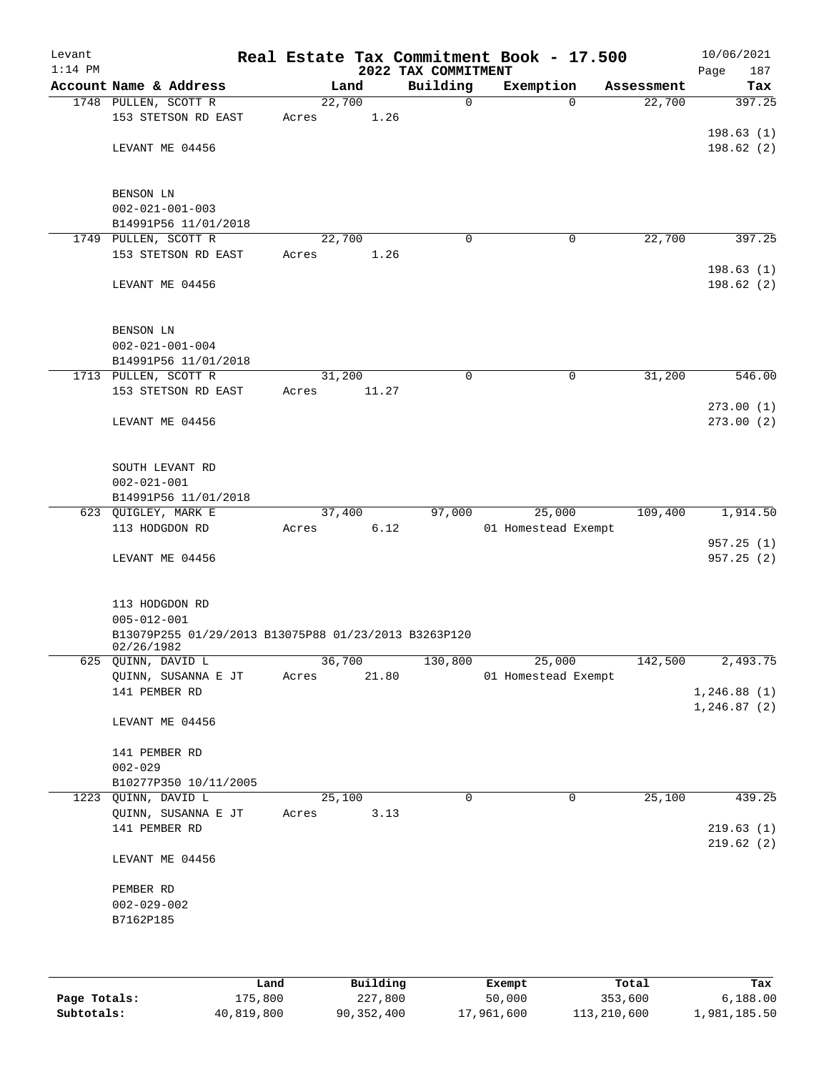| Levant<br>$1:14$ PM |                                                      |       |          |       | 2022 TAX COMMITMENT | Real Estate Tax Commitment Book - 17.500 |            | 10/06/2021<br>187<br>Page |
|---------------------|------------------------------------------------------|-------|----------|-------|---------------------|------------------------------------------|------------|---------------------------|
|                     | Account Name & Address                               |       | Land     |       | Building            | Exemption                                | Assessment | Tax                       |
|                     | 1748 PULLEN, SCOTT R                                 |       | 22,700   |       | 0                   | $\mathbf 0$                              | 22,700     | 397.25                    |
|                     | 153 STETSON RD EAST                                  | Acres |          | 1.26  |                     |                                          |            |                           |
|                     |                                                      |       |          |       |                     |                                          |            | 198.63(1)                 |
|                     | LEVANT ME 04456                                      |       |          |       |                     |                                          |            | 198.62(2)                 |
|                     |                                                      |       |          |       |                     |                                          |            |                           |
|                     |                                                      |       |          |       |                     |                                          |            |                           |
|                     | BENSON LN<br>$002 - 021 - 001 - 003$                 |       |          |       |                     |                                          |            |                           |
|                     | B14991P56 11/01/2018                                 |       |          |       |                     |                                          |            |                           |
|                     | 1749 PULLEN, SCOTT R                                 |       | 22,700   |       | $\mathbf 0$         | 0                                        | 22,700     | 397.25                    |
|                     | 153 STETSON RD EAST                                  | Acres |          | 1.26  |                     |                                          |            |                           |
|                     |                                                      |       |          |       |                     |                                          |            | 198.63(1)                 |
|                     | LEVANT ME 04456                                      |       |          |       |                     |                                          |            | 198.62(2)                 |
|                     |                                                      |       |          |       |                     |                                          |            |                           |
|                     | BENSON LN                                            |       |          |       |                     |                                          |            |                           |
|                     | $002 - 021 - 001 - 004$                              |       |          |       |                     |                                          |            |                           |
|                     | B14991P56 11/01/2018                                 |       |          |       |                     |                                          |            |                           |
|                     | 1713 PULLEN, SCOTT R                                 |       | 31,200   |       | 0                   | 0                                        | 31,200     | 546.00                    |
|                     | 153 STETSON RD EAST                                  | Acres |          | 11.27 |                     |                                          |            |                           |
|                     |                                                      |       |          |       |                     |                                          |            | 273.00(1)                 |
|                     | LEVANT ME 04456                                      |       |          |       |                     |                                          |            | 273.00(2)                 |
|                     |                                                      |       |          |       |                     |                                          |            |                           |
|                     |                                                      |       |          |       |                     |                                          |            |                           |
|                     | SOUTH LEVANT RD<br>$002 - 021 - 001$                 |       |          |       |                     |                                          |            |                           |
|                     | B14991P56 11/01/2018                                 |       |          |       |                     |                                          |            |                           |
|                     | 623 QUIGLEY, MARK E                                  |       | 37,400   |       | 97,000              | 25,000                                   | 109,400    | 1,914.50                  |
|                     | 113 HODGDON RD                                       | Acres |          | 6.12  |                     | 01 Homestead Exempt                      |            |                           |
|                     |                                                      |       |          |       |                     |                                          |            | 957.25(1)                 |
|                     | LEVANT ME 04456                                      |       |          |       |                     |                                          |            | 957.25(2)                 |
|                     |                                                      |       |          |       |                     |                                          |            |                           |
|                     | 113 HODGDON RD                                       |       |          |       |                     |                                          |            |                           |
|                     | $005 - 012 - 001$                                    |       |          |       |                     |                                          |            |                           |
|                     | B13079P255 01/29/2013 B13075P88 01/23/2013 B3263P120 |       |          |       |                     |                                          |            |                           |
|                     | 02/26/1982                                           |       |          |       |                     |                                          |            |                           |
|                     | 625 QUINN, DAVID L                                   |       | 36,700   |       | 130,800             | 25,000                                   | 142,500    | 2,493.75                  |
|                     | QUINN, SUSANNA E JT<br>141 PEMBER RD                 | Acres |          | 21.80 |                     | 01 Homestead Exempt                      |            | 1,246.88(1)               |
|                     |                                                      |       |          |       |                     |                                          |            | 1,246.87(2)               |
|                     | LEVANT ME 04456                                      |       |          |       |                     |                                          |            |                           |
|                     |                                                      |       |          |       |                     |                                          |            |                           |
|                     | 141 PEMBER RD                                        |       |          |       |                     |                                          |            |                           |
|                     | $002 - 029$                                          |       |          |       |                     |                                          |            |                           |
|                     | B10277P350 10/11/2005                                |       |          |       |                     |                                          |            |                           |
|                     | 1223 QUINN, DAVID L<br>QUINN, SUSANNA E JT           | Acres | 25,100   | 3.13  | 0                   | 0                                        | 25,100     | 439.25                    |
|                     | 141 PEMBER RD                                        |       |          |       |                     |                                          |            | 219.63(1)                 |
|                     |                                                      |       |          |       |                     |                                          |            | 219.62(2)                 |
|                     | LEVANT ME 04456                                      |       |          |       |                     |                                          |            |                           |
|                     |                                                      |       |          |       |                     |                                          |            |                           |
|                     | PEMBER RD                                            |       |          |       |                     |                                          |            |                           |
|                     | $002 - 029 - 002$                                    |       |          |       |                     |                                          |            |                           |
|                     | B7162P185                                            |       |          |       |                     |                                          |            |                           |
|                     |                                                      |       |          |       |                     |                                          |            |                           |
|                     |                                                      |       |          |       |                     |                                          |            |                           |
|                     |                                                      | Land  | Building |       |                     | Exempt                                   | Total      | Tax                       |

**Page Totals:** 175,800 227,800 50,000 353,600 6,188.00 **Subtotals:** 40,819,800 90,352,400 17,961,600 113,210,600 1,981,185.50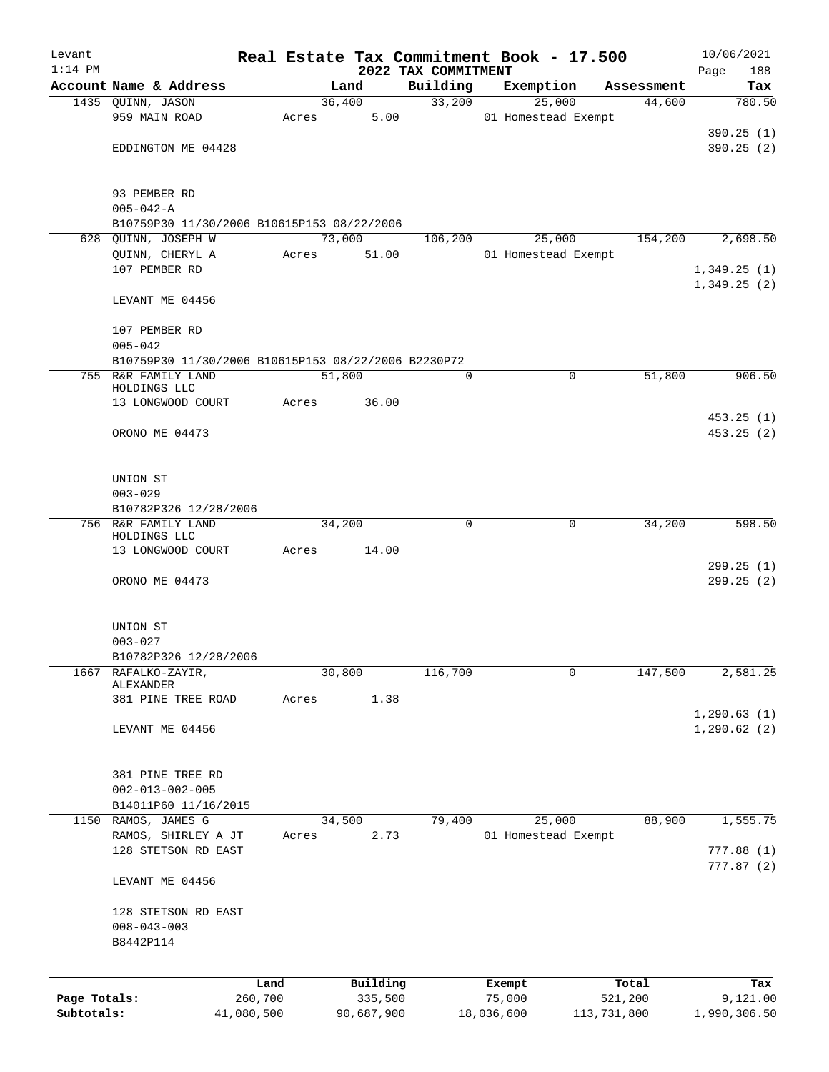| Levant       |                                                     |            |       |        |            | Real Estate Tax Commitment Book - 17.500 |            |                               |             | 10/06/2021                 |
|--------------|-----------------------------------------------------|------------|-------|--------|------------|------------------------------------------|------------|-------------------------------|-------------|----------------------------|
| $1:14$ PM    | Account Name & Address                              |            |       | Land   |            | 2022 TAX COMMITMENT<br>Building          |            | Exemption                     | Assessment  | 188<br>Page<br>Tax         |
|              | 1435 QUINN, JASON                                   |            |       | 36,400 |            | 33,200                                   |            | 25,000                        | 44,600      | 780.50                     |
|              | 959 MAIN ROAD                                       |            | Acres |        | 5.00       |                                          |            | 01 Homestead Exempt           |             |                            |
|              |                                                     |            |       |        |            |                                          |            |                               |             | 390.25(1)                  |
|              | EDDINGTON ME 04428                                  |            |       |        |            |                                          |            |                               |             | 390.25(2)                  |
|              |                                                     |            |       |        |            |                                          |            |                               |             |                            |
|              | 93 PEMBER RD                                        |            |       |        |            |                                          |            |                               |             |                            |
|              | $005 - 042 - A$                                     |            |       |        |            |                                          |            |                               |             |                            |
|              | B10759P30 11/30/2006 B10615P153 08/22/2006          |            |       |        |            |                                          |            |                               |             |                            |
|              | 628 OUINN, JOSEPH W                                 |            |       | 73,000 |            | 106,200                                  |            | 25,000                        | 154,200     | 2,698.50                   |
|              | QUINN, CHERYL A                                     |            | Acres |        | 51.00      |                                          |            | 01 Homestead Exempt           |             |                            |
|              | 107 PEMBER RD                                       |            |       |        |            |                                          |            |                               |             | 1,349.25(1)<br>1,349.25(2) |
|              | LEVANT ME 04456                                     |            |       |        |            |                                          |            |                               |             |                            |
|              | 107 PEMBER RD                                       |            |       |        |            |                                          |            |                               |             |                            |
|              | $005 - 042$                                         |            |       |        |            |                                          |            |                               |             |                            |
|              | B10759P30 11/30/2006 B10615P153 08/22/2006 B2230P72 |            |       |        |            |                                          |            |                               |             |                            |
|              | 755 R&R FAMILY LAND                                 |            |       | 51,800 |            | 0                                        |            | $\mathbf 0$                   | 51,800      | 906.50                     |
|              | HOLDINGS LLC<br>13 LONGWOOD COURT                   |            | Acres |        | 36.00      |                                          |            |                               |             |                            |
|              |                                                     |            |       |        |            |                                          |            |                               |             | 453.25(1)                  |
|              | ORONO ME 04473                                      |            |       |        |            |                                          |            |                               |             | 453.25(2)                  |
|              |                                                     |            |       |        |            |                                          |            |                               |             |                            |
|              |                                                     |            |       |        |            |                                          |            |                               |             |                            |
|              | UNION ST<br>$003 - 029$                             |            |       |        |            |                                          |            |                               |             |                            |
|              | B10782P326 12/28/2006                               |            |       |        |            |                                          |            |                               |             |                            |
| 756          | R&R FAMILY LAND                                     |            |       | 34,200 |            | 0                                        |            | 0                             | 34,200      | 598.50                     |
|              | HOLDINGS LLC                                        |            |       |        |            |                                          |            |                               |             |                            |
|              | 13 LONGWOOD COURT                                   |            | Acres |        | 14.00      |                                          |            |                               |             |                            |
|              | ORONO ME 04473                                      |            |       |        |            |                                          |            |                               |             | 299.25(1)<br>299.25(2)     |
|              |                                                     |            |       |        |            |                                          |            |                               |             |                            |
|              |                                                     |            |       |        |            |                                          |            |                               |             |                            |
|              | UNION ST                                            |            |       |        |            |                                          |            |                               |             |                            |
|              | $003 - 027$                                         |            |       |        |            |                                          |            |                               |             |                            |
| 1667         | B10782P326 12/28/2006<br>RAFALKO-ZAYIR,             |            |       | 30,800 |            | 116,700                                  |            | 0                             | 147,500     | 2,581.25                   |
|              | ALEXANDER                                           |            |       |        |            |                                          |            |                               |             |                            |
|              | 381 PINE TREE ROAD                                  |            | Acres |        | 1.38       |                                          |            |                               |             |                            |
|              | LEVANT ME 04456                                     |            |       |        |            |                                          |            |                               |             | 1, 290.63(1)               |
|              |                                                     |            |       |        |            |                                          |            |                               |             | 1, 290.62(2)               |
|              |                                                     |            |       |        |            |                                          |            |                               |             |                            |
|              | 381 PINE TREE RD                                    |            |       |        |            |                                          |            |                               |             |                            |
|              | $002 - 013 - 002 - 005$                             |            |       |        |            |                                          |            |                               |             |                            |
|              | B14011P60 11/16/2015                                |            |       |        |            |                                          |            |                               |             |                            |
|              | 1150 RAMOS, JAMES G<br>RAMOS, SHIRLEY A JT          |            | Acres | 34,500 | 2.73       | 79,400                                   |            | 25,000<br>01 Homestead Exempt | 88,900      | 1,555.75                   |
|              | 128 STETSON RD EAST                                 |            |       |        |            |                                          |            |                               |             | 777.88(1)                  |
|              |                                                     |            |       |        |            |                                          |            |                               |             | 777.87 (2)                 |
|              | LEVANT ME 04456                                     |            |       |        |            |                                          |            |                               |             |                            |
|              | 128 STETSON RD EAST                                 |            |       |        |            |                                          |            |                               |             |                            |
|              | $008 - 043 - 003$                                   |            |       |        |            |                                          |            |                               |             |                            |
|              | B8442P114                                           |            |       |        |            |                                          |            |                               |             |                            |
|              |                                                     |            |       |        |            |                                          |            |                               |             |                            |
|              |                                                     | Land       |       |        | Building   |                                          | Exempt     |                               | Total       | Tax                        |
| Page Totals: |                                                     | 260,700    |       |        | 335,500    |                                          | 75,000     |                               | 521,200     | 9,121.00                   |
| Subtotals:   |                                                     | 41,080,500 |       |        | 90,687,900 |                                          | 18,036,600 |                               | 113,731,800 | 1,990,306.50               |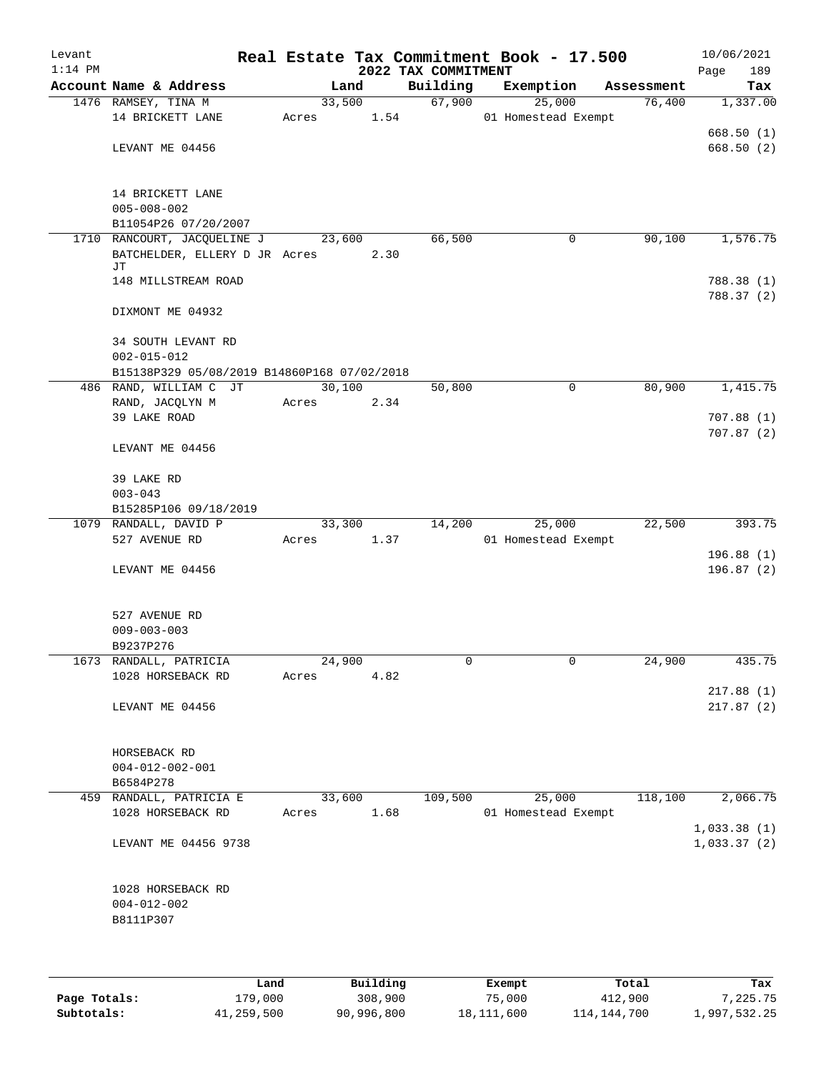| Levant<br>$1:14$ PM |                                             |        |      | 2022 TAX COMMITMENT | Real Estate Tax Commitment Book - 17.500 |            | 10/06/2021<br>189<br>Page |
|---------------------|---------------------------------------------|--------|------|---------------------|------------------------------------------|------------|---------------------------|
|                     | Account Name & Address                      |        | Land | Building            | Exemption                                | Assessment | Tax                       |
|                     | 1476 RAMSEY, TINA M                         | 33,500 |      | 67,900              | 25,000                                   | 76,400     | 1,337.00                  |
|                     | 14 BRICKETT LANE                            | Acres  | 1.54 |                     | 01 Homestead Exempt                      |            |                           |
|                     |                                             |        |      |                     |                                          |            | 668.50(1)                 |
|                     | LEVANT ME 04456                             |        |      |                     |                                          |            | 668.50(2)                 |
|                     |                                             |        |      |                     |                                          |            |                           |
|                     |                                             |        |      |                     |                                          |            |                           |
|                     | 14 BRICKETT LANE                            |        |      |                     |                                          |            |                           |
|                     | $005 - 008 - 002$                           |        |      |                     |                                          |            |                           |
|                     | B11054P26 07/20/2007                        |        |      |                     |                                          |            |                           |
|                     | 1710 RANCOURT, JACQUELINE J                 | 23,600 |      | 66,500              | 0                                        | 90,100     | 1,576.75                  |
|                     | BATCHELDER, ELLERY D JR Acres               |        | 2.30 |                     |                                          |            |                           |
|                     | JΤ                                          |        |      |                     |                                          |            |                           |
|                     | 148 MILLSTREAM ROAD                         |        |      |                     |                                          |            | 788.38 (1)<br>788.37 (2)  |
|                     | DIXMONT ME 04932                            |        |      |                     |                                          |            |                           |
|                     |                                             |        |      |                     |                                          |            |                           |
|                     | 34 SOUTH LEVANT RD                          |        |      |                     |                                          |            |                           |
|                     | $002 - 015 - 012$                           |        |      |                     |                                          |            |                           |
|                     | B15138P329 05/08/2019 B14860P168 07/02/2018 |        |      |                     |                                          |            |                           |
|                     | 486 RAND, WILLIAM C JT                      | 30,100 |      | 50,800              | $\mathbf 0$                              | 80,900     | 1,415.75                  |
|                     | RAND, JACQLYN M                             | Acres  | 2.34 |                     |                                          |            |                           |
|                     | 39 LAKE ROAD                                |        |      |                     |                                          |            | 707.88(1)                 |
|                     |                                             |        |      |                     |                                          |            | 707.87(2)                 |
|                     | LEVANT ME 04456                             |        |      |                     |                                          |            |                           |
|                     |                                             |        |      |                     |                                          |            |                           |
|                     | 39 LAKE RD                                  |        |      |                     |                                          |            |                           |
|                     | $003 - 043$                                 |        |      |                     |                                          |            |                           |
|                     | B15285P106 09/18/2019                       |        |      |                     |                                          |            |                           |
|                     | 1079 RANDALL, DAVID P                       | 33,300 |      | 14,200              | 25,000                                   | 22,500     | 393.75                    |
|                     | 527 AVENUE RD                               | Acres  | 1.37 |                     | 01 Homestead Exempt                      |            |                           |
|                     |                                             |        |      |                     |                                          |            | 196.88 (1)                |
|                     | LEVANT ME 04456                             |        |      |                     |                                          |            | 196.87(2)                 |
|                     |                                             |        |      |                     |                                          |            |                           |
|                     |                                             |        |      |                     |                                          |            |                           |
|                     | 527 AVENUE RD                               |        |      |                     |                                          |            |                           |
|                     | $009 - 003 - 003$                           |        |      |                     |                                          |            |                           |
|                     | B9237P276                                   |        |      |                     |                                          |            |                           |
|                     | 1673 RANDALL, PATRICIA                      | 24,900 |      | 0                   | 0                                        | 24,900     | 435.75                    |
|                     | 1028 HORSEBACK RD                           | Acres  | 4.82 |                     |                                          |            |                           |
|                     |                                             |        |      |                     |                                          |            | 217.88(1)                 |
|                     | LEVANT ME 04456                             |        |      |                     |                                          |            | 217.87(2)                 |
|                     |                                             |        |      |                     |                                          |            |                           |
|                     |                                             |        |      |                     |                                          |            |                           |
|                     | HORSEBACK RD                                |        |      |                     |                                          |            |                           |
|                     | $004 - 012 - 002 - 001$<br>B6584P278        |        |      |                     |                                          |            |                           |
|                     | 459 RANDALL, PATRICIA E                     | 33,600 |      | 109,500             | 25,000                                   | 118,100    | 2,066.75                  |
|                     | 1028 HORSEBACK RD                           | Acres  | 1.68 |                     | 01 Homestead Exempt                      |            |                           |
|                     |                                             |        |      |                     |                                          |            | 1,033.38(1)               |
|                     | LEVANT ME 04456 9738                        |        |      |                     |                                          |            | 1,033.37(2)               |
|                     |                                             |        |      |                     |                                          |            |                           |
|                     |                                             |        |      |                     |                                          |            |                           |
|                     | 1028 HORSEBACK RD                           |        |      |                     |                                          |            |                           |
|                     | $004 - 012 - 002$                           |        |      |                     |                                          |            |                           |
|                     | B8111P307                                   |        |      |                     |                                          |            |                           |
|                     |                                             |        |      |                     |                                          |            |                           |
|                     |                                             |        |      |                     |                                          |            |                           |
|                     |                                             |        |      |                     |                                          |            |                           |

|              | Land       | Building   | Exempt     | Total       | Tax          |
|--------------|------------|------------|------------|-------------|--------------|
| Page Totals: | 179,000    | 308,900    | 75,000     | 412,900     | 7,225.75     |
| Subtotals:   | 41,259,500 | 90,996,800 | 18,111,600 | 114,144,700 | 1,997,532.25 |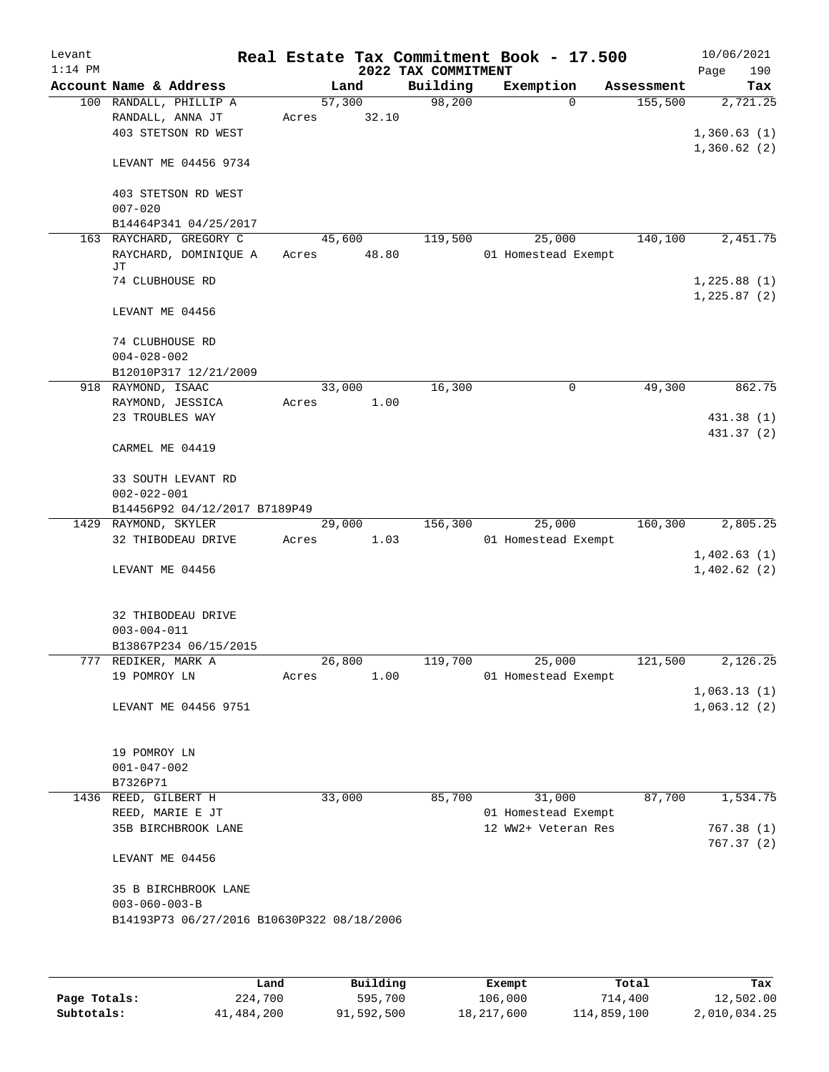| Levant<br>$1:14$ PM |                                                                                             |                 |       | 2022 TAX COMMITMENT | Real Estate Tax Commitment Book - 17.500 |            | 10/06/2021<br>190<br>Page  |
|---------------------|---------------------------------------------------------------------------------------------|-----------------|-------|---------------------|------------------------------------------|------------|----------------------------|
|                     | Account Name & Address                                                                      |                 | Land  | Building            | Exemption                                | Assessment | Tax                        |
|                     | 100 RANDALL, PHILLIP A<br>RANDALL, ANNA JT<br>403 STETSON RD WEST                           | 57,300<br>Acres | 32.10 | 98,200              | $\Omega$                                 | 155,500    | 2,721.25<br>1,360.63(1)    |
|                     | LEVANT ME 04456 9734                                                                        |                 |       |                     |                                          |            | 1,360.62(2)                |
|                     | 403 STETSON RD WEST<br>$007 - 020$                                                          |                 |       |                     |                                          |            |                            |
|                     | B14464P341 04/25/2017                                                                       |                 |       |                     |                                          |            |                            |
|                     | 163 RAYCHARD, GREGORY C<br>RAYCHARD, DOMINIQUE A<br>JΤ                                      | 45,600<br>Acres | 48.80 | 119,500             | 25,000<br>01 Homestead Exempt            | 140,100    | 2,451.75                   |
|                     | 74 CLUBHOUSE RD                                                                             |                 |       |                     |                                          |            | 1,225.88(1)<br>1,225.87(2) |
|                     | LEVANT ME 04456                                                                             |                 |       |                     |                                          |            |                            |
|                     | 74 CLUBHOUSE RD<br>$004 - 028 - 002$                                                        |                 |       |                     |                                          |            |                            |
|                     | B12010P317 12/21/2009                                                                       |                 |       |                     |                                          |            |                            |
|                     | 918 RAYMOND, ISAAC                                                                          | 33,000          |       | 16,300              | 0                                        | 49,300     | 862.75                     |
|                     | RAYMOND, JESSICA                                                                            | Acres           | 1.00  |                     |                                          |            |                            |
|                     | 23 TROUBLES WAY                                                                             |                 |       |                     |                                          |            | 431.38 (1)                 |
|                     | CARMEL ME 04419                                                                             |                 |       |                     |                                          |            | 431.37 (2)                 |
|                     | 33 SOUTH LEVANT RD<br>$002 - 022 - 001$                                                     |                 |       |                     |                                          |            |                            |
|                     | B14456P92 04/12/2017 B7189P49                                                               |                 |       |                     |                                          |            |                            |
|                     | 1429 RAYMOND, SKYLER<br>32 THIBODEAU DRIVE                                                  | 29,000<br>Acres | 1.03  | 156,300             | 25,000<br>01 Homestead Exempt            | 160,300    | 2,805.25<br>1,402.63(1)    |
|                     | LEVANT ME 04456                                                                             |                 |       |                     |                                          |            | 1,402.62(2)                |
|                     | 32 THIBODEAU DRIVE<br>$003 - 004 - 011$                                                     |                 |       |                     |                                          |            |                            |
|                     | B13867P234 06/15/2015                                                                       |                 |       |                     |                                          |            |                            |
|                     | 777 REDIKER, MARK A<br>19 POMROY LN                                                         | 26,800<br>Acres | 1.00  | 119,700             | 25,000<br>01 Homestead Exempt            | 121,500    | 2,126.25<br>1,063.13(1)    |
|                     | LEVANT ME 04456 9751                                                                        |                 |       |                     |                                          |            | 1,063.12(2)                |
|                     | 19 POMROY LN<br>$001 - 047 - 002$<br>B7326P71                                               |                 |       |                     |                                          |            |                            |
|                     | 1436 REED, GILBERT H                                                                        | 33,000          |       | 85,700              | 31,000                                   | 87,700     | 1,534.75                   |
|                     | REED, MARIE E JT                                                                            |                 |       |                     | 01 Homestead Exempt                      |            |                            |
|                     | 35B BIRCHBROOK LANE                                                                         |                 |       |                     | 12 WW2+ Veteran Res                      |            | 767.38 (1)<br>767.37(2)    |
|                     | LEVANT ME 04456                                                                             |                 |       |                     |                                          |            |                            |
|                     | 35 B BIRCHBROOK LANE<br>$003 - 060 - 003 - B$<br>B14193P73 06/27/2016 B10630P322 08/18/2006 |                 |       |                     |                                          |            |                            |
|                     |                                                                                             |                 |       |                     |                                          |            |                            |

|              | Land       | Building   | Exempt     | Total       | Tax          |
|--------------|------------|------------|------------|-------------|--------------|
| Page Totals: | 224,700    | 595,700    | 106,000    | 714,400     | 12,502.00    |
| Subtotals:   | 41,484,200 | 91,592,500 | 18,217,600 | 114,859,100 | 2,010,034.25 |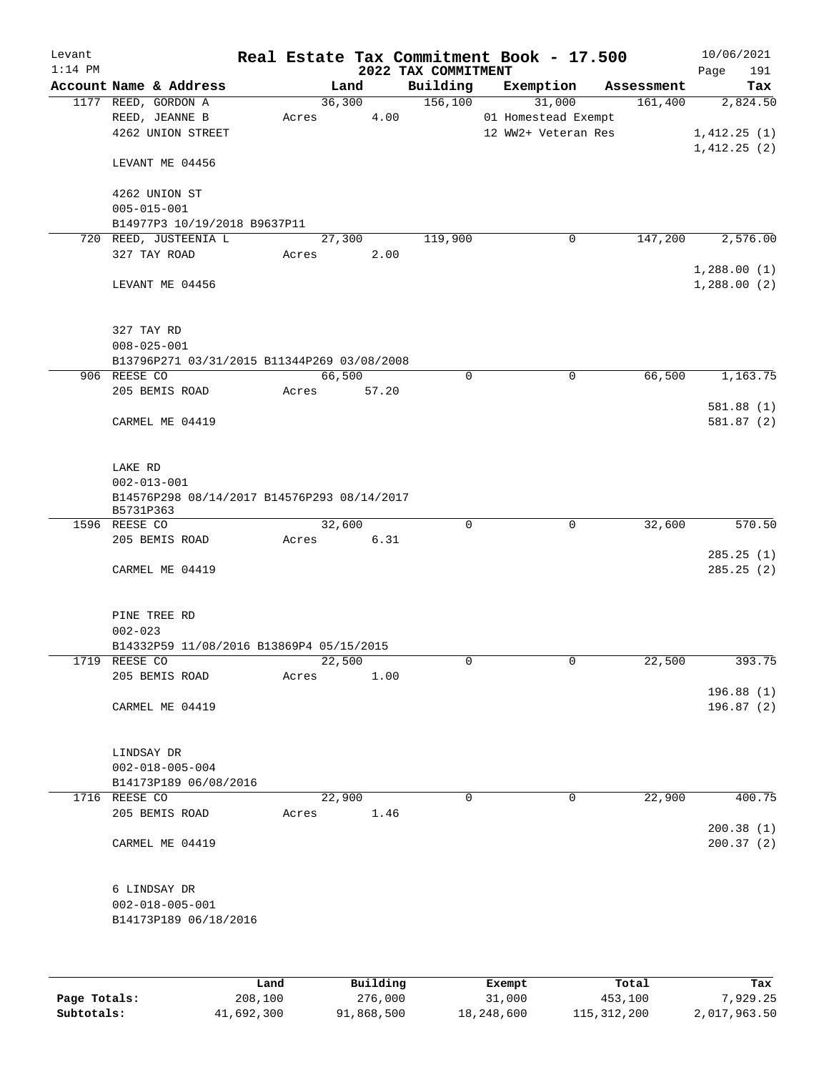| Levant<br>$1:14$ PM |                                             |         |          | 2022 TAX COMMITMENT | Real Estate Tax Commitment Book - 17.500 |            | 10/06/2021<br>Page<br>191 |  |
|---------------------|---------------------------------------------|---------|----------|---------------------|------------------------------------------|------------|---------------------------|--|
|                     | Account Name & Address                      |         | Land     | Building            | Exemption                                | Assessment | Tax                       |  |
|                     | 1177 REED, GORDON A                         |         | 36,300   | 156,100             | 31,000                                   | 161,400    | 2,824.50                  |  |
|                     | REED, JEANNE B                              | Acres   | 4.00     |                     | 01 Homestead Exempt                      |            |                           |  |
|                     | 4262 UNION STREET                           |         |          |                     | 12 WW2+ Veteran Res                      |            | 1,412.25(1)               |  |
|                     |                                             |         |          |                     |                                          |            | 1,412.25(2)               |  |
|                     | LEVANT ME 04456                             |         |          |                     |                                          |            |                           |  |
|                     | 4262 UNION ST                               |         |          |                     |                                          |            |                           |  |
|                     | $005 - 015 - 001$                           |         |          |                     |                                          |            |                           |  |
|                     | B14977P3 10/19/2018 B9637P11                |         |          |                     |                                          |            |                           |  |
|                     | 720 REED, JUSTEENIA L                       |         | 27,300   | 119,900             | $\mathsf{O}$                             | 147,200    | 2,576.00                  |  |
|                     | 327 TAY ROAD                                | Acres   | 2.00     |                     |                                          |            |                           |  |
|                     |                                             |         |          |                     |                                          |            | 1,288.00(1)               |  |
|                     | LEVANT ME 04456                             |         |          |                     |                                          |            | 1,288.00(2)               |  |
|                     |                                             |         |          |                     |                                          |            |                           |  |
|                     | 327 TAY RD                                  |         |          |                     |                                          |            |                           |  |
|                     | $008 - 025 - 001$                           |         |          |                     |                                          |            |                           |  |
|                     | B13796P271 03/31/2015 B11344P269 03/08/2008 |         |          |                     |                                          |            |                           |  |
|                     | 906 REESE CO                                |         | 66,500   | 0                   | $\mathbf 0$                              | 66,500     | 1,163.75                  |  |
|                     | 205 BEMIS ROAD                              | Acres   | 57.20    |                     |                                          |            |                           |  |
|                     |                                             |         |          |                     |                                          |            | 581.88(1)                 |  |
|                     | CARMEL ME 04419                             |         |          |                     |                                          |            | 581.87(2)                 |  |
|                     |                                             |         |          |                     |                                          |            |                           |  |
|                     | LAKE RD                                     |         |          |                     |                                          |            |                           |  |
|                     | $002 - 013 - 001$                           |         |          |                     |                                          |            |                           |  |
|                     | B14576P298 08/14/2017 B14576P293 08/14/2017 |         |          |                     |                                          |            |                           |  |
|                     | B5731P363                                   |         |          |                     |                                          |            |                           |  |
|                     | 1596 REESE CO                               |         | 32,600   | $\mathbf 0$         | $\mathbf 0$                              | 32,600     | 570.50                    |  |
|                     | 205 BEMIS ROAD                              | Acres   | 6.31     |                     |                                          |            |                           |  |
|                     |                                             |         |          |                     |                                          |            | 285.25(1)                 |  |
|                     | CARMEL ME 04419                             |         |          |                     |                                          |            | 285.25(2)                 |  |
|                     |                                             |         |          |                     |                                          |            |                           |  |
|                     | PINE TREE RD                                |         |          |                     |                                          |            |                           |  |
|                     | $002 - 023$                                 |         |          |                     |                                          |            |                           |  |
|                     | B14332P59 11/08/2016 B13869P4 05/15/2015    |         |          |                     |                                          |            |                           |  |
|                     | 1719 REESE CO                               |         | 22,500   | 0                   | $\mathsf{O}$                             | 22,500     | 393.75                    |  |
|                     | 205 BEMIS ROAD                              | Acres   | 1.00     |                     |                                          |            |                           |  |
|                     |                                             |         |          |                     |                                          |            | 196.88 (1)                |  |
|                     | CARMEL ME 04419                             |         |          |                     |                                          |            | 196.87 (2)                |  |
|                     | LINDSAY DR                                  |         |          |                     |                                          |            |                           |  |
|                     | $002 - 018 - 005 - 004$                     |         |          |                     |                                          |            |                           |  |
|                     | B14173P189 06/08/2016                       |         |          |                     |                                          |            |                           |  |
|                     |                                             |         |          | $\Omega$            |                                          |            |                           |  |
| 1716                | REESE CO                                    |         | 22,900   |                     | 0                                        | 22,900     | 400.75                    |  |
|                     | 205 BEMIS ROAD                              | Acres   | 1.46     |                     |                                          |            |                           |  |
|                     |                                             |         |          |                     |                                          |            | 200.38(1)                 |  |
|                     | CARMEL ME 04419                             |         |          |                     |                                          |            | 200.37(2)                 |  |
|                     | 6 LINDSAY DR                                |         |          |                     |                                          |            |                           |  |
|                     | $002 - 018 - 005 - 001$                     |         |          |                     |                                          |            |                           |  |
|                     |                                             |         |          |                     |                                          |            |                           |  |
|                     | B14173P189 06/18/2016                       |         |          |                     |                                          |            |                           |  |
|                     |                                             |         |          |                     |                                          |            |                           |  |
|                     |                                             | Land    | Building |                     | Exempt                                   | Total      | Tax                       |  |
| Page Totals:        |                                             | 208,100 | 276,000  |                     | 31,000                                   | 453,100    | 7,929.25                  |  |
|                     |                                             |         |          |                     |                                          |            |                           |  |

**Subtotals:** 41,692,300 91,868,500 18,248,600 115,312,200 2,017,963.50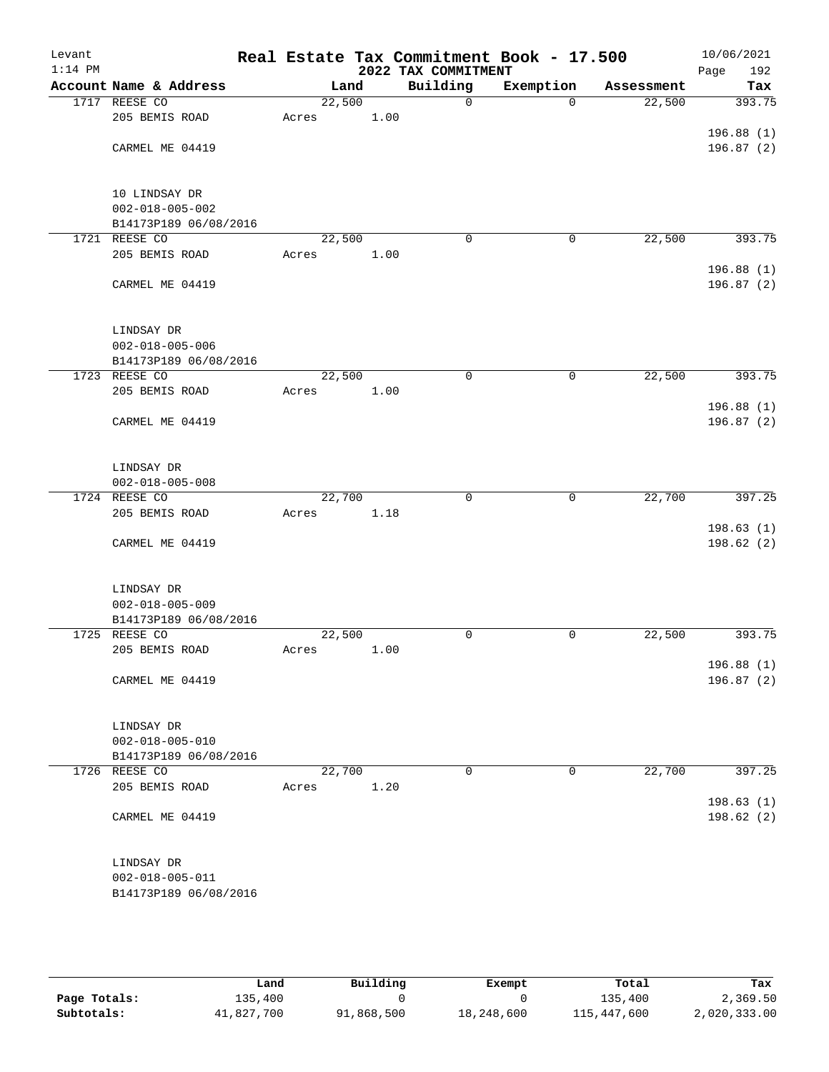| Levant<br>$1:14$ PM |                                 |                 |      | 2022 TAX COMMITMENT | Real Estate Tax Commitment Book - 17.500 |            | 10/06/2021<br>Page<br>192 |
|---------------------|---------------------------------|-----------------|------|---------------------|------------------------------------------|------------|---------------------------|
|                     | Account Name & Address          | Land            |      | Building            | Exemption                                | Assessment | Tax                       |
|                     | 1717 REESE CO                   | 22,500          |      | $\mathbf 0$         | $\Omega$                                 | 22,500     | 393.75                    |
|                     | 205 BEMIS ROAD                  | Acres           | 1.00 |                     |                                          |            |                           |
|                     |                                 |                 |      |                     |                                          |            | 196.88(1)                 |
|                     | CARMEL ME 04419                 |                 |      |                     |                                          |            | 196.87(2)                 |
|                     |                                 |                 |      |                     |                                          |            |                           |
|                     |                                 |                 |      |                     |                                          |            |                           |
|                     | 10 LINDSAY DR                   |                 |      |                     |                                          |            |                           |
|                     | $002 - 018 - 005 - 002$         |                 |      |                     |                                          |            |                           |
|                     | B14173P189 06/08/2016           |                 |      |                     |                                          |            |                           |
|                     | 1721 REESE CO                   | 22,500          |      | $\mathbf 0$         | 0                                        | 22,500     | 393.75                    |
|                     | 205 BEMIS ROAD                  | Acres           | 1.00 |                     |                                          |            |                           |
|                     |                                 |                 |      |                     |                                          |            | 196.88(1)                 |
|                     | CARMEL ME 04419                 |                 |      |                     |                                          |            | 196.87 (2)                |
|                     |                                 |                 |      |                     |                                          |            |                           |
|                     |                                 |                 |      |                     |                                          |            |                           |
|                     | LINDSAY DR                      |                 |      |                     |                                          |            |                           |
|                     | $002 - 018 - 005 - 006$         |                 |      |                     |                                          |            |                           |
|                     | B14173P189 06/08/2016           |                 |      |                     |                                          |            |                           |
|                     | 1723 REESE CO                   | 22,500          |      | $\mathbf 0$         | $\mathbf 0$                              | 22,500     | 393.75                    |
|                     | 205 BEMIS ROAD                  | Acres           | 1.00 |                     |                                          |            |                           |
|                     | CARMEL ME 04419                 |                 |      |                     |                                          |            | 196.88 (1)<br>196.87 (2)  |
|                     |                                 |                 |      |                     |                                          |            |                           |
|                     |                                 |                 |      |                     |                                          |            |                           |
|                     | LINDSAY DR                      |                 |      |                     |                                          |            |                           |
|                     | $002 - 018 - 005 - 008$         |                 |      |                     |                                          |            |                           |
| 1724                | REESE CO                        | 22,700          |      | $\mathbf 0$         | 0                                        | 22,700     | 397.25                    |
|                     | 205 BEMIS ROAD                  | Acres           | 1.18 |                     |                                          |            |                           |
|                     |                                 |                 |      |                     |                                          |            | 198.63(1)                 |
|                     | CARMEL ME 04419                 |                 |      |                     |                                          |            | 198.62 (2)                |
|                     |                                 |                 |      |                     |                                          |            |                           |
|                     |                                 |                 |      |                     |                                          |            |                           |
|                     | LINDSAY DR                      |                 |      |                     |                                          |            |                           |
|                     | $002 - 018 - 005 - 009$         |                 |      |                     |                                          |            |                           |
|                     | B14173P189 06/08/2016           |                 |      |                     |                                          |            |                           |
|                     | 1725 REESE CO                   | 22,500          |      | 0                   | $\mathbf 0$                              | 22,500     | 393.75                    |
|                     | 205 BEMIS ROAD                  | Acres           | 1.00 |                     |                                          |            |                           |
|                     |                                 |                 |      |                     |                                          |            | 196.88 (1)                |
|                     | CARMEL ME 04419                 |                 |      |                     |                                          |            | 196.87(2)                 |
|                     |                                 |                 |      |                     |                                          |            |                           |
|                     |                                 |                 |      |                     |                                          |            |                           |
|                     | LINDSAY DR                      |                 |      |                     |                                          |            |                           |
|                     | $002 - 018 - 005 - 010$         |                 |      |                     |                                          |            |                           |
|                     | B14173P189 06/08/2016           |                 |      | $\mathbf 0$         | $\mathbf 0$                              |            | 397.25                    |
|                     | 1726 REESE CO<br>205 BEMIS ROAD | 22,700<br>Acres | 1.20 |                     |                                          | 22,700     |                           |
|                     |                                 |                 |      |                     |                                          |            | 198.63(1)                 |
|                     | CARMEL ME 04419                 |                 |      |                     |                                          |            | 198.62 (2)                |
|                     |                                 |                 |      |                     |                                          |            |                           |
|                     |                                 |                 |      |                     |                                          |            |                           |
|                     | LINDSAY DR                      |                 |      |                     |                                          |            |                           |
|                     | $002 - 018 - 005 - 011$         |                 |      |                     |                                          |            |                           |
|                     | B14173P189 06/08/2016           |                 |      |                     |                                          |            |                           |
|                     |                                 |                 |      |                     |                                          |            |                           |
|                     |                                 |                 |      |                     |                                          |            |                           |

|              | Land       | Building   | Exempt     | Total       | Tax          |
|--------------|------------|------------|------------|-------------|--------------|
| Page Totals: | 135,400    |            |            | 135,400     | 2,369.50     |
| Subtotals:   | 41,827,700 | 91,868,500 | 18,248,600 | 115,447,600 | 2,020,333.00 |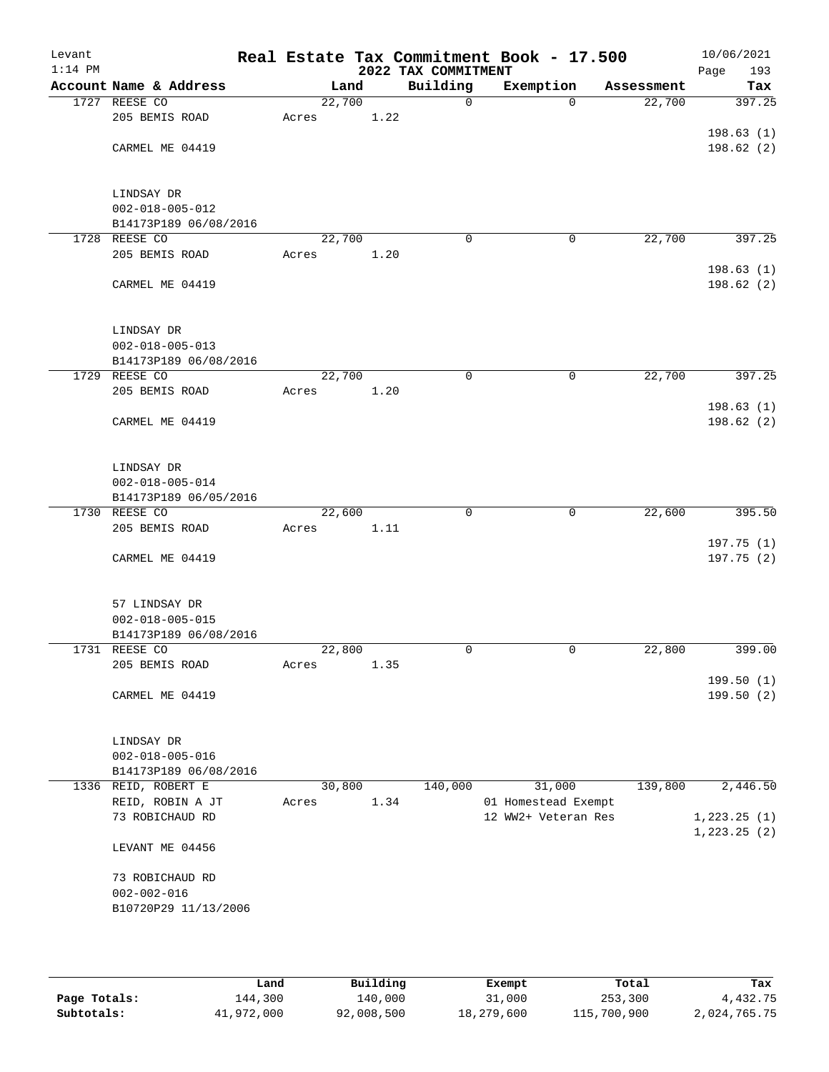| Levant<br>$1:14$ PM |                                                  |       |        | 2022 TAX COMMITMENT | Real Estate Tax Commitment Book - 17.500 |            | 10/06/2021<br>Page<br>193 |
|---------------------|--------------------------------------------------|-------|--------|---------------------|------------------------------------------|------------|---------------------------|
|                     | Account Name & Address                           |       | Land   | Building            | Exemption                                | Assessment | Tax                       |
| 1727                | REESE CO                                         |       | 22,700 | $\mathbf 0$         | $\Omega$                                 | 22,700     | 397.25                    |
|                     | 205 BEMIS ROAD                                   | Acres | 1.22   |                     |                                          |            |                           |
|                     |                                                  |       |        |                     |                                          |            | 198.63(1)                 |
|                     | CARMEL ME 04419                                  |       |        |                     |                                          |            | 198.62 (2)                |
|                     |                                                  |       |        |                     |                                          |            |                           |
|                     |                                                  |       |        |                     |                                          |            |                           |
|                     | LINDSAY DR                                       |       |        |                     |                                          |            |                           |
|                     | $002 - 018 - 005 - 012$                          |       |        |                     |                                          |            |                           |
|                     | B14173P189 06/08/2016                            |       |        |                     |                                          |            |                           |
|                     | 1728 REESE CO                                    |       | 22,700 | $\mathbf 0$         | 0                                        | 22,700     | 397.25                    |
|                     | 205 BEMIS ROAD                                   | Acres | 1.20   |                     |                                          |            |                           |
|                     |                                                  |       |        |                     |                                          |            | 198.63(1)                 |
|                     | CARMEL ME 04419                                  |       |        |                     |                                          |            | 198.62 (2)                |
|                     |                                                  |       |        |                     |                                          |            |                           |
|                     |                                                  |       |        |                     |                                          |            |                           |
|                     | LINDSAY DR                                       |       |        |                     |                                          |            |                           |
|                     | $002 - 018 - 005 - 013$                          |       |        |                     |                                          |            |                           |
|                     | B14173P189 06/08/2016                            |       |        |                     |                                          |            |                           |
|                     | 1729 REESE CO                                    |       | 22,700 | $\mathbf 0$         | 0                                        | 22,700     | 397.25                    |
|                     | 205 BEMIS ROAD                                   | Acres | 1.20   |                     |                                          |            |                           |
|                     | CARMEL ME 04419                                  |       |        |                     |                                          |            | 198.63(1)<br>198.62(2)    |
|                     |                                                  |       |        |                     |                                          |            |                           |
|                     |                                                  |       |        |                     |                                          |            |                           |
|                     | LINDSAY DR                                       |       |        |                     |                                          |            |                           |
|                     | $002 - 018 - 005 - 014$                          |       |        |                     |                                          |            |                           |
|                     | B14173P189 06/05/2016                            |       |        |                     |                                          |            |                           |
|                     | 1730 REESE CO                                    |       | 22,600 | $\mathbf 0$         | $\mathbf 0$                              | 22,600     | 395.50                    |
|                     | 205 BEMIS ROAD                                   | Acres | 1.11   |                     |                                          |            |                           |
|                     |                                                  |       |        |                     |                                          |            | 197.75 (1)                |
|                     | CARMEL ME 04419                                  |       |        |                     |                                          |            | 197.75 (2)                |
|                     |                                                  |       |        |                     |                                          |            |                           |
|                     |                                                  |       |        |                     |                                          |            |                           |
|                     | 57 LINDSAY DR                                    |       |        |                     |                                          |            |                           |
|                     | $002 - 018 - 005 - 015$                          |       |        |                     |                                          |            |                           |
|                     | B14173P189 06/08/2016                            |       |        |                     |                                          |            |                           |
|                     | 1731 REESE CO                                    |       | 22,800 | 0                   | 0                                        | 22,800     | 399.00                    |
|                     | 205 BEMIS ROAD                                   | Acres | 1.35   |                     |                                          |            |                           |
|                     |                                                  |       |        |                     |                                          |            | 199.50(1)                 |
|                     | CARMEL ME 04419                                  |       |        |                     |                                          |            | 199.50(2)                 |
|                     |                                                  |       |        |                     |                                          |            |                           |
|                     |                                                  |       |        |                     |                                          |            |                           |
|                     | LINDSAY DR                                       |       |        |                     |                                          |            |                           |
|                     | $002 - 018 - 005 - 016$<br>B14173P189 06/08/2016 |       |        |                     |                                          |            |                           |
|                     | 1336 REID, ROBERT E                              |       | 30,800 | 140,000             | 31,000                                   | 139,800    | 2,446.50                  |
|                     | REID, ROBIN A JT                                 | Acres | 1.34   |                     | 01 Homestead Exempt                      |            |                           |
|                     | 73 ROBICHAUD RD                                  |       |        |                     | 12 WW2+ Veteran Res                      |            | 1, 223.25 (1)             |
|                     |                                                  |       |        |                     |                                          |            | 1, 223.25 (2)             |
|                     | LEVANT ME 04456                                  |       |        |                     |                                          |            |                           |
|                     |                                                  |       |        |                     |                                          |            |                           |
|                     | 73 ROBICHAUD RD                                  |       |        |                     |                                          |            |                           |
|                     | $002 - 002 - 016$                                |       |        |                     |                                          |            |                           |
|                     | B10720P29 11/13/2006                             |       |        |                     |                                          |            |                           |
|                     |                                                  |       |        |                     |                                          |            |                           |
|                     |                                                  |       |        |                     |                                          |            |                           |
|                     |                                                  |       |        |                     |                                          |            |                           |
|                     |                                                  |       |        |                     |                                          |            |                           |

|              | Land       | Building   | Exempt     | Total       | Tax          |
|--------------|------------|------------|------------|-------------|--------------|
| Page Totals: | 144,300    | 140,000    | 31,000     | 253,300     | 4,432.75     |
| Subtotals:   | 41,972,000 | 92,008,500 | 18,279,600 | 115,700,900 | 2,024,765.75 |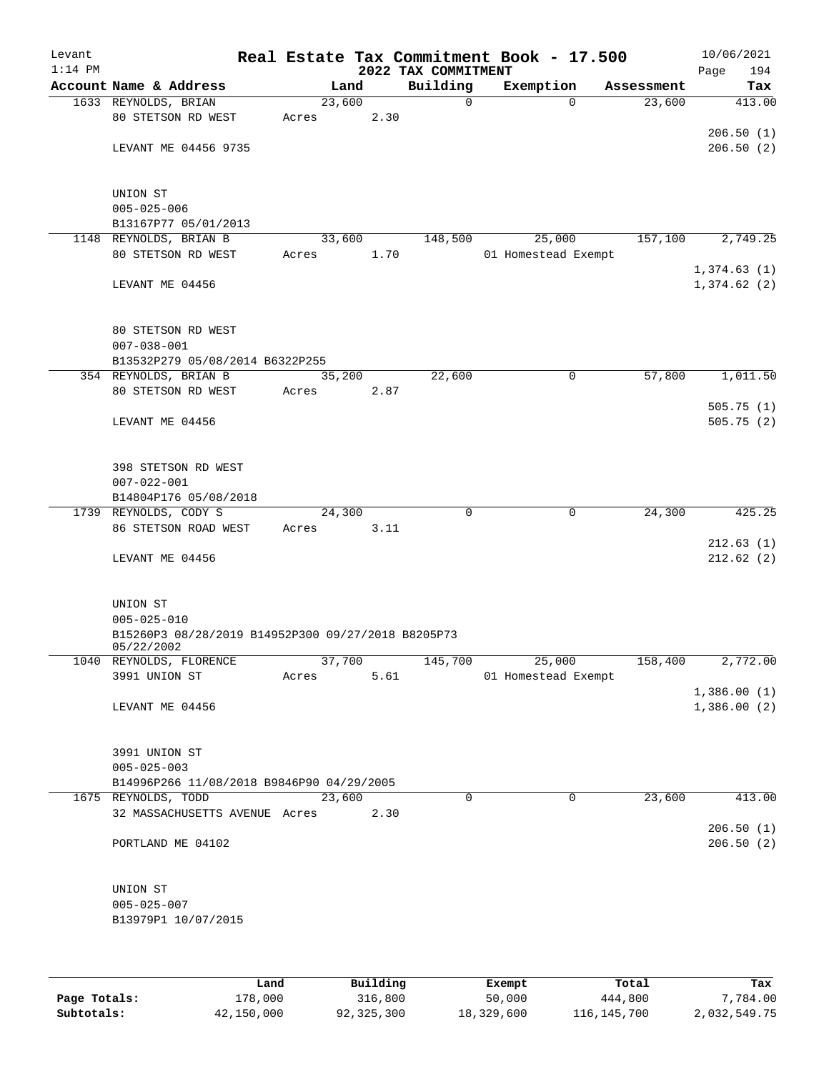| Levant       |                                                                  |       |        |          |                     | Real Estate Tax Commitment Book - 17.500 |                       | 10/06/2021  |
|--------------|------------------------------------------------------------------|-------|--------|----------|---------------------|------------------------------------------|-----------------------|-------------|
| $1:14$ PM    |                                                                  |       |        |          | 2022 TAX COMMITMENT |                                          |                       | 194<br>Page |
|              | Account Name & Address                                           |       | Land   |          | Building            | Exemption                                | Assessment            | Tax         |
|              | 1633 REYNOLDS, BRIAN                                             |       | 23,600 |          | 0                   |                                          | $\Omega$<br>23,600    | 413.00      |
|              | 80 STETSON RD WEST                                               | Acres |        | 2.30     |                     |                                          |                       |             |
|              |                                                                  |       |        |          |                     |                                          |                       | 206.50(1)   |
|              | LEVANT ME 04456 9735                                             |       |        |          |                     |                                          |                       | 206.50(2)   |
|              | UNION ST                                                         |       |        |          |                     |                                          |                       |             |
|              | $005 - 025 - 006$                                                |       |        |          |                     |                                          |                       |             |
|              |                                                                  |       |        |          |                     |                                          |                       |             |
|              | B13167P77 05/01/2013<br>1148 REYNOLDS, BRIAN B                   |       |        |          |                     |                                          |                       |             |
|              |                                                                  |       | 33,600 |          | 148,500             | 25,000                                   | 157,100               | 2,749.25    |
|              | 80 STETSON RD WEST                                               | Acres |        | 1.70     |                     | 01 Homestead Exempt                      |                       |             |
|              |                                                                  |       |        |          |                     |                                          |                       | 1,374.63(1) |
|              | LEVANT ME 04456                                                  |       |        |          |                     |                                          |                       | 1,374.62(2) |
|              | 80 STETSON RD WEST<br>$007 - 038 - 001$                          |       |        |          |                     |                                          |                       |             |
|              | B13532P279 05/08/2014 B6322P255                                  |       |        |          |                     |                                          |                       |             |
|              | 354 REYNOLDS, BRIAN B                                            |       | 35,200 |          | 22,600              |                                          | 57,800<br>$\mathbf 0$ | 1,011.50    |
|              | 80 STETSON RD WEST                                               | Acres |        | 2.87     |                     |                                          |                       |             |
|              |                                                                  |       |        |          |                     |                                          |                       | 505.75(1)   |
|              | LEVANT ME 04456                                                  |       |        |          |                     |                                          |                       | 505.75(2)   |
|              |                                                                  |       |        |          |                     |                                          |                       |             |
|              | 398 STETSON RD WEST                                              |       |        |          |                     |                                          |                       |             |
|              | $007 - 022 - 001$                                                |       |        |          |                     |                                          |                       |             |
|              | B14804P176 05/08/2018                                            |       |        |          |                     |                                          |                       |             |
|              | 1739 REYNOLDS, CODY S                                            |       | 24,300 |          | $\mathbf 0$         |                                          | $\mathbf 0$<br>24,300 | 425.25      |
|              | 86 STETSON ROAD WEST                                             | Acres |        | 3.11     |                     |                                          |                       |             |
|              |                                                                  |       |        |          |                     |                                          |                       | 212.63(1)   |
|              | LEVANT ME 04456                                                  |       |        |          |                     |                                          |                       | 212.62(2)   |
|              |                                                                  |       |        |          |                     |                                          |                       |             |
|              | UNION ST                                                         |       |        |          |                     |                                          |                       |             |
|              | $005 - 025 - 010$                                                |       |        |          |                     |                                          |                       |             |
|              | B15260P3 08/28/2019 B14952P300 09/27/2018 B8205P73<br>05/22/2002 |       |        |          |                     |                                          |                       |             |
|              | 1040 REYNOLDS, FLORENCE                                          |       | 37,700 |          | 145,700             | 25,000                                   | 158,400               | 2,772.00    |
|              | 3991 UNION ST                                                    | Acres |        | 5.61     |                     | 01 Homestead Exempt                      |                       |             |
|              |                                                                  |       |        |          |                     |                                          |                       | 1,386.00(1) |
|              | LEVANT ME 04456                                                  |       |        |          |                     |                                          |                       | 1,386.00(2) |
|              |                                                                  |       |        |          |                     |                                          |                       |             |
|              | 3991 UNION ST                                                    |       |        |          |                     |                                          |                       |             |
|              | $005 - 025 - 003$                                                |       |        |          |                     |                                          |                       |             |
|              | B14996P266 11/08/2018 B9846P90 04/29/2005                        |       |        |          |                     |                                          |                       |             |
|              | 1675 REYNOLDS, TODD                                              |       | 23,600 |          | 0                   |                                          | 23,600<br>0           | 413.00      |
|              | 32 MASSACHUSETTS AVENUE Acres                                    |       |        | 2.30     |                     |                                          |                       |             |
|              |                                                                  |       |        |          |                     |                                          |                       | 206.50(1)   |
|              | PORTLAND ME 04102                                                |       |        |          |                     |                                          |                       | 206.50(2)   |
|              |                                                                  |       |        |          |                     |                                          |                       |             |
|              | UNION ST                                                         |       |        |          |                     |                                          |                       |             |
|              | $005 - 025 - 007$                                                |       |        |          |                     |                                          |                       |             |
|              | B13979P1 10/07/2015                                              |       |        |          |                     |                                          |                       |             |
|              |                                                                  |       |        |          |                     |                                          |                       |             |
|              |                                                                  |       |        |          |                     |                                          |                       |             |
|              | Land                                                             |       |        | Building |                     | Exempt                                   | Total                 | Tax         |
| Page Totals: | 178,000                                                          |       |        | 316,800  |                     | 50,000                                   | 444,800               | 7,784.00    |

**Subtotals:** 42,150,000 92,325,300 18,329,600 116,145,700 2,032,549.75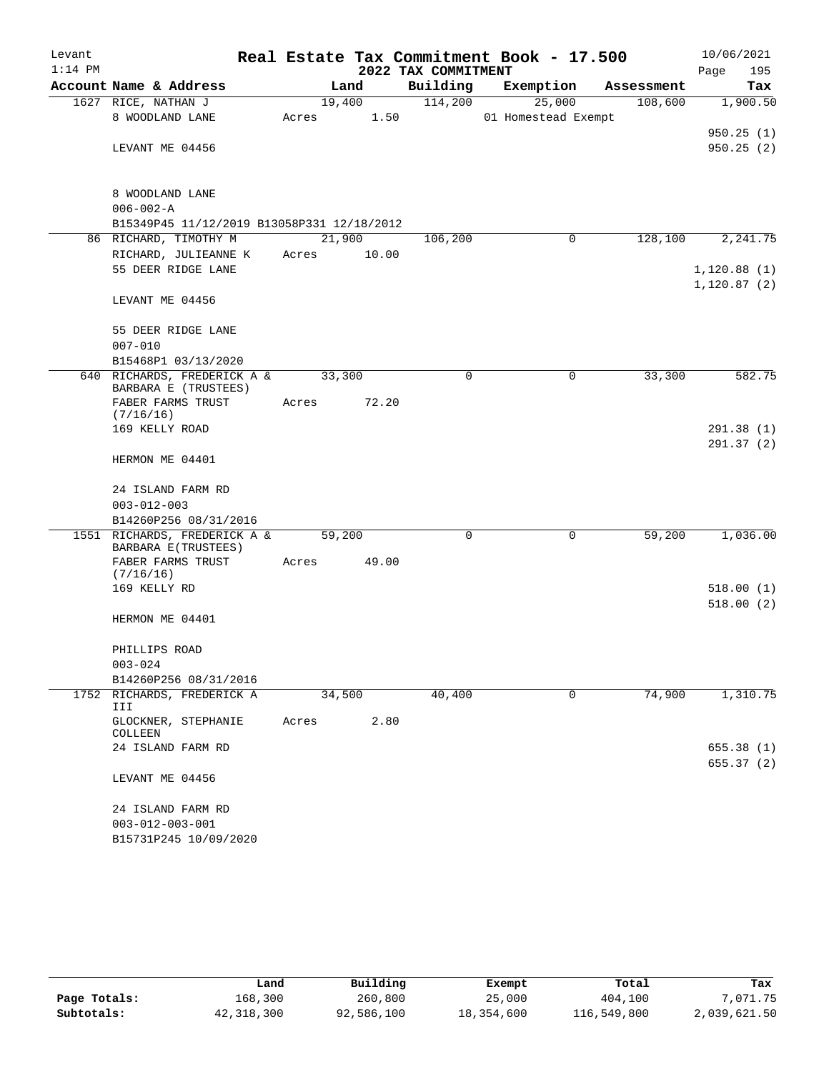| Levant    |                                                     |        |                |                     | Real Estate Tax Commitment Book - 17.500 |            | 10/06/2021             |
|-----------|-----------------------------------------------------|--------|----------------|---------------------|------------------------------------------|------------|------------------------|
| $1:14$ PM |                                                     |        |                | 2022 TAX COMMITMENT |                                          |            | Page<br>195            |
|           | Account Name & Address                              |        | Land           | Building            | Exemption                                | Assessment | Tax                    |
|           | 1627 RICE, NATHAN J<br>8 WOODLAND LANE              | Acres  | 19,400<br>1.50 | 114,200             | 25,000<br>01 Homestead Exempt            | 108,600    | 1,900.50               |
|           | LEVANT ME 04456                                     |        |                |                     |                                          |            | 950.25(1)<br>950.25(2) |
|           | 8 WOODLAND LANE                                     |        |                |                     |                                          |            |                        |
|           | $006 - 002 - A$                                     |        |                |                     |                                          |            |                        |
|           | B15349P45 11/12/2019 B13058P331 12/18/2012          |        |                |                     |                                          |            |                        |
|           | 86 RICHARD, TIMOTHY M                               | 21,900 |                | 106,200             | 0                                        | 128,100    | 2,241.75               |
|           | RICHARD, JULIEANNE K<br>55 DEER RIDGE LANE          | Acres  | 10.00          |                     |                                          |            | 1,120.88(1)            |
|           |                                                     |        |                |                     |                                          |            | 1, 120.87(2)           |
|           | LEVANT ME 04456                                     |        |                |                     |                                          |            |                        |
|           | 55 DEER RIDGE LANE                                  |        |                |                     |                                          |            |                        |
|           | $007 - 010$                                         |        |                |                     |                                          |            |                        |
|           | B15468P1 03/13/2020                                 |        |                |                     |                                          |            |                        |
|           | 640 RICHARDS, FREDERICK A &<br>BARBARA E (TRUSTEES) | 33,300 |                | 0                   | $\mathbf 0$                              | 33,300     | 582.75                 |
|           | FABER FARMS TRUST                                   | Acres  | 72.20          |                     |                                          |            |                        |
|           | (7/16/16)                                           |        |                |                     |                                          |            |                        |
|           | 169 KELLY ROAD                                      |        |                |                     |                                          |            | 291.38(1)<br>291.37(2) |
|           | HERMON ME 04401                                     |        |                |                     |                                          |            |                        |
|           | 24 ISLAND FARM RD                                   |        |                |                     |                                          |            |                        |
|           | $003 - 012 - 003$                                   |        |                |                     |                                          |            |                        |
|           | B14260P256 08/31/2016                               |        |                |                     |                                          |            |                        |
|           | 1551 RICHARDS, FREDERICK A &<br>BARBARA E(TRUSTEES) | 59,200 |                | 0                   | 0                                        | 59,200     | 1,036.00               |
|           | FABER FARMS TRUST<br>(7/16/16)                      | Acres  | 49.00          |                     |                                          |            |                        |
|           | 169 KELLY RD                                        |        |                |                     |                                          |            | 518.00(1)              |
|           |                                                     |        |                |                     |                                          |            | 518.00(2)              |
|           | HERMON ME 04401                                     |        |                |                     |                                          |            |                        |
|           | PHILLIPS ROAD                                       |        |                |                     |                                          |            |                        |
|           | $003 - 024$                                         |        |                |                     |                                          |            |                        |
|           | B14260P256 08/31/2016                               |        |                |                     |                                          |            |                        |
|           | 1752 RICHARDS, FREDERICK A<br>III                   | 34,500 |                | 40,400              | 0                                        | 74,900     | 1,310.75               |
|           | GLOCKNER, STEPHANIE<br>COLLEEN                      | Acres  | 2.80           |                     |                                          |            |                        |
|           | 24 ISLAND FARM RD                                   |        |                |                     |                                          |            | 655.38 (1)             |
|           | LEVANT ME 04456                                     |        |                |                     |                                          |            | 655.37(2)              |
|           | 24 ISLAND FARM RD                                   |        |                |                     |                                          |            |                        |
|           | $003 - 012 - 003 - 001$                             |        |                |                     |                                          |            |                        |
|           | B15731P245 10/09/2020                               |        |                |                     |                                          |            |                        |

|              | Land       | Building   | Exempt     | Total       | Tax          |
|--------------|------------|------------|------------|-------------|--------------|
| Page Totals: | 168,300    | 260,800    | 25,000     | 404,100     | 7,071.75     |
| Subtotals:   | 42,318,300 | 92,586,100 | 18,354,600 | 116,549,800 | 2,039,621.50 |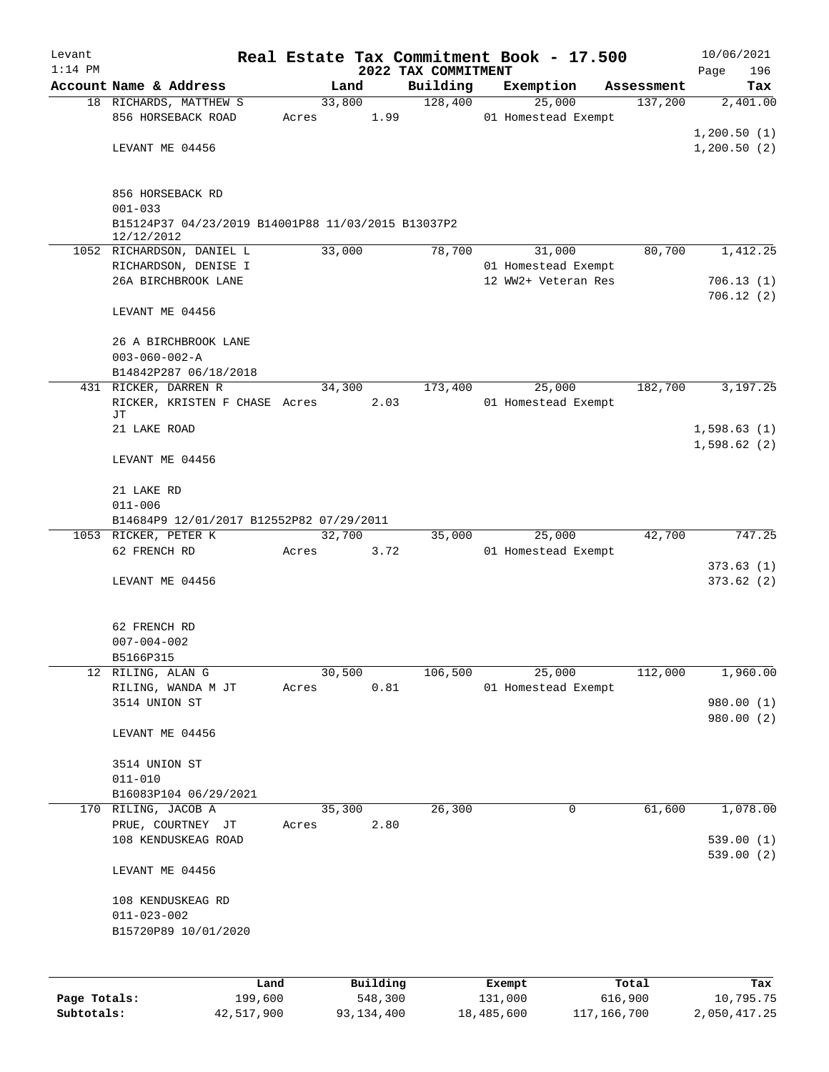| Levant       |                                                                  |       |        |          |                     | Real Estate Tax Commitment Book - 17.500 |                       | 10/06/2021      |
|--------------|------------------------------------------------------------------|-------|--------|----------|---------------------|------------------------------------------|-----------------------|-----------------|
| $1:14$ PM    | Account Name & Address                                           |       | Land   |          | 2022 TAX COMMITMENT |                                          |                       | 196<br>Page     |
|              | 18 RICHARDS, MATTHEW S                                           |       | 33,800 |          | Building<br>128,400 | Exemption<br>25,000                      | Assessment<br>137,200 | Tax<br>2,401.00 |
|              | 856 HORSEBACK ROAD                                               | Acres |        | 1.99     |                     | 01 Homestead Exempt                      |                       |                 |
|              |                                                                  |       |        |          |                     |                                          |                       | 1,200.50(1)     |
|              | LEVANT ME 04456                                                  |       |        |          |                     |                                          |                       | 1,200.50(2)     |
|              |                                                                  |       |        |          |                     |                                          |                       |                 |
|              |                                                                  |       |        |          |                     |                                          |                       |                 |
|              | 856 HORSEBACK RD                                                 |       |        |          |                     |                                          |                       |                 |
|              | $001 - 033$                                                      |       |        |          |                     |                                          |                       |                 |
|              | B15124P37 04/23/2019 B14001P88 11/03/2015 B13037P2<br>12/12/2012 |       |        |          |                     |                                          |                       |                 |
|              | 1052 RICHARDSON, DANIEL L                                        |       | 33,000 |          | 78,700              | 31,000                                   | 80,700                | 1,412.25        |
|              | RICHARDSON, DENISE I                                             |       |        |          |                     | 01 Homestead Exempt                      |                       |                 |
|              | 26A BIRCHBROOK LANE                                              |       |        |          |                     | 12 WW2+ Veteran Res                      |                       | 706.13(1)       |
|              |                                                                  |       |        |          |                     |                                          |                       | 706.12(2)       |
|              | LEVANT ME 04456                                                  |       |        |          |                     |                                          |                       |                 |
|              |                                                                  |       |        |          |                     |                                          |                       |                 |
|              | 26 A BIRCHBROOK LANE                                             |       |        |          |                     |                                          |                       |                 |
|              | $003 - 060 - 002 - A$                                            |       |        |          |                     |                                          |                       |                 |
|              | B14842P287 06/18/2018<br>431 RICKER, DARREN R                    |       |        |          | 173,400             | 25,000                                   | 182,700               | 3,197.25        |
|              | RICKER, KRISTEN F CHASE Acres                                    |       | 34,300 | 2.03     |                     | 01 Homestead Exempt                      |                       |                 |
|              | JΤ                                                               |       |        |          |                     |                                          |                       |                 |
|              | 21 LAKE ROAD                                                     |       |        |          |                     |                                          |                       | 1,598.63(1)     |
|              |                                                                  |       |        |          |                     |                                          |                       | 1,598.62(2)     |
|              | LEVANT ME 04456                                                  |       |        |          |                     |                                          |                       |                 |
|              |                                                                  |       |        |          |                     |                                          |                       |                 |
|              | 21 LAKE RD                                                       |       |        |          |                     |                                          |                       |                 |
|              | $011 - 006$                                                      |       |        |          |                     |                                          |                       |                 |
|              | B14684P9 12/01/2017 B12552P82 07/29/2011                         |       |        |          |                     |                                          |                       |                 |
|              | 1053 RICKER, PETER K<br>62 FRENCH RD                             | Acres | 32,700 | 3.72     | 35,000              | 25,000<br>01 Homestead Exempt            | 42,700                | 747.25          |
|              |                                                                  |       |        |          |                     |                                          |                       | 373.63(1)       |
|              | LEVANT ME 04456                                                  |       |        |          |                     |                                          |                       | 373.62(2)       |
|              |                                                                  |       |        |          |                     |                                          |                       |                 |
|              |                                                                  |       |        |          |                     |                                          |                       |                 |
|              | 62 FRENCH RD                                                     |       |        |          |                     |                                          |                       |                 |
|              | $007 - 004 - 002$                                                |       |        |          |                     |                                          |                       |                 |
|              | B5166P315                                                        |       |        |          |                     |                                          |                       |                 |
| 12           | RILING, ALAN G                                                   |       | 30,500 |          | 106,500             | 25,000                                   | 112,000               | 1,960.00        |
|              | RILING, WANDA M JT                                               | Acres |        | 0.81     |                     | 01 Homestead Exempt                      |                       |                 |
|              | 3514 UNION ST                                                    |       |        |          |                     |                                          |                       | 980.00 (1)      |
|              | LEVANT ME 04456                                                  |       |        |          |                     |                                          |                       | 980.00 (2)      |
|              |                                                                  |       |        |          |                     |                                          |                       |                 |
|              | 3514 UNION ST                                                    |       |        |          |                     |                                          |                       |                 |
|              | $011 - 010$                                                      |       |        |          |                     |                                          |                       |                 |
|              | B16083P104 06/29/2021                                            |       |        |          |                     |                                          |                       |                 |
|              | 170 RILING, JACOB A                                              |       | 35,300 |          | 26,300              | 0                                        | 61,600                | 1,078.00        |
|              | PRUE, COURTNEY JT                                                | Acres |        | 2.80     |                     |                                          |                       |                 |
|              | 108 KENDUSKEAG ROAD                                              |       |        |          |                     |                                          |                       | 539.00(1)       |
|              |                                                                  |       |        |          |                     |                                          |                       | 539.00(2)       |
|              | LEVANT ME 04456                                                  |       |        |          |                     |                                          |                       |                 |
|              |                                                                  |       |        |          |                     |                                          |                       |                 |
|              | 108 KENDUSKEAG RD                                                |       |        |          |                     |                                          |                       |                 |
|              | $011 - 023 - 002$<br>B15720P89 10/01/2020                        |       |        |          |                     |                                          |                       |                 |
|              |                                                                  |       |        |          |                     |                                          |                       |                 |
|              |                                                                  |       |        |          |                     |                                          |                       |                 |
|              |                                                                  |       |        |          |                     |                                          |                       |                 |
|              | Land                                                             |       |        | Building |                     | Exempt                                   | Total                 | Tax             |
| Page Totals: | 199,600                                                          |       |        | 548,300  |                     | 131,000                                  | 616,900               | 10,795.75       |

**Subtotals:** 42,517,900 93,134,400 18,485,600 117,166,700 2,050,417.25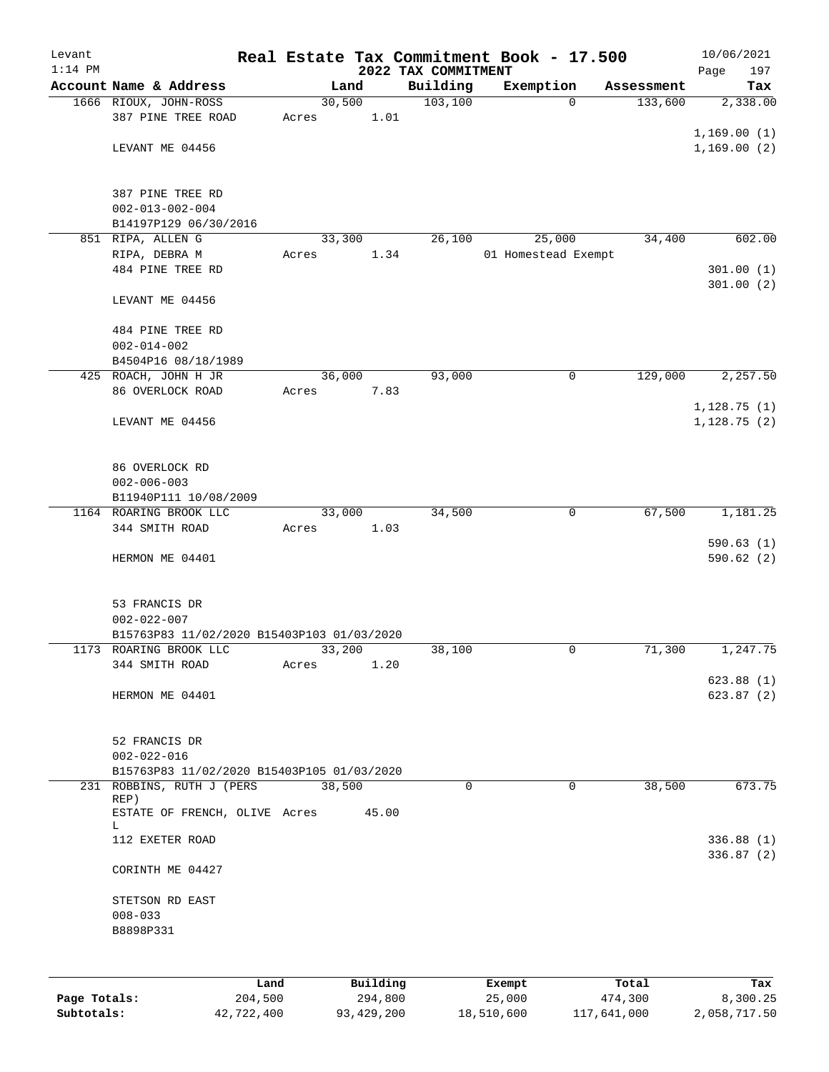| Levant       |                                                                         |       |                |                      | Real Estate Tax Commitment Book - 17.500 |                        | 10/06/2021  |
|--------------|-------------------------------------------------------------------------|-------|----------------|----------------------|------------------------------------------|------------------------|-------------|
| $1:14$ PM    |                                                                         |       |                | 2022 TAX COMMITMENT  |                                          |                        | 197<br>Page |
|              | Account Name & Address                                                  |       | Land           | Building<br>103, 100 | Exemption                                | Assessment<br>$\Omega$ | Tax         |
|              | 1666 RIOUX, JOHN-ROSS<br>387 PINE TREE ROAD                             | Acres | 30,500<br>1.01 |                      |                                          | 133,600                | 2,338.00    |
|              |                                                                         |       |                |                      |                                          |                        | 1,169.00(1) |
|              | LEVANT ME 04456                                                         |       |                |                      |                                          |                        | 1,169.00(2) |
|              |                                                                         |       |                |                      |                                          |                        |             |
|              |                                                                         |       |                |                      |                                          |                        |             |
|              | 387 PINE TREE RD                                                        |       |                |                      |                                          |                        |             |
|              | $002 - 013 - 002 - 004$                                                 |       |                |                      |                                          |                        |             |
|              | B14197P129 06/30/2016<br>851 RIPA, ALLEN G                              |       | 33,300         | 26,100               | 25,000                                   | 34,400                 | 602.00      |
|              | RIPA, DEBRA M                                                           | Acres | 1.34           |                      | 01 Homestead Exempt                      |                        |             |
|              | 484 PINE TREE RD                                                        |       |                |                      |                                          |                        | 301.00(1)   |
|              |                                                                         |       |                |                      |                                          |                        | 301.00(2)   |
|              | LEVANT ME 04456                                                         |       |                |                      |                                          |                        |             |
|              | 484 PINE TREE RD                                                        |       |                |                      |                                          |                        |             |
|              | $002 - 014 - 002$                                                       |       |                |                      |                                          |                        |             |
|              | B4504P16 08/18/1989                                                     |       |                |                      |                                          |                        |             |
|              | 425 ROACH, JOHN H JR                                                    |       | 36,000         | 93,000               |                                          | 129,000<br>$\mathbf 0$ | 2, 257.50   |
|              | 86 OVERLOCK ROAD                                                        | Acres | 7.83           |                      |                                          |                        |             |
|              |                                                                         |       |                |                      |                                          |                        | 1,128.75(1) |
|              | LEVANT ME 04456                                                         |       |                |                      |                                          |                        | 1,128.75(2) |
|              |                                                                         |       |                |                      |                                          |                        |             |
|              |                                                                         |       |                |                      |                                          |                        |             |
|              | 86 OVERLOCK RD                                                          |       |                |                      |                                          |                        |             |
|              | $002 - 006 - 003$<br>B11940P111 10/08/2009                              |       |                |                      |                                          |                        |             |
|              | 1164 ROARING BROOK LLC                                                  |       | 33,000         | 34,500               |                                          | 67,500<br>$\mathbf 0$  | 1,181.25    |
|              | 344 SMITH ROAD                                                          | Acres | 1.03           |                      |                                          |                        |             |
|              |                                                                         |       |                |                      |                                          |                        | 590.63(1)   |
|              | HERMON ME 04401                                                         |       |                |                      |                                          |                        | 590.62(2)   |
|              |                                                                         |       |                |                      |                                          |                        |             |
|              |                                                                         |       |                |                      |                                          |                        |             |
|              | 53 FRANCIS DR                                                           |       |                |                      |                                          |                        |             |
|              | $002 - 022 - 007$                                                       |       |                |                      |                                          |                        |             |
|              | B15763P83 11/02/2020 B15403P103 01/03/2020<br>1173 ROARING BROOK LLC    |       | 33,200         | 38,100               |                                          | $\mathbf 0$<br>71,300  | 1,247.75    |
|              | 344 SMITH ROAD                                                          | Acres | 1.20           |                      |                                          |                        |             |
|              |                                                                         |       |                |                      |                                          |                        | 623.88(1)   |
|              | HERMON ME 04401                                                         |       |                |                      |                                          |                        | 623.87(2)   |
|              |                                                                         |       |                |                      |                                          |                        |             |
|              |                                                                         |       |                |                      |                                          |                        |             |
|              | 52 FRANCIS DR                                                           |       |                |                      |                                          |                        |             |
|              | $002 - 022 - 016$                                                       |       |                |                      |                                          |                        |             |
|              | B15763P83 11/02/2020 B15403P105 01/03/2020<br>231 ROBBINS, RUTH J (PERS |       | 38,500         | $\Omega$             |                                          | 0                      | 673.75      |
|              | REP)                                                                    |       |                |                      |                                          | 38,500                 |             |
|              | ESTATE OF FRENCH, OLIVE Acres                                           |       | 45.00          |                      |                                          |                        |             |
|              | L<br>112 EXETER ROAD                                                    |       |                |                      |                                          |                        | 336.88(1)   |
|              |                                                                         |       |                |                      |                                          |                        | 336.87(2)   |
|              | CORINTH ME 04427                                                        |       |                |                      |                                          |                        |             |
|              | STETSON RD EAST                                                         |       |                |                      |                                          |                        |             |
|              | $008 - 033$                                                             |       |                |                      |                                          |                        |             |
|              | B8898P331                                                               |       |                |                      |                                          |                        |             |
|              |                                                                         |       |                |                      |                                          |                        |             |
|              |                                                                         |       |                |                      |                                          |                        |             |
|              | Land                                                                    |       | Building       |                      | Exempt                                   | Total                  | Tax         |
| Page Totals: | 204,500                                                                 |       | 294,800        |                      | 25,000                                   | 474,300                | 8,300.25    |

**Subtotals:** 42,722,400 93,429,200 18,510,600 117,641,000 2,058,717.50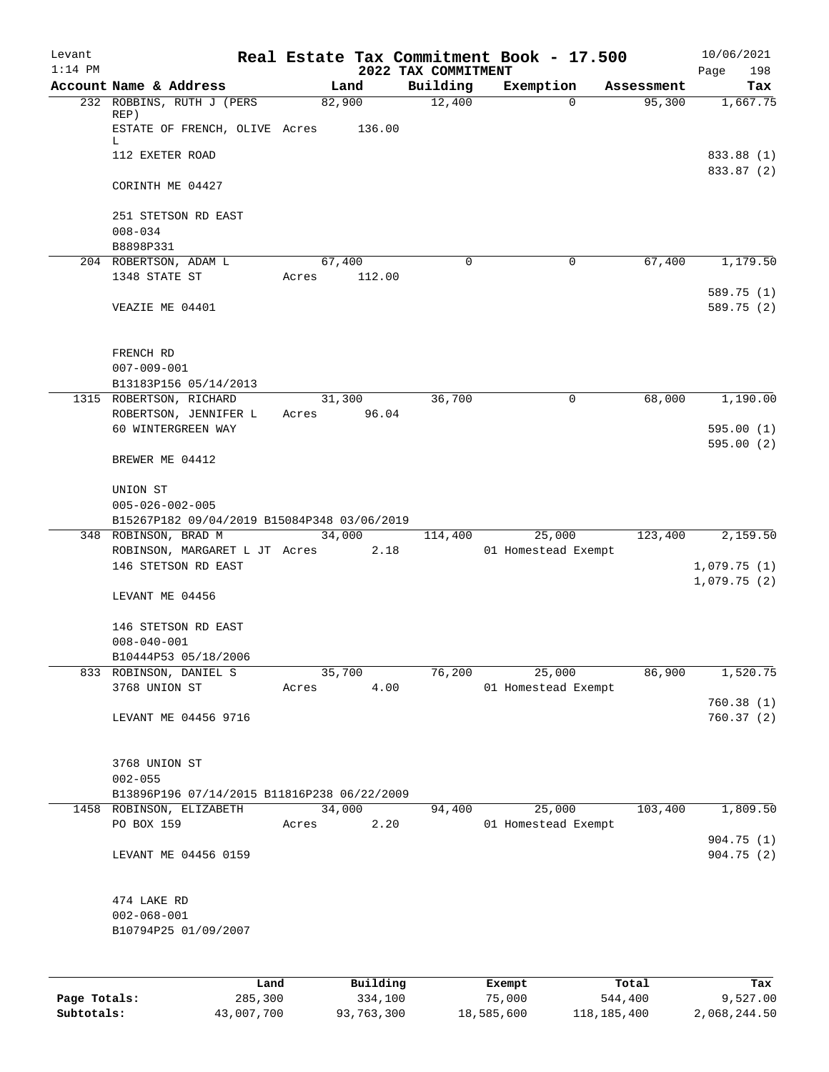| Levant<br>$1:14$ PM |                                                                        |       |          | 2022 TAX COMMITMENT | Real Estate Tax Commitment Book - 17.500 |            | 10/06/2021<br>198<br>Page |
|---------------------|------------------------------------------------------------------------|-------|----------|---------------------|------------------------------------------|------------|---------------------------|
|                     | Account Name & Address                                                 |       | Land     | Building            | Exemption                                | Assessment | Tax                       |
|                     | 232 ROBBINS, RUTH J (PERS)                                             |       | 82,900   | 12,400              | $\Omega$                                 | 95,300     | 1,667.75                  |
|                     | REP)<br>ESTATE OF FRENCH, OLIVE Acres                                  |       | 136.00   |                     |                                          |            |                           |
|                     | L<br>112 EXETER ROAD                                                   |       |          |                     |                                          |            | 833.88 (1)                |
|                     | CORINTH ME 04427                                                       |       |          |                     |                                          |            | 833.87 (2)                |
|                     | 251 STETSON RD EAST                                                    |       |          |                     |                                          |            |                           |
|                     | $008 - 034$<br>B8898P331                                               |       |          |                     |                                          |            |                           |
|                     | 204 ROBERTSON, ADAM L                                                  |       | 67,400   | $\mathbf 0$         | 0                                        | 67,400     | 1,179.50                  |
|                     | 1348 STATE ST                                                          | Acres | 112.00   |                     |                                          |            |                           |
|                     |                                                                        |       |          |                     |                                          |            | 589.75 (1)                |
|                     | VEAZIE ME 04401                                                        |       |          |                     |                                          |            | 589.75 (2)                |
|                     | FRENCH RD                                                              |       |          |                     |                                          |            |                           |
|                     | $007 - 009 - 001$                                                      |       |          |                     |                                          |            |                           |
|                     | B13183P156 05/14/2013                                                  |       |          |                     |                                          |            |                           |
|                     | 1315 ROBERTSON, RICHARD                                                |       | 31,300   | 36,700              | $\mathbf 0$                              | 68,000     | 1,190.00                  |
|                     | ROBERTSON, JENNIFER L                                                  | Acres | 96.04    |                     |                                          |            |                           |
|                     | 60 WINTERGREEN WAY                                                     |       |          |                     |                                          |            | 595.00(1)<br>595.00(2)    |
|                     | BREWER ME 04412                                                        |       |          |                     |                                          |            |                           |
|                     | UNION ST                                                               |       |          |                     |                                          |            |                           |
|                     | $005 - 026 - 002 - 005$<br>B15267P182 09/04/2019 B15084P348 03/06/2019 |       |          |                     |                                          |            |                           |
|                     | 348 ROBINSON, BRAD M                                                   |       | 34,000   | 114,400             | 25,000                                   | 123,400    | 2,159.50                  |
|                     | ROBINSON, MARGARET L JT Acres 2.18                                     |       |          |                     | 01 Homestead Exempt                      |            |                           |
|                     | 146 STETSON RD EAST                                                    |       |          |                     |                                          |            | 1,079.75(1)               |
|                     |                                                                        |       |          |                     |                                          |            | 1,079.75(2)               |
|                     | LEVANT ME 04456                                                        |       |          |                     |                                          |            |                           |
|                     | 146 STETSON RD EAST                                                    |       |          |                     |                                          |            |                           |
|                     | $008 - 040 - 001$                                                      |       |          |                     |                                          |            |                           |
|                     | B10444P53 05/18/2006                                                   |       |          |                     |                                          |            |                           |
|                     | 833 ROBINSON, DANIEL S                                                 |       | 35,700   | 76,200              | 25,000                                   | 86,900     | 1,520.75                  |
|                     | 3768 UNION ST                                                          | Acres | 4.00     |                     | 01 Homestead Exempt                      |            |                           |
|                     |                                                                        |       |          |                     |                                          |            | 760.38(1)                 |
|                     | LEVANT ME 04456 9716                                                   |       |          |                     |                                          |            | 760.37(2)                 |
|                     | 3768 UNION ST                                                          |       |          |                     |                                          |            |                           |
|                     | $002 - 055$                                                            |       |          |                     |                                          |            |                           |
|                     | B13896P196 07/14/2015 B11816P238 06/22/2009                            |       |          |                     |                                          |            |                           |
|                     | 1458 ROBINSON, ELIZABETH                                               |       | 34,000   | 94,400              | 25,000                                   | 103,400    | 1,809.50                  |
|                     | PO BOX 159                                                             | Acres | 2.20     |                     | 01 Homestead Exempt                      |            |                           |
|                     |                                                                        |       |          |                     |                                          |            | 904.75 (1)                |
|                     | LEVANT ME 04456 0159                                                   |       |          |                     |                                          |            | 904.75(2)                 |
|                     | 474 LAKE RD                                                            |       |          |                     |                                          |            |                           |
|                     | $002 - 068 - 001$                                                      |       |          |                     |                                          |            |                           |
|                     | B10794P25 01/09/2007                                                   |       |          |                     |                                          |            |                           |
|                     |                                                                        |       |          |                     |                                          |            |                           |
|                     |                                                                        | Land  | Building |                     | Exempt                                   | Total      | Tax                       |

|              | Land       | Building   | Exempt     | Total       | Tax          |
|--------------|------------|------------|------------|-------------|--------------|
| Page Totals: | 285,300    | 334,100    | 75,000     | 544,400     | 9,527.00     |
| Subtotals:   | 43,007,700 | 93,763,300 | 18,585,600 | 118,185,400 | 2,068,244.50 |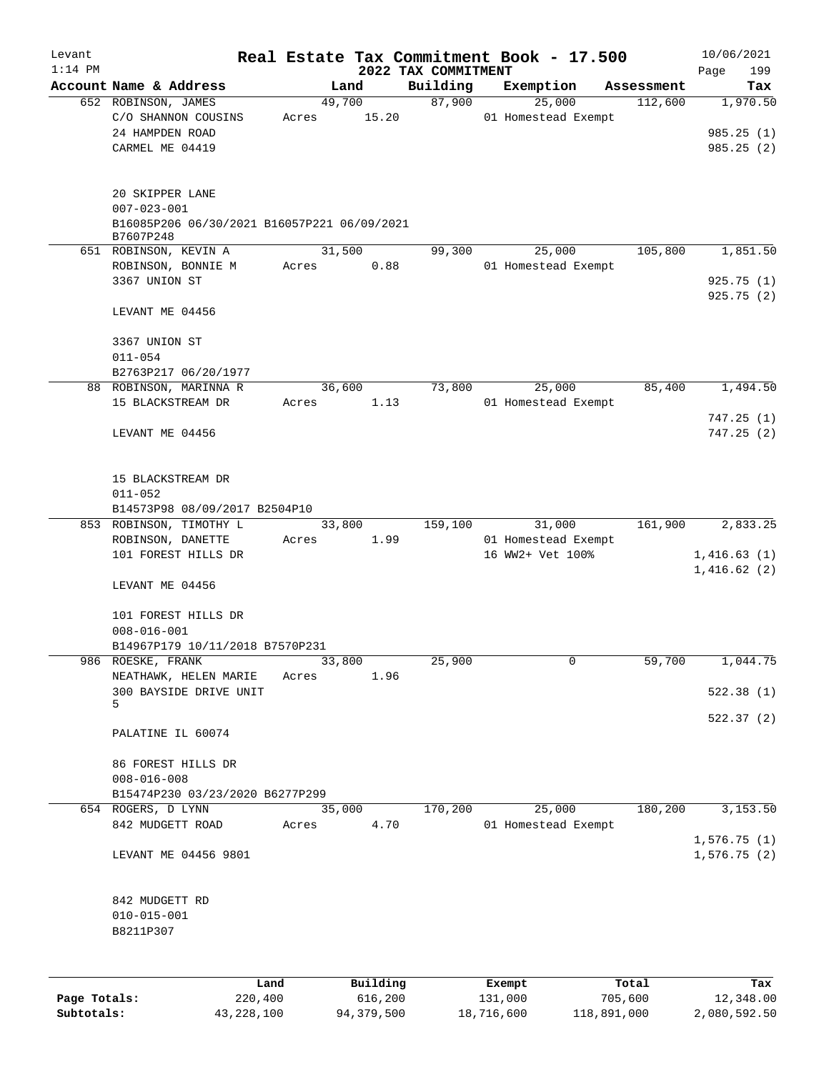| Levant       |                                                          |       |                |                                 | Real Estate Tax Commitment Book - 17.500 |                       | 10/06/2021      |
|--------------|----------------------------------------------------------|-------|----------------|---------------------------------|------------------------------------------|-----------------------|-----------------|
| $1:14$ PM    | Account Name & Address                                   |       | Land           | 2022 TAX COMMITMENT<br>Building |                                          |                       | 199<br>Page     |
|              | 652 ROBINSON, JAMES                                      |       | 49,700         | 87,900                          | Exemption<br>25,000                      | Assessment<br>112,600 | Tax<br>1,970.50 |
|              | C/O SHANNON COUSINS                                      | Acres | 15.20          |                                 | 01 Homestead Exempt                      |                       |                 |
|              | 24 HAMPDEN ROAD                                          |       |                |                                 |                                          |                       | 985.25(1)       |
|              | CARMEL ME 04419                                          |       |                |                                 |                                          |                       | 985.25(2)       |
|              |                                                          |       |                |                                 |                                          |                       |                 |
|              | 20 SKIPPER LANE                                          |       |                |                                 |                                          |                       |                 |
|              | $007 - 023 - 001$                                        |       |                |                                 |                                          |                       |                 |
|              | B16085P206 06/30/2021 B16057P221 06/09/2021<br>B7607P248 |       |                |                                 |                                          |                       |                 |
|              | 651 ROBINSON, KEVIN A                                    |       | 31,500         | 99,300                          | 25,000                                   | 105,800               | 1,851.50        |
|              | ROBINSON, BONNIE M                                       | Acres | 0.88           |                                 | 01 Homestead Exempt                      |                       |                 |
|              | 3367 UNION ST                                            |       |                |                                 |                                          |                       | 925.75(1)       |
|              | LEVANT ME 04456                                          |       |                |                                 |                                          |                       | 925.75(2)       |
|              |                                                          |       |                |                                 |                                          |                       |                 |
|              | 3367 UNION ST                                            |       |                |                                 |                                          |                       |                 |
|              | $011 - 054$                                              |       |                |                                 |                                          |                       |                 |
|              | B2763P217 06/20/1977                                     |       |                |                                 |                                          |                       |                 |
|              | 88 ROBINSON, MARINNA R                                   |       | 36,600         | 73,800                          | 25,000                                   | 85,400                | 1,494.50        |
|              | 15 BLACKSTREAM DR                                        | Acres | 1.13           |                                 | 01 Homestead Exempt                      |                       | 747.25(1)       |
|              | LEVANT ME 04456                                          |       |                |                                 |                                          |                       | 747.25(2)       |
|              |                                                          |       |                |                                 |                                          |                       |                 |
|              |                                                          |       |                |                                 |                                          |                       |                 |
|              | 15 BLACKSTREAM DR                                        |       |                |                                 |                                          |                       |                 |
|              | $011 - 052$                                              |       |                |                                 |                                          |                       |                 |
|              | B14573P98 08/09/2017 B2504P10                            |       |                |                                 |                                          |                       |                 |
|              | 853 ROBINSON, TIMOTHY L<br>ROBINSON, DANETTE             | Acres | 33,800<br>1.99 | 159,100                         | 31,000<br>01 Homestead Exempt            | 161,900               | 2,833.25        |
|              | 101 FOREST HILLS DR                                      |       |                |                                 | 16 WW2+ Vet 100%                         |                       | 1,416.63(1)     |
|              |                                                          |       |                |                                 |                                          |                       | 1,416.62(2)     |
|              | LEVANT ME 04456                                          |       |                |                                 |                                          |                       |                 |
|              | 101 FOREST HILLS DR                                      |       |                |                                 |                                          |                       |                 |
|              | $008 - 016 - 001$                                        |       |                |                                 |                                          |                       |                 |
|              | B14967P179 10/11/2018 B7570P231                          |       |                |                                 |                                          |                       |                 |
|              | 986 ROESKE, FRANK                                        |       | 33,800         | 25,900                          | 0                                        | 59,700                | 1,044.75        |
|              | NEATHAWK, HELEN MARIE                                    | Acres | 1.96           |                                 |                                          |                       |                 |
|              | 300 BAYSIDE DRIVE UNIT                                   |       |                |                                 |                                          |                       | 522.38 (1)      |
|              | 5                                                        |       |                |                                 |                                          |                       | 522.37(2)       |
|              | PALATINE IL 60074                                        |       |                |                                 |                                          |                       |                 |
|              |                                                          |       |                |                                 |                                          |                       |                 |
|              | 86 FOREST HILLS DR                                       |       |                |                                 |                                          |                       |                 |
|              | $008 - 016 - 008$<br>B15474P230 03/23/2020 B6277P299     |       |                |                                 |                                          |                       |                 |
|              | 654 ROGERS, D LYNN                                       |       | 35,000         | 170,200                         | 25,000                                   | 180,200               | 3,153.50        |
|              | 842 MUDGETT ROAD                                         | Acres | 4.70           |                                 | 01 Homestead Exempt                      |                       |                 |
|              |                                                          |       |                |                                 |                                          |                       | 1,576.75(1)     |
|              | LEVANT ME 04456 9801                                     |       |                |                                 |                                          |                       | 1,576.75(2)     |
|              |                                                          |       |                |                                 |                                          |                       |                 |
|              | 842 MUDGETT RD                                           |       |                |                                 |                                          |                       |                 |
|              | $010 - 015 - 001$                                        |       |                |                                 |                                          |                       |                 |
|              | B8211P307                                                |       |                |                                 |                                          |                       |                 |
|              |                                                          |       |                |                                 |                                          |                       |                 |
|              |                                                          |       |                |                                 |                                          |                       |                 |
|              |                                                          | Land  | Building       |                                 | Exempt                                   | Total                 | Tax             |
| Page Totals: | 220,400                                                  |       | 616,200        |                                 | 131,000                                  | 705,600               | 12,348.00       |

**Subtotals:** 43,228,100 94,379,500 18,716,600 118,891,000 2,080,592.50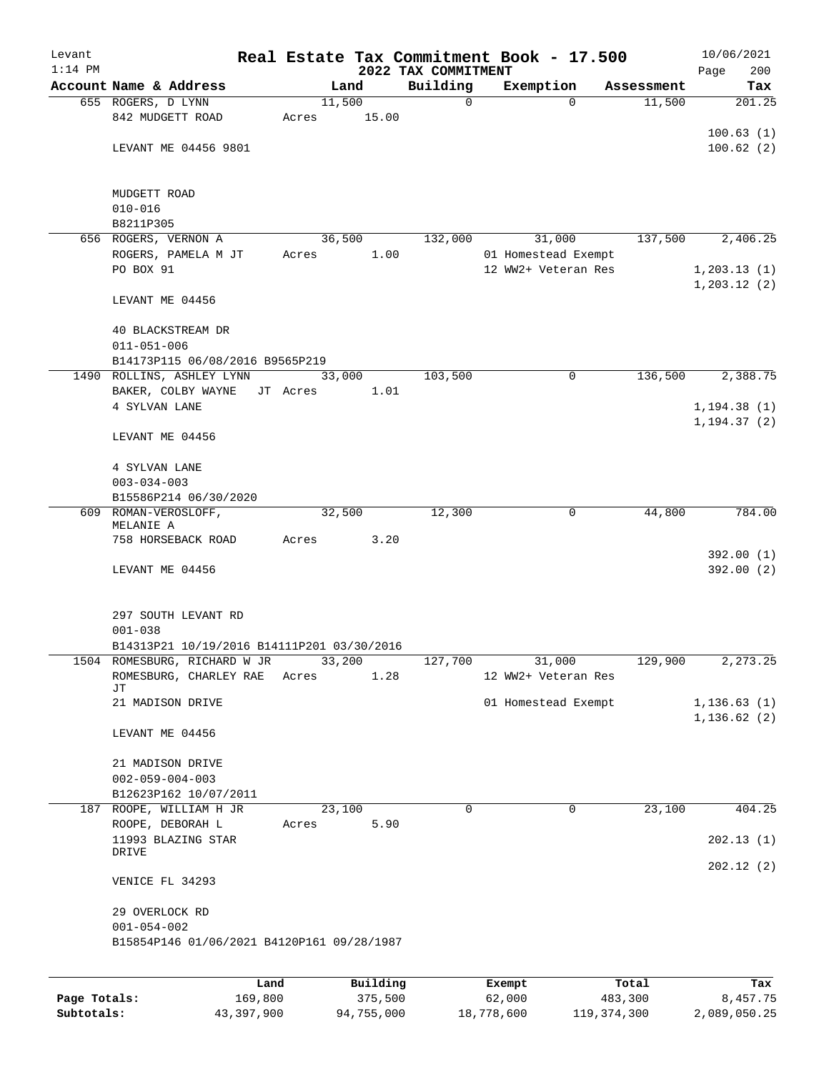| Levant       |                                            |          |          |                         | Real Estate Tax Commitment Book - 17.500 |                      | 10/06/2021                   |
|--------------|--------------------------------------------|----------|----------|-------------------------|------------------------------------------|----------------------|------------------------------|
| $1:14$ PM    |                                            |          |          | 2022 TAX COMMITMENT     |                                          |                      | 200<br>Page                  |
|              | Account Name & Address                     | 11,500   | Land     | Building<br>$\mathbf 0$ | Exemption<br>$\Omega$                    | Assessment<br>11,500 | Tax<br>201.25                |
|              | 655 ROGERS, D LYNN<br>842 MUDGETT ROAD     | Acres    | 15.00    |                         |                                          |                      |                              |
|              |                                            |          |          |                         |                                          |                      | 100.63(1)                    |
|              | LEVANT ME 04456 9801                       |          |          |                         |                                          |                      | 100.62(2)                    |
|              |                                            |          |          |                         |                                          |                      |                              |
|              | MUDGETT ROAD                               |          |          |                         |                                          |                      |                              |
|              | $010 - 016$                                |          |          |                         |                                          |                      |                              |
|              | B8211P305                                  |          |          |                         |                                          |                      |                              |
|              | 656 ROGERS, VERNON A                       | 36,500   |          | 132,000                 | 31,000                                   | 137,500              | 2,406.25                     |
|              | ROGERS, PAMELA M JT                        | Acres    | 1.00     |                         | 01 Homestead Exempt                      |                      |                              |
|              | PO BOX 91                                  |          |          |                         | 12 WW2+ Veteran Res                      |                      | 1, 203.13(1)                 |
|              | LEVANT ME 04456                            |          |          |                         |                                          |                      | 1, 203.12(2)                 |
|              | 40 BLACKSTREAM DR<br>$011 - 051 - 006$     |          |          |                         |                                          |                      |                              |
|              | B14173P115 06/08/2016 B9565P219            |          |          |                         |                                          |                      |                              |
|              | 1490 ROLLINS, ASHLEY LYNN                  | 33,000   |          | 103,500                 | 0                                        | 136,500              | 2,388.75                     |
|              | BAKER, COLBY WAYNE                         | JT Acres | 1.01     |                         |                                          |                      |                              |
|              | 4 SYLVAN LANE                              |          |          |                         |                                          |                      | 1, 194.38(1)                 |
|              |                                            |          |          |                         |                                          |                      | 1, 194.37(2)                 |
|              | LEVANT ME 04456                            |          |          |                         |                                          |                      |                              |
|              | 4 SYLVAN LANE                              |          |          |                         |                                          |                      |                              |
|              | $003 - 034 - 003$                          |          |          |                         |                                          |                      |                              |
|              | B15586P214 06/30/2020                      |          |          |                         |                                          |                      |                              |
|              | 609 ROMAN-VEROSLOFF,<br>MELANIE A          | 32,500   |          | 12,300                  | 0                                        | 44,800               | 784.00                       |
|              | 758 HORSEBACK ROAD                         | Acres    | 3.20     |                         |                                          |                      |                              |
|              |                                            |          |          |                         |                                          |                      | 392.00(1)                    |
|              | LEVANT ME 04456                            |          |          |                         |                                          |                      | 392.00(2)                    |
|              | 297 SOUTH LEVANT RD                        |          |          |                         |                                          |                      |                              |
|              | $001 - 038$                                |          |          |                         |                                          |                      |                              |
|              | B14313P21 10/19/2016 B14111P201 03/30/2016 |          |          |                         |                                          |                      |                              |
|              | 1504 ROMESBURG, RICHARD W JR               | 33,200   |          | 127,700                 | 31,000                                   | 129,900              | 2, 273.25                    |
|              | ROMESBURG, CHARLEY RAE                     | Acres    | 1.28     |                         | 12 WW2+ Veteran Res                      |                      |                              |
|              | JΤ                                         |          |          |                         |                                          |                      |                              |
|              | 21 MADISON DRIVE                           |          |          |                         | 01 Homestead Exempt                      |                      | 1, 136.63(1)<br>1, 136.62(2) |
|              | LEVANT ME 04456                            |          |          |                         |                                          |                      |                              |
|              | 21 MADISON DRIVE                           |          |          |                         |                                          |                      |                              |
|              | $002 - 059 - 004 - 003$                    |          |          |                         |                                          |                      |                              |
|              | B12623P162 10/07/2011                      |          |          |                         |                                          |                      |                              |
| 187          | ROOPE, WILLIAM H JR                        | 23,100   |          | $\mathbf 0$             | $\mathbf 0$                              | 23,100               | 404.25                       |
|              | ROOPE, DEBORAH L                           | Acres    | 5.90     |                         |                                          |                      |                              |
|              | 11993 BLAZING STAR<br>DRIVE                |          |          |                         |                                          |                      | 202.13(1)                    |
|              |                                            |          |          |                         |                                          |                      | 202.12(2)                    |
|              | VENICE FL 34293                            |          |          |                         |                                          |                      |                              |
|              | 29 OVERLOCK RD<br>$001 - 054 - 002$        |          |          |                         |                                          |                      |                              |
|              | B15854P146 01/06/2021 B4120P161 09/28/1987 |          |          |                         |                                          |                      |                              |
|              |                                            |          |          |                         |                                          |                      |                              |
|              | Land                                       |          | Building |                         | Exempt                                   | Total                | Tax                          |
| Page Totals: | 169,800                                    |          | 375,500  |                         | 62,000                                   | 483,300              | 8,457.75                     |

**Subtotals:** 43,397,900 94,755,000 18,778,600 119,374,300 2,089,050.25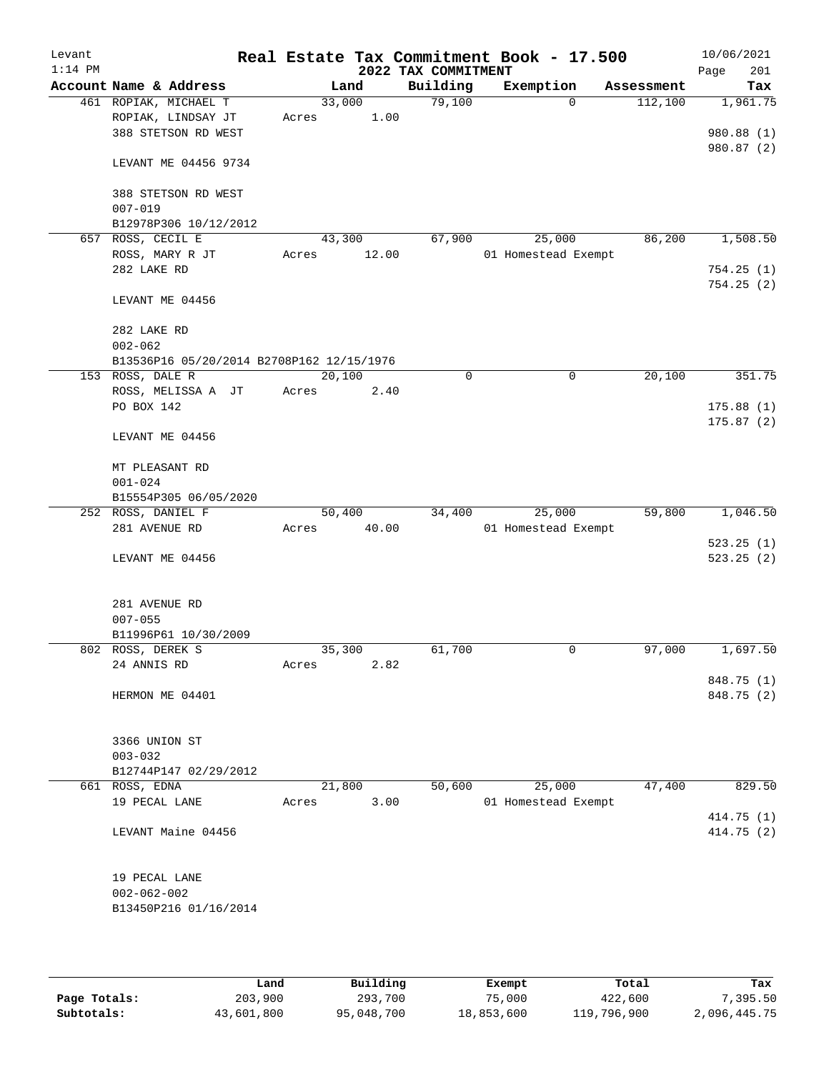| Levant<br>$1:14$ PM |                                           |       |        | 2022 TAX COMMITMENT | Real Estate Tax Commitment Book - 17.500 |            | 10/06/2021<br>201<br>Page |
|---------------------|-------------------------------------------|-------|--------|---------------------|------------------------------------------|------------|---------------------------|
|                     | Account Name & Address                    |       | Land   | Building            | Exemption                                | Assessment | Tax                       |
|                     | 461 ROPIAK, MICHAEL T                     |       | 33,000 | 79,100              | $\Omega$                                 | 112,100    | 1,961.75                  |
|                     | ROPIAK, LINDSAY JT                        | Acres | 1.00   |                     |                                          |            |                           |
|                     | 388 STETSON RD WEST                       |       |        |                     |                                          |            | 980.88 (1)                |
|                     | LEVANT ME 04456 9734                      |       |        |                     |                                          |            | 980.87 (2)                |
|                     | 388 STETSON RD WEST                       |       |        |                     |                                          |            |                           |
|                     | $007 - 019$                               |       |        |                     |                                          |            |                           |
|                     | B12978P306 10/12/2012                     |       |        |                     |                                          |            |                           |
|                     | 657 ROSS, CECIL E                         |       | 43,300 | 67,900              | 25,000                                   | 86,200     | 1,508.50                  |
|                     | ROSS, MARY R JT                           | Acres | 12.00  |                     | 01 Homestead Exempt                      |            |                           |
|                     | 282 LAKE RD                               |       |        |                     |                                          |            | 754.25(1)                 |
|                     |                                           |       |        |                     |                                          |            | 754.25(2)                 |
|                     | LEVANT ME 04456                           |       |        |                     |                                          |            |                           |
|                     | 282 LAKE RD                               |       |        |                     |                                          |            |                           |
|                     | $002 - 062$                               |       |        |                     |                                          |            |                           |
|                     | B13536P16 05/20/2014 B2708P162 12/15/1976 |       |        |                     |                                          |            |                           |
|                     | 153 ROSS, DALE R                          |       | 20,100 | 0                   | 0                                        | 20,100     | 351.75                    |
|                     | ROSS, MELISSA A JT                        | Acres | 2.40   |                     |                                          |            |                           |
|                     | PO BOX 142                                |       |        |                     |                                          |            | 175.88(1)                 |
|                     | LEVANT ME 04456                           |       |        |                     |                                          |            | 175.87(2)                 |
|                     | MT PLEASANT RD                            |       |        |                     |                                          |            |                           |
|                     | $001 - 024$                               |       |        |                     |                                          |            |                           |
|                     | B15554P305 06/05/2020                     |       |        |                     |                                          |            |                           |
|                     | 252 ROSS, DANIEL F                        |       | 50,400 | 34,400              | 25,000                                   | 59,800     | 1,046.50                  |
|                     | 281 AVENUE RD                             | Acres | 40.00  |                     | 01 Homestead Exempt                      |            |                           |
|                     |                                           |       |        |                     |                                          |            | 523.25(1)                 |
|                     | LEVANT ME 04456                           |       |        |                     |                                          |            | 523.25(2)                 |
|                     | 281 AVENUE RD                             |       |        |                     |                                          |            |                           |
|                     | $007 - 055$                               |       |        |                     |                                          |            |                           |
|                     | B11996P61 10/30/2009                      |       |        |                     |                                          |            |                           |
|                     | 802 ROSS, DEREK S                         |       | 35,300 | 61,700              | 0                                        | 97,000     | 1,697.50                  |
|                     | 24 ANNIS RD                               | Acres | 2.82   |                     |                                          |            |                           |
|                     |                                           |       |        |                     |                                          |            | 848.75 (1)                |
|                     | HERMON ME 04401                           |       |        |                     |                                          |            | 848.75 (2)                |
|                     | 3366 UNION ST                             |       |        |                     |                                          |            |                           |
|                     | $003 - 032$                               |       |        |                     |                                          |            |                           |
|                     | B12744P147 02/29/2012                     |       |        |                     |                                          |            |                           |
|                     | 661 ROSS, EDNA                            |       | 21,800 | 50,600              | 25,000                                   | 47,400     | 829.50                    |
|                     | 19 PECAL LANE                             | Acres | 3.00   |                     | 01 Homestead Exempt                      |            |                           |
|                     |                                           |       |        |                     |                                          |            | 414.75 (1)                |
|                     | LEVANT Maine 04456                        |       |        |                     |                                          |            | 414.75 (2)                |
|                     | 19 PECAL LANE                             |       |        |                     |                                          |            |                           |
|                     | $002 - 062 - 002$                         |       |        |                     |                                          |            |                           |
|                     | B13450P216 01/16/2014                     |       |        |                     |                                          |            |                           |
|                     |                                           |       |        |                     |                                          |            |                           |

|              | Land       | Building   | Exempt     | Total       | Tax          |
|--------------|------------|------------|------------|-------------|--------------|
| Page Totals: | 203,900    | 293,700    | 75,000     | 422,600     | 7,395.50     |
| Subtotals:   | 43,601,800 | 95,048,700 | 18,853,600 | 119,796,900 | 2,096,445.75 |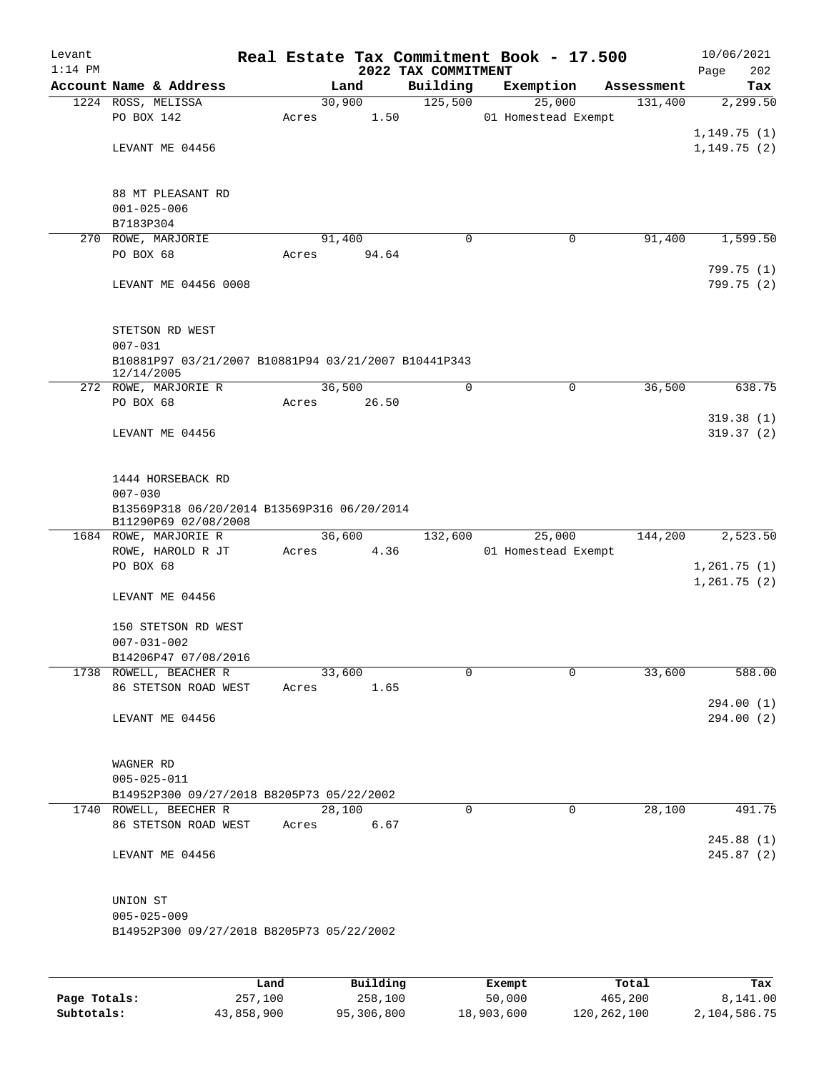| Levant<br>$1:14$ PM |                                                                    |       |        |      | 2022 TAX COMMITMENT | Real Estate Tax Commitment Book - 17.500 |            | 10/06/2021<br>Page<br>202 |
|---------------------|--------------------------------------------------------------------|-------|--------|------|---------------------|------------------------------------------|------------|---------------------------|
|                     | Account Name & Address                                             |       | Land   |      | Building            | Exemption                                | Assessment | Tax                       |
|                     | 1224 ROSS, MELISSA                                                 |       | 30,900 |      | 125,500             | 25,000                                   | 131,400    | 2,299.50                  |
|                     | PO BOX 142                                                         | Acres |        | 1.50 |                     | 01 Homestead Exempt                      |            |                           |
|                     |                                                                    |       |        |      |                     |                                          |            | 1,149.75(1)               |
|                     | LEVANT ME 04456                                                    |       |        |      |                     |                                          |            | 1, 149.75(2)              |
|                     |                                                                    |       |        |      |                     |                                          |            |                           |
|                     | 88 MT PLEASANT RD                                                  |       |        |      |                     |                                          |            |                           |
|                     | $001 - 025 - 006$<br>B7183P304                                     |       |        |      |                     |                                          |            |                           |
|                     | 270 ROWE, MARJORIE                                                 |       | 91,400 |      | 0                   | 0                                        | 91,400     | 1,599.50                  |
|                     | PO BOX 68                                                          | Acres | 94.64  |      |                     |                                          |            |                           |
|                     |                                                                    |       |        |      |                     |                                          |            | 799.75 (1)                |
|                     | LEVANT ME 04456 0008                                               |       |        |      |                     |                                          |            | 799.75 (2)                |
|                     | STETSON RD WEST                                                    |       |        |      |                     |                                          |            |                           |
|                     | $007 - 031$                                                        |       |        |      |                     |                                          |            |                           |
|                     | B10881P97 03/21/2007 B10881P94 03/21/2007 B10441P343<br>12/14/2005 |       |        |      |                     |                                          |            |                           |
|                     | 272 ROWE, MARJORIE R                                               |       | 36,500 |      | $\mathbf 0$         | 0                                        | 36,500     | 638.75                    |
|                     | PO BOX 68                                                          | Acres | 26.50  |      |                     |                                          |            |                           |
|                     | LEVANT ME 04456                                                    |       |        |      |                     |                                          |            | 319.38(1)<br>319.37(2)    |
|                     |                                                                    |       |        |      |                     |                                          |            |                           |
|                     | 1444 HORSEBACK RD                                                  |       |        |      |                     |                                          |            |                           |
|                     | $007 - 030$<br>B13569P318 06/20/2014 B13569P316 06/20/2014         |       |        |      |                     |                                          |            |                           |
|                     | B11290P69 02/08/2008                                               |       |        |      |                     |                                          |            |                           |
|                     | 1684 ROWE, MARJORIE R                                              |       | 36,600 |      | 132,600             | 25,000                                   | 144,200    | 2,523.50                  |
|                     | ROWE, HAROLD R JT                                                  | Acres |        | 4.36 |                     | 01 Homestead Exempt                      |            |                           |
|                     | PO BOX 68                                                          |       |        |      |                     |                                          |            | 1,261.75(1)               |
|                     | LEVANT ME 04456                                                    |       |        |      |                     |                                          |            | 1,261.75(2)               |
|                     | 150 STETSON RD WEST                                                |       |        |      |                     |                                          |            |                           |
|                     | $007 - 031 - 002$                                                  |       |        |      |                     |                                          |            |                           |
|                     | B14206P47 07/08/2016                                               |       |        |      |                     |                                          |            |                           |
|                     | 1738 ROWELL, BEACHER R<br>86 STETSON ROAD WEST                     | Acres | 33,600 | 1.65 | 0                   | 0                                        | 33,600     | 588.00                    |
|                     |                                                                    |       |        |      |                     |                                          |            | 294.00(1)                 |
|                     | LEVANT ME 04456                                                    |       |        |      |                     |                                          |            | 294.00 (2)                |
|                     |                                                                    |       |        |      |                     |                                          |            |                           |
|                     | WAGNER RD                                                          |       |        |      |                     |                                          |            |                           |
|                     | $005 - 025 - 011$                                                  |       |        |      |                     |                                          |            |                           |
|                     | B14952P300 09/27/2018 B8205P73 05/22/2002                          |       |        |      |                     |                                          |            |                           |
|                     | 1740 ROWELL, BEECHER R<br>86 STETSON ROAD WEST                     | Acres | 28,100 | 6.67 | 0                   | 0                                        | 28,100     | 491.75                    |
|                     |                                                                    |       |        |      |                     |                                          |            | 245.88(1)                 |
|                     | LEVANT ME 04456                                                    |       |        |      |                     |                                          |            | 245.87(2)                 |
|                     | UNION ST                                                           |       |        |      |                     |                                          |            |                           |
|                     | $005 - 025 - 009$                                                  |       |        |      |                     |                                          |            |                           |
|                     | B14952P300 09/27/2018 B8205P73 05/22/2002                          |       |        |      |                     |                                          |            |                           |
|                     |                                                                    |       |        |      |                     |                                          |            |                           |
|                     |                                                                    |       |        |      |                     |                                          |            |                           |

|              | Land       | Building   | Exempt     | Total       | Tax          |
|--------------|------------|------------|------------|-------------|--------------|
| Page Totals: | 257,100    | 258,100    | 50,000     | 465,200     | 8,141.00     |
| Subtotals:   | 43,858,900 | 95,306,800 | 18,903,600 | 120,262,100 | 2,104,586.75 |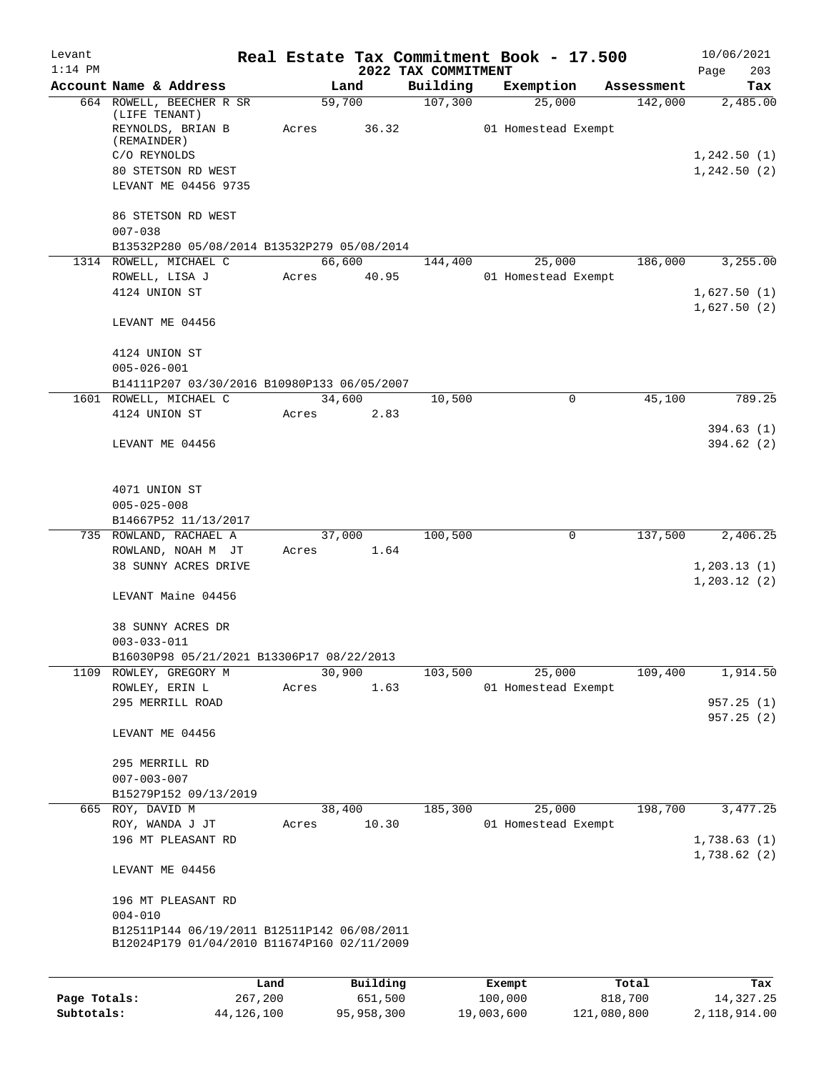| Levant<br>$1:14$ PM |                                                                                               |                 |                     | 2022 TAX COMMITMENT | Real Estate Tax Commitment Book - 17.500 |                  | 10/06/2021<br>203<br>Page   |
|---------------------|-----------------------------------------------------------------------------------------------|-----------------|---------------------|---------------------|------------------------------------------|------------------|-----------------------------|
|                     | Account Name & Address                                                                        |                 | Land                | Building            | Exemption                                | Assessment       | Tax                         |
|                     | 664 ROWELL, BEECHER R SR<br>(LIFE TENANT)<br>REYNOLDS, BRIAN B<br>(REMAINDER)<br>C/O REYNOLDS | Acres           | 59,700<br>36.32     | 107,300             | 25,000<br>01 Homestead Exempt            | 142,000          | 2,485.00<br>1, 242.50(1)    |
|                     | 80 STETSON RD WEST<br>LEVANT ME 04456 9735<br>86 STETSON RD WEST                              |                 |                     |                     |                                          |                  | 1, 242.50(2)                |
|                     | $007 - 038$<br>B13532P280 05/08/2014 B13532P279 05/08/2014                                    |                 |                     |                     |                                          |                  |                             |
|                     | 1314 ROWELL, MICHAEL C                                                                        |                 | 66,600              | 144,400             | 25,000                                   | 186,000          | 3,255.00                    |
|                     | ROWELL, LISA J<br>4124 UNION ST                                                               | Acres           | 40.95               |                     | 01 Homestead Exempt                      |                  | 1,627.50(1)<br>1,627.50(2)  |
|                     | LEVANT ME 04456                                                                               |                 |                     |                     |                                          |                  |                             |
|                     | 4124 UNION ST<br>$005 - 026 - 001$                                                            |                 |                     |                     |                                          |                  |                             |
|                     | B14111P207 03/30/2016 B10980P133 06/05/2007                                                   |                 |                     |                     |                                          |                  |                             |
|                     | 1601 ROWELL, MICHAEL C<br>4124 UNION ST                                                       |                 | 34,600<br>2.83      | 10,500              | $\Omega$                                 | 45,100           | 789.25                      |
|                     |                                                                                               | Acres           |                     |                     |                                          |                  | 394.63(1)                   |
|                     | LEVANT ME 04456                                                                               |                 |                     |                     |                                          |                  | 394.62(2)                   |
|                     | 4071 UNION ST<br>$005 - 025 - 008$                                                            |                 |                     |                     |                                          |                  |                             |
|                     | B14667P52 11/13/2017                                                                          |                 |                     |                     |                                          |                  |                             |
|                     | 735 ROWLAND, RACHAEL A                                                                        |                 | 37,000              | 100,500             | 0                                        | 137,500          | 2,406.25                    |
|                     | ROWLAND, NOAH M JT<br>38 SUNNY ACRES DRIVE                                                    |                 | Acres 1.64          |                     |                                          |                  | 1,203.13(1)<br>1, 203.12(2) |
|                     | LEVANT Maine 04456                                                                            |                 |                     |                     |                                          |                  |                             |
|                     | 38 SUNNY ACRES DR<br>$003 - 033 - 011$                                                        |                 |                     |                     |                                          |                  |                             |
|                     | B16030P98 05/21/2021 B13306P17 08/22/2013                                                     |                 |                     |                     |                                          |                  |                             |
|                     | 1109 ROWLEY, GREGORY M                                                                        |                 | 30,900              | 103,500             | 25,000                                   | 109,400          | 1,914.50                    |
|                     | ROWLEY, ERIN L                                                                                | Acres           | 1.63                |                     | 01 Homestead Exempt                      |                  |                             |
|                     | 295 MERRILL ROAD                                                                              |                 |                     |                     |                                          |                  | 957.25(1)<br>957.25(2)      |
|                     | LEVANT ME 04456                                                                               |                 |                     |                     |                                          |                  |                             |
|                     | 295 MERRILL RD<br>$007 - 003 - 007$                                                           |                 |                     |                     |                                          |                  |                             |
|                     | B15279P152 09/13/2019<br>665 ROY, DAVID M                                                     |                 | 38,400              | 185,300             | 25,000                                   | 198,700          | 3,477.25                    |
|                     | ROY, WANDA J JT<br>196 MT PLEASANT RD                                                         | Acres           | 10.30               |                     | 01 Homestead Exempt                      |                  | 1,738.63(1)                 |
|                     | LEVANT ME 04456                                                                               |                 |                     |                     |                                          |                  | 1,738.62(2)                 |
|                     | 196 MT PLEASANT RD<br>$004 - 010$                                                             |                 |                     |                     |                                          |                  |                             |
|                     | B12511P144 06/19/2011 B12511P142 06/08/2011<br>B12024P179 01/04/2010 B11674P160 02/11/2009    |                 |                     |                     |                                          |                  |                             |
|                     |                                                                                               |                 |                     |                     |                                          |                  |                             |
| Page Totals:        |                                                                                               | Land<br>267,200 | Building<br>651,500 |                     | Exempt<br>100,000                        | Total<br>818,700 | Tax<br>14, 327.25           |

**Subtotals:** 44,126,100 95,958,300 19,003,600 121,080,800 2,118,914.00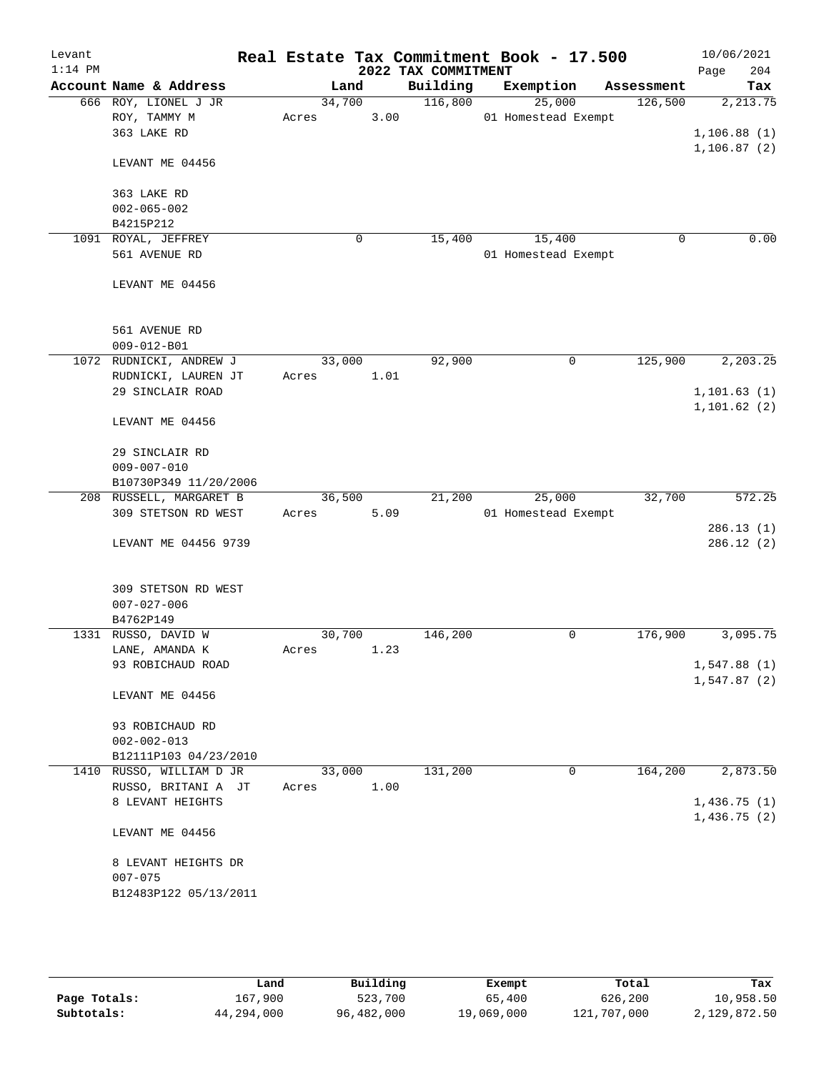| Levant<br>$1:14$ PM |                                    |        |        | 2022 TAX COMMITMENT | Real Estate Tax Commitment Book - 17.500 |            | 10/06/2021<br>204<br>Page |
|---------------------|------------------------------------|--------|--------|---------------------|------------------------------------------|------------|---------------------------|
|                     | Account Name & Address             |        | Land   | Building            | Exemption                                | Assessment | Tax                       |
|                     | 666 ROY, LIONEL J JR               |        | 34,700 | 116,800             | 25,000                                   | 126,500    | 2, 213.75                 |
|                     | ROY, TAMMY M                       | Acres  | 3.00   |                     | 01 Homestead Exempt                      |            |                           |
|                     | 363 LAKE RD                        |        |        |                     |                                          |            | 1,106.88(1)               |
|                     |                                    |        |        |                     |                                          |            | 1, 106.87(2)              |
|                     | LEVANT ME 04456                    |        |        |                     |                                          |            |                           |
|                     |                                    |        |        |                     |                                          |            |                           |
|                     | 363 LAKE RD                        |        |        |                     |                                          |            |                           |
|                     | $002 - 065 - 002$                  |        |        |                     |                                          |            |                           |
|                     | B4215P212                          |        |        |                     |                                          |            |                           |
|                     | 1091 ROYAL, JEFFREY                |        | 0      | 15,400              | 15,400                                   | 0          | 0.00                      |
|                     | 561 AVENUE RD                      |        |        |                     | 01 Homestead Exempt                      |            |                           |
|                     |                                    |        |        |                     |                                          |            |                           |
|                     | LEVANT ME 04456                    |        |        |                     |                                          |            |                           |
|                     |                                    |        |        |                     |                                          |            |                           |
|                     |                                    |        |        |                     |                                          |            |                           |
|                     | 561 AVENUE RD                      |        |        |                     |                                          |            |                           |
|                     | $009 - 012 - B01$                  |        |        |                     |                                          |            |                           |
|                     | 1072 RUDNICKI, ANDREW J            |        | 33,000 | 92,900              | 0                                        | 125,900    | 2, 203.25                 |
|                     | RUDNICKI, LAUREN JT                | Acres  | 1.01   |                     |                                          |            |                           |
|                     | 29 SINCLAIR ROAD                   |        |        |                     |                                          |            | 1, 101.63(1)              |
|                     |                                    |        |        |                     |                                          |            | 1, 101.62(2)              |
|                     | LEVANT ME 04456                    |        |        |                     |                                          |            |                           |
|                     | 29 SINCLAIR RD                     |        |        |                     |                                          |            |                           |
|                     | $009 - 007 - 010$                  |        |        |                     |                                          |            |                           |
|                     | B10730P349 11/20/2006              |        |        |                     |                                          |            |                           |
|                     | 208 RUSSELL, MARGARET B            |        | 36,500 | 21,200              | 25,000                                   | 32,700     | 572.25                    |
|                     | 309 STETSON RD WEST                | Acres  | 5.09   |                     | 01 Homestead Exempt                      |            |                           |
|                     |                                    |        |        |                     |                                          |            | 286.13(1)                 |
|                     | LEVANT ME 04456 9739               |        |        |                     |                                          |            | 286.12 (2)                |
|                     |                                    |        |        |                     |                                          |            |                           |
|                     |                                    |        |        |                     |                                          |            |                           |
|                     | 309 STETSON RD WEST                |        |        |                     |                                          |            |                           |
|                     | $007 - 027 - 006$                  |        |        |                     |                                          |            |                           |
|                     | B4762P149                          |        |        |                     |                                          |            |                           |
|                     | 1331 RUSSO, DAVID W                | 30,700 |        | 146,200             | 0                                        | 176,900    | 3,095.75                  |
|                     | LANE, AMANDA K                     | Acres  | 1.23   |                     |                                          |            |                           |
|                     | 93 ROBICHAUD ROAD                  |        |        |                     |                                          |            | 1,547.88(1)               |
|                     |                                    |        |        |                     |                                          |            | 1,547.87(2)               |
|                     | LEVANT ME 04456                    |        |        |                     |                                          |            |                           |
|                     |                                    |        |        |                     |                                          |            |                           |
|                     | 93 ROBICHAUD RD                    |        |        |                     |                                          |            |                           |
|                     | $002 - 002 - 013$                  |        |        |                     |                                          |            |                           |
|                     | B12111P103 04/23/2010              |        |        |                     |                                          |            |                           |
|                     | 1410 RUSSO, WILLIAM D JR           |        | 33,000 | 131,200             | 0                                        | 164,200    | 2,873.50                  |
|                     | RUSSO, BRITANI A JT                | Acres  | 1.00   |                     |                                          |            |                           |
|                     | 8 LEVANT HEIGHTS                   |        |        |                     |                                          |            | 1,436.75(1)               |
|                     |                                    |        |        |                     |                                          |            | 1,436.75(2)               |
|                     | LEVANT ME 04456                    |        |        |                     |                                          |            |                           |
|                     |                                    |        |        |                     |                                          |            |                           |
|                     | 8 LEVANT HEIGHTS DR<br>$007 - 075$ |        |        |                     |                                          |            |                           |
|                     |                                    |        |        |                     |                                          |            |                           |
|                     | B12483P122 05/13/2011              |        |        |                     |                                          |            |                           |
|                     |                                    |        |        |                     |                                          |            |                           |

|              | Land       | Building   | Exempt     | Total       | Tax          |
|--------------|------------|------------|------------|-------------|--------------|
| Page Totals: | 167,900    | 523,700    | 65,400     | 626,200     | 10,958.50    |
| Subtotals:   | 44,294,000 | 96,482,000 | 19,069,000 | 121,707,000 | 2,129,872.50 |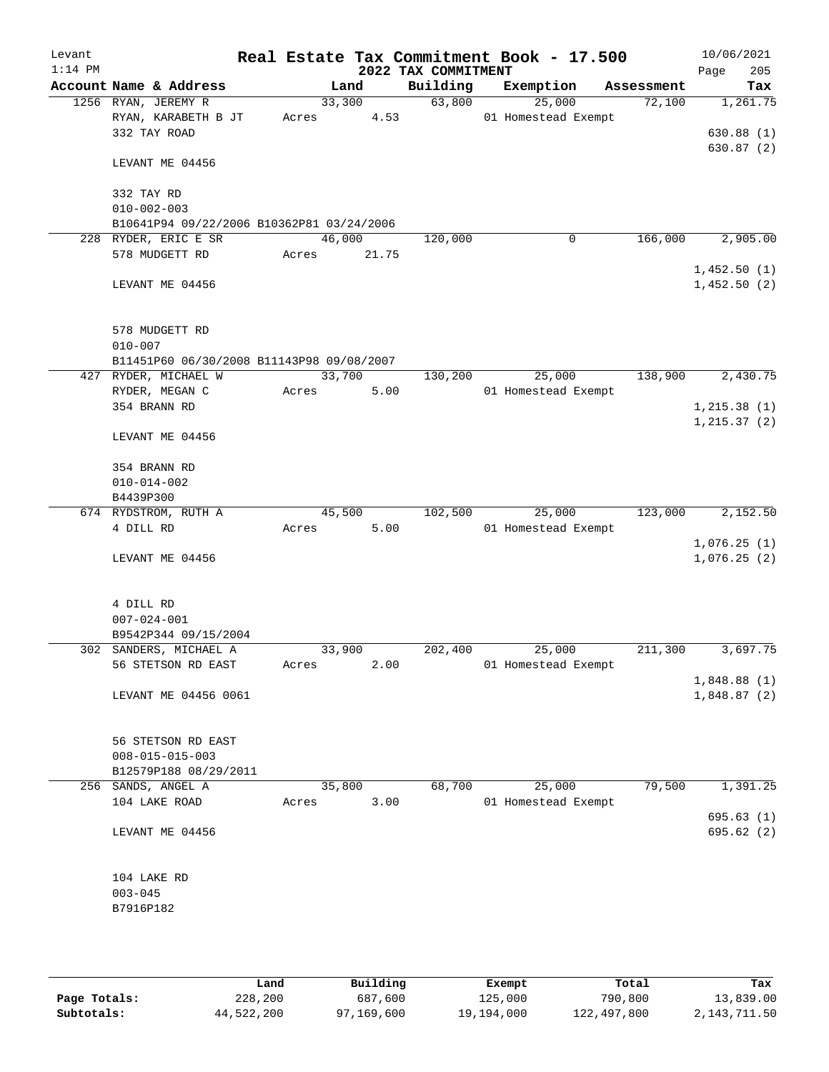| Levant    |                                            |        |                |                     | Real Estate Tax Commitment Book - 17.500 |            | 10/06/2021                   |
|-----------|--------------------------------------------|--------|----------------|---------------------|------------------------------------------|------------|------------------------------|
| $1:14$ PM |                                            |        |                | 2022 TAX COMMITMENT |                                          |            | 205<br>Page                  |
|           | Account Name & Address                     |        | Land           | Building            | Exemption                                | Assessment | Tax                          |
|           | 1256 RYAN, JEREMY R<br>RYAN, KARABETH B JT | Acres  | 33,300<br>4.53 | 63,800              | 25,000<br>01 Homestead Exempt            | 72,100     | 1,261.75                     |
|           | 332 TAY ROAD                               |        |                |                     |                                          |            | 630.88(1)                    |
|           |                                            |        |                |                     |                                          |            | 630.87(2)                    |
|           | LEVANT ME 04456                            |        |                |                     |                                          |            |                              |
|           | 332 TAY RD                                 |        |                |                     |                                          |            |                              |
|           | $010 - 002 - 003$                          |        |                |                     |                                          |            |                              |
|           | B10641P94 09/22/2006 B10362P81 03/24/2006  |        |                |                     |                                          |            |                              |
|           | 228 RYDER, ERIC E SR                       | 46,000 |                | 120,000             | 0                                        | 166,000    | 2,905.00                     |
|           | 578 MUDGETT RD                             | Acres  | 21.75          |                     |                                          |            | 1,452.50(1)                  |
|           | LEVANT ME 04456                            |        |                |                     |                                          |            | 1,452.50(2)                  |
|           | 578 MUDGETT RD                             |        |                |                     |                                          |            |                              |
|           | $010 - 007$                                |        |                |                     |                                          |            |                              |
|           | B11451P60 06/30/2008 B11143P98 09/08/2007  |        |                |                     |                                          |            |                              |
|           | 427 RYDER, MICHAEL W                       | 33,700 |                | 130,200             | 25,000                                   | 138,900    | 2,430.75                     |
|           | RYDER, MEGAN C                             | Acres  | 5.00           |                     | 01 Homestead Exempt                      |            |                              |
|           | 354 BRANN RD                               |        |                |                     |                                          |            | 1, 215.38(1)<br>1, 215.37(2) |
|           | LEVANT ME 04456                            |        |                |                     |                                          |            |                              |
|           | 354 BRANN RD                               |        |                |                     |                                          |            |                              |
|           | $010 - 014 - 002$                          |        |                |                     |                                          |            |                              |
|           | B4439P300                                  |        |                |                     |                                          |            |                              |
|           | 674 RYDSTROM, RUTH A                       |        | 45,500         | 102,500             | 25,000                                   | 123,000    | 2,152.50                     |
|           | 4 DILL RD                                  | Acres  | 5.00           |                     | 01 Homestead Exempt                      |            |                              |
|           |                                            |        |                |                     |                                          |            | 1,076.25(1)                  |
|           | LEVANT ME 04456                            |        |                |                     |                                          |            | 1,076.25(2)                  |
|           | 4 DILL RD                                  |        |                |                     |                                          |            |                              |
|           | $007 - 024 - 001$                          |        |                |                     |                                          |            |                              |
|           | B9542P344 09/15/2004                       |        |                |                     |                                          |            |                              |
|           | 302 SANDERS, MICHAEL A                     | 33,900 |                | 202,400             | 25,000                                   | 211,300    | 3,697.75                     |
|           | 56 STETSON RD EAST                         | Acres  | 2.00           |                     | 01 Homestead Exempt                      |            | 1,848.88(1)                  |
|           | LEVANT ME 04456 0061                       |        |                |                     |                                          |            | 1,848.87(2)                  |
|           |                                            |        |                |                     |                                          |            |                              |
|           | 56 STETSON RD EAST                         |        |                |                     |                                          |            |                              |
|           | $008 - 015 - 015 - 003$                    |        |                |                     |                                          |            |                              |
|           | B12579P188 08/29/2011                      |        |                |                     |                                          |            |                              |
|           | 256 SANDS, ANGEL A                         | 35,800 |                | 68,700              | 25,000                                   | 79,500     | 1,391.25                     |
|           | 104 LAKE ROAD                              | Acres  | 3.00           |                     | 01 Homestead Exempt                      |            |                              |
|           |                                            |        |                |                     |                                          |            | 695.63(1)                    |
|           | LEVANT ME 04456                            |        |                |                     |                                          |            | 695.62 (2)                   |
|           | 104 LAKE RD                                |        |                |                     |                                          |            |                              |
|           | $003 - 045$                                |        |                |                     |                                          |            |                              |
|           | B7916P182                                  |        |                |                     |                                          |            |                              |
|           |                                            |        |                |                     |                                          |            |                              |
|           |                                            |        |                |                     |                                          |            |                              |

|              | Land       | Building   | Exempt     | Total       | Tax          |
|--------------|------------|------------|------------|-------------|--------------|
| Page Totals: | 228,200    | 687,600    | 125,000    | 790,800     | 13,839.00    |
| Subtotals:   | 44,522,200 | 97,169,600 | 19,194,000 | 122,497,800 | 2,143,711.50 |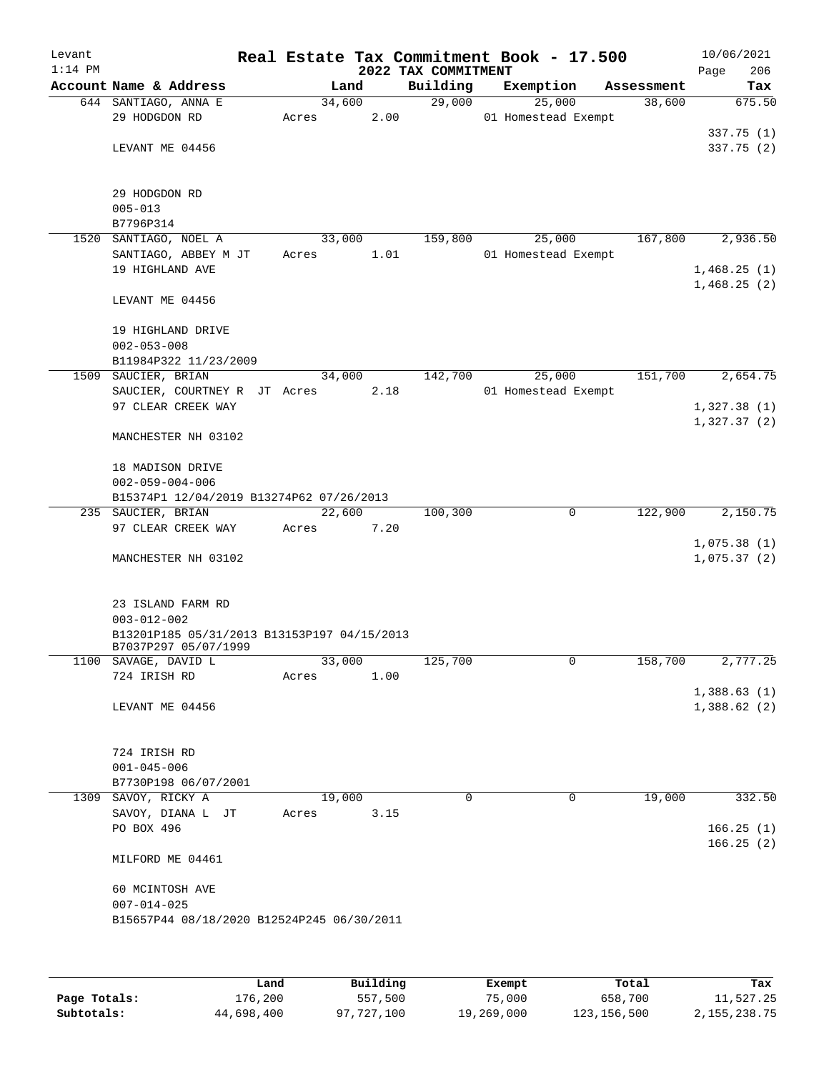| Levant<br>$1:14$ PM |                                             |                 |      | Real Estate Tax Commitment Book - 17.500<br>2022 TAX COMMITMENT |                     |              |            | Page | 10/06/2021<br>206      |
|---------------------|---------------------------------------------|-----------------|------|-----------------------------------------------------------------|---------------------|--------------|------------|------|------------------------|
|                     | Account Name & Address                      |                 | Land | Building                                                        | Exemption           |              | Assessment |      | Tax                    |
|                     | 644 SANTIAGO, ANNA E                        | 34,600          |      | 29,000                                                          |                     | 25,000       | 38,600     |      | 675.50                 |
|                     | 29 HODGDON RD                               | Acres           | 2.00 |                                                                 | 01 Homestead Exempt |              |            |      |                        |
|                     |                                             |                 |      |                                                                 |                     |              |            |      | 337.75(1)              |
|                     | LEVANT ME 04456                             |                 |      |                                                                 |                     |              |            |      | 337.75(2)              |
|                     | 29 HODGDON RD                               |                 |      |                                                                 |                     |              |            |      |                        |
|                     | $005 - 013$                                 |                 |      |                                                                 |                     |              |            |      |                        |
|                     | B7796P314                                   |                 |      |                                                                 |                     |              |            |      |                        |
| 1520                | SANTIAGO, NOEL A                            | 33,000          |      | 159,800                                                         |                     | 25,000       | 167,800    |      | 2,936.50               |
|                     | SANTIAGO, ABBEY M JT                        | Acres           | 1.01 |                                                                 | 01 Homestead Exempt |              |            |      |                        |
|                     | 19 HIGHLAND AVE                             |                 |      |                                                                 |                     |              |            |      | 1,468.25(1)            |
|                     | LEVANT ME 04456                             |                 |      |                                                                 |                     |              |            |      | 1,468.25(2)            |
|                     |                                             |                 |      |                                                                 |                     |              |            |      |                        |
|                     | 19 HIGHLAND DRIVE<br>$002 - 053 - 008$      |                 |      |                                                                 |                     |              |            |      |                        |
|                     | B11984P322 11/23/2009                       |                 |      |                                                                 |                     |              |            |      |                        |
|                     | 1509 SAUCIER, BRIAN                         | 34,000          |      | 142,700                                                         |                     | 25,000       | 151,700    |      | 2,654.75               |
|                     | SAUCIER, COURTNEY R JT Acres                |                 | 2.18 |                                                                 | 01 Homestead Exempt |              |            |      |                        |
|                     | 97 CLEAR CREEK WAY                          |                 |      |                                                                 |                     |              |            |      | 1,327.38(1)            |
|                     |                                             |                 |      |                                                                 |                     |              |            |      | 1,327.37(2)            |
|                     | MANCHESTER NH 03102                         |                 |      |                                                                 |                     |              |            |      |                        |
|                     | 18 MADISON DRIVE                            |                 |      |                                                                 |                     |              |            |      |                        |
|                     | $002 - 059 - 004 - 006$                     |                 |      |                                                                 |                     |              |            |      |                        |
|                     | B15374P1 12/04/2019 B13274P62 07/26/2013    |                 |      |                                                                 |                     |              |            |      |                        |
|                     | 235 SAUCIER, BRIAN                          | 22,600          |      | 100,300                                                         |                     | 0            | 122,900    |      | 2,150.75               |
|                     | 97 CLEAR CREEK WAY                          | Acres           | 7.20 |                                                                 |                     |              |            |      |                        |
|                     |                                             |                 |      |                                                                 |                     |              |            |      | 1,075.38(1)            |
|                     | MANCHESTER NH 03102                         |                 |      |                                                                 |                     |              |            |      | 1,075.37(2)            |
|                     | 23 ISLAND FARM RD                           |                 |      |                                                                 |                     |              |            |      |                        |
|                     | $003 - 012 - 002$                           |                 |      |                                                                 |                     |              |            |      |                        |
|                     | B13201P185 05/31/2013 B13153P197 04/15/2013 |                 |      |                                                                 |                     |              |            |      |                        |
|                     | B7037P297 05/07/1999                        |                 |      |                                                                 |                     |              |            |      |                        |
|                     | 1100 SAVAGE, DAVID L<br>724 IRISH RD        | 33,000<br>Acres | 1.00 | 125,700                                                         |                     | $\mathsf{O}$ | 158,700    |      | 2,777.25               |
|                     |                                             |                 |      |                                                                 |                     |              |            |      | 1,388.63(1)            |
|                     | LEVANT ME 04456                             |                 |      |                                                                 |                     |              |            |      | 1,388.62(2)            |
|                     |                                             |                 |      |                                                                 |                     |              |            |      |                        |
|                     |                                             |                 |      |                                                                 |                     |              |            |      |                        |
|                     | 724 IRISH RD                                |                 |      |                                                                 |                     |              |            |      |                        |
|                     | $001 - 045 - 006$                           |                 |      |                                                                 |                     |              |            |      |                        |
|                     | B7730P198 06/07/2001                        |                 |      |                                                                 |                     |              |            |      |                        |
|                     | 1309 SAVOY, RICKY A                         | 19,000          |      | $\Omega$                                                        |                     | 0            | 19,000     |      | 332.50                 |
|                     | SAVOY, DIANA L JT                           | Acres           | 3.15 |                                                                 |                     |              |            |      |                        |
|                     | PO BOX 496                                  |                 |      |                                                                 |                     |              |            |      | 166.25(1)<br>166.25(2) |
|                     | MILFORD ME 04461                            |                 |      |                                                                 |                     |              |            |      |                        |
|                     | 60 MCINTOSH AVE                             |                 |      |                                                                 |                     |              |            |      |                        |
|                     | $007 - 014 - 025$                           |                 |      |                                                                 |                     |              |            |      |                        |
|                     | B15657P44 08/18/2020 B12524P245 06/30/2011  |                 |      |                                                                 |                     |              |            |      |                        |
|                     |                                             |                 |      |                                                                 |                     |              |            |      |                        |
|                     |                                             |                 |      |                                                                 |                     |              |            |      |                        |
|                     |                                             |                 |      |                                                                 |                     |              |            |      |                        |

|              | Land       | Building   | Exempt     | Total         | Tax          |
|--------------|------------|------------|------------|---------------|--------------|
| Page Totals: | 176,200    | 557,500    | 75,000     | 658,700       | 11,527.25    |
| Subtotals:   | 44,698,400 | 97,727,100 | 19,269,000 | 123, 156, 500 | 2,155,238.75 |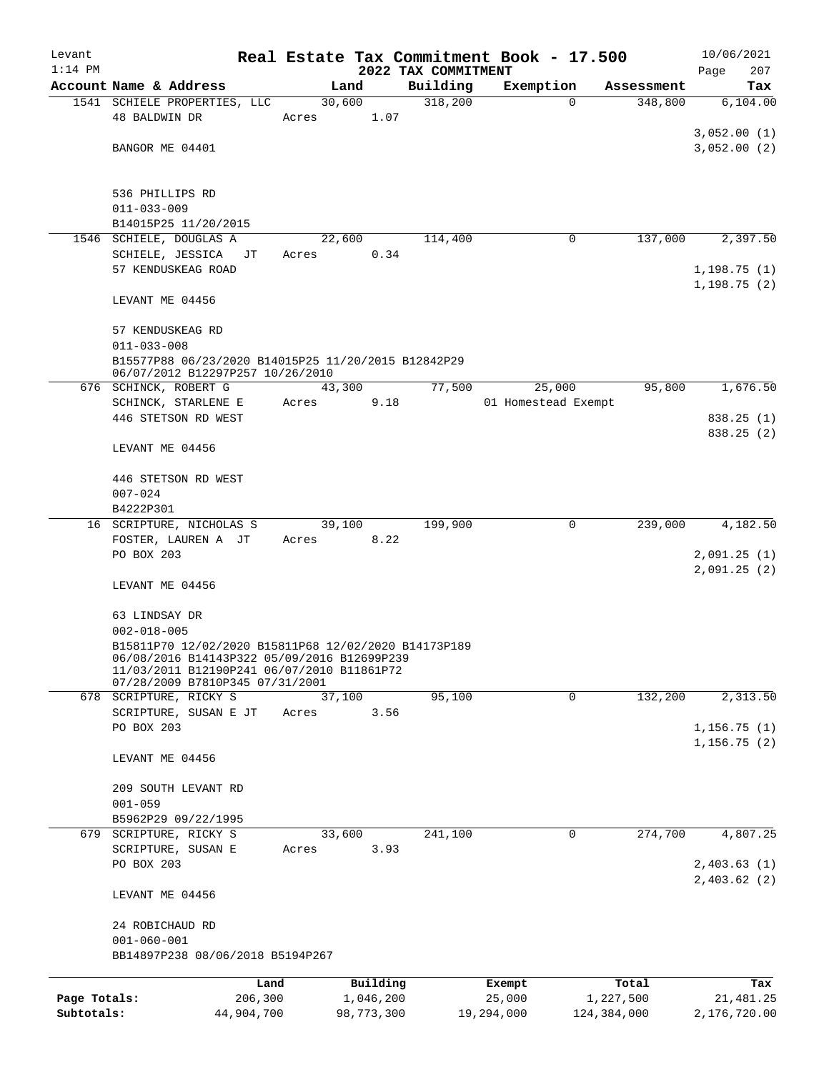| Levant       |                                                                               |       |                |                     | Real Estate Tax Commitment Book - 17.500 |             | 10/06/2021   |
|--------------|-------------------------------------------------------------------------------|-------|----------------|---------------------|------------------------------------------|-------------|--------------|
| $1:14$ PM    |                                                                               |       |                | 2022 TAX COMMITMENT |                                          |             | 207<br>Page  |
|              | Account Name & Address                                                        |       | Land           | Building            | Exemption                                | Assessment  | Tax          |
|              | 1541 SCHIELE PROPERTIES, LLC<br>48 BALDWIN DR                                 | Acres | 30,600<br>1.07 | 318,200             | $\Omega$                                 | 348,800     | 6,104.00     |
|              |                                                                               |       |                |                     |                                          |             | 3,052.00(1)  |
|              | BANGOR ME 04401                                                               |       |                |                     |                                          |             | 3,052.00(2)  |
|              |                                                                               |       |                |                     |                                          |             |              |
|              | 536 PHILLIPS RD                                                               |       |                |                     |                                          |             |              |
|              | $011 - 033 - 009$                                                             |       |                |                     |                                          |             |              |
|              | B14015P25 11/20/2015                                                          |       |                |                     |                                          |             |              |
|              | 1546 SCHIELE, DOUGLAS A                                                       |       | 22,600         | 114,400             | 0                                        | 137,000     | 2,397.50     |
|              | SCHIELE, JESSICA<br>JТ                                                        | Acres | 0.34           |                     |                                          |             |              |
|              | 57 KENDUSKEAG ROAD                                                            |       |                |                     |                                          |             | 1,198.75(1)  |
|              |                                                                               |       |                |                     |                                          |             | 1, 198.75(2) |
|              | LEVANT ME 04456                                                               |       |                |                     |                                          |             |              |
|              | 57 KENDUSKEAG RD                                                              |       |                |                     |                                          |             |              |
|              | $011 - 033 - 008$                                                             |       |                |                     |                                          |             |              |
|              | B15577P88 06/23/2020 B14015P25 11/20/2015 B12842P29                           |       |                |                     |                                          |             |              |
|              | 06/07/2012 B12297P257 10/26/2010                                              |       |                |                     |                                          |             |              |
|              | 676 SCHINCK, ROBERT G                                                         |       | 43,300         | 77,500              | 25,000                                   | 95,800      | 1,676.50     |
|              | SCHINCK, STARLENE E                                                           | Acres | 9.18           |                     | 01 Homestead Exempt                      |             |              |
|              | 446 STETSON RD WEST                                                           |       |                |                     |                                          |             | 838.25(1)    |
|              | LEVANT ME 04456                                                               |       |                |                     |                                          |             | 838.25(2)    |
|              | 446 STETSON RD WEST                                                           |       |                |                     |                                          |             |              |
|              | $007 - 024$                                                                   |       |                |                     |                                          |             |              |
|              | B4222P301                                                                     |       |                |                     |                                          |             |              |
|              | 16 SCRIPTURE, NICHOLAS S                                                      |       | 39,100         | 199,900             | 0                                        | 239,000     | 4,182.50     |
|              | FOSTER, LAUREN A JT                                                           | Acres | 8.22           |                     |                                          |             |              |
|              | PO BOX 203                                                                    |       |                |                     |                                          |             | 2,091.25(1)  |
|              |                                                                               |       |                |                     |                                          |             | 2,091.25(2)  |
|              | LEVANT ME 04456                                                               |       |                |                     |                                          |             |              |
|              | 63 LINDSAY DR                                                                 |       |                |                     |                                          |             |              |
|              | $002 - 018 - 005$                                                             |       |                |                     |                                          |             |              |
|              | B15811P70 12/02/2020 B15811P68 12/02/2020 B14173P189                          |       |                |                     |                                          |             |              |
|              | 06/08/2016 B14143P322 05/09/2016 B12699P239                                   |       |                |                     |                                          |             |              |
|              | 11/03/2011 B12190P241 06/07/2010 B11861P72<br>07/28/2009 B7810P345 07/31/2001 |       |                |                     |                                          |             |              |
|              | 678 SCRIPTURE, RICKY S                                                        |       | 37,100         | 95,100              | $\mathbf 0$                              | 132,200     | 2,313.50     |
|              | SCRIPTURE, SUSAN E JT                                                         | Acres | 3.56           |                     |                                          |             |              |
|              | PO BOX 203                                                                    |       |                |                     |                                          |             | 1, 156.75(1) |
|              |                                                                               |       |                |                     |                                          |             | 1, 156.75(2) |
|              | LEVANT ME 04456                                                               |       |                |                     |                                          |             |              |
|              | 209 SOUTH LEVANT RD                                                           |       |                |                     |                                          |             |              |
|              | $001 - 059$                                                                   |       |                |                     |                                          |             |              |
|              | B5962P29 09/22/1995                                                           |       |                |                     |                                          |             |              |
| 679          | SCRIPTURE, RICKY S                                                            |       | 33,600         | 241,100             | 0                                        | 274,700     | 4,807.25     |
|              | SCRIPTURE, SUSAN E                                                            | Acres | 3.93           |                     |                                          |             |              |
|              | PO BOX 203                                                                    |       |                |                     |                                          |             | 2,403.63(1)  |
|              |                                                                               |       |                |                     |                                          |             | 2,403.62(2)  |
|              | LEVANT ME 04456                                                               |       |                |                     |                                          |             |              |
|              | 24 ROBICHAUD RD                                                               |       |                |                     |                                          |             |              |
|              | $001 - 060 - 001$                                                             |       |                |                     |                                          |             |              |
|              | BB14897P238 08/06/2018 B5194P267                                              |       |                |                     |                                          |             |              |
|              | Land                                                                          |       | Building       |                     | Exempt                                   | Total       | Tax          |
| Page Totals: | 206,300                                                                       |       | 1,046,200      |                     | 25,000                                   | 1,227,500   | 21, 481.25   |
| Subtotals:   | 44,904,700                                                                    |       | 98,773,300     |                     | 19,294,000                               | 124,384,000 | 2,176,720.00 |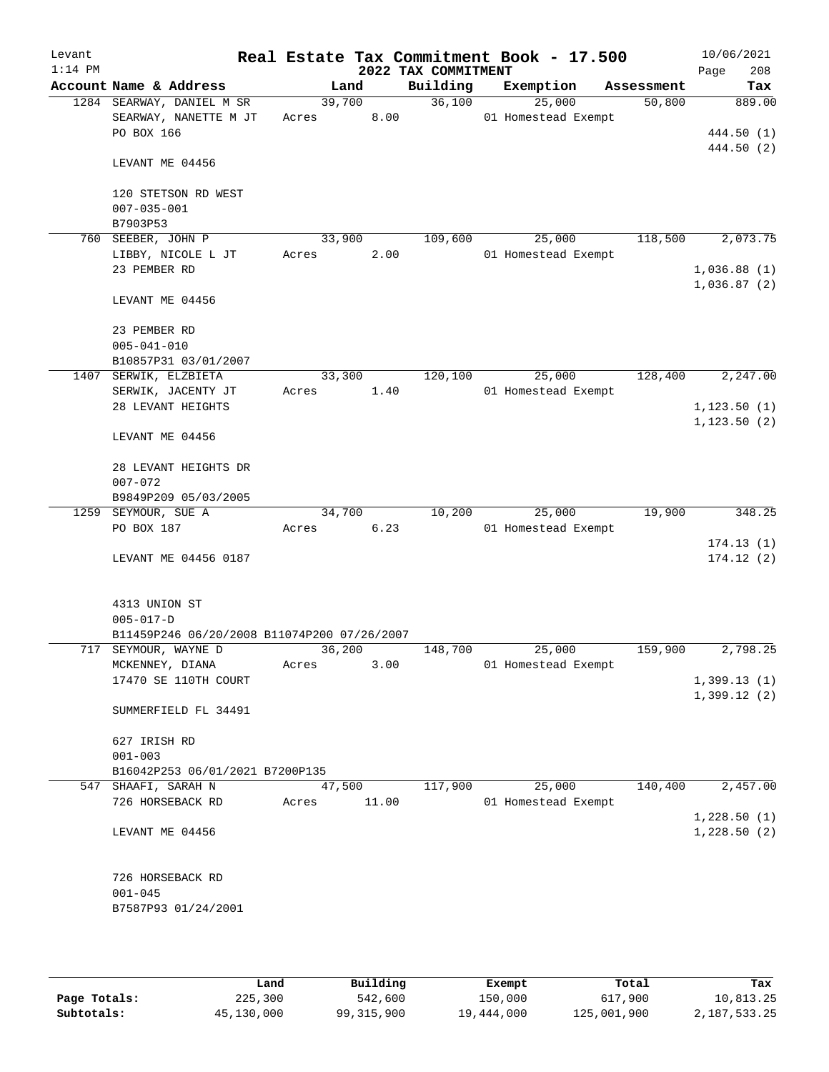| Levant<br>$1:14$ PM |                                                                                 |                 |                | 2022 TAX COMMITMENT | Real Estate Tax Commitment Book - 17.500 |            | 10/06/2021<br>208<br>Page  |
|---------------------|---------------------------------------------------------------------------------|-----------------|----------------|---------------------|------------------------------------------|------------|----------------------------|
|                     | Account Name & Address                                                          |                 | Land           | Building            | Exemption                                | Assessment | Tax                        |
|                     | 1284 SEARWAY, DANIEL M SR<br>SEARWAY, NANETTE M JT<br>PO BOX 166                | Acres           | 39,700<br>8.00 | 36,100              | 25,000<br>01 Homestead Exempt            | 50,800     | 889.00<br>444.50 (1)       |
|                     | LEVANT ME 04456                                                                 |                 |                |                     |                                          |            | 444.50 (2)                 |
|                     | 120 STETSON RD WEST<br>$007 - 035 - 001$<br>B7903P53                            |                 |                |                     |                                          |            |                            |
|                     | 760 SEEBER, JOHN P                                                              | 33,900          |                | 109,600             | 25,000                                   | 118,500    | 2,073.75                   |
|                     | LIBBY, NICOLE L JT<br>23 PEMBER RD                                              | Acres           | 2.00           |                     | 01 Homestead Exempt                      |            | 1,036.88(1)<br>1,036.87(2) |
|                     | LEVANT ME 04456                                                                 |                 |                |                     |                                          |            |                            |
|                     | 23 PEMBER RD<br>$005 - 041 - 010$                                               |                 |                |                     |                                          |            |                            |
|                     | B10857P31 03/01/2007                                                            |                 |                |                     |                                          |            |                            |
|                     | 1407 SERWIK, ELZBIETA<br>SERWIK, JACENTY JT                                     | 33,300<br>Acres | 1.40           | 120,100             | 25,000<br>01 Homestead Exempt            | 128,400    | 2,247.00                   |
|                     | 28 LEVANT HEIGHTS                                                               |                 |                |                     |                                          |            | 1, 123.50(1)               |
|                     | LEVANT ME 04456                                                                 |                 |                |                     |                                          |            | 1, 123.50(2)               |
|                     |                                                                                 |                 |                |                     |                                          |            |                            |
|                     | 28 LEVANT HEIGHTS DR<br>$007 - 072$                                             |                 |                |                     |                                          |            |                            |
|                     | B9849P209 05/03/2005                                                            |                 |                |                     |                                          |            |                            |
|                     | 1259 SEYMOUR, SUE A                                                             | 34,700          |                | 10,200              | 25,000                                   | 19,900     | 348.25                     |
|                     | PO BOX 187                                                                      | Acres           | 6.23           |                     | 01 Homestead Exempt                      |            |                            |
|                     | LEVANT ME 04456 0187                                                            |                 |                |                     |                                          |            | 174.13(1)<br>174.12(2)     |
|                     | 4313 UNION ST<br>$005 - 017 - D$<br>B11459P246 06/20/2008 B11074P200 07/26/2007 |                 |                |                     |                                          |            |                            |
|                     | 717 SEYMOUR, WAYNE D                                                            | 36,200          |                | 148,700             | 25,000                                   | 159,900    | 2,798.25                   |
|                     | MCKENNEY, DIANA<br>17470 SE 110TH COURT                                         | Acres           | 3.00           |                     | 01 Homestead Exempt                      |            | 1,399.13(1)                |
|                     | SUMMERFIELD FL 34491                                                            |                 |                |                     |                                          |            | 1,399.12(2)                |
|                     | 627 IRISH RD<br>$001 - 003$                                                     |                 |                |                     |                                          |            |                            |
|                     | B16042P253 06/01/2021 B7200P135                                                 |                 |                |                     |                                          |            |                            |
|                     | 547 SHAAFI, SARAH N                                                             | 47,500          |                | 117,900             | 25,000                                   | 140,400    | 2,457.00                   |
|                     | 726 HORSEBACK RD                                                                | Acres           | 11.00          |                     | 01 Homestead Exempt                      |            |                            |
|                     | LEVANT ME 04456                                                                 |                 |                |                     |                                          |            | 1,228.50(1)<br>1,228.50(2) |
|                     | 726 HORSEBACK RD<br>$001 - 045$<br>B7587P93 01/24/2001                          |                 |                |                     |                                          |            |                            |
|                     |                                                                                 |                 |                |                     |                                          |            |                            |

|              | Land       | Building   | Exempt     | Total       | Tax          |
|--------------|------------|------------|------------|-------------|--------------|
| Page Totals: | 225,300    | 542,600    | 150,000    | 617,900     | 10,813.25    |
| Subtotals:   | 45,130,000 | 99,315,900 | 19,444,000 | 125,001,900 | 2,187,533.25 |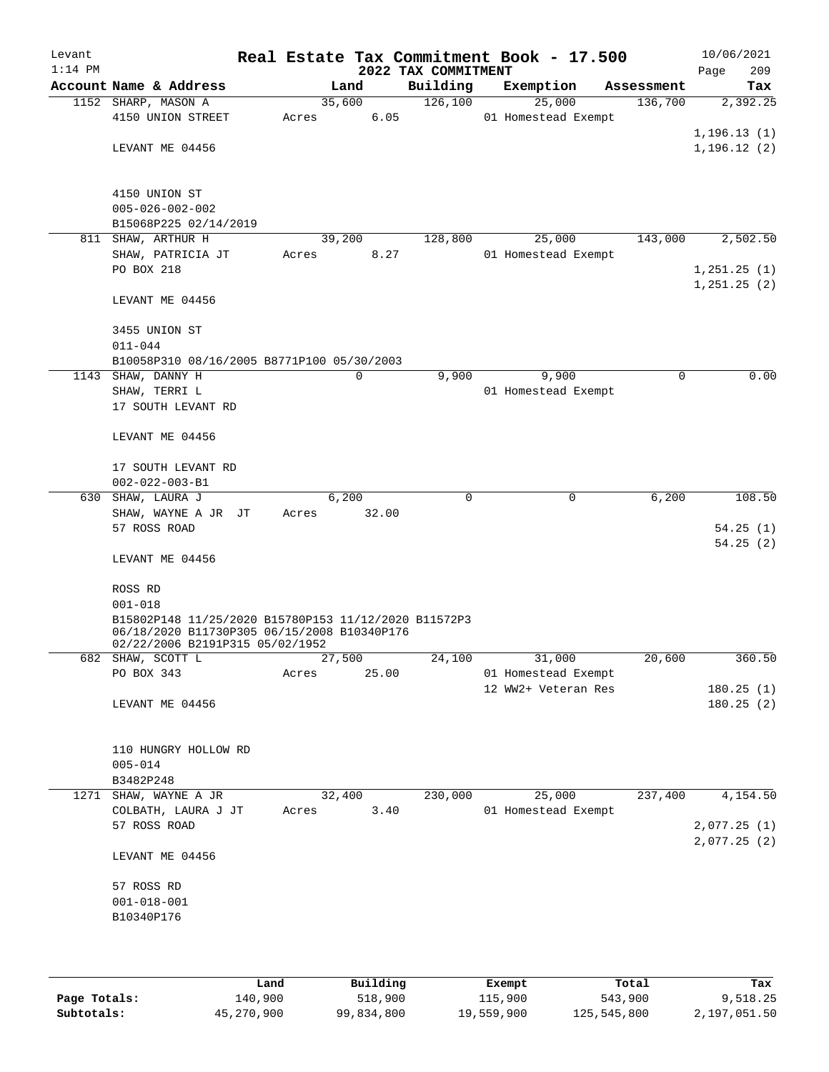| Levant<br>$1:14$ PM |                                                                                                     |       |        | 2022 TAX COMMITMENT |  | Real Estate Tax Commitment Book - 17.500   |            | 10/06/2021<br>209<br>Page |  |
|---------------------|-----------------------------------------------------------------------------------------------------|-------|--------|---------------------|--|--------------------------------------------|------------|---------------------------|--|
|                     | Account Name & Address                                                                              |       | Land   | Building            |  | Exemption                                  | Assessment | Tax                       |  |
|                     | 1152 SHARP, MASON A                                                                                 |       | 35,600 | 126,100             |  | 25,000                                     | 136,700    | 2,392.25                  |  |
|                     | 4150 UNION STREET                                                                                   | Acres | 6.05   |                     |  | 01 Homestead Exempt                        |            |                           |  |
|                     |                                                                                                     |       |        |                     |  |                                            |            | 1, 196.13(1)              |  |
|                     | LEVANT ME 04456                                                                                     |       |        |                     |  |                                            |            | 1,196.12(2)               |  |
|                     |                                                                                                     |       |        |                     |  |                                            |            |                           |  |
|                     |                                                                                                     |       |        |                     |  |                                            |            |                           |  |
|                     | 4150 UNION ST<br>$005 - 026 - 002 - 002$                                                            |       |        |                     |  |                                            |            |                           |  |
|                     | B15068P225 02/14/2019                                                                               |       |        |                     |  |                                            |            |                           |  |
|                     | 811 SHAW, ARTHUR H                                                                                  |       | 39,200 | 128,800             |  | 25,000                                     | 143,000    | 2,502.50                  |  |
|                     | SHAW, PATRICIA JT                                                                                   | Acres | 8.27   |                     |  | 01 Homestead Exempt                        |            |                           |  |
|                     | PO BOX 218                                                                                          |       |        |                     |  |                                            |            | 1,251.25(1)               |  |
|                     |                                                                                                     |       |        |                     |  |                                            |            | 1,251.25(2)               |  |
|                     | LEVANT ME 04456                                                                                     |       |        |                     |  |                                            |            |                           |  |
|                     |                                                                                                     |       |        |                     |  |                                            |            |                           |  |
|                     | 3455 UNION ST                                                                                       |       |        |                     |  |                                            |            |                           |  |
|                     | $011 - 044$                                                                                         |       |        |                     |  |                                            |            |                           |  |
|                     | B10058P310 08/16/2005 B8771P100 05/30/2003                                                          |       |        |                     |  |                                            |            |                           |  |
|                     | 1143 SHAW, DANNY H                                                                                  |       | 0      | 9,900               |  | 9,900                                      | 0          | 0.00                      |  |
|                     | SHAW, TERRI L<br>17 SOUTH LEVANT RD                                                                 |       |        |                     |  | 01 Homestead Exempt                        |            |                           |  |
|                     |                                                                                                     |       |        |                     |  |                                            |            |                           |  |
|                     | LEVANT ME 04456                                                                                     |       |        |                     |  |                                            |            |                           |  |
|                     |                                                                                                     |       |        |                     |  |                                            |            |                           |  |
|                     | 17 SOUTH LEVANT RD                                                                                  |       |        |                     |  |                                            |            |                           |  |
|                     | $002 - 022 - 003 - B1$                                                                              |       |        |                     |  |                                            |            |                           |  |
|                     | 630 SHAW, LAURA J                                                                                   |       | 6,200  | $\Omega$            |  | $\mathbf 0$                                | 6,200      | 108.50                    |  |
|                     | SHAW, WAYNE A JR JT                                                                                 | Acres | 32.00  |                     |  |                                            |            |                           |  |
|                     | 57 ROSS ROAD                                                                                        |       |        |                     |  |                                            |            | 54.25(1)                  |  |
|                     |                                                                                                     |       |        |                     |  |                                            |            | 54.25(2)                  |  |
|                     | LEVANT ME 04456                                                                                     |       |        |                     |  |                                            |            |                           |  |
|                     | ROSS RD                                                                                             |       |        |                     |  |                                            |            |                           |  |
|                     | $001 - 018$                                                                                         |       |        |                     |  |                                            |            |                           |  |
|                     |                                                                                                     |       |        |                     |  |                                            |            |                           |  |
|                     | B15802P148 11/25/2020 B15780P153 11/12/2020 B11572P3<br>06/18/2020 B11730P305 06/15/2008 B10340P176 |       |        |                     |  |                                            |            |                           |  |
|                     | 02/22/2006 B2191P315 05/02/1952                                                                     |       |        |                     |  |                                            |            |                           |  |
|                     | 682 SHAW, SCOTT L                                                                                   |       | 27,500 | 24,100              |  | 31,000                                     | 20,600     | 360.50                    |  |
|                     | PO BOX 343                                                                                          | Acres | 25.00  |                     |  | 01 Homestead Exempt<br>12 WW2+ Veteran Res |            | 180.25(1)                 |  |
|                     | LEVANT ME 04456                                                                                     |       |        |                     |  |                                            |            | 180.25(2)                 |  |
|                     |                                                                                                     |       |        |                     |  |                                            |            |                           |  |
|                     |                                                                                                     |       |        |                     |  |                                            |            |                           |  |
|                     | 110 HUNGRY HOLLOW RD                                                                                |       |        |                     |  |                                            |            |                           |  |
|                     | $005 - 014$                                                                                         |       |        |                     |  |                                            |            |                           |  |
|                     | B3482P248                                                                                           |       |        |                     |  |                                            |            |                           |  |
|                     | 1271 SHAW, WAYNE A JR                                                                               |       | 32,400 | 230,000             |  | 25,000                                     | 237,400    | 4,154.50                  |  |
|                     | COLBATH, LAURA J JT                                                                                 | Acres | 3.40   |                     |  | 01 Homestead Exempt                        |            |                           |  |
|                     | 57 ROSS ROAD                                                                                        |       |        |                     |  |                                            |            | 2,077.25(1)               |  |
|                     | LEVANT ME 04456                                                                                     |       |        |                     |  |                                            |            | 2,077.25(2)               |  |
|                     |                                                                                                     |       |        |                     |  |                                            |            |                           |  |
|                     | 57 ROSS RD                                                                                          |       |        |                     |  |                                            |            |                           |  |
|                     | $001 - 018 - 001$<br>B10340P176                                                                     |       |        |                     |  |                                            |            |                           |  |
|                     |                                                                                                     |       |        |                     |  |                                            |            |                           |  |
|                     |                                                                                                     |       |        |                     |  |                                            |            |                           |  |
|                     |                                                                                                     |       |        |                     |  |                                            |            |                           |  |

|              | Land       | Building   | Exempt     | Total       | Tax          |
|--------------|------------|------------|------------|-------------|--------------|
| Page Totals: | 140,900    | 518,900    | 115,900    | 543,900     | 9,518.25     |
| Subtotals:   | 45,270,900 | 99,834,800 | 19,559,900 | 125,545,800 | 2,197,051.50 |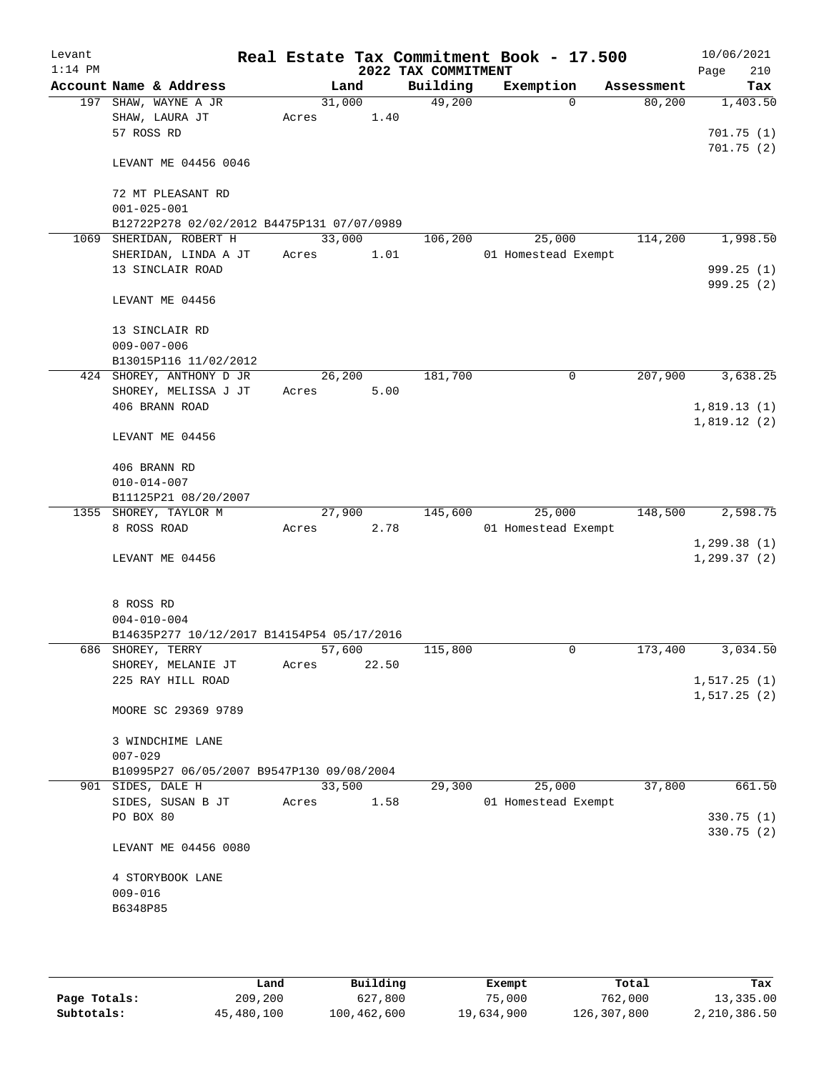| Levant    |                                                                 |        |       |      |                                 | Real Estate Tax Commitment Book - 17.500 |            | 10/06/2021         |
|-----------|-----------------------------------------------------------------|--------|-------|------|---------------------------------|------------------------------------------|------------|--------------------|
| $1:14$ PM | Account Name & Address                                          |        | Land  |      | 2022 TAX COMMITMENT<br>Building | Exemption                                | Assessment | 210<br>Page<br>Tax |
|           | 197 SHAW, WAYNE A JR                                            | 31,000 |       |      | 49,200                          | $\Omega$                                 | 80,200     | 1,403.50           |
|           | SHAW, LAURA JT                                                  | Acres  |       | 1.40 |                                 |                                          |            |                    |
|           | 57 ROSS RD                                                      |        |       |      |                                 |                                          |            | 701.75(1)          |
|           | LEVANT ME 04456 0046                                            |        |       |      |                                 |                                          |            | 701.75(2)          |
|           |                                                                 |        |       |      |                                 |                                          |            |                    |
|           | 72 MT PLEASANT RD                                               |        |       |      |                                 |                                          |            |                    |
|           | $001 - 025 - 001$<br>B12722P278 02/02/2012 B4475P131 07/07/0989 |        |       |      |                                 |                                          |            |                    |
|           | 1069 SHERIDAN, ROBERT H                                         | 33,000 |       |      | 106,200                         | 25,000                                   | 114,200    | 1,998.50           |
|           | SHERIDAN, LINDA A JT                                            | Acres  | 1.01  |      |                                 | 01 Homestead Exempt                      |            |                    |
|           | 13 SINCLAIR ROAD                                                |        |       |      |                                 |                                          |            | 999.25(1)          |
|           |                                                                 |        |       |      |                                 |                                          |            | 999.25 (2)         |
|           | LEVANT ME 04456                                                 |        |       |      |                                 |                                          |            |                    |
|           | 13 SINCLAIR RD                                                  |        |       |      |                                 |                                          |            |                    |
|           | $009 - 007 - 006$                                               |        |       |      |                                 |                                          |            |                    |
|           | B13015P116 11/02/2012                                           |        |       |      |                                 |                                          |            |                    |
|           | 424 SHOREY, ANTHONY D JR                                        | 26,200 |       |      | 181,700                         | 0                                        | 207,900    | 3,638.25           |
|           | SHOREY, MELISSA J JT                                            | Acres  |       | 5.00 |                                 |                                          |            |                    |
|           | 406 BRANN ROAD                                                  |        |       |      |                                 |                                          |            | 1,819.13(1)        |
|           | LEVANT ME 04456                                                 |        |       |      |                                 |                                          |            | 1,819.12(2)        |
|           |                                                                 |        |       |      |                                 |                                          |            |                    |
|           | 406 BRANN RD                                                    |        |       |      |                                 |                                          |            |                    |
|           | $010 - 014 - 007$                                               |        |       |      |                                 |                                          |            |                    |
|           | B11125P21 08/20/2007                                            |        |       |      |                                 |                                          |            |                    |
|           | 1355 SHOREY, TAYLOR M                                           | 27,900 |       |      | 145,600                         | 25,000                                   | 148,500    | 2,598.75           |
|           | 8 ROSS ROAD                                                     | Acres  | 2.78  |      |                                 | 01 Homestead Exempt                      |            |                    |
|           |                                                                 |        |       |      |                                 |                                          |            | 1, 299.38(1)       |
|           | LEVANT ME 04456                                                 |        |       |      |                                 |                                          |            | 1, 299.37(2)       |
|           | 8 ROSS RD                                                       |        |       |      |                                 |                                          |            |                    |
|           | $004 - 010 - 004$                                               |        |       |      |                                 |                                          |            |                    |
|           | B14635P277 10/12/2017 B14154P54 05/17/2016                      |        |       |      |                                 |                                          |            |                    |
|           | 686 SHOREY, TERRY                                               | 57,600 |       |      | 115,800                         | 0                                        | 173,400    | 3,034.50           |
|           | SHOREY, MELANIE JT                                              | Acres  | 22.50 |      |                                 |                                          |            |                    |
|           | 225 RAY HILL ROAD                                               |        |       |      |                                 |                                          |            | 1, 517.25(1)       |
|           | MOORE SC 29369 9789                                             |        |       |      |                                 |                                          |            | 1, 517.25(2)       |
|           | 3 WINDCHIME LANE                                                |        |       |      |                                 |                                          |            |                    |
|           | $007 - 029$                                                     |        |       |      |                                 |                                          |            |                    |
|           | B10995P27 06/05/2007 B9547P130 09/08/2004                       |        |       |      |                                 |                                          |            |                    |
|           | 901 SIDES, DALE H                                               | 33,500 |       |      | 29,300                          | 25,000                                   | 37,800     | 661.50             |
|           | SIDES, SUSAN B JT                                               | Acres  |       | 1.58 |                                 | 01 Homestead Exempt                      |            |                    |
|           | PO BOX 80                                                       |        |       |      |                                 |                                          |            | 330.75(1)          |
|           | LEVANT ME 04456 0080                                            |        |       |      |                                 |                                          |            | 330.75 (2)         |
|           | 4 STORYBOOK LANE                                                |        |       |      |                                 |                                          |            |                    |
|           | $009 - 016$                                                     |        |       |      |                                 |                                          |            |                    |
|           | B6348P85                                                        |        |       |      |                                 |                                          |            |                    |
|           |                                                                 |        |       |      |                                 |                                          |            |                    |
|           |                                                                 |        |       |      |                                 |                                          |            |                    |

|              | Land       | Building    | Exempt     | Total       | Tax          |
|--------------|------------|-------------|------------|-------------|--------------|
| Page Totals: | 209,200    | 627,800     | 75,000     | 762,000     | 13,335.00    |
| Subtotals:   | 45,480,100 | 100,462,600 | 19,634,900 | 126,307,800 | 2,210,386.50 |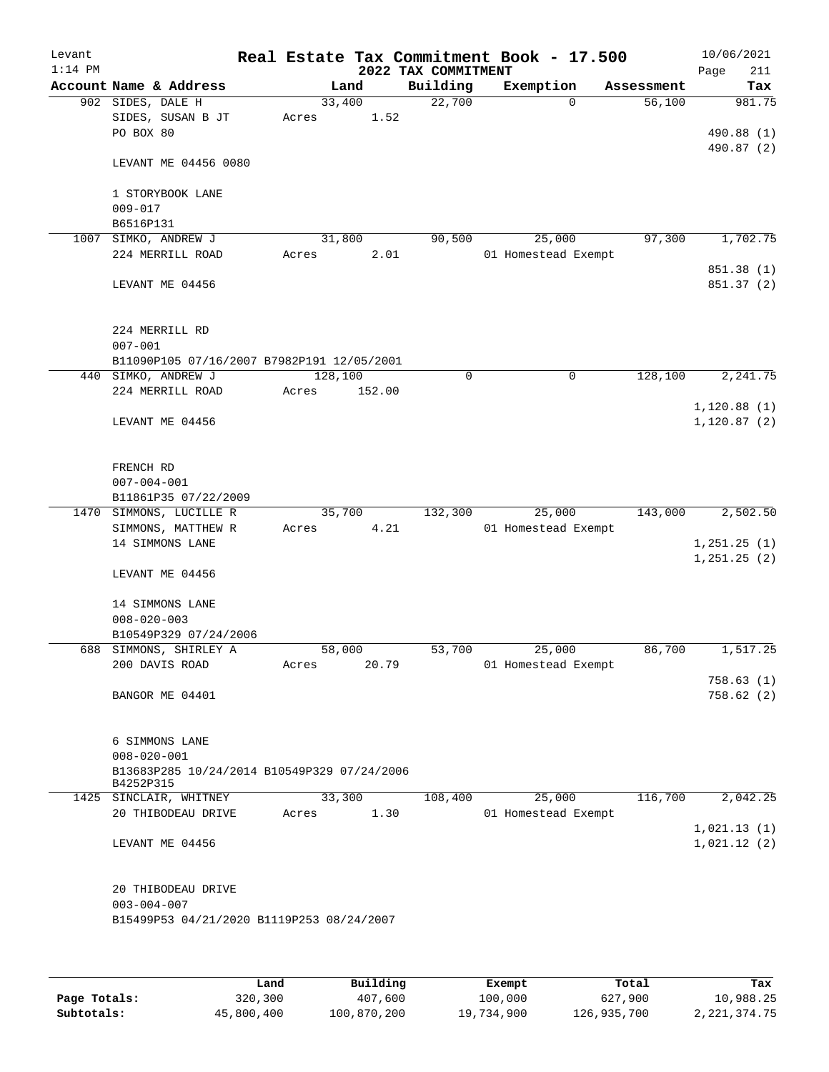| Levant<br>$1:14$ PM |                                                                                      |                            | 2022 TAX COMMITMENT | Real Estate Tax Commitment Book - 17.500 |            | 10/06/2021<br>Page<br>211    |
|---------------------|--------------------------------------------------------------------------------------|----------------------------|---------------------|------------------------------------------|------------|------------------------------|
|                     | Account Name & Address                                                               | Land                       | Building            | Exemption                                | Assessment | Tax                          |
|                     | 902 SIDES, DALE H<br>SIDES, SUSAN B JT<br>PO BOX 80                                  | 33,400<br>1.52<br>Acres    | 22,700              | $\Omega$                                 | 56,100     | 981.75<br>490.88 (1)         |
|                     | LEVANT ME 04456 0080                                                                 |                            |                     |                                          |            | 490.87 (2)                   |
|                     | 1 STORYBOOK LANE<br>$009 - 017$                                                      |                            |                     |                                          |            |                              |
|                     | B6516P131                                                                            |                            |                     |                                          |            |                              |
| 1007                | SIMKO, ANDREW J                                                                      | 31,800                     | 90,500              | 25,000                                   | 97,300     | 1,702.75                     |
|                     | 224 MERRILL ROAD                                                                     | 2.01<br>Acres              |                     | 01 Homestead Exempt                      |            | 851.38 (1)                   |
|                     | LEVANT ME 04456                                                                      |                            |                     |                                          |            | 851.37 (2)                   |
|                     | 224 MERRILL RD<br>$007 - 001$                                                        |                            |                     |                                          |            |                              |
|                     | B11090P105 07/16/2007 B7982P191 12/05/2001                                           |                            |                     |                                          |            |                              |
|                     | 440 SIMKO, ANDREW J<br>224 MERRILL ROAD                                              | 128,100<br>Acres<br>152.00 | 0                   | $\mathbf 0$                              | 128,100    | 2,241.75                     |
|                     | LEVANT ME 04456                                                                      |                            |                     |                                          |            | 1,120.88(1)<br>1, 120.87(2)  |
|                     | FRENCH RD<br>$007 - 004 - 001$<br>B11861P35 07/22/2009                               |                            |                     |                                          |            |                              |
|                     | 1470 SIMMONS, LUCILLE R<br>SIMMONS, MATTHEW R                                        | 35,700<br>4.21<br>Acres    | 132,300             | 25,000<br>01 Homestead Exempt            | 143,000    | 2,502.50                     |
|                     | 14 SIMMONS LANE                                                                      |                            |                     |                                          |            | 1, 251.25(1)<br>1, 251.25(2) |
|                     | LEVANT ME 04456                                                                      |                            |                     |                                          |            |                              |
|                     | 14 SIMMONS LANE                                                                      |                            |                     |                                          |            |                              |
|                     | $008 - 020 - 003$                                                                    |                            |                     |                                          |            |                              |
|                     | B10549P329 07/24/2006<br>688 SIMMONS, SHIRLEY A                                      | 58,000                     | 53,700              | 25,000                                   | 86,700     | 1,517.25                     |
|                     | 200 DAVIS ROAD                                                                       | 20.79<br>Acres             |                     | 01 Homestead Exempt                      |            | 758.63(1)                    |
|                     | BANGOR ME 04401                                                                      |                            |                     |                                          |            | 758.62(2)                    |
|                     | 6 SIMMONS LANE<br>$008 - 020 - 001$                                                  |                            |                     |                                          |            |                              |
|                     | B13683P285 10/24/2014 B10549P329 07/24/2006<br>B4252P315                             |                            |                     |                                          |            |                              |
|                     | 1425 SINCLAIR, WHITNEY                                                               | 33,300                     | 108,400             | 25,000                                   | 116,700    | 2,042.25                     |
|                     | 20 THIBODEAU DRIVE                                                                   | 1.30<br>Acres              |                     | 01 Homestead Exempt                      |            | 1,021.13(1)                  |
|                     | LEVANT ME 04456                                                                      |                            |                     |                                          |            | 1,021.12(2)                  |
|                     | 20 THIBODEAU DRIVE<br>$003 - 004 - 007$<br>B15499P53 04/21/2020 B1119P253 08/24/2007 |                            |                     |                                          |            |                              |
|                     |                                                                                      |                            |                     |                                          |            |                              |

|              | Land       | Building    | Exempt     | Total       | Tax          |
|--------------|------------|-------------|------------|-------------|--------------|
| Page Totals: | 320,300    | 407,600     | 100,000    | 627,900     | 10,988.25    |
| Subtotals:   | 45,800,400 | 100,870,200 | 19,734,900 | 126,935,700 | 2,221,374.75 |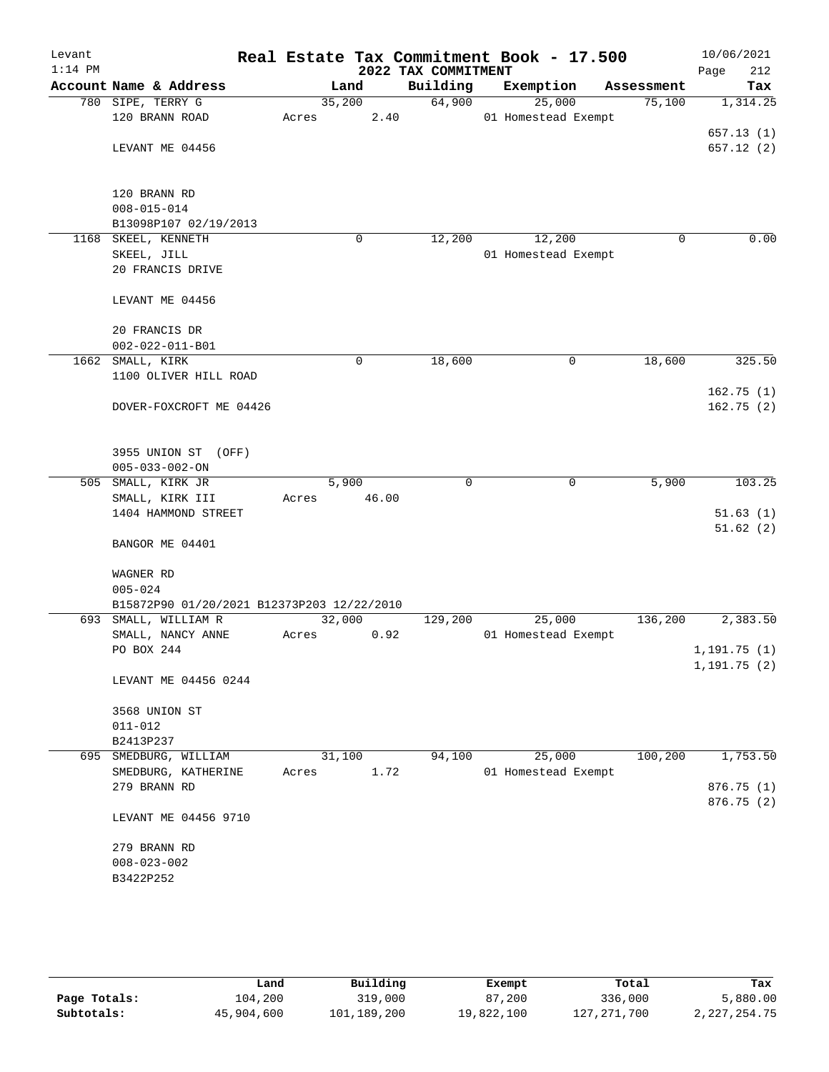| Levant<br>$1:14$ PM |                                            |                | 2022 TAX COMMITMENT | Real Estate Tax Commitment Book - 17.500 |            | 10/06/2021<br>Page<br>212 |
|---------------------|--------------------------------------------|----------------|---------------------|------------------------------------------|------------|---------------------------|
|                     | Account Name & Address                     | Land           | Building            | Exemption                                | Assessment | Tax                       |
|                     | 780 SIPE, TERRY G                          | 35,200         | 64,900              | 25,000                                   | 75,100     | 1,314.25                  |
|                     | 120 BRANN ROAD                             | 2.40<br>Acres  |                     | 01 Homestead Exempt                      |            |                           |
|                     |                                            |                |                     |                                          |            | 657.13(1)                 |
|                     | LEVANT ME 04456                            |                |                     |                                          |            | 657.12(2)                 |
|                     |                                            |                |                     |                                          |            |                           |
|                     |                                            |                |                     |                                          |            |                           |
|                     | 120 BRANN RD                               |                |                     |                                          |            |                           |
|                     | $008 - 015 - 014$                          |                |                     |                                          |            |                           |
|                     | B13098P107 02/19/2013                      |                |                     |                                          |            |                           |
|                     | 1168 SKEEL, KENNETH                        | $\mathbf 0$    | 12,200              | 12,200                                   | 0          | 0.00                      |
|                     | SKEEL, JILL                                |                |                     | 01 Homestead Exempt                      |            |                           |
|                     | 20 FRANCIS DRIVE                           |                |                     |                                          |            |                           |
|                     |                                            |                |                     |                                          |            |                           |
|                     | LEVANT ME 04456                            |                |                     |                                          |            |                           |
|                     |                                            |                |                     |                                          |            |                           |
|                     | 20 FRANCIS DR                              |                |                     |                                          |            |                           |
|                     | 002-022-011-B01                            |                |                     |                                          |            |                           |
|                     | 1662 SMALL, KIRK                           | $\mathbf 0$    | 18,600              | 0                                        | 18,600     | 325.50                    |
|                     | 1100 OLIVER HILL ROAD                      |                |                     |                                          |            | 162.75(1)                 |
|                     | DOVER-FOXCROFT ME 04426                    |                |                     |                                          |            | 162.75(2)                 |
|                     |                                            |                |                     |                                          |            |                           |
|                     |                                            |                |                     |                                          |            |                           |
|                     | 3955 UNION ST<br>(OFF)                     |                |                     |                                          |            |                           |
|                     | $005 - 033 - 002 - ON$                     |                |                     |                                          |            |                           |
| 505                 | SMALL, KIRK JR                             | 5,900          | 0                   | 0                                        | 5,900      | 103.25                    |
|                     | SMALL, KIRK III                            | 46.00<br>Acres |                     |                                          |            |                           |
|                     | 1404 HAMMOND STREET                        |                |                     |                                          |            | 51.63(1)                  |
|                     |                                            |                |                     |                                          |            | 51.62(2)                  |
|                     | BANGOR ME 04401                            |                |                     |                                          |            |                           |
|                     |                                            |                |                     |                                          |            |                           |
|                     | WAGNER RD                                  |                |                     |                                          |            |                           |
|                     | $005 - 024$                                |                |                     |                                          |            |                           |
|                     | B15872P90 01/20/2021 B12373P203 12/22/2010 |                |                     |                                          |            |                           |
|                     | 693 SMALL, WILLIAM R                       | 32,000         | 129,200             | 25,000                                   | 136,200    | 2,383.50                  |
|                     | SMALL, NANCY ANNE                          | 0.92<br>Acres  |                     | 01 Homestead Exempt                      |            |                           |
|                     | PO BOX 244                                 |                |                     |                                          |            | 1, 191.75(1)              |
|                     |                                            |                |                     |                                          |            | 1,191.75 (2)              |
|                     | LEVANT ME 04456 0244                       |                |                     |                                          |            |                           |
|                     |                                            |                |                     |                                          |            |                           |
|                     | 3568 UNION ST                              |                |                     |                                          |            |                           |
|                     | $011 - 012$                                |                |                     |                                          |            |                           |
|                     | B2413P237                                  |                |                     |                                          |            |                           |
|                     | 695 SMEDBURG, WILLIAM                      | 31,100         | 94,100              | 25,000                                   | 100,200    | 1,753.50                  |
|                     | SMEDBURG, KATHERINE                        | 1.72<br>Acres  |                     | 01 Homestead Exempt                      |            |                           |
|                     | 279 BRANN RD                               |                |                     |                                          |            | 876.75 (1)<br>876.75 (2)  |
|                     | LEVANT ME 04456 9710                       |                |                     |                                          |            |                           |
|                     |                                            |                |                     |                                          |            |                           |
|                     | 279 BRANN RD                               |                |                     |                                          |            |                           |
|                     | $008 - 023 - 002$                          |                |                     |                                          |            |                           |
|                     | B3422P252                                  |                |                     |                                          |            |                           |
|                     |                                            |                |                     |                                          |            |                           |
|                     |                                            |                |                     |                                          |            |                           |
|                     |                                            |                |                     |                                          |            |                           |

|              | Land       | Building    | Exempt     | Total         | Tax             |
|--------------|------------|-------------|------------|---------------|-----------------|
| Page Totals: | 104,200    | 319,000     | 87,200     | 336,000       | 5,880.00        |
| Subtotals:   | 45,904,600 | 101,189,200 | 19,822,100 | 127, 271, 700 | 2, 227, 254. 75 |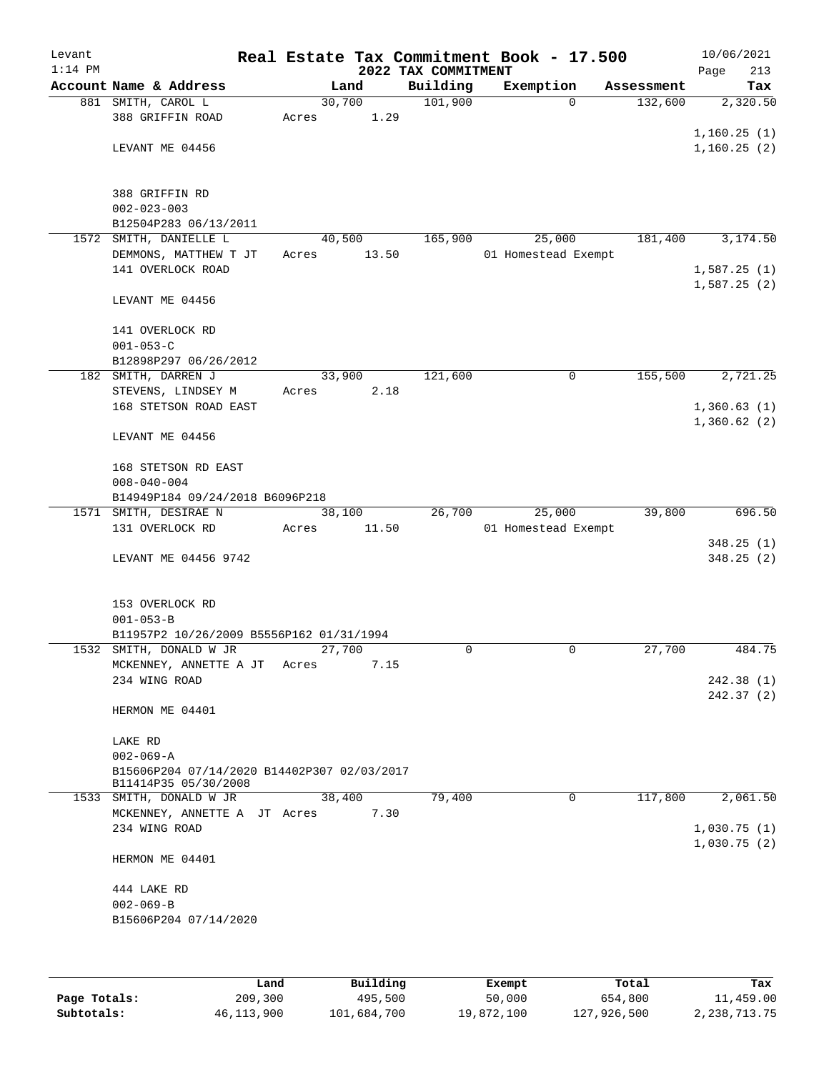| Levant<br>$1:14$ PM |                                             |       |        | Real Estate Tax Commitment Book - 17.500<br>2022 TAX COMMITMENT |                     |            | 10/06/2021<br>213<br>Page  |
|---------------------|---------------------------------------------|-------|--------|-----------------------------------------------------------------|---------------------|------------|----------------------------|
|                     | Account Name & Address                      |       | Land   | Building                                                        | Exemption           | Assessment | Tax                        |
|                     | 881 SMITH, CAROL L                          |       | 30,700 | 101,900                                                         | $\Omega$            | 132,600    | 2,320.50                   |
|                     | 388 GRIFFIN ROAD                            | Acres | 1.29   |                                                                 |                     |            |                            |
|                     |                                             |       |        |                                                                 |                     |            | 1,160.25(1)                |
|                     | LEVANT ME 04456                             |       |        |                                                                 |                     |            | 1,160.25(2)                |
|                     |                                             |       |        |                                                                 |                     |            |                            |
|                     |                                             |       |        |                                                                 |                     |            |                            |
|                     | 388 GRIFFIN RD                              |       |        |                                                                 |                     |            |                            |
|                     | $002 - 023 - 003$<br>B12504P283 06/13/2011  |       |        |                                                                 |                     |            |                            |
|                     | 1572 SMITH, DANIELLE L                      |       | 40,500 | 165,900                                                         | 25,000              | 181,400    | 3,174.50                   |
|                     | DEMMONS, MATTHEW T JT                       | Acres | 13.50  |                                                                 | 01 Homestead Exempt |            |                            |
|                     | 141 OVERLOCK ROAD                           |       |        |                                                                 |                     |            | 1,587.25(1)                |
|                     |                                             |       |        |                                                                 |                     |            | 1,587.25(2)                |
|                     | LEVANT ME 04456                             |       |        |                                                                 |                     |            |                            |
|                     |                                             |       |        |                                                                 |                     |            |                            |
|                     | 141 OVERLOCK RD                             |       |        |                                                                 |                     |            |                            |
|                     | $001 - 053 - C$                             |       |        |                                                                 |                     |            |                            |
|                     | B12898P297 06/26/2012                       |       |        |                                                                 |                     |            |                            |
|                     | 182 SMITH, DARREN J                         |       | 33,900 | 121,600                                                         | 0                   | 155,500    | 2,721.25                   |
|                     | STEVENS, LINDSEY M                          | Acres | 2.18   |                                                                 |                     |            |                            |
|                     | 168 STETSON ROAD EAST                       |       |        |                                                                 |                     |            | 1,360.63(1)<br>1,360.62(2) |
|                     | LEVANT ME 04456                             |       |        |                                                                 |                     |            |                            |
|                     |                                             |       |        |                                                                 |                     |            |                            |
|                     | 168 STETSON RD EAST                         |       |        |                                                                 |                     |            |                            |
|                     | $008 - 040 - 004$                           |       |        |                                                                 |                     |            |                            |
|                     | B14949P184 09/24/2018 B6096P218             |       |        |                                                                 |                     |            |                            |
|                     | 1571 SMITH, DESIRAE N                       |       | 38,100 | 26,700                                                          | 25,000              | 39,800     | 696.50                     |
|                     | 131 OVERLOCK RD                             | Acres | 11.50  |                                                                 | 01 Homestead Exempt |            |                            |
|                     |                                             |       |        |                                                                 |                     |            | 348.25(1)                  |
|                     | LEVANT ME 04456 9742                        |       |        |                                                                 |                     |            | 348.25(2)                  |
|                     |                                             |       |        |                                                                 |                     |            |                            |
|                     | 153 OVERLOCK RD                             |       |        |                                                                 |                     |            |                            |
|                     | $001 - 053 - B$                             |       |        |                                                                 |                     |            |                            |
|                     | B11957P2 10/26/2009 B5556P162 01/31/1994    |       |        |                                                                 |                     |            |                            |
|                     | 1532 SMITH, DONALD W JR                     |       | 27,700 | $\Omega$                                                        | $\mathbf 0$         | 27,700     | 484.75                     |
|                     | MCKENNEY, ANNETTE A JT                      | Acres | 7.15   |                                                                 |                     |            |                            |
|                     | 234 WING ROAD                               |       |        |                                                                 |                     |            | 242.38 (1)                 |
|                     |                                             |       |        |                                                                 |                     |            | 242.37(2)                  |
|                     | HERMON ME 04401                             |       |        |                                                                 |                     |            |                            |
|                     |                                             |       |        |                                                                 |                     |            |                            |
|                     | LAKE RD<br>$002 - 069 - A$                  |       |        |                                                                 |                     |            |                            |
|                     | B15606P204 07/14/2020 B14402P307 02/03/2017 |       |        |                                                                 |                     |            |                            |
|                     | B11414P35 05/30/2008                        |       |        |                                                                 |                     |            |                            |
|                     | 1533 SMITH, DONALD W JR                     |       | 38,400 | 79,400                                                          | $\mathbf 0$         | 117,800    | 2,061.50                   |
|                     | MCKENNEY, ANNETTE A JT Acres                |       | 7.30   |                                                                 |                     |            |                            |
|                     | 234 WING ROAD                               |       |        |                                                                 |                     |            | 1,030.75(1)                |
|                     |                                             |       |        |                                                                 |                     |            | 1,030.75(2)                |
|                     | HERMON ME 04401                             |       |        |                                                                 |                     |            |                            |
|                     | 444 LAKE RD                                 |       |        |                                                                 |                     |            |                            |
|                     | $002 - 069 - B$                             |       |        |                                                                 |                     |            |                            |
|                     | B15606P204 07/14/2020                       |       |        |                                                                 |                     |            |                            |
|                     |                                             |       |        |                                                                 |                     |            |                            |
|                     |                                             |       |        |                                                                 |                     |            |                            |
|                     |                                             |       |        |                                                                 |                     |            |                            |

|              | Land       | Building    | Exempt     | Total       | Tax          |
|--------------|------------|-------------|------------|-------------|--------------|
| Page Totals: | 209,300    | 495,500     | 50,000     | 654,800     | 11,459.00    |
| Subtotals:   | 46,113,900 | 101,684,700 | 19,872,100 | 127,926,500 | 2,238,713.75 |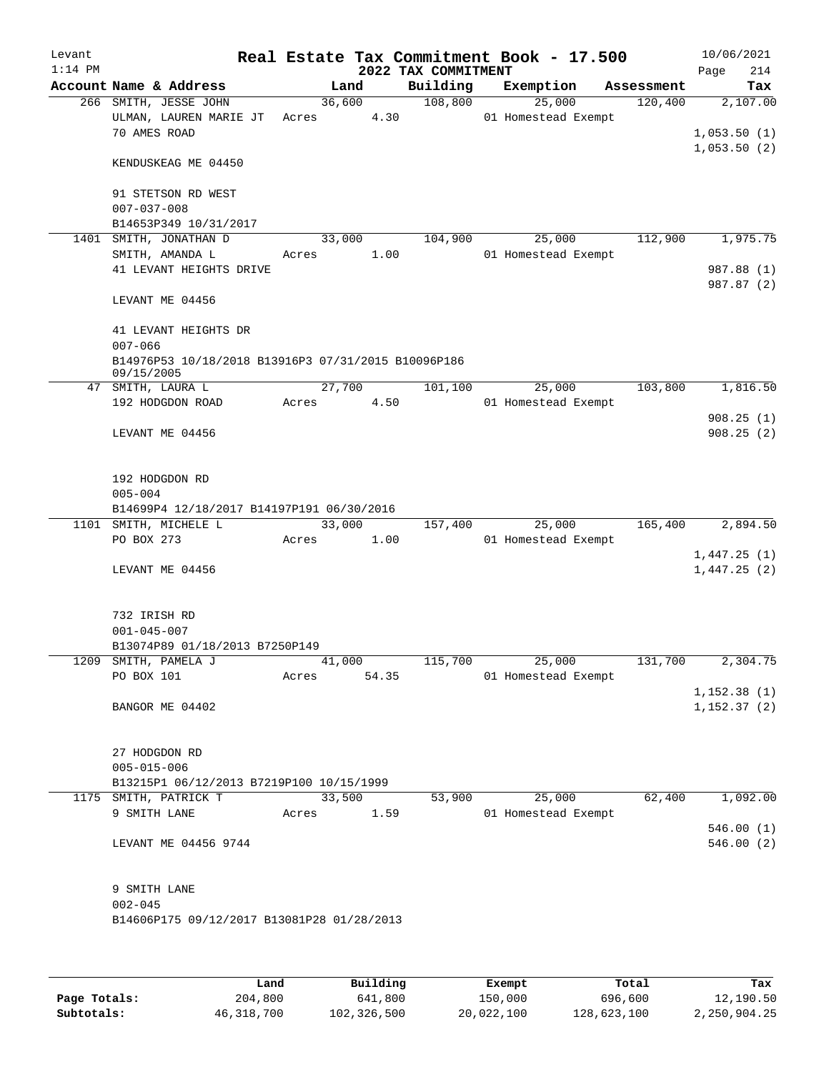| Levant<br>$1:14$ PM |                                                                           |                 |                 | Real Estate Tax Commitment Book - 17.500<br>2022 TAX COMMITMENT |                               |            | 10/06/2021<br>214<br>Page   |
|---------------------|---------------------------------------------------------------------------|-----------------|-----------------|-----------------------------------------------------------------|-------------------------------|------------|-----------------------------|
|                     | Account Name & Address                                                    |                 | Land            | Building                                                        | Exemption                     | Assessment | Tax                         |
|                     | 266 SMITH, JESSE JOHN<br>ULMAN, LAUREN MARIE JT<br>70 AMES ROAD           | Acres           | 36,600<br>4.30  | 108,800                                                         | 25,000<br>01 Homestead Exempt | 120,400    | 2,107.00<br>1,053.50(1)     |
|                     | KENDUSKEAG ME 04450                                                       |                 |                 |                                                                 |                               |            | 1,053.50(2)                 |
|                     | 91 STETSON RD WEST<br>$007 - 037 - 008$                                   |                 |                 |                                                                 |                               |            |                             |
|                     | B14653P349 10/31/2017                                                     |                 |                 |                                                                 |                               |            |                             |
| 1401                | SMITH, JONATHAN D<br>SMITH, AMANDA L                                      |                 | 33,000<br>1.00  | 104,900                                                         | 25,000<br>01 Homestead Exempt | 112,900    | 1,975.75                    |
|                     | 41 LEVANT HEIGHTS DRIVE                                                   | Acres           |                 |                                                                 |                               |            | 987.88 (1)<br>987.87 (2)    |
|                     | LEVANT ME 04456                                                           |                 |                 |                                                                 |                               |            |                             |
|                     | 41 LEVANT HEIGHTS DR<br>$007 - 066$                                       |                 |                 |                                                                 |                               |            |                             |
|                     | B14976P53 10/18/2018 B13916P3 07/31/2015 B10096P186<br>09/15/2005         |                 |                 |                                                                 |                               |            |                             |
|                     | 47 SMITH, LAURA L<br>192 HODGDON ROAD                                     | Acres           | 27,700<br>4.50  | 101,100                                                         | 25,000<br>01 Homestead Exempt | 103,800    | 1,816.50                    |
|                     |                                                                           |                 |                 |                                                                 |                               |            | 908.25(1)                   |
|                     | LEVANT ME 04456                                                           |                 |                 |                                                                 |                               |            | 908.25(2)                   |
|                     | 192 HODGDON RD<br>$005 - 004$                                             |                 |                 |                                                                 |                               |            |                             |
|                     | B14699P4 12/18/2017 B14197P191 06/30/2016                                 |                 |                 |                                                                 |                               |            |                             |
|                     | 1101 SMITH, MICHELE L                                                     |                 | 33,000          | 157,400                                                         | 25,000                        | 165,400    | 2,894.50                    |
|                     | PO BOX 273                                                                | Acres           | 1.00            |                                                                 | 01 Homestead Exempt           |            | 1,447.25(1)                 |
|                     | LEVANT ME 04456                                                           |                 |                 |                                                                 |                               |            | 1,447.25(2)                 |
|                     | 732 IRISH RD<br>$001 - 045 - 007$                                         |                 |                 |                                                                 |                               |            |                             |
|                     | B13074P89 01/18/2013 B7250P149                                            |                 |                 |                                                                 |                               |            |                             |
|                     | 1209 SMITH, PAMELA J<br>PO BOX 101                                        | Acres           | 41,000<br>54.35 | 115,700                                                         | 25,000<br>01 Homestead Exempt | 131,700    | 2,304.75                    |
|                     | BANGOR ME 04402                                                           |                 |                 |                                                                 |                               |            | 1,152.38(1)<br>1, 152.37(2) |
|                     | 27 HODGDON RD<br>$005 - 015 - 006$                                        |                 |                 |                                                                 |                               |            |                             |
|                     | B13215P1 06/12/2013 B7219P100 10/15/1999                                  |                 |                 |                                                                 |                               |            |                             |
|                     | 1175 SMITH, PATRICK T<br>9 SMITH LANE                                     | 33,500<br>Acres | 1.59            | 53,900                                                          | 25,000<br>01 Homestead Exempt | 62,400     | 1,092.00                    |
|                     | LEVANT ME 04456 9744                                                      |                 |                 |                                                                 |                               |            | 546.00(1)<br>546.00(2)      |
|                     | 9 SMITH LANE<br>$002 - 045$<br>B14606P175 09/12/2017 B13081P28 01/28/2013 |                 |                 |                                                                 |                               |            |                             |
|                     |                                                                           |                 |                 |                                                                 |                               |            |                             |

|              | Land         | Building    | Exempt     | Total       | Tax          |
|--------------|--------------|-------------|------------|-------------|--------------|
| Page Totals: | 204,800      | 641,800     | 150,000    | 696,600     | 12,190.50    |
| Subtotals:   | 46, 318, 700 | 102,326,500 | 20,022,100 | 128,623,100 | 2,250,904.25 |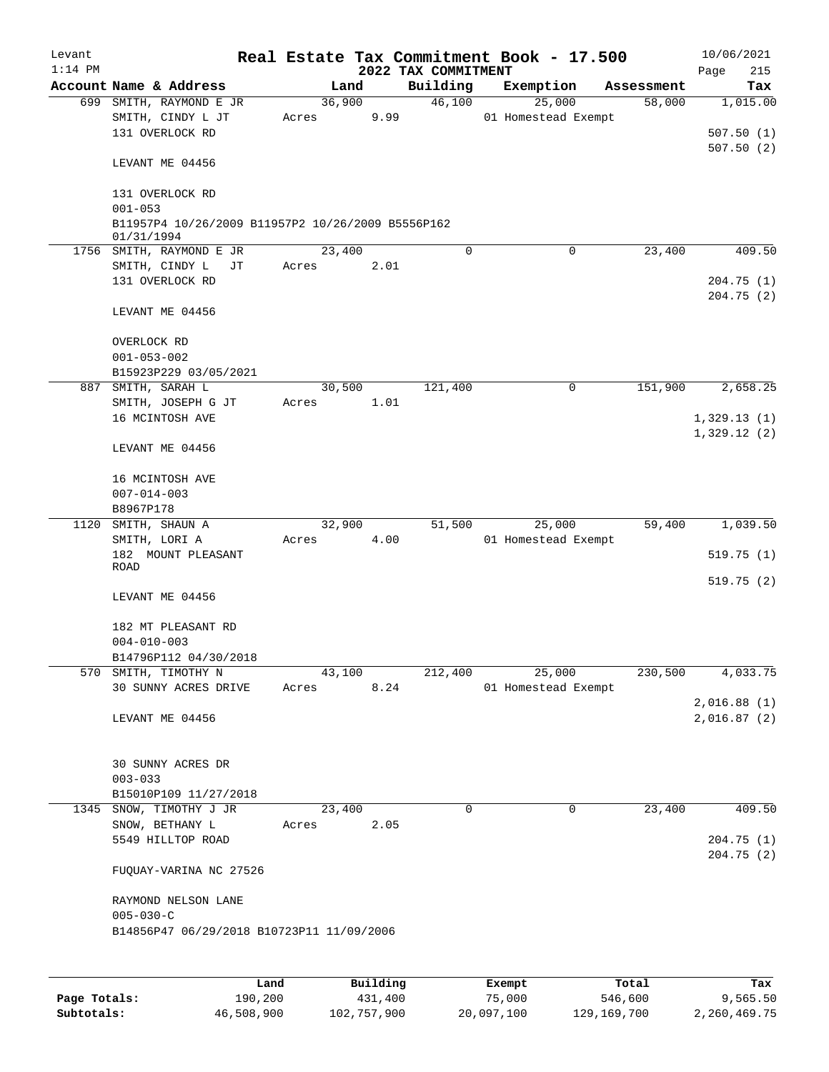| Levant    |                                                                 |       |        |          |                     | Real Estate Tax Commitment Book - 17.500 |            | 10/06/2021                 |
|-----------|-----------------------------------------------------------------|-------|--------|----------|---------------------|------------------------------------------|------------|----------------------------|
| $1:14$ PM |                                                                 |       |        |          | 2022 TAX COMMITMENT |                                          |            | Page<br>215                |
|           | Account Name & Address                                          |       | Land   |          | Building            | Exemption                                | Assessment | Tax                        |
|           | 699 SMITH, RAYMOND E JR<br>SMITH, CINDY L JT<br>131 OVERLOCK RD | Acres | 36,900 | 9.99     | 46,100              | 25,000<br>01 Homestead Exempt            | 58,000     | 1,015.00<br>507.50(1)      |
|           | LEVANT ME 04456                                                 |       |        |          |                     |                                          |            | 507.50(2)                  |
|           | 131 OVERLOCK RD<br>$001 - 053$                                  |       |        |          |                     |                                          |            |                            |
|           | B11957P4 10/26/2009 B11957P2 10/26/2009 B5556P162<br>01/31/1994 |       |        |          |                     |                                          |            |                            |
|           | 1756 SMITH, RAYMOND E JR                                        |       | 23,400 |          | $\Omega$            | 0                                        | 23,400     | 409.50                     |
|           | SMITH, CINDY L<br>JТ<br>131 OVERLOCK RD                         |       | Acres  | 2.01     |                     |                                          |            | 204.75(1)<br>204.75(2)     |
|           | LEVANT ME 04456                                                 |       |        |          |                     |                                          |            |                            |
|           | OVERLOCK RD                                                     |       |        |          |                     |                                          |            |                            |
|           | $001 - 053 - 002$                                               |       |        |          |                     |                                          |            |                            |
|           | B15923P229 03/05/2021                                           |       |        |          |                     |                                          |            |                            |
|           | 887 SMITH, SARAH L                                              |       | 30,500 |          | 121,400             | 0                                        | 151,900    | 2,658.25                   |
|           | SMITH, JOSEPH G JT<br>16 MCINTOSH AVE                           | Acres |        | 1.01     |                     |                                          |            | 1,329.13(1)                |
|           | LEVANT ME 04456                                                 |       |        |          |                     |                                          |            | 1,329.12(2)                |
|           | 16 MCINTOSH AVE                                                 |       |        |          |                     |                                          |            |                            |
|           | $007 - 014 - 003$<br>B8967P178                                  |       |        |          |                     |                                          |            |                            |
| 1120      | SMITH, SHAUN A<br>SMITH, LORI A                                 | Acres | 32,900 | 4.00     | 51,500              | 25,000<br>01 Homestead Exempt            | 59,400     | 1,039.50                   |
|           | 182 MOUNT PLEASANT<br>ROAD                                      |       |        |          |                     |                                          |            | 519.75(1)                  |
|           | LEVANT ME 04456                                                 |       |        |          |                     |                                          |            | 519.75(2)                  |
|           | 182 MT PLEASANT RD<br>$004 - 010 - 003$                         |       |        |          |                     |                                          |            |                            |
|           | B14796P112 04/30/2018                                           |       |        |          |                     |                                          |            |                            |
|           | 570 SMITH, TIMOTHY N                                            |       | 43,100 |          | 212,400             | 25,000                                   | 230,500    | 4,033.75                   |
|           | 30 SUNNY ACRES DRIVE                                            | Acres |        | 8.24     |                     | 01 Homestead Exempt                      |            |                            |
|           | LEVANT ME 04456                                                 |       |        |          |                     |                                          |            | 2,016.88(1)<br>2,016.87(2) |
|           |                                                                 |       |        |          |                     |                                          |            |                            |
|           | 30 SUNNY ACRES DR                                               |       |        |          |                     |                                          |            |                            |
|           | $003 - 033$<br>B15010P109 11/27/2018                            |       |        |          |                     |                                          |            |                            |
|           | 1345 SNOW, TIMOTHY J JR                                         |       | 23,400 |          | 0                   | $\mathbf 0$                              | 23,400     | 409.50                     |
|           | SNOW, BETHANY L                                                 | Acres |        | 2.05     |                     |                                          |            |                            |
|           | 5549 HILLTOP ROAD                                               |       |        |          |                     |                                          |            | 204.75(1)<br>204.75(2)     |
|           | FUQUAY-VARINA NC 27526                                          |       |        |          |                     |                                          |            |                            |
|           | RAYMOND NELSON LANE<br>$005 - 030 - C$                          |       |        |          |                     |                                          |            |                            |
|           | B14856P47 06/29/2018 B10723P11 11/09/2006                       |       |        |          |                     |                                          |            |                            |
|           |                                                                 |       |        |          |                     |                                          |            |                            |
|           |                                                                 | Land  |        | Building |                     | Exempt                                   | Total      | Tax                        |

|              | Land       | Building    | Exempt     | Total       | Tax          |
|--------------|------------|-------------|------------|-------------|--------------|
| Page Totals: | 190,200    | 431,400     | 75,000     | 546,600     | 9,565.50     |
| Subtotals:   | 46,508,900 | 102,757,900 | 20,097,100 | 129,169,700 | 2,260,469.75 |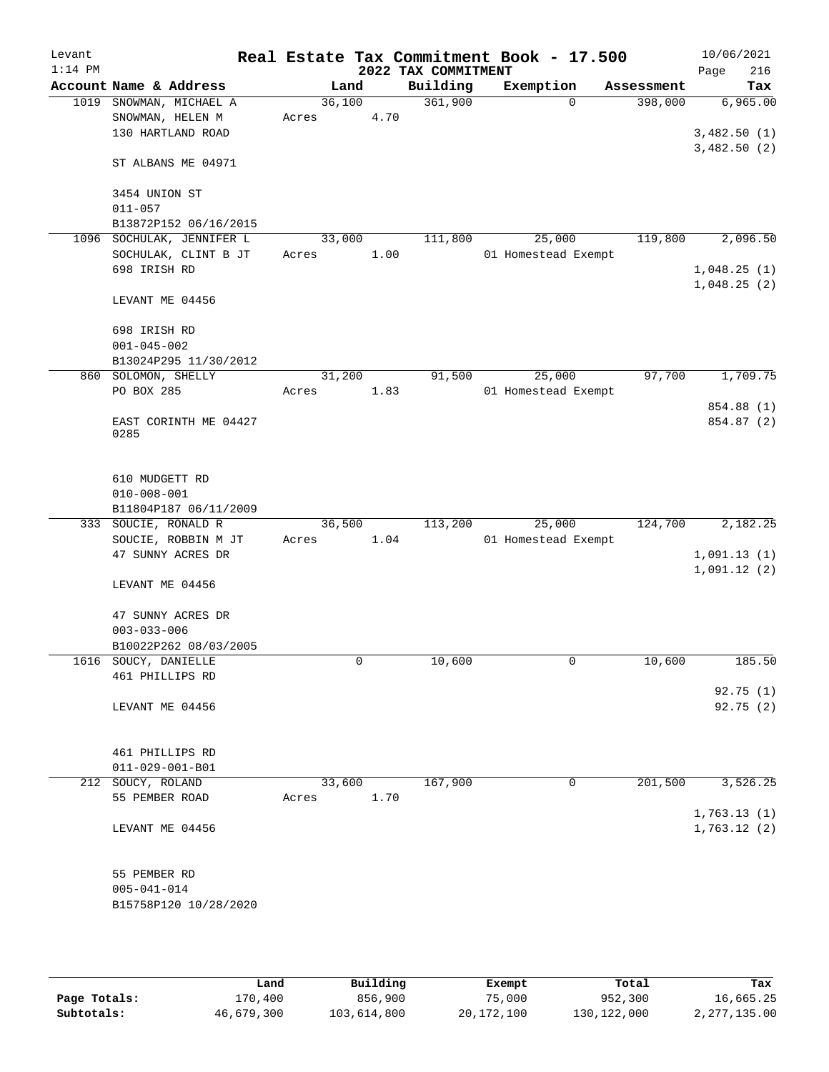| Levant<br>$1:14$ PM |                                          |        |      | 2022 TAX COMMITMENT | Real Estate Tax Commitment Book - 17.500 |            | 10/06/2021<br>216<br>Page  |
|---------------------|------------------------------------------|--------|------|---------------------|------------------------------------------|------------|----------------------------|
|                     | Account Name & Address                   | Land   |      | Building            | Exemption                                | Assessment | Tax                        |
| 1019                | SNOWMAN, MICHAEL A                       | 36,100 |      | 361,900             | $\Omega$                                 | 398,000    | 6,965.00                   |
|                     | SNOWMAN, HELEN M                         | Acres  | 4.70 |                     |                                          |            |                            |
|                     | 130 HARTLAND ROAD                        |        |      |                     |                                          |            | 3,482.50(1)                |
|                     |                                          |        |      |                     |                                          |            | 3,482.50(2)                |
|                     | ST ALBANS ME 04971                       |        |      |                     |                                          |            |                            |
|                     |                                          |        |      |                     |                                          |            |                            |
|                     | 3454 UNION ST                            |        |      |                     |                                          |            |                            |
|                     | $011 - 057$<br>B13872P152 06/16/2015     |        |      |                     |                                          |            |                            |
|                     | 1096 SOCHULAK, JENNIFER L                | 33,000 |      | 111,800             | 25,000                                   | 119,800    | 2,096.50                   |
|                     | SOCHULAK, CLINT B JT                     | Acres  | 1.00 |                     | 01 Homestead Exempt                      |            |                            |
|                     | 698 IRISH RD                             |        |      |                     |                                          |            | 1,048.25(1)                |
|                     |                                          |        |      |                     |                                          |            | 1,048.25(2)                |
|                     | LEVANT ME 04456                          |        |      |                     |                                          |            |                            |
|                     |                                          |        |      |                     |                                          |            |                            |
|                     | 698 IRISH RD                             |        |      |                     |                                          |            |                            |
|                     | $001 - 045 - 002$                        |        |      |                     |                                          |            |                            |
|                     | B13024P295 11/30/2012                    |        |      |                     |                                          |            |                            |
|                     | 860 SOLOMON, SHELLY                      | 31,200 |      | 91,500              | 25,000                                   | 97,700     | 1,709.75                   |
|                     | PO BOX 285                               | Acres  | 1.83 |                     | 01 Homestead Exempt                      |            | 854.88 (1)                 |
|                     | EAST CORINTH ME 04427                    |        |      |                     |                                          |            | 854.87 (2)                 |
|                     | 0285                                     |        |      |                     |                                          |            |                            |
|                     |                                          |        |      |                     |                                          |            |                            |
|                     |                                          |        |      |                     |                                          |            |                            |
|                     | 610 MUDGETT RD                           |        |      |                     |                                          |            |                            |
|                     | $010 - 008 - 001$                        |        |      |                     |                                          |            |                            |
|                     | B11804P187 06/11/2009                    |        |      |                     |                                          |            |                            |
|                     | 333 SOUCIE, RONALD R                     | 36,500 |      | 113,200             | 25,000                                   | 124,700    | 2,182.25                   |
|                     | SOUCIE, ROBBIN M JT<br>47 SUNNY ACRES DR | Acres  | 1.04 |                     | 01 Homestead Exempt                      |            |                            |
|                     |                                          |        |      |                     |                                          |            | 1,091.13(1)<br>1,091.12(2) |
|                     | LEVANT ME 04456                          |        |      |                     |                                          |            |                            |
|                     |                                          |        |      |                     |                                          |            |                            |
|                     | 47 SUNNY ACRES DR                        |        |      |                     |                                          |            |                            |
|                     | $003 - 033 - 006$                        |        |      |                     |                                          |            |                            |
|                     | B10022P262 08/03/2005                    |        |      |                     |                                          |            |                            |
|                     | 1616 SOUCY, DANIELLE                     |        | 0    | 10,600              | 0                                        | 10,600     | 185.50                     |
|                     | 461 PHILLIPS RD                          |        |      |                     |                                          |            |                            |
|                     |                                          |        |      |                     |                                          |            | 92.75(1)                   |
|                     | LEVANT ME 04456                          |        |      |                     |                                          |            | 92.75 (2)                  |
|                     |                                          |        |      |                     |                                          |            |                            |
|                     | 461 PHILLIPS RD                          |        |      |                     |                                          |            |                            |
|                     | $011 - 029 - 001 - B01$                  |        |      |                     |                                          |            |                            |
| 212                 | SOUCY, ROLAND                            | 33,600 |      | 167,900             | 0                                        | 201,500    | 3,526.25                   |
|                     | 55 PEMBER ROAD                           | Acres  | 1.70 |                     |                                          |            |                            |
|                     |                                          |        |      |                     |                                          |            | 1,763.13(1)                |
|                     | LEVANT ME 04456                          |        |      |                     |                                          |            | 1,763.12(2)                |
|                     |                                          |        |      |                     |                                          |            |                            |
|                     |                                          |        |      |                     |                                          |            |                            |
|                     | 55 PEMBER RD                             |        |      |                     |                                          |            |                            |
|                     | $005 - 041 - 014$                        |        |      |                     |                                          |            |                            |
|                     | B15758P120 10/28/2020                    |        |      |                     |                                          |            |                            |
|                     |                                          |        |      |                     |                                          |            |                            |

|              | Land       | Building    | Exempt     | Total         | Tax          |
|--------------|------------|-------------|------------|---------------|--------------|
| Page Totals: | 170.400    | 856,900     | 75,000     | 952,300       | 16,665.25    |
| Subtotals:   | 46,679,300 | 103,614,800 | 20,172,100 | 130, 122, 000 | 2,277,135.00 |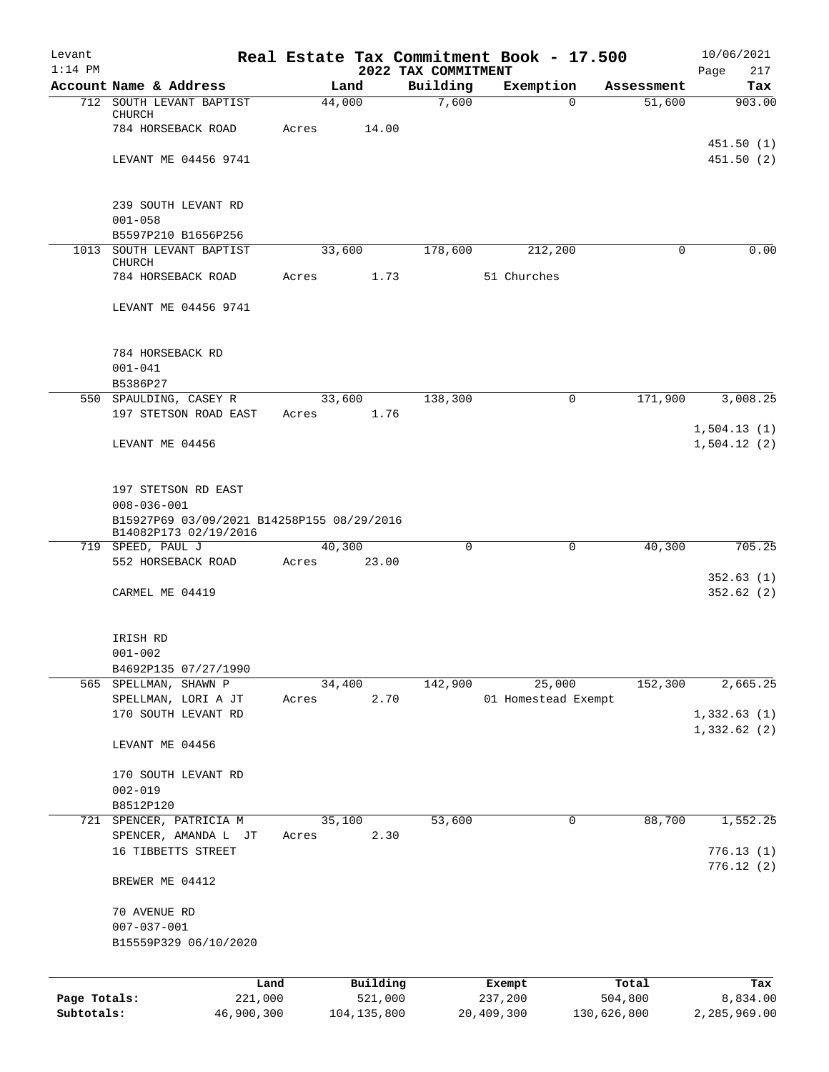| Levant       |                                                                     | Real Estate Tax Commitment Book - 17.500 |                                 |                     |             | 10/06/2021         |
|--------------|---------------------------------------------------------------------|------------------------------------------|---------------------------------|---------------------|-------------|--------------------|
| $1:14$ PM    | Account Name & Address                                              | Land                                     | 2022 TAX COMMITMENT<br>Building | Exemption           | Assessment  | Page<br>217<br>Tax |
|              | 712 SOUTH LEVANT BAPTIST                                            | 44,000                                   | 7,600                           | $\Omega$            | 51,600      | 903.00             |
|              | CHURCH<br>784 HORSEBACK ROAD                                        | 14.00<br>Acres                           |                                 |                     |             |                    |
|              |                                                                     |                                          |                                 |                     |             | 451.50(1)          |
|              | LEVANT ME 04456 9741                                                |                                          |                                 |                     |             | 451.50(2)          |
|              | 239 SOUTH LEVANT RD                                                 |                                          |                                 |                     |             |                    |
|              | $001 - 058$                                                         |                                          |                                 |                     |             |                    |
|              | B5597P210 B1656P256<br>1013 SOUTH LEVANT BAPTIST                    | 33,600                                   | 178,600                         | 212,200             | $\Omega$    | 0.00               |
|              | CHURCH                                                              |                                          |                                 |                     |             |                    |
|              | 784 HORSEBACK ROAD                                                  | Acres<br>1.73                            |                                 | 51 Churches         |             |                    |
|              | LEVANT ME 04456 9741                                                |                                          |                                 |                     |             |                    |
|              | 784 HORSEBACK RD                                                    |                                          |                                 |                     |             |                    |
|              | $001 - 041$                                                         |                                          |                                 |                     |             |                    |
|              | B5386P27                                                            |                                          |                                 |                     |             |                    |
|              | 550 SPAULDING, CASEY R<br>197 STETSON ROAD EAST                     | 33,600<br>1.76<br>Acres                  | 138,300                         | 0                   | 171,900     | 3,008.25           |
|              |                                                                     |                                          |                                 |                     |             | 1,504.13(1)        |
|              | LEVANT ME 04456                                                     |                                          |                                 |                     |             | 1,504.12(2)        |
|              | 197 STETSON RD EAST                                                 |                                          |                                 |                     |             |                    |
|              | $008 - 036 - 001$                                                   |                                          |                                 |                     |             |                    |
|              | B15927P69 03/09/2021 B14258P155 08/29/2016<br>B14082P173 02/19/2016 |                                          |                                 |                     |             |                    |
|              | 719 SPEED, PAUL J                                                   | 40,300                                   | 0                               | 0                   | 40,300      | 705.25             |
|              | 552 HORSEBACK ROAD                                                  | 23.00<br>Acres                           |                                 |                     |             | 352.63(1)          |
|              | CARMEL ME 04419                                                     |                                          |                                 |                     |             | 352.62(2)          |
|              | IRISH RD                                                            |                                          |                                 |                     |             |                    |
|              | $001 - 002$                                                         |                                          |                                 |                     |             |                    |
|              | B4692P135 07/27/1990                                                |                                          |                                 |                     |             |                    |
|              | 565 SPELLMAN, SHAWN P                                               | 34,400                                   | 142,900                         | 25,000              | 152,300     | 2,665.25           |
|              | SPELLMAN, LORI A JT<br>170 SOUTH LEVANT RD                          | 2.70<br>Acres                            |                                 | 01 Homestead Exempt |             | 1,332.63(1)        |
|              |                                                                     |                                          |                                 |                     |             | 1,332.62(2)        |
|              | LEVANT ME 04456                                                     |                                          |                                 |                     |             |                    |
|              | 170 SOUTH LEVANT RD                                                 |                                          |                                 |                     |             |                    |
|              | $002 - 019$<br>B8512P120                                            |                                          |                                 |                     |             |                    |
|              | 721 SPENCER, PATRICIA M                                             | 35,100                                   | 53,600                          | 0                   | 88,700      | 1,552.25           |
|              | SPENCER, AMANDA L JT                                                | 2.30<br>Acres                            |                                 |                     |             |                    |
|              | 16 TIBBETTS STREET                                                  |                                          |                                 |                     |             | 776.13(1)          |
|              | BREWER ME 04412                                                     |                                          |                                 |                     |             | 776.12(2)          |
|              | 70 AVENUE RD                                                        |                                          |                                 |                     |             |                    |
|              | $007 - 037 - 001$                                                   |                                          |                                 |                     |             |                    |
|              | B15559P329 06/10/2020                                               |                                          |                                 |                     |             |                    |
|              |                                                                     | Building<br>Land                         |                                 | Exempt              | Total       | Tax                |
| Page Totals: | 221,000                                                             | 521,000                                  |                                 | 237,200             | 504,800     | 8,834.00           |
| Subtotals:   | 46,900,300                                                          | 104, 135, 800                            |                                 | 20,409,300          | 130,626,800 | 2,285,969.00       |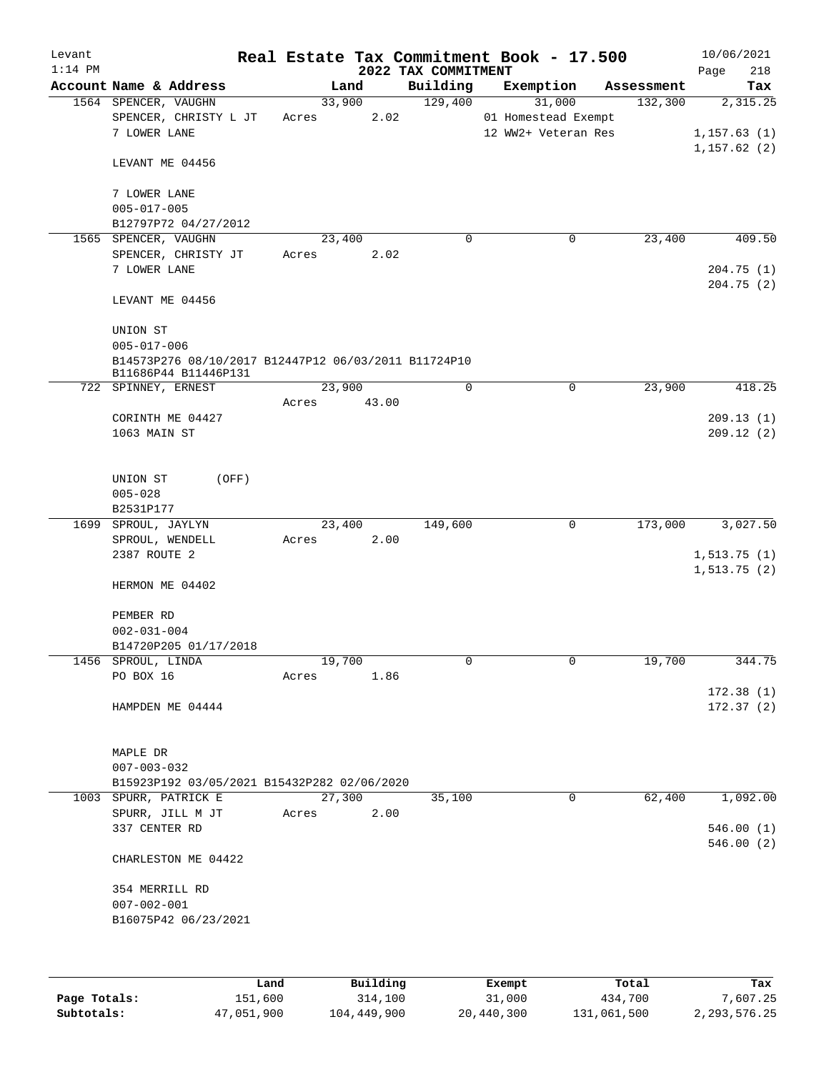| Levant<br>$1:14$ PM |                                                      |        |        | 2022 TAX COMMITMENT | Real Estate Tax Commitment Book - 17.500 |            | 10/06/2021<br>218<br>Page |
|---------------------|------------------------------------------------------|--------|--------|---------------------|------------------------------------------|------------|---------------------------|
|                     | Account Name & Address                               |        | Land   | Building            | Exemption                                | Assessment | Tax                       |
|                     | 1564 SPENCER, VAUGHN                                 |        | 33,900 | 129,400             | 31,000                                   | 132,300    | 2,315.25                  |
|                     | SPENCER, CHRISTY L JT                                | Acres  | 2.02   |                     | 01 Homestead Exempt                      |            |                           |
|                     | 7 LOWER LANE                                         |        |        |                     | 12 WW2+ Veteran Res                      |            | 1, 157.63(1)              |
|                     | LEVANT ME 04456                                      |        |        |                     |                                          |            | 1, 157.62(2)              |
|                     | 7 LOWER LANE                                         |        |        |                     |                                          |            |                           |
|                     | $005 - 017 - 005$<br>B12797P72 04/27/2012            |        |        |                     |                                          |            |                           |
|                     | 1565 SPENCER, VAUGHN                                 |        | 23,400 | 0                   | 0                                        | 23,400     | 409.50                    |
|                     | SPENCER, CHRISTY JT                                  | Acres  | 2.02   |                     |                                          |            |                           |
|                     | 7 LOWER LANE                                         |        |        |                     |                                          |            | 204.75(1)                 |
|                     |                                                      |        |        |                     |                                          |            | 204.75(2)                 |
|                     | LEVANT ME 04456                                      |        |        |                     |                                          |            |                           |
|                     | UNION ST                                             |        |        |                     |                                          |            |                           |
|                     | $005 - 017 - 006$                                    |        |        |                     |                                          |            |                           |
|                     | B14573P276 08/10/2017 B12447P12 06/03/2011 B11724P10 |        |        |                     |                                          |            |                           |
|                     | B11686P44 B11446P131<br>722 SPINNEY, ERNEST          |        | 23,900 | 0                   | 0                                        | 23,900     | 418.25                    |
|                     |                                                      | Acres  | 43.00  |                     |                                          |            |                           |
|                     | CORINTH ME 04427                                     |        |        |                     |                                          |            | 209.13(1)                 |
|                     | 1063 MAIN ST                                         |        |        |                     |                                          |            | 209.12(2)                 |
|                     |                                                      |        |        |                     |                                          |            |                           |
|                     | UNION ST<br>(OFF)                                    |        |        |                     |                                          |            |                           |
|                     | $005 - 028$                                          |        |        |                     |                                          |            |                           |
|                     | B2531P177                                            |        |        |                     |                                          |            |                           |
|                     | 1699 SPROUL, JAYLYN                                  |        | 23,400 | 149,600             | 0                                        | 173,000    | 3,027.50                  |
|                     | SPROUL, WENDELL                                      | Acres  | 2.00   |                     |                                          |            |                           |
|                     | 2387 ROUTE 2                                         |        |        |                     |                                          |            | 1, 513.75(1)              |
|                     |                                                      |        |        |                     |                                          |            | 1, 513.75(2)              |
|                     | HERMON ME 04402                                      |        |        |                     |                                          |            |                           |
|                     | PEMBER RD                                            |        |        |                     |                                          |            |                           |
|                     | $002 - 031 - 004$                                    |        |        |                     |                                          |            |                           |
|                     | B14720P205 01/17/2018                                |        |        |                     |                                          |            |                           |
|                     | 1456 SPROUL, LINDA                                   | 19,700 |        | 0                   | 0                                        | 19,700     | 344.75                    |
|                     | PO BOX 16                                            | Acres  | 1.86   |                     |                                          |            |                           |
|                     | HAMPDEN ME 04444                                     |        |        |                     |                                          |            | 172.38(1)<br>172.37(2)    |
|                     |                                                      |        |        |                     |                                          |            |                           |
|                     | MAPLE DR                                             |        |        |                     |                                          |            |                           |
|                     | $007 - 003 - 032$                                    |        |        |                     |                                          |            |                           |
|                     | B15923P192 03/05/2021 B15432P282 02/06/2020          |        |        |                     |                                          |            |                           |
|                     | 1003 SPURR, PATRICK E                                | 27,300 |        | 35,100              | 0                                        | 62,400     | 1,092.00                  |
|                     | SPURR, JILL M JT                                     | Acres  | 2.00   |                     |                                          |            |                           |
|                     | 337 CENTER RD                                        |        |        |                     |                                          |            | 546.00(1)                 |
|                     | CHARLESTON ME 04422                                  |        |        |                     |                                          |            | 546.00(2)                 |
|                     |                                                      |        |        |                     |                                          |            |                           |
|                     | 354 MERRILL RD                                       |        |        |                     |                                          |            |                           |
|                     | $007 - 002 - 001$<br>B16075P42 06/23/2021            |        |        |                     |                                          |            |                           |
|                     |                                                      |        |        |                     |                                          |            |                           |
|                     |                                                      |        |        |                     |                                          |            |                           |
|                     |                                                      |        |        |                     |                                          |            |                           |

|              | Land       | Building    | Exempt     | Total       | Tax          |
|--------------|------------|-------------|------------|-------------|--------------|
| Page Totals: | 151,600    | 314,100     | 31,000     | 434,700     | 7,607.25     |
| Subtotals:   | 47,051,900 | 104,449,900 | 20,440,300 | 131,061,500 | 2,293,576.25 |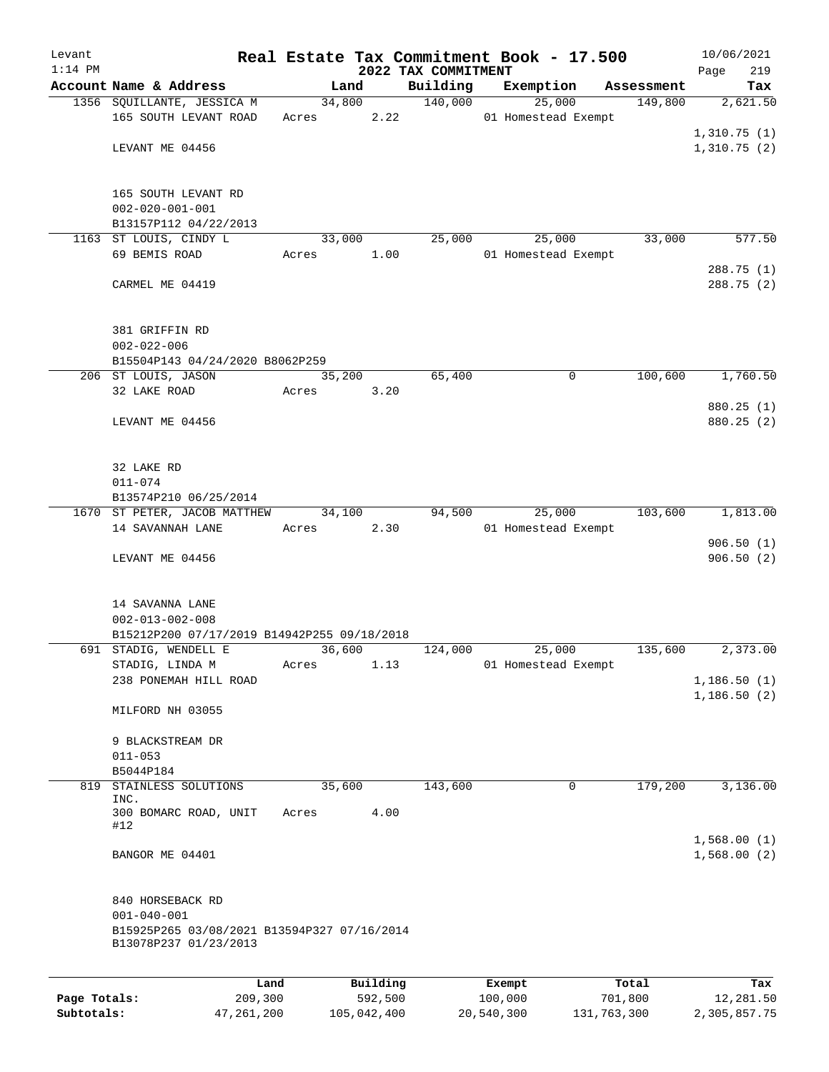| Levant       |                                                                      |         |                 |                     | Real Estate Tax Commitment Book - 17.500 |            | 10/06/2021                 |
|--------------|----------------------------------------------------------------------|---------|-----------------|---------------------|------------------------------------------|------------|----------------------------|
| $1:14$ PM    |                                                                      |         |                 | 2022 TAX COMMITMENT |                                          |            | 219<br>Page                |
|              | Account Name & Address                                               |         | Land            | Building<br>140,000 | Exemption                                | Assessment | Tax                        |
|              | 1356 SQUILLANTE, JESSICA M<br>165 SOUTH LEVANT ROAD                  |         | 34,800<br>Acres | 2.22                | 25,000<br>01 Homestead Exempt            | 149,800    | 2,621.50                   |
|              |                                                                      |         |                 |                     |                                          |            | 1,310.75(1)                |
|              | LEVANT ME 04456                                                      |         |                 |                     |                                          |            | 1,310.75(2)                |
|              |                                                                      |         |                 |                     |                                          |            |                            |
|              | 165 SOUTH LEVANT RD                                                  |         |                 |                     |                                          |            |                            |
|              | $002 - 020 - 001 - 001$                                              |         |                 |                     |                                          |            |                            |
|              | B13157P112 04/22/2013                                                |         |                 |                     |                                          |            |                            |
|              | 1163 ST LOUIS, CINDY L                                               |         | 33,000          | 25,000              | 25,000                                   | 33,000     | 577.50                     |
|              | 69 BEMIS ROAD                                                        | Acres   |                 | 1.00                | 01 Homestead Exempt                      |            |                            |
|              |                                                                      |         |                 |                     |                                          |            | 288.75 (1)                 |
|              | CARMEL ME 04419                                                      |         |                 |                     |                                          |            | 288.75 (2)                 |
|              | 381 GRIFFIN RD<br>$002 - 022 - 006$                                  |         |                 |                     |                                          |            |                            |
|              | B15504P143 04/24/2020 B8062P259                                      |         |                 |                     |                                          |            |                            |
|              | 206 ST LOUIS, JASON                                                  |         | 35,200          | 65,400              | 0                                        | 100,600    | 1,760.50                   |
|              | 32 LAKE ROAD                                                         | Acres   | 3.20            |                     |                                          |            |                            |
|              |                                                                      |         |                 |                     |                                          |            | 880.25 (1)                 |
|              | LEVANT ME 04456                                                      |         |                 |                     |                                          |            | 880.25 (2)                 |
|              |                                                                      |         |                 |                     |                                          |            |                            |
|              |                                                                      |         |                 |                     |                                          |            |                            |
|              | 32 LAKE RD                                                           |         |                 |                     |                                          |            |                            |
|              | $011 - 074$                                                          |         |                 |                     |                                          |            |                            |
|              | B13574P210 06/25/2014                                                |         |                 |                     |                                          |            |                            |
|              | 1670 ST PETER, JACOB MATTHEW<br>14 SAVANNAH LANE                     | Acres   | 34,100          | 94,500<br>2.30      | 25,000<br>01 Homestead Exempt            | 103,600    | 1,813.00                   |
|              |                                                                      |         |                 |                     |                                          |            | 906.50(1)                  |
|              | LEVANT ME 04456                                                      |         |                 |                     |                                          |            | 906.50(2)                  |
|              |                                                                      |         |                 |                     |                                          |            |                            |
|              | 14 SAVANNA LANE                                                      |         |                 |                     |                                          |            |                            |
|              | $002 - 013 - 002 - 008$                                              |         |                 |                     |                                          |            |                            |
|              | B15212P200 07/17/2019 B14942P255 09/18/2018                          |         |                 |                     |                                          |            |                            |
|              | 691 STADIG, WENDELL E<br>STADIG, LINDA M                             |         | 36,600          | 124,000<br>1.13     | 25,000<br>01 Homestead Exempt            | 135,600    | 2,373.00                   |
|              | 238 PONEMAH HILL ROAD                                                | Acres   |                 |                     |                                          |            | 1,186.50(1)                |
|              |                                                                      |         |                 |                     |                                          |            | 1,186.50(2)                |
|              | MILFORD NH 03055                                                     |         |                 |                     |                                          |            |                            |
|              |                                                                      |         |                 |                     |                                          |            |                            |
|              | 9 BLACKSTREAM DR<br>$011 - 053$                                      |         |                 |                     |                                          |            |                            |
|              | B5044P184                                                            |         |                 |                     |                                          |            |                            |
| 819          | STAINLESS SOLUTIONS                                                  |         | 35,600          | 143,600             | 0                                        | 179,200    | 3,136.00                   |
|              | INC.                                                                 |         |                 |                     |                                          |            |                            |
|              | 300 BOMARC ROAD, UNIT                                                | Acres   | 4.00            |                     |                                          |            |                            |
|              | #12                                                                  |         |                 |                     |                                          |            |                            |
|              | BANGOR ME 04401                                                      |         |                 |                     |                                          |            | 1,568.00(1)<br>1,568.00(2) |
|              |                                                                      |         |                 |                     |                                          |            |                            |
|              | 840 HORSEBACK RD                                                     |         |                 |                     |                                          |            |                            |
|              | $001 - 040 - 001$                                                    |         |                 |                     |                                          |            |                            |
|              | B15925P265 03/08/2021 B13594P327 07/16/2014<br>B13078P237 01/23/2013 |         |                 |                     |                                          |            |                            |
|              |                                                                      |         |                 |                     |                                          |            |                            |
|              |                                                                      | Land    | Building        |                     | Exempt                                   | Total      | Tax                        |
| Page Totals: |                                                                      | 209,300 | 592,500         |                     | 100,000                                  | 701,800    | 12,281.50                  |

**Subtotals:** 47,261,200 105,042,400 20,540,300 131,763,300 2,305,857.75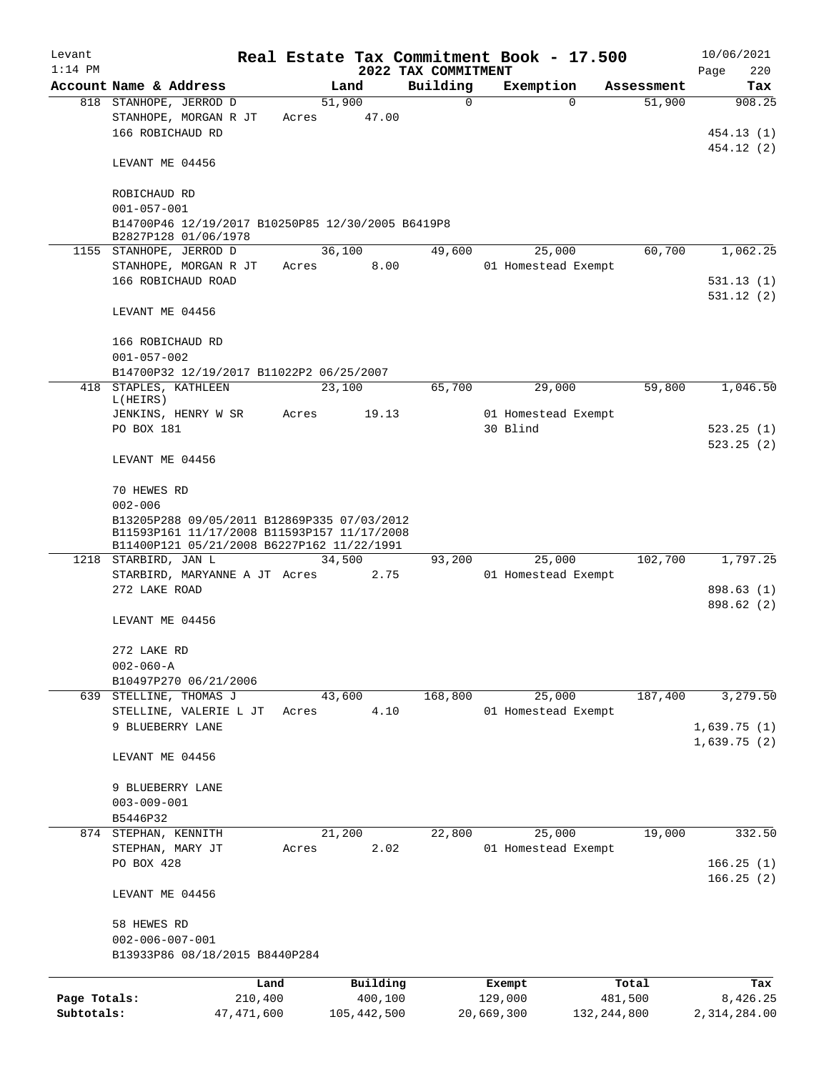| Levant       |                                                                    |              |        |             |                      | Real Estate Tax Commitment Book - 17.500 |                      | 10/06/2021      |
|--------------|--------------------------------------------------------------------|--------------|--------|-------------|----------------------|------------------------------------------|----------------------|-----------------|
| $1:14$ PM    |                                                                    |              |        |             | 2022 TAX COMMITMENT  |                                          |                      | 220<br>Page     |
|              | Account Name & Address<br>818 STANHOPE, JERROD D                   |              | 51,900 | Land        | Building<br>$\Omega$ | Exemption<br>$\Omega$                    | Assessment<br>51,900 | Tax<br>908.25   |
|              | STANHOPE, MORGAN R JT                                              |              | Acres  | 47.00       |                      |                                          |                      |                 |
|              | 166 ROBICHAUD RD                                                   |              |        |             |                      |                                          |                      | 454.13 (1)      |
|              |                                                                    |              |        |             |                      |                                          |                      | 454.12 (2)      |
|              | LEVANT ME 04456                                                    |              |        |             |                      |                                          |                      |                 |
|              | ROBICHAUD RD                                                       |              |        |             |                      |                                          |                      |                 |
|              | $001 - 057 - 001$                                                  |              |        |             |                      |                                          |                      |                 |
|              | B14700P46 12/19/2017 B10250P85 12/30/2005 B6419P8                  |              |        |             |                      |                                          |                      |                 |
|              | B2827P128 01/06/1978                                               |              |        |             |                      |                                          |                      |                 |
|              | 1155 STANHOPE, JERROD D                                            |              | 36,100 |             | 49,600               | 25,000                                   | 60,700               | 1,062.25        |
|              | STANHOPE, MORGAN R JT                                              |              | Acres  | 8.00        |                      | 01 Homestead Exempt                      |                      |                 |
|              | 166 ROBICHAUD ROAD                                                 |              |        |             |                      |                                          |                      | 531.13(1)       |
|              |                                                                    |              |        |             |                      |                                          |                      | 531.12(2)       |
|              | LEVANT ME 04456                                                    |              |        |             |                      |                                          |                      |                 |
|              |                                                                    |              |        |             |                      |                                          |                      |                 |
|              | 166 ROBICHAUD RD                                                   |              |        |             |                      |                                          |                      |                 |
|              | $001 - 057 - 002$                                                  |              |        |             |                      |                                          |                      |                 |
|              | B14700P32 12/19/2017 B11022P2 06/25/2007                           |              |        |             |                      |                                          |                      |                 |
| 418          | STAPLES, KATHLEEN<br>L(HEIRS)                                      |              | 23,100 |             | 65,700               | 29,000                                   | 59,800               | 1,046.50        |
|              | JENKINS, HENRY W SR                                                |              | Acres  | 19.13       |                      | 01 Homestead Exempt                      |                      |                 |
|              | PO BOX 181                                                         |              |        |             |                      | 30 Blind                                 |                      | 523.25(1)       |
|              |                                                                    |              |        |             |                      |                                          |                      | 523.25(2)       |
|              | LEVANT ME 04456                                                    |              |        |             |                      |                                          |                      |                 |
|              |                                                                    |              |        |             |                      |                                          |                      |                 |
|              | 70 HEWES RD                                                        |              |        |             |                      |                                          |                      |                 |
|              | $002 - 006$                                                        |              |        |             |                      |                                          |                      |                 |
|              | B13205P288 09/05/2011 B12869P335 07/03/2012                        |              |        |             |                      |                                          |                      |                 |
|              | B11593P161 11/17/2008 B11593P157 11/17/2008                        |              |        |             |                      |                                          |                      |                 |
|              | B11400P121 05/21/2008 B6227P162 11/22/1991<br>1218 STARBIRD, JAN L |              | 34,500 |             | 93,200               | 25,000                                   | 102,700              | 1,797.25        |
|              | STARBIRD, MARYANNE A JT Acres                                      |              |        | 2.75        |                      | 01 Homestead Exempt                      |                      |                 |
|              | 272 LAKE ROAD                                                      |              |        |             |                      |                                          |                      | 898.63 (1)      |
|              |                                                                    |              |        |             |                      |                                          |                      | 898.62 (2)      |
|              | LEVANT ME 04456                                                    |              |        |             |                      |                                          |                      |                 |
|              |                                                                    |              |        |             |                      |                                          |                      |                 |
|              | 272 LAKE RD                                                        |              |        |             |                      |                                          |                      |                 |
|              | $002 - 060 - A$                                                    |              |        |             |                      |                                          |                      |                 |
|              | B10497P270 06/21/2006                                              |              |        |             |                      |                                          |                      |                 |
|              | 639 STELLINE, THOMAS J                                             |              | 43,600 |             | 168,800              | 25,000                                   | 187,400              | 3,279.50        |
|              | STELLINE, VALERIE L JT                                             |              | Acres  | 4.10        |                      | 01 Homestead Exempt                      |                      |                 |
|              | 9 BLUEBERRY LANE                                                   |              |        |             |                      |                                          |                      | 1,639.75(1)     |
|              |                                                                    |              |        |             |                      |                                          |                      | 1,639.75(2)     |
|              | LEVANT ME 04456                                                    |              |        |             |                      |                                          |                      |                 |
|              |                                                                    |              |        |             |                      |                                          |                      |                 |
|              | 9 BLUEBERRY LANE                                                   |              |        |             |                      |                                          |                      |                 |
|              | $003 - 009 - 001$                                                  |              |        |             |                      |                                          |                      |                 |
|              | B5446P32                                                           |              | 21,200 |             | 22,800               |                                          |                      | 332.50          |
|              | 874 STEPHAN, KENNITH<br>STEPHAN, MARY JT                           |              | Acres  | 2.02        |                      | 25,000<br>01 Homestead Exempt            | 19,000               |                 |
|              | PO BOX 428                                                         |              |        |             |                      |                                          |                      | 166.25(1)       |
|              |                                                                    |              |        |             |                      |                                          |                      | 166.25(2)       |
|              | LEVANT ME 04456                                                    |              |        |             |                      |                                          |                      |                 |
|              |                                                                    |              |        |             |                      |                                          |                      |                 |
|              | 58 HEWES RD                                                        |              |        |             |                      |                                          |                      |                 |
|              | $002 - 006 - 007 - 001$                                            |              |        |             |                      |                                          |                      |                 |
|              | B13933P86 08/18/2015 B8440P284                                     |              |        |             |                      |                                          |                      |                 |
|              |                                                                    | Land         |        | Building    |                      |                                          | Total                |                 |
| Page Totals: |                                                                    | 210,400      |        | 400,100     |                      | Exempt<br>129,000                        | 481,500              | Tax<br>8,426.25 |
| Subtotals:   |                                                                    | 47, 471, 600 |        | 105,442,500 |                      | 20,669,300<br>132, 244, 800              |                      | 2,314,284.00    |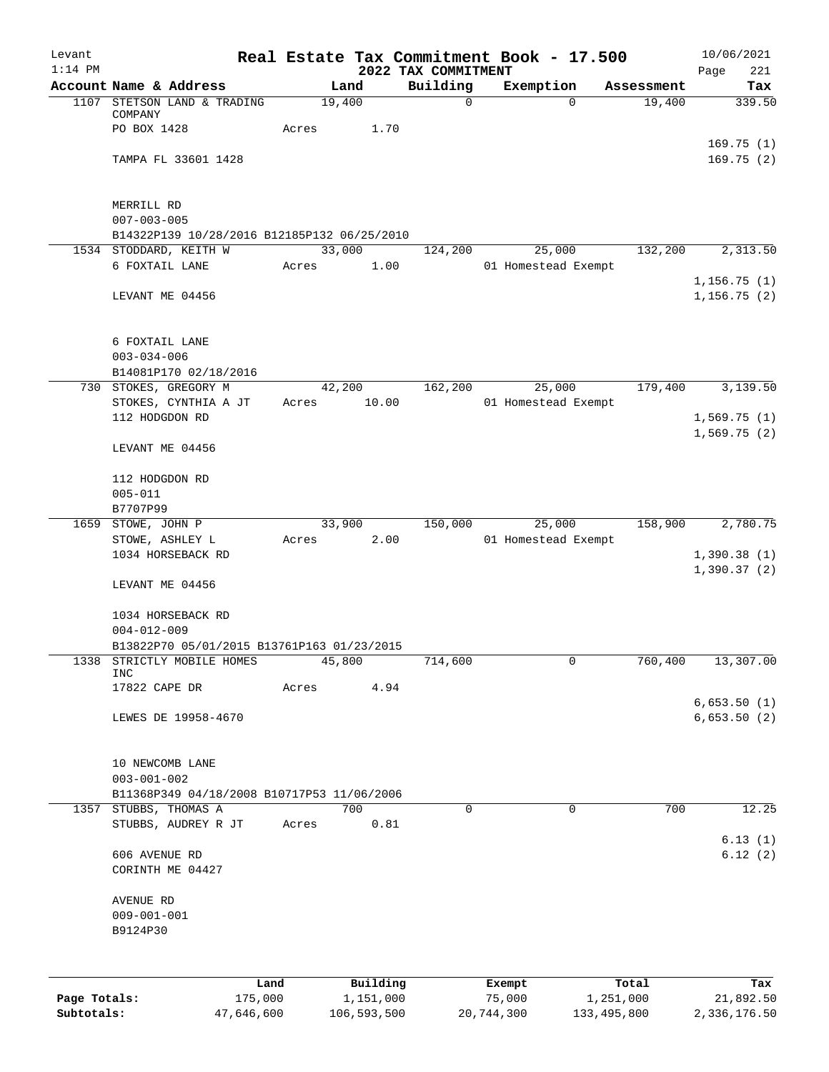| Levant       |                                                                  |            |             |                                 | Real Estate Tax Commitment Book - 17.500 |             | 10/06/2021                 |
|--------------|------------------------------------------------------------------|------------|-------------|---------------------------------|------------------------------------------|-------------|----------------------------|
| $1:14$ PM    | Account Name & Address                                           |            | Land        | 2022 TAX COMMITMENT<br>Building | Exemption                                | Assessment  | 221<br>Page<br>Tax         |
|              | 1107 STETSON LAND & TRADING                                      |            | 19,400      | 0                               | $\Omega$                                 | 19,400      | 339.50                     |
|              | COMPANY                                                          |            |             |                                 |                                          |             |                            |
|              | PO BOX 1428                                                      | Acres      | 1.70        |                                 |                                          |             |                            |
|              | TAMPA FL 33601 1428                                              |            |             |                                 |                                          |             | 169.75(1)<br>169.75(2)     |
|              |                                                                  |            |             |                                 |                                          |             |                            |
|              |                                                                  |            |             |                                 |                                          |             |                            |
|              | MERRILL RD                                                       |            |             |                                 |                                          |             |                            |
|              | $007 - 003 - 005$<br>B14322P139 10/28/2016 B12185P132 06/25/2010 |            |             |                                 |                                          |             |                            |
|              | 1534 STODDARD, KEITH W                                           |            | 33,000      | 124,200                         | 25,000                                   | 132,200     | 2,313.50                   |
|              | 6 FOXTAIL LANE                                                   | Acres      | 1.00        |                                 | 01 Homestead Exempt                      |             |                            |
|              |                                                                  |            |             |                                 |                                          |             | 1,156.75(1)                |
|              | LEVANT ME 04456                                                  |            |             |                                 |                                          |             | 1, 156.75(2)               |
|              | 6 FOXTAIL LANE                                                   |            |             |                                 |                                          |             |                            |
|              | $003 - 034 - 006$                                                |            |             |                                 |                                          |             |                            |
|              | B14081P170 02/18/2016                                            |            |             |                                 |                                          |             |                            |
| 730          | STOKES, GREGORY M                                                |            | 42,200      | 162,200                         | 25,000                                   | 179,400     | 3,139.50                   |
|              | STOKES, CYNTHIA A JT                                             | Acres      | 10.00       |                                 | 01 Homestead Exempt                      |             |                            |
|              | 112 HODGDON RD                                                   |            |             |                                 |                                          |             | 1,569.75(1)                |
|              | LEVANT ME 04456                                                  |            |             |                                 |                                          |             | 1,569.75(2)                |
|              | 112 HODGDON RD                                                   |            |             |                                 |                                          |             |                            |
|              | $005 - 011$                                                      |            |             |                                 |                                          |             |                            |
|              | B7707P99                                                         |            |             |                                 |                                          |             |                            |
|              | 1659 STOWE, JOHN P                                               |            | 33,900      | 150,000                         | 25,000                                   | 158,900     | 2,780.75                   |
|              | STOWE, ASHLEY L                                                  | Acres      | 2.00        |                                 | 01 Homestead Exempt                      |             |                            |
|              | 1034 HORSEBACK RD                                                |            |             |                                 |                                          |             | 1,390.38(1)<br>1,390.37(2) |
|              | LEVANT ME 04456                                                  |            |             |                                 |                                          |             |                            |
|              | 1034 HORSEBACK RD                                                |            |             |                                 |                                          |             |                            |
|              | $004 - 012 - 009$                                                |            |             |                                 |                                          |             |                            |
|              | B13822P70 05/01/2015 B13761P163 01/23/2015                       |            |             |                                 |                                          |             |                            |
| 1338         | STRICTLY MOBILE HOMES<br>INC                                     |            | 45,800      | 714,600                         | 0                                        | 760,400     | 13,307.00                  |
|              | 17822 CAPE DR                                                    | Acres      | 4.94        |                                 |                                          |             |                            |
|              |                                                                  |            |             |                                 |                                          |             | 6,653.50(1)                |
|              | LEWES DE 19958-4670                                              |            |             |                                 |                                          |             | 6,653.50(2)                |
|              |                                                                  |            |             |                                 |                                          |             |                            |
|              | 10 NEWCOMB LANE<br>$003 - 001 - 002$                             |            |             |                                 |                                          |             |                            |
|              | B11368P349 04/18/2008 B10717P53 11/06/2006                       |            |             |                                 |                                          |             |                            |
|              | 1357 STUBBS, THOMAS A                                            |            | 700         | 0                               | $\mathbf 0$                              | 700         | 12.25                      |
|              | STUBBS, AUDREY R JT                                              | Acres      | 0.81        |                                 |                                          |             |                            |
|              |                                                                  |            |             |                                 |                                          |             | 6.13(1)                    |
|              | 606 AVENUE RD<br>CORINTH ME 04427                                |            |             |                                 |                                          |             | 6.12(2)                    |
|              | AVENUE RD                                                        |            |             |                                 |                                          |             |                            |
|              | $009 - 001 - 001$                                                |            |             |                                 |                                          |             |                            |
|              | B9124P30                                                         |            |             |                                 |                                          |             |                            |
|              |                                                                  |            |             |                                 |                                          |             |                            |
|              |                                                                  | Land       | Building    |                                 | Exempt                                   | Total       | Tax                        |
| Page Totals: |                                                                  | 175,000    | 1,151,000   |                                 | 75,000                                   | 1,251,000   | 21,892.50                  |
| Subtotals:   |                                                                  | 47,646,600 | 106,593,500 |                                 | 20,744,300                               | 133,495,800 | 2,336,176.50               |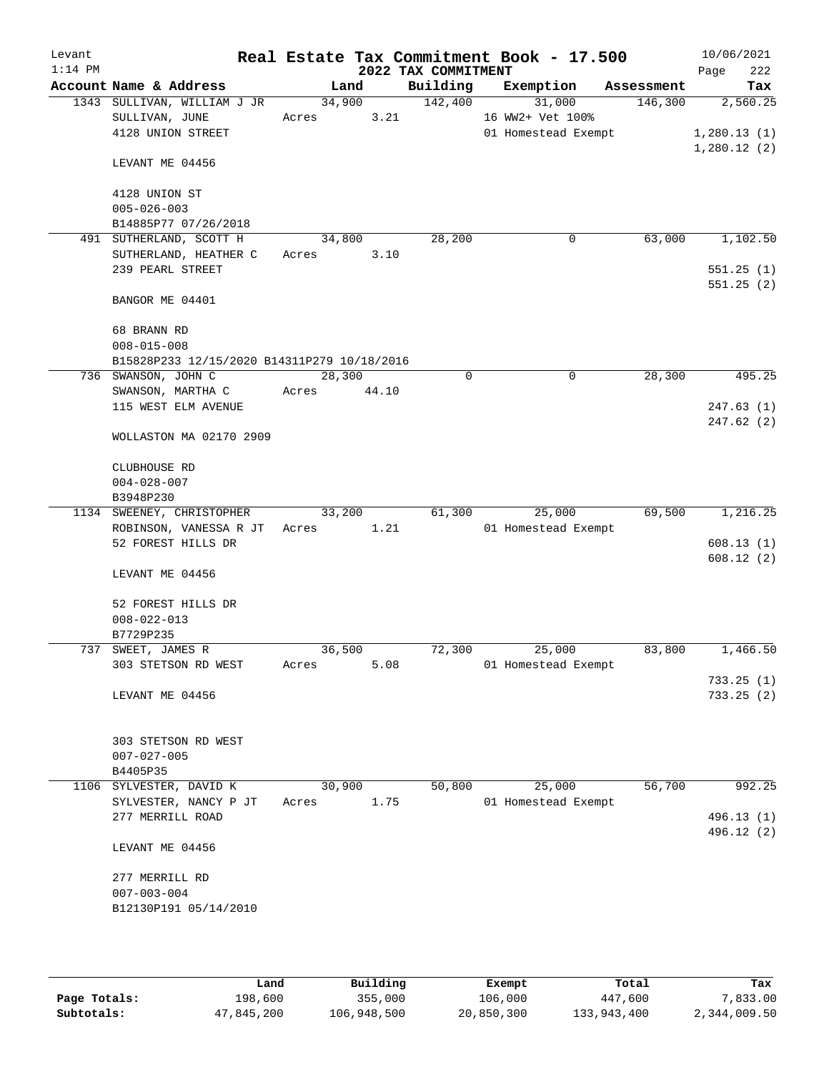| Levant<br>$1:14$ PM |                                             |             |        |                                 | Real Estate Tax Commitment Book - 17.500 |            | 10/06/2021         |
|---------------------|---------------------------------------------|-------------|--------|---------------------------------|------------------------------------------|------------|--------------------|
|                     | Account Name & Address                      |             | Land   | 2022 TAX COMMITMENT<br>Building | Exemption                                | Assessment | 222<br>Page<br>Tax |
|                     | 1343 SULLIVAN, WILLIAM J JR                 |             | 34,900 | 142,400                         | 31,000                                   | 146,300    | 2,560.25           |
|                     | SULLIVAN, JUNE                              | Acres       | 3.21   |                                 | 16 WW2+ Vet 100%                         |            |                    |
|                     | 4128 UNION STREET                           |             |        |                                 | 01 Homestead Exempt                      |            | 1,280.13(1)        |
|                     | LEVANT ME 04456                             |             |        |                                 |                                          |            | 1,280.12(2)        |
|                     | 4128 UNION ST                               |             |        |                                 |                                          |            |                    |
|                     | $005 - 026 - 003$                           |             |        |                                 |                                          |            |                    |
|                     | B14885P77 07/26/2018                        |             |        |                                 |                                          |            |                    |
|                     | 491 SUTHERLAND, SCOTT H                     |             | 34,800 | 28,200                          | 0                                        | 63,000     | 1,102.50           |
|                     | SUTHERLAND, HEATHER C                       | Acres       | 3.10   |                                 |                                          |            |                    |
|                     | 239 PEARL STREET                            |             |        |                                 |                                          |            | 551.25(1)          |
|                     | BANGOR ME 04401                             |             |        |                                 |                                          |            | 551.25(2)          |
|                     | 68 BRANN RD                                 |             |        |                                 |                                          |            |                    |
|                     | $008 - 015 - 008$                           |             |        |                                 |                                          |            |                    |
|                     | B15828P233 12/15/2020 B14311P279 10/18/2016 |             |        |                                 |                                          |            |                    |
|                     | 736 SWANSON, JOHN C                         | 28,300      |        | 0                               | 0                                        | 28,300     | 495.25             |
|                     | SWANSON, MARTHA C                           | Acres 44.10 |        |                                 |                                          |            |                    |
|                     | 115 WEST ELM AVENUE                         |             |        |                                 |                                          |            | 247.63(1)          |
|                     | WOLLASTON MA 02170 2909                     |             |        |                                 |                                          |            | 247.62(2)          |
|                     | CLUBHOUSE RD                                |             |        |                                 |                                          |            |                    |
|                     | $004 - 028 - 007$                           |             |        |                                 |                                          |            |                    |
|                     | B3948P230                                   |             |        |                                 |                                          |            |                    |
|                     | 1134 SWEENEY, CHRISTOPHER                   |             | 33,200 | 61,300                          | 25,000                                   | 69,500     | 1,216.25           |
|                     | ROBINSON, VANESSA R JT Acres                |             | 1.21   |                                 | 01 Homestead Exempt                      |            |                    |
|                     | 52 FOREST HILLS DR                          |             |        |                                 |                                          |            | 608.13(1)          |
|                     | LEVANT ME 04456                             |             |        |                                 |                                          |            | 608.12(2)          |
|                     | 52 FOREST HILLS DR                          |             |        |                                 |                                          |            |                    |
|                     | $008 - 022 - 013$                           |             |        |                                 |                                          |            |                    |
|                     | B7729P235                                   |             |        |                                 |                                          |            |                    |
|                     | 737 SWEET, JAMES R                          | 36,500      |        | 72,300                          | 25,000                                   | 83,800     | 1,466.50           |
|                     | 303 STETSON RD WEST                         | Acres       | 5.08   |                                 | 01 Homestead Exempt                      |            |                    |
|                     |                                             |             |        |                                 |                                          |            | 733.25(1)          |
|                     | LEVANT ME 04456                             |             |        |                                 |                                          |            | 733.25(2)          |
|                     | 303 STETSON RD WEST                         |             |        |                                 |                                          |            |                    |
|                     | $007 - 027 - 005$                           |             |        |                                 |                                          |            |                    |
|                     | B4405P35                                    |             |        |                                 |                                          |            |                    |
|                     | 1106 SYLVESTER, DAVID K                     | 30,900      |        | 50,800                          | 25,000                                   | 56,700     | 992.25             |
|                     | SYLVESTER, NANCY P JT                       | Acres       | 1.75   |                                 | 01 Homestead Exempt                      |            |                    |
|                     | 277 MERRILL ROAD                            |             |        |                                 |                                          |            | 496.13 (1)         |
|                     | LEVANT ME 04456                             |             |        |                                 |                                          |            | 496.12 (2)         |
|                     | 277 MERRILL RD                              |             |        |                                 |                                          |            |                    |
|                     | $007 - 003 - 004$                           |             |        |                                 |                                          |            |                    |
|                     | B12130P191 05/14/2010                       |             |        |                                 |                                          |            |                    |
|                     |                                             |             |        |                                 |                                          |            |                    |
|                     |                                             |             |        |                                 |                                          |            |                    |

|              | Land       | Building    | Exempt     | Total       | Tax          |
|--------------|------------|-------------|------------|-------------|--------------|
| Page Totals: | 198,600    | 355,000     | 106,000    | 447,600     | 7,833,00     |
| Subtotals:   | 47,845,200 | 106,948,500 | 20,850,300 | 133,943,400 | 2,344,009.50 |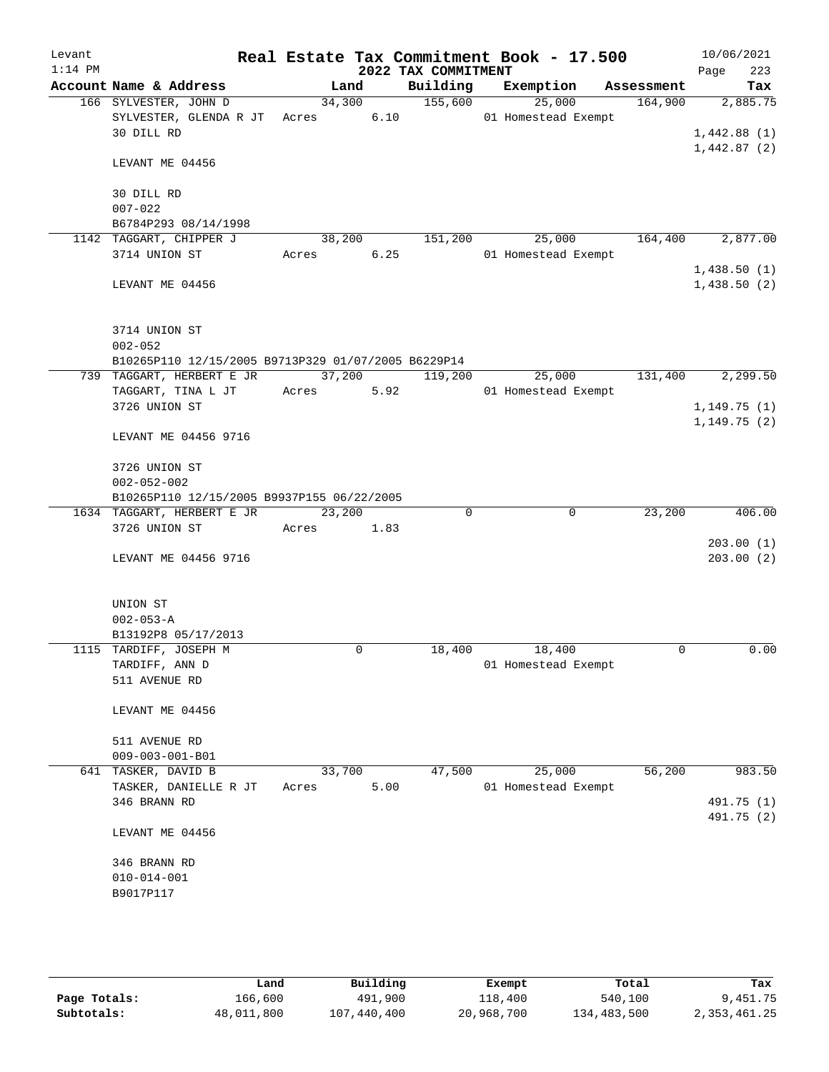| Levant<br>$1:14$ PM |                                                     |        |        | Real Estate Tax Commitment Book - 17.500<br>2022 TAX COMMITMENT |                     |            | 10/06/2021<br>223<br>Page  |
|---------------------|-----------------------------------------------------|--------|--------|-----------------------------------------------------------------|---------------------|------------|----------------------------|
|                     | Account Name & Address                              |        | Land   | Building                                                        | Exemption           | Assessment | Tax                        |
|                     | 166 SYLVESTER, JOHN D                               |        | 34,300 | 155,600                                                         | 25,000              | 164,900    | 2,885.75                   |
|                     | SYLVESTER, GLENDA R JT                              | Acres  | 6.10   |                                                                 | 01 Homestead Exempt |            |                            |
|                     | 30 DILL RD                                          |        |        |                                                                 |                     |            | 1,442.88(1)<br>1,442.87(2) |
|                     | LEVANT ME 04456                                     |        |        |                                                                 |                     |            |                            |
|                     | 30 DILL RD                                          |        |        |                                                                 |                     |            |                            |
|                     | $007 - 022$                                         |        |        |                                                                 |                     |            |                            |
|                     | B6784P293 08/14/1998                                |        |        |                                                                 |                     |            |                            |
|                     | 1142 TAGGART, CHIPPER J                             |        | 38,200 | 151,200                                                         | 25,000              | 164,400    | 2,877.00                   |
|                     | 3714 UNION ST                                       | Acres  | 6.25   |                                                                 | 01 Homestead Exempt |            | 1,438.50(1)                |
|                     | LEVANT ME 04456                                     |        |        |                                                                 |                     |            | 1,438.50(2)                |
|                     |                                                     |        |        |                                                                 |                     |            |                            |
|                     | 3714 UNION ST                                       |        |        |                                                                 |                     |            |                            |
|                     | $002 - 052$                                         |        |        |                                                                 |                     |            |                            |
|                     | B10265P110 12/15/2005 B9713P329 01/07/2005 B6229P14 |        |        |                                                                 |                     |            |                            |
|                     | 739 TAGGART, HERBERT E JR                           |        | 37,200 | 119,200                                                         | 25,000              | 131,400    | 2, 299.50                  |
|                     | TAGGART, TINA L JT                                  | Acres  | 5.92   |                                                                 | 01 Homestead Exempt |            |                            |
|                     | 3726 UNION ST                                       |        |        |                                                                 |                     |            | 1,149.75(1)<br>1,149.75(2) |
|                     | LEVANT ME 04456 9716                                |        |        |                                                                 |                     |            |                            |
|                     | 3726 UNION ST                                       |        |        |                                                                 |                     |            |                            |
|                     | $002 - 052 - 002$                                   |        |        |                                                                 |                     |            |                            |
|                     | B10265P110 12/15/2005 B9937P155 06/22/2005          |        |        |                                                                 |                     |            |                            |
|                     | 1634 TAGGART, HERBERT E JR                          | 23,200 |        | $\Omega$                                                        | $\mathbf 0$         | 23,200     | 406.00                     |
|                     | 3726 UNION ST                                       | Acres  | 1.83   |                                                                 |                     |            |                            |
|                     | LEVANT ME 04456 9716                                |        |        |                                                                 |                     |            | 203.00(1)<br>203.00(2)     |
|                     |                                                     |        |        |                                                                 |                     |            |                            |
|                     | UNION ST<br>$002 - 053 - A$                         |        |        |                                                                 |                     |            |                            |
|                     | B13192P8 05/17/2013                                 |        |        |                                                                 |                     |            |                            |
|                     | 1115 TARDIFF, JOSEPH M                              |        | 0      | 18,400                                                          | 18,400              | 0          | 0.00                       |
|                     | TARDIFF, ANN D                                      |        |        |                                                                 | 01 Homestead Exempt |            |                            |
|                     | 511 AVENUE RD                                       |        |        |                                                                 |                     |            |                            |
|                     | LEVANT ME 04456                                     |        |        |                                                                 |                     |            |                            |
|                     |                                                     |        |        |                                                                 |                     |            |                            |
|                     | 511 AVENUE RD                                       |        |        |                                                                 |                     |            |                            |
|                     | $009 - 003 - 001 - B01$                             |        |        |                                                                 |                     |            |                            |
|                     | 641 TASKER, DAVID B                                 | 33,700 |        | 47,500                                                          | 25,000              | 56,200     | 983.50                     |
|                     | TASKER, DANIELLE R JT                               | Acres  | 5.00   |                                                                 | 01 Homestead Exempt |            |                            |
|                     | 346 BRANN RD                                        |        |        |                                                                 |                     |            | 491.75 (1)                 |
|                     | LEVANT ME 04456                                     |        |        |                                                                 |                     |            | 491.75 (2)                 |
|                     |                                                     |        |        |                                                                 |                     |            |                            |
|                     | 346 BRANN RD                                        |        |        |                                                                 |                     |            |                            |
|                     | $010 - 014 - 001$                                   |        |        |                                                                 |                     |            |                            |
|                     | B9017P117                                           |        |        |                                                                 |                     |            |                            |
|                     |                                                     |        |        |                                                                 |                     |            |                            |
|                     |                                                     |        |        |                                                                 |                     |            |                            |

|              | Land       | Building    | Exempt     | Total       | Tax          |
|--------------|------------|-------------|------------|-------------|--------------|
| Page Totals: | 166,600    | 491,900     | 118,400    | 540,100     | 9,451.75     |
| Subtotals:   | 48,011,800 | 107,440,400 | 20,968,700 | 134,483,500 | 2,353,461.25 |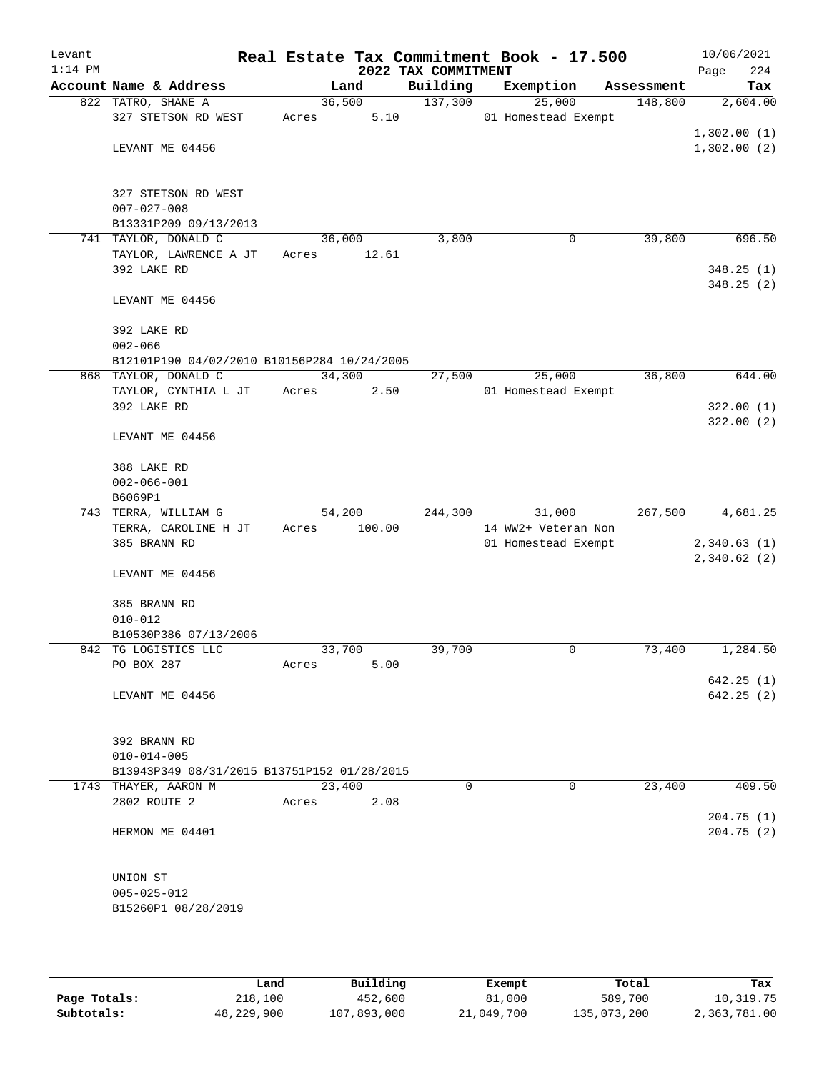| Levant<br>$1:14$ PM |                                             |        |        | 2022 TAX COMMITMENT | Real Estate Tax Commitment Book - 17.500 |            | 10/06/2021<br>Page | 224      |
|---------------------|---------------------------------------------|--------|--------|---------------------|------------------------------------------|------------|--------------------|----------|
|                     | Account Name & Address                      |        | Land   | Building            | Exemption                                | Assessment |                    | Tax      |
|                     | 822 TATRO, SHANE A                          |        | 36,500 | 137,300             | 25,000                                   | 148,800    |                    | 2,604.00 |
|                     | 327 STETSON RD WEST                         | Acres  | 5.10   |                     | 01 Homestead Exempt                      |            |                    |          |
|                     |                                             |        |        |                     |                                          |            | 1,302.00(1)        |          |
|                     | LEVANT ME 04456                             |        |        |                     |                                          |            | 1,302.00(2)        |          |
|                     |                                             |        |        |                     |                                          |            |                    |          |
|                     |                                             |        |        |                     |                                          |            |                    |          |
|                     | 327 STETSON RD WEST<br>$007 - 027 - 008$    |        |        |                     |                                          |            |                    |          |
|                     | B13331P209 09/13/2013                       |        |        |                     |                                          |            |                    |          |
|                     | 741 TAYLOR, DONALD C                        |        | 36,000 | 3,800               | 0                                        | 39,800     |                    | 696.50   |
|                     | TAYLOR, LAWRENCE A JT                       | Acres  | 12.61  |                     |                                          |            |                    |          |
|                     | 392 LAKE RD                                 |        |        |                     |                                          |            | 348.25(1)          |          |
|                     |                                             |        |        |                     |                                          |            | 348.25(2)          |          |
|                     | LEVANT ME 04456                             |        |        |                     |                                          |            |                    |          |
|                     |                                             |        |        |                     |                                          |            |                    |          |
|                     | 392 LAKE RD                                 |        |        |                     |                                          |            |                    |          |
|                     | $002 - 066$                                 |        |        |                     |                                          |            |                    |          |
|                     | B12101P190 04/02/2010 B10156P284 10/24/2005 |        |        |                     |                                          |            |                    |          |
|                     | 868 TAYLOR, DONALD C                        | 34,300 |        | 27,500              | 25,000                                   | 36,800     |                    | 644.00   |
|                     | TAYLOR, CYNTHIA L JT                        | Acres  | 2.50   |                     | 01 Homestead Exempt                      |            |                    |          |
|                     | 392 LAKE RD                                 |        |        |                     |                                          |            | 322.00(1)          |          |
|                     |                                             |        |        |                     |                                          |            | 322.00(2)          |          |
|                     | LEVANT ME 04456                             |        |        |                     |                                          |            |                    |          |
|                     |                                             |        |        |                     |                                          |            |                    |          |
|                     | 388 LAKE RD                                 |        |        |                     |                                          |            |                    |          |
|                     | $002 - 066 - 001$                           |        |        |                     |                                          |            |                    |          |
|                     | B6069P1<br>743 TERRA, WILLIAM G             |        | 54,200 | 244,300             | 31,000                                   | 267,500    |                    | 4,681.25 |
|                     | TERRA, CAROLINE H JT                        | Acres  | 100.00 |                     | 14 WW2+ Veteran Non                      |            |                    |          |
|                     | 385 BRANN RD                                |        |        |                     | 01 Homestead Exempt                      |            | 2,340.63(1)        |          |
|                     |                                             |        |        |                     |                                          |            | 2,340.62(2)        |          |
|                     | LEVANT ME 04456                             |        |        |                     |                                          |            |                    |          |
|                     |                                             |        |        |                     |                                          |            |                    |          |
|                     | 385 BRANN RD                                |        |        |                     |                                          |            |                    |          |
|                     | $010 - 012$                                 |        |        |                     |                                          |            |                    |          |
|                     | B10530P386 07/13/2006                       |        |        |                     |                                          |            |                    |          |
|                     | 842 TG LOGISTICS LLC                        | 33,700 |        | 39,700              | 0                                        | 73,400     |                    | 1,284.50 |
|                     | PO BOX 287                                  | Acres  | 5.00   |                     |                                          |            |                    |          |
|                     |                                             |        |        |                     |                                          |            | 642.25 (1)         |          |
|                     | LEVANT ME 04456                             |        |        |                     |                                          |            | 642.25(2)          |          |
|                     |                                             |        |        |                     |                                          |            |                    |          |
|                     | 392 BRANN RD                                |        |        |                     |                                          |            |                    |          |
|                     | $010 - 014 - 005$                           |        |        |                     |                                          |            |                    |          |
|                     | B13943P349 08/31/2015 B13751P152 01/28/2015 |        |        |                     |                                          |            |                    |          |
|                     | 1743 THAYER, AARON M                        | 23,400 |        | $\Omega$            | $\Omega$                                 | 23,400     |                    | 409.50   |
|                     | 2802 ROUTE 2                                | Acres  | 2.08   |                     |                                          |            |                    |          |
|                     |                                             |        |        |                     |                                          |            | 204.75(1)          |          |
|                     | HERMON ME 04401                             |        |        |                     |                                          |            | 204.75(2)          |          |
|                     |                                             |        |        |                     |                                          |            |                    |          |
|                     |                                             |        |        |                     |                                          |            |                    |          |
|                     | UNION ST                                    |        |        |                     |                                          |            |                    |          |
|                     | $005 - 025 - 012$                           |        |        |                     |                                          |            |                    |          |
|                     | B15260P1 08/28/2019                         |        |        |                     |                                          |            |                    |          |
|                     |                                             |        |        |                     |                                          |            |                    |          |
|                     |                                             |        |        |                     |                                          |            |                    |          |

|              | Land       | Building    | Exempt     | Total       | Tax          |
|--------------|------------|-------------|------------|-------------|--------------|
| Page Totals: | 218,100    | 452,600     | 81,000     | 589,700     | 10,319.75    |
| Subtotals:   | 48,229,900 | 107,893,000 | 21,049,700 | 135,073,200 | 2,363,781.00 |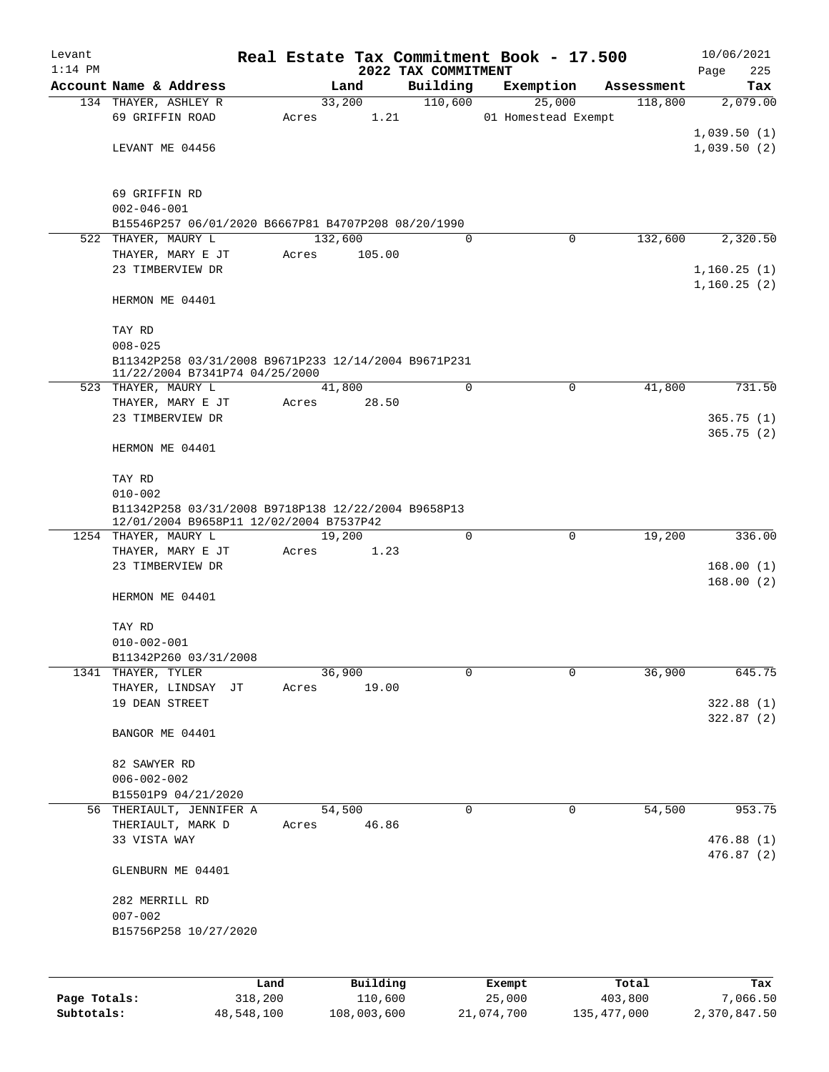| Levant       |                                                                          |         |       |                |          |                                 |             | Real Estate Tax Commitment Book - 17.500 |                       | 10/06/2021      |
|--------------|--------------------------------------------------------------------------|---------|-------|----------------|----------|---------------------------------|-------------|------------------------------------------|-----------------------|-----------------|
| $1:14$ PM    | Account Name & Address                                                   |         |       |                |          | 2022 TAX COMMITMENT<br>Building |             |                                          |                       | Page<br>225     |
|              | 134 THAYER, ASHLEY R                                                     |         |       | Land<br>33,200 |          | 110,600                         |             | Exemption<br>25,000                      | Assessment<br>118,800 | Tax<br>2,079.00 |
|              | 69 GRIFFIN ROAD                                                          |         | Acres |                | 1.21     |                                 |             | 01 Homestead Exempt                      |                       |                 |
|              |                                                                          |         |       |                |          |                                 |             |                                          |                       | 1,039.50(1)     |
|              | LEVANT ME 04456                                                          |         |       |                |          |                                 |             |                                          |                       | 1,039.50(2)     |
|              |                                                                          |         |       |                |          |                                 |             |                                          |                       |                 |
|              |                                                                          |         |       |                |          |                                 |             |                                          |                       |                 |
|              | 69 GRIFFIN RD                                                            |         |       |                |          |                                 |             |                                          |                       |                 |
|              | $002 - 046 - 001$<br>B15546P257 06/01/2020 B6667P81 B4707P208 08/20/1990 |         |       |                |          |                                 |             |                                          |                       |                 |
|              | 522 THAYER, MAURY L                                                      |         |       | 132,600        |          |                                 | $\Omega$    | 0                                        | 132,600               | 2,320.50        |
|              | THAYER, MARY E JT                                                        |         | Acres |                | 105.00   |                                 |             |                                          |                       |                 |
|              | 23 TIMBERVIEW DR                                                         |         |       |                |          |                                 |             |                                          |                       | 1,160.25(1)     |
|              |                                                                          |         |       |                |          |                                 |             |                                          |                       | 1,160.25(2)     |
|              | HERMON ME 04401                                                          |         |       |                |          |                                 |             |                                          |                       |                 |
|              |                                                                          |         |       |                |          |                                 |             |                                          |                       |                 |
|              | TAY RD<br>$008 - 025$                                                    |         |       |                |          |                                 |             |                                          |                       |                 |
|              | B11342P258 03/31/2008 B9671P233 12/14/2004 B9671P231                     |         |       |                |          |                                 |             |                                          |                       |                 |
|              | 11/22/2004 B7341P74 04/25/2000                                           |         |       |                |          |                                 |             |                                          |                       |                 |
|              | 523 THAYER, MAURY L                                                      |         |       | 41,800         |          |                                 | $\mathbf 0$ | $\mathbf 0$                              | 41,800                | 731.50          |
|              | THAYER, MARY E JT                                                        |         | Acres |                | 28.50    |                                 |             |                                          |                       |                 |
|              | 23 TIMBERVIEW DR                                                         |         |       |                |          |                                 |             |                                          |                       | 365.75(1)       |
|              | HERMON ME 04401                                                          |         |       |                |          |                                 |             |                                          |                       | 365.75(2)       |
|              |                                                                          |         |       |                |          |                                 |             |                                          |                       |                 |
|              | TAY RD                                                                   |         |       |                |          |                                 |             |                                          |                       |                 |
|              | $010 - 002$                                                              |         |       |                |          |                                 |             |                                          |                       |                 |
|              | B11342P258 03/31/2008 B9718P138 12/22/2004 B9658P13                      |         |       |                |          |                                 |             |                                          |                       |                 |
|              | 12/01/2004 B9658P11 12/02/2004 B7537P42<br>1254 THAYER, MAURY L          |         |       | 19,200         |          |                                 | $\mathbf 0$ | $\mathbf 0$                              | 19,200                | 336.00          |
|              | THAYER, MARY E JT                                                        |         | Acres |                | 1.23     |                                 |             |                                          |                       |                 |
|              | 23 TIMBERVIEW DR                                                         |         |       |                |          |                                 |             |                                          |                       | 168.00(1)       |
|              |                                                                          |         |       |                |          |                                 |             |                                          |                       | 168.00(2)       |
|              | HERMON ME 04401                                                          |         |       |                |          |                                 |             |                                          |                       |                 |
|              |                                                                          |         |       |                |          |                                 |             |                                          |                       |                 |
|              | TAY RD<br>$010 - 002 - 001$                                              |         |       |                |          |                                 |             |                                          |                       |                 |
|              | B11342P260 03/31/2008                                                    |         |       |                |          |                                 |             |                                          |                       |                 |
|              | 1341 THAYER, TYLER                                                       |         |       | 36,900         |          |                                 | 0           | $\mathbf 0$                              | 36,900                | 645.75          |
|              | THAYER, LINDSAY JT                                                       |         | Acres |                | 19.00    |                                 |             |                                          |                       |                 |
|              | 19 DEAN STREET                                                           |         |       |                |          |                                 |             |                                          |                       | 322.88(1)       |
|              |                                                                          |         |       |                |          |                                 |             |                                          |                       | 322.87(2)       |
|              | BANGOR ME 04401                                                          |         |       |                |          |                                 |             |                                          |                       |                 |
|              | 82 SAWYER RD                                                             |         |       |                |          |                                 |             |                                          |                       |                 |
|              | $006 - 002 - 002$                                                        |         |       |                |          |                                 |             |                                          |                       |                 |
|              | B15501P9 04/21/2020                                                      |         |       |                |          |                                 |             |                                          |                       |                 |
|              | 56 THERIAULT, JENNIFER A                                                 |         |       | 54,500         |          |                                 | $\mathbf 0$ | 0                                        | 54,500                | 953.75          |
|              | THERIAULT, MARK D                                                        |         | Acres |                | 46.86    |                                 |             |                                          |                       |                 |
|              | 33 VISTA WAY                                                             |         |       |                |          |                                 |             |                                          |                       | 476.88(1)       |
|              |                                                                          |         |       |                |          |                                 |             |                                          |                       | 476.87(2)       |
|              | GLENBURN ME 04401                                                        |         |       |                |          |                                 |             |                                          |                       |                 |
|              | 282 MERRILL RD                                                           |         |       |                |          |                                 |             |                                          |                       |                 |
|              | $007 - 002$                                                              |         |       |                |          |                                 |             |                                          |                       |                 |
|              | B15756P258 10/27/2020                                                    |         |       |                |          |                                 |             |                                          |                       |                 |
|              |                                                                          |         |       |                |          |                                 |             |                                          |                       |                 |
|              |                                                                          |         |       |                |          |                                 |             |                                          |                       |                 |
|              |                                                                          | Land    |       |                | Building |                                 |             | Exempt                                   | Total                 | Tax             |
| Page Totals: |                                                                          | 318,200 |       |                | 110,600  |                                 |             | 25,000                                   | 403,800               | 7,066.50        |

**Subtotals:** 48,548,100 108,003,600 21,074,700 135,477,000 2,370,847.50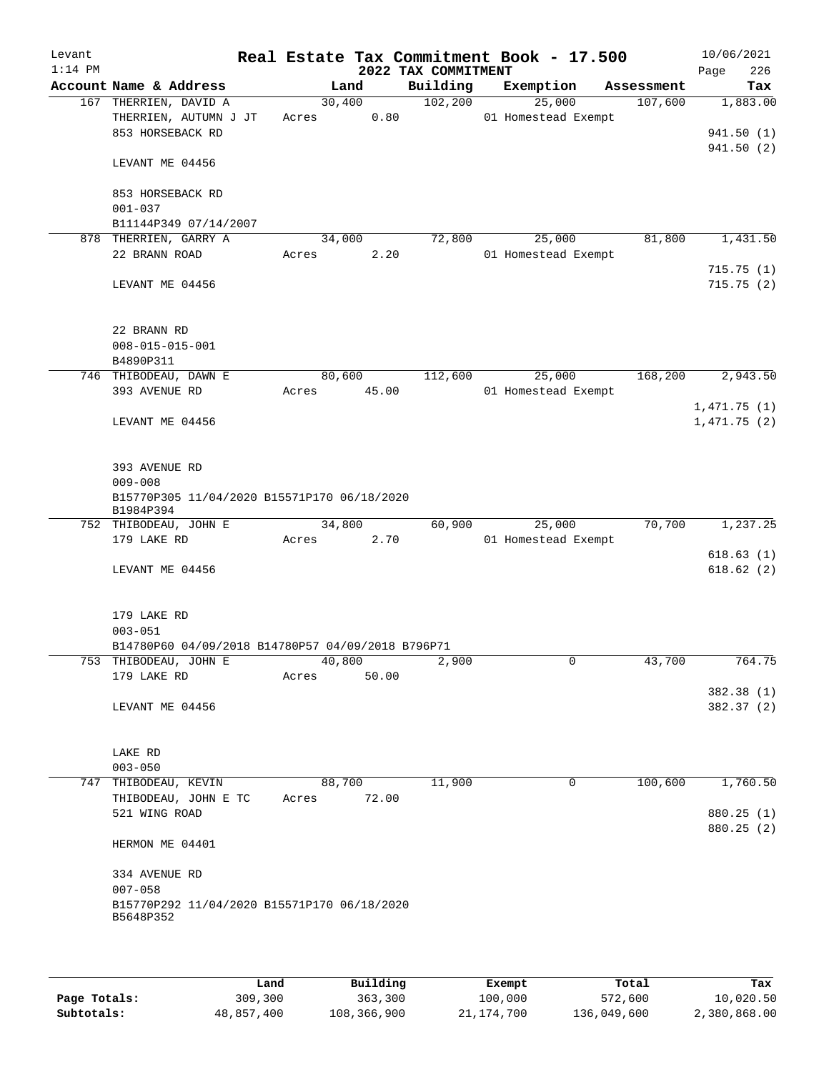| Levant<br>$1:14$ PM |                                                                             |        |       | 2022 TAX COMMITMENT | Real Estate Tax Commitment Book - 17.500 |            | 10/06/2021<br>226<br>Page |
|---------------------|-----------------------------------------------------------------------------|--------|-------|---------------------|------------------------------------------|------------|---------------------------|
|                     | Account Name & Address                                                      |        | Land  | Building            | Exemption                                | Assessment | Tax                       |
|                     | 167 THERRIEN, DAVID A                                                       | 30,400 |       | 102, 200            | 25,000                                   | 107,600    | 1,883.00                  |
|                     | THERRIEN, AUTUMN J JT                                                       | Acres  | 0.80  |                     | 01 Homestead Exempt                      |            |                           |
|                     | 853 HORSEBACK RD                                                            |        |       |                     |                                          |            | 941.50(1)                 |
|                     | LEVANT ME 04456                                                             |        |       |                     |                                          |            | 941.50(2)                 |
|                     | 853 HORSEBACK RD                                                            |        |       |                     |                                          |            |                           |
|                     | $001 - 037$                                                                 |        |       |                     |                                          |            |                           |
|                     | B11144P349 07/14/2007                                                       |        |       |                     |                                          |            |                           |
|                     | 878 THERRIEN, GARRY A                                                       | 34,000 |       | 72,800              | 25,000                                   | 81,800     | 1,431.50                  |
|                     | 22 BRANN ROAD                                                               | Acres  | 2.20  |                     | 01 Homestead Exempt                      |            |                           |
|                     | LEVANT ME 04456                                                             |        |       |                     |                                          |            | 715.75(1)<br>715.75(2)    |
|                     | 22 BRANN RD                                                                 |        |       |                     |                                          |            |                           |
|                     | $008 - 015 - 015 - 001$                                                     |        |       |                     |                                          |            |                           |
|                     | B4890P311                                                                   |        |       |                     |                                          |            |                           |
|                     | 746 THIBODEAU, DAWN E                                                       | 80,600 |       | 112,600             | 25,000                                   | 168,200    | 2,943.50                  |
|                     | 393 AVENUE RD                                                               | Acres  | 45.00 |                     | 01 Homestead Exempt                      |            |                           |
|                     |                                                                             |        |       |                     |                                          |            | 1,471.75(1)               |
|                     | LEVANT ME 04456                                                             |        |       |                     |                                          |            | 1,471.75(2)               |
|                     | 393 AVENUE RD<br>$009 - 008$<br>B15770P305 11/04/2020 B15571P170 06/18/2020 |        |       |                     |                                          |            |                           |
|                     | B1984P394                                                                   |        |       |                     |                                          |            |                           |
|                     | 752 THIBODEAU, JOHN E                                                       | 34,800 |       | 60,900              | 25,000                                   | 70,700     | 1,237.25                  |
|                     | 179 LAKE RD                                                                 | Acres  | 2.70  |                     | 01 Homestead Exempt                      |            |                           |
|                     | LEVANT ME 04456                                                             |        |       |                     |                                          |            | 618.63(1)<br>618.62(2)    |
|                     | 179 LAKE RD                                                                 |        |       |                     |                                          |            |                           |
|                     | $003 - 051$<br>B14780P60 04/09/2018 B14780P57 04/09/2018 B796P71            |        |       |                     |                                          |            |                           |
|                     | 753 THIBODEAU, JOHN E                                                       | 40,800 |       | 2,900               | 0                                        | 43,700     | 764.75                    |
|                     | 179 LAKE RD                                                                 | Acres  | 50.00 |                     |                                          |            |                           |
|                     |                                                                             |        |       |                     |                                          |            | 382.38 (1)                |
|                     | LEVANT ME 04456                                                             |        |       |                     |                                          |            | 382.37 (2)                |
|                     | LAKE RD                                                                     |        |       |                     |                                          |            |                           |
|                     | $003 - 050$                                                                 |        |       |                     |                                          |            |                           |
| 747                 | THIBODEAU, KEVIN                                                            | 88,700 |       | 11,900              | 0                                        | 100,600    | 1,760.50                  |
|                     | THIBODEAU, JOHN E TC                                                        | Acres  | 72.00 |                     |                                          |            |                           |
|                     | 521 WING ROAD                                                               |        |       |                     |                                          |            | 880.25 (1)<br>880.25 (2)  |
|                     | HERMON ME 04401                                                             |        |       |                     |                                          |            |                           |
|                     | 334 AVENUE RD                                                               |        |       |                     |                                          |            |                           |
|                     | $007 - 058$                                                                 |        |       |                     |                                          |            |                           |
|                     | B15770P292 11/04/2020 B15571P170 06/18/2020<br>B5648P352                    |        |       |                     |                                          |            |                           |
|                     |                                                                             |        |       |                     |                                          |            |                           |

|              | Land       | Building    | Exempt     | Total       | Tax          |
|--------------|------------|-------------|------------|-------------|--------------|
| Page Totals: | 309,300    | 363,300     | 100,000    | 572,600     | 10,020.50    |
| Subtotals:   | 48,857,400 | 108,366,900 | 21,174,700 | 136,049,600 | 2,380,868.00 |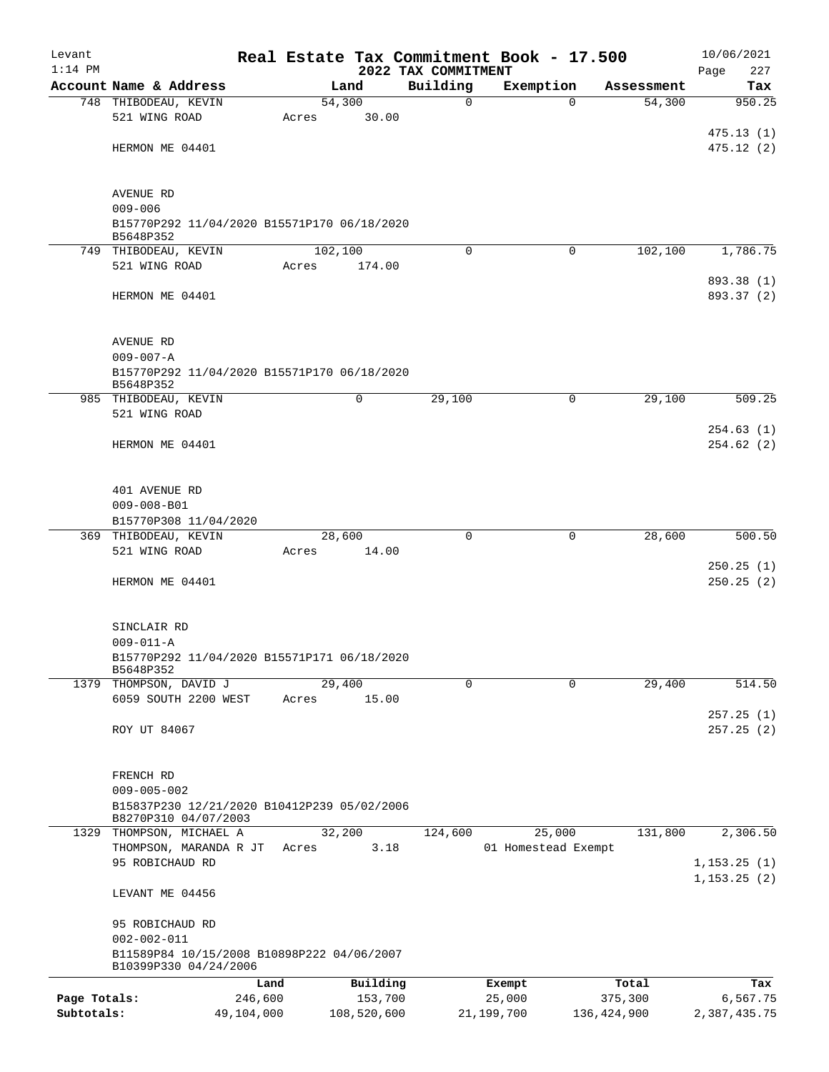| Levant       |                                                                 |            |         |             |                     | Real Estate Tax Commitment Book - 17.500 |                      | 10/06/2021               |
|--------------|-----------------------------------------------------------------|------------|---------|-------------|---------------------|------------------------------------------|----------------------|--------------------------|
| $1:14$ PM    | Account Name & Address                                          |            |         |             | 2022 TAX COMMITMENT |                                          |                      | Page<br>227              |
|              | 748 THIBODEAU, KEVIN                                            |            | 54,300  | Land        | Building<br>0       | Exemption<br>$\Omega$                    | Assessment<br>54,300 | Tax<br>950.25            |
|              | 521 WING ROAD                                                   |            | Acres   | 30.00       |                     |                                          |                      |                          |
|              |                                                                 |            |         |             |                     |                                          |                      | 475.13(1)                |
|              | HERMON ME 04401                                                 |            |         |             |                     |                                          |                      | 475.12(2)                |
|              |                                                                 |            |         |             |                     |                                          |                      |                          |
|              |                                                                 |            |         |             |                     |                                          |                      |                          |
|              | AVENUE RD<br>$009 - 006$                                        |            |         |             |                     |                                          |                      |                          |
|              | B15770P292 11/04/2020 B15571P170 06/18/2020                     |            |         |             |                     |                                          |                      |                          |
|              | B5648P352                                                       |            |         |             |                     |                                          |                      |                          |
|              | 749 THIBODEAU, KEVIN                                            |            | 102,100 |             | $\Omega$            | $\Omega$                                 | 102,100              | 1,786.75                 |
|              | 521 WING ROAD                                                   |            | Acres   | 174.00      |                     |                                          |                      |                          |
|              | HERMON ME 04401                                                 |            |         |             |                     |                                          |                      | 893.38 (1)<br>893.37 (2) |
|              |                                                                 |            |         |             |                     |                                          |                      |                          |
|              |                                                                 |            |         |             |                     |                                          |                      |                          |
|              | <b>AVENUE RD</b>                                                |            |         |             |                     |                                          |                      |                          |
|              | $009 - 007 - A$                                                 |            |         |             |                     |                                          |                      |                          |
|              | B15770P292 11/04/2020 B15571P170 06/18/2020                     |            |         |             |                     |                                          |                      |                          |
|              | B5648P352                                                       |            |         | 0           | 29,100              | $\mathbf 0$                              |                      | 509.25                   |
|              | 985 THIBODEAU, KEVIN<br>521 WING ROAD                           |            |         |             |                     |                                          | 29,100               |                          |
|              |                                                                 |            |         |             |                     |                                          |                      | 254.63(1)                |
|              | HERMON ME 04401                                                 |            |         |             |                     |                                          |                      | 254.62(2)                |
|              |                                                                 |            |         |             |                     |                                          |                      |                          |
|              |                                                                 |            |         |             |                     |                                          |                      |                          |
|              | 401 AVENUE RD                                                   |            |         |             |                     |                                          |                      |                          |
|              | $009 - 008 - B01$                                               |            |         |             |                     |                                          |                      |                          |
|              | B15770P308 11/04/2020<br>369 THIBODEAU, KEVIN                   |            | 28,600  |             | $\mathbf 0$         | 0                                        | 28,600               | 500.50                   |
|              | 521 WING ROAD                                                   |            | Acres   | 14.00       |                     |                                          |                      |                          |
|              |                                                                 |            |         |             |                     |                                          |                      | 250.25(1)                |
|              | HERMON ME 04401                                                 |            |         |             |                     |                                          |                      | 250.25(2)                |
|              |                                                                 |            |         |             |                     |                                          |                      |                          |
|              |                                                                 |            |         |             |                     |                                          |                      |                          |
|              | SINCLAIR RD                                                     |            |         |             |                     |                                          |                      |                          |
|              | $009 - 011 - A$<br>B15770P292 11/04/2020 B15571P171 06/18/2020  |            |         |             |                     |                                          |                      |                          |
|              | B5648P352                                                       |            |         |             |                     |                                          |                      |                          |
|              | 1379 THOMPSON, DAVID J                                          |            | 29,400  |             | $\mathbf 0$         | $\mathbf 0$                              | 29,400               | 514.50                   |
|              | 6059 SOUTH 2200 WEST                                            |            | Acres   | 15.00       |                     |                                          |                      |                          |
|              |                                                                 |            |         |             |                     |                                          |                      | 257.25(1)                |
|              | ROY UT 84067                                                    |            |         |             |                     |                                          |                      | 257.25(2)                |
|              |                                                                 |            |         |             |                     |                                          |                      |                          |
|              | FRENCH RD                                                       |            |         |             |                     |                                          |                      |                          |
|              | $009 - 005 - 002$                                               |            |         |             |                     |                                          |                      |                          |
|              | B15837P230 12/21/2020 B10412P239 05/02/2006                     |            |         |             |                     |                                          |                      |                          |
| 1329         | B8270P310 04/07/2003<br>THOMPSON, MICHAEL A                     |            | 32,200  |             | 124,600             | 25,000                                   | 131,800              | 2,306.50                 |
|              | THOMPSON, MARANDA R JT                                          |            | Acres   | 3.18        |                     | 01 Homestead Exempt                      |                      |                          |
|              | 95 ROBICHAUD RD                                                 |            |         |             |                     |                                          |                      | 1, 153.25(1)             |
|              |                                                                 |            |         |             |                     |                                          |                      | 1, 153.25(2)             |
|              | LEVANT ME 04456                                                 |            |         |             |                     |                                          |                      |                          |
|              |                                                                 |            |         |             |                     |                                          |                      |                          |
|              | 95 ROBICHAUD RD                                                 |            |         |             |                     |                                          |                      |                          |
|              | $002 - 002 - 011$<br>B11589P84 10/15/2008 B10898P222 04/06/2007 |            |         |             |                     |                                          |                      |                          |
|              | B10399P330 04/24/2006                                           |            |         |             |                     |                                          |                      |                          |
|              |                                                                 | Land       |         | Building    |                     | Exempt                                   | Total                | Tax                      |
| Page Totals: |                                                                 | 246,600    |         | 153,700     |                     | 25,000                                   | 375,300              | 6,567.75                 |
| Subtotals:   |                                                                 | 49,104,000 |         | 108,520,600 |                     | 21,199,700                               | 136, 424, 900        | 2,387,435.75             |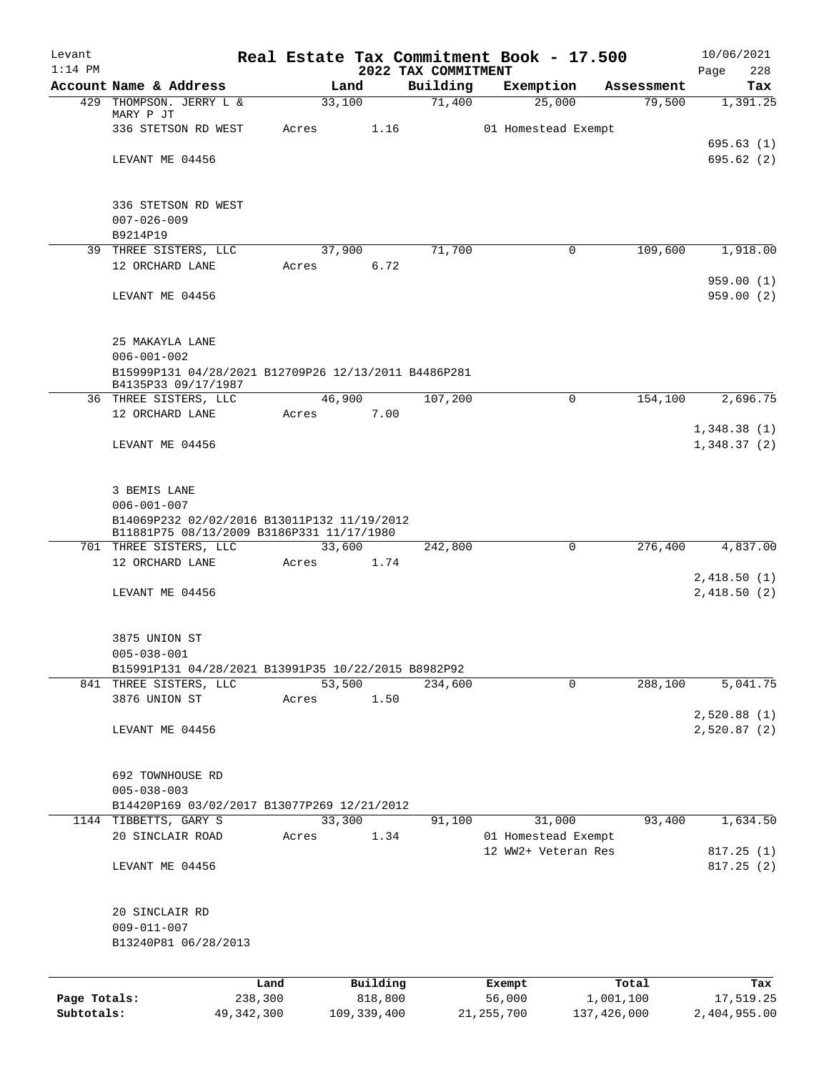| Levant       |                                                                                          |              |        |               |                                 | Real Estate Tax Commitment Book - 17.500 |             | 10/06/2021                 |
|--------------|------------------------------------------------------------------------------------------|--------------|--------|---------------|---------------------------------|------------------------------------------|-------------|----------------------------|
| $1:14$ PM    | Account Name & Address                                                                   |              | Land   |               | 2022 TAX COMMITMENT<br>Building | Exemption                                | Assessment  | 228<br>Page<br>Tax         |
| 429          | THOMPSON. JERRY L &                                                                      |              | 33,100 |               | 71,400                          | 25,000                                   | 79,500      | 1,391.25                   |
|              | MARY P JT                                                                                |              |        |               |                                 |                                          |             |                            |
|              | 336 STETSON RD WEST                                                                      |              | Acres  | 1.16          |                                 | 01 Homestead Exempt                      |             | 695.63(1)                  |
|              | LEVANT ME 04456                                                                          |              |        |               |                                 |                                          |             | 695.62(2)                  |
|              |                                                                                          |              |        |               |                                 |                                          |             |                            |
|              |                                                                                          |              |        |               |                                 |                                          |             |                            |
|              | 336 STETSON RD WEST<br>$007 - 026 - 009$                                                 |              |        |               |                                 |                                          |             |                            |
|              | B9214P19                                                                                 |              |        |               |                                 |                                          |             |                            |
|              | 39 THREE SISTERS, LLC                                                                    |              | 37,900 |               | 71,700                          | 0                                        | 109,600     | 1,918.00                   |
|              | 12 ORCHARD LANE                                                                          |              | Acres  | 6.72          |                                 |                                          |             |                            |
|              |                                                                                          |              |        |               |                                 |                                          |             | 959.00(1)                  |
|              | LEVANT ME 04456                                                                          |              |        |               |                                 |                                          |             | 959.00(2)                  |
|              | 25 MAKAYLA LANE                                                                          |              |        |               |                                 |                                          |             |                            |
|              | $006 - 001 - 002$                                                                        |              |        |               |                                 |                                          |             |                            |
|              | B15999P131 04/28/2021 B12709P26 12/13/2011 B4486P281<br>B4135P33 09/17/1987              |              |        |               |                                 |                                          |             |                            |
|              | 36 THREE SISTERS, LLC                                                                    |              | 46,900 |               | 107,200                         | 0                                        | 154,100     | 2,696.75                   |
|              | 12 ORCHARD LANE                                                                          |              | Acres  | 7.00          |                                 |                                          |             |                            |
|              | LEVANT ME 04456                                                                          |              |        |               |                                 |                                          |             | 1,348.38(1)<br>1,348.37(2) |
|              |                                                                                          |              |        |               |                                 |                                          |             |                            |
|              | 3 BEMIS LANE                                                                             |              |        |               |                                 |                                          |             |                            |
|              | $006 - 001 - 007$                                                                        |              |        |               |                                 |                                          |             |                            |
|              | B14069P232 02/02/2016 B13011P132 11/19/2012<br>B11881P75 08/13/2009 B3186P331 11/17/1980 |              |        |               |                                 |                                          |             |                            |
|              | 701 THREE SISTERS, LLC                                                                   |              | 33,600 |               | 242,800                         | 0                                        | 276,400     | 4,837.00                   |
|              | 12 ORCHARD LANE                                                                          |              | Acres  | 1.74          |                                 |                                          |             |                            |
|              | LEVANT ME 04456                                                                          |              |        |               |                                 |                                          |             | 2,418.50(1)<br>2,418.50(2) |
|              |                                                                                          |              |        |               |                                 |                                          |             |                            |
|              | 3875 UNION ST                                                                            |              |        |               |                                 |                                          |             |                            |
|              | $005 - 038 - 001$                                                                        |              |        |               |                                 |                                          |             |                            |
|              | B15991P131 04/28/2021 B13991P35 10/22/2015 B8982P92                                      |              |        |               |                                 |                                          |             |                            |
|              | 841 THREE SISTERS, LLC                                                                   |              | 53,500 |               | 234,600                         | 0                                        | 288,100     | 5,041.75                   |
|              | 3876 UNION ST                                                                            |              | Acres  | 1.50          |                                 |                                          |             | 2,520.88(1)                |
|              | LEVANT ME 04456                                                                          |              |        |               |                                 |                                          |             | 2,520.87(2)                |
|              |                                                                                          |              |        |               |                                 |                                          |             |                            |
|              | 692 TOWNHOUSE RD                                                                         |              |        |               |                                 |                                          |             |                            |
|              | $005 - 038 - 003$                                                                        |              |        |               |                                 |                                          |             |                            |
|              | B14420P169 03/02/2017 B13077P269 12/21/2012<br>1144 TIBBETTS, GARY S                     |              | 33,300 |               | 91,100                          | 31,000                                   | 93,400      | 1,634.50                   |
|              | 20 SINCLAIR ROAD                                                                         |              | Acres  | 1.34          |                                 | 01 Homestead Exempt                      |             |                            |
|              |                                                                                          |              |        |               |                                 | 12 WW2+ Veteran Res                      |             | 817.25(1)                  |
|              | LEVANT ME 04456                                                                          |              |        |               |                                 |                                          |             | 817.25 (2)                 |
|              |                                                                                          |              |        |               |                                 |                                          |             |                            |
|              | 20 SINCLAIR RD<br>$009 - 011 - 007$                                                      |              |        |               |                                 |                                          |             |                            |
|              | B13240P81 06/28/2013                                                                     |              |        |               |                                 |                                          |             |                            |
|              |                                                                                          |              |        |               |                                 |                                          |             |                            |
|              |                                                                                          | Land         |        | Building      |                                 | Exempt                                   | Total       | Tax                        |
| Page Totals: |                                                                                          | 238,300      |        | 818,800       |                                 | 56,000                                   | 1,001,100   | 17,519.25                  |
| Subtotals:   |                                                                                          | 49, 342, 300 |        | 109, 339, 400 |                                 | 21, 255, 700                             | 137,426,000 | 2,404,955.00               |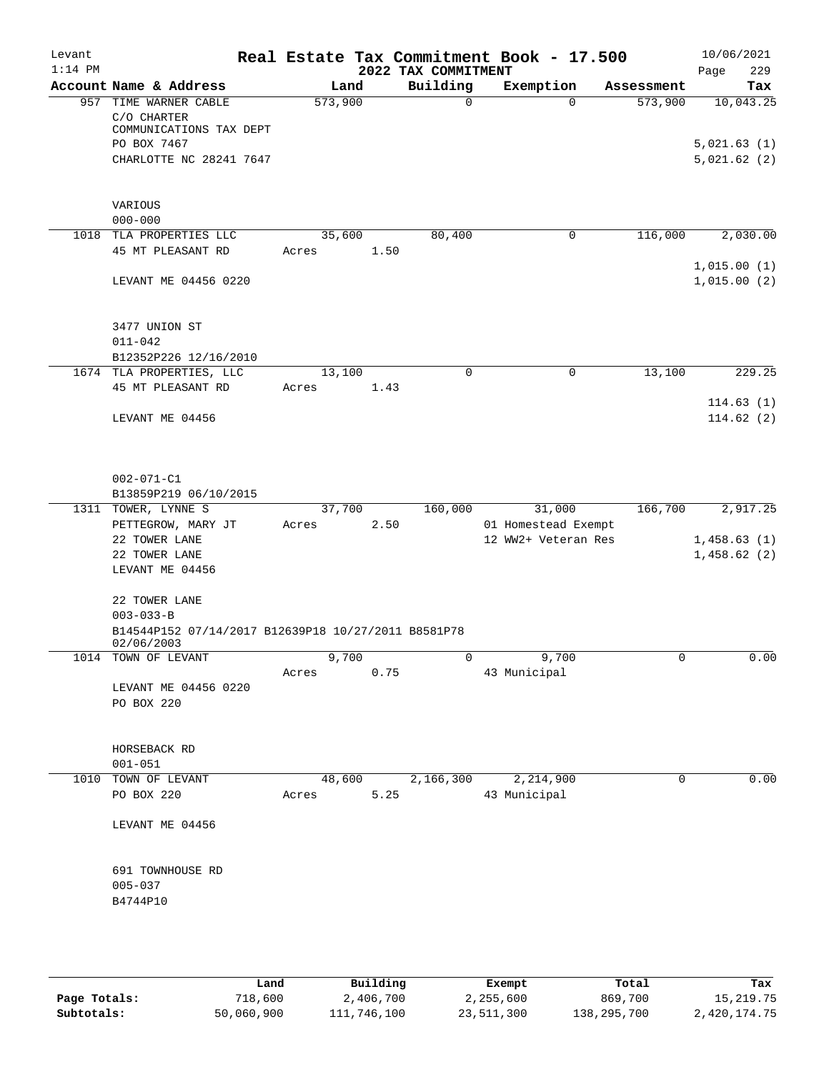| Levant<br>$1:14$ PM |                                                     |         |        | 2022 TAX COMMITMENT | Real Estate Tax Commitment Book - 17.500 |              | 10/06/2021<br>229<br>Page  |
|---------------------|-----------------------------------------------------|---------|--------|---------------------|------------------------------------------|--------------|----------------------------|
|                     | Account Name & Address                              | Land    |        | Building            | Exemption                                | Assessment   | Tax                        |
| 957                 | TIME WARNER CABLE                                   | 573,900 |        | $\mathbf 0$         | $\Omega$                                 | 573,900      | 10,043.25                  |
|                     | C/O CHARTER                                         |         |        |                     |                                          |              |                            |
|                     | COMMUNICATIONS TAX DEPT                             |         |        |                     |                                          |              |                            |
|                     | PO BOX 7467                                         |         |        |                     |                                          |              | 5,021.63(1)                |
|                     | CHARLOTTE NC 28241 7647                             |         |        |                     |                                          |              | 5,021.62(2)                |
|                     |                                                     |         |        |                     |                                          |              |                            |
|                     | VARIOUS                                             |         |        |                     |                                          |              |                            |
|                     | $000 - 000$                                         |         |        |                     |                                          |              |                            |
|                     | 1018 TLA PROPERTIES LLC                             | 35,600  |        | 80,400              | 0                                        | 116,000      | 2,030.00                   |
|                     | 45 MT PLEASANT RD                                   | Acres   | 1.50   |                     |                                          |              |                            |
|                     | LEVANT ME 04456 0220                                |         |        |                     |                                          |              | 1,015.00(1)<br>1,015.00(2) |
|                     |                                                     |         |        |                     |                                          |              |                            |
|                     |                                                     |         |        |                     |                                          |              |                            |
|                     | 3477 UNION ST                                       |         |        |                     |                                          |              |                            |
|                     | $011 - 042$                                         |         |        |                     |                                          |              |                            |
|                     | B12352P226 12/16/2010                               |         |        |                     |                                          |              |                            |
|                     | 1674 TLA PROPERTIES, LLC                            | 13,100  |        | $\mathbf 0$         | 0                                        | 13,100       | 229.25                     |
|                     | 45 MT PLEASANT RD                                   | Acres   | 1.43   |                     |                                          |              | 114.63(1)                  |
|                     | LEVANT ME 04456                                     |         |        |                     |                                          |              | 114.62(2)                  |
|                     |                                                     |         |        |                     |                                          |              |                            |
|                     |                                                     |         |        |                     |                                          |              |                            |
|                     | $002 - 071 - C1$                                    |         |        |                     |                                          |              |                            |
|                     | B13859P219 06/10/2015                               |         |        |                     |                                          |              |                            |
|                     | 1311 TOWER, LYNNE S                                 | 37,700  |        | 160,000             | 31,000                                   | 166,700      | 2,917.25                   |
|                     | PETTEGROW, MARY JT                                  | Acres   | 2.50   |                     | 01 Homestead Exempt                      |              |                            |
|                     | 22 TOWER LANE                                       |         |        |                     | 12 WW2+ Veteran Res                      |              | 1,458.63(1)                |
|                     | 22 TOWER LANE                                       |         |        |                     |                                          |              | 1,458.62(2)                |
|                     | LEVANT ME 04456                                     |         |        |                     |                                          |              |                            |
|                     | 22 TOWER LANE                                       |         |        |                     |                                          |              |                            |
|                     | $003 - 033 - B$                                     |         |        |                     |                                          |              |                            |
|                     | B14544P152 07/14/2017 B12639P18 10/27/2011 B8581P78 |         |        |                     |                                          |              |                            |
|                     | 02/06/2003<br>1014 TOWN OF LEVANT                   | 9,700   |        |                     | 9,700                                    | $\mathbf{0}$ | 0.00                       |
|                     |                                                     | Acres   | 0.75   |                     | 43 Municipal                             |              |                            |
|                     | LEVANT ME 04456 0220                                |         |        |                     |                                          |              |                            |
|                     | PO BOX 220                                          |         |        |                     |                                          |              |                            |
|                     |                                                     |         |        |                     |                                          |              |                            |
|                     |                                                     |         |        |                     |                                          |              |                            |
|                     | HORSEBACK RD                                        |         |        |                     |                                          |              |                            |
|                     | $001 - 051$<br>1010 TOWN OF LEVANT                  |         | 48,600 | 2,166,300           | 2,214,900                                | 0            | 0.00                       |
|                     | PO BOX 220                                          | Acres   | 5.25   |                     | 43 Municipal                             |              |                            |
|                     |                                                     |         |        |                     |                                          |              |                            |
|                     | LEVANT ME 04456                                     |         |        |                     |                                          |              |                            |
|                     |                                                     |         |        |                     |                                          |              |                            |
|                     | 691 TOWNHOUSE RD                                    |         |        |                     |                                          |              |                            |
|                     | $005 - 037$                                         |         |        |                     |                                          |              |                            |
|                     | B4744P10                                            |         |        |                     |                                          |              |                            |
|                     |                                                     |         |        |                     |                                          |              |                            |
|                     |                                                     |         |        |                     |                                          |              |                            |
|                     |                                                     |         |        |                     |                                          |              |                            |

|              | Land       | Building    | Exempt     | Total       | Tax          |
|--------------|------------|-------------|------------|-------------|--------------|
| Page Totals: | 718,600    | 2,406,700   | 2,255,600  | 869,700     | 15,219.75    |
| Subtotals:   | 50,060,900 | 111,746,100 | 23,511,300 | 138,295,700 | 2,420,174.75 |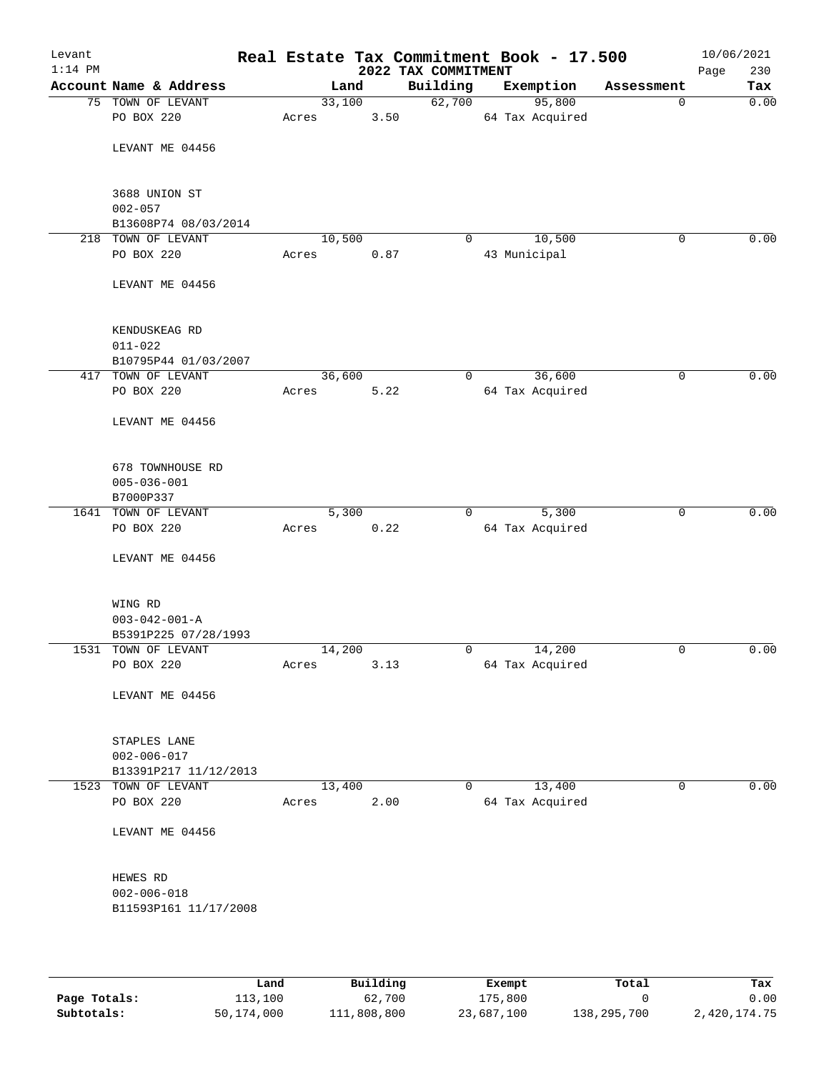| Levant<br>$1:14$ PM |                                                            |       |        | 2022 TAX COMMITMENT | Real Estate Tax Commitment Book - 17.500 |             | 10/06/2021<br>Page<br>230 |
|---------------------|------------------------------------------------------------|-------|--------|---------------------|------------------------------------------|-------------|---------------------------|
|                     | Account Name & Address                                     |       | Land   | Building            | Exemption                                | Assessment  | Tax                       |
|                     | 75 TOWN OF LEVANT                                          |       | 33,100 | 62,700              | 95,800                                   | 0           | 0.00                      |
|                     | PO BOX 220                                                 | Acres | 3.50   |                     | 64 Tax Acquired                          |             |                           |
|                     | LEVANT ME 04456                                            |       |        |                     |                                          |             |                           |
|                     | 3688 UNION ST<br>$002 - 057$                               |       |        |                     |                                          |             |                           |
|                     | B13608P74 08/03/2014                                       |       |        |                     |                                          |             |                           |
|                     | 218 TOWN OF LEVANT                                         |       | 10,500 | 0                   | 10,500                                   | 0           | 0.00                      |
|                     | PO BOX 220                                                 | Acres | 0.87   |                     | 43 Municipal                             |             |                           |
|                     | LEVANT ME 04456                                            |       |        |                     |                                          |             |                           |
|                     | KENDUSKEAG RD<br>$011 - 022$                               |       |        |                     |                                          |             |                           |
|                     | B10795P44 01/03/2007                                       |       |        |                     |                                          |             |                           |
|                     | 417 TOWN OF LEVANT                                         |       | 36,600 | $\mathbf 0$         | 36,600                                   | 0           | 0.00                      |
|                     | PO BOX 220                                                 | Acres | 5.22   |                     | 64 Tax Acquired                          |             |                           |
|                     | LEVANT ME 04456                                            |       |        |                     |                                          |             |                           |
|                     | 678 TOWNHOUSE RD                                           |       |        |                     |                                          |             |                           |
|                     | $005 - 036 - 001$                                          |       |        |                     |                                          |             |                           |
|                     | B7000P337                                                  |       |        |                     |                                          |             |                           |
|                     | 1641 TOWN OF LEVANT                                        |       | 5,300  | $\Omega$            | 5,300                                    | $\mathbf 0$ | 0.00                      |
|                     | PO BOX 220                                                 | Acres | 0.22   |                     | 64 Tax Acquired                          |             |                           |
|                     | LEVANT ME 04456                                            |       |        |                     |                                          |             |                           |
|                     | WING RD<br>$003 - 042 - 001 - A$                           |       |        |                     |                                          |             |                           |
|                     | B5391P225 07/28/1993                                       |       |        |                     |                                          |             |                           |
|                     | 1531 TOWN OF LEVANT                                        |       | 14,200 | 0                   | 14,200                                   | 0           | 0.00                      |
|                     | PO BOX 220                                                 | Acres | 3.13   |                     | 64 Tax Acquired                          |             |                           |
|                     | LEVANT ME 04456                                            |       |        |                     |                                          |             |                           |
|                     | STAPLES LANE<br>$002 - 006 - 017$<br>B13391P217 11/12/2013 |       |        |                     |                                          |             |                           |
|                     | 1523 TOWN OF LEVANT                                        |       | 13,400 | 0                   | 13,400                                   | 0           | 0.00                      |
|                     | PO BOX 220                                                 | Acres | 2.00   |                     | 64 Tax Acquired                          |             |                           |
|                     | LEVANT ME 04456                                            |       |        |                     |                                          |             |                           |
|                     | HEWES RD                                                   |       |        |                     |                                          |             |                           |
|                     | $002 - 006 - 018$<br>B11593P161 11/17/2008                 |       |        |                     |                                          |             |                           |
|                     |                                                            |       |        |                     |                                          |             |                           |

|              | Land       | Building    | Exempt     | Total       | Tax          |
|--------------|------------|-------------|------------|-------------|--------------|
| Page Totals: | 113,100    | 62,700      | 175,800    |             | 0.00         |
| Subtotals:   | 50,174,000 | 111,808,800 | 23,687,100 | 138,295,700 | 2,420,174.75 |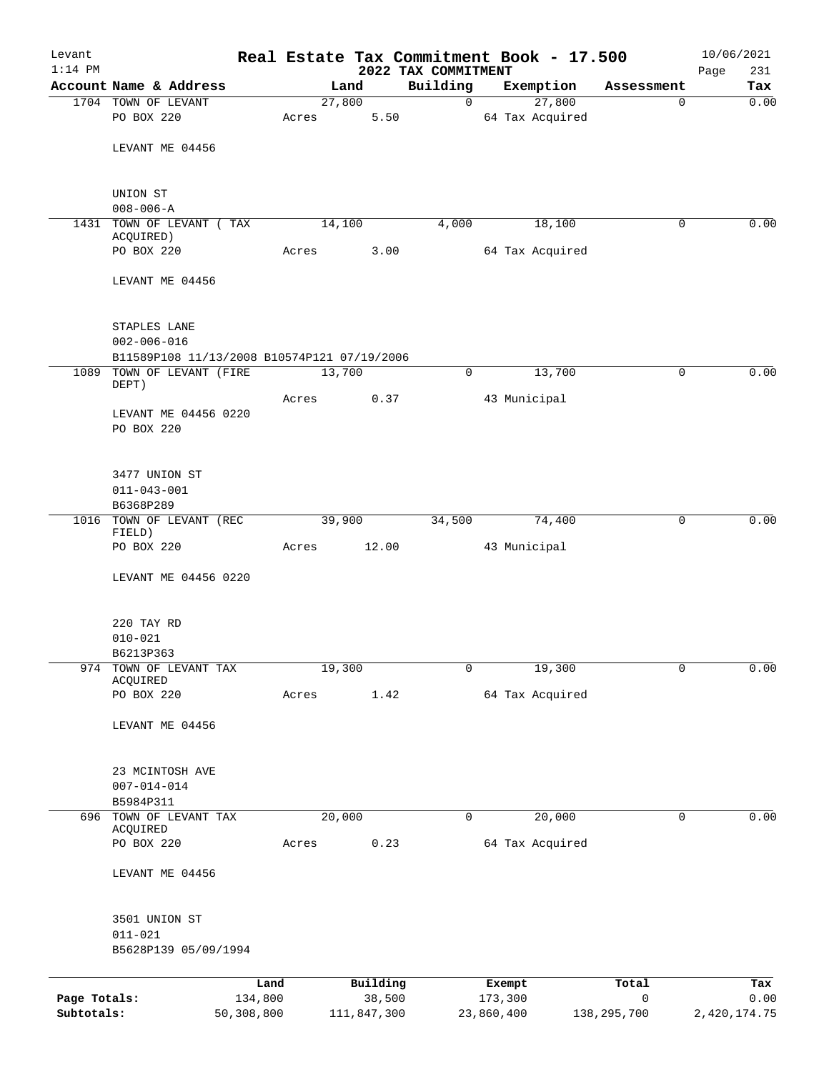| Levant       |                                             |            |       |                | Real Estate Tax Commitment Book - 17.500 |                 |                     |                 | 10/06/2021   |
|--------------|---------------------------------------------|------------|-------|----------------|------------------------------------------|-----------------|---------------------|-----------------|--------------|
| $1:14$ PM    | Account Name & Address                      |            |       |                | 2022 TAX COMMITMENT<br>Building          |                 |                     |                 | 231<br>Page  |
|              | 1704 TOWN OF LEVANT                         |            |       | Land<br>27,800 | 0                                        |                 | Exemption<br>27,800 | Assessment<br>0 | Tax<br>0.00  |
|              | PO BOX 220                                  |            | Acres | 5.50           |                                          | 64 Tax Acquired |                     |                 |              |
|              |                                             |            |       |                |                                          |                 |                     |                 |              |
|              | LEVANT ME 04456                             |            |       |                |                                          |                 |                     |                 |              |
|              |                                             |            |       |                |                                          |                 |                     |                 |              |
|              | UNION ST                                    |            |       |                |                                          |                 |                     |                 |              |
|              | $008 - 006 - A$                             |            |       |                |                                          |                 |                     |                 |              |
|              | 1431 TOWN OF LEVANT (TAX                    |            |       | 14,100         | 4,000                                    |                 | 18,100              | $\Omega$        | 0.00         |
|              | ACQUIRED)<br>PO BOX 220                     |            | Acres | 3.00           |                                          | 64 Tax Acquired |                     |                 |              |
|              |                                             |            |       |                |                                          |                 |                     |                 |              |
|              | LEVANT ME 04456                             |            |       |                |                                          |                 |                     |                 |              |
|              | STAPLES LANE                                |            |       |                |                                          |                 |                     |                 |              |
|              | $002 - 006 - 016$                           |            |       |                |                                          |                 |                     |                 |              |
|              | B11589P108 11/13/2008 B10574P121 07/19/2006 |            |       |                |                                          |                 |                     |                 |              |
| 1089         | TOWN OF LEVANT (FIRE<br>DEPT)               |            |       | 13,700         | $\mathbf 0$                              |                 | 13,700              | 0               | 0.00         |
|              |                                             |            | Acres | 0.37           |                                          | 43 Municipal    |                     |                 |              |
|              | LEVANT ME 04456 0220                        |            |       |                |                                          |                 |                     |                 |              |
|              | PO BOX 220                                  |            |       |                |                                          |                 |                     |                 |              |
|              | 3477 UNION ST                               |            |       |                |                                          |                 |                     |                 |              |
|              | $011 - 043 - 001$                           |            |       |                |                                          |                 |                     |                 |              |
|              | B6368P289<br>1016 TOWN OF LEVANT (REC       |            |       | 39,900         | 34,500                                   |                 | 74,400              | 0               | 0.00         |
|              | FIELD)                                      |            |       |                |                                          |                 |                     |                 |              |
|              | PO BOX 220                                  |            | Acres | 12.00          |                                          | 43 Municipal    |                     |                 |              |
|              | LEVANT ME 04456 0220                        |            |       |                |                                          |                 |                     |                 |              |
|              |                                             |            |       |                |                                          |                 |                     |                 |              |
|              | 220 TAY RD                                  |            |       |                |                                          |                 |                     |                 |              |
|              | $010 - 021$                                 |            |       |                |                                          |                 |                     |                 |              |
|              | B6213P363                                   |            |       |                |                                          |                 |                     |                 |              |
|              | 974 TOWN OF LEVANT TAX<br>ACQUIRED          |            |       | 19,300         | $\mathbf 0$                              |                 | 19,300              | $\mathbf 0$     | 0.00         |
|              | PO BOX 220                                  |            | Acres | 1.42           |                                          | 64 Tax Acquired |                     |                 |              |
|              |                                             |            |       |                |                                          |                 |                     |                 |              |
|              | LEVANT ME 04456                             |            |       |                |                                          |                 |                     |                 |              |
|              | 23 MCINTOSH AVE                             |            |       |                |                                          |                 |                     |                 |              |
|              | $007 - 014 - 014$                           |            |       |                |                                          |                 |                     |                 |              |
|              | B5984P311<br>696 TOWN OF LEVANT TAX         |            |       | 20,000         | $\mathbf 0$                              |                 | 20,000              | $\mathbf 0$     | 0.00         |
|              | ACQUIRED                                    |            |       |                |                                          |                 |                     |                 |              |
|              | PO BOX 220                                  |            | Acres | 0.23           |                                          | 64 Tax Acquired |                     |                 |              |
|              | LEVANT ME 04456                             |            |       |                |                                          |                 |                     |                 |              |
|              |                                             |            |       |                |                                          |                 |                     |                 |              |
|              | 3501 UNION ST                               |            |       |                |                                          |                 |                     |                 |              |
|              | $011 - 021$<br>B5628P139 05/09/1994         |            |       |                |                                          |                 |                     |                 |              |
|              |                                             |            |       |                |                                          |                 |                     |                 |              |
|              |                                             | Land       |       | Building       |                                          | Exempt          |                     | Total           | Tax          |
| Page Totals: |                                             | 134,800    |       | 38,500         |                                          | 173,300         |                     | 0               | 0.00         |
| Subtotals:   |                                             | 50,308,800 |       | 111,847,300    |                                          | 23,860,400      |                     | 138,295,700     | 2,420,174.75 |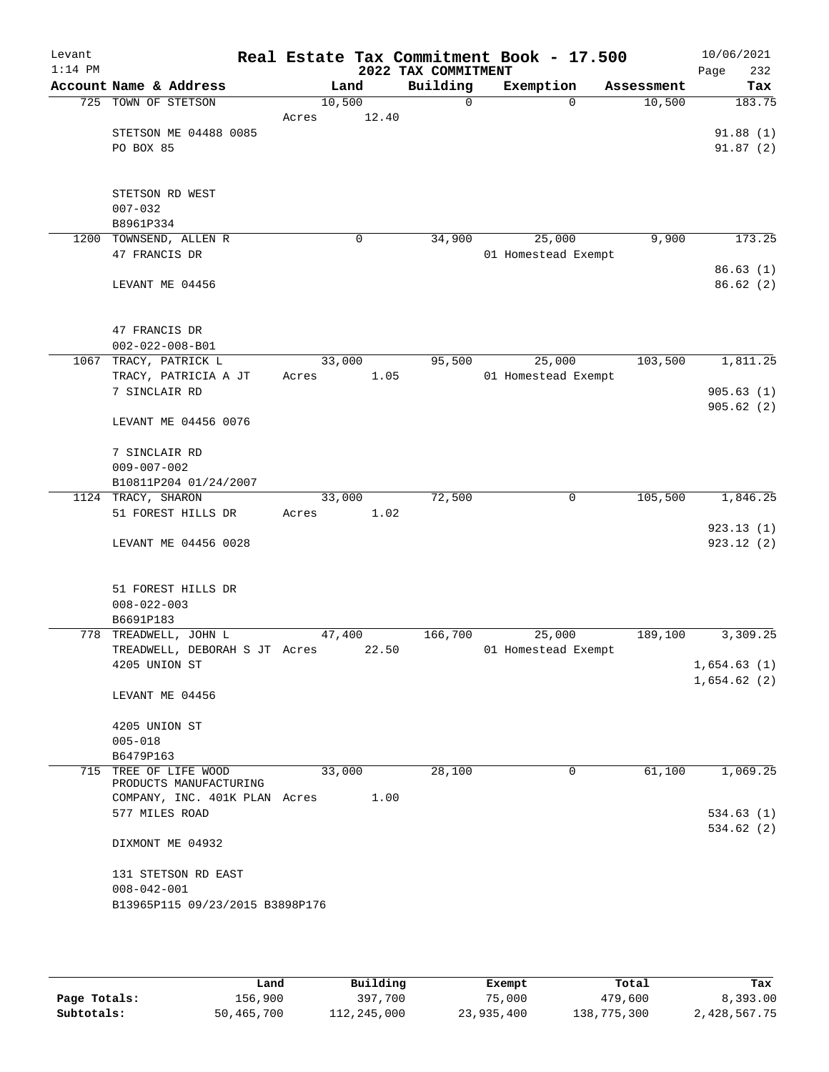| Levant<br>$1:14$ PM |                                       |        |       | Real Estate Tax Commitment Book - 17.500<br>2022 TAX COMMITMENT |                     |            | Page | 10/06/2021<br>232        |
|---------------------|---------------------------------------|--------|-------|-----------------------------------------------------------------|---------------------|------------|------|--------------------------|
|                     | Account Name & Address                | Land   |       | Building                                                        | Exemption           | Assessment |      | Tax                      |
|                     | 725 TOWN OF STETSON                   | 10,500 |       | 0                                                               | $\Omega$            | 10,500     |      | 183.75                   |
|                     |                                       | Acres  | 12.40 |                                                                 |                     |            |      |                          |
|                     | STETSON ME 04488 0085                 |        |       |                                                                 |                     |            |      | 91.88(1)                 |
|                     | PO BOX 85                             |        |       |                                                                 |                     |            |      | 91.87(2)                 |
|                     |                                       |        |       |                                                                 |                     |            |      |                          |
|                     | STETSON RD WEST                       |        |       |                                                                 |                     |            |      |                          |
|                     | $007 - 032$                           |        |       |                                                                 |                     |            |      |                          |
|                     | B8961P334                             |        |       |                                                                 |                     |            |      |                          |
| 1200                | TOWNSEND, ALLEN R                     |        | 0     | 34,900                                                          | 25,000              | 9,900      |      | 173.25                   |
|                     | 47 FRANCIS DR                         |        |       |                                                                 | 01 Homestead Exempt |            |      |                          |
|                     |                                       |        |       |                                                                 |                     |            |      | 86.63(1)                 |
|                     | LEVANT ME 04456                       |        |       |                                                                 |                     |            |      | 86.62 (2)                |
|                     |                                       |        |       |                                                                 |                     |            |      |                          |
|                     |                                       |        |       |                                                                 |                     |            |      |                          |
|                     | 47 FRANCIS DR                         |        |       |                                                                 |                     |            |      |                          |
|                     | $002 - 022 - 008 - B01$               |        |       |                                                                 |                     |            |      |                          |
|                     | 1067 TRACY, PATRICK L                 | 33,000 | 1.05  | 95,500                                                          | 25,000              | 103,500    |      | 1,811.25                 |
|                     | TRACY, PATRICIA A JT<br>7 SINCLAIR RD | Acres  |       |                                                                 | 01 Homestead Exempt |            |      | 905.63(1)                |
|                     |                                       |        |       |                                                                 |                     |            |      | 905.62(2)                |
|                     | LEVANT ME 04456 0076                  |        |       |                                                                 |                     |            |      |                          |
|                     |                                       |        |       |                                                                 |                     |            |      |                          |
|                     | 7 SINCLAIR RD                         |        |       |                                                                 |                     |            |      |                          |
|                     | $009 - 007 - 002$                     |        |       |                                                                 |                     |            |      |                          |
|                     | B10811P204 01/24/2007                 |        |       |                                                                 |                     |            |      |                          |
| 1124                | TRACY, SHARON                         | 33,000 |       | 72,500                                                          | 0                   | 105,500    |      | 1,846.25                 |
|                     | 51 FOREST HILLS DR                    | Acres  | 1.02  |                                                                 |                     |            |      |                          |
|                     | LEVANT ME 04456 0028                  |        |       |                                                                 |                     |            |      | 923.13 (1)<br>923.12 (2) |
|                     |                                       |        |       |                                                                 |                     |            |      |                          |
|                     |                                       |        |       |                                                                 |                     |            |      |                          |
|                     | 51 FOREST HILLS DR                    |        |       |                                                                 |                     |            |      |                          |
|                     | $008 - 022 - 003$                     |        |       |                                                                 |                     |            |      |                          |
|                     | B6691P183                             |        |       |                                                                 |                     |            |      |                          |
|                     | 778 TREADWELL, JOHN L                 | 47,400 |       | 166,700                                                         | 25,000              | 189,100    |      | 3,309.25                 |
|                     | TREADWELL, DEBORAH S JT Acres         |        | 22.50 |                                                                 | 01 Homestead Exempt |            |      |                          |
|                     | 4205 UNION ST                         |        |       |                                                                 |                     |            |      | 1,654.63(1)              |
|                     | LEVANT ME 04456                       |        |       |                                                                 |                     |            |      | 1,654.62(2)              |
|                     |                                       |        |       |                                                                 |                     |            |      |                          |
|                     | 4205 UNION ST                         |        |       |                                                                 |                     |            |      |                          |
|                     | $005 - 018$                           |        |       |                                                                 |                     |            |      |                          |
|                     | B6479P163                             |        |       |                                                                 |                     |            |      |                          |
|                     | 715 TREE OF LIFE WOOD                 | 33,000 |       | 28,100                                                          | 0                   | 61,100     |      | 1,069.25                 |
|                     | PRODUCTS MANUFACTURING                |        |       |                                                                 |                     |            |      |                          |
|                     | COMPANY, INC. 401K PLAN Acres         |        | 1.00  |                                                                 |                     |            |      |                          |
|                     | 577 MILES ROAD                        |        |       |                                                                 |                     |            |      | 534.63(1)<br>534.62 (2)  |
|                     | DIXMONT ME 04932                      |        |       |                                                                 |                     |            |      |                          |
|                     |                                       |        |       |                                                                 |                     |            |      |                          |
|                     | 131 STETSON RD EAST                   |        |       |                                                                 |                     |            |      |                          |
|                     | $008 - 042 - 001$                     |        |       |                                                                 |                     |            |      |                          |
|                     | B13965P115 09/23/2015 B3898P176       |        |       |                                                                 |                     |            |      |                          |
|                     |                                       |        |       |                                                                 |                     |            |      |                          |
|                     |                                       |        |       |                                                                 |                     |            |      |                          |

|              | Land       | Building    | Exempt     | Total       | Tax          |
|--------------|------------|-------------|------------|-------------|--------------|
| Page Totals: | 156,900    | 397,700     | 75,000     | 479,600     | 8,393.00     |
| Subtotals:   | 50,465,700 | 112,245,000 | 23,935,400 | 138,775,300 | 2,428,567.75 |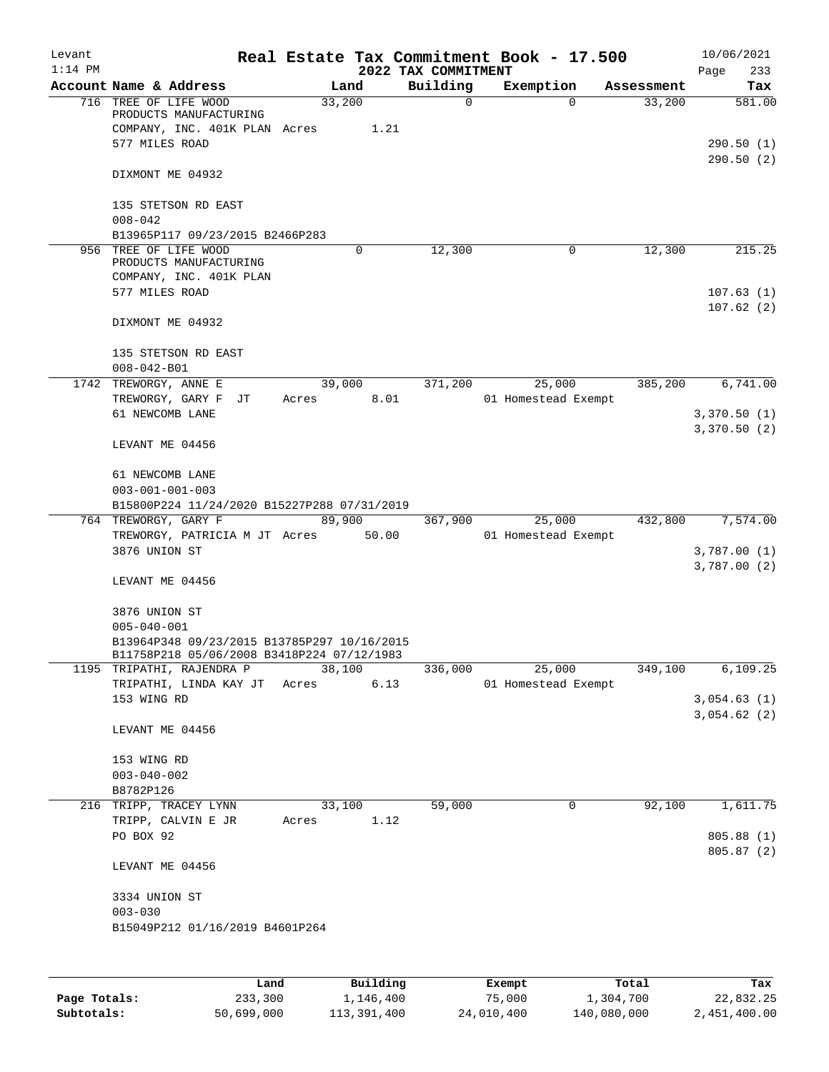| Levant<br>$1:14$ PM |                                                                                                                        |        |                     | 2022 TAX COMMITMENT | Real Estate Tax Commitment Book - 17.500 |            | 10/06/2021<br>Page<br>233 |
|---------------------|------------------------------------------------------------------------------------------------------------------------|--------|---------------------|---------------------|------------------------------------------|------------|---------------------------|
|                     | Account Name & Address                                                                                                 | Land   |                     | Building            | Exemption                                | Assessment | Tax                       |
|                     | 716 TREE OF LIFE WOOD<br>PRODUCTS MANUFACTURING<br>COMPANY, INC. 401K PLAN Acres<br>577 MILES ROAD                     | 33,200 | 1.21                | 0                   | $\Omega$                                 | 33,200     | 581.00<br>290.50 (1)      |
|                     | DIXMONT ME 04932                                                                                                       |        |                     |                     |                                          |            | 290.50(2)                 |
|                     | 135 STETSON RD EAST<br>$008 - 042$                                                                                     |        |                     |                     |                                          |            |                           |
|                     | B13965P117 09/23/2015 B2466P283                                                                                        |        |                     |                     |                                          |            |                           |
|                     | 956 TREE OF LIFE WOOD<br>PRODUCTS MANUFACTURING<br>COMPANY, INC. 401K PLAN                                             |        | 0                   | 12,300              | 0                                        | 12,300     | 215.25                    |
|                     | 577 MILES ROAD                                                                                                         |        |                     |                     |                                          |            | 107.63(1)<br>107.62(2)    |
|                     | DIXMONT ME 04932                                                                                                       |        |                     |                     |                                          |            |                           |
|                     | 135 STETSON RD EAST<br>$008 - 042 - B01$                                                                               |        |                     |                     |                                          |            |                           |
|                     | 1742 TREWORGY, ANNE E                                                                                                  | 39,000 |                     | 371,200             | 25,000                                   | 385,200    | 6,741.00                  |
|                     | TREWORGY, GARY F JT<br>61 NEWCOMB LANE                                                                                 | Acres  | 8.01                |                     | 01 Homestead Exempt                      |            | 3,370.50(1)               |
|                     | LEVANT ME 04456                                                                                                        |        |                     |                     |                                          |            | 3,370.50(2)               |
|                     | 61 NEWCOMB LANE                                                                                                        |        |                     |                     |                                          |            |                           |
|                     | $003 - 001 - 001 - 003$                                                                                                |        |                     |                     |                                          |            |                           |
|                     | B15800P224 11/24/2020 B15227P288 07/31/2019<br>764 TREWORGY, GARY F                                                    | 89,900 |                     | 367,900             | 25,000                                   | 432,800    | 7,574.00                  |
|                     | TREWORGY, PATRICIA M JT Acres                                                                                          |        | 50.00               |                     | 01 Homestead Exempt                      |            |                           |
|                     | 3876 UNION ST                                                                                                          |        |                     |                     |                                          |            | 3,787.00(1)               |
|                     |                                                                                                                        |        |                     |                     |                                          |            | 3,787.00(2)               |
|                     | LEVANT ME 04456                                                                                                        |        |                     |                     |                                          |            |                           |
|                     | 3876 UNION ST                                                                                                          |        |                     |                     |                                          |            |                           |
|                     | $005 - 040 - 001$                                                                                                      |        |                     |                     |                                          |            |                           |
|                     | B13964P348 09/23/2015 B13785P297 10/16/2015<br>B11758P218 05/06/2008 B3418P224 07/12/1983<br>1195 TRIPATHI, RAJENDRA P |        | $3\overline{8,100}$ | 336,000             | 25,000                                   | 349,100    | 6,109.25                  |
|                     | TRIPATHI, LINDA KAY JT Acres 6.13                                                                                      |        |                     |                     | 01 Homestead Exempt                      |            |                           |
|                     | 153 WING RD                                                                                                            |        |                     |                     |                                          |            | 3,054.63(1)               |
|                     | LEVANT ME 04456                                                                                                        |        |                     |                     |                                          |            | 3,054.62(2)               |
|                     | 153 WING RD                                                                                                            |        |                     |                     |                                          |            |                           |
|                     | $003 - 040 - 002$                                                                                                      |        |                     |                     |                                          |            |                           |
|                     | B8782P126                                                                                                              |        |                     |                     |                                          |            |                           |
|                     | 216 TRIPP, TRACEY LYNN                                                                                                 |        | 33,100              | 59,000              | 0                                        | 92,100     | 1,611.75                  |
|                     | TRIPP, CALVIN E JR                                                                                                     | Acres  | 1.12                |                     |                                          |            |                           |
|                     | PO BOX 92                                                                                                              |        |                     |                     |                                          |            | 805.88 (1)<br>805.87 (2)  |
|                     | LEVANT ME 04456                                                                                                        |        |                     |                     |                                          |            |                           |
|                     | 3334 UNION ST<br>$003 - 030$                                                                                           |        |                     |                     |                                          |            |                           |
|                     | B15049P212 01/16/2019 B4601P264                                                                                        |        |                     |                     |                                          |            |                           |
|                     |                                                                                                                        |        |                     |                     |                                          |            |                           |
|                     |                                                                                                                        |        |                     |                     |                                          |            |                           |

|              | Land       | Building    | Exempt     | Total       | Tax          |
|--------------|------------|-------------|------------|-------------|--------------|
| Page Totals: | 233,300    | 1,146,400   | 75,000     | 1,304,700   | 22,832.25    |
| Subtotals:   | 50,699,000 | 113,391,400 | 24,010,400 | 140,080,000 | 2,451,400.00 |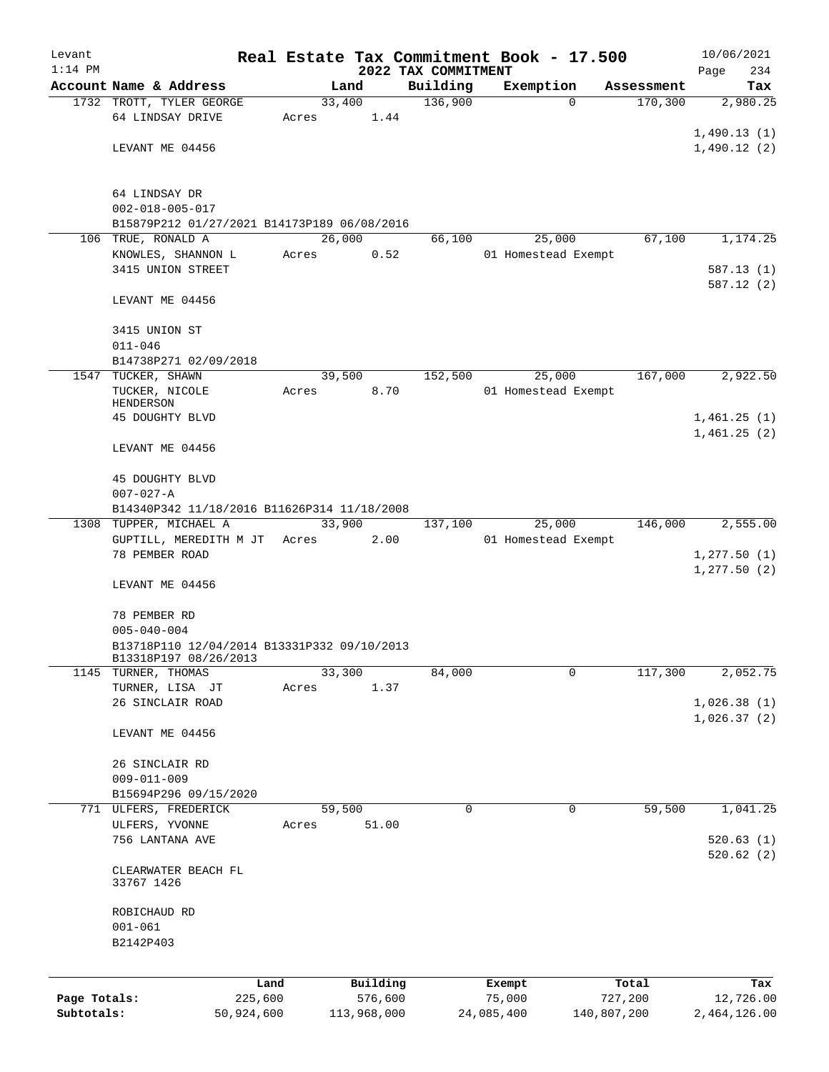| Levant       |                                             |            |        |             |                     |            | Real Estate Tax Commitment Book - 17.500 |             | 10/06/2021             |
|--------------|---------------------------------------------|------------|--------|-------------|---------------------|------------|------------------------------------------|-------------|------------------------|
| $1:14$ PM    |                                             |            |        |             | 2022 TAX COMMITMENT |            |                                          |             | Page<br>234            |
|              | Account Name & Address                      |            |        | Land        | Building            |            | Exemption                                | Assessment  | Tax                    |
|              | 1732 TROTT, TYLER GEORGE                    |            | 33,400 |             | 136,900             |            | $\Omega$                                 | 170,300     | 2,980.25               |
|              | 64 LINDSAY DRIVE                            | Acres      |        | 1.44        |                     |            |                                          |             |                        |
|              | LEVANT ME 04456                             |            |        |             |                     |            |                                          |             | 1,490.13(1)            |
|              |                                             |            |        |             |                     |            |                                          |             | 1,490.12(2)            |
|              |                                             |            |        |             |                     |            |                                          |             |                        |
|              | 64 LINDSAY DR                               |            |        |             |                     |            |                                          |             |                        |
|              | $002 - 018 - 005 - 017$                     |            |        |             |                     |            |                                          |             |                        |
|              | B15879P212 01/27/2021 B14173P189 06/08/2016 |            |        |             |                     |            |                                          |             |                        |
|              | 106 TRUE, RONALD A                          |            | 26,000 |             | 66,100              |            | 25,000                                   | 67,100      | 1,174.25               |
|              | KNOWLES, SHANNON L                          | Acres      |        | 0.52        |                     |            | 01 Homestead Exempt                      |             |                        |
|              | 3415 UNION STREET                           |            |        |             |                     |            |                                          |             | 587.13(1)              |
|              |                                             |            |        |             |                     |            |                                          |             | 587.12(2)              |
|              | LEVANT ME 04456                             |            |        |             |                     |            |                                          |             |                        |
|              |                                             |            |        |             |                     |            |                                          |             |                        |
|              | 3415 UNION ST                               |            |        |             |                     |            |                                          |             |                        |
|              | $011 - 046$                                 |            |        |             |                     |            |                                          |             |                        |
|              | B14738P271 02/09/2018                       |            |        |             |                     |            |                                          |             |                        |
|              | 1547 TUCKER, SHAWN                          |            | 39,500 |             | 152,500             |            | 25,000                                   | 167,000     | 2,922.50               |
|              | TUCKER, NICOLE<br>HENDERSON                 | Acres      |        | 8.70        |                     |            | 01 Homestead Exempt                      |             |                        |
|              | 45 DOUGHTY BLVD                             |            |        |             |                     |            |                                          |             | 1,461.25(1)            |
|              |                                             |            |        |             |                     |            |                                          |             | 1,461.25(2)            |
|              | LEVANT ME 04456                             |            |        |             |                     |            |                                          |             |                        |
|              |                                             |            |        |             |                     |            |                                          |             |                        |
|              | 45 DOUGHTY BLVD                             |            |        |             |                     |            |                                          |             |                        |
|              | $007 - 027 - A$                             |            |        |             |                     |            |                                          |             |                        |
|              | B14340P342 11/18/2016 B11626P314 11/18/2008 |            |        |             |                     |            |                                          |             |                        |
| 1308         | TUPPER, MICHAEL A                           |            | 33,900 |             | 137,100             |            | 25,000                                   | 146,000     | 2,555.00               |
|              | GUPTILL, MEREDITH M JT                      | Acres      |        | 2.00        |                     |            | 01 Homestead Exempt                      |             |                        |
|              | 78 PEMBER ROAD                              |            |        |             |                     |            |                                          |             | 1, 277.50(1)           |
|              |                                             |            |        |             |                     |            |                                          |             | 1, 277.50(2)           |
|              | LEVANT ME 04456                             |            |        |             |                     |            |                                          |             |                        |
|              |                                             |            |        |             |                     |            |                                          |             |                        |
|              | 78 PEMBER RD<br>$005 - 040 - 004$           |            |        |             |                     |            |                                          |             |                        |
|              | B13718P110 12/04/2014 B13331P332 09/10/2013 |            |        |             |                     |            |                                          |             |                        |
|              | B13318P197 08/26/2013                       |            |        |             |                     |            |                                          |             |                        |
| 1145         | TURNER, THOMAS                              |            | 33,300 |             | 84,000              |            | 0                                        | 117,300     | 2,052.75               |
|              | TURNER, LISA JT                             | Acres      |        | 1.37        |                     |            |                                          |             |                        |
|              | 26 SINCLAIR ROAD                            |            |        |             |                     |            |                                          |             | 1,026.38(1)            |
|              |                                             |            |        |             |                     |            |                                          |             | 1,026.37(2)            |
|              | LEVANT ME 04456                             |            |        |             |                     |            |                                          |             |                        |
|              |                                             |            |        |             |                     |            |                                          |             |                        |
|              | 26 SINCLAIR RD                              |            |        |             |                     |            |                                          |             |                        |
|              | $009 - 011 - 009$                           |            |        |             |                     |            |                                          |             |                        |
|              | B15694P296 09/15/2020                       |            |        |             |                     |            |                                          |             |                        |
|              | 771 ULFERS, FREDERICK                       |            | 59,500 |             | 0                   |            | $\mathsf{O}$                             | 59,500      | 1,041.25               |
|              | ULFERS, YVONNE                              | Acres      |        | 51.00       |                     |            |                                          |             |                        |
|              | 756 LANTANA AVE                             |            |        |             |                     |            |                                          |             | 520.63(1)<br>520.62(2) |
|              | CLEARWATER BEACH FL                         |            |        |             |                     |            |                                          |             |                        |
|              | 33767 1426                                  |            |        |             |                     |            |                                          |             |                        |
|              |                                             |            |        |             |                     |            |                                          |             |                        |
|              | ROBICHAUD RD                                |            |        |             |                     |            |                                          |             |                        |
|              | $001 - 061$                                 |            |        |             |                     |            |                                          |             |                        |
|              | B2142P403                                   |            |        |             |                     |            |                                          |             |                        |
|              |                                             |            |        |             |                     |            |                                          |             |                        |
|              |                                             | Land       |        | Building    |                     | Exempt     |                                          | Total       | Tax                    |
| Page Totals: |                                             | 225,600    |        | 576,600     |                     | 75,000     |                                          | 727,200     | 12,726.00              |
| Subtotals:   |                                             | 50,924,600 |        | 113,968,000 |                     | 24,085,400 |                                          | 140,807,200 | 2,464,126.00           |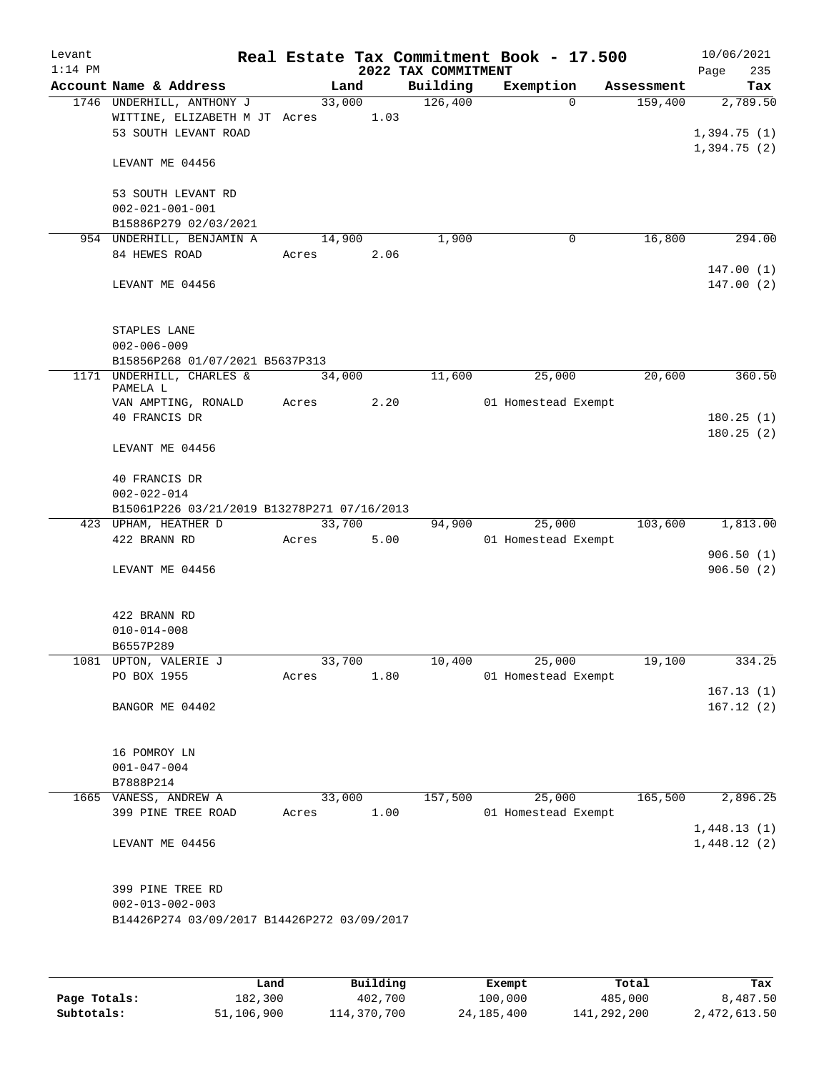| Levant    |                                                            |                 |      |                     | Real Estate Tax Commitment Book - 17.500 |            | 10/06/2021                 |
|-----------|------------------------------------------------------------|-----------------|------|---------------------|------------------------------------------|------------|----------------------------|
| $1:14$ PM |                                                            |                 |      | 2022 TAX COMMITMENT |                                          |            | 235<br>Page                |
|           | Account Name & Address                                     |                 | Land | Building            | Exemption                                | Assessment | Tax                        |
|           | 1746 UNDERHILL, ANTHONY J<br>WITTINE, ELIZABETH M JT Acres | 33,000          | 1.03 | 126,400             | $\Omega$                                 | 159,400    | 2,789.50                   |
|           | 53 SOUTH LEVANT ROAD                                       |                 |      |                     |                                          |            | 1,394.75(1)                |
|           |                                                            |                 |      |                     |                                          |            | 1,394.75(2)                |
|           | LEVANT ME 04456                                            |                 |      |                     |                                          |            |                            |
|           |                                                            |                 |      |                     |                                          |            |                            |
|           | 53 SOUTH LEVANT RD                                         |                 |      |                     |                                          |            |                            |
|           | $002 - 021 - 001 - 001$<br>B15886P279 02/03/2021           |                 |      |                     |                                          |            |                            |
|           | 954 UNDERHILL, BENJAMIN A                                  | 14,900          |      | 1,900               | 0                                        | 16,800     | 294.00                     |
|           | 84 HEWES ROAD                                              | Acres           | 2.06 |                     |                                          |            |                            |
|           |                                                            |                 |      |                     |                                          |            | 147.00(1)                  |
|           | LEVANT ME 04456                                            |                 |      |                     |                                          |            | 147.00(2)                  |
|           |                                                            |                 |      |                     |                                          |            |                            |
|           |                                                            |                 |      |                     |                                          |            |                            |
|           | STAPLES LANE<br>$002 - 006 - 009$                          |                 |      |                     |                                          |            |                            |
|           | B15856P268 01/07/2021 B5637P313                            |                 |      |                     |                                          |            |                            |
|           | 1171 UNDERHILL, CHARLES &                                  | 34,000          |      | 11,600              | 25,000                                   | 20,600     | 360.50                     |
|           | PAMELA L                                                   |                 |      |                     |                                          |            |                            |
|           | VAN AMPTING, RONALD                                        | Acres           | 2.20 |                     | 01 Homestead Exempt                      |            |                            |
|           | 40 FRANCIS DR                                              |                 |      |                     |                                          |            | 180.25(1)<br>180.25(2)     |
|           | LEVANT ME 04456                                            |                 |      |                     |                                          |            |                            |
|           |                                                            |                 |      |                     |                                          |            |                            |
|           | 40 FRANCIS DR                                              |                 |      |                     |                                          |            |                            |
|           | $002 - 022 - 014$                                          |                 |      |                     |                                          |            |                            |
|           | B15061P226 03/21/2019 B13278P271 07/16/2013                |                 |      |                     |                                          |            |                            |
|           | 423 UPHAM, HEATHER D<br>422 BRANN RD                       | 33,700<br>Acres | 5.00 | 94,900              | 25,000<br>01 Homestead Exempt            | 103,600    | 1,813.00                   |
|           |                                                            |                 |      |                     |                                          |            | 906.50(1)                  |
|           | LEVANT ME 04456                                            |                 |      |                     |                                          |            | 906.50(2)                  |
|           |                                                            |                 |      |                     |                                          |            |                            |
|           |                                                            |                 |      |                     |                                          |            |                            |
|           | 422 BRANN RD<br>$010 - 014 - 008$                          |                 |      |                     |                                          |            |                            |
|           | B6557P289                                                  |                 |      |                     |                                          |            |                            |
|           | 1081 UPTON, VALERIE J                                      | 33,700          |      | 10,400              | 25,000                                   | 19,100     | 334.25                     |
|           | PO BOX 1955                                                | Acres           | 1.80 |                     | 01 Homestead Exempt                      |            |                            |
|           |                                                            |                 |      |                     |                                          |            | 167.13(1)                  |
|           | BANGOR ME 04402                                            |                 |      |                     |                                          |            | 167.12(2)                  |
|           |                                                            |                 |      |                     |                                          |            |                            |
|           | 16 POMROY LN                                               |                 |      |                     |                                          |            |                            |
|           | $001 - 047 - 004$                                          |                 |      |                     |                                          |            |                            |
|           | B7888P214                                                  |                 |      |                     |                                          |            |                            |
|           | 1665 VANESS, ANDREW A                                      | 33,000          |      | 157,500             | 25,000                                   | 165,500    | 2,896.25                   |
|           | 399 PINE TREE ROAD                                         | Acres           | 1.00 |                     | 01 Homestead Exempt                      |            |                            |
|           |                                                            |                 |      |                     |                                          |            | 1,448.13(1)<br>1,448.12(2) |
|           | LEVANT ME 04456                                            |                 |      |                     |                                          |            |                            |
|           |                                                            |                 |      |                     |                                          |            |                            |
|           | 399 PINE TREE RD                                           |                 |      |                     |                                          |            |                            |
|           | $002 - 013 - 002 - 003$                                    |                 |      |                     |                                          |            |                            |
|           | B14426P274 03/09/2017 B14426P272 03/09/2017                |                 |      |                     |                                          |            |                            |
|           |                                                            |                 |      |                     |                                          |            |                            |
|           |                                                            |                 |      |                     |                                          |            |                            |

|              | Land       | Building    | Exempt       | Total       | Tax          |
|--------------|------------|-------------|--------------|-------------|--------------|
| Page Totals: | 182,300    | 402,700     | 100,000      | 485,000     | 8,487.50     |
| Subtotals:   | 51,106,900 | 114,370,700 | 24, 185, 400 | 141,292,200 | 2,472,613.50 |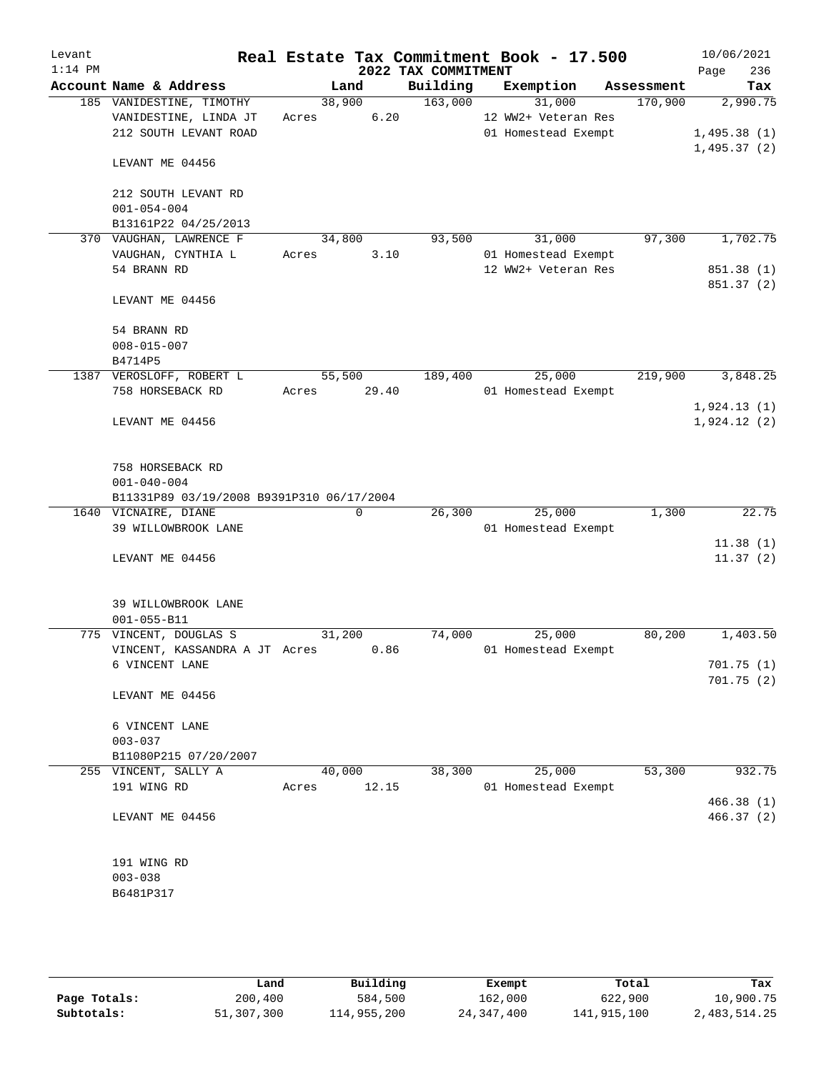| Levant<br>$1:14$ PM |                                           |       |             | 2022 TAX COMMITMENT | Real Estate Tax Commitment Book - 17.500 |            | 10/06/2021<br>236<br>Page |
|---------------------|-------------------------------------------|-------|-------------|---------------------|------------------------------------------|------------|---------------------------|
|                     | Account Name & Address                    |       | Land        | Building            | Exemption                                | Assessment | Tax                       |
|                     | 185 VANIDESTINE, TIMOTHY                  |       | 38,900      | 163,000             | 31,000                                   | 170,900    | 2,990.75                  |
|                     | VANIDESTINE, LINDA JT                     | Acres | 6.20        |                     | 12 WW2+ Veteran Res                      |            |                           |
|                     | 212 SOUTH LEVANT ROAD                     |       |             |                     | 01 Homestead Exempt                      |            | 1,495.38(1)               |
|                     |                                           |       |             |                     |                                          |            | 1,495.37(2)               |
|                     | LEVANT ME 04456                           |       |             |                     |                                          |            |                           |
|                     | 212 SOUTH LEVANT RD                       |       |             |                     |                                          |            |                           |
|                     | $001 - 054 - 004$                         |       |             |                     |                                          |            |                           |
|                     | B13161P22 04/25/2013                      |       |             |                     |                                          |            |                           |
|                     | 370 VAUGHAN, LAWRENCE F                   |       | 34,800      | 93,500              | 31,000                                   | 97,300     | 1,702.75                  |
|                     | VAUGHAN, CYNTHIA L                        | Acres | 3.10        |                     | 01 Homestead Exempt                      |            |                           |
|                     | 54 BRANN RD                               |       |             |                     | 12 WW2+ Veteran Res                      |            | 851.38 (1)                |
|                     |                                           |       |             |                     |                                          |            | 851.37 (2)                |
|                     | LEVANT ME 04456                           |       |             |                     |                                          |            |                           |
|                     | 54 BRANN RD                               |       |             |                     |                                          |            |                           |
|                     | $008 - 015 - 007$                         |       |             |                     |                                          |            |                           |
|                     | B4714P5                                   |       |             |                     |                                          |            |                           |
|                     | 1387 VEROSLOFF, ROBERT L                  |       | 55,500      | 189,400             | 25,000                                   | 219,900    | 3,848.25                  |
|                     | 758 HORSEBACK RD                          |       | Acres 29.40 |                     | 01 Homestead Exempt                      |            |                           |
|                     |                                           |       |             |                     |                                          |            | 1,924.13(1)               |
|                     | LEVANT ME 04456                           |       |             |                     |                                          |            | 1,924.12(2)               |
|                     |                                           |       |             |                     |                                          |            |                           |
|                     | 758 HORSEBACK RD                          |       |             |                     |                                          |            |                           |
|                     | $001 - 040 - 004$                         |       |             |                     |                                          |            |                           |
|                     | B11331P89 03/19/2008 B9391P310 06/17/2004 |       |             |                     |                                          |            |                           |
|                     | 1640 VICNAIRE, DIANE                      |       | $\mathbf 0$ | 26,300              | 25,000                                   | 1,300      | 22.75                     |
|                     | 39 WILLOWBROOK LANE                       |       |             |                     | 01 Homestead Exempt                      |            |                           |
|                     |                                           |       |             |                     |                                          |            | 11.38(1)                  |
|                     | LEVANT ME 04456                           |       |             |                     |                                          |            | 11.37(2)                  |
|                     |                                           |       |             |                     |                                          |            |                           |
|                     | 39 WILLOWBROOK LANE                       |       |             |                     |                                          |            |                           |
|                     | $001 - 055 - B11$                         |       |             |                     |                                          |            |                           |
|                     | 775 VINCENT, DOUGLAS S                    |       | 31,200      | 74,000              | 25,000                                   | 80,200     | 1,403.50                  |
|                     | VINCENT, KASSANDRA A JT Acres 0.86        |       |             |                     | 01 Homestead Exempt                      |            |                           |
|                     | 6 VINCENT LANE                            |       |             |                     |                                          |            | 701.75 (1)                |
|                     |                                           |       |             |                     |                                          |            | 701.75(2)                 |
|                     | LEVANT ME 04456                           |       |             |                     |                                          |            |                           |
|                     | 6 VINCENT LANE                            |       |             |                     |                                          |            |                           |
|                     | $003 - 037$                               |       |             |                     |                                          |            |                           |
|                     | B11080P215 07/20/2007                     |       |             |                     |                                          |            |                           |
|                     | 255 VINCENT, SALLY A                      |       | 40,000      | 38,300              | 25,000                                   | 53,300     | 932.75                    |
|                     | 191 WING RD                               | Acres | 12.15       |                     | 01 Homestead Exempt                      |            |                           |
|                     |                                           |       |             |                     |                                          |            | 466.38(1)                 |
|                     | LEVANT ME 04456                           |       |             |                     |                                          |            | 466.37(2)                 |
|                     |                                           |       |             |                     |                                          |            |                           |
|                     | 191 WING RD                               |       |             |                     |                                          |            |                           |
|                     | $003 - 038$                               |       |             |                     |                                          |            |                           |
|                     | B6481P317                                 |       |             |                     |                                          |            |                           |
|                     |                                           |       |             |                     |                                          |            |                           |
|                     |                                           |       |             |                     |                                          |            |                           |
|                     |                                           |       |             |                     |                                          |            |                           |

|              | Land       | Building    | Exempt       | Total       | Tax          |
|--------------|------------|-------------|--------------|-------------|--------------|
| Page Totals: | 200,400    | 584,500     | 162,000      | 622,900     | 10,900.75    |
| Subtotals:   | 51,307,300 | 114,955,200 | 24, 347, 400 | 141,915,100 | 2,483,514.25 |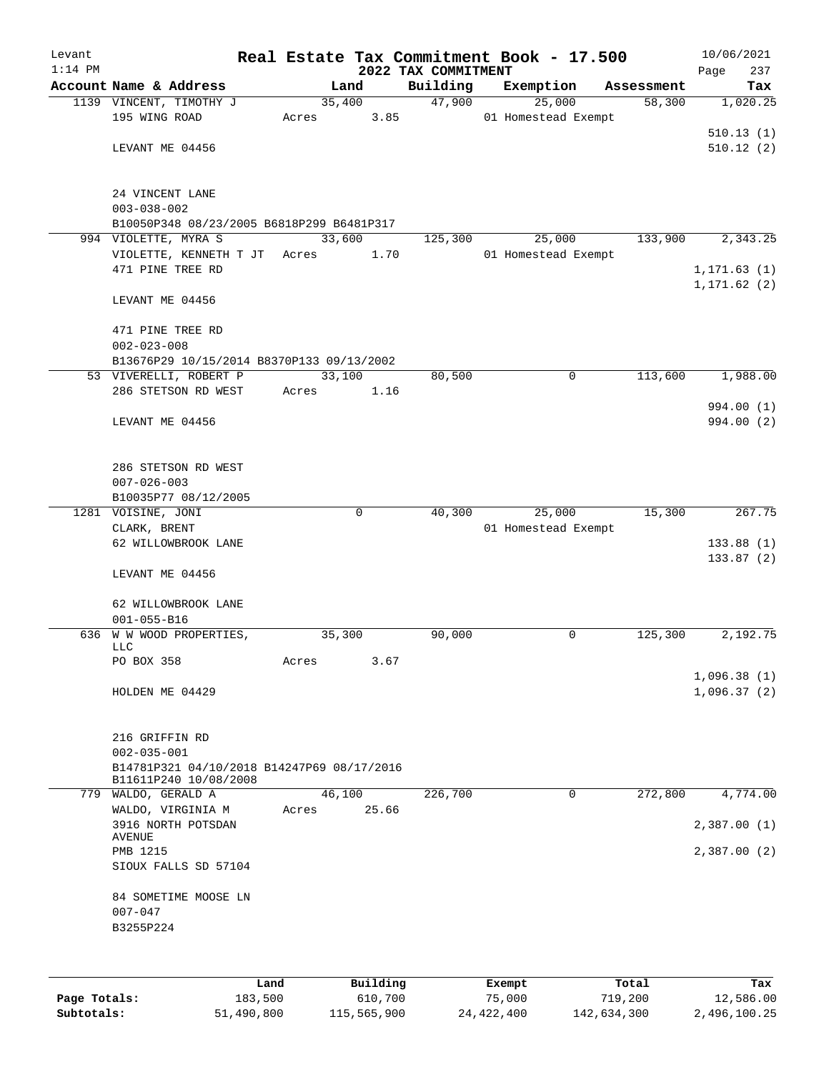| Levant    |                                                                     |       |        |          |                     | Real Estate Tax Commitment Book - 17.500 |            | 10/06/2021             |
|-----------|---------------------------------------------------------------------|-------|--------|----------|---------------------|------------------------------------------|------------|------------------------|
| $1:14$ PM |                                                                     |       |        |          | 2022 TAX COMMITMENT |                                          |            | 237<br>Page            |
|           | Account Name & Address                                              |       | Land   |          | Building            | Exemption                                | Assessment | Tax                    |
|           | 1139 VINCENT, TIMOTHY J                                             |       | 35,400 |          | 47,900              | 25,000                                   | 58,300     | 1,020.25               |
|           | 195 WING ROAD                                                       | Acres |        | 3.85     |                     | 01 Homestead Exempt                      |            |                        |
|           | LEVANT ME 04456                                                     |       |        |          |                     |                                          |            | 510.13(1)<br>510.12(2) |
|           |                                                                     |       |        |          |                     |                                          |            |                        |
|           | 24 VINCENT LANE<br>$003 - 038 - 002$                                |       |        |          |                     |                                          |            |                        |
|           | B10050P348 08/23/2005 B6818P299 B6481P317                           |       |        |          |                     |                                          |            |                        |
|           | 994 VIOLETTE, MYRA S                                                |       | 33,600 |          | 125,300             | 25,000                                   | 133,900    | 2,343.25               |
|           | VIOLETTE, KENNETH T JT Acres                                        |       |        | 1.70     |                     | 01 Homestead Exempt                      |            |                        |
|           | 471 PINE TREE RD                                                    |       |        |          |                     |                                          |            | 1, 171.63(1)           |
|           | LEVANT ME 04456                                                     |       |        |          |                     |                                          |            | 1, 171.62(2)           |
|           | 471 PINE TREE RD<br>$002 - 023 - 008$                               |       |        |          |                     |                                          |            |                        |
|           | B13676P29 10/15/2014 B8370P133 09/13/2002                           |       |        |          |                     |                                          |            |                        |
|           | 53 VIVERELLI, ROBERT P                                              |       | 33,100 |          | 80,500              | $\mathbf 0$                              | 113,600    | 1,988.00               |
|           | 286 STETSON RD WEST                                                 | Acres |        | 1.16     |                     |                                          |            |                        |
|           |                                                                     |       |        |          |                     |                                          |            | 994.00 (1)             |
|           | LEVANT ME 04456                                                     |       |        |          |                     |                                          |            | 994.00 (2)             |
|           |                                                                     |       |        |          |                     |                                          |            |                        |
|           | 286 STETSON RD WEST                                                 |       |        |          |                     |                                          |            |                        |
|           | $007 - 026 - 003$                                                   |       |        |          |                     |                                          |            |                        |
|           | B10035P77 08/12/2005                                                |       |        |          |                     |                                          |            |                        |
|           | 1281 VOISINE, JONI                                                  |       |        | $\Omega$ | 40,300              | 25,000                                   | 15,300     | 267.75                 |
|           | CLARK, BRENT                                                        |       |        |          |                     | 01 Homestead Exempt                      |            |                        |
|           | 62 WILLOWBROOK LANE                                                 |       |        |          |                     |                                          |            | 133.88(1)<br>133.87(2) |
|           | LEVANT ME 04456                                                     |       |        |          |                     |                                          |            |                        |
|           | 62 WILLOWBROOK LANE                                                 |       |        |          |                     |                                          |            |                        |
|           | $001 - 055 - B16$                                                   |       |        |          |                     |                                          |            |                        |
|           | 636 W W WOOD PROPERTIES,                                            |       | 35,300 |          | 90,000              | $\mathbf 0$                              | 125,300    | 2,192.75               |
|           | LLC<br>PO BOX 358                                                   | Acres |        | 3.67     |                     |                                          |            |                        |
|           |                                                                     |       |        |          |                     |                                          |            | 1,096.38(1)            |
|           | HOLDEN ME 04429                                                     |       |        |          |                     |                                          |            | 1,096.37(2)            |
|           |                                                                     |       |        |          |                     |                                          |            |                        |
|           | 216 GRIFFIN RD                                                      |       |        |          |                     |                                          |            |                        |
|           | $002 - 035 - 001$                                                   |       |        |          |                     |                                          |            |                        |
|           | B14781P321 04/10/2018 B14247P69 08/17/2016<br>B11611P240 10/08/2008 |       |        |          |                     |                                          |            |                        |
|           | 779 WALDO, GERALD A                                                 |       | 46,100 |          | 226,700             | $\mathbf 0$                              | 272,800    | 4,774.00               |
|           | WALDO, VIRGINIA M                                                   | Acres |        | 25.66    |                     |                                          |            |                        |
|           | 3916 NORTH POTSDAN                                                  |       |        |          |                     |                                          |            | 2,387.00(1)            |
|           | AVENUE                                                              |       |        |          |                     |                                          |            |                        |
|           | PMB 1215                                                            |       |        |          |                     |                                          |            | 2,387.00(2)            |
|           | SIOUX FALLS SD 57104                                                |       |        |          |                     |                                          |            |                        |
|           | 84 SOMETIME MOOSE LN                                                |       |        |          |                     |                                          |            |                        |
|           | $007 - 047$                                                         |       |        |          |                     |                                          |            |                        |
|           | B3255P224                                                           |       |        |          |                     |                                          |            |                        |
|           |                                                                     |       |        |          |                     |                                          |            |                        |
|           |                                                                     | Land  |        | Building |                     | Exempt                                   | Total      | Tax                    |

|              | nand L     | Building    | Exempt     | Total       | тах          |
|--------------|------------|-------------|------------|-------------|--------------|
| Page Totals: | 183,500    | 610,700     | 75,000     | 719,200     | 12,586.00    |
| Subtotals:   | 51,490,800 | 115,565,900 | 24,422,400 | 142,634,300 | 2,496,100.25 |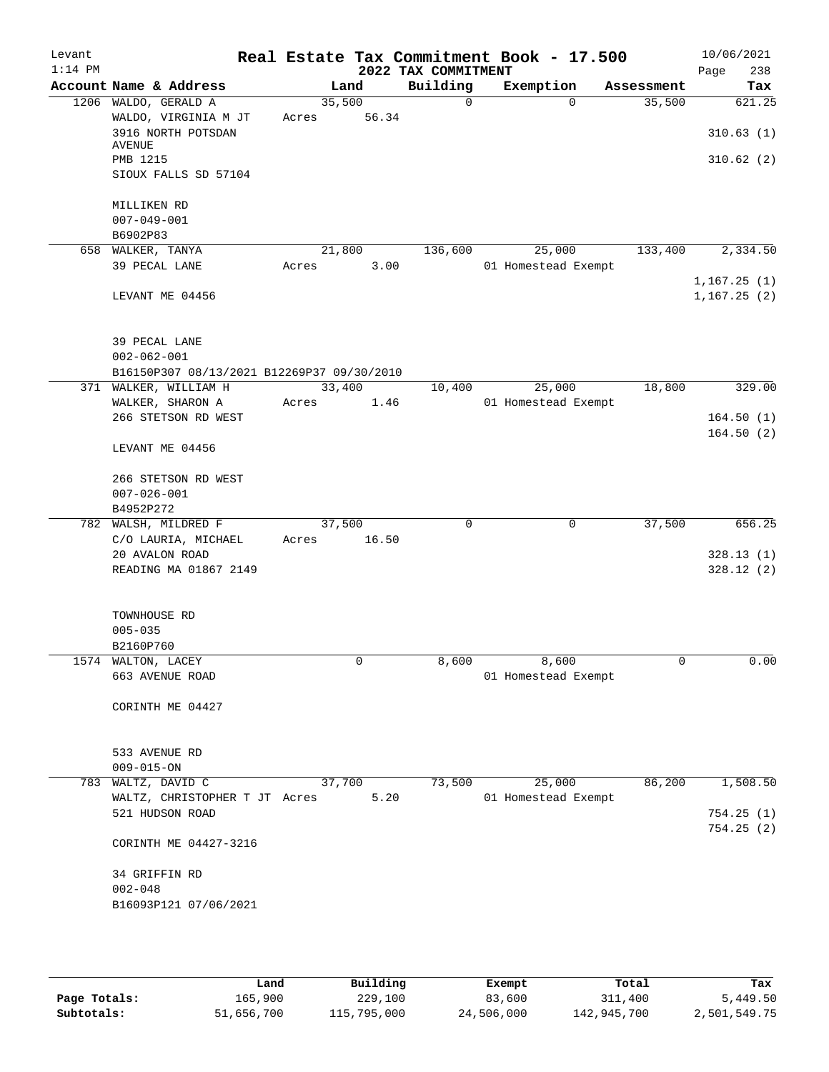| Levant<br>$1:14$ PM |                                            |        |       | Real Estate Tax Commitment Book - 17.500<br>2022 TAX COMMITMENT |                     |             |            | 10/06/2021<br>238<br>Page |
|---------------------|--------------------------------------------|--------|-------|-----------------------------------------------------------------|---------------------|-------------|------------|---------------------------|
|                     | Account Name & Address                     | Land   |       | Building                                                        | Exemption           |             | Assessment | Tax                       |
|                     | 1206 WALDO, GERALD A                       | 35,500 |       | $\Omega$                                                        |                     | $\Omega$    | 35,500     | 621.25                    |
|                     | WALDO, VIRGINIA M JT                       | Acres  | 56.34 |                                                                 |                     |             |            |                           |
|                     | 3916 NORTH POTSDAN                         |        |       |                                                                 |                     |             |            | 310.63(1)                 |
|                     | AVENUE<br>PMB 1215                         |        |       |                                                                 |                     |             |            | 310.62(2)                 |
|                     | SIOUX FALLS SD 57104                       |        |       |                                                                 |                     |             |            |                           |
|                     |                                            |        |       |                                                                 |                     |             |            |                           |
|                     | MILLIKEN RD                                |        |       |                                                                 |                     |             |            |                           |
|                     | $007 - 049 - 001$                          |        |       |                                                                 |                     |             |            |                           |
|                     | B6902P83                                   |        |       |                                                                 |                     |             |            |                           |
|                     | 658 WALKER, TANYA                          | 21,800 |       | 136,600                                                         |                     | 25,000      | 133,400    | 2,334.50                  |
|                     | 39 PECAL LANE                              | Acres  | 3.00  |                                                                 | 01 Homestead Exempt |             |            |                           |
|                     |                                            |        |       |                                                                 |                     |             |            | 1,167.25(1)               |
|                     | LEVANT ME 04456                            |        |       |                                                                 |                     |             |            | 1,167.25(2)               |
|                     |                                            |        |       |                                                                 |                     |             |            |                           |
|                     | 39 PECAL LANE                              |        |       |                                                                 |                     |             |            |                           |
|                     | $002 - 062 - 001$                          |        |       |                                                                 |                     |             |            |                           |
|                     | B16150P307 08/13/2021 B12269P37 09/30/2010 |        |       |                                                                 |                     |             |            |                           |
|                     | 371 WALKER, WILLIAM H                      | 33,400 |       | 10,400                                                          |                     | 25,000      | 18,800     | 329.00                    |
|                     | WALKER, SHARON A                           | Acres  | 1.46  |                                                                 | 01 Homestead Exempt |             |            |                           |
|                     | 266 STETSON RD WEST                        |        |       |                                                                 |                     |             |            | 164.50(1)                 |
|                     |                                            |        |       |                                                                 |                     |             |            | 164.50(2)                 |
|                     | LEVANT ME 04456                            |        |       |                                                                 |                     |             |            |                           |
|                     |                                            |        |       |                                                                 |                     |             |            |                           |
|                     | 266 STETSON RD WEST<br>$007 - 026 - 001$   |        |       |                                                                 |                     |             |            |                           |
|                     | B4952P272                                  |        |       |                                                                 |                     |             |            |                           |
|                     | 782 WALSH, MILDRED F                       | 37,500 |       | $\Omega$                                                        |                     | $\mathbf 0$ | 37,500     | 656.25                    |
|                     | C/O LAURIA, MICHAEL                        | Acres  | 16.50 |                                                                 |                     |             |            |                           |
|                     | 20 AVALON ROAD                             |        |       |                                                                 |                     |             |            | 328.13(1)                 |
|                     | READING MA 01867 2149                      |        |       |                                                                 |                     |             |            | 328.12(2)                 |
|                     |                                            |        |       |                                                                 |                     |             |            |                           |
|                     |                                            |        |       |                                                                 |                     |             |            |                           |
|                     | TOWNHOUSE RD                               |        |       |                                                                 |                     |             |            |                           |
|                     | $005 - 035$                                |        |       |                                                                 |                     |             |            |                           |
|                     | B2160P760<br>1574 WALTON, LACEY            |        | 0     | 8,600                                                           |                     | 8,600       | 0          | 0.00                      |
|                     | 663 AVENUE ROAD                            |        |       |                                                                 | 01 Homestead Exempt |             |            |                           |
|                     |                                            |        |       |                                                                 |                     |             |            |                           |
|                     | CORINTH ME 04427                           |        |       |                                                                 |                     |             |            |                           |
|                     |                                            |        |       |                                                                 |                     |             |            |                           |
|                     |                                            |        |       |                                                                 |                     |             |            |                           |
|                     | 533 AVENUE RD                              |        |       |                                                                 |                     |             |            |                           |
|                     | $009 - 015 - ON$                           |        |       |                                                                 |                     |             |            |                           |
| 783                 | WALTZ, DAVID C                             | 37,700 |       | 73,500                                                          |                     | 25,000      | 86,200     | 1,508.50                  |
|                     | WALTZ, CHRISTOPHER T JT Acres              |        | 5.20  |                                                                 | 01 Homestead Exempt |             |            |                           |
|                     | 521 HUDSON ROAD                            |        |       |                                                                 |                     |             |            | 754.25(1)<br>754.25(2)    |
|                     | CORINTH ME 04427-3216                      |        |       |                                                                 |                     |             |            |                           |
|                     |                                            |        |       |                                                                 |                     |             |            |                           |
|                     | 34 GRIFFIN RD                              |        |       |                                                                 |                     |             |            |                           |
|                     | $002 - 048$                                |        |       |                                                                 |                     |             |            |                           |
|                     | B16093P121 07/06/2021                      |        |       |                                                                 |                     |             |            |                           |
|                     |                                            |        |       |                                                                 |                     |             |            |                           |
|                     |                                            |        |       |                                                                 |                     |             |            |                           |

|              | Land       | Building    | Exempt     | Total       | Tax          |
|--------------|------------|-------------|------------|-------------|--------------|
| Page Totals: | 165,900    | 229,100     | 83,600     | 311,400     | 5,449.50     |
| Subtotals:   | 51,656,700 | 115,795,000 | 24,506,000 | 142,945,700 | 2,501,549.75 |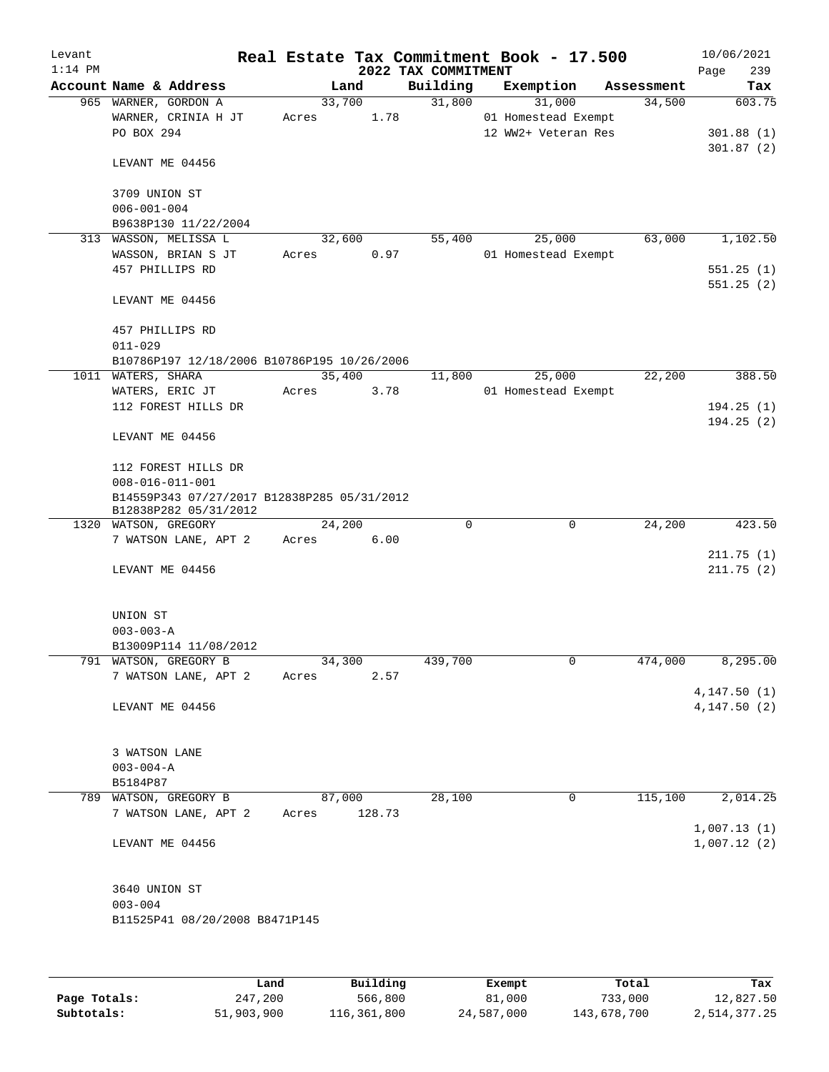| Levant    |                                             |                 |                     | Real Estate Tax Commitment Book - 17.500 |            | 10/06/2021   |
|-----------|---------------------------------------------|-----------------|---------------------|------------------------------------------|------------|--------------|
| $1:14$ PM |                                             |                 | 2022 TAX COMMITMENT |                                          |            | 239<br>Page  |
|           | Account Name & Address                      | Land            | Building            | Exemption                                | Assessment | Tax          |
|           | 965 WARNER, GORDON A                        | 33,700          | 31,800              | 31,000                                   | 34,500     | 603.75       |
|           | WARNER, CRINIA H JT                         | 1.78<br>Acres   |                     | 01 Homestead Exempt                      |            |              |
|           | PO BOX 294                                  |                 |                     | 12 WW2+ Veteran Res                      |            | 301.88(1)    |
|           |                                             |                 |                     |                                          |            | 301.87(2)    |
|           | LEVANT ME 04456                             |                 |                     |                                          |            |              |
|           | 3709 UNION ST                               |                 |                     |                                          |            |              |
|           | $006 - 001 - 004$                           |                 |                     |                                          |            |              |
|           | B9638P130 11/22/2004                        |                 |                     |                                          |            |              |
|           | 313 WASSON, MELISSA L                       | 32,600          | 55,400              | 25,000                                   | 63,000     | 1,102.50     |
|           | WASSON, BRIAN S JT                          | Acres<br>0.97   |                     | 01 Homestead Exempt                      |            |              |
|           | 457 PHILLIPS RD                             |                 |                     |                                          |            | 551.25(1)    |
|           |                                             |                 |                     |                                          |            | 551.25(2)    |
|           | LEVANT ME 04456                             |                 |                     |                                          |            |              |
|           |                                             |                 |                     |                                          |            |              |
|           | 457 PHILLIPS RD                             |                 |                     |                                          |            |              |
|           | $011 - 029$                                 |                 |                     |                                          |            |              |
|           | B10786P197 12/18/2006 B10786P195 10/26/2006 |                 |                     |                                          |            |              |
|           | 1011 WATERS, SHARA                          | 35,400          | 11,800              | 25,000                                   | 22,200     | 388.50       |
|           | WATERS, ERIC JT                             | 3.78<br>Acres   |                     | 01 Homestead Exempt                      |            |              |
|           | 112 FOREST HILLS DR                         |                 |                     |                                          |            | 194.25(1)    |
|           |                                             |                 |                     |                                          |            | 194.25(2)    |
|           | LEVANT ME 04456                             |                 |                     |                                          |            |              |
|           | 112 FOREST HILLS DR                         |                 |                     |                                          |            |              |
|           | $008 - 016 - 011 - 001$                     |                 |                     |                                          |            |              |
|           | B14559P343 07/27/2017 B12838P285 05/31/2012 |                 |                     |                                          |            |              |
|           | B12838P282 05/31/2012                       |                 |                     |                                          |            |              |
|           | 1320 WATSON, GREGORY                        | 24,200          | $\Omega$            | 0                                        | 24,200     | 423.50       |
|           | 7 WATSON LANE, APT 2                        | 6.00<br>Acres   |                     |                                          |            |              |
|           |                                             |                 |                     |                                          |            | 211.75(1)    |
|           | LEVANT ME 04456                             |                 |                     |                                          |            | 211.75(2)    |
|           |                                             |                 |                     |                                          |            |              |
|           |                                             |                 |                     |                                          |            |              |
|           | UNION ST                                    |                 |                     |                                          |            |              |
|           | $003 - 003 - A$<br>B13009P114 11/08/2012    |                 |                     |                                          |            |              |
|           | 791 WATSON, GREGORY B                       | 34,300          | 439,700             | 0                                        | 474,000    | 8,295.00     |
|           | 7 WATSON LANE, APT 2                        | 2.57<br>Acres   |                     |                                          |            |              |
|           |                                             |                 |                     |                                          |            | 4, 147.50(1) |
|           | LEVANT ME 04456                             |                 |                     |                                          |            | 4, 147.50(2) |
|           |                                             |                 |                     |                                          |            |              |
|           |                                             |                 |                     |                                          |            |              |
|           | 3 WATSON LANE                               |                 |                     |                                          |            |              |
|           | $003 - 004 - A$                             |                 |                     |                                          |            |              |
|           | B5184P87                                    |                 |                     |                                          |            |              |
| 789       | WATSON, GREGORY B                           | 87,000          | 28,100              | 0                                        | 115,100    | 2,014.25     |
|           | 7 WATSON LANE, APT 2                        | 128.73<br>Acres |                     |                                          |            |              |
|           |                                             |                 |                     |                                          |            | 1,007.13(1)  |
|           | LEVANT ME 04456                             |                 |                     |                                          |            | 1,007.12(2)  |
|           |                                             |                 |                     |                                          |            |              |
|           |                                             |                 |                     |                                          |            |              |
|           | 3640 UNION ST                               |                 |                     |                                          |            |              |
|           | $003 - 004$                                 |                 |                     |                                          |            |              |
|           | B11525P41 08/20/2008 B8471P145              |                 |                     |                                          |            |              |
|           |                                             |                 |                     |                                          |            |              |
|           |                                             |                 |                     |                                          |            |              |
|           |                                             |                 |                     |                                          |            |              |

|              | Land       | Building    | Exempt     | Total       | Tax          |
|--------------|------------|-------------|------------|-------------|--------------|
| Page Totals: | 247,200    | 566,800     | 81,000     | 733,000     | 12,827.50    |
| Subtotals:   | 51,903,900 | 116,361,800 | 24,587,000 | 143,678,700 | 2,514,377.25 |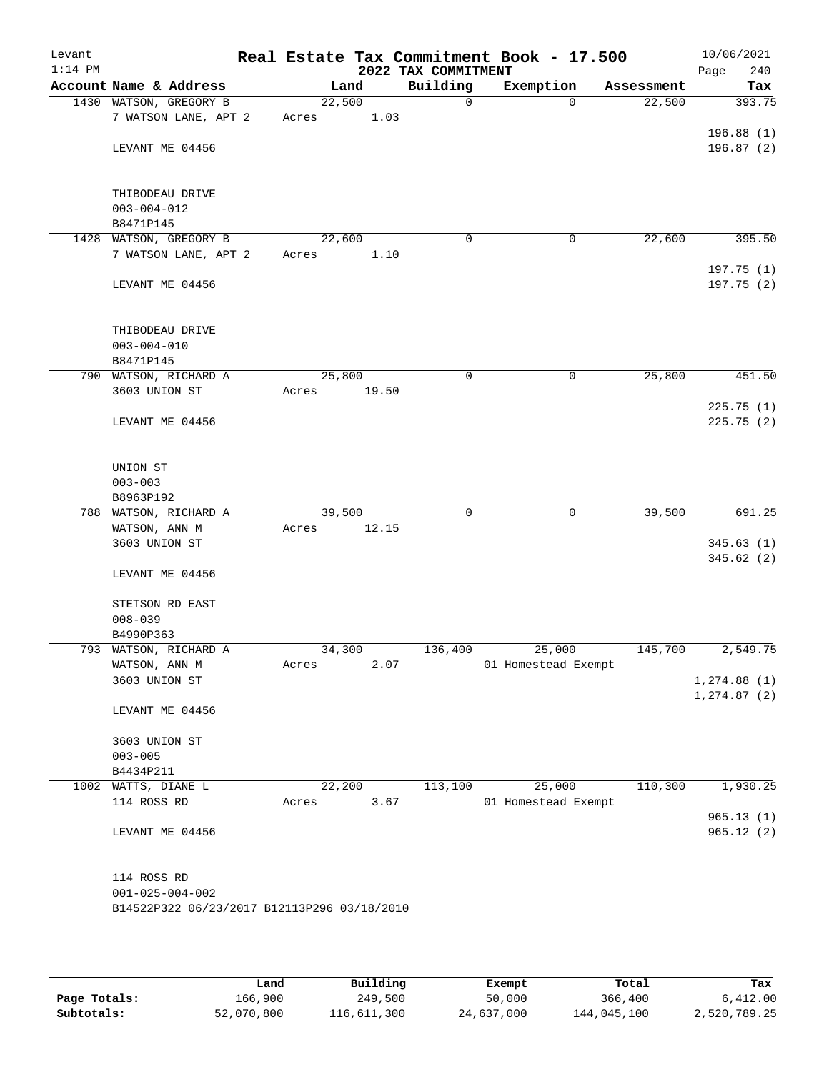| Levant<br>$1:14$ PM |                                             |        |       | 2022 TAX COMMITMENT | Real Estate Tax Commitment Book - 17.500 |            | 10/06/2021<br>240<br>Page |
|---------------------|---------------------------------------------|--------|-------|---------------------|------------------------------------------|------------|---------------------------|
|                     | Account Name & Address                      |        | Land  | Building            | Exemption                                | Assessment | Tax                       |
|                     | 1430 WATSON, GREGORY B                      | 22,500 |       | $\Omega$            | $\Omega$                                 | 22,500     | 393.75                    |
|                     | 7 WATSON LANE, APT 2                        | Acres  | 1.03  |                     |                                          |            |                           |
|                     |                                             |        |       |                     |                                          |            | 196.88(1)                 |
|                     | LEVANT ME 04456                             |        |       |                     |                                          |            | 196.87(2)                 |
|                     |                                             |        |       |                     |                                          |            |                           |
|                     |                                             |        |       |                     |                                          |            |                           |
|                     | THIBODEAU DRIVE<br>$003 - 004 - 012$        |        |       |                     |                                          |            |                           |
|                     | B8471P145                                   |        |       |                     |                                          |            |                           |
|                     | 1428 WATSON, GREGORY B                      | 22,600 |       | $\mathbf 0$         | 0                                        | 22,600     | 395.50                    |
|                     | 7 WATSON LANE, APT 2                        | Acres  | 1.10  |                     |                                          |            |                           |
|                     |                                             |        |       |                     |                                          |            | 197.75(1)                 |
|                     | LEVANT ME 04456                             |        |       |                     |                                          |            | 197.75(2)                 |
|                     |                                             |        |       |                     |                                          |            |                           |
|                     |                                             |        |       |                     |                                          |            |                           |
|                     | THIBODEAU DRIVE                             |        |       |                     |                                          |            |                           |
|                     | $003 - 004 - 010$                           |        |       |                     |                                          |            |                           |
|                     | B8471P145                                   |        |       |                     |                                          |            |                           |
|                     | 790 WATSON, RICHARD A                       | 25,800 |       | 0                   | 0                                        | 25,800     | 451.50                    |
|                     | 3603 UNION ST                               | Acres  | 19.50 |                     |                                          |            | 225.75(1)                 |
|                     | LEVANT ME 04456                             |        |       |                     |                                          |            | 225.75 (2)                |
|                     |                                             |        |       |                     |                                          |            |                           |
|                     |                                             |        |       |                     |                                          |            |                           |
|                     | UNION ST                                    |        |       |                     |                                          |            |                           |
|                     | $003 - 003$                                 |        |       |                     |                                          |            |                           |
|                     | B8963P192                                   |        |       |                     |                                          |            |                           |
|                     | 788 WATSON, RICHARD A                       | 39,500 |       | 0                   | 0                                        | 39,500     | 691.25                    |
|                     | WATSON, ANN M                               | Acres  | 12.15 |                     |                                          |            |                           |
|                     | 3603 UNION ST                               |        |       |                     |                                          |            | 345.63(1)                 |
|                     |                                             |        |       |                     |                                          |            | 345.62(2)                 |
|                     | LEVANT ME 04456                             |        |       |                     |                                          |            |                           |
|                     | STETSON RD EAST                             |        |       |                     |                                          |            |                           |
|                     | $008 - 039$                                 |        |       |                     |                                          |            |                           |
|                     | B4990P363                                   |        |       |                     |                                          |            |                           |
|                     | 793 WATSON, RICHARD A                       | 34,300 |       | 136,400             | 25,000                                   | 145,700    | 2,549.75                  |
|                     | WATSON, ANN M                               | Acres  | 2.07  |                     | 01 Homestead Exempt                      |            |                           |
|                     | 3603 UNION ST                               |        |       |                     |                                          |            | 1, 274.88(1)              |
|                     |                                             |        |       |                     |                                          |            | 1, 274.87 (2)             |
|                     | LEVANT ME 04456                             |        |       |                     |                                          |            |                           |
|                     | 3603 UNION ST                               |        |       |                     |                                          |            |                           |
|                     | $003 - 005$                                 |        |       |                     |                                          |            |                           |
|                     | B4434P211                                   |        |       |                     |                                          |            |                           |
|                     | 1002 WATTS, DIANE L                         | 22,200 |       | 113,100             | 25,000                                   | 110,300    | 1,930.25                  |
|                     | 114 ROSS RD                                 | Acres  | 3.67  |                     | 01 Homestead Exempt                      |            |                           |
|                     |                                             |        |       |                     |                                          |            | 965.13(1)                 |
|                     | LEVANT ME 04456                             |        |       |                     |                                          |            | 965.12(2)                 |
|                     |                                             |        |       |                     |                                          |            |                           |
|                     |                                             |        |       |                     |                                          |            |                           |
|                     | 114 ROSS RD                                 |        |       |                     |                                          |            |                           |
|                     | $001 - 025 - 004 - 002$                     |        |       |                     |                                          |            |                           |
|                     | B14522P322 06/23/2017 B12113P296 03/18/2010 |        |       |                     |                                          |            |                           |
|                     |                                             |        |       |                     |                                          |            |                           |

|              | Land       | Building    | Exempt     | Total       | Tax          |
|--------------|------------|-------------|------------|-------------|--------------|
| Page Totals: | 166,900    | 249,500     | 50,000     | 366,400     | 6,412.00     |
| Subtotals:   | 52,070,800 | 116,611,300 | 24,637,000 | 144,045,100 | 2,520,789.25 |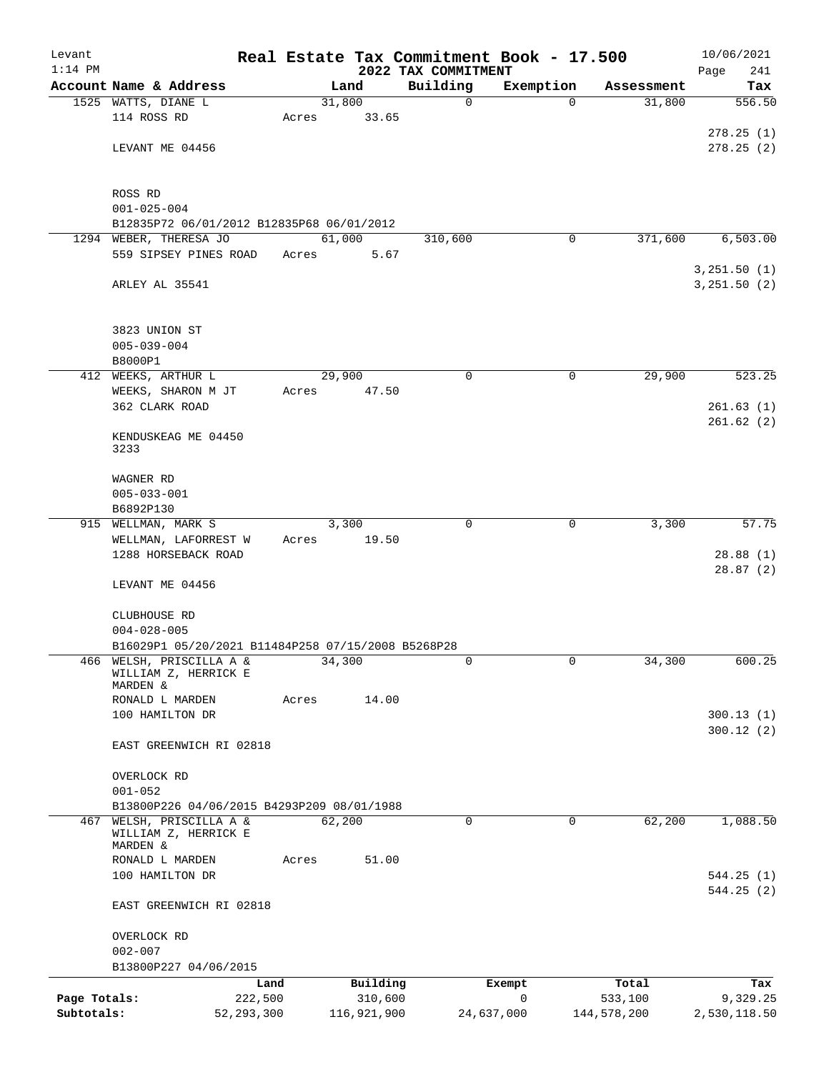| Levant       |                                                    |       |                     |                                 | Real Estate Tax Commitment Book - 17.500 |                  | 10/06/2021             |
|--------------|----------------------------------------------------|-------|---------------------|---------------------------------|------------------------------------------|------------------|------------------------|
| $1:14$ PM    | Account Name & Address                             |       | Land                | 2022 TAX COMMITMENT<br>Building | Exemption                                | Assessment       | 241<br>Page<br>Tax     |
|              | 1525 WATTS, DIANE L                                |       | 31,800              | $\mathbf 0$                     | $\Omega$                                 | 31,800           | 556.50                 |
|              | 114 ROSS RD                                        | Acres | 33.65               |                                 |                                          |                  |                        |
|              |                                                    |       |                     |                                 |                                          |                  | 278.25(1)              |
|              | LEVANT ME 04456                                    |       |                     |                                 |                                          |                  | 278.25(2)              |
|              | ROSS RD                                            |       |                     |                                 |                                          |                  |                        |
|              | $001 - 025 - 004$                                  |       |                     |                                 |                                          |                  |                        |
|              | B12835P72 06/01/2012 B12835P68 06/01/2012          |       |                     |                                 |                                          |                  |                        |
|              | 1294 WEBER, THERESA JO                             |       | 61,000              | 310,600                         | 0                                        | 371,600          | 6,503.00               |
|              | 559 SIPSEY PINES ROAD                              | Acres | 5.67                |                                 |                                          |                  |                        |
|              |                                                    |       |                     |                                 |                                          |                  | 3, 251.50 (1)          |
|              | ARLEY AL 35541                                     |       |                     |                                 |                                          |                  | 3, 251.50 (2)          |
|              | 3823 UNION ST                                      |       |                     |                                 |                                          |                  |                        |
|              | $005 - 039 - 004$                                  |       |                     |                                 |                                          |                  |                        |
|              | B8000P1                                            |       |                     |                                 |                                          |                  |                        |
|              | 412 WEEKS, ARTHUR L                                |       | 29,900              | 0                               | 0                                        | 29,900           | 523.25                 |
|              | WEEKS, SHARON M JT                                 | Acres | 47.50               |                                 |                                          |                  |                        |
|              | 362 CLARK ROAD                                     |       |                     |                                 |                                          |                  | 261.63(1)              |
|              | KENDUSKEAG ME 04450<br>3233                        |       |                     |                                 |                                          |                  | 261.62(2)              |
|              | WAGNER RD                                          |       |                     |                                 |                                          |                  |                        |
|              | $005 - 033 - 001$                                  |       |                     |                                 |                                          |                  |                        |
|              | B6892P130                                          |       |                     |                                 |                                          |                  |                        |
| 915          | WELLMAN, MARK S                                    |       | 3,300               | $\mathbf 0$                     | 0                                        | 3,300            | 57.75                  |
|              | WELLMAN, LAFORREST W                               | Acres | 19.50               |                                 |                                          |                  |                        |
|              | 1288 HORSEBACK ROAD                                |       |                     |                                 |                                          |                  | 28.88 (1)<br>28.87(2)  |
|              | LEVANT ME 04456                                    |       |                     |                                 |                                          |                  |                        |
|              | CLUBHOUSE RD<br>$004 - 028 - 005$                  |       |                     |                                 |                                          |                  |                        |
|              | B16029P1 05/20/2021 B11484P258 07/15/2008 B5268P28 |       |                     |                                 |                                          |                  |                        |
|              | 466 WELSH, PRISCILLA A &<br>WILLIAM Z, HERRICK E   |       | 34,300              | 0                               | 0                                        | 34,300           | 600.25                 |
|              | MARDEN &                                           |       |                     |                                 |                                          |                  |                        |
|              | RONALD L MARDEN<br>100 HAMILTON DR                 | Acres | 14.00               |                                 |                                          |                  |                        |
|              |                                                    |       |                     |                                 |                                          |                  | 300.13(1)<br>300.12(2) |
|              | EAST GREENWICH RI 02818                            |       |                     |                                 |                                          |                  |                        |
|              | OVERLOCK RD<br>$001 - 052$                         |       |                     |                                 |                                          |                  |                        |
|              | B13800P226 04/06/2015 B4293P209 08/01/1988         |       |                     |                                 |                                          |                  |                        |
|              | 467 WELSH, PRISCILLA A &<br>WILLIAM Z, HERRICK E   |       | 62,200              | 0                               | 0                                        | 62,200           | 1,088.50               |
|              | MARDEN &                                           |       |                     |                                 |                                          |                  |                        |
|              | RONALD L MARDEN                                    | Acres | 51.00               |                                 |                                          |                  |                        |
|              | 100 HAMILTON DR                                    |       |                     |                                 |                                          |                  | 544.25(1)              |
|              | EAST GREENWICH RI 02818                            |       |                     |                                 |                                          |                  | 544.25(2)              |
|              | OVERLOCK RD                                        |       |                     |                                 |                                          |                  |                        |
|              | $002 - 007$                                        |       |                     |                                 |                                          |                  |                        |
|              | B13800P227 04/06/2015                              |       |                     |                                 |                                          |                  |                        |
| Page Totals: | Land<br>222,500                                    |       | Building<br>310,600 |                                 | Exempt<br>$\mathbf 0$                    | Total<br>533,100 | Tax<br>9,329.25        |
| Subtotals:   | 52, 293, 300                                       |       | 116,921,900         |                                 | 24,637,000                               | 144,578,200      | 2,530,118.50           |
|              |                                                    |       |                     |                                 |                                          |                  |                        |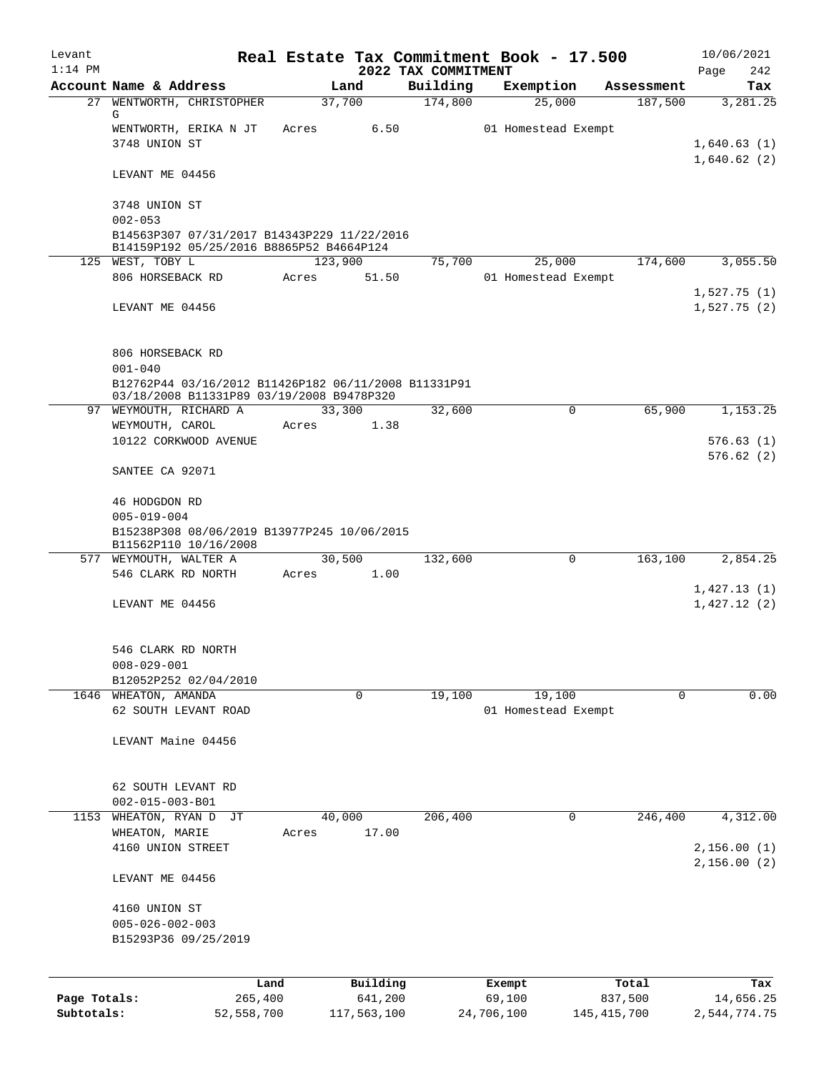| Levant       |                                                                                         |         |             |                                 | Real Estate Tax Commitment Book - 17.500 |               | 10/06/2021                 |
|--------------|-----------------------------------------------------------------------------------------|---------|-------------|---------------------------------|------------------------------------------|---------------|----------------------------|
| $1:14$ PM    | Account Name & Address                                                                  | Land    |             | 2022 TAX COMMITMENT<br>Building | Exemption                                | Assessment    | Page<br>242<br>Tax         |
|              | 27 WENTWORTH, CHRISTOPHER                                                               | 37,700  |             | 174,800                         | 25,000                                   | 187,500       | 3,281.25                   |
|              | G                                                                                       |         |             |                                 |                                          |               |                            |
|              | WENTWORTH, ERIKA N JT<br>3748 UNION ST                                                  | Acres   | 6.50        |                                 | 01 Homestead Exempt                      |               |                            |
|              |                                                                                         |         |             |                                 |                                          |               | 1,640.63(1)<br>1,640.62(2) |
|              | LEVANT ME 04456                                                                         |         |             |                                 |                                          |               |                            |
|              | 3748 UNION ST                                                                           |         |             |                                 |                                          |               |                            |
|              | $002 - 053$                                                                             |         |             |                                 |                                          |               |                            |
|              | B14563P307 07/31/2017 B14343P229 11/22/2016<br>B14159P192 05/25/2016 B8865P52 B4664P124 |         |             |                                 |                                          |               |                            |
|              | 125 WEST, TOBY L                                                                        | 123,900 |             | 75,700                          | 25,000                                   | 174,600       | 3,055.50                   |
|              | 806 HORSEBACK RD                                                                        | Acres   | 51.50       |                                 | 01 Homestead Exempt                      |               |                            |
|              |                                                                                         |         |             |                                 |                                          |               | 1,527.75(1)                |
|              | LEVANT ME 04456                                                                         |         |             |                                 |                                          |               | 1,527.75(2)                |
|              | 806 HORSEBACK RD                                                                        |         |             |                                 |                                          |               |                            |
|              | $001 - 040$                                                                             |         |             |                                 |                                          |               |                            |
|              | B12762P44 03/16/2012 B11426P182 06/11/2008 B11331P91                                    |         |             |                                 |                                          |               |                            |
|              | 03/18/2008 B11331P89 03/19/2008 B9478P320<br>97 WEYMOUTH, RICHARD A                     | 33,300  |             | 32,600                          | $\mathbf 0$                              | 65,900        | 1,153.25                   |
|              | WEYMOUTH, CAROL                                                                         | Acres   | 1.38        |                                 |                                          |               |                            |
|              | 10122 CORKWOOD AVENUE                                                                   |         |             |                                 |                                          |               | 576.63(1)                  |
|              | SANTEE CA 92071                                                                         |         |             |                                 |                                          |               | 576.62(2)                  |
|              |                                                                                         |         |             |                                 |                                          |               |                            |
|              | 46 HODGDON RD<br>$005 - 019 - 004$                                                      |         |             |                                 |                                          |               |                            |
|              | B15238P308 08/06/2019 B13977P245 10/06/2015<br>B11562P110 10/16/2008                    |         |             |                                 |                                          |               |                            |
|              | 577 WEYMOUTH, WALTER A                                                                  | 30,500  |             | 132,600                         | $\Omega$                                 | 163,100       | 2,854.25                   |
|              | 546 CLARK RD NORTH                                                                      | Acres   | 1.00        |                                 |                                          |               |                            |
|              |                                                                                         |         |             |                                 |                                          |               | 1,427.13(1)                |
|              | LEVANT ME 04456                                                                         |         |             |                                 |                                          |               | 1,427.12(2)                |
|              | 546 CLARK RD NORTH                                                                      |         |             |                                 |                                          |               |                            |
|              | $008 - 029 - 001$                                                                       |         |             |                                 |                                          |               |                            |
|              | B12052P252 02/04/2010                                                                   |         |             |                                 |                                          |               |                            |
|              | 1646 WHEATON, AMANDA                                                                    |         | $\mathbf 0$ | 19,100                          | 19,100                                   | $\mathbf 0$   | 0.00                       |
|              | 62 SOUTH LEVANT ROAD                                                                    |         |             |                                 | 01 Homestead Exempt                      |               |                            |
|              | LEVANT Maine 04456                                                                      |         |             |                                 |                                          |               |                            |
|              |                                                                                         |         |             |                                 |                                          |               |                            |
|              | 62 SOUTH LEVANT RD                                                                      |         |             |                                 |                                          |               |                            |
| 1153         | $002 - 015 - 003 - B01$<br>WHEATON, RYAN D<br>JТ                                        | 40,000  |             | 206,400                         | 0                                        | 246,400       | 4,312.00                   |
|              | WHEATON, MARIE                                                                          | Acres   | 17.00       |                                 |                                          |               |                            |
|              | 4160 UNION STREET                                                                       |         |             |                                 |                                          |               | 2,156.00(1)                |
|              | LEVANT ME 04456                                                                         |         |             |                                 |                                          |               | 2,156.00(2)                |
|              |                                                                                         |         |             |                                 |                                          |               |                            |
|              | 4160 UNION ST                                                                           |         |             |                                 |                                          |               |                            |
|              | $005 - 026 - 002 - 003$                                                                 |         |             |                                 |                                          |               |                            |
|              | B15293P36 09/25/2019                                                                    |         |             |                                 |                                          |               |                            |
|              |                                                                                         |         | Building    |                                 |                                          | Total         |                            |
| Page Totals: | Land<br>265,400                                                                         |         | 641,200     |                                 | Exempt<br>69,100                         | 837,500       | Tax<br>14,656.25           |
| Subtotals:   | 52,558,700                                                                              |         | 117,563,100 |                                 | 24,706,100                               | 145, 415, 700 | 2,544,774.75               |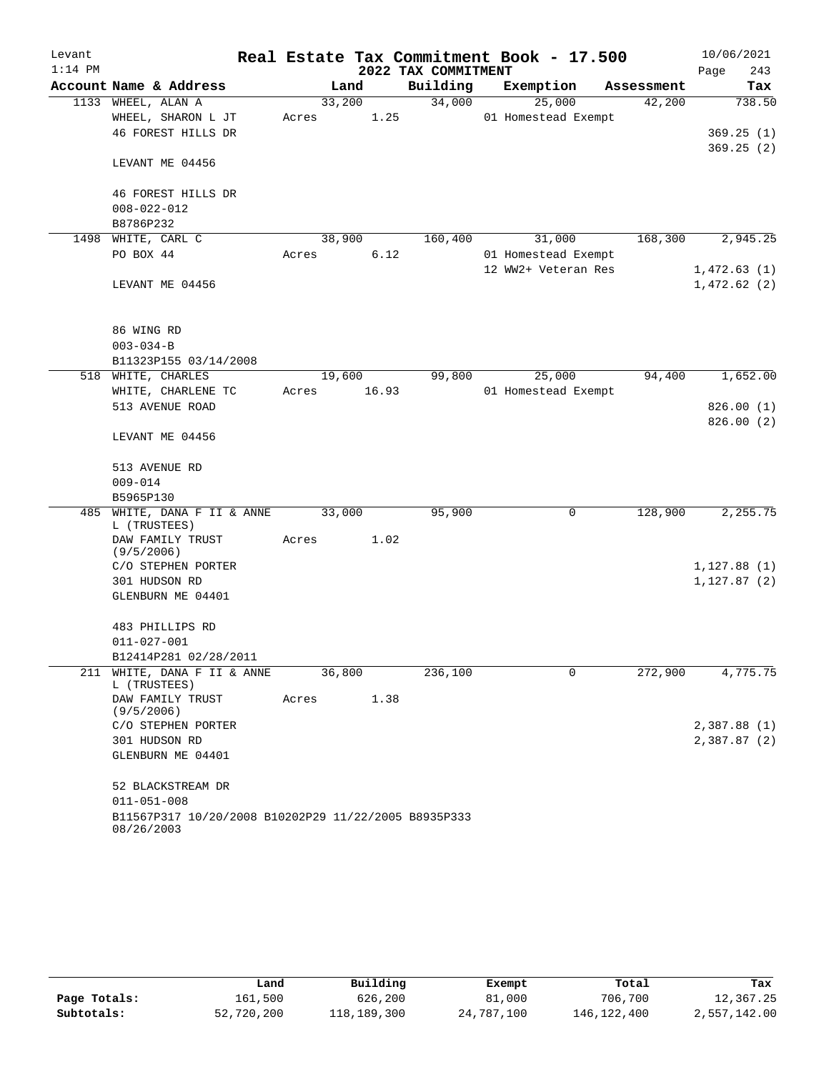| Levant    |                                                                    |        |       |                     | Real Estate Tax Commitment Book - 17.500 |            | 10/06/2021  |
|-----------|--------------------------------------------------------------------|--------|-------|---------------------|------------------------------------------|------------|-------------|
| $1:14$ PM |                                                                    |        |       | 2022 TAX COMMITMENT |                                          |            | 243<br>Page |
|           | Account Name & Address                                             |        | Land  | Building            | Exemption                                | Assessment | Tax         |
|           | 1133 WHEEL, ALAN A                                                 | 33,200 |       | 34,000              | 25,000                                   | 42,200     | 738.50      |
|           | WHEEL, SHARON L JT                                                 | Acres  | 1.25  |                     | 01 Homestead Exempt                      |            |             |
|           | 46 FOREST HILLS DR                                                 |        |       |                     |                                          |            | 369.25(1)   |
|           | LEVANT ME 04456                                                    |        |       |                     |                                          |            | 369.25(2)   |
|           | 46 FOREST HILLS DR                                                 |        |       |                     |                                          |            |             |
|           | $008 - 022 - 012$                                                  |        |       |                     |                                          |            |             |
|           | B8786P232                                                          |        |       |                     |                                          |            |             |
|           | 1498 WHITE, CARL C                                                 | 38,900 |       | 160,400             | 31,000                                   | 168,300    | 2,945.25    |
|           | PO BOX 44                                                          | Acres  | 6.12  |                     | 01 Homestead Exempt                      |            |             |
|           |                                                                    |        |       |                     | 12 WW2+ Veteran Res                      |            | 1,472.63(1) |
|           | LEVANT ME 04456                                                    |        |       |                     |                                          |            | 1,472.62(2) |
|           | 86 WING RD                                                         |        |       |                     |                                          |            |             |
|           | $003 - 034 - B$                                                    |        |       |                     |                                          |            |             |
|           | B11323P155 03/14/2008                                              |        |       |                     |                                          |            |             |
|           | 518 WHITE, CHARLES                                                 | 19,600 |       | 99,800              | 25,000                                   | 94,400     | 1,652.00    |
|           | WHITE, CHARLENE TC                                                 | Acres  | 16.93 |                     | 01 Homestead Exempt                      |            |             |
|           | 513 AVENUE ROAD                                                    |        |       |                     |                                          |            | 826.00(1)   |
|           |                                                                    |        |       |                     |                                          |            | 826.00(2)   |
|           | LEVANT ME 04456                                                    |        |       |                     |                                          |            |             |
|           | 513 AVENUE RD                                                      |        |       |                     |                                          |            |             |
|           | $009 - 014$                                                        |        |       |                     |                                          |            |             |
|           | B5965P130                                                          |        |       |                     |                                          |            |             |
|           | 485 WHITE, DANA F II & ANNE<br>L (TRUSTEES)                        | 33,000 |       | 95,900              | 0                                        | 128,900    | 2,255.75    |
|           | DAW FAMILY TRUST<br>(9/5/2006)                                     | Acres  | 1.02  |                     |                                          |            |             |
|           | C/O STEPHEN PORTER                                                 |        |       |                     |                                          |            | 1,127.88(1) |
|           | 301 HUDSON RD                                                      |        |       |                     |                                          |            | 1,127.87(2) |
|           | GLENBURN ME 04401                                                  |        |       |                     |                                          |            |             |
|           | 483 PHILLIPS RD                                                    |        |       |                     |                                          |            |             |
|           | $011 - 027 - 001$                                                  |        |       |                     |                                          |            |             |
|           | B12414P281 02/28/2011                                              |        |       |                     |                                          |            |             |
|           | 211 WHITE, DANA F II & ANNE<br>L (TRUSTEES)                        | 36,800 |       | 236,100             | 0                                        | 272,900    | 4,775.75    |
|           | DAW FAMILY TRUST<br>(9/5/2006)                                     | Acres  | 1.38  |                     |                                          |            |             |
|           | C/O STEPHEN PORTER                                                 |        |       |                     |                                          |            | 2,387.88(1) |
|           | 301 HUDSON RD                                                      |        |       |                     |                                          |            | 2,387.87(2) |
|           | GLENBURN ME 04401                                                  |        |       |                     |                                          |            |             |
|           | 52 BLACKSTREAM DR                                                  |        |       |                     |                                          |            |             |
|           | $011 - 051 - 008$                                                  |        |       |                     |                                          |            |             |
|           | B11567P317 10/20/2008 B10202P29 11/22/2005 B8935P333<br>08/26/2003 |        |       |                     |                                          |            |             |

|              | Land       | Building    | Exempt     | Total         | Tax          |
|--------------|------------|-------------|------------|---------------|--------------|
| Page Totals: | 161,500    | 626,200     | 81,000     | 706,700       | 12,367.25    |
| Subtotals:   | 52,720,200 | 118,189,300 | 24,787,100 | 146, 122, 400 | 2,557,142.00 |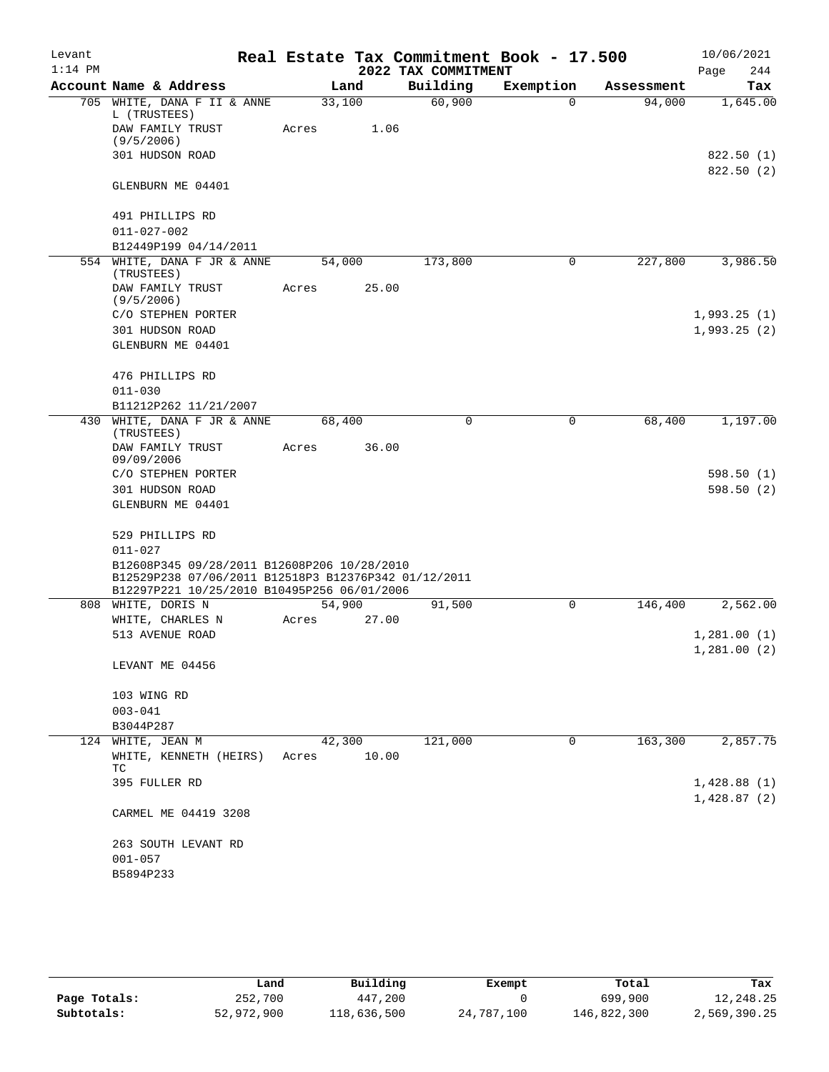| Levant    |                                                                                                                                                    |       |        |       |                     | Real Estate Tax Commitment Book - 17.500 |            | 10/06/2021                 |
|-----------|----------------------------------------------------------------------------------------------------------------------------------------------------|-------|--------|-------|---------------------|------------------------------------------|------------|----------------------------|
| $1:14$ PM |                                                                                                                                                    |       |        |       | 2022 TAX COMMITMENT |                                          |            | Page<br>244                |
|           | Account Name & Address                                                                                                                             |       | Land   |       | Building            | Exemption                                | Assessment | Tax                        |
|           | 705 WHITE, DANA F II & ANNE<br>L (TRUSTEES)                                                                                                        |       | 33,100 |       | 60,900              | $\Omega$                                 | 94,000     | 1,645.00                   |
|           | DAW FAMILY TRUST<br>(9/5/2006)                                                                                                                     | Acres |        | 1.06  |                     |                                          |            |                            |
|           | 301 HUDSON ROAD                                                                                                                                    |       |        |       |                     |                                          |            | 822.50 (1)<br>822.50(2)    |
|           | GLENBURN ME 04401                                                                                                                                  |       |        |       |                     |                                          |            |                            |
|           | 491 PHILLIPS RD                                                                                                                                    |       |        |       |                     |                                          |            |                            |
|           | $011 - 027 - 002$                                                                                                                                  |       |        |       |                     |                                          |            |                            |
|           | B12449P199 04/14/2011                                                                                                                              |       |        |       |                     |                                          |            |                            |
|           | 554 WHITE, DANA F JR & ANNE<br>(TRUSTEES)                                                                                                          |       | 54,000 |       | 173,800             | 0                                        | 227,800    | 3,986.50                   |
|           | DAW FAMILY TRUST<br>(9/5/2006)                                                                                                                     | Acres |        | 25.00 |                     |                                          |            |                            |
|           | C/O STEPHEN PORTER                                                                                                                                 |       |        |       |                     |                                          |            | 1,993.25(1)                |
|           | 301 HUDSON ROAD                                                                                                                                    |       |        |       |                     |                                          |            | 1,993.25(2)                |
|           | GLENBURN ME 04401                                                                                                                                  |       |        |       |                     |                                          |            |                            |
|           | 476 PHILLIPS RD                                                                                                                                    |       |        |       |                     |                                          |            |                            |
|           | $011 - 030$                                                                                                                                        |       |        |       |                     |                                          |            |                            |
|           | B11212P262 11/21/2007                                                                                                                              |       |        |       |                     |                                          |            |                            |
|           | 430 WHITE, DANA F JR & ANNE<br>(TRUSTEES)                                                                                                          |       | 68,400 |       | 0                   | 0                                        | 68,400     | 1,197.00                   |
|           | DAW FAMILY TRUST<br>09/09/2006                                                                                                                     | Acres |        | 36.00 |                     |                                          |            |                            |
|           | C/O STEPHEN PORTER                                                                                                                                 |       |        |       |                     |                                          |            | 598.50(1)                  |
|           | 301 HUDSON ROAD                                                                                                                                    |       |        |       |                     |                                          |            | 598.50(2)                  |
|           | GLENBURN ME 04401                                                                                                                                  |       |        |       |                     |                                          |            |                            |
|           | 529 PHILLIPS RD                                                                                                                                    |       |        |       |                     |                                          |            |                            |
|           | $011 - 027$                                                                                                                                        |       |        |       |                     |                                          |            |                            |
|           | B12608P345 09/28/2011 B12608P206 10/28/2010<br>B12529P238 07/06/2011 B12518P3 B12376P342 01/12/2011<br>B12297P221 10/25/2010 B10495P256 06/01/2006 |       |        |       |                     |                                          |            |                            |
|           | 808 WHITE, DORIS N                                                                                                                                 |       | 54,900 |       | 91,500              | 0                                        | 146,400    | 2,562.00                   |
|           | WHITE, CHARLES N                                                                                                                                   | Acres |        | 27.00 |                     |                                          |            |                            |
|           | 513 AVENUE ROAD                                                                                                                                    |       |        |       |                     |                                          |            | 1,281.00(1)                |
|           |                                                                                                                                                    |       |        |       |                     |                                          |            | 1,281.00(2)                |
|           | LEVANT ME 04456                                                                                                                                    |       |        |       |                     |                                          |            |                            |
|           | 103 WING RD                                                                                                                                        |       |        |       |                     |                                          |            |                            |
|           | $003 - 041$                                                                                                                                        |       |        |       |                     |                                          |            |                            |
|           | B3044P287                                                                                                                                          |       |        |       |                     |                                          |            |                            |
|           | 124 WHITE, JEAN M                                                                                                                                  |       | 42,300 |       | 121,000             | 0                                        | 163,300    | 2,857.75                   |
|           | WHITE, KENNETH (HEIRS)<br>TC                                                                                                                       | Acres |        | 10.00 |                     |                                          |            |                            |
|           | 395 FULLER RD                                                                                                                                      |       |        |       |                     |                                          |            | 1,428.88(1)<br>1,428.87(2) |
|           | CARMEL ME 04419 3208                                                                                                                               |       |        |       |                     |                                          |            |                            |
|           | 263 SOUTH LEVANT RD                                                                                                                                |       |        |       |                     |                                          |            |                            |
|           | $001 - 057$                                                                                                                                        |       |        |       |                     |                                          |            |                            |
|           | B5894P233                                                                                                                                          |       |        |       |                     |                                          |            |                            |

|              | Land       | Building    | Exempt     | Total       | Tax          |
|--------------|------------|-------------|------------|-------------|--------------|
| Page Totals: | 252,700    | 447,200     |            | 699,900     | 12,248.25    |
| Subtotals:   | 52,972,900 | 118,636,500 | 24,787,100 | 146,822,300 | 2,569,390.25 |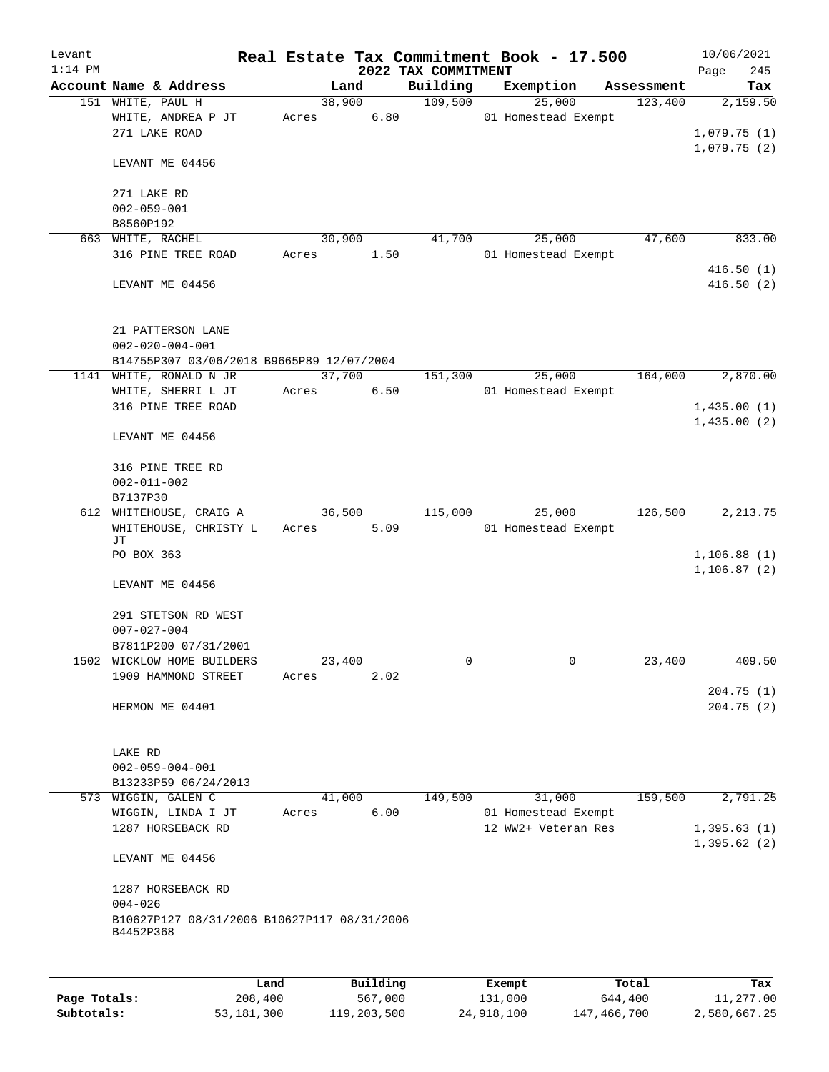| Levant       |                                                                         |       |        |          |                     | Real Estate Tax Commitment Book - 17.500 |            | 10/06/2021                 |
|--------------|-------------------------------------------------------------------------|-------|--------|----------|---------------------|------------------------------------------|------------|----------------------------|
| $1:14$ PM    |                                                                         |       |        |          | 2022 TAX COMMITMENT |                                          |            | Page<br>245                |
|              | Account Name & Address                                                  |       | Land   |          | Building            | Exemption                                | Assessment | Tax                        |
|              | 151 WHITE, PAUL H<br>WHITE, ANDREA P JT                                 | Acres | 38,900 | 6.80     | 109,500             | 25,000<br>01 Homestead Exempt            | 123,400    | 2,159.50                   |
|              | 271 LAKE ROAD                                                           |       |        |          |                     |                                          |            | 1,079.75(1)                |
|              |                                                                         |       |        |          |                     |                                          |            | 1,079.75(2)                |
|              | LEVANT ME 04456                                                         |       |        |          |                     |                                          |            |                            |
|              |                                                                         |       |        |          |                     |                                          |            |                            |
|              | 271 LAKE RD                                                             |       |        |          |                     |                                          |            |                            |
|              | $002 - 059 - 001$<br>B8560P192                                          |       |        |          |                     |                                          |            |                            |
|              | 663 WHITE, RACHEL                                                       |       | 30,900 |          | 41,700              | 25,000                                   | 47,600     | 833.00                     |
|              | 316 PINE TREE ROAD                                                      | Acres |        | 1.50     |                     | 01 Homestead Exempt                      |            |                            |
|              |                                                                         |       |        |          |                     |                                          |            | 416.50(1)                  |
|              | LEVANT ME 04456                                                         |       |        |          |                     |                                          |            | 416.50(2)                  |
|              | 21 PATTERSON LANE                                                       |       |        |          |                     |                                          |            |                            |
|              | $002 - 020 - 004 - 001$                                                 |       |        |          |                     |                                          |            |                            |
|              | B14755P307 03/06/2018 B9665P89 12/07/2004                               |       |        |          |                     |                                          |            |                            |
|              | 1141 WHITE, RONALD N JR                                                 |       | 37,700 |          | 151,300             | 25,000                                   | 164,000    | 2,870.00                   |
|              | WHITE, SHERRI L JT                                                      | Acres |        | 6.50     |                     | 01 Homestead Exempt                      |            |                            |
|              | 316 PINE TREE ROAD                                                      |       |        |          |                     |                                          |            | 1,435.00(1)                |
|              | LEVANT ME 04456                                                         |       |        |          |                     |                                          |            | 1,435.00(2)                |
|              | 316 PINE TREE RD                                                        |       |        |          |                     |                                          |            |                            |
|              | $002 - 011 - 002$                                                       |       |        |          |                     |                                          |            |                            |
|              | B7137P30                                                                |       |        |          |                     |                                          |            |                            |
|              | 612 WHITEHOUSE, CRAIG A<br>WHITEHOUSE, CHRISTY L                        | Acres | 36,500 | 5.09     | 115,000             | 25,000<br>01 Homestead Exempt            | 126,500    | 2, 213.75                  |
|              | JΤ<br>PO BOX 363                                                        |       |        |          |                     |                                          |            | 1, 106.88(1)               |
|              |                                                                         |       |        |          |                     |                                          |            | 1, 106.87(2)               |
|              | LEVANT ME 04456                                                         |       |        |          |                     |                                          |            |                            |
|              | 291 STETSON RD WEST                                                     |       |        |          |                     |                                          |            |                            |
|              | $007 - 027 - 004$                                                       |       |        |          |                     |                                          |            |                            |
|              | B7811P200 07/31/2001                                                    |       |        |          |                     |                                          |            |                            |
| 1502         | WICKLOW HOME BUILDERS                                                   |       | 23,400 |          | 0                   | 0                                        | 23,400     | 409.50                     |
|              | 1909 HAMMOND STREET                                                     | Acres |        | 2.02     |                     |                                          |            |                            |
|              | HERMON ME 04401                                                         |       |        |          |                     |                                          |            | 204.75(1)<br>204.75(2)     |
|              |                                                                         |       |        |          |                     |                                          |            |                            |
|              | LAKE RD                                                                 |       |        |          |                     |                                          |            |                            |
|              | $002 - 059 - 004 - 001$                                                 |       |        |          |                     |                                          |            |                            |
|              | B13233P59 06/24/2013                                                    |       |        |          |                     |                                          |            |                            |
|              | 573 WIGGIN, GALEN C                                                     |       | 41,000 |          | 149,500             | 31,000                                   | 159,500    | 2,791.25                   |
|              | WIGGIN, LINDA I JT                                                      | Acres |        | 6.00     |                     | 01 Homestead Exempt                      |            |                            |
|              | 1287 HORSEBACK RD                                                       |       |        |          |                     | 12 WW2+ Veteran Res                      |            | 1,395.63(1)<br>1,395.62(2) |
|              | LEVANT ME 04456                                                         |       |        |          |                     |                                          |            |                            |
|              | 1287 HORSEBACK RD                                                       |       |        |          |                     |                                          |            |                            |
|              | $004 - 026$<br>B10627P127 08/31/2006 B10627P117 08/31/2006<br>B4452P368 |       |        |          |                     |                                          |            |                            |
|              |                                                                         |       |        |          |                     |                                          |            |                            |
|              | Land                                                                    |       |        | Building |                     | Exempt                                   | Total      | Tax                        |
| Page Totals: | 208,400                                                                 |       |        | 567,000  |                     | 131,000                                  | 644,400    | 11,277.00                  |

**Subtotals:** 53,181,300 119,203,500 24,918,100 147,466,700 2,580,667.25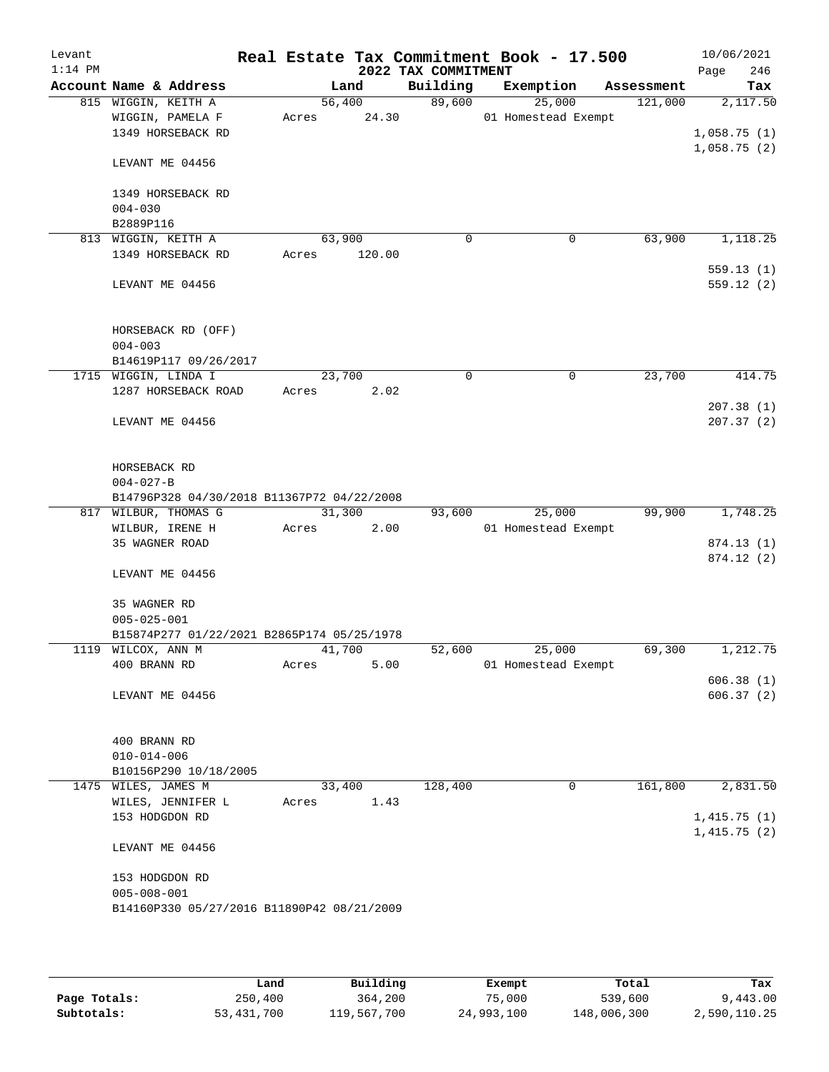| Levant<br>$1:14$ PM |                                                                               |                 |        | 2022 TAX COMMITMENT | Real Estate Tax Commitment Book - 17.500 |            | 10/06/2021<br>246<br>Page  |
|---------------------|-------------------------------------------------------------------------------|-----------------|--------|---------------------|------------------------------------------|------------|----------------------------|
|                     | Account Name & Address                                                        |                 | Land   | Building            | Exemption                                | Assessment | Tax                        |
|                     | 815 WIGGIN, KEITH A                                                           | 56,400          |        | 89,600              | 25,000                                   | 121,000    | 2,117.50                   |
|                     | WIGGIN, PAMELA F                                                              | Acres           | 24.30  |                     | 01 Homestead Exempt                      |            |                            |
|                     | 1349 HORSEBACK RD                                                             |                 |        |                     |                                          |            | 1,058.75(1)                |
|                     | LEVANT ME 04456                                                               |                 |        |                     |                                          |            | 1,058.75(2)                |
|                     | 1349 HORSEBACK RD                                                             |                 |        |                     |                                          |            |                            |
|                     | $004 - 030$                                                                   |                 |        |                     |                                          |            |                            |
|                     | B2889P116                                                                     |                 |        |                     |                                          |            |                            |
|                     | 813 WIGGIN, KEITH A                                                           | 63,900          |        | $\mathbf 0$         | $\mathbf 0$                              | 63,900     | 1,118.25                   |
|                     | 1349 HORSEBACK RD                                                             | Acres           | 120.00 |                     |                                          |            |                            |
|                     | LEVANT ME 04456                                                               |                 |        |                     |                                          |            | 559.13(1)<br>559.12(2)     |
|                     | HORSEBACK RD (OFF)<br>$004 - 003$                                             |                 |        |                     |                                          |            |                            |
|                     | B14619P117 09/26/2017                                                         |                 |        |                     |                                          |            |                            |
|                     | 1715 WIGGIN, LINDA I                                                          | 23,700          |        | $\Omega$            | $\mathbf 0$                              | 23,700     | 414.75                     |
|                     | 1287 HORSEBACK ROAD                                                           | Acres           | 2.02   |                     |                                          |            |                            |
|                     | LEVANT ME 04456                                                               |                 |        |                     |                                          |            | 207.38(1)<br>207.37(2)     |
|                     | HORSEBACK RD<br>$004 - 027 - B$<br>B14796P328 04/30/2018 B11367P72 04/22/2008 |                 |        |                     |                                          |            |                            |
|                     | 817 WILBUR, THOMAS G                                                          | 31,300          |        | 93,600              | 25,000                                   | 99,900     | 1,748.25                   |
|                     | WILBUR, IRENE H                                                               | Acres           | 2.00   |                     | 01 Homestead Exempt                      |            |                            |
|                     | 35 WAGNER ROAD                                                                |                 |        |                     |                                          |            | 874.13 (1)                 |
|                     | LEVANT ME 04456                                                               |                 |        |                     |                                          |            | 874.12 (2)                 |
|                     | 35 WAGNER RD<br>$005 - 025 - 001$                                             |                 |        |                     |                                          |            |                            |
|                     | B15874P277 01/22/2021 B2865P174 05/25/1978                                    |                 |        |                     |                                          |            |                            |
|                     | 1119 WILCOX, ANN M                                                            | 41,700          |        | 52,600              | 25,000                                   | 69,300     | 1,212.75                   |
|                     | 400 BRANN RD                                                                  | Acres           | 5.00   |                     | 01 Homestead Exempt                      |            |                            |
|                     | LEVANT ME 04456                                                               |                 |        |                     |                                          |            | 606.38(1)<br>606.37(2)     |
|                     | 400 BRANN RD                                                                  |                 |        |                     |                                          |            |                            |
|                     | $010 - 014 - 006$                                                             |                 |        |                     |                                          |            |                            |
|                     | B10156P290 10/18/2005                                                         |                 |        |                     | 0                                        | 161,800    |                            |
|                     | 1475 WILES, JAMES M<br>WILES, JENNIFER L                                      | 33,400<br>Acres | 1.43   | 128,400             |                                          |            | 2,831.50                   |
|                     | 153 HODGDON RD                                                                |                 |        |                     |                                          |            | 1,415.75(1)<br>1,415.75(2) |
|                     | LEVANT ME 04456                                                               |                 |        |                     |                                          |            |                            |
|                     | 153 HODGDON RD<br>$005 - 008 - 001$                                           |                 |        |                     |                                          |            |                            |
|                     | B14160P330 05/27/2016 B11890P42 08/21/2009                                    |                 |        |                     |                                          |            |                            |

|              | Land         | Building    | Exempt     | Total       | Tax          |
|--------------|--------------|-------------|------------|-------------|--------------|
| Page Totals: | 250,400      | 364,200     | 75,000     | 539,600     | 9,443.00     |
| Subtotals:   | 53, 431, 700 | 119,567,700 | 24,993,100 | 148,006,300 | 2,590,110.25 |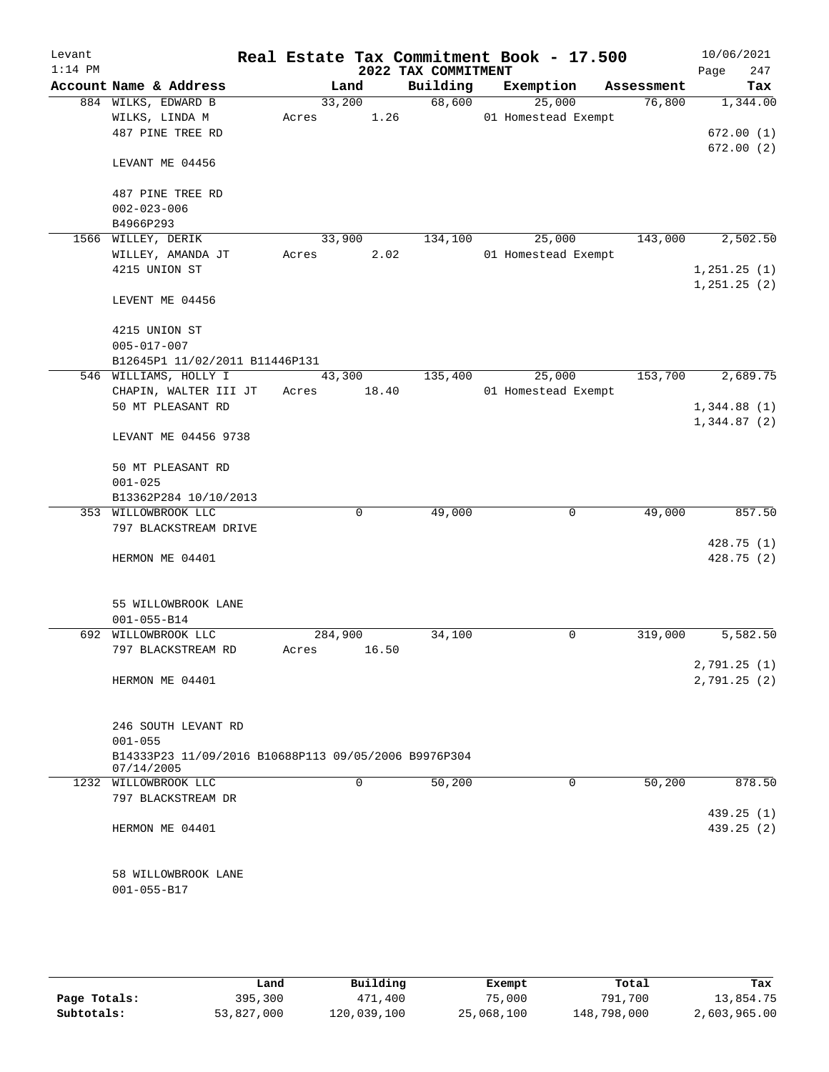| Levant<br>$1:14$ PM |                                                      |       |          | 2022 TAX COMMITMENT | Real Estate Tax Commitment Book - 17.500 |            | 10/06/2021<br>247<br>Page |
|---------------------|------------------------------------------------------|-------|----------|---------------------|------------------------------------------|------------|---------------------------|
|                     | Account Name & Address                               |       | Land     | Building            | Exemption                                | Assessment | Tax                       |
|                     | 884 WILKS, EDWARD B                                  |       | 33,200   | 68,600              | 25,000                                   | 76,800     | 1,344.00                  |
|                     | WILKS, LINDA M                                       | Acres | 1.26     |                     | 01 Homestead Exempt                      |            |                           |
|                     | 487 PINE TREE RD                                     |       |          |                     |                                          |            | 672.00(1)                 |
|                     |                                                      |       |          |                     |                                          |            | 672.00(2)                 |
|                     | LEVANT ME 04456                                      |       |          |                     |                                          |            |                           |
|                     | 487 PINE TREE RD                                     |       |          |                     |                                          |            |                           |
|                     | $002 - 023 - 006$                                    |       |          |                     |                                          |            |                           |
|                     | B4966P293                                            |       |          |                     |                                          |            |                           |
|                     | 1566 WILLEY, DERIK                                   |       | 33,900   | 134,100             | 25,000                                   | 143,000    | 2,502.50                  |
|                     | WILLEY, AMANDA JT                                    | Acres | 2.02     |                     | 01 Homestead Exempt                      |            |                           |
|                     | 4215 UNION ST                                        |       |          |                     |                                          |            | 1, 251.25(1)              |
|                     |                                                      |       |          |                     |                                          |            | 1, 251.25(2)              |
|                     | LEVENT ME 04456                                      |       |          |                     |                                          |            |                           |
|                     | 4215 UNION ST                                        |       |          |                     |                                          |            |                           |
|                     | $005 - 017 - 007$                                    |       |          |                     |                                          |            |                           |
|                     | B12645P1 11/02/2011 B11446P131                       |       |          |                     |                                          |            |                           |
|                     | 546 WILLIAMS, HOLLY I                                |       | 43,300   | 135,400             | 25,000                                   | 153,700    | 2,689.75                  |
|                     | CHAPIN, WALTER III JT                                | Acres | 18.40    |                     | 01 Homestead Exempt                      |            |                           |
|                     | 50 MT PLEASANT RD                                    |       |          |                     |                                          |            | 1,344.88(1)               |
|                     | LEVANT ME 04456 9738                                 |       |          |                     |                                          |            | 1,344.87(2)               |
|                     | 50 MT PLEASANT RD                                    |       |          |                     |                                          |            |                           |
|                     | $001 - 025$                                          |       |          |                     |                                          |            |                           |
|                     | B13362P284 10/10/2013                                |       |          |                     |                                          |            |                           |
|                     | 353 WILLOWBROOK LLC                                  |       | 0        | 49,000              | 0                                        | 49,000     | 857.50                    |
|                     | 797 BLACKSTREAM DRIVE                                |       |          |                     |                                          |            |                           |
|                     |                                                      |       |          |                     |                                          |            | 428.75 (1)                |
|                     | HERMON ME 04401                                      |       |          |                     |                                          |            | 428.75 (2)                |
|                     |                                                      |       |          |                     |                                          |            |                           |
|                     | 55 WILLOWBROOK LANE                                  |       |          |                     |                                          |            |                           |
|                     | $001 - 055 - B14$                                    |       |          |                     |                                          |            |                           |
|                     | 692 WILLOWBROOK LLC                                  |       | 284,900  | 34,100              | 0                                        | 319,000    | 5,582.50                  |
|                     | 797 BLACKSTREAM RD                                   | Acres | 16.50    |                     |                                          |            |                           |
|                     |                                                      |       |          |                     |                                          |            | 2,791.25 (1)              |
|                     | HERMON ME 04401                                      |       |          |                     |                                          |            | 2,791.25 (2)              |
|                     | 246 SOUTH LEVANT RD                                  |       |          |                     |                                          |            |                           |
|                     | $001 - 055$                                          |       |          |                     |                                          |            |                           |
|                     | B14333P23 11/09/2016 B10688P113 09/05/2006 B9976P304 |       |          |                     |                                          |            |                           |
|                     | 07/14/2005                                           |       |          |                     |                                          |            |                           |
|                     | 1232 WILLOWBROOK LLC                                 |       | $\Omega$ | 50,200              | 0                                        | 50,200     | 878.50                    |
|                     | 797 BLACKSTREAM DR                                   |       |          |                     |                                          |            |                           |
|                     |                                                      |       |          |                     |                                          |            | 439.25(1)                 |
|                     | HERMON ME 04401                                      |       |          |                     |                                          |            | 439.25(2)                 |
|                     |                                                      |       |          |                     |                                          |            |                           |
|                     | 58 WILLOWBROOK LANE<br>$001 - 055 - B17$             |       |          |                     |                                          |            |                           |
|                     |                                                      |       |          |                     |                                          |            |                           |

|              | Land       | Building    | Exempt     | Total       | Tax          |
|--------------|------------|-------------|------------|-------------|--------------|
| Page Totals: | 395,300    | 471,400     | 75,000     | 791,700     | 13,854.75    |
| Subtotals:   | 53,827,000 | 120,039,100 | 25,068,100 | 148,798,000 | 2,603,965.00 |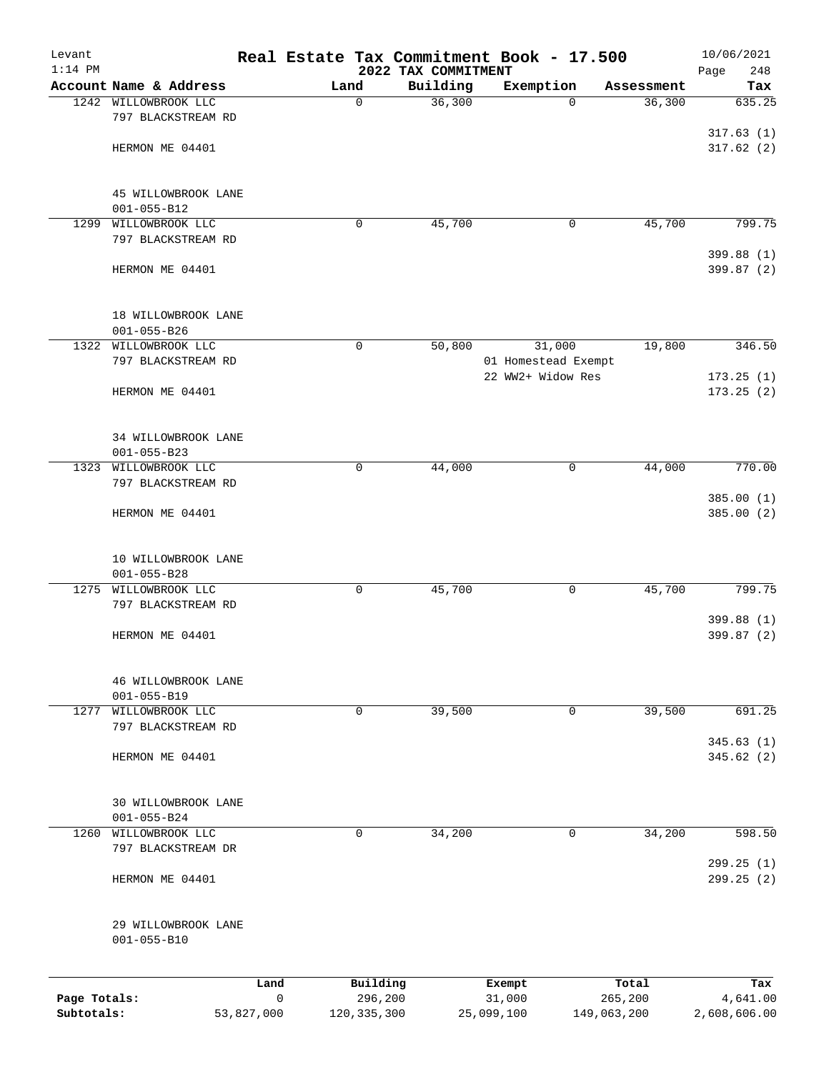| Levant<br>$1:14$ PM |                                          |             |               | 2022 TAX COMMITMENT | Real Estate Tax Commitment Book - 17.500 |             | 10/06/2021<br>Page<br>248 |
|---------------------|------------------------------------------|-------------|---------------|---------------------|------------------------------------------|-------------|---------------------------|
|                     | Account Name & Address                   |             | Land          | Building            | Exemption                                | Assessment  | Tax                       |
| 1242                | WILLOWBROOK LLC                          |             | $\mathbf 0$   | 36,300              | $\Omega$                                 | 36,300      | 635.25                    |
|                     | 797 BLACKSTREAM RD                       |             |               |                     |                                          |             |                           |
|                     |                                          |             |               |                     |                                          |             | 317.63(1)                 |
|                     | HERMON ME 04401                          |             |               |                     |                                          |             | 317.62(2)                 |
|                     |                                          |             |               |                     |                                          |             |                           |
|                     |                                          |             |               |                     |                                          |             |                           |
|                     | 45 WILLOWBROOK LANE<br>$001 - 055 - B12$ |             |               |                     |                                          |             |                           |
| 1299                | WILLOWBROOK LLC                          |             | 0             | 45,700              | 0                                        | 45,700      | 799.75                    |
|                     | 797 BLACKSTREAM RD                       |             |               |                     |                                          |             |                           |
|                     |                                          |             |               |                     |                                          |             | 399.88 (1)                |
|                     | HERMON ME 04401                          |             |               |                     |                                          |             | 399.87 (2)                |
|                     |                                          |             |               |                     |                                          |             |                           |
|                     | 18 WILLOWBROOK LANE                      |             |               |                     |                                          |             |                           |
|                     | $001 - 055 - B26$                        |             |               |                     |                                          |             |                           |
| 1322                | WILLOWBROOK LLC                          |             | $\mathbf 0$   | 50,800              | 31,000                                   | 19,800      | 346.50                    |
|                     | 797 BLACKSTREAM RD                       |             |               |                     | 01 Homestead Exempt                      |             |                           |
|                     |                                          |             |               |                     | 22 WW2+ Widow Res                        |             | 173.25(1)                 |
|                     | HERMON ME 04401                          |             |               |                     |                                          |             | 173.25(2)                 |
|                     |                                          |             |               |                     |                                          |             |                           |
|                     | 34 WILLOWBROOK LANE                      |             |               |                     |                                          |             |                           |
|                     | $001 - 055 - B23$                        |             |               |                     |                                          |             |                           |
| 1323                | WILLOWBROOK LLC                          |             | 0             | 44,000              | $\mathsf{O}$                             | 44,000      | 770.00                    |
|                     | 797 BLACKSTREAM RD                       |             |               |                     |                                          |             |                           |
|                     |                                          |             |               |                     |                                          |             | 385.00(1)                 |
|                     | HERMON ME 04401                          |             |               |                     |                                          |             | 385.00 (2)                |
|                     |                                          |             |               |                     |                                          |             |                           |
|                     | 10 WILLOWBROOK LANE                      |             |               |                     |                                          |             |                           |
|                     | $001 - 055 - B28$                        |             |               |                     |                                          |             |                           |
| 1275                | WILLOWBROOK LLC                          |             | 0             | 45,700              | 0                                        | 45,700      | 799.75                    |
|                     | 797 BLACKSTREAM RD                       |             |               |                     |                                          |             |                           |
|                     |                                          |             |               |                     |                                          |             | 399.88(1)                 |
|                     | HERMON ME 04401                          |             |               |                     |                                          |             | 399.87(2)                 |
|                     |                                          |             |               |                     |                                          |             |                           |
|                     | <b>46 WILLOWBROOK LANE</b>               |             |               |                     |                                          |             |                           |
|                     | $001 - 055 - B19$                        |             |               |                     |                                          |             |                           |
| 1277                | WILLOWBROOK LLC                          |             | $\mathbf 0$   | 39,500              | $\mathbf 0$                              | 39,500      | 691.25                    |
|                     | 797 BLACKSTREAM RD                       |             |               |                     |                                          |             |                           |
|                     |                                          |             |               |                     |                                          |             | 345.63(1)                 |
|                     | HERMON ME 04401                          |             |               |                     |                                          |             | 345.62(2)                 |
|                     |                                          |             |               |                     |                                          |             |                           |
|                     | 30 WILLOWBROOK LANE                      |             |               |                     |                                          |             |                           |
|                     | $001 - 055 - B24$                        |             |               |                     |                                          |             |                           |
| 1260                | WILLOWBROOK LLC                          |             | 0             | 34,200              | 0                                        | 34,200      | 598.50                    |
|                     | 797 BLACKSTREAM DR                       |             |               |                     |                                          |             |                           |
|                     |                                          |             |               |                     |                                          |             | 299.25(1)                 |
|                     | HERMON ME 04401                          |             |               |                     |                                          |             | 299.25 (2)                |
|                     |                                          |             |               |                     |                                          |             |                           |
|                     | 29 WILLOWBROOK LANE                      |             |               |                     |                                          |             |                           |
|                     | $001 - 055 - B10$                        |             |               |                     |                                          |             |                           |
|                     |                                          |             |               |                     |                                          |             |                           |
|                     |                                          | Land        | Building      |                     | Exempt                                   | Total       | Tax                       |
| Page Totals:        |                                          | $\mathbf 0$ | 296,200       |                     | 31,000                                   | 265,200     | 4,641.00                  |
| Subtotals:          | 53,827,000                               |             | 120, 335, 300 |                     | 25,099,100                               | 149,063,200 | 2,608,606.00              |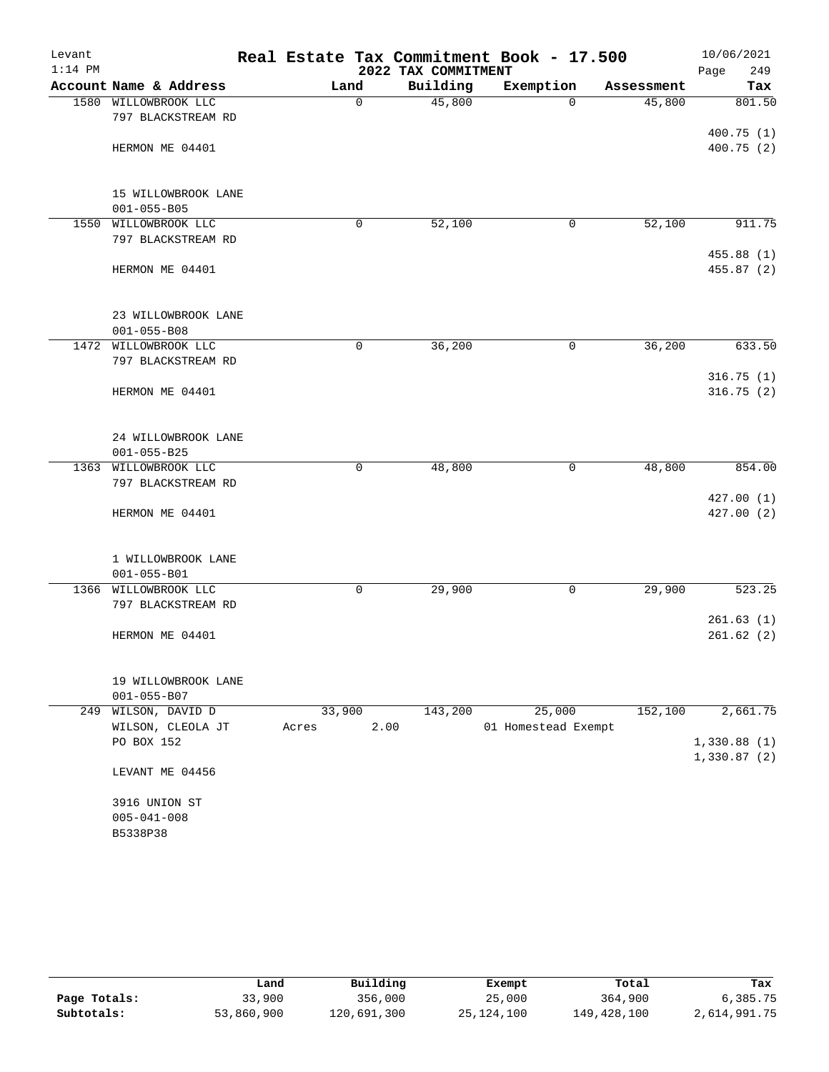| Levant    |                                           |               |                     | Real Estate Tax Commitment Book - 17.500 |            | 10/06/2021  |
|-----------|-------------------------------------------|---------------|---------------------|------------------------------------------|------------|-------------|
| $1:14$ PM |                                           |               | 2022 TAX COMMITMENT |                                          | Page       | 249         |
|           | Account Name & Address                    | Land          | Building            | Exemption                                | Assessment | Tax         |
|           | 1580 WILLOWBROOK LLC                      | $\mathbf 0$   | 45,800              | $\Omega$                                 | 45,800     | 801.50      |
|           | 797 BLACKSTREAM RD                        |               |                     |                                          |            |             |
|           |                                           |               |                     |                                          |            | 400.75(1)   |
|           | HERMON ME 04401                           |               |                     |                                          |            | 400.75(2)   |
|           |                                           |               |                     |                                          |            |             |
|           |                                           |               |                     |                                          |            |             |
|           | 15 WILLOWBROOK LANE<br>$001 - 055 - B05$  |               |                     |                                          |            |             |
| 1550      | WILLOWBROOK LLC                           | 0             | 52,100              | 0                                        | 52,100     | 911.75      |
|           | 797 BLACKSTREAM RD                        |               |                     |                                          |            |             |
|           |                                           |               |                     |                                          |            | 455.88 (1)  |
|           | HERMON ME 04401                           |               |                     |                                          |            | 455.87(2)   |
|           |                                           |               |                     |                                          |            |             |
|           |                                           |               |                     |                                          |            |             |
|           | 23 WILLOWBROOK LANE                       |               |                     |                                          |            |             |
|           | $001 - 055 - B08$                         |               |                     |                                          |            |             |
|           | 1472 WILLOWBROOK LLC                      | $\mathbf 0$   | 36,200              | $\mathbf 0$                              | 36,200     | 633.50      |
|           | 797 BLACKSTREAM RD                        |               |                     |                                          |            |             |
|           |                                           |               |                     |                                          |            | 316.75(1)   |
|           | HERMON ME 04401                           |               |                     |                                          |            | 316.75(2)   |
|           |                                           |               |                     |                                          |            |             |
|           |                                           |               |                     |                                          |            |             |
|           | 24 WILLOWBROOK LANE                       |               |                     |                                          |            |             |
|           | $001 - 055 - B25$<br>1363 WILLOWBROOK LLC | 0             | 48,800              | 0                                        | 48,800     | 854.00      |
|           | 797 BLACKSTREAM RD                        |               |                     |                                          |            |             |
|           |                                           |               |                     |                                          |            | 427.00(1)   |
|           | HERMON ME 04401                           |               |                     |                                          |            | 427.00 (2)  |
|           |                                           |               |                     |                                          |            |             |
|           |                                           |               |                     |                                          |            |             |
|           | 1 WILLOWBROOK LANE                        |               |                     |                                          |            |             |
|           | $001 - 055 - B01$                         |               |                     |                                          |            |             |
| 1366      | WILLOWBROOK LLC                           | $\mathbf 0$   | 29,900              | $\mathbf 0$                              | 29,900     | 523.25      |
|           | 797 BLACKSTREAM RD                        |               |                     |                                          |            |             |
|           |                                           |               |                     |                                          |            | 261.63(1)   |
|           | HERMON ME 04401                           |               |                     |                                          |            | 261.62(2)   |
|           |                                           |               |                     |                                          |            |             |
|           |                                           |               |                     |                                          |            |             |
|           | 19 WILLOWBROOK LANE                       |               |                     |                                          |            |             |
|           | $001 - 055 - B07$<br>249 WILSON, DAVID D  | 33,900        | 143,200             | 25,000                                   | 152,100    | 2,661.75    |
|           | WILSON, CLEOLA JT                         | 2.00<br>Acres |                     | 01 Homestead Exempt                      |            |             |
|           | PO BOX 152                                |               |                     |                                          |            | 1,330.88(1) |
|           |                                           |               |                     |                                          |            | 1,330.87(2) |
|           | LEVANT ME 04456                           |               |                     |                                          |            |             |
|           |                                           |               |                     |                                          |            |             |
|           | 3916 UNION ST                             |               |                     |                                          |            |             |
|           | $005 - 041 - 008$                         |               |                     |                                          |            |             |
|           | B5338P38                                  |               |                     |                                          |            |             |
|           |                                           |               |                     |                                          |            |             |

|              | Land       | Building    | Exempt       | Total       | Tax          |
|--------------|------------|-------------|--------------|-------------|--------------|
| Page Totals: | 33,900     | 356,000     | 25,000       | 364,900     | 6,385.75     |
| Subtotals:   | 53,860,900 | 120,691,300 | 25, 124, 100 | 149,428,100 | 2,614,991.75 |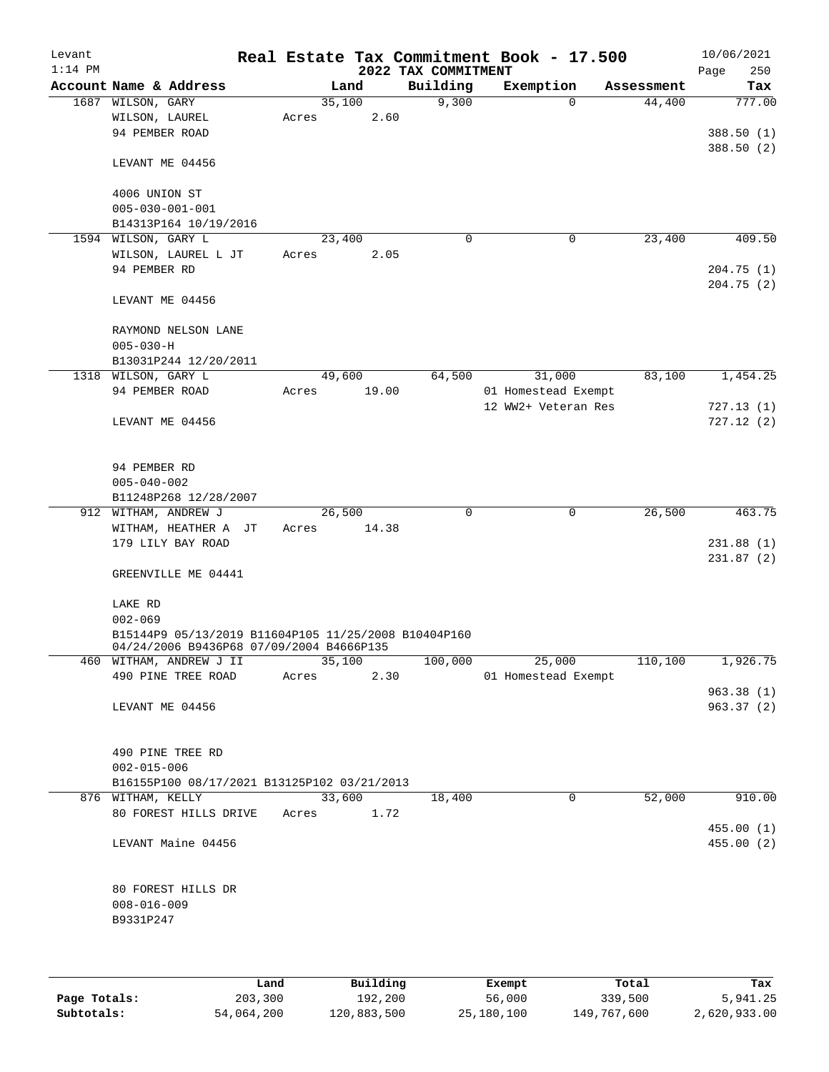| Levant    |                                                                                                  |        |       |                     | Real Estate Tax Commitment Book - 17.500 |            | 10/06/2021  |
|-----------|--------------------------------------------------------------------------------------------------|--------|-------|---------------------|------------------------------------------|------------|-------------|
| $1:14$ PM |                                                                                                  |        |       | 2022 TAX COMMITMENT |                                          |            | 250<br>Page |
|           | Account Name & Address                                                                           |        | Land  | Building            | Exemption                                | Assessment | Tax         |
|           | 1687 WILSON, GARY                                                                                | 35,100 |       | 9,300               | $\Omega$                                 | 44,400     | 777.00      |
|           | WILSON, LAUREL                                                                                   | Acres  | 2.60  |                     |                                          |            |             |
|           | 94 PEMBER ROAD                                                                                   |        |       |                     |                                          |            | 388.50(1)   |
|           |                                                                                                  |        |       |                     |                                          |            | 388.50(2)   |
|           | LEVANT ME 04456                                                                                  |        |       |                     |                                          |            |             |
|           |                                                                                                  |        |       |                     |                                          |            |             |
|           | 4006 UNION ST                                                                                    |        |       |                     |                                          |            |             |
|           | $005 - 030 - 001 - 001$                                                                          |        |       |                     |                                          |            |             |
|           | B14313P164 10/19/2016                                                                            |        |       |                     |                                          |            |             |
|           | 1594 WILSON, GARY L                                                                              | 23,400 |       | $\mathbf 0$         | 0                                        | 23,400     | 409.50      |
|           | WILSON, LAUREL L JT                                                                              | Acres  | 2.05  |                     |                                          |            |             |
|           | 94 PEMBER RD                                                                                     |        |       |                     |                                          |            | 204.75(1)   |
|           |                                                                                                  |        |       |                     |                                          |            | 204.75 (2)  |
|           | LEVANT ME 04456                                                                                  |        |       |                     |                                          |            |             |
|           |                                                                                                  |        |       |                     |                                          |            |             |
|           | RAYMOND NELSON LANE                                                                              |        |       |                     |                                          |            |             |
|           | $005 - 030 - H$                                                                                  |        |       |                     |                                          |            |             |
|           | B13031P244 12/20/2011                                                                            |        |       |                     |                                          |            |             |
|           | 1318 WILSON, GARY L                                                                              | 49,600 |       | 64,500              | 31,000                                   | 83,100     | 1,454.25    |
|           | 94 PEMBER ROAD                                                                                   | Acres  | 19.00 |                     | 01 Homestead Exempt                      |            |             |
|           |                                                                                                  |        |       |                     | 12 WW2+ Veteran Res                      |            | 727.13(1)   |
|           | LEVANT ME 04456                                                                                  |        |       |                     |                                          |            | 727.12(2)   |
|           |                                                                                                  |        |       |                     |                                          |            |             |
|           |                                                                                                  |        |       |                     |                                          |            |             |
|           | 94 PEMBER RD                                                                                     |        |       |                     |                                          |            |             |
|           | $005 - 040 - 002$                                                                                |        |       |                     |                                          |            |             |
|           | B11248P268 12/28/2007                                                                            |        |       |                     |                                          |            |             |
|           | 912 WITHAM, ANDREW J                                                                             | 26,500 |       | $\Omega$            | $\mathbf 0$                              | 26,500     | 463.75      |
|           | WITHAM, HEATHER A JT                                                                             | Acres  | 14.38 |                     |                                          |            |             |
|           | 179 LILY BAY ROAD                                                                                |        |       |                     |                                          |            | 231.88(1)   |
|           |                                                                                                  |        |       |                     |                                          |            | 231.87(2)   |
|           | GREENVILLE ME 04441                                                                              |        |       |                     |                                          |            |             |
|           |                                                                                                  |        |       |                     |                                          |            |             |
|           | LAKE RD                                                                                          |        |       |                     |                                          |            |             |
|           | $002 - 069$                                                                                      |        |       |                     |                                          |            |             |
|           | B15144P9 05/13/2019 B11604P105 11/25/2008 B10404P160<br>04/24/2006 B9436P68 07/09/2004 B4666P135 |        |       |                     |                                          |            |             |
|           | 460 WITHAM, ANDREW J II                                                                          | 35,100 |       | 100,000             | 25,000                                   | 110,100    | 1,926.75    |
|           | 490 PINE TREE ROAD                                                                               | Acres  | 2.30  |                     | 01 Homestead Exempt                      |            |             |
|           |                                                                                                  |        |       |                     |                                          |            | 963.38(1)   |
|           | LEVANT ME 04456                                                                                  |        |       |                     |                                          |            | 963.37(2)   |
|           |                                                                                                  |        |       |                     |                                          |            |             |
|           |                                                                                                  |        |       |                     |                                          |            |             |
|           | 490 PINE TREE RD                                                                                 |        |       |                     |                                          |            |             |
|           | $002 - 015 - 006$                                                                                |        |       |                     |                                          |            |             |
|           | B16155P100 08/17/2021 B13125P102 03/21/2013                                                      |        |       |                     |                                          |            |             |
|           | 876 WITHAM, KELLY                                                                                | 33,600 |       | 18,400              | 0                                        | 52,000     | 910.00      |
|           | 80 FOREST HILLS DRIVE                                                                            | Acres  | 1.72  |                     |                                          |            |             |
|           |                                                                                                  |        |       |                     |                                          |            | 455.00(1)   |
|           | LEVANT Maine 04456                                                                               |        |       |                     |                                          |            | 455.00(2)   |
|           |                                                                                                  |        |       |                     |                                          |            |             |
|           |                                                                                                  |        |       |                     |                                          |            |             |
|           | 80 FOREST HILLS DR                                                                               |        |       |                     |                                          |            |             |
|           | $008 - 016 - 009$                                                                                |        |       |                     |                                          |            |             |
|           | B9331P247                                                                                        |        |       |                     |                                          |            |             |
|           |                                                                                                  |        |       |                     |                                          |            |             |
|           |                                                                                                  |        |       |                     |                                          |            |             |
|           |                                                                                                  |        |       |                     |                                          |            |             |

|              | Land       | Building    | Exempt     | Total       | Tax          |
|--------------|------------|-------------|------------|-------------|--------------|
| Page Totals: | 203,300    | 192,200     | 56,000     | 339,500     | 5,941.25     |
| Subtotals:   | 54,064,200 | 120,883,500 | 25,180,100 | 149,767,600 | 2,620,933.00 |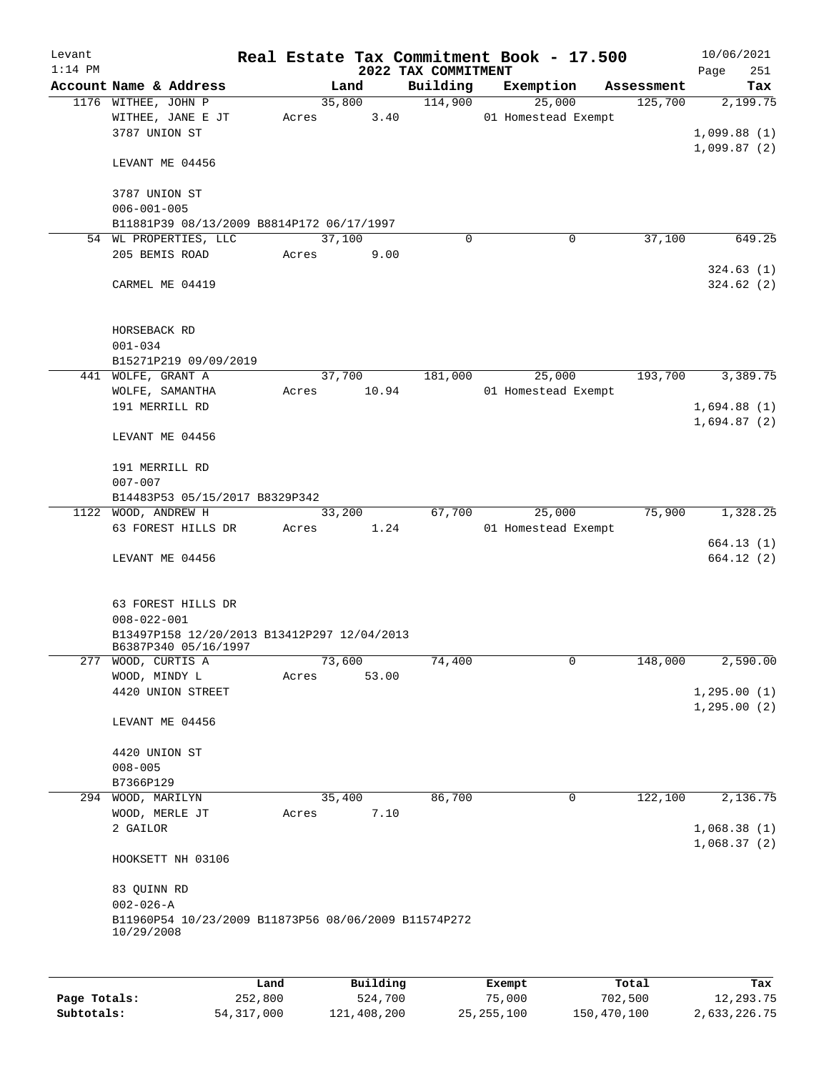| Levant<br>$1:14$ PM |                                                                     |       |                | 2022 TAX COMMITMENT | Real Estate Tax Commitment Book - 17.500 |            | 10/06/2021<br>251<br>Page    |
|---------------------|---------------------------------------------------------------------|-------|----------------|---------------------|------------------------------------------|------------|------------------------------|
|                     | Account Name & Address                                              |       | Land           | Building            | Exemption                                | Assessment | Tax                          |
|                     | 1176 WITHEE, JOHN P                                                 |       | 35,800         | 114,900             | 25,000                                   | 125,700    | 2,199.75                     |
|                     | WITHEE, JANE E JT<br>3787 UNION ST                                  | Acres | 3.40           |                     | 01 Homestead Exempt                      |            | 1,099.88(1)<br>1,099.87(2)   |
|                     | LEVANT ME 04456                                                     |       |                |                     |                                          |            |                              |
|                     | 3787 UNION ST<br>$006 - 001 - 005$                                  |       |                |                     |                                          |            |                              |
|                     | B11881P39 08/13/2009 B8814P172 06/17/1997                           |       |                |                     |                                          |            |                              |
|                     | 54 WL PROPERTIES, LLC                                               |       | 37,100         | $\Omega$            | 0                                        | 37,100     | 649.25                       |
|                     | 205 BEMIS ROAD                                                      | Acres | 9.00           |                     |                                          |            | 324.63(1)                    |
|                     | CARMEL ME 04419                                                     |       |                |                     |                                          |            | 324.62(2)                    |
|                     | HORSEBACK RD<br>$001 - 034$                                         |       |                |                     |                                          |            |                              |
|                     | B15271P219 09/09/2019                                               |       |                |                     |                                          |            |                              |
|                     | 441 WOLFE, GRANT A                                                  |       | 37,700         | 181,000             | 25,000                                   | 193,700    | 3,389.75                     |
|                     | WOLFE, SAMANTHA                                                     | Acres | 10.94          |                     | 01 Homestead Exempt                      |            |                              |
|                     | 191 MERRILL RD                                                      |       |                |                     |                                          |            | 1,694.88(1)                  |
|                     | LEVANT ME 04456                                                     |       |                |                     |                                          |            | 1,694.87(2)                  |
|                     | 191 MERRILL RD                                                      |       |                |                     |                                          |            |                              |
|                     | $007 - 007$                                                         |       |                |                     |                                          |            |                              |
|                     | B14483P53 05/15/2017 B8329P342                                      |       |                |                     |                                          |            |                              |
|                     | 1122 WOOD, ANDREW H                                                 |       | 33,200         | 67,700              | 25,000                                   | 75,900     | 1,328.25                     |
|                     | 63 FOREST HILLS DR                                                  | Acres | 1.24           |                     | 01 Homestead Exempt                      |            |                              |
|                     | LEVANT ME 04456                                                     |       |                |                     |                                          |            | 664.13(1)<br>664.12(2)       |
|                     |                                                                     |       |                |                     |                                          |            |                              |
|                     | 63 FOREST HILLS DR<br>$008 - 022 - 001$                             |       |                |                     |                                          |            |                              |
|                     | B13497P158 12/20/2013 B13412P297 12/04/2013<br>B6387P340 05/16/1997 |       |                |                     |                                          |            |                              |
| 277                 | WOOD, CURTIS A                                                      |       | 73,600         | 74,400              | 0                                        | 148,000    | 2,590.00                     |
|                     | WOOD, MINDY L                                                       | Acres | 53.00          |                     |                                          |            |                              |
|                     | 4420 UNION STREET                                                   |       |                |                     |                                          |            | 1, 295.00(1)<br>1, 295.00(2) |
|                     | LEVANT ME 04456                                                     |       |                |                     |                                          |            |                              |
|                     | 4420 UNION ST                                                       |       |                |                     |                                          |            |                              |
|                     | $008 - 005$                                                         |       |                |                     |                                          |            |                              |
|                     | B7366P129                                                           |       |                | 86,700              | 0                                        | 122,100    |                              |
|                     | 294 WOOD, MARILYN<br>WOOD, MERLE JT                                 | Acres | 35,400<br>7.10 |                     |                                          |            | 2,136.75                     |
|                     | 2 GAILOR                                                            |       |                |                     |                                          |            | 1,068.38(1)<br>1,068.37(2)   |
|                     | HOOKSETT NH 03106                                                   |       |                |                     |                                          |            |                              |
|                     | 83 QUINN RD                                                         |       |                |                     |                                          |            |                              |
|                     | $002 - 026 - A$                                                     |       |                |                     |                                          |            |                              |
|                     | B11960P54 10/23/2009 B11873P56 08/06/2009 B11574P272<br>10/29/2008  |       |                |                     |                                          |            |                              |
|                     |                                                                     |       |                |                     |                                          |            |                              |
|                     |                                                                     | Land  | Building       |                     | Exempt                                   | Total      | Tax                          |

|              | Lanu       | Building    | вхешрс       | TOLAT       | rax.         |
|--------------|------------|-------------|--------------|-------------|--------------|
| Page Totals: | 252,800    | 524,700     | 75,000       | 702,500     | 12,293.75    |
| Subtotals:   | 54,317,000 | 121,408,200 | 25, 255, 100 | 150,470,100 | 2,633,226.75 |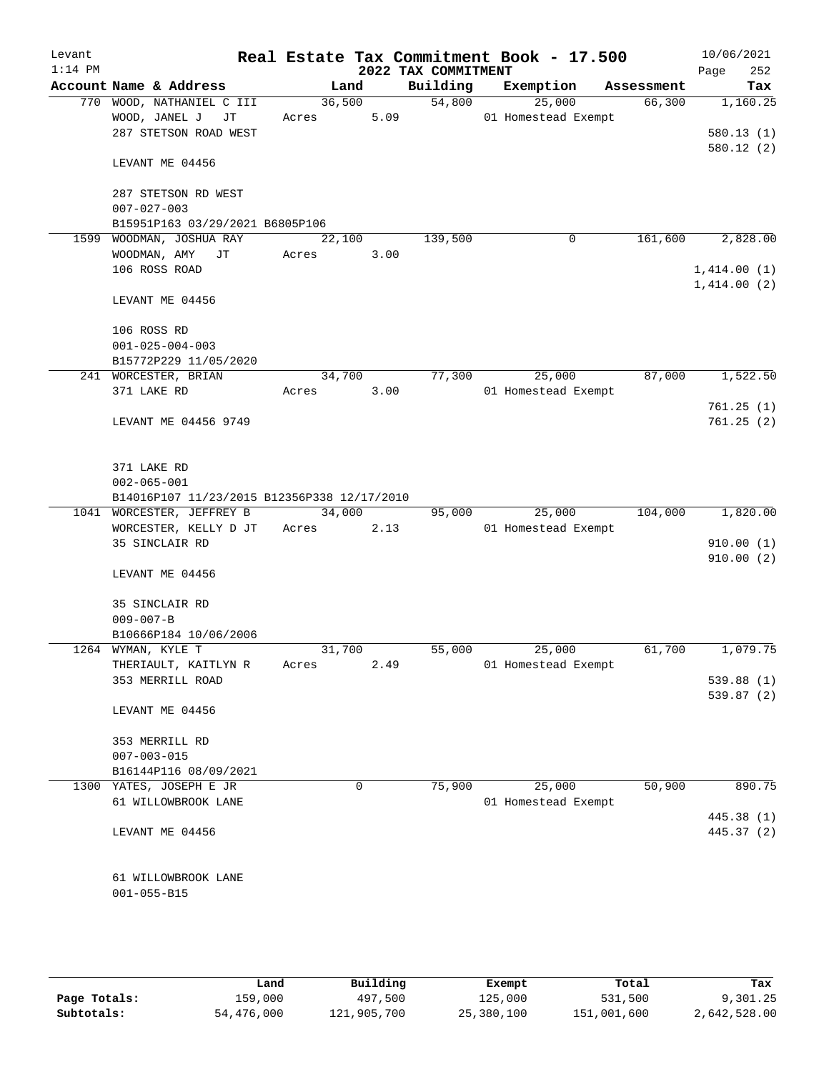| Levant<br>$1:14$ PM |                                               |                 |      | 2022 TAX COMMITMENT | Real Estate Tax Commitment Book - 17.500 |            | 10/06/2021<br>252<br>Page |
|---------------------|-----------------------------------------------|-----------------|------|---------------------|------------------------------------------|------------|---------------------------|
|                     | Account Name & Address                        | Land            |      | Building            | Exemption                                | Assessment | Tax                       |
|                     | 770 WOOD, NATHANIEL C III                     | 36,500          |      | 54,800              | 25,000                                   | 66,300     | 1,160.25                  |
|                     | WOOD, JANEL J<br>JТ                           | Acres           | 5.09 |                     | 01 Homestead Exempt                      |            |                           |
|                     | 287 STETSON ROAD WEST                         |                 |      |                     |                                          |            | 580.13(1)                 |
|                     | LEVANT ME 04456                               |                 |      |                     |                                          |            | 580.12(2)                 |
|                     | 287 STETSON RD WEST<br>$007 - 027 - 003$      |                 |      |                     |                                          |            |                           |
|                     | B15951P163 03/29/2021 B6805P106               |                 |      |                     |                                          |            |                           |
| 1599                | WOODMAN, JOSHUA RAY                           | 22,100          |      | 139,500             | 0                                        | 161,600    | 2,828.00                  |
|                     | WOODMAN, AMY JT                               | Acres           | 3.00 |                     |                                          |            |                           |
|                     | 106 ROSS ROAD                                 |                 |      |                     |                                          |            | 1,414.00(1)               |
|                     | LEVANT ME 04456                               |                 |      |                     |                                          |            | 1,414.00(2)               |
|                     |                                               |                 |      |                     |                                          |            |                           |
|                     | 106 ROSS RD                                   |                 |      |                     |                                          |            |                           |
|                     | $001 - 025 - 004 - 003$                       |                 |      |                     |                                          |            |                           |
|                     | B15772P229 11/05/2020<br>241 WORCESTER, BRIAN | 34,700          |      | 77,300              | 25,000                                   | 87,000     | 1,522.50                  |
|                     | 371 LAKE RD                                   | Acres           | 3.00 |                     | 01 Homestead Exempt                      |            |                           |
|                     |                                               |                 |      |                     |                                          |            | 761.25(1)                 |
|                     | LEVANT ME 04456 9749                          |                 |      |                     |                                          |            | 761.25(2)                 |
|                     | 371 LAKE RD                                   |                 |      |                     |                                          |            |                           |
|                     | $002 - 065 - 001$                             |                 |      |                     |                                          |            |                           |
|                     | B14016P107 11/23/2015 B12356P338 12/17/2010   |                 |      |                     |                                          |            |                           |
|                     | 1041 WORCESTER, JEFFREY B                     | 34,000          |      | 95,000              | 25,000                                   | 104,000    | 1,820.00                  |
|                     | WORCESTER, KELLY D JT                         | Acres           | 2.13 |                     | 01 Homestead Exempt                      |            |                           |
|                     | 35 SINCLAIR RD                                |                 |      |                     |                                          |            | 910.00(1)                 |
|                     | LEVANT ME 04456                               |                 |      |                     |                                          |            | 910.00(2)                 |
|                     | 35 SINCLAIR RD                                |                 |      |                     |                                          |            |                           |
|                     | $009 - 007 - B$                               |                 |      |                     |                                          |            |                           |
|                     | B10666P184 10/06/2006                         |                 |      |                     |                                          |            |                           |
|                     | 1264 WYMAN, KYLE T<br>THERIAULT, KAITLYN R    | 31,700<br>Acres | 2.49 | 55,000              | 25,000<br>01 Homestead Exempt            | 61,700     | 1,079.75                  |
|                     | 353 MERRILL ROAD                              |                 |      |                     |                                          |            | 539.88(1)                 |
|                     |                                               |                 |      |                     |                                          |            | 539.87 (2)                |
|                     | LEVANT ME 04456                               |                 |      |                     |                                          |            |                           |
|                     | 353 MERRILL RD                                |                 |      |                     |                                          |            |                           |
|                     | $007 - 003 - 015$                             |                 |      |                     |                                          |            |                           |
|                     | B16144P116 08/09/2021                         |                 |      |                     |                                          |            |                           |
|                     | 1300 YATES, JOSEPH E JR                       |                 | 0    | 75,900              | 25,000<br>01 Homestead Exempt            | 50,900     | 890.75                    |
|                     | 61 WILLOWBROOK LANE                           |                 |      |                     |                                          |            | 445.38 (1)                |
|                     | LEVANT ME 04456                               |                 |      |                     |                                          |            | 445.37 (2)                |
|                     |                                               |                 |      |                     |                                          |            |                           |
|                     | 61 WILLOWBROOK LANE                           |                 |      |                     |                                          |            |                           |
|                     | $001 - 055 - B15$                             |                 |      |                     |                                          |            |                           |
|                     |                                               |                 |      |                     |                                          |            |                           |
|                     |                                               |                 |      |                     |                                          |            |                           |

|              | Land       | Building    | Exempt     | Total       | Tax          |
|--------------|------------|-------------|------------|-------------|--------------|
| Page Totals: | 159,000    | 497,500     | 125,000    | 531,500     | 9,301.25     |
| Subtotals:   | 54,476,000 | 121,905,700 | 25,380,100 | 151,001,600 | 2,642,528.00 |